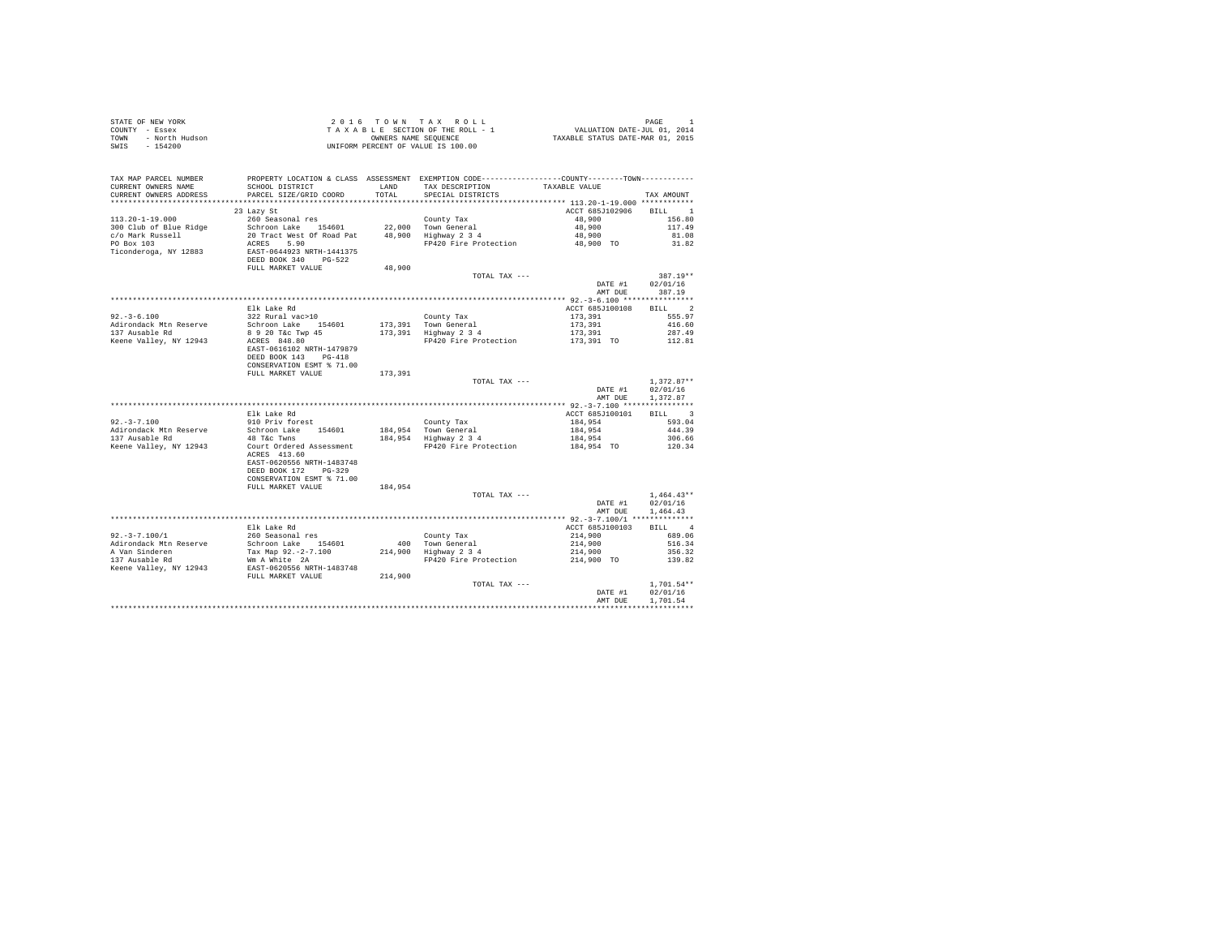| STATE OF NEW YORK<br>COUNTY - Essex<br>r - Essex<br>- North Hudson<br><b>TOWN</b><br>SWIS - 154200 | 2016 TOWN TAX ROLL<br>TAXABLE SECTION OF THE ROLL - 1<br>OWNERS NAME SEQUENCE<br>UNIFORM PERCENT OF VALUE IS 100.00 |         |                                                                                                 | PAGE 1<br>VALUATION DATE-JUL 01, 2014<br>TAXABLE STATUS DATE-MAR 01, 2015 |                      |  |
|----------------------------------------------------------------------------------------------------|---------------------------------------------------------------------------------------------------------------------|---------|-------------------------------------------------------------------------------------------------|---------------------------------------------------------------------------|----------------------|--|
| TAX MAP PARCEL NUMBER                                                                              |                                                                                                                     |         | PROPERTY LOCATION & CLASS ASSESSMENT EXEMPTION CODE----------------COUNTY--------TOWN---------- |                                                                           |                      |  |
| CURRENT OWNERS NAME                                                                                | SCHOOL DISTRICT                                                                                                     | LAND    | TAX DESCRIPTION                                                                                 | TAXABLE VALUE                                                             |                      |  |
| CURRENT OWNERS ADDRESS                                                                             | PARCEL SIZE/GRID COORD                                                                                              | TOTAL.  | SPECIAL DISTRICTS                                                                               |                                                                           | TAX AMOUNT           |  |
|                                                                                                    |                                                                                                                     |         |                                                                                                 |                                                                           |                      |  |
| $113.20 - 1 - 19.000$                                                                              | 23 Lazy St<br>260 Seasonal res                                                                                      |         | County Tax                                                                                      | ACCT 685J102906<br>48,900                                                 | RTLL 1<br>156.80     |  |
| 300 Club of Blue Ridge                                                                             | Schroon Lake 154601                                                                                                 |         | 22.000 Town General                                                                             | 48,900                                                                    | 117.49               |  |
|                                                                                                    | 20 Tract West Of Road Pat                                                                                           |         | $48,900$ Highway $2\,3\,4$                                                                      | 48,900                                                                    | 81.08                |  |
| c/o Mark Russell<br>PO Box 103                                                                     | ACRES 5.90                                                                                                          |         | FP420 Fire Protection                                                                           | 48,900 TO                                                                 | 31.82                |  |
| Ticonderoga, NY 12883                                                                              | EAST-0644923 NRTH-1441375                                                                                           |         |                                                                                                 |                                                                           |                      |  |
|                                                                                                    | DEED BOOK 340 PG-522                                                                                                |         |                                                                                                 |                                                                           |                      |  |
|                                                                                                    | FULL MARKET VALUE                                                                                                   | 48,900  |                                                                                                 |                                                                           |                      |  |
|                                                                                                    |                                                                                                                     |         | TOTAL TAX ---                                                                                   |                                                                           | 387.19**             |  |
|                                                                                                    |                                                                                                                     |         |                                                                                                 | DATE #1                                                                   | 02/01/16             |  |
|                                                                                                    |                                                                                                                     |         |                                                                                                 | AMT DUE                                                                   | 387.19               |  |
|                                                                                                    | Elk Lake Rd                                                                                                         |         |                                                                                                 | ACCT 685J100108                                                           | BILL 2               |  |
| $92. -3 - 6.100$                                                                                   | 322 Rural vac>10                                                                                                    |         | County Tax                                                                                      | 173,391                                                                   | 555.97               |  |
| Adirondack Mtn Reserve                                                                             | Schroon Lake 154601                                                                                                 |         | 173,391 Town General                                                                            | 173,391                                                                   | 416.60               |  |
| 137 Ausable Rd                                                                                     |                                                                                                                     |         | $173,391$ Highway $2\,3\,4$                                                                     | 173,391                                                                   | 287.49               |  |
| Keene Valley, NY 12943                                                                             | 8 9 20 T&C Twp 45<br>ACRES 848.80                                                                                   |         | FP420 Fire Protection                                                                           | 173,391 TO                                                                | 112.81               |  |
|                                                                                                    | EAST-0616102 NRTH-1479879<br>DEED BOOK 143 PG-418                                                                   |         |                                                                                                 |                                                                           |                      |  |
|                                                                                                    | CONSERVATION ESMT % 71.00                                                                                           |         |                                                                                                 |                                                                           |                      |  |
|                                                                                                    | FULL MARKET VALUE                                                                                                   | 173,391 |                                                                                                 |                                                                           |                      |  |
|                                                                                                    |                                                                                                                     |         | TOTAL TAX ---                                                                                   |                                                                           | $1.372.87**$         |  |
|                                                                                                    |                                                                                                                     |         |                                                                                                 | DATE #1                                                                   | 02/01/16             |  |
|                                                                                                    |                                                                                                                     |         |                                                                                                 | AMT DUE                                                                   | 1,372.87             |  |
|                                                                                                    |                                                                                                                     |         |                                                                                                 |                                                                           | BILL 3               |  |
| $92, -3 - 7, 100$                                                                                  | Elk Lake Rd<br>910 Priv forest                                                                                      |         | County Tax                                                                                      | ACCT 685J100101<br>184,954                                                | 593.04               |  |
| Adirondack Mtn Reserve                                                                             | Schroon Lake 154601                                                                                                 |         |                                                                                                 | 184,954                                                                   | 444.39               |  |
| 137 Ausable Rd                                                                                     | 48 T&C Twns                                                                                                         |         | 184,954 Town General<br>184,954 Highway 2 3 4                                                   | 184,954                                                                   | 306.66               |  |
| Keene Valley, NY 12943                                                                             | Court Ordered Assessment                                                                                            |         | FP420 Fire Protection                                                                           | 184,954 TO                                                                | 120.34               |  |
|                                                                                                    | ACRES 413.60                                                                                                        |         |                                                                                                 |                                                                           |                      |  |
|                                                                                                    | EAST-0620556 NRTH-1483748                                                                                           |         |                                                                                                 |                                                                           |                      |  |
|                                                                                                    |                                                                                                                     |         |                                                                                                 |                                                                           |                      |  |
|                                                                                                    | CONSERVATION ESMT % 71.00                                                                                           |         |                                                                                                 |                                                                           |                      |  |
|                                                                                                    | FULL MARKET VALUE                                                                                                   | 184,954 |                                                                                                 |                                                                           |                      |  |
|                                                                                                    |                                                                                                                     |         | TOTAL TAX ---                                                                                   | DATE #1                                                                   | $1.464.43**$         |  |
|                                                                                                    |                                                                                                                     |         |                                                                                                 | AMT DUE                                                                   | 02/01/16<br>1,464.43 |  |
|                                                                                                    |                                                                                                                     |         |                                                                                                 |                                                                           |                      |  |
|                                                                                                    | Elk Lake Rd                                                                                                         |         |                                                                                                 | ACCT 685J100103                                                           | BTLL 4               |  |
| $92. - 3 - 7.100/1$                                                                                | 260 Seasonal res                                                                                                    |         | County Tax                                                                                      | 214,900                                                                   | 689.06               |  |
| Adirondack Mtn Reserve                                                                             | Schroon Lake 154601                                                                                                 |         | 400 Town General                                                                                | 214,900                                                                   | 516.34               |  |
| A Van Sinderen                                                                                     | Tax Map 92.-2-7.100                                                                                                 |         | 214,900 Highway 2 3 4                                                                           | 214,900                                                                   | 356.32               |  |
| 137 Ausable Rd                                                                                     | Wm A White 2A                                                                                                       |         | FP420 Fire Protection                                                                           | 214,900 TO                                                                | 139.82               |  |
| Keene Valley, NY 12943                                                                             | EAST-0620556 NRTH-1483748                                                                                           |         |                                                                                                 |                                                                           |                      |  |
|                                                                                                    | FULL MARKET VALUE                                                                                                   | 214,900 |                                                                                                 |                                                                           |                      |  |
|                                                                                                    |                                                                                                                     |         | TOTAL TAX ---                                                                                   |                                                                           | $1.701.54**$         |  |
|                                                                                                    |                                                                                                                     |         |                                                                                                 | DATE #1                                                                   | 02/01/16             |  |
|                                                                                                    |                                                                                                                     |         |                                                                                                 | AMT DUE                                                                   | 1.701.54             |  |
|                                                                                                    |                                                                                                                     |         |                                                                                                 |                                                                           |                      |  |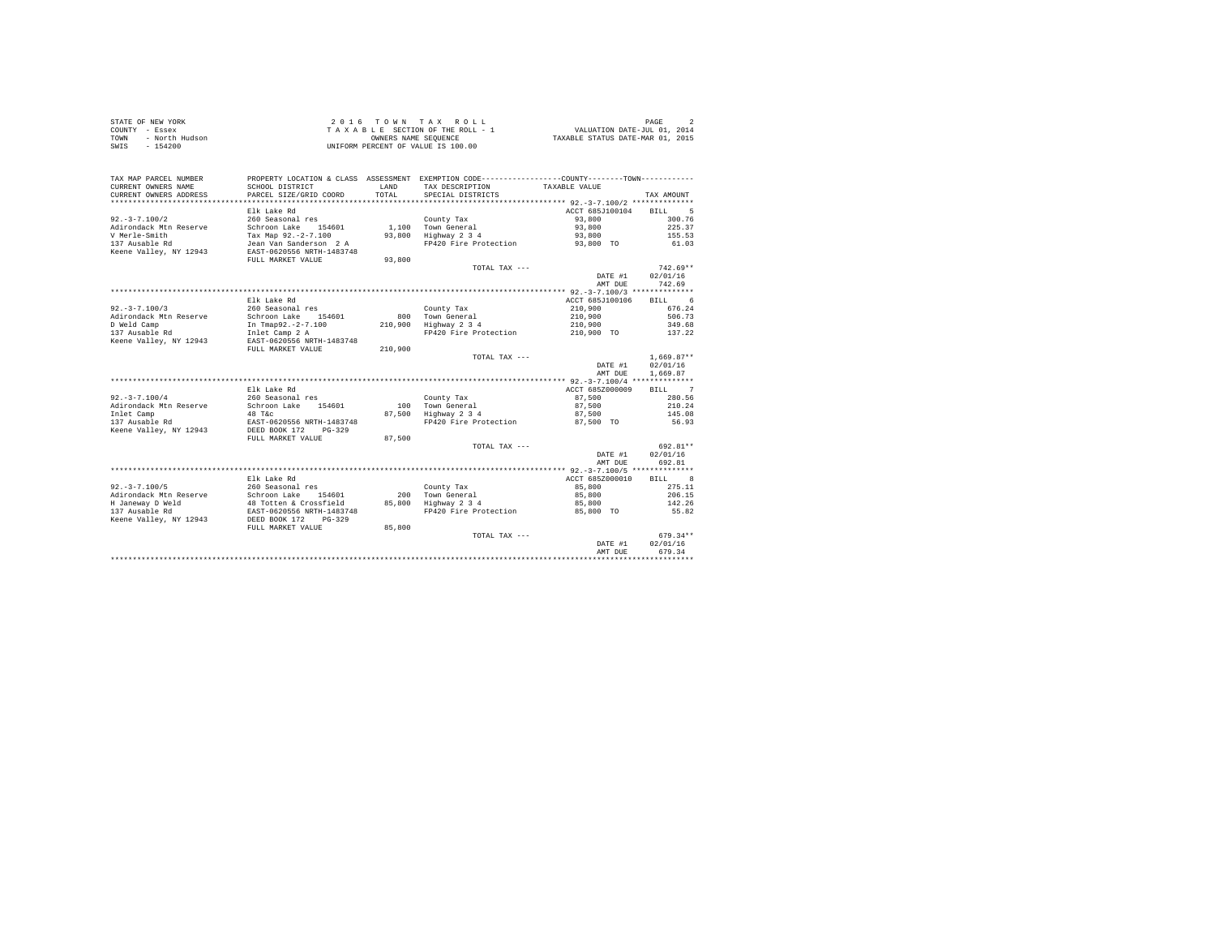| STATE OF NEW YORK      | 2016 TOWN TAX ROLL                 | PAGE                             |
|------------------------|------------------------------------|----------------------------------|
| COUNTY - Essex         | TAXABLE SECTION OF THE ROLL - 1    | VALUATION DATE-JUL 01, 2014      |
| TOWN<br>- North Hudson | OWNERS NAME SEOUENCE               | TAXABLE STATUS DATE-MAR 01, 2015 |
| - 154200<br>SWIS       | UNIFORM PERCENT OF VALUE IS 100.00 |                                  |

| TAX MAP PARCEL NUMBER<br>CURRENT OWNERS NAME<br>CURRENT OWNERS ADDRESS                                     | PROPERTY LOCATION & CLASS ASSESSMENT<br>SCHOOL DISTRICT<br>PARCEL SIZE/GRID COORD                                                                            | LAND<br>TOTAL             | EXEMPTION CODE----------------COUNTY-------TOWN-----------<br>TAX DESCRIPTION<br>SPECIAL DISTRICTS | TAXABLE VALUE                                                  | TAX AMOUNT                                              |
|------------------------------------------------------------------------------------------------------------|--------------------------------------------------------------------------------------------------------------------------------------------------------------|---------------------------|----------------------------------------------------------------------------------------------------|----------------------------------------------------------------|---------------------------------------------------------|
| $92. - 3 - 7.100/2$<br>Adirondack Mtn Reserve<br>V Merle-Smith<br>137 Ausable Rd<br>Keene Valley, NY 12943 | Elk Lake Rd<br>260 Seasonal res<br>Schroon Lake<br>154601<br>Tax Map 92.-2-7.100<br>Jean Van Sanderson 2 A<br>EAST-0620556 NRTH-1483748<br>FULL MARKET VALUE | 1,100<br>93,800<br>93,800 | County Tax<br>Town General<br>Highway 2 3 4<br>FP420 Fire Protection                               | ACCT 685J100104<br>93,800<br>93,800<br>93,800<br>93,800 TO     | 5<br><b>BILL</b><br>300.76<br>225.37<br>155.53<br>61.03 |
|                                                                                                            |                                                                                                                                                              |                           | TOTAL TAX ---                                                                                      | DATE #1<br>AMT DUE                                             | $742.69**$<br>02/01/16<br>742.69                        |
|                                                                                                            |                                                                                                                                                              |                           |                                                                                                    |                                                                |                                                         |
| $92. -3 -7.100/3$<br>Adirondack Mtn Reserve<br>D Weld Camp<br>137 Ausable Rd                               | Elk Lake Rd<br>260 Seasonal res<br>Schroon Lake<br>154601<br>In Tmap92.-2-7.100<br>Inlet Camp 2 A                                                            | 800<br>210,900            | County Tax<br>Town General<br>Highway 2 3 4<br>FP420 Fire Protection                               | ACCT 685J100106<br>210,900<br>210,900<br>210,900<br>210,900 TO | 6<br>BILL<br>676.24<br>506.73<br>349.68<br>137.22       |
| Keene Valley, NY 12943                                                                                     | EAST-0620556 NRTH-1483748                                                                                                                                    |                           |                                                                                                    |                                                                |                                                         |
|                                                                                                            | FULL MARKET VALUE                                                                                                                                            | 210,900                   | TOTAL TAX ---                                                                                      | DATE #1<br>AMT DUE                                             | $1.669.87**$<br>02/01/16<br>1,669.87                    |
|                                                                                                            |                                                                                                                                                              |                           |                                                                                                    | *********** 92.-3-7.100/4 **************                       |                                                         |
|                                                                                                            | Elk Lake Rd                                                                                                                                                  |                           |                                                                                                    | ACCT 685Z000009                                                | <b>BILL</b><br>$\overline{7}$                           |
| $92. - 3 - 7.100/4$<br>Adirondack Mtn Reserve                                                              | 260 Seasonal res<br>154601<br>Schroon Lake                                                                                                                   | 100                       | County Tax<br>Town General                                                                         | 87,500<br>87,500                                               | 280.56<br>210.24                                        |
| Inlet Camp                                                                                                 | 48 T&C                                                                                                                                                       | 87,500                    | Highway 2 3 4                                                                                      | 87,500                                                         | 145.08                                                  |
| 137 Ausable Rd<br>Keene Valley, NY 12943                                                                   | EAST-0620556 NRTH-1483748<br>DEED BOOK 172<br>$PG-329$                                                                                                       |                           | FP420 Fire Protection                                                                              | 87.500 TO                                                      | 56.93                                                   |
|                                                                                                            | FULL MARKET VALUE                                                                                                                                            | 87,500                    | TOTAL TAX ---                                                                                      |                                                                | 692.81**                                                |
|                                                                                                            |                                                                                                                                                              |                           |                                                                                                    | DATE #1<br>AMT DUE                                             | 02/01/16<br>692.81                                      |
|                                                                                                            |                                                                                                                                                              |                           |                                                                                                    |                                                                |                                                         |
|                                                                                                            | Elk Lake Rd                                                                                                                                                  |                           |                                                                                                    | ACCT 685Z000010                                                | 8<br>BTLL.                                              |
| $92. - 3 - 7.100/5$                                                                                        | 260 Seasonal res                                                                                                                                             |                           | County Tax                                                                                         | 85,800                                                         | 275.11                                                  |
| Adirondack Mtn Reserve<br>H Janeway D Weld                                                                 | Schroon Lake 154601<br>48 Totten & Crossfield                                                                                                                | 200<br>85,800             | Town General<br>Highway 2 3 4                                                                      | 85,800<br>85,800                                               | 206.15<br>142.26                                        |
| 137 Ausable Rd<br>Keene Valley, NY 12943                                                                   | EAST-0620556 NRTH-1483748<br>DEED BOOK 172<br>$PG-329$                                                                                                       |                           | FP420 Fire Protection                                                                              | 85,800 TO                                                      | 55.82                                                   |
|                                                                                                            | FULL MARKET VALUE                                                                                                                                            | 85,800                    |                                                                                                    |                                                                |                                                         |
|                                                                                                            |                                                                                                                                                              |                           | TOTAL TAX ---                                                                                      | DATE #1<br>AMT DUE                                             | $679.34**$<br>02/01/16<br>679.34                        |
|                                                                                                            |                                                                                                                                                              |                           |                                                                                                    |                                                                |                                                         |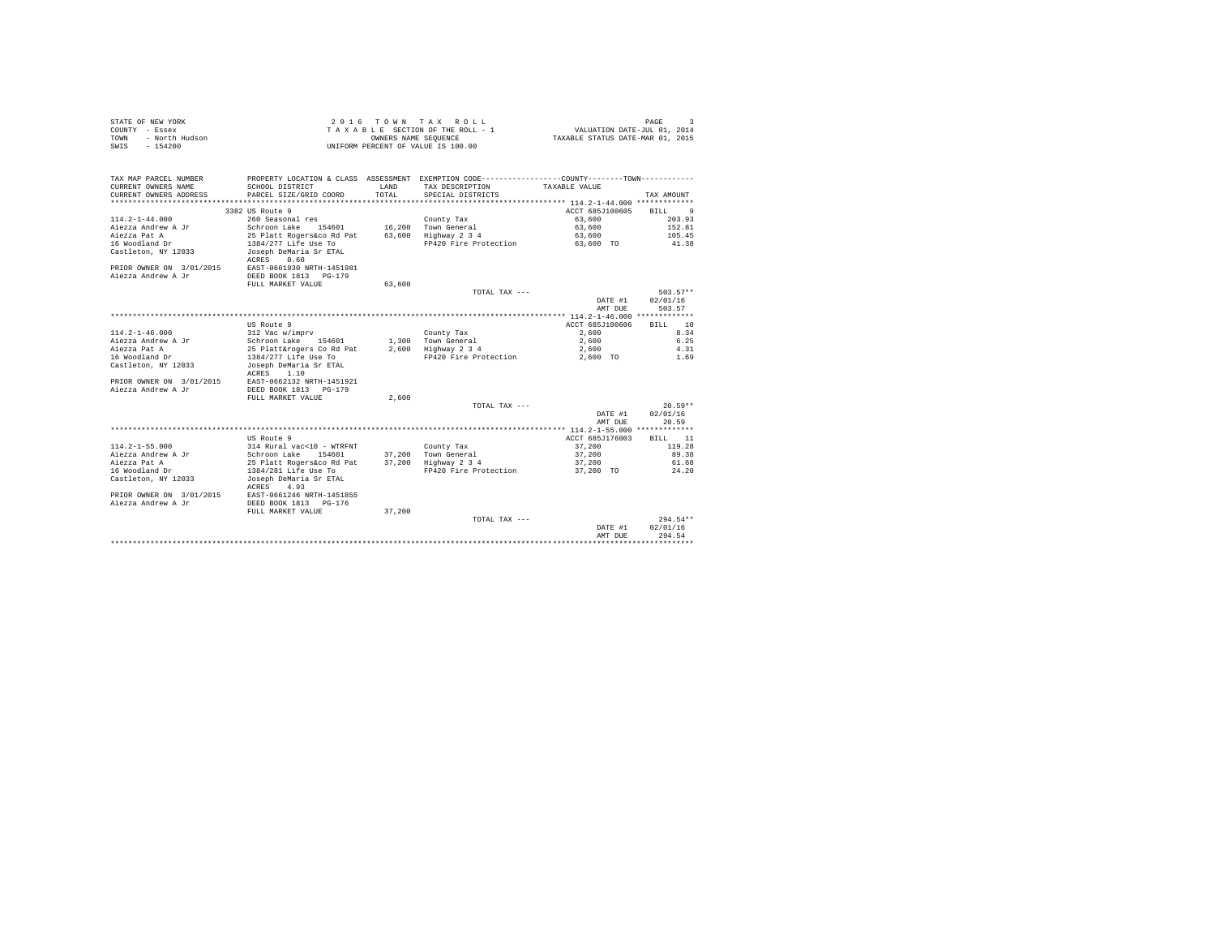| STATE OF NEW YORK      | 2016 TOWN TAX ROLL                 | PAGE                             |
|------------------------|------------------------------------|----------------------------------|
| COUNTY - Essex         | TAXABLE SECTION OF THE ROLL - 1    | VALUATION DATE-JUL 01, 2014      |
| TOWN<br>- North Hudson | OWNERS NAME SEOUENCE               | TAXABLE STATUS DATE-MAR 01, 2015 |
| - 154200<br>SWIS       | UNIFORM PERCENT OF VALUE IS 100.00 |                                  |

| TAX MAP PARCEL NUMBER<br>CURRENT OWNERS NAME<br>CURRENT OWNERS ADDRESS | PROPERTY LOCATION & CLASS ASSESSMENT EXEMPTION CODE----------------COUNTY-------TOWN----------<br>SCHOOL DISTRICT<br>PARCEL SIZE/GRID COORD | <b>T.AND</b><br>TOTAL | TAX DESCRIPTION<br>SPECIAL DISTRICTS | TAXABLE VALUE   | TAX AMOUNT             |
|------------------------------------------------------------------------|---------------------------------------------------------------------------------------------------------------------------------------------|-----------------------|--------------------------------------|-----------------|------------------------|
|                                                                        |                                                                                                                                             |                       |                                      |                 |                        |
|                                                                        | 3382 US Route 9                                                                                                                             |                       |                                      | ACCT 685J100605 | BTLL<br>$\overline{9}$ |
| $114.2 - 1 - 44.000$                                                   | 260 Seasonal res                                                                                                                            |                       | County Tax                           | 63,600          | 203.93                 |
| Aiezza Andrew A Jr                                                     | Schroon Lake 154601                                                                                                                         |                       | 16.200 Town General                  | 63,600          | 152.81                 |
| Aiezza Pat A                                                           | 25 Platt Rogers&co Rd Pat                                                                                                                   |                       | 63.600 Highway 2 3 4                 | 63,600          | 105.45                 |
| 16 Woodland Dr                                                         | 1384/277 Life Use To                                                                                                                        |                       | FP420 Fire Protection                | 63,600 TO       | 41.38                  |
| Castleton, NY 12033                                                    | Joseph DeMaria Sr ETAL<br>0.60<br>ACRES                                                                                                     |                       |                                      |                 |                        |
| PRIOR OWNER ON 3/01/2015                                               | EAST-0661930 NRTH-1451981                                                                                                                   |                       |                                      |                 |                        |
| Aiezza Andrew A Jr                                                     | DEED BOOK 1813 PG-179                                                                                                                       |                       |                                      |                 |                        |
|                                                                        | FULL MARKET VALUE                                                                                                                           | 63,600                |                                      |                 |                        |
|                                                                        |                                                                                                                                             |                       | TOTAL TAX ---                        |                 | $503.57**$             |
|                                                                        |                                                                                                                                             |                       |                                      | DATE #1         | 02/01/16               |
|                                                                        |                                                                                                                                             |                       |                                      | AMT DUE         | 503.57                 |
|                                                                        |                                                                                                                                             |                       |                                      |                 |                        |
|                                                                        | US Route 9                                                                                                                                  |                       |                                      | ACCT 685J100606 | <b>BTLL</b> 10         |
| $114.2 - 1 - 46.000$                                                   | 312 Vac w/imprv                                                                                                                             |                       | County Tax                           | 2,600           | 8.34                   |
| Aiezza Andrew A Jr                                                     | Schroon Lake 154601                                                                                                                         |                       | 1,300 Town General                   | 2,600           | 6.25                   |
| Aiezza Pat A                                                           | 25 Platt&rogers Co Rd Pat                                                                                                                   |                       | 2.600 Highway 2 3 4                  | 2,600           | 4.31                   |
| 16 Woodland Dr                                                         | 1384/277 Life Use To                                                                                                                        |                       | FP420 Fire Protection                | 2,600 TO        | 1.69                   |
| Castleton, NY 12033                                                    | Joseph DeMaria Sr ETAL<br>1.10<br>ACRES                                                                                                     |                       |                                      |                 |                        |
| PRIOR OWNER ON 3/01/2015                                               | EAST-0662132 NRTH-1451921                                                                                                                   |                       |                                      |                 |                        |
| Aiezza Andrew A Jr                                                     | DEED BOOK 1813 PG-179                                                                                                                       |                       |                                      |                 |                        |
|                                                                        | FULL MARKET VALUE                                                                                                                           | 2.600                 |                                      |                 |                        |
|                                                                        |                                                                                                                                             |                       | TOTAL TAX ---                        |                 | $20.59**$              |
|                                                                        |                                                                                                                                             |                       |                                      | DATE #1         | 02/01/16               |
|                                                                        |                                                                                                                                             |                       |                                      | AMT DUE         | 20.59                  |
|                                                                        |                                                                                                                                             |                       |                                      |                 |                        |
|                                                                        | US Route 9                                                                                                                                  |                       |                                      | ACCT 685J176003 | 11<br>RTLL.            |
| $114.2 - 1 - 55.000$                                                   | 314 Rural vac<10 - WTRFNT                                                                                                                   |                       | County Tax                           | 37,200          | 119.28                 |
| Aiezza Andrew A Jr                                                     | Schroon Lake<br>154601                                                                                                                      |                       | 37.200 Town General                  | 37,200          | 89.38                  |
| Aiezza Pat A                                                           | 25 Platt Rogers&co Rd Pat                                                                                                                   |                       | 37,200 Highway 2 3 4                 | 37,200          | 61.68                  |
| 16 Woodland Dr                                                         | 1384/281 Life Use To                                                                                                                        |                       | FP420 Fire Protection                | 37,200 TO       | 24.20                  |
| Castleton, NY 12033                                                    | Joseph DeMaria Sr ETAL<br>4.93<br>ACRES                                                                                                     |                       |                                      |                 |                        |
| PRIOR OWNER ON 3/01/2015                                               | EAST-0661246 NRTH-1451855                                                                                                                   |                       |                                      |                 |                        |
| Aiezza Andrew A Jr                                                     | DEED BOOK 1813 PG-176                                                                                                                       |                       |                                      |                 |                        |
|                                                                        | FULL MARKET VALUE                                                                                                                           | 37,200                |                                      |                 |                        |
|                                                                        |                                                                                                                                             |                       | TOTAL TAX ---                        |                 | $294.54**$             |
|                                                                        |                                                                                                                                             |                       |                                      | DATE #1         | 02/01/16               |
|                                                                        |                                                                                                                                             |                       |                                      | AMT DUE         | 294.54                 |
|                                                                        |                                                                                                                                             |                       |                                      |                 |                        |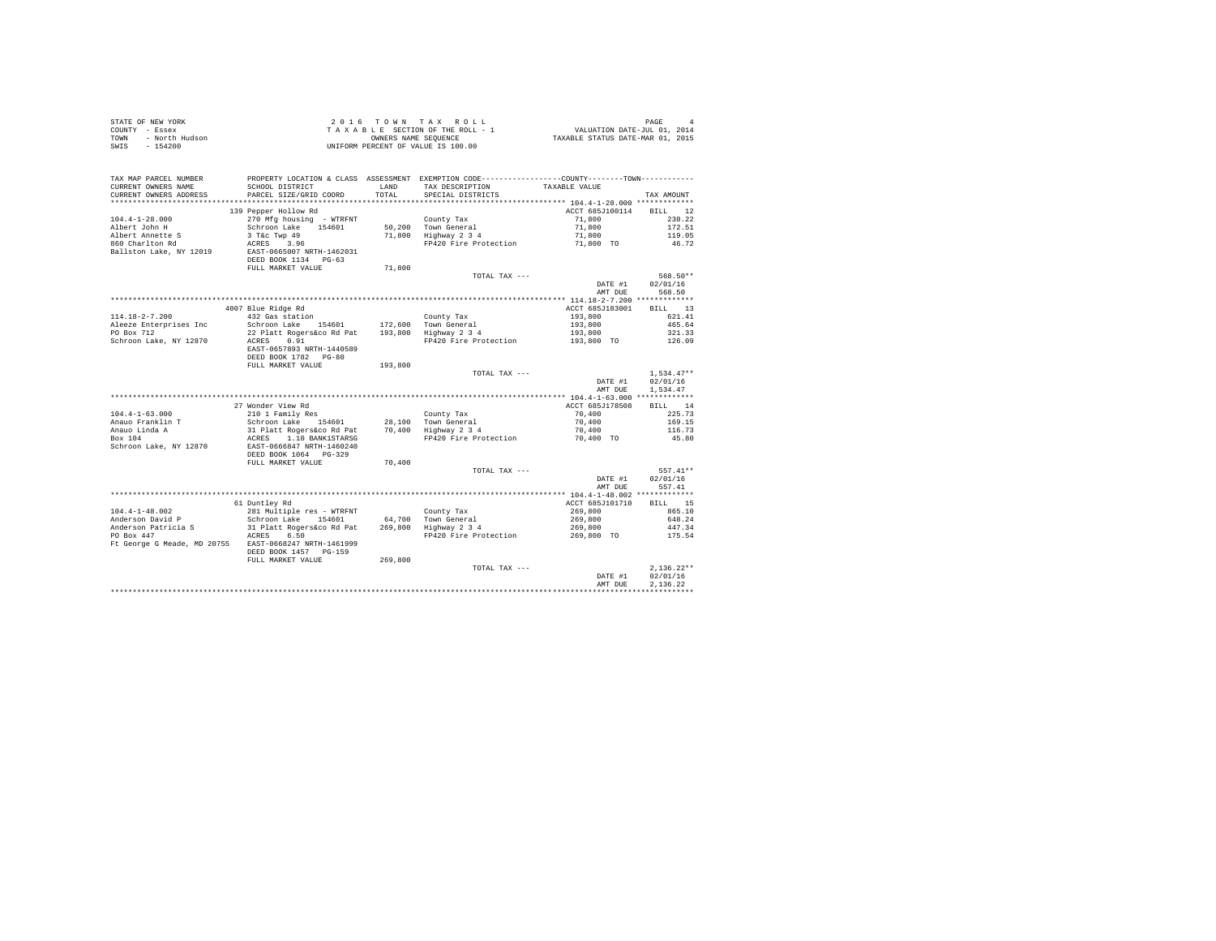| STATE OF NEW YORK<br>COUNTY - Essex<br>- North Hudson<br>TOWN<br>$-154200$<br>SWIS |                                                                                                                                                                                                                                    |               | 2016 TOWN TAX ROLL<br>$\begin{array}{ccccccccc} 2&0&1&6&\texttt{T} &0&\texttt{W} &\texttt{N} &\texttt{R} &\texttt{A} &\texttt{R} &0&\texttt{L} &\texttt{L} \\ \texttt{T} & \texttt{A} & \texttt{X} & \texttt{B} & \texttt{E} & \texttt{S} &\texttt{C} &\texttt{T} &\texttt{M} &\texttt{S} &\texttt{S} &\texttt{S} &\texttt{S} &\texttt{S} &\texttt{S} &\texttt{S} &\texttt{S} &\texttt{S} &\texttt{S} &\texttt{S} &\texttt{S$<br>UNIFORM PERCENT OF VALUE IS 100.00 |                       | PAGE             |
|------------------------------------------------------------------------------------|------------------------------------------------------------------------------------------------------------------------------------------------------------------------------------------------------------------------------------|---------------|---------------------------------------------------------------------------------------------------------------------------------------------------------------------------------------------------------------------------------------------------------------------------------------------------------------------------------------------------------------------------------------------------------------------------------------------------------------------|-----------------------|------------------|
| TAX MAP PARCEL NUMBER<br>CURRENT OWNERS NAME<br>CURRENT OWNERS ADDRESS             | SCHOOL DISTRICT<br>PARCEL SIZE/GRID COORD                                                                                                                                                                                          | LAND<br>TOTAL | PROPERTY LOCATION & CLASS ASSESSMENT EXEMPTION CODE----------------COUNTY-------TOWN----------<br>TAX DESCRIPTION TAXABLE VALUE<br>SPECIAL DISTRICTS                                                                                                                                                                                                                                                                                                                |                       | TAX AMOUNT       |
|                                                                                    |                                                                                                                                                                                                                                    |               |                                                                                                                                                                                                                                                                                                                                                                                                                                                                     |                       |                  |
|                                                                                    | 139 Pepper Hollow Rd                                                                                                                                                                                                               |               |                                                                                                                                                                                                                                                                                                                                                                                                                                                                     | ACCT 685J100114       | BILL 12          |
| $104.4 - 1 - 28.000$                                                               | 270 Mfg housing - WTRFNT                                                                                                                                                                                                           |               | County Tax                                                                                                                                                                                                                                                                                                                                                                                                                                                          | 71,800                | 230.22           |
| Albert John H                                                                      | Schroon Lake 154601                                                                                                                                                                                                                |               | 50,200 Town General                                                                                                                                                                                                                                                                                                                                                                                                                                                 | 71,800                | 172.51           |
| Albert Annette S                                                                   | 3 T&C Twp 49<br>ACRES 3.96                                                                                                                                                                                                         |               | 71,800 Highway 2 3 4                                                                                                                                                                                                                                                                                                                                                                                                                                                | 71,800                | 119.05           |
| 860 Charlton Rd                                                                    |                                                                                                                                                                                                                                    |               | FP420 Fire Protection                                                                                                                                                                                                                                                                                                                                                                                                                                               | 71,800 TO             | 46.72            |
| Ballston Lake, NY 12019                                                            | EAST-0665007 NRTH-1462031                                                                                                                                                                                                          |               |                                                                                                                                                                                                                                                                                                                                                                                                                                                                     |                       |                  |
|                                                                                    | DEED BOOK 1134 PG-63<br>FULL MARKET VALUE                                                                                                                                                                                          | 71,800        |                                                                                                                                                                                                                                                                                                                                                                                                                                                                     |                       |                  |
|                                                                                    |                                                                                                                                                                                                                                    |               | TOTAL TAX ---                                                                                                                                                                                                                                                                                                                                                                                                                                                       |                       | 568.50**         |
|                                                                                    |                                                                                                                                                                                                                                    |               |                                                                                                                                                                                                                                                                                                                                                                                                                                                                     | DATE #1               | 02/01/16         |
|                                                                                    |                                                                                                                                                                                                                                    |               |                                                                                                                                                                                                                                                                                                                                                                                                                                                                     | AMT DUE               | 568.50           |
|                                                                                    |                                                                                                                                                                                                                                    |               |                                                                                                                                                                                                                                                                                                                                                                                                                                                                     |                       |                  |
|                                                                                    | 4007 Blue Ridge Rd                                                                                                                                                                                                                 |               |                                                                                                                                                                                                                                                                                                                                                                                                                                                                     | ACCT 685J183001       | BILL 13          |
| $114.18 - 2 - 7.200$                                                               | 432 Gas station                                                                                                                                                                                                                    |               | County Tax                                                                                                                                                                                                                                                                                                                                                                                                                                                          | 193,800               | 621.41           |
| Aleeze Enterprises Inc                                                             | Schroon Lake 154601                                                                                                                                                                                                                |               | 172,600 Town General<br>193,800 Highway 2 3 4                                                                                                                                                                                                                                                                                                                                                                                                                       | 193,800               | 465.64           |
| PO Box 712                                                                         | 22 Platt Rogers&co Rd Pat                                                                                                                                                                                                          |               |                                                                                                                                                                                                                                                                                                                                                                                                                                                                     | 193,800               | 321.33           |
| Schroon Lake, NY 12870                                                             | ACRES 0.91<br>EAST-0657893 NRTH-1440589                                                                                                                                                                                            |               | FP420 Fire Protection 193,800 TO 126.09                                                                                                                                                                                                                                                                                                                                                                                                                             |                       |                  |
|                                                                                    | DEED BOOK 1782 PG-80                                                                                                                                                                                                               |               |                                                                                                                                                                                                                                                                                                                                                                                                                                                                     |                       |                  |
|                                                                                    | FULL MARKET VALUE                                                                                                                                                                                                                  | 193,800       |                                                                                                                                                                                                                                                                                                                                                                                                                                                                     |                       |                  |
|                                                                                    |                                                                                                                                                                                                                                    |               | TOTAL TAX ---                                                                                                                                                                                                                                                                                                                                                                                                                                                       |                       | $1.534.47**$     |
|                                                                                    |                                                                                                                                                                                                                                    |               |                                                                                                                                                                                                                                                                                                                                                                                                                                                                     | DATE #1               | 02/01/16         |
|                                                                                    |                                                                                                                                                                                                                                    |               |                                                                                                                                                                                                                                                                                                                                                                                                                                                                     | AMT DUE               | 1.534.47         |
|                                                                                    |                                                                                                                                                                                                                                    |               |                                                                                                                                                                                                                                                                                                                                                                                                                                                                     |                       |                  |
|                                                                                    | 27 Wonder View Rd                                                                                                                                                                                                                  |               |                                                                                                                                                                                                                                                                                                                                                                                                                                                                     | ACCT 685J178508       | BILL 14          |
| $104.4 - 1 - 63.000$                                                               | $210$ 1 Family Res                                                                                                                                                                                                                 |               | County Tax                                                                                                                                                                                                                                                                                                                                                                                                                                                          | 70,400                | 225.73           |
|                                                                                    | Schroon Lake 154601                                                                                                                                                                                                                |               | 28,100 Town General                                                                                                                                                                                                                                                                                                                                                                                                                                                 | 70,400                | 169.15           |
| Anauo Franklin T<br>Anauo Linda A<br>Box 104                                       |                                                                                                                                                                                                                                    |               |                                                                                                                                                                                                                                                                                                                                                                                                                                                                     | 70,400                | 116.73           |
| Schroon Lake, NY 12870                                                             | % = 0.14 = 0.14611 = 0.161 = 0.161 = 0.161 = 0.161 = 0.161 = 0.161 = 0.161 = 0.161 = 0.1666447 = 0.161 = 0.16<br>31 Platt Rogers&co Rd Pat = 70,400 = 1240 Pire Protection<br>EAST-0666447 NRTH-1460240<br>DEED BOOK 1064 = PG-329 |               | FP420 Fire Protection                                                                                                                                                                                                                                                                                                                                                                                                                                               | 70,400 TO             | 45.80            |
|                                                                                    |                                                                                                                                                                                                                                    |               |                                                                                                                                                                                                                                                                                                                                                                                                                                                                     |                       |                  |
|                                                                                    | FULL MARKET VALUE                                                                                                                                                                                                                  | 70,400        |                                                                                                                                                                                                                                                                                                                                                                                                                                                                     |                       |                  |
|                                                                                    |                                                                                                                                                                                                                                    |               | TOTAL TAX ---                                                                                                                                                                                                                                                                                                                                                                                                                                                       |                       | $557.41**$       |
|                                                                                    |                                                                                                                                                                                                                                    |               |                                                                                                                                                                                                                                                                                                                                                                                                                                                                     | DATE #1               | 02/01/16         |
|                                                                                    |                                                                                                                                                                                                                                    |               |                                                                                                                                                                                                                                                                                                                                                                                                                                                                     | AMT DUE               | 557.41           |
|                                                                                    |                                                                                                                                                                                                                                    |               |                                                                                                                                                                                                                                                                                                                                                                                                                                                                     |                       |                  |
|                                                                                    | 61 Duntley Rd                                                                                                                                                                                                                      |               |                                                                                                                                                                                                                                                                                                                                                                                                                                                                     | ACCT 685J101710       | BILL 15          |
| $104.4 - 1 - 48.002$                                                               | 281 Multiple res - WTRFNT                                                                                                                                                                                                          |               | County Tax                                                                                                                                                                                                                                                                                                                                                                                                                                                          | 269,800               | 865.10           |
| Anderson David P                                                                   | Schroon Lake 154601 64,700 Town General<br>31 Platt Rogers&co Rd Pat 269,800 Highway 2 3 4                                                                                                                                         |               |                                                                                                                                                                                                                                                                                                                                                                                                                                                                     | 269,800               | 648.24           |
| Anderson Patricia S<br>PO Box 447                                                  | standon mare 194601<br>31 Platt Rogers&co Rd Pat<br>ACRES 6.50                                                                                                                                                                     |               | FP420 Fire Protection                                                                                                                                                                                                                                                                                                                                                                                                                                               | 269,800<br>269,800 TO | 447.34<br>175.54 |
| Ft George G Meade, MD 20755 EAST-0668247 NRTH-1461999                              |                                                                                                                                                                                                                                    |               |                                                                                                                                                                                                                                                                                                                                                                                                                                                                     |                       |                  |
|                                                                                    | DEED BOOK 1457 PG-159                                                                                                                                                                                                              |               |                                                                                                                                                                                                                                                                                                                                                                                                                                                                     |                       |                  |
|                                                                                    | FULL MARKET VALUE                                                                                                                                                                                                                  | 269,800       |                                                                                                                                                                                                                                                                                                                                                                                                                                                                     |                       |                  |
|                                                                                    |                                                                                                                                                                                                                                    |               | TOTAL TAX ---                                                                                                                                                                                                                                                                                                                                                                                                                                                       |                       | $2.136.22**$     |
|                                                                                    |                                                                                                                                                                                                                                    |               |                                                                                                                                                                                                                                                                                                                                                                                                                                                                     | DATE #1               | 02/01/16         |
|                                                                                    |                                                                                                                                                                                                                                    |               |                                                                                                                                                                                                                                                                                                                                                                                                                                                                     | AMT DUE               | 2.136.22         |
|                                                                                    |                                                                                                                                                                                                                                    |               |                                                                                                                                                                                                                                                                                                                                                                                                                                                                     |                       |                  |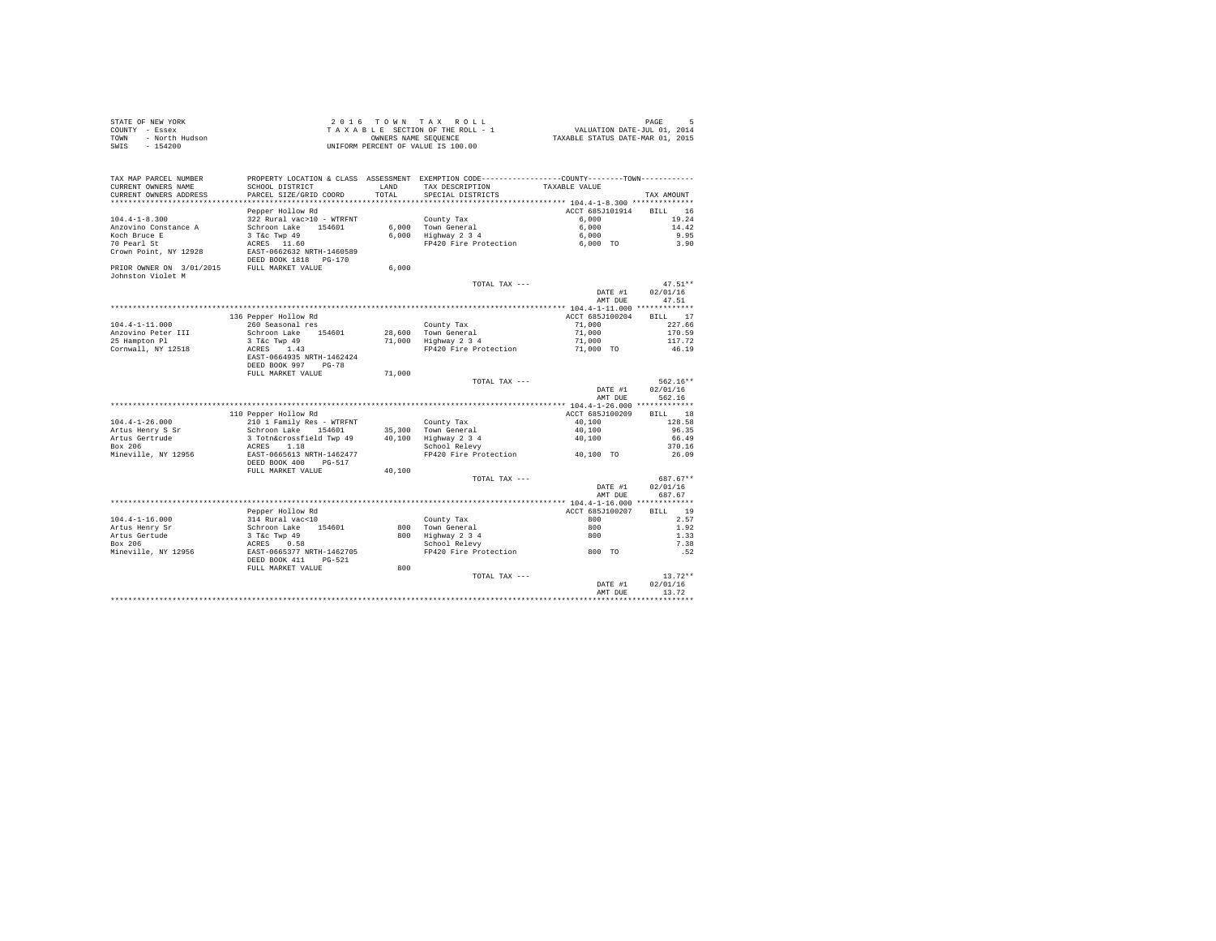| STATE OF NEW YORK      | 2016 TOWN TAX ROLL                 | PAGE                             |
|------------------------|------------------------------------|----------------------------------|
| COUNTY - Essex         | TAXABLE SECTION OF THE ROLL - 1    | VALUATION DATE-JUL 01, 2014      |
| TOWN<br>- North Hudson | OWNERS NAME SEOUENCE               | TAXABLE STATUS DATE-MAR 01, 2015 |
| SWIS<br>$-154200$      | UNIFORM PERCENT OF VALUE IS 100.00 |                                  |

| TAX MAP PARCEL NUMBER<br>CURRENT OWNERS NAME                               | SCHOOL DISTRICT                                                                                        | LAND   | PROPERTY LOCATION & CLASS ASSESSMENT EXEMPTION CODE---------------COUNTY-------TOWN---------<br>TAX DESCRIPTION | TAXABLE VALUE                                            |                                           |
|----------------------------------------------------------------------------|--------------------------------------------------------------------------------------------------------|--------|-----------------------------------------------------------------------------------------------------------------|----------------------------------------------------------|-------------------------------------------|
| CURRENT OWNERS ADDRESS<br>************************                         | PARCEL SIZE/GRID COORD                                                                                 | TOTAL  | SPECIAL DISTRICTS                                                                                               |                                                          | TAX AMOUNT                                |
| $104.4 - 1 - 8.300$<br>Anzovino Constance A<br>Koch Bruce E<br>70 Pearl St | Pepper Hollow Rd<br>322 Rural vac>10 - WTRFNT<br>Schroon Lake<br>154601<br>3 T&C Twp 49<br>ACRES 11.60 | 6.000  | County Tax<br>6.000 Town General<br>Highway 2 3 4<br>FP420 Fire Protection                                      | ACCT 685J101914<br>6.000<br>6.000<br>6,000<br>$6.000$ TO | RTLL 16<br>19.24<br>14.42<br>9.95<br>3.90 |
| Crown Point, NY 12928                                                      | EAST-0662632 NRTH-1460589<br>DEED BOOK 1818 PG-170                                                     |        |                                                                                                                 |                                                          |                                           |
| PRIOR OWNER ON 3/01/2015<br>Johnston Violet M                              | FULL MARKET VALUE                                                                                      | 6.000  |                                                                                                                 |                                                          |                                           |
|                                                                            |                                                                                                        |        | TOTAL TAX ---                                                                                                   |                                                          | $47.51**$                                 |
|                                                                            |                                                                                                        |        |                                                                                                                 | DATE #1                                                  | 02/01/16                                  |
|                                                                            |                                                                                                        |        |                                                                                                                 | AMT DUE                                                  | 47.51                                     |
|                                                                            |                                                                                                        |        |                                                                                                                 | ************** 104.4-1-11.000 **************             |                                           |
|                                                                            | 136 Pepper Hollow Rd                                                                                   |        |                                                                                                                 | ACCT 685J100204                                          | BILL 17                                   |
| $104.4 - 1 - 11.000$                                                       | 260 Seasonal res                                                                                       |        | County Tax                                                                                                      | 71,000                                                   | 227.66                                    |
| Anzovino Peter III                                                         | Schroon Lake 154601                                                                                    | 28,600 | Town General                                                                                                    | 71,000                                                   | 170.59                                    |
| 25 Hampton Pl<br>Cornwall, NY 12518                                        | 3 T&c Twp 49<br>ACRES 1.43                                                                             | 71,000 | Highway 2 3 4<br>FP420 Fire Protection                                                                          | 71,000<br>71,000 TO                                      | 117.72<br>46.19                           |
|                                                                            | EAST-0664935 NRTH-1462424                                                                              |        |                                                                                                                 |                                                          |                                           |
|                                                                            | DEED BOOK 997<br>$PG-78$                                                                               |        |                                                                                                                 |                                                          |                                           |
|                                                                            | FULL MARKET VALUE                                                                                      | 71,000 |                                                                                                                 |                                                          |                                           |
|                                                                            |                                                                                                        |        | TOTAL TAX ---                                                                                                   |                                                          | $562.16**$                                |
|                                                                            |                                                                                                        |        |                                                                                                                 | DATE #1                                                  | 02/01/16                                  |
|                                                                            |                                                                                                        |        |                                                                                                                 | AMT DUE                                                  | 562.16                                    |
|                                                                            |                                                                                                        |        |                                                                                                                 |                                                          |                                           |
| $104.4 - 1 - 26.000$                                                       | 110 Pepper Hollow Rd                                                                                   |        |                                                                                                                 | ACCT 685J100209<br>40,100                                | BILL 18<br>128.58                         |
| Artus Henry S Sr                                                           | 210 1 Family Res - WTRFNT<br>Schroon Lake<br>154601                                                    |        | County Tax<br>35,300 Town General                                                                               | 40,100                                                   | 96.35                                     |
| Artus Gertrude                                                             | 3 Totn&crossfield Twp 49                                                                               | 40,100 | Highway 2 3 4                                                                                                   | 40,100                                                   | 66.49                                     |
| Box 206                                                                    | 1.18<br>ACRES                                                                                          |        | School Relevy                                                                                                   |                                                          | 370.16                                    |
| Mineville, NY 12956                                                        | EAST-0665613 NRTH-1462477                                                                              |        | FP420 Fire Protection                                                                                           | 40,100 TO                                                | 26.09                                     |
|                                                                            | DEED BOOK 400<br>PG-517                                                                                |        |                                                                                                                 |                                                          |                                           |
|                                                                            | FULL MARKET VALUE                                                                                      | 40,100 |                                                                                                                 |                                                          | 687.67**                                  |
|                                                                            |                                                                                                        |        | TOTAL TAX ---                                                                                                   | DATE #1                                                  | 02/01/16                                  |
|                                                                            |                                                                                                        |        |                                                                                                                 | AMT DUE                                                  | 687.67                                    |
|                                                                            |                                                                                                        |        |                                                                                                                 |                                                          |                                           |
|                                                                            | Pepper Hollow Rd                                                                                       |        |                                                                                                                 | ACCT 685J100207                                          | 19<br><b>BILL</b>                         |
| $104.4 - 1 - 16.000$                                                       | 314 Rural vac<10                                                                                       |        | County Tax                                                                                                      | 800                                                      | 2.57                                      |
| Artus Henry Sr                                                             | Schroon Lake<br>154601                                                                                 | 800    | Town General                                                                                                    | 800                                                      | 1.92                                      |
| Artus Gertude                                                              | 3 T&c Twp 49                                                                                           | 800    | Highway 2 3 4                                                                                                   | 800                                                      | 1.33                                      |
| Box 206                                                                    | ACRES<br>0.58                                                                                          |        | School Relevy                                                                                                   |                                                          | 7.38                                      |
| Mineville, NY 12956                                                        | EAST-0665377 NRTH-1462705                                                                              |        | FP420 Fire Protection                                                                                           | 800 TO                                                   | .52                                       |
|                                                                            | DEED BOOK 411<br>PG-521<br>FULL MARKET VALUE                                                           | 800    |                                                                                                                 |                                                          |                                           |
|                                                                            |                                                                                                        |        | TOTAL TAX ---                                                                                                   |                                                          | $13.72**$                                 |
|                                                                            |                                                                                                        |        |                                                                                                                 | DATE #1                                                  | 02/01/16                                  |
|                                                                            |                                                                                                        |        |                                                                                                                 | AMT DUE                                                  | 13.72                                     |
|                                                                            |                                                                                                        |        |                                                                                                                 |                                                          |                                           |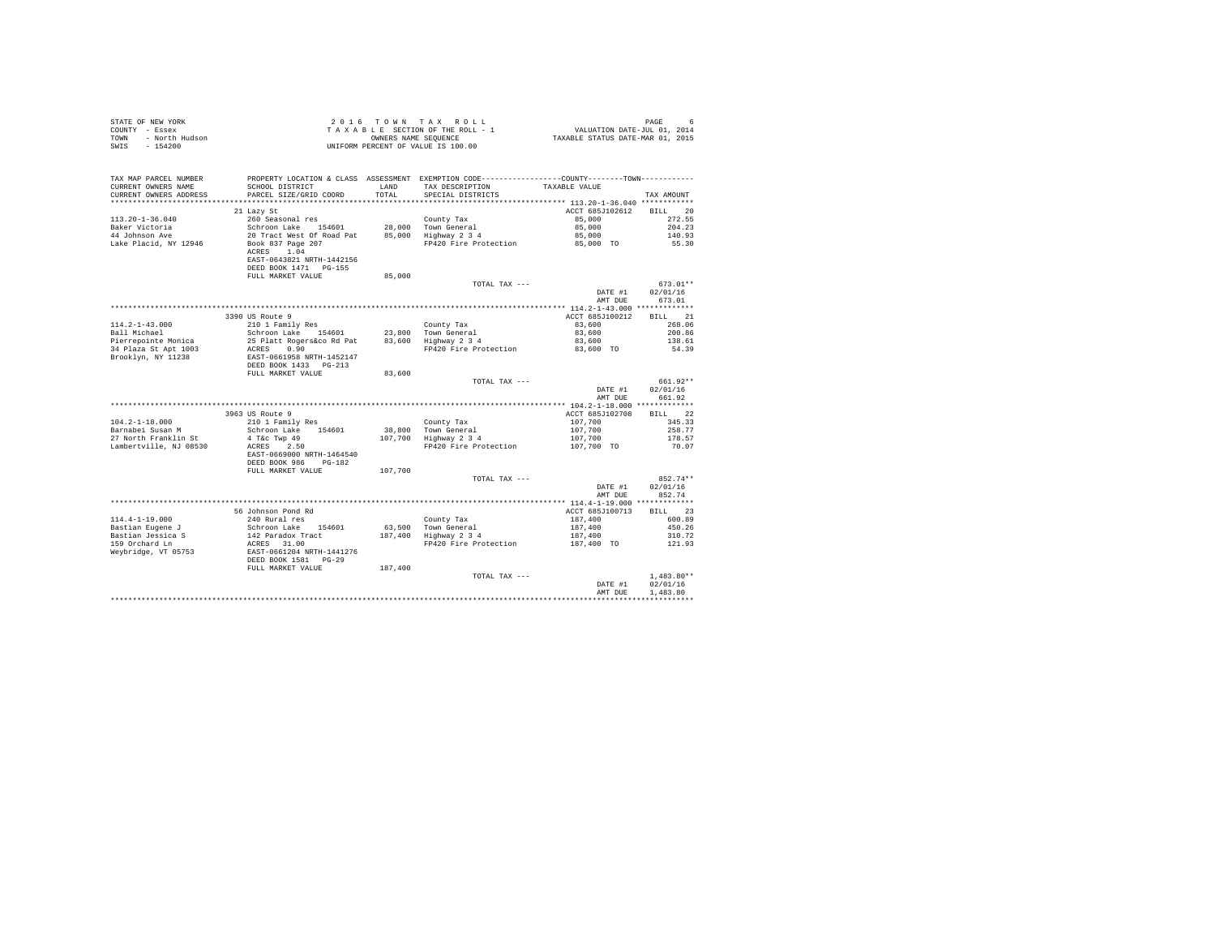| STATE OF NEW YORK<br>COUNTY - Essex<br>- North Hudson<br>TOWN<br>$-154200$<br>SWIS |                                                                    |         | 2016 TOWN TAX ROLL<br>TAXABLE SECTION OF THE ROLL - 1<br>OWNERS NAME SEQUENCE<br>UNIFORM PERCENT OF VALUE IS 100.00           | PAGE<br>PAGE b<br>VALUATION DATE-JUL 01, 2014<br>TAXABLE STATUS DATE-MAR 01, 2015 |                          |  |
|------------------------------------------------------------------------------------|--------------------------------------------------------------------|---------|-------------------------------------------------------------------------------------------------------------------------------|-----------------------------------------------------------------------------------|--------------------------|--|
| TAX MAP PARCEL NUMBER<br>CURRENT OWNERS NAME                                       |                                                                    | LAND    | PROPERTY LOCATION & CLASS ASSESSMENT EXEMPTION CODE---------------COUNTY-------TOWN---------<br>TAX DESCRIPTION TAXABLE VALUE |                                                                                   |                          |  |
| CURRENT OWNERS ADDRESS                                                             | SCHOOL DISTRICT<br>PARCEL SIZE/GRID COORD                          | TOTAL   | SPECIAL DISTRICTS                                                                                                             |                                                                                   | TAX AMOUNT               |  |
|                                                                                    |                                                                    |         |                                                                                                                               |                                                                                   |                          |  |
|                                                                                    | 21 Lazy St                                                         |         |                                                                                                                               | ACCT 685J102612                                                                   | BILL 20                  |  |
| $113.20 - 1 - 36.040$                                                              | 260 Seasonal res                                                   |         | County Tax                                                                                                                    | 85,000                                                                            | 272.55                   |  |
| Baker Victoria                                                                     | Schroon Lake 154601                                                |         | 28,000 Town General                                                                                                           | 85,000                                                                            | 204.23                   |  |
| 44 Johnson Ave                                                                     | 20 Tract West Of Road Pat                                          |         | 85,000 Highway 2 3 4                                                                                                          | 85,000                                                                            | 140.93                   |  |
| Lake Placid, NY 12946                                                              | Book 837 Page 207<br>ACRES 1.04<br>EAST-0643821 NRTH-1442156       |         | FP420 Fire Protection                                                                                                         | 85,000 TO                                                                         | 55.30                    |  |
|                                                                                    | DEED BOOK 1471   PG-155                                            |         |                                                                                                                               |                                                                                   |                          |  |
|                                                                                    | FULL MARKET VALUE                                                  | 85,000  | TOTAL TAX ---                                                                                                                 |                                                                                   | $673.01**$               |  |
|                                                                                    |                                                                    |         |                                                                                                                               | DATE #1                                                                           | 02/01/16                 |  |
|                                                                                    |                                                                    |         |                                                                                                                               | AMT DUE                                                                           | 673.01                   |  |
|                                                                                    |                                                                    |         |                                                                                                                               |                                                                                   |                          |  |
|                                                                                    | 3390 US Route 9                                                    |         |                                                                                                                               | ACCT 685J100212                                                                   | BILL 21                  |  |
| $114.2 - 1 - 43.000$                                                               | 210 1 Family Res                                                   |         | County Tax                                                                                                                    | 83,600                                                                            | 268.06                   |  |
| Ball Michael                                                                       | Schroon Lake 154601                                                |         | 23,800 Town General                                                                                                           | 83,600                                                                            | 200.86                   |  |
| Pierrepointe Monica                                                                | 25 Platt Rogers&co Rd Pat                                          |         | 83,600 Highway 2 3 4                                                                                                          | 83,600                                                                            | 138.61                   |  |
| 34 Plaza St Apt 1003<br>Brooklyn, NY 11238                                         | ACRES 0.90<br>EAST-0661958 NRTH-1452147<br>DEED BOOK 1433   PG-213 |         | FP420 Fire Protection                                                                                                         | 83,600 TO                                                                         | 54.39                    |  |
|                                                                                    | FULL MARKET VALUE                                                  | 83,600  |                                                                                                                               |                                                                                   |                          |  |
|                                                                                    |                                                                    |         | TOTAL TAX ---                                                                                                                 |                                                                                   | 661.92**                 |  |
|                                                                                    |                                                                    |         |                                                                                                                               | DATE #1<br>AMT DUE                                                                | 02/01/16<br>661.92       |  |
|                                                                                    |                                                                    |         |                                                                                                                               |                                                                                   |                          |  |
|                                                                                    | 3963 US Route 9                                                    |         |                                                                                                                               | ACCT 685J102708                                                                   | BILL 22                  |  |
| $104.2 - 1 - 18.000$                                                               | 210 1 Family Res                                                   |         | County Tax                                                                                                                    | 107,700                                                                           | 345.33                   |  |
| Barnabei Susan M                                                                   | Schroon Lake 154601                                                |         | 38.800 Town General                                                                                                           | 107,700                                                                           | 258.77<br>178.57         |  |
| 27 North Franklin St<br>Lambertville, NJ 08530                                     | 4 T&c Twp 49<br>ACRES 2.50                                         |         | 107,700 Highway 2 3 4<br>FP420 Fire Protection                                                                                | 107,700<br>107,700 TO                                                             | 70.07                    |  |
|                                                                                    | EAST-0669000 NRTH-1464540<br>DEED BOOK 986 PG-182                  |         |                                                                                                                               |                                                                                   |                          |  |
|                                                                                    | FULL MARKET VALUE                                                  | 107,700 |                                                                                                                               |                                                                                   |                          |  |
|                                                                                    |                                                                    |         | TOTAL TAX ---                                                                                                                 |                                                                                   | 852.74**                 |  |
|                                                                                    |                                                                    |         |                                                                                                                               | DATE #1<br>AMT DUE                                                                | 02/01/16<br>852.74       |  |
|                                                                                    |                                                                    |         |                                                                                                                               |                                                                                   |                          |  |
|                                                                                    | 56 Johnson Pond Rd                                                 |         |                                                                                                                               | ACCT 685J100713                                                                   | BILL 23                  |  |
| $114.4 - 1 - 19.000$                                                               | 240 Rural res<br>Schroon Lake 154601                               |         | County Tax<br>63.500 Town General                                                                                             | 187,400<br>187,400                                                                | 600.89<br>450.26         |  |
| Bastian Eugene J<br>Bastian Jessica S                                              | 142 Paradox Tract                                                  |         | 187,400 Highway 2 3 4                                                                                                         | 187,400                                                                           | 310.72                   |  |
| 159 Orchard Ln                                                                     | ACRES 31.00                                                        |         | FP420 Fire Protection                                                                                                         | 187,400 TO                                                                        | 121.93                   |  |
| Weybridge, VT 05753                                                                | EAST-0661204 NRTH-1441276<br>DEED BOOK 1581 PG-29                  |         |                                                                                                                               |                                                                                   |                          |  |
|                                                                                    | FULL MARKET VALUE                                                  | 187,400 |                                                                                                                               |                                                                                   |                          |  |
|                                                                                    |                                                                    |         | TOTAL TAX ---                                                                                                                 | DATE #1                                                                           | $1.483.80**$<br>02/01/16 |  |
|                                                                                    |                                                                    |         |                                                                                                                               | AMT DUE                                                                           | 1,483.80                 |  |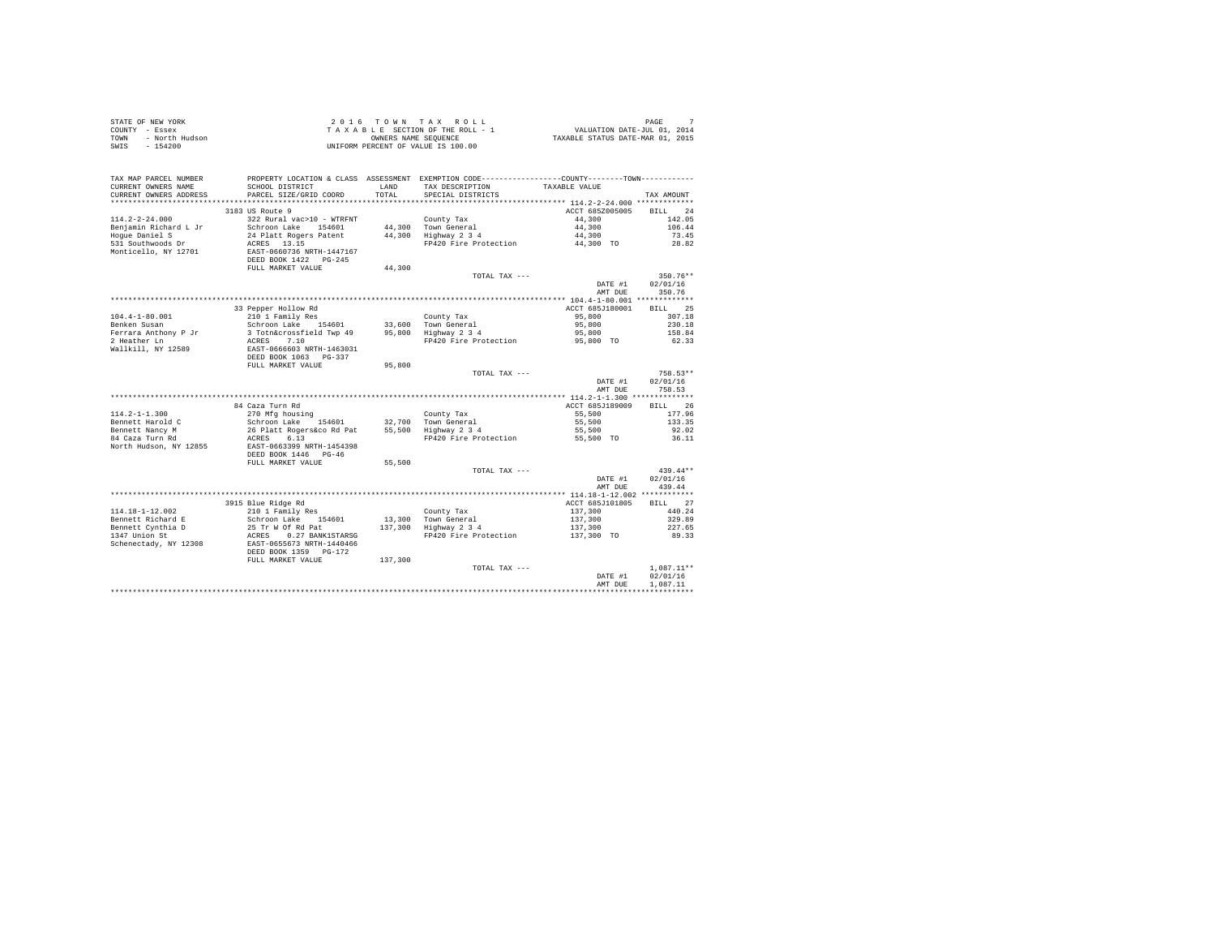| STATE OF NEW YORK<br>COUNTY - Essex<br>TOWN<br>- North Hudson<br>SWIS<br>$-154200$ |                                                       |         | 2016 TOWN TAX ROLL<br>TAXABLE SECTION OF THE ROLL - 1<br>OWNERS NAME SEOUENCE<br>UNIFORM PERCENT OF VALUE IS 100.00 | PAGE 7<br>VALUATION DATE-JUL 01, 2014<br>TAXABLE STATUS DATE-MAR 01, 2015 | $\overline{7}$<br>PAGE |
|------------------------------------------------------------------------------------|-------------------------------------------------------|---------|---------------------------------------------------------------------------------------------------------------------|---------------------------------------------------------------------------|------------------------|
| TAX MAP PARCEL NUMBER<br>CURRENT OWNERS NAME                                       | SCHOOL DISTRICT                                       | LAND    | PROPERTY LOCATION & CLASS ASSESSMENT EXEMPTION CODE----------------COUNTY--------TOWN----------<br>TAX DESCRIPTION  | TAXABLE VALUE                                                             |                        |
| CURRENT OWNERS ADDRESS                                                             | PARCEL SIZE/GRID COORD                                | TOTAL   | SPECIAL DISTRICTS                                                                                                   |                                                                           | TAX AMOUNT             |
|                                                                                    | 3183 US Route 9                                       |         |                                                                                                                     | ACCT 685Z005005                                                           | RTT.T. 24              |
| $114.2 - 2 - 24.000$                                                               | 322 Rural vac>10 - WTRFNT                             |         | County Tax                                                                                                          | 44,300                                                                    | 142.05                 |
| Benjamin Richard L Jr                                                              | Schroon Lake 154601                                   |         | 44,300 Town General                                                                                                 | 44,300                                                                    | 106.44                 |
| Hoque Daniel S                                                                     | 24 Platt Rogers Patent                                |         | 44,300 Highway 2 3 4                                                                                                | 44,300                                                                    | 73.45                  |
| 531 Southwoods Dr                                                                  | ACRES 13.15                                           |         | FP420 Fire Protection                                                                                               | 44,300 TO                                                                 | 28.82                  |
| Monticello, NY 12701                                                               | EAST-0660736 NRTH-1447167<br>DEED BOOK 1422    PG-245 |         |                                                                                                                     |                                                                           |                        |
|                                                                                    | FULL MARKET VALUE                                     | 44,300  |                                                                                                                     |                                                                           |                        |
|                                                                                    |                                                       |         | TOTAL TAX ---                                                                                                       | DATE #1                                                                   | $350.76**$<br>02/01/16 |
|                                                                                    |                                                       |         |                                                                                                                     | AMT DUE                                                                   | 350.76                 |
|                                                                                    |                                                       |         |                                                                                                                     |                                                                           |                        |
|                                                                                    | 33 Pepper Hollow Rd                                   |         |                                                                                                                     | ACCT 685J180001                                                           | BILL 25                |
| $104.4 - 1 - 80.001$                                                               | 210 1 Family Res                                      |         | County Tax                                                                                                          | 95,800                                                                    | 307.18                 |
| Benken Susan                                                                       | Schroon Lake 154601                                   |         | 33,600 Town General<br>$95,800$ Highway $2\,3\,4$                                                                   | 95,800                                                                    | 230.18                 |
| Ferrara Anthony P Jr<br>2 Heather Ln                                               | 3 Totn&crossfield Twp 49<br>ACRES 7.10                |         | FP420 Fire Protection                                                                                               | 95,800<br>95,800 TO                                                       | 158.84<br>62.33        |
| Wallkill, NY 12589                                                                 | EAST-0666603 NRTH-1463031                             |         |                                                                                                                     |                                                                           |                        |
|                                                                                    | DEED BOOK 1063 PG-337                                 |         |                                                                                                                     |                                                                           |                        |
|                                                                                    | FULL MARKET VALUE                                     | 95,800  |                                                                                                                     |                                                                           |                        |
|                                                                                    |                                                       |         | TOTAL TAX ---                                                                                                       |                                                                           | 758.53**               |
|                                                                                    |                                                       |         |                                                                                                                     | DATE #1                                                                   | 02/01/16               |
|                                                                                    |                                                       |         |                                                                                                                     | AMT DUE                                                                   | 758.53                 |
|                                                                                    |                                                       |         |                                                                                                                     |                                                                           | BILL 26                |
| $114.2 - 1 - 1.300$                                                                | 84 Caza Turn Rd<br>270 Mfg housing                    |         |                                                                                                                     | ACCT 685J189009<br>55,500                                                 | 177.96                 |
| Bennett Harold C                                                                   | Schroon Lake 154601                                   |         | County Tax<br>32,700 Town General                                                                                   | 55,500                                                                    | 133.35                 |
|                                                                                    | 26 Platt Rogers&co Rd Pat                             |         | $55,500$ Highway 2 3 4                                                                                              | 55,500                                                                    | 92.02                  |
| Bennett Nancy M<br>84 Caza Turn Rd                                                 | ACRES 6.13                                            |         | FP420 Fire Protection                                                                                               | 55,500 TO                                                                 | 36.11                  |
| North Hudson, NY 12855                                                             | EAST-0663399 NRTH-1454398<br>DEED BOOK 1446 PG-46     |         |                                                                                                                     |                                                                           |                        |
|                                                                                    | FULL MARKET VALUE                                     | 55,500  |                                                                                                                     |                                                                           |                        |
|                                                                                    |                                                       |         | TOTAL TAX ---                                                                                                       |                                                                           | $439.44**$             |
|                                                                                    |                                                       |         |                                                                                                                     | DATE #1                                                                   | 02/01/16               |
|                                                                                    |                                                       |         |                                                                                                                     | AMT DUE                                                                   | 439.44                 |
|                                                                                    |                                                       |         |                                                                                                                     |                                                                           |                        |
|                                                                                    | 3915 Blue Ridge Rd                                    |         |                                                                                                                     | ACCT 685J101805                                                           | BILL 27                |
| $114.18 - 1 - 12.002$                                                              | 210 1 Family Res                                      |         | County Tax                                                                                                          | 137,300                                                                   | 440.24                 |
| Bennett Richard E                                                                  | Schroon Lake 154601<br>25 Tr W Of Rd Pat              |         | 13,300 Town General<br>$137,300$ Highway 2 3 4                                                                      | 137,300                                                                   | 329.89<br>227.65       |
| Bennett Cynthia D<br>1347 Union St                                                 | ACRES 0.27 BANK1STARSG                                |         | FP420 Fire Protection                                                                                               | 137,300<br>137,300 TO                                                     | 89.33                  |
| Schenectady, NY 12308                                                              | EAST-0655673 NRTH-1440466                             |         |                                                                                                                     |                                                                           |                        |
|                                                                                    | DEED BOOK 1359 PG-172                                 |         |                                                                                                                     |                                                                           |                        |
|                                                                                    | FULL MARKET VALUE                                     | 137,300 |                                                                                                                     |                                                                           |                        |
|                                                                                    |                                                       |         | TOTAL TAX ---                                                                                                       |                                                                           | $1.087.11**$           |
|                                                                                    |                                                       |         |                                                                                                                     | DATE #1                                                                   | 02/01/16               |
|                                                                                    |                                                       |         |                                                                                                                     | AMT DUE                                                                   | 1,087.11               |
|                                                                                    |                                                       |         |                                                                                                                     |                                                                           |                        |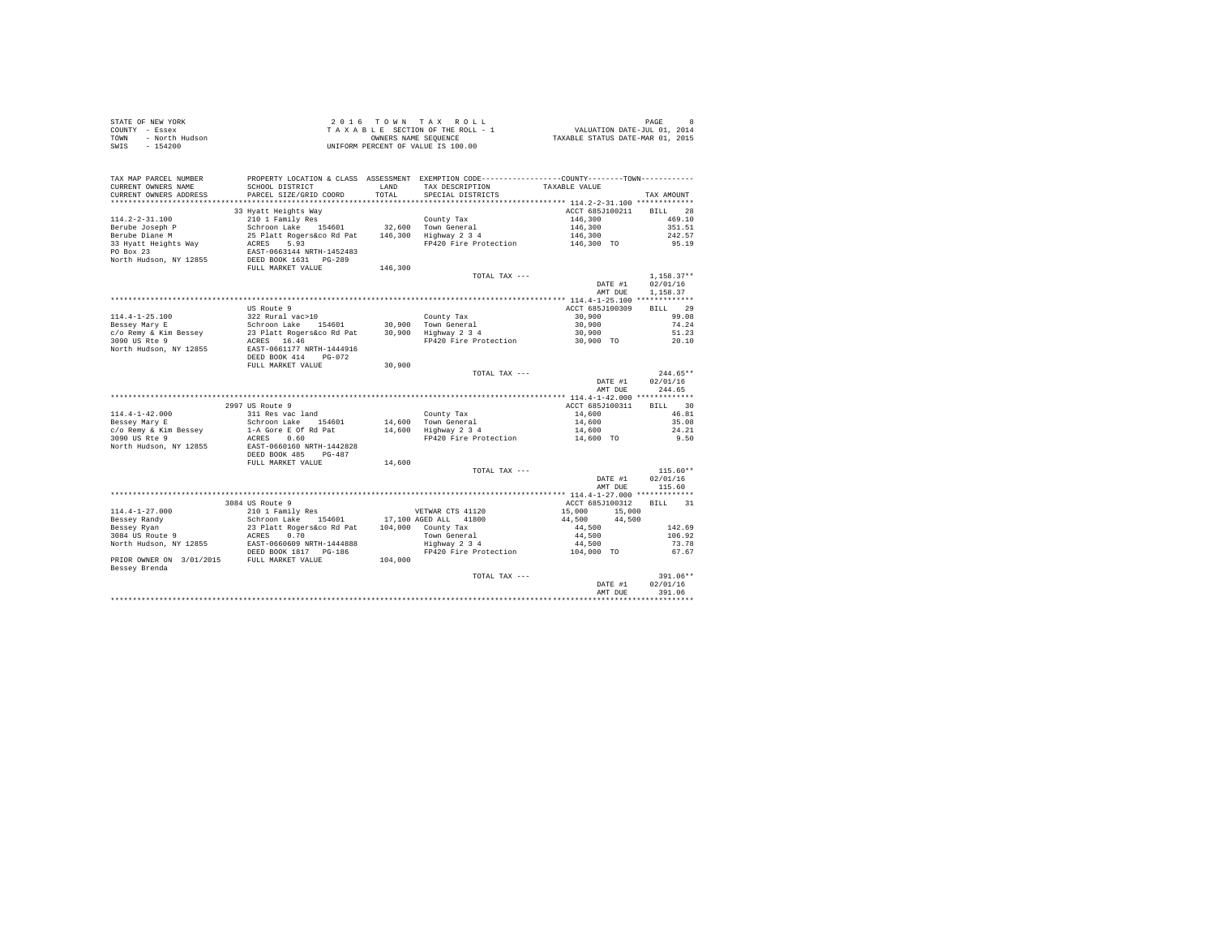| STATE OF NEW YORK<br>COUNTY - Essex<br>- North Hudson<br>TOWN<br>$-154200$<br>SWIS                        | 2016 TOWN TAX ROLL<br>VALUATION DATE-JUL 01, 2014<br>TAXABLE SECTION OF THE ROLL - 1<br>TAXABLE STATUS DATE-MAR 01, 2015<br>OWNERS NAME SEOUENCE<br>UNIFORM PERCENT OF VALUE IS 100.00 |                  |                                                                                                                                         |                                                                                                                                                                                                                                            | PAGE<br>8                                   |
|-----------------------------------------------------------------------------------------------------------|----------------------------------------------------------------------------------------------------------------------------------------------------------------------------------------|------------------|-----------------------------------------------------------------------------------------------------------------------------------------|--------------------------------------------------------------------------------------------------------------------------------------------------------------------------------------------------------------------------------------------|---------------------------------------------|
| TAX MAP PARCEL NUMBER<br>CURRENT OWNERS NAME<br>CURRENT OWNERS ADDRESS                                    | SCHOOL DISTRICT<br>PARCEL SIZE/GRID COORD                                                                                                                                              | T.AND<br>TOTAL   | PROPERTY LOCATION & CLASS ASSESSMENT EXEMPTION CODE----------------COUNTY--------TOWN----------<br>TAX DESCRIPTION<br>SPECIAL DISTRICTS | TAXABLE VALUE                                                                                                                                                                                                                              | TAX AMOUNT                                  |
|                                                                                                           | 33 Hyatt Heights Way                                                                                                                                                                   |                  |                                                                                                                                         | ACCT 685J100211                                                                                                                                                                                                                            | RTLL 28                                     |
| $114.2 - 2 - 31.100$<br>Berube Joseph P<br>Berube Diane M<br>33 Hyatt Heights Way                         | 210 1 Family Res<br>Schroon Lake 154601 32,600<br>25 Platt Rogers&co Rd Pat 146,300<br>5.93<br>ACRES                                                                                   |                  | County Tax<br>Town General<br>Highway 2 3 4<br>FP420 Fire Protection                                                                    | 146,300<br>146,300<br>146,300<br>146,300 TO                                                                                                                                                                                                | 469.10<br>351.51<br>242.57<br>95.19         |
| PO Box 23<br>North Hudson, NY 12855                                                                       | EAST-0663144 NRTH-1452483<br>DEED BOOK 1631 PG-289<br>FULL MARKET VALUE                                                                                                                | 146,300          | TOTAL TAX $---$                                                                                                                         |                                                                                                                                                                                                                                            | $1.158.37**$                                |
|                                                                                                           |                                                                                                                                                                                        |                  |                                                                                                                                         | DATE #1<br>AMT DUE                                                                                                                                                                                                                         | 02/01/16<br>1,158.37                        |
|                                                                                                           |                                                                                                                                                                                        |                  |                                                                                                                                         |                                                                                                                                                                                                                                            |                                             |
| $114.4 - 1 - 25.100$<br>Bessey Mary E<br>c/o Remy & Kim Bessey<br>3090 US Rte 9<br>North Hudson, NY 12855 | US Route 9<br>322 Rural vac>10<br>Schroon Lake<br>154601<br>23 Platt Rogers&co Rd Pat<br>ACRES 16.46<br>EAST-0661177 NRTH-1444916<br>DEED BOOK 414<br>$PG-072$                         | 30,900<br>30,900 | County Tax<br>Town General<br>Highway 2 3 4<br>FP420 Fire Protection                                                                    | ACCT 685J100309<br>30,900<br>30,900<br>30,900<br>30,900 TO                                                                                                                                                                                 | BILL 29<br>99.08<br>74.24<br>51.23<br>20.10 |
|                                                                                                           | FULL MARKET VALUE                                                                                                                                                                      | 30,900           |                                                                                                                                         |                                                                                                                                                                                                                                            |                                             |
|                                                                                                           |                                                                                                                                                                                        |                  | TOTAL TAX $---$                                                                                                                         | DATE #1<br>AMT DUE                                                                                                                                                                                                                         | $244.65**$<br>02/01/16<br>244.65            |
|                                                                                                           | 2997 US Route 9                                                                                                                                                                        |                  |                                                                                                                                         | ACCT 685J100311                                                                                                                                                                                                                            | <b>BILL</b><br>30                           |
|                                                                                                           |                                                                                                                                                                                        |                  |                                                                                                                                         | $\overline{\phantom{a}}$ . The contract of the contract of the contract of the contract of the contract of the contract of the contract of the contract of the contract of the contract of the contract of the contract of the contract of |                                             |

| $114.4 - 1 - 42.000$     | 311 Res vac land          |         | County Tax            | 14,600           | 46.81      |
|--------------------------|---------------------------|---------|-----------------------|------------------|------------|
| Bessey Mary E            | 154601<br>Schroon Lake    | 14,600  | Town General          | 14,600           | 35.08      |
| c/o Remy & Kim Bessey    | 1-A Gore E Of Rd Pat      | 14,600  | Highway 2 3 4         | 14,600           | 24.21      |
| 3090 US Rte 9            | 0.60<br>ACRES             |         | FP420 Fire Protection | 14,600 TO        | 9.50       |
| North Hudson, NY 12855   | EAST-0660160 NRTH-1442828 |         |                       |                  |            |
|                          | DEED BOOK 485<br>$PG-487$ |         |                       |                  |            |
|                          | FULL MARKET VALUE         | 14,600  |                       |                  |            |
|                          |                           |         | TOTAL TAX ---         |                  | $115.60**$ |
|                          |                           |         |                       | DATE #1          | 02/01/16   |
|                          |                           |         |                       | AMT DUR          | 115.60     |
|                          |                           |         |                       |                  |            |
|                          | 3084 US Route 9           |         |                       | ACCT 685J100312  | 31<br>BILL |
| $114.4 - 1 - 27.000$     | 210 1 Family Res          |         | VETWAR CTS 41120      | 15,000<br>15,000 |            |
| Bessey Randy             | Schroon Lake<br>154601    |         | 17,100 AGED ALL 41800 | 44.500<br>44,500 |            |
| Bessey Ryan              | 23 Platt Rogers&co Rd Pat | 104,000 | County Tax            | 44,500           | 142.69     |
| 3084 US Route 9          | 0.70<br>ACRES             |         | Town General          | 44,500           | 106.92     |
| North Hudson, NY 12855   | EAST-0660609 NRTH-1444888 |         | Highway 2 3 4         | 44,500           | 73.78      |
|                          | DEED BOOK 1817 PG-186     |         | FP420 Fire Protection | 104,000 TO       | 67.67      |
| PRIOR OWNER ON 3/01/2015 | FULL MARKET VALUE         | 104,000 |                       |                  |            |
| Bessey Brenda            |                           |         |                       |                  |            |
|                          |                           |         | TOTAL TAX ---         |                  | $391.06**$ |
|                          |                           |         |                       | DATE #1          | 02/01/16   |
|                          |                           |         |                       | AMT DUE          | 391.06     |
|                          |                           |         |                       |                  |            |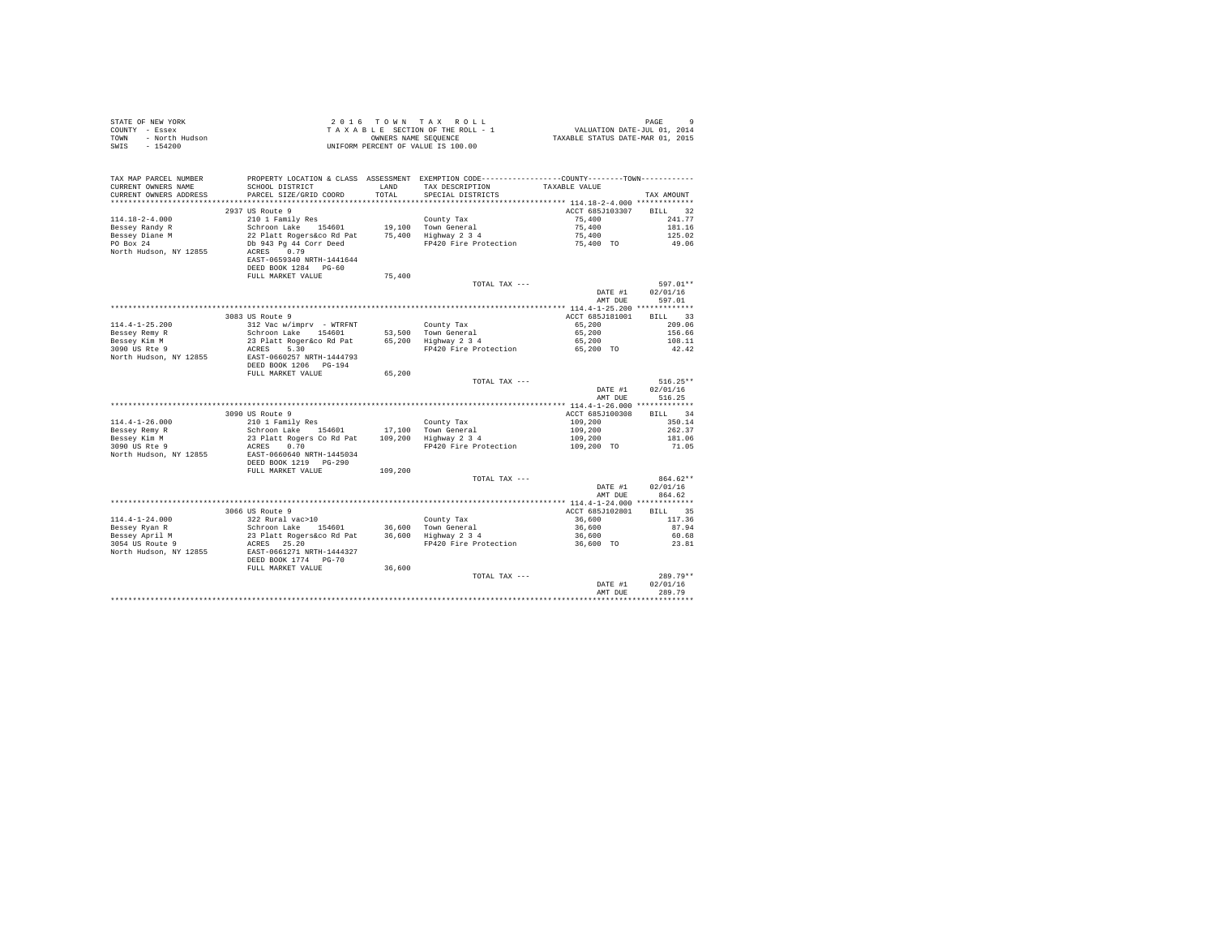| STATE OF NEW YORK<br>COUNTY - Essex<br>TOWN - North Hudson<br>SWIS - 154200 |                                                                   |         | 2016 TOWN TAX ROLL<br>$\begin{array}{lcl} 2 & 0 & 1 & 6 & \textrm{TO}~\textsc{N}~\textsc{N}~\textsc{N}~\textsc{N}~\textsc{N}~\textsc{N}~\textsc{N}~\textsc{N}~\textsc{N}~\textsc{N}~\textsc{N}~\textsc{N}~\textsc{N}~\textsc{N}~\textsc{N}~\textsc{N}~\textsc{N}~\textsc{N}~\textsc{N}~\textsc{N}~\textsc{N}~\textsc{N}~\textsc{N}~\textsc{N}~\textsc{N}~\textsc{N}~\textsc{N}~\textsc$<br>UNIFORM PERCENT OF VALUE IS 100.00 |                       | $\circ$<br>PAGE                |
|-----------------------------------------------------------------------------|-------------------------------------------------------------------|---------|-------------------------------------------------------------------------------------------------------------------------------------------------------------------------------------------------------------------------------------------------------------------------------------------------------------------------------------------------------------------------------------------------------------------------------|-----------------------|--------------------------------|
| TAX MAP PARCEL NUMBER<br>CURRENT OWNERS NAME                                | SCHOOL DISTRICT                                                   | LAND    | PROPERTY LOCATION & CLASS ASSESSMENT EXEMPTION CODE---------------COUNTY-------TOWN----------<br>TAX DESCRIPTION                                                                                                                                                                                                                                                                                                              | TAXABLE VALUE         |                                |
| CURRENT OWNERS ADDRESS                                                      | PARCEL SIZE/GRID COORD                                            | TOTAL   | SPECIAL DISTRICTS                                                                                                                                                                                                                                                                                                                                                                                                             |                       | TAX AMOUNT                     |
|                                                                             |                                                                   |         |                                                                                                                                                                                                                                                                                                                                                                                                                               |                       |                                |
|                                                                             | 2937 US Route 9                                                   |         |                                                                                                                                                                                                                                                                                                                                                                                                                               | ACCT 685J103307       | BILL 32                        |
| $114.18 - 2 - 4.000$                                                        | 210 1 Family Res                                                  |         | County Tax                                                                                                                                                                                                                                                                                                                                                                                                                    | 75,400                | 241.77                         |
| Bessey Randy R                                                              | Schroon Lake 154601                                               |         | 19,100 Town General<br>19,100 Town General<br>75,400 Highway 234                                                                                                                                                                                                                                                                                                                                                              | 75,400                | 181.16                         |
| Bessey Diane M<br>PO Box 24                                                 | 22 Platt Rogers&co Rd Pat                                         |         |                                                                                                                                                                                                                                                                                                                                                                                                                               | 75,400<br>75,400 TO   | 125.02                         |
| North Hudson, NY 12855                                                      | Db 943 Pg 44 Corr Deed<br>ACRES 0.79<br>EAST-0659340 NRTH-1441644 |         | FP420 Fire Protection                                                                                                                                                                                                                                                                                                                                                                                                         |                       | 49.06                          |
|                                                                             | DEED BOOK 1284 PG-60                                              |         |                                                                                                                                                                                                                                                                                                                                                                                                                               |                       |                                |
|                                                                             | FULL MARKET VALUE                                                 | 75,400  |                                                                                                                                                                                                                                                                                                                                                                                                                               |                       |                                |
|                                                                             |                                                                   |         | TOTAL TAX ---                                                                                                                                                                                                                                                                                                                                                                                                                 | DATE #1<br>AMT DUE    | 597.01**<br>02/01/16<br>597.01 |
|                                                                             |                                                                   |         |                                                                                                                                                                                                                                                                                                                                                                                                                               |                       |                                |
|                                                                             | 3083 US Route 9                                                   |         |                                                                                                                                                                                                                                                                                                                                                                                                                               | ACCT 685J181001       | BILL 33                        |
| $114.4 - 1 - 25.200$                                                        | 312 Vac w/imprv - WTRFNT                                          |         | County Tax                                                                                                                                                                                                                                                                                                                                                                                                                    | 65,200                | 209.06                         |
| Bessey Remy R                                                               | Schroon Lake 154601                                               |         | 53,500 Town General<br>65,200 Highway 2 3 4                                                                                                                                                                                                                                                                                                                                                                                   | 65,200                | 156.66                         |
| Bessev Kim M<br>Bessey Kim M<br>3090 US Rte 9                               | 23 Platt Roger&co Rd Pat                                          |         |                                                                                                                                                                                                                                                                                                                                                                                                                               | 65,200                | 108.11                         |
|                                                                             | ACRES 5.30                                                        |         | FP420 Fire Protection                                                                                                                                                                                                                                                                                                                                                                                                         | 65,200 TO             | 42.42                          |
| North Hudson, NY 12855                                                      | EAST-0660257 NRTH-1444793<br>DEED BOOK 1206 PG-194                |         |                                                                                                                                                                                                                                                                                                                                                                                                                               |                       |                                |
|                                                                             | FULL MARKET VALUE                                                 | 65,200  |                                                                                                                                                                                                                                                                                                                                                                                                                               |                       |                                |
|                                                                             |                                                                   |         | TOTAL TAX ---                                                                                                                                                                                                                                                                                                                                                                                                                 |                       | $516.25**$                     |
|                                                                             |                                                                   |         |                                                                                                                                                                                                                                                                                                                                                                                                                               | DATE #1               | 02/01/16                       |
|                                                                             |                                                                   |         |                                                                                                                                                                                                                                                                                                                                                                                                                               | AMT DUE               | 516.25                         |
|                                                                             |                                                                   |         |                                                                                                                                                                                                                                                                                                                                                                                                                               |                       |                                |
|                                                                             | 3090 US Route 9                                                   |         |                                                                                                                                                                                                                                                                                                                                                                                                                               | ACCT 685J100308       | BILL 34                        |
| $114.4 - 1 - 26.000$                                                        | 210 1 Family Res                                                  |         | County Tax                                                                                                                                                                                                                                                                                                                                                                                                                    | 109,200               | 350.14                         |
| Bessey Remy R                                                               | Schroon Lake 154601                                               |         | 17,100 Town General<br>109,200 Highway 2 3 4                                                                                                                                                                                                                                                                                                                                                                                  | 109,200               | 262.37<br>181.06               |
|                                                                             | 23 Platt Rogers Co Rd Pat<br>ACRES 0.70                           |         | FP420 Fire Protection                                                                                                                                                                                                                                                                                                                                                                                                         | 109,200<br>109,200 TO | 71.05                          |
| $3090$ US Rte 9<br>North $\frac{m-1}{2}$<br>North Hudson, NY 12855          | EAST-0660640 NRTH-1445034<br>DEED BOOK 1219 PG-290                |         |                                                                                                                                                                                                                                                                                                                                                                                                                               |                       |                                |
|                                                                             | FULL MARKET VALUE                                                 | 109,200 |                                                                                                                                                                                                                                                                                                                                                                                                                               |                       |                                |
|                                                                             |                                                                   |         | TOTAL TAX ---                                                                                                                                                                                                                                                                                                                                                                                                                 |                       | 864.62**                       |
|                                                                             |                                                                   |         |                                                                                                                                                                                                                                                                                                                                                                                                                               | DATE #1               | 02/01/16<br>864.62             |
|                                                                             |                                                                   |         |                                                                                                                                                                                                                                                                                                                                                                                                                               | AMT DUE               |                                |
|                                                                             | 3066 US Route 9                                                   |         |                                                                                                                                                                                                                                                                                                                                                                                                                               | ACCT 685J102801       | BILL 35                        |
| $114.4 - 1 - 24.000$                                                        | 322 Rural vac>10                                                  |         | County Tax                                                                                                                                                                                                                                                                                                                                                                                                                    | 36,600                | 117.36                         |
| Bessey Ryan R                                                               | Schroon Lake 154601                                               |         |                                                                                                                                                                                                                                                                                                                                                                                                                               | 36,600                | 87.94                          |
|                                                                             | 23 Platt Rogers&co Rd Pat                                         |         | Councy Tax<br>36,600 Town General<br>36,600 Highway 2 3 4                                                                                                                                                                                                                                                                                                                                                                     | 36,600                | 60.68                          |
| Bessey April M<br>3054 US Route 9                                           | ACRES 25.20                                                       |         | FP420 Fire Protection                                                                                                                                                                                                                                                                                                                                                                                                         | 36,600 TO             | 23.81                          |
| North Hudson, NY 12855                                                      | EAST-0661271 NRTH-1444327<br>DEED BOOK 1774 PG-70                 |         |                                                                                                                                                                                                                                                                                                                                                                                                                               |                       |                                |
|                                                                             | FULL MARKET VALUE                                                 | 36,600  |                                                                                                                                                                                                                                                                                                                                                                                                                               |                       |                                |
|                                                                             |                                                                   |         | TOTAL TAX ---                                                                                                                                                                                                                                                                                                                                                                                                                 |                       | 289.79**                       |
|                                                                             |                                                                   |         |                                                                                                                                                                                                                                                                                                                                                                                                                               | DATE #1<br>AMT DUE    | 02/01/16<br>289.79             |
|                                                                             |                                                                   |         |                                                                                                                                                                                                                                                                                                                                                                                                                               |                       |                                |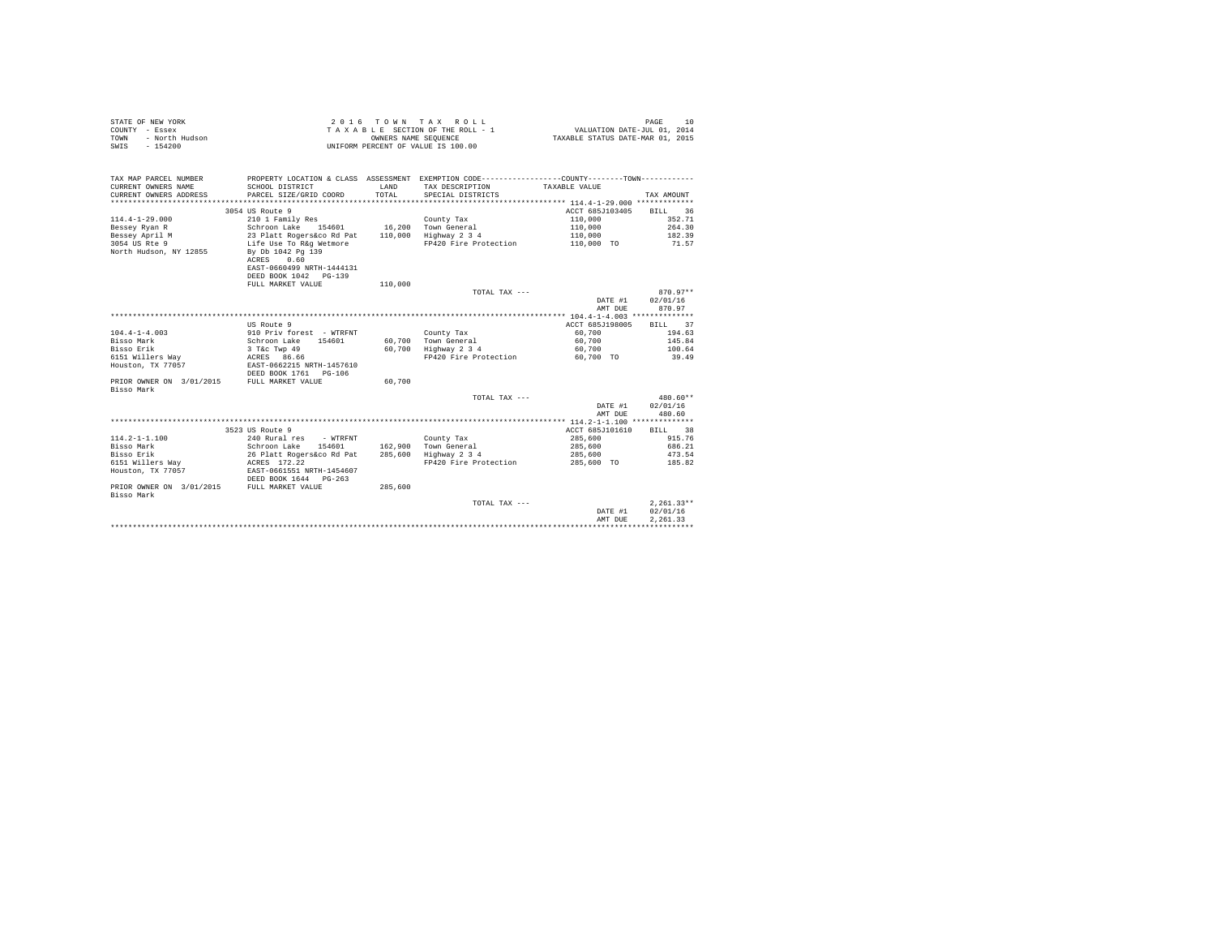| STATE OF NEW YORK      | 2016 TOWN TAX ROLL                 | PAGE                             |
|------------------------|------------------------------------|----------------------------------|
| COUNTY - Essex         | TAXABLE SECTION OF THE ROLL - 1    | VALUATION DATE-JUL 01, 2014      |
| TOWN<br>- North Hudson | OWNERS NAME SEOUENCE               | TAXABLE STATUS DATE-MAR 01, 2015 |
| - 154200<br>SWIS       | UNIFORM PERCENT OF VALUE IS 100.00 |                                  |

| TAX MAP PARCEL NUMBER                      | PROPERTY LOCATION & CLASS ASSESSMENT EXEMPTION CODE----------------COUNTY--------TOWN---------- |              |                               |                 |              |
|--------------------------------------------|-------------------------------------------------------------------------------------------------|--------------|-------------------------------|-----------------|--------------|
| CURRENT OWNERS NAME                        | SCHOOL DISTRICT                                                                                 | <b>T.AND</b> | TAX DESCRIPTION TAXABLE VALUE |                 |              |
| CURRENT OWNERS ADDRESS                     | PARCEL SIZE/GRID COORD                                                                          | TOTAL.       | SPECIAL DISTRICTS             |                 | TAX AMOUNT   |
|                                            |                                                                                                 |              |                               |                 |              |
|                                            | 3054 US Route 9                                                                                 |              |                               | ACCT 685J103405 | BILL 36      |
| $114.4 - 1 - 29.000$                       | 210 1 Family Res                                                                                |              | County Tax                    | 110,000         | 352.71       |
| Bessey Ryan R                              | Schroon Lake 154601 16,200 Town General                                                         |              |                               | 110,000         | 264.30       |
| Bessey April M                             |                                                                                                 | 110,000      | Highway 2 3 4                 | 110,000         | 182.39       |
| 3054 US Rte 9                              | 23 Platt Rogers&co Rd Pat<br>Life Use To R&g Wetmore                                            |              | FP420 Fire Protection         | 110,000 TO      | 71.57        |
| North Hudson, NY 12855                     | By Db 1042 Pg 139                                                                               |              |                               |                 |              |
|                                            | ACRES 0.60                                                                                      |              |                               |                 |              |
|                                            | EAST-0660499 NRTH-1444131                                                                       |              |                               |                 |              |
|                                            | DEED BOOK 1042 PG-139                                                                           |              |                               |                 |              |
|                                            | FULL MARKET VALUE                                                                               | 110,000      |                               |                 |              |
|                                            |                                                                                                 |              |                               |                 | $870.97**$   |
|                                            |                                                                                                 |              | TOTAL TAX ---                 |                 |              |
|                                            |                                                                                                 |              |                               | DATE #1         | 02/01/16     |
|                                            |                                                                                                 |              |                               | AMT DUE         | 870.97       |
|                                            |                                                                                                 |              |                               |                 |              |
|                                            | US Route 9                                                                                      |              |                               | ACCT 685J198005 | BILL 37      |
| $104.4 - 1 - 4.003$                        | 910 Priv forest - WTRFNT                                                                        |              | County Tax                    | 60,700          | 194.63       |
| Bisso Mark                                 | Schroon Lake 154601                                                                             |              | 60,700 Town General           | 60,700          | 145.84       |
| Bisso Erik                                 | 3 T&C Twp 49<br>ACRES 86.66                                                                     |              | 60,700 Highway 2 3 4          | 60,700          | 100.64       |
| 6151 Willers Way                           |                                                                                                 |              | FP420 Fire Protection         | 60.700 TO       | 39.49        |
| Houston, TX 77057                          | EAST-0662215 NRTH-1457610                                                                       |              |                               |                 |              |
|                                            | DEED BOOK 1761 PG-106                                                                           |              |                               |                 |              |
| PRIOR OWNER ON 3/01/2015                   | FULL MARKET VALUE                                                                               | 60,700       |                               |                 |              |
| Bisso Mark                                 |                                                                                                 |              |                               |                 |              |
|                                            |                                                                                                 |              | TOTAL TAX ---                 |                 | 480.60**     |
|                                            |                                                                                                 |              |                               | DATE #1         | 02/01/16     |
|                                            |                                                                                                 |              |                               | AMT DUE         | 480.60       |
|                                            |                                                                                                 |              |                               |                 |              |
|                                            | 3523 US Route 9                                                                                 |              |                               | ACCT 685J101610 | BILL 38      |
| $114.2 - 1 - 1.100$                        | 240 Rural res - WTRFNT                                                                          |              | County Tax                    | 285,600         | 915.76       |
| Bisso Mark                                 | 154601<br>Schroon Lake                                                                          |              | 162,900 Town General          | 285,600         | 686.21       |
| Bisso Erik                                 | 26 Platt Rogers&co Rd Pat                                                                       |              | 285,600 Highway 2 3 4         | 285,600         | 473.54       |
| 6151 Willers Wav                           | ACRES 172.22                                                                                    |              | FP420 Fire Protection         | 285,600 TO      | 185.82       |
| Houston, TX 77057                          | EAST-0661551 NRTH-1454607                                                                       |              |                               |                 |              |
|                                            | DEED BOOK 1644 PG-263                                                                           |              |                               |                 |              |
| PRIOR OWNER ON 3/01/2015 FULL MARKET VALUE |                                                                                                 | 285,600      |                               |                 |              |
| Bisso Mark                                 |                                                                                                 |              |                               |                 |              |
|                                            |                                                                                                 |              | TOTAL TAX ---                 |                 | $2,261.33**$ |
|                                            |                                                                                                 |              |                               |                 | 02/01/16     |
|                                            |                                                                                                 |              |                               | DATE #1         |              |
|                                            |                                                                                                 |              |                               | AMT DUE         | 2.261.33     |
|                                            |                                                                                                 |              |                               |                 |              |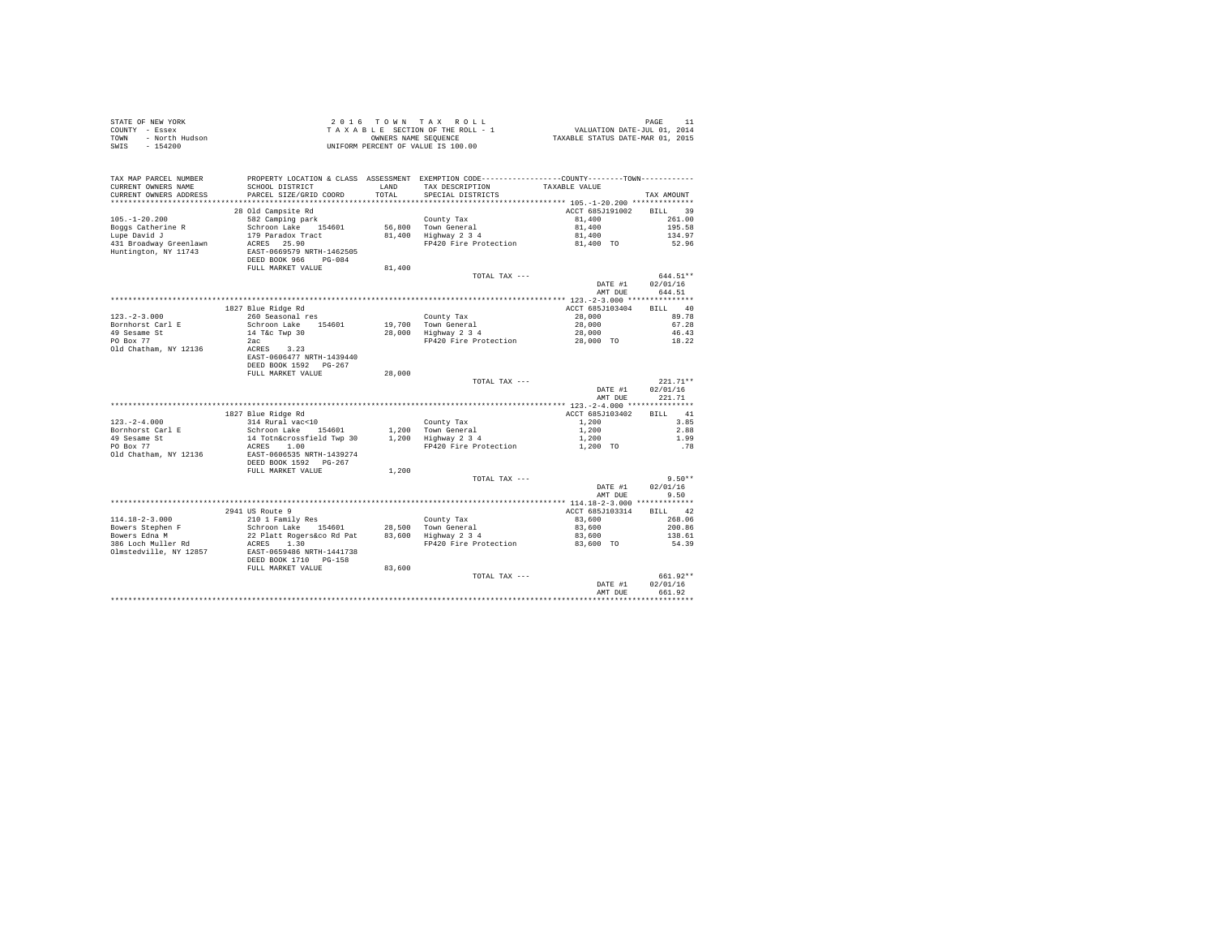| STATE OF NEW YORK<br>COUNTY - Essex<br>- North Hudson<br>TOWN<br>$-154200$<br>SWIS |                                                                  | OWNERS NAME SEQUENCE | 2016 TOWN TAX ROLL<br>TAXABLE SECTION OF THE ROLL - 1<br>UNIFORM PERCENT OF VALUE IS 100.00                                           | 11 PAGE<br>7110 VALUATION DATE-JUL<br>712 TAXABLE STATUS DATE-MART | PAGE<br>11         |
|------------------------------------------------------------------------------------|------------------------------------------------------------------|----------------------|---------------------------------------------------------------------------------------------------------------------------------------|--------------------------------------------------------------------|--------------------|
| TAX MAP PARCEL NUMBER<br>CURRENT OWNERS NAME<br>CURRENT OWNERS ADDRESS             | SCHOOL DISTRICT<br>PARCEL SIZE/GRID COORD                        | LAND<br>TOTAL        | PROPERTY LOCATION & CLASS ASSESSMENT EXEMPTION CODE---------------COUNTY-------TOWN----------<br>TAX DESCRIPTION<br>SPECIAL DISTRICTS | TAXABLE VALUE                                                      | TAX AMOUNT         |
|                                                                                    |                                                                  |                      |                                                                                                                                       |                                                                    |                    |
|                                                                                    | 28 Old Campsite Rd                                               |                      |                                                                                                                                       | ACCT 685J191002                                                    | RTT.T. 39          |
| $105. - 1 - 20.200$                                                                | 582 Camping park                                                 |                      | County Tax                                                                                                                            | 81,400                                                             | 261.00             |
| Boggs Catherine R                                                                  | Schroon Lake 154601                                              |                      | 56,800 Town General                                                                                                                   | 81,400                                                             | 195.58             |
| Lupe David J                                                                       | 179 Paradox Tract                                                |                      | 56,800 Town General<br>81,400 Highway 2 3 4                                                                                           | 81,400                                                             | 134.97             |
| 431 Broadway Greenlawn                                                             | ACRES 25.90                                                      |                      | FP420 Fire Protection                                                                                                                 | 81,400 TO                                                          | 52.96              |
| Huntington, NY 11743                                                               | EAST-0669579 NRTH-1462505<br>DEED BOOK 966 PG-084                |                      |                                                                                                                                       |                                                                    |                    |
|                                                                                    | FULL MARKET VALUE                                                | 81,400               |                                                                                                                                       |                                                                    |                    |
|                                                                                    |                                                                  |                      | TOTAL TAX ---                                                                                                                         |                                                                    | 644.51**           |
|                                                                                    |                                                                  |                      |                                                                                                                                       | DATE #1<br>AMT DUE                                                 | 02/01/16<br>644.51 |
|                                                                                    |                                                                  |                      |                                                                                                                                       |                                                                    |                    |
|                                                                                    | 1827 Blue Ridge Rd                                               |                      |                                                                                                                                       | ACCT 685J103404                                                    | BILL 40            |
| $123. - 2 - 3.000$                                                                 | 260 Seasonal res                                                 |                      | County Tax                                                                                                                            | 28,000                                                             | 89.78              |
| Bornhorst Carl E                                                                   | Schroon Lake 154601                                              | 19,700               |                                                                                                                                       | 28,000                                                             | 67.28              |
| 49 Sesame St<br>PO Box 77                                                          | 14 T&c Twp 30                                                    |                      | 19,700 Town General<br>28,000 Highway 2 3 4                                                                                           | 28,000                                                             | 46.43              |
|                                                                                    | 2ac                                                              |                      | FP420 Fire Protection                                                                                                                 | 28,000 TO                                                          | 18.22              |
| Old Chatham, NY 12136                                                              | ACRES 3.23<br>EAST-0606477 NRTH-1439440<br>DEED BOOK 1592 PG-267 |                      |                                                                                                                                       |                                                                    |                    |
|                                                                                    | FULL MARKET VALUE                                                | 28,000               |                                                                                                                                       |                                                                    |                    |
|                                                                                    |                                                                  |                      | TOTAL TAX ---                                                                                                                         |                                                                    | $221.71**$         |
|                                                                                    |                                                                  |                      |                                                                                                                                       | DATE #1<br>AMT DUE                                                 | 02/01/16<br>221.71 |
|                                                                                    |                                                                  |                      |                                                                                                                                       |                                                                    |                    |
|                                                                                    | 1827 Blue Ridge Rd                                               |                      |                                                                                                                                       | ACCT 685J103402                                                    | 41<br><b>BILL</b>  |
| $123. - 2 - 4.000$                                                                 | 314 Rural vac<10                                                 |                      | County Tax                                                                                                                            | 1,200                                                              | 3.85               |
| Bornhorst Carl E<br>49 Sesame St                                                   | Schroon Lake 154601<br>14 Totn&crossfield Twp 30                 |                      | $1,200$ Town General<br>$1,200$ Highway 2 3 4                                                                                         | 1,200<br>1,200                                                     | 2.88<br>1.99       |
| PO Box 77                                                                          | ACRES 1.00                                                       |                      | FP420 Fire Protection                                                                                                                 | 1,200 TO                                                           | .78                |
| Old Chatham, NY 12136                                                              | EAST-0606535 NRTH-1439274<br>DEED BOOK 1592 PG-267               |                      |                                                                                                                                       |                                                                    |                    |
|                                                                                    | FULL MARKET VALUE                                                | 1,200                |                                                                                                                                       |                                                                    |                    |
|                                                                                    |                                                                  |                      | TOTAL TAX ---                                                                                                                         |                                                                    | $9.50**$           |
|                                                                                    |                                                                  |                      |                                                                                                                                       | DATE #1<br>AMT DUE                                                 | 02/01/16<br>9.50   |
|                                                                                    |                                                                  |                      |                                                                                                                                       |                                                                    |                    |
|                                                                                    | 2941 US Route 9                                                  |                      |                                                                                                                                       | ACCT 685J103314                                                    | BILL 42            |
| $114.18 - 2 - 3.000$                                                               | 210 1 Family Res                                                 |                      | County Tax                                                                                                                            | 83,600                                                             | 268.06             |
| Bowers Stephen F                                                                   | Schroon Lake 154601                                              |                      | 28,500 Town General<br>83,600 Highway 2 3 4                                                                                           | 83,600                                                             | 200.86             |
| Bowers Edna M                                                                      | 22 Platt Rogers&co Rd Pat                                        |                      |                                                                                                                                       | 83,600                                                             | 138.61             |
| 386 Loch Muller Rd<br>Olmstedville, NY 12857                                       | ACRES 1.30<br>EAST-0659486 NRTH-1441738<br>DEED BOOK 1710 PG-158 |                      | FP420 Fire Protection                                                                                                                 | 83,600 TO                                                          | 54.39              |
|                                                                                    | FULL MARKET VALUE                                                | 83,600               |                                                                                                                                       |                                                                    |                    |
|                                                                                    |                                                                  |                      | TOTAL TAX ---                                                                                                                         |                                                                    | 661.92**           |
|                                                                                    |                                                                  |                      |                                                                                                                                       | DATE #1                                                            | 02/01/16           |
|                                                                                    |                                                                  |                      |                                                                                                                                       | AMT DUE                                                            | 661.92             |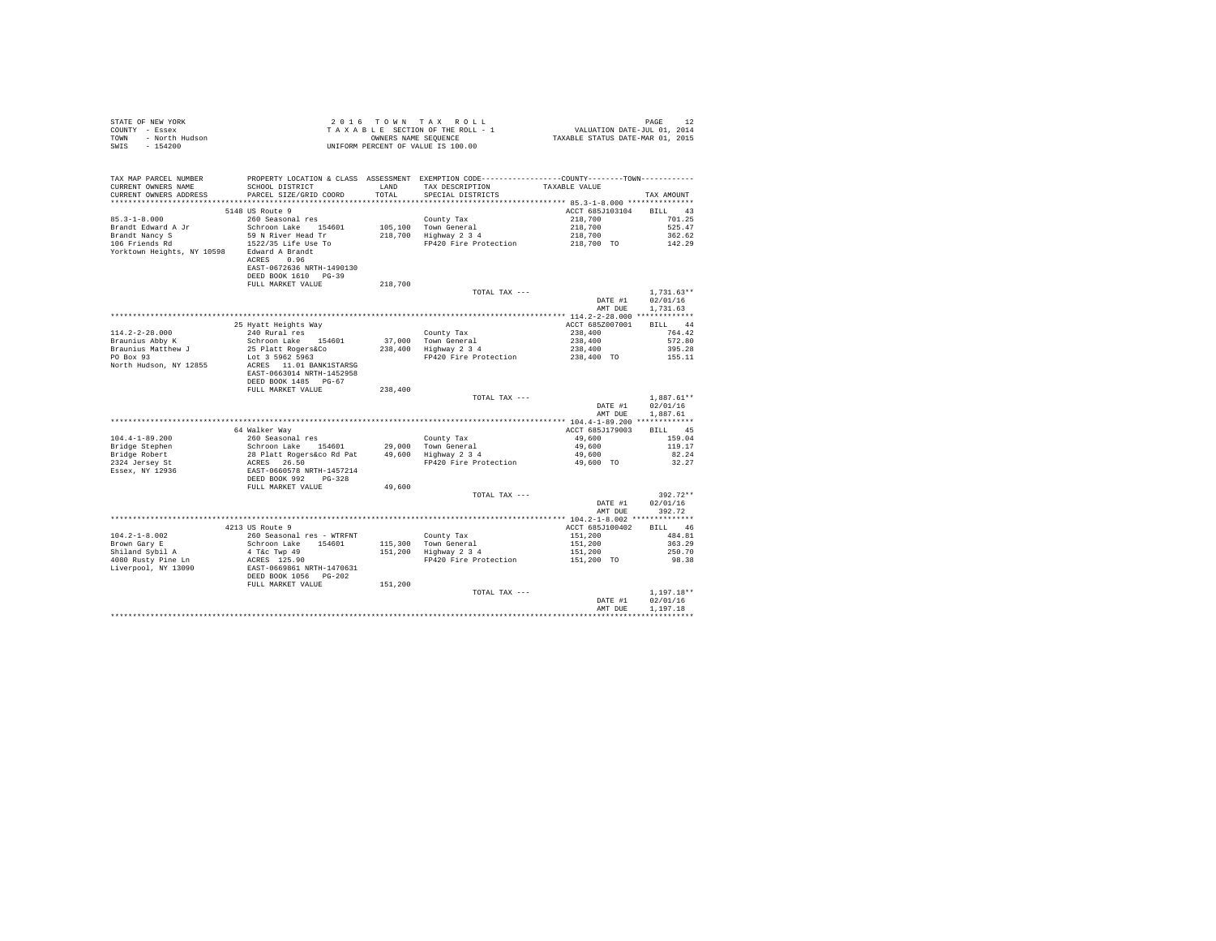| STATE OF NEW YORK      | 2016 TOWN TAX ROLL                 | PAGE                             |
|------------------------|------------------------------------|----------------------------------|
| COUNTY - Essex         | TAXABLE SECTION OF THE ROLL - 1    | VALUATION DATE-JUL 01, 2014      |
| TOWN<br>- North Hudson | OWNERS NAME SEOUENCE               | TAXABLE STATUS DATE-MAR 01, 2015 |
| - 154200<br>SWIS       | UNIFORM PERCENT OF VALUE IS 100.00 |                                  |

| TAX MAP PARCEL NUMBER<br>CURRENT OWNERS NAME<br>CURRENT OWNERS ADDRESS | PROPERTY LOCATION & CLASS ASSESSMENT EXEMPTION CODE---------------COUNTY-------TOWN----------<br>SCHOOL DISTRICT<br>PARCEL SIZE/GRID COORD | LAND<br>TOTAL      | TAX DESCRIPTION<br>SPECIAL DISTRICTS | TAXABLE VALUE                           | TAX AMOUNT               |
|------------------------------------------------------------------------|--------------------------------------------------------------------------------------------------------------------------------------------|--------------------|--------------------------------------|-----------------------------------------|--------------------------|
|                                                                        |                                                                                                                                            | ********           |                                      | ********** 85.3-1-8.000 *************** |                          |
| $85.3 - 1 - 8.000$                                                     | 5148 US Route 9<br>260 Seasonal res                                                                                                        |                    | County Tax                           | ACCT 685J103104<br>218,700              | 43<br>BILL<br>701.25     |
| Brandt Edward A Jr<br>Brandt Nancy S                                   | Schroon Lake<br>154601<br>59 N River Head Tr                                                                                               | 105,100<br>218,700 | Town General<br>Highway 2 3 4        | 218,700<br>218,700                      | 525.47<br>362.62         |
| 106 Friends Rd<br>Yorktown Heights, NY 10598                           | 1522/35 Life Use To<br>Edward A Brandt<br>ACRES 0.96<br>EAST-0672636 NRTH-1490130<br>DEED BOOK 1610 PG-39                                  |                    | FP420 Fire Protection                | 218,700 TO                              | 142.29                   |
|                                                                        | FULL MARKET VALUE                                                                                                                          | 218,700            |                                      |                                         |                          |
|                                                                        |                                                                                                                                            |                    | TOTAL TAX ---                        | DATE #1                                 | $1,731.63**$<br>02/01/16 |
|                                                                        |                                                                                                                                            |                    |                                      | AMT DUE                                 | 1,731.63                 |
|                                                                        |                                                                                                                                            |                    |                                      | ** 114.2-2-28.000 *************         |                          |
|                                                                        | 25 Hyatt Heights Way                                                                                                                       |                    |                                      | ACCT 685Z007001                         | <b>BILL</b><br>44        |
| $114.2 - 2 - 28.000$                                                   | 240 Rural res                                                                                                                              |                    | County Tax                           | 238,400                                 | 764.42                   |
| Braunius Abby K                                                        | Schroon Lake<br>154601                                                                                                                     | 37,000             | Town General                         | 238,400                                 | 572.80                   |
| Braunius Matthew J<br>PO Box 93                                        | 25 Platt Rogers&Co                                                                                                                         | 238,400            | Highway 2 3 4                        | 238,400                                 | 395.28<br>155.11         |
| North Hudson, NY 12855                                                 | Lot 3 5962 5963<br>ACRES 11.01 BANK1STARSG                                                                                                 |                    | FP420 Fire Protection                | 238,400 TO                              |                          |
|                                                                        | EAST-0663014 NRTH-1452958<br>DEED BOOK 1485 PG-67                                                                                          |                    |                                      |                                         |                          |
|                                                                        | FULL MARKET VALUE                                                                                                                          | 238,400            |                                      |                                         |                          |
|                                                                        |                                                                                                                                            |                    | TOTAL TAX ---                        |                                         | $1,887.61**$             |
|                                                                        |                                                                                                                                            |                    |                                      | DATE #1<br>AMT DUE                      | 02/01/16<br>1,887.61     |
|                                                                        |                                                                                                                                            |                    |                                      |                                         |                          |
|                                                                        | 64 Walker Way                                                                                                                              |                    |                                      | ACCT 685J179003                         | 45<br>BILL               |
| $104.4 - 1 - 89.200$                                                   | 260 Seasonal res                                                                                                                           |                    | County Tax                           | 49,600                                  | 159.04                   |
| Bridge Stephen                                                         | Schroon Lake 154601                                                                                                                        | 29,000             | Town General                         | 49,600                                  | 119.17                   |
| Bridge Robert                                                          | 28 Platt Rogers&co Rd Pat                                                                                                                  | 49,600             | Highway 2 3 4                        | 49,600                                  | 82.24                    |
| 2324 Jersey St<br>Essex, NY 12936                                      | 26.50<br>ACRES<br>EAST-0660578 NRTH-1457214                                                                                                |                    | FP420 Fire Protection                | 49,600 TO                               | 32.27                    |
|                                                                        | DEED BOOK 992<br>$PG-328$                                                                                                                  |                    |                                      |                                         |                          |
|                                                                        | FULL MARKET VALUE                                                                                                                          | 49,600             |                                      |                                         |                          |
|                                                                        |                                                                                                                                            |                    | TOTAL TAX ---                        | DATE #1                                 | $392.72**$<br>02/01/16   |
|                                                                        |                                                                                                                                            |                    |                                      | AMT DUE                                 | 392.72                   |
|                                                                        |                                                                                                                                            |                    |                                      |                                         |                          |
|                                                                        | 4213 US Route 9                                                                                                                            |                    |                                      | ACCT 685J100402                         | 46<br><b>BILL</b>        |
| $104.2 - 1 - 8.002$                                                    | 260 Seasonal res - WTRFNT                                                                                                                  |                    | County Tax                           | 151,200                                 | 484.81                   |
| Brown Gary E<br>Shiland Sybil A                                        | Schroon Lake<br>154601<br>4 T&c Twp 49                                                                                                     | 115,300<br>151,200 | Town General<br>Highway 2 3 4        | 151,200<br>151,200                      | 363.29<br>250.70         |
| 4080 Rusty Pine Ln                                                     | ACRES 125.90                                                                                                                               |                    | FP420 Fire Protection                | 151,200 TO                              | 98.38                    |
| Liverpool, NY 13090                                                    | EAST-0669861 NRTH-1470631<br>DEED BOOK 1056 PG-202                                                                                         |                    |                                      |                                         |                          |
|                                                                        | FULL MARKET VALUE                                                                                                                          | 151,200            |                                      |                                         |                          |
|                                                                        |                                                                                                                                            |                    | TOTAL TAX ---                        |                                         | $1,197.18**$             |
|                                                                        |                                                                                                                                            |                    |                                      | DATE #1                                 | 02/01/16                 |
|                                                                        |                                                                                                                                            |                    |                                      | AMT DUE                                 | 1,197.18                 |
|                                                                        |                                                                                                                                            |                    |                                      |                                         |                          |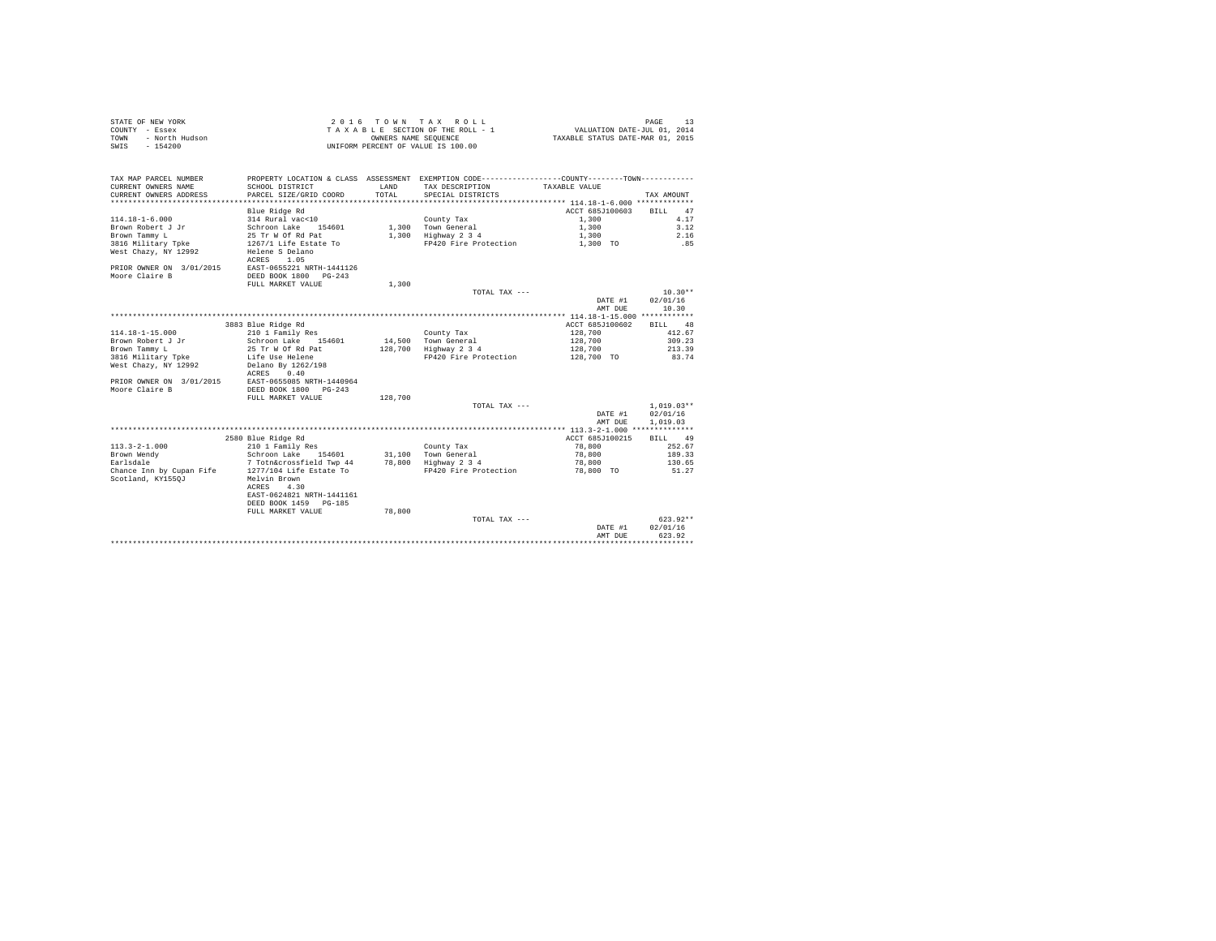| STATE OF NEW YORK      | 2016 TOWN TAX ROLL                 | PAGE                             |
|------------------------|------------------------------------|----------------------------------|
| COUNTY - Essex         | TAXABLE SECTION OF THE ROLL - 1    | VALUATION DATE-JUL 01, 2014      |
| TOWN<br>- North Hudson | OWNERS NAME SEOUENCE               | TAXABLE STATUS DATE-MAR 01, 2015 |
| SWIS - 154200          | UNIFORM PERCENT OF VALUE IS 100.00 |                                  |

| TAX MAP PARCEL NUMBER<br>CURRENT OWNERS NAME<br>CURRENT OWNERS ADDRESS | PROPERTY LOCATION & CLASS ASSESSMENT EXEMPTION CODE----------------COUNTY-------TOWN----------<br>SCHOOL DISTRICT<br>PARCEL SIZE/GRID COORD | <b>T.AND</b><br>TOTAL | TAX DESCRIPTION<br>SPECIAL DISTRICTS | TAXABLE VALUE   | TAX AMOUNT        |
|------------------------------------------------------------------------|---------------------------------------------------------------------------------------------------------------------------------------------|-----------------------|--------------------------------------|-----------------|-------------------|
|                                                                        |                                                                                                                                             |                       |                                      |                 |                   |
|                                                                        | Blue Ridge Rd                                                                                                                               |                       |                                      | ACCT 685J100603 | 47<br><b>BILL</b> |
| $114.18 - 1 - 6.000$                                                   | 314 Rural vac<10                                                                                                                            |                       | County Tax                           | 1,300           | 4.17              |
| Brown Robert J Jr                                                      | Schroon Lake<br>154601                                                                                                                      |                       | 1,300 Town General                   | 1,300           | 3.12              |
| Brown Tammy L                                                          | 25 Tr W Of Rd Pat                                                                                                                           |                       | 1,300 Highway 2 3 4                  | 1,300           | 2.16              |
| 3816 Military Tpke                                                     | 1267/1 Life Estate To                                                                                                                       |                       | FP420 Fire Protection                | 1,300 TO        | .85               |
| West Chazy, NY 12992                                                   | Helene S Delano<br>1.05<br>ACRES                                                                                                            |                       |                                      |                 |                   |
| PRIOR OWNER ON 3/01/2015                                               | EAST-0655221 NRTH-1441126                                                                                                                   |                       |                                      |                 |                   |
| Moore Claire B                                                         | DEED BOOK 1800<br>$PG-243$                                                                                                                  |                       |                                      |                 |                   |
|                                                                        | FULL MARKET VALUE                                                                                                                           | 1,300                 |                                      |                 |                   |
|                                                                        |                                                                                                                                             |                       | TOTAL TAX ---                        |                 | $10.30**$         |
|                                                                        |                                                                                                                                             |                       |                                      | DATE #1         | 02/01/16          |
|                                                                        |                                                                                                                                             |                       |                                      | AMT DUE         | 10.30             |
|                                                                        |                                                                                                                                             |                       |                                      |                 |                   |
|                                                                        | 3883 Blue Ridge Rd                                                                                                                          |                       |                                      | ACCT 685J100602 | BILL 48           |
| $114.18 - 1 - 15.000$                                                  | 210 1 Family Res                                                                                                                            |                       | County Tax                           | 128,700         | 412.67            |
| Brown Robert J Jr                                                      | Schroon Lake 154601                                                                                                                         |                       | 14,500 Town General                  | 128,700         | 309.23            |
| Brown Tammy L                                                          | 25 Tr W Of Rd Pat                                                                                                                           | 128,700               | Highway 2 3 4                        | 128,700         | 213.39            |
| 3816 Military Tpke                                                     | Life Use Helene                                                                                                                             |                       | FP420 Fire Protection                | 128,700 TO      | 83.74             |
| West Chazy, NY 12992                                                   | Delano By 1262/198<br>0.40<br>ACRES                                                                                                         |                       |                                      |                 |                   |
| PRIOR OWNER ON 3/01/2015                                               | EAST-0655085 NRTH-1440964                                                                                                                   |                       |                                      |                 |                   |
| Moore Claire B                                                         | DEED BOOK 1800 PG-243                                                                                                                       |                       |                                      |                 |                   |
|                                                                        | FULL MARKET VALUE                                                                                                                           | 128,700               |                                      |                 |                   |
|                                                                        |                                                                                                                                             |                       | TOTAL TAX ---                        |                 | $1,019.03**$      |
|                                                                        |                                                                                                                                             |                       |                                      | DATE #1         | 02/01/16          |
|                                                                        |                                                                                                                                             |                       |                                      | AMT DUE         | 1,019.03          |
|                                                                        |                                                                                                                                             |                       |                                      |                 |                   |
|                                                                        | 2580 Blue Ridge Rd                                                                                                                          |                       |                                      | ACCT 685J100215 | 49<br>RTLL.       |
| $113.3 - 2 - 1.000$                                                    | 210 1 Family Res                                                                                                                            |                       | County Tax                           | 78,800          | 252.67            |
| Brown Wendy                                                            | Schroon Lake<br>154601                                                                                                                      |                       | 31.100 Town General                  | 78,800          | 189.33            |
| Earlsdale                                                              | 7 Totn&crossfield Twp 44                                                                                                                    |                       | 78.800 Highway 2 3 4                 | 78,800          | 130.65            |
| Chance Inn by Cupan Fife                                               | 1277/104 Life Estate To                                                                                                                     |                       | FP420 Fire Protection                | 78,800 TO       | 51.27             |
| Scotland, KY1550J                                                      | Melvin Brown                                                                                                                                |                       |                                      |                 |                   |
|                                                                        | ACRES<br>4.30                                                                                                                               |                       |                                      |                 |                   |
|                                                                        | EAST-0624821 NRTH-1441161                                                                                                                   |                       |                                      |                 |                   |
|                                                                        | DEED BOOK 1459 PG-185                                                                                                                       |                       |                                      |                 |                   |
|                                                                        | FULL MARKET VALUE                                                                                                                           | 78,800                |                                      |                 |                   |
|                                                                        |                                                                                                                                             |                       | TOTAL TAX ---                        |                 | $623.92**$        |
|                                                                        |                                                                                                                                             |                       |                                      | DATE #1         | 02/01/16          |
|                                                                        |                                                                                                                                             |                       |                                      | AMT DUE         | 623.92            |
|                                                                        |                                                                                                                                             |                       |                                      |                 |                   |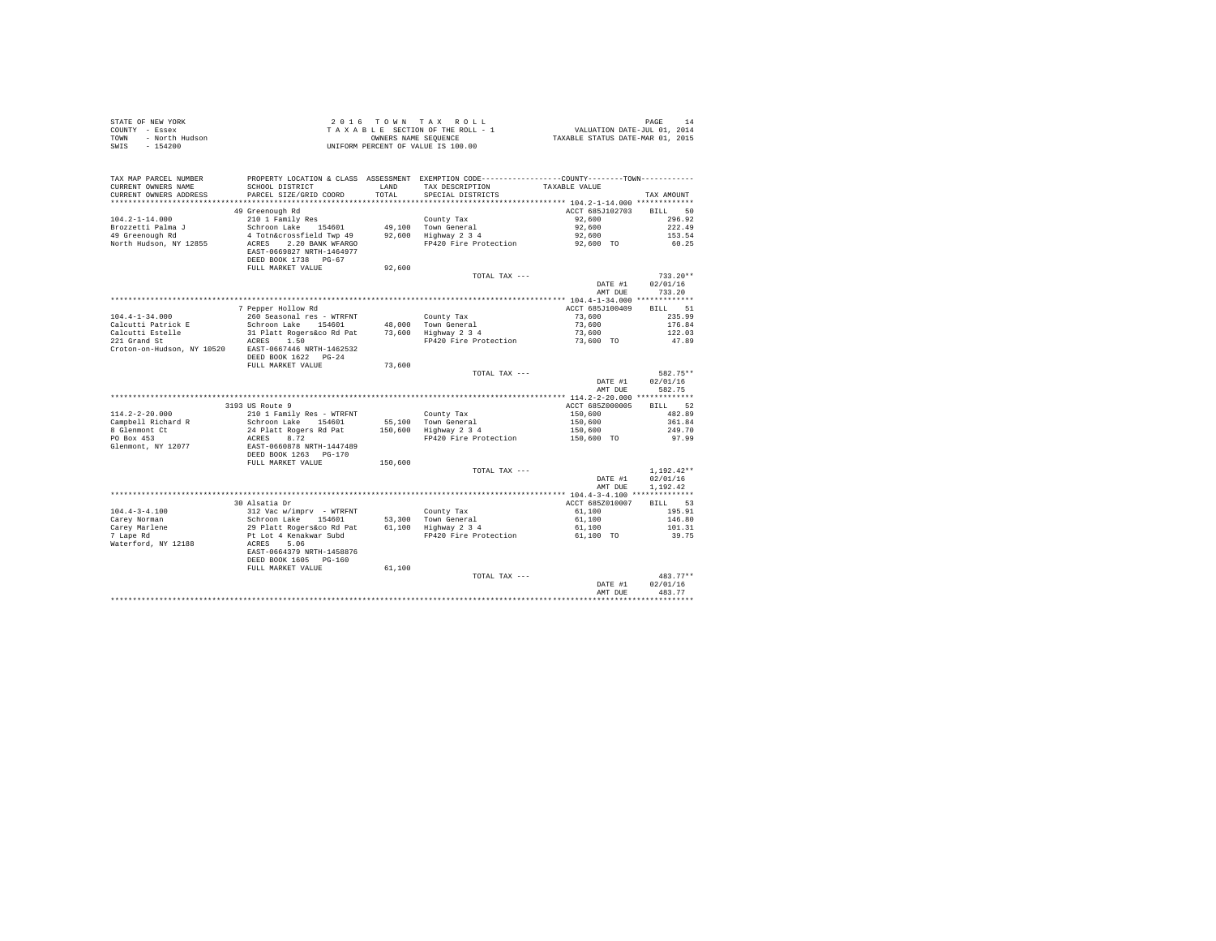| $\begin{array}{cccccccccccc} \texttt{STATE OF NEW YORK} & \texttt{OREN} & \texttt{OREN} & \texttt{OREN} & \texttt{OREN} & \texttt{PAGE} & \texttt{14} \\ \texttt{COUNT} & - \texttt{Eosex} & \texttt{SICE} & \texttt{SIC} & \texttt{SIC} & \texttt{SIC} & \texttt{SIC} & \texttt{SIC} & \texttt{SIC} & \texttt{SIC} \\ \texttt{TONIN} & - \texttt{NOCEN} & \texttt{NUCA} & \texttt{NUCA} & \texttt{NUCA} & \texttt{SICB} & \texttt{SICB} & \texttt{SICB} &$ |                                                                                                                                         |         |                                                                                                                 |                         |                    |
|-------------------------------------------------------------------------------------------------------------------------------------------------------------------------------------------------------------------------------------------------------------------------------------------------------------------------------------------------------------------------------------------------------------------------------------------------------------|-----------------------------------------------------------------------------------------------------------------------------------------|---------|-----------------------------------------------------------------------------------------------------------------|-------------------------|--------------------|
| TAX MAP PARCEL NUMBER<br>CURRENT OWNERS NAME                                                                                                                                                                                                                                                                                                                                                                                                                | SCHOOL DISTRICT LAND                                                                                                                    |         | PROPERTY LOCATION & CLASS ASSESSMENT EXEMPTION CODE---------------COUNTY-------TOWN---------<br>TAX DESCRIPTION | TAXABLE VALUE           |                    |
| CURRENT OWNERS ADDRESS                                                                                                                                                                                                                                                                                                                                                                                                                                      | PARCEL SIZE/GRID COORD                                                                                                                  | TOTAL   | SPECIAL DISTRICTS                                                                                               |                         | TAX AMOUNT         |
|                                                                                                                                                                                                                                                                                                                                                                                                                                                             | 49 Greenough Rd                                                                                                                         |         |                                                                                                                 | ACCT 685J102703         | BILL 50            |
| $104.2 - 1 - 14.000$                                                                                                                                                                                                                                                                                                                                                                                                                                        |                                                                                                                                         |         |                                                                                                                 | 92.600                  | 296.92             |
|                                                                                                                                                                                                                                                                                                                                                                                                                                                             |                                                                                                                                         |         |                                                                                                                 | 92,600                  | 222.49             |
| Brozzetti Palma J<br>49 Greenough Rd                                                                                                                                                                                                                                                                                                                                                                                                                        | 210 1 Family Res County Tax<br>Schroon Lake 154601 49,100 Town General<br>4 Toth&crossfield Twp 49 92,600 Highway 2 3 4                 |         |                                                                                                                 | 92,600                  | 153.54             |
| North Hudson, NY 12855                                                                                                                                                                                                                                                                                                                                                                                                                                      | EAST-0669827 NRTH-1464977<br>DEED BOOK 1738 PG-67                                                                                       |         | ACRES 2.20 BANK WFARGO FP420 Fire Protection 92,600 TO                                                          |                         | 60.25              |
|                                                                                                                                                                                                                                                                                                                                                                                                                                                             | FULL MARKET VALUE                                                                                                                       | 92,600  |                                                                                                                 |                         |                    |
|                                                                                                                                                                                                                                                                                                                                                                                                                                                             |                                                                                                                                         |         | TOTAL TAX ---                                                                                                   |                         | $733.20**$         |
|                                                                                                                                                                                                                                                                                                                                                                                                                                                             |                                                                                                                                         |         |                                                                                                                 | DATE #1<br>AMT DUR      | 02/01/16<br>733.20 |
|                                                                                                                                                                                                                                                                                                                                                                                                                                                             |                                                                                                                                         |         |                                                                                                                 |                         |                    |
|                                                                                                                                                                                                                                                                                                                                                                                                                                                             | 7 Pepper Hollow Rd                                                                                                                      |         |                                                                                                                 | ACCT 685J100409 BILL 51 |                    |
| $104.4 - 1 - 34.000$                                                                                                                                                                                                                                                                                                                                                                                                                                        | 260 Seasonal res - WTRFNT                                                                                                               |         | County Tax                                                                                                      | 73,600                  | 235.99             |
| Calcutti Patrick E                                                                                                                                                                                                                                                                                                                                                                                                                                          | Schroon Lake 154601                                                                                                                     |         | 48.000 Town General                                                                                             | 73,600                  | 176.84             |
| Calcutti Estelle                                                                                                                                                                                                                                                                                                                                                                                                                                            |                                                                                                                                         |         |                                                                                                                 | 73,600                  | 122.03             |
| 221 Grand St                                                                                                                                                                                                                                                                                                                                                                                                                                                | 31 Platt Rogers&co Rd Pat 73,600 Highway 2 3 4<br>ACRES 1.50 FP420 Fire Protection                                                      |         | FP420 Fire Protection                                                                                           | 73,600 TO               | 47.89              |
| Croton-on-Hudson, NY 10520 EAST-0667446 NRTH-1462532                                                                                                                                                                                                                                                                                                                                                                                                        | DEED BOOK 1622 PG-24                                                                                                                    |         |                                                                                                                 |                         |                    |
|                                                                                                                                                                                                                                                                                                                                                                                                                                                             | FULL MARKET VALUE                                                                                                                       | 73,600  |                                                                                                                 |                         |                    |
|                                                                                                                                                                                                                                                                                                                                                                                                                                                             |                                                                                                                                         |         | TOTAL TAX ---                                                                                                   |                         | 582.75**           |
|                                                                                                                                                                                                                                                                                                                                                                                                                                                             |                                                                                                                                         |         |                                                                                                                 | DATE #1                 | 02/01/16           |
|                                                                                                                                                                                                                                                                                                                                                                                                                                                             |                                                                                                                                         |         |                                                                                                                 | AMT DUE                 | 582.75             |
|                                                                                                                                                                                                                                                                                                                                                                                                                                                             |                                                                                                                                         |         |                                                                                                                 |                         |                    |
|                                                                                                                                                                                                                                                                                                                                                                                                                                                             | 3193 US Route 9                                                                                                                         |         |                                                                                                                 | ACCT 685Z000005         | BILL 52            |
| $114.2 - 2 - 20.000$                                                                                                                                                                                                                                                                                                                                                                                                                                        | 210 1 Family Res - WTRFNT                                                                                                               |         | County Tax                                                                                                      | 150,600                 | 482.89             |
| Campbell Richard R                                                                                                                                                                                                                                                                                                                                                                                                                                          | Schroon Lake 154601 55,100 Town General                                                                                                 |         | ss,100 Town General<br>150.600 Highway 2.3.4                                                                    | 150,600<br>150,600      | 361.84             |
| 8 Glenmont Ct                                                                                                                                                                                                                                                                                                                                                                                                                                               | 24 Platt Rogers Rd Pat                                                                                                                  |         |                                                                                                                 |                         | 249.70             |
| PO Box 453                                                                                                                                                                                                                                                                                                                                                                                                                                                  | ACRES 8.72                                                                                                                              |         | FP420 Fire Protection                                                                                           | 150,600 TO              | 97.99              |
| Glenmont, NY 12077                                                                                                                                                                                                                                                                                                                                                                                                                                          | EAST-0660878 NRTH-1447489<br>DEED BOOK 1263 PG-170                                                                                      |         |                                                                                                                 |                         |                    |
|                                                                                                                                                                                                                                                                                                                                                                                                                                                             | FULL MARKET VALUE                                                                                                                       | 150,600 |                                                                                                                 |                         |                    |
|                                                                                                                                                                                                                                                                                                                                                                                                                                                             |                                                                                                                                         |         | TOTAL TAX ---                                                                                                   |                         | $1.192.42**$       |
|                                                                                                                                                                                                                                                                                                                                                                                                                                                             |                                                                                                                                         |         |                                                                                                                 |                         | DATE #1 02/01/16   |
|                                                                                                                                                                                                                                                                                                                                                                                                                                                             |                                                                                                                                         |         |                                                                                                                 |                         | AMT DUE 1,192.42   |
|                                                                                                                                                                                                                                                                                                                                                                                                                                                             |                                                                                                                                         |         |                                                                                                                 |                         |                    |
|                                                                                                                                                                                                                                                                                                                                                                                                                                                             | 30 Alsatia Dr                                                                                                                           |         |                                                                                                                 | ACCT 685Z010007         | BILL 53            |
| $104.4 - 3 - 4.100$                                                                                                                                                                                                                                                                                                                                                                                                                                         | 312 Vac w/imprv - WTRFNT                                                                                                                |         | County Tax                                                                                                      | 61,100                  | 195.91             |
| Carev Norman                                                                                                                                                                                                                                                                                                                                                                                                                                                |                                                                                                                                         |         |                                                                                                                 | 61,100                  | 146.80             |
| Carey Marlene<br>7 Lape Rd                                                                                                                                                                                                                                                                                                                                                                                                                                  | Schroon Lake 154601 53,300 Town General<br>29 Platt Rogersáco Rd Pat 61,100 Highway 234<br>Pt Lot 4 Kenakwar Subd 1914 FP420 Fire Prote |         | $61,100$ Highway $2\,3\,4$                                                                                      | 61,100                  | 101.31             |
|                                                                                                                                                                                                                                                                                                                                                                                                                                                             |                                                                                                                                         |         | FP420 Fire Protection                                                                                           | 61,100 TO               | 39.75              |
| Waterford, NY 12188                                                                                                                                                                                                                                                                                                                                                                                                                                         | ACRES 5.06                                                                                                                              |         |                                                                                                                 |                         |                    |
|                                                                                                                                                                                                                                                                                                                                                                                                                                                             | EAST-0664379 NRTH-1458876                                                                                                               |         |                                                                                                                 |                         |                    |
|                                                                                                                                                                                                                                                                                                                                                                                                                                                             | DEED BOOK 1605 PG-160                                                                                                                   |         |                                                                                                                 |                         |                    |
|                                                                                                                                                                                                                                                                                                                                                                                                                                                             | FULL MARKET VALUE                                                                                                                       | 61,100  |                                                                                                                 |                         |                    |
|                                                                                                                                                                                                                                                                                                                                                                                                                                                             |                                                                                                                                         |         | TOTAL TAX ---                                                                                                   |                         | $483.77**$         |
|                                                                                                                                                                                                                                                                                                                                                                                                                                                             |                                                                                                                                         |         |                                                                                                                 | DATE #1                 | 02/01/16           |
|                                                                                                                                                                                                                                                                                                                                                                                                                                                             |                                                                                                                                         |         |                                                                                                                 | AMT DUE                 | 483.77             |
|                                                                                                                                                                                                                                                                                                                                                                                                                                                             |                                                                                                                                         |         |                                                                                                                 |                         |                    |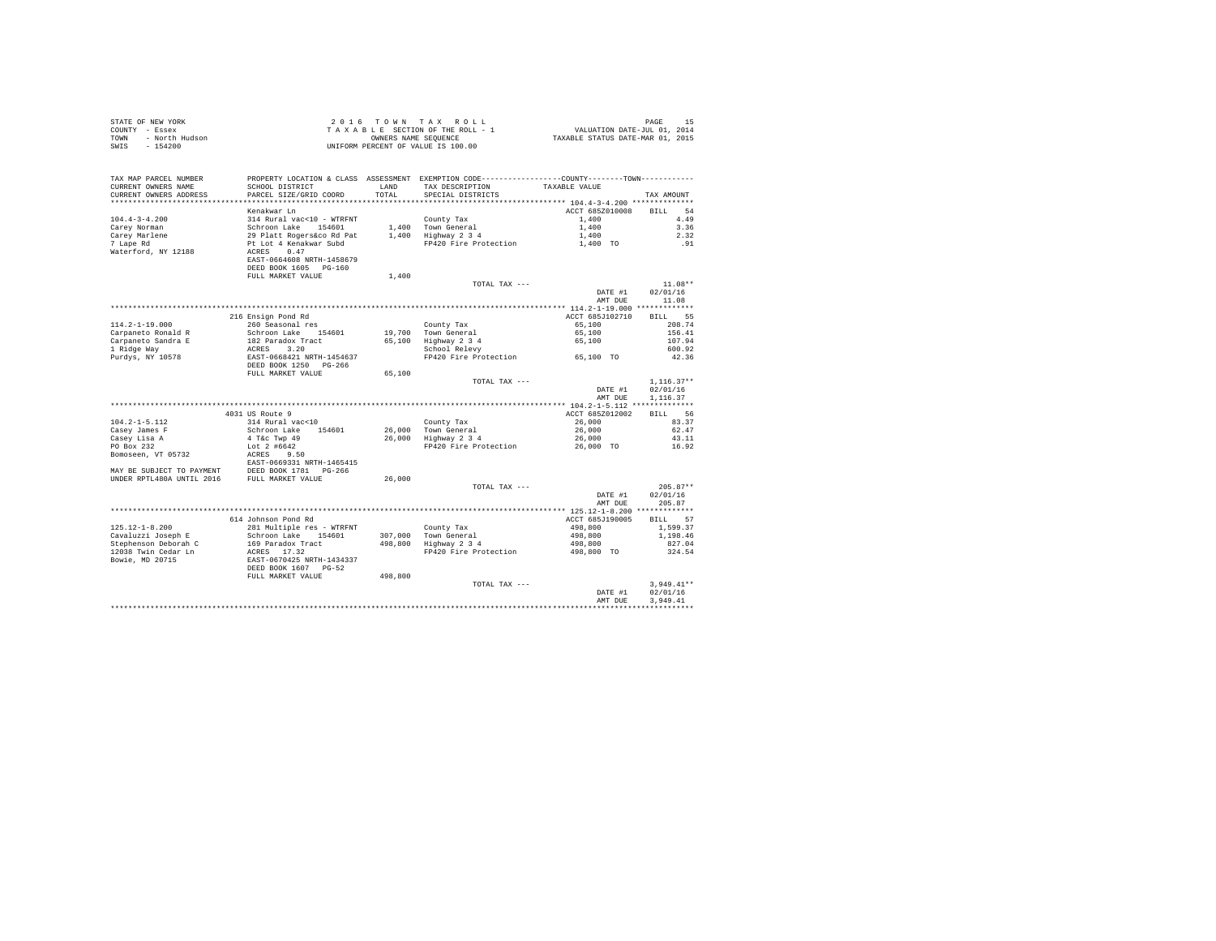| STATE OF NEW YORK<br>COUNTY - Essex<br>- North Hudson<br>TOWN<br>SWIS<br>$-154200$ |                                                    |                | 2016 TOWN TAX ROLL<br>TAXABLE SECTION OF THE ROLL - 1<br>OWNERS NAME SEQUENCE<br>UNIFORM PERCENT OF VALUE IS 100.00                   | 15<br>2014 VALUATION DATE-JUL<br>2014 TAXABLE STATUS DATE-MAR | 15<br>PAGE              |
|------------------------------------------------------------------------------------|----------------------------------------------------|----------------|---------------------------------------------------------------------------------------------------------------------------------------|---------------------------------------------------------------|-------------------------|
| TAX MAP PARCEL NUMBER<br>CURRENT OWNERS NAME<br>CURRENT OWNERS ADDRESS             | SCHOOL DISTRICT<br>PARCEL SIZE/GRID COORD          | T.AND<br>TOTAL | PROPERTY LOCATION & CLASS ASSESSMENT EXEMPTION CODE---------------COUNTY-------TOWN----------<br>TAX DESCRIPTION<br>SPECIAL DISTRICTS | TAXABLE VALUE                                                 | TAX AMOUNT              |
| *************************                                                          |                                                    |                |                                                                                                                                       |                                                               |                         |
|                                                                                    | Kenakwar Ln                                        |                |                                                                                                                                       | ACCT 685Z010008                                               | <b>BILL</b><br>54       |
| $104.4 - 3 - 4.200$                                                                | 314 Rural vac<10 - WTRFNT                          |                | County Tax                                                                                                                            | 1,400                                                         | 4.49                    |
| Carey Norman                                                                       | Schroon Lake 154601                                |                | 1,400 Town General                                                                                                                    | 1,400                                                         | 3.36                    |
| Carey Marlene                                                                      | 29 Platt Rogers&co Rd Pat                          |                | $1,400$ Highway $2,3,4$                                                                                                               | 1,400                                                         | 2.32                    |
| 7 Lape Rd<br>Waterford, NY 12188                                                   | Pt Lot 4 Kenakwar Subd<br>0.47<br>ACRES            |                | FP420 Fire Protection                                                                                                                 | 1,400 TO                                                      | .91                     |
|                                                                                    | EAST-0664608 NRTH-1458679<br>DEED BOOK 1605 PG-160 |                |                                                                                                                                       |                                                               |                         |
|                                                                                    | FULL MARKET VALUE                                  | 1,400          |                                                                                                                                       |                                                               |                         |
|                                                                                    |                                                    |                | TOTAL TAX ---                                                                                                                         |                                                               | $11.08**$               |
|                                                                                    |                                                    |                |                                                                                                                                       | DATE #1                                                       | 02/01/16                |
|                                                                                    |                                                    |                |                                                                                                                                       | AMT DUE                                                       | 11.08                   |
|                                                                                    |                                                    |                |                                                                                                                                       |                                                               |                         |
|                                                                                    | 216 Ensign Pond Rd                                 |                |                                                                                                                                       | ACCT 685J102710                                               | 55<br><b>BILL</b>       |
| $114.2 - 1 - 19.000$                                                               | 260 Seasonal res                                   |                | County Tax                                                                                                                            | 65,100                                                        | 208.74                  |
| Carpaneto Ronald R                                                                 | Schroon Lake 154601                                |                | 19,700 Town General                                                                                                                   | 65,100                                                        | 156.41                  |
| Carpaneto Sandra E                                                                 | 182 Paradox Tract                                  |                | 65,100 Highway 2 3 4<br>School Relevy                                                                                                 | 65,100                                                        | 107.94                  |
| 1 Ridge Way                                                                        | ACRES 3.20                                         |                |                                                                                                                                       |                                                               | 600.92                  |
| Purdys, NY 10578                                                                   | EAST-0668421 NRTH-1454637<br>DEED BOOK 1250 PG-266 |                | FP420 Fire Protection 65,100 TO                                                                                                       |                                                               | 42.36                   |
|                                                                                    | FULL MARKET VALUE                                  | 65,100         |                                                                                                                                       |                                                               |                         |
|                                                                                    |                                                    |                | TOTAL TAX ---                                                                                                                         |                                                               | $1,116.37**$            |
|                                                                                    |                                                    |                |                                                                                                                                       | DATE #1<br>AMT DUE                                            | 02/01/16<br>1,116.37    |
|                                                                                    |                                                    |                |                                                                                                                                       |                                                               |                         |
|                                                                                    | 4031 US Route 9                                    |                |                                                                                                                                       | ACCT 685Z012002                                               | BILL 56                 |
| $104.2 - 1 - 5.112$                                                                | 314 Rural vac<10                                   |                | County Tax                                                                                                                            | 26,000                                                        | 83.37                   |
| Casey James F                                                                      | Schroon Lake 154601                                |                | 26,000 Town General<br>26,000 Highway 2 3 4                                                                                           | 26,000                                                        | 62.47                   |
| Casey Lisa A                                                                       | 4 T&c Twp 49                                       |                |                                                                                                                                       | 26,000                                                        | 43.11                   |
| PO Box 232                                                                         | Lot $2\;$ #6642<br>ACRES 9.50                      |                | FP420 Fire Protection                                                                                                                 | 26,000 TO                                                     | 16.92                   |
| Bomoseen, VT 05732                                                                 | EAST-0669331 NRTH-1465415                          |                |                                                                                                                                       |                                                               |                         |
| MAY BE SUBJECT TO PAYMENT                                                          | DEED BOOK 1781 PG-266                              |                |                                                                                                                                       |                                                               |                         |
| UNDER RPTL480A UNTIL 2016                                                          | FULL MARKET VALUE                                  | 26,000         |                                                                                                                                       |                                                               |                         |
|                                                                                    |                                                    |                | TOTAL TAX ---                                                                                                                         |                                                               | $205.87**$              |
|                                                                                    |                                                    |                |                                                                                                                                       | DATE #1                                                       | 02/01/16                |
|                                                                                    |                                                    |                |                                                                                                                                       | AMT DUE                                                       | 205.87                  |
|                                                                                    |                                                    |                |                                                                                                                                       |                                                               |                         |
|                                                                                    | 614 Johnson Pond Rd                                |                |                                                                                                                                       | ACCT 685J190005                                               | BILL 57                 |
| $125.12 - 1 - 8.200$                                                               | 281 Multiple res - WTRFNT                          |                | County Tax                                                                                                                            | 498,800                                                       | 1,599.37                |
| Cavaluzzi Joseph E                                                                 | Schroon Lake 154601                                | 307,000        | Town General<br>Highway 2 3 4                                                                                                         | 498,800                                                       | 1,198.46                |
| Stephenson Deborah C                                                               | 169 Paradox Tract                                  | 498,800        |                                                                                                                                       | 498,800                                                       | 827.04                  |
| 12038 Twin Cedar Ln                                                                | ACRES 17.32                                        |                | FP420 Fire Protection                                                                                                                 | 498,800 TO                                                    | 324.54                  |
| Bowie, MD 20715                                                                    | EAST-0670425 NRTH-1434337<br>DEED BOOK 1607 PG-52  |                |                                                                                                                                       |                                                               |                         |
|                                                                                    | FULL MARKET VALUE                                  | 498,800        |                                                                                                                                       |                                                               |                         |
|                                                                                    |                                                    |                | TOTAL TAX ---                                                                                                                         |                                                               | $3.949.41**$            |
|                                                                                    |                                                    |                |                                                                                                                                       | DATE #1                                                       | 02/01/16                |
|                                                                                    |                                                    |                |                                                                                                                                       | AMT DUE                                                       | 3.949.41<br>*********** |
|                                                                                    |                                                    |                |                                                                                                                                       |                                                               |                         |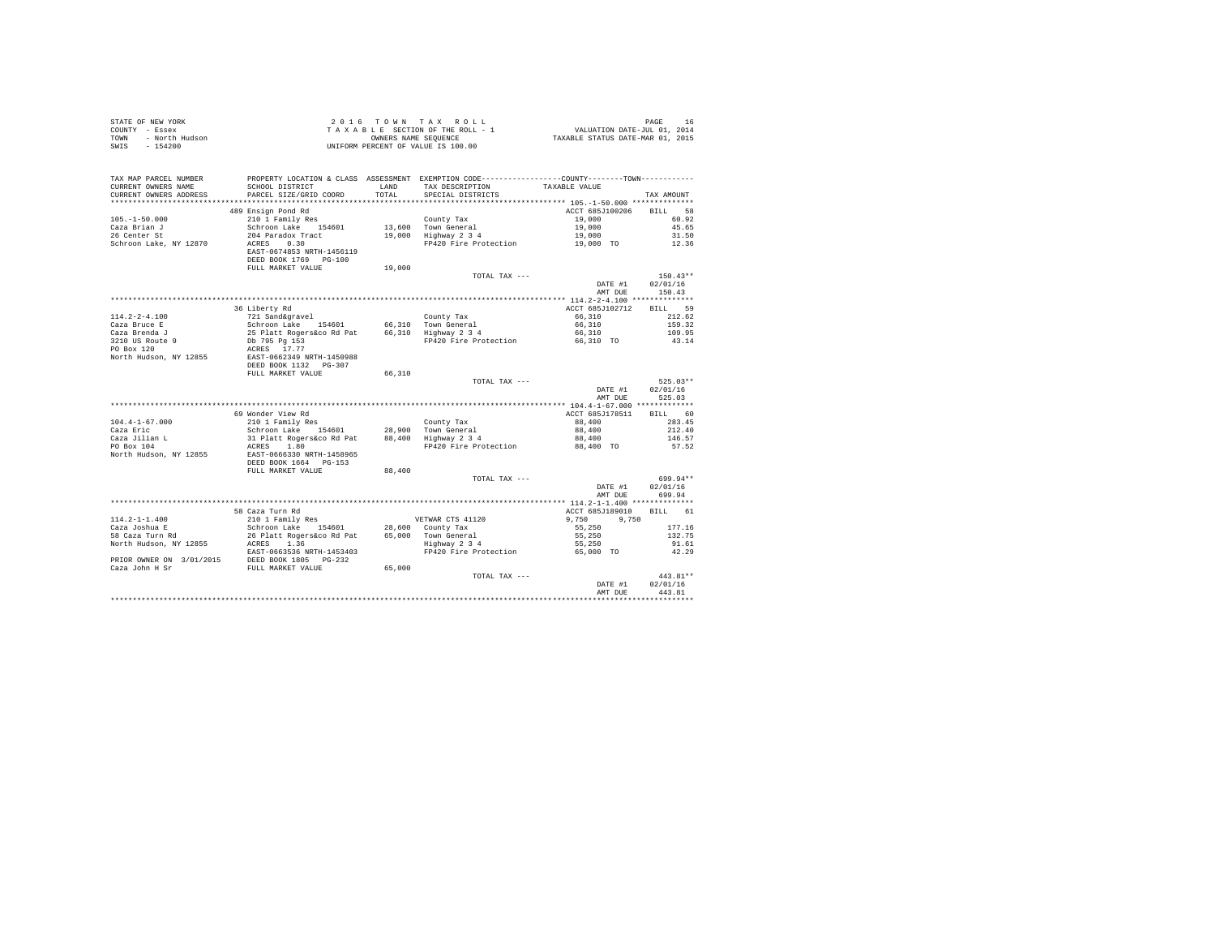| STATE OF NEW YORK<br>COUNTY - Essex<br>- North Hudson<br>TOWN<br>$-154200$<br>SWIS |                                                                                                                                                                                                                                                                                 |               | 2016 TOWN TAX ROLL<br>TAXABLE SECTION OF THE ROLL - 1<br>OWNERS NAME SEQUENCE<br>UNIFORM PERCENT OF VALUE IS 100.00                    | raus<br>7101, VALUATION DATE-JUL 01, 2014<br>712XABLE STATUS DATE-MAR 01, 2015 | PAGE<br>16         |
|------------------------------------------------------------------------------------|---------------------------------------------------------------------------------------------------------------------------------------------------------------------------------------------------------------------------------------------------------------------------------|---------------|----------------------------------------------------------------------------------------------------------------------------------------|--------------------------------------------------------------------------------|--------------------|
| TAX MAP PARCEL NUMBER<br>CURRENT OWNERS NAME<br>CURRENT OWNERS ADDRESS             | SCHOOL DISTRICT<br>PARCEL SIZE/GRID COORD                                                                                                                                                                                                                                       | LAND<br>TOTAL | PROPERTY LOCATION & CLASS ASSESSMENT EXEMPTION CODE---------------COUNTY--------TOWN----------<br>TAX DESCRIPTION<br>SPECIAL DISTRICTS | TAXABLE VALUE                                                                  | TAX AMOUNT         |
|                                                                                    |                                                                                                                                                                                                                                                                                 |               |                                                                                                                                        |                                                                                |                    |
|                                                                                    | 489 Ensign Pond Rd                                                                                                                                                                                                                                                              |               |                                                                                                                                        | ACCT 685J100206                                                                | <b>BTLL</b> 58     |
| $105. - 1 - 50.000$                                                                | 210 1 Family Res                                                                                                                                                                                                                                                                |               | County Tax                                                                                                                             | 19,000<br>19,000                                                               | 60.92              |
| Caza Brian J<br>26 Center St                                                       | Schroon Lake 154601<br>204 Paradox Tract                                                                                                                                                                                                                                        |               | 13,600 Town General<br>19,000 Highway 2 3 4                                                                                            | 19,000                                                                         | 45.65<br>31.50     |
| Schroon Lake, NY 12870                                                             | ACRES 0.30                                                                                                                                                                                                                                                                      |               | FP420 Fire Protection                                                                                                                  | 19,000 TO                                                                      | 12.36              |
|                                                                                    | EAST-0674853 NRTH-1456119<br>DEED BOOK 1769 PG-100                                                                                                                                                                                                                              |               |                                                                                                                                        |                                                                                |                    |
|                                                                                    | FULL MARKET VALUE                                                                                                                                                                                                                                                               | 19,000        | TOTAL TAX ---                                                                                                                          |                                                                                | $150.43**$         |
|                                                                                    |                                                                                                                                                                                                                                                                                 |               |                                                                                                                                        | DATE #1<br>AMT DUE                                                             | 02/01/16<br>150.43 |
|                                                                                    |                                                                                                                                                                                                                                                                                 |               |                                                                                                                                        |                                                                                |                    |
|                                                                                    | 36 Liberty Rd                                                                                                                                                                                                                                                                   |               |                                                                                                                                        | ACCT 685J102712                                                                | BILL 59            |
| $114.2 - 2 - 4.100$                                                                | 721 Sand&gravel                                                                                                                                                                                                                                                                 |               | County Tax                                                                                                                             | 66,310                                                                         | 212.62             |
| Caza Bruce E                                                                       | Schroon Lake 154601<br>25 Platt Rogers&co Rd Pat<br>Db 795 Pg 153                                                                                                                                                                                                               |               | 66,310 Town General<br>66,310 Highway 2 3 4                                                                                            | 66,310                                                                         | 159.32             |
| Caza Brenda $\mathbb J$                                                            |                                                                                                                                                                                                                                                                                 |               | FP420 Fire Protection                                                                                                                  | 66,310<br>66,310 TO                                                            | 109.95<br>43.14    |
| 3210 US Route 9<br>PO Box 120                                                      | ACRES 17.77                                                                                                                                                                                                                                                                     |               |                                                                                                                                        |                                                                                |                    |
| North Hudson, NY 12855                                                             | EAST-0662349 NRTH-1450988<br>DEED BOOK 1132   PG-307                                                                                                                                                                                                                            |               |                                                                                                                                        |                                                                                |                    |
|                                                                                    | FULL MARKET VALUE                                                                                                                                                                                                                                                               | 66,310        |                                                                                                                                        |                                                                                |                    |
|                                                                                    |                                                                                                                                                                                                                                                                                 |               | TOTAL TAX ---                                                                                                                          |                                                                                | $525.03**$         |
|                                                                                    |                                                                                                                                                                                                                                                                                 |               |                                                                                                                                        | DATE #1<br>AMT DUE                                                             | 02/01/16<br>525.03 |
|                                                                                    | 69 Wonder View Rd                                                                                                                                                                                                                                                               |               |                                                                                                                                        | ACCT 685J178511                                                                | BILL 60            |
| $104.4 - 1 - 67.000$                                                               | 210 1 Family Res                                                                                                                                                                                                                                                                |               | County Tax                                                                                                                             | 88,400                                                                         | 283.45             |
| Caza Eric                                                                          | Schroon Lake 154601                                                                                                                                                                                                                                                             | 28,900        |                                                                                                                                        | 88,400                                                                         | 212.40             |
| Caza Jilian L<br>PO Box 104                                                        | 31 Platt Rogers&co Rd Pat                                                                                                                                                                                                                                                       | 88,400        | Town General<br>Highway 2 3 4                                                                                                          | 88,400                                                                         | 146.57             |
| North Hudson, NY 12855                                                             | ACRES 1.80<br>EAST-0666330 NRTH-1458965                                                                                                                                                                                                                                         |               | FP420 Fire Protection                                                                                                                  | 88,400 TO                                                                      | 57.52              |
|                                                                                    | DEED BOOK 1664 PG-153<br>FULL MARKET VALUE                                                                                                                                                                                                                                      | 88,400        |                                                                                                                                        |                                                                                |                    |
|                                                                                    |                                                                                                                                                                                                                                                                                 |               | TOTAL TAX ---                                                                                                                          |                                                                                | 699.94**           |
|                                                                                    |                                                                                                                                                                                                                                                                                 |               |                                                                                                                                        | DATE #1<br>AMT DUE                                                             | 02/01/16<br>699.94 |
|                                                                                    |                                                                                                                                                                                                                                                                                 |               |                                                                                                                                        |                                                                                |                    |
|                                                                                    | 58 Caza Turn Rd                                                                                                                                                                                                                                                                 |               |                                                                                                                                        | ACCT 685J189010                                                                | BILL 61            |
| $114.2 - 1 - 1.400$                                                                | 210 1 Family Res                                                                                                                                                                                                                                                                |               | VETWAR CTS 41120                                                                                                                       | 9,750 9,750                                                                    |                    |
| Caza Joshua E<br>caza Josnua E<br>58 Caza Turn Rd                                  | Schroon Lake 154601                                                                                                                                                                                                                                                             |               | 28,600 County Tax                                                                                                                      | 55,250                                                                         | 177.16             |
| North Hudson, NY 12855                                                             | 26 Platt Rogers&co Rd Pat<br>ACRES 1.36                                                                                                                                                                                                                                         |               | 65,000 Town General<br>Highway 2 3 4                                                                                                   | 55,250<br>55,250                                                               | 132.75<br>91.61    |
|                                                                                    | EAST-0663536 NRTH-1453403                                                                                                                                                                                                                                                       |               | FP420 Fire Protection                                                                                                                  | 65,000 TO                                                                      | 42.29              |
|                                                                                    | ${\tt PRIOR \hspace{0.3cm}ONNER \hspace{0.3cm}ON} \hspace{0.3cm} \begin{minipage}{0.9cm} \begin{tabular}{l} \bf{PRIOR \hspace{0.3cm}ONIRE \hspace{0.3cm}ON} \end{tabular} \end{minipage} } {\tt DEED \hspace{0.3cm}BOR \hspace{0.3cm}1805 \hspace{0.3cm}PG-232} \end{minipage}$ | 65,000        |                                                                                                                                        |                                                                                |                    |
|                                                                                    |                                                                                                                                                                                                                                                                                 |               | TOTAL TAX ---                                                                                                                          |                                                                                | 443.81**           |
|                                                                                    |                                                                                                                                                                                                                                                                                 |               |                                                                                                                                        | DATE #1                                                                        | 02/01/16           |
|                                                                                    |                                                                                                                                                                                                                                                                                 |               |                                                                                                                                        | AMT DUE                                                                        | 443.81             |
|                                                                                    |                                                                                                                                                                                                                                                                                 |               |                                                                                                                                        |                                                                                |                    |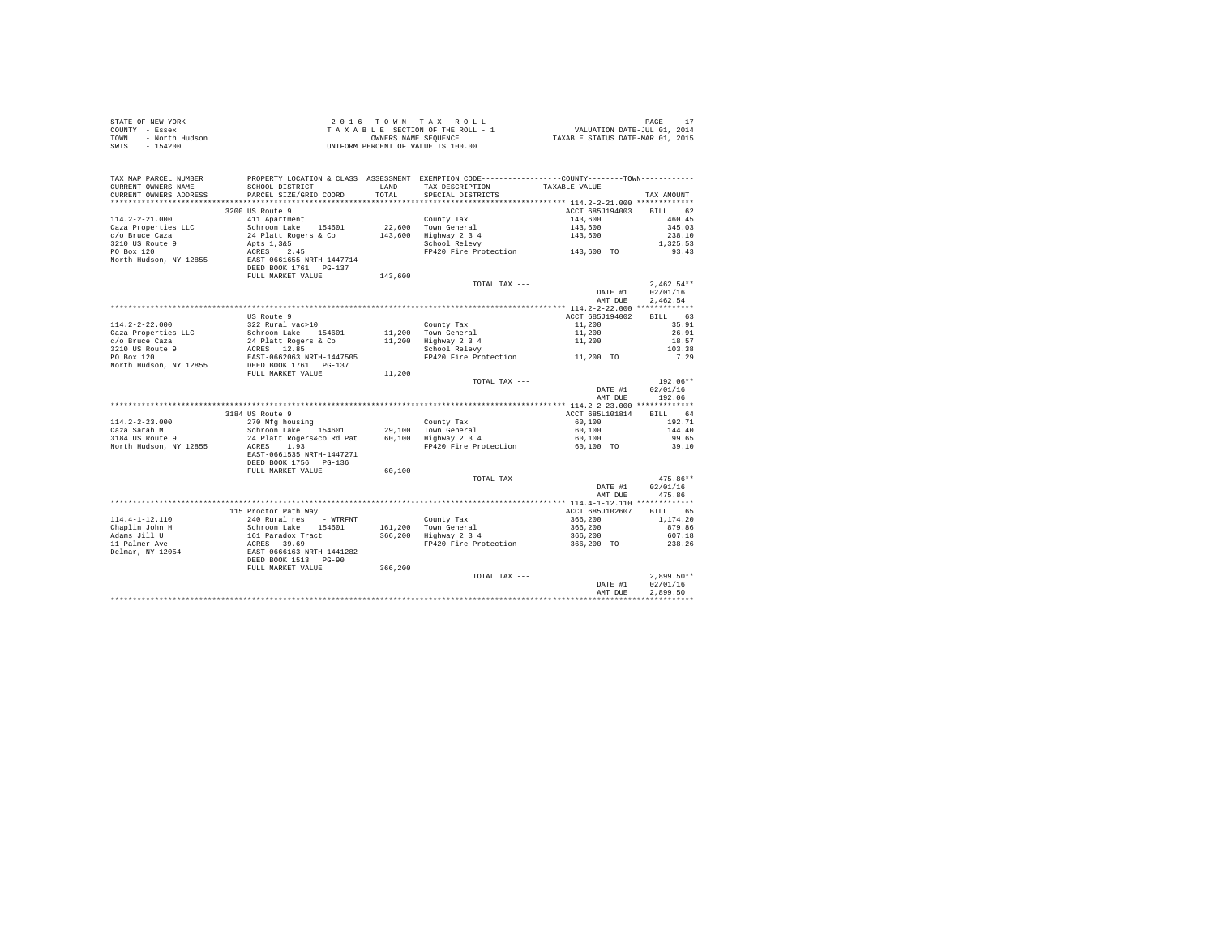|                | STATE OF NEW YORK | $2.0.16$ TOWN TAX ROLL             | PAGE                             |
|----------------|-------------------|------------------------------------|----------------------------------|
| COUNTY - Essex |                   | TAXABLE SECTION OF THE ROLL - 1    | VALUATION DATE-JUL 01, 2014      |
| TOWN           | - North Hudson    | OWNERS NAME SEOUENCE               | TAXABLE STATUS DATE-MAR 01, 2015 |
|                | SWIS - 154200     | UNIFORM PERCENT OF VALUE IS 100.00 |                                  |

| TAX MAP PARCEL NUMBER<br>CURRENT OWNERS NAME | PROPERTY LOCATION & CLASS ASSESSMENT EXEMPTION CODE---------------COUNTY-------TOWN----------<br>SCHOOL DISTRICT      | LAND    | TAX DESCRIPTION       | TAXABLE VALUE   |                   |
|----------------------------------------------|-----------------------------------------------------------------------------------------------------------------------|---------|-----------------------|-----------------|-------------------|
| CURRENT OWNERS ADDRESS                       | PARCEL SIZE/GRID COORD                                                                                                | TOTAL   | SPECIAL DISTRICTS     |                 | TAX AMOUNT        |
| ***********************                      | *****************************                                                                                         |         |                       |                 |                   |
|                                              | 3200 US Route 9                                                                                                       |         |                       | ACCT 685J194003 | 62<br><b>BILL</b> |
| $114.2 - 2 - 21.000$                         | 411 Apartment                                                                                                         |         | County Tax            | 143,600         | 460.45            |
| Caza Properties LLC                          | Schroon Lake 154601                                                                                                   |         | 22,600 Town General   | 143,600         | 345.03            |
| c/o Bruce Caza                               | 24 Platt Rogers & Co                                                                                                  | 143,600 | Highway 2 3 4         | 143,600         | 238.10            |
| 3210 US Route 9                              | Apts 1,3&5                                                                                                            |         | School Relevy         |                 | 1,325.53          |
| PO Box 120                                   | ACRES 2.45                                                                                                            |         | FP420 Fire Protection | 143,600 TO      | 93.43             |
| North Hudson, NY 12855                       | EAST-0661655 NRTH-1447714<br>DEED BOOK 1761 PG-137                                                                    |         |                       |                 |                   |
|                                              | FULL MARKET VALUE                                                                                                     | 143,600 |                       |                 |                   |
|                                              |                                                                                                                       |         | TOTAL TAX ---         |                 | $2,462.54**$      |
|                                              |                                                                                                                       |         |                       | DATE #1         | 02/01/16          |
|                                              |                                                                                                                       |         |                       | AMT DUE         | 2.462.54          |
|                                              |                                                                                                                       |         |                       |                 |                   |
|                                              | US Route 9                                                                                                            |         |                       | ACCT 685J194002 | 63<br>BILL        |
| $114.2 - 2 - 22.000$                         | 322 Rural vac>10                                                                                                      |         | County Tax            | 11,200          | 35.91             |
| Caza Properties LLC                          | Schroon Lake 154601                                                                                                   |         | 11,200 Town General   | 11,200          | 26.91             |
| c/o Bruce Caza                               | 24 Platt Rogers & Co                                                                                                  | 11,200  | Highway 2 3 4         | 11,200          | 18.57             |
| 3210 US Route 9                              | ACRES 12.85                                                                                                           |         | School Relevy         |                 | 103.38            |
| PO Box 120                                   | EAST-0662063 NRTH-1447505<br>DEED BOOK 1761 PG-137                                                                    |         | FP420 Fire Protection | 11,200 TO       | 7.29              |
| North Hudson, NY 12855                       |                                                                                                                       |         |                       |                 |                   |
|                                              | FULL MARKET VALUE                                                                                                     | 11,200  |                       |                 |                   |
|                                              |                                                                                                                       |         | TOTAL TAX ---         |                 | 192.06**          |
|                                              |                                                                                                                       |         |                       | DATE #1         | 02/01/16          |
|                                              |                                                                                                                       |         |                       | AMT DUE         | 192.06            |
|                                              |                                                                                                                       |         |                       |                 |                   |
|                                              | 3184 US Route 9                                                                                                       |         |                       | ACCT 685L101814 | BILL 64           |
| $114.2 - 2 - 23.000$                         | 270 Mfg housing                                                                                                       |         | County Tax            | 60,100          | 192.71            |
| Caza Sarah M                                 | Schroon Lake 154601                                                                                                   |         | 29.100 Town General   | 60,100          | 144.40            |
| 3184 US Route 9                              | 24 Platt Rogers&co Rd Pat                                                                                             |         | 60,100 Highway 2 3 4  | 60,100          | 99.65             |
| North Hudson, NY 12855                       | 1.93<br>ACRES<br>EAST-0661535 NRTH-1447271<br>DEED BOOK 1756 PG-136                                                   |         | FP420 Fire Protection | 60.100 TO       | 39.10             |
|                                              | FULL MARKET VALUE                                                                                                     | 60,100  |                       |                 |                   |
|                                              |                                                                                                                       |         | TOTAL TAX ---         |                 | 475.86**          |
|                                              |                                                                                                                       |         |                       | DATE #1         | 02/01/16          |
|                                              |                                                                                                                       |         |                       | AMT DUE         | 475.86            |
|                                              |                                                                                                                       |         |                       |                 |                   |
|                                              | 115 Proctor Path Way                                                                                                  |         |                       | ACCT 685J102607 | BILL 65           |
| $114.4 - 1 - 12.110$                         | 240 Rural res - WTRFNT                                                                                                |         | County Tax            | 366,200         | 1,174.20          |
| Chaplin John H                               |                                                                                                                       |         | 161.200 Town General  | 366,200         | 879.86            |
| Adams Jill U                                 |                                                                                                                       | 366,200 | Highway 2 3 4         | 366,200         | 607.18            |
| 11 Palmer Ave                                |                                                                                                                       |         | FP420 Fire Protection | 366,200 TO      | 238.26            |
| Delmar, NY 12054                             | Schroon Lake 154601<br>161 Paradox Tract<br>2001 AKe 154601<br>2008 EAST-0666163 NRTH-1441282<br>DEED BOOK 1513 PG-90 |         |                       |                 |                   |
|                                              | FULL MARKET VALUE                                                                                                     | 366,200 |                       |                 |                   |
|                                              |                                                                                                                       |         | TOTAL TAX ---         |                 | $2,899.50**$      |
|                                              |                                                                                                                       |         |                       | DATE #1         | 02/01/16          |
|                                              |                                                                                                                       |         |                       | AMT DUE         | 2.899.50          |
|                                              |                                                                                                                       |         |                       |                 |                   |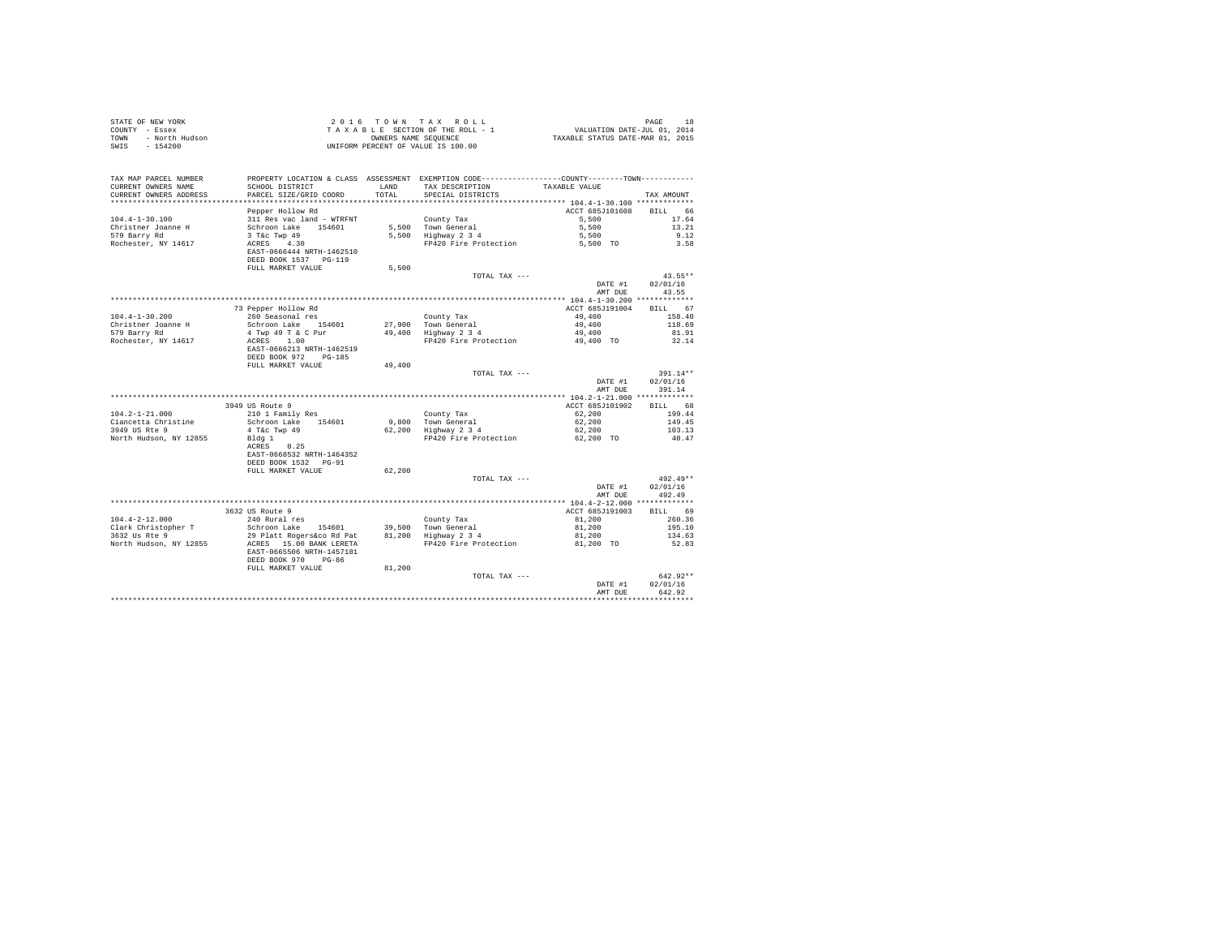| COUNTY - Essex<br>- North Hudson<br>TOWN      | T A X A B L E SECTION OF THE ROLL - 1<br>OWNERS NOWERS NAME SEQUENCE<br>UNIFORM PERCENT OF VALUE IS 100.00                                          |               |                                                                                                                   |                         |                       |
|-----------------------------------------------|-----------------------------------------------------------------------------------------------------------------------------------------------------|---------------|-------------------------------------------------------------------------------------------------------------------|-------------------------|-----------------------|
| $-154200$<br>SWIS                             |                                                                                                                                                     |               |                                                                                                                   |                         |                       |
|                                               |                                                                                                                                                     |               |                                                                                                                   |                         |                       |
|                                               |                                                                                                                                                     |               |                                                                                                                   |                         |                       |
| TAX MAP PARCEL NUMBER                         | SCHOOL DISTRICT                                                                                                                                     |               | PROPERTY LOCATION & CLASS ASSESSMENT EXEMPTION CODE----------------COUNTY-------TOWN----------<br>TAX DESCRIPTION |                         |                       |
| CURRENT OWNERS NAME<br>CURRENT OWNERS ADDRESS | PARCEL SIZE/GRID COORD                                                                                                                              | LAND<br>TOTAL | SPECIAL DISTRICTS                                                                                                 | TAXABLE VALUE           | TAX AMOUNT            |
|                                               |                                                                                                                                                     |               |                                                                                                                   |                         |                       |
|                                               | Pepper Hollow Rd                                                                                                                                    |               |                                                                                                                   | ACCT 685J101608         | BILL 66               |
| $104.4 - 1 - 30.100$                          | 311 Res vac land - WTRFNT                                                                                                                           |               | County Tax                                                                                                        | 5,500                   | 17.64                 |
| Christner Joanne H                            |                                                                                                                                                     |               | 5,500 Town General                                                                                                | 5,500                   | 13.21                 |
| 579 Barry Rd                                  |                                                                                                                                                     |               | 5,500 Iown General<br>5,500 Highway 2 3 4                                                                         | 5,500                   | 9.12                  |
| Rochester, NY 14617                           | Schroon Lake 154601<br>3 T&c Twp 49<br>ACRES 4.30                                                                                                   |               | FP420 Fire Protection 5,500 TO                                                                                    |                         | 3.58                  |
|                                               | EAST-0666444 NRTH-1462510                                                                                                                           |               |                                                                                                                   |                         |                       |
|                                               | DEED BOOK 1537 PG-119                                                                                                                               |               |                                                                                                                   |                         |                       |
|                                               | FULL MARKET VALUE                                                                                                                                   | 5,500         |                                                                                                                   |                         |                       |
|                                               |                                                                                                                                                     |               | TOTAL TAX ---                                                                                                     | DATE #1                 | $43.55**$<br>02/01/16 |
|                                               |                                                                                                                                                     |               |                                                                                                                   | AMT DUE                 | 43.55                 |
|                                               |                                                                                                                                                     |               |                                                                                                                   |                         |                       |
|                                               | 73 Pepper Hollow Rd                                                                                                                                 |               |                                                                                                                   | ACCT 685J191004         | BILL 67               |
| $104.4 - 1 - 30.200$                          | 260 Seasonal res                                                                                                                                    |               | County Tax                                                                                                        | 49,400                  | 158.40                |
| Christner Joanne H                            |                                                                                                                                                     |               |                                                                                                                   | 49,400                  | 118.69                |
| 579 Barry Rd                                  |                                                                                                                                                     |               |                                                                                                                   | 49,400                  | 81.91                 |
| Rochester, NY 14617                           | Schroon Lake 154601 27,900 Town General<br>4 Twp 49 T & C Pur 49,400 Highway 2 3 4<br>ACRES 1.00<br>EAST-0666213 NRTH-1462519 FP420 Fire Protection |               | FP420 Fire Protection                                                                                             | 49,400 TO               | 32.14                 |
|                                               |                                                                                                                                                     |               |                                                                                                                   |                         |                       |
|                                               | DEED BOOK 972 PG-185                                                                                                                                |               |                                                                                                                   |                         |                       |
|                                               | FULL MARKET VALUE                                                                                                                                   | 49,400        |                                                                                                                   |                         |                       |
|                                               |                                                                                                                                                     |               | TOTAL TAX ---                                                                                                     | DATE #1                 | 391.14**<br>02/01/16  |
|                                               |                                                                                                                                                     |               |                                                                                                                   | AMT DUE                 | 391.14                |
|                                               |                                                                                                                                                     |               |                                                                                                                   |                         |                       |
|                                               | 3949 US Route 9                                                                                                                                     |               |                                                                                                                   | ACCT 685J101902 BILL 68 |                       |
| $104.2 - 1 - 21.000$                          | 210 1 Family Res                                                                                                                                    |               | County Tax                                                                                                        | 62.200                  | 199.44                |
| Ciancetta Christine                           | Schroon Lake 154601                                                                                                                                 |               | 9,800 Town General<br>62,200 Highway 2 3 4                                                                        | 62,200                  | 149.45                |
| 3949 US Rte 9                                 | 4 T&C Twp 49                                                                                                                                        |               |                                                                                                                   | 62,200                  | 103.13                |
| North Hudson, NY 12855                        | Bldg 1                                                                                                                                              |               | FP420 Fire Protection                                                                                             | 62.200 TO               | 40.47                 |
|                                               | ACRES 0.25                                                                                                                                          |               |                                                                                                                   |                         |                       |
|                                               | EAST-0668532 NRTH-1464352<br>DEED BOOK 1532 PG-91                                                                                                   |               |                                                                                                                   |                         |                       |
|                                               | FULL MARKET VALUE                                                                                                                                   | 62,200        |                                                                                                                   |                         |                       |
|                                               |                                                                                                                                                     |               | TOTAL TAX ---                                                                                                     |                         | $492.49**$            |
|                                               |                                                                                                                                                     |               |                                                                                                                   | DATE #1                 | 02/01/16              |
|                                               |                                                                                                                                                     |               |                                                                                                                   | AMT DUE                 | 492.49                |
|                                               |                                                                                                                                                     |               |                                                                                                                   |                         |                       |
|                                               | 3632 US Route 9                                                                                                                                     |               |                                                                                                                   | ACCT 685J191003         | BILL 69               |
| $104.4 - 2 - 12.000$                          | 240 Rural res                                                                                                                                       |               | County Tax                                                                                                        | 81,200                  | 260.36                |
| Clark Christopher T<br>3632 Us Rte 9          |                                                                                                                                                     |               |                                                                                                                   | 81,200                  | 195.10                |
|                                               | Schroon Lake 154601 39,500 Town General<br>29 Platt Rogers&co Rd Pat 81,200 Highway 2 3 4                                                           |               |                                                                                                                   | 81,200                  | 134.63                |
| North Hudson, NY 12855                        | ACRES 15.00 BANK LERETA                                                                                                                             |               | FP420 Fire Protection 81,200 TO                                                                                   |                         | 52.83                 |
|                                               |                                                                                                                                                     |               |                                                                                                                   |                         |                       |
|                                               | EAST-0665506 NRTH-1457181                                                                                                                           |               |                                                                                                                   |                         |                       |
|                                               | DEED BOOK 970 PG-86                                                                                                                                 |               |                                                                                                                   |                         |                       |
|                                               | FULL MARKET VALUE                                                                                                                                   | 81,200        | TOTAL TAX ---                                                                                                     |                         | $642.92**$            |
|                                               |                                                                                                                                                     |               |                                                                                                                   | DATE #1                 | 02/01/16              |
|                                               |                                                                                                                                                     |               |                                                                                                                   | AMT DUE                 | 642.92                |

STATE OF NEW YORK 2 0 1 6 T O W N T A X R O L L PAGE 18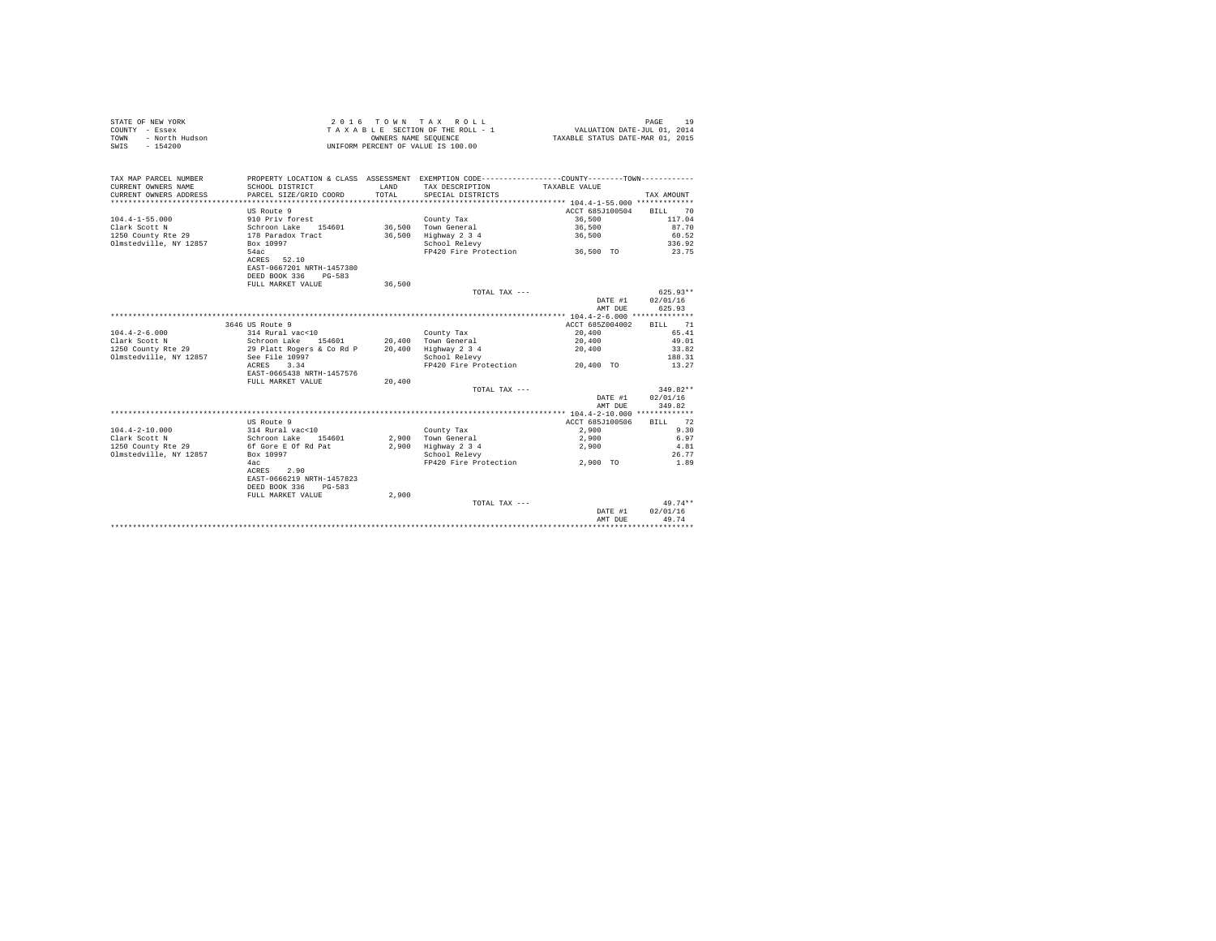| STATE OF NEW YORK      | 2016 TOWN TAX ROLL                 | PAGE                             |
|------------------------|------------------------------------|----------------------------------|
| COUNTY - Essex         | TAXABLE SECTION OF THE ROLL - 1    | VALUATION DATE-JUL 01, 2014      |
| TOWN<br>- North Hudson | OWNERS NAME SEOUENCE               | TAXABLE STATUS DATE-MAR 01, 2015 |
| $-154200$<br>SWIS      | UNIFORM PERCENT OF VALUE IS 100.00 |                                  |

| TAX MAP PARCEL NUMBER<br>CURRENT OWNERS NAME<br>CURRENT OWNERS ADDRESS | PROPERTY LOCATION & CLASS ASSESSMENT EXEMPTION CODE---------------COUNTY-------TOWN----------<br>SCHOOL DISTRICT<br>PARCEL SIZE/GRID COORD | <b>T.AND</b><br>TOTAL. | TAX DESCRIPTION<br>SPECIAL DISTRICTS | TAXABLE VALUE   | TAX AMOUNT |
|------------------------------------------------------------------------|--------------------------------------------------------------------------------------------------------------------------------------------|------------------------|--------------------------------------|-----------------|------------|
|                                                                        |                                                                                                                                            |                        |                                      |                 |            |
|                                                                        | US Route 9                                                                                                                                 |                        |                                      | ACCT 685J100504 | BILL<br>70 |
| $104.4 - 1 - 55.000$                                                   | 910 Priv forest                                                                                                                            |                        | County Tax                           | 36,500          | 117.04     |
| Clark Scott N                                                          | Schroon Lake 154601                                                                                                                        |                        | 36,500 Town General                  | 36,500          | 87.70      |
| 1250 County Rte 29                                                     | 178 Paradox Tract                                                                                                                          | 36,500                 | Highway 2 3 4                        | 36,500          | 60.52      |
| Olmstedville, NY 12857                                                 | Box 10997                                                                                                                                  |                        | School Relevy                        |                 | 336.92     |
|                                                                        | 54ac                                                                                                                                       |                        | FP420 Fire Protection                | 36,500 TO       | 23.75      |
|                                                                        | ACRES 52.10                                                                                                                                |                        |                                      |                 |            |
|                                                                        | EAST-0667201 NRTH-1457380                                                                                                                  |                        |                                      |                 |            |
|                                                                        | DEED BOOK 336<br>$PG-583$                                                                                                                  |                        |                                      |                 |            |
|                                                                        | FULL MARKET VALUE                                                                                                                          | 36,500                 |                                      |                 |            |
|                                                                        |                                                                                                                                            |                        | TOTAL TAX $---$                      |                 | $625.93**$ |
|                                                                        |                                                                                                                                            |                        |                                      | DATE #1         | 02/01/16   |
|                                                                        |                                                                                                                                            |                        |                                      | AMT DUE         | 625.93     |
|                                                                        |                                                                                                                                            |                        |                                      |                 |            |
|                                                                        | 3646 US Route 9                                                                                                                            |                        |                                      | ACCT 685Z004002 | BILL 71    |
| $104.4 - 2 - 6.000$                                                    | 314 Rural vac<10                                                                                                                           |                        | County Tax                           | 20,400          | 65.41      |
| Clark Scott N                                                          | Schroon Lake<br>154601                                                                                                                     |                        | 20,400 Town General                  | 20,400          | 49.01      |
| 1250 County Rte 29                                                     | 29 Platt Rogers & Co Rd P                                                                                                                  |                        | 20,400 Highway 2 3 4                 | 20,400          | 33.82      |
| Olmstedville, NY 12857                                                 | See File 10997                                                                                                                             |                        | School Relevy                        |                 | 188.31     |
|                                                                        | ACRES<br>3.34                                                                                                                              |                        | FP420 Fire Protection 20.400 TO      |                 | 13.27      |
|                                                                        | EAST-0665438 NRTH-1457576                                                                                                                  |                        |                                      |                 |            |
|                                                                        | FULL MARKET VALUE                                                                                                                          | 20,400                 |                                      |                 |            |
|                                                                        |                                                                                                                                            |                        | TOTAL TAX $---$                      |                 | $349.82**$ |
|                                                                        |                                                                                                                                            |                        |                                      | DATE #1         | 02/01/16   |
|                                                                        |                                                                                                                                            |                        |                                      | AMT DUE         | 349.82     |
|                                                                        |                                                                                                                                            |                        |                                      |                 |            |
|                                                                        | US Route 9                                                                                                                                 |                        |                                      | ACCT 685J100506 | BILL 72    |
| $104.4 - 2 - 10.000$                                                   | 314 Rural vac<10                                                                                                                           |                        | County Tax                           | 2,900           | 9.30       |
| Clark Scott N                                                          | Schroon Lake<br>154601                                                                                                                     |                        | 2.900 Town General                   | 2,900           | 6.97       |
| 1250 County Rte 29                                                     | 6f Gore E Of Rd Pat                                                                                                                        | 2,900                  | Highway 2 3 4                        | 2,900           | 4.81       |
| Olmstedville, NY 12857                                                 | Box 10997                                                                                                                                  |                        | School Relevy                        |                 | 26.77      |
|                                                                        | 4ac                                                                                                                                        |                        | FP420 Fire Protection                | 2,900 TO        | 1.89       |
|                                                                        | ACRES<br>2.90                                                                                                                              |                        |                                      |                 |            |
|                                                                        | EAST-0666219 NRTH-1457823                                                                                                                  |                        |                                      |                 |            |
|                                                                        | DEED BOOK 336<br>PG-583                                                                                                                    |                        |                                      |                 |            |
|                                                                        | FULL MARKET VALUE                                                                                                                          | 2,900                  |                                      |                 |            |
|                                                                        |                                                                                                                                            |                        | TOTAL TAX ---                        |                 | $49.74**$  |
|                                                                        |                                                                                                                                            |                        |                                      | DATE #1         | 02/01/16   |
|                                                                        |                                                                                                                                            |                        |                                      | AMT DUE         | 49.74      |
|                                                                        |                                                                                                                                            |                        |                                      |                 |            |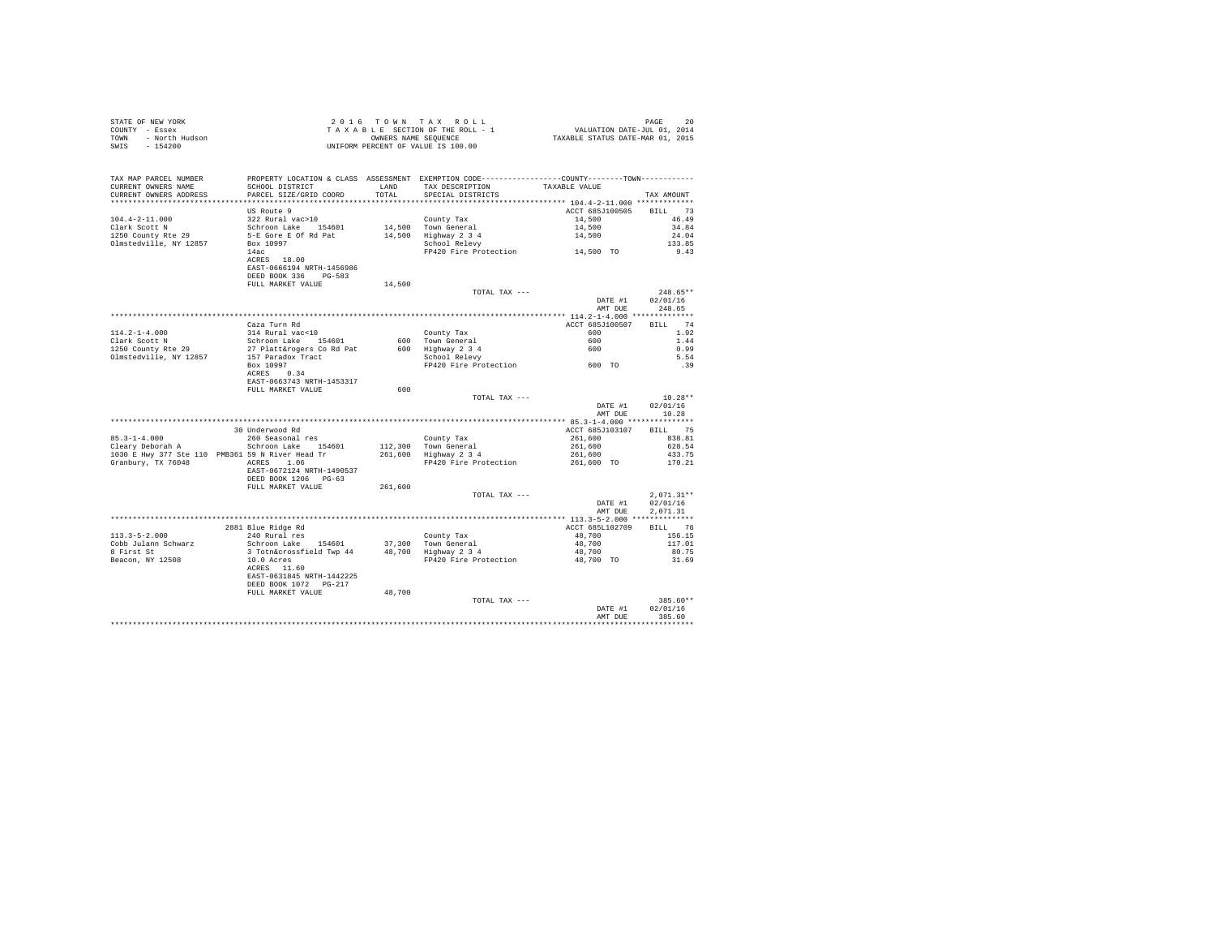| STATE OF NEW YORK      | 2016 TOWN TAX ROLL                 | PAGE                             |
|------------------------|------------------------------------|----------------------------------|
| COUNTY - Essex         | TAXABLE SECTION OF THE ROLL - 1    | VALUATION DATE-JUL 01, 2014      |
| TOWN<br>- North Hudson | OWNERS NAME SEOUENCE               | TAXABLE STATUS DATE-MAR 01, 2015 |
| - 154200<br>SWIS       | UNIFORM PERCENT OF VALUE IS 100.00 |                                  |

| TAX MAP PARCEL NUMBER<br>CURRENT OWNERS NAME      | PROPERTY LOCATION & CLASS ASSESSMENT EXEMPTION CODE---------------COUNTY-------TOWN---------<br>SCHOOL DISTRICT | LAND    | TAX DESCRIPTION                                        | TAXABLE VALUE          |              |
|---------------------------------------------------|-----------------------------------------------------------------------------------------------------------------|---------|--------------------------------------------------------|------------------------|--------------|
| CURRENT OWNERS ADDRESS<br>*********************** | PARCEL SIZE/GRID COORD                                                                                          | TOTAL   | SPECIAL DISTRICTS                                      |                        | TAX AMOUNT   |
|                                                   |                                                                                                                 |         |                                                        |                        |              |
|                                                   | US Route 9                                                                                                      |         |                                                        | ACCT 685J100505        | BILL 73      |
| $104.4 - 2 - 11.000$                              | 322 Rural vac>10                                                                                                |         | County Tax                                             | 14,500                 | 46.49        |
| Clark Scott N                                     | Schroon Lake 154601                                                                                             |         | 14,500 Town General                                    | 14,500                 | 34.84        |
| 1250 County Rte 29                                | 5-E Gore E Of Rd Pat                                                                                            |         | 14,500 Highway 2 3 4                                   | 14,500                 | 24.04        |
| Olmstedville, NY 12857                            | Box 10997                                                                                                       |         | School Relevy<br>FP420 Fire Protection 14,500 TO       |                        | 133.85       |
|                                                   | 14ac                                                                                                            |         |                                                        |                        | 9.43         |
|                                                   | ACRES 18.00                                                                                                     |         |                                                        |                        |              |
|                                                   | EAST-0666194 NRTH-1456986                                                                                       |         |                                                        |                        |              |
|                                                   | DEED BOOK 336 PG-583                                                                                            |         |                                                        |                        |              |
|                                                   | FULL MARKET VALUE                                                                                               | 14,500  |                                                        |                        |              |
|                                                   |                                                                                                                 |         | TOTAL TAX ---                                          |                        | $248.65**$   |
|                                                   |                                                                                                                 |         |                                                        | DATE #1                | 02/01/16     |
|                                                   |                                                                                                                 |         |                                                        | AMT DUE                | 248.65       |
|                                                   |                                                                                                                 |         |                                                        |                        | 74           |
|                                                   | Caza Turn Rd                                                                                                    |         |                                                        | ACCT 685J100507<br>600 | BILL.        |
| $114.2 - 1 - 4.000$<br>Clark Scott N              | 314 Rural vac<10                                                                                                |         | County Tax<br>600 Town General                         | 600                    | 1.92<br>1.44 |
|                                                   | Schroon Lake 154601<br>27 Platt&rogers Co Rd Pat                                                                |         |                                                        |                        | 0.99         |
| 1250 County Rte 29                                | 157 Paradox Tract                                                                                               |         | 600 Hown General<br>600 Highway 2 3 4<br>School Relevy | 600                    | 5.54         |
| Olmstedville, NY 12857                            | Box 10997                                                                                                       |         | School Relevy<br>FP420 Fire Protection 600 TO          |                        | .39          |
|                                                   | ACRES 0.34                                                                                                      |         |                                                        |                        |              |
|                                                   | EAST-0663743 NRTH-1453317                                                                                       |         |                                                        |                        |              |
|                                                   | FULL MARKET VALUE                                                                                               | 600     |                                                        |                        |              |
|                                                   |                                                                                                                 |         | TOTAL TAX ---                                          |                        | $10.28**$    |
|                                                   |                                                                                                                 |         |                                                        | DATE #1                | 02/01/16     |
|                                                   |                                                                                                                 |         |                                                        | AMT DUE                | 10.28        |
|                                                   |                                                                                                                 |         |                                                        |                        |              |
|                                                   | 30 Underwood Rd                                                                                                 |         |                                                        | ACCT 685J103107        | BILL 75      |
| $85.3 - 1 - 4.000$                                | 260 Seasonal res                                                                                                |         | County Tax                                             | 261,600                | 838.81       |
| Cleary Deborah A                                  | Schroon Lake 154601                                                                                             |         | 112,300 Town General                                   | 261,600                | 628.54       |
|                                                   | 1030 E Hwy 377 Ste 110 PMB361 59 N River Head Tr                                                                |         | 261,600 Highway 2 3 4                                  | 261,600                | 433.75       |
| Granbury, TX 76048                                | ACRES 1.06                                                                                                      |         | FP420 Fire Protection                                  | 261,600 TO             | 170.21       |
|                                                   | EAST-0672124 NRTH-1490537                                                                                       |         |                                                        |                        |              |
|                                                   | DEED BOOK 1206 PG-63                                                                                            |         |                                                        |                        |              |
|                                                   | FULL MARKET VALUE                                                                                               | 261,600 |                                                        |                        |              |
|                                                   |                                                                                                                 |         | TOTAL TAX ---                                          |                        | $2.071.31**$ |
|                                                   |                                                                                                                 |         |                                                        | DATE #1                | 02/01/16     |
|                                                   |                                                                                                                 |         |                                                        | AMT DUE                | 2,071.31     |
|                                                   |                                                                                                                 |         |                                                        |                        |              |
|                                                   | 2881 Blue Ridge Rd                                                                                              |         |                                                        | ACCT 685L102709        | 76<br>BILL   |
| $113.3 - 5 - 2.000$                               | 240 Rural res                                                                                                   |         | County Tax                                             | 48,700                 | 156.15       |
| Cobb Julann Schwarz                               | Schroon Lake 154601                                                                                             |         | 37,300 Town General                                    | 48,700                 | 117.01       |
| 8 First St                                        | 3 Totn&crossfield Twp 44                                                                                        |         | 48,700 Highway 2 3 4                                   | 48,700                 | 80.75        |
| Beacon, NY 12508                                  | 10.0 Acres                                                                                                      |         | FP420 Fire Protection                                  | 48,700 TO              | 31.69        |
|                                                   | ACRES 11.60                                                                                                     |         |                                                        |                        |              |
|                                                   | EAST-0631845 NRTH-1442225                                                                                       |         |                                                        |                        |              |
|                                                   | DEED BOOK 1072 PG-217                                                                                           |         |                                                        |                        |              |
|                                                   | FULL MARKET VALUE                                                                                               | 48,700  |                                                        |                        |              |
|                                                   |                                                                                                                 |         | TOTAL TAX ---                                          |                        | 385.60**     |
|                                                   |                                                                                                                 |         |                                                        | DATE #1                | 02/01/16     |
|                                                   |                                                                                                                 |         |                                                        | AMT DUE                | 385.60       |
|                                                   |                                                                                                                 |         |                                                        |                        |              |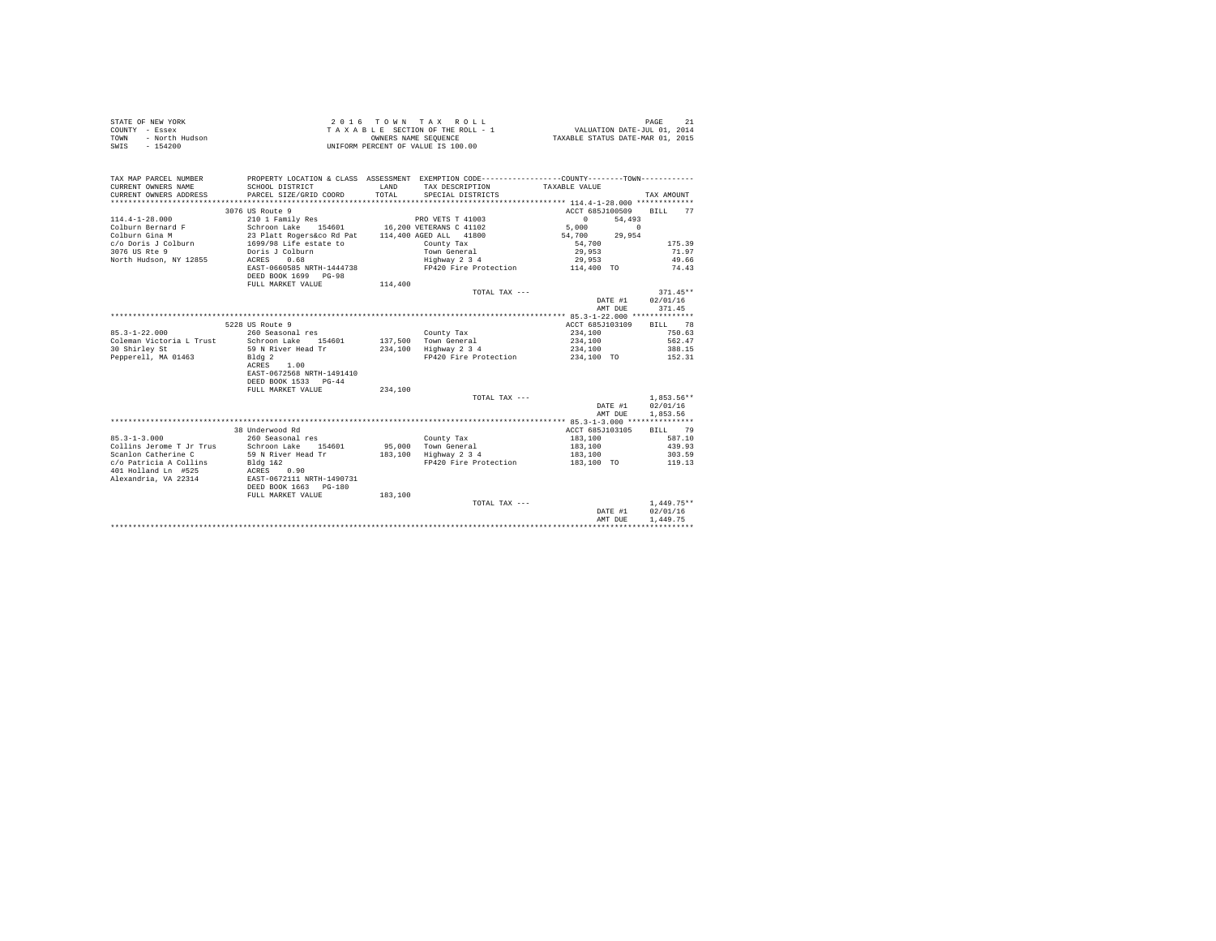| STATE OF NEW YORK      | 2016 TOWN TAX ROLL                 | PAGE                             |
|------------------------|------------------------------------|----------------------------------|
| COUNTY - Essex         | TAXABLE SECTION OF THE ROLL - 1    | VALUATION DATE-JUL 01, 2014      |
| - North Hudson<br>TOWN | OWNERS NAME SEOUENCE               | TAXABLE STATUS DATE-MAR 01, 2015 |
| SWIS<br>$-154200$      | UNIFORM PERCENT OF VALUE IS 100.00 |                                  |

| TAX MAP PARCEL NUMBER<br>CURRENT OWNERS NAME           | PROPERTY LOCATION & CLASS ASSESSMENT EXEMPTION CODE---------------COUNTY-------TOWN---------<br>SCHOOL DISTRICT | LAND    | TAX DESCRIPTION                               | TAXABLE VALUE              |                         |
|--------------------------------------------------------|-----------------------------------------------------------------------------------------------------------------|---------|-----------------------------------------------|----------------------------|-------------------------|
| CURRENT OWNERS ADDRESS                                 | PARCEL SIZE/GRID COORD                                                                                          | TOTAL   | SPECIAL DISTRICTS                             |                            | TAX AMOUNT              |
|                                                        |                                                                                                                 |         |                                               |                            |                         |
|                                                        | 3076 US Route 9                                                                                                 |         |                                               | ACCT 685J100509            | <b>BILL</b><br>77       |
| $114.4 - 1 - 28.000$                                   | 210 1 Family Res                                                                                                |         | PRO VETS T 41003                              | $\sim$ 0                   | 54,493                  |
| Colburn Bernard F                                      | Schroon Lake 154601 16,200 VETERANS C 41102                                                                     |         |                                               | 5,000                      | $\sim$                  |
| Colburn Gina M                                         | 23 Platt Rogers&co Rd Pat 114,400 AGED ALL 41800<br>1699/98 Life estate to County Tax                           |         |                                               | 54,700 29,954              |                         |
| c/o Doris J Colburn                                    |                                                                                                                 |         |                                               | 54,700                     | 175.39                  |
| 3076 US Rte 9                                          | Doris J Colburn                                                                                                 |         | Town General                                  | 29,953                     | 71.97                   |
| North Hudson, NY 12855                                 | 0.68<br>ACRES                                                                                                   |         | Highway 2 3 4                                 | 29,953                     | 49.66                   |
|                                                        | EAST-0660585 NRTH-1444738<br>DEED BOOK 1699 PG-98                                                               |         | FP420 Fire Protection                         | 114,400 TO                 | 74.43                   |
|                                                        | FULL MARKET VALUE                                                                                               | 114,400 |                                               |                            |                         |
|                                                        |                                                                                                                 |         | TOTAL TAX ---                                 |                            | $371.45**$              |
|                                                        |                                                                                                                 |         |                                               | DATE #1                    | 02/01/16                |
|                                                        |                                                                                                                 |         |                                               | AMT DUE                    | 371.45                  |
|                                                        |                                                                                                                 |         |                                               |                            |                         |
|                                                        | 5228 US Route 9                                                                                                 |         |                                               |                            | ACCT 685J103109 BILL 78 |
| $85.3 - 1 - 22.000$                                    | 260 Seasonal res                                                                                                |         | County Tax                                    | 234,100                    | 750.63                  |
| Coleman Victoria L Trust                               | Schroon Lake 154601                                                                                             |         | 137,500 Town General<br>234,100 Highway 2 3 4 | 234,100                    | 562.47                  |
| 30 Shirley St                                          | 59 N River Head Tr                                                                                              |         |                                               | 234,100                    | 388.15                  |
| Pepperell, MA 01463 Bldg 2                             | 1.00<br>ACRES<br>EAST-0672568 NRTH-1491410<br>DEED BOOK 1533 PG-44                                              |         | FP420 Fire Protection 234,100 TO 152.31       |                            |                         |
|                                                        | FULL MARKET VALUE                                                                                               |         |                                               |                            |                         |
|                                                        |                                                                                                                 | 234,100 |                                               |                            | $1,853.56**$            |
|                                                        |                                                                                                                 |         | TOTAL TAX ---                                 | DATE #1                    |                         |
|                                                        |                                                                                                                 |         |                                               |                            | 02/01/16                |
|                                                        |                                                                                                                 |         |                                               | AMT DUE                    | 1,853.56                |
|                                                        |                                                                                                                 |         |                                               |                            | BILL 79                 |
|                                                        | 38 Underwood Rd                                                                                                 |         |                                               | ACCT 685J103105<br>183,100 | 587.10                  |
| $85.3 - 1 - 3.000$<br>Collins Jerome T Jr Trus         | 260 Seasonal res                                                                                                |         | County Tax                                    |                            | 439.93                  |
|                                                        | Schroon Lake 154601                                                                                             |         | 95,000 Town General<br>183,100 Highway 2 3 4  | 183,100                    |                         |
| Scanlon Catherine C<br>c/o Patricia A Collins Bldg 1&2 | 59 N River Head Tr                                                                                              |         | FP420 Fire Protection 183,100 TO 119.13       | 183,100                    | 303.59                  |
| 401 Holland Ln #525                                    |                                                                                                                 |         |                                               |                            |                         |
| Alexandria, VA 22314                                   | ACRES 0.90<br>EAST-0672111 NRTH-1490731                                                                         |         |                                               |                            |                         |
|                                                        | DEED BOOK 1663 PG-180                                                                                           |         |                                               |                            |                         |
|                                                        | FULL MARKET VALUE                                                                                               | 183,100 |                                               |                            |                         |
|                                                        |                                                                                                                 |         |                                               |                            | $1.449.75**$            |
|                                                        |                                                                                                                 |         | TOTAL TAX ---                                 |                            |                         |
|                                                        |                                                                                                                 |         |                                               | DATE #1                    | 02/01/16                |
|                                                        |                                                                                                                 |         |                                               | AMT DUE                    | 1,449.75                |
|                                                        |                                                                                                                 |         |                                               |                            |                         |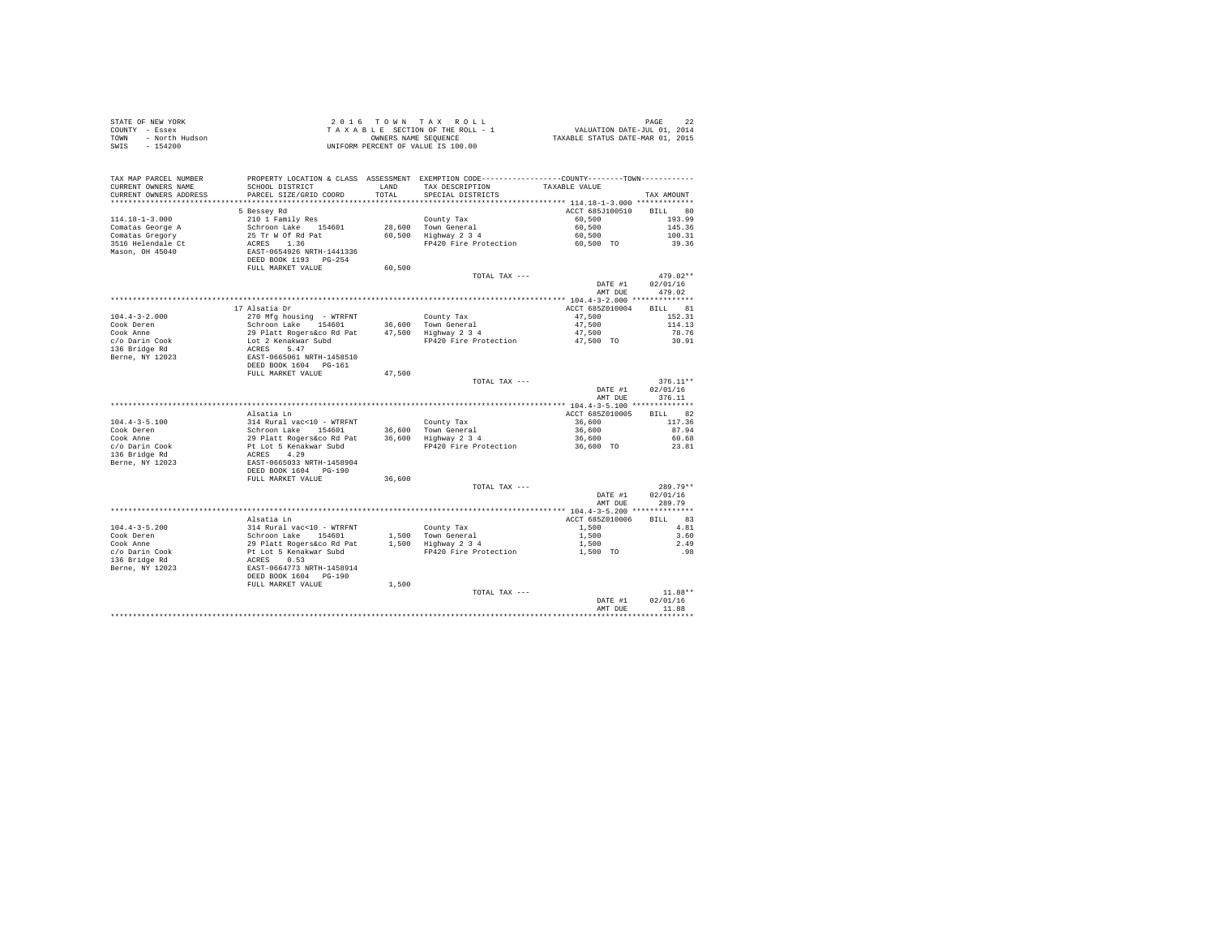|      | STATE OF NEW YORK | 2016 TOWN TAX ROLL                 | PAGE                             |
|------|-------------------|------------------------------------|----------------------------------|
|      | COUNTY - Essex    | TAXABLE SECTION OF THE ROLL - 1    | VALUATION DATE-JUL 01, 2014      |
| TOWN | - North Hudson    | OWNERS NAME SEOUENCE               | TAXABLE STATUS DATE-MAR 01, 2015 |
| SWIS | - 154200          | UNIFORM PERCENT OF VALUE IS 100.00 |                                  |

| TAX MAP PARCEL NUMBER<br>CURRENT OWNERS NAME<br>CURRENT OWNERS ADDRESS<br>******************** | SCHOOL DISTRICT<br>PARCEL SIZE/GRID COORD                         | <b>T.AND</b><br>TOTAL<br>********** | PROPERTY LOCATION & CLASS ASSESSMENT EXEMPTION CODE---------------COUNTY-------TOWN----------<br>TAX DESCRIPTION<br>SPECIAL DISTRICTS | TAXABLE VALUE                             | TAX AMOUNT        |
|------------------------------------------------------------------------------------------------|-------------------------------------------------------------------|-------------------------------------|---------------------------------------------------------------------------------------------------------------------------------------|-------------------------------------------|-------------------|
|                                                                                                |                                                                   |                                     | ************************************* 114.18-1-3.000 *************                                                                    |                                           |                   |
|                                                                                                | 5 Bessey Rd                                                       |                                     |                                                                                                                                       | ACCT 685J100510                           | BILL 80           |
| $114.18 - 1 - 3.000$                                                                           | 210 1 Family Res                                                  |                                     | County Tax                                                                                                                            | 60,500                                    | 193.99            |
| Comatas George A                                                                               | Schroon Lake 154601                                               |                                     | 28,600 Town General                                                                                                                   | 60,500                                    | 145.36            |
| Comatas Gregory                                                                                | 25 Tr W Of Rd Pat                                                 |                                     | 60,500 Highway 2 3 4                                                                                                                  | 60,500                                    | 100.31            |
| 3516 Helendale Ct                                                                              | ACRES 1.36                                                        |                                     | FP420 Fire Protection                                                                                                                 | 60,500 TO                                 | 39.36             |
| Mason, OH 45040                                                                                | EAST-0654926 NRTH-1441336                                         |                                     |                                                                                                                                       |                                           |                   |
|                                                                                                |                                                                   |                                     |                                                                                                                                       |                                           |                   |
|                                                                                                | FULL MARKET VALUE                                                 | 60.500                              |                                                                                                                                       |                                           |                   |
|                                                                                                |                                                                   |                                     | TOTAL TAX ---                                                                                                                         |                                           | $479.02**$        |
|                                                                                                |                                                                   |                                     |                                                                                                                                       | DATE #1                                   | 02/01/16          |
|                                                                                                |                                                                   |                                     |                                                                                                                                       | AMT DUE                                   | 479.02            |
|                                                                                                |                                                                   |                                     |                                                                                                                                       |                                           |                   |
|                                                                                                | 17 Alsatia Dr                                                     |                                     |                                                                                                                                       | ACCT 685Z010004                           | BILL 81           |
| $104.4 - 3 - 2.000$                                                                            | 270 Mfg housing - WTRFNT                                          |                                     | County Tax                                                                                                                            | 47,500                                    | 152.31            |
|                                                                                                |                                                                   |                                     |                                                                                                                                       |                                           |                   |
| Cook Deren                                                                                     | Schroon Lake 154601                                               |                                     | 36.600 Town General                                                                                                                   | 47,500                                    | 114.13            |
| Cook Anne                                                                                      | 29 Platt Rogers&co Rd Pat                                         |                                     | 47,500 Highway 2 3 4                                                                                                                  | 47,500                                    | 78.76             |
| c/o Darin Cook                                                                                 | Lot 2 Kenakwar Subd                                               |                                     | FP420 Fire Protection                                                                                                                 | 47,500 TO                                 | 30.91             |
| 136 Bridge Rd                                                                                  | ACRES 5.47<br>EAST-0665061 NRTH-1458510                           |                                     |                                                                                                                                       |                                           |                   |
| Berne, NY 12023                                                                                |                                                                   |                                     |                                                                                                                                       |                                           |                   |
|                                                                                                | DEED BOOK 1604 PG-161                                             |                                     |                                                                                                                                       |                                           |                   |
|                                                                                                | FULL MARKET VALUE                                                 | 47.500                              |                                                                                                                                       |                                           |                   |
|                                                                                                |                                                                   |                                     | TOTAL TAX ---                                                                                                                         |                                           | $376.11**$        |
|                                                                                                |                                                                   |                                     |                                                                                                                                       | DATE #1                                   | 02/01/16          |
|                                                                                                |                                                                   |                                     |                                                                                                                                       | AMT DUE                                   | 376.11            |
|                                                                                                |                                                                   |                                     |                                                                                                                                       |                                           |                   |
|                                                                                                | Alsatia Ln                                                        |                                     |                                                                                                                                       | ACCT 685Z010005                           | <b>BILL</b><br>82 |
| $104.4 - 3 - 5.100$                                                                            | 314 Rural vac<10 - WTRFNT                                         |                                     | County Tax                                                                                                                            | 36,600                                    | 117.36            |
| Cook Deren                                                                                     | Schroon Lake 154601                                               |                                     | 36,600 Town General                                                                                                                   | 36,600                                    | 87.94             |
| Cook Anne                                                                                      | 29 Platt Rogers&co Rd Pat                                         |                                     | 36,600 Highway 2 3 4                                                                                                                  | 36,600                                    | 60.68             |
| c/o Darin Cook                                                                                 | Pt Lot 5 Kenakwar Subd<br>ACRES 4.29<br>EAST-0665033 NRTH-1458904 |                                     | FP420 Fire Protection                                                                                                                 | 36,600 TO                                 | 23.81             |
| 136 Bridge Rd                                                                                  |                                                                   |                                     |                                                                                                                                       |                                           |                   |
| Berne, NY 12023                                                                                |                                                                   |                                     |                                                                                                                                       |                                           |                   |
|                                                                                                | DEED BOOK 1604 PG-190                                             |                                     |                                                                                                                                       |                                           |                   |
|                                                                                                | FULL MARKET VALUE                                                 | 36,600                              |                                                                                                                                       |                                           |                   |
|                                                                                                |                                                                   |                                     | TOTAL TAX ---                                                                                                                         |                                           | $289.79**$        |
|                                                                                                |                                                                   |                                     |                                                                                                                                       | DATE #1                                   | 02/01/16          |
|                                                                                                |                                                                   |                                     |                                                                                                                                       | AMT DUE                                   | 289.79            |
|                                                                                                |                                                                   |                                     |                                                                                                                                       |                                           |                   |
|                                                                                                |                                                                   |                                     |                                                                                                                                       | ************ 104.4-3-5.200 ************** |                   |
|                                                                                                | Alsatia Ln                                                        |                                     |                                                                                                                                       | ACCT 685Z010006                           | <b>BTLL</b> 83    |
| $104.4 - 3 - 5.200$                                                                            | 314 Rural vac<10 - WTRFNT<br>Schroon Lake 154601                  |                                     | County Tax                                                                                                                            | 1,500                                     | 4.81              |
| Cook Deren                                                                                     |                                                                   |                                     | 1,500 Town General                                                                                                                    | 1,500                                     | 3.60              |
| Cook Anne                                                                                      | 29 Platt Rogers&co Rd Pat<br>Pt Lot 5 Kenakwar Subd               |                                     | 1,500 Highway 2 3 4                                                                                                                   | 1,500                                     | 2.49              |
| c/o Darin Cook                                                                                 |                                                                   |                                     | FP420 Fire Protection                                                                                                                 | 1,500 TO                                  | .98               |
| 136 Bridge Rd                                                                                  | ACRES 0.53                                                        |                                     |                                                                                                                                       |                                           |                   |
| Berne, NY 12023                                                                                | EAST-0664773 NRTH-1458914                                         |                                     |                                                                                                                                       |                                           |                   |
|                                                                                                | DEED BOOK 1604 PG-190                                             |                                     |                                                                                                                                       |                                           |                   |
|                                                                                                | FULL MARKET VALUE                                                 | 1,500                               |                                                                                                                                       |                                           |                   |
|                                                                                                |                                                                   |                                     | TOTAL TAX ---                                                                                                                         |                                           | $11.88**$         |
|                                                                                                |                                                                   |                                     |                                                                                                                                       | DATE #1                                   | 02/01/16          |
|                                                                                                |                                                                   |                                     |                                                                                                                                       | AMT DUE                                   | 11.88             |
|                                                                                                |                                                                   |                                     |                                                                                                                                       |                                           |                   |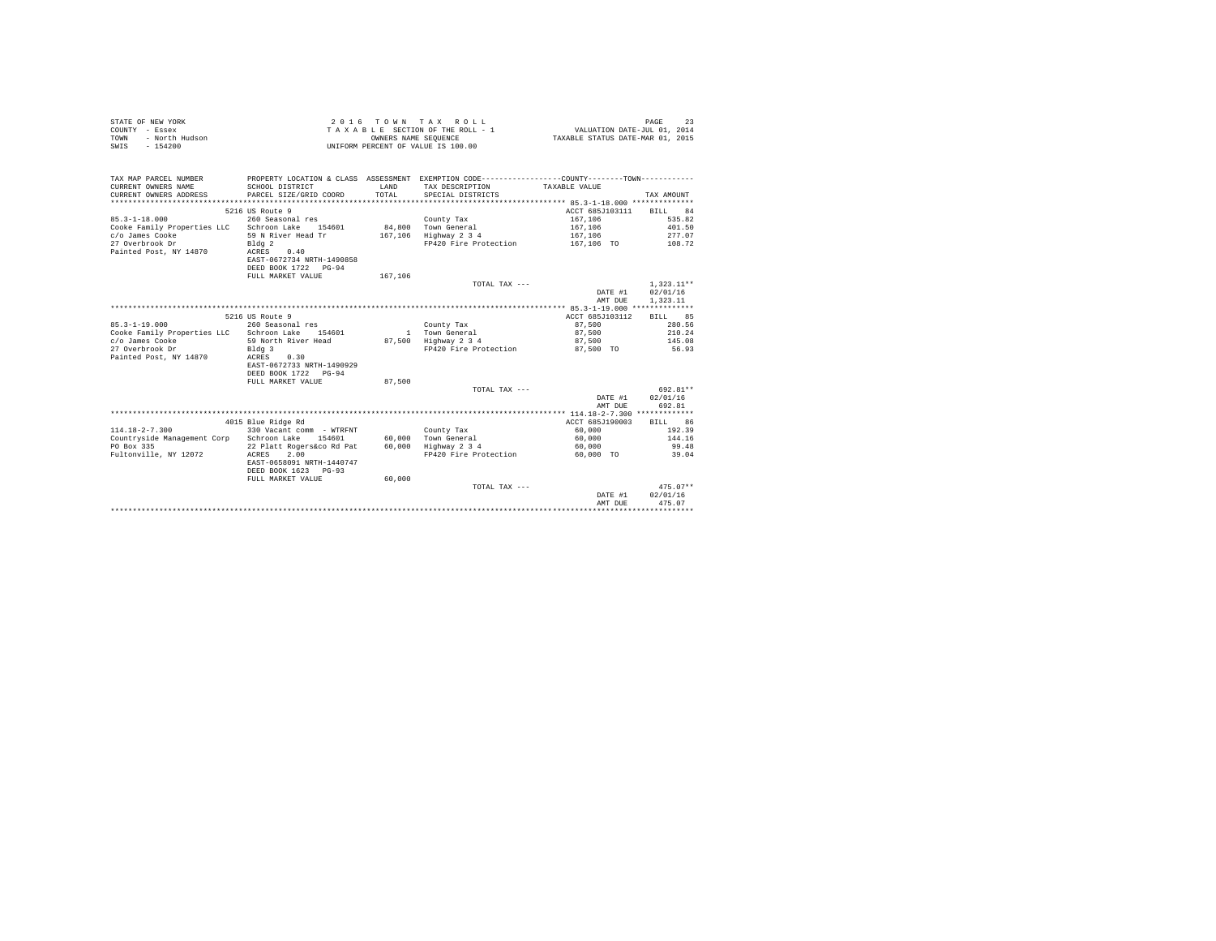| STATE OF NEW YORK      | 2016 TOWN TAX ROLL                 | PAGE                             |
|------------------------|------------------------------------|----------------------------------|
| COUNTY - Essex         | TAXABLE SECTION OF THE ROLL - 1    | VALUATION DATE-JUL 01, 2014      |
| TOWN<br>- North Hudson | OWNERS NAME SEOUENCE               | TAXABLE STATUS DATE-MAR 01, 2015 |
| - 154200<br>SWIS       | UNIFORM PERCENT OF VALUE IS 100.00 |                                  |

| TAX MAP PARCEL NUMBER<br>CURRENT OWNERS NAME<br>CURRENT OWNERS ADDRESS<br>************************ | PROPERTY LOCATION & CLASS ASSESSMENT EXEMPTION CODE---------------COUNTY-------TOWN----------<br>SCHOOL DISTRICT<br>PARCEL SIZE/GRID COORD | T.AND<br>TOTAL. | TAX DESCRIPTION TAXABLE VALUE<br>SPECIAL DISTRICTS |                 | TAX AMOUNT   |
|----------------------------------------------------------------------------------------------------|--------------------------------------------------------------------------------------------------------------------------------------------|-----------------|----------------------------------------------------|-----------------|--------------|
|                                                                                                    | 5216 US Route 9                                                                                                                            |                 |                                                    | ACCT 685J103111 | BILL 84      |
| $85.3 - 1 - 18.000$                                                                                | 260 Seasonal res                                                                                                                           |                 | County Tax                                         | 167.106         | 535.82       |
| Cooke Family Properties LLC Schroon Lake                                                           | 154601                                                                                                                                     |                 | 84.800 Town General                                | 167,106         | 401.50       |
| c/o James Cooke                                                                                    | 59 N River Head Tr                                                                                                                         |                 | 167,106 Highway 2 3 4                              | 167.106         | 277.07       |
| 27 Overbrook Dr                                                                                    |                                                                                                                                            |                 | FP420 Fire Protection                              | 167,106 TO      | 108.72       |
| Painted Post, NY 14870                                                                             | Bldg <sub>2</sub><br>0.40<br>ACRES                                                                                                         |                 |                                                    |                 |              |
|                                                                                                    | EAST-0672734 NRTH-1490858                                                                                                                  |                 |                                                    |                 |              |
|                                                                                                    | DEED BOOK 1722 PG-94                                                                                                                       |                 |                                                    |                 |              |
|                                                                                                    | FULL MARKET VALUE                                                                                                                          | 167,106         |                                                    |                 |              |
|                                                                                                    |                                                                                                                                            |                 | TOTAL TAX ---                                      |                 | $1.323.11**$ |
|                                                                                                    |                                                                                                                                            |                 |                                                    | DATE #1         | 02/01/16     |
|                                                                                                    |                                                                                                                                            |                 |                                                    | AMT DUE         | 1,323.11     |
|                                                                                                    |                                                                                                                                            |                 |                                                    |                 |              |
|                                                                                                    | 5216 US Route 9                                                                                                                            |                 |                                                    | ACCT 685J103112 | BILL 85      |
| $85.3 - 1 - 19.000$                                                                                | 260 Seasonal res                                                                                                                           |                 | County Tax                                         | 87,500          | 280.56       |
| Cooke Family Properties LLC Schroon Lake                                                           | 154601                                                                                                                                     |                 | 1 Town General                                     | 87,500          | 210.24       |
| c/o James Cooke                                                                                    | 59 North River Head                                                                                                                        |                 | 87.500 Highway 2 3 4                               | 87,500          | 145.08       |
| 27 Overbrook Dr                                                                                    | Bldg 3                                                                                                                                     |                 | FP420 Fire Protection                              | 87.500 TO       | 56.93        |
| Painted Post, NY 14870                                                                             | 0.30<br>ACRES                                                                                                                              |                 |                                                    |                 |              |
|                                                                                                    | EAST-0672733 NRTH-1490929                                                                                                                  |                 |                                                    |                 |              |
|                                                                                                    | DEED BOOK 1722 PG-94                                                                                                                       |                 |                                                    |                 |              |
|                                                                                                    | FULL MARKET VALUE                                                                                                                          | 87,500          |                                                    |                 |              |
|                                                                                                    |                                                                                                                                            |                 | TOTAL TAX ---                                      |                 | 692.81**     |
|                                                                                                    |                                                                                                                                            |                 |                                                    | DATE #1         | 02/01/16     |
|                                                                                                    |                                                                                                                                            |                 |                                                    | AMT DUE         | 692.81       |
|                                                                                                    |                                                                                                                                            |                 |                                                    |                 |              |
|                                                                                                    | 4015 Blue Ridge Rd                                                                                                                         |                 |                                                    | ACCT 685J190003 | BILL 86      |
| $114.18 - 2 - 7.300$                                                                               | 330 Vacant comm - WTRFNT                                                                                                                   |                 | County Tax                                         | 60,000          | 192.39       |
| Countryside Management Corp Schroon Lake                                                           | 154601                                                                                                                                     |                 | 60,000 Town General                                | 60,000          | 144.16       |
| PO Box 335                                                                                         | 22 Platt Rogers&co Rd Pat                                                                                                                  |                 | 60,000 Highway 2 3 4                               | 60,000          | 99.48        |
| Fultonville, NY 12072                                                                              | 2.00<br>ACRES                                                                                                                              |                 | FP420 Fire Protection                              | 60.000 TO       | 39.04        |
|                                                                                                    | EAST-0658091 NRTH-1440747                                                                                                                  |                 |                                                    |                 |              |
|                                                                                                    | DEED BOOK 1623 PG-93                                                                                                                       |                 |                                                    |                 |              |
|                                                                                                    | FULL MARKET VALUE                                                                                                                          | 60,000          |                                                    |                 |              |
|                                                                                                    |                                                                                                                                            |                 | TOTAL TAX ---                                      |                 | $475.07**$   |
|                                                                                                    |                                                                                                                                            |                 |                                                    | DATE #1         | 02/01/16     |
|                                                                                                    |                                                                                                                                            |                 |                                                    | AMT DUE         | 475.07       |
|                                                                                                    |                                                                                                                                            |                 |                                                    |                 |              |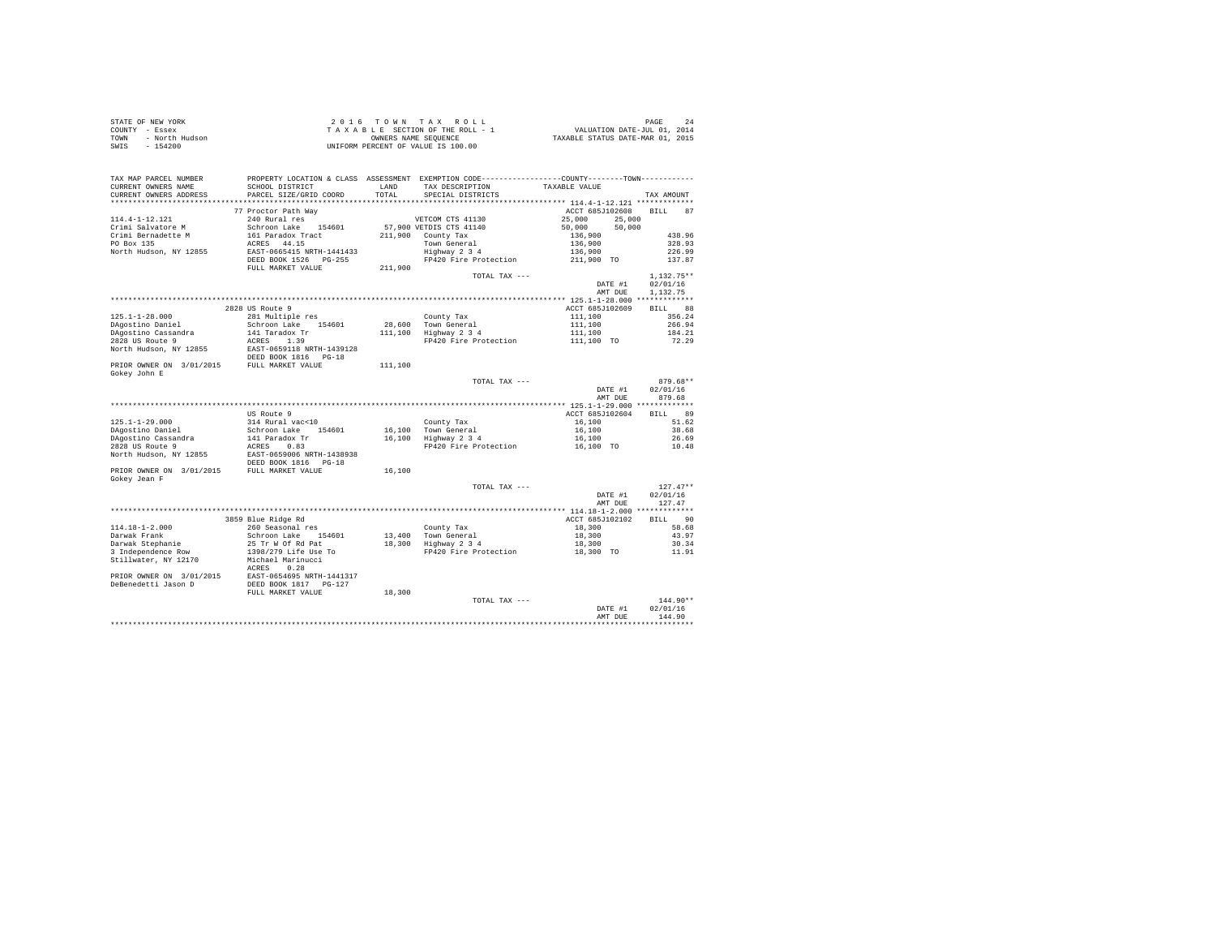| STATE OF NEW YORK      | 2016 TOWN TAX ROLL                 | PAGE                             |
|------------------------|------------------------------------|----------------------------------|
| COUNTY - Essex         | TAXABLE SECTION OF THE ROLL - 1    | VALUATION DATE-JUL 01, 2014      |
| TOWN<br>- North Hudson | OWNERS NAME SEOUENCE               | TAXABLE STATUS DATE-MAR 01, 2015 |
| $-154200$<br>SWIS      | UNIFORM PERCENT OF VALUE IS 100.00 |                                  |

| TAX MAP PARCEL NUMBER<br>CURRENT OWNERS NAME                                                    | PROPERTY LOCATION & CLASS ASSESSMENT EXEMPTION CODE---------------COUNTY-------TOWN---------<br>SCHOOL DISTRICT | LAND    | TAX DESCRIPTION                                           | TAXABLE VALUE                    |                    |
|-------------------------------------------------------------------------------------------------|-----------------------------------------------------------------------------------------------------------------|---------|-----------------------------------------------------------|----------------------------------|--------------------|
| CURRENT OWNERS ADDRESS                                                                          | PARCEL SIZE/GRID COORD                                                                                          | TOTAL   | SPECIAL DISTRICTS                                         |                                  | TAX AMOUNT         |
|                                                                                                 | 77 Proctor Path Way                                                                                             |         |                                                           | ACCT 685J102608                  | BILL 87            |
| 114.4-1-12.121                                                                                  | 240 Rural res                                                                                                   |         | VETCOM CTS 41130                                          | 25,000<br>25,000                 |                    |
| Crimi Salvatore M                                                                               | Schroon Lake 154601<br>161 Paradox Tract                                                                        |         | 57,900 VETDIS CTS 41140                                   | 50,000<br>50,000                 |                    |
| Crimi Bernadette M                                                                              |                                                                                                                 |         | 211,900 County Tax                                        | 136,900                          | 438.96             |
| PO Box 135                                                                                      | ACRES 44.15                                                                                                     |         | Town General                                              | 136,900                          | 328.93             |
| North Hudson, NY 12855                                                                          | EAST-0665415 NRTH-1441433                                                                                       |         | Highway 2 3 4                                             | 136,900                          | 226.99             |
|                                                                                                 | DEED BOOK 1526 PG-255                                                                                           |         | FP420 Fire Protection                                     | 211,900 TO                       | 137.87             |
|                                                                                                 | FULL MARKET VALUE                                                                                               | 211,900 | TOTAL TAX ---                                             |                                  | 1.132.75**         |
|                                                                                                 |                                                                                                                 |         |                                                           | DATE #1                          | 02/01/16           |
|                                                                                                 |                                                                                                                 |         |                                                           | AMT DUE                          | 1,132.75           |
|                                                                                                 |                                                                                                                 |         |                                                           |                                  |                    |
|                                                                                                 | 2828 US Route 9                                                                                                 |         |                                                           | ACCT 685J102609                  | BILL 88            |
| $125.1 - 1 - 28.000$                                                                            | 281 Multiple res                                                                                                |         | County Tax                                                | 111,100                          | 356.24             |
| DAqostino Daniel                                                                                | Schroon Lake 154601                                                                                             |         | 28,600 Town General                                       |                                  | 266.94             |
| DAgostino Cassandra                                                                             | 141 Taradox Tr                                                                                                  |         | 28,000 10WH GeHeral<br>111,100 Highway 2 3 4              |                                  | 184.21             |
| 2828 US Route 9                                                                                 | ACRES 1.39                                                                                                      |         | FP420 Fire Protection                                     | 111,100<br>111,100<br>111,100 TO | 72.29              |
| North Hudson, NY 12855                                                                          | EAST-0659118 NRTH-1439128<br>DEED BOOK 1816 PG-18                                                               |         |                                                           |                                  |                    |
| PRIOR OWNER ON 3/01/2015 FULL MARKET VALUE                                                      |                                                                                                                 | 111,100 |                                                           |                                  |                    |
| Gokev John E                                                                                    |                                                                                                                 |         |                                                           |                                  |                    |
|                                                                                                 |                                                                                                                 |         | TOTAL TAX ---                                             |                                  | 879.68**           |
|                                                                                                 |                                                                                                                 |         |                                                           | DATE #1                          | 02/01/16           |
|                                                                                                 |                                                                                                                 |         |                                                           | AMT DUE                          | 879.68             |
|                                                                                                 |                                                                                                                 |         |                                                           |                                  |                    |
|                                                                                                 | US Route 9                                                                                                      |         |                                                           | ACCT 685J102604                  | BILL 89            |
| 125.1-1-29.000                                                                                  | 314 Rural vac<10                                                                                                |         | County Tax                                                | 16,100                           | 51.62              |
| DAgostino Daniel                                                                                |                                                                                                                 |         |                                                           | 16,100                           | 38.68              |
| DAgostino Cassandra                                                                             | Schroon Lake 154601<br>141 Paradox Tr                                                                           |         | 16,100 Town General<br>16,100 Highway 2 3 4               | 16,100                           | 26.69              |
| 2828 US Route 9                                                                                 | ACRES 0.83                                                                                                      |         | FP420 Fire Protection                                     | 16,100 TO                        | 10.48              |
| North Hudson, NY 12855                                                                          | EAST-0659006 NRTH-1438938                                                                                       |         |                                                           |                                  |                    |
|                                                                                                 | DEED BOOK 1816 PG-18                                                                                            |         |                                                           |                                  |                    |
| PRIOR OWNER ON 3/01/2015 FULL MARKET VALUE                                                      |                                                                                                                 | 16,100  |                                                           |                                  |                    |
| Gokey Jean F                                                                                    |                                                                                                                 |         |                                                           |                                  |                    |
|                                                                                                 |                                                                                                                 |         | TOTAL TAX ---                                             |                                  | $127.47**$         |
|                                                                                                 |                                                                                                                 |         |                                                           | DATE #1                          | 02/01/16           |
|                                                                                                 |                                                                                                                 |         |                                                           | AMT DUE                          | 127.47             |
|                                                                                                 |                                                                                                                 |         |                                                           |                                  |                    |
|                                                                                                 | 3859 Blue Ridge Rd                                                                                              |         |                                                           | ACCT 685J102102                  | BILL 90            |
| 114.18-1-2.000                                                                                  |                                                                                                                 |         |                                                           | 18,300                           | 58.68              |
| Darwak Frank                                                                                    | 260 Seasonal res<br>Schroon Lake 154601<br>25 Tr W Of Rd Pat                                                    |         | County Tax<br>13,400 Town General<br>18,300 Highway 2 3 4 | 18,300                           | 43.97              |
| Darwak Stephanie                                                                                |                                                                                                                 |         |                                                           | 18,300                           | 30.34              |
| 3 Independence Row                                                                              | 1398/279 Life Use To<br>Michael Marinucci                                                                       |         |                                                           | FP420 Fire Protection 18,300 TO  | 11.91              |
| Stillwater, NY 12170                                                                            |                                                                                                                 |         |                                                           |                                  |                    |
|                                                                                                 | ACRES 0.28                                                                                                      |         |                                                           |                                  |                    |
| PRIOR OWNER ON 3/01/2015 EAST-0654695 NRTH-1441317<br>DeBenedetti Jason D DEED BOOK 1817 PG-127 |                                                                                                                 |         |                                                           |                                  |                    |
|                                                                                                 | FULL MARKET VALUE                                                                                               | 18,300  |                                                           |                                  |                    |
|                                                                                                 |                                                                                                                 |         | TOTAL TAX ---                                             |                                  | $144.90**$         |
|                                                                                                 |                                                                                                                 |         |                                                           | DATE #1                          | 02/01/16           |
|                                                                                                 |                                                                                                                 |         |                                                           | AMT DUR                          | 144.90             |
|                                                                                                 |                                                                                                                 |         |                                                           |                                  | ****************** |
|                                                                                                 |                                                                                                                 |         |                                                           |                                  |                    |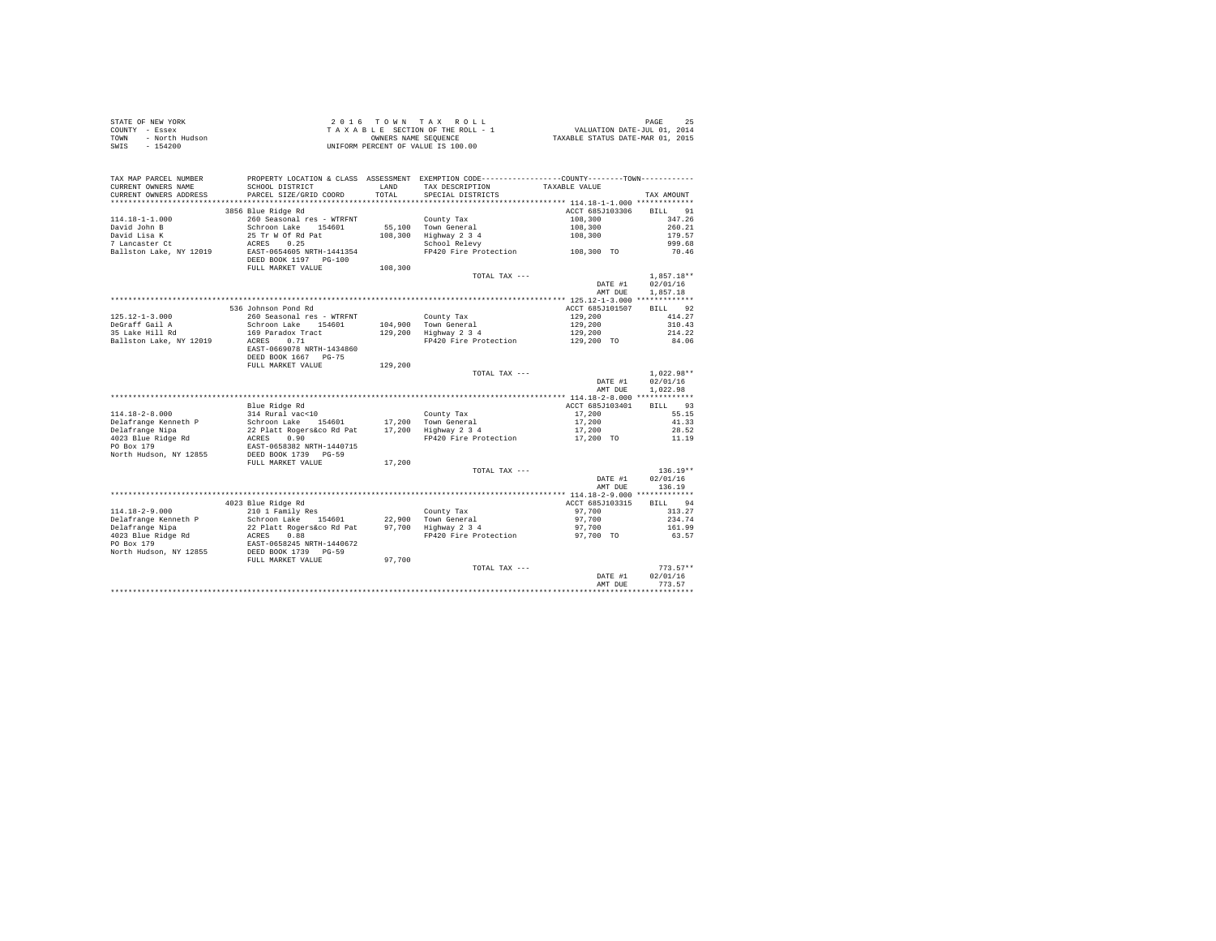| STATE OF NEW YORK      | 2016 TOWN TAX ROLL                 | PAGE                             |
|------------------------|------------------------------------|----------------------------------|
| COUNTY - Essex         | TAXABLE SECTION OF THE ROLL - 1    | VALUATION DATE-JUL 01, 2014      |
| - North Hudson<br>TOWN | OWNERS NAME SEOUENCE               | TAXABLE STATUS DATE-MAR 01, 2015 |
| SWIS<br>$-154200$      | UNIFORM PERCENT OF VALUE IS 100.00 |                                  |

| TAX MAP PARCEL NUMBER<br>CURRENT OWNERS NAME<br>CURRENT OWNERS ADDRESS                      | PROPERTY LOCATION & CLASS ASSESSMENT EXEMPTION CODE----------------COUNTY--------TOWN----------<br>SCHOOL DISTRICT<br>PARCEL SIZE/GRID COORD              | LAND<br>TOTAL. | TAX DESCRIPTION<br>SPECIAL DISTRICTS                                                                   | TAXABLE VALUE                                    | TAX AMOUNT                                               |
|---------------------------------------------------------------------------------------------|-----------------------------------------------------------------------------------------------------------------------------------------------------------|----------------|--------------------------------------------------------------------------------------------------------|--------------------------------------------------|----------------------------------------------------------|
| *************************                                                                   |                                                                                                                                                           |                |                                                                                                        |                                                  |                                                          |
| 114.18-1-1.000<br>David John B<br>David Lisa K<br>7 Lancaster Ct<br>Ballston Lake, NY 12019 | 3856 Blue Ridge Rd<br>260 Seasonal res - WTRFNT<br>Schroon Lake 15<br>35 Tr W Of Rd Pat<br>ACRES 0.25<br>Schroon Lake 154601<br>EAST-0654605 NRTH-1441354 | 108,300        | County Tax<br>55,100 Town General<br>Town denoted<br>Highway 2 3 4<br>FP420 Fire Protection 108,300 TO | ACCT 685J103306<br>108,300<br>108,300<br>108,300 | BILL 91<br>347.26<br>260.21<br>179.57<br>999.68<br>70.46 |
|                                                                                             | DEED BOOK 1197 PG-100<br>FULL MARKET VALUE                                                                                                                | 108,300        |                                                                                                        |                                                  |                                                          |
|                                                                                             |                                                                                                                                                           |                | TOTAL TAX ---                                                                                          | DATE #1                                          | $1,857.18**$<br>02/01/16                                 |
|                                                                                             |                                                                                                                                                           |                |                                                                                                        | AMT DUE                                          | 1,857.18                                                 |
|                                                                                             |                                                                                                                                                           |                |                                                                                                        |                                                  |                                                          |
|                                                                                             | 536 Johnson Pond Rd                                                                                                                                       |                |                                                                                                        | ACCT 685J101507                                  | BILL 92                                                  |
| $125.12 - 1 - 3.000$                                                                        | 260 Seasonal res - WTRFNT                                                                                                                                 |                | County Tax                                                                                             | 129,200                                          | 414.27                                                   |
| DeGraff Gail A                                                                              | Schroon Lake 154601                                                                                                                                       |                | 104,900 Town General                                                                                   | 129,200                                          | 310.43                                                   |
| 35 Lake Hill Rd                                                                             | 169 Paradox Tract                                                                                                                                         |                | 104,900 Town General<br>129,200 Highway 2 3 4                                                          | 129,200                                          | 214.22                                                   |
| Ballston Lake, NY 12019                                                                     | 0.71<br>ACRES<br>EAST-0669078 NRTH-1434860<br>DEED BOOK 1667 PG-75                                                                                        |                | FP420 Fire Protection                                                                                  | 129,200 TO                                       | 84.06                                                    |
|                                                                                             | FULL MARKET VALUE                                                                                                                                         | 129,200        |                                                                                                        |                                                  |                                                          |
|                                                                                             |                                                                                                                                                           |                | TOTAL TAX ---                                                                                          |                                                  | $1.022.98**$                                             |
|                                                                                             |                                                                                                                                                           |                |                                                                                                        | DATE #1                                          | 02/01/16                                                 |
|                                                                                             |                                                                                                                                                           |                |                                                                                                        | AMT DUE                                          | 1,022.98                                                 |
|                                                                                             |                                                                                                                                                           |                |                                                                                                        |                                                  |                                                          |
|                                                                                             | Blue Ridge Rd                                                                                                                                             |                |                                                                                                        | ACCT 685J103401                                  | BILL 93                                                  |
| $114.18 - 2 - 8.000$                                                                        | 314 Rural vac<10                                                                                                                                          |                | County Tax                                                                                             | 17,200                                           | 55.15                                                    |
| Delafrange Kenneth P                                                                        |                                                                                                                                                           |                |                                                                                                        | 17,200                                           | 41.33                                                    |
| Delafrange Nipa                                                                             |                                                                                                                                                           |                | 17,200 Town General<br>17,200 Highway 2 3 4                                                            | 17,200                                           | 28.52                                                    |
| 4023 Blue Ridge Rd                                                                          |                                                                                                                                                           |                | FP420 Fire Protection                                                                                  | 17,200 TO                                        | 11.19                                                    |
| PO Box 179<br>North Hudson, NY 12855                                                        | Schroon Lake 154601<br>22 Platt Rogers&co Rd Pat<br>RCRES 0.90<br>EXST-0658382 NRTH-1440715<br>DEED BOOK 1739 PG-59                                       |                |                                                                                                        |                                                  |                                                          |
|                                                                                             | FULL MARKET VALUE                                                                                                                                         | 17,200         | TOTAL TAX ---                                                                                          |                                                  | $136.19**$                                               |
|                                                                                             |                                                                                                                                                           |                |                                                                                                        | DATE #1<br>AMT DUE                               | 02/01/16<br>136.19                                       |
|                                                                                             |                                                                                                                                                           |                |                                                                                                        |                                                  |                                                          |
|                                                                                             | 4023 Blue Ridge Rd                                                                                                                                        |                |                                                                                                        | ACCT 685J103315                                  | BILL 94                                                  |
| $114.18 - 2 - 9.000$                                                                        | 210 1 Family Res                                                                                                                                          |                | County Tax                                                                                             | 97,700                                           | 313.27                                                   |
| Delafrange Kenneth P                                                                        |                                                                                                                                                           |                | 22,900 Town General<br>97,700 Highway 2 3 4                                                            | 97,700                                           | 234.74                                                   |
| Delafrange Nipa                                                                             |                                                                                                                                                           |                |                                                                                                        | 97,700                                           | 161.99                                                   |
| 4023 Blue Ridge Rd<br>PO Box 179<br>North Hudson, NY 12855                                  | Schroon Lake 154601<br>22 Platt Rogers & 154601<br>22 Platt Rogers & 28<br>REST-0658245<br>PRED BOX 1739<br>DEED BOX 1739<br>PUT MAPPT WATHER             |                |                                                                                                        | FP420 Fire Protection 97,700 TO                  | 63.57                                                    |
|                                                                                             | FULL MARKET VALUE                                                                                                                                         | 97,700         |                                                                                                        |                                                  |                                                          |
|                                                                                             |                                                                                                                                                           |                | TOTAL TAX ---                                                                                          | DATE #1                                          | $773.57**$<br>02/01/16                                   |
|                                                                                             |                                                                                                                                                           |                |                                                                                                        | AMT DUE                                          | 773.57                                                   |
|                                                                                             |                                                                                                                                                           |                |                                                                                                        |                                                  |                                                          |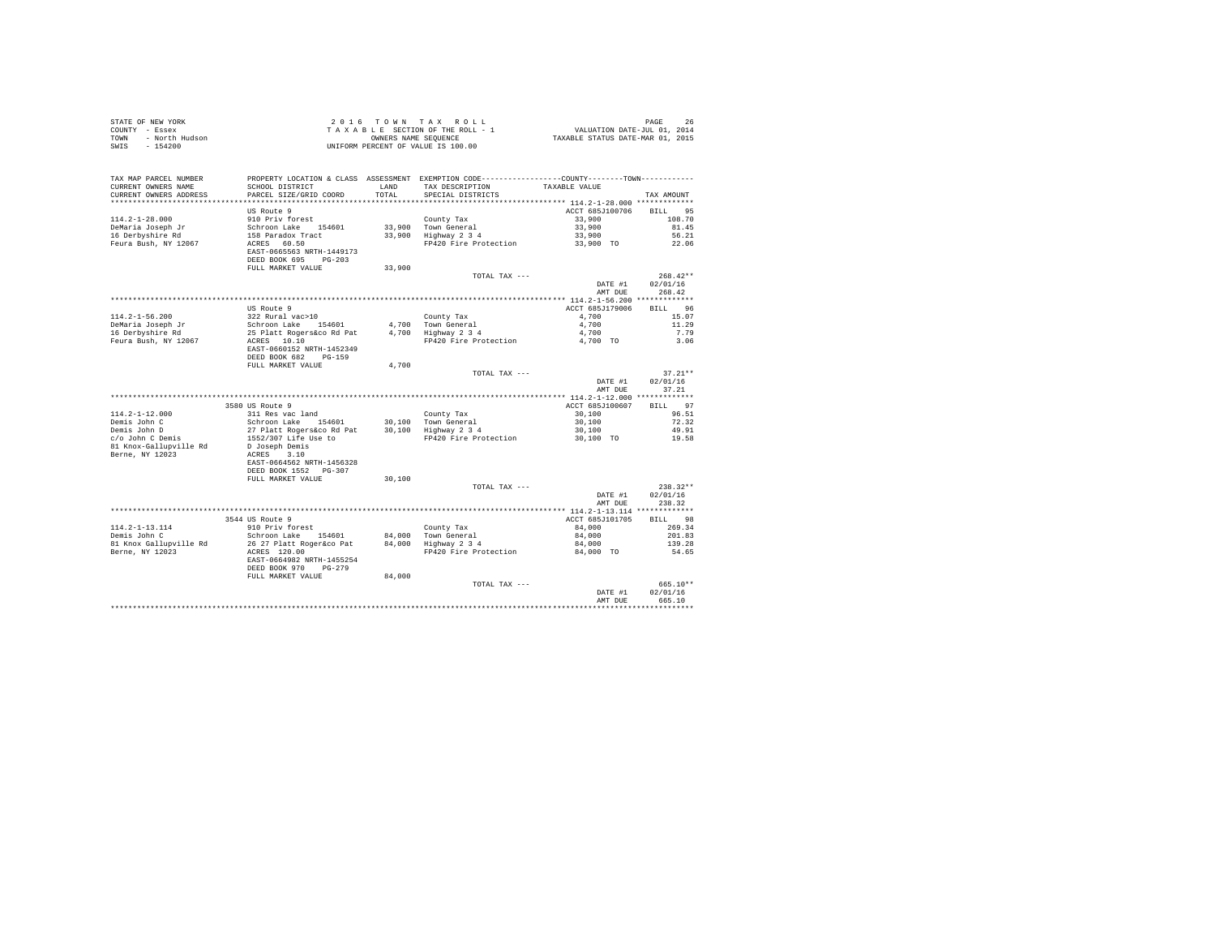| STATE OF NEW YORK<br>COUNTY - Essex<br>TOWN - North Hudson<br>SWIS - 154200                                                                                    |                                                                                                                                                                                                                             |               | UNIFORM PERCENT OF VALUE IS 100.00                                                                                                              |                         |                |
|----------------------------------------------------------------------------------------------------------------------------------------------------------------|-----------------------------------------------------------------------------------------------------------------------------------------------------------------------------------------------------------------------------|---------------|-------------------------------------------------------------------------------------------------------------------------------------------------|-------------------------|----------------|
| TAX MAP PARCEL NUMBER<br>CURRENT OWNERS NAME<br>CURRENT OWNERS ADDRESS                                                                                         | SCHOOL DISTRICT<br>PARCEL SIZE/GRID COORD                                                                                                                                                                                   | LAND<br>TOTAL | PROPERTY LOCATION & CLASS ASSESSMENT EXEMPTION CODE----------------COUNTY--------TOWN----------<br>TAX DESCRIPTION<br>SPECIAL DISTRICTS         | TAXABLE VALUE           | TAX AMOUNT     |
|                                                                                                                                                                |                                                                                                                                                                                                                             |               |                                                                                                                                                 |                         |                |
|                                                                                                                                                                | US Route 9                                                                                                                                                                                                                  |               |                                                                                                                                                 | ACCT 685J100706 BILL 95 |                |
| $114.2 - 1 - 28.000$                                                                                                                                           | 910 Priv forest                                                                                                                                                                                                             |               |                                                                                                                                                 | 33,900                  | 108.70         |
| DeMaria Joseph Jr<br>16 Derbyshire Rd                                                                                                                          | Schroon Lake 154601<br>158 Paradox Tract<br>ACRES 60.50                                                                                                                                                                     |               | County Tax<br>33,900 Town General<br>33,900 Highway 2 3 4                                                                                       | 33,900                  | 81.45          |
| Feura Bush, NY 12067                                                                                                                                           |                                                                                                                                                                                                                             |               | FP420 Fire Protection                                                                                                                           | $33,900$<br>$33,900$ TO | 56.21<br>22.06 |
|                                                                                                                                                                | EAST-0665563 NRTH-1449173<br>DEED BOOK 695 PG-203                                                                                                                                                                           |               |                                                                                                                                                 |                         |                |
|                                                                                                                                                                | FULL MARKET VALUE                                                                                                                                                                                                           | 33,900        |                                                                                                                                                 |                         |                |
|                                                                                                                                                                |                                                                                                                                                                                                                             |               | TOTAL TAX ---                                                                                                                                   |                         | $268.42**$     |
|                                                                                                                                                                |                                                                                                                                                                                                                             |               |                                                                                                                                                 | DATE #1                 | 02/01/16       |
|                                                                                                                                                                |                                                                                                                                                                                                                             |               |                                                                                                                                                 | AMT DUE                 | 268.42         |
|                                                                                                                                                                |                                                                                                                                                                                                                             |               |                                                                                                                                                 |                         |                |
|                                                                                                                                                                |                                                                                                                                                                                                                             |               |                                                                                                                                                 | ACCT 685J179006         | BILL 96        |
| $114.2 - 1 - 56.200$                                                                                                                                           |                                                                                                                                                                                                                             |               |                                                                                                                                                 | 4,700                   | 15.07          |
| DeMaria Joseph Jr<br>16 Derbyshire Rd                                                                                                                          |                                                                                                                                                                                                                             |               |                                                                                                                                                 | 4,700<br>4,700          | 11.29          |
| Feura Bush, NY 12067                                                                                                                                           |                                                                                                                                                                                                                             |               | FP420 Fire Protection 4,700 TO                                                                                                                  |                         | 7.79<br>3.06   |
|                                                                                                                                                                | EAST-0660152 NRTH-1452349<br>DEED BOOK 682 PG-159                                                                                                                                                                           |               |                                                                                                                                                 |                         |                |
|                                                                                                                                                                | FULL MARKET VALUE                                                                                                                                                                                                           | 4,700         |                                                                                                                                                 |                         |                |
|                                                                                                                                                                |                                                                                                                                                                                                                             |               | TOTAL TAX ---                                                                                                                                   |                         | $37.21**$      |
|                                                                                                                                                                |                                                                                                                                                                                                                             |               |                                                                                                                                                 | DATE #1                 | 02/01/16       |
|                                                                                                                                                                |                                                                                                                                                                                                                             |               |                                                                                                                                                 | AMT DUE                 | 37.21          |
|                                                                                                                                                                |                                                                                                                                                                                                                             |               |                                                                                                                                                 |                         |                |
|                                                                                                                                                                | 3580 US Route 9                                                                                                                                                                                                             |               |                                                                                                                                                 | ACCT 685J100607         | BILL 97        |
| $114.2 - 1 - 12.000$                                                                                                                                           | 311 Res vac land                                                                                                                                                                                                            |               |                                                                                                                                                 | 30,100                  | 96.51          |
| 114.2-1-12.000<br>Demis John C<br>Demis John D<br>c/o John C Demis                                                                                             | County Tax (County Tax (County Tax Schroon Lake 154601)<br>27 Platt Rogers&co Rd Pat 30,100 Town General<br>27 Platt Rogers&co Rd Pat 30,100 Highway 2 3 4<br>1552/307 Life Use to FP420 Fire Protection<br>20 Doseph Demis |               |                                                                                                                                                 | 30,100                  | 72.32          |
|                                                                                                                                                                |                                                                                                                                                                                                                             |               |                                                                                                                                                 | 30,100                  | 49.91          |
|                                                                                                                                                                |                                                                                                                                                                                                                             |               | FP420 Fire Protection                                                                                                                           | 30,100 TO               | 19.58          |
| 81 Knox-Gallupville Rd                                                                                                                                         | D Joseph Demis<br>ACRES 3.10                                                                                                                                                                                                |               |                                                                                                                                                 |                         |                |
| Berne, NY 12023                                                                                                                                                |                                                                                                                                                                                                                             |               |                                                                                                                                                 |                         |                |
|                                                                                                                                                                | EAST-0664562 NRTH-1456328                                                                                                                                                                                                   |               |                                                                                                                                                 |                         |                |
|                                                                                                                                                                | DEED BOOK 1552 PG-307                                                                                                                                                                                                       |               |                                                                                                                                                 |                         |                |
|                                                                                                                                                                | FULL MARKET VALUE                                                                                                                                                                                                           | 30,100        |                                                                                                                                                 |                         |                |
|                                                                                                                                                                |                                                                                                                                                                                                                             |               | TOTAL TAX ---                                                                                                                                   |                         | $238.32**$     |
|                                                                                                                                                                |                                                                                                                                                                                                                             |               |                                                                                                                                                 | DATE #1                 | 02/01/16       |
|                                                                                                                                                                |                                                                                                                                                                                                                             |               |                                                                                                                                                 | AMT DUE                 | 238.32         |
|                                                                                                                                                                | 3544 US Route 9                                                                                                                                                                                                             |               |                                                                                                                                                 | ACCT 685J101705         | BILL 98        |
|                                                                                                                                                                |                                                                                                                                                                                                                             |               |                                                                                                                                                 | 84,000                  | 269.34         |
|                                                                                                                                                                |                                                                                                                                                                                                                             |               |                                                                                                                                                 |                         | 201.83         |
| $\frac{1}{2}$<br>Demis John C<br>Bl Know Gall C Schrom Table Schrom C Schrom Table Schrom Table 31<br>Bl Know Gall C Schrom Table 31<br>81 Knox Gallupville Rd |                                                                                                                                                                                                                             |               | 910 Priv forest 154601 - 910 - County Tax<br>Schroon Lake - 154601 - 84,000 - Town General<br>26 27 Platt Roger&co Pat - 84,000 - Highway 2 3 4 | $84,000$<br>$84,000$    | 139.28         |
| Berne, NY 12023                                                                                                                                                | 26 27 Platt Roger&co Pat<br>ACRES 120.00                                                                                                                                                                                    |               | FP420 Fire Protection                                                                                                                           | 84,000 TO               | 54.65          |
|                                                                                                                                                                | EAST-0664982 NRTH-1455254                                                                                                                                                                                                   |               |                                                                                                                                                 |                         |                |
|                                                                                                                                                                | DEED BOOK 970 PG-279                                                                                                                                                                                                        |               |                                                                                                                                                 |                         |                |
|                                                                                                                                                                | FULL MARKET VALUE                                                                                                                                                                                                           | 84,000        |                                                                                                                                                 |                         |                |
|                                                                                                                                                                |                                                                                                                                                                                                                             |               | TOTAL TAX ---                                                                                                                                   |                         | 665.10**       |
|                                                                                                                                                                |                                                                                                                                                                                                                             |               |                                                                                                                                                 | DATE #1                 | 02/01/16       |
|                                                                                                                                                                |                                                                                                                                                                                                                             |               |                                                                                                                                                 | AMT DUE                 | 665.10         |
|                                                                                                                                                                |                                                                                                                                                                                                                             |               |                                                                                                                                                 |                         |                |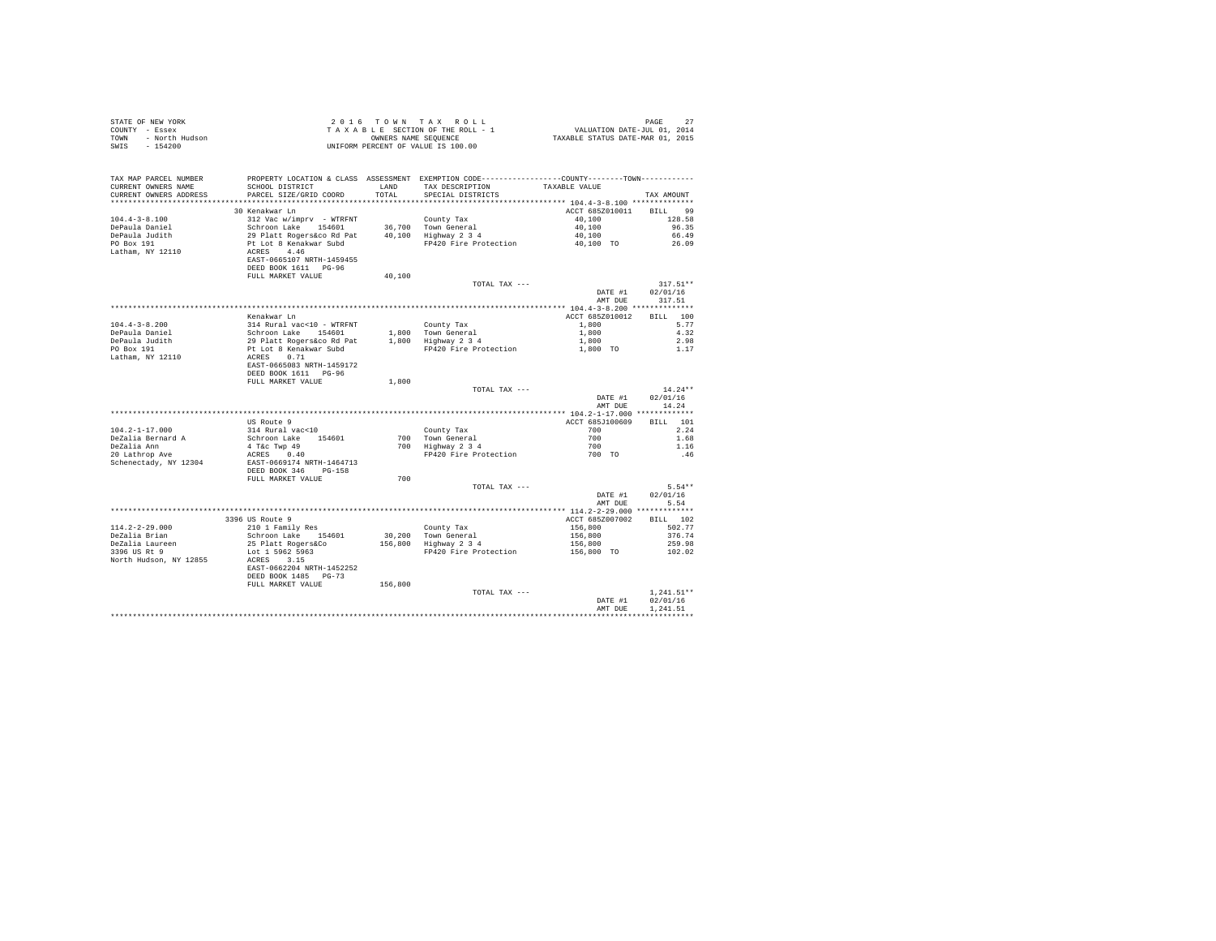|                                  |                                                                                                                                                                                                                                                 |         |                                                                                         | PAGE 27<br>VALUATION DATE-JUL 01, 2014<br>TAXABLE STATUS DATE-MAR 01, 2015 |              |
|----------------------------------|-------------------------------------------------------------------------------------------------------------------------------------------------------------------------------------------------------------------------------------------------|---------|-----------------------------------------------------------------------------------------|----------------------------------------------------------------------------|--------------|
|                                  |                                                                                                                                                                                                                                                 |         |                                                                                         |                                                                            |              |
|                                  |                                                                                                                                                                                                                                                 |         |                                                                                         |                                                                            |              |
|                                  |                                                                                                                                                                                                                                                 |         |                                                                                         |                                                                            |              |
|                                  | STATE OF REW YORK AND THE ROLL - 1<br>COUNTY - ESSEX<br>TAXABLE SECTION OF THE ROLL - 1<br>TOWN - NOTCH Hudson<br>TAXABLE SECTION OF THE ROLL - 1<br>TOWN - ROLL - 1<br>TOWN - ROLL - 1<br>TOWN - ROLL - 1<br>TOWN - ROLL - 1<br>TOWN DERCENT O |         |                                                                                         |                                                                            |              |
|                                  |                                                                                                                                                                                                                                                 |         |                                                                                         |                                                                            |              |
| TAX MAP PARCEL NUMBER            | PROPERTY LOCATION & CLASS ASSESSMENT EXEMPTION CODE-----------------COUNTY--------TOWN---------                                                                                                                                                 |         |                                                                                         |                                                                            |              |
| CURRENT OWNERS NAME              | SCHOOL DISTRICT                                                                                                                                                                                                                                 |         | LAND TAX DESCRIPTION TAXABLE VALUE                                                      |                                                                            |              |
|                                  |                                                                                                                                                                                                                                                 | TOTAL   |                                                                                         |                                                                            |              |
| CURRENT OWNERS ADDRESS           | PARCEL SIZE/GRID COORD                                                                                                                                                                                                                          |         | SPECIAL DISTRICTS                                                                       |                                                                            | TAX AMOUNT   |
|                                  |                                                                                                                                                                                                                                                 |         |                                                                                         |                                                                            |              |
|                                  | 30 Kenakwar Ln                                                                                                                                                                                                                                  |         |                                                                                         | ACCT 685Z010011 BILL 99                                                    |              |
| $104.4 - 3 - 8.100$              | 312 Vac w/imprv - WTRFNT                                                                                                                                                                                                                        |         | County Tax                                                                              | 40,100                                                                     | 128.58       |
|                                  |                                                                                                                                                                                                                                                 |         | 36.700 Town General                                                                     | 40,100                                                                     | 96.35        |
| DePaula Daniel<br>DePaula Judith | Schroom Lake 154601<br>29 Platt Rogers Co R Pat<br>Pt Lot 8 Renakwar Subd<br>RCRES 4.46<br>EAST-0665107 NRTH-1459455<br>DEED BOOK 1611 PG-96                                                                                                    |         | 30,700 10wm General<br>40,100 Highway 2 3 4                                             | 40,100                                                                     | 66.49        |
| PO Box 191                       |                                                                                                                                                                                                                                                 |         | FP420 Fire Protection                                                                   | 40,100 TO                                                                  | 26.09        |
| Latham, NY 12110                 |                                                                                                                                                                                                                                                 |         |                                                                                         |                                                                            |              |
|                                  |                                                                                                                                                                                                                                                 |         |                                                                                         |                                                                            |              |
|                                  |                                                                                                                                                                                                                                                 |         |                                                                                         |                                                                            |              |
|                                  | FULL MARKET VALUE                                                                                                                                                                                                                               | 40,100  |                                                                                         |                                                                            |              |
|                                  |                                                                                                                                                                                                                                                 |         | TOTAL TAX ---                                                                           |                                                                            | $317.51**$   |
|                                  |                                                                                                                                                                                                                                                 |         |                                                                                         | DATE #1                                                                    | 02/01/16     |
|                                  |                                                                                                                                                                                                                                                 |         |                                                                                         | AMT DUE                                                                    | 317.51       |
|                                  |                                                                                                                                                                                                                                                 |         |                                                                                         |                                                                            |              |
|                                  |                                                                                                                                                                                                                                                 |         |                                                                                         |                                                                            |              |
|                                  | Kenakwar Ln                                                                                                                                                                                                                                     |         |                                                                                         | ACCT 685Z010012                                                            | BILL 100     |
| $104.4 - 3 - 8.200$              |                                                                                                                                                                                                                                                 |         | County Tax                                                                              | 1,800                                                                      | 5.77         |
| DePaula Daniel                   |                                                                                                                                                                                                                                                 |         |                                                                                         |                                                                            | 4.32         |
| DePaula Judith<br>PO Box 191     |                                                                                                                                                                                                                                                 |         | 1,800 Town General 1,800<br>1,800 Highway 2 3 4 1,800<br>FP420 Fire Protection 1,800 TO |                                                                            | 2.98         |
|                                  |                                                                                                                                                                                                                                                 |         |                                                                                         |                                                                            | 1.17         |
| Latham, NY 12110                 |                                                                                                                                                                                                                                                 |         |                                                                                         |                                                                            |              |
|                                  |                                                                                                                                                                                                                                                 |         |                                                                                         |                                                                            |              |
|                                  | DEED BOOK 1611 PG-96                                                                                                                                                                                                                            |         |                                                                                         |                                                                            |              |
|                                  | FULL MARKET VALUE                                                                                                                                                                                                                               | 1,800   |                                                                                         |                                                                            |              |
|                                  |                                                                                                                                                                                                                                                 |         | TOTAL TAX ---                                                                           |                                                                            | $14.24**$    |
|                                  |                                                                                                                                                                                                                                                 |         |                                                                                         | DATE #1                                                                    | 02/01/16     |
|                                  |                                                                                                                                                                                                                                                 |         |                                                                                         | AMT DUE                                                                    | 14.24        |
|                                  |                                                                                                                                                                                                                                                 |         |                                                                                         |                                                                            |              |
|                                  | US Route 9                                                                                                                                                                                                                                      |         |                                                                                         | ACCT 685J100609                                                            | BILL 101     |
| $104.2 - 1 - 17.000$             | 314 Rural vac<10                                                                                                                                                                                                                                |         |                                                                                         | 700 - 100                                                                  | 2.24         |
|                                  |                                                                                                                                                                                                                                                 |         |                                                                                         |                                                                            | 1.68         |
| DeZalia Bernard A                | Schroon Lake 154601<br>4 T&c Twp 49                                                                                                                                                                                                             |         | County Tax<br>700 Town General<br>700 Highway 2 3 4                                     | $700$<br>$700$                                                             |              |
| DeZalia Ann                      |                                                                                                                                                                                                                                                 |         |                                                                                         |                                                                            | 1.16         |
| 20 Lathrop Ave                   | ACRES 0.40                                                                                                                                                                                                                                      |         | FP420 Fire Protection                                                                   | 700 TO                                                                     | .46          |
| Schenectady, NY 12304            | EAST-0669174 NRTH-1464713                                                                                                                                                                                                                       |         |                                                                                         |                                                                            |              |
|                                  | DEED BOOK 346 PG-158                                                                                                                                                                                                                            |         |                                                                                         |                                                                            |              |
|                                  | FULL MARKET VALUE                                                                                                                                                                                                                               | 700     |                                                                                         |                                                                            |              |
|                                  |                                                                                                                                                                                                                                                 |         | TOTAL TAX ---                                                                           |                                                                            | $5.54**$     |
|                                  |                                                                                                                                                                                                                                                 |         |                                                                                         | DATE #1                                                                    | 02/01/16     |
|                                  |                                                                                                                                                                                                                                                 |         |                                                                                         | AMT DUE                                                                    | 5.54         |
|                                  |                                                                                                                                                                                                                                                 |         |                                                                                         |                                                                            |              |
|                                  | 3396 US Route 9                                                                                                                                                                                                                                 |         |                                                                                         | ACCT 685Z007002                                                            | BILL 102     |
| $114.2 - 2 - 29.000$             | 210 1 Family Res                                                                                                                                                                                                                                |         |                                                                                         | 156,800                                                                    | 502.77       |
| DeZalia Brian                    | Schroon Lake 154601                                                                                                                                                                                                                             |         | $30,200$ Town General<br>156,800 Highway 2 3 4<br>mn:00 1                               | 156,800                                                                    | 376.74       |
|                                  |                                                                                                                                                                                                                                                 |         |                                                                                         | 156,800                                                                    |              |
| DeZalia Laureen<br>3396 US Rt 9  | 25 Platt Rogers&Co                                                                                                                                                                                                                              |         |                                                                                         |                                                                            | 259.98       |
|                                  | Lot 1 5962 5963                                                                                                                                                                                                                                 |         | FP420 Fire Protection                                                                   | 156,800 TO                                                                 | 102.02       |
| North Hudson, NY 12855           | ACRES 3.15                                                                                                                                                                                                                                      |         |                                                                                         |                                                                            |              |
|                                  | EAST-0662204 NRTH-1452252                                                                                                                                                                                                                       |         |                                                                                         |                                                                            |              |
|                                  | DEED BOOK 1485 PG-73                                                                                                                                                                                                                            |         |                                                                                         |                                                                            |              |
|                                  | FULL MARKET VALUE                                                                                                                                                                                                                               | 156,800 |                                                                                         |                                                                            |              |
|                                  |                                                                                                                                                                                                                                                 |         | TOTAL TAX ---                                                                           |                                                                            | $1.241.51**$ |
|                                  |                                                                                                                                                                                                                                                 |         |                                                                                         | DATE #1                                                                    | 02/01/16     |
|                                  |                                                                                                                                                                                                                                                 |         |                                                                                         | AMT DUE                                                                    | 1,241.51     |
|                                  |                                                                                                                                                                                                                                                 |         |                                                                                         |                                                                            |              |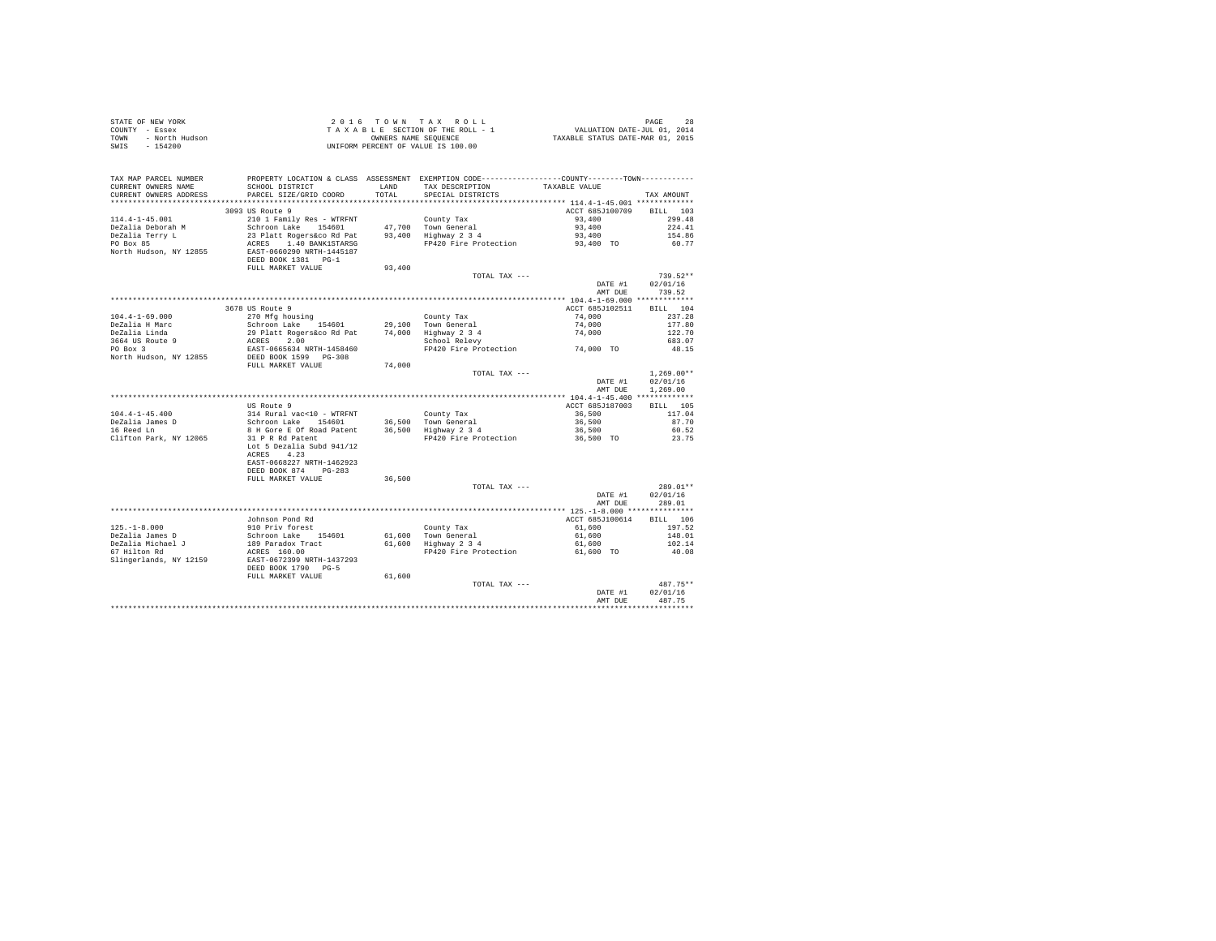| STATE OF NEW YORK      | 2016 TOWN TAX ROLL                 | 28<br>PAGE                       |
|------------------------|------------------------------------|----------------------------------|
| COUNTY - Essex         | TAXABLE SECTION OF THE ROLL - 1    | VALUATION DATE-JUL 01, 2014      |
| TOWN<br>- North Hudson | OWNERS NAME SEOUENCE               | TAXABLE STATUS DATE-MAR 01, 2015 |
| - 154200<br>SWIS       | UNIFORM PERCENT OF VALUE IS 100.00 |                                  |

| TAX MAP PARCEL NUMBER<br>CURRENT OWNERS NAME<br>CURRENT OWNERS ADDRESS | PROPERTY LOCATION & CLASS ASSESSMENT EXEMPTION CODE---------------COUNTY-------TOWN----------<br>SCHOOL DISTRICT<br>PARCEL SIZE/GRID COORD | LAND<br>TOTAL. | TAX DESCRIPTION<br>SPECIAL DISTRICTS | TAXABLE VALUE                        | TAX AMOUNT         |
|------------------------------------------------------------------------|--------------------------------------------------------------------------------------------------------------------------------------------|----------------|--------------------------------------|--------------------------------------|--------------------|
| *******************                                                    | *********************                                                                                                                      | ********       |                                      |                                      |                    |
|                                                                        | 3093 US Route 9                                                                                                                            |                |                                      | ACCT 685J100709                      | <b>BILL</b><br>103 |
| $114.4 - 1 - 45.001$                                                   | 210 1 Family Res - WTRFNT                                                                                                                  |                | County Tax                           | 93,400                               | 299.48             |
| DeZalia Deborah M                                                      | Schroon Lake 154601                                                                                                                        |                | 47.700 Town General                  | 93,400                               | 224.41             |
| DeZalia Terry L                                                        | 23 Platt Rogers&co Rd Pat                                                                                                                  |                | 93,400 Highway 2 3 4                 | 93,400                               | 154.86             |
| PO Box 85                                                              | 1.40 BANK1STARSG<br>ACRES                                                                                                                  |                | FP420 Fire Protection                | 93,400 TO                            | 60.77              |
| North Hudson, NY 12855                                                 | EAST-0660290 NRTH-1445187                                                                                                                  |                |                                      |                                      |                    |
|                                                                        | DEED BOOK 1381 PG-1                                                                                                                        |                |                                      |                                      |                    |
|                                                                        | FULL MARKET VALUE                                                                                                                          | 93,400         |                                      |                                      |                    |
|                                                                        |                                                                                                                                            |                | TOTAL TAX ---                        |                                      | $739.52**$         |
|                                                                        |                                                                                                                                            |                |                                      | DATE #1                              | 02/01/16           |
|                                                                        |                                                                                                                                            |                |                                      | AMT DUE                              | 739.52             |
|                                                                        |                                                                                                                                            |                |                                      |                                      |                    |
|                                                                        | 3678 US Route 9                                                                                                                            |                |                                      | ACCT 685J102511                      | 104<br><b>BILL</b> |
| $104.4 - 1 - 69.000$                                                   | 270 Mfg housing                                                                                                                            |                | County Tax                           | 74,000                               | 237.28             |
| DeZalia H Marc                                                         | Schroon Lake 154601                                                                                                                        | 29,100         | Town General                         | 74,000                               | 177.80             |
| DeZalia Linda                                                          | 29 Platt Rogers&co Rd Pat                                                                                                                  | 74,000         | Highway 2 3 4                        | 74,000                               | 122.70             |
| 3664 US Route 9                                                        | ACRES<br>2.00                                                                                                                              |                | School Relevy                        |                                      | 683.07             |
| PO Box 3                                                               | EAST-0665634 NRTH-1458460                                                                                                                  |                | FP420 Fire Protection                | 74,000 TO                            | 48.15              |
| North Hudson, NY 12855                                                 | DEED BOOK 1599 PG-308                                                                                                                      |                |                                      |                                      |                    |
|                                                                        | FULL MARKET VALUE                                                                                                                          | 74,000         |                                      |                                      |                    |
|                                                                        |                                                                                                                                            |                | TOTAL TAX ---                        |                                      | $1,269.00**$       |
|                                                                        |                                                                                                                                            |                |                                      | DATE #1                              | 02/01/16           |
|                                                                        |                                                                                                                                            |                |                                      | AMT DUE                              | 1,269.00           |
|                                                                        |                                                                                                                                            |                |                                      |                                      |                    |
|                                                                        | US Route 9                                                                                                                                 |                |                                      | ACCT 685J187003                      | BILL 105           |
| $104.4 - 1 - 45.400$                                                   | 314 Rural vac<10 - WTRFNT                                                                                                                  |                | County Tax                           | 36,500                               | 117.04             |
| DeZalia James D                                                        | Schroon Lake 154601                                                                                                                        |                | 36,500 Town General                  | 36,500                               | 87.70              |
| 16 Reed Ln                                                             | 8 H Gore E Of Road Patent                                                                                                                  |                | 36,500 Highway 2 3 4                 | 36,500                               | 60.52              |
| Clifton Park, NY 12065                                                 | 31 P R Rd Patent                                                                                                                           |                | FP420 Fire Protection                | 36,500 TO                            | 23.75              |
|                                                                        | Lot 5 Dezalia Subd 941/12                                                                                                                  |                |                                      |                                      |                    |
|                                                                        | 4.23<br>ACRES                                                                                                                              |                |                                      |                                      |                    |
|                                                                        | EAST-0668227 NRTH-1462923                                                                                                                  |                |                                      |                                      |                    |
|                                                                        | DEED BOOK 874<br>$PG-283$                                                                                                                  |                |                                      |                                      |                    |
|                                                                        | FULL MARKET VALUE                                                                                                                          | 36,500         |                                      |                                      |                    |
|                                                                        |                                                                                                                                            |                | TOTAL TAX ---                        |                                      | 289.01**           |
|                                                                        |                                                                                                                                            |                |                                      | DATE #1                              | 02/01/16           |
|                                                                        |                                                                                                                                            |                |                                      | AMT DUE                              | 289.01             |
|                                                                        |                                                                                                                                            |                | *************************            | ******* 125.-1-8.000 *************** |                    |
|                                                                        | Johnson Pond Rd                                                                                                                            |                |                                      | ACCT 685J100614                      | RTLL 106           |
| $125. - 1 - 8.000$                                                     | 910 Priv forest                                                                                                                            |                | County Tax                           | 61,600                               | 197.52             |
| DeZalia James D                                                        | Schroon Lake 154601                                                                                                                        | 61,600         | Town General                         | 61,600                               | 148.01             |
| DeZalia Michael J                                                      | 189 Paradox Tract                                                                                                                          | 61,600         | Highway 2 3 4                        | 61,600                               | 102.14             |
| 67 Hilton Rd                                                           | ACRES 160.00                                                                                                                               |                | FP420 Fire Protection                | 61,600 TO                            | 40.08              |
| Slingerlands, NY 12159                                                 | EAST-0672399 NRTH-1437293                                                                                                                  |                |                                      |                                      |                    |
|                                                                        | DEED BOOK 1790 PG-5                                                                                                                        |                |                                      |                                      |                    |
|                                                                        | FULL MARKET VALUE                                                                                                                          | 61,600         |                                      |                                      |                    |
|                                                                        |                                                                                                                                            |                | TOTAL TAX ---                        |                                      | 487.75**           |
|                                                                        |                                                                                                                                            |                |                                      | DATE #1                              | 02/01/16           |
|                                                                        |                                                                                                                                            |                |                                      | AMT DUE                              | 487.75             |
|                                                                        |                                                                                                                                            |                |                                      |                                      |                    |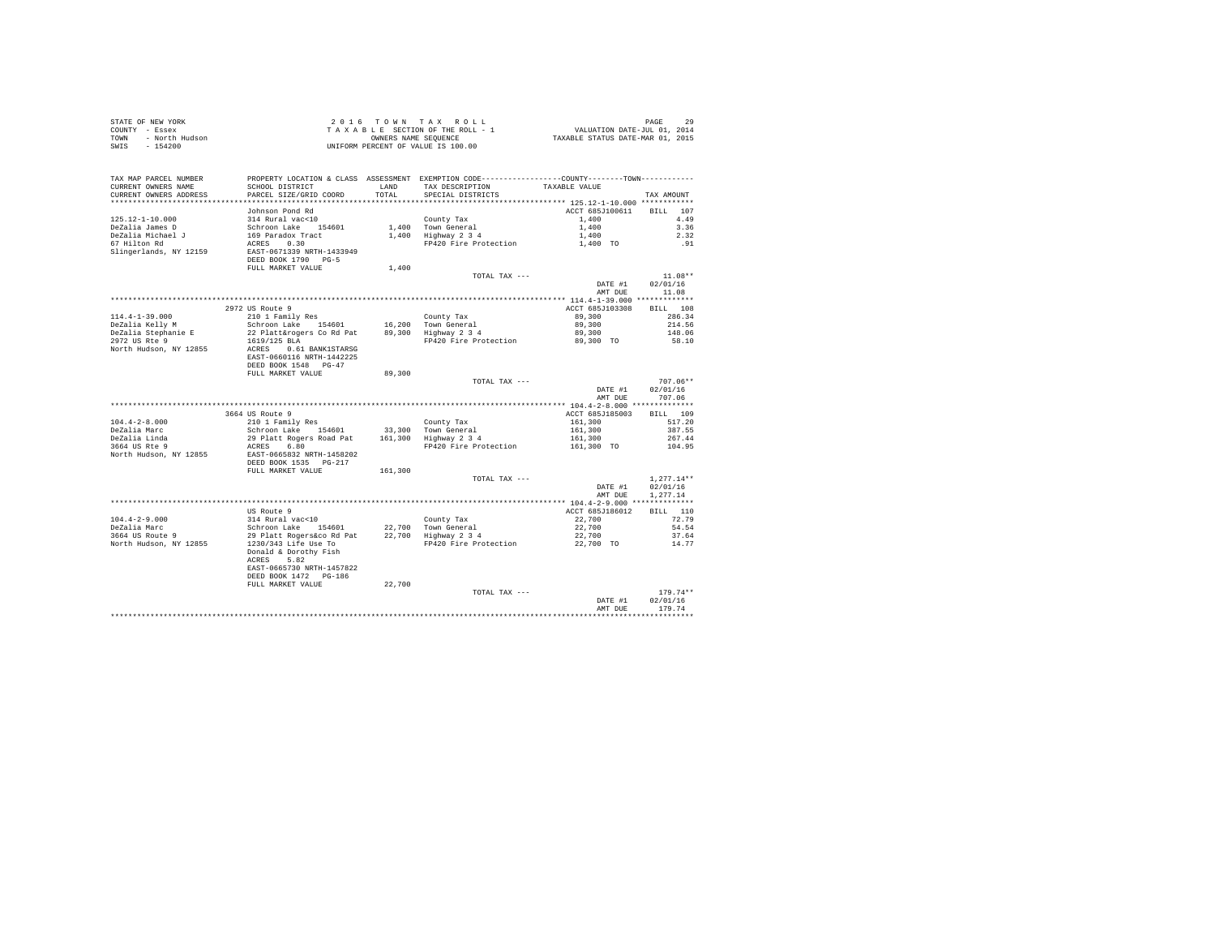| STATE OF NEW YORK<br>COUNTY - Essex<br>TOWN<br>- North Hudson<br>$-154200$<br>SWIS |                                                     |               | 2016 TOWN TAX ROLL<br>TAXABLE SECTION OF THE ROLL - 1<br>OWNERS NAME SEOUENCE<br>UNIFORM PERCENT OF VALUE IS 100.00                     | VALUATION DATE-JUL 01, 2014<br>TAXABLE STATUS DATE-MAR 01, 2015 | PAGE<br>29     |  |
|------------------------------------------------------------------------------------|-----------------------------------------------------|---------------|-----------------------------------------------------------------------------------------------------------------------------------------|-----------------------------------------------------------------|----------------|--|
| TAX MAP PARCEL NUMBER<br>CURRENT OWNERS NAME<br>CURRENT OWNERS ADDRESS             | SCHOOL DISTRICT<br>PARCEL SIZE/GRID COORD           | LAND<br>TOTAL | PROPERTY LOCATION & CLASS ASSESSMENT EXEMPTION CODE----------------COUNTY--------TOWN----------<br>TAX DESCRIPTION<br>SPECIAL DISTRICTS | TAXABLE VALUE                                                   | TAX AMOUNT     |  |
|                                                                                    |                                                     |               |                                                                                                                                         |                                                                 |                |  |
|                                                                                    | Johnson Pond Rd                                     |               |                                                                                                                                         | ACCT 685J100611                                                 | BILL 107       |  |
| $125.12 - 1 - 10.000$                                                              | 314 Rural vac<10                                    |               | County Tax                                                                                                                              | 1,400                                                           | 4.49           |  |
| DeZalia James D                                                                    | Schroon Lake 154601                                 |               | 1,400 Town General                                                                                                                      | 1,400                                                           | 3.36           |  |
| DeZalia Michael J                                                                  | 169 Paradox Tract                                   |               | 1,400 Highway 2 3 4                                                                                                                     | 1,400                                                           | 2.32           |  |
| 67 Hilton Rd                                                                       | ACRES 0.30                                          |               | FP420 Fire Protection                                                                                                                   | 1,400 TO                                                        | .91            |  |
| Slingerlands, NY 12159                                                             | EAST-0671339 NRTH-1433949                           |               |                                                                                                                                         |                                                                 |                |  |
|                                                                                    | DEED BOOK 1790 PG-5                                 | 1,400         |                                                                                                                                         |                                                                 |                |  |
|                                                                                    | FULL MARKET VALUE                                   |               | TOTAL TAX ---                                                                                                                           |                                                                 | $11.08**$      |  |
|                                                                                    |                                                     |               |                                                                                                                                         | DATE #1                                                         | 02/01/16       |  |
|                                                                                    |                                                     |               |                                                                                                                                         | AMT DUE                                                         | 11.08          |  |
|                                                                                    |                                                     |               |                                                                                                                                         |                                                                 |                |  |
|                                                                                    | 2972 US Route 9                                     |               |                                                                                                                                         | ACCT 685J103308                                                 | BILL 108       |  |
| $114.4 - 1 - 39.000$                                                               | 210 1 Family Res                                    |               | County Tax                                                                                                                              | 89,300                                                          | 286.34         |  |
| DeZalia Kelly M                                                                    | Schroon Lake 154601                                 |               | 16,200 Town General                                                                                                                     | 89,300                                                          | 214.56         |  |
| DeZalia Stephanie E                                                                | 22 Platt&rogers Co Rd Pat                           |               | 89,300 Highway 2 3 4                                                                                                                    | 89,300                                                          | 148.06         |  |
| 2972 US Rte 9<br>North Hudson, NY 12855                                            | 1619/125 BLA                                        |               | FP420 Fire Protection                                                                                                                   | 89,300 TO                                                       | 58.10          |  |
|                                                                                    | ACRES 0.61 BANK1STARSG<br>EAST-0660116 NRTH-1442225 |               |                                                                                                                                         |                                                                 |                |  |
|                                                                                    | DEED BOOK 1548 PG-47                                |               |                                                                                                                                         |                                                                 |                |  |
|                                                                                    | FULL MARKET VALUE                                   | 89,300        |                                                                                                                                         |                                                                 |                |  |
|                                                                                    |                                                     |               | TOTAL TAX ---                                                                                                                           |                                                                 | 707.06**       |  |
|                                                                                    |                                                     |               |                                                                                                                                         | DATE #1                                                         | 02/01/16       |  |
|                                                                                    |                                                     |               |                                                                                                                                         | AMT DUE                                                         | 707.06         |  |
|                                                                                    |                                                     |               |                                                                                                                                         |                                                                 |                |  |
|                                                                                    | 3664 US Route 9                                     |               |                                                                                                                                         | ACCT 685J185003                                                 | BILL 109       |  |
| $104.4 - 2 - 8.000$                                                                | 210 1 Family Res                                    |               | County Tax                                                                                                                              | 161,300                                                         | 517.20         |  |
| DeZalia Marc                                                                       | Schroon Lake 154601                                 |               | 33,300 Town General                                                                                                                     | 161,300                                                         | 387.55         |  |
| DeZalia Linda                                                                      | 29 Platt Rogers Road Pat                            |               | 161,300 Highway 2 3 4                                                                                                                   | 161,300                                                         | 267.44         |  |
| 3664 US Rte 9<br>North Hudson, NY 12855                                            | ACRES 6.80<br>EAST-0665832 NRTH-1458202             |               | FP420 Fire Protection                                                                                                                   | 161,300 TO                                                      | 104.95         |  |
|                                                                                    | DEED BOOK 1535 PG-217                               |               |                                                                                                                                         |                                                                 |                |  |
|                                                                                    | FULL MARKET VALUE                                   | 161,300       |                                                                                                                                         |                                                                 |                |  |
|                                                                                    |                                                     |               | TOTAL TAX ---                                                                                                                           |                                                                 | $1.277.14**$   |  |
|                                                                                    |                                                     |               |                                                                                                                                         | DATE #1                                                         | 02/01/16       |  |
|                                                                                    |                                                     |               |                                                                                                                                         | AMT DUR                                                         | 1.277.14       |  |
|                                                                                    |                                                     |               |                                                                                                                                         |                                                                 |                |  |
|                                                                                    | US Route 9                                          |               |                                                                                                                                         | ACCT 685J186012                                                 | BILL 110       |  |
| $104.4 - 2 - 9.000$                                                                | 314 Rural vac<10                                    |               | County Tax                                                                                                                              | 22,700                                                          | 72.79          |  |
| DeZalia Marc                                                                       | Schroon Lake 154601                                 |               | 22,700 Town General                                                                                                                     | 22,700                                                          | 54.54          |  |
| 3664 US Route 9<br>North Hudson, NY 12855                                          | 29 Platt Rogers&co Rd Pat<br>1230/343 Life Use To   |               | 22,700 Highway 2 3 4<br>FP420 Fire Protection                                                                                           | 22,700<br>22,700 TO                                             | 37.64<br>14.77 |  |
|                                                                                    | Donald & Dorothy Fish                               |               |                                                                                                                                         |                                                                 |                |  |
|                                                                                    | 5.82<br>ACRES                                       |               |                                                                                                                                         |                                                                 |                |  |
|                                                                                    | EAST-0665730 NRTH-1457822                           |               |                                                                                                                                         |                                                                 |                |  |
|                                                                                    | DEED BOOK 1472 PG-186                               |               |                                                                                                                                         |                                                                 |                |  |
|                                                                                    | FULL MARKET VALUE                                   | 22,700        |                                                                                                                                         |                                                                 |                |  |
|                                                                                    |                                                     |               | TOTAL TAX $---$                                                                                                                         |                                                                 | $179.74**$     |  |
|                                                                                    |                                                     |               |                                                                                                                                         | DATE #1                                                         | 02/01/16       |  |
|                                                                                    |                                                     |               |                                                                                                                                         | AMT DUE                                                         | 179.74         |  |
|                                                                                    |                                                     |               |                                                                                                                                         |                                                                 |                |  |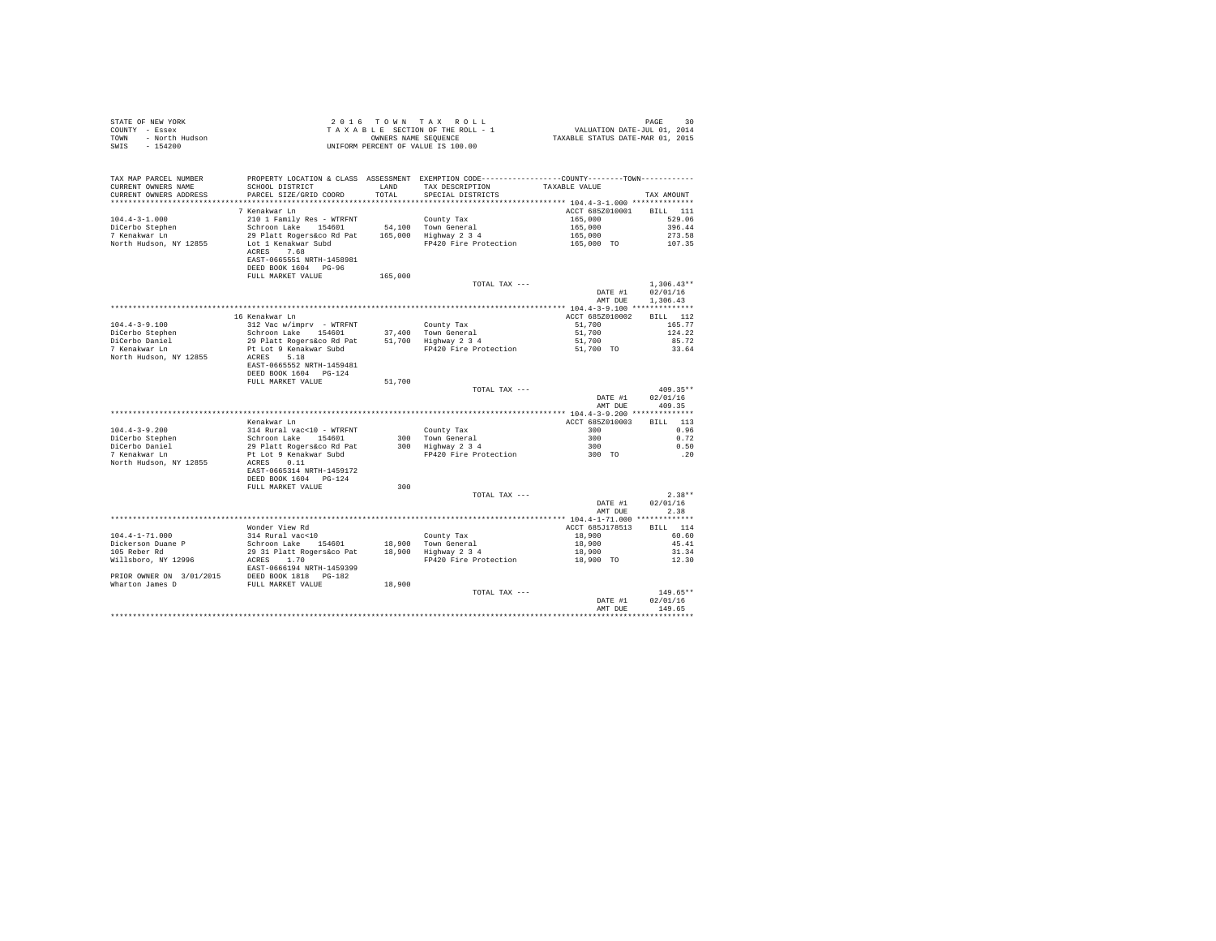|                | STATE OF NEW YORK | 2016 TOWN TAX ROLL                 | 30<br>PAGE                       |  |
|----------------|-------------------|------------------------------------|----------------------------------|--|
| COUNTY - Essex |                   | TAXABLE SECTION OF THE ROLL - 1    | VALUATION DATE-JUL 01, 2014      |  |
| TOWN           | - North Hudson    | OWNERS NAME SEOUENCE               | TAXABLE STATUS DATE-MAR 01, 2015 |  |
| SWIS           | $-154200$         | UNIFORM PERCENT OF VALUE IS 100.00 |                                  |  |
|                |                   |                                    |                                  |  |

| TAX MAP PARCEL NUMBER                                                 | PROPERTY LOCATION & CLASS ASSESSMENT EXEMPTION CODE---------------COUNTY-------TOWN--------- |         |                                             |                          |              |
|-----------------------------------------------------------------------|----------------------------------------------------------------------------------------------|---------|---------------------------------------------|--------------------------|--------------|
| CURRENT OWNERS NAME                                                   | SCHOOL DISTRICT                                                                              | LAND    | TAX DESCRIPTION                             | TAXABLE VALUE            |              |
| CURRENT OWNERS ADDRESS                                                | PARCEL SIZE/GRID COORD                                                                       | TOTAL   | SPECIAL DISTRICTS                           |                          | TAX AMOUNT   |
|                                                                       |                                                                                              |         |                                             |                          |              |
|                                                                       | 7 Kenakwar Ln                                                                                |         |                                             | ACCT 685Z010001 BILL 111 |              |
| $104.4 - 3 - 1.000$                                                   | 210 1 Family Res - WTRFNT                                                                    |         | County Tax                                  | 165,000                  | 529.06       |
| DiCerbo Stephen                                                       | Schroon Lake 154601                                                                          |         | 54.100 Town General                         | 165,000                  | 396.44       |
| 7 Kenakwar Ln                                                         | 29 Platt Rogers&co Rd Pat 165,000 Highway 2 3 4                                              |         |                                             | 165,000                  | 273.58       |
| North Hudson, NY 12855                                                | Lot 1 Kenakwar Subd                                                                          |         | FP420 Fire Protection                       | 165,000 TO               | 107.35       |
|                                                                       | ACRES 7.68                                                                                   |         |                                             |                          |              |
|                                                                       | EAST-0665551 NRTH-1458981                                                                    |         |                                             |                          |              |
|                                                                       | DEED BOOK 1604 PG-96                                                                         |         |                                             |                          |              |
|                                                                       | FULL MARKET VALUE                                                                            | 165,000 |                                             |                          | $1,306.43**$ |
|                                                                       |                                                                                              |         | TOTAL TAX ---                               | DATE #1                  | 02/01/16     |
|                                                                       |                                                                                              |         |                                             | AMT DUE                  | 1,306.43     |
|                                                                       |                                                                                              |         |                                             |                          |              |
|                                                                       | 16 Kenakwar Ln                                                                               |         |                                             | ACCT 685Z010002          | BILL 112     |
| $104.4 - 3 - 9.100$                                                   | 312 Vac w/imprv - WTRFNT                                                                     |         | County Tax                                  | 51,700                   | 165.77       |
| DiCerbo Stephen                                                       | Schroon Lake 154601                                                                          |         | 37.400 Town General                         | 51,700                   | 124.22       |
| DiCerbo Daniel                                                        |                                                                                              |         |                                             | 51,700                   | 85.72        |
| 7 Kenakwar Ln                                                         | 29 Platt Rogers&co Rd Pat $51,700$ Highway 2 3 4<br>Pt Lot 9 Kenakwar Subd                   |         | FP420 Fire Protection 51,700 TO             |                          | 33.64        |
| North Hudson, NY 12855                                                | ACRES 5.18                                                                                   |         |                                             |                          |              |
|                                                                       | EAST-0665552 NRTH-1459481                                                                    |         |                                             |                          |              |
|                                                                       | DEED BOOK 1604 PG-124                                                                        |         |                                             |                          |              |
|                                                                       | FULL MARKET VALUE                                                                            | 51,700  |                                             |                          |              |
|                                                                       |                                                                                              |         | TOTAL TAX ---                               |                          | $409.35**$   |
|                                                                       |                                                                                              |         |                                             | DATE #1                  | 02/01/16     |
|                                                                       |                                                                                              |         |                                             | AMT DUE                  | 409.35       |
|                                                                       |                                                                                              |         |                                             |                          |              |
|                                                                       | Kenakwar Ln                                                                                  |         |                                             | ACCT 685Z010003          | BTLL 113     |
| $104.4 - 3 - 9.200$                                                   | 314 Rural vac<10 - WTRFNT                                                                    |         | County Tax                                  | 300                      | 0.96         |
| DiCerbo Stephen                                                       |                                                                                              |         | 300 Town General                            | 300                      | 0.72         |
| DiCerbo Daniel                                                        |                                                                                              |         | 300 Highway 2 3 4                           | 300                      | 0.50         |
| 7 Kenakwar Ln                                                         | Schroon Lake 154601<br>29 Platt Rogers&co Rd Pat<br>Pt Lot 9 Kenakwar Subd                   |         | FP420 Fire Protection                       | 300 TO                   | .20          |
| North Hudson, NY 12855                                                | ACRES 0.11                                                                                   |         |                                             |                          |              |
|                                                                       | EAST-0665314 NRTH-1459172                                                                    |         |                                             |                          |              |
|                                                                       | DEED BOOK 1604 PG-124                                                                        |         |                                             |                          |              |
|                                                                       | FULL MARKET VALUE                                                                            | 300     |                                             |                          |              |
|                                                                       |                                                                                              |         | TOTAL TAX ---                               |                          | $2.38**$     |
|                                                                       |                                                                                              |         |                                             | DATE #1                  | 02/01/16     |
|                                                                       |                                                                                              |         |                                             | AMT DUE                  | 2.38         |
|                                                                       | Wonder View Rd                                                                               |         |                                             | ACCT 685J178513          | BILL 114     |
| $104.4 - 1 - 71.000$                                                  | 314 Rural vac<10                                                                             |         | County Tax                                  | 18,900                   | 60.60        |
| Dickerson Duane P                                                     |                                                                                              |         |                                             | 18,900                   | 45.41        |
| 105 Reber Rd                                                          |                                                                                              |         | 18,900 Town General<br>18,900 Highway 2 3 4 | 18,900                   | 31.34        |
| Willsboro, NY 12996                                                   | Schroon Lake 154601<br>29 31 Platt Rogers&co Pat<br>ACRES 1.70                               |         | FP420 Fire Protection                       | 18,900 TO                | 12.30        |
|                                                                       | EAST-0666194 NRTH-1459399                                                                    |         |                                             |                          |              |
|                                                                       |                                                                                              |         |                                             |                          |              |
| PRIOR OWNER ON 3/01/2015<br>EED BOOK 1818 PG-182<br>EULL MARKET VALUE |                                                                                              | 18,900  |                                             |                          |              |
|                                                                       |                                                                                              |         | TOTAL TAX ---                               |                          | $149.65**$   |
|                                                                       |                                                                                              |         |                                             | DATE #1                  | 02/01/16     |
|                                                                       |                                                                                              |         |                                             | AMT DUE                  | 149.65       |
|                                                                       |                                                                                              |         |                                             |                          |              |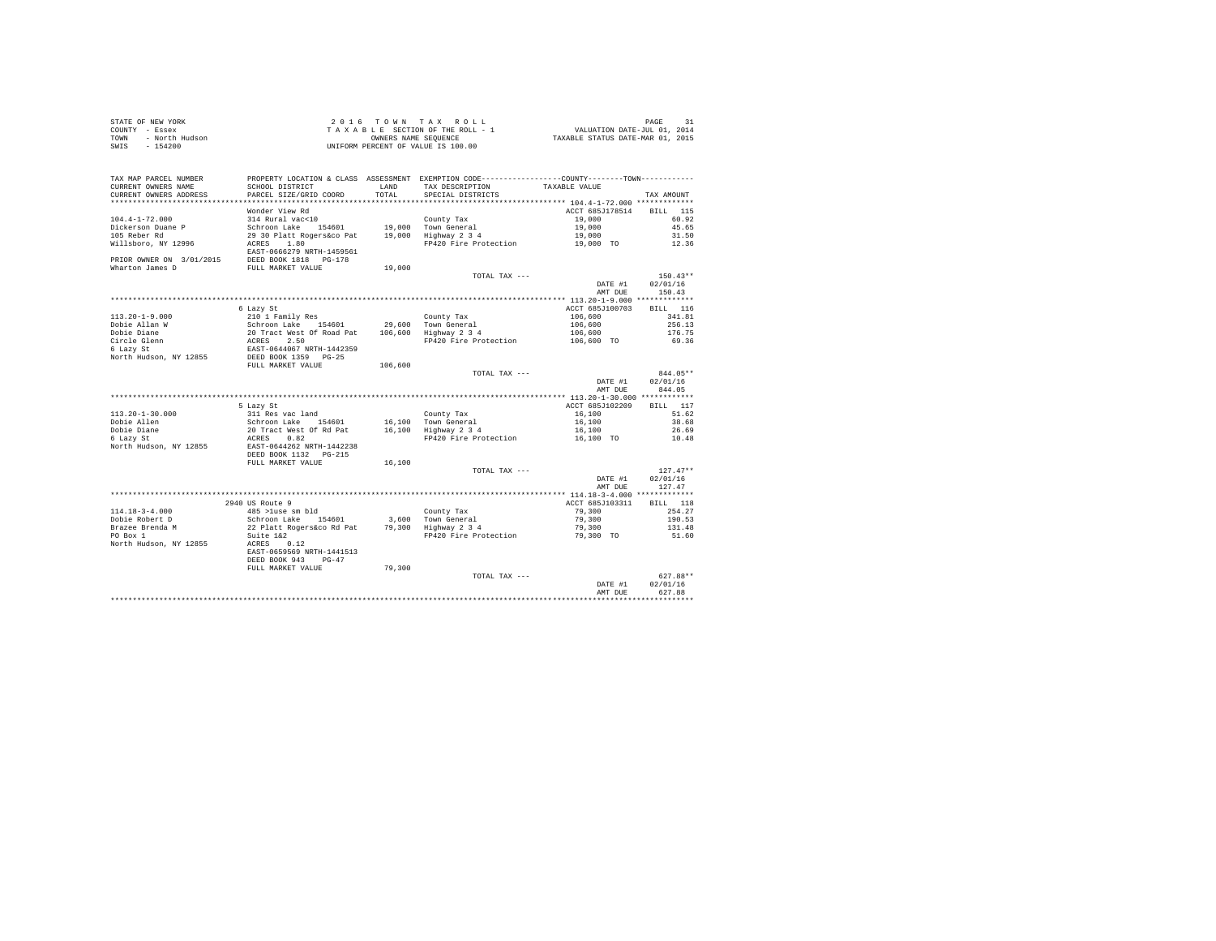| STATE OF NEW YORK      | 2016 TOWN TAX ROLL                 | PAGE                             |
|------------------------|------------------------------------|----------------------------------|
| COUNTY - Essex         | TAXABLE SECTION OF THE ROLL - 1    | VALUATION DATE-JUL 01, 2014      |
| TOWN<br>- North Hudson | OWNERS NAME SEOUENCE               | TAXABLE STATUS DATE-MAR 01, 2015 |
| - 154200<br>SWIS       | UNIFORM PERCENT OF VALUE IS 100.00 |                                  |

| TAX MAP PARCEL NUMBER               | PROPERTY LOCATION & CLASS ASSESSMENT EXEMPTION CODE---------------COUNTY-------TOWN--------- |         |                       |                 |                    |
|-------------------------------------|----------------------------------------------------------------------------------------------|---------|-----------------------|-----------------|--------------------|
| CURRENT OWNERS NAME                 | SCHOOL DISTRICT                                                                              | LAND    | TAX DESCRIPTION       | TAXABLE VALUE   |                    |
| CURRENT OWNERS ADDRESS              | PARCEL SIZE/GRID COORD                                                                       | TOTAL   | SPECIAL DISTRICTS     |                 | TAX AMOUNT         |
|                                     |                                                                                              |         |                       |                 |                    |
|                                     | Wonder View Rd                                                                               |         |                       | ACCT 685J178514 | 115<br><b>BILL</b> |
| $104.4 - 1 - 72.000$                | 314 Rural vac<10                                                                             |         | County Tax            | 19,000          | 60.92              |
| Dickerson Duane P                   | Schroon Lake 154601                                                                          |         | 19,000 Town General   | 19,000          | 45.65              |
| 105 Reber Rd                        | 29 30 Platt Rogers&co Pat                                                                    | 19,000  | Highway 2 3 4         | 19,000          | 31.50              |
| Willsboro, NY 12996                 | 1.80<br>ACRES                                                                                |         | FP420 Fire Protection | 19,000 TO       | 12.36              |
|                                     | EAST-0666279 NRTH-1459561                                                                    |         |                       |                 |                    |
| PRIOR OWNER ON 3/01/2015            | DEED BOOK 1818 PG-178                                                                        |         |                       |                 |                    |
| Wharton James D                     | FULL MARKET VALUE                                                                            | 19,000  |                       |                 |                    |
|                                     |                                                                                              |         | TOTAL TAX ---         |                 | $150.43**$         |
|                                     |                                                                                              |         |                       | DATE #1         | 02/01/16           |
|                                     |                                                                                              |         |                       | AMT DUE         | 150.43             |
|                                     |                                                                                              |         |                       |                 |                    |
|                                     | 6 Lazy St                                                                                    |         |                       | ACCT 685J100703 | BILL 116           |
| $113.20 - 1 - 9.000$                | 210 1 Family Res                                                                             |         | County Tax            | 106,600         | 341.81             |
| Dobie Allan W                       | Schroon Lake 154601                                                                          | 29,600  | Town General          | 106,600         | 256.13             |
| Dobie Diane                         | 20 Tract West Of Road Pat                                                                    | 106,600 | Highway 2 3 4         | 106,600         | 176.75             |
| Circle Glenn                        | 2.50<br>ACRES<br>EAST-0644067 NRTH-1442359                                                   |         | FP420 Fire Protection | 106,600 TO      | 69.36              |
| 6 Lazv St<br>North Hudson, NY 12855 | DEED BOOK 1359 PG-25                                                                         |         |                       |                 |                    |
|                                     | FULL MARKET VALUE                                                                            | 106,600 |                       |                 |                    |
|                                     |                                                                                              |         | TOTAL TAX ---         |                 | 844.05**           |
|                                     |                                                                                              |         |                       | DATE #1         | 02/01/16           |
|                                     |                                                                                              |         |                       | AMT DUE         | 844.05             |
|                                     |                                                                                              |         |                       |                 |                    |
|                                     | 5 Lazy St                                                                                    |         |                       | ACCT 685J102209 | 117<br><b>BILL</b> |
| $113.20 - 1 - 30.000$               | 311 Res vac land                                                                             |         | County Tax            | 16,100          | 51.62              |
| Dobie Allen                         | Schroon Lake 154601                                                                          |         | 16,100 Town General   | 16,100          | 38.68              |
| Dobie Diane                         | 20 Tract West Of Rd Pat                                                                      |         | 16,100 Highway 2 3 4  | 16,100          | 26.69              |
| 6 Lazy St                           | 0.82<br>ACRES                                                                                |         | FP420 Fire Protection | 16,100 TO       | 10.48              |
| North Hudson, NY 12855              | EAST-0644262 NRTH-1442238                                                                    |         |                       |                 |                    |
|                                     | DEED BOOK 1132 PG-215                                                                        |         |                       |                 |                    |
|                                     | FULL MARKET VALUE                                                                            | 16,100  |                       |                 |                    |
|                                     |                                                                                              |         | TOTAL TAX ---         |                 | $127.47**$         |
|                                     |                                                                                              |         |                       | DATE #1         | 02/01/16           |
|                                     |                                                                                              |         |                       | AMT DUE         | 127.47             |
|                                     |                                                                                              |         |                       |                 |                    |
|                                     | 2940 US Route 9                                                                              |         |                       | ACCT 685J103311 | BILL 118           |
| $114.18 - 3 - 4.000$                | 485 >luse sm bld                                                                             |         | County Tax            | 79,300          | 254.27             |
| Dobie Robert D                      | Schroon Lake<br>154601                                                                       | 3,600   | Town General          | 79,300          | 190.53             |
| Brazee Brenda M                     | 22 Platt Rogers&co Rd Pat                                                                    |         | 79,300 Highway 2 3 4  | 79,300          | 131.48             |
| PO Box 1                            | Suite 1&2                                                                                    |         | FP420 Fire Protection | 79,300 TO       | 51.60              |
| North Hudson, NY 12855              | 0.12<br>ACRES                                                                                |         |                       |                 |                    |
|                                     | EAST-0659569 NRTH-1441513                                                                    |         |                       |                 |                    |
|                                     | DEED BOOK 943<br>$PG-47$                                                                     |         |                       |                 |                    |
|                                     | FULL MARKET VALUE                                                                            | 79,300  |                       |                 |                    |
|                                     |                                                                                              |         | TOTAL TAX ---         |                 | 627.88**           |
|                                     |                                                                                              |         |                       | DATE #1         | 02/01/16           |
|                                     |                                                                                              |         |                       | AMT DUE         | 627.88             |
|                                     |                                                                                              |         |                       |                 |                    |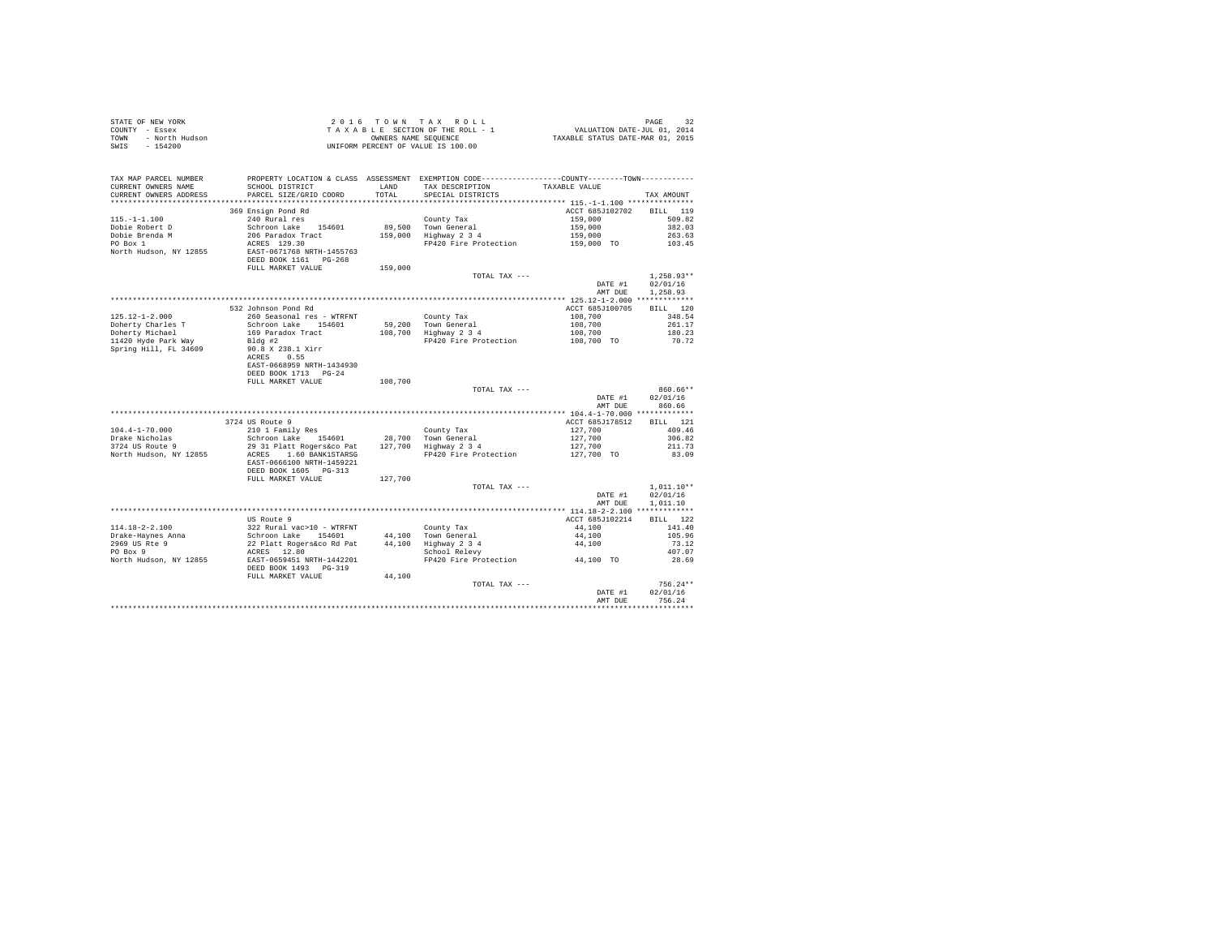| TAX MAP PARCEL NUMBER<br>CURRENT OWNERS NAME   | PROPERTY LOCATION & CLASS ASSESSMENT EXEMPTION CODE----------------COUNTY-------TOWN---------<br>${\small \begin{tabular}{ll} \texttt{SCHOOL} \texttt{ DISTERTCT} & \texttt{LAND} \\ \texttt{PARCH} \texttt{ SIZE/GRID COORD} & \texttt{TOTAL} \end{tabular}}$                       | LAND    | TAX DESCRIPTION TAXABLE VALUE<br>SPECIAL DISTRICTS                                                           |                                  |                                  |
|------------------------------------------------|--------------------------------------------------------------------------------------------------------------------------------------------------------------------------------------------------------------------------------------------------------------------------------------|---------|--------------------------------------------------------------------------------------------------------------|----------------------------------|----------------------------------|
| CURRENT OWNERS ADDRESS                         |                                                                                                                                                                                                                                                                                      |         | SPECIAL DISTRICTS                                                                                            |                                  | TAX AMOUNT                       |
|                                                | 369 Ensign Pond Rd                                                                                                                                                                                                                                                                   |         |                                                                                                              | ACCT 685J102702 BILL 119         |                                  |
| $115. - 1 - 1.100$                             |                                                                                                                                                                                                                                                                                      |         |                                                                                                              | 159,000 509.82                   |                                  |
| Dobie Robert D                                 |                                                                                                                                                                                                                                                                                      |         |                                                                                                              |                                  | 382.03                           |
|                                                |                                                                                                                                                                                                                                                                                      |         |                                                                                                              |                                  | 263.63                           |
| Dobie Brenda M<br>PO Box 1                     |                                                                                                                                                                                                                                                                                      |         | FP420 Fire Protection                                                                                        | 159,000<br>159,000<br>159,000 TO | 103.45                           |
| North Hudson, NY 12855                         | EAST-0671768 NRTH-1455763                                                                                                                                                                                                                                                            |         |                                                                                                              |                                  |                                  |
|                                                | FULL MARKET VALUE 159,000                                                                                                                                                                                                                                                            |         |                                                                                                              |                                  |                                  |
|                                                |                                                                                                                                                                                                                                                                                      |         | TOTAL TAX ---                                                                                                | DATE #1                          | $1.258.93**$<br>02/01/16         |
|                                                |                                                                                                                                                                                                                                                                                      |         |                                                                                                              | AMT DUE                          | 1,258.93                         |
|                                                |                                                                                                                                                                                                                                                                                      |         |                                                                                                              |                                  | BILL 120                         |
|                                                |                                                                                                                                                                                                                                                                                      |         |                                                                                                              | ACCT 685J100705                  | 348.54                           |
|                                                |                                                                                                                                                                                                                                                                                      |         |                                                                                                              |                                  | 261.17                           |
|                                                |                                                                                                                                                                                                                                                                                      |         |                                                                                                              |                                  | 180.23                           |
|                                                |                                                                                                                                                                                                                                                                                      |         |                                                                                                              |                                  | 70.72                            |
|                                                | EAST-0668959 NRTH-1434930<br>DEED BOOK 1713 PG-24                                                                                                                                                                                                                                    |         |                                                                                                              |                                  |                                  |
|                                                | FULL MARKET VALUE                                                                                                                                                                                                                                                                    | 108,700 | TOTAL TAX ---                                                                                                |                                  | $860.66**$                       |
|                                                |                                                                                                                                                                                                                                                                                      |         |                                                                                                              | AMT DUE                          | DATE #1 02/01/16<br>860.66       |
|                                                |                                                                                                                                                                                                                                                                                      |         |                                                                                                              |                                  |                                  |
|                                                | 3724 US Route 9                                                                                                                                                                                                                                                                      |         |                                                                                                              | ACCT 685J178512 BILL 121         |                                  |
| $104.4 - 1 - 70.000$                           |                                                                                                                                                                                                                                                                                      |         |                                                                                                              |                                  | 409.46                           |
| Drake Nicholas                                 |                                                                                                                                                                                                                                                                                      |         |                                                                                                              |                                  | 306.82                           |
| Drake Nicholas<br>3724 US Route 9              |                                                                                                                                                                                                                                                                                      |         |                                                                                                              |                                  | 211.73                           |
| North Hudson, NY 12855                         | 210 1 Family Res 28, 700 mm (28, 700 mm (27, 700 mm (27, 700 mm (27, 700 mm (28, 700 mm (28, 700 mm (28, 700 mm (28, 700 mm (28, 700 mm (28, 700 mm (28, 700 mm (28, 700 mm (28, 700 mm (28, 700 mm (28, 700 mm (28, 700 mm (2<br>EAST-0666100 NRTH-1459221<br>DEED BOOK 1605 PG-313 |         |                                                                                                              |                                  | 83.09                            |
|                                                | FULL MARKET VALUE                                                                                                                                                                                                                                                                    | 127,700 |                                                                                                              |                                  |                                  |
|                                                |                                                                                                                                                                                                                                                                                      |         | TOTAL TAX ---                                                                                                |                                  | $1.011.10**$<br>DATE #1 02/01/16 |
|                                                |                                                                                                                                                                                                                                                                                      |         |                                                                                                              | AMT DUE                          | 1,011.10                         |
|                                                | US Route 9                                                                                                                                                                                                                                                                           |         |                                                                                                              | ACCT 685J102214 BILL 122         |                                  |
| 114.18-2-2.100                                 |                                                                                                                                                                                                                                                                                      |         |                                                                                                              | 44,100 141.40                    |                                  |
|                                                |                                                                                                                                                                                                                                                                                      |         |                                                                                                              |                                  | 105.96                           |
|                                                |                                                                                                                                                                                                                                                                                      |         |                                                                                                              |                                  | 73.12                            |
| Drake-Haynes Anna<br>2969 US Rte 9<br>PO Box 9 |                                                                                                                                                                                                                                                                                      |         |                                                                                                              |                                  | 407.07                           |
|                                                | North Hudson, NY 12855 EAST-0659451 NRTH-1442201<br>DEED BOOK 1493 PG-319                                                                                                                                                                                                            |         | 44,100<br>44,100 Town General<br>44,100 Highway 2 3 4<br>5chool Relevy<br>FP420 Fire Protection<br>44,100 TO |                                  | 28.69                            |
|                                                | FULL MARKET VALUE                                                                                                                                                                                                                                                                    | 44,100  |                                                                                                              |                                  |                                  |
|                                                |                                                                                                                                                                                                                                                                                      |         | $TOTAI. TAX - - -$                                                                                           |                                  | $756.24**$                       |
|                                                |                                                                                                                                                                                                                                                                                      |         |                                                                                                              | DATE #1                          | 02/01/16<br>756.24               |
|                                                |                                                                                                                                                                                                                                                                                      |         |                                                                                                              | AMT DUE                          |                                  |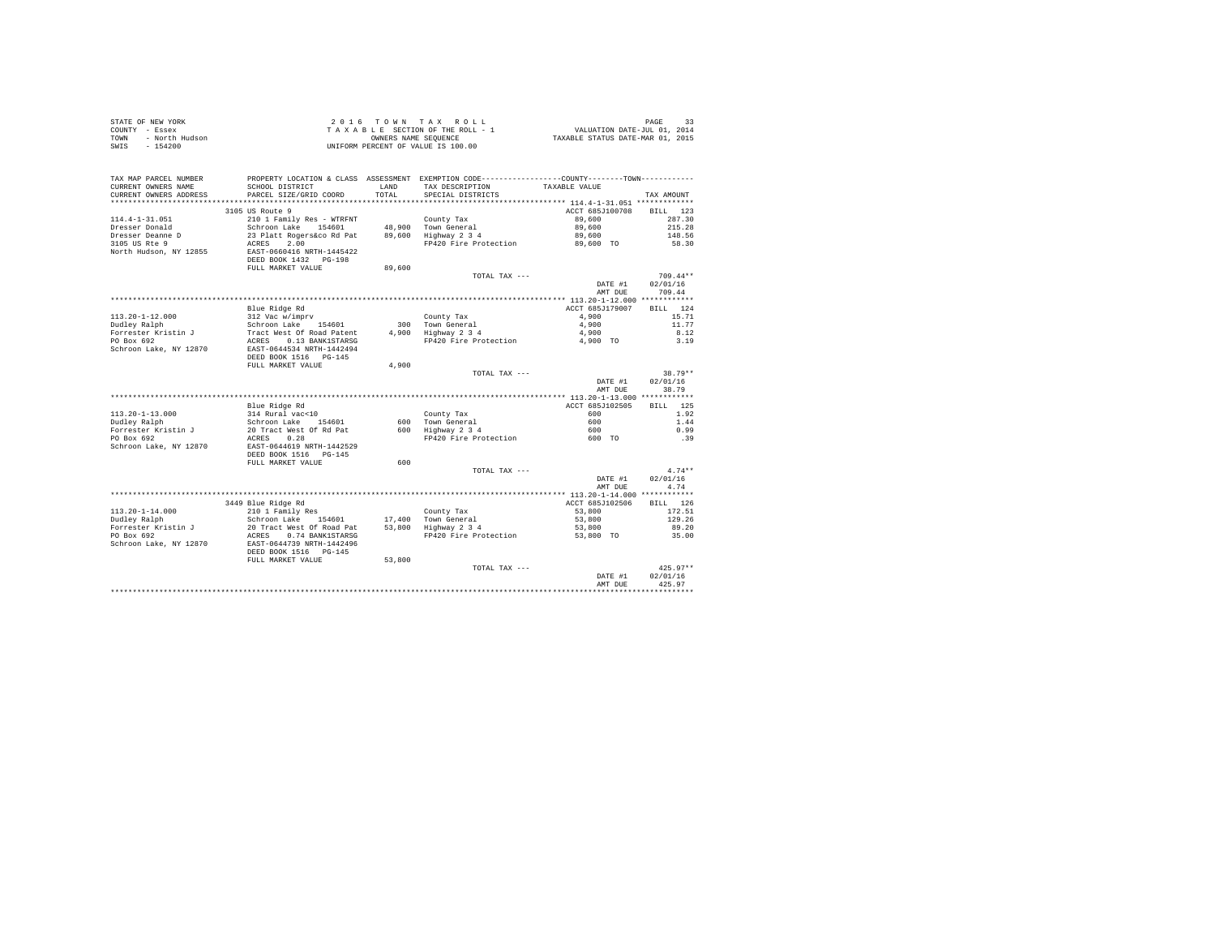|                | STATE OF NEW YORK | 2016 TOWN TAX ROLL                 | PAGE                             |
|----------------|-------------------|------------------------------------|----------------------------------|
| COUNTY - Essex |                   | TAXABLE SECTION OF THE ROLL - 1    | VALUATION DATE-JUL 01, 2014      |
| TOWN           | - North Hudson    | OWNERS NAME SEOUENCE               | TAXABLE STATUS DATE-MAR 01, 2015 |
| SWIS           | $-154200$         | UNIFORM PERCENT OF VALUE IS 100.00 |                                  |

|                                               |                                                                                               |               | TOTAL TAX ---                        | DATE #1<br>AMT DUE | $425.97**$<br>02/01/16<br>425.97 |
|-----------------------------------------------|-----------------------------------------------------------------------------------------------|---------------|--------------------------------------|--------------------|----------------------------------|
|                                               | DEED BOOK 1516<br>$PG-145$<br>FULL MARKET VALUE                                               | 53,800        |                                      |                    |                                  |
| PO Box 692<br>Schroon Lake, NY 12870          | ACRES<br>0.74 BANK1STARSG<br>EAST-0644739 NRTH-1442496                                        |               | FP420 Fire Protection                | 53,800 TO          | 35.00                            |
| Dudley Ralph<br>Forrester Kristin J           | 154601<br>20 Tract West Of Road Pat                                                           |               | 53,800 Highway 2 3 4                 | 53,800             | 89.20                            |
| $113.20 - 1 - 14.000$                         | 210 1 Family Res<br>Schroon Lake                                                              |               | County Tax<br>17,400 Town General    | 53,800<br>53,800   | 172.51<br>129.26                 |
|                                               | 3449 Blue Ridge Rd                                                                            |               |                                      | ACCT 685J102506    | 126<br>BILL                      |
|                                               |                                                                                               |               |                                      |                    |                                  |
|                                               |                                                                                               |               |                                      | AMT DUE            | 4.74                             |
|                                               |                                                                                               |               |                                      | DATE #1            | 02/01/16                         |
|                                               |                                                                                               |               | TOTAL TAX ---                        |                    | $4.74**$                         |
|                                               | FULL MARKET VALUE                                                                             | 600           |                                      |                    |                                  |
| Schroon Lake, NY 12870                        | EAST-0644619 NRTH-1442529<br>DEED BOOK 1516 PG-145                                            |               |                                      |                    |                                  |
| PO Box 692                                    | ACRES<br>0.28                                                                                 |               | FP420 Fire Protection                | 600 TO             | .39                              |
| Forrester Kristin J                           | 20 Tract West Of Rd Pat                                                                       | 600           | Highway 2 3 4                        | 600                | 0.99                             |
| Dudley Ralph                                  | Schroon Lake<br>154601                                                                        | 600           | Town General                         | 600                | 1.44                             |
| $113.20 - 1 - 13.000$                         | 314 Rural vac<10                                                                              |               | County Tax                           | 600                | 1.92                             |
|                                               | Blue Ridge Rd                                                                                 |               |                                      | ACCT 685J102505    | 125<br>BILL                      |
|                                               |                                                                                               |               |                                      |                    |                                  |
|                                               |                                                                                               |               |                                      | AMT DUE            | 38.79                            |
|                                               |                                                                                               |               |                                      | DATE #1            | 02/01/16                         |
|                                               | FULL MARKET VALUE                                                                             | 4.900         | TOTAL TAX ---                        |                    | $38.79**$                        |
|                                               | DEED BOOK 1516   PG-145                                                                       |               |                                      |                    |                                  |
| Schroon Lake, NY 12870                        | EAST-0644534 NRTH-1442494                                                                     |               |                                      |                    |                                  |
| PO Box 692                                    | ACRES 0.13 BANK1STARSG                                                                        |               | FP420 Fire Protection                | 4,900 TO           | 3.19                             |
| Forrester Kristin J                           | Tract West Of Road Patent                                                                     | 4,900         | Highway 2 3 4                        | 4,900              | 8.12                             |
| Dudley Ralph                                  | Schroon Lake 154601                                                                           |               | 300 Town General                     | 4,900              | 11.77                            |
| $113.20 - 1 - 12.000$                         | 312 Vac w/imprv                                                                               |               | County Tax                           | 4,900              | 15.71                            |
|                                               | Blue Ridge Rd                                                                                 |               |                                      | ACCT 685J179007    | BTLL.<br>124                     |
|                                               |                                                                                               |               |                                      | AMT DUE            | 709.44                           |
|                                               |                                                                                               |               |                                      | DATE #1            | 02/01/16                         |
|                                               |                                                                                               |               | TOTAL TAX ---                        |                    | $709.44**$                       |
|                                               | DEED BOOK 1432 PG-198<br>FULL MARKET VALUE                                                    | 89,600        |                                      |                    |                                  |
| North Hudson, NY 12855                        | EAST-0660416 NRTH-1445422                                                                     |               |                                      |                    |                                  |
| 3105 US Rte 9                                 | 2.00<br>ACRES                                                                                 |               | FP420 Fire Protection                | 89,600 TO          | 58.30                            |
| Dresser Deanne D                              | 23 Platt Rogers&co Rd Pat                                                                     | 89,600        | Highway 2 3 4                        | 89,600             | 148.56                           |
| Dresser Donald                                | Schroon Lake 154601                                                                           |               | 48.900 Town General                  | 89,600             | 215.28                           |
| $114.4 - 1 - 31.051$                          | 210 1 Family Res - WTRFNT                                                                     |               | County Tax                           | 89,600             | 287.30                           |
|                                               | 3105 US Route 9                                                                               |               |                                      | ACCT 685J100708    | 123<br><b>BILL</b>               |
| **********************                        |                                                                                               |               |                                      |                    |                                  |
| CURRENT OWNERS NAME<br>CURRENT OWNERS ADDRESS | SCHOOL DISTRICT<br>PARCEL SIZE/GRID COORD                                                     | LAND<br>TOTAL | TAX DESCRIPTION<br>SPECIAL DISTRICTS | TAXABLE VALUE      | TAX AMOUNT                       |
| TAX MAP PARCEL NUMBER                         | PROPERTY LOCATION & CLASS ASSESSMENT EXEMPTION CODE---------------COUNTY-------TOWN---------- |               |                                      |                    |                                  |
|                                               |                                                                                               |               |                                      |                    |                                  |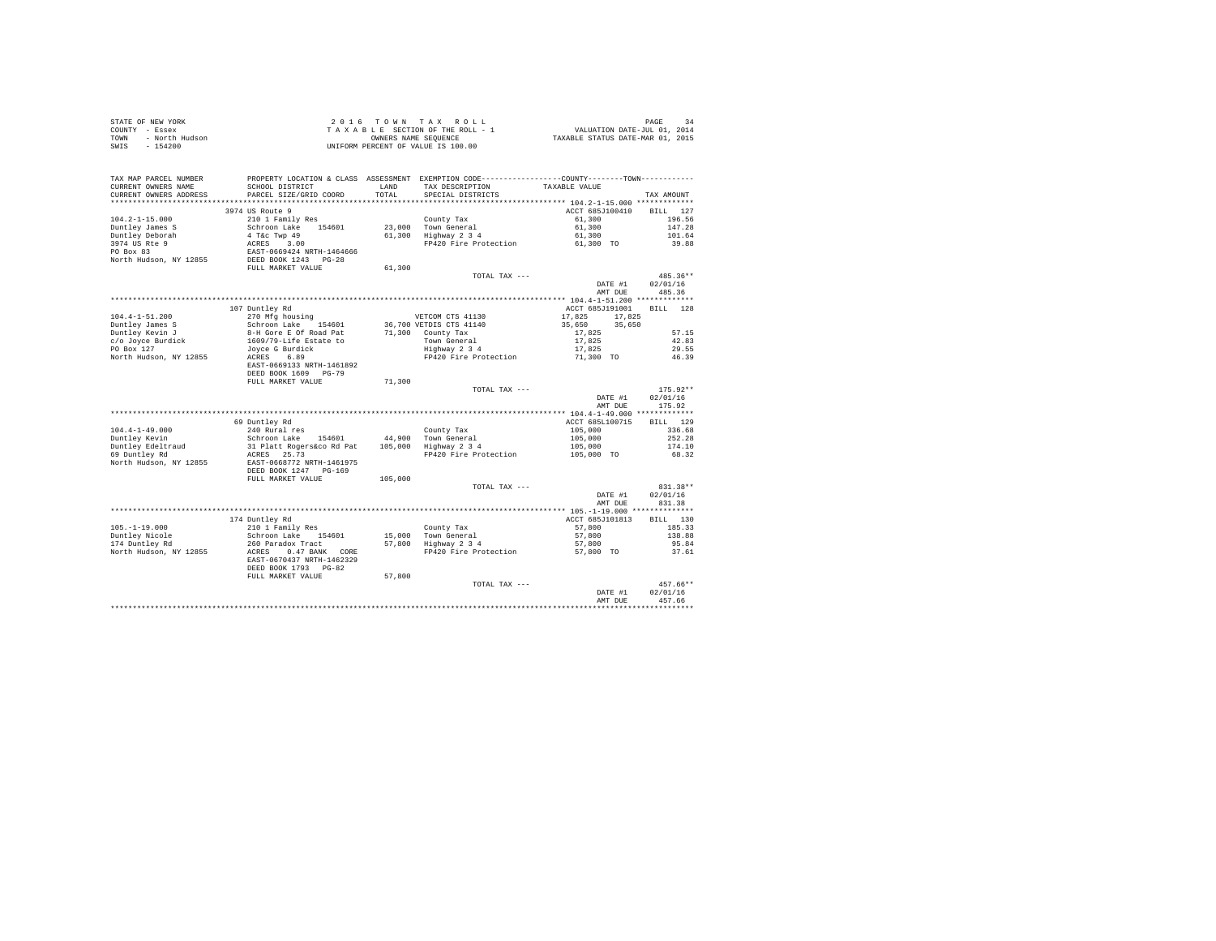| STATE OF NEW YORK |                | 2016 TOWN TAX ROLL                 | 34<br>PAGE                       |  |
|-------------------|----------------|------------------------------------|----------------------------------|--|
| COUNTY - Essex    |                | TAXABLE SECTION OF THE ROLL - 1    | VALUATION DATE-JUL 01, 2014      |  |
| TOWN              | - North Hudson | OWNERS NAME SEOUENCE               | TAXABLE STATUS DATE-MAR 01, 2015 |  |
| SWIS - 154200     |                | UNIFORM PERCENT OF VALUE IS 100.00 |                                  |  |

| TAX MAP PARCEL NUMBER<br>CURRENT OWNERS NAME | PROPERTY LOCATION & CLASS ASSESSMENT<br>SCHOOL DISTRICT | <b>T.AND</b> | TAX DESCRIPTION         | EXEMPTION CODE----------------COUNTY-------TOWN----------<br>TAXABLE VALUE |                    |
|----------------------------------------------|---------------------------------------------------------|--------------|-------------------------|----------------------------------------------------------------------------|--------------------|
| CURRENT OWNERS ADDRESS                       | PARCEL SIZE/GRID COORD                                  | TOTAL        | SPECIAL DISTRICTS       |                                                                            | TAX AMOUNT         |
| *********************                        |                                                         |              |                         |                                                                            |                    |
|                                              | 3974 US Route 9                                         |              |                         | ACCT 685J100410                                                            | 127<br><b>BILL</b> |
| $104.2 - 1 - 15.000$                         | 210 1 Family Res                                        |              | County Tax              | 61,300                                                                     | 196.56             |
| Duntley James S                              | Schroon Lake<br>154601                                  | 23,000       | Town General            | 61,300                                                                     | 147.28             |
| Duntley Deborah                              | 4 T&c Twp 49                                            | 61,300       | Highway 2 3 4           | 61,300                                                                     | 101.64             |
| 3974 US Rte 9                                | 3.00<br>ACRES                                           |              | FP420 Fire Protection   | 61,300 TO                                                                  | 39.88              |
| PO Box 83                                    | EAST-0669424 NRTH-1464666                               |              |                         |                                                                            |                    |
| North Hudson, NY 12855                       | DEED BOOK 1243<br>$PG-28$                               |              |                         |                                                                            |                    |
|                                              | FULL MARKET VALUE                                       | 61,300       |                         |                                                                            |                    |
|                                              |                                                         |              | TOTAL TAX ---           |                                                                            | 485.36**           |
|                                              |                                                         |              |                         | DATE #1                                                                    | 02/01/16           |
|                                              |                                                         |              |                         | AMT DUE                                                                    | 485.36             |
|                                              |                                                         |              |                         |                                                                            |                    |
|                                              | 107 Duntley Rd                                          |              |                         | ACCT 685J191001                                                            | <b>BILL</b><br>128 |
| $104.4 - 1 - 51.200$                         | 270 Mfg housing                                         |              | VETCOM CTS 41130        | 17,825<br>17,825                                                           |                    |
| Duntley James S                              | Schroon Lake 154601                                     |              | 36,700 VETDIS CTS 41140 | 35,650<br>35,650                                                           |                    |
| Duntley Kevin J                              | 8-H Gore E Of Road Pat                                  |              | 71,300 County Tax       | 17.825                                                                     | 57.15              |
| c/o Joyce Burdick                            | 1609/79-Life Estate to                                  |              | Town General            | 17,825                                                                     | 42.83              |
| PO Box 127                                   | Joyce G Burdick                                         |              | Highway 2 3 4           | 17,825                                                                     | 29.55              |
| North Hudson, NY 12855                       | 6.89<br>ACRES                                           |              | FP420 Fire Protection   | 71,300 TO                                                                  | 46.39              |
|                                              | EAST-0669133 NRTH-1461892                               |              |                         |                                                                            |                    |
|                                              | DEED BOOK 1609 PG-79                                    |              |                         |                                                                            |                    |
|                                              | FULL MARKET VALUE                                       | 71,300       |                         |                                                                            |                    |
|                                              |                                                         |              | TOTAL TAX ---           |                                                                            | 175.92**           |
|                                              |                                                         |              |                         | DATE #1                                                                    | 02/01/16           |
|                                              |                                                         |              |                         | AMT DUE                                                                    | 175.92             |
|                                              |                                                         |              |                         |                                                                            |                    |
|                                              |                                                         |              |                         | **** 104.4-1-49.000 **************                                         |                    |
|                                              | 69 Duntley Rd                                           |              |                         | ACCT 685L100715                                                            | 129<br><b>BILL</b> |
| $104.4 - 1 - 49.000$                         | 240 Rural res                                           |              | County Tax              | 105,000                                                                    | 336.68             |
| Duntley Kevin                                | Schroon Lake<br>154601                                  | 44,900       | Town General            | 105,000                                                                    | 252.28             |
| Duntley Edeltraud                            | 31 Platt Rogers&co Rd Pat                               | 105,000      | Highway 2 3 4           | 105,000                                                                    | 174.10             |
| 69 Duntley Rd                                | ACRES 25.73                                             |              | FP420 Fire Protection   | 105,000 TO                                                                 | 68.32              |
| North Hudson, NY 12855                       | EAST-0668772 NRTH-1461975                               |              |                         |                                                                            |                    |
|                                              | DEED BOOK 1247 PG-169                                   |              |                         |                                                                            |                    |
|                                              | FULL MARKET VALUE                                       | 105,000      |                         |                                                                            |                    |
|                                              |                                                         |              | TOTAL TAX ---           |                                                                            | 831.38**           |
|                                              |                                                         |              |                         | DATE #1                                                                    | 02/01/16           |
|                                              |                                                         |              |                         | AMT DUE                                                                    | 831.38             |
|                                              |                                                         |              |                         | ************** 105.-1-19.000 **************                                |                    |
|                                              | 174 Duntley Rd                                          |              |                         | ACCT 685J101813                                                            | 130<br>RTLL.       |
| $105. -1 - 19.000$                           | 210 1 Family Res                                        |              | County Tax              | 57,800                                                                     | 185.33             |
| Duntley Nicole                               | Schroon Lake<br>154601                                  | 15,000       | Town General            | 57,800                                                                     | 138.88             |
| 174 Duntley Rd                               | 260 Paradox Tract                                       | 57,800       | Highway 2 3 4           | 57,800                                                                     | 95.84              |
| North Hudson, NY 12855                       | ACRES<br>0.47 BANK CORE                                 |              | FP420 Fire Protection   | 57,800 TO                                                                  | 37.61              |
|                                              | EAST-0670437 NRTH-1462329                               |              |                         |                                                                            |                    |
|                                              | DEED BOOK 1793 PG-82                                    |              |                         |                                                                            |                    |
|                                              | FULL MARKET VALUE                                       | 57,800       |                         |                                                                            |                    |
|                                              |                                                         |              | TOTAL TAX ---           |                                                                            | 457.66**           |
|                                              |                                                         |              |                         | DATE #1                                                                    | 02/01/16           |
|                                              |                                                         |              |                         | AMT DUE                                                                    | 457.66             |
|                                              |                                                         |              |                         |                                                                            |                    |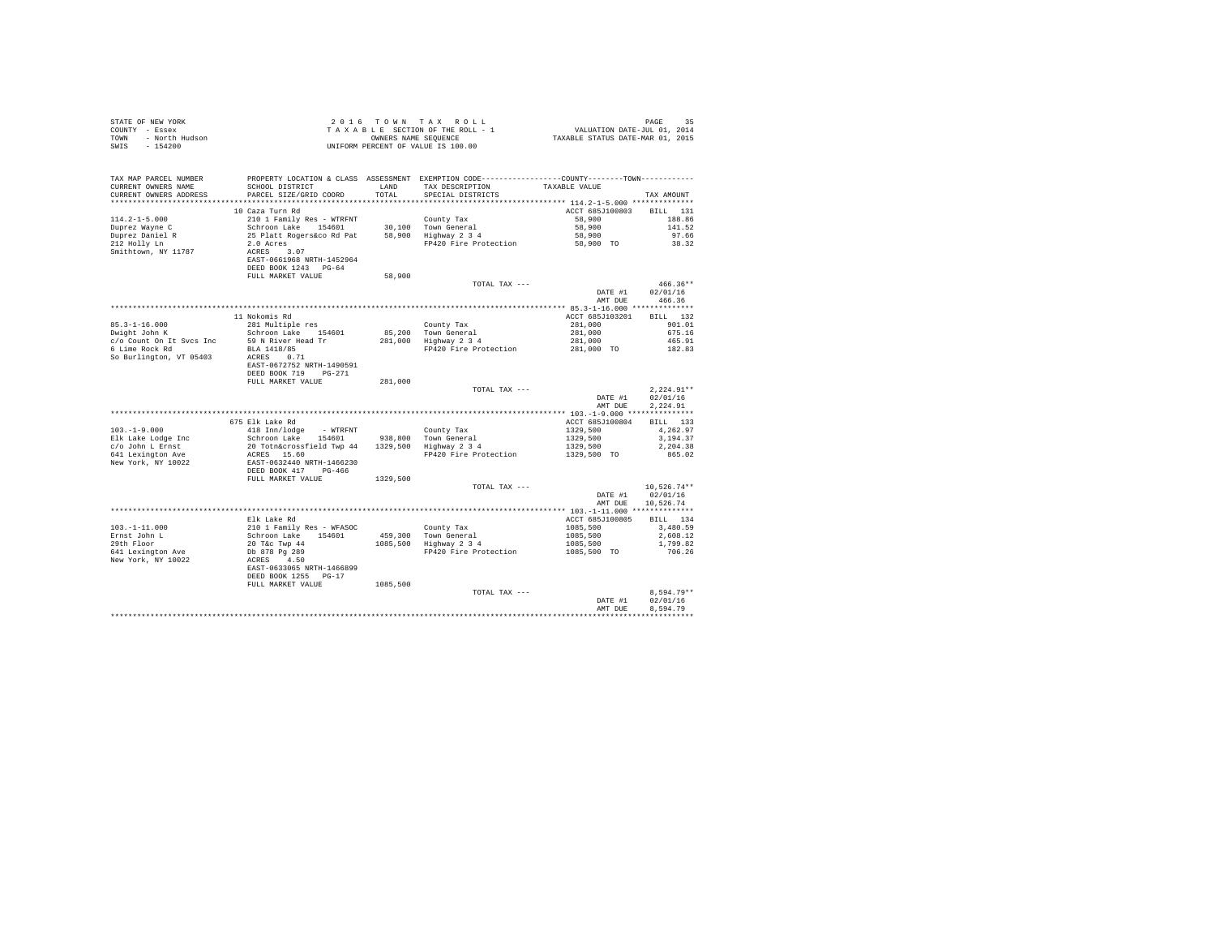| COUNTY - Essex<br>TOWN<br>- North Hudson<br>$-154200$<br>SWIS | UNIFORM PERCENT OF VALUE IS 100.00                                                                                                      |          |                                                                                |                                                 |                      |
|---------------------------------------------------------------|-----------------------------------------------------------------------------------------------------------------------------------------|----------|--------------------------------------------------------------------------------|-------------------------------------------------|----------------------|
|                                                               |                                                                                                                                         |          |                                                                                |                                                 |                      |
| TAX MAP PARCEL NUMBER                                         | PROPERTY LOCATION & CLASS ASSESSMENT EXEMPTION CODE---------------COUNTY-------TOWN----------                                           |          |                                                                                |                                                 |                      |
| CURRENT OWNERS NAME                                           | SCHOOL DISTRICT                                                                                                                         |          | LAND TAX DESCRIPTION                                                           | TAXABLE VALUE                                   |                      |
| CURRENT OWNERS ADDRESS                                        | PARCEL SIZE/GRID COORD                                                                                                                  | TOTAL    | SPECIAL DISTRICTS                                                              |                                                 | TAX AMOUNT           |
|                                                               |                                                                                                                                         |          |                                                                                |                                                 |                      |
|                                                               | 10 Caza Turn Rd                                                                                                                         |          |                                                                                | ACCT 685J100803 BILL 131                        |                      |
| $114.2 - 1 - 5.000$                                           |                                                                                                                                         |          |                                                                                | 58,900                                          | 188.86               |
| Duprez Wayne C                                                |                                                                                                                                         |          |                                                                                | 58,900<br>58,900                                | 141.52               |
| Duprez Daniel R<br>212 Holly Ln                               |                                                                                                                                         |          | FP420 Fire Protection 58,900 TO                                                |                                                 | 97.66<br>38.32       |
| Smithtown, NY 11787                                           |                                                                                                                                         |          |                                                                                |                                                 |                      |
|                                                               |                                                                                                                                         |          |                                                                                |                                                 |                      |
|                                                               |                                                                                                                                         |          |                                                                                |                                                 |                      |
|                                                               | FULL MARKET VALUE                                                                                                                       | 58,900   |                                                                                |                                                 |                      |
|                                                               |                                                                                                                                         |          | TOTAL TAX ---                                                                  |                                                 | $466.36**$           |
|                                                               |                                                                                                                                         |          |                                                                                | $\mathtt{DATE}~\#1$                             | 02/01/16             |
|                                                               |                                                                                                                                         |          |                                                                                | AMT DUE                                         | 466.36               |
|                                                               |                                                                                                                                         |          |                                                                                |                                                 |                      |
|                                                               | 11 Nokomis Rd                                                                                                                           |          |                                                                                | ACCT 685J103201                                 | BILL 132             |
| $85.3 - 1 - 16.000$<br>Dwight John K                          | 281 Multiple res                                                                                                                        |          |                                                                                | 281,000                                         | 901.01               |
|                                                               | Schroon Lake 154601<br>c/o Count On It Svcs Inc 59 N River Head Tr                                                                      |          | County Tax<br>85,200 Town General<br>281,000 Highway 2 3 4                     | $281,000$<br>$281,000$<br>$281,000$ TO          | 675.16               |
| 6 Lime Rock Rd                                                | BLA 1418/85                                                                                                                             |          | FP420 Fire Protection                                                          |                                                 | 465.91<br>182.83     |
| So Burlington, VT 05403                                       | ACRES 0.71                                                                                                                              |          |                                                                                |                                                 |                      |
|                                                               | EAST-0672752 NRTH-1490591                                                                                                               |          |                                                                                |                                                 |                      |
|                                                               | DEED BOOK 719 PG-271                                                                                                                    |          |                                                                                |                                                 |                      |
|                                                               | FULL MARKET VALUE                                                                                                                       | 281,000  |                                                                                |                                                 |                      |
|                                                               |                                                                                                                                         |          | TOTAL TAX ---                                                                  |                                                 | $2.224.91**$         |
|                                                               |                                                                                                                                         |          |                                                                                | $\mathtt{DATE}~\#1$                             | 02/01/16             |
|                                                               |                                                                                                                                         |          |                                                                                | AMT DUE                                         | 2,224.91             |
|                                                               |                                                                                                                                         |          |                                                                                |                                                 |                      |
|                                                               | 675 Elk Lake Rd                                                                                                                         |          |                                                                                | ACCT 685J100804                                 | BILL 133             |
|                                                               |                                                                                                                                         |          |                                                                                |                                                 | 4,262.97<br>3.194.37 |
|                                                               |                                                                                                                                         |          |                                                                                |                                                 | 2,204.38             |
|                                                               |                                                                                                                                         |          | FP420 Fire Protection                                                          | 1329,500<br>1329,500<br>1329,500<br>1329,500 TO | 865.02               |
|                                                               |                                                                                                                                         |          |                                                                                |                                                 |                      |
|                                                               |                                                                                                                                         |          |                                                                                |                                                 |                      |
|                                                               |                                                                                                                                         |          |                                                                                |                                                 |                      |
|                                                               |                                                                                                                                         |          | TOTAL TAX ---                                                                  |                                                 | $10.526.74**$        |
|                                                               |                                                                                                                                         |          |                                                                                |                                                 | DATE #1 02/01/16     |
|                                                               |                                                                                                                                         |          |                                                                                | AMT DUE                                         | 10.526.74            |
|                                                               |                                                                                                                                         |          |                                                                                |                                                 |                      |
|                                                               | Elk Lake Rd                                                                                                                             |          |                                                                                | ACCT 685J100805                                 | BILL 134             |
| $103. - 1 - 11.000$                                           |                                                                                                                                         |          | County Tax<br>County Tax<br>459,300   Town General<br>1085,500   Highway 2 3 4 |                                                 | 3,480.59             |
| Ernst John L<br>29th Floor                                    |                                                                                                                                         |          |                                                                                |                                                 | 2,608.12             |
| 641 Lexington Ave                                             |                                                                                                                                         |          | FP420 Fire Protection                                                          | 1085,500<br>1085,500<br>1085,500<br>1085,500 TO | 1,799.82<br>706.26   |
| New York, NY 10022                                            | EIK Lake Ro<br>210 1 Family Res - WFASOC<br>Schronn Lake<br>20 T&C Twp 44<br>Db 878 Pg 289<br>ACRES 4 4.50<br>EAST-0633065 NRTH-1466899 |          |                                                                                |                                                 |                      |
|                                                               |                                                                                                                                         |          |                                                                                |                                                 |                      |
|                                                               | DEED BOOK 1255 PG-17                                                                                                                    |          |                                                                                |                                                 |                      |
|                                                               | FULL MARKET VALUE                                                                                                                       | 1085,500 |                                                                                |                                                 |                      |
|                                                               |                                                                                                                                         |          | TOTAL TAX ---                                                                  |                                                 | $8.594.79**$         |
|                                                               |                                                                                                                                         |          |                                                                                | DATE #1                                         | 02/01/16             |
|                                                               |                                                                                                                                         |          |                                                                                | AMT DUE                                         | 8.594.79             |
|                                                               |                                                                                                                                         |          |                                                                                |                                                 | ******************   |

STATE OF NEW YORK 2 0 16 TOWN TAX ROLL CHARGE 35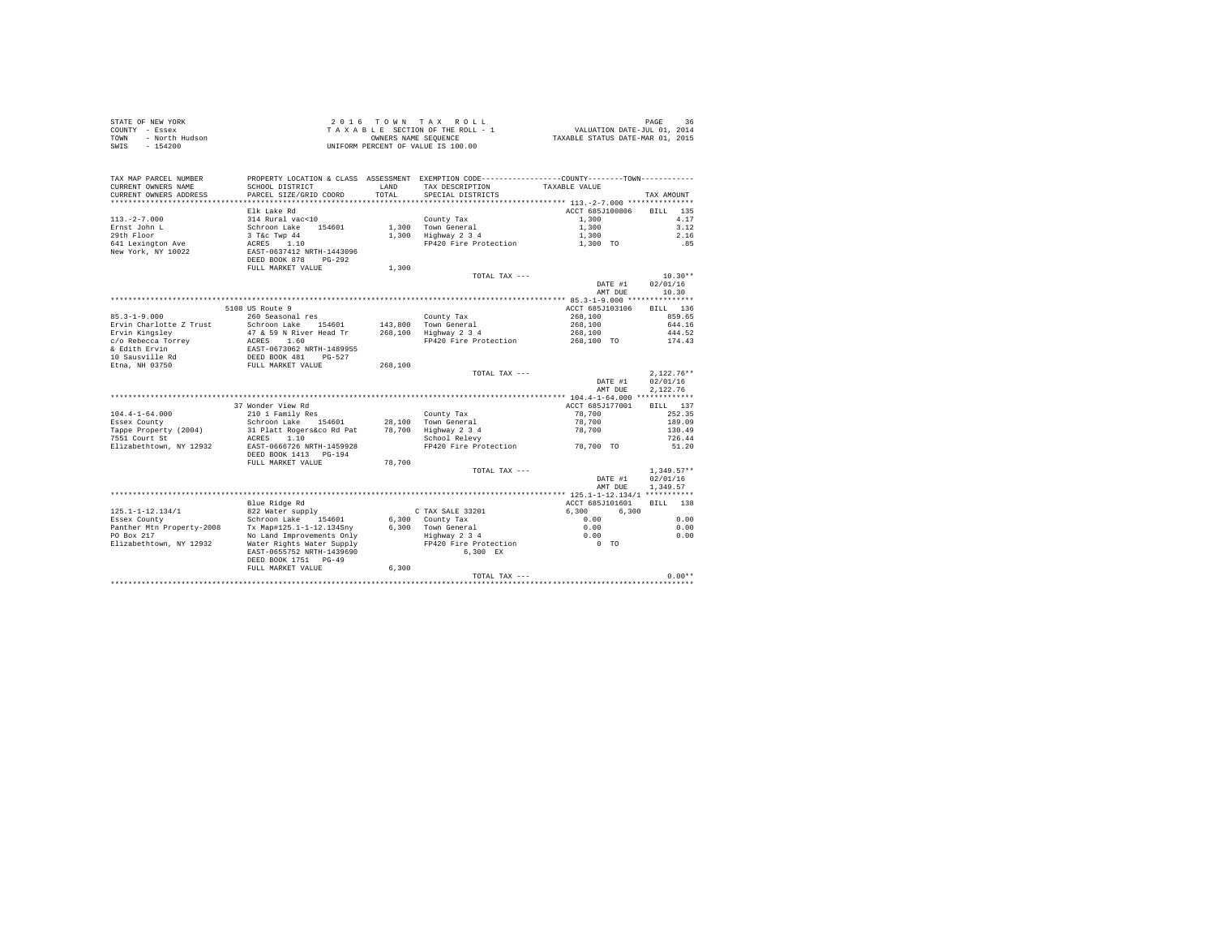| STATE OF NEW YORK      | 2016 TOWN TAX ROLL                 | 36<br>PAGE                       |
|------------------------|------------------------------------|----------------------------------|
| COUNTY - Essex         | TAXABLE SECTION OF THE ROLL - 1    | VALUATION DATE-JUL 01, 2014      |
| - North Hudson<br>TOWN | OWNERS NAME SEOUENCE               | TAXABLE STATUS DATE-MAR 01, 2015 |
| $-154200$<br>SWIS      | UNIFORM PERCENT OF VALUE IS 100.00 |                                  |

| TAX MAP PARCEL NUMBER            |                                                                                        |              | PROPERTY LOCATION & CLASS ASSESSMENT EXEMPTION CODE---------------COUNTY-------TOWN--------- |                 |                    |
|----------------------------------|----------------------------------------------------------------------------------------|--------------|----------------------------------------------------------------------------------------------|-----------------|--------------------|
| CURRENT OWNERS NAME              | SCHOOL DISTRICT                                                                        | <b>T.AND</b> | TAX DESCRIPTION                                                                              | TAXABLE VALUE   |                    |
| CURRENT OWNERS ADDRESS           | PARCEL SIZE/GRID COORD                                                                 | TOTAL        | SPECIAL DISTRICTS                                                                            |                 | TAX AMOUNT         |
|                                  |                                                                                        |              |                                                                                              |                 |                    |
|                                  | Elk Lake Rd                                                                            |              |                                                                                              | ACCT 685J100806 | 135<br><b>BILL</b> |
| $113. - 2 - 7.000$               | 314 Rural vac<10                                                                       |              | County Tax                                                                                   | 1,300           | 4.17               |
| Ernst John L                     | Schroon Lake<br>154601                                                                 | 1,300        | Town General                                                                                 | 1,300           | 3.12               |
| 29th Floor                       | 3 T&c Twp 44                                                                           |              | 1,300 Highway 2 3 4                                                                          | 1,300           | 2.16               |
| 641 Lexington Ave                | ACRES 1.10                                                                             |              | FP420 Fire Protection                                                                        | 1,300 TO        | .85                |
| New York, NY 10022               | EAST-0637412 NRTH-1443096                                                              |              |                                                                                              |                 |                    |
|                                  | DEED BOOK 878<br>$PG-292$                                                              |              |                                                                                              |                 |                    |
|                                  | FULL MARKET VALUE                                                                      | 1,300        |                                                                                              |                 |                    |
|                                  |                                                                                        |              | TOTAL TAX ---                                                                                |                 | $10.30**$          |
|                                  |                                                                                        |              |                                                                                              | DATE #1         | 02/01/16           |
|                                  |                                                                                        |              |                                                                                              | AMT DUE         | 10.30              |
|                                  |                                                                                        |              |                                                                                              |                 |                    |
|                                  | 5108 US Route 9                                                                        |              |                                                                                              | ACCT 685J103106 | BILL<br>136        |
| $85.3 - 1 - 9.000$               | 260 Seasonal res                                                                       |              | County Tax                                                                                   | 268,100         | 859.65             |
| Ervin Charlotte Z Trust          | Schroon Lake<br>154601                                                                 | 143,800      | Town General                                                                                 | 268,100         | 644.16             |
| Ervin Kingslev                   | 47 & 59 N River Head Tr                                                                | 268,100      | Highway 2 3 4                                                                                | 268,100         | 444.52             |
| c/o Rebecca Torrey               | ACRES 1.60                                                                             |              | FP420 Fire Protection                                                                        | 268,100 TO      | 174.43             |
|                                  | AUCES - 1.00<br>EAST-0673062 NRTH-1489955<br>DEED BOOK 481 PG-527<br>FULL MARKET VALUE |              |                                                                                              |                 |                    |
| & Edith Ervin<br>10 Sausville Rd |                                                                                        |              |                                                                                              |                 |                    |
| Etna, NH 03750                   |                                                                                        |              |                                                                                              |                 |                    |
|                                  |                                                                                        | 268,100      |                                                                                              |                 | $2.122.76**$       |
|                                  |                                                                                        |              | TOTAL TAX ---                                                                                |                 |                    |
|                                  |                                                                                        |              |                                                                                              | DATE #1         | 02/01/16           |
|                                  |                                                                                        |              |                                                                                              | AMT DUE         | 2.122.76           |
|                                  |                                                                                        |              |                                                                                              |                 |                    |
|                                  | 37 Wonder View Rd                                                                      |              |                                                                                              | ACCT 685J177001 | 137<br>BILL        |
| $104.4 - 1 - 64.000$             | 210 1 Family Res                                                                       |              | County Tax                                                                                   | 78,700          | 252.35             |
| Essex County                     | Schroon Lake 154601                                                                    |              | 28.100 Town General                                                                          | 78,700          | 189.09             |
| Tappe Property (2004)            | 31 Platt Rogers&co Rd Pat                                                              | 78,700       | Highway 2 3 4                                                                                | 78,700          | 130.49             |
| 7551 Court St                    | 1.10<br>ACRES                                                                          |              | School Relevy                                                                                |                 | 726.44             |
| Elizabethtown, NY 12932          | EAST-0666726 NRTH-1459928                                                              |              | FP420 Fire Protection                                                                        | 78,700 TO       | 51.20              |
|                                  | DEED BOOK 1413 PG-194                                                                  |              |                                                                                              |                 |                    |
|                                  | FULL MARKET VALUE                                                                      | 78,700       |                                                                                              |                 |                    |
|                                  |                                                                                        |              | TOTAL TAX ---                                                                                |                 | $1.349.57**$       |
|                                  |                                                                                        |              |                                                                                              | DATE #1         | 02/01/16           |
|                                  |                                                                                        |              |                                                                                              | AMT DUE         | 1,349.57           |
|                                  |                                                                                        |              |                                                                                              |                 |                    |
|                                  | Blue Ridge Rd                                                                          |              |                                                                                              | ACCT 685J101601 | <b>BILL</b><br>138 |
| $125.1 - 1 - 12.134/1$           | 822 Water supply                                                                       |              | C TAX SALE 33201                                                                             | 6,300<br>6.300  |                    |
| Essex County                     | Schroon Lake 154601                                                                    |              | 6,300 County Tax                                                                             | 0.00            | 0.00               |
| Panther Mtn Property-2008        | Tx Map#125.1-1-12.134Sny                                                               |              | 6.300 Town General                                                                           | 0.00            | 0.00               |
| PO Box 217                       | No Land Improvements Only                                                              |              | Highway 2 3 4                                                                                | 0.00            | 0.00               |
| Elizabethtown, NY 12932          | Water Rights Water Supply                                                              |              | FP420 Fire Protection                                                                        | $0$ TO          |                    |
|                                  | EAST-0655752 NRTH-1439690                                                              |              | 6.300 EX                                                                                     |                 |                    |
|                                  | DEED BOOK 1751 PG-49                                                                   |              |                                                                                              |                 |                    |
|                                  | FULL MARKET VALUE                                                                      | 6.300        |                                                                                              |                 |                    |
|                                  |                                                                                        |              | TOTAL TAX ---                                                                                |                 | $0.00**$           |

TOTAL TAX --- 0.00\*\* \*\*\*\*\*\*\*\*\*\*\*\*\*\*\*\*\*\*\*\*\*\*\*\*\*\*\*\*\*\*\*\*\*\*\*\*\*\*\*\*\*\*\*\*\*\*\*\*\*\*\*\*\*\*\*\*\*\*\*\*\*\*\*\*\*\*\*\*\*\*\*\*\*\*\*\*\*\*\*\*\*\*\*\*\*\*\*\*\*\*\*\*\*\*\*\*\*\*\*\*\*\*\*\*\*\*\*\*\*\*\*\*\*\*\*\*\*\*\*\*\*\*\*\*\*\*\*\*\*\*\*\*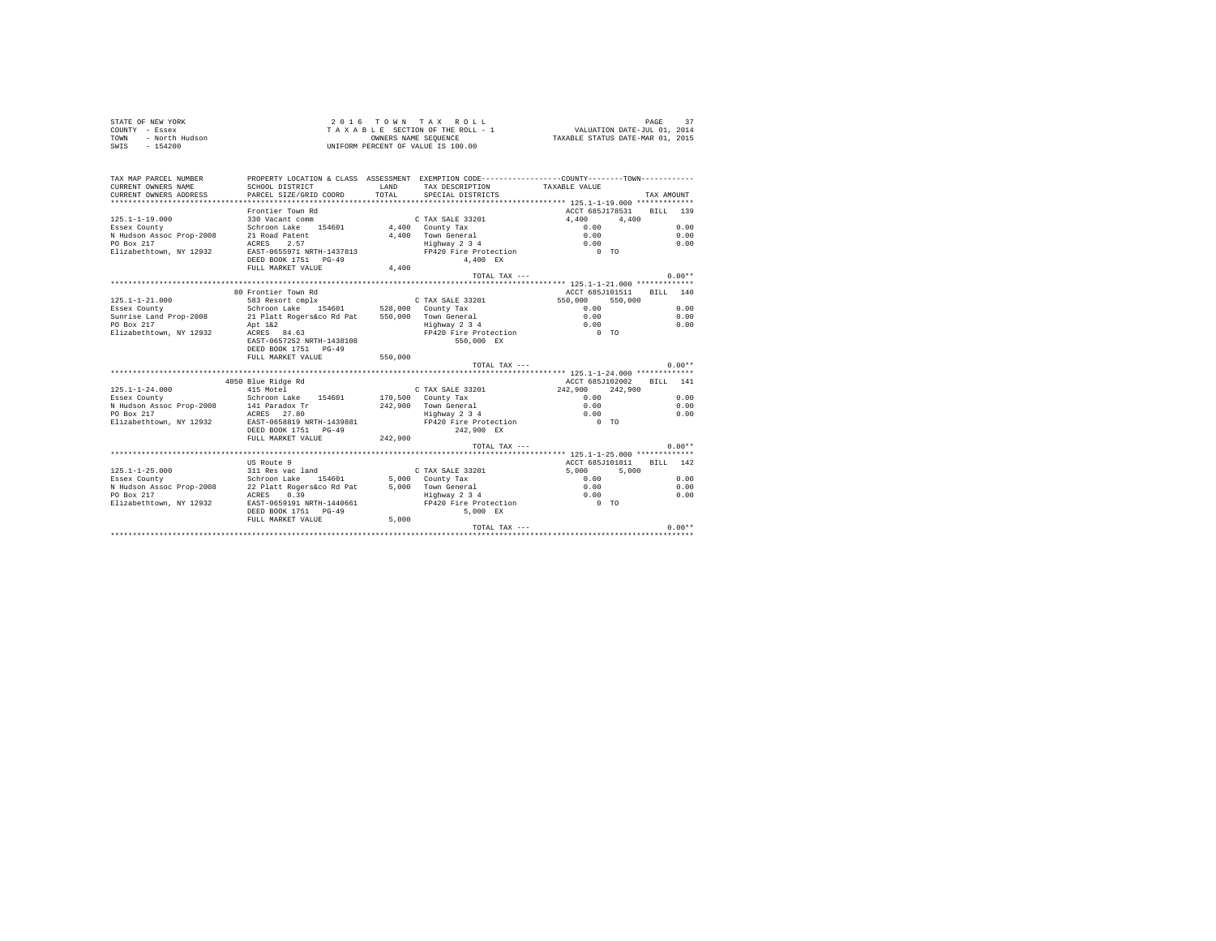| STATE OF NEW YORK      | 2016 TOWN TAX ROLL                 | PAGE                             |
|------------------------|------------------------------------|----------------------------------|
| COUNTY - Essex         | TAXABLE SECTION OF THE ROLL - 1    | VALUATION DATE-JUL 01, 2014      |
| - North Hudson<br>TOWN | OWNERS NAME SEOUENCE               | TAXABLE STATUS DATE-MAR 01, 2015 |
| $-154200$<br>SWIS      | UNIFORM PERCENT OF VALUE IS 100.00 |                                  |

| TAX MAP PARCEL NUMBER<br>CURRENT OWNERS NAME<br>CURRENT OWNERS ADDRESS | SCHOOL DISTRICT<br>PARCEL SIZE/GRID COORD                                                                                                                                   | LAND<br>TOTAL. | TAX DESCRIPTION TAXABLE VALUE<br>SPECIAL DISTRICTS | PROPERTY LOCATION & CLASS ASSESSMENT EXEMPTION CODE----------------COUNTY-------TOWN---------- | TAX AMOUNT |
|------------------------------------------------------------------------|-----------------------------------------------------------------------------------------------------------------------------------------------------------------------------|----------------|----------------------------------------------------|------------------------------------------------------------------------------------------------|------------|
|                                                                        |                                                                                                                                                                             |                |                                                    |                                                                                                |            |
|                                                                        | Frontier Town Rd                                                                                                                                                            |                |                                                    | ACCT 685J178531 BILL 139                                                                       |            |
| $125.1 - 1 - 19.000$                                                   | 330 Vacant comm                                                                                                                                                             |                | C TAX SALE 33201                                   | 4,400 4,400                                                                                    |            |
| Essex County                                                           | Schroon Lake 154601 4,400 County Tax                                                                                                                                        |                |                                                    | 0.00                                                                                           | 0.00       |
| N Hudson Assoc Prop-2008                                               | 21 Road Patent<br>ACRES 2.57                                                                                                                                                |                | 4.400 Town General                                 | 0.00                                                                                           | 0.00       |
| PO Box 217                                                             | ACRES 2.57                                                                                                                                                                  |                | Town General<br>Highway 2 3 4                      | 0.00                                                                                           | 0.00       |
| Elizabethtown, NY 12932                                                | EAST-0655971 NRTH-1437813                                                                                                                                                   |                | FP420 Fire Protection 0 TO                         |                                                                                                |            |
|                                                                        | DEED BOOK 1751 PG-49                                                                                                                                                        |                | 4.400 EX                                           |                                                                                                |            |
|                                                                        | FULL MARKET VALUE                                                                                                                                                           | 4,400          |                                                    |                                                                                                |            |
|                                                                        |                                                                                                                                                                             |                | TOTAL TAX ---                                      |                                                                                                | $0.00**$   |
|                                                                        | 80 Frontier Town Rd                                                                                                                                                         |                |                                                    | ACCT 685J101511                                                                                | BILL 140   |
| $125.1 - 1 - 21.000$                                                   | 583 Resort cmplx                                                                                                                                                            |                |                                                    | 550,000 550,000                                                                                |            |
| Essex County                                                           |                                                                                                                                                                             |                |                                                    | 0.00                                                                                           | 0.00       |
| Sunrise Land Prop-2008                                                 | 21 Platt Rogers&co Rd Pat 550,000 Town General                                                                                                                              |                |                                                    | 0.00                                                                                           | 0.00       |
| PO Box 217                                                             | Apt 1&2                                                                                                                                                                     |                |                                                    |                                                                                                | 0.00       |
| Elizabethtown, NY 12932                                                | ACRES 84.63                                                                                                                                                                 |                | Highway 2 3 4<br>FP420 Fire Protection             | $\begin{matrix} 0 & 0 & 0 \\ 0 & 0 & 0 \end{matrix}$                                           |            |
|                                                                        | EAST-0657252 NRTH-1438108                                                                                                                                                   |                | 550,000 EX                                         |                                                                                                |            |
|                                                                        | DEED BOOK 1751 PG-49                                                                                                                                                        |                |                                                    |                                                                                                |            |
|                                                                        | FULL MARKET VALUE                                                                                                                                                           | 550,000        |                                                    |                                                                                                |            |
|                                                                        |                                                                                                                                                                             |                | TOTAL TAX ---                                      |                                                                                                | $0.00**$   |
|                                                                        |                                                                                                                                                                             |                |                                                    |                                                                                                |            |
|                                                                        | 4050 Blue Ridge Rd                                                                                                                                                          |                |                                                    | ACCT 685J102002                                                                                | RTT.T. 141 |
| $125.1 - 1 - 24.000$                                                   | 415 Motel                                                                                                                                                                   |                |                                                    | C TAX SALE 33201 242,900 242,900                                                               |            |
| Essex County                                                           | Schroon Lake 154601                                                                                                                                                         |                | 170,500 County Tax                                 | 0.00                                                                                           | 0.00       |
| N Hudson Assoc Prop-2008 141 Paradox Tr                                |                                                                                                                                                                             |                | 242,900 Town General                               | 0.00                                                                                           | 0.00       |
| PO Box 217                                                             | ACRES 27.80<br>EAST-0658819 NRTH-1439881                                                                                                                                    |                | Highway 2 3 4                                      | 0.00                                                                                           | 0.00       |
| Elizabethtown, NY 12932                                                |                                                                                                                                                                             |                | FP420 Fire Protection                              | $0$ TO                                                                                         |            |
|                                                                        | DEED BOOK 1751 PG-49                                                                                                                                                        |                | 242.900 EX                                         |                                                                                                |            |
|                                                                        | FULL MARKET VALUE                                                                                                                                                           | 242,900        | TOTAL TAX $---$                                    |                                                                                                | $0.00**$   |
|                                                                        |                                                                                                                                                                             |                |                                                    |                                                                                                |            |
|                                                                        | US Route 9                                                                                                                                                                  |                |                                                    | ACCT 685J101811                                                                                | BILL 142   |
| $125.1 - 1 - 25.000$                                                   | 311 Res vac land                                                                                                                                                            |                | C TAX SALE 33201                                   | 5,000<br>5,000                                                                                 |            |
| Essex County                                                           | Schroon Lake 154601 5,000 County Tax                                                                                                                                        |                |                                                    | 0.00                                                                                           | 0.00       |
| N Hudson Assoc Prop-2008                                               |                                                                                                                                                                             |                |                                                    |                                                                                                | 0.00       |
| PO Box 217                                                             |                                                                                                                                                                             |                |                                                    |                                                                                                | 0.00       |
| Elizabethtown, NY 12932                                                | 22 Platt Rogers&co Rd Pat 5,000 Town General 0.00<br>ACRES 0.39 19:00 Highway 234 0.00<br>EAST-0659191 NRTH-1440661 FP420 Pire Protection 0 TO<br>EAST-0659191 NRTH-1440661 |                |                                                    |                                                                                                |            |
|                                                                        | DEED BOOK 1751 PG-49                                                                                                                                                        |                | 5.000 EX                                           |                                                                                                |            |
|                                                                        | FULL MARKET VALUE                                                                                                                                                           | 5,000          |                                                    |                                                                                                |            |
|                                                                        |                                                                                                                                                                             |                | TOTAL TAX ---                                      |                                                                                                | $0.00**$   |
|                                                                        |                                                                                                                                                                             |                |                                                    |                                                                                                |            |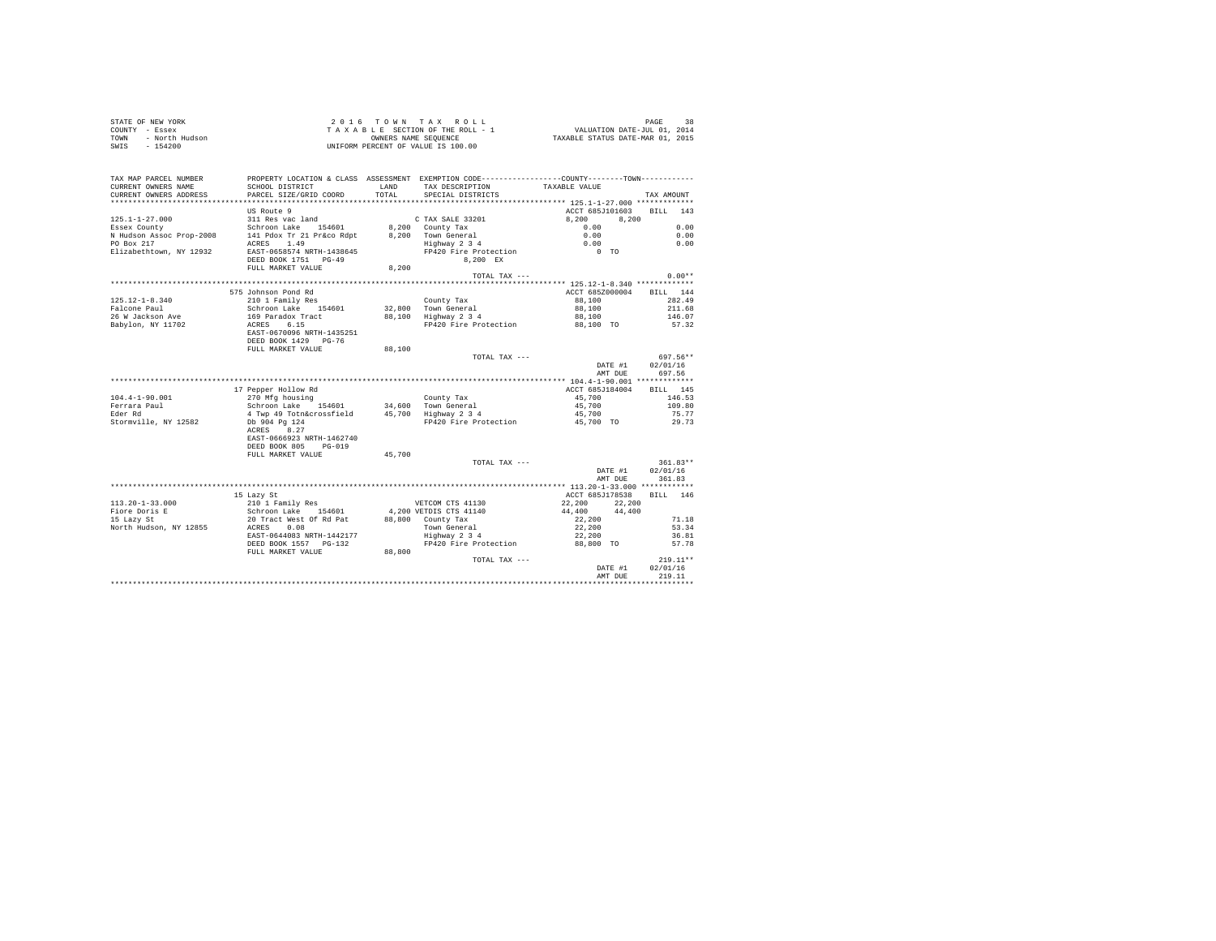|      | STATE OF NEW YORK | 2016 TOWN TAX ROLL                 | 38<br>PAGE                       |  |
|------|-------------------|------------------------------------|----------------------------------|--|
|      | COUNTY - Essex    | TAXABLE SECTION OF THE ROLL - 1    | VALUATION DATE-JUL 01, 2014      |  |
| TOWN | - North Hudson    | OWNERS NAME SEOUENCE               | TAXABLE STATUS DATE-MAR 01, 2015 |  |
| SWIS | - 154200          | UNIFORM PERCENT OF VALUE IS 100.00 |                                  |  |

| TAX MAP PARCEL NUMBER<br>CURRENT OWNERS NAME<br>CURRENT OWNERS ADDRESS | PROPERTY LOCATION & CLASS ASSESSMENT EXEMPTION CODE---------------COUNTY-------TOWN---------<br>SCHOOL DISTRICT<br>PARCEL SIZE/GRID COORD | LAND<br>TOTAL | TAX DESCRIPTION<br>SPECIAL DISTRICTS        | TAXABLE VALUE   | TAX AMOUNT |
|------------------------------------------------------------------------|-------------------------------------------------------------------------------------------------------------------------------------------|---------------|---------------------------------------------|-----------------|------------|
|                                                                        |                                                                                                                                           |               |                                             |                 |            |
|                                                                        | US Route 9                                                                                                                                |               |                                             | ACCT 685J101603 | BILL 143   |
| $125.1 - 1 - 27.000$                                                   | 311 Res vac land                                                                                                                          |               | C TAX SALE 33201                            | 8,200<br>8.200  |            |
| Essex County                                                           | Schroon Lake 154601                                                                                                                       |               | 8,200 County Tax                            | 0.00            | 0.00       |
| N Hudson Assoc Prop-2008                                               | 141 Pdox Tr 21 Pr&co Rdpt                                                                                                                 |               | 8.200 Town General                          | 0.00            | 0.00       |
| PO Box 217                                                             | ACRES 1.49                                                                                                                                |               | Highway 2 3 4<br>FP420 Fire Protection      | 0.00            | 0.00       |
| Elizabethtown, NY 12932                                                | EAST-0658574 NRTH-1438645                                                                                                                 |               |                                             | $0$ TO          |            |
|                                                                        | DEED BOOK 1751 PG-49                                                                                                                      |               | 8.200 EX                                    |                 |            |
|                                                                        | FULL MARKET VALUE                                                                                                                         | 8,200         |                                             |                 |            |
|                                                                        |                                                                                                                                           |               | TOTAL TAX ---                               |                 | $0.00**$   |
|                                                                        |                                                                                                                                           |               |                                             |                 |            |
|                                                                        | 575 Johnson Pond Rd                                                                                                                       |               |                                             | ACCT 685Z000004 | BILL 144   |
| $125.12 - 1 - 8.340$                                                   | 210 1 Family Res                                                                                                                          |               | County Tax                                  | 88,100          | 282.49     |
| Falcone Paul                                                           | Schroon Lake 154601                                                                                                                       |               | 32.800 Town General<br>88,100 Highway 2 3 4 | 88,100          | 211.68     |
| 26 W Jackson Ave                                                       | 169 Paradox Tract<br>6.15                                                                                                                 |               |                                             | 88,100          | 146.07     |
| Babylon, NY 11702                                                      | ACRES                                                                                                                                     |               | FP420 Fire Protection                       | 88,100 TO       | 57.32      |
|                                                                        | EAST-0670096 NRTH-1435251<br>DEED BOOK 1429 PG-76                                                                                         |               |                                             |                 |            |
|                                                                        | FULL MARKET VALUE                                                                                                                         | 88,100        |                                             |                 |            |
|                                                                        |                                                                                                                                           |               | TOTAL TAX ---                               |                 | 697.56**   |
|                                                                        |                                                                                                                                           |               |                                             | DATE #1         | 02/01/16   |
|                                                                        |                                                                                                                                           |               |                                             | AMT DUE         | 697.56     |
|                                                                        |                                                                                                                                           |               |                                             |                 |            |
|                                                                        | 17 Pepper Hollow Rd                                                                                                                       |               |                                             | ACCT 685J184004 | BILL 145   |
| $104.4 - 1 - 90.001$                                                   | 270 Mfg housing                                                                                                                           |               | County Tax                                  | 45,700          | 146.53     |
| Ferrara Paul                                                           | Schroon Lake 154601                                                                                                                       |               | 34,600 Town General                         | 45,700          | 109.80     |
| Eder Rd                                                                | 4 Twp 49 Totn&crossfield                                                                                                                  |               | 45,700 Highway 2 3 4                        | 45,700          | 75.77      |
| Stormville, NY 12582                                                   | Db 904 Pg 124                                                                                                                             |               | FP420 Fire Protection 45,700 TO             |                 | 29.73      |
|                                                                        | ACRES 8.27                                                                                                                                |               |                                             |                 |            |
|                                                                        | EAST-0666923 NRTH-1462740                                                                                                                 |               |                                             |                 |            |
|                                                                        | DEED BOOK 805 PG-019                                                                                                                      |               |                                             |                 |            |
|                                                                        | FULL MARKET VALUE                                                                                                                         | 45,700        |                                             |                 |            |
|                                                                        |                                                                                                                                           |               | TOTAL TAX ---                               |                 | 361.83**   |
|                                                                        |                                                                                                                                           |               |                                             | DATE #1         | 02/01/16   |
|                                                                        |                                                                                                                                           |               |                                             | AMT DUE         | 361.83     |
|                                                                        |                                                                                                                                           |               |                                             |                 |            |
|                                                                        | 15 Lazy St                                                                                                                                |               |                                             | ACCT 685J178538 | RTT.T. 146 |
| $113.20 - 1 - 33.000$                                                  | 210 1 Family Res                                                                                                                          |               | VETCOM CTS 41130                            | 22,200 22,200   |            |
| Fiore Doris E                                                          |                                                                                                                                           |               | 4,200 VETDIS CTS 41140                      | 44,400 44,400   |            |
| 15 Lazy St                                                             | Schroon Lake 154601<br>20 Tract West Of Rd Pat                                                                                            |               | 88,800 County Tax                           | 22,200          | 71.18      |
| North Hudson, NY 12855                                                 | ACRES 0.08                                                                                                                                |               | Town General                                | 22,200          | 53.34      |
|                                                                        | EAST-0644083 NRTH-1442177                                                                                                                 |               | $Highway$ 2 3 4                             | 22,200          | 36.81      |
|                                                                        | DEED BOOK 1557 PG-132                                                                                                                     |               | FP420 Fire Protection 88,800 TO             |                 | 57.78      |
|                                                                        | FULL MARKET VALUE                                                                                                                         | 88,800        |                                             |                 |            |
|                                                                        |                                                                                                                                           |               | $TOTAI. TAX - - -$                          |                 | $219.11**$ |
|                                                                        |                                                                                                                                           |               |                                             | DATE #1         | 02/01/16   |
|                                                                        |                                                                                                                                           |               |                                             | AMT DUE         | 219.11     |
|                                                                        |                                                                                                                                           |               |                                             |                 |            |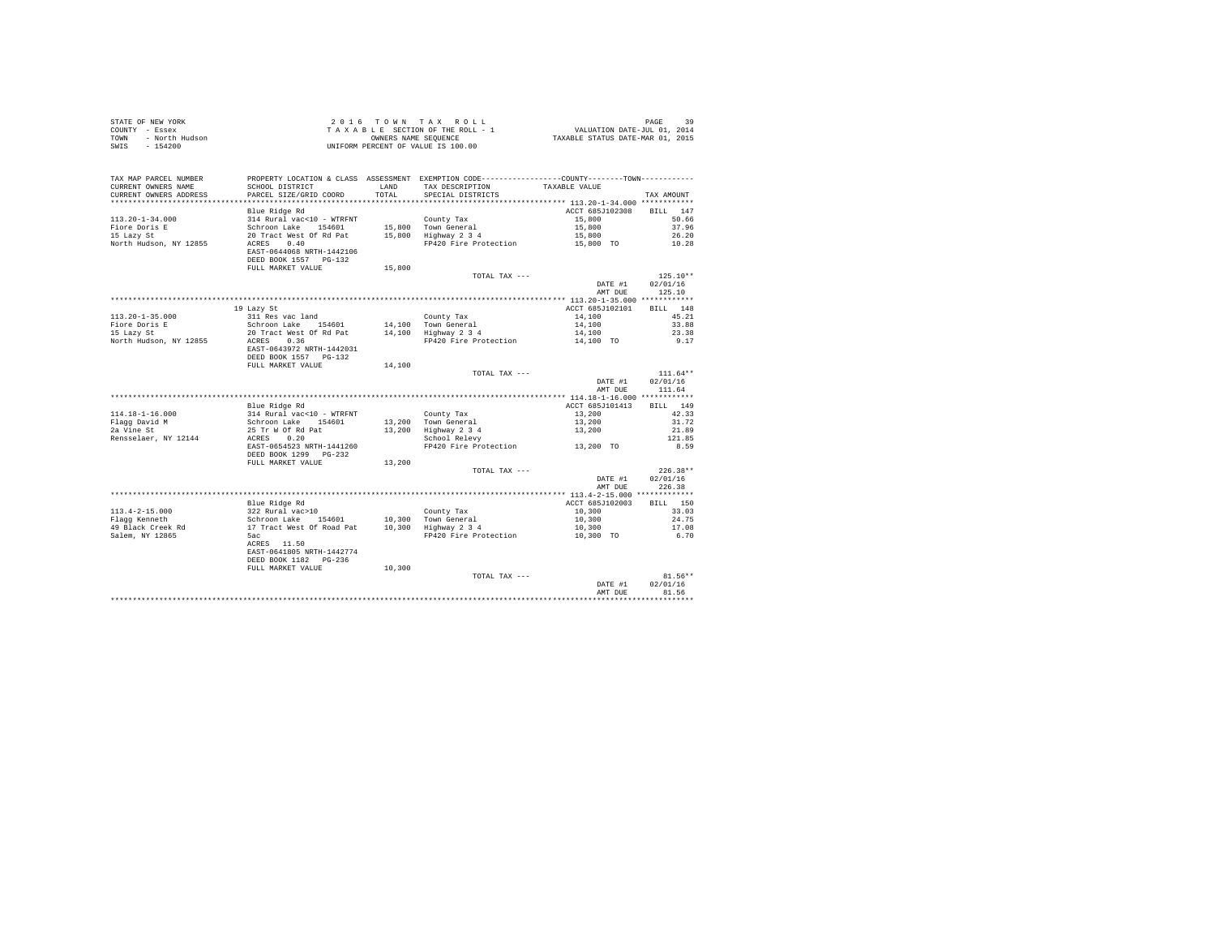| STATE OF NEW YORK      | 2016 TOWN TAX ROLL                 | PAGE                             |
|------------------------|------------------------------------|----------------------------------|
| COUNTY - Essex         | TAXABLE SECTION OF THE ROLL - 1    | VALUATION DATE-JUL 01, 2014      |
| TOWN<br>- North Hudson | OWNERS NAME SEOUENCE               | TAXABLE STATUS DATE-MAR 01, 2015 |
| - 154200<br>SWIS       | UNIFORM PERCENT OF VALUE IS 100.00 |                                  |

|                          | FULL MARKET VALUE                                  |        | TOTAL TAX ---                                                                                 | DATE #1         | $81.56**$<br>02/01/16 |
|--------------------------|----------------------------------------------------|--------|-----------------------------------------------------------------------------------------------|-----------------|-----------------------|
|                          |                                                    | 10,300 |                                                                                               |                 |                       |
|                          | EAST-0641805 NRTH-1442774<br>DEED BOOK 1182 PG-236 |        |                                                                                               |                 |                       |
| Salem, NY 12865          | 5ac<br>ACRES 11.50                                 |        | FP420 Fire Protection                                                                         | 10,300 TO       | 6.70                  |
| 49 Black Creek Rd        | 17 Tract West Of Road Pat                          |        | 10,300 Highway 2 3 4                                                                          | 10,300          | 17.08                 |
| Flagg Kenneth            | Schroon Lake<br>154601                             | 10,300 | Town General                                                                                  | 10,300          | 24.75                 |
| $113.4 - 2 - 15.000$     | 322 Rural vac>10                                   |        | County Tax                                                                                    | 10,300          | 33.03                 |
|                          | Blue Ridge Rd                                      |        |                                                                                               | ACCT 685J102003 | 150<br>BILL           |
|                          |                                                    |        |                                                                                               |                 |                       |
|                          |                                                    |        |                                                                                               | AMT DUE         | 226.38                |
|                          |                                                    |        |                                                                                               | DATE #1         | 02/01/16              |
|                          |                                                    |        | TOTAL TAX ---                                                                                 |                 | $226.38**$            |
|                          | FULL MARKET VALUE                                  | 13,200 |                                                                                               |                 |                       |
|                          | DEED BOOK 1299 PG-232                              |        |                                                                                               |                 |                       |
|                          | EAST-0654523 NRTH-1441260                          |        | FP420 Fire Protection                                                                         | 13,200 TO       | 8.59                  |
| Rensselaer, NY 12144     | ACRES<br>0.20                                      |        | School Relevy                                                                                 |                 | 121.85                |
| 2a Vine St               | 25 Tr W Of Rd Pat                                  | 13,200 | Highway 2 3 4                                                                                 | 13,200          | 21.89                 |
| Flagg David M            | Schroon Lake 154601                                |        | 13,200 Town General                                                                           | 13,200          | 31.72                 |
| $114.18 - 1 - 16.000$    | 314 Rural vac<10 - WTRFNT                          |        | County Tax                                                                                    | 13,200          | 42.33                 |
|                          | Blue Ridge Rd                                      |        |                                                                                               | ACCT 685J101413 | <b>BILL</b><br>149    |
|                          |                                                    |        |                                                                                               |                 |                       |
|                          |                                                    |        |                                                                                               | AMT DUE         | 111.64                |
|                          |                                                    |        |                                                                                               | DATE #1         | 02/01/16              |
|                          |                                                    |        | TOTAL TAX ---                                                                                 |                 | $111.64**$            |
|                          | FULL MARKET VALUE                                  | 14,100 |                                                                                               |                 |                       |
|                          | DEED BOOK 1557 PG-132                              |        |                                                                                               |                 |                       |
|                          | EAST-0643972 NRTH-1442031                          |        |                                                                                               |                 |                       |
| North Hudson, NY 12855   | 0.36<br>ACRES                                      |        | FP420 Fire Protection                                                                         | 14,100 TO       | 9.17                  |
| 15 Lazy St               | 20 Tract West Of Rd Pat                            |        | 14,100 Highway 2 3 4                                                                          | 14,100          | 23.38                 |
| Fiore Doris E            | Schroon Lake 154601                                |        | 14.100 Town General                                                                           | 14,100          | 33.88                 |
| $113.20 - 1 - 35.000$    | 311 Res vac land                                   |        | County Tax                                                                                    | 14,100          | 45.21                 |
|                          | 19 Lazy St                                         |        |                                                                                               | ACCT 685J102101 | BILL 148              |
|                          |                                                    |        |                                                                                               | AMT DUE         |                       |
|                          |                                                    |        |                                                                                               | DATE #1         | 02/01/16<br>125.10    |
|                          |                                                    |        | TOTAL TAX $---$                                                                               |                 | $125.10**$            |
|                          | FULL MARKET VALUE                                  | 15,800 |                                                                                               |                 |                       |
|                          | DEED BOOK 1557 PG-132                              |        |                                                                                               |                 |                       |
|                          | EAST-0644068 NRTH-1442106                          |        |                                                                                               |                 |                       |
| North Hudson, NY 12855   | 0.40<br>ACRES                                      |        | FP420 Fire Protection                                                                         | 15,800 TO       | 10.28                 |
| 15 Lazy St               | 20 Tract West Of Rd Pat                            |        | 15,800 Highway 2 3 4                                                                          | 15,800          | 26.20                 |
| Fiore Doris E            | Schroon Lake 154601                                |        | 15,800 Town General                                                                           | 15,800          | 37.96                 |
| $113.20 - 1 - 34.000$    | 314 Rural vac<10 - WTRFNT                          |        | County Tax                                                                                    | 15,800          | 50.66                 |
|                          | Blue Ridge Rd                                      |        |                                                                                               | ACCT 685J102308 | 147<br><b>BILL</b>    |
| ************************ |                                                    |        |                                                                                               |                 |                       |
| CURRENT OWNERS ADDRESS   | PARCEL SIZE/GRID COORD                             | TOTAL  | SPECIAL DISTRICTS                                                                             |                 | TAX AMOUNT            |
| CURRENT OWNERS NAME      | SCHOOL DISTRICT                                    | LAND   | TAX DESCRIPTION                                                                               | TAXABLE VALUE   |                       |
| TAX MAP PARCEL NUMBER    |                                                    |        | PROPERTY LOCATION & CLASS ASSESSMENT EXEMPTION CODE---------------COUNTY-------TOWN---------- |                 |                       |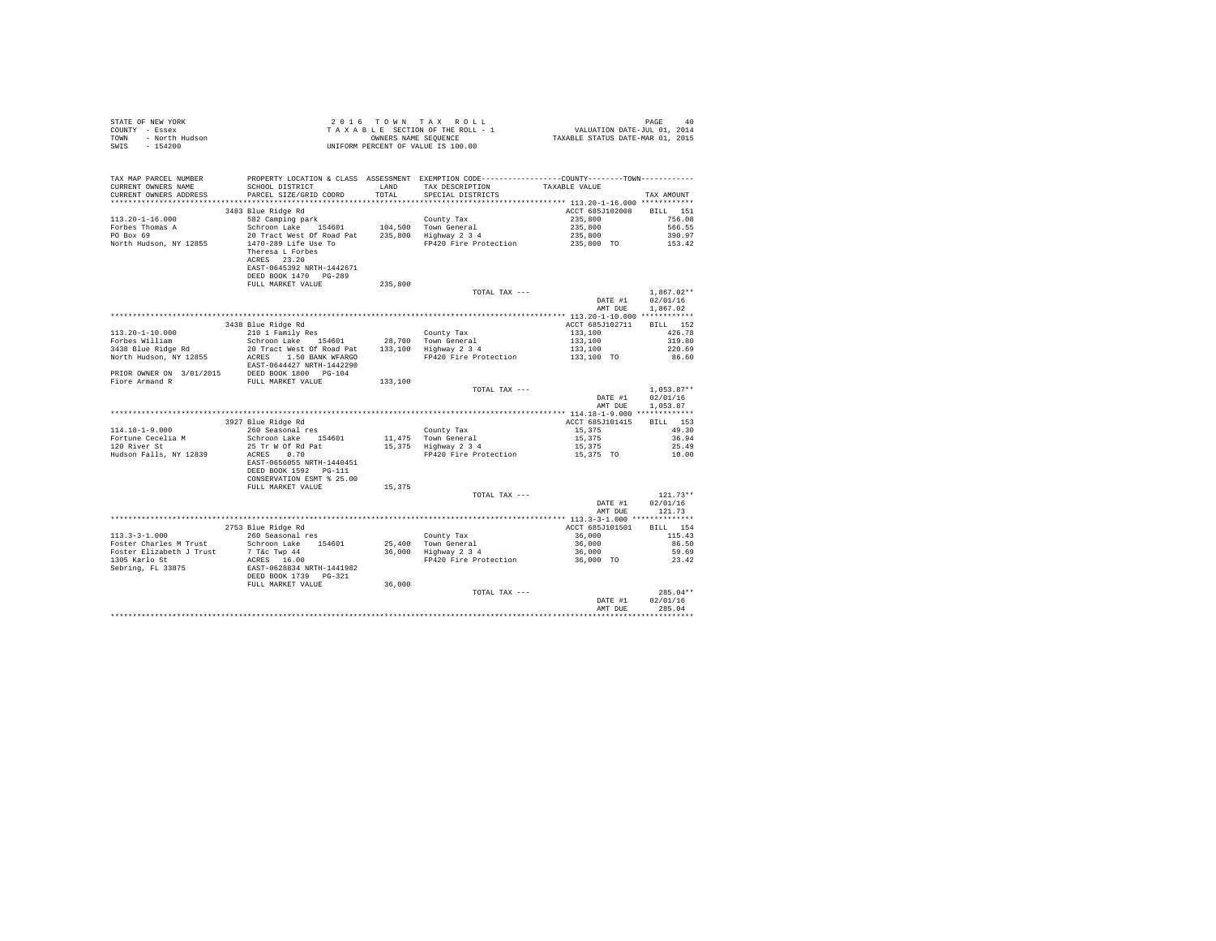| STATE OF NEW YORK      | 2016 TOWN TAX ROLL                 | PAGE<br>40                       |
|------------------------|------------------------------------|----------------------------------|
| COUNTY - Essex         | TAXABLE SECTION OF THE ROLL - 1    | VALUATION DATE-JUL 01, 2014      |
| TOWN<br>- North Hudson | OWNERS NAME SEOUENCE               | TAXABLE STATUS DATE-MAR 01, 2015 |
| $-154200$<br>SWIS      | UNIFORM PERCENT OF VALUE IS 100.00 |                                  |

| TAX MAP PARCEL NUMBER<br>CURRENT OWNERS NAME<br>CURRENT OWNERS ADDRESS          | SCHOOL DISTRICT<br>PARCEL SIZE/GRID COORD                                                                                                                | LAND<br>TOTAL | PROPERTY LOCATION & CLASS ASSESSMENT EXEMPTION CODE---------------COUNTY-------TOWN---------<br>TAX DESCRIPTION<br>SPECIAL DISTRICTS | TAXABLE VALUE                                                  | TAX AMOUNT                                                 |
|---------------------------------------------------------------------------------|----------------------------------------------------------------------------------------------------------------------------------------------------------|---------------|--------------------------------------------------------------------------------------------------------------------------------------|----------------------------------------------------------------|------------------------------------------------------------|
| ***********************                                                         |                                                                                                                                                          |               |                                                                                                                                      |                                                                |                                                            |
| $113.20 - 1 - 16.000$<br>Forbes Thomas A<br>PO Box 69<br>North Hudson, NY 12855 | 3483 Blue Ridge Rd<br>582 Camping park<br>Schroon Lake<br>154601<br>20 Tract West Of Road Pat<br>1470-289 Life Use To<br>Theresa L Forbes<br>ACRES 23.20 | 235,800       | County Tax<br>104,500 Town General<br>Highway 2 3 4<br>FP420 Fire Protection                                                         | ACCT 685J102008<br>235,800<br>235,800<br>235,800<br>235,800 TO | <b>BILL</b><br>151<br>756.08<br>566.55<br>390.97<br>153.42 |
|                                                                                 | EAST-0645392 NRTH-1442671<br>DEED BOOK 1470 PG-289<br>FULL MARKET VALUE                                                                                  | 235,800       | TOTAL TAX ---                                                                                                                        |                                                                | $1,867.02**$                                               |
|                                                                                 |                                                                                                                                                          |               |                                                                                                                                      | DATE #1                                                        | 02/01/16                                                   |
|                                                                                 |                                                                                                                                                          |               |                                                                                                                                      | AMT DUE                                                        | 1.867.02                                                   |
|                                                                                 |                                                                                                                                                          |               |                                                                                                                                      |                                                                |                                                            |
|                                                                                 | 3438 Blue Ridge Rd                                                                                                                                       |               |                                                                                                                                      | ACCT 685J102711                                                | BILL 152                                                   |
| $113.20 - 1 - 10.000$                                                           | 210 1 Family Res                                                                                                                                         |               | County Tax                                                                                                                           | 133,100                                                        | 426.78                                                     |
| Forbes William                                                                  | Schroon Lake<br>154601                                                                                                                                   | 28,700        | Town General                                                                                                                         | 133,100                                                        | 319.80                                                     |
| 3438 Blue Ridge Rd                                                              | 20 Tract West Of Road Pat                                                                                                                                | 133,100       | Highway 2 3 4                                                                                                                        | 133,100                                                        | 220.69                                                     |
| North Hudson, NY 12855                                                          | ACRES<br>1,50 BANK WFARGO<br>EAST-0644427 NRTH-1442290                                                                                                   |               | FP420 Fire Protection                                                                                                                | 133,100 TO                                                     | 86.60                                                      |
| PRIOR OWNER ON 3/01/2015                                                        | DEED BOOK 1800 PG-104                                                                                                                                    |               |                                                                                                                                      |                                                                |                                                            |
| Fiore Armand R                                                                  | FULL MARKET VALUE                                                                                                                                        | 133,100       |                                                                                                                                      |                                                                |                                                            |
|                                                                                 |                                                                                                                                                          |               | TOTAL TAX ---                                                                                                                        |                                                                | $1.053.87**$                                               |
|                                                                                 |                                                                                                                                                          |               |                                                                                                                                      | DATE #1                                                        | 02/01/16                                                   |
|                                                                                 |                                                                                                                                                          |               |                                                                                                                                      | AMT DUE                                                        | 1,053.87                                                   |
|                                                                                 |                                                                                                                                                          |               |                                                                                                                                      |                                                                |                                                            |
|                                                                                 | 3927 Blue Ridge Rd                                                                                                                                       |               |                                                                                                                                      | ACCT 685J101415                                                | <b>BILL</b><br>153                                         |
| $114.18 - 1 - 9.000$                                                            | 260 Seasonal res                                                                                                                                         |               | County Tax                                                                                                                           | 15,375                                                         | 49.30                                                      |
| Fortune Cecelia M                                                               | Schroon Lake<br>154601                                                                                                                                   | 11,475        | Town General                                                                                                                         | 15,375                                                         | 36.94                                                      |
| 120 River St                                                                    | 25 Tr W Of Rd Pat                                                                                                                                        | 15,375        | Highway 2 3 4                                                                                                                        | 15,375                                                         | 25.49                                                      |
| Hudson Falls, NY 12839                                                          | 0.70<br>ACRES<br>EAST-0656055 NRTH-1440451<br>DEED BOOK 1592 PG-111<br>CONSERVATION ESMT % 25.00                                                         |               | FP420 Fire Protection                                                                                                                | 15,375 TO                                                      | 10.00                                                      |
|                                                                                 | FULL MARKET VALUE                                                                                                                                        | 15,375        |                                                                                                                                      |                                                                |                                                            |
|                                                                                 |                                                                                                                                                          |               | TOTAL TAX ---                                                                                                                        | DATE #1                                                        | $121.73**$<br>02/01/16                                     |
|                                                                                 |                                                                                                                                                          |               |                                                                                                                                      | AMT DUE                                                        | 121.73                                                     |
|                                                                                 |                                                                                                                                                          |               |                                                                                                                                      |                                                                |                                                            |
|                                                                                 | 2753 Blue Ridge Rd                                                                                                                                       |               |                                                                                                                                      | ACCT 685J101501                                                | BILL 154                                                   |
| $113.3 - 3 - 1.000$                                                             | 260 Seasonal res                                                                                                                                         |               | County Tax                                                                                                                           | 36,000                                                         | 115.43                                                     |
| Foster Charles M Trust                                                          | 154601<br>Schroon Lake                                                                                                                                   | 25,400        | Town General                                                                                                                         | 36,000                                                         | 86.50                                                      |
| Foster Elizabeth J Trust                                                        | 7 T&c Twp 44                                                                                                                                             | 36,000        | Highway 2 3 4                                                                                                                        | 36,000                                                         | 59.69                                                      |
| 1305 Karlo St                                                                   | ACRES 16.00                                                                                                                                              |               | FP420 Fire Protection                                                                                                                | 36,000 TO                                                      | 23.42                                                      |
| Sebring, FL 33875                                                               | EAST-0628834 NRTH-1441982<br>DEED BOOK 1739<br>$PG - 321$                                                                                                |               |                                                                                                                                      |                                                                |                                                            |
|                                                                                 | FULL MARKET VALUE                                                                                                                                        | 36,000        |                                                                                                                                      |                                                                |                                                            |
|                                                                                 |                                                                                                                                                          |               | TOTAL TAX ---                                                                                                                        |                                                                | $285.04**$                                                 |
|                                                                                 |                                                                                                                                                          |               |                                                                                                                                      | DATE #1<br>AMT DUE                                             | 02/01/16<br>285.04                                         |
|                                                                                 |                                                                                                                                                          |               |                                                                                                                                      |                                                                |                                                            |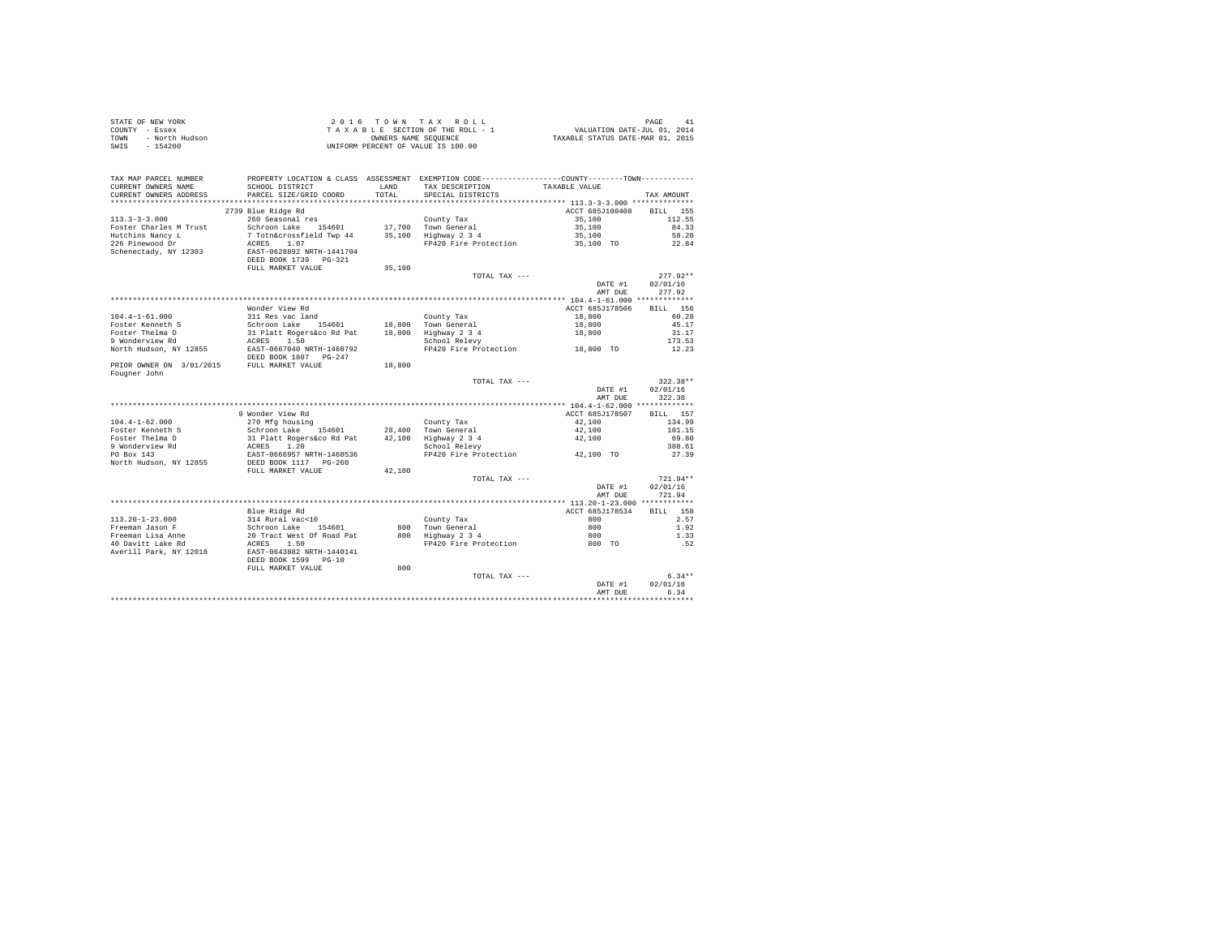| STATE OF NEW YORK      | 2016 TOWN TAX ROLL                 | PAGE                             |
|------------------------|------------------------------------|----------------------------------|
| COUNTY - Essex         | TAXABLE SECTION OF THE ROLL - 1    | VALUATION DATE-JUL 01, 2014      |
| TOWN<br>- North Hudson | OWNERS NAME SEOUENCE               | TAXABLE STATUS DATE-MAR 01, 2015 |
| - 154200<br>SWIS       | UNIFORM PERCENT OF VALUE IS 100.00 |                                  |

| TAX MAP PARCEL NUMBER<br>CURRENT OWNERS NAME<br>CURRENT OWNERS ADDRESS | PROPERTY LOCATION & CLASS ASSESSMENT EXEMPTION CODE---------------COUNTY-------TOWN---------<br>SCHOOL DISTRICT<br>PARCEL SIZE/GRID COORD | LAND<br>TOTAL    | TAX DESCRIPTION<br>SPECIAL DISTRICTS                                | TAXABLE VALUE                             | TAX AMOUNT                            |
|------------------------------------------------------------------------|-------------------------------------------------------------------------------------------------------------------------------------------|------------------|---------------------------------------------------------------------|-------------------------------------------|---------------------------------------|
| *********************                                                  | **************************                                                                                                                | .                | ************************************** 113.3-3-3.000 ************** |                                           |                                       |
| $113.3 - 3 - 3.000$<br>Foster Charles M Trust                          | 2739 Blue Ridge Rd<br>260 Seasonal res<br>Schroon Lake 154601                                                                             |                  | County Tax<br>17,700 Town General                                   | ACCT 685J100408<br>35,100<br>35,100       | <b>BILL</b><br>155<br>112.55<br>84.33 |
| Hutchins Nancy L<br>226 Pinewood Dr<br>Schenectady, NY 12303           | 7 Totn&crossfield Twp 44<br>1.07<br>ACRES<br>EAST-0628892 NRTH-1441704<br>DEED BOOK 1739 PG-321<br>FULL MARKET VALUE                      | 35,100<br>35,100 | Highway 2 3 4<br>FP420 Fire Protection                              | 35,100<br>35,100 TO                       | 58.20<br>22.84                        |
|                                                                        |                                                                                                                                           |                  | TOTAL TAX $---$                                                     |                                           | $277.92**$                            |
|                                                                        |                                                                                                                                           |                  |                                                                     | DATE #1<br>AMT DUE                        | 02/01/16<br>277.92                    |
|                                                                        |                                                                                                                                           |                  |                                                                     | ************ 104.4-1-61.000 ************* |                                       |
|                                                                        | Wonder View Rd                                                                                                                            |                  |                                                                     | ACCT 685J178506                           | 156<br>BILL                           |
| $104.4 - 1 - 61.000$                                                   | 311 Res vac land                                                                                                                          | 18,800           | County Tax                                                          | 18,800                                    | 60.28                                 |
| Foster Kenneth S<br>Foster Thelma D                                    | Schroon Lake<br>154601                                                                                                                    | 18,800           | Town General                                                        | 18,800<br>18,800                          | 45.17<br>31.17                        |
| 9 Wonderview Rd                                                        | 31 Platt Rogers&co Rd Pat<br>1.50<br>ACRES                                                                                                |                  | Highway 2 3 4<br>School Relevy                                      |                                           | 173.53                                |
| North Hudson, NY 12855                                                 | EAST-0667040 NRTH-1460792<br>DEED BOOK 1807 PG-247                                                                                        |                  | FP420 Fire Protection                                               | 18,800 TO                                 | 12.23                                 |
| PRIOR OWNER ON 3/01/2015<br>Fougner John                               | FULL MARKET VALUE                                                                                                                         | 18,800           |                                                                     |                                           |                                       |
|                                                                        |                                                                                                                                           |                  | TOTAL TAX ---                                                       |                                           | $322.38**$                            |
|                                                                        |                                                                                                                                           |                  |                                                                     | DATE #1                                   | 02/01/16                              |
|                                                                        |                                                                                                                                           |                  |                                                                     | AMT DUE                                   | 322.38                                |
|                                                                        |                                                                                                                                           |                  |                                                                     |                                           |                                       |
|                                                                        | 9 Wonder View Rd                                                                                                                          |                  |                                                                     | ACCT 685J178507                           | 157<br>BILL                           |
| $104.4 - 1 - 62.000$                                                   | 270 Mfg housing                                                                                                                           |                  | County Tax                                                          | 42,100                                    | 134.99                                |
| Foster Kenneth S                                                       | Schroon Lake 154601                                                                                                                       |                  | 28,400 Town General                                                 | 42,100                                    | 101.15                                |
| Foster Thelma D                                                        | 31 Platt Rogers&co Rd Pat                                                                                                                 | 42,100           | Highway 2 3 4                                                       | 42,100                                    | 69.80                                 |
| 9 Wonderview Rd                                                        | 1.20<br>ACRES                                                                                                                             |                  | School Relevy                                                       |                                           | 388.61                                |
| PO Box 143<br>North Hudson, NY 12855                                   | EAST-0666957 NRTH-1460536<br>DEED BOOK 1117 PG-260<br>FULL MARKET VALUE                                                                   | 42,100           | FP420 Fire Protection                                               | 42,100 TO                                 | 27.39                                 |
|                                                                        |                                                                                                                                           |                  | TOTAL TAX ---                                                       |                                           | 721.94**                              |
|                                                                        |                                                                                                                                           |                  |                                                                     | DATE #1<br>AMT DUE                        | 02/01/16<br>721.94                    |
|                                                                        |                                                                                                                                           |                  |                                                                     |                                           |                                       |
|                                                                        | Blue Ridge Rd                                                                                                                             |                  |                                                                     | ACCT 685J178534                           | 158<br><b>BILL</b>                    |
| $113.20 - 1 - 23.000$                                                  | 314 Rural vac<10                                                                                                                          |                  | County Tax                                                          | 800                                       | 2.57                                  |
| Freeman Jason F<br>Freeman Lisa Anne                                   | Schroon Lake<br>154601<br>20 Tract West Of Road Pat                                                                                       | 800<br>800       | Town General<br>Highway 2 3 4                                       | 800<br>800                                | 1.92<br>1.33                          |
| 40 Davitt Lake Rd                                                      | 1.50<br>ACRES                                                                                                                             |                  | FP420 Fire Protection                                               | 800 TO                                    | .52                                   |
| Averill Park, NY 12018                                                 | EAST-0643882 NRTH-1440141<br>DEED BOOK 1599<br>$PG-10$                                                                                    |                  |                                                                     |                                           |                                       |
|                                                                        | FULL MARKET VALUE                                                                                                                         | 800              |                                                                     |                                           |                                       |
|                                                                        |                                                                                                                                           |                  | TOTAL TAX ---                                                       | DATE #1<br>AMT DUE                        | $6.34**$<br>02/01/16<br>6.34          |
|                                                                        |                                                                                                                                           |                  |                                                                     |                                           |                                       |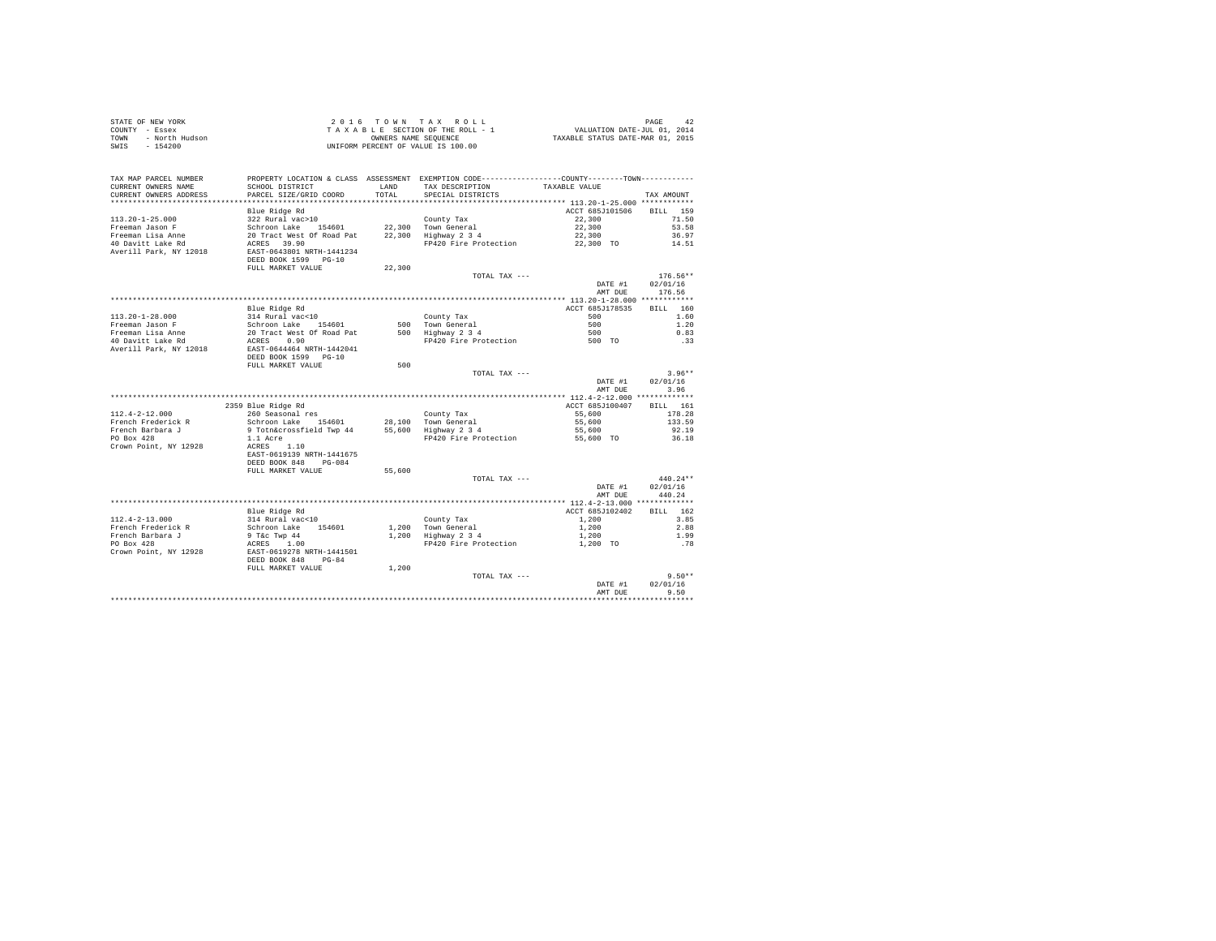| STATE OF NEW YORK<br>COUNTY - Essex<br>COUNTY - Essex<br>TOWN - North Hudson<br>SWIS - 154200 |                                                                                                                 |        | UNIFORM PERCENT OF VALUE IS 100.00                                                           |                 |                                          |
|-----------------------------------------------------------------------------------------------|-----------------------------------------------------------------------------------------------------------------|--------|----------------------------------------------------------------------------------------------|-----------------|------------------------------------------|
| TAX MAP PARCEL NUMBER                                                                         |                                                                                                                 |        | PROPERTY LOCATION & CLASS ASSESSMENT EXEMPTION CODE---------------COUNTY-------TOWN--------- |                 |                                          |
| CURRENT OWNERS NAME                                                                           | SCHOOL DISTRICT                                                                                                 | LAND   | TAX DESCRIPTION                                                                              | TAXABLE VALUE   |                                          |
| CURRENT OWNERS ADDRESS                                                                        | PARCEL SIZE/GRID COORD                                                                                          | TOTAL  | SPECIAL DISTRICTS                                                                            |                 | TAX AMOUNT                               |
|                                                                                               |                                                                                                                 |        |                                                                                              |                 |                                          |
|                                                                                               | Blue Ridge Rd                                                                                                   |        |                                                                                              | ACCT 685J101506 | BILL 159                                 |
| $113.20 - 1 - 25.000$                                                                         | 322 Rural vac>10                                                                                                |        | County Tax                                                                                   | 22,300          | 71.50                                    |
|                                                                                               | Schroon Lake 154601 22,300 Town General<br>20 Tract West Of Road Pat 22,300 Highway 2 3 4                       |        |                                                                                              | 22,300          | 53.58                                    |
| Freeman Jason F<br>Freeman Lisa Anne<br>40 Davitt Lake Rd                                     |                                                                                                                 |        |                                                                                              | 22,300          | 36.97                                    |
| Averill Park, NY 12018                                                                        | ACRES 39.90<br>EAST-0643801 NRTH-1441234<br>DEED BOOK 1599 PG-10                                                |        | FP420 Fire Protection                                                                        | 22,300 TO       | 14.51                                    |
|                                                                                               | FULL MARKET VALUE                                                                                               | 22,300 |                                                                                              |                 |                                          |
|                                                                                               |                                                                                                                 |        | TOTAL TAX ---                                                                                | DATE #1         | $176.56**$<br>02/01/16<br>AMT DUE 176.56 |
|                                                                                               |                                                                                                                 |        |                                                                                              |                 |                                          |
|                                                                                               | Blue Ridge Rd                                                                                                   |        |                                                                                              | ACCT 685J178535 | BTLL 160                                 |
|                                                                                               |                                                                                                                 |        | County Tax                                                                                   | 500             | 1.60                                     |
|                                                                                               |                                                                                                                 |        | County Tax<br>500 Town General<br>500 Highway 2 3 4                                          | 500             | 1.20                                     |
|                                                                                               |                                                                                                                 |        |                                                                                              | 500             | 0.83                                     |
|                                                                                               |                                                                                                                 |        | FP420 Fire Protection                                                                        | 500 TO          | .33                                      |
| Averill Park, NY 12018                                                                        | EAST-0644464 NRTH-1442041<br>DEED BOOK 1599 PG-10                                                               |        |                                                                                              |                 |                                          |
|                                                                                               | FULL MARKET VALUE                                                                                               | 500    |                                                                                              |                 | $3.96**$                                 |
|                                                                                               |                                                                                                                 |        | TOTAL TAX ---                                                                                | DATE #1         | 02/01/16                                 |
|                                                                                               |                                                                                                                 |        |                                                                                              | AMT DUE         | 3.96                                     |
|                                                                                               |                                                                                                                 |        |                                                                                              |                 |                                          |
|                                                                                               | 2359 Blue Ridge Rd                                                                                              |        |                                                                                              | ACCT 685J100407 | BILL 161                                 |
| $112.4 - 2 - 12.000$                                                                          | 260 Seasonal res                                                                                                |        | County Tax                                                                                   | 55,600          | 178.28                                   |
| French Frederick R                                                                            | zou seasonaries<br>Schroon Lake 154601 - 28,100 Town General<br>9 Totn&crossfield Twp 44 - 55,600 Highway 2 3 4 |        |                                                                                              | 55,600          | 133.59                                   |
| French Barbara J<br>PO Box 428                                                                |                                                                                                                 |        |                                                                                              | 55,600          | 92.19                                    |
| Crown Point, NY 12928                                                                         | $1.1$ Acre<br>ACRES $1.10$                                                                                      |        | FP420 Fire Protection                                                                        | $55,600$ TO     | 36.18                                    |
|                                                                                               | EAST-0619139 NRTH-1441675<br>DEED BOOK 848 PG-084                                                               |        |                                                                                              |                 |                                          |
|                                                                                               | FULL MARKET VALUE                                                                                               | 55,600 |                                                                                              |                 |                                          |
|                                                                                               |                                                                                                                 |        | TOTAL TAX ---                                                                                |                 | $440.24**$                               |
|                                                                                               |                                                                                                                 |        |                                                                                              | DATE #1         | 02/01/16                                 |
|                                                                                               |                                                                                                                 |        |                                                                                              | AMT DUE         | 440.24                                   |
|                                                                                               |                                                                                                                 |        |                                                                                              |                 |                                          |
|                                                                                               | Blue Ridge Rd                                                                                                   |        |                                                                                              | ACCT 685J102402 | RTLL 162                                 |
| $112.4 - 2 - 13.000$                                                                          | 314 Rural vac<10                                                                                                |        |                                                                                              | 1,200           | 3.85                                     |
| French Frederick R                                                                            | Schroon Lake 154601                                                                                             |        | County Tax<br>1,200 Town General<br>1,200 Highway 2 3 4                                      | 1,200           | 2.88                                     |
| French Barbara J                                                                              | 9 T&C Twp 44<br>ACRES 1.00                                                                                      |        |                                                                                              | 1,200           | 1.99                                     |
| PO Box 428<br>Crown Point, NY 12928                                                           | EAST-0619278 NRTH-1441501<br>DEED BOOK 848 PG-84                                                                |        | FP420 Fire Protection                                                                        | 1,200 TO        | .78                                      |
|                                                                                               | FULL MARKET VALUE                                                                                               | 1,200  |                                                                                              |                 |                                          |
|                                                                                               |                                                                                                                 |        | TOTAL TAX ---                                                                                |                 | $9.50**$                                 |
|                                                                                               |                                                                                                                 |        |                                                                                              | DATE #1         | 02/01/16                                 |
|                                                                                               |                                                                                                                 |        |                                                                                              | AMT DUE         | 9.50                                     |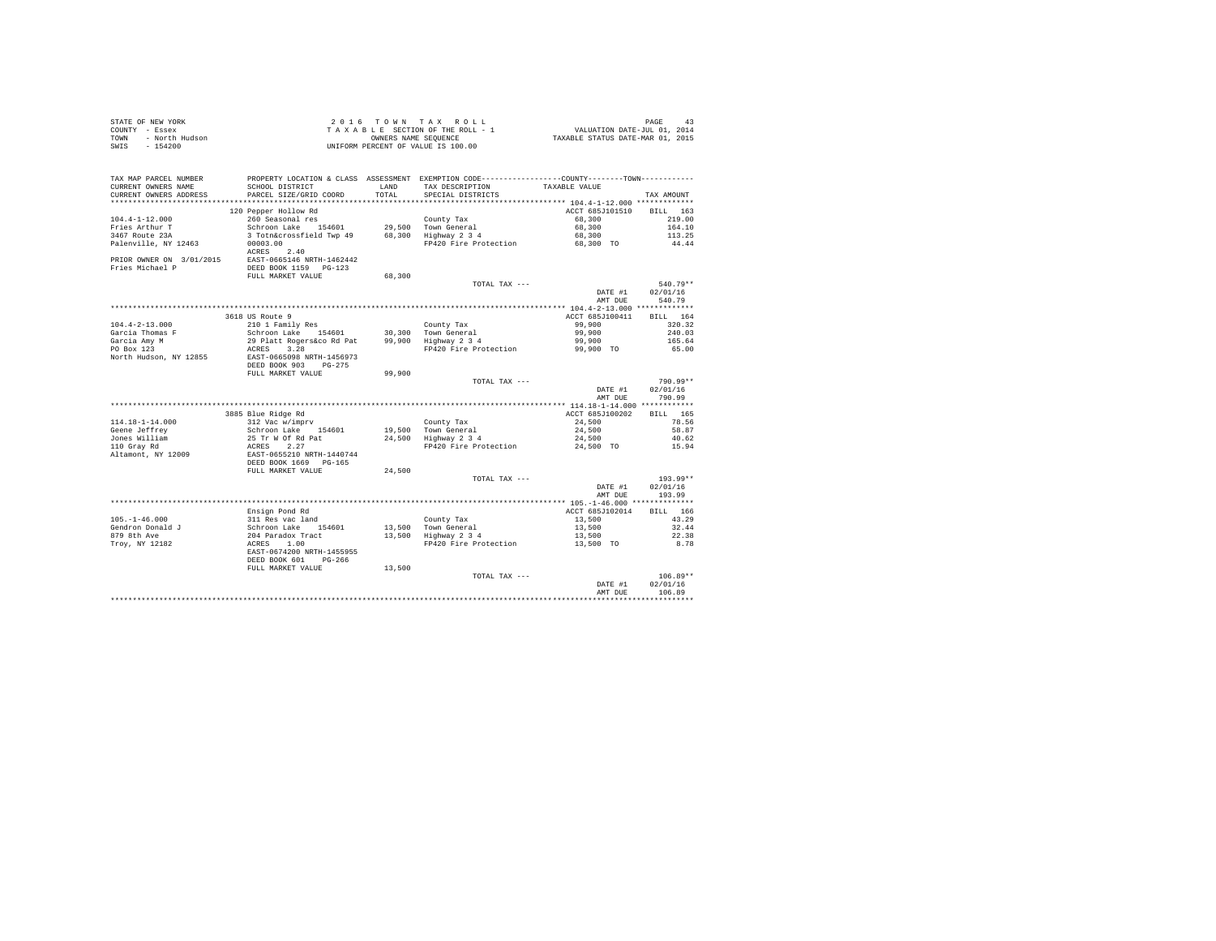| STATE OF NEW YORK<br>COUNTY - Essex<br>- North Hudson<br>TOWN<br>SWIS - 154200 |                                                                                                                         |        | 2016 TOWN TAX ROLL<br>$\begin{tabular}{lcccc} 2 & 0 & 1 & 6 & 7 & 0 & \texttt{W} & \texttt{Y} & \texttt{A} & \texttt{X} & \texttt{R} & \texttt{O} & \texttt{L} & \texttt{L} \\ \texttt{T} & \texttt{A} & \texttt{X} & \texttt{B} & \texttt{E} & \texttt{S} & \texttt{C} & \texttt{S} & \texttt{S} & \texttt{S} & \texttt{S} & \texttt{S} & \texttt{S} & \texttt{S} & \texttt{S} & \texttt{S} & \texttt{S} & \texttt{S} & \texttt{S} & \texttt{S$<br>UNIFORM PERCENT OF VALUE IS 100.00 |                    | PAGE<br>43             |
|--------------------------------------------------------------------------------|-------------------------------------------------------------------------------------------------------------------------|--------|----------------------------------------------------------------------------------------------------------------------------------------------------------------------------------------------------------------------------------------------------------------------------------------------------------------------------------------------------------------------------------------------------------------------------------------------------------------------------------------|--------------------|------------------------|
| TAX MAP PARCEL NUMBER<br>CURRENT OWNERS NAME                                   | SCHOOL DISTRICT                                                                                                         | LAND   | PROPERTY LOCATION & CLASS ASSESSMENT EXEMPTION CODE---------------COUNTY-------TOWN----------<br>TAX DESCRIPTION                                                                                                                                                                                                                                                                                                                                                                       | TAXABLE VALUE      |                        |
| CURRENT OWNERS ADDRESS                                                         | PARCEL SIZE/GRID COORD                                                                                                  | TOTAL  | SPECIAL DISTRICTS                                                                                                                                                                                                                                                                                                                                                                                                                                                                      |                    | TAX AMOUNT             |
|                                                                                |                                                                                                                         |        |                                                                                                                                                                                                                                                                                                                                                                                                                                                                                        |                    |                        |
| $104.4 - 1 - 12.000$                                                           | 120 Pepper Hollow Rd<br>260 Seasonal res                                                                                |        |                                                                                                                                                                                                                                                                                                                                                                                                                                                                                        | ACCT 685J101510    | BILL 163               |
| Fries Arthur T                                                                 | Schroon Lake 154601                                                                                                     |        | County Tax                                                                                                                                                                                                                                                                                                                                                                                                                                                                             | 68,300<br>68,300   | 219.00<br>164.10       |
| $3467$ Route $23A$                                                             | 3 Totn&crossfield Twp 49                                                                                                |        | 29,500 Town General<br>68,300 Highway 2 3 4                                                                                                                                                                                                                                                                                                                                                                                                                                            | 68,300             | 113.25                 |
| Palenville, NY 12463                                                           | 00003.00                                                                                                                |        | FP420 Fire Protection                                                                                                                                                                                                                                                                                                                                                                                                                                                                  | 68,300 TO          | 44.44                  |
|                                                                                | ACRES 2.40                                                                                                              |        |                                                                                                                                                                                                                                                                                                                                                                                                                                                                                        |                    |                        |
| PRIOR OWNER ON 3/01/2015                                                       | EAST-0665146 NRTH-1462442                                                                                               |        |                                                                                                                                                                                                                                                                                                                                                                                                                                                                                        |                    |                        |
| Fries Michael P                                                                | DEED BOOK 1159 PG-123                                                                                                   |        |                                                                                                                                                                                                                                                                                                                                                                                                                                                                                        |                    |                        |
|                                                                                | FULL MARKET VALUE                                                                                                       | 68,300 |                                                                                                                                                                                                                                                                                                                                                                                                                                                                                        |                    |                        |
|                                                                                |                                                                                                                         |        | TOTAL TAX ---                                                                                                                                                                                                                                                                                                                                                                                                                                                                          | DATE #1            | $540.79**$<br>02/01/16 |
|                                                                                |                                                                                                                         |        |                                                                                                                                                                                                                                                                                                                                                                                                                                                                                        | AMT DUE            | 540.79                 |
|                                                                                |                                                                                                                         |        |                                                                                                                                                                                                                                                                                                                                                                                                                                                                                        |                    |                        |
|                                                                                | 3618 US Route 9                                                                                                         |        |                                                                                                                                                                                                                                                                                                                                                                                                                                                                                        | ACCT 685J100411    | BILL 164               |
| $104.4 - 2 - 13.000$                                                           | 210 1 Family Res                                                                                                        |        | County Tax<br>30,300 Town General<br>99,900 Highway 2 3 4                                                                                                                                                                                                                                                                                                                                                                                                                              | 99,900             | 320.32                 |
| Garcia Thomas F                                                                | Schroon Lake 154601                                                                                                     |        |                                                                                                                                                                                                                                                                                                                                                                                                                                                                                        | 99,900             | 240.03                 |
| Garcia Amy M<br>PO Box 123                                                     | 29 Platt Rogers&co Rd Pat                                                                                               |        |                                                                                                                                                                                                                                                                                                                                                                                                                                                                                        | 99,900             | 165.64                 |
| North Hudson, NY 12855                                                         | ACRES 3.28<br>EAST-0665098 NRTH-1456973                                                                                 |        | FP420 Fire Protection                                                                                                                                                                                                                                                                                                                                                                                                                                                                  | 99,900 TO          | 65.00                  |
|                                                                                | DEED BOOK 903 PG-275                                                                                                    |        |                                                                                                                                                                                                                                                                                                                                                                                                                                                                                        |                    |                        |
|                                                                                | FULL MARKET VALUE                                                                                                       | 99,900 |                                                                                                                                                                                                                                                                                                                                                                                                                                                                                        |                    |                        |
|                                                                                |                                                                                                                         |        | TOTAL TAX ---                                                                                                                                                                                                                                                                                                                                                                                                                                                                          |                    | 790.99**               |
|                                                                                |                                                                                                                         |        |                                                                                                                                                                                                                                                                                                                                                                                                                                                                                        | DATE #1            | 02/01/16               |
|                                                                                |                                                                                                                         |        |                                                                                                                                                                                                                                                                                                                                                                                                                                                                                        | AMT DUE            | 790.99                 |
|                                                                                | 3885 Blue Ridge Rd                                                                                                      |        |                                                                                                                                                                                                                                                                                                                                                                                                                                                                                        | ACCT 685J100202    | BILL 165               |
| $114.18 - 1 - 14.000$                                                          | 312 Vac w/imprv                                                                                                         |        | County Tax                                                                                                                                                                                                                                                                                                                                                                                                                                                                             | 24,500             | 78.56                  |
| Geene Jeffrey                                                                  | Schroon Lake 154601                                                                                                     | 19,500 | Town General<br>Highway 2 3 4                                                                                                                                                                                                                                                                                                                                                                                                                                                          | 24,500             | 58.87                  |
| Jones William                                                                  | 25 Tr W Of Rd Pat                                                                                                       | 24,500 |                                                                                                                                                                                                                                                                                                                                                                                                                                                                                        | 24,500             | 40.62                  |
| 110 Grav Rd                                                                    |                                                                                                                         |        | FP420 Fire Protection                                                                                                                                                                                                                                                                                                                                                                                                                                                                  | 24,500 TO          | 15.94                  |
| Altamont, NY 12009                                                             | ACRES 2.27<br>EAST-0655210 NRTH-1440744<br>DEED BOOK 1669 PG-165                                                        |        |                                                                                                                                                                                                                                                                                                                                                                                                                                                                                        |                    |                        |
|                                                                                | FULL MARKET VALUE                                                                                                       | 24,500 |                                                                                                                                                                                                                                                                                                                                                                                                                                                                                        |                    |                        |
|                                                                                |                                                                                                                         |        | TOTAL TAX ---                                                                                                                                                                                                                                                                                                                                                                                                                                                                          |                    | $193.99**$             |
|                                                                                |                                                                                                                         |        |                                                                                                                                                                                                                                                                                                                                                                                                                                                                                        | DATE #1            | 02/01/16               |
|                                                                                |                                                                                                                         |        |                                                                                                                                                                                                                                                                                                                                                                                                                                                                                        | AMT DUE            | 193.99                 |
|                                                                                |                                                                                                                         |        |                                                                                                                                                                                                                                                                                                                                                                                                                                                                                        |                    |                        |
|                                                                                | Ensign Pond Rd                                                                                                          |        |                                                                                                                                                                                                                                                                                                                                                                                                                                                                                        | ACCT 685J102014    | BILL 166               |
| $105. - 1 - 46.000$                                                            |                                                                                                                         |        |                                                                                                                                                                                                                                                                                                                                                                                                                                                                                        | 13,500             | 43.29                  |
| Gendron Donald J<br>879 8th Ave                                                |                                                                                                                         |        | County Tax<br>13,500 Town General<br>13,500 Highway 2 3 4                                                                                                                                                                                                                                                                                                                                                                                                                              | 13,500<br>13,500   | 32.44<br>22.38         |
| Trov. NY 12182                                                                 |                                                                                                                         |        | FP420 Fire Protection                                                                                                                                                                                                                                                                                                                                                                                                                                                                  | 13,500 TO          | 8.78                   |
|                                                                                | ansaya Fond Ku<br>311 Res vac land<br>204 Paradox Tract<br>204 Paradox Tract<br>RCRES 1.00<br>EAST-0674200 NRTH-1455955 |        |                                                                                                                                                                                                                                                                                                                                                                                                                                                                                        |                    |                        |
|                                                                                | DEED BOOK 601 PG-266                                                                                                    |        |                                                                                                                                                                                                                                                                                                                                                                                                                                                                                        |                    |                        |
|                                                                                | FULL MARKET VALUE                                                                                                       | 13,500 |                                                                                                                                                                                                                                                                                                                                                                                                                                                                                        |                    |                        |
|                                                                                |                                                                                                                         |        | TOTAL TAX ---                                                                                                                                                                                                                                                                                                                                                                                                                                                                          |                    | $106.89**$             |
|                                                                                |                                                                                                                         |        |                                                                                                                                                                                                                                                                                                                                                                                                                                                                                        | DATE #1<br>AMT DUE | 02/01/16<br>106.89     |
|                                                                                |                                                                                                                         |        |                                                                                                                                                                                                                                                                                                                                                                                                                                                                                        |                    |                        |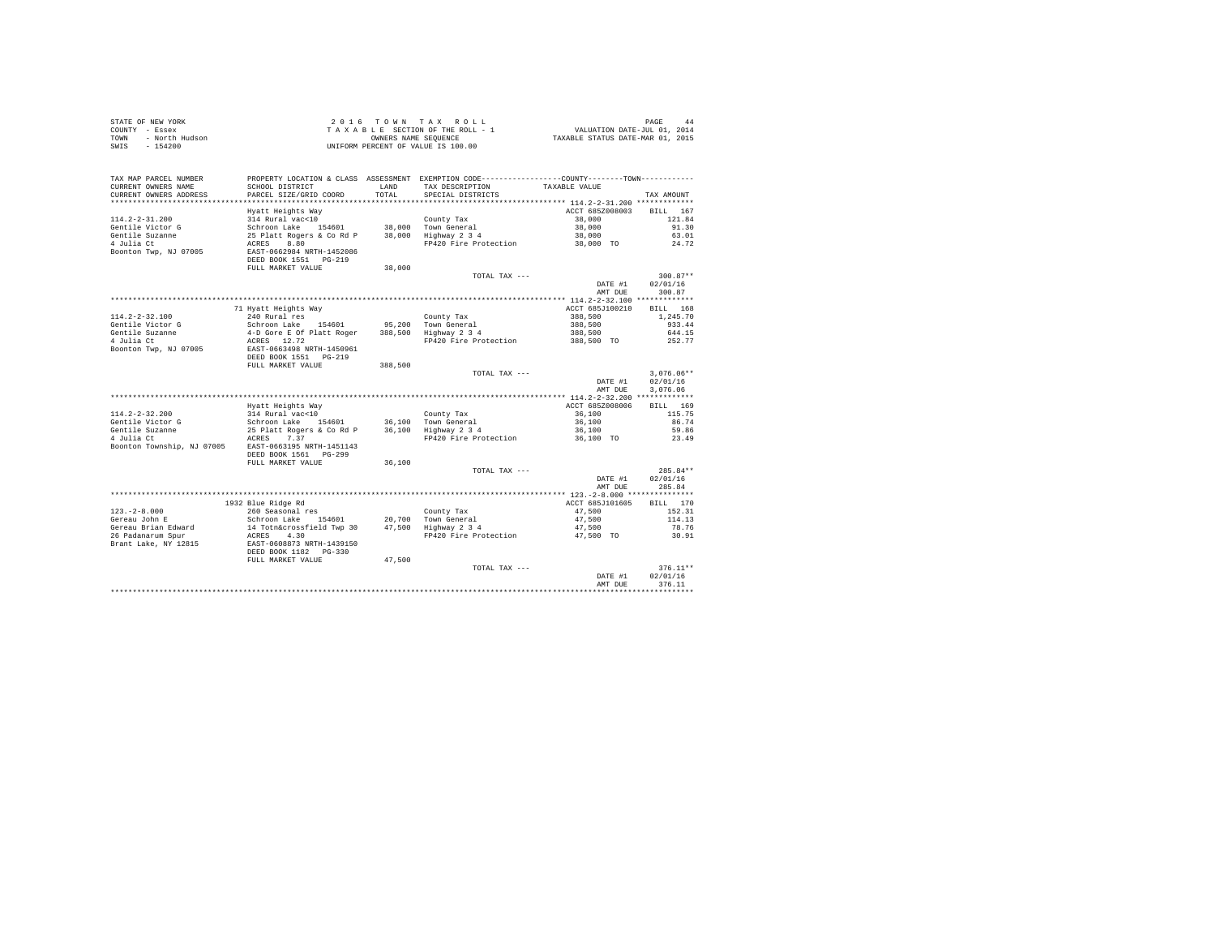| STATE OF NEW YORK                                    | 2016 TOWN TAX ROLL                       | PAGE 44<br>VALUATION DATE-JUL 01, 2014<br>TAXABLE STATUS DATE-MAR 01, 2015 |                                                                                                 |                 |              |
|------------------------------------------------------|------------------------------------------|----------------------------------------------------------------------------|-------------------------------------------------------------------------------------------------|-----------------|--------------|
| COUNTY - Essex                                       | TAXABLE SECTION OF THE ROLL - 1          |                                                                            |                                                                                                 |                 |              |
| - North Hudson<br>TOWN                               |                                          |                                                                            |                                                                                                 |                 |              |
| $-154200$<br>SWIS                                    | UNIFORM PERCENT OF VALUE IS 100.00       |                                                                            |                                                                                                 |                 |              |
|                                                      |                                          |                                                                            |                                                                                                 |                 |              |
|                                                      |                                          |                                                                            |                                                                                                 |                 |              |
|                                                      |                                          |                                                                            |                                                                                                 |                 |              |
| TAX MAP PARCEL NUMBER                                |                                          |                                                                            | PROPERTY LOCATION & CLASS ASSESSMENT EXEMPTION CODE----------------COUNTY--------TOWN---------- |                 |              |
| CURRENT OWNERS NAME                                  | SCHOOL DISTRICT                          | LAND                                                                       | TAX DESCRIPTION                                                                                 | TAXABLE VALUE   |              |
| CURRENT OWNERS ADDRESS                               | PARCEL SIZE/GRID COORD                   | TOTAL                                                                      | SPECIAL DISTRICTS                                                                               |                 | TAX AMOUNT   |
|                                                      |                                          |                                                                            |                                                                                                 |                 |              |
|                                                      | Hyatt Heights Way                        |                                                                            |                                                                                                 | ACCT 685Z008003 | BILL 167     |
| $114.2 - 2 - 31.200$                                 | 314 Rural vac<10                         |                                                                            | County Tax                                                                                      | 38,000          | 121.84       |
| Gentile Victor G                                     | Schroon Lake 154601                      |                                                                            | 38,000 Town General<br>38,000 Highway 2 3 4                                                     | 38,000          | 91.30        |
| Gentile Suzanne                                      | 25 Platt Rogers & Co Rd P                |                                                                            |                                                                                                 | 38,000          | 63.01        |
| 4 Julia Ct                                           | ACRES 8.80                               |                                                                            | FP420 Fire Protection                                                                           | 38,000 TO       | 24.72        |
| Boonton Twp, NJ 07005                                | EAST-0662984 NRTH-1452086                |                                                                            |                                                                                                 |                 |              |
|                                                      | DEED BOOK 1551 PG-219                    |                                                                            |                                                                                                 |                 |              |
|                                                      | FULL MARKET VALUE                        | 38,000                                                                     |                                                                                                 |                 |              |
|                                                      |                                          |                                                                            | TOTAL TAX ---                                                                                   |                 | $300.87**$   |
|                                                      |                                          |                                                                            |                                                                                                 | DATE #1         | 02/01/16     |
|                                                      |                                          |                                                                            |                                                                                                 | AMT DUE         | 300.87       |
|                                                      |                                          |                                                                            |                                                                                                 |                 |              |
|                                                      | 71 Hyatt Heights Way                     |                                                                            |                                                                                                 | ACCT 685J100210 | BILL 168     |
| $114.2 - 2 - 32.100$                                 | 240 Rural res                            |                                                                            | County Tax                                                                                      | 388,500         | 1,245.70     |
| Gentile Victor G                                     | Schroon Lake 154601                      | 95,200                                                                     | Town General<br>Highway 2 3 4                                                                   | 388,500         | 933.44       |
| Gentile Suzanne                                      | 4-D Gore E Of Platt Roger                | 388,500                                                                    |                                                                                                 | 388,500         | 644.15       |
| 4 Julia Ct<br>Boonton Twp, NJ 07005                  | ACRES 12.72<br>EAST-0663498 NRTH-1450961 |                                                                            | FP420 Fire Protection                                                                           | 388,500 TO      | 252.77       |
|                                                      | DEED BOOK 1551 PG-219                    |                                                                            |                                                                                                 |                 |              |
|                                                      | FULL MARKET VALUE                        |                                                                            |                                                                                                 |                 |              |
|                                                      |                                          | 388,500                                                                    | TOTAL TAX ---                                                                                   |                 | $3.076.06**$ |
|                                                      |                                          |                                                                            |                                                                                                 | DATE #1         | 02/01/16     |
|                                                      |                                          |                                                                            |                                                                                                 | AMT DUE         | 3.076.06     |
|                                                      |                                          |                                                                            |                                                                                                 |                 |              |
|                                                      | Hyatt Heights Way                        |                                                                            |                                                                                                 | ACCT 685Z008006 | BILL 169     |
| $114.2 - 2 - 32.200$                                 | 314 Rural vac<10                         |                                                                            | County Tax                                                                                      | 36,100          | 115.75       |
| Gentile Victor G                                     | Schroon Lake 154601                      |                                                                            |                                                                                                 | 36,100          | 86.74        |
| Gentile Suzanne                                      |                                          |                                                                            | County Tax<br>36,100 Town General<br>36,100 Highway 2 3 4                                       | 36,100          | 59.86        |
| $4$ Julia Ct                                         | 25 Platt Rogers & Co Rd P<br>ACRES 7.37  |                                                                            | FP420 Fire Protection                                                                           | 36,100 TO       | 23.49        |
| Boonton Township, NJ 07005 EAST-0663195 NRTH-1451143 |                                          |                                                                            |                                                                                                 |                 |              |
|                                                      | DEED BOOK 1561 PG-299                    |                                                                            |                                                                                                 |                 |              |
|                                                      | FULL MARKET VALUE                        | 36,100                                                                     |                                                                                                 |                 |              |
|                                                      |                                          |                                                                            | TOTAL TAX ---                                                                                   |                 | $285.84**$   |
|                                                      |                                          |                                                                            |                                                                                                 | DATE #1         | 02/01/16     |
|                                                      |                                          |                                                                            |                                                                                                 | AMT DUE         | 285.84       |
|                                                      |                                          |                                                                            |                                                                                                 |                 |              |
|                                                      | 1932 Blue Ridge Rd                       |                                                                            |                                                                                                 | ACCT 685J101605 | BILL 170     |
| $123. - 2 - 8.000$                                   | 260 Seasonal res                         |                                                                            | County Tax                                                                                      | 47.500          | 152.31       |
| Gereau John E                                        | Schroon Lake 154601                      | 20,700                                                                     | Town General                                                                                    | 47.500          | 114.13       |
| Gereau Brian Edward                                  | 14 Totn&crossfield Twp 30                | 47,500                                                                     | $Highway$ $2$ $3$ $4$                                                                           | 47,500          | 78.76        |
| 26 Padanarum Spur                                    | ACRES 4.30                               |                                                                            | FP420 Fire Protection                                                                           | 47,500 TO       | 30.91        |
| Brant Lake, NY 12815                                 | EAST-0608873 NRTH-1439150                |                                                                            |                                                                                                 |                 |              |
|                                                      | DEED BOOK 1182 PG-330                    |                                                                            |                                                                                                 |                 |              |
|                                                      | FULL MARKET VALUE                        | 47.500                                                                     |                                                                                                 |                 |              |
|                                                      |                                          |                                                                            | TOTAL TAX ---                                                                                   |                 | $376.11**$   |
|                                                      |                                          |                                                                            |                                                                                                 | DATE #1         | 02/01/16     |
|                                                      |                                          |                                                                            |                                                                                                 | AMT DUE         | 376.11       |
|                                                      |                                          |                                                                            |                                                                                                 |                 |              |
|                                                      |                                          |                                                                            |                                                                                                 |                 |              |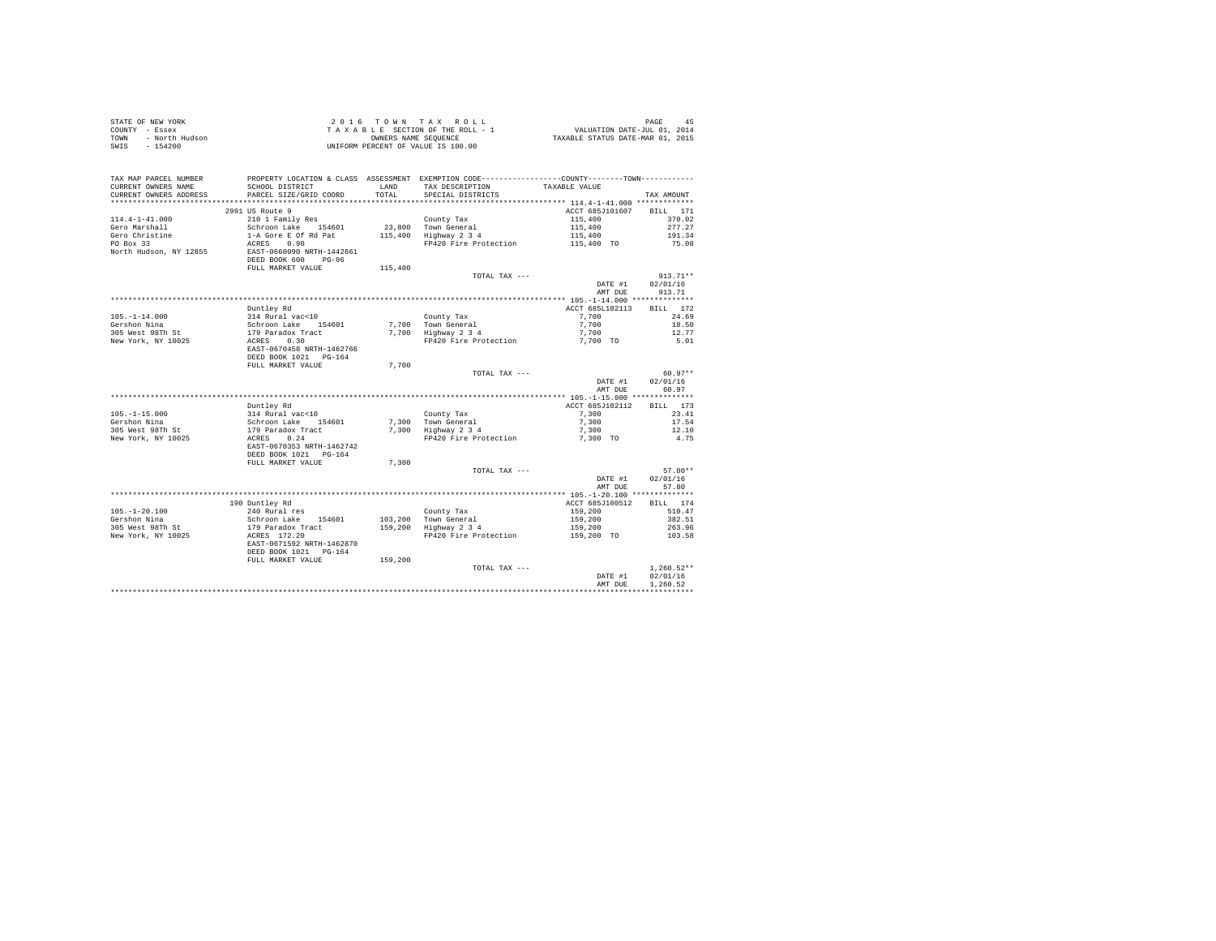| STATE OF NEW YORK      | 2016 TOWN TAX ROLL                 | PAGE<br>45                       |
|------------------------|------------------------------------|----------------------------------|
| COUNTY - Essex         | TAXABLE SECTION OF THE ROLL - 1    | VALUATION DATE-JUL 01, 2014      |
| TOWN<br>- North Hudson | OWNERS NAME SEOUENCE               | TAXABLE STATUS DATE-MAR 01, 2015 |
| - 154200<br>SWIS       | UNIFORM PERCENT OF VALUE IS 100.00 |                                  |

| TAX MAP PARCEL NUMBER<br>CURRENT OWNERS NAME<br>CURRENT OWNERS ADDRESS | PROPERTY LOCATION & CLASS ASSESSMENT EXEMPTION CODE---------------COUNTY-------TOWN----------<br>SCHOOL DISTRICT<br>PARCEL SIZE/GRID COORD | <b>T.AND</b><br>TOTAL | TAX DESCRIPTION<br>SPECIAL DISTRICTS | TAXABLE VALUE   | TAX AMOUNT         |
|------------------------------------------------------------------------|--------------------------------------------------------------------------------------------------------------------------------------------|-----------------------|--------------------------------------|-----------------|--------------------|
| ************************                                               | ******************************                                                                                                             |                       |                                      |                 |                    |
|                                                                        | 2991 US Route 9                                                                                                                            |                       |                                      | ACCT 685J101607 | <b>BILL</b><br>171 |
| $114.4 - 1 - 41.000$                                                   | 210 1 Family Res                                                                                                                           |                       | County Tax                           | 115,400         | 370.02             |
| Gero Marshall                                                          | Schroon Lake 154601                                                                                                                        |                       | 23.800 Town General                  | 115,400         | 277.27             |
| Gero Christine                                                         | 1-A Gore E Of Rd Pat                                                                                                                       | 115,400               | Highway 2 3 4                        | 115,400         | 191.34             |
| PO Box 33                                                              | ACRES<br>0.90                                                                                                                              |                       | FP420 Fire Protection                | 115,400 TO      | 75.08              |
| North Hudson, NY 12855                                                 | EAST-0660090 NRTH-1442661<br>DEED BOOK 600<br>$PG-96$<br>FULL MARKET VALUE                                                                 | 115,400               |                                      |                 |                    |
|                                                                        |                                                                                                                                            |                       | TOTAL TAX ---                        |                 | $913.71**$         |
|                                                                        |                                                                                                                                            |                       |                                      | DATE #1         | 02/01/16           |
|                                                                        |                                                                                                                                            |                       |                                      | AMT DUE         | 913.71             |
|                                                                        |                                                                                                                                            |                       |                                      |                 |                    |
|                                                                        | Duntley Rd                                                                                                                                 |                       |                                      | ACCT 685L102113 | BILL 172           |
| $105. - 1 - 14.000$                                                    | 314 Rural vac<10                                                                                                                           |                       | County Tax                           | 7.700           | 24.69              |
| Gershon Nina                                                           | Schroon Lake 154601                                                                                                                        |                       | 7.700 Town General                   | 7.700           | 18.50              |
| 305 West 98Th St                                                       | 179 Paradox Tract                                                                                                                          |                       | 7,700 Highway 2 3 4                  | 7.700           | 12.77              |
| New York, NY 10025                                                     | 0.30<br>ACRES                                                                                                                              |                       | FP420 Fire Protection                | 7,700 TO        | 5.01               |
|                                                                        | EAST-0670458 NRTH-1462766<br>DEED BOOK 1021 PG-164                                                                                         |                       |                                      |                 |                    |
|                                                                        | FULL MARKET VALUE                                                                                                                          | 7.700                 |                                      |                 |                    |
|                                                                        |                                                                                                                                            |                       | TOTAL TAX ---                        |                 | $60.97**$          |
|                                                                        |                                                                                                                                            |                       |                                      | DATE #1         | 02/01/16           |
|                                                                        |                                                                                                                                            |                       |                                      | AMT DUE         | 60.97              |
|                                                                        |                                                                                                                                            |                       |                                      |                 |                    |
|                                                                        | Duntley Rd                                                                                                                                 |                       |                                      | ACCT 685J102112 | BILL 173           |
| $105. - 1 - 15.000$                                                    | 314 Rural vac<10                                                                                                                           |                       | County Tax                           | 7.300           | 23.41              |
| Gershon Nina                                                           | 154601                                                                                                                                     |                       | 7.300 Town General                   | 7.300           | 17.54              |
| 305 West 98Th St                                                       | Schroon Lake 1!<br>179 Paradox Tract                                                                                                       |                       | 7,300 Highway 2 3 4                  | 7,300           | 12.10              |
|                                                                        | ACRES<br>0.24                                                                                                                              |                       | FP420 Fire Protection                |                 | 4.75               |
| New York, NY 10025                                                     | EAST-0670353 NRTH-1462742<br>DEED BOOK 1021 PG-164                                                                                         |                       |                                      | 7,300 TO        |                    |
|                                                                        | FULL MARKET VALUE                                                                                                                          | 7,300                 |                                      |                 |                    |
|                                                                        |                                                                                                                                            |                       | TOTAL TAX ---                        |                 | $57.80**$          |
|                                                                        |                                                                                                                                            |                       |                                      | DATE #1         | 02/01/16           |
|                                                                        |                                                                                                                                            |                       |                                      | AMT DUE         | 57.80              |
|                                                                        |                                                                                                                                            |                       |                                      |                 |                    |
|                                                                        | 190 Duntley Rd                                                                                                                             |                       |                                      | ACCT 685J100512 | BILL 174           |
| $105. - 1 - 20.100$                                                    | 240 Rural res                                                                                                                              |                       | County Tax                           | 159,200         | 510.47             |
| Gershon Nina                                                           |                                                                                                                                            |                       | 103,200 Town General                 | 159,200         | 382.51             |
| 305 West 98Th St                                                       | Schroon Lake 154601<br>179 Paradox Tract                                                                                                   |                       | 159,200 Highway 2 3 4                | 159,200         | 263.96             |
| New York, NY 10025                                                     | ACRES 172.20                                                                                                                               |                       | FP420 Fire Protection                | 159,200 TO      | 103.58             |
|                                                                        | EAST-0671592 NRTH-1462870<br>DEED BOOK 1021 PG-164                                                                                         |                       |                                      |                 |                    |
|                                                                        | FULL MARKET VALUE                                                                                                                          | 159,200               |                                      |                 |                    |
|                                                                        |                                                                                                                                            |                       | TOTAL TAX ---                        |                 | $1.260.52**$       |
|                                                                        |                                                                                                                                            |                       |                                      | DATE #1         | 02/01/16           |
|                                                                        |                                                                                                                                            |                       |                                      | AMT DUE         | 1,260.52           |
|                                                                        |                                                                                                                                            |                       |                                      |                 |                    |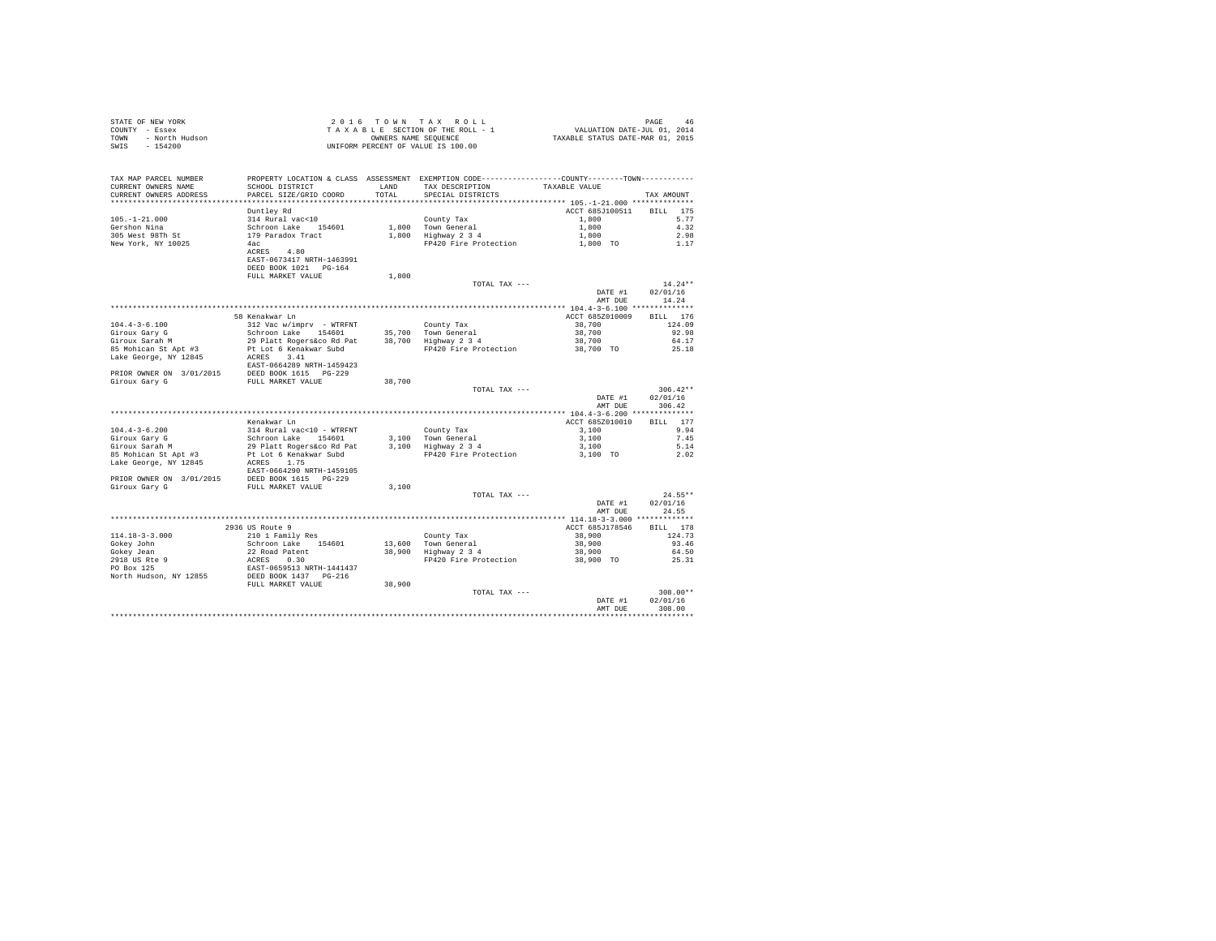| STATE OF NEW YORK<br>COUNTY - Essex<br>- North Hudson<br>TOWN<br>SWIS<br>$-154200$ | 2016 TOWN TAX ROLL<br>TAXABLE SECTION OF THE ROLL - 1<br>OWNERS NAME SEOUENCE<br>UNIFORM PERCENT OF VALUE IS 100.00 |              |                                                                                              |                          | PAGE<br>46<br>4b PAGE 4b<br>VALUATION DATE-JUL 01, 2014<br>TAXABLE STATUS DATE-MAR 01, 2015 |  |  |  |
|------------------------------------------------------------------------------------|---------------------------------------------------------------------------------------------------------------------|--------------|----------------------------------------------------------------------------------------------|--------------------------|---------------------------------------------------------------------------------------------|--|--|--|
|                                                                                    |                                                                                                                     |              |                                                                                              |                          |                                                                                             |  |  |  |
| TAX MAP PARCEL NUMBER                                                              |                                                                                                                     |              | PROPERTY LOCATION & CLASS ASSESSMENT EXEMPTION CODE---------------COUNTY-------TOWN--------- |                          |                                                                                             |  |  |  |
| CURRENT OWNERS NAME                                                                | SCHOOL DISTRICT                                                                                                     | <b>T.AND</b> | TAX DESCRIPTION                                                                              | TAXABLE VALUE            |                                                                                             |  |  |  |
| CURRENT OWNERS ADDRESS                                                             | PARCEL SIZE/GRID COORD                                                                                              | TOTAL.       | SPECIAL DISTRICTS                                                                            |                          | TAX AMOUNT                                                                                  |  |  |  |
| **************************                                                         |                                                                                                                     |              |                                                                                              |                          |                                                                                             |  |  |  |
|                                                                                    | Duntley Rd                                                                                                          |              |                                                                                              | ACCT 685J100511 BILL 175 |                                                                                             |  |  |  |
| $105. - 1 - 21.000$                                                                | 314 Rural vac<10                                                                                                    |              | County Tax                                                                                   | 1,800                    | 5.77                                                                                        |  |  |  |
| Gershon Nina                                                                       | Schroon Lake 154601                                                                                                 |              | 1,800 Town General                                                                           | 1,800                    | 4.32                                                                                        |  |  |  |
| 305 West 98Th St                                                                   | 179 Paradox Tract                                                                                                   |              | 1,800 Highway 2 3 4                                                                          | 1,800                    | 2.98                                                                                        |  |  |  |
| New York, NY 10025                                                                 | 4ac                                                                                                                 |              | FP420 Fire Protection                                                                        | 1,800 TO                 | 1.17                                                                                        |  |  |  |
|                                                                                    | ACRES 4.80<br>EAST-0673417 NRTH-1463991                                                                             |              |                                                                                              |                          |                                                                                             |  |  |  |
|                                                                                    | DEED BOOK 1021 PG-164                                                                                               |              |                                                                                              |                          |                                                                                             |  |  |  |
|                                                                                    | FULL MARKET VALUE                                                                                                   | 1,800        |                                                                                              |                          |                                                                                             |  |  |  |
|                                                                                    |                                                                                                                     |              | TOTAL TAX ---                                                                                |                          | $14.24**$                                                                                   |  |  |  |
|                                                                                    |                                                                                                                     |              |                                                                                              | DATE #1                  | 02/01/16                                                                                    |  |  |  |
|                                                                                    |                                                                                                                     |              |                                                                                              | AMT DUE                  | 14.24                                                                                       |  |  |  |
|                                                                                    |                                                                                                                     |              |                                                                                              |                          |                                                                                             |  |  |  |
|                                                                                    | 58 Kenakwar Ln                                                                                                      |              |                                                                                              | ACCT 685Z010009          | BILL 176                                                                                    |  |  |  |
| $104.4 - 3 - 6.100$                                                                | 312 Vac w/imprv - WTRFNT                                                                                            |              | County Tax                                                                                   | 38,700                   | 124.09                                                                                      |  |  |  |
| Giroux Gary G                                                                      | Schroon Lake 154601                                                                                                 |              | 35,700 Town General                                                                          | 38,700                   | 92.98                                                                                       |  |  |  |
| Giroux Sarah M                                                                     | 29 Platt Rogers&co Rd Pat                                                                                           |              | 38,700 Highway 2 3 4                                                                         | 38,700                   | 64.17                                                                                       |  |  |  |
| 85 Mohican St Apt #3                                                               | Pt Lot 6 Kenakwar Subd                                                                                              |              | FP420 Fire Protection                                                                        | 38,700 TO                | 25.18                                                                                       |  |  |  |
| Lake George, NY 12845                                                              | ACRES 3.41                                                                                                          |              |                                                                                              |                          |                                                                                             |  |  |  |
|                                                                                    | EAST-0664289 NRTH-1459423                                                                                           |              |                                                                                              |                          |                                                                                             |  |  |  |
| PRIOR OWNER ON 3/01/2015 DEED BOOK 1615 PG-229<br>Giroux Gary G                    | FULL MARKET VALUE                                                                                                   | 38,700       |                                                                                              |                          |                                                                                             |  |  |  |
|                                                                                    |                                                                                                                     |              | TOTAL TAX ---                                                                                |                          | $306.42**$                                                                                  |  |  |  |
|                                                                                    |                                                                                                                     |              |                                                                                              | DATE #1                  | 02/01/16                                                                                    |  |  |  |
|                                                                                    |                                                                                                                     |              |                                                                                              | AMT DUE                  | 306.42                                                                                      |  |  |  |
|                                                                                    |                                                                                                                     |              |                                                                                              |                          |                                                                                             |  |  |  |
|                                                                                    | Kenakwar Ln                                                                                                         |              |                                                                                              | ACCT 685Z010010          | BILL 177                                                                                    |  |  |  |
| $104.4 - 3 - 6.200$                                                                | 314 Rural vac<10 - WTRFNT                                                                                           |              | County Tax                                                                                   | 3,100                    | 9.94                                                                                        |  |  |  |
| Giroux Gary G<br>Giroux Sarah M                                                    | Schroon Lake 154601                                                                                                 |              | 3.100 Town General                                                                           | 3,100                    | 7.45                                                                                        |  |  |  |
|                                                                                    | 29 Platt Rogers&co Rd Pat                                                                                           |              | 3,100 Highway 2 3 4                                                                          | 3,100                    | 5.14                                                                                        |  |  |  |
| 85 Mohican St Apt #3                                                               | Pt Lot 6 Kenakwar Subd                                                                                              |              | FP420 Fire Protection                                                                        | 3,100 TO                 | 2.02                                                                                        |  |  |  |
| Lake George, NY 12845                                                              | ACRES 1.75                                                                                                          |              |                                                                                              |                          |                                                                                             |  |  |  |
|                                                                                    | EAST-0664290 NRTH-1459105                                                                                           |              |                                                                                              |                          |                                                                                             |  |  |  |
| PRIOR OWNER ON 3/01/2015 DEED BOOK 1615 PG-229<br>Giroux Gary G                    | FULL MARKET VALUE                                                                                                   | 3.100        |                                                                                              |                          |                                                                                             |  |  |  |
|                                                                                    |                                                                                                                     |              | TOTAL TAX ---                                                                                |                          | $24.55**$                                                                                   |  |  |  |
|                                                                                    |                                                                                                                     |              |                                                                                              | DATE #1                  | 02/01/16                                                                                    |  |  |  |
|                                                                                    |                                                                                                                     |              |                                                                                              | AMT DUE                  | 24.55                                                                                       |  |  |  |
|                                                                                    |                                                                                                                     |              |                                                                                              |                          |                                                                                             |  |  |  |
|                                                                                    | 2936 US Route 9                                                                                                     |              |                                                                                              | ACCT 685J178546          | BILL 178                                                                                    |  |  |  |
| $114.18 - 3 - 3.000$                                                               | 210 1 Family Res                                                                                                    |              | County Tax                                                                                   | 38,900                   | 124.73                                                                                      |  |  |  |
| Gokey John                                                                         | Schroon Lake 154601                                                                                                 |              | 13,600 Town General<br>38,900 Highway 2 3 4                                                  | 38,900                   | 93.46                                                                                       |  |  |  |
| Gokev Jean                                                                         | 22 Road Patent<br>ACRES 0.30                                                                                        |              |                                                                                              | 38,900                   | 64.50                                                                                       |  |  |  |
| 2918 US Rte 9<br>PO Box 125                                                        |                                                                                                                     |              | FP420 Fire Protection                                                                        | 38,900 TO                | 25.31                                                                                       |  |  |  |
|                                                                                    | EAST-0659513 NRTH-1441437                                                                                           |              |                                                                                              |                          |                                                                                             |  |  |  |
| North Hudson, NY 12855                                                             | DEED BOOK 1437 PG-216                                                                                               |              |                                                                                              |                          |                                                                                             |  |  |  |
|                                                                                    | FULL MARKET VALUE                                                                                                   | 38,900       |                                                                                              |                          |                                                                                             |  |  |  |
|                                                                                    |                                                                                                                     |              | TOTAL TAX ---                                                                                | DATE #1                  | $308.00**$<br>02/01/16                                                                      |  |  |  |
|                                                                                    |                                                                                                                     |              |                                                                                              | AMT DUE                  | 308.00                                                                                      |  |  |  |
|                                                                                    |                                                                                                                     |              |                                                                                              |                          |                                                                                             |  |  |  |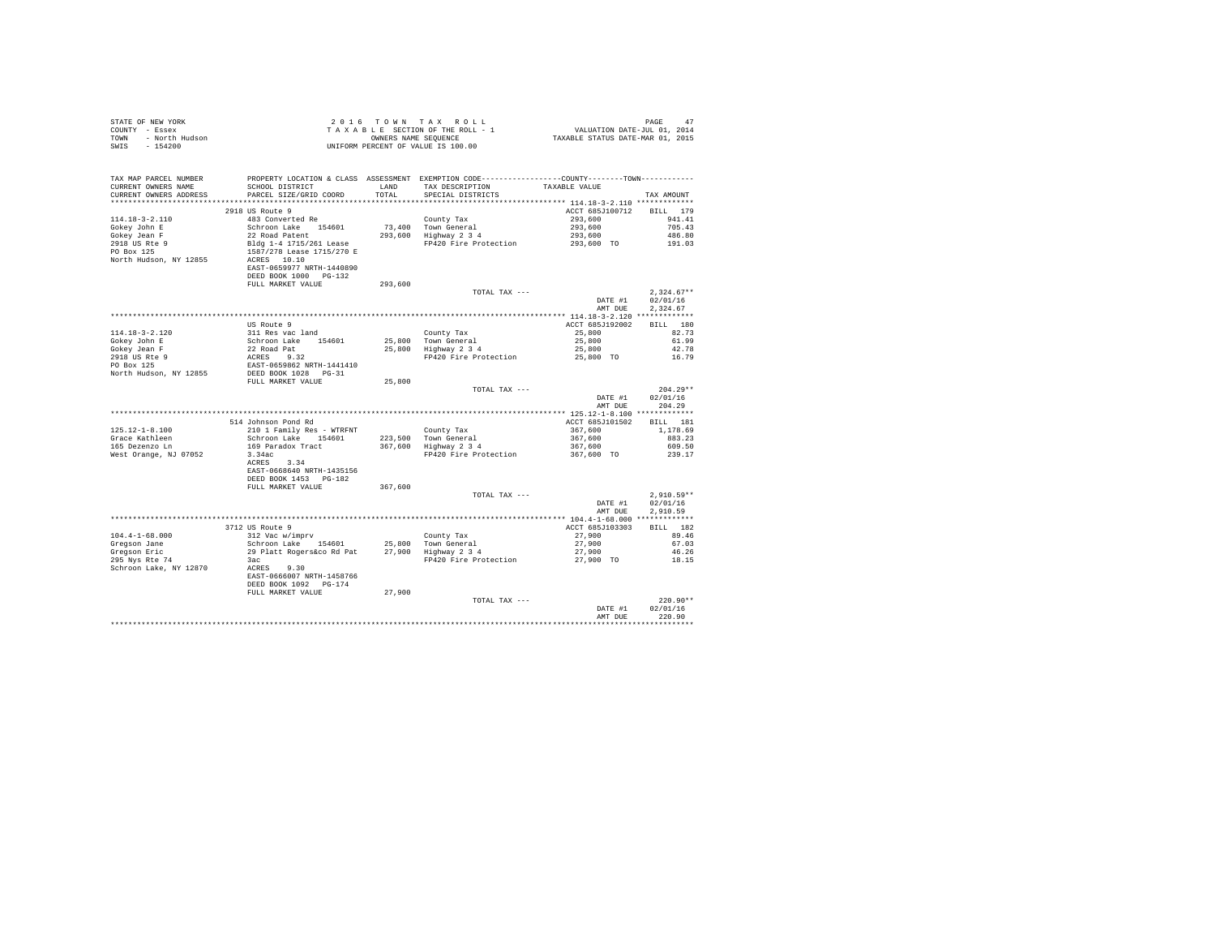|      | STATE OF NEW YORK | 2016 TOWN TAX ROLL                 | PAGE                             |
|------|-------------------|------------------------------------|----------------------------------|
|      | COUNTY - Essex    | TAXABLE SECTION OF THE ROLL - 1    | VALUATION DATE-JUL 01, 2014      |
| TOWN | - North Hudson    | OWNERS NAME SEOUENCE               | TAXABLE STATUS DATE-MAR 01, 2015 |
| SWIS | - 154200          | UNIFORM PERCENT OF VALUE IS 100.00 |                                  |

| TAX MAP PARCEL NUMBER<br>CURRENT OWNERS NAME    | SCHOOL DISTRICT                                    | LAND    | PROPERTY LOCATION & CLASS ASSESSMENT EXEMPTION CODE---------------COUNTY-------TOWN---------<br>TAX DESCRIPTION | TAXABLE VALUE                            |              |
|-------------------------------------------------|----------------------------------------------------|---------|-----------------------------------------------------------------------------------------------------------------|------------------------------------------|--------------|
| CURRENT OWNERS ADDRESS<br>********************* | PARCEL SIZE/GRID COORD<br>************************ | TOTAL   | SPECIAL DISTRICTS                                                                                               |                                          | TAX AMOUNT   |
|                                                 | 2918 US Route 9                                    |         |                                                                                                                 | ACCT 685J100712                          | BILL 179     |
| $114.18 - 3 - 2.110$                            | 483 Converted Re                                   |         |                                                                                                                 |                                          | 941.41       |
|                                                 | Schroon Lake 154601                                |         | County Tax                                                                                                      | 293,600                                  | 705.43       |
| Gokey John E<br>Gokey Jean F                    | 22 Road Patent                                     | 293,600 | 73,400 Town General<br>Highway 2 3 4                                                                            | 293,600<br>293,600                       | 486.80       |
| 2918 US Rte 9                                   | Bldg 1-4 1715/261 Lease                            |         | FP420 Fire Protection                                                                                           |                                          | 191.03       |
| PO Box 125                                      | 1587/278 Lease 1715/270 E                          |         |                                                                                                                 | 293,600 TO                               |              |
| North Hudson, NY 12855                          | ACRES 10.10                                        |         |                                                                                                                 |                                          |              |
|                                                 | EAST-0659977 NRTH-1440890                          |         |                                                                                                                 |                                          |              |
|                                                 | DEED BOOK 1000 PG-132                              |         |                                                                                                                 |                                          |              |
|                                                 | FULL MARKET VALUE                                  | 293,600 |                                                                                                                 |                                          |              |
|                                                 |                                                    |         | TOTAL TAX ---                                                                                                   |                                          | $2.324.67**$ |
|                                                 |                                                    |         |                                                                                                                 | DATE #1                                  | 02/01/16     |
|                                                 |                                                    |         |                                                                                                                 | AMT DUE                                  | 2,324.67     |
|                                                 |                                                    |         |                                                                                                                 |                                          |              |
|                                                 | US Route 9                                         |         |                                                                                                                 | ACCT 685J192002                          | BILL 180     |
| $114.18 - 3 - 2.120$                            | 311 Res vac land                                   |         | County Tax                                                                                                      | 25,800                                   | 82.73        |
| Gokey John E                                    | Schroon Lake 154601                                |         | 25,800 Town General                                                                                             | 25,800                                   | 61.99        |
| Gokey Jean F                                    | 22 Road Pat                                        |         | 25,800 Highway 2 3 4                                                                                            | 25,800                                   | 42.78        |
| 2918 US Rte 9                                   | ACRES 9.32                                         |         | FP420 Fire Protection                                                                                           | 25,800 TO                                | 16.79        |
| PO Box 125                                      | EAST-0659862 NRTH-1441410                          |         |                                                                                                                 |                                          |              |
| North Hudson, NY 12855                          | DEED BOOK 1028 PG-31                               |         |                                                                                                                 |                                          |              |
|                                                 | FULL MARKET VALUE                                  | 25,800  |                                                                                                                 |                                          |              |
|                                                 |                                                    |         | TOTAL TAX ---                                                                                                   |                                          | $204.29**$   |
|                                                 |                                                    |         |                                                                                                                 | DATE #1                                  | 02/01/16     |
|                                                 |                                                    |         |                                                                                                                 | AMT DUE                                  | 204.29       |
|                                                 | *******************************                    |         | *******************                                                                                             | *********** 125.12-1-8.100 ************* |              |
|                                                 | 514 Johnson Pond Rd                                |         |                                                                                                                 | ACCT 685J101502                          | BILL 181     |
| $125.12 - 1 - 8.100$                            | 210 1 Family Res - WTRFNT                          |         | County Tax                                                                                                      | 367,600                                  | 1,178.69     |
| Grace Kathleen                                  | Schroon Lake 154601                                |         | 223,500 Town General                                                                                            | 367,600                                  | 883.23       |
| 165 Dezenzo Ln                                  | 169 Paradox Tract                                  |         | 367,600 Highway 2 3 4                                                                                           | 367,600                                  | 609.50       |
| West Orange, NJ 07052                           | 3.34ac                                             |         | FP420 Fire Protection                                                                                           | 367,600 TO                               | 239.17       |
|                                                 | 3.34<br>ACRES                                      |         |                                                                                                                 |                                          |              |
|                                                 | EAST-0668640 NRTH-1435156                          |         |                                                                                                                 |                                          |              |
|                                                 | DEED BOOK 1453 PG-182                              |         |                                                                                                                 |                                          |              |
|                                                 | FULL MARKET VALUE                                  | 367,600 |                                                                                                                 |                                          |              |
|                                                 |                                                    |         | TOTAL TAX ---                                                                                                   |                                          | $2.910.59**$ |
|                                                 |                                                    |         |                                                                                                                 | DATE #1                                  | 02/01/16     |
|                                                 |                                                    |         |                                                                                                                 | AMT DUE                                  | 2.910.59     |
|                                                 | 3712 US Route 9                                    |         |                                                                                                                 | ACCT 685J103303                          | BILL 182     |
| $104.4 - 1 - 68.000$                            | 312 Vac w/imprv                                    |         | County Tax                                                                                                      | 27,900                                   | 89.46        |
| Gregson Jane                                    | Schroon Lake 154601                                |         | 25,800 Town General                                                                                             | 27,900                                   | 67.03        |
| Gregson Eric                                    | 29 Platt Rogers&co Rd Pat                          |         | 27,900 Highway 2 3 4                                                                                            | 27,900                                   | 46.26        |
| 295 Nys Rte 74                                  | 3ac                                                |         | FP420 Fire Protection                                                                                           | 27,900 TO                                | 18.15        |
| Schroon Lake, NY 12870                          | ACRES 9.30                                         |         |                                                                                                                 |                                          |              |
|                                                 | EAST-0666007 NRTH-1458766                          |         |                                                                                                                 |                                          |              |
|                                                 | DEED BOOK 1092 PG-174                              |         |                                                                                                                 |                                          |              |
|                                                 | FULL MARKET VALUE                                  | 27,900  |                                                                                                                 |                                          |              |
|                                                 |                                                    |         | TOTAL TAX ---                                                                                                   |                                          | $220.90**$   |
|                                                 |                                                    |         |                                                                                                                 | DATE #1                                  | 02/01/16     |
|                                                 |                                                    |         |                                                                                                                 | AMT DUE                                  | 220.90       |
|                                                 |                                                    |         |                                                                                                                 |                                          |              |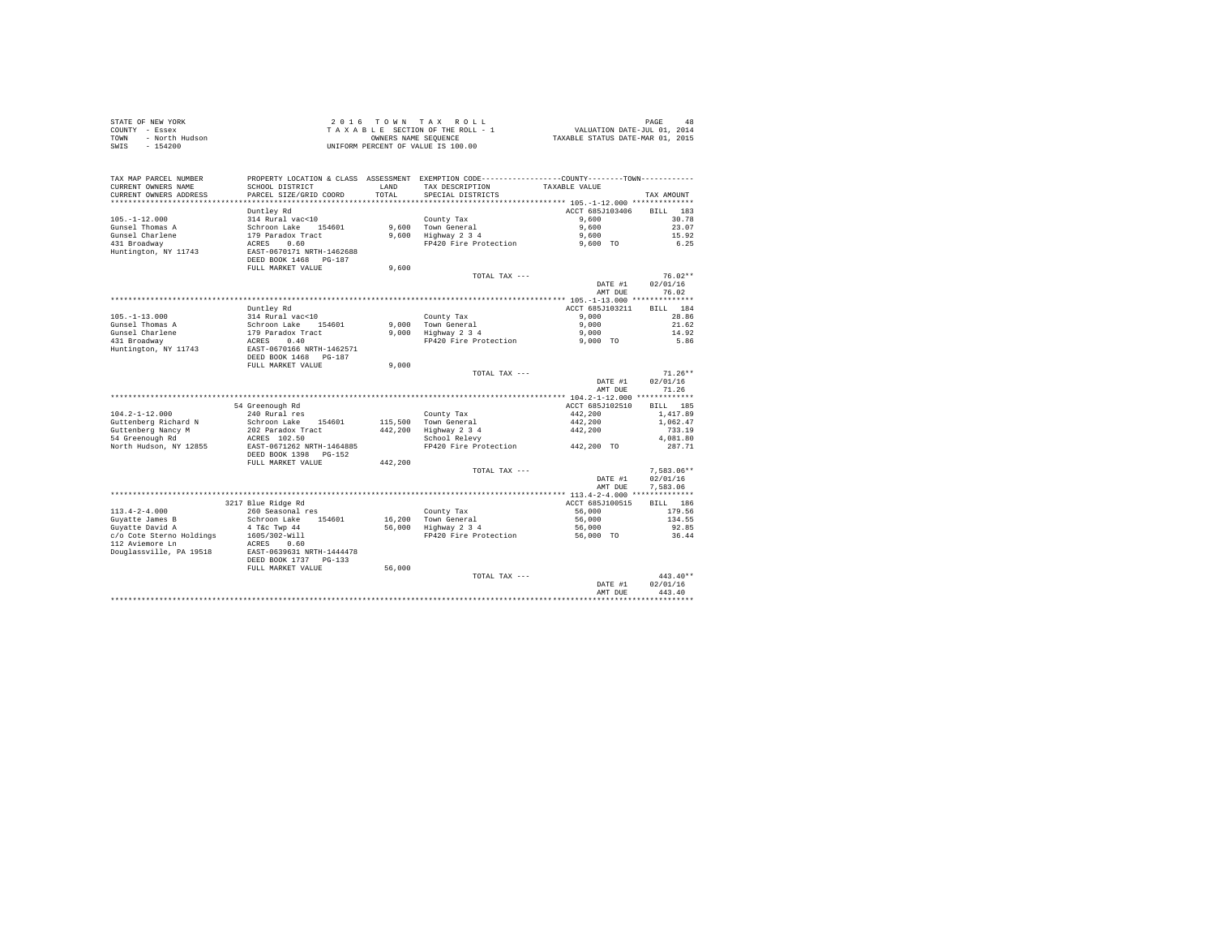|      | STATE OF NEW YORK | 2016 TOWN TAX ROLL                 | 48<br>PAGE                       |
|------|-------------------|------------------------------------|----------------------------------|
|      | COUNTY - Essex    | TAXABLE SECTION OF THE ROLL - 1    | VALUATION DATE-JUL 01, 2014      |
| TOWN | - North Hudson    | OWNERS NAME SEOUENCE               | TAXABLE STATUS DATE-MAR 01, 2015 |
| SWIS | $-154200$         | UNIFORM PERCENT OF VALUE IS 100.00 |                                  |

|                          |                                                                                              |         |                                                                    | AMT DUE                                  | 443.40                 |
|--------------------------|----------------------------------------------------------------------------------------------|---------|--------------------------------------------------------------------|------------------------------------------|------------------------|
|                          |                                                                                              |         | TOTAL TAX ---                                                      | DATE #1                                  | $443.40**$<br>02/01/16 |
|                          | FULL MARKET VALUE                                                                            | 56,000  |                                                                    |                                          |                        |
|                          | DEED BOOK 1737<br>$PG-133$                                                                   |         |                                                                    |                                          |                        |
| Douglassville, PA 19518  | EAST-0639631 NRTH-1444478                                                                    |         |                                                                    |                                          |                        |
| 112 Aviemore Ln          | ACRES<br>0.60                                                                                |         |                                                                    |                                          |                        |
| c/o Cote Sterno Holdings | 1605/302-Will                                                                                |         | FP420 Fire Protection                                              | 56,000 TO                                | 36.44                  |
| Guyatte David A          | 4 T&c Twp 44                                                                                 | 56,000  | Highway 2 3 4                                                      | 56,000                                   | 92.85                  |
| Guyatte James B          | Schroon Lake<br>154601                                                                       | 16,200  | Town General                                                       | 56,000                                   | 134.55                 |
| $113.4 - 2 - 4.000$      | 260 Seasonal res                                                                             |         | County Tax                                                         | 56,000                                   | 179.56                 |
|                          | 3217 Blue Ridge Rd                                                                           |         |                                                                    | ACCT 685J100515                          | 186<br><b>BILL</b>     |
|                          |                                                                                              |         |                                                                    | ******** 113.4-2-4.000                   | ***********            |
|                          |                                                                                              |         |                                                                    | AMT DUE                                  | 7.583.06               |
|                          |                                                                                              |         |                                                                    | DATE #1                                  | 02/01/16               |
|                          |                                                                                              |         | TOTAL TAX ---                                                      |                                          | $7.583.06**$           |
|                          | FULL MARKET VALUE                                                                            | 442,200 |                                                                    |                                          |                        |
|                          | DEED BOOK 1398<br>$PG-152$                                                                   |         |                                                                    |                                          |                        |
| North Hudson, NY 12855   | EAST-0671262 NRTH-1464885                                                                    |         | FP420 Fire Protection                                              | 442,200 TO                               | 287.71                 |
| 54 Greenough Rd          | ACRES 102.50                                                                                 |         | School Relevy                                                      |                                          | 4,081.80               |
| Guttenberg Nancy M       | 202 Paradox Tract                                                                            | 442.200 | Highway 2 3 4                                                      | 442,200                                  | 733.19                 |
| Guttenberg Richard N     | Schroon Lake<br>154601                                                                       | 115,500 | Town General                                                       | 442,200                                  | 1,062.47               |
| $104.2 - 1 - 12.000$     | 240 Rural res                                                                                |         | County Tax                                                         | 442.200                                  | 1,417.89               |
|                          | 54 Greenough Rd                                                                              |         |                                                                    | ACCT 685J102510                          | 185<br><b>BILL</b>     |
|                          |                                                                                              |         |                                                                    |                                          |                        |
|                          |                                                                                              |         |                                                                    | AMT DUE                                  | 71.26                  |
|                          |                                                                                              |         |                                                                    | DATE #1                                  | 02/01/16               |
|                          |                                                                                              |         | TOTAL TAX ---                                                      |                                          | $71.26**$              |
|                          | FULL MARKET VALUE                                                                            | 9.000   |                                                                    |                                          |                        |
|                          | DEED BOOK 1468<br>PG-187                                                                     |         |                                                                    |                                          |                        |
| Huntington, NY 11743     | EAST-0670166 NRTH-1462571                                                                    |         |                                                                    |                                          |                        |
| 431 Broadway             | 0.40<br>ACRES                                                                                |         | FP420 Fire Protection                                              | 9,000 TO                                 | 5.86                   |
| Gunsel Charlene          | 179 Paradox Tract                                                                            | 9.000   | Highway 2 3 4                                                      | 9,000                                    | 14.92                  |
| Gunsel Thomas A          | Schroon Lake<br>154601                                                                       | 9.000   | Town General                                                       | 9.000                                    | 21.62                  |
| $105. - 1 - 13.000$      | 314 Rural vac<10                                                                             |         | County Tax                                                         | 9,000                                    | 28.86                  |
|                          | Duntley Rd                                                                                   |         |                                                                    | ACCT 685J103211                          | 184<br><b>BILL</b>     |
|                          |                                                                                              |         |                                                                    | *********** 105.-1-13.000 ************** |                        |
|                          |                                                                                              |         |                                                                    | AMT DUE                                  | 76.02                  |
|                          |                                                                                              |         |                                                                    | DATE #1                                  | 02/01/16               |
|                          |                                                                                              |         | TOTAL TAX $---$                                                    |                                          | $76.02**$              |
|                          | FULL MARKET VALUE                                                                            | 9,600   |                                                                    |                                          |                        |
|                          | DEED BOOK 1468<br>$PG-187$                                                                   |         |                                                                    |                                          |                        |
| Huntington, NY 11743     | EAST-0670171 NRTH-1462688                                                                    |         |                                                                    |                                          |                        |
| 431 Broadway             | 0.60<br>ACRES                                                                                |         | FP420 Fire Protection                                              | 9,600 TO                                 | 6.25                   |
| Gunsel Charlene          | 179 Paradox Tract                                                                            | 9,600   | Highway 2 3 4                                                      | 9,600                                    | 15.92                  |
| Gunsel Thomas A          | Schroon Lake 154601                                                                          | 9,600   | Town General                                                       | 9,600                                    | 23.07                  |
| $105. - 1 - 12.000$      | 314 Rural vac<10                                                                             |         | County Tax                                                         | 9,600                                    | 30.78                  |
|                          | Duntley Rd                                                                                   |         |                                                                    | ACCT 685J103406                          | 183<br><b>BILL</b>     |
| ********************     | *********************                                                                        |         | ************************************* 105.-1-12.000 ************** |                                          |                        |
| CURRENT OWNERS ADDRESS   | PARCEL SIZE/GRID COORD                                                                       | TOTAL   | SPECIAL DISTRICTS                                                  |                                          | TAX AMOUNT             |
| CURRENT OWNERS NAME      | SCHOOL DISTRICT                                                                              | LAND    | TAX DESCRIPTION                                                    | TAXABLE VALUE                            |                        |
| TAX MAP PARCEL NUMBER    | PROPERTY LOCATION & CLASS ASSESSMENT EXEMPTION CODE---------------COUNTY-------TOWN--------- |         |                                                                    |                                          |                        |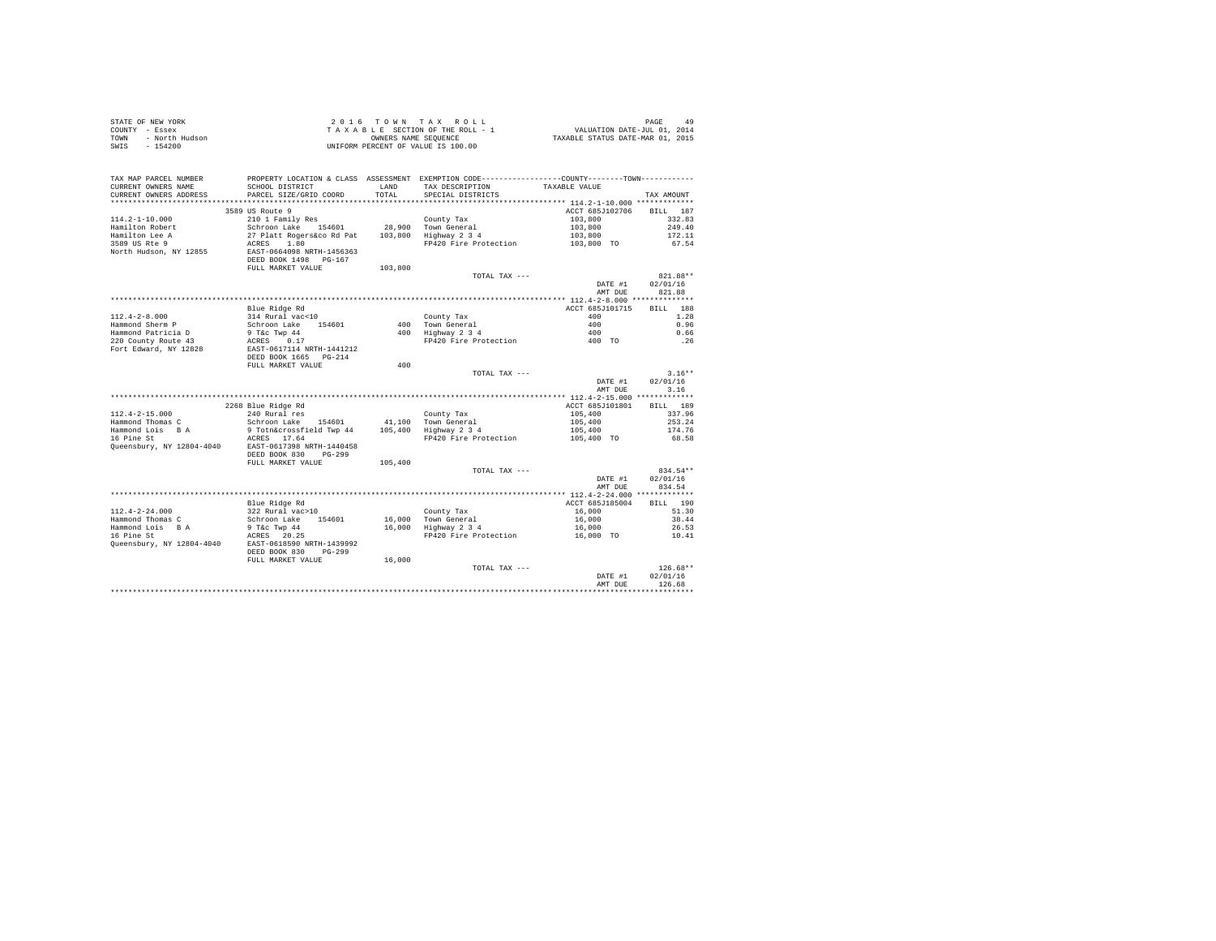|      | STATE OF NEW YORK | $2.0.16$ TOWN TAX ROLL             | PAGE                             |
|------|-------------------|------------------------------------|----------------------------------|
|      | COUNTY - Essex    | TAXABLE SECTION OF THE ROLL - 1    | VALUATION DATE-JUL 01, 2014      |
| TOWN | - North Hudson    | OWNERS NAME SEOUENCE               | TAXABLE STATUS DATE-MAR 01, 2015 |
|      | SWIS - 154200     | UNIFORM PERCENT OF VALUE IS 100.00 |                                  |

| TAX MAP PARCEL NUMBER<br>CURRENT OWNERS NAME<br>CURRENT OWNERS ADDRESS | PROPERTY LOCATION & CLASS ASSESSMENT EXEMPTION CODE---------------COUNTY-------TOWN----------<br>SCHOOL DISTRICT<br>PARCEL SIZE/GRID COORD | <b>T.AND</b><br>TOTAL | TAX DESCRIPTION<br>SPECIAL DISTRICTS                   | TAXABLE VALUE                    | TAX AMOUNT                     |
|------------------------------------------------------------------------|--------------------------------------------------------------------------------------------------------------------------------------------|-----------------------|--------------------------------------------------------|----------------------------------|--------------------------------|
| **********************                                                 | ****************************                                                                                                               |                       |                                                        |                                  |                                |
| $114.2 - 1 - 10.000$                                                   | 3589 US Route 9<br>210 1 Family Res                                                                                                        |                       | County Tax                                             | ACCT 685J102706<br>103,800       | <b>BILL</b><br>187<br>332.83   |
| Hamilton Robert<br>Hamilton Lee A<br>3589 US Rte 9                     | Schroon Lake 154601<br>27 Platt Rogers&co Rd Pat<br>ACRES<br>1.80                                                                          | 28,900<br>103,800     | Town General<br>Highway 2 3 4<br>FP420 Fire Protection | 103,800<br>103,800<br>103,800 TO | 249.40<br>172.11<br>67.54      |
| North Hudson, NY 12855                                                 | EAST-0664098 NRTH-1456363<br>DEED BOOK 1498 PG-167<br>FULL MARKET VALUE                                                                    | 103,800               |                                                        |                                  |                                |
|                                                                        |                                                                                                                                            |                       | TOTAL TAX ---                                          | DATE #1<br>AMT DUE               | 821.88**<br>02/01/16<br>821.88 |
|                                                                        |                                                                                                                                            |                       |                                                        |                                  |                                |
|                                                                        | Blue Ridge Rd                                                                                                                              |                       |                                                        | ACCT 685J101715                  | BTLL.<br>188                   |
| $112.4 - 2 - 8.000$                                                    | 314 Rural vac<10                                                                                                                           |                       | County Tax                                             | 400                              | 1.28                           |
| Hammond Sherm P                                                        | Schroon Lake<br>154601                                                                                                                     |                       | 400 Town General                                       | 400                              | 0.96                           |
| Hammond Patricia D                                                     | 9 T&c Twp 44                                                                                                                               | 400                   | Highway 2 3 4                                          | 400                              | 0.66                           |
| 220 County Route 43                                                    | ACRES<br>0.17                                                                                                                              |                       | FP420 Fire Protection                                  | 400 TO                           | .26                            |
| Fort Edward, NY 12828                                                  | EAST-0617114 NRTH-1441212<br>DEED BOOK 1665 PG-214                                                                                         |                       |                                                        |                                  |                                |
|                                                                        | FULL MARKET VALUE                                                                                                                          | 400                   |                                                        |                                  |                                |
|                                                                        |                                                                                                                                            |                       | TOTAL TAX ---                                          |                                  | $3.16**$<br>02/01/16           |
|                                                                        |                                                                                                                                            |                       |                                                        | DATE #1                          | 3.16                           |
|                                                                        |                                                                                                                                            |                       |                                                        | AMT DUE                          |                                |
|                                                                        | 2268 Blue Ridge Rd                                                                                                                         |                       |                                                        | ACCT 685J101801                  | 189<br><b>BILL</b>             |
| $112.4 - 2 - 15.000$                                                   | 240 Rural res                                                                                                                              |                       | County Tax                                             | 105,400                          | 337.96                         |
| Hammond Thomas C                                                       | Schroon Lake<br>154601                                                                                                                     | 41,100                | Town General                                           | 105,400                          | 253.24                         |
| Hammond Lois B A                                                       | 9 Totn&crossfield Twp 44                                                                                                                   | 105,400               | Highway 2 3 4                                          | 105,400                          | 174.76                         |
| 16 Pine St                                                             | ACRES 17.64                                                                                                                                |                       | FP420 Fire Protection                                  | 105,400 TO                       | 68.58                          |
| Queensbury, NY 12804-4040                                              | EAST-0617398 NRTH-1440458<br>DEED BOOK 830<br>$PG-299$                                                                                     |                       |                                                        |                                  |                                |
|                                                                        | FULL MARKET VALUE                                                                                                                          | 105,400               |                                                        |                                  |                                |
|                                                                        |                                                                                                                                            |                       | TOTAL TAX ---                                          |                                  | 834.54**                       |
|                                                                        |                                                                                                                                            |                       |                                                        | DATE #1<br>AMT DUE               | 02/01/16<br>834.54             |
|                                                                        |                                                                                                                                            |                       |                                                        |                                  |                                |
|                                                                        | Blue Ridge Rd                                                                                                                              |                       |                                                        | ACCT 685J185004                  | BTLL.<br>190                   |
| $112.4 - 2 - 24.000$                                                   | 322 Rural vac>10                                                                                                                           |                       | County Tax                                             | 16,000                           | 51.30                          |
| Hammond Thomas C                                                       | Schroon Lake<br>154601                                                                                                                     | 16,000                | Town General                                           | 16,000                           | 38.44                          |
| Hammond Lois B A                                                       | 9 T&c Twp 44                                                                                                                               | 16,000                | Highway 2 3 4                                          | 16,000                           | 26.53                          |
| 16 Pine St<br>Queensbury, NY 12804-4040                                | ACRES 20.25<br>EAST-0618590 NRTH-1439992<br>DEED BOOK 830<br>$pG - 299$                                                                    |                       | FP420 Fire Protection                                  | 16,000 TO                        | 10.41                          |
|                                                                        | FULL MARKET VALUE                                                                                                                          | 16,000                |                                                        |                                  |                                |
|                                                                        |                                                                                                                                            |                       | TOTAL TAX ---                                          |                                  | $126.68**$                     |
|                                                                        |                                                                                                                                            |                       |                                                        | DATE #1                          | 02/01/16                       |
|                                                                        |                                                                                                                                            |                       |                                                        | AMT DUE                          | 126.68                         |
|                                                                        |                                                                                                                                            |                       |                                                        |                                  |                                |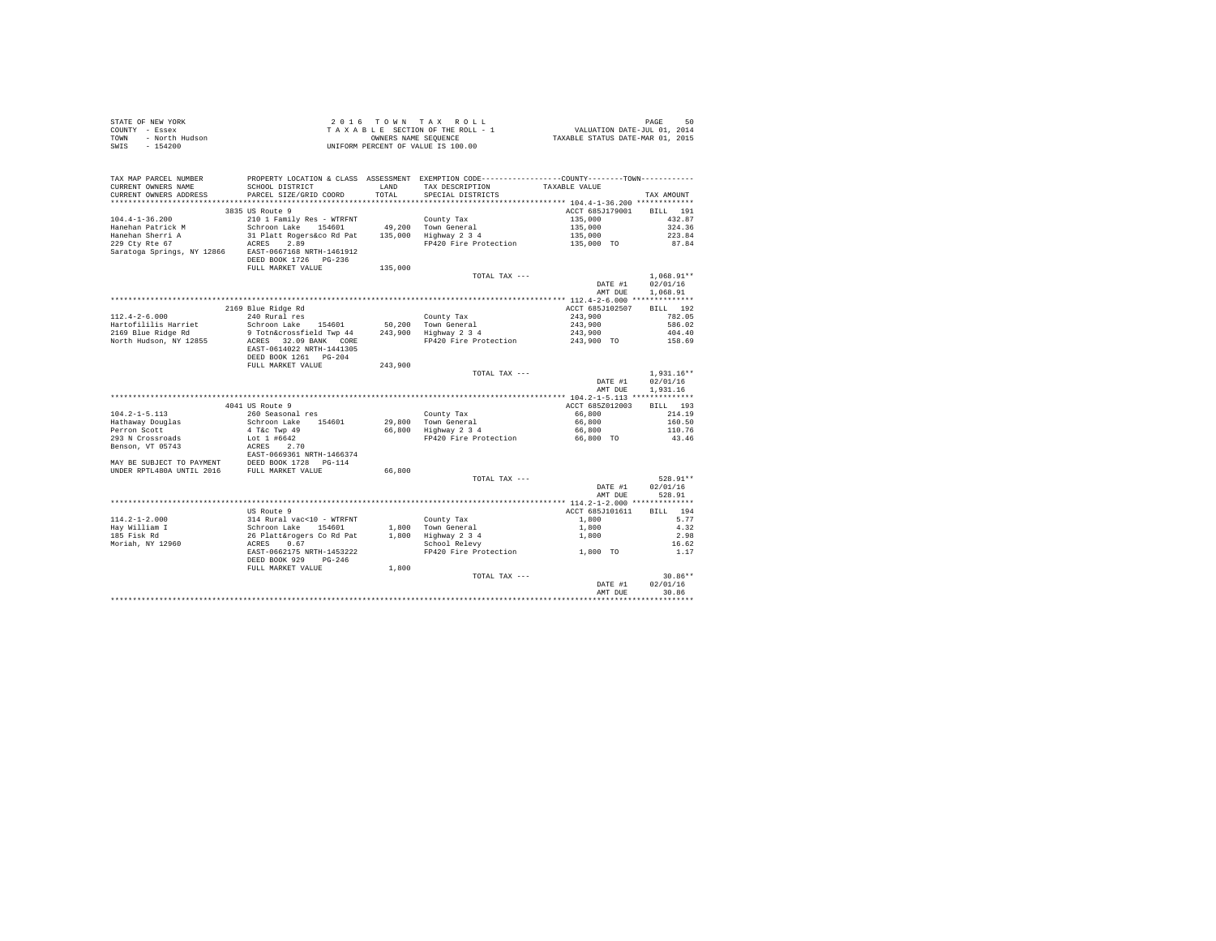| STATE OF NEW YORK |                | 2016 TOWN TAX ROLL                 |                      |  | 50<br>PAGE                       |
|-------------------|----------------|------------------------------------|----------------------|--|----------------------------------|
| COUNTY - Essex    |                | TAXABLE SECTION OF THE ROLL - 1    |                      |  | VALUATION DATE-JUL 01, 2014      |
| TOWN              | - North Hudson |                                    | OWNERS NAME SEOUENCE |  | TAXABLE STATUS DATE-MAR 01, 2015 |
| SWIS              | - 154200       | UNIFORM PERCENT OF VALUE IS 100.00 |                      |  |                                  |

|                                                                                                |                                                                                              |         |                                             | DATE #1                          |                    |
|------------------------------------------------------------------------------------------------|----------------------------------------------------------------------------------------------|---------|---------------------------------------------|----------------------------------|--------------------|
|                                                                                                |                                                                                              |         |                                             |                                  | 02/01/16           |
|                                                                                                | FULL MARKET VALUE                                                                            | 1,800   | TOTAL TAX ---                               |                                  | $30.86**$          |
|                                                                                                | DEED BOOK 929<br>$PG-246$                                                                    |         |                                             |                                  |                    |
|                                                                                                | EAST-0662175 NRTH-1453222                                                                    |         | FP420 Fire Protection                       | 1,800 TO                         | 1.17               |
| Moriah, NY 12960                                                                               | 314 Rural vac<10 - WTRFNT<br>Schroon Lake 154601<br>26 Platt&rogers Co Rd Pat<br>ACRES 0.67  |         | School Relevy                               |                                  | 16.62              |
| 185 Fisk Rd                                                                                    |                                                                                              |         | $1,800$ Highway $2,3,4$<br>School Relevy    | 1,800                            | 2.98               |
| Hav William I                                                                                  |                                                                                              |         | 1,800 Town General                          | 1,800                            | 4.32               |
| $114.2 - 1 - 2.000$                                                                            |                                                                                              |         | County Tax                                  | 1,800                            | 5.77               |
|                                                                                                | US Route 9                                                                                   |         |                                             | ACCT 685J101611                  | BILL 194           |
|                                                                                                |                                                                                              |         |                                             |                                  |                    |
|                                                                                                |                                                                                              |         |                                             | AMT DUE                          | 528.91             |
|                                                                                                |                                                                                              |         |                                             | DATE #1                          | 02/01/16           |
|                                                                                                |                                                                                              |         | TOTAL TAX ---                               |                                  | 528.91**           |
|                                                                                                |                                                                                              | 66,800  |                                             |                                  |                    |
| MAY BE SUBJECT TO PAYMENT DEED BOOK 1728 PG-114<br>UNDER RPTL480A UNTIL 2016 FULL MARKET VALUE |                                                                                              |         |                                             |                                  |                    |
|                                                                                                |                                                                                              |         |                                             |                                  |                    |
| Benson, VT 05743                                                                               | ACRES 2.70<br>EAST-0669361 NRTH-1466374                                                      |         |                                             |                                  |                    |
| 293 N Crossroads                                                                               | Lot 1 #6642                                                                                  |         | FP420 Fire Protection                       | 66,800 TO                        | 43.46              |
| Perron Scott                                                                                   | 4 T&c Twp 49                                                                                 |         |                                             | 66,800                           | 110.76             |
| Hathaway Douglas                                                                               | Schroon Lake 154601                                                                          |         | 29,800 Town General<br>66,800 Highway 2 3 4 | 66,800                           | 160.50             |
| $104.2 - 1 - 5.113$                                                                            | 260 Seasonal res                                                                             |         | County Tax                                  | 66,800                           | 214.19             |
|                                                                                                | 4041 US Route 9                                                                              |         |                                             | ACCT 685Z012003                  | BILL 193           |
|                                                                                                |                                                                                              |         |                                             |                                  |                    |
|                                                                                                |                                                                                              |         |                                             | AMT DUE                          | 1,931.16           |
|                                                                                                |                                                                                              |         |                                             | DATE #1                          | 02/01/16           |
|                                                                                                |                                                                                              |         | TOTAL TAX ---                               |                                  | $1,931.16**$       |
|                                                                                                | FULL MARKET VALUE                                                                            | 243,900 |                                             |                                  |                    |
|                                                                                                | DEED BOOK 1261 PG-204                                                                        |         |                                             |                                  |                    |
|                                                                                                | EAST-0614022 NRTH-1441305                                                                    |         |                                             |                                  |                    |
| North Hudson, NY 12855                                                                         | ACRES 32.09 BANK CORE                                                                        |         |                                             | FP420 Fire Protection 243,900 TO | 158.69             |
| 2169 Blue Ridge Rd                                                                             | 9 Totn&crossfield Twp 44 243,900 Highway 2 3 4                                               |         |                                             | 243,900                          | 404.40             |
| Hartofililis Harriet                                                                           | Schroon Lake 154601                                                                          |         | 50.200 Town General                         | 243,900                          | 586.02             |
| $112.4 - 2 - 6.000$                                                                            | 240 Rural res                                                                                |         | County Tax                                  | 243,900                          | 782.05             |
|                                                                                                | 2169 Blue Ridge Rd                                                                           |         |                                             | ACCT 685J102507                  | BILL 192           |
|                                                                                                |                                                                                              |         |                                             |                                  |                    |
|                                                                                                |                                                                                              |         |                                             | AMT DUE                          | 1,068.91           |
|                                                                                                |                                                                                              |         |                                             | DATE #1                          | 02/01/16           |
|                                                                                                |                                                                                              |         | TOTAL TAX $---$                             |                                  | $1,068.91**$       |
|                                                                                                | FULL MARKET VALUE                                                                            | 135,000 |                                             |                                  |                    |
|                                                                                                | DEED BOOK 1726 PG-236                                                                        |         |                                             |                                  |                    |
| Saratoga Springs, NY 12866 EAST-0667168 NRTH-1461912                                           |                                                                                              |         |                                             |                                  |                    |
| 229 Ctv Rte 67                                                                                 | 2.89<br>ACRES                                                                                |         | FP420 Fire Protection                       | 135,000 TO                       | 87.84              |
| Hanehan Sherri A                                                                               | 31 Platt Rogers&co Rd Pat                                                                    |         | 135,000 Highway 2 3 4                       | 135,000                          | 223.84             |
| Hanehan Patrick M                                                                              | Schroon Lake 154601                                                                          |         | 49,200 Town General                         | 135,000                          | 324.36             |
| $104.4 - 1 - 36.200$                                                                           | 210 1 Family Res - WTRFNT                                                                    |         | County Tax                                  | 135,000                          | 432.87             |
|                                                                                                | 3835 US Route 9                                                                              |         |                                             | ACCT 685J179001                  | 191<br><b>BILL</b> |
| ************************                                                                       |                                                                                              |         |                                             |                                  |                    |
| CURRENT OWNERS ADDRESS                                                                         | PARCEL SIZE/GRID COORD                                                                       | TOTAL   | SPECIAL DISTRICTS                           |                                  | TAX AMOUNT         |
| CURRENT OWNERS NAME                                                                            | SCHOOL DISTRICT                                                                              | LAND    | TAX DESCRIPTION                             | TAXABLE VALUE                    |                    |
| TAX MAP PARCEL NUMBER                                                                          | PROPERTY LOCATION & CLASS ASSESSMENT EXEMPTION CODE---------------COUNTY-------TOWN--------- |         |                                             |                                  |                    |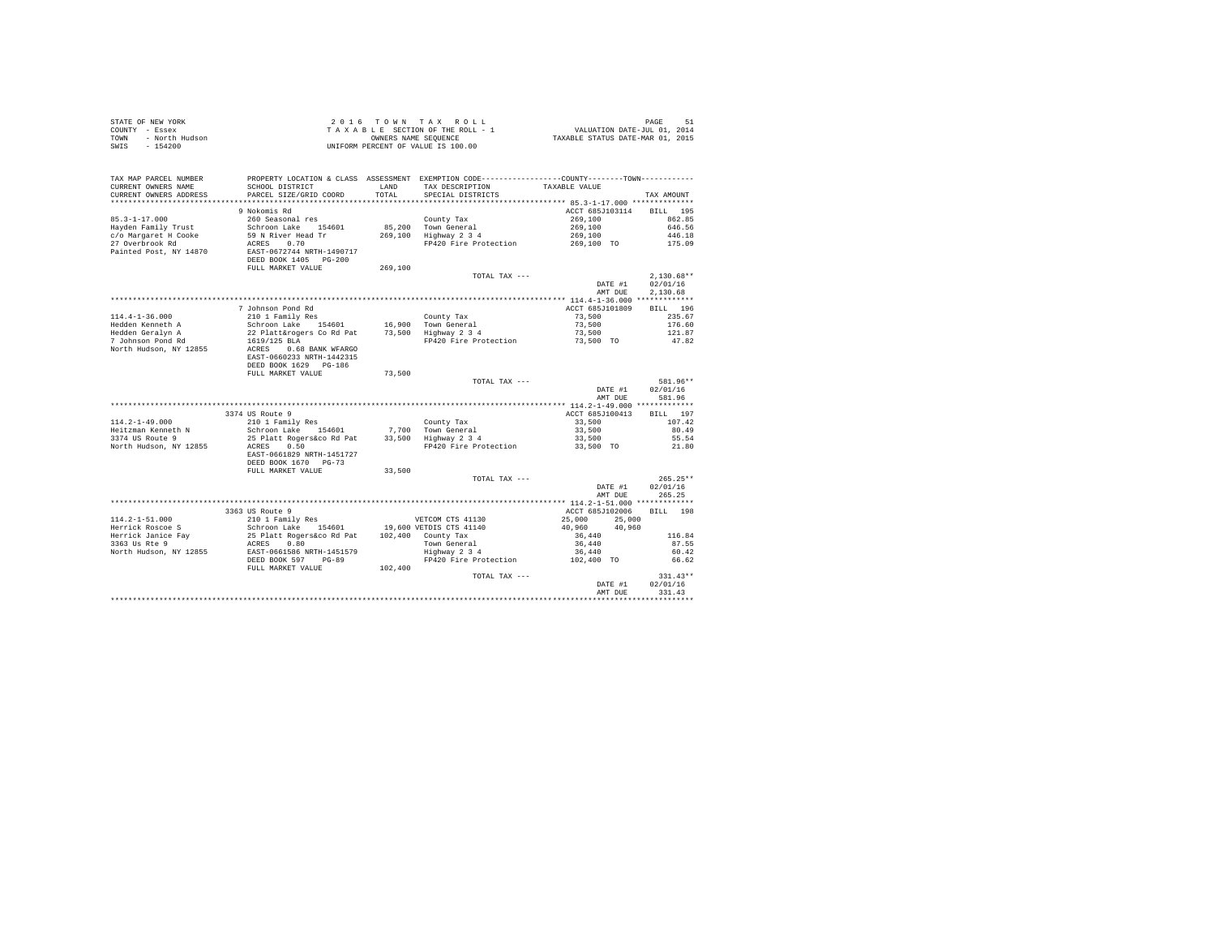| TAX MAP PARCEL NUMBER                         |                                                                              |         | PROPERTY LOCATION & CLASS ASSESSMENT EXEMPTION CODE----------------COUNTY-------TOWN---------- |                                |            |
|-----------------------------------------------|------------------------------------------------------------------------------|---------|------------------------------------------------------------------------------------------------|--------------------------------|------------|
| CURRENT OWNERS NAME<br>CURRENT OWNERS ADDRESS | SCHOOL DISTRICT LAND TAX DESCRIPTION<br>PARCEL SIZE/GRID COORD               | TOTAL   | SPECIAL DISTRICTS                                                                              | TAXABLE VALUE                  | TAX AMOUNT |
|                                               |                                                                              |         |                                                                                                |                                |            |
|                                               | 9 Nokomis Rd                                                                 |         |                                                                                                | ACCT 685J103114                | BILL 195   |
| $85.3 - 1 - 17.000$                           | 260 Seasonal res                                                             |         | County Tax                                                                                     | 269,100                        | 862.85     |
| Hayden Family Trust                           | Schroon Lake 154601                                                          |         | 85,200 Town General                                                                            | 269,100                        | 646.56     |
| c/o Margaret H Cooke                          |                                                                              |         |                                                                                                | 269,100                        | 446.18     |
| 27 Overbrook Rd                               | 59 N River Head Tr<br>269,100 Highway 234<br>ACRES 0.70 Highway 234          |         | FP420 Fire Protection 269,100 TO                                                               |                                | 175.09     |
| Painted Post, NY 14870                        | EAST-0672744 NRTH-1490717<br>DEED BOOK 1405 PG-200                           |         |                                                                                                |                                |            |
|                                               | FULL MARKET VALUE                                                            | 269,100 |                                                                                                |                                |            |
|                                               |                                                                              |         | TOTAL TAX ---                                                                                  |                                | 2.130.68** |
|                                               |                                                                              |         |                                                                                                | DATE #1 02/01/16               |            |
|                                               |                                                                              |         |                                                                                                | AMT DUE 2.130.68               |            |
|                                               | 7 Johnson Pond Rd                                                            |         |                                                                                                | ACCT 685J101809 BILL 196       |            |
| $114.4 - 1 - 36.000$                          | 210 1 Family Res                                                             |         | County Tax                                                                                     | 73,500                         | 235.67     |
| Hedden Kenneth A                              | Schroon Lake 154601 16,900 Town General                                      |         |                                                                                                | 73,500                         | 176.60     |
| Hedden Geralyn A                              |                                                                              |         | 22 Platt&rogers Co Rd Pat 73,500 Highway 2 3 4<br>1619/125 BLA 8 Rd Pat 79,500 Highway 2 3 4   | 73,500                         | 121.87     |
| 7 Johnson Pond Rd                             | 1619/125 BLA                                                                 |         |                                                                                                | 73.500 TO                      | 47.82      |
| North Hudson, NY 12855                        | ACRES 0.68 BANK WFARGO<br>EAST-0660233 NRTH-1442315<br>DEED BOOK 1629 PG-186 |         |                                                                                                |                                |            |
|                                               | FULL MARKET VALUE                                                            | 73,500  |                                                                                                |                                |            |
|                                               |                                                                              |         | TOTAL TAX ---                                                                                  |                                | 581.96**   |
|                                               |                                                                              |         |                                                                                                | DATE #1                        | 02/01/16   |
|                                               |                                                                              |         |                                                                                                | AMT DUE                        | 581.96     |
|                                               | 3374 US Route 9                                                              |         |                                                                                                | ACCT 685J100413 BILL 197       |            |
| $114.2 - 1 - 49.000$                          | 210 1 Family Res                                                             |         |                                                                                                | 33,500                         | 107.42     |
| Heitzman Kenneth N                            | 210 1 Family Res<br>Schroon Lake 154601 7,700 Town General                   |         |                                                                                                | 33,500                         | 80.49      |
| 3374 US Route 9                               | $25$ Platt Rogers&co Rd Pat $33,500$ Highway $2\,3\,4$                       |         |                                                                                                | 33,500                         | 55.54      |
| North Hudson, NY 12855                        | ACRES 0.50                                                                   |         | FP420 Fire Protection                                                                          | 33,500 TO                      | 21.80      |
|                                               | EAST-0661829 NRTH-1451727<br>DEED BOOK 1670 PG-73                            |         |                                                                                                |                                |            |
|                                               | FULL MARKET VALUE                                                            | 33,500  |                                                                                                |                                |            |
|                                               |                                                                              |         | TOTAL TAX ---                                                                                  |                                | $265.25**$ |
|                                               |                                                                              |         |                                                                                                | DATE #1                        | 02/01/16   |
|                                               |                                                                              |         |                                                                                                | AMT DUE                        | 265.25     |
|                                               |                                                                              |         |                                                                                                |                                |            |
| $114.2 - 1 - 51.000$                          | 3363 US Route 9<br>210 1 Family Res                                          |         | VETCOM CTS 41130                                                                               | ACCT 685J102006 BILL 198       |            |
| Herrick Roscoe S                              | Schroon Lake 154601 19,600 VETDIS CTS 41140                                  |         |                                                                                                | 25,000 25,000<br>40,960 40,960 |            |
| Herrick Janice Fav                            | 25 Platt Rogers&co Rd Pat 102,400 County Tax                                 |         |                                                                                                | 36,440                         | 116.84     |
| 3363 Us Rte 9                                 | ACRES 0.80                                                                   |         | Town General                                                                                   | 36,440                         | 87.55      |
| North Hudson, NY 12855                        | EAST-0661586 NRTH-1451579                                                    |         | Highway 2 3 4                                                                                  | 36,440                         | 60.42      |
|                                               | DEED BOOK 597 PG-89                                                          |         | $HP420$ Fire Protection $102,400$ TO                                                           |                                | 66.62      |
|                                               | FULL MARKET VALUE 102,400                                                    |         |                                                                                                |                                |            |
|                                               |                                                                              |         | TOTAL TAX ---                                                                                  |                                | $331.43**$ |
|                                               |                                                                              |         |                                                                                                | DATE #1                        | 02/01/16   |
|                                               |                                                                              |         |                                                                                                | AMT DUE                        | 331.43     |
|                                               |                                                                              |         |                                                                                                |                                |            |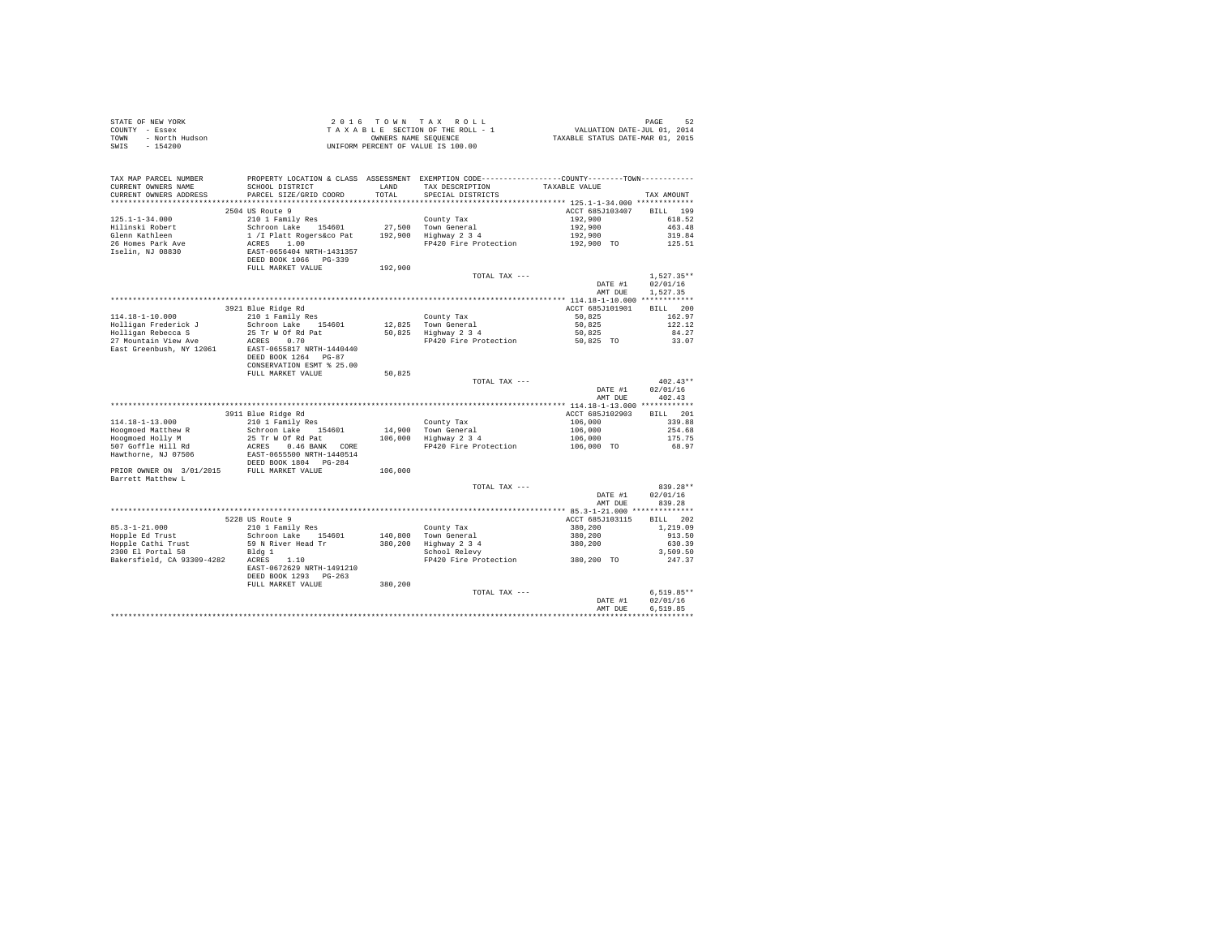| PAGE 52<br>VALUATION DATE-JUL 01, 2014<br>TAXABLE STATUS DATE-MAR 01, 2015<br>TOWN - North Hudson<br>SWIS - 154200<br>PROPERTY LOCATION & CLASS ASSESSMENT EXEMPTION CODE----------------COUNTY-------TOWN---------<br>TAX MAP PARCEL NUMBER<br>SCHOOL DISTRICT<br>TAX DESCRIPTION TAXABLE VALUE<br>CURRENT OWNERS NAME<br>LAND<br>CURRENT OWNERS ADDRESS<br>PARCEL SIZE/GRID COORD<br>TOTAL<br>SPECIAL DISTRICTS<br>TAX AMOUNT<br>ACCT 685J103407<br>BILL 199<br>2504 US Route 9<br>$125.1 - 1 - 34.000$<br>210 1 Family Res<br>192,900<br>County Tax<br>618.52<br>Schroon Lake 154601<br>Hilinski Robert<br>27.500 Town General<br>192,900<br>463.48<br>$1 / I$ Platt Rogers&co Pat $192,900$ Highway 2 3 4<br>Glenn Kathleen<br>192,900<br>319.84<br>192,900 TO<br>ACRES 1.00<br>FP420 Fire Protection<br>26 Homes Park Ave<br>125.51<br>EAST-0656404 NRTH-1431357<br>DEED BOOK 1066 PG-339<br>Iselin, NJ 08830<br>FULL MARKET VALUE<br>192,900<br>TOTAL TAX ---<br>$1.527.35**$<br>02/01/16<br>DATE #1<br>1.527.35<br>AMT DUE<br>BILL 200<br>3921 Blue Ridge Rd<br>ACCT 685J101901<br>210 1 Family Res<br>114.18-1-10.000<br>County Tax<br>12,825 Town General<br>162.97<br>50,825<br>50.825<br>Holligan Frederick J<br>Schroon Lake 154601<br>122.12<br>12,825     Town General<br>50,825     Highway  2  3  4<br>50,825<br>Holligan Rebecca S<br>25 Tr W Of Rd Pat<br>84.27<br>FP420 Fire Protection 50,825 TO<br>ACRES 0.70<br>27 Mountain View Ave<br>33.07<br>EAST-0655817 NRTH-1440440<br>DEED BOOK 1264 PG-87<br>CONSERVATION ESMT % 25.00<br>FULL MARKET VALUE<br>50,825<br>TOTAL TAX ---<br>$402.43**$<br>DATE #1<br>02/01/16<br>AMT DUE<br>402.43<br>3911 Blue Ridge Rd<br>ACCT 685J102903<br>BILL 201<br>210 1 Family Res<br>106,000<br>County Tax<br>14,900 Town General<br>106,000 Highway 2 3 4<br>339.88<br>106,000<br>Schroon Lake 154601<br>254.68<br>Hoogmoed Holly M<br>25 Tr W Of Rd Pat<br>106,000<br>175.75<br>FP420 Fire Protection<br>106,000 TO<br>68.97<br>106,000<br>Barrett Matthew L<br>TOTAL TAX ---<br>839.28**<br>DATE #1<br>02/01/16<br>839.28<br>AMT DUE<br>BILL 202<br>ACCT 685J103115<br>5228 US Route 9<br>$85.3 - 1 - 21.000$<br>210 1 Family Res<br>380,200<br>1,219.09<br>County Tax<br>140,800 Town General<br>380,200 Highway 2 3 4<br>School Relevy<br>Hopple Ed Trust<br>$380,200$<br>$380,200$<br>$380,200$ TO<br>Schroon Lake 154601<br>913.50<br>Hopple Cathi Trust<br>59 N River Head Tr<br>630.39<br>2300 El Portal 58<br>Bldg 1<br>3,509.50<br>Bakersfield, CA 93309-4282 ACRES 1.10<br>FP420 Fire Protection<br>247.37<br>EAST-0672629 NRTH-1491210<br>DEED BOOK 1293 PG-263<br>380,200<br>FULL MARKET VALUE<br>$6.519.85**$<br>TOTAL TAX ---<br>DATE #1<br>02/01/16<br>6.519.85<br>AMT DUE | STATE OF NEW YORK<br>COUNTY - Essex |  | 2016 TOWN TAX ROLL<br>TAXABLE SECTION OF THE ROLL - 1 |  |
|----------------------------------------------------------------------------------------------------------------------------------------------------------------------------------------------------------------------------------------------------------------------------------------------------------------------------------------------------------------------------------------------------------------------------------------------------------------------------------------------------------------------------------------------------------------------------------------------------------------------------------------------------------------------------------------------------------------------------------------------------------------------------------------------------------------------------------------------------------------------------------------------------------------------------------------------------------------------------------------------------------------------------------------------------------------------------------------------------------------------------------------------------------------------------------------------------------------------------------------------------------------------------------------------------------------------------------------------------------------------------------------------------------------------------------------------------------------------------------------------------------------------------------------------------------------------------------------------------------------------------------------------------------------------------------------------------------------------------------------------------------------------------------------------------------------------------------------------------------------------------------------------------------------------------------------------------------------------------------------------------------------------------------------------------------------------------------------------------------------------------------------------------------------------------------------------------------------------------------------------------------------------------------------------------------------------------------------------------------------------------------------------------------------------------------------------------------------------------------------------------------------------------------------------------------------------------------------------------------------------------------------------------------------------------------------------------------------------------------------------------|-------------------------------------|--|-------------------------------------------------------|--|
|                                                                                                                                                                                                                                                                                                                                                                                                                                                                                                                                                                                                                                                                                                                                                                                                                                                                                                                                                                                                                                                                                                                                                                                                                                                                                                                                                                                                                                                                                                                                                                                                                                                                                                                                                                                                                                                                                                                                                                                                                                                                                                                                                                                                                                                                                                                                                                                                                                                                                                                                                                                                                                                                                                                                                    |                                     |  |                                                       |  |
|                                                                                                                                                                                                                                                                                                                                                                                                                                                                                                                                                                                                                                                                                                                                                                                                                                                                                                                                                                                                                                                                                                                                                                                                                                                                                                                                                                                                                                                                                                                                                                                                                                                                                                                                                                                                                                                                                                                                                                                                                                                                                                                                                                                                                                                                                                                                                                                                                                                                                                                                                                                                                                                                                                                                                    |                                     |  |                                                       |  |
|                                                                                                                                                                                                                                                                                                                                                                                                                                                                                                                                                                                                                                                                                                                                                                                                                                                                                                                                                                                                                                                                                                                                                                                                                                                                                                                                                                                                                                                                                                                                                                                                                                                                                                                                                                                                                                                                                                                                                                                                                                                                                                                                                                                                                                                                                                                                                                                                                                                                                                                                                                                                                                                                                                                                                    |                                     |  |                                                       |  |
|                                                                                                                                                                                                                                                                                                                                                                                                                                                                                                                                                                                                                                                                                                                                                                                                                                                                                                                                                                                                                                                                                                                                                                                                                                                                                                                                                                                                                                                                                                                                                                                                                                                                                                                                                                                                                                                                                                                                                                                                                                                                                                                                                                                                                                                                                                                                                                                                                                                                                                                                                                                                                                                                                                                                                    |                                     |  |                                                       |  |
|                                                                                                                                                                                                                                                                                                                                                                                                                                                                                                                                                                                                                                                                                                                                                                                                                                                                                                                                                                                                                                                                                                                                                                                                                                                                                                                                                                                                                                                                                                                                                                                                                                                                                                                                                                                                                                                                                                                                                                                                                                                                                                                                                                                                                                                                                                                                                                                                                                                                                                                                                                                                                                                                                                                                                    |                                     |  |                                                       |  |
|                                                                                                                                                                                                                                                                                                                                                                                                                                                                                                                                                                                                                                                                                                                                                                                                                                                                                                                                                                                                                                                                                                                                                                                                                                                                                                                                                                                                                                                                                                                                                                                                                                                                                                                                                                                                                                                                                                                                                                                                                                                                                                                                                                                                                                                                                                                                                                                                                                                                                                                                                                                                                                                                                                                                                    |                                     |  |                                                       |  |
|                                                                                                                                                                                                                                                                                                                                                                                                                                                                                                                                                                                                                                                                                                                                                                                                                                                                                                                                                                                                                                                                                                                                                                                                                                                                                                                                                                                                                                                                                                                                                                                                                                                                                                                                                                                                                                                                                                                                                                                                                                                                                                                                                                                                                                                                                                                                                                                                                                                                                                                                                                                                                                                                                                                                                    |                                     |  |                                                       |  |
|                                                                                                                                                                                                                                                                                                                                                                                                                                                                                                                                                                                                                                                                                                                                                                                                                                                                                                                                                                                                                                                                                                                                                                                                                                                                                                                                                                                                                                                                                                                                                                                                                                                                                                                                                                                                                                                                                                                                                                                                                                                                                                                                                                                                                                                                                                                                                                                                                                                                                                                                                                                                                                                                                                                                                    |                                     |  |                                                       |  |
|                                                                                                                                                                                                                                                                                                                                                                                                                                                                                                                                                                                                                                                                                                                                                                                                                                                                                                                                                                                                                                                                                                                                                                                                                                                                                                                                                                                                                                                                                                                                                                                                                                                                                                                                                                                                                                                                                                                                                                                                                                                                                                                                                                                                                                                                                                                                                                                                                                                                                                                                                                                                                                                                                                                                                    |                                     |  |                                                       |  |
|                                                                                                                                                                                                                                                                                                                                                                                                                                                                                                                                                                                                                                                                                                                                                                                                                                                                                                                                                                                                                                                                                                                                                                                                                                                                                                                                                                                                                                                                                                                                                                                                                                                                                                                                                                                                                                                                                                                                                                                                                                                                                                                                                                                                                                                                                                                                                                                                                                                                                                                                                                                                                                                                                                                                                    |                                     |  |                                                       |  |
|                                                                                                                                                                                                                                                                                                                                                                                                                                                                                                                                                                                                                                                                                                                                                                                                                                                                                                                                                                                                                                                                                                                                                                                                                                                                                                                                                                                                                                                                                                                                                                                                                                                                                                                                                                                                                                                                                                                                                                                                                                                                                                                                                                                                                                                                                                                                                                                                                                                                                                                                                                                                                                                                                                                                                    |                                     |  |                                                       |  |
|                                                                                                                                                                                                                                                                                                                                                                                                                                                                                                                                                                                                                                                                                                                                                                                                                                                                                                                                                                                                                                                                                                                                                                                                                                                                                                                                                                                                                                                                                                                                                                                                                                                                                                                                                                                                                                                                                                                                                                                                                                                                                                                                                                                                                                                                                                                                                                                                                                                                                                                                                                                                                                                                                                                                                    |                                     |  |                                                       |  |
|                                                                                                                                                                                                                                                                                                                                                                                                                                                                                                                                                                                                                                                                                                                                                                                                                                                                                                                                                                                                                                                                                                                                                                                                                                                                                                                                                                                                                                                                                                                                                                                                                                                                                                                                                                                                                                                                                                                                                                                                                                                                                                                                                                                                                                                                                                                                                                                                                                                                                                                                                                                                                                                                                                                                                    |                                     |  |                                                       |  |
|                                                                                                                                                                                                                                                                                                                                                                                                                                                                                                                                                                                                                                                                                                                                                                                                                                                                                                                                                                                                                                                                                                                                                                                                                                                                                                                                                                                                                                                                                                                                                                                                                                                                                                                                                                                                                                                                                                                                                                                                                                                                                                                                                                                                                                                                                                                                                                                                                                                                                                                                                                                                                                                                                                                                                    |                                     |  |                                                       |  |
|                                                                                                                                                                                                                                                                                                                                                                                                                                                                                                                                                                                                                                                                                                                                                                                                                                                                                                                                                                                                                                                                                                                                                                                                                                                                                                                                                                                                                                                                                                                                                                                                                                                                                                                                                                                                                                                                                                                                                                                                                                                                                                                                                                                                                                                                                                                                                                                                                                                                                                                                                                                                                                                                                                                                                    |                                     |  |                                                       |  |
|                                                                                                                                                                                                                                                                                                                                                                                                                                                                                                                                                                                                                                                                                                                                                                                                                                                                                                                                                                                                                                                                                                                                                                                                                                                                                                                                                                                                                                                                                                                                                                                                                                                                                                                                                                                                                                                                                                                                                                                                                                                                                                                                                                                                                                                                                                                                                                                                                                                                                                                                                                                                                                                                                                                                                    |                                     |  |                                                       |  |
|                                                                                                                                                                                                                                                                                                                                                                                                                                                                                                                                                                                                                                                                                                                                                                                                                                                                                                                                                                                                                                                                                                                                                                                                                                                                                                                                                                                                                                                                                                                                                                                                                                                                                                                                                                                                                                                                                                                                                                                                                                                                                                                                                                                                                                                                                                                                                                                                                                                                                                                                                                                                                                                                                                                                                    |                                     |  |                                                       |  |
|                                                                                                                                                                                                                                                                                                                                                                                                                                                                                                                                                                                                                                                                                                                                                                                                                                                                                                                                                                                                                                                                                                                                                                                                                                                                                                                                                                                                                                                                                                                                                                                                                                                                                                                                                                                                                                                                                                                                                                                                                                                                                                                                                                                                                                                                                                                                                                                                                                                                                                                                                                                                                                                                                                                                                    |                                     |  |                                                       |  |
|                                                                                                                                                                                                                                                                                                                                                                                                                                                                                                                                                                                                                                                                                                                                                                                                                                                                                                                                                                                                                                                                                                                                                                                                                                                                                                                                                                                                                                                                                                                                                                                                                                                                                                                                                                                                                                                                                                                                                                                                                                                                                                                                                                                                                                                                                                                                                                                                                                                                                                                                                                                                                                                                                                                                                    |                                     |  |                                                       |  |
|                                                                                                                                                                                                                                                                                                                                                                                                                                                                                                                                                                                                                                                                                                                                                                                                                                                                                                                                                                                                                                                                                                                                                                                                                                                                                                                                                                                                                                                                                                                                                                                                                                                                                                                                                                                                                                                                                                                                                                                                                                                                                                                                                                                                                                                                                                                                                                                                                                                                                                                                                                                                                                                                                                                                                    |                                     |  |                                                       |  |
|                                                                                                                                                                                                                                                                                                                                                                                                                                                                                                                                                                                                                                                                                                                                                                                                                                                                                                                                                                                                                                                                                                                                                                                                                                                                                                                                                                                                                                                                                                                                                                                                                                                                                                                                                                                                                                                                                                                                                                                                                                                                                                                                                                                                                                                                                                                                                                                                                                                                                                                                                                                                                                                                                                                                                    |                                     |  |                                                       |  |
|                                                                                                                                                                                                                                                                                                                                                                                                                                                                                                                                                                                                                                                                                                                                                                                                                                                                                                                                                                                                                                                                                                                                                                                                                                                                                                                                                                                                                                                                                                                                                                                                                                                                                                                                                                                                                                                                                                                                                                                                                                                                                                                                                                                                                                                                                                                                                                                                                                                                                                                                                                                                                                                                                                                                                    |                                     |  |                                                       |  |
|                                                                                                                                                                                                                                                                                                                                                                                                                                                                                                                                                                                                                                                                                                                                                                                                                                                                                                                                                                                                                                                                                                                                                                                                                                                                                                                                                                                                                                                                                                                                                                                                                                                                                                                                                                                                                                                                                                                                                                                                                                                                                                                                                                                                                                                                                                                                                                                                                                                                                                                                                                                                                                                                                                                                                    |                                     |  |                                                       |  |
|                                                                                                                                                                                                                                                                                                                                                                                                                                                                                                                                                                                                                                                                                                                                                                                                                                                                                                                                                                                                                                                                                                                                                                                                                                                                                                                                                                                                                                                                                                                                                                                                                                                                                                                                                                                                                                                                                                                                                                                                                                                                                                                                                                                                                                                                                                                                                                                                                                                                                                                                                                                                                                                                                                                                                    |                                     |  |                                                       |  |
|                                                                                                                                                                                                                                                                                                                                                                                                                                                                                                                                                                                                                                                                                                                                                                                                                                                                                                                                                                                                                                                                                                                                                                                                                                                                                                                                                                                                                                                                                                                                                                                                                                                                                                                                                                                                                                                                                                                                                                                                                                                                                                                                                                                                                                                                                                                                                                                                                                                                                                                                                                                                                                                                                                                                                    |                                     |  |                                                       |  |
|                                                                                                                                                                                                                                                                                                                                                                                                                                                                                                                                                                                                                                                                                                                                                                                                                                                                                                                                                                                                                                                                                                                                                                                                                                                                                                                                                                                                                                                                                                                                                                                                                                                                                                                                                                                                                                                                                                                                                                                                                                                                                                                                                                                                                                                                                                                                                                                                                                                                                                                                                                                                                                                                                                                                                    | East Greenbush, NY 12061            |  |                                                       |  |
|                                                                                                                                                                                                                                                                                                                                                                                                                                                                                                                                                                                                                                                                                                                                                                                                                                                                                                                                                                                                                                                                                                                                                                                                                                                                                                                                                                                                                                                                                                                                                                                                                                                                                                                                                                                                                                                                                                                                                                                                                                                                                                                                                                                                                                                                                                                                                                                                                                                                                                                                                                                                                                                                                                                                                    |                                     |  |                                                       |  |
|                                                                                                                                                                                                                                                                                                                                                                                                                                                                                                                                                                                                                                                                                                                                                                                                                                                                                                                                                                                                                                                                                                                                                                                                                                                                                                                                                                                                                                                                                                                                                                                                                                                                                                                                                                                                                                                                                                                                                                                                                                                                                                                                                                                                                                                                                                                                                                                                                                                                                                                                                                                                                                                                                                                                                    |                                     |  |                                                       |  |
|                                                                                                                                                                                                                                                                                                                                                                                                                                                                                                                                                                                                                                                                                                                                                                                                                                                                                                                                                                                                                                                                                                                                                                                                                                                                                                                                                                                                                                                                                                                                                                                                                                                                                                                                                                                                                                                                                                                                                                                                                                                                                                                                                                                                                                                                                                                                                                                                                                                                                                                                                                                                                                                                                                                                                    |                                     |  |                                                       |  |
|                                                                                                                                                                                                                                                                                                                                                                                                                                                                                                                                                                                                                                                                                                                                                                                                                                                                                                                                                                                                                                                                                                                                                                                                                                                                                                                                                                                                                                                                                                                                                                                                                                                                                                                                                                                                                                                                                                                                                                                                                                                                                                                                                                                                                                                                                                                                                                                                                                                                                                                                                                                                                                                                                                                                                    |                                     |  |                                                       |  |
|                                                                                                                                                                                                                                                                                                                                                                                                                                                                                                                                                                                                                                                                                                                                                                                                                                                                                                                                                                                                                                                                                                                                                                                                                                                                                                                                                                                                                                                                                                                                                                                                                                                                                                                                                                                                                                                                                                                                                                                                                                                                                                                                                                                                                                                                                                                                                                                                                                                                                                                                                                                                                                                                                                                                                    |                                     |  |                                                       |  |
|                                                                                                                                                                                                                                                                                                                                                                                                                                                                                                                                                                                                                                                                                                                                                                                                                                                                                                                                                                                                                                                                                                                                                                                                                                                                                                                                                                                                                                                                                                                                                                                                                                                                                                                                                                                                                                                                                                                                                                                                                                                                                                                                                                                                                                                                                                                                                                                                                                                                                                                                                                                                                                                                                                                                                    |                                     |  |                                                       |  |
|                                                                                                                                                                                                                                                                                                                                                                                                                                                                                                                                                                                                                                                                                                                                                                                                                                                                                                                                                                                                                                                                                                                                                                                                                                                                                                                                                                                                                                                                                                                                                                                                                                                                                                                                                                                                                                                                                                                                                                                                                                                                                                                                                                                                                                                                                                                                                                                                                                                                                                                                                                                                                                                                                                                                                    |                                     |  |                                                       |  |
|                                                                                                                                                                                                                                                                                                                                                                                                                                                                                                                                                                                                                                                                                                                                                                                                                                                                                                                                                                                                                                                                                                                                                                                                                                                                                                                                                                                                                                                                                                                                                                                                                                                                                                                                                                                                                                                                                                                                                                                                                                                                                                                                                                                                                                                                                                                                                                                                                                                                                                                                                                                                                                                                                                                                                    |                                     |  |                                                       |  |
|                                                                                                                                                                                                                                                                                                                                                                                                                                                                                                                                                                                                                                                                                                                                                                                                                                                                                                                                                                                                                                                                                                                                                                                                                                                                                                                                                                                                                                                                                                                                                                                                                                                                                                                                                                                                                                                                                                                                                                                                                                                                                                                                                                                                                                                                                                                                                                                                                                                                                                                                                                                                                                                                                                                                                    | 114.18-1-13.000                     |  |                                                       |  |
|                                                                                                                                                                                                                                                                                                                                                                                                                                                                                                                                                                                                                                                                                                                                                                                                                                                                                                                                                                                                                                                                                                                                                                                                                                                                                                                                                                                                                                                                                                                                                                                                                                                                                                                                                                                                                                                                                                                                                                                                                                                                                                                                                                                                                                                                                                                                                                                                                                                                                                                                                                                                                                                                                                                                                    | Hoogmoed Matthew R                  |  |                                                       |  |
|                                                                                                                                                                                                                                                                                                                                                                                                                                                                                                                                                                                                                                                                                                                                                                                                                                                                                                                                                                                                                                                                                                                                                                                                                                                                                                                                                                                                                                                                                                                                                                                                                                                                                                                                                                                                                                                                                                                                                                                                                                                                                                                                                                                                                                                                                                                                                                                                                                                                                                                                                                                                                                                                                                                                                    |                                     |  |                                                       |  |
|                                                                                                                                                                                                                                                                                                                                                                                                                                                                                                                                                                                                                                                                                                                                                                                                                                                                                                                                                                                                                                                                                                                                                                                                                                                                                                                                                                                                                                                                                                                                                                                                                                                                                                                                                                                                                                                                                                                                                                                                                                                                                                                                                                                                                                                                                                                                                                                                                                                                                                                                                                                                                                                                                                                                                    |                                     |  |                                                       |  |
|                                                                                                                                                                                                                                                                                                                                                                                                                                                                                                                                                                                                                                                                                                                                                                                                                                                                                                                                                                                                                                                                                                                                                                                                                                                                                                                                                                                                                                                                                                                                                                                                                                                                                                                                                                                                                                                                                                                                                                                                                                                                                                                                                                                                                                                                                                                                                                                                                                                                                                                                                                                                                                                                                                                                                    |                                     |  |                                                       |  |
|                                                                                                                                                                                                                                                                                                                                                                                                                                                                                                                                                                                                                                                                                                                                                                                                                                                                                                                                                                                                                                                                                                                                                                                                                                                                                                                                                                                                                                                                                                                                                                                                                                                                                                                                                                                                                                                                                                                                                                                                                                                                                                                                                                                                                                                                                                                                                                                                                                                                                                                                                                                                                                                                                                                                                    |                                     |  |                                                       |  |
|                                                                                                                                                                                                                                                                                                                                                                                                                                                                                                                                                                                                                                                                                                                                                                                                                                                                                                                                                                                                                                                                                                                                                                                                                                                                                                                                                                                                                                                                                                                                                                                                                                                                                                                                                                                                                                                                                                                                                                                                                                                                                                                                                                                                                                                                                                                                                                                                                                                                                                                                                                                                                                                                                                                                                    |                                     |  |                                                       |  |
|                                                                                                                                                                                                                                                                                                                                                                                                                                                                                                                                                                                                                                                                                                                                                                                                                                                                                                                                                                                                                                                                                                                                                                                                                                                                                                                                                                                                                                                                                                                                                                                                                                                                                                                                                                                                                                                                                                                                                                                                                                                                                                                                                                                                                                                                                                                                                                                                                                                                                                                                                                                                                                                                                                                                                    |                                     |  |                                                       |  |
|                                                                                                                                                                                                                                                                                                                                                                                                                                                                                                                                                                                                                                                                                                                                                                                                                                                                                                                                                                                                                                                                                                                                                                                                                                                                                                                                                                                                                                                                                                                                                                                                                                                                                                                                                                                                                                                                                                                                                                                                                                                                                                                                                                                                                                                                                                                                                                                                                                                                                                                                                                                                                                                                                                                                                    |                                     |  |                                                       |  |
|                                                                                                                                                                                                                                                                                                                                                                                                                                                                                                                                                                                                                                                                                                                                                                                                                                                                                                                                                                                                                                                                                                                                                                                                                                                                                                                                                                                                                                                                                                                                                                                                                                                                                                                                                                                                                                                                                                                                                                                                                                                                                                                                                                                                                                                                                                                                                                                                                                                                                                                                                                                                                                                                                                                                                    |                                     |  |                                                       |  |
|                                                                                                                                                                                                                                                                                                                                                                                                                                                                                                                                                                                                                                                                                                                                                                                                                                                                                                                                                                                                                                                                                                                                                                                                                                                                                                                                                                                                                                                                                                                                                                                                                                                                                                                                                                                                                                                                                                                                                                                                                                                                                                                                                                                                                                                                                                                                                                                                                                                                                                                                                                                                                                                                                                                                                    |                                     |  |                                                       |  |
|                                                                                                                                                                                                                                                                                                                                                                                                                                                                                                                                                                                                                                                                                                                                                                                                                                                                                                                                                                                                                                                                                                                                                                                                                                                                                                                                                                                                                                                                                                                                                                                                                                                                                                                                                                                                                                                                                                                                                                                                                                                                                                                                                                                                                                                                                                                                                                                                                                                                                                                                                                                                                                                                                                                                                    |                                     |  |                                                       |  |
|                                                                                                                                                                                                                                                                                                                                                                                                                                                                                                                                                                                                                                                                                                                                                                                                                                                                                                                                                                                                                                                                                                                                                                                                                                                                                                                                                                                                                                                                                                                                                                                                                                                                                                                                                                                                                                                                                                                                                                                                                                                                                                                                                                                                                                                                                                                                                                                                                                                                                                                                                                                                                                                                                                                                                    |                                     |  |                                                       |  |
|                                                                                                                                                                                                                                                                                                                                                                                                                                                                                                                                                                                                                                                                                                                                                                                                                                                                                                                                                                                                                                                                                                                                                                                                                                                                                                                                                                                                                                                                                                                                                                                                                                                                                                                                                                                                                                                                                                                                                                                                                                                                                                                                                                                                                                                                                                                                                                                                                                                                                                                                                                                                                                                                                                                                                    |                                     |  |                                                       |  |
|                                                                                                                                                                                                                                                                                                                                                                                                                                                                                                                                                                                                                                                                                                                                                                                                                                                                                                                                                                                                                                                                                                                                                                                                                                                                                                                                                                                                                                                                                                                                                                                                                                                                                                                                                                                                                                                                                                                                                                                                                                                                                                                                                                                                                                                                                                                                                                                                                                                                                                                                                                                                                                                                                                                                                    |                                     |  |                                                       |  |
|                                                                                                                                                                                                                                                                                                                                                                                                                                                                                                                                                                                                                                                                                                                                                                                                                                                                                                                                                                                                                                                                                                                                                                                                                                                                                                                                                                                                                                                                                                                                                                                                                                                                                                                                                                                                                                                                                                                                                                                                                                                                                                                                                                                                                                                                                                                                                                                                                                                                                                                                                                                                                                                                                                                                                    |                                     |  |                                                       |  |
|                                                                                                                                                                                                                                                                                                                                                                                                                                                                                                                                                                                                                                                                                                                                                                                                                                                                                                                                                                                                                                                                                                                                                                                                                                                                                                                                                                                                                                                                                                                                                                                                                                                                                                                                                                                                                                                                                                                                                                                                                                                                                                                                                                                                                                                                                                                                                                                                                                                                                                                                                                                                                                                                                                                                                    |                                     |  |                                                       |  |
|                                                                                                                                                                                                                                                                                                                                                                                                                                                                                                                                                                                                                                                                                                                                                                                                                                                                                                                                                                                                                                                                                                                                                                                                                                                                                                                                                                                                                                                                                                                                                                                                                                                                                                                                                                                                                                                                                                                                                                                                                                                                                                                                                                                                                                                                                                                                                                                                                                                                                                                                                                                                                                                                                                                                                    |                                     |  |                                                       |  |
|                                                                                                                                                                                                                                                                                                                                                                                                                                                                                                                                                                                                                                                                                                                                                                                                                                                                                                                                                                                                                                                                                                                                                                                                                                                                                                                                                                                                                                                                                                                                                                                                                                                                                                                                                                                                                                                                                                                                                                                                                                                                                                                                                                                                                                                                                                                                                                                                                                                                                                                                                                                                                                                                                                                                                    |                                     |  |                                                       |  |
|                                                                                                                                                                                                                                                                                                                                                                                                                                                                                                                                                                                                                                                                                                                                                                                                                                                                                                                                                                                                                                                                                                                                                                                                                                                                                                                                                                                                                                                                                                                                                                                                                                                                                                                                                                                                                                                                                                                                                                                                                                                                                                                                                                                                                                                                                                                                                                                                                                                                                                                                                                                                                                                                                                                                                    |                                     |  |                                                       |  |
|                                                                                                                                                                                                                                                                                                                                                                                                                                                                                                                                                                                                                                                                                                                                                                                                                                                                                                                                                                                                                                                                                                                                                                                                                                                                                                                                                                                                                                                                                                                                                                                                                                                                                                                                                                                                                                                                                                                                                                                                                                                                                                                                                                                                                                                                                                                                                                                                                                                                                                                                                                                                                                                                                                                                                    |                                     |  |                                                       |  |
|                                                                                                                                                                                                                                                                                                                                                                                                                                                                                                                                                                                                                                                                                                                                                                                                                                                                                                                                                                                                                                                                                                                                                                                                                                                                                                                                                                                                                                                                                                                                                                                                                                                                                                                                                                                                                                                                                                                                                                                                                                                                                                                                                                                                                                                                                                                                                                                                                                                                                                                                                                                                                                                                                                                                                    |                                     |  |                                                       |  |
|                                                                                                                                                                                                                                                                                                                                                                                                                                                                                                                                                                                                                                                                                                                                                                                                                                                                                                                                                                                                                                                                                                                                                                                                                                                                                                                                                                                                                                                                                                                                                                                                                                                                                                                                                                                                                                                                                                                                                                                                                                                                                                                                                                                                                                                                                                                                                                                                                                                                                                                                                                                                                                                                                                                                                    |                                     |  |                                                       |  |
|                                                                                                                                                                                                                                                                                                                                                                                                                                                                                                                                                                                                                                                                                                                                                                                                                                                                                                                                                                                                                                                                                                                                                                                                                                                                                                                                                                                                                                                                                                                                                                                                                                                                                                                                                                                                                                                                                                                                                                                                                                                                                                                                                                                                                                                                                                                                                                                                                                                                                                                                                                                                                                                                                                                                                    |                                     |  |                                                       |  |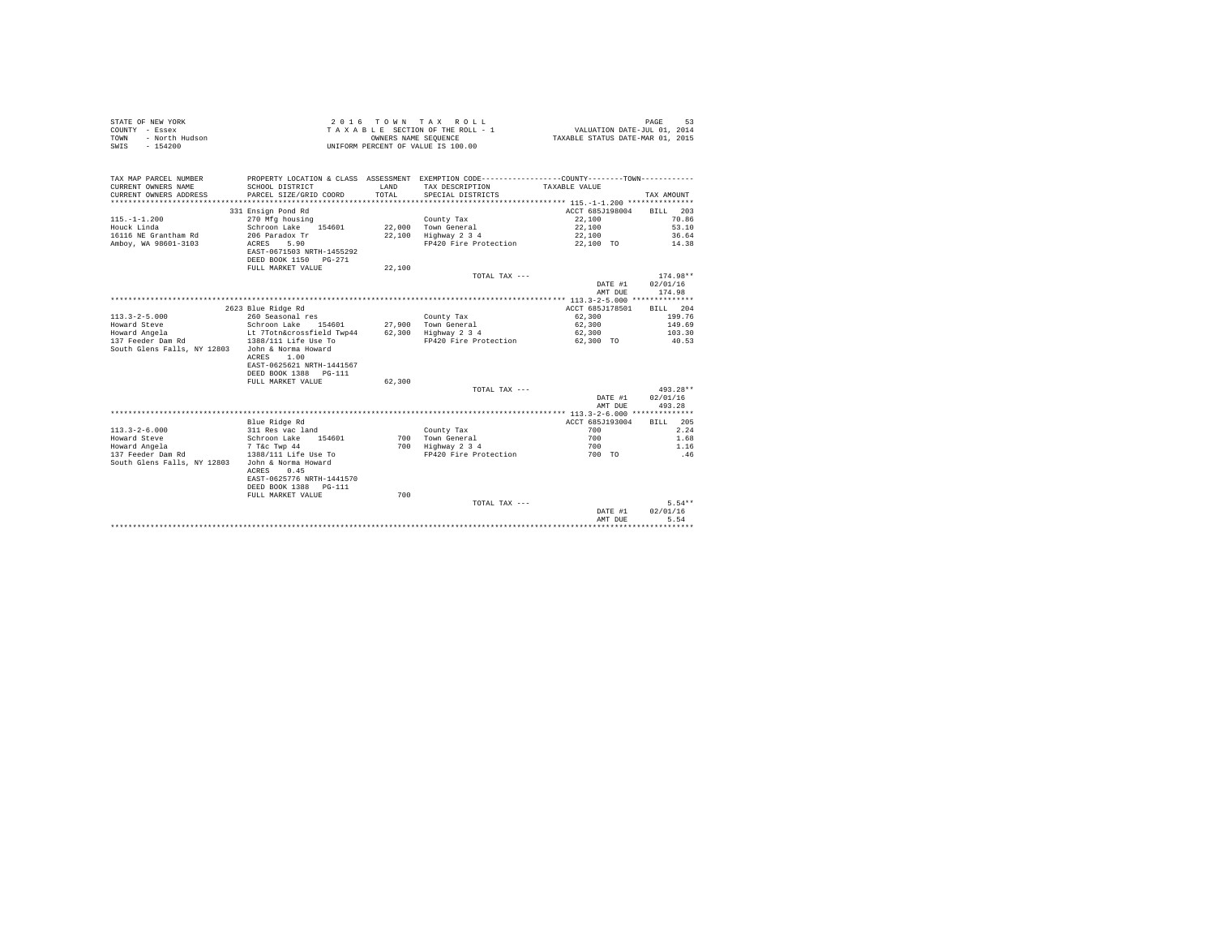| STATE OF NEW YORK<br>COUNTY - Essex<br>- North Hudson<br><b>TOWN</b><br>$-154200$<br>SWIS |                                         | OWNERS NAME SEQUENCE | 2016 TOWN TAX ROLL<br>TAXABLE SECTION OF THE ROLL - 1<br>UNIFORM PERCENT OF VALUE IS 100.00     | VALUATION DATE-JUL 01, 2014<br>TAXABLE STATUS DATE-MAR 01, 2015 | PAGE<br>53       |
|-------------------------------------------------------------------------------------------|-----------------------------------------|----------------------|-------------------------------------------------------------------------------------------------|-----------------------------------------------------------------|------------------|
| TAX MAP PARCEL NUMBER                                                                     |                                         |                      | PROPERTY LOCATION & CLASS ASSESSMENT EXEMPTION CODE----------------COUNTY--------TOWN---------- |                                                                 |                  |
| CURRENT OWNERS NAME                                                                       | SCHOOL DISTRICT                         | LAND                 | TAX DESCRIPTION                                                                                 | TAXABLE VALUE                                                   |                  |
| CURRENT OWNERS ADDRESS                                                                    | PARCEL SIZE/GRID COORD                  | TOTAL.               | SPECIAL DISTRICTS                                                                               |                                                                 | TAX AMOUNT       |
|                                                                                           |                                         |                      |                                                                                                 |                                                                 |                  |
|                                                                                           | 331 Ensign Pond Rd                      |                      |                                                                                                 | ACCT 685J198004                                                 | BTLL 203         |
| $115. - 1 - 1.200$                                                                        | 270 Mfg housing                         |                      | County Tax                                                                                      | 22,100                                                          | 70.86            |
| Houck Linda                                                                               | Schroon Lake 154601                     |                      | 22,000 Town General                                                                             | 22,100                                                          | 53.10            |
| 16116 NE Grantham Rd                                                                      | 206 Paradox Tr                          |                      | 22.100 Highway 2 3 4                                                                            | 22,100                                                          | 36.64            |
| Ambov, WA 98601-3103                                                                      | 5.90<br>ACRES                           |                      | FP420 Fire Protection                                                                           | 22,100 TO                                                       | 14.38            |
|                                                                                           | EAST-0671503 NRTH-1455292               |                      |                                                                                                 |                                                                 |                  |
|                                                                                           | DEED BOOK 1150 PG-271                   |                      |                                                                                                 |                                                                 |                  |
|                                                                                           | FULL MARKET VALUE                       | 22,100               |                                                                                                 |                                                                 |                  |
|                                                                                           |                                         |                      | TOTAL TAX ---                                                                                   |                                                                 | $174.98**$       |
|                                                                                           |                                         |                      |                                                                                                 | DATE #1                                                         | 02/01/16         |
|                                                                                           |                                         |                      |                                                                                                 | AMT DUE                                                         | 174.98           |
|                                                                                           |                                         |                      |                                                                                                 |                                                                 |                  |
|                                                                                           | 2623 Blue Ridge Rd                      |                      |                                                                                                 | ACCT 685J178501                                                 | BILL 204         |
| $113.3 - 2 - 5.000$<br>Howard Steve                                                       | 260 Seasonal res<br>Schroon Lake 154601 |                      | County Tax<br>27.900 Town General                                                               | 62,300<br>62,300                                                | 199.76<br>149.69 |
| Howard Angela                                                                             | Lt 7Totn&crossfield Twp44               |                      |                                                                                                 | 62,300                                                          | 103.30           |
| 137 Feeder Dam Rd                                                                         | 1388/111 Life Use To                    |                      | 62,300 Highway 2 3 4<br>FP420 Fire Protection                                                   | 62,300 TO                                                       | 40.53            |
| South Glens Falls, NY 12803                                                               | John & Norma Howard                     |                      |                                                                                                 |                                                                 |                  |
|                                                                                           | ACRES 1.00                              |                      |                                                                                                 |                                                                 |                  |
|                                                                                           | EAST-0625621 NRTH-1441567               |                      |                                                                                                 |                                                                 |                  |
|                                                                                           | DEED BOOK 1388 PG-111                   |                      |                                                                                                 |                                                                 |                  |
|                                                                                           | FULL MARKET VALUE                       | 62,300               |                                                                                                 |                                                                 |                  |
|                                                                                           |                                         |                      | TOTAL TAX ---                                                                                   |                                                                 | 493.28**         |
|                                                                                           |                                         |                      |                                                                                                 | DATE #1                                                         | 02/01/16         |
|                                                                                           |                                         |                      |                                                                                                 | AMT DUE                                                         | 493.28           |
|                                                                                           |                                         |                      |                                                                                                 |                                                                 |                  |
|                                                                                           | Blue Ridge Rd                           |                      |                                                                                                 | ACCT 685J193004                                                 | BILL 205         |
| $113.3 - 2 - 6.000$                                                                       | 311 Res vac land                        |                      | County Tax                                                                                      | 700                                                             | 2.24             |
| Howard Steve                                                                              | Schroon Lake 154601                     |                      | 700 Town General                                                                                | 700                                                             | 1.68             |
| Howard Angela                                                                             | 7 T&c Twp 44                            |                      | 700 Highway 2 3 4                                                                               | 700                                                             | 1.16             |
| 137 Feeder Dam Rd                                                                         | 1388/111 Life Use To                    |                      | FP420 Fire Protection                                                                           | 700 TO                                                          | .46              |
| South Glens Falls, NY 12803                                                               | John & Norma Howard                     |                      |                                                                                                 |                                                                 |                  |
|                                                                                           | 0.45<br>ACRES                           |                      |                                                                                                 |                                                                 |                  |
|                                                                                           | EAST-0625776 NRTH-1441570               |                      |                                                                                                 |                                                                 |                  |
|                                                                                           | DEED BOOK 1388 PG-111                   |                      |                                                                                                 |                                                                 |                  |
|                                                                                           | FULL MARKET VALUE                       | 700                  |                                                                                                 |                                                                 |                  |
|                                                                                           |                                         |                      | TOTAL TAX ---                                                                                   |                                                                 | $5.54**$         |
|                                                                                           |                                         |                      |                                                                                                 | DATE #1                                                         | 02/01/16         |
|                                                                                           |                                         |                      |                                                                                                 | AMT DUE                                                         | 5.54             |
|                                                                                           |                                         |                      |                                                                                                 |                                                                 | .                |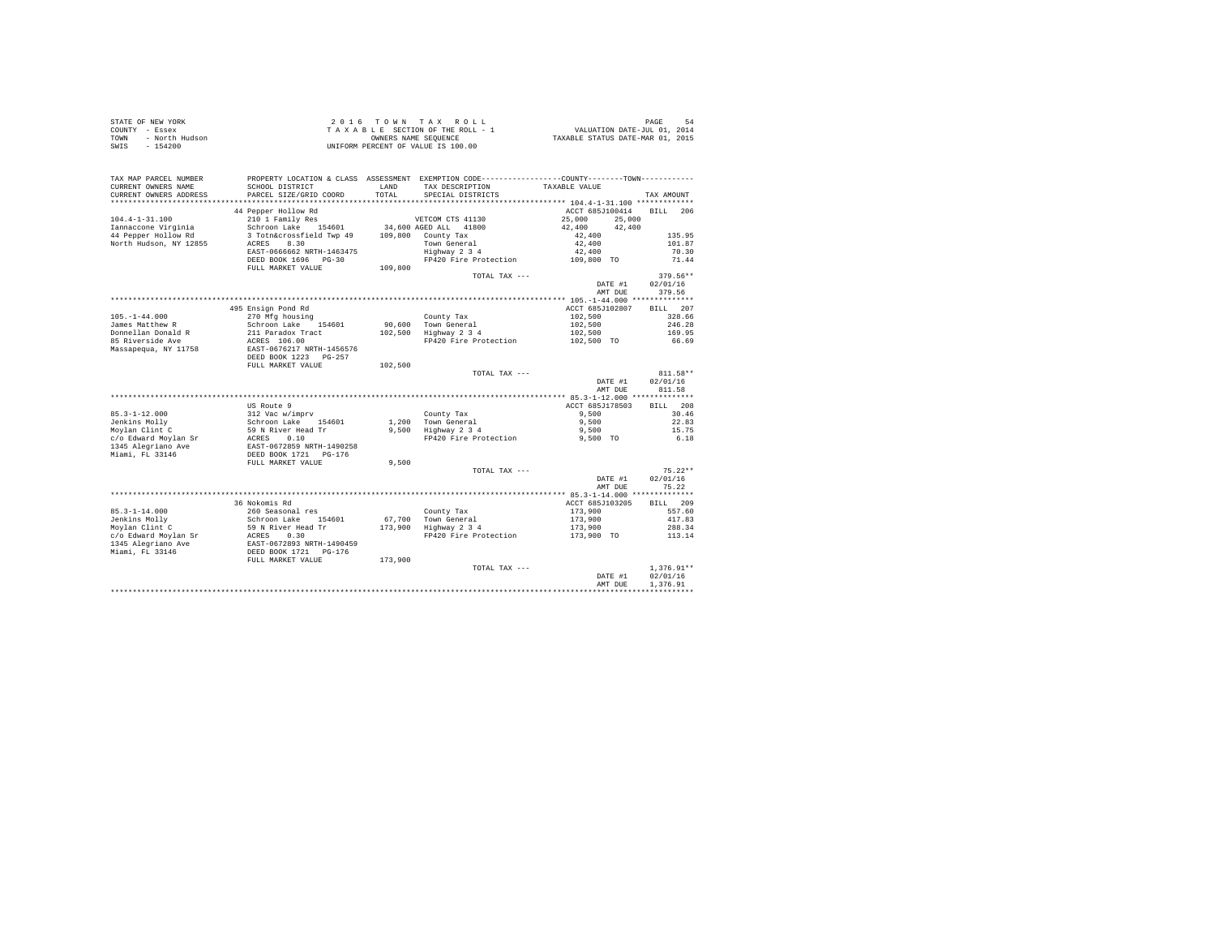| STATE OF NEW YORK<br>COUNTY - Essex<br>- North Hudson<br>TOWN<br>$-154200$<br>SWIS |                                                                                                                                                                                         |               | UNIFORM PERCENT OF VALUE IS 100.00                                                                                                     |                  |                |
|------------------------------------------------------------------------------------|-----------------------------------------------------------------------------------------------------------------------------------------------------------------------------------------|---------------|----------------------------------------------------------------------------------------------------------------------------------------|------------------|----------------|
| TAX MAP PARCEL NUMBER<br>CURRENT OWNERS NAME<br>CURRENT OWNERS ADDRESS             | SCHOOL DISTRICT<br>PARCEL SIZE/GRID COORD                                                                                                                                               | LAND<br>TOTAL | PROPERTY LOCATION & CLASS ASSESSMENT EXEMPTION CODE----------------COUNTY-------TOWN----------<br>TAX DESCRIPTION<br>SPECIAL DISTRICTS | TAXABLE VALUE    | TAX AMOUNT     |
|                                                                                    |                                                                                                                                                                                         |               |                                                                                                                                        |                  |                |
|                                                                                    | 44 Pepper Hollow Rd                                                                                                                                                                     |               |                                                                                                                                        | ACCT 685J100414  | BILL 206       |
| $104.4 - 1 - 31.100$                                                               | 210 1 Family Res                                                                                                                                                                        |               | VETCOM CTS 41130                                                                                                                       | 25,000<br>25,000 |                |
| Iannaccone Virginia                                                                | Schroon Lake 154601                                                                                                                                                                     |               | 34,600 AGED ALL 41800                                                                                                                  | 42,400<br>42,400 |                |
| 44 Pepper Hollow Rd                                                                | 3 Totn&crossfield Twp 49                                                                                                                                                                |               | 109,800 County Tax                                                                                                                     | 42,400           | 135.95         |
| North Hudson, NY 12855                                                             | ACRES 8.30                                                                                                                                                                              |               | Town General<br>Highway 2 3 4                                                                                                          | 42,400<br>42,400 | 101.87         |
|                                                                                    | EAST-0666662 NRTH-1463475<br>DEED BOOK 1696 PG-30                                                                                                                                       |               | FP420 Fire Protection                                                                                                                  |                  | 70.30<br>71.44 |
|                                                                                    | FULL MARKET VALUE                                                                                                                                                                       | 109,800       |                                                                                                                                        | 109,800 TO       |                |
|                                                                                    |                                                                                                                                                                                         |               | TOTAL TAX ---                                                                                                                          |                  | $379.56**$     |
|                                                                                    |                                                                                                                                                                                         |               |                                                                                                                                        | DATE #1          | 02/01/16       |
|                                                                                    |                                                                                                                                                                                         |               |                                                                                                                                        | AMT DUE          | 379.56         |
|                                                                                    |                                                                                                                                                                                         |               |                                                                                                                                        |                  |                |
|                                                                                    | 495 Ensign Pond Rd                                                                                                                                                                      |               |                                                                                                                                        | ACCT 685J102807  | BILL 207       |
| $105. - 1 - 44.000$                                                                | 270 Mfg housing                                                                                                                                                                         |               | County Tax                                                                                                                             | 102,500          | 328.66         |
| James Matthew R                                                                    | Schroon Lake 154601                                                                                                                                                                     |               |                                                                                                                                        | 102,500          | 246.28         |
| Donnellan Donald R                                                                 | 211 Paradox Tract                                                                                                                                                                       |               | 90,600 Town General<br>102,500 Highway 2 3 4                                                                                           | 102,500          | 169.95         |
| 85 Riverside Ave                                                                   | ACRES 106.00                                                                                                                                                                            |               | FP420 Fire Protection 102,500 TO                                                                                                       |                  | 66.69          |
| Massapequa, NY 11758                                                               | EAST-0676217 NRTH-1456576<br>DEED BOOK 1223 PG-257                                                                                                                                      |               |                                                                                                                                        |                  |                |
|                                                                                    | FULL MARKET VALUE                                                                                                                                                                       | 102,500       |                                                                                                                                        |                  |                |
|                                                                                    |                                                                                                                                                                                         |               | TOTAL TAX ---                                                                                                                          |                  | 811.58**       |
|                                                                                    |                                                                                                                                                                                         |               |                                                                                                                                        | DATE #1          | 02/01/16       |
|                                                                                    |                                                                                                                                                                                         |               |                                                                                                                                        | AMT DUE          | 811.58         |
|                                                                                    |                                                                                                                                                                                         |               |                                                                                                                                        |                  | BILL 208       |
|                                                                                    | US Route 9                                                                                                                                                                              |               |                                                                                                                                        | ACCT 685J178503  |                |
| $85.3 - 1 - 12.000$<br>Jenkins Mollv                                               |                                                                                                                                                                                         |               | County Tax<br>1,200 Town General                                                                                                       | 9.500<br>9.500   | 30.46<br>22.83 |
| Jenkins Molly<br>Moylan Clint C                                                    |                                                                                                                                                                                         |               | 1,200 Town General<br>9,500 Highway 2 3 4                                                                                              | 9.500            | 15.75          |
| c/o Edward Moylan Sr                                                               |                                                                                                                                                                                         |               | FP420 Fire Protection 9.500 TO                                                                                                         |                  | 6.18           |
| 1345 Alegriano Ave                                                                 | US Route 9<br>12 Vac w/imprv<br>Schroon Lake<br>59 N River Head Tr<br>ACRES 0.10<br>RATES 0.10<br>RATES 0.10<br>REST 0672859 NETH-1490258<br>DEED BOOK 1721 PG-176<br>PULL MARKET VALUE |               |                                                                                                                                        |                  |                |
| Miami, FL 33146                                                                    |                                                                                                                                                                                         |               |                                                                                                                                        |                  |                |
|                                                                                    |                                                                                                                                                                                         | 9,500         |                                                                                                                                        |                  |                |
|                                                                                    |                                                                                                                                                                                         |               | TOTAL TAX ---                                                                                                                          |                  | $75.22**$      |
|                                                                                    |                                                                                                                                                                                         |               |                                                                                                                                        | DATE #1          | 02/01/16       |
|                                                                                    |                                                                                                                                                                                         |               |                                                                                                                                        | AMT DUE          | 75.22          |
|                                                                                    |                                                                                                                                                                                         |               |                                                                                                                                        |                  |                |
|                                                                                    | 36 Nokomis Rd                                                                                                                                                                           |               |                                                                                                                                        | ACCT 685J103205  | BILL 209       |
| $85.3 - 1 - 14.000$                                                                | 260 Seasonal res                                                                                                                                                                        |               | County Tax                                                                                                                             | 173,900          | 557.60         |
| Jenkins Molly                                                                      | Schroon Lake 154601                                                                                                                                                                     |               | 67,700 Town General<br>173,900 Highway 2 3 4                                                                                           | 173,900          | 417.83         |
| Moylan Clint C                                                                     | 59 N River Head Tr<br>ACRES 0.30<br>EAST-0672893 NRTH-1490459<br>DEED BOOK 1721 PG-176<br>FULL MARKET VALUE                                                                             |               |                                                                                                                                        | 173,900          | 288.34         |
| c/o Edward Moylan Sr                                                               |                                                                                                                                                                                         |               | FP420 Fire Protection                                                                                                                  | 173,900 TO       | 113.14         |
| 1345 Alegriano Ave                                                                 |                                                                                                                                                                                         |               |                                                                                                                                        |                  |                |
| Miami, FL 33146                                                                    |                                                                                                                                                                                         | 173,900       |                                                                                                                                        |                  |                |
|                                                                                    |                                                                                                                                                                                         |               | TOTAL TAX ---                                                                                                                          |                  | $1.376.91**$   |
|                                                                                    |                                                                                                                                                                                         |               |                                                                                                                                        | DATE #1          | 02/01/16       |
|                                                                                    |                                                                                                                                                                                         |               |                                                                                                                                        | AMT DUE          | 1,376.91       |
|                                                                                    |                                                                                                                                                                                         |               |                                                                                                                                        |                  |                |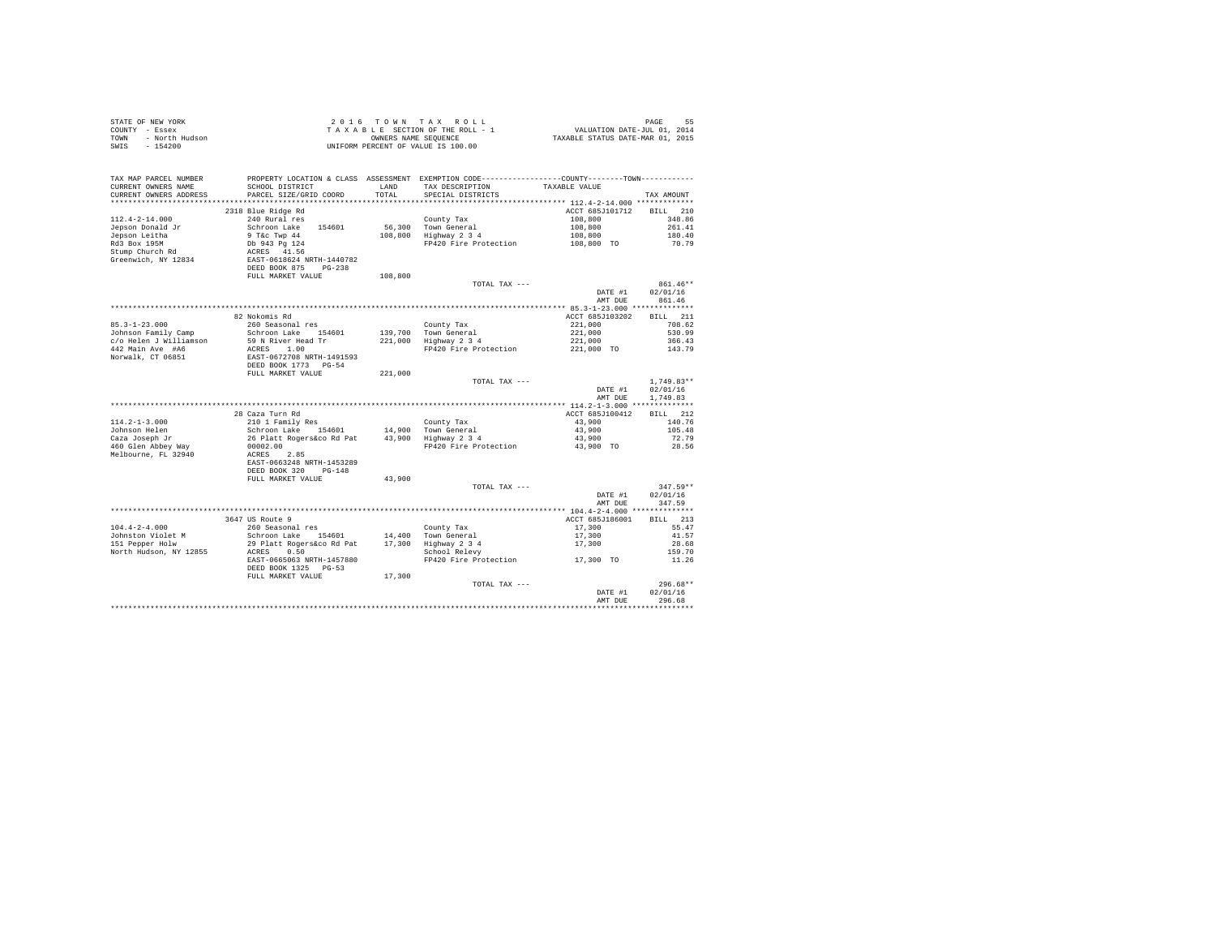| TAX MAP PARCEL NUMBER<br>CURRENT OWNERS NAME<br>CURRENT OWNERS ADDRESS | PROPERTY LOCATION & CLASS ASSESSMENT EXEMPTION CODE---------------COUNTY-------TOWN---------<br>SCHOOL DISTRICT<br>PARCEL SIZE/GRID COORD | LAND<br>TOTAL | TAX DESCRIPTION TAXABLE VALUE<br>SPECIAL DISTRICTS |                 | TAX AMOUNT             |  |
|------------------------------------------------------------------------|-------------------------------------------------------------------------------------------------------------------------------------------|---------------|----------------------------------------------------|-----------------|------------------------|--|
|                                                                        |                                                                                                                                           |               |                                                    |                 |                        |  |
|                                                                        | 2318 Blue Ridge Rd                                                                                                                        |               |                                                    | ACCT 685J101712 | BILL 210               |  |
| $112.4 - 2 - 14.000$                                                   | 240 Rural res                                                                                                                             |               | County Tax                                         | 108,800         | 348.86                 |  |
| Jepson Donald Jr                                                       | Schroon Lake 154601                                                                                                                       |               | 56,300 Town General                                | 108,800         | 261.41                 |  |
| Jepson Leitha                                                          | 9 T&c Twp 44<br>Db 943 Pg 124<br>ACRES 41.56                                                                                              |               | $108,800$ Highway $234$                            | 108,800         | 180.40                 |  |
| Rd3 Box 195M                                                           |                                                                                                                                           |               | FP420 Fire Protection                              | 108,800 TO      | 70.79                  |  |
| Stump Church Rd                                                        |                                                                                                                                           |               |                                                    |                 |                        |  |
| Greenwich, NY 12834                                                    | EAST-0618624 NRTH-1440782                                                                                                                 |               |                                                    |                 |                        |  |
|                                                                        | DEED BOOK 875 PG-238                                                                                                                      |               |                                                    |                 |                        |  |
|                                                                        | FULL MARKET VALUE                                                                                                                         | 108,800       | TOTAL TAX ---                                      |                 | 861.46**               |  |
|                                                                        |                                                                                                                                           |               |                                                    | DATE #1         | 02/01/16               |  |
|                                                                        |                                                                                                                                           |               |                                                    | AMT DUE         | 861.46                 |  |
|                                                                        |                                                                                                                                           |               |                                                    |                 |                        |  |
|                                                                        | 82 Nokomis Rd                                                                                                                             |               |                                                    | ACCT 685J103202 | <b>BILL</b> 211        |  |
| $85.3 - 1 - 23.000$                                                    | 260 Seasonal res                                                                                                                          |               | County Tax                                         | 221,000         | 708.62                 |  |
| Johnson Family Camp                                                    | Schroon Lake 154601                                                                                                                       |               | 139,700 Town General                               | 221,000         | 530.99                 |  |
| c/o Helen J Williamson                                                 | 59 N River Head Tr                                                                                                                        |               | $221,000$ Highway $234$                            | 221,000         | 366.43                 |  |
| 442 Main Ave #A6                                                       | ACRES 1.00                                                                                                                                |               | FP420 Fire Protection                              | 221,000 TO      | 143.79                 |  |
| Norwalk, CT 06851                                                      | EAST-0672708 NRTH-1491593                                                                                                                 |               |                                                    |                 |                        |  |
|                                                                        | DEED BOOK 1773 PG-54                                                                                                                      |               |                                                    |                 |                        |  |
|                                                                        | FULL MARKET VALUE 221,000                                                                                                                 |               |                                                    |                 |                        |  |
|                                                                        |                                                                                                                                           |               | TOTAL TAX ---                                      |                 | $1.749.83**$           |  |
|                                                                        |                                                                                                                                           |               |                                                    | DATE #1         | 02/01/16               |  |
|                                                                        |                                                                                                                                           |               |                                                    | AMT DUE         | 1,749.83               |  |
|                                                                        |                                                                                                                                           |               |                                                    |                 |                        |  |
|                                                                        | 28 Caza Turn Rd                                                                                                                           |               |                                                    | ACCT 685J100412 | BILL 212               |  |
| $114.2 - 1 - 3.000$                                                    | 210 1 Family Res                                                                                                                          |               |                                                    | 43,900          | 140.76                 |  |
| Johnson Helen                                                          |                                                                                                                                           |               |                                                    | 43,900          | 105.48                 |  |
| Caza Joseph Jr                                                         | 26 Platt Rogers&co Rd Pat 43,900 Highway 2 3 4                                                                                            |               |                                                    | 43,900          | 72.79                  |  |
| 460 Glen Abbey Way                                                     | 00002.00                                                                                                                                  |               | FP420 Fire Protection                              | 43,900 TO       | 28.56                  |  |
| Melbourne, FL 32940                                                    | ACRES 2.85                                                                                                                                |               |                                                    |                 |                        |  |
|                                                                        | EAST-0663248 NRTH-1453289                                                                                                                 |               |                                                    |                 |                        |  |
|                                                                        | DEED BOOK 320 PG-148                                                                                                                      |               |                                                    |                 |                        |  |
|                                                                        | FULL MARKET VALUE                                                                                                                         | 43,900        |                                                    |                 |                        |  |
|                                                                        |                                                                                                                                           |               | TOTAL TAX ---                                      | DATE #1         | $347.59**$<br>02/01/16 |  |
|                                                                        |                                                                                                                                           |               |                                                    | AMT DUE         | 347.59                 |  |
|                                                                        |                                                                                                                                           |               |                                                    |                 |                        |  |
|                                                                        | 3647 US Route 9                                                                                                                           |               |                                                    | ACCT 685J186001 | BILL 213               |  |
| $104.4 - 2 - 4.000$                                                    | 260 Seasonal res                                                                                                                          |               | County Tax                                         | 17,300          | 55.47                  |  |
| Johnston Violet M                                                      | Schroon Lake 154601 14,400 Town General                                                                                                   |               |                                                    | 17,300          | 41.57                  |  |
| 151 Pepper Holw                                                        |                                                                                                                                           |               |                                                    |                 | 28.68                  |  |
| North Hudson, NY 12855                                                 | 29 Platt Rogers&co Rd Pat 17,300 Highway 2 3 4<br>ACRES 0.50 School Relevy                                                                |               |                                                    | 17,300          | 159.70                 |  |
|                                                                        | EAST-0665063 NRTH-1457880                                                                                                                 |               | FP420 Fire Protection 17,300 TO                    |                 | 11.26                  |  |
|                                                                        | DEED BOOK 1325 PG-53                                                                                                                      |               |                                                    |                 |                        |  |
|                                                                        | FULL MARKET VALUE                                                                                                                         | 17,300        |                                                    |                 |                        |  |
|                                                                        |                                                                                                                                           |               | TOTAL TAX ---                                      |                 | $296.68**$             |  |
|                                                                        |                                                                                                                                           |               |                                                    | DATE #1         | 02/01/16               |  |
|                                                                        |                                                                                                                                           |               |                                                    | AMT DUE         | 296.68                 |  |
|                                                                        |                                                                                                                                           |               |                                                    |                 |                        |  |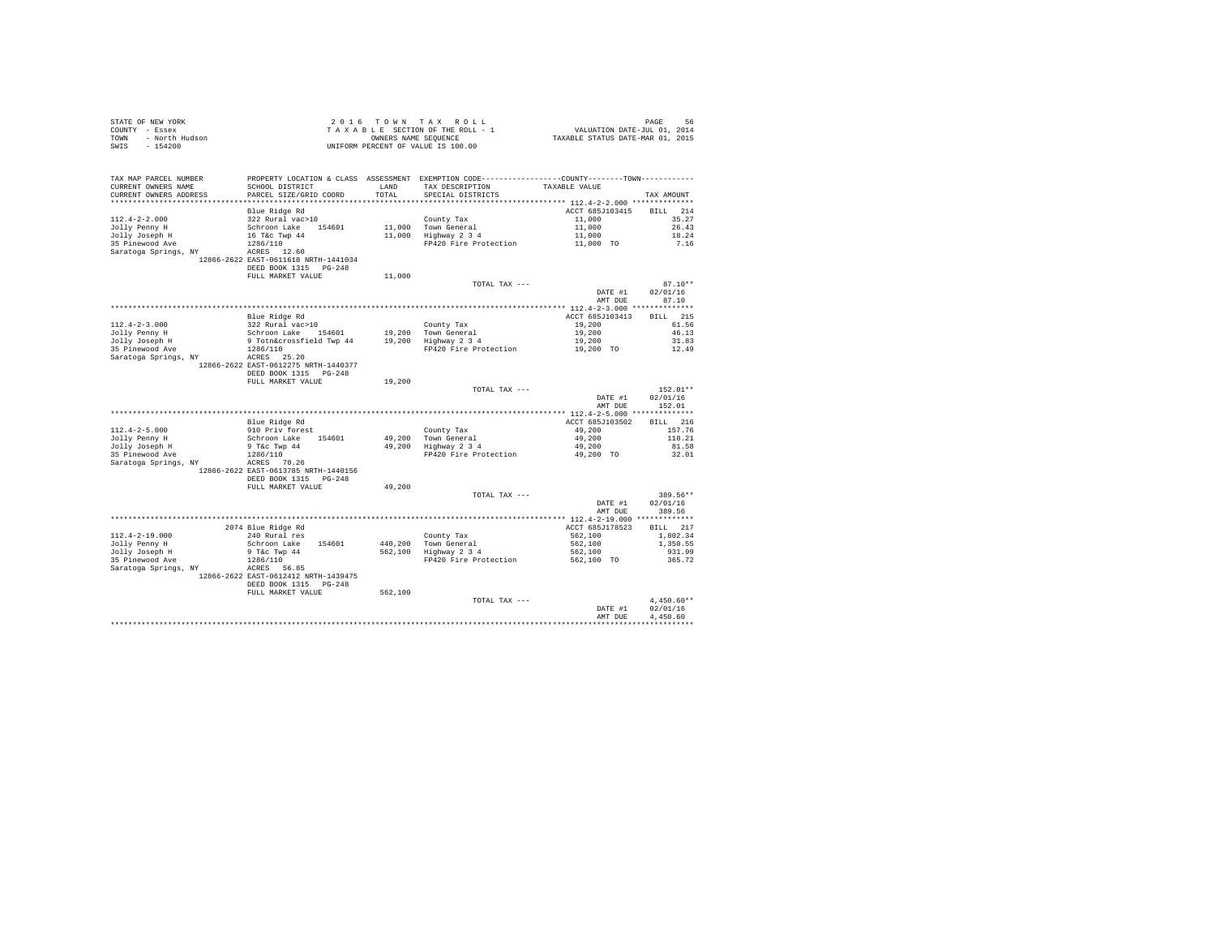| STATE OF NEW YORK      | 2016 TOWN TAX ROLL                 | PAGE                             |
|------------------------|------------------------------------|----------------------------------|
| COUNTY - Essex         | TAXABLE SECTION OF THE ROLL - 1    | VALUATION DATE-JUL 01, 2014      |
| TOWN<br>- North Hudson | OWNERS NAME SEOUENCE               | TAXABLE STATUS DATE-MAR 01, 2015 |
| - 154200<br>SWIS       | UNIFORM PERCENT OF VALUE IS 100.00 |                                  |

| TAX MAP PARCEL NUMBER<br>CURRENT OWNERS NAME | SCHOOL DISTRICT                      | LAND     | PROPERTY LOCATION & CLASS ASSESSMENT EXEMPTION CODE---------------COUNTY-------TOWN----------<br>TAX DESCRIPTION | TAXABLE VALUE                           |                    |
|----------------------------------------------|--------------------------------------|----------|------------------------------------------------------------------------------------------------------------------|-----------------------------------------|--------------------|
| CURRENT OWNERS ADDRESS                       | PARCEL SIZE/GRID COORD               | TOTAL    | SPECIAL DISTRICTS                                                                                                |                                         | TAX AMOUNT         |
| ********************                         |                                      | ******** |                                                                                                                  | ********** 112.4-2-2.000 ************** |                    |
|                                              | Blue Ridge Rd                        |          |                                                                                                                  | ACCT 685J103415                         | 214<br>RTLL.       |
| $112.4 - 2 - 2.000$                          | 322 Rural vac>10                     |          | County Tax                                                                                                       | 11,000                                  | 35.27              |
| Jolly Penny H                                | Schroon Lake<br>154601               | 11,000   | Town General                                                                                                     | 11,000                                  | 26.43              |
| Jolly Joseph H                               | 16 T&C Twp 44                        | 11,000   | Highway 2 3 4                                                                                                    | 11,000                                  | 18.24              |
| 35 Pinewood Ave                              | 1286/110                             |          | FP420 Fire Protection                                                                                            | 11,000 TO                               | 7.16               |
| Saratoga Springs, NY                         | ACRES 12.60                          |          |                                                                                                                  |                                         |                    |
|                                              | 12866-2622 EAST-0611618 NRTH-1441034 |          |                                                                                                                  |                                         |                    |
|                                              |                                      |          |                                                                                                                  |                                         |                    |
|                                              | DEED BOOK 1315 PG-248                |          |                                                                                                                  |                                         |                    |
|                                              | FULL MARKET VALUE                    | 11,000   |                                                                                                                  |                                         |                    |
|                                              |                                      |          | TOTAL TAX ---                                                                                                    |                                         | $87.10**$          |
|                                              |                                      |          |                                                                                                                  | DATE #1                                 | 02/01/16           |
|                                              |                                      |          |                                                                                                                  | AMT DUE                                 | 87.10              |
|                                              |                                      |          |                                                                                                                  |                                         |                    |
|                                              | Blue Ridge Rd                        |          |                                                                                                                  | ACCT 685J103413                         | 215<br><b>BILL</b> |
| $112.4 - 2 - 3.000$                          | 322 Rural vac>10                     |          | County Tax                                                                                                       | 19,200                                  | 61.56              |
| Jolly Penny H                                | Schroon Lake<br>154601               | 19,200   | Town General                                                                                                     | 19,200                                  | 46.13              |
| Jolly Joseph H                               | 9 Totn&crossfield Twp 44             | 19,200   | Highway 2 3 4                                                                                                    | 19,200                                  | 31.83              |
| 35 Pinewood Ave                              | 1286/110                             |          | FP420 Fire Protection                                                                                            | 19,200 TO                               | 12.49              |
| Saratoga Springs, NY                         | ACRES 25.20                          |          |                                                                                                                  |                                         |                    |
|                                              | 12866-2622 EAST-0612275 NRTH-1440377 |          |                                                                                                                  |                                         |                    |
|                                              | DEED BOOK 1315 PG-248                |          |                                                                                                                  |                                         |                    |
|                                              | FULL MARKET VALUE                    | 19,200   |                                                                                                                  |                                         |                    |
|                                              |                                      |          | TOTAL TAX ---                                                                                                    |                                         | 152.01**           |
|                                              |                                      |          |                                                                                                                  | DATE #1                                 | 02/01/16           |
|                                              |                                      |          |                                                                                                                  | AMT DUE                                 | 152.01             |
|                                              |                                      |          |                                                                                                                  |                                         |                    |
|                                              |                                      |          |                                                                                                                  |                                         |                    |
|                                              | Blue Ridge Rd                        |          |                                                                                                                  | ACCT 685J103502                         | BILL 216           |
| $112.4 - 2 - 5.000$                          | 910 Priv forest                      |          | County Tax                                                                                                       | 49,200                                  | 157.76             |
| Jolly Penny H                                | Schroon Lake<br>154601               |          | 49,200 Town General                                                                                              | 49,200                                  | 118.21             |
| Jolly Joseph H                               | 9 T&c Twp 44                         | 49,200   | Highway 2 3 4                                                                                                    | 49,200                                  | 81.58              |
| 35 Pinewood Ave                              | 1286/110                             |          | FP420 Fire Protection                                                                                            | 49,200 TO                               | 32.01              |
| Saratoga Springs, NY                         | ACRES 70.26                          |          |                                                                                                                  |                                         |                    |
|                                              | 12866-2622 EAST-0613785 NRTH-1440156 |          |                                                                                                                  |                                         |                    |
|                                              | DEED BOOK 1315 PG-248                |          |                                                                                                                  |                                         |                    |
|                                              | FULL MARKET VALUE                    | 49,200   |                                                                                                                  |                                         |                    |
|                                              |                                      |          | TOTAL TAX ---                                                                                                    |                                         | $389.56**$         |
|                                              |                                      |          |                                                                                                                  | DATE #1                                 | 02/01/16           |
|                                              |                                      |          |                                                                                                                  | AMT DUE                                 | 389.56             |
|                                              |                                      |          |                                                                                                                  |                                         |                    |
|                                              | 2074 Blue Ridge Rd                   |          |                                                                                                                  | ACCT 685J178523                         | BILL 217           |
| $112.4 - 2 - 19.000$                         | 240 Rural res                        |          | County Tax                                                                                                       | 562,100                                 | 1,802.34           |
| Jolly Penny H                                | Schroon Lake<br>154601               | 440,200  | Town General                                                                                                     | 562,100                                 | 1,350.55           |
| Jolly Joseph H                               | 9 T&c Twp 44                         | 562,100  | Highway 2 3 4                                                                                                    | 562,100                                 | 931.99             |
| 35 Pinewood Ave                              | 1286/110                             |          | FP420 Fire Protection                                                                                            | 562,100 TO                              | 365.72             |
| Saratoga Springs, NY                         | ACRES 56.85                          |          |                                                                                                                  |                                         |                    |
|                                              | 12866-2622 EAST-0612412 NRTH-1439475 |          |                                                                                                                  |                                         |                    |
|                                              |                                      |          |                                                                                                                  |                                         |                    |
|                                              | DEED BOOK 1315<br>$PG-248$           |          |                                                                                                                  |                                         |                    |
|                                              | FULL MARKET VALUE                    | 562,100  |                                                                                                                  |                                         |                    |
|                                              |                                      |          | TOTAL TAX ---                                                                                                    |                                         | $4.450.60**$       |
|                                              |                                      |          |                                                                                                                  | DATE #1                                 | 02/01/16           |
|                                              |                                      |          |                                                                                                                  | AMT DUE                                 | 4.450.60           |
|                                              |                                      |          |                                                                                                                  |                                         |                    |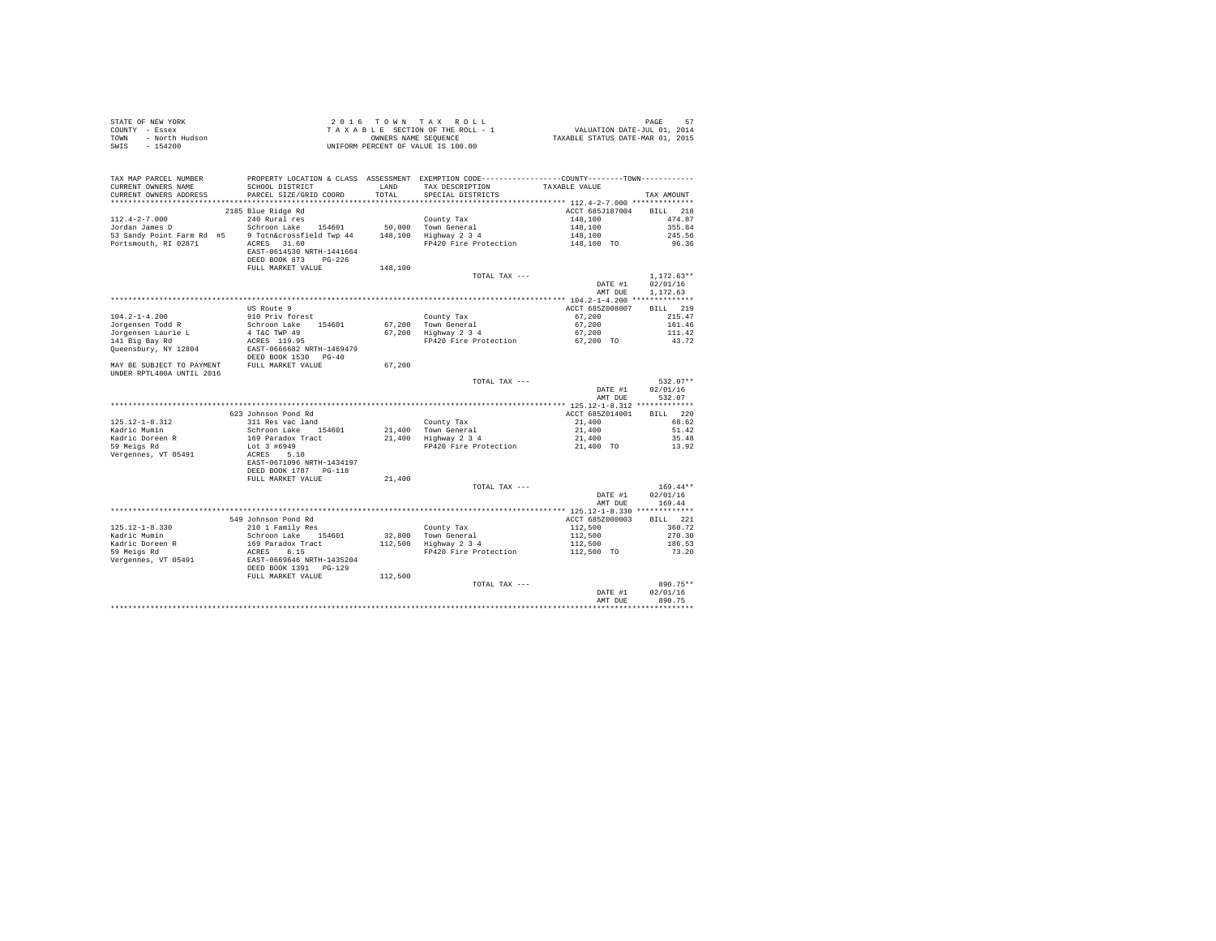| STATE OF NEW YORK<br>COUNTY - Essex<br>- North Hudson<br>TOWN<br>SWIS<br>$-154200$                                                                                                      |                                                                                                          |         | 2016 TOWN TAX ROLL<br>UNIFORM PERCENT OF VALUE IS 100.00                                      |                                     |                    |
|-----------------------------------------------------------------------------------------------------------------------------------------------------------------------------------------|----------------------------------------------------------------------------------------------------------|---------|-----------------------------------------------------------------------------------------------|-------------------------------------|--------------------|
| TAX MAP PARCEL NUMBER                                                                                                                                                                   |                                                                                                          |         | PROPERTY LOCATION & CLASS ASSESSMENT EXEMPTION CODE---------------COUNTY-------TOWN---------- |                                     |                    |
| CURRENT OWNERS NAME                                                                                                                                                                     | SCHOOL DISTRICT                                                                                          | LAND    | TAX DESCRIPTION                                                                               | TAXABLE VALUE                       |                    |
| CURRENT OWNERS ADDRESS                                                                                                                                                                  | PARCEL SIZE/GRID COORD                                                                                   | TOTAL   | SPECIAL DISTRICTS                                                                             |                                     | TAX AMOUNT         |
|                                                                                                                                                                                         |                                                                                                          |         |                                                                                               |                                     |                    |
|                                                                                                                                                                                         | 2185 Blue Ridge Rd                                                                                       |         |                                                                                               | ACCT 685J187004 BILL 218<br>148,100 | 474.87             |
|                                                                                                                                                                                         |                                                                                                          |         |                                                                                               | 148,100                             | 355.84             |
| 112.4-2-7.000 240 Rural res county Tax county Tax<br>Jordan James D Schroon Lake 154601 50,000 Town General<br>53 Sandy Point Farm Rd #5 9 Toth&crossfield Twp 44 148,100 Highway 2 3 4 |                                                                                                          |         |                                                                                               | 148,100                             | 245.56             |
| Portsmouth, RI 02871 ACRES 31.60                                                                                                                                                        |                                                                                                          |         | FP420 Fire Protection                                                                         | 148,100 TO                          | 96.36              |
|                                                                                                                                                                                         | EAST-0614530 NRTH-1441664                                                                                |         |                                                                                               |                                     |                    |
|                                                                                                                                                                                         | DEED BOOK 873 PG-226                                                                                     |         |                                                                                               |                                     |                    |
|                                                                                                                                                                                         | FULL MARKET VALUE                                                                                        | 148,100 |                                                                                               |                                     |                    |
|                                                                                                                                                                                         |                                                                                                          |         | TOTAL TAX ---                                                                                 |                                     | $1.172.63**$       |
|                                                                                                                                                                                         |                                                                                                          |         |                                                                                               | DATE #1                             | 02/01/16           |
|                                                                                                                                                                                         |                                                                                                          |         |                                                                                               | AMT DUE                             | 1,172.63           |
|                                                                                                                                                                                         | US Route 9                                                                                               |         |                                                                                               | ACCT 685Z008007                     | BILL 219           |
| $104.2 - 1 - 4.200$                                                                                                                                                                     | 910 Priv forest                                                                                          |         |                                                                                               | 67,200                              | 215.47             |
| Jorgensen Todd R                                                                                                                                                                        |                                                                                                          |         | County Tax<br>67,200 Town General<br>67,200 Highway 2 3 4                                     | 67,200                              | 161.46             |
| Jorgensen Laurie L                                                                                                                                                                      |                                                                                                          |         |                                                                                               | 67,200                              | 111.42             |
| 141 Big Bay Rd                                                                                                                                                                          |                                                                                                          |         | FP420 Fire Protection 67,200 TO                                                               |                                     | 43.72              |
| Queensbury, NY 12804                                                                                                                                                                    | Schroon Lake 154601<br>4 T&C TWP 49<br>ACRES 119.95<br>EAST-0666682 NRTH-1469479<br>DEED BOOK 1530 PG-40 |         |                                                                                               |                                     |                    |
| MAY BE SUBJECT TO PAYMENT FULL MARKET VALUE                                                                                                                                             |                                                                                                          | 67.200  |                                                                                               |                                     |                    |
| UNDER RPTL480A UNTIL 2016                                                                                                                                                               |                                                                                                          |         |                                                                                               |                                     |                    |
|                                                                                                                                                                                         |                                                                                                          |         | TOTAL TAX ---                                                                                 |                                     | $532.07**$         |
|                                                                                                                                                                                         |                                                                                                          |         |                                                                                               | DATE #1<br>AMT DUE                  | 02/01/16<br>532.07 |
|                                                                                                                                                                                         |                                                                                                          |         |                                                                                               |                                     |                    |
|                                                                                                                                                                                         | 623 Johnson Pond Rd                                                                                      |         |                                                                                               | ACCT 685Z014001                     | BILL 220           |
| $125.12 - 1 - 8.312$                                                                                                                                                                    | 311 Res vac land                                                                                         |         |                                                                                               | 21,400                              | 68.62              |
| Kadric Mumin                                                                                                                                                                            | Schroon Lake 154601                                                                                      |         | County Tax<br>21,400 Town General<br>21,400 Highway 2 3 4                                     | 21,400                              | 51.42              |
| Kadric Doreen R<br>59 Meigs Rd                                                                                                                                                          | 169 Paradox Tract                                                                                        |         |                                                                                               | 21,400                              | 35.48              |
|                                                                                                                                                                                         | Lot 3 #6949                                                                                              |         | FP420 Fire Protection                                                                         | 21,400 TO                           | 13.92              |
| Vergennes, VT 05491                                                                                                                                                                     | ACRES 5.10                                                                                               |         |                                                                                               |                                     |                    |
|                                                                                                                                                                                         | EAST-0671096 NRTH-1434197                                                                                |         |                                                                                               |                                     |                    |
|                                                                                                                                                                                         | DEED BOOK 1787 PG-118                                                                                    |         |                                                                                               |                                     |                    |
|                                                                                                                                                                                         | FULL MARKET VALUE                                                                                        | 21,400  | TOTAL TAX ---                                                                                 |                                     | $169.44**$         |
|                                                                                                                                                                                         |                                                                                                          |         |                                                                                               | DATE #1                             | 02/01/16           |
|                                                                                                                                                                                         |                                                                                                          |         |                                                                                               | AMT DUE                             | 169.44             |
|                                                                                                                                                                                         |                                                                                                          |         |                                                                                               |                                     |                    |
|                                                                                                                                                                                         | 549 Johnson Pond Rd                                                                                      |         |                                                                                               | ACCT 685Z000003                     | BILL 221           |
| $125.12 - 1 - 8.330$                                                                                                                                                                    | 210 1 Family Res                                                                                         |         |                                                                                               | 112,500                             | 360.72             |
| Kadric Mumin                                                                                                                                                                            | Schroon Lake 154601                                                                                      |         | County Tax<br>32,800 Town General<br>112,500 Highway 2 3 4                                    | 112,500<br>$112,500$<br>112,500     | 270.30             |
| Kadric Doreen R<br>59 Meigs Rd                                                                                                                                                          | 169 Paradox Tract                                                                                        |         |                                                                                               |                                     | 186.53             |
|                                                                                                                                                                                         | ACRES 6.15<br>EAST-0669646 NRTH-1435204<br>DEED BOOK 1391 PG-129                                         |         | FP420 Fire Protection                                                                         | 112,500 TO                          | 73.20              |
| Vergennes, VT 05491                                                                                                                                                                     |                                                                                                          |         |                                                                                               |                                     |                    |
|                                                                                                                                                                                         | FULL MARKET VALUE                                                                                        | 112,500 |                                                                                               |                                     |                    |
|                                                                                                                                                                                         |                                                                                                          |         | TOTAL TAX ---                                                                                 |                                     | 890.75**           |
|                                                                                                                                                                                         |                                                                                                          |         |                                                                                               | DATE #1                             | 02/01/16           |
|                                                                                                                                                                                         |                                                                                                          |         |                                                                                               | AMT DUE                             | 890.75             |
|                                                                                                                                                                                         |                                                                                                          |         |                                                                                               |                                     |                    |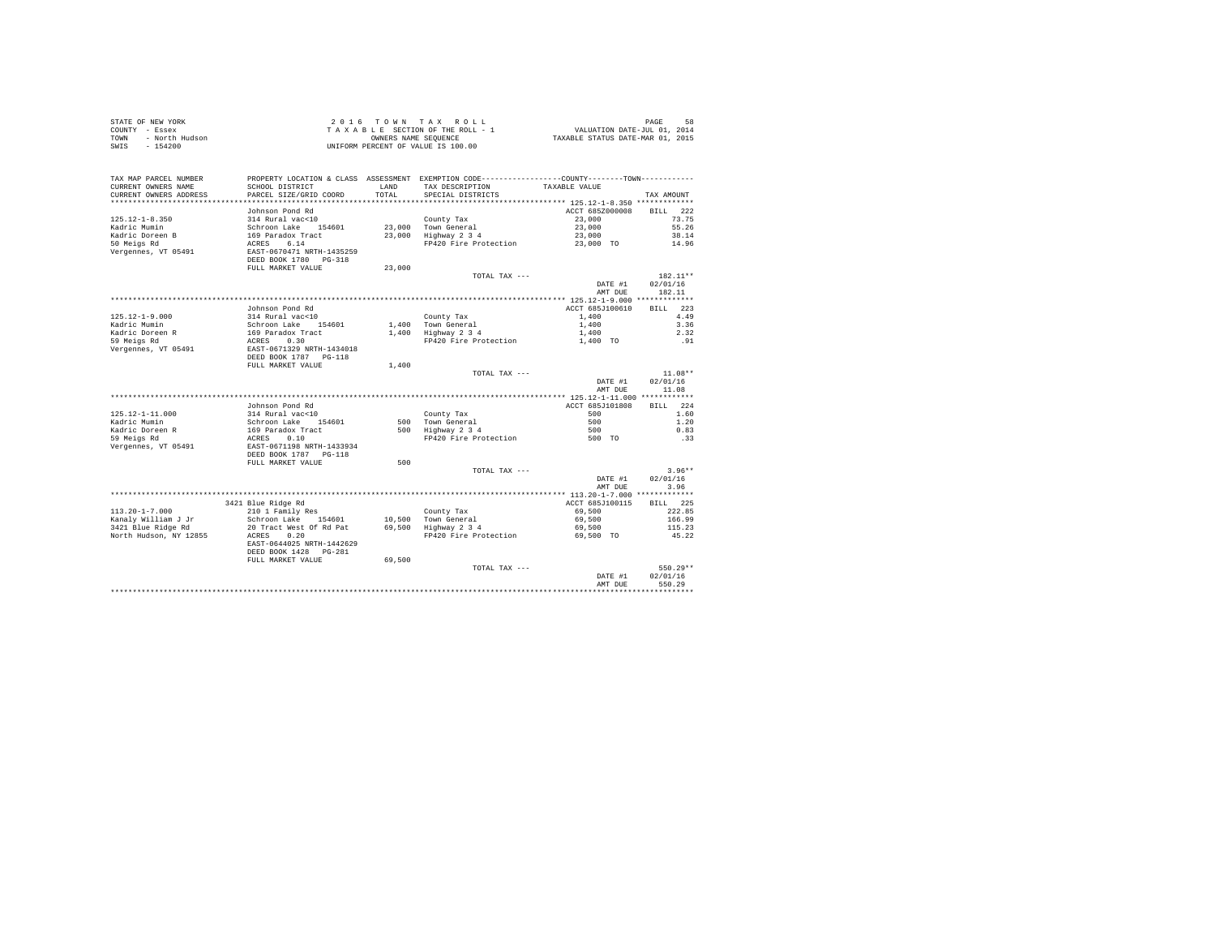|      | STATE OF NEW YORK | 2016 TOWN TAX ROLL                 | 58<br>PAGE                       |  |
|------|-------------------|------------------------------------|----------------------------------|--|
|      | COUNTY - Essex    | TAXABLE SECTION OF THE ROLL - 1    | VALUATION DATE-JUL 01, 2014      |  |
| TOWN | - North Hudson    | OWNERS NAME SEOUENCE               | TAXABLE STATUS DATE-MAR 01, 2015 |  |
| SWIS | $-154200$         | UNIFORM PERCENT OF VALUE IS 100.00 |                                  |  |

|                                                                                             |                                                                                                                     |                  |                                                                                                                  | DATE #1<br>AMT DUE                                                 | 02/01/16<br>550.29                                     |
|---------------------------------------------------------------------------------------------|---------------------------------------------------------------------------------------------------------------------|------------------|------------------------------------------------------------------------------------------------------------------|--------------------------------------------------------------------|--------------------------------------------------------|
|                                                                                             | DEED BOOK 1428<br>$PG-2.81$<br>FULL MARKET VALUE                                                                    | 69,500           | TOTAL TAX ---                                                                                                    |                                                                    | $550.29**$                                             |
| $113.20 - 1 - 7.000$<br>Kanaly William J Jr<br>3421 Blue Ridge Rd<br>North Hudson, NY 12855 | 210 1 Family Res<br>Schroon Lake<br>154601<br>20 Tract West Of Rd Pat<br>ACRES<br>0.20<br>EAST-0644025 NRTH-1442629 | 10,500<br>69,500 | County Tax<br>Town General<br>Highway 2 3 4<br>FP420 Fire Protection                                             | 69,500<br>69,500<br>69,500<br>69.500 TO                            | 222.85<br>166.99<br>115.23<br>45.22                    |
|                                                                                             | 3421 Blue Ridge Rd                                                                                                  |                  |                                                                                                                  | ACCT 685J100115                                                    | 225<br><b>BILL</b>                                     |
|                                                                                             |                                                                                                                     |                  | TOTAL TAX ---                                                                                                    | DATE #1<br>AMT DUE<br>*************** 113.20-1-7.000 ************* | $3.96**$<br>02/01/16<br>3.96                           |
| Vergennes, VT 05491                                                                         | EAST-0671198 NRTH-1433934<br>DEED BOOK 1787 PG-118<br>FULL MARKET VALUE                                             | 500              |                                                                                                                  |                                                                    |                                                        |
| Kadric Doreen R<br>59 Meigs Rd                                                              | 169 Paradox Tract<br>0.10<br>ACRES                                                                                  | 500              | Highway 2 3 4<br>FP420 Fire Protection                                                                           | 500<br>500 TO                                                      | 0.83<br>.33                                            |
| $125.12 - 1 - 11.000$<br>Kadric Mumin                                                       | Johnson Pond Rd<br>314 Rural vac<10<br>Schroon Lake<br>154601                                                       | 500              | County Tax<br>Town General                                                                                       | ACCT 685J101808<br>500<br>500                                      | BILL 224<br>1.60<br>1.20                               |
|                                                                                             |                                                                                                                     |                  |                                                                                                                  | DATE #1<br>AMT DUE<br>************* 125.12-1-11.000 ************   | 02/01/16<br>11.08                                      |
|                                                                                             | DEED BOOK 1787 PG-118<br>FULL MARKET VALUE                                                                          | 1,400            | TOTAL TAX ---                                                                                                    |                                                                    | $11.08**$                                              |
| Kadric Doreen R<br>59 Meigs Rd<br>Vergennes, VT 05491                                       | 169 Paradox Tract<br>0.30<br>ACRES<br>EAST-0671329 NRTH-1434018                                                     | 1,400            | Highway 2 3 4<br>FP420 Fire Protection                                                                           | 1,400<br>1,400 TO                                                  | 2.32<br>.91                                            |
| $125.12 - 1 - 9.000$<br>Kadric Mumin                                                        | Johnson Pond Rd<br>314 Rural vac<10<br>Schroon Lake 154601                                                          |                  | County Tax<br>1.400 Town General                                                                                 | ACCT 685J100610<br>1,400<br>1,400                                  | 223<br>RTLL.<br>4.49<br>3.36                           |
|                                                                                             |                                                                                                                     |                  |                                                                                                                  | DATE #1<br>AMT DUE                                                 | 02/01/16<br>182.11                                     |
| Vergennes, VT 05491                                                                         | EAST-0670471 NRTH-1435259<br>DEED BOOK 1780 PG-318<br>FULL MARKET VALUE                                             | 23,000           | TOTAL TAX ---                                                                                                    |                                                                    | 182.11**                                               |
| $125.12 - 1 - 8.350$<br>Kadric Mumin<br>Kadric Doreen B<br>50 Meigs Rd                      | Johnson Pond Rd<br>314 Rural vac<10<br>Schroon Lake 154601<br>169 Paradox Tract<br>6.14<br>ACRES                    | 23,000<br>23,000 | County Tax<br>Town General<br>Highway 2 3 4<br>FP420 Fire Protection                                             | ACCT 685Z000008<br>23,000<br>23,000<br>23,000<br>23,000 TO         | 222<br><b>BILL</b><br>73.75<br>55.26<br>38.14<br>14.96 |
| CURRENT OWNERS ADDRESS<br>************************                                          | PARCEL SIZE/GRID COORD                                                                                              | TOTAL            | SPECIAL DISTRICTS                                                                                                |                                                                    | TAX AMOUNT                                             |
| TAX MAP PARCEL NUMBER<br>CURRENT OWNERS NAME                                                | SCHOOL DISTRICT                                                                                                     | LAND             | PROPERTY LOCATION & CLASS ASSESSMENT EXEMPTION CODE---------------COUNTY-------TOWN----------<br>TAX DESCRIPTION | TAXABLE VALUE                                                      |                                                        |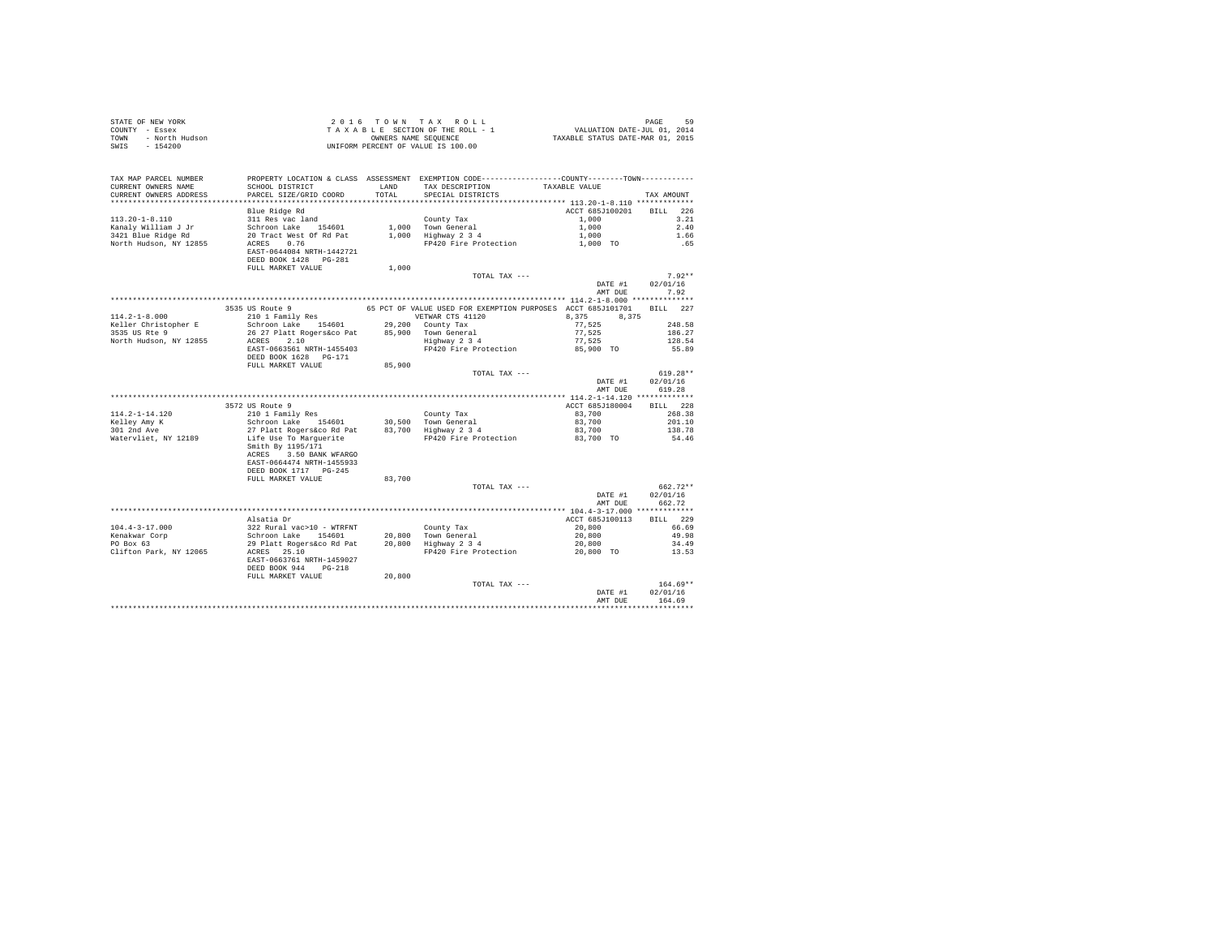| STATE OF NEW YORK<br>COUNTY - Essex<br>TOWN - North Hudson<br>SWIS - 154200 |                                                                                                                                                                                                                                                                       |                    |                                                                                                                                      |                          |                                  |
|-----------------------------------------------------------------------------|-----------------------------------------------------------------------------------------------------------------------------------------------------------------------------------------------------------------------------------------------------------------------|--------------------|--------------------------------------------------------------------------------------------------------------------------------------|--------------------------|----------------------------------|
| TAX MAP PARCEL NUMBER<br>CURRENT OWNERS NAME<br>CURRENT OWNERS ADDRESS      | SCHOOL DISTRICT LAND<br>PARCEL SIZE/GRID COORD TOTAL                                                                                                                                                                                                                  |                    | PROPERTY LOCATION & CLASS ASSESSMENT EXEMPTION CODE---------------COUNTY-------TOWN---------<br>TAX DESCRIPTION<br>SPECIAL DISTRICTS | TAXABLE VALUE            | TAX AMOUNT                       |
|                                                                             | Blue Ridge Rd                                                                                                                                                                                                                                                         |                    |                                                                                                                                      | ACCT 685J100201 BILL 226 |                                  |
| $113.20 - 1 - 8.110$                                                        |                                                                                                                                                                                                                                                                       |                    |                                                                                                                                      |                          | 3.21                             |
| Kanaly William J Jr                                                         |                                                                                                                                                                                                                                                                       |                    |                                                                                                                                      |                          | 2.40                             |
| 3421 Blue Ridge Rd                                                          |                                                                                                                                                                                                                                                                       |                    |                                                                                                                                      |                          | 1.66                             |
| North Hudson, NY 12855                                                      | 311 Res vac land<br>Schroon Lake 154601 1,000 Town General 1,000<br>20 Tract West Of Rd Pat 1,000 Highway 2 3 4 1,000<br>ACRES 0.76 20 1100 Highway 2 3 4 1,000 Highway 2 3 4 1,000 TO<br>EAST-0644084 NRTH-1442721<br>DEED BOOK 1428 PG-281                          |                    |                                                                                                                                      |                          | .65                              |
|                                                                             | FULL MARKET VALUE                                                                                                                                                                                                                                                     | 1,000              |                                                                                                                                      |                          |                                  |
|                                                                             |                                                                                                                                                                                                                                                                       |                    | TOTAL TAX ---                                                                                                                        |                          | $7.92**$                         |
|                                                                             |                                                                                                                                                                                                                                                                       |                    |                                                                                                                                      | DATE #1                  | 02/01/16                         |
|                                                                             |                                                                                                                                                                                                                                                                       |                    |                                                                                                                                      | AMT DUE                  | 7.92                             |
|                                                                             |                                                                                                                                                                                                                                                                       |                    |                                                                                                                                      |                          |                                  |
| $114.2 - 1 - 8.000$                                                         |                                                                                                                                                                                                                                                                       |                    |                                                                                                                                      |                          |                                  |
| Keller Christopher E                                                        |                                                                                                                                                                                                                                                                       |                    |                                                                                                                                      |                          |                                  |
| 3535 US Rte 9                                                               |                                                                                                                                                                                                                                                                       |                    |                                                                                                                                      |                          |                                  |
| North Hudson, NY 12855                                                      |                                                                                                                                                                                                                                                                       |                    |                                                                                                                                      |                          |                                  |
|                                                                             | 3535 US Route 9<br>65 PCT OF VALUE USED FOR EXEMPTION PURPOSES ACCT 685J010701 BILL 227<br>210 I Family Res<br>26 27 Platt Rogerskoco Pat<br>26 27 Platt Rogerskoco Pat<br>26 27 Platt Rogerskoco Pat<br>26 20 County Tax<br>26 27 Platt Rog<br>DEED BOOK 1628 PG-171 |                    |                                                                                                                                      |                          |                                  |
|                                                                             | FULL MARKET VALUE                                                                                                                                                                                                                                                     | $8\,5$ , $9\,0\,0$ |                                                                                                                                      |                          |                                  |
|                                                                             |                                                                                                                                                                                                                                                                       |                    | TOTAL TAX ---                                                                                                                        | DATE #1<br>AMT DUE       | $619.28**$<br>02/01/16<br>619.28 |
|                                                                             |                                                                                                                                                                                                                                                                       |                    |                                                                                                                                      |                          |                                  |
|                                                                             | 3572 US Route 9                                                                                                                                                                                                                                                       |                    |                                                                                                                                      | ACCT 685J180004 BILL 228 |                                  |
| $114.2 - 1 - 14.120$                                                        |                                                                                                                                                                                                                                                                       |                    |                                                                                                                                      | 83,700                   | 268.38                           |
| Kelley Amy K<br>301 2nd Ave                                                 |                                                                                                                                                                                                                                                                       |                    |                                                                                                                                      | 83,700                   | 201.10                           |
|                                                                             |                                                                                                                                                                                                                                                                       |                    |                                                                                                                                      | 83,700                   | 138.78                           |
| Watervliet, NY 12189                                                        | ACRES 3.50 BANK WFARGO<br>EAST-0664474 NRTH-1455933<br>DEED BOOK 1717 PG-245                                                                                                                                                                                          |                    | FP420 Fire Protection                                                                                                                | 83,700 TO                | 54.46                            |
|                                                                             | FULL MARKET VALUE                                                                                                                                                                                                                                                     | 83,700             |                                                                                                                                      |                          |                                  |
|                                                                             |                                                                                                                                                                                                                                                                       |                    | TOTAL TAX ---                                                                                                                        | DATE #1<br>AMT DUE       | 662.72**<br>02/01/16<br>662.72   |
|                                                                             |                                                                                                                                                                                                                                                                       |                    |                                                                                                                                      |                          |                                  |
|                                                                             | Alsatia Dr                                                                                                                                                                                                                                                            |                    |                                                                                                                                      | ACCT 685J100113          | BILL 229                         |
| $104.4 - 3 - 17.000$                                                        |                                                                                                                                                                                                                                                                       |                    |                                                                                                                                      |                          | 66.69                            |
| Kenakwar Corp<br>PO Box 63                                                  |                                                                                                                                                                                                                                                                       |                    |                                                                                                                                      |                          | 49.98                            |
| Clifton Park, NY 12065                                                      |                                                                                                                                                                                                                                                                       |                    |                                                                                                                                      |                          | 34.49<br>13.53                   |
|                                                                             | EAST-0663761 NRTH-1459027<br>DEED BOOK 944 PG-218                                                                                                                                                                                                                     |                    |                                                                                                                                      |                          |                                  |
|                                                                             | FULL MARKET VALUE                                                                                                                                                                                                                                                     | 20,800             |                                                                                                                                      |                          |                                  |
|                                                                             |                                                                                                                                                                                                                                                                       |                    | TOTAL TAX ---                                                                                                                        |                          | $164.69**$                       |
|                                                                             |                                                                                                                                                                                                                                                                       |                    |                                                                                                                                      | DATE #1<br>AMT DUE       | 02/01/16<br>164.69               |
|                                                                             |                                                                                                                                                                                                                                                                       |                    |                                                                                                                                      |                          |                                  |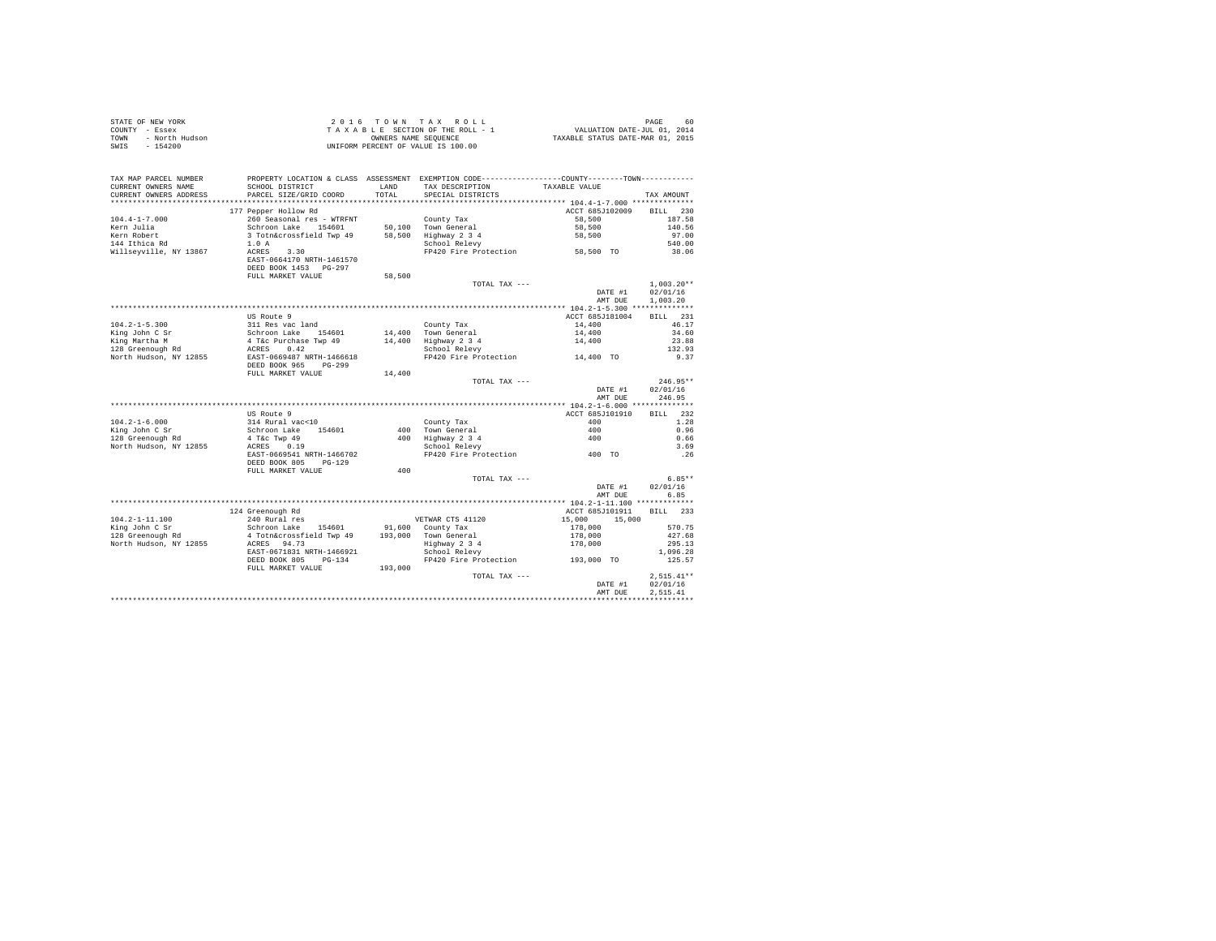|      | STATE OF NEW YORK | 2016 TOWN TAX ROLL                 | 60.<br>PAGE                      |
|------|-------------------|------------------------------------|----------------------------------|
|      | COUNTY - Essex    | TAXABLE SECTION OF THE ROLL - 1    | VALUATION DATE-JUL 01, 2014      |
| TOWN | - North Hudson    | OWNERS NAME SEOUENCE               | TAXABLE STATUS DATE-MAR 01, 2015 |
| SWIS | $-154200$         | UNIFORM PERCENT OF VALUE IS 100.00 |                                  |

| TAX MAP PARCEL NUMBER<br>CURRENT OWNERS NAME | SCHOOL DISTRICT                                                                                                                                        |         | PROPERTY LOCATION & CLASS ASSESSMENT EXEMPTION CODE----------------COUNTY--------TOWN----------<br>LAND TAX DESCRIPTION | TAXABLE VALUE            |              |
|----------------------------------------------|--------------------------------------------------------------------------------------------------------------------------------------------------------|---------|-------------------------------------------------------------------------------------------------------------------------|--------------------------|--------------|
| CURRENT OWNERS ADDRESS                       | PARCEL SIZE/GRID COORD                                                                                                                                 |         | TOTAL SPECIAL DISTRICTS                                                                                                 |                          | TAX AMOUNT   |
|                                              |                                                                                                                                                        |         |                                                                                                                         |                          |              |
|                                              | 177 Pepper Hollow Rd                                                                                                                                   |         |                                                                                                                         | ACCT 685J102009          | BILL 230     |
| $104.4 - 1 - 7.000$                          | 260 Seasonal res - WTRFNT                                                                                                                              |         | County Tax                                                                                                              | 58,500                   | 187.58       |
| Kern Julia                                   |                                                                                                                                                        |         |                                                                                                                         | 58,500                   | 140.56       |
| Kern Robert                                  | Schroon Lake 154601 50,100 Town General<br>3 Totn&crossfield Twp 49 58,500 Highway 2 3 4                                                               |         | 58,500 Highway 2 3 4<br>School Relevy                                                                                   | 58,500                   | 97.00        |
| 144 Ithica Rd                                | 1.0 A                                                                                                                                                  |         |                                                                                                                         |                          | 540.00       |
| Willseyville, NY 13867                       | ACRES 3.30                                                                                                                                             |         |                                                                                                                         |                          | 38.06        |
|                                              | EAST-0664170 NRTH-1461570                                                                                                                              |         |                                                                                                                         |                          |              |
|                                              | DEED BOOK 1453 PG-297                                                                                                                                  |         |                                                                                                                         |                          |              |
|                                              | FULL MARKET VALUE                                                                                                                                      | 58,500  |                                                                                                                         |                          |              |
|                                              |                                                                                                                                                        |         | TOTAL TAX ---                                                                                                           |                          | $1.003.20**$ |
|                                              |                                                                                                                                                        |         |                                                                                                                         | DATE #1                  | 02/01/16     |
|                                              |                                                                                                                                                        |         |                                                                                                                         | AMT DUE                  | 1,003.20     |
|                                              |                                                                                                                                                        |         |                                                                                                                         |                          |              |
|                                              | US Route 9                                                                                                                                             |         |                                                                                                                         | ACCT 685J181004          | BILL 231     |
| $104.2 - 1 - 5.300$                          | 2011 Res vac land<br>Schroon Lake 154601 14,400 Town General<br>4 Tec Purchase Twp 49 14,400 Highway 2 3 4<br>ACRES 0.42<br>2011 School Relevy<br>2012 |         |                                                                                                                         | 14,400                   | 46.17        |
| King John C Sr                               |                                                                                                                                                        |         |                                                                                                                         | 14,400                   | 34.60        |
| King Martha M                                |                                                                                                                                                        |         |                                                                                                                         |                          | 23.88        |
| King Martha M<br>128 Greenough Rd            |                                                                                                                                                        |         |                                                                                                                         | 14,400                   | 132.93       |
| North Hudson, NY 12855                       | EAST-0669487 NRTH-1466618                                                                                                                              |         | School Relevy<br>FP420 Fire Protection 14,400 TO                                                                        |                          | 9.37         |
|                                              | DEED BOOK 965 PG-299<br>FULL MARKET VALUE                                                                                                              |         |                                                                                                                         |                          |              |
|                                              |                                                                                                                                                        | 14,400  | TOTAL TAX ---                                                                                                           |                          | $246.95**$   |
|                                              |                                                                                                                                                        |         |                                                                                                                         | DATE #1                  | 02/01/16     |
|                                              |                                                                                                                                                        |         |                                                                                                                         |                          |              |
|                                              |                                                                                                                                                        |         |                                                                                                                         | AMT DUE                  | 246.95       |
|                                              |                                                                                                                                                        |         |                                                                                                                         |                          |              |
|                                              | US Route 9                                                                                                                                             |         |                                                                                                                         | ACCT 685J101910          | BILL 232     |
| $104.2 - 1 - 6.000$                          | 314 Rural vac<10<br>Schroon Lake 154601                                                                                                                |         | County Tax                                                                                                              | 400                      | 1.28         |
| King John C Sr                               |                                                                                                                                                        |         | 400 Town General                                                                                                        | 400                      | 0.96         |
| 128 Greenough Rd                             | $4$ T&c Twp $49$<br>ACRES 0.19<br>$ACRES$ 0.19                                                                                                         |         | 400 Highway 2 3 4                                                                                                       | 400                      | 0.66         |
| North Hudson, NY 12855                       |                                                                                                                                                        |         | School Relevy<br>FP420 Fire Protection 5 400 TO                                                                         |                          | 3.69         |
|                                              | EAST-0669541 NRTH-1466702                                                                                                                              |         |                                                                                                                         |                          | .26          |
|                                              | DEED BOOK 805 PG-129                                                                                                                                   |         |                                                                                                                         |                          |              |
|                                              | FULL MARKET VALUE                                                                                                                                      | 400     |                                                                                                                         |                          |              |
|                                              |                                                                                                                                                        |         | TOTAL TAX ---                                                                                                           |                          | $6.85**$     |
|                                              |                                                                                                                                                        |         |                                                                                                                         | DATE #1                  | 02/01/16     |
|                                              |                                                                                                                                                        |         |                                                                                                                         | AMT DUR                  | 6.85         |
|                                              |                                                                                                                                                        |         |                                                                                                                         |                          |              |
|                                              | 124 Greenough Rd                                                                                                                                       |         |                                                                                                                         | ACCT 685J101911 BILL 233 |              |
| $104.2 - 1 - 11.100$                         |                                                                                                                                                        |         |                                                                                                                         | $15,000$ $15,000$        |              |
| King John C Sr                               | VETWAR CTS 41120<br>Schroon Lake 154601 91,600 County Tax<br>4 Toth&crossfield Twp 49 193,000 County Tax                                               |         |                                                                                                                         | 178,000                  | 570.75       |
| Aing John C Sr<br>128 Greenough Rd           |                                                                                                                                                        |         |                                                                                                                         |                          | 427.68       |
| North Hudson, NY 12855                       | ACRES 94.73                                                                                                                                            |         | Highway 2 3 4                                                                                                           | 178,000<br>178,000       | 295.13       |
|                                              | EAST-0671831 NRTH-1466921                                                                                                                              |         | School Relevy                                                                                                           |                          | 1,096.28     |
|                                              | DEED BOOK 805<br>$PG-134$                                                                                                                              |         | FP420 Fire Protection 193,000 TO                                                                                        |                          | 125.57       |
|                                              | FULL MARKET VALUE                                                                                                                                      | 193,000 |                                                                                                                         |                          |              |
|                                              |                                                                                                                                                        |         | TOTAL TAX ---                                                                                                           |                          | $2,515.41**$ |
|                                              |                                                                                                                                                        |         |                                                                                                                         | DATE #1                  | 02/01/16     |
|                                              |                                                                                                                                                        |         |                                                                                                                         | AMT DUE                  | 2.515.41     |
|                                              |                                                                                                                                                        |         |                                                                                                                         |                          |              |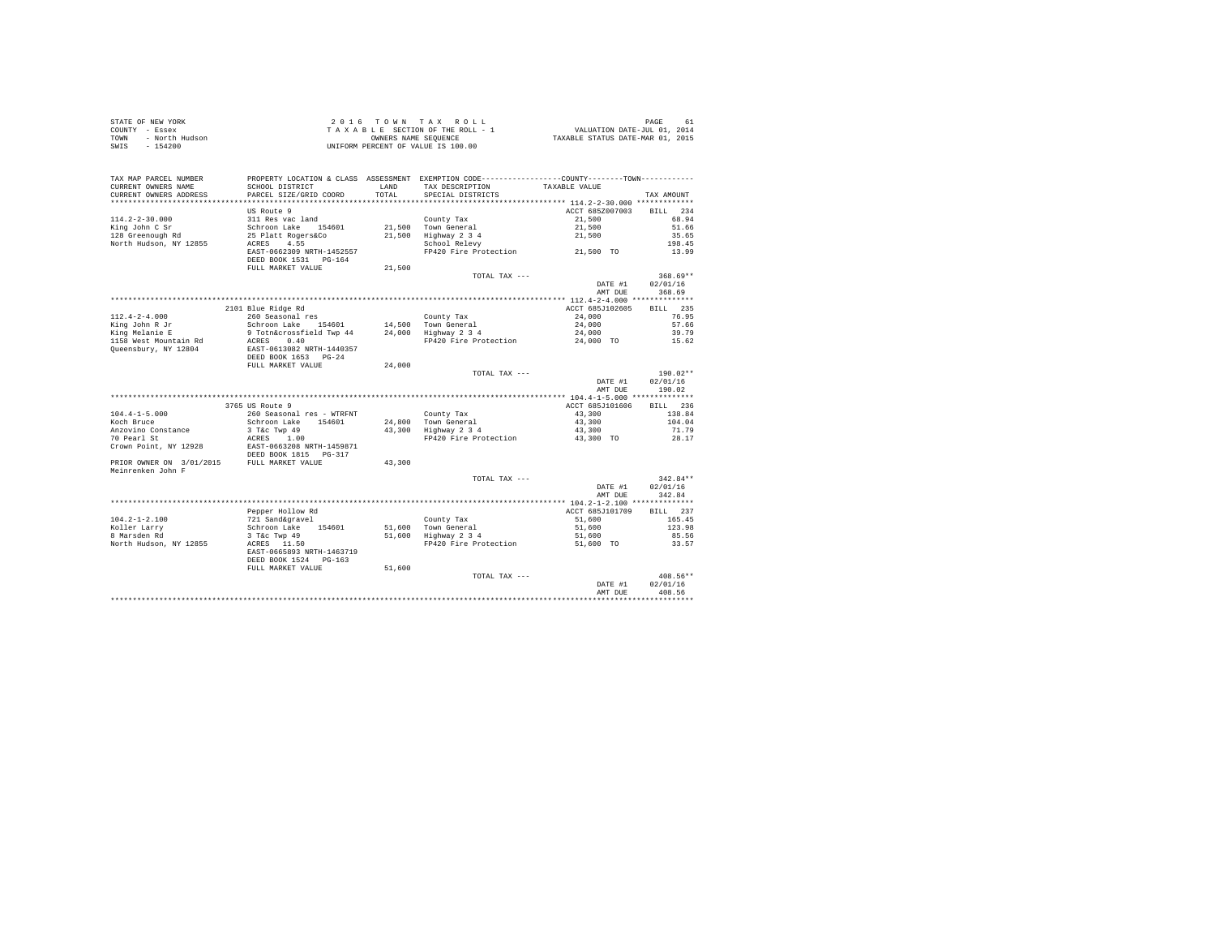| STATE OF NEW YORK      | 2016 TOWN TAX ROLL                 | 61<br>PAGE                       |
|------------------------|------------------------------------|----------------------------------|
| COUNTY - Essex         | TAXABLE SECTION OF THE ROLL - 1    | VALUATION DATE-JUL 01, 2014      |
| TOWN<br>- North Hudson | OWNERS NAME SEOUENCE               | TAXABLE STATUS DATE-MAR 01, 2015 |
| - 154200<br>SWIS       | UNIFORM PERCENT OF VALUE IS 100.00 |                                  |

| TAX MAP PARCEL NUMBER<br>CURRENT OWNERS NAME<br>CURRENT OWNERS ADDRESS | PROPERTY LOCATION & CLASS ASSESSMENT EXEMPTION CODE---------------COUNTY-------TOWN---------<br>SCHOOL DISTRICT<br>PARCEL SIZE/GRID COORD | LAND<br>TOTAL | TAX DESCRIPTION<br>SPECIAL DISTRICTS                      | TAXABLE VALUE                       | TAX AMOUNT                       |
|------------------------------------------------------------------------|-------------------------------------------------------------------------------------------------------------------------------------------|---------------|-----------------------------------------------------------|-------------------------------------|----------------------------------|
|                                                                        |                                                                                                                                           |               |                                                           |                                     |                                  |
| $114.2 - 2 - 30.000$<br>King John C Sr                                 | US Route 9<br>311 Res vac land<br>Schroon Lake 154601                                                                                     |               | County Tax<br>21,500 Town General                         | ACCT 685Z007003<br>21,500<br>21,500 | BTLL.<br>234<br>68.94<br>51.66   |
| 128 Greenough Rd<br>North Hudson, NY 12855                             | 25 Platt Rogers&Co<br>4.55<br>ACRES<br>EAST-0662309 NRTH-1452557                                                                          | 21,500        | Highway 2 3 4<br>School Relevy                            | 21,500                              | 35.65<br>198.45<br>13.99         |
|                                                                        | DEED BOOK 1531 PG-164<br>FULL MARKET VALUE                                                                                                | 21,500        |                                                           |                                     |                                  |
|                                                                        |                                                                                                                                           |               | TOTAL TAX ---                                             | DATE #1<br>AMT DUE                  | $368.69**$<br>02/01/16<br>368.69 |
|                                                                        |                                                                                                                                           |               |                                                           |                                     |                                  |
| $112.4 - 2 - 4.000$<br>King John R Jr                                  | 2101 Blue Ridge Rd<br>260 Seasonal res<br>Schroon Lake 154601                                                                             |               | County Tax<br>14.500 Town General                         | ACCT 685J102605<br>24,000<br>24,000 | BILL 235<br>76.95<br>57.66       |
| King Melanie E<br>1158 West Mountain Rd<br>Oueensbury, NY 12804        | 9 Totn&crossfield Twp 44<br>0.40<br>ACRES<br>EAST-0613082 NRTH-1440357                                                                    |               | 24,000 Highway 2 3 4<br>FP420 Fire Protection             | 24,000<br>24,000 TO                 | 39.79<br>15.62                   |
|                                                                        | DEED BOOK 1653 PG-24<br>FULL MARKET VALUE                                                                                                 | 24,000        | TOTAL TAX ---                                             |                                     | $190.02**$                       |
|                                                                        |                                                                                                                                           |               |                                                           | DATE #1<br>AMT DUE                  | 02/01/16<br>190.02               |
|                                                                        |                                                                                                                                           |               |                                                           |                                     |                                  |
|                                                                        | 3765 US Route 9                                                                                                                           |               |                                                           | ACCT 685J101606                     | BILL 236                         |
| $104.4 - 1 - 5.000$<br>Koch Bruce<br>Anzovino Constance                | 260 Seasonal res - WTRFNT<br>Schroon Lake 154601                                                                                          |               | County Tax<br>24,800 Town General<br>43,300 Highway 2 3 4 | 43,300<br>43,300                    | 138.84<br>104.04                 |
| 70 Pearl St<br>Crown Point, NY 12928                                   | 3 T&c Twp 49<br>ACRES 1.00<br>EAST-0663208 NRTH-1459871<br>DEED BOOK 1815 PG-317                                                          |               | FP420 Fire Protection                                     | 43,300<br>43,300 TO                 | 71.79<br>28.17                   |
| PRIOR OWNER ON 3/01/2015 FULL MARKET VALUE<br>Meinrenken John F        |                                                                                                                                           | 43,300        |                                                           |                                     |                                  |
|                                                                        |                                                                                                                                           |               | TOTAL TAX ---                                             | DATE #1<br>AMT DUE                  | $342.84**$<br>02/01/16<br>342.84 |
|                                                                        |                                                                                                                                           |               |                                                           |                                     |                                  |
|                                                                        | Pepper Hollow Rd                                                                                                                          |               |                                                           | ACCT 685J101709                     | BILL 237                         |
| $104.2 - 1 - 2.100$<br>Koller Larry                                    | 721 Sand&gravel<br>Schroon Lake 154601                                                                                                    |               | County Tax<br>51,600 Town General                         | 51,600<br>51,600                    | 165.45<br>123.98                 |
| 8 Marsden Rd                                                           | 3 T&c Twp 49                                                                                                                              |               |                                                           | 51,600                              | 85.56                            |
| North Hudson, NY 12855                                                 | ACRES 11.50<br>EAST-0665893 NRTH-1463719<br>DEED BOOK 1524 PG-163                                                                         |               | 51,600 Highway 2 3 4<br>FP420 Fire Protection             | 51,600 TO                           | 33.57                            |
|                                                                        | FULL MARKET VALUE                                                                                                                         | 51,600        |                                                           |                                     |                                  |
|                                                                        |                                                                                                                                           |               | TOTAL TAX ---                                             | DATE #1<br>AMT DUE                  | $408.56**$<br>02/01/16<br>408.56 |
|                                                                        |                                                                                                                                           |               |                                                           | ****************************        |                                  |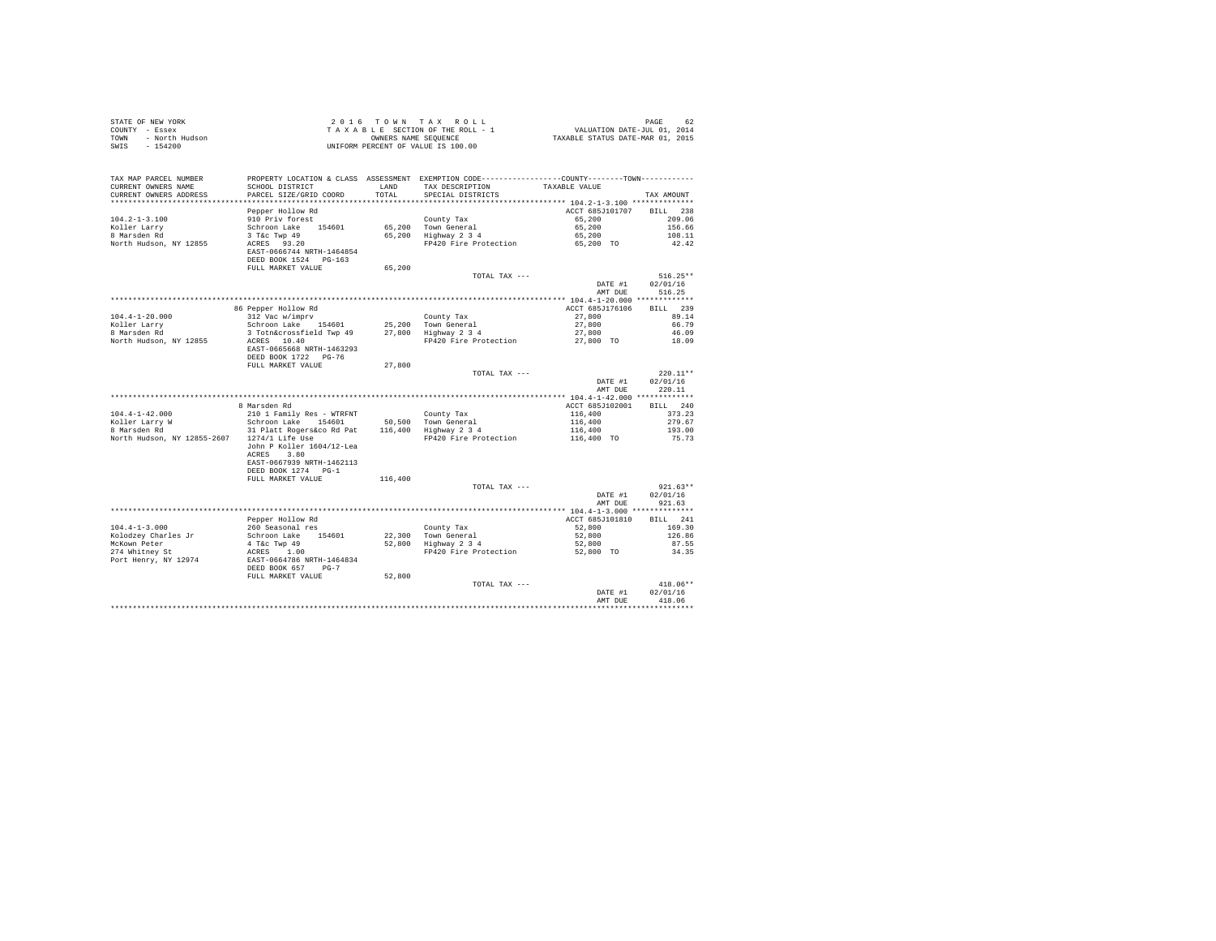| COUNTY - Essex<br>- North Hudson<br>TOWN<br>SWTS<br>$-154200$ | T A X A B L E SECTION OF THE ROLL - 1<br>OWNERS NAME SENGER SEQUENCE<br>UNIFORM PERCENT OF VALUE IS 100.00                                               |         |                                                            |                               |                        |
|---------------------------------------------------------------|----------------------------------------------------------------------------------------------------------------------------------------------------------|---------|------------------------------------------------------------|-------------------------------|------------------------|
| TAX MAP PARCEL NUMBER                                         | PROPERTY LOCATION & CLASS ASSESSMENT EXEMPTION CODE---------------COUNTY-------TOWN----------                                                            |         |                                                            |                               |                        |
| CURRENT OWNERS NAME                                           | SCHOOL DISTRICT                                                                                                                                          |         | LAND TAX DESCRIPTION                                       | TAXABLE VALUE                 |                        |
| CURRENT OWNERS ADDRESS                                        | PARCEL SIZE/GRID COORD                                                                                                                                   | TOTAL   | SPECIAL DISTRICTS                                          |                               | TAX AMOUNT             |
|                                                               | Pepper Hollow Rd                                                                                                                                         |         |                                                            | ACCT 685J101707 BILL 238      |                        |
| $104.2 - 1 - 3.100$                                           | 910 Priv forest                                                                                                                                          |         |                                                            | 65,200                        | 209.06                 |
| 104.2-i-J.-<br>Koller Larry<br>International                  | 910 Priv forest<br>Schroon Lake 154601                                                                                                                   |         | County Tax<br>65,200 Town General<br>65,200 Highway 2 3 4  | 65,200                        | 156.66                 |
|                                                               |                                                                                                                                                          |         |                                                            | 65,200                        | 108.11                 |
| North Hudson, NY 12855                                        | 3 T&C Twp 49<br>ACRES 93.20<br>EAST-0666744 NRTH-1464854<br>DEED BOOK 1524 PG-163                                                                        |         | FP420 Fire Protection 65,200 TO                            |                               | 42.42                  |
|                                                               | FULL MARKET VALUE                                                                                                                                        | 65,200  |                                                            |                               |                        |
|                                                               |                                                                                                                                                          |         | TOTAL TAX ---                                              |                               | $516.25**$             |
|                                                               |                                                                                                                                                          |         |                                                            | DATE #1<br>AMT DUE            | 02/01/16<br>516.25     |
|                                                               |                                                                                                                                                          |         |                                                            |                               | BILL 239               |
| $104.4 - 1 - 20.000$                                          | 86 Pepper Hollow Rd                                                                                                                                      |         |                                                            | ACCT 685J176106               | 89.14                  |
|                                                               | 312 Vac w/imprv<br>Schroon Lake 154601 25,200 Town General<br>3 Toth&crossfield Twp 49 27,800 Highway 234<br>2 Toth&crossfield Twp 49 27,800 Highway 234 |         |                                                            | 27,800<br>27,800              | 66.79                  |
| Koller Larry<br>8 Marsden Rd                                  |                                                                                                                                                          |         |                                                            | 27,800                        | 46.09                  |
| North Hudson, NY 12855                                        | ACRES 10.40                                                                                                                                              |         | FP420 Fire Protection 27,800 TO                            |                               | 18.09                  |
|                                                               | EAST-0665668 NRTH-1463293<br>DEED BOOK 1722 PG-76                                                                                                        |         |                                                            |                               |                        |
|                                                               | FULL MARKET VALUE                                                                                                                                        | 27,800  |                                                            |                               |                        |
|                                                               |                                                                                                                                                          |         | TOTAL TAX ---                                              |                               | $220.11**$             |
|                                                               |                                                                                                                                                          |         |                                                            | DATE #1<br>AMT DUE            | 02/01/16<br>220.11     |
|                                                               | 8 Marsden Rd                                                                                                                                             |         |                                                            | ACCT 685J102001               | BILL 240               |
|                                                               |                                                                                                                                                          |         |                                                            |                               | 373.23                 |
|                                                               |                                                                                                                                                          |         |                                                            |                               | 279.67                 |
|                                                               |                                                                                                                                                          |         | County Tax<br>50,500 Town General<br>116,400 Highway 2 3 4 | 116,400<br>116,400<br>116,400 | 193.00                 |
| North Hudson, NY 12855-2607 1274/1 Life Use                   | John P Koller 1604/12-Lea                                                                                                                                |         | FP420 Fire Protection 116,400 TO                           |                               | 75.73                  |
|                                                               | ACRES 3.80<br>EAST-0667939 NRTH-1462113<br>DEED BOOK 1274 PG-1                                                                                           |         |                                                            |                               |                        |
|                                                               | FULL MARKET VALUE                                                                                                                                        | 116,400 |                                                            |                               |                        |
|                                                               |                                                                                                                                                          |         | TOTAL TAX ---                                              |                               | $921.63**$             |
|                                                               |                                                                                                                                                          |         |                                                            | DATE #1<br>AMT DUE            | 02/01/16<br>921.63     |
|                                                               |                                                                                                                                                          |         |                                                            |                               |                        |
|                                                               | Pepper Hollow Rd                                                                                                                                         |         |                                                            | ACCT 685J101810               | BILL 241               |
| $104.4 - 1 - 3.000$                                           | 260 Seasonal res                                                                                                                                         |         | County Tax                                                 | 52,800                        | 169.30                 |
| Kolodzey Charles Jr                                           |                                                                                                                                                          |         | County Tax<br>22,300 Town General<br>52,800 Highway 2 3 4  | 52,800<br>52,800              | 126.86                 |
| McKown Peter<br>274 Whitney St                                |                                                                                                                                                          |         | FP420 Fire Protection                                      | 52,800 TO                     | 87.55<br>34.35         |
| Port Henry, NY 12974                                          | Schroon Lake 154601<br>4 T&c Twp 49<br>ACRES 1.00<br>EAST-0664786 NRTH-1464834<br>DEED BOOK 657 PG-7                                                     |         |                                                            |                               |                        |
|                                                               | FULL MARKET VALUE                                                                                                                                        | 52,800  |                                                            |                               |                        |
|                                                               |                                                                                                                                                          |         | TOTAL TAX ---                                              | DATE #1                       | $418.06**$<br>02/01/16 |
|                                                               |                                                                                                                                                          |         |                                                            | AMT DUE                       | 418.06                 |
|                                                               |                                                                                                                                                          |         |                                                            |                               |                        |

STATE OF NEW YORK 62 COLOR CONSTRUCTED AND THE STATE OF TOWN TAX ROLL THE STATE OF A SEA 62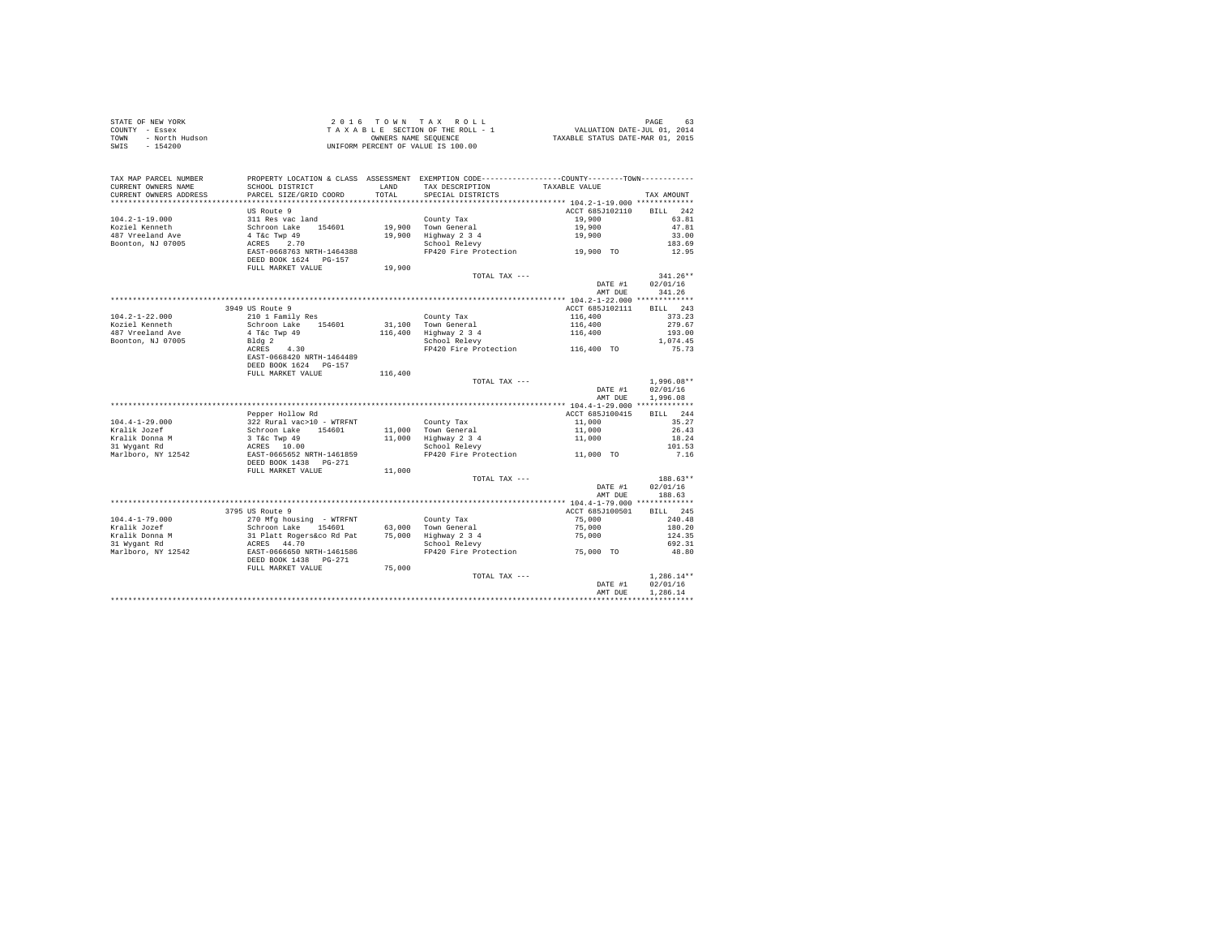| STATE OF NEW YORK      | 2016 TOWN TAX ROLL                 | 63<br>PAGE                       |
|------------------------|------------------------------------|----------------------------------|
| COUNTY - Essex         | TAXABLE SECTION OF THE ROLL - 1    | VALUATION DATE-JUL 01, 2014      |
| TOWN<br>- North Hudson | OWNERS NAME SEOUENCE               | TAXABLE STATUS DATE-MAR 01, 2015 |
| $-154200$<br>SWIS      | UNIFORM PERCENT OF VALUE IS 100.00 |                                  |

| TAX MAP PARCEL NUMBER<br>CURRENT OWNERS NAME<br>CURRENT OWNERS ADDRESS | SCHOOL DISTRICT<br>PARCEL SIZE/GRID COORD | LAND<br>TOTAL. | PROPERTY LOCATION & CLASS ASSESSMENT EXEMPTION CODE---------------COUNTY-------TOWN----------<br>TAX DESCRIPTION<br>SPECIAL DISTRICTS | TAXABLE VALUE   | TAX AMOUNT         |
|------------------------------------------------------------------------|-------------------------------------------|----------------|---------------------------------------------------------------------------------------------------------------------------------------|-----------------|--------------------|
| ************************                                               | ************************                  |                |                                                                                                                                       |                 |                    |
|                                                                        | US Route 9                                |                |                                                                                                                                       | ACCT 685J102110 | <b>BILL</b><br>242 |
| $104.2 - 1 - 19.000$                                                   | 311 Res vac land                          |                | County Tax                                                                                                                            | 19,900          | 63.81              |
| Koziel Kenneth                                                         | Schroon Lake 154601                       |                | 19,900 Town General                                                                                                                   | 19,900          | 47.81              |
| 487 Vreeland Ave                                                       | 4 T&c Twp 49                              | 19,900         | Highway 2 3 4                                                                                                                         | 19,900          | 33.00              |
| Boonton, NJ 07005                                                      | 2.70<br>ACRES                             |                | School Relevy                                                                                                                         |                 | 183.69             |
|                                                                        | EAST-0668763 NRTH-1464388                 |                | FR420 Fire Protection 19,900 TO                                                                                                       |                 | 12.95              |
|                                                                        | DEED BOOK 1624 PG-157                     |                |                                                                                                                                       |                 |                    |
|                                                                        | FULL MARKET VALUE                         | 19,900         |                                                                                                                                       |                 |                    |
|                                                                        |                                           |                | TOTAL TAX ---                                                                                                                         |                 | $341.26**$         |
|                                                                        |                                           |                |                                                                                                                                       | DATE #1         | 02/01/16           |
|                                                                        |                                           |                |                                                                                                                                       | AMT DUE         | 341.26             |
|                                                                        |                                           |                |                                                                                                                                       |                 |                    |
|                                                                        | 3949 US Route 9                           |                |                                                                                                                                       | ACCT 685J102111 | BILL 243           |
|                                                                        |                                           |                |                                                                                                                                       |                 |                    |
| $104.2 - 1 - 22.000$                                                   | 210 1 Family Res                          |                | County Tax                                                                                                                            | 116,400         | 373.23             |
| Koziel Kenneth                                                         | Schroon Lake 154601                       |                | 31,100 Town General                                                                                                                   | 116,400         | 279.67             |
| 487 Vreeland Ave                                                       | 4 T&c Twp 49                              |                | 116,400 Highway 2 3 4                                                                                                                 | 116,400         | 193.00             |
| Boonton, NJ 07005                                                      | Bldg 2                                    |                | School Relevy                                                                                                                         |                 | 1,074.45           |
|                                                                        | ACRES<br>4.30                             |                | FP420 Fire Protection                                                                                                                 | 116,400 TO      | 75.73              |
|                                                                        | EAST-0668420 NRTH-1464489                 |                |                                                                                                                                       |                 |                    |
|                                                                        | DEED BOOK 1624 PG-157                     |                |                                                                                                                                       |                 |                    |
|                                                                        | FULL MARKET VALUE                         | 116,400        |                                                                                                                                       |                 |                    |
|                                                                        |                                           |                | TOTAL TAX ---                                                                                                                         |                 | $1.996.08**$       |
|                                                                        |                                           |                |                                                                                                                                       | DATE #1         | 02/01/16           |
|                                                                        |                                           |                |                                                                                                                                       | AMT DUE         | 1,996.08           |
|                                                                        |                                           |                |                                                                                                                                       |                 |                    |
|                                                                        | Pepper Hollow Rd                          |                |                                                                                                                                       | ACCT 685J100415 | BILL 244           |
| $104.4 - 1 - 29.000$                                                   | 322 Rural vac>10 - WTRFNT                 |                | County Tax                                                                                                                            | 11,000          | 35.27              |
| Kralik Jozef                                                           | Schroon Lake 154601                       |                | 11.000 Town General                                                                                                                   | 11,000          | 26.43              |
| Kralik Donna M                                                         | 3 T&c Twp 49                              |                | 11,000 Highway 2 3 4                                                                                                                  | 11,000          | 18.24              |
| 31 Wygant Rd                                                           | ACRES 10.00                               |                | School Relevy                                                                                                                         |                 | 101.53             |
| Marlboro, NY 12542                                                     | EAST-0665652 NRTH-1461859                 |                | FP420 Fire Protection                                                                                                                 | 11,000 TO       | 7.16               |
|                                                                        | DEED BOOK 1438  PG-271                    |                |                                                                                                                                       |                 |                    |
|                                                                        | FULL MARKET VALUE                         | 11,000         |                                                                                                                                       |                 |                    |
|                                                                        |                                           |                | TOTAL TAX ---                                                                                                                         |                 | 188.63**           |
|                                                                        |                                           |                |                                                                                                                                       | DATE #1         | 02/01/16           |
|                                                                        |                                           |                |                                                                                                                                       | AMT DUE         | 188.63             |
|                                                                        |                                           |                |                                                                                                                                       |                 |                    |
|                                                                        | 3795 US Route 9                           |                |                                                                                                                                       | ACCT 685J100501 | BILL 245           |
| $104.4 - 1 - 79.000$                                                   | 270 Mfg housing - WTRFNT                  |                | County Tax                                                                                                                            | 75,000          | 240.48             |
| Kralik Jozef                                                           | Schroon Lake 154601                       |                | 63.000 Town General                                                                                                                   | 75,000          | 180.20             |
| Kralik Donna M                                                         | 31 Platt Rogers&co Rd Pat                 |                | 75,000 Highway 2 3 4                                                                                                                  |                 | 124.35             |
|                                                                        | ACRES 44.70                               |                | School Relevy                                                                                                                         | 75,000          | 692.31             |
| 31 Wygant Rd                                                           |                                           |                |                                                                                                                                       |                 |                    |
| Marlboro, NY 12542                                                     | EAST-0666650 NRTH-1461586                 |                | FP420 Fire Protection                                                                                                                 | 75,000 TO       | 48.80              |
|                                                                        | DEED BOOK 1438 PG-271                     |                |                                                                                                                                       |                 |                    |
|                                                                        | FULL MARKET VALUE                         | 75,000         |                                                                                                                                       |                 |                    |
|                                                                        |                                           |                | TOTAL TAX ---                                                                                                                         |                 | $1,286.14**$       |
|                                                                        |                                           |                |                                                                                                                                       | DATE #1         | 02/01/16           |
|                                                                        |                                           |                |                                                                                                                                       | AMT DUE         | 1.286.14           |
|                                                                        |                                           |                |                                                                                                                                       |                 |                    |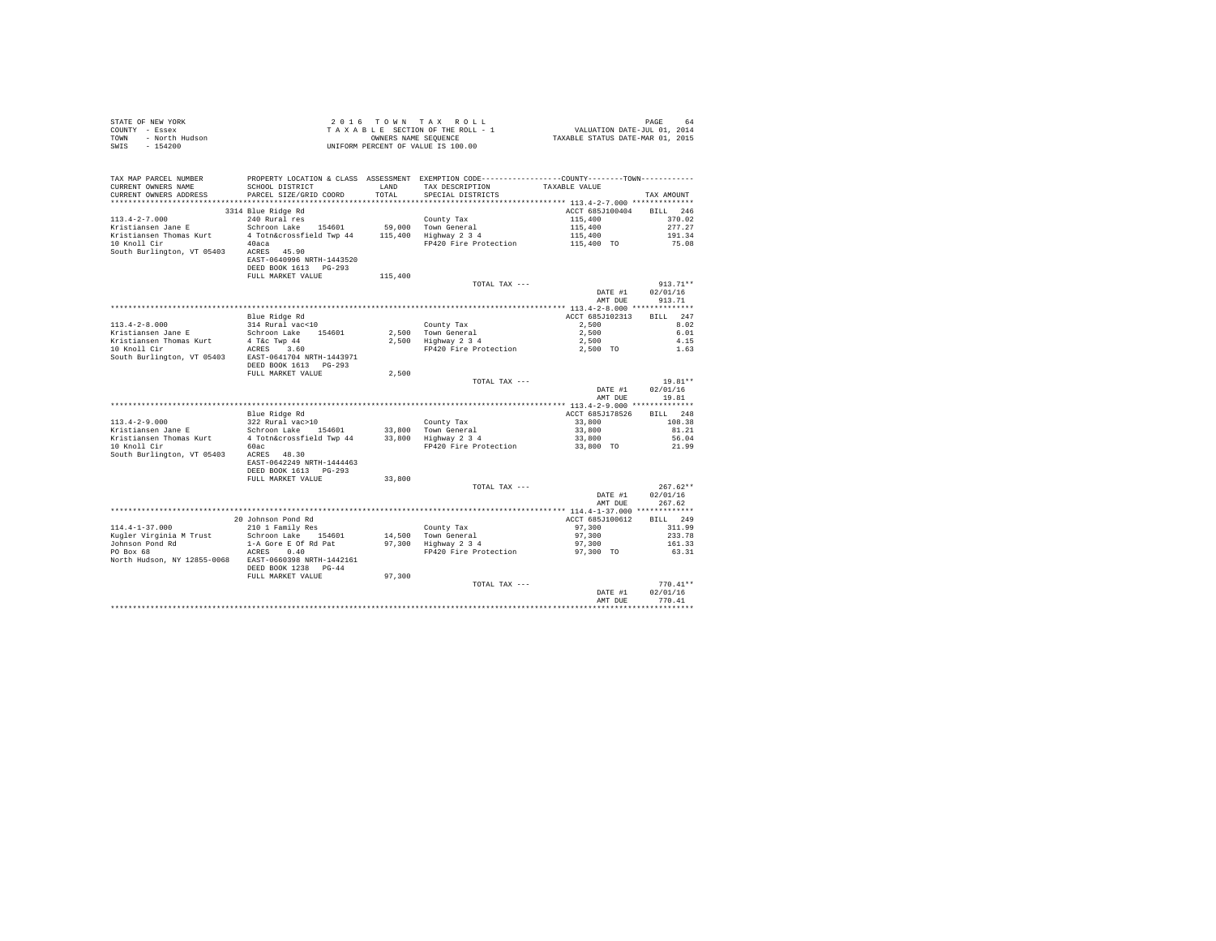| STATE OF NEW YORK<br>COUNTY - Essex<br>TOWN - North Hudson<br>- ALLAND                                                                                                                                                                |                                                                                               |         | UNIFORM PERCENT OF VALUE IS 100.00                        |                           |                   |
|---------------------------------------------------------------------------------------------------------------------------------------------------------------------------------------------------------------------------------------|-----------------------------------------------------------------------------------------------|---------|-----------------------------------------------------------|---------------------------|-------------------|
| TAX MAP PARCEL NUMBER                                                                                                                                                                                                                 | PROPERTY LOCATION & CLASS ASSESSMENT EXEMPTION CODE----------------COUNTY-------TOWN--------- |         |                                                           |                           |                   |
| CURRENT OWNERS NAME                                                                                                                                                                                                                   | SCHOOL DISTRICT                                                                               | LAND    | TAX DESCRIPTION                                           | TAXABLE VALUE             |                   |
| CURRENT OWNERS ADDRESS                                                                                                                                                                                                                | PARCEL SIZE/GRID COORD                                                                        | TOTAL   | SPECIAL DISTRICTS                                         |                           | TAX AMOUNT        |
|                                                                                                                                                                                                                                       | 3314 Blue Ridge Rd                                                                            |         |                                                           | ACCT 685J100404 BILL 246  |                   |
| $113.4 - 2 - 7.000$                                                                                                                                                                                                                   | 240 Rural res                                                                                 |         | County Tax                                                | 115,400                   | 370.02            |
|                                                                                                                                                                                                                                       |                                                                                               |         |                                                           | 115,400                   | 277.27            |
| xector of the section of the section of the section of the section of the section of the section of the section<br>$\frac{1}{2}$ is the section of the section of the section of the section of the section of the section of the sec |                                                                                               |         |                                                           |                           | 191.34            |
| 10 Knoll Cir                                                                                                                                                                                                                          | 40aca da anal                                                                                 |         | FP420 Fire Protection                                     | 115,400<br>115,400 TO     | 75.08             |
| south Burlington, VT 05403 ACRES 45.90                                                                                                                                                                                                | EAST-0640996 NRTH-1443520                                                                     |         |                                                           |                           |                   |
|                                                                                                                                                                                                                                       | DEED BOOK 1613    PG-293<br>FULL MARKET VALUE                                                 | 115,400 |                                                           |                           |                   |
|                                                                                                                                                                                                                                       |                                                                                               |         | TOTAL TAX ---                                             |                           | $913.71**$        |
|                                                                                                                                                                                                                                       |                                                                                               |         |                                                           |                           | DATE #1 02/01/16  |
|                                                                                                                                                                                                                                       |                                                                                               |         |                                                           | AMT DUE                   | 913.71            |
|                                                                                                                                                                                                                                       |                                                                                               |         |                                                           |                           |                   |
| 113.4-2-6.000 Elue Ridge Rd<br>113.4-2.100 Find Tax and The Technology of the Schröder Company 2,500<br>The Schröder Schröder (1990 41 Reverse 194601 2,500 Town General 2,500<br>Fristiansen Jane E Schröder 194601 2,500 Town Gene  |                                                                                               |         |                                                           | ACCT 685J102313           | BILL 247          |
|                                                                                                                                                                                                                                       |                                                                                               |         |                                                           |                           | 8.02              |
|                                                                                                                                                                                                                                       |                                                                                               |         |                                                           |                           | 6.01              |
|                                                                                                                                                                                                                                       |                                                                                               |         |                                                           |                           | 4.15              |
| South Burlington, VT 05403 EAST-0641704 NRTH-1443971                                                                                                                                                                                  | DEED BOOK 1613 PG-293                                                                         |         |                                                           |                           | 1.63              |
|                                                                                                                                                                                                                                       | FULL MARKET VALUE                                                                             | 2,500   |                                                           |                           |                   |
|                                                                                                                                                                                                                                       |                                                                                               |         | TOTAL TAX ---                                             |                           | $19.81**$         |
|                                                                                                                                                                                                                                       |                                                                                               |         |                                                           | DATE #1<br>AMT DUE        | 02/01/16<br>19.81 |
|                                                                                                                                                                                                                                       |                                                                                               |         |                                                           |                           |                   |
|                                                                                                                                                                                                                                       |                                                                                               |         |                                                           | ACCT 685J178526<br>33,800 | BILL 248          |
|                                                                                                                                                                                                                                       |                                                                                               |         |                                                           |                           | 108.38<br>81.21   |
|                                                                                                                                                                                                                                       |                                                                                               |         |                                                           | 33,800<br>33,800          | 56.04             |
|                                                                                                                                                                                                                                       |                                                                                               |         | FP420 Fire Protection                                     | 33,800 TO                 | 21.99             |
|                                                                                                                                                                                                                                       |                                                                                               |         |                                                           |                           |                   |
|                                                                                                                                                                                                                                       | DEED BOOK 1613 PG-293                                                                         |         |                                                           |                           |                   |
|                                                                                                                                                                                                                                       | FULL MARKET VALUE                                                                             | 33,800  | TOTAL TAX ---                                             |                           | $267.62**$        |
|                                                                                                                                                                                                                                       |                                                                                               |         |                                                           | DATE #1                   | 02/01/16          |
|                                                                                                                                                                                                                                       |                                                                                               |         |                                                           | AMT DUE                   | 267.62            |
|                                                                                                                                                                                                                                       |                                                                                               |         |                                                           |                           |                   |
|                                                                                                                                                                                                                                       | 20 Johnson Pond Rd                                                                            |         |                                                           | ACCT 685J100612           | BILL 249          |
| 114.4-1-37.000                                                                                                                                                                                                                        | 210 1 Family Res                                                                              |         |                                                           | 97.300                    | 311.99            |
| Kugler Virginia M Trust Schroon Lake 154601                                                                                                                                                                                           |                                                                                               |         | County Tax<br>14,500 Town General<br>97,300 Highway 2 3 4 | 97,300<br>97,300          | 233.78            |
| Johnson Pond Rd<br>PO Box 68                                                                                                                                                                                                          | 1-A Gore E Of Rd Pat                                                                          |         |                                                           |                           | 161.33            |
| North Hudson, NY 12855-0068 EAST-0660398 NRTH-1442161                                                                                                                                                                                 | ACRES 0.40<br>DEED BOOK 1238 PG-44                                                            |         | FP420 Fire Protection                                     | 97,300 TO                 | 63.31             |
|                                                                                                                                                                                                                                       | FULL MARKET VALUE                                                                             | 97,300  |                                                           |                           |                   |
|                                                                                                                                                                                                                                       |                                                                                               |         | TOTAL TAX ---                                             |                           | $770.41**$        |
|                                                                                                                                                                                                                                       |                                                                                               |         |                                                           | DATE #1                   | 02/01/16          |
|                                                                                                                                                                                                                                       |                                                                                               |         |                                                           | AMT DUE                   | 770.41            |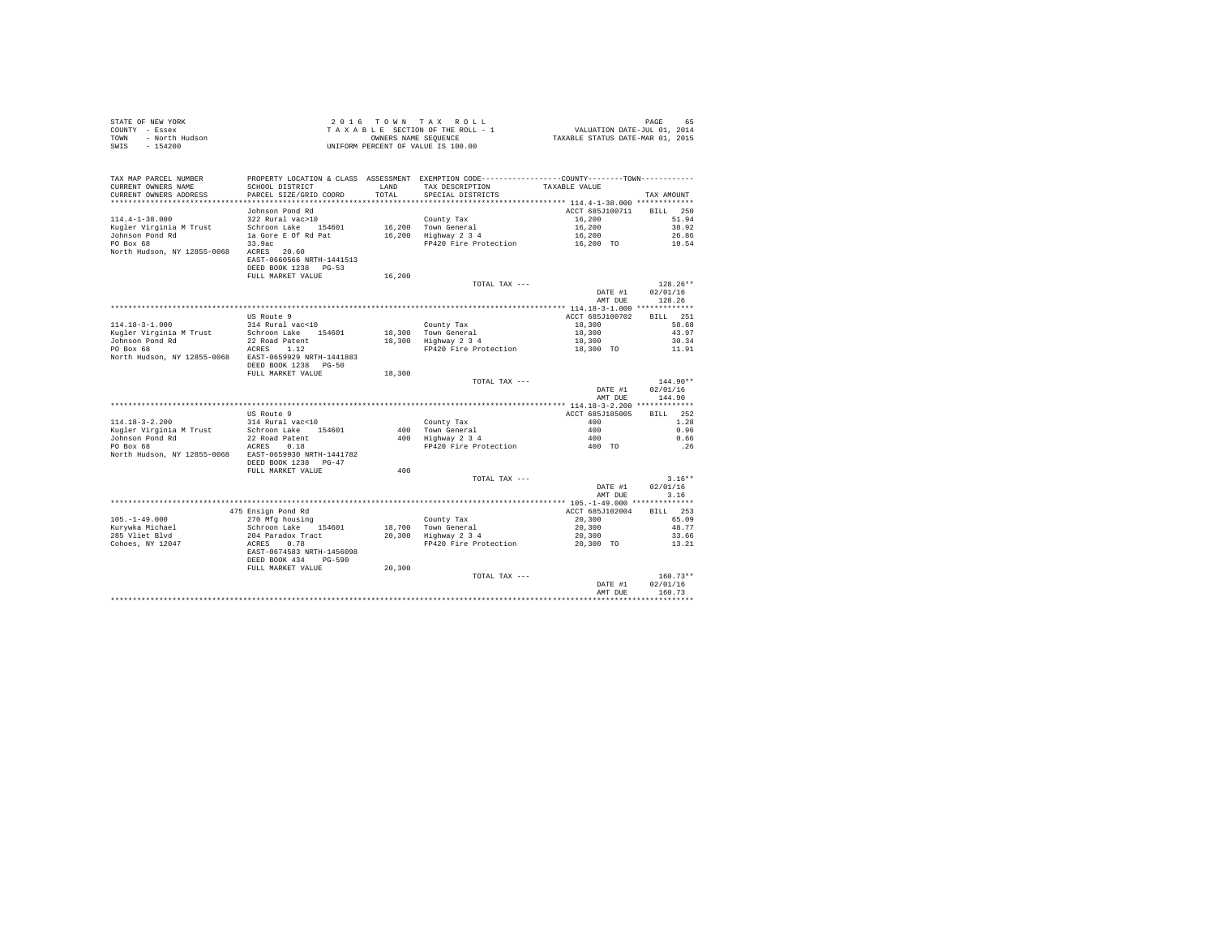| STATE OF NEW YORK      | 2016 TOWN TAX ROLL                 |  | PAGE                             | 65 |
|------------------------|------------------------------------|--|----------------------------------|----|
| COUNTY - Essex         | TAXABLE SECTION OF THE ROLL - 1    |  | VALUATION DATE-JUL 01, 2014      |    |
| TOWN<br>- North Hudson | OWNERS NAME SEOUENCE               |  | TAXABLE STATUS DATE-MAR 01, 2015 |    |
| $-154200$<br>SWIS      | UNIFORM PERCENT OF VALUE IS 100.00 |  |                                  |    |

| TAX MAP PARCEL NUMBER<br>CURRENT OWNERS NAME<br>CURRENT OWNERS ADDRESS | PROPERTY LOCATION & CLASS ASSESSMENT EXEMPTION CODE---------------COUNTY-------TOWN---------<br>SCHOOL DISTRICT<br>PARCEL SIZE/GRID COORD | LAND<br>TOTAL. | TAX DESCRIPTION<br>SPECIAL DISTRICTS | TAXABLE VALUE   | TAX AMOUNT         |
|------------------------------------------------------------------------|-------------------------------------------------------------------------------------------------------------------------------------------|----------------|--------------------------------------|-----------------|--------------------|
|                                                                        |                                                                                                                                           |                |                                      |                 |                    |
|                                                                        | Johnson Pond Rd                                                                                                                           |                |                                      | ACCT 685J100711 | 250<br><b>BILL</b> |
| $114.4 - 1 - 38.000$                                                   | 322 Rural vac>10                                                                                                                          |                | County Tax                           | 16,200          | 51.94              |
| Kugler Virginia M Trust                                                | Schroon Lake 154601                                                                                                                       |                | 16,200 Town General                  | 16,200          | 38.92              |
| Johnson Pond Rd                                                        | la Gore E Of Rd Pat                                                                                                                       | 16,200         | Highway 2 3 4                        | 16,200          | 26.86              |
| PO Box 68                                                              | 33.9ac                                                                                                                                    |                | FP420 Fire Protection                | 16,200 TO       | 10.54              |
| North Hudson, NY 12855-0068                                            | 20.60<br>ACRES<br>EAST-0660566 NRTH-1441513<br>DEED BOOK 1238 PG-53                                                                       |                |                                      |                 |                    |
|                                                                        | FULL MARKET VALUE                                                                                                                         | 16,200         |                                      |                 |                    |
|                                                                        |                                                                                                                                           |                | TOTAL TAX ---                        |                 | 128.26**           |
|                                                                        |                                                                                                                                           |                |                                      | DATE #1         | 02/01/16           |
|                                                                        |                                                                                                                                           |                |                                      | AMT DUE         | 128.26             |
|                                                                        |                                                                                                                                           |                |                                      |                 |                    |
|                                                                        | US Route 9                                                                                                                                |                |                                      | ACCT 685J100702 | 251<br><b>BILL</b> |
| $114.18 - 3 - 1.000$                                                   | 314 Rural vac<10                                                                                                                          |                | County Tax                           | 18,300          | 58.68              |
| Kugler Virginia M Trust                                                | Schroon Lake 154601                                                                                                                       | 18,300         | Town General                         | 18,300          | 43.97              |
| Johnson Pond Rd                                                        | 22 Road Patent                                                                                                                            | 18,300         | Highway 2 3 4                        | 18,300          | 30.34              |
| PO Box 68                                                              | ACRES<br>1.12                                                                                                                             |                | FP420 Fire Protection                |                 | 11.91              |
|                                                                        |                                                                                                                                           |                |                                      | 18,300 TO       |                    |
| North Hudson, NY 12855-0068                                            | EAST-0659929 NRTH-1441883                                                                                                                 |                |                                      |                 |                    |
|                                                                        | DEED BOOK 1238<br>$PG-50$                                                                                                                 |                |                                      |                 |                    |
|                                                                        | FULL MARKET VALUE                                                                                                                         | 18,300         |                                      |                 |                    |
|                                                                        |                                                                                                                                           |                | TOTAL TAX ---                        |                 | $144.90**$         |
|                                                                        |                                                                                                                                           |                |                                      | DATE #1         | 02/01/16           |
|                                                                        |                                                                                                                                           |                |                                      | AMT DUE         | 144.90             |
|                                                                        |                                                                                                                                           |                |                                      |                 |                    |
|                                                                        | US Route 9                                                                                                                                |                |                                      | ACCT 685J185005 | 252<br>BTLL.       |
| $114.18 - 3 - 2.200$                                                   | 314 Rural vac<10                                                                                                                          |                | County Tax                           | 400             | 1.28               |
| Kugler Virginia M Trust                                                | Schroon Lake 154601                                                                                                                       | 400            | Town General                         | 400             | 0.96               |
| Johnson Pond Rd                                                        | 22 Road Patent                                                                                                                            | 400            | Highway 2 3 4                        | 400             | 0.66               |
| PO Box 68<br>North Hudson, NY 12855-0068                               | ACRES<br>0.18<br>EAST-0659930 NRTH-1441782                                                                                                |                | FP420 Fire Protection                | 400 TO          | . 26               |
|                                                                        | DEED BOOK 1238<br>$PG-47$                                                                                                                 |                |                                      |                 |                    |
|                                                                        | FULL MARKET VALUE                                                                                                                         | 400            |                                      |                 |                    |
|                                                                        |                                                                                                                                           |                | TOTAL TAX ---                        |                 | $3.16**$           |
|                                                                        |                                                                                                                                           |                |                                      | DATE #1         | 02/01/16           |
|                                                                        |                                                                                                                                           |                |                                      | AMT DUE         | 3.16               |
|                                                                        |                                                                                                                                           |                |                                      |                 |                    |
|                                                                        | 475 Ensign Pond Rd                                                                                                                        |                |                                      | ACCT 685J102004 | 253<br>RTLL.       |
| $105. - 1 - 49.000$                                                    | 270 Mfg housing                                                                                                                           |                | County Tax                           | 20,300          | 65.09              |
| Kurywka Michael                                                        | Schroon Lake<br>154601                                                                                                                    | 18,700         | Town General                         | 20,300          | 48.77              |
| 285 Vliet Blvd                                                         | 204 Paradox Tract                                                                                                                         | 20,300         | Highway 2 3 4                        | 20,300          | 33.66              |
| Cohoes, NY 12047                                                       | 0.78<br>ACRES                                                                                                                             |                | FP420 Fire Protection                | 20,300 TO       | 13.21              |
|                                                                        | EAST-0674583 NRTH-1456098<br>DEED BOOK 434<br>$PG-590$                                                                                    |                |                                      |                 |                    |
|                                                                        | FULL MARKET VALUE                                                                                                                         | 20,300         |                                      |                 |                    |
|                                                                        |                                                                                                                                           |                | TOTAL TAX ---                        |                 | $160.73**$         |
|                                                                        |                                                                                                                                           |                |                                      | DATE #1         | 02/01/16           |
|                                                                        |                                                                                                                                           |                |                                      | AMT DUE         | 160.73             |
|                                                                        |                                                                                                                                           |                |                                      |                 |                    |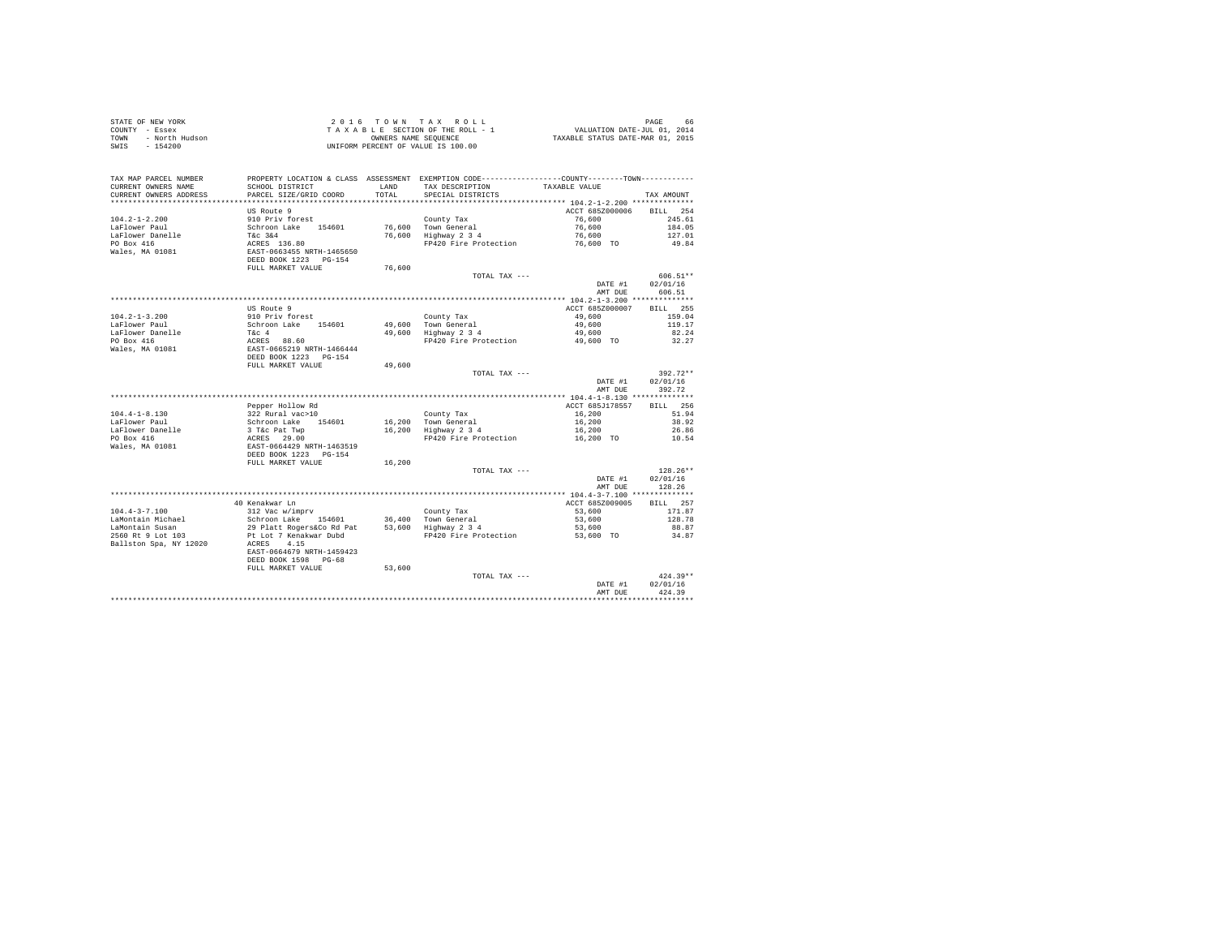| STATE OF NEW YORK      | 2016 TOWN TAX ROLL                 | 66.<br>PAGE                      |
|------------------------|------------------------------------|----------------------------------|
| COUNTY - Essex         | TAXABLE SECTION OF THE ROLL - 1    | VALUATION DATE-JUL 01, 2014      |
| TOWN<br>- North Hudson | OWNERS NAME SEOUENCE               | TAXABLE STATUS DATE-MAR 01, 2015 |
| SWIS<br>- 154200       | UNIFORM PERCENT OF VALUE IS 100.00 |                                  |

| **********<br>************************************** 104.2-1-2.200 ***************<br>*********************<br>********************<br>ACCT 685Z000006<br>US Route 9<br><b>BILL</b><br>254<br>$104.2 - 1 - 2.200$<br>910 Priv forest<br>County Tax<br>76,600<br>245.61<br>76,600<br>LaFlower Paul<br>Schroon Lake<br>76,600 Town General<br>184.05<br>154601<br>LaFlower Danelle<br>T&c 3&4<br>76,600<br>127.01<br>Highway 2 3 4<br>76,600<br>PO Box 416<br>ACRES 136.80<br>FP420 Fire Protection<br>49.84<br>76,600 TO<br>EAST-0663455 NRTH-1465650<br>Wales, MA 01081<br>DEED BOOK 1223 PG-154<br>76,600<br>FULL MARKET VALUE<br>606.51**<br>TOTAL TAX ---<br>DATE #1<br>02/01/16<br>AMT DUE<br>606.51<br>US Route 9<br>ACCT 685Z000007<br>BILL 255<br>$104.2 - 1 - 3.200$<br>159.04<br>910 Priv forest<br>County Tax<br>49,600<br>LaFlower Paul<br>Schroon Lake<br>154601<br>49,600<br>Town General<br>49,600<br>119.17<br>LaFlower Danelle<br>49,600 Highway 2 3 4<br>82.24<br>T&c 4<br>49,600<br>PO Box 416<br>ACRES 88.60<br>EAST-0665219 NRTH-1466444<br>FP420 Fire Protection<br>49,600 TO<br>32.27<br>Wales, MA 01081<br>DEED BOOK 1223 PG-154<br>FULL MARKET VALUE<br>49,600<br>392.72**<br>TOTAL TAX ---<br>02/01/16<br>DATE #1<br>392.72<br>AMT DUE<br>Pepper Hollow Rd<br>ACCT 685J178557<br>BTLL.<br>256<br>322 Rural vac>10<br>51.94<br>$104.4 - 1 - 8.130$<br>County Tax<br>16,200<br>38.92<br>LaFlower Paul<br>Schroon Lake<br>16,200 Town General<br>16,200<br>154601<br>LaFlower Danelle<br>16,200 Highway 2 3 4<br>3 T&c Pat Twp<br>16,200<br>26.86<br>PO Box 416<br>ACRES 29.00<br>FP420 Fire Protection<br>16,200 TO<br>10.54<br>Wales, MA 01081<br>EAST-0664429 NRTH-1463519<br>DEED BOOK 1223 PG-154<br>FULL MARKET VALUE<br>16,200<br>$128.26**$<br>TOTAL TAX ---<br>02/01/16<br>DATE #1<br>128.26<br>AMT DUE<br>40 Kenakwar Ln<br>ACCT 685Z009005<br>BILL 257<br>$104.4 - 3 - 7.100$<br>312 Vac w/imprv<br>171.87<br>53,600<br>County Tax<br>LaMontain Michael<br>Schroon Lake 154601<br>36,400<br>Town General<br>53,600<br>128.78<br>LaMontain Susan<br>29 Platt Rogers&Co Rd Pat<br>53,600 Highway 2 3 4<br>53,600<br>88.87<br>2560 Rt 9 Lot 103<br>Pt Lot 7 Kenakwar Dubd<br>FP420 Fire Protection<br>53,600 TO<br>34.87<br>Ballston Spa. NY 12020<br>4.15<br>ACRES<br>EAST-0664679 NRTH-1459423<br>DEED BOOK 1598 PG-68<br>53,600<br>FULL MARKET VALUE<br>$424.39**$<br>TOTAL TAX ---<br>02/01/16<br>DATE #1<br>424.39<br>AMT DUE | TAX MAP PARCEL NUMBER<br>CURRENT OWNERS NAME | PROPERTY LOCATION & CLASS ASSESSMENT EXEMPTION CODE---------------COUNTY-------TOWN----------<br>SCHOOL DISTRICT | LAND   | TAX DESCRIPTION   | TAXABLE VALUE |            |
|------------------------------------------------------------------------------------------------------------------------------------------------------------------------------------------------------------------------------------------------------------------------------------------------------------------------------------------------------------------------------------------------------------------------------------------------------------------------------------------------------------------------------------------------------------------------------------------------------------------------------------------------------------------------------------------------------------------------------------------------------------------------------------------------------------------------------------------------------------------------------------------------------------------------------------------------------------------------------------------------------------------------------------------------------------------------------------------------------------------------------------------------------------------------------------------------------------------------------------------------------------------------------------------------------------------------------------------------------------------------------------------------------------------------------------------------------------------------------------------------------------------------------------------------------------------------------------------------------------------------------------------------------------------------------------------------------------------------------------------------------------------------------------------------------------------------------------------------------------------------------------------------------------------------------------------------------------------------------------------------------------------------------------------------------------------------------------------------------------------------------------------------------------------------------------------------------------------------------------------------------------------------------------------------------------------------------------------------------------------------------------------------------------------------------------------------------------------|----------------------------------------------|------------------------------------------------------------------------------------------------------------------|--------|-------------------|---------------|------------|
|                                                                                                                                                                                                                                                                                                                                                                                                                                                                                                                                                                                                                                                                                                                                                                                                                                                                                                                                                                                                                                                                                                                                                                                                                                                                                                                                                                                                                                                                                                                                                                                                                                                                                                                                                                                                                                                                                                                                                                                                                                                                                                                                                                                                                                                                                                                                                                                                                                                                  | CURRENT OWNERS ADDRESS                       | PARCEL SIZE/GRID COORD                                                                                           | TOTAL. | SPECIAL DISTRICTS |               | TAX AMOUNT |
|                                                                                                                                                                                                                                                                                                                                                                                                                                                                                                                                                                                                                                                                                                                                                                                                                                                                                                                                                                                                                                                                                                                                                                                                                                                                                                                                                                                                                                                                                                                                                                                                                                                                                                                                                                                                                                                                                                                                                                                                                                                                                                                                                                                                                                                                                                                                                                                                                                                                  |                                              |                                                                                                                  |        |                   |               |            |
|                                                                                                                                                                                                                                                                                                                                                                                                                                                                                                                                                                                                                                                                                                                                                                                                                                                                                                                                                                                                                                                                                                                                                                                                                                                                                                                                                                                                                                                                                                                                                                                                                                                                                                                                                                                                                                                                                                                                                                                                                                                                                                                                                                                                                                                                                                                                                                                                                                                                  |                                              |                                                                                                                  |        |                   |               |            |
|                                                                                                                                                                                                                                                                                                                                                                                                                                                                                                                                                                                                                                                                                                                                                                                                                                                                                                                                                                                                                                                                                                                                                                                                                                                                                                                                                                                                                                                                                                                                                                                                                                                                                                                                                                                                                                                                                                                                                                                                                                                                                                                                                                                                                                                                                                                                                                                                                                                                  |                                              |                                                                                                                  |        |                   |               |            |
|                                                                                                                                                                                                                                                                                                                                                                                                                                                                                                                                                                                                                                                                                                                                                                                                                                                                                                                                                                                                                                                                                                                                                                                                                                                                                                                                                                                                                                                                                                                                                                                                                                                                                                                                                                                                                                                                                                                                                                                                                                                                                                                                                                                                                                                                                                                                                                                                                                                                  |                                              |                                                                                                                  |        |                   |               |            |
|                                                                                                                                                                                                                                                                                                                                                                                                                                                                                                                                                                                                                                                                                                                                                                                                                                                                                                                                                                                                                                                                                                                                                                                                                                                                                                                                                                                                                                                                                                                                                                                                                                                                                                                                                                                                                                                                                                                                                                                                                                                                                                                                                                                                                                                                                                                                                                                                                                                                  |                                              |                                                                                                                  |        |                   |               |            |
|                                                                                                                                                                                                                                                                                                                                                                                                                                                                                                                                                                                                                                                                                                                                                                                                                                                                                                                                                                                                                                                                                                                                                                                                                                                                                                                                                                                                                                                                                                                                                                                                                                                                                                                                                                                                                                                                                                                                                                                                                                                                                                                                                                                                                                                                                                                                                                                                                                                                  |                                              |                                                                                                                  |        |                   |               |            |
|                                                                                                                                                                                                                                                                                                                                                                                                                                                                                                                                                                                                                                                                                                                                                                                                                                                                                                                                                                                                                                                                                                                                                                                                                                                                                                                                                                                                                                                                                                                                                                                                                                                                                                                                                                                                                                                                                                                                                                                                                                                                                                                                                                                                                                                                                                                                                                                                                                                                  |                                              |                                                                                                                  |        |                   |               |            |
|                                                                                                                                                                                                                                                                                                                                                                                                                                                                                                                                                                                                                                                                                                                                                                                                                                                                                                                                                                                                                                                                                                                                                                                                                                                                                                                                                                                                                                                                                                                                                                                                                                                                                                                                                                                                                                                                                                                                                                                                                                                                                                                                                                                                                                                                                                                                                                                                                                                                  |                                              |                                                                                                                  |        |                   |               |            |
|                                                                                                                                                                                                                                                                                                                                                                                                                                                                                                                                                                                                                                                                                                                                                                                                                                                                                                                                                                                                                                                                                                                                                                                                                                                                                                                                                                                                                                                                                                                                                                                                                                                                                                                                                                                                                                                                                                                                                                                                                                                                                                                                                                                                                                                                                                                                                                                                                                                                  |                                              |                                                                                                                  |        |                   |               |            |
|                                                                                                                                                                                                                                                                                                                                                                                                                                                                                                                                                                                                                                                                                                                                                                                                                                                                                                                                                                                                                                                                                                                                                                                                                                                                                                                                                                                                                                                                                                                                                                                                                                                                                                                                                                                                                                                                                                                                                                                                                                                                                                                                                                                                                                                                                                                                                                                                                                                                  |                                              |                                                                                                                  |        |                   |               |            |
|                                                                                                                                                                                                                                                                                                                                                                                                                                                                                                                                                                                                                                                                                                                                                                                                                                                                                                                                                                                                                                                                                                                                                                                                                                                                                                                                                                                                                                                                                                                                                                                                                                                                                                                                                                                                                                                                                                                                                                                                                                                                                                                                                                                                                                                                                                                                                                                                                                                                  |                                              |                                                                                                                  |        |                   |               |            |
|                                                                                                                                                                                                                                                                                                                                                                                                                                                                                                                                                                                                                                                                                                                                                                                                                                                                                                                                                                                                                                                                                                                                                                                                                                                                                                                                                                                                                                                                                                                                                                                                                                                                                                                                                                                                                                                                                                                                                                                                                                                                                                                                                                                                                                                                                                                                                                                                                                                                  |                                              |                                                                                                                  |        |                   |               |            |
|                                                                                                                                                                                                                                                                                                                                                                                                                                                                                                                                                                                                                                                                                                                                                                                                                                                                                                                                                                                                                                                                                                                                                                                                                                                                                                                                                                                                                                                                                                                                                                                                                                                                                                                                                                                                                                                                                                                                                                                                                                                                                                                                                                                                                                                                                                                                                                                                                                                                  |                                              |                                                                                                                  |        |                   |               |            |
|                                                                                                                                                                                                                                                                                                                                                                                                                                                                                                                                                                                                                                                                                                                                                                                                                                                                                                                                                                                                                                                                                                                                                                                                                                                                                                                                                                                                                                                                                                                                                                                                                                                                                                                                                                                                                                                                                                                                                                                                                                                                                                                                                                                                                                                                                                                                                                                                                                                                  |                                              |                                                                                                                  |        |                   |               |            |
|                                                                                                                                                                                                                                                                                                                                                                                                                                                                                                                                                                                                                                                                                                                                                                                                                                                                                                                                                                                                                                                                                                                                                                                                                                                                                                                                                                                                                                                                                                                                                                                                                                                                                                                                                                                                                                                                                                                                                                                                                                                                                                                                                                                                                                                                                                                                                                                                                                                                  |                                              |                                                                                                                  |        |                   |               |            |
|                                                                                                                                                                                                                                                                                                                                                                                                                                                                                                                                                                                                                                                                                                                                                                                                                                                                                                                                                                                                                                                                                                                                                                                                                                                                                                                                                                                                                                                                                                                                                                                                                                                                                                                                                                                                                                                                                                                                                                                                                                                                                                                                                                                                                                                                                                                                                                                                                                                                  |                                              |                                                                                                                  |        |                   |               |            |
|                                                                                                                                                                                                                                                                                                                                                                                                                                                                                                                                                                                                                                                                                                                                                                                                                                                                                                                                                                                                                                                                                                                                                                                                                                                                                                                                                                                                                                                                                                                                                                                                                                                                                                                                                                                                                                                                                                                                                                                                                                                                                                                                                                                                                                                                                                                                                                                                                                                                  |                                              |                                                                                                                  |        |                   |               |            |
|                                                                                                                                                                                                                                                                                                                                                                                                                                                                                                                                                                                                                                                                                                                                                                                                                                                                                                                                                                                                                                                                                                                                                                                                                                                                                                                                                                                                                                                                                                                                                                                                                                                                                                                                                                                                                                                                                                                                                                                                                                                                                                                                                                                                                                                                                                                                                                                                                                                                  |                                              |                                                                                                                  |        |                   |               |            |
|                                                                                                                                                                                                                                                                                                                                                                                                                                                                                                                                                                                                                                                                                                                                                                                                                                                                                                                                                                                                                                                                                                                                                                                                                                                                                                                                                                                                                                                                                                                                                                                                                                                                                                                                                                                                                                                                                                                                                                                                                                                                                                                                                                                                                                                                                                                                                                                                                                                                  |                                              |                                                                                                                  |        |                   |               |            |
|                                                                                                                                                                                                                                                                                                                                                                                                                                                                                                                                                                                                                                                                                                                                                                                                                                                                                                                                                                                                                                                                                                                                                                                                                                                                                                                                                                                                                                                                                                                                                                                                                                                                                                                                                                                                                                                                                                                                                                                                                                                                                                                                                                                                                                                                                                                                                                                                                                                                  |                                              |                                                                                                                  |        |                   |               |            |
|                                                                                                                                                                                                                                                                                                                                                                                                                                                                                                                                                                                                                                                                                                                                                                                                                                                                                                                                                                                                                                                                                                                                                                                                                                                                                                                                                                                                                                                                                                                                                                                                                                                                                                                                                                                                                                                                                                                                                                                                                                                                                                                                                                                                                                                                                                                                                                                                                                                                  |                                              |                                                                                                                  |        |                   |               |            |
|                                                                                                                                                                                                                                                                                                                                                                                                                                                                                                                                                                                                                                                                                                                                                                                                                                                                                                                                                                                                                                                                                                                                                                                                                                                                                                                                                                                                                                                                                                                                                                                                                                                                                                                                                                                                                                                                                                                                                                                                                                                                                                                                                                                                                                                                                                                                                                                                                                                                  |                                              |                                                                                                                  |        |                   |               |            |
|                                                                                                                                                                                                                                                                                                                                                                                                                                                                                                                                                                                                                                                                                                                                                                                                                                                                                                                                                                                                                                                                                                                                                                                                                                                                                                                                                                                                                                                                                                                                                                                                                                                                                                                                                                                                                                                                                                                                                                                                                                                                                                                                                                                                                                                                                                                                                                                                                                                                  |                                              |                                                                                                                  |        |                   |               |            |
|                                                                                                                                                                                                                                                                                                                                                                                                                                                                                                                                                                                                                                                                                                                                                                                                                                                                                                                                                                                                                                                                                                                                                                                                                                                                                                                                                                                                                                                                                                                                                                                                                                                                                                                                                                                                                                                                                                                                                                                                                                                                                                                                                                                                                                                                                                                                                                                                                                                                  |                                              |                                                                                                                  |        |                   |               |            |
|                                                                                                                                                                                                                                                                                                                                                                                                                                                                                                                                                                                                                                                                                                                                                                                                                                                                                                                                                                                                                                                                                                                                                                                                                                                                                                                                                                                                                                                                                                                                                                                                                                                                                                                                                                                                                                                                                                                                                                                                                                                                                                                                                                                                                                                                                                                                                                                                                                                                  |                                              |                                                                                                                  |        |                   |               |            |
|                                                                                                                                                                                                                                                                                                                                                                                                                                                                                                                                                                                                                                                                                                                                                                                                                                                                                                                                                                                                                                                                                                                                                                                                                                                                                                                                                                                                                                                                                                                                                                                                                                                                                                                                                                                                                                                                                                                                                                                                                                                                                                                                                                                                                                                                                                                                                                                                                                                                  |                                              |                                                                                                                  |        |                   |               |            |
|                                                                                                                                                                                                                                                                                                                                                                                                                                                                                                                                                                                                                                                                                                                                                                                                                                                                                                                                                                                                                                                                                                                                                                                                                                                                                                                                                                                                                                                                                                                                                                                                                                                                                                                                                                                                                                                                                                                                                                                                                                                                                                                                                                                                                                                                                                                                                                                                                                                                  |                                              |                                                                                                                  |        |                   |               |            |
|                                                                                                                                                                                                                                                                                                                                                                                                                                                                                                                                                                                                                                                                                                                                                                                                                                                                                                                                                                                                                                                                                                                                                                                                                                                                                                                                                                                                                                                                                                                                                                                                                                                                                                                                                                                                                                                                                                                                                                                                                                                                                                                                                                                                                                                                                                                                                                                                                                                                  |                                              |                                                                                                                  |        |                   |               |            |
|                                                                                                                                                                                                                                                                                                                                                                                                                                                                                                                                                                                                                                                                                                                                                                                                                                                                                                                                                                                                                                                                                                                                                                                                                                                                                                                                                                                                                                                                                                                                                                                                                                                                                                                                                                                                                                                                                                                                                                                                                                                                                                                                                                                                                                                                                                                                                                                                                                                                  |                                              |                                                                                                                  |        |                   |               |            |
|                                                                                                                                                                                                                                                                                                                                                                                                                                                                                                                                                                                                                                                                                                                                                                                                                                                                                                                                                                                                                                                                                                                                                                                                                                                                                                                                                                                                                                                                                                                                                                                                                                                                                                                                                                                                                                                                                                                                                                                                                                                                                                                                                                                                                                                                                                                                                                                                                                                                  |                                              |                                                                                                                  |        |                   |               |            |
|                                                                                                                                                                                                                                                                                                                                                                                                                                                                                                                                                                                                                                                                                                                                                                                                                                                                                                                                                                                                                                                                                                                                                                                                                                                                                                                                                                                                                                                                                                                                                                                                                                                                                                                                                                                                                                                                                                                                                                                                                                                                                                                                                                                                                                                                                                                                                                                                                                                                  |                                              |                                                                                                                  |        |                   |               |            |
|                                                                                                                                                                                                                                                                                                                                                                                                                                                                                                                                                                                                                                                                                                                                                                                                                                                                                                                                                                                                                                                                                                                                                                                                                                                                                                                                                                                                                                                                                                                                                                                                                                                                                                                                                                                                                                                                                                                                                                                                                                                                                                                                                                                                                                                                                                                                                                                                                                                                  |                                              |                                                                                                                  |        |                   |               |            |
|                                                                                                                                                                                                                                                                                                                                                                                                                                                                                                                                                                                                                                                                                                                                                                                                                                                                                                                                                                                                                                                                                                                                                                                                                                                                                                                                                                                                                                                                                                                                                                                                                                                                                                                                                                                                                                                                                                                                                                                                                                                                                                                                                                                                                                                                                                                                                                                                                                                                  |                                              |                                                                                                                  |        |                   |               |            |
|                                                                                                                                                                                                                                                                                                                                                                                                                                                                                                                                                                                                                                                                                                                                                                                                                                                                                                                                                                                                                                                                                                                                                                                                                                                                                                                                                                                                                                                                                                                                                                                                                                                                                                                                                                                                                                                                                                                                                                                                                                                                                                                                                                                                                                                                                                                                                                                                                                                                  |                                              |                                                                                                                  |        |                   |               |            |
|                                                                                                                                                                                                                                                                                                                                                                                                                                                                                                                                                                                                                                                                                                                                                                                                                                                                                                                                                                                                                                                                                                                                                                                                                                                                                                                                                                                                                                                                                                                                                                                                                                                                                                                                                                                                                                                                                                                                                                                                                                                                                                                                                                                                                                                                                                                                                                                                                                                                  |                                              |                                                                                                                  |        |                   |               |            |
|                                                                                                                                                                                                                                                                                                                                                                                                                                                                                                                                                                                                                                                                                                                                                                                                                                                                                                                                                                                                                                                                                                                                                                                                                                                                                                                                                                                                                                                                                                                                                                                                                                                                                                                                                                                                                                                                                                                                                                                                                                                                                                                                                                                                                                                                                                                                                                                                                                                                  |                                              |                                                                                                                  |        |                   |               |            |
|                                                                                                                                                                                                                                                                                                                                                                                                                                                                                                                                                                                                                                                                                                                                                                                                                                                                                                                                                                                                                                                                                                                                                                                                                                                                                                                                                                                                                                                                                                                                                                                                                                                                                                                                                                                                                                                                                                                                                                                                                                                                                                                                                                                                                                                                                                                                                                                                                                                                  |                                              |                                                                                                                  |        |                   |               |            |
|                                                                                                                                                                                                                                                                                                                                                                                                                                                                                                                                                                                                                                                                                                                                                                                                                                                                                                                                                                                                                                                                                                                                                                                                                                                                                                                                                                                                                                                                                                                                                                                                                                                                                                                                                                                                                                                                                                                                                                                                                                                                                                                                                                                                                                                                                                                                                                                                                                                                  |                                              |                                                                                                                  |        |                   |               |            |
|                                                                                                                                                                                                                                                                                                                                                                                                                                                                                                                                                                                                                                                                                                                                                                                                                                                                                                                                                                                                                                                                                                                                                                                                                                                                                                                                                                                                                                                                                                                                                                                                                                                                                                                                                                                                                                                                                                                                                                                                                                                                                                                                                                                                                                                                                                                                                                                                                                                                  |                                              |                                                                                                                  |        |                   |               |            |
|                                                                                                                                                                                                                                                                                                                                                                                                                                                                                                                                                                                                                                                                                                                                                                                                                                                                                                                                                                                                                                                                                                                                                                                                                                                                                                                                                                                                                                                                                                                                                                                                                                                                                                                                                                                                                                                                                                                                                                                                                                                                                                                                                                                                                                                                                                                                                                                                                                                                  |                                              |                                                                                                                  |        |                   |               |            |
|                                                                                                                                                                                                                                                                                                                                                                                                                                                                                                                                                                                                                                                                                                                                                                                                                                                                                                                                                                                                                                                                                                                                                                                                                                                                                                                                                                                                                                                                                                                                                                                                                                                                                                                                                                                                                                                                                                                                                                                                                                                                                                                                                                                                                                                                                                                                                                                                                                                                  |                                              |                                                                                                                  |        |                   |               |            |
|                                                                                                                                                                                                                                                                                                                                                                                                                                                                                                                                                                                                                                                                                                                                                                                                                                                                                                                                                                                                                                                                                                                                                                                                                                                                                                                                                                                                                                                                                                                                                                                                                                                                                                                                                                                                                                                                                                                                                                                                                                                                                                                                                                                                                                                                                                                                                                                                                                                                  |                                              |                                                                                                                  |        |                   |               |            |
|                                                                                                                                                                                                                                                                                                                                                                                                                                                                                                                                                                                                                                                                                                                                                                                                                                                                                                                                                                                                                                                                                                                                                                                                                                                                                                                                                                                                                                                                                                                                                                                                                                                                                                                                                                                                                                                                                                                                                                                                                                                                                                                                                                                                                                                                                                                                                                                                                                                                  |                                              |                                                                                                                  |        |                   |               |            |
|                                                                                                                                                                                                                                                                                                                                                                                                                                                                                                                                                                                                                                                                                                                                                                                                                                                                                                                                                                                                                                                                                                                                                                                                                                                                                                                                                                                                                                                                                                                                                                                                                                                                                                                                                                                                                                                                                                                                                                                                                                                                                                                                                                                                                                                                                                                                                                                                                                                                  |                                              |                                                                                                                  |        |                   |               |            |
|                                                                                                                                                                                                                                                                                                                                                                                                                                                                                                                                                                                                                                                                                                                                                                                                                                                                                                                                                                                                                                                                                                                                                                                                                                                                                                                                                                                                                                                                                                                                                                                                                                                                                                                                                                                                                                                                                                                                                                                                                                                                                                                                                                                                                                                                                                                                                                                                                                                                  |                                              |                                                                                                                  |        |                   |               |            |
|                                                                                                                                                                                                                                                                                                                                                                                                                                                                                                                                                                                                                                                                                                                                                                                                                                                                                                                                                                                                                                                                                                                                                                                                                                                                                                                                                                                                                                                                                                                                                                                                                                                                                                                                                                                                                                                                                                                                                                                                                                                                                                                                                                                                                                                                                                                                                                                                                                                                  |                                              |                                                                                                                  |        |                   |               |            |
|                                                                                                                                                                                                                                                                                                                                                                                                                                                                                                                                                                                                                                                                                                                                                                                                                                                                                                                                                                                                                                                                                                                                                                                                                                                                                                                                                                                                                                                                                                                                                                                                                                                                                                                                                                                                                                                                                                                                                                                                                                                                                                                                                                                                                                                                                                                                                                                                                                                                  |                                              |                                                                                                                  |        |                   |               |            |
|                                                                                                                                                                                                                                                                                                                                                                                                                                                                                                                                                                                                                                                                                                                                                                                                                                                                                                                                                                                                                                                                                                                                                                                                                                                                                                                                                                                                                                                                                                                                                                                                                                                                                                                                                                                                                                                                                                                                                                                                                                                                                                                                                                                                                                                                                                                                                                                                                                                                  |                                              |                                                                                                                  |        |                   |               |            |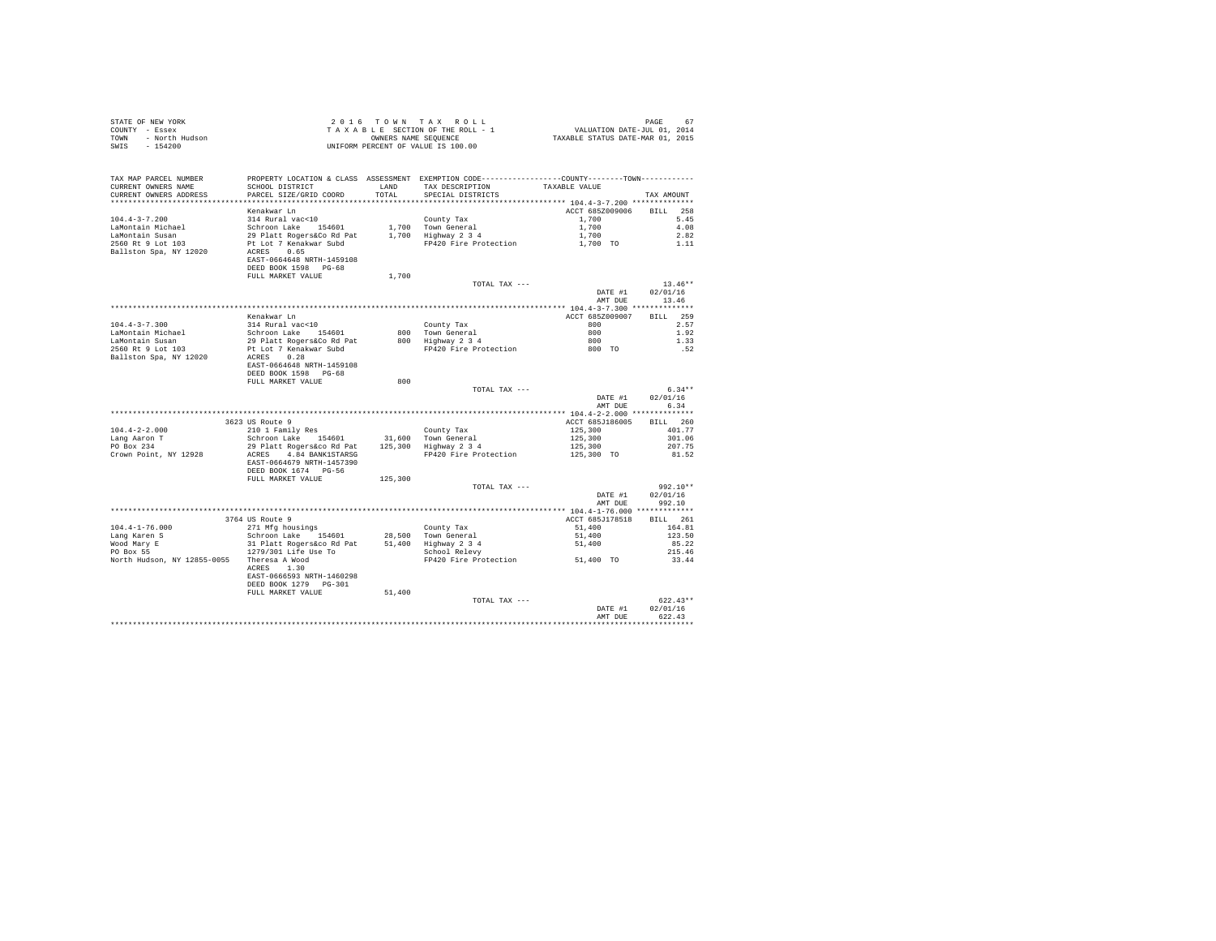| COUNTY - Essex<br>TOWN - North Hudson<br>SWIS - 154200 | UNIFORM PERCENT OF VALUE IS 100.00                                                              |         |                                                                                                |                                                          |                  |
|--------------------------------------------------------|-------------------------------------------------------------------------------------------------|---------|------------------------------------------------------------------------------------------------|----------------------------------------------------------|------------------|
| TAX MAP PARCEL NUMBER                                  | PROPERTY LOCATION & CLASS ASSESSMENT EXEMPTION CODE-----------------COUNTY--------TOWN--------- |         |                                                                                                |                                                          |                  |
| CURRENT OWNERS NAME                                    | SCHOOL DISTRICT LAND                                                                            |         | TAX DESCRIPTION                                                                                | TAXABLE VALUE                                            |                  |
| CURRENT OWNERS ADDRESS                                 | PARCEL SIZE/GRID COORD                                                                          | TOTAL   | SPECIAL DISTRICTS                                                                              |                                                          | TAX AMOUNT       |
|                                                        |                                                                                                 |         |                                                                                                | *************************** 104.4-3-7.200 ************** |                  |
| $104.4 - 3 - 7.200$                                    | Kenakwar Ln                                                                                     |         |                                                                                                | ACCT 685Z009006 BILL 258                                 | 5.45             |
|                                                        |                                                                                                 |         |                                                                                                |                                                          | 4.08             |
| LaMontain Michael<br>LaMontain Susan                   |                                                                                                 |         |                                                                                                |                                                          | 2.82             |
| 2560 Rt 9 Lot 103                                      |                                                                                                 |         |                                                                                                |                                                          | 1.11             |
| Ballston Spa, NY 12020                                 |                                                                                                 |         |                                                                                                |                                                          |                  |
|                                                        | EAST-0664648 NRTH-1459108                                                                       |         |                                                                                                |                                                          |                  |
|                                                        | DEED BOOK 1598 PG-68<br>FULL MARKET VALUE                                                       | 1,700   |                                                                                                |                                                          |                  |
|                                                        |                                                                                                 |         | TOTAL TAX ---                                                                                  |                                                          | $13.46**$        |
|                                                        |                                                                                                 |         |                                                                                                | DATE #1                                                  | 02/01/16         |
|                                                        |                                                                                                 |         |                                                                                                | AMT DUE                                                  | 13.46            |
|                                                        |                                                                                                 |         |                                                                                                |                                                          |                  |
| $104.4 - 3 - 7.300$                                    | Kenakwar Ln<br>314 Rural vac<10                                                                 |         |                                                                                                | ACCT 685Z009007<br>800 000                               | <b>BILL</b> 259  |
|                                                        |                                                                                                 |         | County Tax<br>800 Town General                                                                 |                                                          | 2.57<br>1.92     |
| LaMontain Michael<br>LaMontain Susan                   | Schroon Lake 154601<br>29 Platt Rogers&Co Rd Pat<br>Pt Lot 7 Kenakwar Subd                      |         | 800 Town General<br>800 Highway 2 3 4 800<br>FP420 Fire Protection 800 TO<br>800 Highway 2 3 4 |                                                          | 1.33             |
| 2560 Rt 9 Lot 103                                      |                                                                                                 |         |                                                                                                |                                                          | .52              |
| Ballston Spa, NY 12020 ACRES 0.28                      |                                                                                                 |         |                                                                                                |                                                          |                  |
|                                                        | EAST-0664648 NRTH-1459108                                                                       |         |                                                                                                |                                                          |                  |
|                                                        | DEED BOOK 1598 PG-68<br>FULL MARKET VALUE                                                       | 800     |                                                                                                |                                                          |                  |
|                                                        |                                                                                                 |         | TOTAL TAX ---                                                                                  |                                                          | $6.34**$         |
|                                                        |                                                                                                 |         |                                                                                                | DATE #1                                                  | 02/01/16         |
|                                                        |                                                                                                 |         |                                                                                                | AMT DUE                                                  | 6.34             |
|                                                        |                                                                                                 |         |                                                                                                |                                                          |                  |
|                                                        | 3623 US Route 9                                                                                 |         |                                                                                                | ACCT 685J186005                                          | BILL 260         |
| $104.4 - 2 - 2.000$                                    | 210 1 Family Res                                                                                |         |                                                                                                | 125,300<br>125,300                                       | 401.77<br>301.06 |
| Lang Aaron T<br>PO Box 234                             |                                                                                                 |         |                                                                                                | 125,300                                                  | 207.75           |
| Crown Point, NY 12928                                  | ACRES 4.84 BANK1STARSG FP420 Fire Protection                                                    |         |                                                                                                | 125,300 TO                                               | 81.52            |
|                                                        | EAST-0664679 NRTH-1457390                                                                       |         |                                                                                                |                                                          |                  |
|                                                        | DEED BOOK 1674 PG-56                                                                            |         |                                                                                                |                                                          |                  |
|                                                        | FULL MARKET VALUE                                                                               | 125,300 | TOTAL TAX ---                                                                                  |                                                          | 992.10**         |
|                                                        |                                                                                                 |         |                                                                                                | DATE #1                                                  | 02/01/16         |
|                                                        |                                                                                                 |         |                                                                                                | AMT DUE                                                  | 992.10           |
|                                                        |                                                                                                 |         |                                                                                                |                                                          |                  |
|                                                        | 3764 US Route 9                                                                                 |         |                                                                                                | ACCT 685J178518                                          | BILL 261         |
|                                                        |                                                                                                 |         |                                                                                                |                                                          | 164.81           |
|                                                        |                                                                                                 |         |                                                                                                | 51,400<br>51,400<br>51,400                               | 123.50<br>85.22  |
|                                                        |                                                                                                 |         |                                                                                                |                                                          | 215.46           |
| North Hudson, NY 12855-0055 Theresa A Wood             |                                                                                                 |         | FP420 Fire Protection 51,400 TO                                                                |                                                          | 33.44            |
|                                                        | ACRES 1.30                                                                                      |         |                                                                                                |                                                          |                  |
|                                                        | EAST-0666593 NRTH-1460298                                                                       |         |                                                                                                |                                                          |                  |
|                                                        | DEED BOOK 1279 PG-301                                                                           |         |                                                                                                |                                                          |                  |
|                                                        | FULL MARKET VALUE                                                                               | 51,400  | TOTAL TAX ---                                                                                  |                                                          | $622.43**$       |
|                                                        |                                                                                                 |         |                                                                                                | DATE #1                                                  | 02/01/16         |
|                                                        |                                                                                                 |         |                                                                                                | AMT DUE                                                  | 622.43           |
|                                                        |                                                                                                 |         |                                                                                                |                                                          |                  |

STATE OF NEW YORK **2016 TOWN TAX ROLL PAGE 67**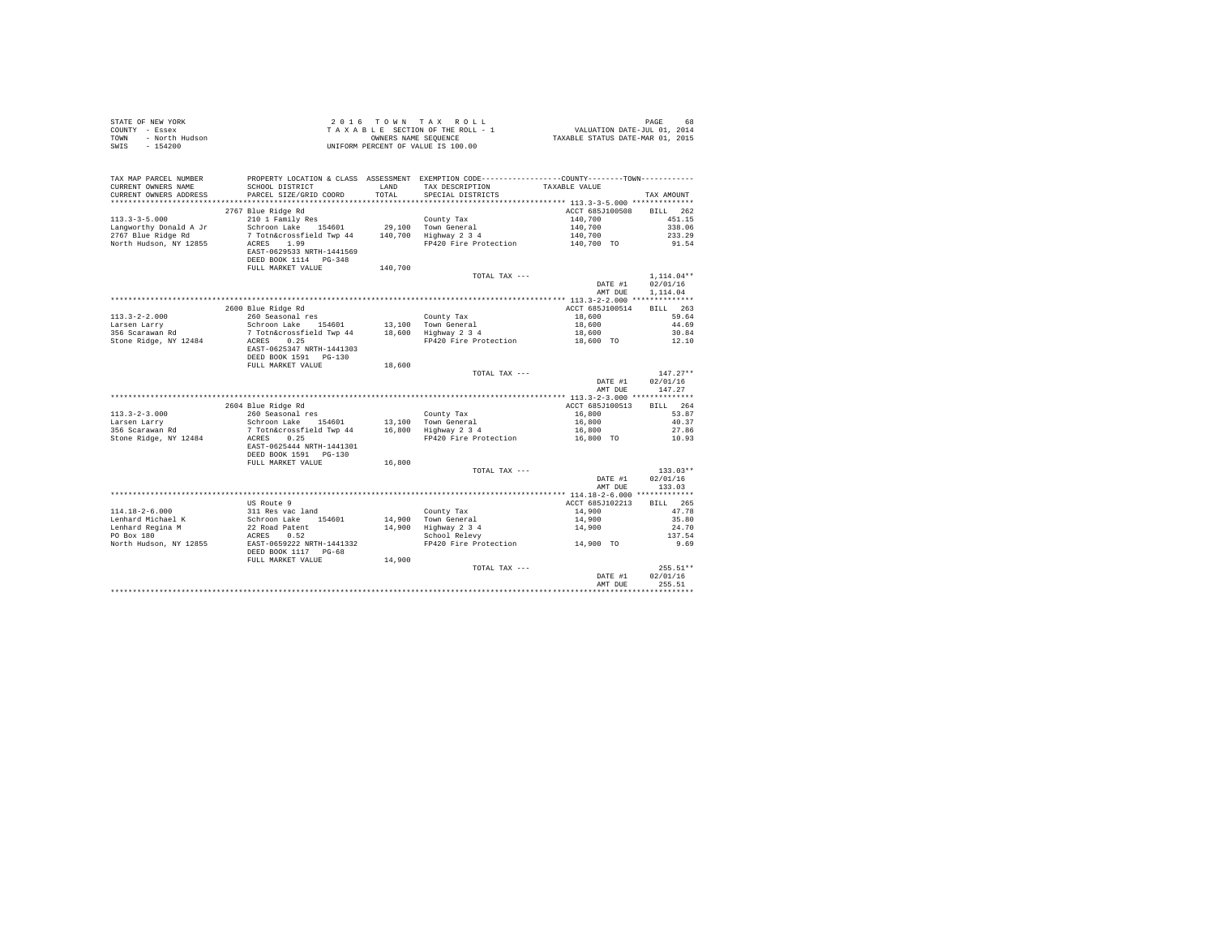| STATE OF NEW YORK<br>COUNTY - Essex<br>- North Hudson<br>TOWN<br>$-154200$<br>SWIS |                                                                                                                |               | 2016 TOWN TAX ROLL<br>UNIFORM PERCENT OF VALUE IS 100.00                                                                                            |                            | PAGE<br>68         |
|------------------------------------------------------------------------------------|----------------------------------------------------------------------------------------------------------------|---------------|-----------------------------------------------------------------------------------------------------------------------------------------------------|----------------------------|--------------------|
| TAX MAP PARCEL NUMBER<br>CURRENT OWNERS NAME<br>CURRENT OWNERS ADDRESS             | SCHOOL DISTRICT<br>PARCEL SIZE/GRID COORD                                                                      | LAND<br>TOTAL | PROPERTY LOCATION & CLASS ASSESSMENT EXEMPTION CODE---------------COUNTY-------TOWN----------<br>TAX DESCRIPTION TAXABLE VALUE<br>SPECIAL DISTRICTS |                            | TAX AMOUNT         |
|                                                                                    |                                                                                                                |               |                                                                                                                                                     |                            |                    |
|                                                                                    | 2767 Blue Ridge Rd                                                                                             |               |                                                                                                                                                     | ACCT 685J100508            | BILL 262           |
| $113.3 - 3 - 5.000$                                                                | 210 1 Family Res                                                                                               |               | County Tax                                                                                                                                          | 140,700                    | 451.15             |
| Langworthy Donald A Jr                                                             | Schroon Lake 154601                                                                                            |               | 29,100 Town General                                                                                                                                 | 140,700                    | 338.06             |
| 2767 Blue Ridge Rd<br>North Hudson, NY 12855                                       | 7 Totn&crossfield Twp 44 140,700 Highway 2 3 4<br>ACRES 1.99                                                   |               | FP420 Fire Protection                                                                                                                               | 140,700<br>140,700 TO      | 233.29<br>91.54    |
|                                                                                    | EAST-0629533 NRTH-1441569                                                                                      |               |                                                                                                                                                     |                            |                    |
|                                                                                    | DEED BOOK 1114 PG-348                                                                                          |               |                                                                                                                                                     |                            |                    |
|                                                                                    | FULL MARKET VALUE                                                                                              | 140,700       | TOTAL TAX ---                                                                                                                                       |                            | $1.114.04**$       |
|                                                                                    |                                                                                                                |               |                                                                                                                                                     | DATE #1                    | 02/01/16           |
|                                                                                    |                                                                                                                |               |                                                                                                                                                     | AMT DUE                    | 1,114.04           |
|                                                                                    |                                                                                                                |               |                                                                                                                                                     |                            |                    |
|                                                                                    | 2600 Blue Ridge Rd                                                                                             |               |                                                                                                                                                     | ACCT 685J100514            | BILL 263           |
| $113.3 - 2 - 2.000$                                                                | 260 Seasonal res                                                                                               |               | County Tax                                                                                                                                          | $18,600$<br>$18,600$       | 59.64              |
| Larsen Larry<br>1996 Scarawan Rd                                                   |                                                                                                                |               |                                                                                                                                                     |                            | 44.69              |
| Stone Ridge, NY 12484                                                              | Schroom Lake 154601 13,100 Tother and 13 and 20<br>7 Tothecrossfield Twp 44 18,600 Highway 2 3 4<br>ACRES 0.25 |               | FP420 Fire Protection 18,600 TO                                                                                                                     | 18,600                     | 30.84<br>12.10     |
|                                                                                    | EAST-0625347 NRTH-1441303                                                                                      |               |                                                                                                                                                     |                            |                    |
|                                                                                    | DEED BOOK 1591    PG-130                                                                                       |               |                                                                                                                                                     |                            |                    |
|                                                                                    | FULL MARKET VALUE                                                                                              | 18,600        |                                                                                                                                                     |                            |                    |
|                                                                                    |                                                                                                                |               | TOTAL TAX ---                                                                                                                                       |                            | $147.27**$         |
|                                                                                    |                                                                                                                |               |                                                                                                                                                     | DATE #1                    | 02/01/16<br>147.27 |
|                                                                                    |                                                                                                                |               |                                                                                                                                                     | AMT DUE                    |                    |
|                                                                                    | 2604 Blue Ridge Rd                                                                                             |               |                                                                                                                                                     | ACCT 685J100513            | BILL 264           |
| $113.3 - 2 - 3.000$                                                                | ous blue winge ka<br>260 Seasonal res<br>Schroon Lake 154601 13,100 Town General                               |               |                                                                                                                                                     | 16,800                     | 53.87              |
| Larsen Larry                                                                       |                                                                                                                |               |                                                                                                                                                     | 16,800                     | 40.37              |
| Larsen Larry<br>356 Scarawan Rd                                                    | concourse into the state of the Town General<br>7 Toth&crossfield Twp 44 16,800 Highway 2 3 4<br>ACRES A OF    |               |                                                                                                                                                     | 16,800                     | 27.86              |
| Stone Ridge, NY 12484                                                              | ACRES 0.25                                                                                                     |               | FP420 Fire Protection 16,800 TO                                                                                                                     |                            | 10.93              |
|                                                                                    | EAST-0625444 NRTH-1441301<br>DEED BOOK 1591    PG-130                                                          |               |                                                                                                                                                     |                            |                    |
|                                                                                    | FULL MARKET VALUE                                                                                              | 16,800        |                                                                                                                                                     |                            |                    |
|                                                                                    |                                                                                                                |               | TOTAL TAX ---                                                                                                                                       |                            | $133.03**$         |
|                                                                                    |                                                                                                                |               |                                                                                                                                                     | DATE #1                    | 02/01/16           |
|                                                                                    |                                                                                                                |               |                                                                                                                                                     | AMT DUE                    | 133.03             |
|                                                                                    |                                                                                                                |               |                                                                                                                                                     |                            |                    |
|                                                                                    | US Route 9                                                                                                     |               |                                                                                                                                                     | ACCT 685J102213            | BTLL 265           |
| 114.18-2-6.000                                                                     |                                                                                                                |               | County Tax                                                                                                                                          |                            | 47.78              |
| Lenhard Michael K<br>Lenhard Regina M<br>PO Box 180                                | 311 Res vac land<br>Schroon Lake 154601<br>22 Road Patent<br>ACRES 0.52                                        |               | County Tax<br>14,900 Town General<br>14,900 Highway 2 3 4<br>School Relevy                                                                          | 14,900<br>14,900<br>14,900 | 35.80<br>24.70     |
|                                                                                    | ACRES 0.52                                                                                                     |               |                                                                                                                                                     |                            | 137.54             |
| North Hudson, NY 12855                                                             | EAST-0659222 NRTH-1441332                                                                                      |               | FP420 Fire Protection                                                                                                                               | 14,900 TO                  | 9.69               |
|                                                                                    | DEED BOOK 1117 PG-68                                                                                           |               |                                                                                                                                                     |                            |                    |
|                                                                                    | FULL MARKET VALUE                                                                                              | 14,900        |                                                                                                                                                     |                            |                    |
|                                                                                    |                                                                                                                |               | TOTAL TAX ---                                                                                                                                       |                            | 255.51**           |
|                                                                                    |                                                                                                                |               |                                                                                                                                                     | DATE #1<br>AMT DUE         | 02/01/16<br>255.51 |
|                                                                                    |                                                                                                                |               |                                                                                                                                                     |                            |                    |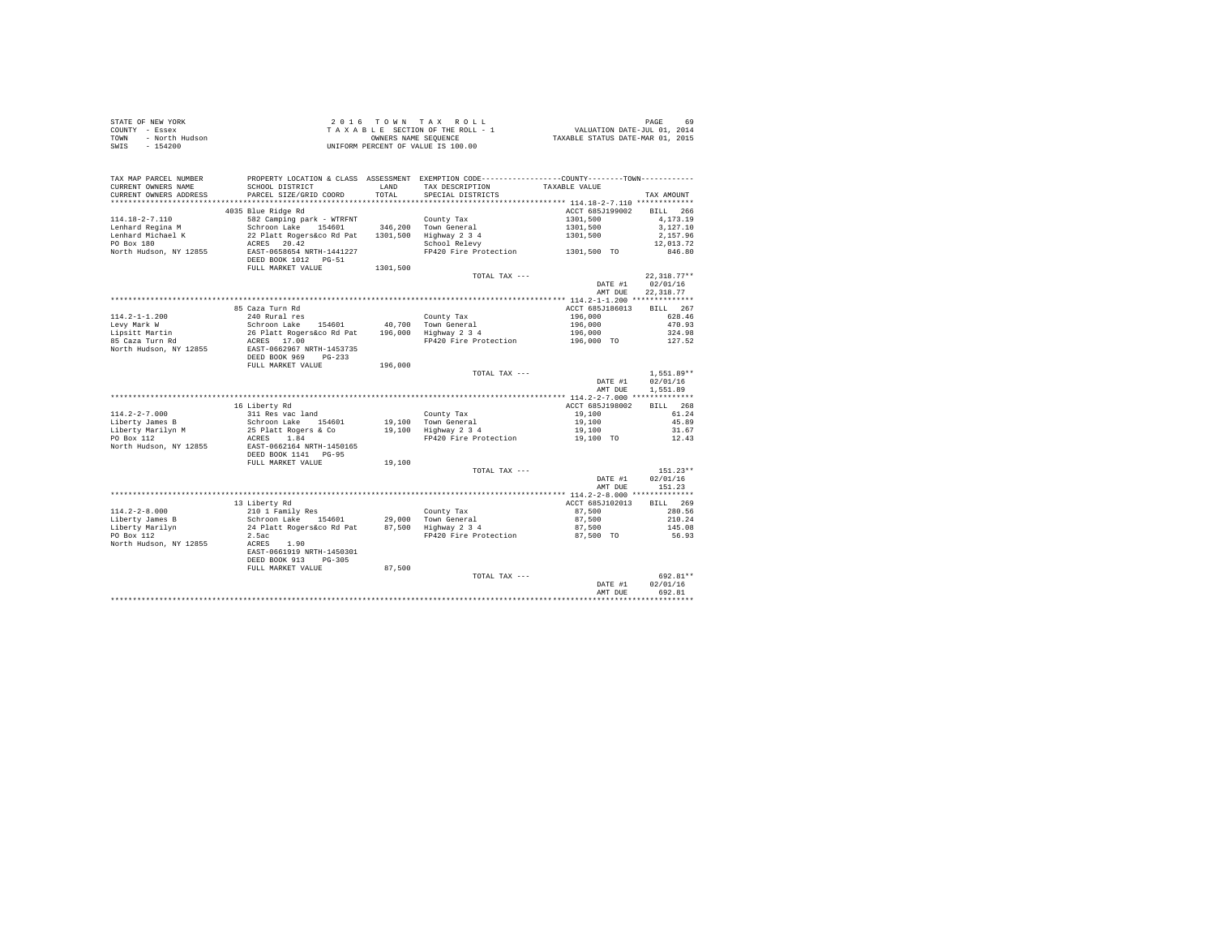| STATE OF NEW YORK      | 2016 TOWN TAX ROLL                 | 69<br>PAGE                       |
|------------------------|------------------------------------|----------------------------------|
| COUNTY - Essex         | TAXABLE SECTION OF THE ROLL - 1    | VALUATION DATE-JUL 01, 2014      |
| TOWN<br>- North Hudson | OWNERS NAME SEOUENCE               | TAXABLE STATUS DATE-MAR 01, 2015 |
| - 154200<br>SWIS       | UNIFORM PERCENT OF VALUE IS 100.00 |                                  |

| TAX MAP PARCEL NUMBER<br>CURRENT OWNERS NAME<br>CURRENT OWNERS ADDRESS | SCHOOL DISTRICT<br>PARCEL SIZE/GRID COORD                                                              | LAND<br>TOTAL.    | PROPERTY LOCATION & CLASS ASSESSMENT EXEMPTION CODE---------------COUNTY-------TOWN----------<br>TAX DESCRIPTION<br>SPECIAL DISTRICTS | TAXABLE VALUE                                       | TAX AMOUNT                                             |
|------------------------------------------------------------------------|--------------------------------------------------------------------------------------------------------|-------------------|---------------------------------------------------------------------------------------------------------------------------------------|-----------------------------------------------------|--------------------------------------------------------|
| **********************                                                 |                                                                                                        |                   |                                                                                                                                       |                                                     |                                                        |
| $114.18 - 2 - 7.110$<br>Lenhard Regina M<br>Lenhard Michael K          | 4035 Blue Ridge Rd<br>582 Camping park - WTRFNT<br>Schroon Lake<br>154601<br>22 Platt Rogers&co Rd Pat | 1301,500          | County Tax<br>346,200 Town General<br>Highway 2 3 4                                                                                   | ACCT 685J199002<br>1301,500<br>1301,500<br>1301,500 | <b>BILL</b><br>266<br>4,173.19<br>3,127.10<br>2.157.96 |
| PO Box 180<br>North Hudson, NY 12855                                   | 20.42<br>ACRES<br>EAST-0658654 NRTH-1441227<br>DEED BOOK 1012 PG-51<br>FULL MARKET VALUE               | 1301,500          | School Relevy<br>FP420 Fire Protection                                                                                                | 1301,500 TO                                         | 12,013.72<br>846.80                                    |
|                                                                        |                                                                                                        |                   | TOTAL TAX ---                                                                                                                         | DATE #1<br>AMT DUE                                  | $22.318.77**$<br>02/01/16<br>22, 318.77                |
|                                                                        |                                                                                                        |                   |                                                                                                                                       |                                                     |                                                        |
| $114.2 - 1 - 1.200$<br>Levy Mark W<br>Lipsitt Martin                   | 85 Caza Turn Rd<br>240 Rural res<br>Schroon Lake<br>154601<br>26 Platt Rogers&co Rd Pat                | 40,700<br>196,000 | County Tax<br>Town General<br>Highway 2 3 4                                                                                           | ACCT 685J186013<br>196,000<br>196,000<br>196,000    | BILL 267<br>628.46<br>470.93<br>324.98                 |
| 85 Caza Turn Rd<br>North Hudson, NY 12855                              | ACRES 17.00<br>EAST-0662967 NRTH-1453735<br>DEED BOOK 969<br>$PG-233$<br>FULL MARKET VALUE             | 196,000           | FP420 Fire Protection                                                                                                                 | 196,000 TO                                          | 127.52                                                 |
|                                                                        |                                                                                                        |                   | TOTAL TAX ---                                                                                                                         |                                                     | $1.551.89**$                                           |
|                                                                        |                                                                                                        |                   |                                                                                                                                       | DATE #1                                             | 02/01/16                                               |
|                                                                        |                                                                                                        |                   |                                                                                                                                       | AMT DUE                                             | 1,551.89                                               |
|                                                                        |                                                                                                        |                   |                                                                                                                                       |                                                     |                                                        |
|                                                                        | 16 Liberty Rd                                                                                          |                   |                                                                                                                                       | ACCT 685J198002                                     | BTLL.<br>268                                           |
| $114.2 - 2 - 7.000$                                                    | 311 Res vac land                                                                                       |                   | County Tax                                                                                                                            | 19,100                                              | 61.24                                                  |
| Liberty James B                                                        | Schroon Lake 154601                                                                                    |                   | 19,100 Town General                                                                                                                   | 19,100                                              | 45.89                                                  |
| Liberty Marilyn M                                                      | 25 Platt Rogers & Co                                                                                   |                   | 19,100 Highway 2 3 4                                                                                                                  | 19,100                                              | 31.67                                                  |
| PO Box 112<br>North Hudson, NY 12855                                   | ACRES<br>1.84<br>EAST-0662164 NRTH-1450165<br>DEED BOOK 1141 PG-95<br>FULL MARKET VALUE                | 19,100            | FP420 Fire Protection                                                                                                                 | 19,100 TO                                           | 12.43                                                  |
|                                                                        |                                                                                                        |                   | TOTAL TAX ---                                                                                                                         |                                                     | $151.23**$                                             |
|                                                                        |                                                                                                        |                   |                                                                                                                                       | DATE #1<br>AMT DUE                                  | 02/01/16<br>151.23                                     |
|                                                                        |                                                                                                        |                   |                                                                                                                                       |                                                     |                                                        |
| $114.2 - 2 - 8.000$                                                    | 13 Liberty Rd<br>210 1 Family Res                                                                      |                   | County Tax                                                                                                                            | ACCT 685J102013<br>87.500                           | 269<br>BTLL.<br>280.56                                 |
| Liberty James B                                                        | Schroon Lake 154601                                                                                    | 29,000            | Town General                                                                                                                          | 87,500                                              | 210.24                                                 |
| Liberty Marilyn                                                        | 24 Platt Rogers&co Rd Pat                                                                              | 87.500            | Highway 2 3 4                                                                                                                         | 87,500                                              | 145.08                                                 |
| PO Box 112<br>North Hudson, NY 12855                                   | 2.5ac<br>ACRES<br>1.90<br>EAST-0661919 NRTH-1450301<br>DEED BOOK 913<br>$PG-305$                       |                   | FP420 Fire Protection                                                                                                                 | 87,500 TO                                           | 56.93                                                  |
|                                                                        | FULL MARKET VALUE                                                                                      | 87,500            |                                                                                                                                       |                                                     |                                                        |
|                                                                        |                                                                                                        |                   | TOTAL TAX ---                                                                                                                         | DATE #1<br>AMT DUE                                  | 692.81**<br>02/01/16<br>692.81                         |
|                                                                        |                                                                                                        |                   |                                                                                                                                       |                                                     |                                                        |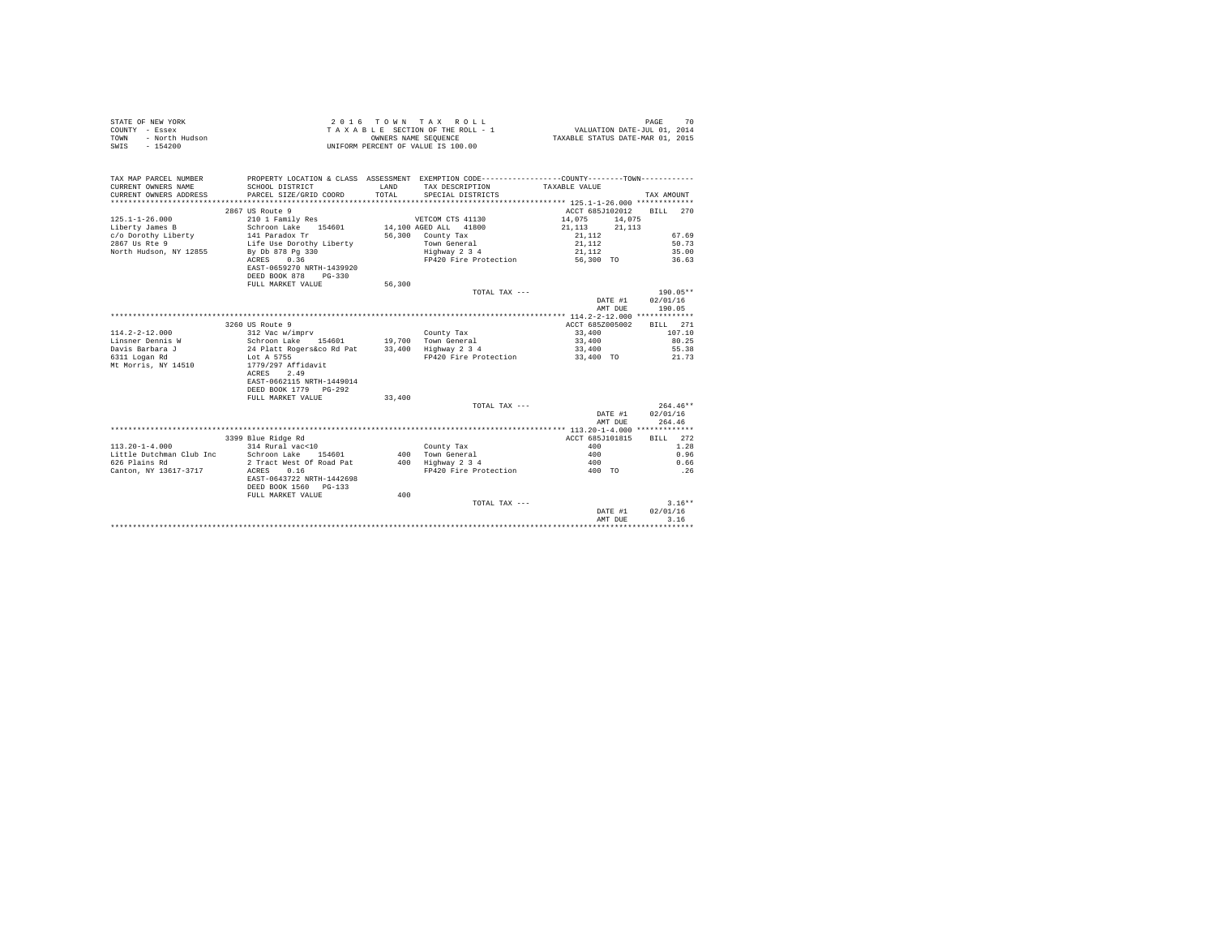| STATE OF NEW YORK      | 2016 TOWN TAX ROLL                 | 70<br>PAGE                       |
|------------------------|------------------------------------|----------------------------------|
| COUNTY - Essex         | TAXABLE SECTION OF THE ROLL - 1    | VALUATION DATE-JUL 01, 2014      |
| TOWN<br>- North Hudson | OWNERS NAME SEOUENCE               | TAXABLE STATUS DATE-MAR 01, 2015 |
| SWIS<br>$-154200$      | UNIFORM PERCENT OF VALUE IS 100.00 |                                  |

| TAX MAP PARCEL NUMBER<br>CURRENT OWNERS NAME<br>CURRENT OWNERS ADDRESS | PROPERTY LOCATION & CLASS ASSESSMENT EXEMPTION CODE---------------COUNTY-------TOWN----------<br>SCHOOL DISTRICT<br>PARCEL SIZE/GRID COORD | LAND<br>TOTAL | TAX DESCRIPTION<br>SPECIAL DISTRICTS | TAXABLE VALUE    | TAX AMOUNT |
|------------------------------------------------------------------------|--------------------------------------------------------------------------------------------------------------------------------------------|---------------|--------------------------------------|------------------|------------|
|                                                                        |                                                                                                                                            |               |                                      |                  |            |
|                                                                        | 2867 US Route 9                                                                                                                            |               |                                      | ACCT 685J102012  | BILL 270   |
| $125.1 - 1 - 26.000$                                                   | 210 1 Family Res                                                                                                                           |               | VETCOM CTS 41130                     | 14,075 14,075    |            |
| Liberty James B                                                        | Schroon Lake 154601 14,100 AGED ALL 41800                                                                                                  |               |                                      | 21, 113 21, 113  |            |
| c/o Dorothy Liberty                                                    | 141 Paradox Tr<br>Life Use Dorothy Liberty                                                                                                 |               | 56,300 County Tax                    |                  | 67.69      |
| 2867 Us Rte 9                                                          |                                                                                                                                            |               | Town General                         | 21,112<br>21,112 | 50.73      |
| North Hudson, NY 12855                                                 | By Db 878 Pg 330                                                                                                                           |               | Highway 2 3 4                        | 21, 112          | 35.00      |
|                                                                        | ACRES 0.36                                                                                                                                 |               | FP420 Fire Protection                | 56,300 TO        | 36.63      |
|                                                                        | EAST-0659270 NRTH-1439920                                                                                                                  |               |                                      |                  |            |
|                                                                        | DEED BOOK 878<br>$PG-330$                                                                                                                  |               |                                      |                  |            |
|                                                                        | FULL MARKET VALUE                                                                                                                          | 56,300        |                                      |                  |            |
|                                                                        |                                                                                                                                            |               | TOTAL TAX ---                        |                  | $190.05**$ |
|                                                                        |                                                                                                                                            |               |                                      | DATE #1          | 02/01/16   |
|                                                                        |                                                                                                                                            |               |                                      | AMT DUE          | 190.05     |
|                                                                        |                                                                                                                                            |               |                                      |                  |            |
|                                                                        | 3260 US Route 9                                                                                                                            |               |                                      | ACCT 685Z005002  | BILL 271   |
| $114.2 - 2 - 12.000$                                                   | 312 Vac w/imprv                                                                                                                            |               | County Tax                           | 33,400           | 107.10     |
| Linsner Dennis W                                                       |                                                                                                                                            |               |                                      | 33,400           | 80.25      |
| Davis Barbara J                                                        | Schroon Lake 154601 19,700 Town General<br>24 Platt Rogers&co Rd Pat 33,400 Highway 2 3 4                                                  |               |                                      | 33,400           | 55.38      |
| 6311 Logan Rd                                                          | Lot A 5755                                                                                                                                 |               | FP420 Fire Protection                | 33,400 TO        | 21.73      |
| Mt Morris, NY 14510                                                    | 1779/297 Affidavit                                                                                                                         |               |                                      |                  |            |
|                                                                        | ACRES<br>2.49                                                                                                                              |               |                                      |                  |            |
|                                                                        | EAST-0662115 NRTH-1449014                                                                                                                  |               |                                      |                  |            |
|                                                                        | DEED BOOK 1779 PG-292                                                                                                                      |               |                                      |                  |            |
|                                                                        | FULL MARKET VALUE                                                                                                                          | 33,400        |                                      |                  |            |
|                                                                        |                                                                                                                                            |               | TOTAL TAX ---                        |                  | $264.46**$ |
|                                                                        |                                                                                                                                            |               |                                      | DATE #1          | 02/01/16   |
|                                                                        |                                                                                                                                            |               |                                      | AMT DUE          | 264.46     |
|                                                                        |                                                                                                                                            |               |                                      |                  |            |
|                                                                        | 3399 Blue Ridge Rd                                                                                                                         |               |                                      | ACCT 685J101815  | BILL 272   |
| $113.20 - 1 - 4.000$                                                   | 314 Rural vac<10                                                                                                                           |               | County Tax                           | 400              | 1.28       |
| Little Dutchman Club Inc                                               | Schroon Lake 154601                                                                                                                        |               | 400 Town General                     | 400              | 0.96       |
| 626 Plains Rd                                                          | 2 Tract West Of Road Pat                                                                                                                   |               | 400 Highway 2 3 4                    | 400              | 0.66       |
| Canton, NY 13617-3717                                                  | ACRES 0.16                                                                                                                                 |               | FP420 Fire Protection                | 400 TO           | .26        |
|                                                                        | EAST-0643722 NRTH-1442698                                                                                                                  |               |                                      |                  |            |
|                                                                        | DEED BOOK 1560 PG-133                                                                                                                      |               |                                      |                  |            |
|                                                                        | FULL MARKET VALUE                                                                                                                          | 400           |                                      |                  |            |
|                                                                        |                                                                                                                                            |               | TOTAL TAX ---                        |                  | $3.16**$   |
|                                                                        |                                                                                                                                            |               |                                      |                  | 02/01/16   |
|                                                                        |                                                                                                                                            |               |                                      | DATE #1          | 3.16       |
|                                                                        |                                                                                                                                            |               |                                      | AMT DUE          |            |
|                                                                        |                                                                                                                                            |               |                                      |                  |            |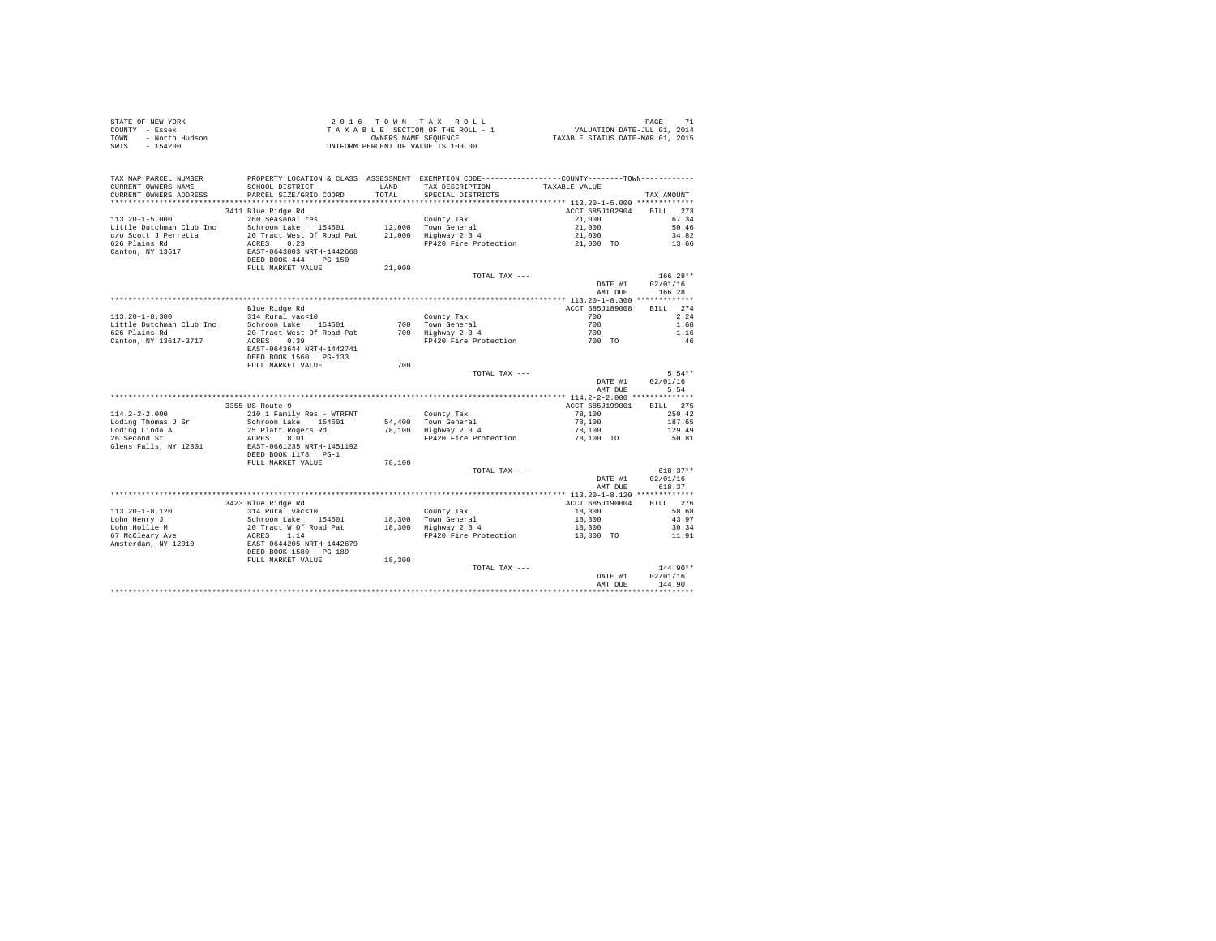| STATE OF NEW YORK      | 2016 TOWN TAX ROLL                 | PAGE                             |
|------------------------|------------------------------------|----------------------------------|
| COUNTY - Essex         | TAXABLE SECTION OF THE ROLL - 1    | VALUATION DATE-JUL 01, 2014      |
| TOWN<br>- North Hudson | OWNERS NAME SEOUENCE               | TAXABLE STATUS DATE-MAR 01, 2015 |
| SWIS<br>$-154200$      | UNIFORM PERCENT OF VALUE IS 100.00 |                                  |

| TAX MAP PARCEL NUMBER<br>CURRENT OWNERS NAME      | SCHOOL DISTRICT                                                                              | LAND   | PROPERTY LOCATION & CLASS ASSESSMENT EXEMPTION CODE---------------COUNTY-------TOWN---------<br>TAX DESCRIPTION | TAXABLE VALUE                             |                                  |
|---------------------------------------------------|----------------------------------------------------------------------------------------------|--------|-----------------------------------------------------------------------------------------------------------------|-------------------------------------------|----------------------------------|
| CURRENT OWNERS ADDRESS<br>*********************** | PARCEL SIZE/GRID COORD                                                                       | TOTAL  | SPECIAL DISTRICTS                                                                                               |                                           | TAX AMOUNT                       |
| $113.20 - 1 - 5.000$                              | 3411 Blue Ridge Rd<br>260 Seasonal res                                                       |        | County Tax                                                                                                      | ACCT 685J102904<br>21,000                 | 273<br><b>BILL</b><br>67.34      |
| Little Dutchman Club Inc<br>c/o Scott J Perretta  | Schroon Lake 154601<br>20 Tract West Of Road Pat                                             | 21,000 | 12.000 Town General<br>Highway 2 3 4                                                                            | 21,000<br>21,000                          | 50.46<br>34.82                   |
| 626 Plains Rd<br>Canton, NY 13617                 | 0.23<br>ACRES<br>EAST-0643803 NRTH-1442668<br>DEED BOOK 444<br>$PG-150$<br>FULL MARKET VALUE | 21,000 | FP420 Fire Protection                                                                                           | 21,000 TO                                 | 13.66                            |
|                                                   |                                                                                              |        | TOTAL TAX ---                                                                                                   | DATE #1<br>AMT DUE                        | $166.28**$<br>02/01/16<br>166.28 |
|                                                   |                                                                                              |        |                                                                                                                 |                                           |                                  |
|                                                   | Blue Ridge Rd                                                                                |        |                                                                                                                 | ACCT 685J189008                           | 274<br>BTLL.                     |
| $113.20 - 1 - 8.300$                              | 314 Rural vac<10                                                                             |        | County Tax                                                                                                      | 700                                       | 2.24                             |
| Little Dutchman Club Inc                          | Schroon Lake 154601                                                                          | 700    | Town General                                                                                                    | 700                                       | 1.68                             |
| 626 Plains Rd                                     | 20 Tract West Of Road Pat                                                                    | 700    | Highway 2 3 4                                                                                                   | 700                                       | 1.16                             |
| Canton, NY 13617-3717                             | 0.39<br>ACRES<br>EAST-0643644 NRTH-1442741<br>DEED BOOK 1560 PG-133                          |        | FP420 Fire Protection                                                                                           | 700 TO                                    | .46                              |
|                                                   | FULL MARKET VALUE                                                                            | 700    |                                                                                                                 |                                           |                                  |
|                                                   |                                                                                              |        | TOTAL TAX ---                                                                                                   |                                           | $5.54**$                         |
|                                                   |                                                                                              |        |                                                                                                                 | DATE #1                                   | 02/01/16                         |
|                                                   |                                                                                              |        |                                                                                                                 | AMT DUE                                   | 5.54                             |
|                                                   |                                                                                              |        |                                                                                                                 | ************ 114.2-2-2.000 ************** |                                  |
|                                                   | 3355 US Route 9                                                                              |        |                                                                                                                 | ACCT 685J199001                           | 275<br><b>BILL</b>               |
| $114.2 - 2 - 2.000$                               | 210 1 Family Res - WTRFNT                                                                    |        | County Tax                                                                                                      | 78,100                                    | 250.42                           |
| Loding Thomas J Sr                                | Schroon Lake<br>154601                                                                       | 54,400 | Town General                                                                                                    | 78,100                                    | 187.65                           |
| Loding Linda A                                    | 25 Platt Rogers Rd                                                                           | 78,100 | Highway 2 3 4                                                                                                   | 78,100                                    | 129.49                           |
| 26 Second St<br>Glens Falls, NY 12801             | 8.01<br>ACRES<br>EAST-0661235 NRTH-1451192<br>DEED BOOK 1178<br>$PG-1$                       |        | FP420 Fire Protection                                                                                           | 78,100 TO                                 | 50.81                            |
|                                                   | FULL MARKET VALUE                                                                            | 78,100 |                                                                                                                 |                                           |                                  |
|                                                   |                                                                                              |        | TOTAL TAX ---                                                                                                   | DATE #1<br>AMT DUE                        | $618.37**$<br>02/01/16<br>618.37 |
|                                                   |                                                                                              |        |                                                                                                                 |                                           |                                  |
|                                                   | 3423 Blue Ridge Rd                                                                           |        |                                                                                                                 | ACCT 685J190004                           | 276<br><b>BILL</b>               |
| $113.20 - 1 - 8.120$                              | 314 Rural vac<10                                                                             |        | County Tax                                                                                                      | 18,300                                    | 58.68                            |
| Lohn Henry J                                      | Schroon Lake<br>154601                                                                       | 18,300 | Town General                                                                                                    | 18,300                                    | 43.97                            |
| Lohn Hollie M                                     | 20 Tract W Of Road Pat                                                                       | 18,300 | Highway 2 3 4                                                                                                   | 18,300                                    | 30.34                            |
| 67 McCleary Ave<br>Amsterdam, NY 12010            | ACRES<br>1.14<br>EAST-0644205 NRTH-1442679<br>DEED BOOK 1580<br>$PG-189$                     |        | FP420 Fire Protection                                                                                           | 18,300 TO                                 | 11.91                            |
|                                                   | FULL MARKET VALUE                                                                            | 18,300 |                                                                                                                 |                                           |                                  |
|                                                   |                                                                                              |        | TOTAL TAX ---                                                                                                   | DATE #1                                   | 144.90**<br>02/01/16             |
|                                                   |                                                                                              |        |                                                                                                                 | AMT DUE                                   | 144.90                           |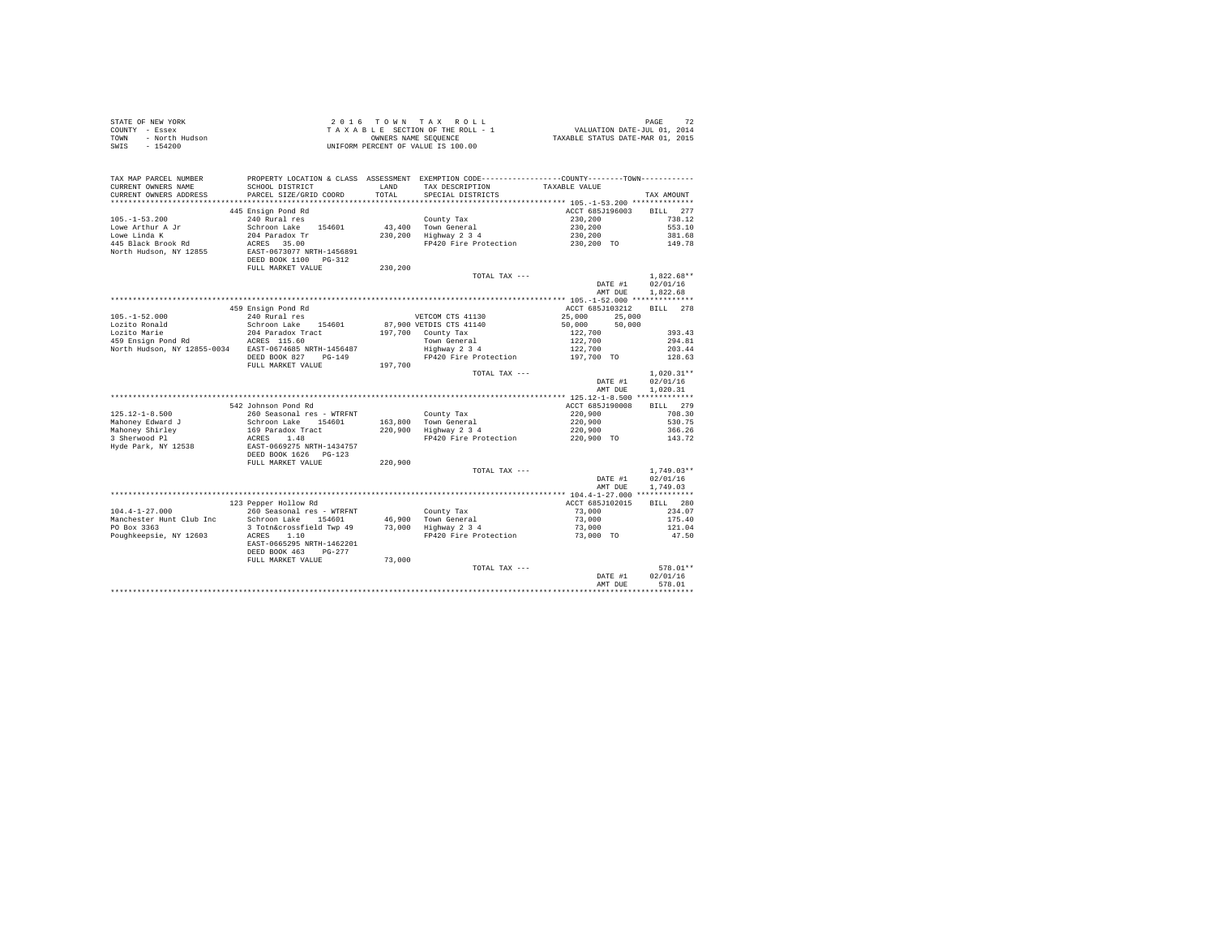| STATE OF NEW YORK<br>COUNTY - Essex<br>- North Hudson<br>TOWN<br>$-154200$<br>SWIS |                                                                                                                                                                 |               | 2016 TOWN TAX ROLL<br>$\begin{array}{lcl} 2 & 0 & 1 & 6 & \textrm{TO}~\textsc{N}~\textsc{N}~\textsc{N}~\textsc{N}~\textsc{N}~\textsc{N}~\textsc{N}~\textsc{N}~\textsc{N}~\textsc{N}~\textsc{N}~\textsc{N}~\textsc{N}~\textsc{N}~\textsc{N}~\textsc{N}~\textsc{N}~\textsc{N}~\textsc{N}~\textsc{N}~\textsc{N}~\textsc{N}~\textsc{N}~\textsc{N}~\textsc{N}~\textsc{N}~\textsc{N}~\textsc$<br>UNIFORM PERCENT OF VALUE IS 100.00 |                                                                                    | PAGE<br>72               |
|------------------------------------------------------------------------------------|-----------------------------------------------------------------------------------------------------------------------------------------------------------------|---------------|-------------------------------------------------------------------------------------------------------------------------------------------------------------------------------------------------------------------------------------------------------------------------------------------------------------------------------------------------------------------------------------------------------------------------------|------------------------------------------------------------------------------------|--------------------------|
| TAX MAP PARCEL NUMBER<br>CURRENT OWNERS NAME<br>CURRENT OWNERS ADDRESS             | PROPERTY LOCATION & CLASS ASSESSMENT EXEMPTION CODE---------------COUNTY-------TOWN----------<br>SCHOOL DISTRICT<br>PARCEL SIZE/GRID COORD                      | LAND<br>TOTAL | TAX DESCRIPTION TAXABLE VALUE<br>SPECIAL DISTRICTS                                                                                                                                                                                                                                                                                                                                                                            |                                                                                    | TAX AMOUNT               |
|                                                                                    |                                                                                                                                                                 |               |                                                                                                                                                                                                                                                                                                                                                                                                                               |                                                                                    |                          |
|                                                                                    | 445 Ensign Pond Rd                                                                                                                                              |               |                                                                                                                                                                                                                                                                                                                                                                                                                               | ACCT 685J196003                                                                    | BILL 277                 |
| $105. - 1 - 53.200$                                                                | 240 Rural res                                                                                                                                                   |               | County Tax                                                                                                                                                                                                                                                                                                                                                                                                                    | 230,200                                                                            | 738.12                   |
| Lowe Arthur A Jr                                                                   | Schroon Lake 154601                                                                                                                                             |               | 43,400 Town General                                                                                                                                                                                                                                                                                                                                                                                                           | 230,200                                                                            | 553.10                   |
| Lowe Linda K                                                                       | 204 Paradox Tr                                                                                                                                                  |               | 230,200 Highway 2 3 4                                                                                                                                                                                                                                                                                                                                                                                                         | 230,200                                                                            | 381.68                   |
| 445 Black Brook Rd                                                                 | ACRES 35.00<br>ACRES 35.00<br>EAST-0673077 NRTH-1456891                                                                                                         |               | FP420 Fire Protection                                                                                                                                                                                                                                                                                                                                                                                                         | 230,200 TO                                                                         | 149.78                   |
| North Hudson, NY 12855                                                             | DEED BOOK 1100 PG-312                                                                                                                                           |               |                                                                                                                                                                                                                                                                                                                                                                                                                               |                                                                                    |                          |
|                                                                                    | FULL MARKET VALUE                                                                                                                                               | 230,200       |                                                                                                                                                                                                                                                                                                                                                                                                                               |                                                                                    |                          |
|                                                                                    |                                                                                                                                                                 |               | TOTAL TAX ---                                                                                                                                                                                                                                                                                                                                                                                                                 |                                                                                    | $1.822.68**$             |
|                                                                                    |                                                                                                                                                                 |               |                                                                                                                                                                                                                                                                                                                                                                                                                               | DATE #1                                                                            | 02/01/16                 |
|                                                                                    |                                                                                                                                                                 |               |                                                                                                                                                                                                                                                                                                                                                                                                                               | AMT DUE                                                                            | 1,822.68                 |
|                                                                                    |                                                                                                                                                                 |               |                                                                                                                                                                                                                                                                                                                                                                                                                               |                                                                                    |                          |
|                                                                                    | 459 Ensign Pond Rd                                                                                                                                              |               |                                                                                                                                                                                                                                                                                                                                                                                                                               | ACCT 685J103212                                                                    | BILL 278                 |
| $105. - 1 - 52.000$                                                                | 240 Rural res                                                                                                                                                   |               | VETCOM CTS 41130                                                                                                                                                                                                                                                                                                                                                                                                              | 25,000<br>25,000                                                                   |                          |
| Lozito Ronald                                                                      | Schroon Lake 154601                                                                                                                                             |               | 87,900 VETDIS CTS 41140                                                                                                                                                                                                                                                                                                                                                                                                       | 50,000<br>50,000                                                                   |                          |
| Lozito Marie                                                                       | 204 Paradox Tract                                                                                                                                               |               | 197,700 County Tax                                                                                                                                                                                                                                                                                                                                                                                                            |                                                                                    | 393.43                   |
|                                                                                    |                                                                                                                                                                 |               | Town General<br>Highway 2 3 4                                                                                                                                                                                                                                                                                                                                                                                                 |                                                                                    | 294.81                   |
| North Hudson, NY 12855-0034 EAST-0674685 NRTH-1456487                              |                                                                                                                                                                 |               |                                                                                                                                                                                                                                                                                                                                                                                                                               | $\begin{array}{r} 122,700 \\ 122,700 \\ 122,700 \\ 122,700 \\ 197,700 \end{array}$ | 203.44                   |
|                                                                                    | DEED BOOK 827 PG-149                                                                                                                                            |               | FP420 Fire Protection                                                                                                                                                                                                                                                                                                                                                                                                         |                                                                                    | 128.63                   |
|                                                                                    | FULL MARKET VALUE                                                                                                                                               | 197,700       |                                                                                                                                                                                                                                                                                                                                                                                                                               |                                                                                    |                          |
|                                                                                    |                                                                                                                                                                 |               | TOTAL TAX ---                                                                                                                                                                                                                                                                                                                                                                                                                 | DATE #1                                                                            | $1,020.31**$<br>02/01/16 |
|                                                                                    |                                                                                                                                                                 |               |                                                                                                                                                                                                                                                                                                                                                                                                                               | AMT DUE                                                                            | 1,020.31                 |
|                                                                                    |                                                                                                                                                                 |               |                                                                                                                                                                                                                                                                                                                                                                                                                               |                                                                                    |                          |
|                                                                                    | 542 Johnson Pond Rd                                                                                                                                             |               |                                                                                                                                                                                                                                                                                                                                                                                                                               | ACCT 685J190008                                                                    | BILL 279                 |
| $125.12 - 1 - 8.500$                                                               | 260 Seasonal res - WTRFNT                                                                                                                                       |               | County Tax                                                                                                                                                                                                                                                                                                                                                                                                                    | 220,900                                                                            | 708.30                   |
|                                                                                    | Schroon Lake 154601                                                                                                                                             |               | 163,800 Town General                                                                                                                                                                                                                                                                                                                                                                                                          | 220,900                                                                            | 530.75                   |
|                                                                                    | 169 Paradox Tract                                                                                                                                               |               | 220,900 Fown General<br>220,900 Highway 2 3 4                                                                                                                                                                                                                                                                                                                                                                                 | 220,900                                                                            | 366.26                   |
| Mahoney Edward J<br>Mahoney Shirley<br>3 Sherwood Pl                               | ACRES 1.48                                                                                                                                                      |               | FP420 Fire Protection                                                                                                                                                                                                                                                                                                                                                                                                         | 220,900 TO                                                                         | 143.72                   |
| Hyde Park, NY 12538                                                                | EAST-0669275 NRTH-1434757<br>DEED BOOK 1626 PG-123                                                                                                              |               |                                                                                                                                                                                                                                                                                                                                                                                                                               |                                                                                    |                          |
|                                                                                    |                                                                                                                                                                 |               |                                                                                                                                                                                                                                                                                                                                                                                                                               |                                                                                    |                          |
|                                                                                    | FULL MARKET VALUE                                                                                                                                               | 220,900       |                                                                                                                                                                                                                                                                                                                                                                                                                               |                                                                                    |                          |
|                                                                                    |                                                                                                                                                                 |               | TOTAL TAX ---                                                                                                                                                                                                                                                                                                                                                                                                                 |                                                                                    | $1.749.03**$             |
|                                                                                    |                                                                                                                                                                 |               |                                                                                                                                                                                                                                                                                                                                                                                                                               | DATE #1<br>AMT DUE                                                                 | 02/01/16<br>1,749.03     |
|                                                                                    |                                                                                                                                                                 |               |                                                                                                                                                                                                                                                                                                                                                                                                                               |                                                                                    |                          |
|                                                                                    | 123 Pepper Hollow Rd                                                                                                                                            |               |                                                                                                                                                                                                                                                                                                                                                                                                                               | ACCT 685J102015                                                                    | BILL 280                 |
| $104.4 - 1 - 27.000$                                                               | 260 Seasonal res - WTRFNT                                                                                                                                       |               | County Tax                                                                                                                                                                                                                                                                                                                                                                                                                    |                                                                                    | 234.07                   |
| Manchester Hunt Club Inc                                                           |                                                                                                                                                                 |               |                                                                                                                                                                                                                                                                                                                                                                                                                               | 73,000<br>73,000                                                                   | 175.40                   |
| PO Box 3363                                                                        | composition and the minimal component of the component of the scheme of the scheme of the scheme of the scheme<br>3 Toth&crossfield Twp 49 73,000 Highway 2 3 4 |               |                                                                                                                                                                                                                                                                                                                                                                                                                               | 73,000                                                                             | 121.04                   |
| Poughkeepsie, NY 12603                                                             | ACRES 1.10                                                                                                                                                      |               | FP420 Fire Protection 73,000 TO                                                                                                                                                                                                                                                                                                                                                                                               |                                                                                    | 47.50                    |
|                                                                                    | EAST-0665295 NRTH-1462201                                                                                                                                       |               |                                                                                                                                                                                                                                                                                                                                                                                                                               |                                                                                    |                          |
|                                                                                    | DEED BOOK 463 PG-277                                                                                                                                            |               |                                                                                                                                                                                                                                                                                                                                                                                                                               |                                                                                    |                          |
|                                                                                    | FULL MARKET VALUE                                                                                                                                               | 73,000        |                                                                                                                                                                                                                                                                                                                                                                                                                               |                                                                                    |                          |
|                                                                                    |                                                                                                                                                                 |               | TOTAL TAX ---                                                                                                                                                                                                                                                                                                                                                                                                                 |                                                                                    | 578.01**                 |
|                                                                                    |                                                                                                                                                                 |               |                                                                                                                                                                                                                                                                                                                                                                                                                               | DATE #1                                                                            | 02/01/16                 |
|                                                                                    |                                                                                                                                                                 |               |                                                                                                                                                                                                                                                                                                                                                                                                                               | AMT DUE                                                                            | 578.01                   |
|                                                                                    |                                                                                                                                                                 |               |                                                                                                                                                                                                                                                                                                                                                                                                                               |                                                                                    |                          |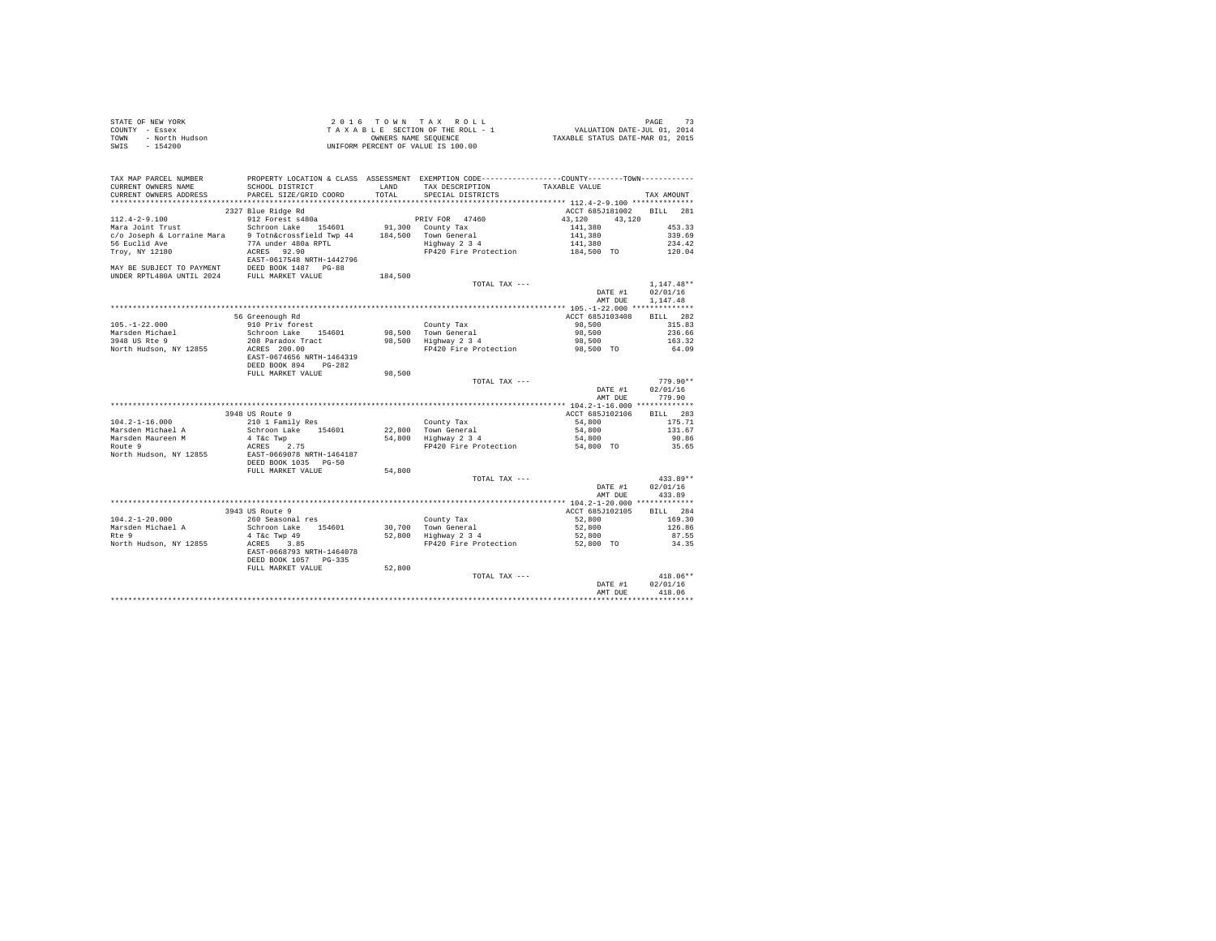|      | STATE OF NEW YORK | 2016 TOWN TAX ROLL                 | PAGE                             |
|------|-------------------|------------------------------------|----------------------------------|
|      | COUNTY - Essex    | TAXABLE SECTION OF THE ROLL - 1    | VALUATION DATE-JUL 01, 2014      |
| TOWN | - North Hudson    | OWNERS NAME SEOUENCE               | TAXABLE STATUS DATE-MAR 01, 2015 |
| SWIS | $-154200$         | UNIFORM PERCENT OF VALUE IS 100.00 |                                  |

| TAX MAP PARCEL NUMBER<br>CURRENT OWNERS NAME<br>CURRENT OWNERS ADDRESS | SCHOOL DISTRICT<br>PARCEL SIZE/GRID COORD | LAND<br>TOTAL | PROPERTY LOCATION & CLASS ASSESSMENT EXEMPTION CODE----------------COUNTY-------TOWN----------<br>TAX DESCRIPTION<br>SPECIAL DISTRICTS | TAXABLE VALUE    | TAX AMOUNT   |
|------------------------------------------------------------------------|-------------------------------------------|---------------|----------------------------------------------------------------------------------------------------------------------------------------|------------------|--------------|
| ************************                                               | *****************************             |               |                                                                                                                                        |                  |              |
|                                                                        | 2327 Blue Ridge Rd                        |               |                                                                                                                                        | ACCT 685J181002  | BILL<br>281  |
| $112.4 - 2 - 9.100$                                                    | 912 Forest s480a                          |               | PRIV FOR 47460                                                                                                                         | 43,120<br>43,120 |              |
| Mara Joint Trust                                                       | Schroon Lake 154601                       |               | 91,300 County Tax                                                                                                                      | 141,380          | 453.33       |
| c/o Joseph & Lorraine Mara 9 Totn&crossfield Twp 44                    |                                           |               | 184.500 Town General                                                                                                                   | 141,380          | 339.69       |
| 56 Euclid Ave                                                          | 77A under 480a RPTL                       |               | Highway 2 3 4                                                                                                                          | 141,380          | 234.42       |
| Troy, NY 12180                                                         | ACRES 92.90                               |               | FP420 Fire Protection                                                                                                                  | 184,500 TO       | 120.04       |
|                                                                        | EAST-0617548 NRTH-1442796                 |               |                                                                                                                                        |                  |              |
| MAY BE SUBJECT TO PAYMENT DEED BOOK 1487 PG-88                         |                                           |               |                                                                                                                                        |                  |              |
| UNDER RPTL480A UNTIL 2024 FULL MARKET VALUE                            |                                           | 184,500       |                                                                                                                                        |                  |              |
|                                                                        |                                           |               | TOTAL TAX ---                                                                                                                          |                  | $1,147.48**$ |
|                                                                        |                                           |               |                                                                                                                                        | DATE #1          | 02/01/16     |
|                                                                        |                                           |               |                                                                                                                                        | AMT DUE          | 1.147.48     |
|                                                                        |                                           |               |                                                                                                                                        |                  |              |
|                                                                        | 56 Greenough Rd                           |               |                                                                                                                                        | ACCT 685J103408  | BILL 282     |
| $105. - 1 - 22.000$                                                    | 910 Priv forest                           |               | County Tax                                                                                                                             | 98,500           | 315.83       |
| Marsden Michael                                                        | Schroon Lake 154601                       |               | 98.500 Town General                                                                                                                    | 98,500           | 236.66       |
| 3948 US Rte 9                                                          | 208 Paradox Tract                         |               | 98,500 Highway 2 3 4                                                                                                                   | 98,500           | 163.32       |
| North Hudson, NY 12855                                                 | ACRES 200.00                              |               | FP420 Fire Protection                                                                                                                  | 98,500 TO        | 64.09        |
|                                                                        | EAST-0674656 NRTH-1464319                 |               |                                                                                                                                        |                  |              |
|                                                                        | DEED BOOK 894 PG-282                      |               |                                                                                                                                        |                  |              |
|                                                                        | FULL MARKET VALUE                         | 98,500        |                                                                                                                                        |                  |              |
|                                                                        |                                           |               | TOTAL TAX ---                                                                                                                          |                  | $779.90**$   |
|                                                                        |                                           |               |                                                                                                                                        | DATE #1          | 02/01/16     |
|                                                                        |                                           |               |                                                                                                                                        | AMT DUE          | 779.90       |
|                                                                        |                                           |               |                                                                                                                                        |                  |              |
|                                                                        | 3948 US Route 9                           |               |                                                                                                                                        | ACCT 685J102106  | BILL 283     |
| $104.2 - 1 - 16.000$                                                   | 210 1 Family Res                          |               | County Tax                                                                                                                             | 54,800           | 175.71       |
| Marsden Michael A                                                      | Schroon Lake 154601                       |               | 22,800 Town General                                                                                                                    | 54,800           | 131.67       |
| Marsden Maureen M                                                      | 4 T&c Twp                                 |               | 54,800 Highway 2 3 4                                                                                                                   | 54,800           | 90.86        |
| Route 9                                                                | ACRES 2.75                                |               | FP420 Fire Protection                                                                                                                  | 54,800 TO        | 35.65        |
| North Hudson, NY 12855                                                 | EAST-0669078 NRTH-1464187                 |               |                                                                                                                                        |                  |              |
|                                                                        | DEED BOOK 1035 PG-50                      |               |                                                                                                                                        |                  |              |
|                                                                        | FULL MARKET VALUE                         | 54,800        |                                                                                                                                        |                  |              |
|                                                                        |                                           |               | TOTAL TAX ---                                                                                                                          |                  | $433.89**$   |
|                                                                        |                                           |               |                                                                                                                                        | DATE #1          | 02/01/16     |
|                                                                        |                                           |               |                                                                                                                                        | AMT DUE          | 433.89       |
|                                                                        |                                           |               |                                                                                                                                        |                  |              |
|                                                                        | 3943 US Route 9                           |               |                                                                                                                                        | ACCT 685J102105  | BILL 284     |
| $104.2 - 1 - 20.000$                                                   | 260 Seasonal res                          |               | County Tax<br>30,700 Town General<br>52,800 Highway 2 3 4                                                                              | 52,800           | 169.30       |
| Marsden Michael A                                                      | Schroon Lake 154601                       |               | 30.700 Town General                                                                                                                    | 52,800           | 126.86       |
| Rte 9                                                                  | 4 T&c Twp 49                              |               |                                                                                                                                        | 52,800           | 87.55        |
| North Hudson, NY 12855                                                 | ACRES<br>3.85                             |               | FP420 Fire Protection 52,800 TO                                                                                                        |                  | 34.35        |
|                                                                        | EAST-0668793 NRTH-1464078                 |               |                                                                                                                                        |                  |              |
|                                                                        | DEED BOOK 1057 PG-335                     |               |                                                                                                                                        |                  |              |
|                                                                        | FULL MARKET VALUE                         | 52,800        |                                                                                                                                        |                  |              |
|                                                                        |                                           |               | TOTAL TAX ---                                                                                                                          |                  | $418.06**$   |
|                                                                        |                                           |               |                                                                                                                                        | DATE #1          | 02/01/16     |
|                                                                        |                                           |               |                                                                                                                                        | AMT DUE          | 418.06       |
|                                                                        |                                           |               |                                                                                                                                        |                  |              |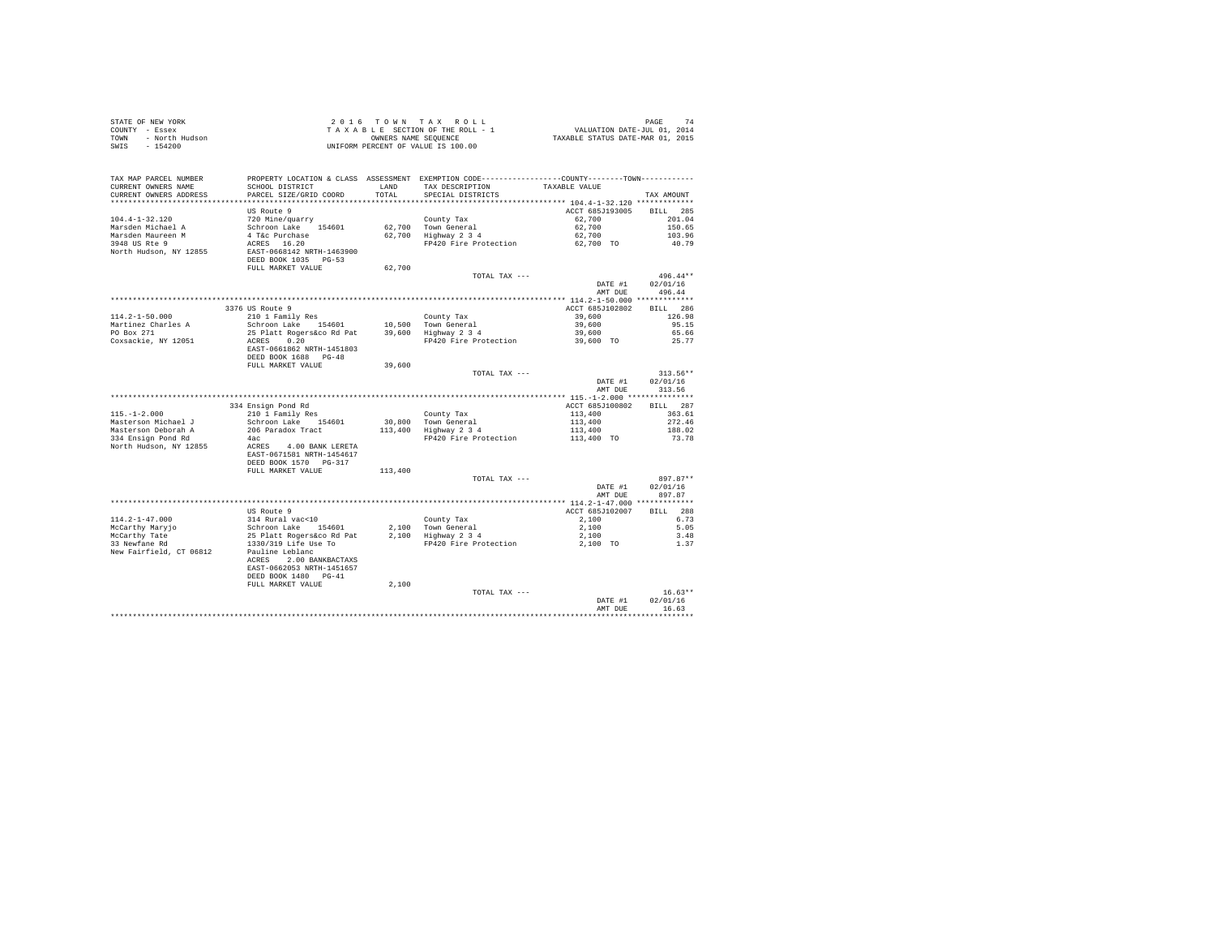| STATE OF NEW YORK<br>COUNTY - Essex<br>- North Hudson<br><b>TOWN</b><br>$-154200$<br>SWIS |                                                                                                                        |                      | 2016 TOWN TAX ROLL<br>TAXABLE SECTION OF THE ROLL - 1<br>OWNERS NAME SEQUENCE<br>UNIFORM PERCENT OF VALUE IS 100.00 | 74 PAGE<br>741 VALUATION DATE-JUL<br>741 TAXABLE STATUS DATE-MAR | 74<br>PAGE         |
|-------------------------------------------------------------------------------------------|------------------------------------------------------------------------------------------------------------------------|----------------------|---------------------------------------------------------------------------------------------------------------------|------------------------------------------------------------------|--------------------|
| TAX MAP PARCEL NUMBER<br>CURRENT OWNERS NAME                                              | SCHOOL DISTRICT                                                                                                        | LAND                 | PROPERTY LOCATION & CLASS ASSESSMENT EXEMPTION CODE----------------COUNTY-------TOWN----------<br>TAX DESCRIPTION   | TAXABLE VALUE                                                    |                    |
| CURRENT OWNERS ADDRESS<br>***********************                                         | PARCEL SIZE/GRID COORD<br>************************                                                                     | TOTAL<br>*********** | SPECIAL DISTRICTS                                                                                                   | ************************** 104.4-1-32.120 *************          | TAX AMOUNT         |
|                                                                                           | US Route 9                                                                                                             |                      |                                                                                                                     | ACCT 685J193005                                                  | BILL 285           |
| $104.4 - 1 - 32.120$                                                                      | 720 Mine/quarry                                                                                                        |                      | County Tax                                                                                                          | 62,700                                                           | 201.04             |
| Marsden Michael A                                                                         | Schroon Lake 154601                                                                                                    |                      | 62.700 Town General                                                                                                 | 62,700                                                           | 150.65             |
| Marsden Maureen M                                                                         | 4 T&c Purchase                                                                                                         |                      | 62,700 Highway 2 3 4                                                                                                | 62,700                                                           | 103.96             |
| 3948 US Rte 9                                                                             | ACRES 16.20                                                                                                            |                      | FP420 Fire Protection                                                                                               | 62,700 TO                                                        | 40.79              |
| North Hudson, NY 12855                                                                    | EAST-0668142 NRTH-1463900<br>DEED BOOK 1035 PG-53                                                                      |                      |                                                                                                                     |                                                                  |                    |
|                                                                                           | FULL MARKET VALUE                                                                                                      | 62,700               |                                                                                                                     |                                                                  |                    |
|                                                                                           |                                                                                                                        |                      | TOTAL TAX ---                                                                                                       |                                                                  | $496.44**$         |
|                                                                                           |                                                                                                                        |                      |                                                                                                                     | DATE #1                                                          | 02/01/16           |
|                                                                                           |                                                                                                                        |                      |                                                                                                                     | AMT DUE                                                          | 496.44             |
|                                                                                           |                                                                                                                        |                      |                                                                                                                     |                                                                  |                    |
|                                                                                           | 3376 US Route 9                                                                                                        |                      |                                                                                                                     | ACCT 685J102802                                                  | BILL 286           |
| $114.2 - 1 - 50.000$                                                                      | 210 1 Family Res                                                                                                       |                      | County Tax                                                                                                          | 39,600                                                           | 126.98             |
| Martinez Charles A<br>PO Box 271                                                          | Schroon Lake 154601<br>25 Platt Rogers&co Rd Pat                                                                       |                      | 10.500 Town General<br>39,600 Highway 2 3 4                                                                         | 39,600<br>39,600                                                 | 95.15<br>65.66     |
| Coxsackie, NY 12051                                                                       | ACRES 0.20                                                                                                             |                      | FP420 Fire Protection                                                                                               | 39,600 TO                                                        | 25.77              |
|                                                                                           | EAST-0661862 NRTH-1451803                                                                                              |                      |                                                                                                                     |                                                                  |                    |
|                                                                                           | DEED BOOK 1688 PG-48                                                                                                   |                      |                                                                                                                     |                                                                  |                    |
|                                                                                           | FULL MARKET VALUE                                                                                                      | 39,600               |                                                                                                                     |                                                                  |                    |
|                                                                                           |                                                                                                                        |                      | TOTAL TAX ---                                                                                                       |                                                                  | $313.56**$         |
|                                                                                           |                                                                                                                        |                      |                                                                                                                     | DATE #1<br>AMT DUE                                               | 02/01/16<br>313.56 |
|                                                                                           |                                                                                                                        |                      |                                                                                                                     |                                                                  |                    |
|                                                                                           | 334 Ensign Pond Rd                                                                                                     |                      |                                                                                                                     | ACCT 685J100802                                                  | BILL 287           |
| $115. - 1 - 2.000$                                                                        | 210 1 Family Res                                                                                                       |                      | County Tax                                                                                                          | 113,400                                                          | 363.61             |
| Masterson Michael J                                                                       | Schroon Lake 154601                                                                                                    |                      | 30.800 Town General                                                                                                 | 113,400                                                          | 272.46             |
| Masterson Deborah A<br>334 Ensign Pond Rd                                                 | 206 Paradox Tract<br>4ac                                                                                               |                      | 113,400 Highway 2 3 4<br>FP420 Fire Protection                                                                      | 113,400<br>113,400 TO                                            | 188.02<br>73.78    |
| North Hudson, NY 12855                                                                    | ACRES 4.00 BANK LERETA<br>EAST-0671581 NRTH-1454617                                                                    |                      |                                                                                                                     |                                                                  |                    |
|                                                                                           | DEED BOOK 1570 PG-317<br>FULL MARKET VALUE                                                                             | 113,400              |                                                                                                                     |                                                                  |                    |
|                                                                                           |                                                                                                                        |                      | TOTAL TAX ---                                                                                                       |                                                                  | $897.87**$         |
|                                                                                           |                                                                                                                        |                      |                                                                                                                     | DATE #1                                                          | 02/01/16           |
|                                                                                           |                                                                                                                        |                      |                                                                                                                     | AMT DUE                                                          | 897.87             |
|                                                                                           |                                                                                                                        |                      |                                                                                                                     |                                                                  |                    |
|                                                                                           | US Route 9                                                                                                             |                      |                                                                                                                     | ACCT 685J102007                                                  | 288<br>BTLL.       |
| $114.2 - 1 - 47.000$                                                                      | 314 Rural vac<10                                                                                                       |                      | County Tax                                                                                                          | 2,100                                                            | 6.73               |
| McCarthy Marvio                                                                           | Schroon Lake 154601                                                                                                    |                      | 2.100 Town General                                                                                                  | 2,100                                                            | 5.05               |
| McCarthy Tate                                                                             | 25 Platt Rogers&co Rd Pat                                                                                              |                      | 2,100 Highway 2 3 4                                                                                                 | 2,100                                                            | 3.48               |
| 33 Newfane Rd<br>New Fairfield, CT 06812                                                  | 1330/319 Life Use To<br>Pauline Leblanc<br>ACRES 2.00 BANKBACTAXS<br>EAST-0662053 NRTH-1451657<br>DEED BOOK 1480 PG-41 |                      | FP420 Fire Protection                                                                                               | 2,100 TO                                                         | 1.37               |
|                                                                                           | FULL MARKET VALUE                                                                                                      | 2,100                |                                                                                                                     |                                                                  |                    |
|                                                                                           |                                                                                                                        |                      | TOTAL TAX ---                                                                                                       |                                                                  | $16.63**$          |
|                                                                                           |                                                                                                                        |                      |                                                                                                                     | DATE #1<br>AMT DUR                                               | 02/01/16<br>16.63  |
|                                                                                           |                                                                                                                        |                      |                                                                                                                     |                                                                  | .                  |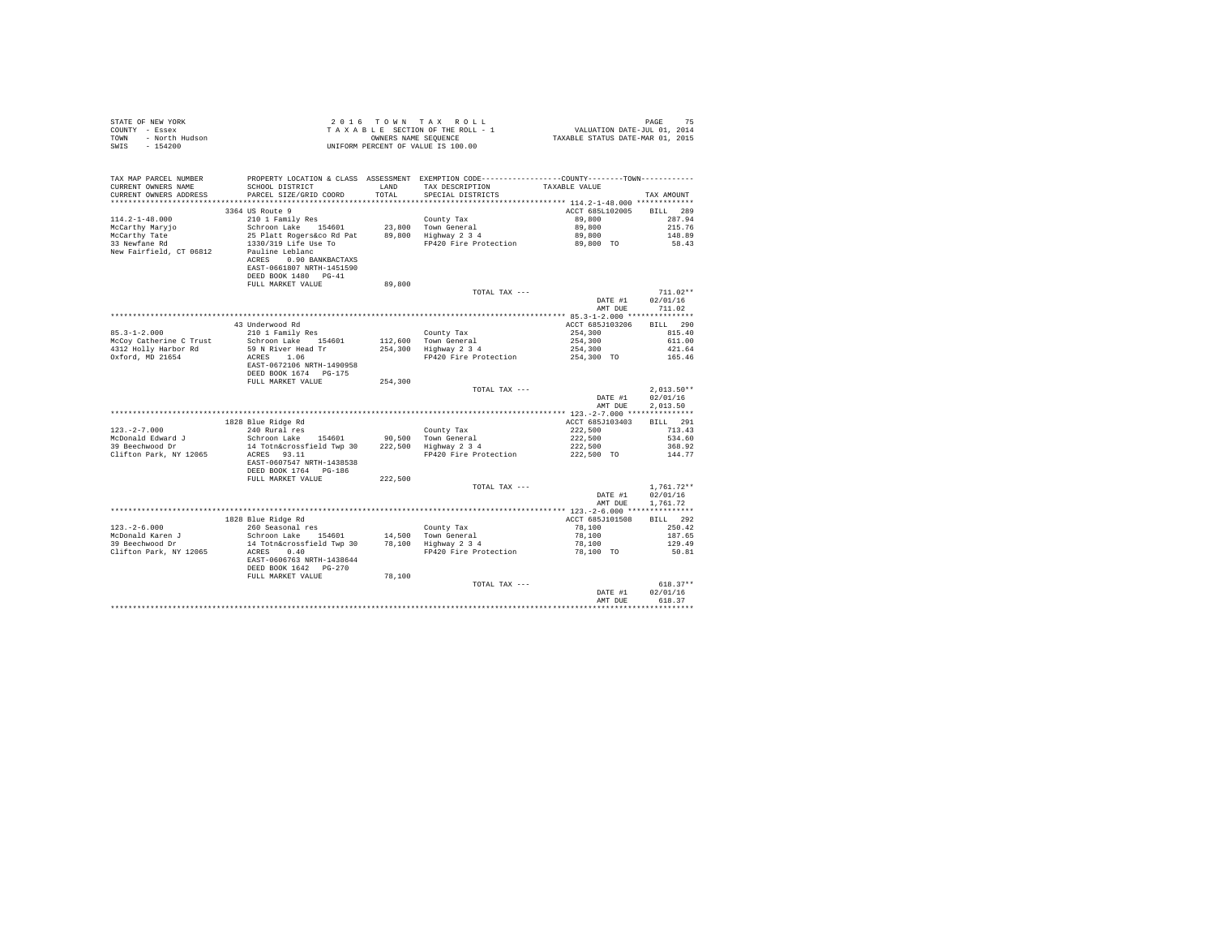| TAX MAP PARCEL NUMBER<br>CURRENT OWNERS NAME<br>CURRENT OWNERS ADDRESS | SCHOOL DISTRICT TAND TAX DESCRIPTION<br>PARCEL SIZE/GRID COORD                                                                                 | TOTAL   | PROPERTY LOCATION & CLASS ASSESSMENT EXEMPTION CODE---------------COUNTY-------TOWN---------<br>SPECIAL DISTRICTS | TAXABLE VALUE                                       | TAX AMOUNT                                       |
|------------------------------------------------------------------------|------------------------------------------------------------------------------------------------------------------------------------------------|---------|-------------------------------------------------------------------------------------------------------------------|-----------------------------------------------------|--------------------------------------------------|
|                                                                        | 3364 US Route 9                                                                                                                                |         |                                                                                                                   | ACCT 685L102005 BILL 289                            |                                                  |
| $114.2 - 1 - 48.000$                                                   |                                                                                                                                                |         |                                                                                                                   | 89,800                                              | 287.94                                           |
| McCarthy Maryjo                                                        |                                                                                                                                                |         |                                                                                                                   |                                                     | 215.76                                           |
|                                                                        | 210 1 Family Res County Tax<br>Schroon Lake 154601 23,800 Town General<br>25 Platt Rogers&co Rd Pat 89,800 Highway 234<br>1330/319 Life Hee To |         |                                                                                                                   |                                                     | 148.89                                           |
| McCarthy Tate<br>33 Newfane Rd<br>New Fairfield, CT 06812              | 1330/319 Life Use To<br>Pauline Leblanc<br>ACRES 0.90 BANKBACTAXS<br>EAST-0661807 NRTH-1451590<br>DEED BOOK 1480 PG-41                         |         | FP420 Fire Protection                                                                                             | 89,800<br>89,800<br>89,800 TO                       | 58.43                                            |
|                                                                        | FULL MARKET VALUE                                                                                                                              | 89,800  |                                                                                                                   |                                                     |                                                  |
|                                                                        |                                                                                                                                                |         | TOTAL TAX ---                                                                                                     |                                                     | $711.02**$<br>DATE #1 02/01/16<br>AMT DUE 711.02 |
|                                                                        |                                                                                                                                                |         |                                                                                                                   |                                                     |                                                  |
|                                                                        | 43 Underwood Rd<br>210 1 Family Res                                                                                                            |         |                                                                                                                   | ACCT 685J103206 BILL 290                            |                                                  |
| $85.3 - 1 - 2.000$                                                     |                                                                                                                                                |         | County Tax<br>112,600 Town General<br>254,300 Highway 2 3 4                                                       | $254,300$<br>$254,300$<br>$254,300$<br>$254,300$ TO | 815.40                                           |
|                                                                        | 85.3-1-2.000<br>McCoy Catherine C Trust Schroon Lake 154601<br>4312 Holly Harbor Rd 59 N River Head Tr                                         |         |                                                                                                                   |                                                     | 611.00                                           |
|                                                                        |                                                                                                                                                |         |                                                                                                                   |                                                     | 421.64                                           |
| Oxford, MD 21654                                                       | ACRES 1.06<br>EAST-0672106 NRTH-1490958<br>DEED BOOK 1674 PG-175                                                                               |         | FP420 Fire Protection                                                                                             |                                                     | 165.46                                           |
|                                                                        | FULL MARKET VALUE                                                                                                                              | 254,300 |                                                                                                                   |                                                     | $2.013.50**$                                     |
|                                                                        |                                                                                                                                                |         | TOTAL TAX ---                                                                                                     | DATE #1<br>AMT DUE                                  | 02/01/16<br>2.013.50                             |
|                                                                        |                                                                                                                                                |         |                                                                                                                   |                                                     |                                                  |
|                                                                        | 1828 Blue Ridge Rd                                                                                                                             |         |                                                                                                                   | ACCT 685J103403                                     | <b>BILL</b> 291                                  |
|                                                                        |                                                                                                                                                |         |                                                                                                                   |                                                     | 713.43<br>534.60                                 |
|                                                                        |                                                                                                                                                |         |                                                                                                                   | 222,500<br>222,500<br>222,500                       | 368.92                                           |
|                                                                        | DEED BOOK 1764 PG-186                                                                                                                          |         | FP420 Fire Protection 222,500 TO 144.77                                                                           |                                                     |                                                  |
|                                                                        | FULL MARKET VALUE                                                                                                                              | 222,500 |                                                                                                                   |                                                     |                                                  |
|                                                                        |                                                                                                                                                |         | TOTAL TAX ---                                                                                                     | DATE #1<br>AMT DUE                                  | $1.761.72**$<br>02/01/16<br>1,761.72             |
|                                                                        |                                                                                                                                                |         |                                                                                                                   |                                                     |                                                  |
|                                                                        | 1828 Blue Ridge Rd                                                                                                                             |         |                                                                                                                   | ACCT 685J101508                                     | BILL 292                                         |
| $123. - 2 - 6.000$                                                     | 260 Seasonal res<br>Schroon Lake 154601 14,500 Town General<br>14 Totn&crossfield Twp 30 78,100 Highway 2 3 4                                  |         |                                                                                                                   | $78,100$<br>$78,100$<br>$78,100$<br>$78,100$ TO     | 250.42                                           |
| McDonald Karen J<br>39 Beechwood Dr                                    |                                                                                                                                                |         |                                                                                                                   |                                                     | 187.65<br>129.49                                 |
| Clifton Park, NY 12065                                                 | ACRES 0.40                                                                                                                                     |         | FP420 Fire Protection                                                                                             |                                                     | 50.81                                            |
|                                                                        | EAST-0606763 NRTH-1438644<br>DEED BOOK 1642 PG-270                                                                                             |         |                                                                                                                   |                                                     |                                                  |
|                                                                        | FULL MARKET VALUE                                                                                                                              | 78,100  | TOTAL TAX ---                                                                                                     |                                                     | $618.37**$                                       |
|                                                                        |                                                                                                                                                |         |                                                                                                                   | DATE #1<br>AMT DUE                                  | 02/01/16<br>618.37                               |
|                                                                        |                                                                                                                                                |         |                                                                                                                   |                                                     |                                                  |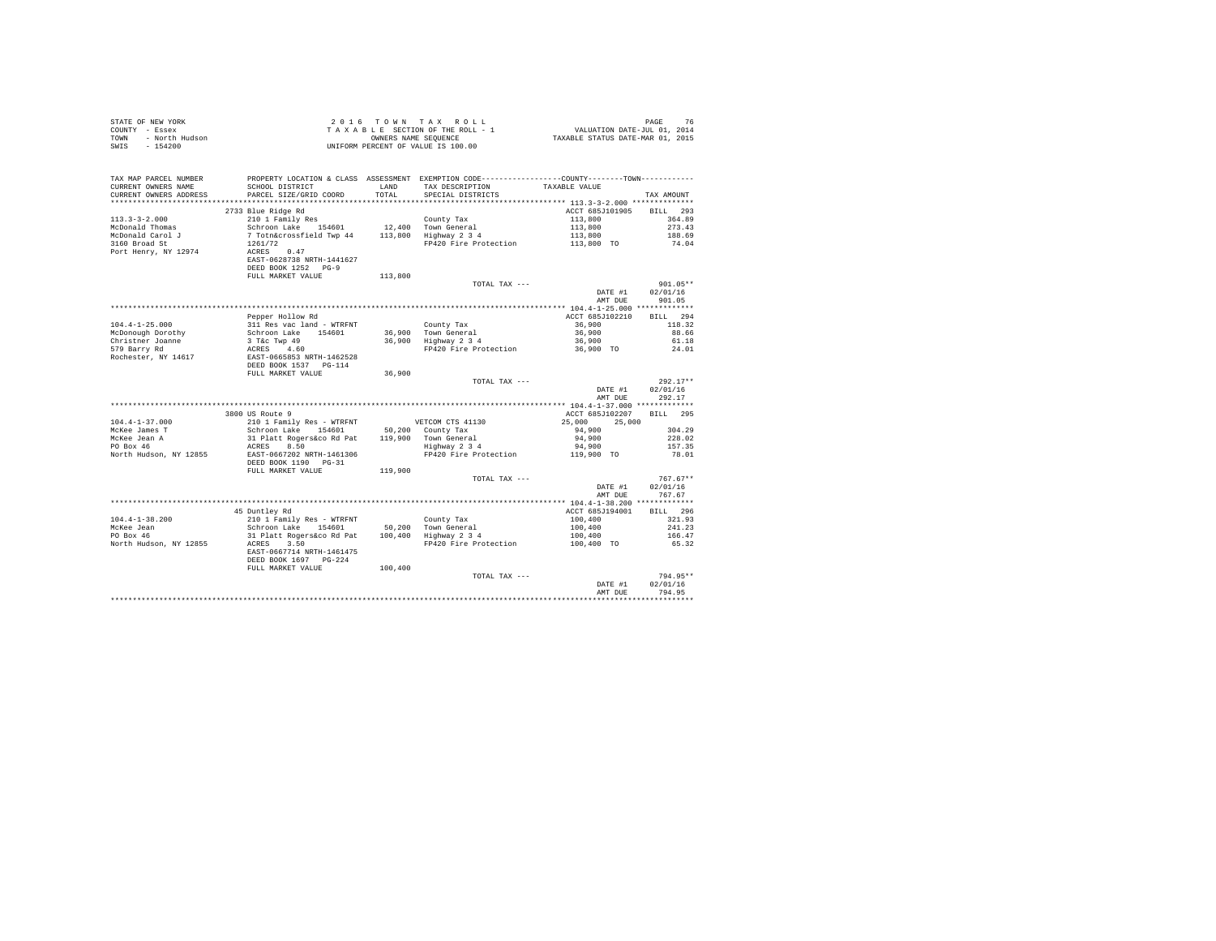|                                                                        |                                                                                                                                                                                                                                                                                                                                                                                                                                                                                                                                                                                   |         | UNIFORM PERCENT OF VALUE IS 100.00                                                                                                              |                                                     |                                  |
|------------------------------------------------------------------------|-----------------------------------------------------------------------------------------------------------------------------------------------------------------------------------------------------------------------------------------------------------------------------------------------------------------------------------------------------------------------------------------------------------------------------------------------------------------------------------------------------------------------------------------------------------------------------------|---------|-------------------------------------------------------------------------------------------------------------------------------------------------|-----------------------------------------------------|----------------------------------|
| TAX MAP PARCEL NUMBER<br>CURRENT OWNERS NAME<br>CURRENT OWNERS ADDRESS | SCHOOL DISTRICT<br>PARCEL SIZE/GRID COORD                                                                                                                                                                                                                                                                                                                                                                                                                                                                                                                                         |         | PROPERTY LOCATION & CLASS ASSESSMENT EXEMPTION CODE---------------COUNTY-------TOWN---------<br>LAND TAX DESCRIPTION<br>TOTAL SPECIAL DISTRICTS | TAXABLE VALUE                                       | TAX AMOUNT                       |
|                                                                        |                                                                                                                                                                                                                                                                                                                                                                                                                                                                                                                                                                                   |         |                                                                                                                                                 |                                                     |                                  |
| $113.3 - 3 - 2.000$                                                    | 2733 Blue Ridge Rd                                                                                                                                                                                                                                                                                                                                                                                                                                                                                                                                                                |         |                                                                                                                                                 | ACCT 685J101905 BILL 293<br>113,800                 | 364.89                           |
| McDonald Thomas                                                        |                                                                                                                                                                                                                                                                                                                                                                                                                                                                                                                                                                                   |         |                                                                                                                                                 |                                                     | 273.43                           |
| McDonald Carol J                                                       |                                                                                                                                                                                                                                                                                                                                                                                                                                                                                                                                                                                   |         | Town General 113,800<br>Highway 2 3 4 113,800<br>FP420 Fire Protection 113,800 TO                                                               |                                                     | 188.69                           |
| 3160 Broad St                                                          |                                                                                                                                                                                                                                                                                                                                                                                                                                                                                                                                                                                   |         |                                                                                                                                                 |                                                     | 74.04                            |
| Port Henry, NY 12974                                                   | $\begin{tabular}{lllllllllll} $\mathcal{L}_{\bot}\mathbf{v}~\bot~\mathbf{r}\text{ am} \bot\mathbf{y}$\quad &\multicolumn{3}{c}{\tt Contny~Tax}$ &\multicolumn{3}{c}{\tt Contny~Tax}$ &\multicolumn{3}{c}{\tt Schroon~Lake}$ &\multicolumn{3}{c}{\tt Somtyn~Totra} \\\hline $\mathcal{T}${} \begin{tabular}{l} $\mathcal{T}${} \begin{tabular}{l} $\mathcal{T}${} \begin{tabular}{l} $\mathcal{T}${} \begin{tabular}{l} $\mathcal{T}${} \end{tabular} & $\mathcal{T}${} \begin{tabular}{l} $\mathcal{T}$$<br>EAST-0628738 NRTH-1441627<br>DEED BOOK 1252 PG-9<br>FULL MARKET VALUE | 113,800 |                                                                                                                                                 |                                                     |                                  |
|                                                                        |                                                                                                                                                                                                                                                                                                                                                                                                                                                                                                                                                                                   |         | TOTAL TAX ---                                                                                                                                   |                                                     | $901.05**$                       |
|                                                                        |                                                                                                                                                                                                                                                                                                                                                                                                                                                                                                                                                                                   |         |                                                                                                                                                 | DATE #1<br>AMT DUE                                  | 02/01/16<br>901.05               |
|                                                                        |                                                                                                                                                                                                                                                                                                                                                                                                                                                                                                                                                                                   |         |                                                                                                                                                 |                                                     |                                  |
|                                                                        | Pepper Hollow Rd                                                                                                                                                                                                                                                                                                                                                                                                                                                                                                                                                                  |         |                                                                                                                                                 | ACCT 685J102210                                     | BILL 294                         |
| $104.4 - 1 - 25.000$                                                   |                                                                                                                                                                                                                                                                                                                                                                                                                                                                                                                                                                                   |         | County Tax<br>36,900 Town General<br>36,900 Highway 2 3 4<br>FP420 Fire Protection                                                              | 36,900                                              | 118.32                           |
| McDonough Dorothy                                                      |                                                                                                                                                                                                                                                                                                                                                                                                                                                                                                                                                                                   |         |                                                                                                                                                 | 36,900                                              | 88.66                            |
| Christner Joanne<br>579 Barry Rd                                       |                                                                                                                                                                                                                                                                                                                                                                                                                                                                                                                                                                                   |         |                                                                                                                                                 | 36,900<br>36,900 TO                                 | 61.18<br>24.01                   |
| Rochester, NY 14617                                                    | Peper norious Add - WTRFNT<br>Schroon Lake<br>3 T&C Twp 49<br>ACRES 4.60<br>ACRES 4.60<br>REST-0665853 NRTH-1462528<br>DEED BOOK 1537 PG-114                                                                                                                                                                                                                                                                                                                                                                                                                                      |         |                                                                                                                                                 |                                                     |                                  |
|                                                                        | FULL MARKET VALUE                                                                                                                                                                                                                                                                                                                                                                                                                                                                                                                                                                 | 36,900  |                                                                                                                                                 |                                                     |                                  |
|                                                                        |                                                                                                                                                                                                                                                                                                                                                                                                                                                                                                                                                                                   |         | TOTAL TAX ---                                                                                                                                   | DATE #1<br>AMT DUE                                  | $292.17**$<br>02/01/16<br>292.17 |
|                                                                        |                                                                                                                                                                                                                                                                                                                                                                                                                                                                                                                                                                                   |         |                                                                                                                                                 |                                                     |                                  |
|                                                                        | 3800 US Route 9                                                                                                                                                                                                                                                                                                                                                                                                                                                                                                                                                                   |         |                                                                                                                                                 | ACCT 685J102207                                     | BILL 295                         |
| $104.4 - 1 - 37.000$                                                   | 210 1 Family Res - WTRFNT<br>US CONCALLY PASS - WIRFNT<br>Schroon Lake 154601 50,200 County Tax<br>31 Platt Rogers 60 Rat 119,900 Town General<br>ACRES 8.50 CONSERS 34                                                                                                                                                                                                                                                                                                                                                                                                           |         |                                                                                                                                                 | 25,000 25,000                                       |                                  |
| McKee James T                                                          |                                                                                                                                                                                                                                                                                                                                                                                                                                                                                                                                                                                   |         |                                                                                                                                                 | 94,900                                              | 304.29                           |
| McKee Jean A<br>PO Box 46                                              |                                                                                                                                                                                                                                                                                                                                                                                                                                                                                                                                                                                   |         |                                                                                                                                                 | 94,900                                              | 228.02                           |
|                                                                        |                                                                                                                                                                                                                                                                                                                                                                                                                                                                                                                                                                                   |         |                                                                                                                                                 | 94,900                                              | 157.35                           |
| North Hudson, NY 12855                                                 | EAST-0667202 NRTH-1461306<br>DEED BOOK 1190 PG-31                                                                                                                                                                                                                                                                                                                                                                                                                                                                                                                                 |         | FP420 Fire Protection                                                                                                                           | 119,900 TO                                          | 78.01                            |
|                                                                        | FULL MARKET VALUE                                                                                                                                                                                                                                                                                                                                                                                                                                                                                                                                                                 | 119,900 | TOTAL TAX ---                                                                                                                                   |                                                     | $767.67**$                       |
|                                                                        |                                                                                                                                                                                                                                                                                                                                                                                                                                                                                                                                                                                   |         |                                                                                                                                                 | DATE #1<br>AMT DUE                                  | 02/01/16<br>767.67               |
|                                                                        |                                                                                                                                                                                                                                                                                                                                                                                                                                                                                                                                                                                   |         |                                                                                                                                                 |                                                     |                                  |
|                                                                        | 45 Duntley Rd                                                                                                                                                                                                                                                                                                                                                                                                                                                                                                                                                                     |         |                                                                                                                                                 | ACCT 685J194001                                     | BILL 296                         |
| $104.4 - 1 - 38.200$                                                   | 2001 Family Res - WTRFNT County Tax<br>Schroon Lake 154601 50,200 Town General<br>31 Platt Rogers 40 Rat 100,400 Highway 2 3 4<br>210 1 Family Res - WTRFNT                                                                                                                                                                                                                                                                                                                                                                                                                       |         |                                                                                                                                                 | $100,400$<br>$100,400$<br>$100,400$<br>$100,400$ TO | 321.93                           |
| McKee Jean<br>PO Box 46                                                |                                                                                                                                                                                                                                                                                                                                                                                                                                                                                                                                                                                   |         |                                                                                                                                                 |                                                     | 241.23                           |
|                                                                        |                                                                                                                                                                                                                                                                                                                                                                                                                                                                                                                                                                                   |         |                                                                                                                                                 |                                                     | 166.47                           |
| North Hudson, NY 12855                                                 | ACRES 3.50<br>EAST-0667714 NRTH-1461475<br>DEED BOOK 1697 PG-224                                                                                                                                                                                                                                                                                                                                                                                                                                                                                                                  |         | FP420 Fire Protection                                                                                                                           |                                                     | 65.32                            |
|                                                                        | FULL MARKET VALUE                                                                                                                                                                                                                                                                                                                                                                                                                                                                                                                                                                 | 100,400 |                                                                                                                                                 |                                                     |                                  |
|                                                                        |                                                                                                                                                                                                                                                                                                                                                                                                                                                                                                                                                                                   |         | TOTAL TAX ---                                                                                                                                   |                                                     | 794.95**                         |
|                                                                        |                                                                                                                                                                                                                                                                                                                                                                                                                                                                                                                                                                                   |         |                                                                                                                                                 | DATE #1                                             | 02/01/16                         |
|                                                                        |                                                                                                                                                                                                                                                                                                                                                                                                                                                                                                                                                                                   |         |                                                                                                                                                 | AMT DHE                                             | 794.95                           |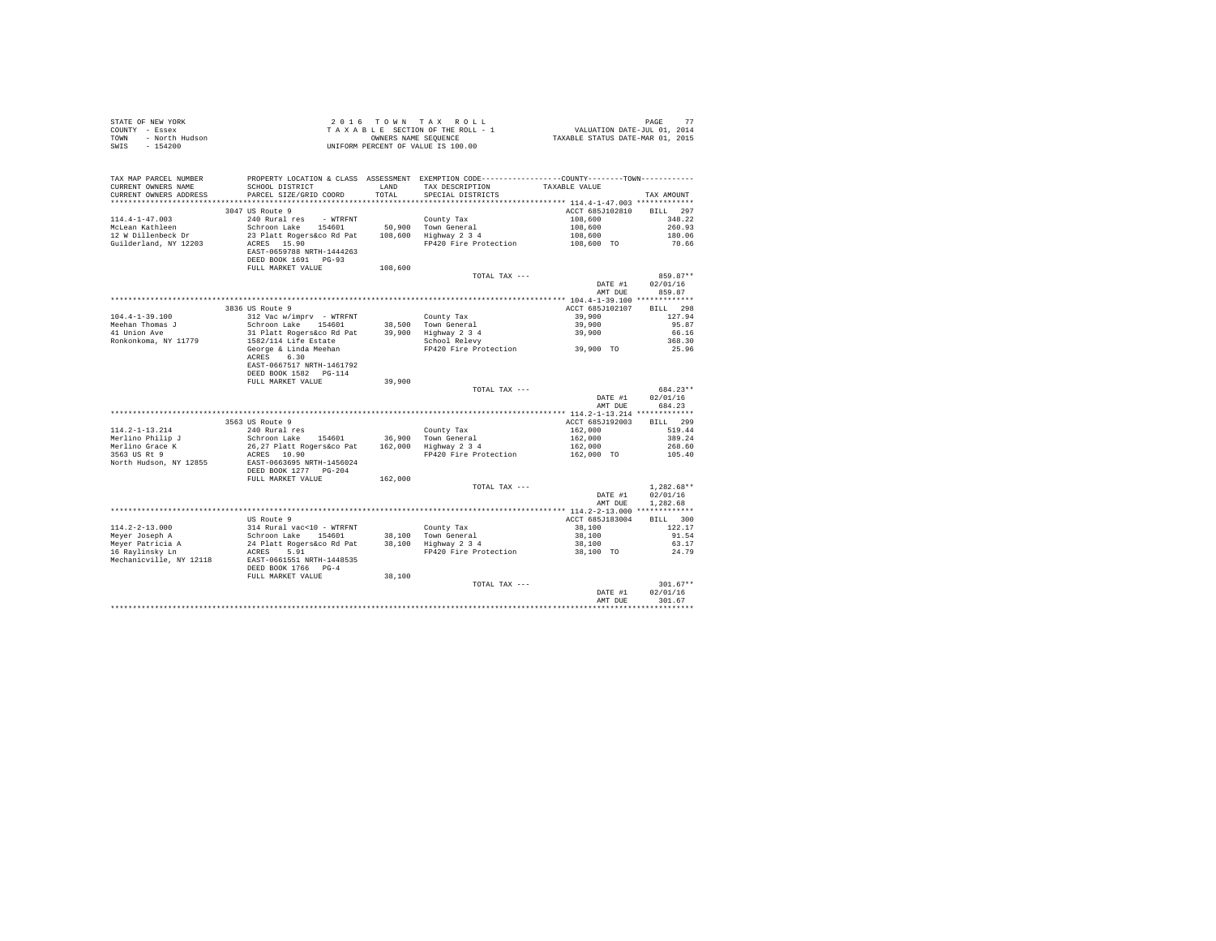| COUNTY - Essex<br>- North Hudson<br>TOWN<br>SWTS<br>$-154200$ | T A X A B L E SECTION OF THE ROLL - 1<br>UNIFORM PONNERS NAME SEQUENCE<br>UNIFORM PERCENT OF VALUE IS 100.00                                                                                                                                                                                                                                                              |         | T A X A B L E SECTION OF THE ROLL - 1 VALUATION DATE-JUL 01, 2014<br>OWNERS NAME SEQUENCE TAXABLE STATUS DATE-MAR 01, 2015                                                               |                          |                  |
|---------------------------------------------------------------|---------------------------------------------------------------------------------------------------------------------------------------------------------------------------------------------------------------------------------------------------------------------------------------------------------------------------------------------------------------------------|---------|------------------------------------------------------------------------------------------------------------------------------------------------------------------------------------------|--------------------------|------------------|
| TAX MAP PARCEL NUMBER                                         | PROPERTY LOCATION & CLASS ASSESSMENT EXEMPTION CODE---------------COUNTY-------TOWN----------                                                                                                                                                                                                                                                                             |         |                                                                                                                                                                                          |                          |                  |
| CURRENT OWNERS NAME                                           |                                                                                                                                                                                                                                                                                                                                                                           |         |                                                                                                                                                                                          | TAXABLE VALUE            |                  |
| CURRENT OWNERS ADDRESS                                        | PARCEL SIZE/GRID COORD                                                                                                                                                                                                                                                                                                                                                    |         |                                                                                                                                                                                          |                          | TAX AMOUNT       |
|                                                               |                                                                                                                                                                                                                                                                                                                                                                           |         |                                                                                                                                                                                          |                          |                  |
|                                                               | 3047 US Route 9                                                                                                                                                                                                                                                                                                                                                           |         |                                                                                                                                                                                          | ACCT 685J102810 BILL 297 |                  |
| $114.4 - 1 - 47.003$                                          |                                                                                                                                                                                                                                                                                                                                                                           |         |                                                                                                                                                                                          |                          |                  |
| McLean Kathleen                                               | 240 Rural res - WTRFNT County Tax<br>Schroon Lake 154601 50,900 Town General<br>23 Platt Rogers&co Rd Pat 108,600 Highway 2 3 4                                                                                                                                                                                                                                           |         |                                                                                                                                                                                          |                          |                  |
| 12 W Dillenbeck Dr                                            |                                                                                                                                                                                                                                                                                                                                                                           |         | County Tax<br>County Tax<br>50,900 Town General<br>108,600 108,600 260.93<br>108,600 189,000 189,000 19420 Fire Protection<br>108,600 108,600 108,600 180.06<br>20.66 108,600 108,600 10 |                          |                  |
| Guilderland, NY 12203                                         | ACRES 15.90<br>EAST-0659788 NRTH-1444263                                                                                                                                                                                                                                                                                                                                  |         |                                                                                                                                                                                          |                          |                  |
|                                                               | DEED BOOK 1691 PG-93                                                                                                                                                                                                                                                                                                                                                      |         |                                                                                                                                                                                          |                          |                  |
|                                                               | FULL MARKET VALUE                                                                                                                                                                                                                                                                                                                                                         | 108,600 |                                                                                                                                                                                          |                          |                  |
|                                                               |                                                                                                                                                                                                                                                                                                                                                                           |         | TOTAL TAX ---                                                                                                                                                                            |                          | 859.87**         |
|                                                               |                                                                                                                                                                                                                                                                                                                                                                           |         |                                                                                                                                                                                          | DATE #1                  | 02/01/16         |
|                                                               |                                                                                                                                                                                                                                                                                                                                                                           |         |                                                                                                                                                                                          | AMT DUE                  | 859.87           |
|                                                               |                                                                                                                                                                                                                                                                                                                                                                           |         |                                                                                                                                                                                          |                          |                  |
|                                                               | 3836 US Route 9                                                                                                                                                                                                                                                                                                                                                           |         |                                                                                                                                                                                          | ACCT 685J102107 BILL 298 |                  |
| $104.4 - 1 - 39.100$                                          | 312 Vac w/imprv - WTRFNT                                                                                                                                                                                                                                                                                                                                                  |         |                                                                                                                                                                                          |                          | 127.94           |
| Meehan Thomas J<br>41 Union Ave                               |                                                                                                                                                                                                                                                                                                                                                                           |         |                                                                                                                                                                                          |                          | 95.87            |
|                                                               | 31 Platt Rogers&co Rd Pat<br>1582/114 Life Estate                                                                                                                                                                                                                                                                                                                         |         |                                                                                                                                                                                          |                          | 66.16            |
| Ronkonkoma, NY 11779                                          |                                                                                                                                                                                                                                                                                                                                                                           |         |                                                                                                                                                                                          |                          | 368.30           |
|                                                               | 312 Vac w/imprv - WTRFNT<br>Schroon Lake 154601 188,500 Town General 39,900<br>31 Plant Rogers&co Rd Pat 39,900 Highway 2 3 4<br>31 Plant Rogers&co Rd Pat 39,900 Highway 2 3 4<br>39,900<br>George & Linda Meehan FP420 Fire Protectio<br>ACRES 6.30                                                                                                                     |         |                                                                                                                                                                                          |                          | 25.96            |
|                                                               | EAST-0667517 NRTH-1461792                                                                                                                                                                                                                                                                                                                                                 |         |                                                                                                                                                                                          |                          |                  |
|                                                               | DEED BOOK 1582 PG-114                                                                                                                                                                                                                                                                                                                                                     |         |                                                                                                                                                                                          |                          |                  |
|                                                               | FULL MARKET VALUE                                                                                                                                                                                                                                                                                                                                                         | 39,900  |                                                                                                                                                                                          |                          |                  |
|                                                               |                                                                                                                                                                                                                                                                                                                                                                           |         | TOTAL TAX ---                                                                                                                                                                            |                          | 684.23**         |
|                                                               |                                                                                                                                                                                                                                                                                                                                                                           |         |                                                                                                                                                                                          |                          | DATE #1 02/01/16 |
|                                                               |                                                                                                                                                                                                                                                                                                                                                                           |         |                                                                                                                                                                                          | AMT DUE                  | 684.23           |
|                                                               |                                                                                                                                                                                                                                                                                                                                                                           |         |                                                                                                                                                                                          |                          |                  |
|                                                               | $[14.2-1-13.214 \t\t 3563 US Route 9 \t\t 240 Nur1~2855 US Route 9 \t\t 2563 US Route 9 \t\t 2653 US Route 9 \t\t 277 PL15 \t\t 2825 27 PL1 Rogenical tree \t\t 2953 US Rate 154601 \t\t 200 Nrom General \t\t 2000 Hignway 2 3 4 \t\t 2563 US Rate 2625 NL27 PL1456024 \t\t 27420 Price Protection \t\t 2853 US Rate 3 \t\t 2853 US Rate 3 \t\t 2853 US Rate 3 \t\t 285$ |         |                                                                                                                                                                                          | ACCT 685J192003          | BILL 299         |
|                                                               |                                                                                                                                                                                                                                                                                                                                                                           |         |                                                                                                                                                                                          |                          | 519.44           |
|                                                               |                                                                                                                                                                                                                                                                                                                                                                           |         |                                                                                                                                                                                          |                          | 389.24           |
|                                                               |                                                                                                                                                                                                                                                                                                                                                                           |         |                                                                                                                                                                                          |                          | 268.60           |
|                                                               |                                                                                                                                                                                                                                                                                                                                                                           |         | County Tax<br>162,000<br>162,000 Town General<br>162,000<br>162,000<br>PP420 Fire Protection<br>162,000 TO<br>162,000 TO                                                                 |                          | 105.40           |
|                                                               |                                                                                                                                                                                                                                                                                                                                                                           |         |                                                                                                                                                                                          |                          |                  |
|                                                               | FULL MARKET VALUE                                                                                                                                                                                                                                                                                                                                                         | 162,000 |                                                                                                                                                                                          |                          |                  |
|                                                               |                                                                                                                                                                                                                                                                                                                                                                           |         | TOTAL TAX ---                                                                                                                                                                            |                          | $1,282.68**$     |
|                                                               |                                                                                                                                                                                                                                                                                                                                                                           |         |                                                                                                                                                                                          | DATE #1                  | 02/01/16         |
|                                                               |                                                                                                                                                                                                                                                                                                                                                                           |         |                                                                                                                                                                                          | AMT DUE                  | 1,282.68         |
|                                                               |                                                                                                                                                                                                                                                                                                                                                                           |         |                                                                                                                                                                                          |                          |                  |
|                                                               | US Route 9                                                                                                                                                                                                                                                                                                                                                                |         |                                                                                                                                                                                          | ACCT 685J183004          | BILL 300         |
|                                                               |                                                                                                                                                                                                                                                                                                                                                                           |         |                                                                                                                                                                                          |                          | 122.17           |
|                                                               |                                                                                                                                                                                                                                                                                                                                                                           |         |                                                                                                                                                                                          |                          | 91.54            |
|                                                               |                                                                                                                                                                                                                                                                                                                                                                           |         |                                                                                                                                                                                          |                          | 63.17            |
|                                                               |                                                                                                                                                                                                                                                                                                                                                                           |         |                                                                                                                                                                                          |                          | 24.79            |
|                                                               |                                                                                                                                                                                                                                                                                                                                                                           |         |                                                                                                                                                                                          |                          |                  |
|                                                               | DEED BOOK 1766 PG-4                                                                                                                                                                                                                                                                                                                                                       |         |                                                                                                                                                                                          |                          |                  |
|                                                               | FULL MARKET VALUE 38,100                                                                                                                                                                                                                                                                                                                                                  |         | TOTAL TAX ---                                                                                                                                                                            |                          | $301.67**$       |
|                                                               |                                                                                                                                                                                                                                                                                                                                                                           |         |                                                                                                                                                                                          | DATE #1                  | 02/01/16         |
|                                                               |                                                                                                                                                                                                                                                                                                                                                                           |         |                                                                                                                                                                                          | AMT DUE                  | 301.67           |
|                                                               |                                                                                                                                                                                                                                                                                                                                                                           |         |                                                                                                                                                                                          |                          |                  |

STATE OF NEW YORK  $2016$  TOWN TAX ROLL PAGE 77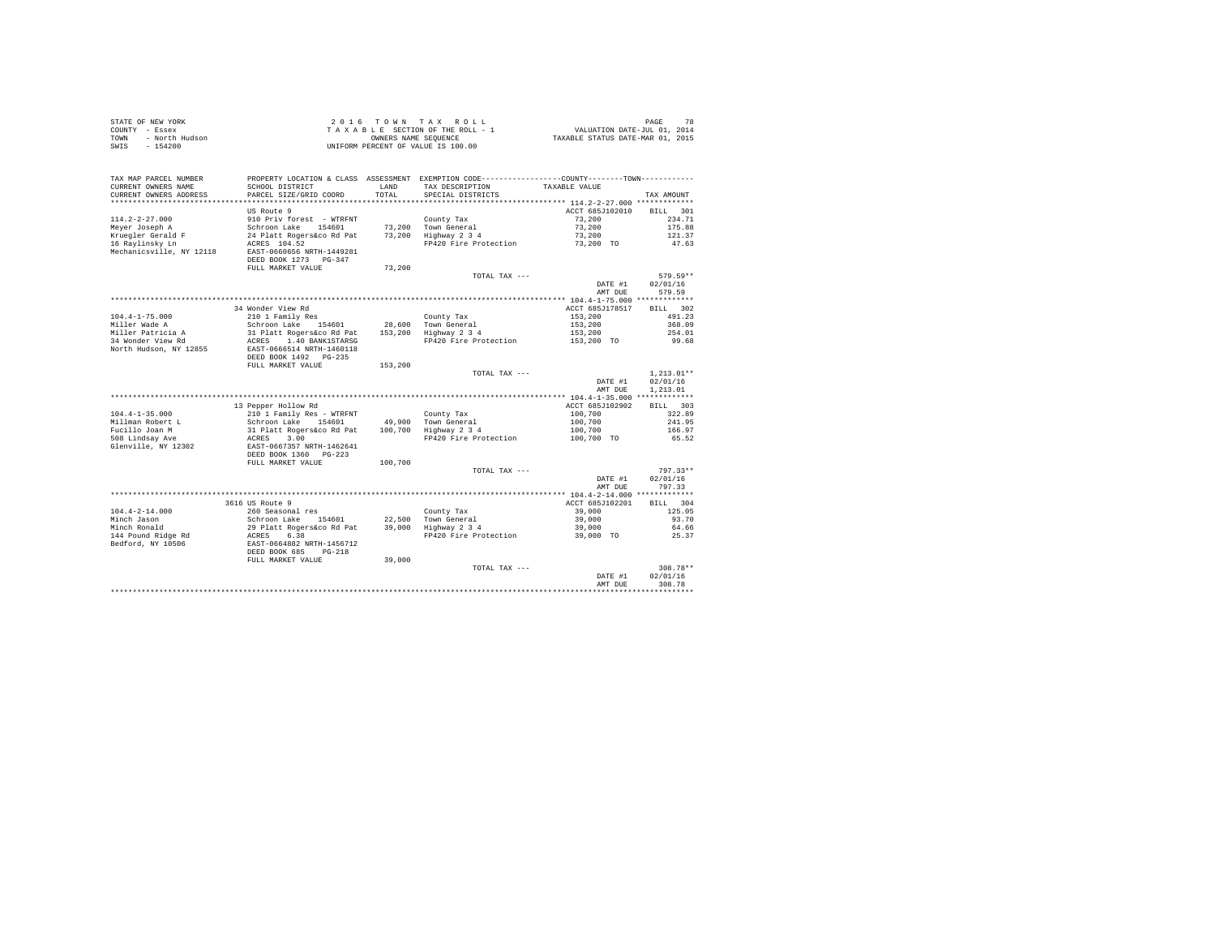| STATE OF NEW YORK |                | 2016 TOWN TAX ROLL                 |                      |  |  |                                  | PAGE                        | 78 |
|-------------------|----------------|------------------------------------|----------------------|--|--|----------------------------------|-----------------------------|----|
| COUNTY - Essex    |                | TAXABLE SECTION OF THE ROLL - 1    |                      |  |  |                                  | VALUATION DATE-JUL 01, 2014 |    |
| TOWN              | - North Hudson |                                    | OWNERS NAME SEOUENCE |  |  | TAXABLE STATUS DATE-MAR 01, 2015 |                             |    |
| SWIS              | - 154200       | UNIFORM PERCENT OF VALUE IS 100.00 |                      |  |  |                                  |                             |    |

| TAX MAP PARCEL NUMBER<br>CURRENT OWNERS NAME<br>CURRENT OWNERS ADDRESS         | PROPERTY LOCATION & CLASS ASSESSMENT EXEMPTION CODE---------------COUNTY-------TOWN----------<br>SCHOOL DISTRICT<br>PARCEL SIZE/GRID COORD | <b>T.AND</b><br>TOTAL | TAX DESCRIPTION<br>SPECIAL DISTRICTS                                 | TAXABLE VALUE                           | TAX AMOUNT                          |
|--------------------------------------------------------------------------------|--------------------------------------------------------------------------------------------------------------------------------------------|-----------------------|----------------------------------------------------------------------|-----------------------------------------|-------------------------------------|
|                                                                                | US Route 9                                                                                                                                 |                       | ************************************** 114.2-2-27.000 *************  | ACCT 685J102010                         | 301<br><b>BILL</b>                  |
| $114.2 - 2 - 27.000$<br>Meyer Joseph A<br>Kruegler Gerald F<br>16 Ravlinsky Ln | 910 Priv forest - WTRFNT<br>Schroon Lake<br>154601<br>24 Platt Rogers&co Rd Pat<br>ACRES 104.52                                            | 73,200<br>73,200      | County Tax<br>Town General<br>Highway 2 3 4<br>FP420 Fire Protection | 73,200<br>73,200<br>73,200<br>73,200 TO | 234.71<br>175.88<br>121.37<br>47.63 |
| Mechanicsville, NY 12118                                                       | EAST-0660656 NRTH-1449281<br>DEED BOOK 1273 PG-347<br>FULL MARKET VALUE                                                                    | 73,200                |                                                                      |                                         |                                     |
|                                                                                |                                                                                                                                            |                       | TOTAL TAX ---                                                        | DATE #1<br>AMT DUE                      | 579.59**<br>02/01/16<br>579.59      |
|                                                                                |                                                                                                                                            |                       |                                                                      |                                         |                                     |
| $104.4 - 1 - 75.000$                                                           | 34 Wonder View Rd<br>210 1 Family Res                                                                                                      |                       |                                                                      | ACCT 685J178517<br>153,200              | BTLL.<br>302<br>491.23              |
| Miller Wade A                                                                  | Schroon Lake<br>154601                                                                                                                     |                       | County Tax<br>28,600 Town General                                    | 153,200                                 | 368.09                              |
| Miller Patricia A                                                              | 31 Platt Rogers&co Rd Pat                                                                                                                  | 153,200               | Highway 2 3 4                                                        | 153,200                                 | 254.01                              |
| 34 Wonder View Rd<br>North Hudson, NY 12855                                    | ACRES<br>1.40 BANK1STARSG<br>EAST-0666514 NRTH-1460118<br>DEED BOOK 1492 PG-235                                                            |                       | FP420 Fire Protection                                                | 153,200 TO                              | 99.68                               |
|                                                                                | FULL MARKET VALUE                                                                                                                          | 153,200               |                                                                      |                                         |                                     |
|                                                                                |                                                                                                                                            |                       | TOTAL TAX ---                                                        |                                         | $1,213.01**$                        |
|                                                                                |                                                                                                                                            |                       |                                                                      | DATE #1                                 | 02/01/16                            |
|                                                                                |                                                                                                                                            |                       |                                                                      | AMT DUE                                 | 1,213.01                            |
|                                                                                |                                                                                                                                            |                       |                                                                      |                                         |                                     |
|                                                                                | 13 Pepper Hollow Rd                                                                                                                        |                       |                                                                      | ACCT 685J102902                         | BILL 303                            |
| $104.4 - 1 - 35.000$                                                           | 210 1 Family Res - WTRFNT                                                                                                                  |                       | County Tax                                                           | 100,700                                 | 322.89                              |
| Millman Robert L                                                               | Schroon Lake<br>154601                                                                                                                     | 49,900                | Town General                                                         | 100,700                                 | 241.95                              |
| Fucillo Joan M<br>508 Lindsay Ave                                              | 31 Platt Rogers&co Rd Pat<br>3.00<br>ACRES                                                                                                 | 100,700               | Highway 2 3 4<br>FP420 Fire Protection                               | 100,700<br>100,700 TO                   | 166.97<br>65.52                     |
| Glenville, NY 12302                                                            | EAST-0667357 NRTH-1462641<br>DEED BOOK 1360<br>$PG-223$                                                                                    |                       |                                                                      |                                         |                                     |
|                                                                                | FULL MARKET VALUE                                                                                                                          | 100,700               |                                                                      |                                         |                                     |
|                                                                                |                                                                                                                                            |                       | TOTAL TAX ---                                                        | DATE #1<br>AMT DUE                      | $797.33**$<br>02/01/16<br>797.33    |
|                                                                                |                                                                                                                                            |                       |                                                                      |                                         |                                     |
|                                                                                | 3616 US Route 9                                                                                                                            |                       |                                                                      | ACCT 685J102201                         | BTLL.<br>304                        |
| $104.4 - 2 - 14.000$                                                           | 260 Seasonal res                                                                                                                           |                       | County Tax                                                           | 39,000                                  | 125.05                              |
| Minch Jason                                                                    | Schroon Lake<br>154601                                                                                                                     | 22,500                | Town General                                                         | 39,000                                  | 93.70                               |
| Minch Ronald                                                                   | 29 Platt Rogers&co Rd Pat<br>6.38                                                                                                          | 39,000                | Highway 2 3 4<br>FP420 Fire Protection                               | 39,000                                  | 64.66                               |
| 144 Pound Ridge Rd<br>Bedford, NY 10506                                        | ACRES<br>EAST-0664882 NRTH-1456712<br>DEED BOOK 685<br>$PG-218$                                                                            |                       |                                                                      | 39,000 TO                               | 25.37                               |
|                                                                                | FULL MARKET VALUE                                                                                                                          | 39,000                |                                                                      |                                         |                                     |
|                                                                                |                                                                                                                                            |                       | TOTAL TAX ---                                                        | DATE #1<br>AMT DUE                      | $308.78**$<br>02/01/16<br>308.78    |
|                                                                                |                                                                                                                                            |                       |                                                                      |                                         |                                     |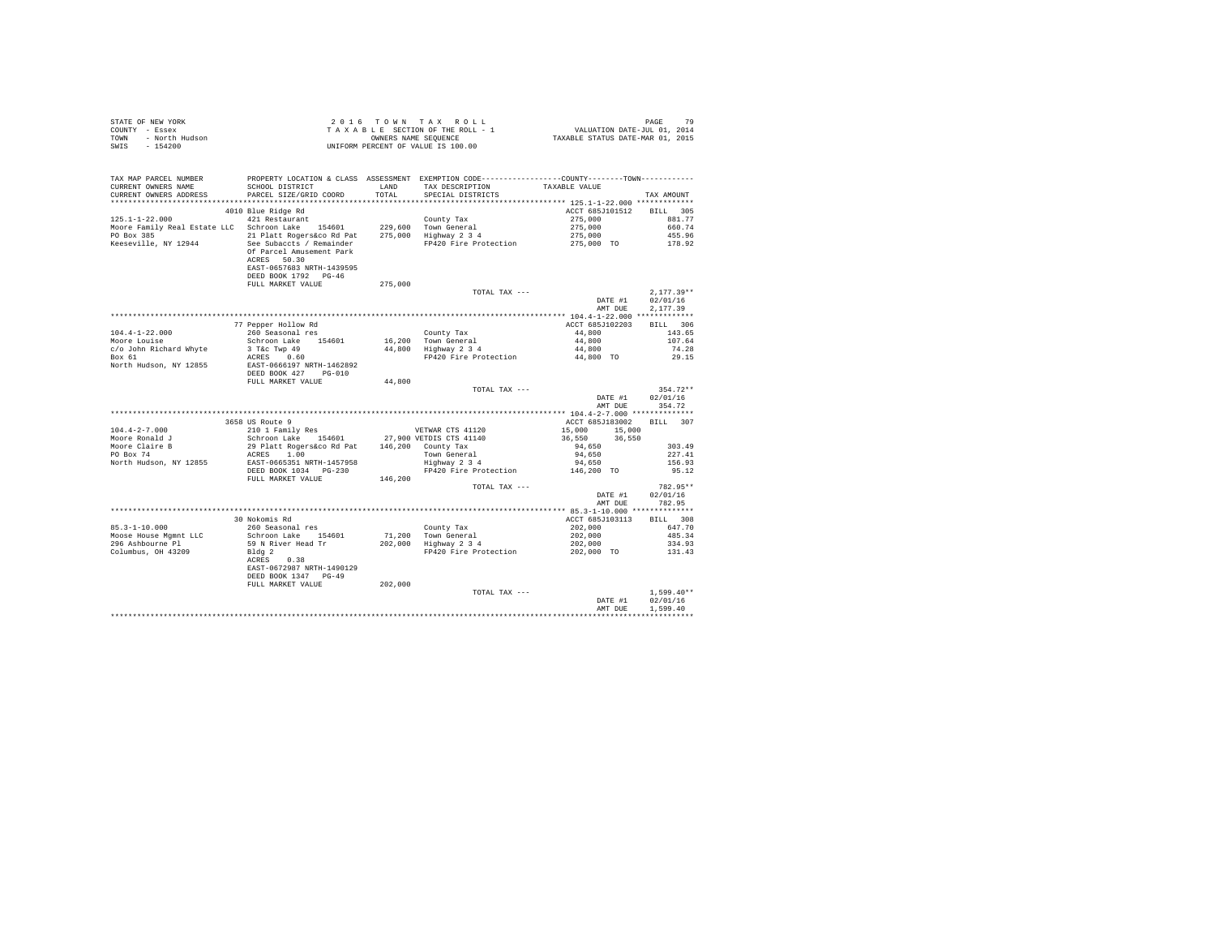| STATE OF NEW YORK      | 2016 TOWN TAX ROLL                 | PAGE                             |
|------------------------|------------------------------------|----------------------------------|
| COUNTY - Essex         | TAXABLE SECTION OF THE ROLL - 1    | VALUATION DATE-JUL 01, 2014      |
| TOWN<br>- North Hudson | OWNERS NAME SEOUENCE               | TAXABLE STATUS DATE-MAR 01, 2015 |
| - 154200<br>SWIS       | UNIFORM PERCENT OF VALUE IS 100.00 |                                  |

| <br>ACCT 685J101512<br>4010 Blue Ridge Rd<br>BILL 305<br>$125.1 - 1 - 22.000$<br>421 Restaurant<br>County Tax<br>275,000<br>881.77<br>275,000<br>275,000<br>Moore Family Real Estate LLC Schroon Lake 154601<br>229,600 Town General<br>275,000 Highway 2 3 4<br>660.74<br>PO Box 385<br>21 Platt Rogers&co Rd Pat<br>455.96<br>Keeseville, NY 12944<br>See Subaccts / Remainder<br>FP420 Fire Protection<br>275,000 TO<br>178.92<br>Of Parcel Amusement Park<br>ACRES 50.30<br>EAST-0657683 NRTH-1439595<br>DEED BOOK 1792 PG-46<br>FULL MARKET VALUE<br>275,000<br>$2,177.39**$<br>TOTAL TAX ---<br>DATE #1<br>02/01/16<br>2.177.39<br>AMT DUE<br>77 Pepper Hollow Rd<br>ACCT 685J102203<br>BILL 306<br>$104.4 - 1 - 22.000$<br>260 Seasonal res<br>44,800<br>County Tax<br>143.65<br>16,200 Town General<br>44,800 Highway 2 3 4<br>Moore Louise<br>Schroon Lake 154601<br>16,200<br>44,800<br>44,800<br>107.64<br>c/o John Richard Whyte<br>3 T&C Twp 49<br>74.28<br>44,800 TO<br>Box 61<br>FP420 Fire Protection<br>ACRES 0.60<br>29.15<br>North Hudson, NY 12855<br>EAST-0666197 NRTH-1462892<br>DEED BOOK 427 PG-010<br>FULL MARKET VALUE<br>44,800<br>$354.72**$<br>TOTAL TAX ---<br>DATE #1<br>02/01/16<br>354.72<br>AMT DUE<br>3658 US Route 9<br>ACCT 685J183002<br>BTLL 307<br>210 1 Family Res<br>$104.4 - 2 - 7.000$<br>VETWAR CTS 41120<br>15,000 15,000<br>Schroon Lake 154601 27,900 VETDIS CTS 41140<br>36,550<br>Moore Ronald J<br>36,550<br>Moore Claire B<br>29 Platt Rogers&co Rd Pat 146,200 County Tax<br>303.49<br>94,650<br>ACRES 1.00<br>PO Box 74<br>Town General<br>Highway 2 3 4<br>94,650<br>227.41<br>EAST-0665351 NRTH-1457958<br>94,650<br>North Hudson, NY 12855<br>156.93<br>DEED BOOK 1034 PG-230<br>FP420 Fire Protection<br>146,200 TO<br>95.12<br>FULL MARKET VALUE<br>146,200<br>782.95**<br>TOTAL TAX ---<br>02/01/16<br>DATE #1<br>782.95<br>AMT DUE<br>BILL 308<br>30 Nokomis Rd<br>ACCT 685J103113<br>$85.3 - 1 - 10.000$<br>260 Seasonal res<br>647.70<br>202,000<br>202,000<br>County Tax<br>Moose House Mqmnt LLC<br>Schroon Lake 154601<br>71,200 Town General<br>202,000 Highway 2 3 4<br>485.34<br>296 Ashbourne Pl<br>59 N River Head Tr<br>202,000<br>334.93<br>FP420 Fire Protection 202,000 TO 131.43<br>Columbus, OH 43209<br>Bldg 2<br>0.38<br>ACRES<br>EAST-0672987 NRTH-1490129<br>DEED BOOK 1347 PG-49<br>FULL MARKET VALUE<br>202,000<br>$1,599.40**$<br>TOTAL TAX ---<br>DATE #1<br>02/01/16<br>1,599.40<br>AMT DUE | TAX MAP PARCEL NUMBER<br>CURRENT OWNERS NAME<br>CURRENT OWNERS ADDRESS | SCHOOL DISTRICT<br>PARCEL SIZE/GRID COORD | LAND<br>TOTAL | PROPERTY LOCATION & CLASS ASSESSMENT EXEMPTION CODE---------------COUNTY-------TOWN---------<br>TAX DESCRIPTION<br>SPECIAL DISTRICTS | TAXABLE VALUE | TAX AMOUNT |
|-----------------------------------------------------------------------------------------------------------------------------------------------------------------------------------------------------------------------------------------------------------------------------------------------------------------------------------------------------------------------------------------------------------------------------------------------------------------------------------------------------------------------------------------------------------------------------------------------------------------------------------------------------------------------------------------------------------------------------------------------------------------------------------------------------------------------------------------------------------------------------------------------------------------------------------------------------------------------------------------------------------------------------------------------------------------------------------------------------------------------------------------------------------------------------------------------------------------------------------------------------------------------------------------------------------------------------------------------------------------------------------------------------------------------------------------------------------------------------------------------------------------------------------------------------------------------------------------------------------------------------------------------------------------------------------------------------------------------------------------------------------------------------------------------------------------------------------------------------------------------------------------------------------------------------------------------------------------------------------------------------------------------------------------------------------------------------------------------------------------------------------------------------------------------------------------------------------------------------------------------------------------------------------------------------------------------------------------------------------------------------------------------------------------------------------------------------------------------------------|------------------------------------------------------------------------|-------------------------------------------|---------------|--------------------------------------------------------------------------------------------------------------------------------------|---------------|------------|
|                                                                                                                                                                                                                                                                                                                                                                                                                                                                                                                                                                                                                                                                                                                                                                                                                                                                                                                                                                                                                                                                                                                                                                                                                                                                                                                                                                                                                                                                                                                                                                                                                                                                                                                                                                                                                                                                                                                                                                                                                                                                                                                                                                                                                                                                                                                                                                                                                                                                                   |                                                                        |                                           |               |                                                                                                                                      |               |            |
|                                                                                                                                                                                                                                                                                                                                                                                                                                                                                                                                                                                                                                                                                                                                                                                                                                                                                                                                                                                                                                                                                                                                                                                                                                                                                                                                                                                                                                                                                                                                                                                                                                                                                                                                                                                                                                                                                                                                                                                                                                                                                                                                                                                                                                                                                                                                                                                                                                                                                   |                                                                        |                                           |               |                                                                                                                                      |               |            |
|                                                                                                                                                                                                                                                                                                                                                                                                                                                                                                                                                                                                                                                                                                                                                                                                                                                                                                                                                                                                                                                                                                                                                                                                                                                                                                                                                                                                                                                                                                                                                                                                                                                                                                                                                                                                                                                                                                                                                                                                                                                                                                                                                                                                                                                                                                                                                                                                                                                                                   |                                                                        |                                           |               |                                                                                                                                      |               |            |
|                                                                                                                                                                                                                                                                                                                                                                                                                                                                                                                                                                                                                                                                                                                                                                                                                                                                                                                                                                                                                                                                                                                                                                                                                                                                                                                                                                                                                                                                                                                                                                                                                                                                                                                                                                                                                                                                                                                                                                                                                                                                                                                                                                                                                                                                                                                                                                                                                                                                                   |                                                                        |                                           |               |                                                                                                                                      |               |            |
|                                                                                                                                                                                                                                                                                                                                                                                                                                                                                                                                                                                                                                                                                                                                                                                                                                                                                                                                                                                                                                                                                                                                                                                                                                                                                                                                                                                                                                                                                                                                                                                                                                                                                                                                                                                                                                                                                                                                                                                                                                                                                                                                                                                                                                                                                                                                                                                                                                                                                   |                                                                        |                                           |               |                                                                                                                                      |               |            |
|                                                                                                                                                                                                                                                                                                                                                                                                                                                                                                                                                                                                                                                                                                                                                                                                                                                                                                                                                                                                                                                                                                                                                                                                                                                                                                                                                                                                                                                                                                                                                                                                                                                                                                                                                                                                                                                                                                                                                                                                                                                                                                                                                                                                                                                                                                                                                                                                                                                                                   |                                                                        |                                           |               |                                                                                                                                      |               |            |
|                                                                                                                                                                                                                                                                                                                                                                                                                                                                                                                                                                                                                                                                                                                                                                                                                                                                                                                                                                                                                                                                                                                                                                                                                                                                                                                                                                                                                                                                                                                                                                                                                                                                                                                                                                                                                                                                                                                                                                                                                                                                                                                                                                                                                                                                                                                                                                                                                                                                                   |                                                                        |                                           |               |                                                                                                                                      |               |            |
|                                                                                                                                                                                                                                                                                                                                                                                                                                                                                                                                                                                                                                                                                                                                                                                                                                                                                                                                                                                                                                                                                                                                                                                                                                                                                                                                                                                                                                                                                                                                                                                                                                                                                                                                                                                                                                                                                                                                                                                                                                                                                                                                                                                                                                                                                                                                                                                                                                                                                   |                                                                        |                                           |               |                                                                                                                                      |               |            |
|                                                                                                                                                                                                                                                                                                                                                                                                                                                                                                                                                                                                                                                                                                                                                                                                                                                                                                                                                                                                                                                                                                                                                                                                                                                                                                                                                                                                                                                                                                                                                                                                                                                                                                                                                                                                                                                                                                                                                                                                                                                                                                                                                                                                                                                                                                                                                                                                                                                                                   |                                                                        |                                           |               |                                                                                                                                      |               |            |
|                                                                                                                                                                                                                                                                                                                                                                                                                                                                                                                                                                                                                                                                                                                                                                                                                                                                                                                                                                                                                                                                                                                                                                                                                                                                                                                                                                                                                                                                                                                                                                                                                                                                                                                                                                                                                                                                                                                                                                                                                                                                                                                                                                                                                                                                                                                                                                                                                                                                                   |                                                                        |                                           |               |                                                                                                                                      |               |            |
|                                                                                                                                                                                                                                                                                                                                                                                                                                                                                                                                                                                                                                                                                                                                                                                                                                                                                                                                                                                                                                                                                                                                                                                                                                                                                                                                                                                                                                                                                                                                                                                                                                                                                                                                                                                                                                                                                                                                                                                                                                                                                                                                                                                                                                                                                                                                                                                                                                                                                   |                                                                        |                                           |               |                                                                                                                                      |               |            |
|                                                                                                                                                                                                                                                                                                                                                                                                                                                                                                                                                                                                                                                                                                                                                                                                                                                                                                                                                                                                                                                                                                                                                                                                                                                                                                                                                                                                                                                                                                                                                                                                                                                                                                                                                                                                                                                                                                                                                                                                                                                                                                                                                                                                                                                                                                                                                                                                                                                                                   |                                                                        |                                           |               |                                                                                                                                      |               |            |
|                                                                                                                                                                                                                                                                                                                                                                                                                                                                                                                                                                                                                                                                                                                                                                                                                                                                                                                                                                                                                                                                                                                                                                                                                                                                                                                                                                                                                                                                                                                                                                                                                                                                                                                                                                                                                                                                                                                                                                                                                                                                                                                                                                                                                                                                                                                                                                                                                                                                                   |                                                                        |                                           |               |                                                                                                                                      |               |            |
|                                                                                                                                                                                                                                                                                                                                                                                                                                                                                                                                                                                                                                                                                                                                                                                                                                                                                                                                                                                                                                                                                                                                                                                                                                                                                                                                                                                                                                                                                                                                                                                                                                                                                                                                                                                                                                                                                                                                                                                                                                                                                                                                                                                                                                                                                                                                                                                                                                                                                   |                                                                        |                                           |               |                                                                                                                                      |               |            |
|                                                                                                                                                                                                                                                                                                                                                                                                                                                                                                                                                                                                                                                                                                                                                                                                                                                                                                                                                                                                                                                                                                                                                                                                                                                                                                                                                                                                                                                                                                                                                                                                                                                                                                                                                                                                                                                                                                                                                                                                                                                                                                                                                                                                                                                                                                                                                                                                                                                                                   |                                                                        |                                           |               |                                                                                                                                      |               |            |
|                                                                                                                                                                                                                                                                                                                                                                                                                                                                                                                                                                                                                                                                                                                                                                                                                                                                                                                                                                                                                                                                                                                                                                                                                                                                                                                                                                                                                                                                                                                                                                                                                                                                                                                                                                                                                                                                                                                                                                                                                                                                                                                                                                                                                                                                                                                                                                                                                                                                                   |                                                                        |                                           |               |                                                                                                                                      |               |            |
|                                                                                                                                                                                                                                                                                                                                                                                                                                                                                                                                                                                                                                                                                                                                                                                                                                                                                                                                                                                                                                                                                                                                                                                                                                                                                                                                                                                                                                                                                                                                                                                                                                                                                                                                                                                                                                                                                                                                                                                                                                                                                                                                                                                                                                                                                                                                                                                                                                                                                   |                                                                        |                                           |               |                                                                                                                                      |               |            |
|                                                                                                                                                                                                                                                                                                                                                                                                                                                                                                                                                                                                                                                                                                                                                                                                                                                                                                                                                                                                                                                                                                                                                                                                                                                                                                                                                                                                                                                                                                                                                                                                                                                                                                                                                                                                                                                                                                                                                                                                                                                                                                                                                                                                                                                                                                                                                                                                                                                                                   |                                                                        |                                           |               |                                                                                                                                      |               |            |
|                                                                                                                                                                                                                                                                                                                                                                                                                                                                                                                                                                                                                                                                                                                                                                                                                                                                                                                                                                                                                                                                                                                                                                                                                                                                                                                                                                                                                                                                                                                                                                                                                                                                                                                                                                                                                                                                                                                                                                                                                                                                                                                                                                                                                                                                                                                                                                                                                                                                                   |                                                                        |                                           |               |                                                                                                                                      |               |            |
|                                                                                                                                                                                                                                                                                                                                                                                                                                                                                                                                                                                                                                                                                                                                                                                                                                                                                                                                                                                                                                                                                                                                                                                                                                                                                                                                                                                                                                                                                                                                                                                                                                                                                                                                                                                                                                                                                                                                                                                                                                                                                                                                                                                                                                                                                                                                                                                                                                                                                   |                                                                        |                                           |               |                                                                                                                                      |               |            |
|                                                                                                                                                                                                                                                                                                                                                                                                                                                                                                                                                                                                                                                                                                                                                                                                                                                                                                                                                                                                                                                                                                                                                                                                                                                                                                                                                                                                                                                                                                                                                                                                                                                                                                                                                                                                                                                                                                                                                                                                                                                                                                                                                                                                                                                                                                                                                                                                                                                                                   |                                                                        |                                           |               |                                                                                                                                      |               |            |
|                                                                                                                                                                                                                                                                                                                                                                                                                                                                                                                                                                                                                                                                                                                                                                                                                                                                                                                                                                                                                                                                                                                                                                                                                                                                                                                                                                                                                                                                                                                                                                                                                                                                                                                                                                                                                                                                                                                                                                                                                                                                                                                                                                                                                                                                                                                                                                                                                                                                                   |                                                                        |                                           |               |                                                                                                                                      |               |            |
|                                                                                                                                                                                                                                                                                                                                                                                                                                                                                                                                                                                                                                                                                                                                                                                                                                                                                                                                                                                                                                                                                                                                                                                                                                                                                                                                                                                                                                                                                                                                                                                                                                                                                                                                                                                                                                                                                                                                                                                                                                                                                                                                                                                                                                                                                                                                                                                                                                                                                   |                                                                        |                                           |               |                                                                                                                                      |               |            |
|                                                                                                                                                                                                                                                                                                                                                                                                                                                                                                                                                                                                                                                                                                                                                                                                                                                                                                                                                                                                                                                                                                                                                                                                                                                                                                                                                                                                                                                                                                                                                                                                                                                                                                                                                                                                                                                                                                                                                                                                                                                                                                                                                                                                                                                                                                                                                                                                                                                                                   |                                                                        |                                           |               |                                                                                                                                      |               |            |
|                                                                                                                                                                                                                                                                                                                                                                                                                                                                                                                                                                                                                                                                                                                                                                                                                                                                                                                                                                                                                                                                                                                                                                                                                                                                                                                                                                                                                                                                                                                                                                                                                                                                                                                                                                                                                                                                                                                                                                                                                                                                                                                                                                                                                                                                                                                                                                                                                                                                                   |                                                                        |                                           |               |                                                                                                                                      |               |            |
|                                                                                                                                                                                                                                                                                                                                                                                                                                                                                                                                                                                                                                                                                                                                                                                                                                                                                                                                                                                                                                                                                                                                                                                                                                                                                                                                                                                                                                                                                                                                                                                                                                                                                                                                                                                                                                                                                                                                                                                                                                                                                                                                                                                                                                                                                                                                                                                                                                                                                   |                                                                        |                                           |               |                                                                                                                                      |               |            |
|                                                                                                                                                                                                                                                                                                                                                                                                                                                                                                                                                                                                                                                                                                                                                                                                                                                                                                                                                                                                                                                                                                                                                                                                                                                                                                                                                                                                                                                                                                                                                                                                                                                                                                                                                                                                                                                                                                                                                                                                                                                                                                                                                                                                                                                                                                                                                                                                                                                                                   |                                                                        |                                           |               |                                                                                                                                      |               |            |
|                                                                                                                                                                                                                                                                                                                                                                                                                                                                                                                                                                                                                                                                                                                                                                                                                                                                                                                                                                                                                                                                                                                                                                                                                                                                                                                                                                                                                                                                                                                                                                                                                                                                                                                                                                                                                                                                                                                                                                                                                                                                                                                                                                                                                                                                                                                                                                                                                                                                                   |                                                                        |                                           |               |                                                                                                                                      |               |            |
|                                                                                                                                                                                                                                                                                                                                                                                                                                                                                                                                                                                                                                                                                                                                                                                                                                                                                                                                                                                                                                                                                                                                                                                                                                                                                                                                                                                                                                                                                                                                                                                                                                                                                                                                                                                                                                                                                                                                                                                                                                                                                                                                                                                                                                                                                                                                                                                                                                                                                   |                                                                        |                                           |               |                                                                                                                                      |               |            |
|                                                                                                                                                                                                                                                                                                                                                                                                                                                                                                                                                                                                                                                                                                                                                                                                                                                                                                                                                                                                                                                                                                                                                                                                                                                                                                                                                                                                                                                                                                                                                                                                                                                                                                                                                                                                                                                                                                                                                                                                                                                                                                                                                                                                                                                                                                                                                                                                                                                                                   |                                                                        |                                           |               |                                                                                                                                      |               |            |
|                                                                                                                                                                                                                                                                                                                                                                                                                                                                                                                                                                                                                                                                                                                                                                                                                                                                                                                                                                                                                                                                                                                                                                                                                                                                                                                                                                                                                                                                                                                                                                                                                                                                                                                                                                                                                                                                                                                                                                                                                                                                                                                                                                                                                                                                                                                                                                                                                                                                                   |                                                                        |                                           |               |                                                                                                                                      |               |            |
|                                                                                                                                                                                                                                                                                                                                                                                                                                                                                                                                                                                                                                                                                                                                                                                                                                                                                                                                                                                                                                                                                                                                                                                                                                                                                                                                                                                                                                                                                                                                                                                                                                                                                                                                                                                                                                                                                                                                                                                                                                                                                                                                                                                                                                                                                                                                                                                                                                                                                   |                                                                        |                                           |               |                                                                                                                                      |               |            |
|                                                                                                                                                                                                                                                                                                                                                                                                                                                                                                                                                                                                                                                                                                                                                                                                                                                                                                                                                                                                                                                                                                                                                                                                                                                                                                                                                                                                                                                                                                                                                                                                                                                                                                                                                                                                                                                                                                                                                                                                                                                                                                                                                                                                                                                                                                                                                                                                                                                                                   |                                                                        |                                           |               |                                                                                                                                      |               |            |
|                                                                                                                                                                                                                                                                                                                                                                                                                                                                                                                                                                                                                                                                                                                                                                                                                                                                                                                                                                                                                                                                                                                                                                                                                                                                                                                                                                                                                                                                                                                                                                                                                                                                                                                                                                                                                                                                                                                                                                                                                                                                                                                                                                                                                                                                                                                                                                                                                                                                                   |                                                                        |                                           |               |                                                                                                                                      |               |            |
|                                                                                                                                                                                                                                                                                                                                                                                                                                                                                                                                                                                                                                                                                                                                                                                                                                                                                                                                                                                                                                                                                                                                                                                                                                                                                                                                                                                                                                                                                                                                                                                                                                                                                                                                                                                                                                                                                                                                                                                                                                                                                                                                                                                                                                                                                                                                                                                                                                                                                   |                                                                        |                                           |               |                                                                                                                                      |               |            |
|                                                                                                                                                                                                                                                                                                                                                                                                                                                                                                                                                                                                                                                                                                                                                                                                                                                                                                                                                                                                                                                                                                                                                                                                                                                                                                                                                                                                                                                                                                                                                                                                                                                                                                                                                                                                                                                                                                                                                                                                                                                                                                                                                                                                                                                                                                                                                                                                                                                                                   |                                                                        |                                           |               |                                                                                                                                      |               |            |
|                                                                                                                                                                                                                                                                                                                                                                                                                                                                                                                                                                                                                                                                                                                                                                                                                                                                                                                                                                                                                                                                                                                                                                                                                                                                                                                                                                                                                                                                                                                                                                                                                                                                                                                                                                                                                                                                                                                                                                                                                                                                                                                                                                                                                                                                                                                                                                                                                                                                                   |                                                                        |                                           |               |                                                                                                                                      |               |            |
|                                                                                                                                                                                                                                                                                                                                                                                                                                                                                                                                                                                                                                                                                                                                                                                                                                                                                                                                                                                                                                                                                                                                                                                                                                                                                                                                                                                                                                                                                                                                                                                                                                                                                                                                                                                                                                                                                                                                                                                                                                                                                                                                                                                                                                                                                                                                                                                                                                                                                   |                                                                        |                                           |               |                                                                                                                                      |               |            |
|                                                                                                                                                                                                                                                                                                                                                                                                                                                                                                                                                                                                                                                                                                                                                                                                                                                                                                                                                                                                                                                                                                                                                                                                                                                                                                                                                                                                                                                                                                                                                                                                                                                                                                                                                                                                                                                                                                                                                                                                                                                                                                                                                                                                                                                                                                                                                                                                                                                                                   |                                                                        |                                           |               |                                                                                                                                      |               |            |
|                                                                                                                                                                                                                                                                                                                                                                                                                                                                                                                                                                                                                                                                                                                                                                                                                                                                                                                                                                                                                                                                                                                                                                                                                                                                                                                                                                                                                                                                                                                                                                                                                                                                                                                                                                                                                                                                                                                                                                                                                                                                                                                                                                                                                                                                                                                                                                                                                                                                                   |                                                                        |                                           |               |                                                                                                                                      |               |            |
|                                                                                                                                                                                                                                                                                                                                                                                                                                                                                                                                                                                                                                                                                                                                                                                                                                                                                                                                                                                                                                                                                                                                                                                                                                                                                                                                                                                                                                                                                                                                                                                                                                                                                                                                                                                                                                                                                                                                                                                                                                                                                                                                                                                                                                                                                                                                                                                                                                                                                   |                                                                        |                                           |               |                                                                                                                                      |               |            |
|                                                                                                                                                                                                                                                                                                                                                                                                                                                                                                                                                                                                                                                                                                                                                                                                                                                                                                                                                                                                                                                                                                                                                                                                                                                                                                                                                                                                                                                                                                                                                                                                                                                                                                                                                                                                                                                                                                                                                                                                                                                                                                                                                                                                                                                                                                                                                                                                                                                                                   |                                                                        |                                           |               |                                                                                                                                      |               |            |
|                                                                                                                                                                                                                                                                                                                                                                                                                                                                                                                                                                                                                                                                                                                                                                                                                                                                                                                                                                                                                                                                                                                                                                                                                                                                                                                                                                                                                                                                                                                                                                                                                                                                                                                                                                                                                                                                                                                                                                                                                                                                                                                                                                                                                                                                                                                                                                                                                                                                                   |                                                                        |                                           |               |                                                                                                                                      |               |            |
|                                                                                                                                                                                                                                                                                                                                                                                                                                                                                                                                                                                                                                                                                                                                                                                                                                                                                                                                                                                                                                                                                                                                                                                                                                                                                                                                                                                                                                                                                                                                                                                                                                                                                                                                                                                                                                                                                                                                                                                                                                                                                                                                                                                                                                                                                                                                                                                                                                                                                   |                                                                        |                                           |               |                                                                                                                                      |               |            |
|                                                                                                                                                                                                                                                                                                                                                                                                                                                                                                                                                                                                                                                                                                                                                                                                                                                                                                                                                                                                                                                                                                                                                                                                                                                                                                                                                                                                                                                                                                                                                                                                                                                                                                                                                                                                                                                                                                                                                                                                                                                                                                                                                                                                                                                                                                                                                                                                                                                                                   |                                                                        |                                           |               |                                                                                                                                      |               |            |
|                                                                                                                                                                                                                                                                                                                                                                                                                                                                                                                                                                                                                                                                                                                                                                                                                                                                                                                                                                                                                                                                                                                                                                                                                                                                                                                                                                                                                                                                                                                                                                                                                                                                                                                                                                                                                                                                                                                                                                                                                                                                                                                                                                                                                                                                                                                                                                                                                                                                                   |                                                                        |                                           |               |                                                                                                                                      |               |            |
|                                                                                                                                                                                                                                                                                                                                                                                                                                                                                                                                                                                                                                                                                                                                                                                                                                                                                                                                                                                                                                                                                                                                                                                                                                                                                                                                                                                                                                                                                                                                                                                                                                                                                                                                                                                                                                                                                                                                                                                                                                                                                                                                                                                                                                                                                                                                                                                                                                                                                   |                                                                        |                                           |               |                                                                                                                                      |               |            |
|                                                                                                                                                                                                                                                                                                                                                                                                                                                                                                                                                                                                                                                                                                                                                                                                                                                                                                                                                                                                                                                                                                                                                                                                                                                                                                                                                                                                                                                                                                                                                                                                                                                                                                                                                                                                                                                                                                                                                                                                                                                                                                                                                                                                                                                                                                                                                                                                                                                                                   |                                                                        |                                           |               |                                                                                                                                      |               |            |
|                                                                                                                                                                                                                                                                                                                                                                                                                                                                                                                                                                                                                                                                                                                                                                                                                                                                                                                                                                                                                                                                                                                                                                                                                                                                                                                                                                                                                                                                                                                                                                                                                                                                                                                                                                                                                                                                                                                                                                                                                                                                                                                                                                                                                                                                                                                                                                                                                                                                                   |                                                                        |                                           |               |                                                                                                                                      |               |            |
|                                                                                                                                                                                                                                                                                                                                                                                                                                                                                                                                                                                                                                                                                                                                                                                                                                                                                                                                                                                                                                                                                                                                                                                                                                                                                                                                                                                                                                                                                                                                                                                                                                                                                                                                                                                                                                                                                                                                                                                                                                                                                                                                                                                                                                                                                                                                                                                                                                                                                   |                                                                        |                                           |               |                                                                                                                                      |               |            |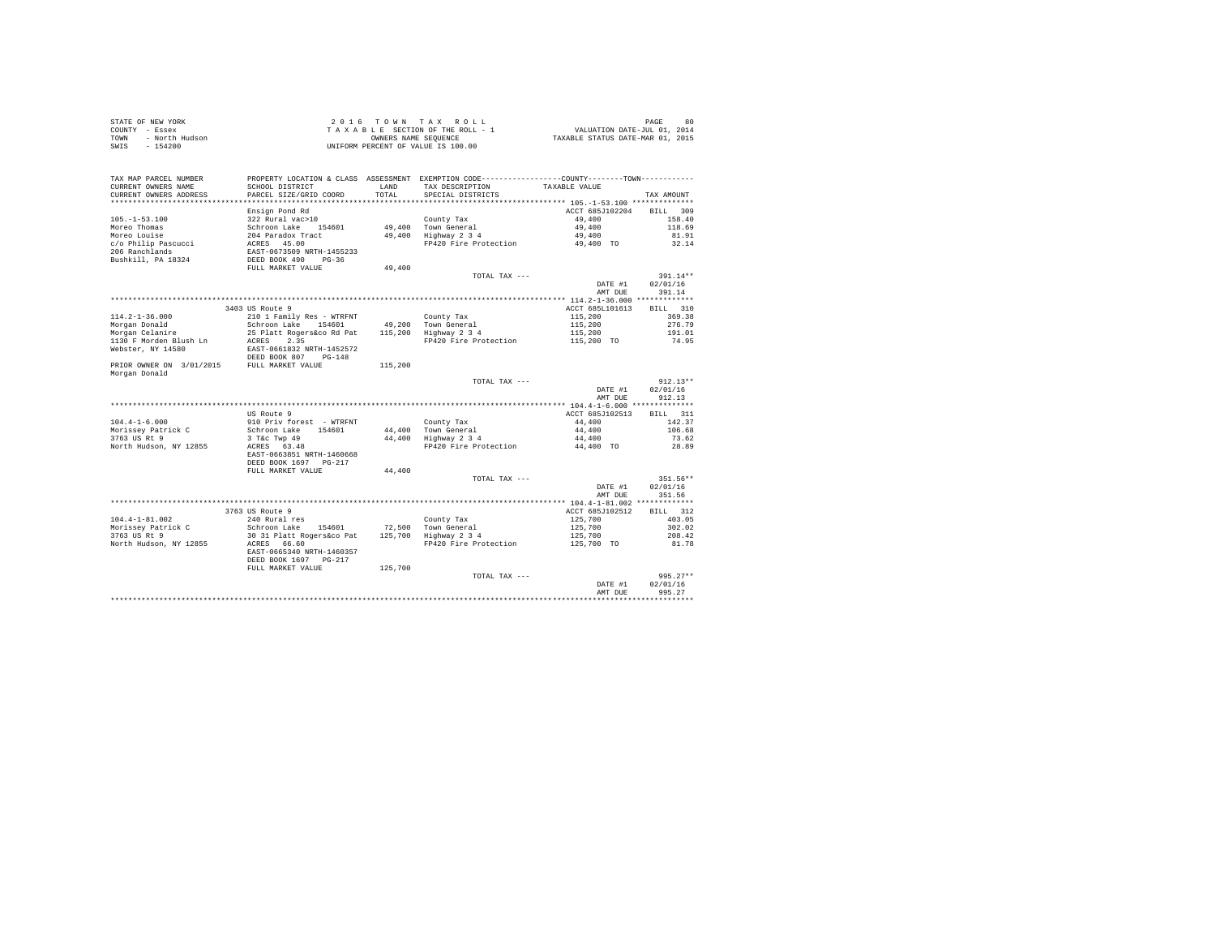| COUNTY - Essex<br>COUNTY - Essex<br>TOWN - North Hudson<br>SWIS - 154200 |                                                         |         | 2016 TOWN TAX ROLL<br>$\begin{tabular}{lcccc} 2 & 0 & 1 & 6 & T & 0 & W & T & A & X & R & O & L \\ T & A & X & A & B & E & E & T & I & W & W & D & D \\ T & B & E & S & E & T & I & W & W & F & F & F \\ OW18128 & Y & Y & Y & Y & Y & Y & Y & Y \\ OW18128 & Y & Y & Y & Y & Y & Y & Y \\ OW18128 & Y & Y & Y & Y & Y & Y & Y \\ \end{tabular} \label{eq:2.10}$<br>UNIFORM PERCENT OF VALUE IS 100.00 |                     | PAGE<br>80     |
|--------------------------------------------------------------------------|---------------------------------------------------------|---------|--------------------------------------------------------------------------------------------------------------------------------------------------------------------------------------------------------------------------------------------------------------------------------------------------------------------------------------------------------------------------------------------------------|---------------------|----------------|
| TAX MAP PARCEL NUMBER<br>CURRENT OWNERS NAME                             | SCHOOL DISTRICT                                         | LAND    | PROPERTY LOCATION & CLASS ASSESSMENT EXEMPTION CODE---------------COUNTY-------TOWN---------<br>TAX DESCRIPTION                                                                                                                                                                                                                                                                                        | TAXABLE VALUE       |                |
| CURRENT OWNERS ADDRESS                                                   | PARCEL SIZE/GRID COORD                                  | TOTAL.  | SPECIAL DISTRICTS                                                                                                                                                                                                                                                                                                                                                                                      |                     | TAX AMOUNT     |
|                                                                          |                                                         |         |                                                                                                                                                                                                                                                                                                                                                                                                        |                     |                |
|                                                                          | Ensign Pond Rd                                          |         |                                                                                                                                                                                                                                                                                                                                                                                                        | ACCT 685J102204     | RTT.T. 309     |
| $105. - 1 - 53.100$                                                      | 322 Rural vac>10                                        |         | County Tax                                                                                                                                                                                                                                                                                                                                                                                             | 49,400              | 158.40         |
| Moreo Thomas                                                             |                                                         |         | 49,400 Town General                                                                                                                                                                                                                                                                                                                                                                                    | 49,400              | 118.69         |
| Moreo Louise                                                             |                                                         |         | 49,400 Highway 2 3 4                                                                                                                                                                                                                                                                                                                                                                                   | 49,400              | 81.91          |
| c/o Philip Pascucci                                                      | Schroon Lake 154601<br>204 Paradox Tract<br>ACRES 45.00 |         | FP420 Fire Protection                                                                                                                                                                                                                                                                                                                                                                                  | 49,400 TO           | 32.14          |
| 206 Ranchlands                                                           | EAST-0673509 NRTH-1455233                               |         |                                                                                                                                                                                                                                                                                                                                                                                                        |                     |                |
| Bushkill, PA 18324                                                       | DEED BOOK 490 PG-36                                     |         |                                                                                                                                                                                                                                                                                                                                                                                                        |                     |                |
|                                                                          | FULL MARKET VALUE                                       | 49,400  | TOTAL TAX ---                                                                                                                                                                                                                                                                                                                                                                                          |                     | $391.14**$     |
|                                                                          |                                                         |         |                                                                                                                                                                                                                                                                                                                                                                                                        | DATE #1             | 02/01/16       |
|                                                                          |                                                         |         |                                                                                                                                                                                                                                                                                                                                                                                                        | AMT DUE             | 391.14         |
|                                                                          |                                                         |         |                                                                                                                                                                                                                                                                                                                                                                                                        |                     |                |
|                                                                          | 3403 US Route 9                                         |         |                                                                                                                                                                                                                                                                                                                                                                                                        | ACCT 685L101613     | BTLL 310       |
| $114.2 - 1 - 36.000$                                                     | 210 1 Family Res - WTRFNT                               |         | County Tax                                                                                                                                                                                                                                                                                                                                                                                             | 115,200             | 369.38         |
| Morgan Donald                                                            | Schroon Lake 154601                                     |         | 49.200 Town General                                                                                                                                                                                                                                                                                                                                                                                    | 115,200             | 276.79         |
| Morgan Celanire                                                          | 25 Platt Rogers&co Rd Pat 115,200 Highway 2 3 4         |         |                                                                                                                                                                                                                                                                                                                                                                                                        | 115,200             | 191.01         |
| 1130 F Morden Blush Ln                                                   | ACRES 2.35                                              |         | FP420 Fire Protection                                                                                                                                                                                                                                                                                                                                                                                  | 115,200 TO          | 74.95          |
| Webster, NY 14580                                                        | EAST-0661832 NRTH-1452572<br>DEED BOOK 807 PG-148       |         |                                                                                                                                                                                                                                                                                                                                                                                                        |                     |                |
| PRIOR OWNER ON 3/01/2015 FULL MARKET VALUE<br>Morgan Donald              |                                                         | 115,200 |                                                                                                                                                                                                                                                                                                                                                                                                        |                     |                |
|                                                                          |                                                         |         | TOTAL TAX ---                                                                                                                                                                                                                                                                                                                                                                                          |                     | $912.13**$     |
|                                                                          |                                                         |         |                                                                                                                                                                                                                                                                                                                                                                                                        | DATE #1             | 02/01/16       |
|                                                                          |                                                         |         |                                                                                                                                                                                                                                                                                                                                                                                                        | AMT DUE             | 912.13         |
|                                                                          |                                                         |         |                                                                                                                                                                                                                                                                                                                                                                                                        |                     |                |
|                                                                          | US Route 9                                              |         |                                                                                                                                                                                                                                                                                                                                                                                                        | ACCT 685J102513     | BILL 311       |
| $104.4 - 1 - 6.000$                                                      | 910 Priv forest - WTRFNT                                |         | County Tax                                                                                                                                                                                                                                                                                                                                                                                             | 44,400              | 142.37         |
| Morissey Patrick C                                                       | Schroon Lake 154601                                     |         | 44.400 Town General                                                                                                                                                                                                                                                                                                                                                                                    | 44,400              | 106.68         |
| 3763 US Rt 9<br>North Hudson, NY 12855                                   | 3 T&C Twp 49<br>ACRES 63.48                             |         | 44,400 Highway 2 3 4<br>FP420 Fire Protection                                                                                                                                                                                                                                                                                                                                                          | 44,400<br>44,400 TO | 73.62<br>28.89 |
|                                                                          | EAST-0663851 NRTH-1460668<br>DEED BOOK 1697 PG-217      |         |                                                                                                                                                                                                                                                                                                                                                                                                        |                     |                |
|                                                                          | FULL MARKET VALUE                                       | 44,400  |                                                                                                                                                                                                                                                                                                                                                                                                        |                     |                |
|                                                                          |                                                         |         | TOTAL TAX ---                                                                                                                                                                                                                                                                                                                                                                                          |                     | 351.56**       |
|                                                                          |                                                         |         |                                                                                                                                                                                                                                                                                                                                                                                                        | DATE #1             | 02/01/16       |
|                                                                          |                                                         |         |                                                                                                                                                                                                                                                                                                                                                                                                        | AMT DUE             | 351.56         |
|                                                                          |                                                         |         |                                                                                                                                                                                                                                                                                                                                                                                                        |                     |                |
|                                                                          | 3763 US Route 9                                         |         |                                                                                                                                                                                                                                                                                                                                                                                                        | ACCT 685J102512     | BILL 312       |
| $104.4 - 1 - 81.002$                                                     | 240 Rural res                                           |         | County Tax                                                                                                                                                                                                                                                                                                                                                                                             | 125,700             | 403.05         |
| Morissey Patrick C                                                       | Schroon Lake 154601 72,500 Town General                 |         |                                                                                                                                                                                                                                                                                                                                                                                                        | 125,700             | 302.02         |
| 3763 US Rt 9                                                             | 30 31 Platt Rogers&co Pat                               |         | 125,700 Highway 2 3 4                                                                                                                                                                                                                                                                                                                                                                                  | 125,700             | 208.42         |
| North Hudson, NY 12855                                                   | ACRES 66.60                                             |         | FP420 Fire Protection                                                                                                                                                                                                                                                                                                                                                                                  | 125,700 TO          | 81.78          |
|                                                                          | EAST-0665340 NRTH-1460357                               |         |                                                                                                                                                                                                                                                                                                                                                                                                        |                     |                |
|                                                                          | DEED BOOK 1697 PG-217                                   |         |                                                                                                                                                                                                                                                                                                                                                                                                        |                     |                |
|                                                                          | FULL MARKET VALUE                                       | 125,700 |                                                                                                                                                                                                                                                                                                                                                                                                        |                     |                |
|                                                                          |                                                         |         | TOTAL TAX ---                                                                                                                                                                                                                                                                                                                                                                                          |                     | $995.27**$     |
|                                                                          |                                                         |         |                                                                                                                                                                                                                                                                                                                                                                                                        | DATE #1             | 02/01/16       |
|                                                                          |                                                         |         |                                                                                                                                                                                                                                                                                                                                                                                                        | AMT DUE             | 995.27         |
|                                                                          |                                                         |         |                                                                                                                                                                                                                                                                                                                                                                                                        |                     |                |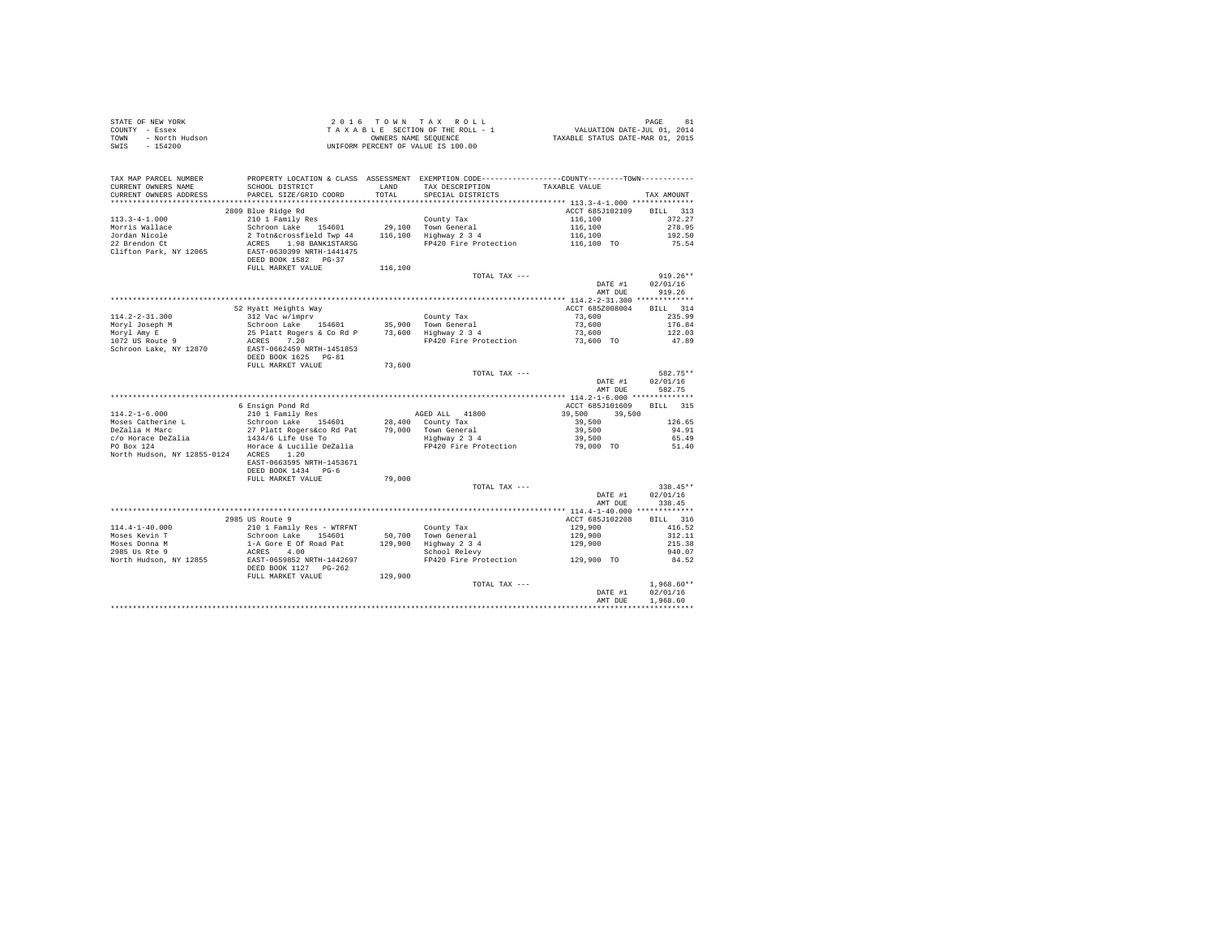| STATE OF NEW YORK      | 2016 TOWN TAX ROLL                 | 81<br>PAGE                       |
|------------------------|------------------------------------|----------------------------------|
| COUNTY - Essex         | TAXABLE SECTION OF THE ROLL - 1    | VALUATION DATE-JUL 01, 2014      |
| TOWN<br>- North Hudson | OWNERS NAME SEOUENCE               | TAXABLE STATUS DATE-MAR 01, 2015 |
| SWIS<br>- 154200       | UNIFORM PERCENT OF VALUE IS 100.00 |                                  |

| TAX MAP PARCEL NUMBER<br>CURRENT OWNERS NAME<br>CURRENT OWNERS ADDRESS | PROPERTY LOCATION & CLASS ASSESSMENT EXEMPTION CODE---------------COUNTY-------TOWN----------<br>SCHOOL DISTRICT<br>PARCEL SIZE/GRID COORD | T.AND<br>TOTAL | TAX DESCRIPTION<br>SPECIAL DISTRICTS                                                                                                                                                                                                                                                                                                                                           | TAXABLE VALUE                 | TAX AMOUNT   |
|------------------------------------------------------------------------|--------------------------------------------------------------------------------------------------------------------------------------------|----------------|--------------------------------------------------------------------------------------------------------------------------------------------------------------------------------------------------------------------------------------------------------------------------------------------------------------------------------------------------------------------------------|-------------------------------|--------------|
|                                                                        |                                                                                                                                            |                |                                                                                                                                                                                                                                                                                                                                                                                |                               |              |
|                                                                        | 2809 Blue Ridge Rd                                                                                                                         |                |                                                                                                                                                                                                                                                                                                                                                                                | ACCT 685J102109               | BILL 313     |
| $113.3 - 4 - 1.000$                                                    | 210 1 Family Res                                                                                                                           |                | County Tax                                                                                                                                                                                                                                                                                                                                                                     |                               | 372.27       |
| Morris Wallace                                                         |                                                                                                                                            |                |                                                                                                                                                                                                                                                                                                                                                                                |                               | 278.95       |
| Jordan Nicole                                                          | Schroon Lake 154601 29,100 Town General<br>2 Totn&crossfield Twp 44 116,100 Highway 2 3 4                                                  |                |                                                                                                                                                                                                                                                                                                                                                                                | 116,100<br>116,100<br>116,100 |              |
| 22 Brendon Ct                                                          |                                                                                                                                            |                | FP420 Fire Protection 116,100 TO                                                                                                                                                                                                                                                                                                                                               |                               | 192.50       |
|                                                                        | ACRES 1.98 BANK1STARSG<br>EAST-0630399 NRTH-1441475                                                                                        |                |                                                                                                                                                                                                                                                                                                                                                                                |                               | 75.54        |
| Clifton Park, NY 12065                                                 |                                                                                                                                            |                |                                                                                                                                                                                                                                                                                                                                                                                |                               |              |
|                                                                        | DEED BOOK 1582 PG-37                                                                                                                       |                |                                                                                                                                                                                                                                                                                                                                                                                |                               |              |
|                                                                        | FULL MARKET VALUE                                                                                                                          | 116,100        |                                                                                                                                                                                                                                                                                                                                                                                |                               |              |
|                                                                        |                                                                                                                                            |                | TOTAL TAX ---                                                                                                                                                                                                                                                                                                                                                                  |                               | $919.26**$   |
|                                                                        |                                                                                                                                            |                |                                                                                                                                                                                                                                                                                                                                                                                | DATE #1                       | 02/01/16     |
|                                                                        |                                                                                                                                            |                |                                                                                                                                                                                                                                                                                                                                                                                | AMT DUE                       | 919.26       |
|                                                                        |                                                                                                                                            |                |                                                                                                                                                                                                                                                                                                                                                                                |                               |              |
|                                                                        |                                                                                                                                            |                |                                                                                                                                                                                                                                                                                                                                                                                | ACCT 685Z008004               | BILL 314     |
| 114.2-2-31.300                                                         |                                                                                                                                            |                |                                                                                                                                                                                                                                                                                                                                                                                | 73,600                        | 235.99       |
|                                                                        |                                                                                                                                            |                |                                                                                                                                                                                                                                                                                                                                                                                | 73,600                        | 176.84       |
| Moryl Joseph M<br>Moryl Amy E<br>1072 US Route 9                       |                                                                                                                                            |                |                                                                                                                                                                                                                                                                                                                                                                                | 73,600<br>73,600 TO           | 122.03       |
|                                                                        |                                                                                                                                            |                | FP420 Fire Protection                                                                                                                                                                                                                                                                                                                                                          |                               | 47.89        |
| Schroon Lake, NY 12870                                                 | EAST-0662459 NRTH-1451853                                                                                                                  |                |                                                                                                                                                                                                                                                                                                                                                                                |                               |              |
|                                                                        | DEED BOOK 1625 PG-81                                                                                                                       |                |                                                                                                                                                                                                                                                                                                                                                                                |                               |              |
|                                                                        | FULL MARKET VALUE                                                                                                                          | 73,600         |                                                                                                                                                                                                                                                                                                                                                                                |                               |              |
|                                                                        |                                                                                                                                            |                | TOTAL TAX ---                                                                                                                                                                                                                                                                                                                                                                  |                               | 582.75**     |
|                                                                        |                                                                                                                                            |                |                                                                                                                                                                                                                                                                                                                                                                                | DATE #1                       | 02/01/16     |
|                                                                        |                                                                                                                                            |                |                                                                                                                                                                                                                                                                                                                                                                                | AMT DUE                       | 582.75       |
|                                                                        |                                                                                                                                            |                |                                                                                                                                                                                                                                                                                                                                                                                |                               |              |
|                                                                        | 6 Ensign Pond Rd                                                                                                                           |                |                                                                                                                                                                                                                                                                                                                                                                                | ACCT 685J101609               | BILL 315     |
| $114.2 - 1 - 6.000$                                                    | 210 1 Family Res                                                                                                                           |                | AGED ALL 41800                                                                                                                                                                                                                                                                                                                                                                 | 39,500<br>39,500              |              |
| Moses Catherine L                                                      | Schroon Lake 154601                                                                                                                        |                | 28.400 County Tax                                                                                                                                                                                                                                                                                                                                                              | 39,500                        | 126.65       |
| DeZalia H Marc                                                         | 27 Platt Rogers&co Rd Pat                                                                                                                  |                | 79.000 Town General                                                                                                                                                                                                                                                                                                                                                            | 39,500                        | 94.91        |
| c/o Horace DeZalia                                                     | 27 Liaco Ruyers&co Rd Pat                                                                                                                  |                | Town General<br>Highway 2 3 4<br>FP420 Fire Protection                                                                                                                                                                                                                                                                                                                         | 39,500                        | 65.49        |
| PO Box 124                                                             | Horace & Lucille DeZalia                                                                                                                   |                |                                                                                                                                                                                                                                                                                                                                                                                | $79,000$ TO                   | 51.40        |
| North Hudson, NY 12855-0124 ACRES 1.20                                 |                                                                                                                                            |                |                                                                                                                                                                                                                                                                                                                                                                                |                               |              |
|                                                                        | EAST-0663595 NRTH-1453671                                                                                                                  |                |                                                                                                                                                                                                                                                                                                                                                                                |                               |              |
|                                                                        | DEED BOOK 1434 PG-6                                                                                                                        |                |                                                                                                                                                                                                                                                                                                                                                                                |                               |              |
|                                                                        | FULL MARKET VALUE                                                                                                                          | 79,000         |                                                                                                                                                                                                                                                                                                                                                                                |                               |              |
|                                                                        |                                                                                                                                            |                |                                                                                                                                                                                                                                                                                                                                                                                |                               | 338.45**     |
|                                                                        |                                                                                                                                            |                | TOTAL TAX ---                                                                                                                                                                                                                                                                                                                                                                  |                               | 02/01/16     |
|                                                                        |                                                                                                                                            |                |                                                                                                                                                                                                                                                                                                                                                                                | DATE #1                       |              |
|                                                                        |                                                                                                                                            |                |                                                                                                                                                                                                                                                                                                                                                                                | AMT DUE                       | 338.45       |
|                                                                        |                                                                                                                                            |                |                                                                                                                                                                                                                                                                                                                                                                                |                               |              |
|                                                                        | 2985 US Route 9                                                                                                                            |                |                                                                                                                                                                                                                                                                                                                                                                                | ACCT 685J102208               | BILL 316     |
| $114.4 - 1 - 40.000$                                                   | 210 1 Family Res - WTRFNT                                                                                                                  |                | County Tax                                                                                                                                                                                                                                                                                                                                                                     | 129,900                       | 416.52       |
| Moses Kevin T                                                          |                                                                                                                                            |                | 50.700 Town General                                                                                                                                                                                                                                                                                                                                                            |                               | 312.11       |
| Moses Donna M<br>2985 Us Rte 9                                         | Schroon Lake 154601<br>1-A Gore E Of Road Pat                                                                                              |                | $129,900 \begin{array}{l} \texttt{row} & \texttt{1:11} \\ \texttt{1:29,900} & \texttt{Highway 2 3 4} \\ \texttt{5:129,900} & \texttt{Stoold} \\ \texttt{School} & \texttt{Relevy} \\ \texttt{6:1:129} & \texttt{6:129} \\ \texttt{6:1:131} & \texttt{6:132} \\ \texttt{6:1:131} & \texttt{6:133} \\ \texttt{6:1:131} & \texttt{6:133} \\ \texttt{6:1:131} & \texttt{6:133} \\$ |                               | 215.38       |
|                                                                        | ACRES 4.00                                                                                                                                 |                |                                                                                                                                                                                                                                                                                                                                                                                |                               | 940.07       |
| North Hudson, NY 12855                                                 | EAST-0659852 NRTH-1442697                                                                                                                  |                | FP420 Fire Protection                                                                                                                                                                                                                                                                                                                                                          | 129,900 TO                    | 84.52        |
|                                                                        |                                                                                                                                            |                |                                                                                                                                                                                                                                                                                                                                                                                |                               |              |
|                                                                        | FULL MARKET VALUE                                                                                                                          | 129,900        |                                                                                                                                                                                                                                                                                                                                                                                |                               |              |
|                                                                        |                                                                                                                                            |                | TOTAL TAX ---                                                                                                                                                                                                                                                                                                                                                                  |                               | $1,968.60**$ |
|                                                                        |                                                                                                                                            |                |                                                                                                                                                                                                                                                                                                                                                                                | DATE #1                       | 02/01/16     |
|                                                                        |                                                                                                                                            |                |                                                                                                                                                                                                                                                                                                                                                                                | AMT DUE                       | 1,968.60     |
|                                                                        |                                                                                                                                            |                |                                                                                                                                                                                                                                                                                                                                                                                |                               |              |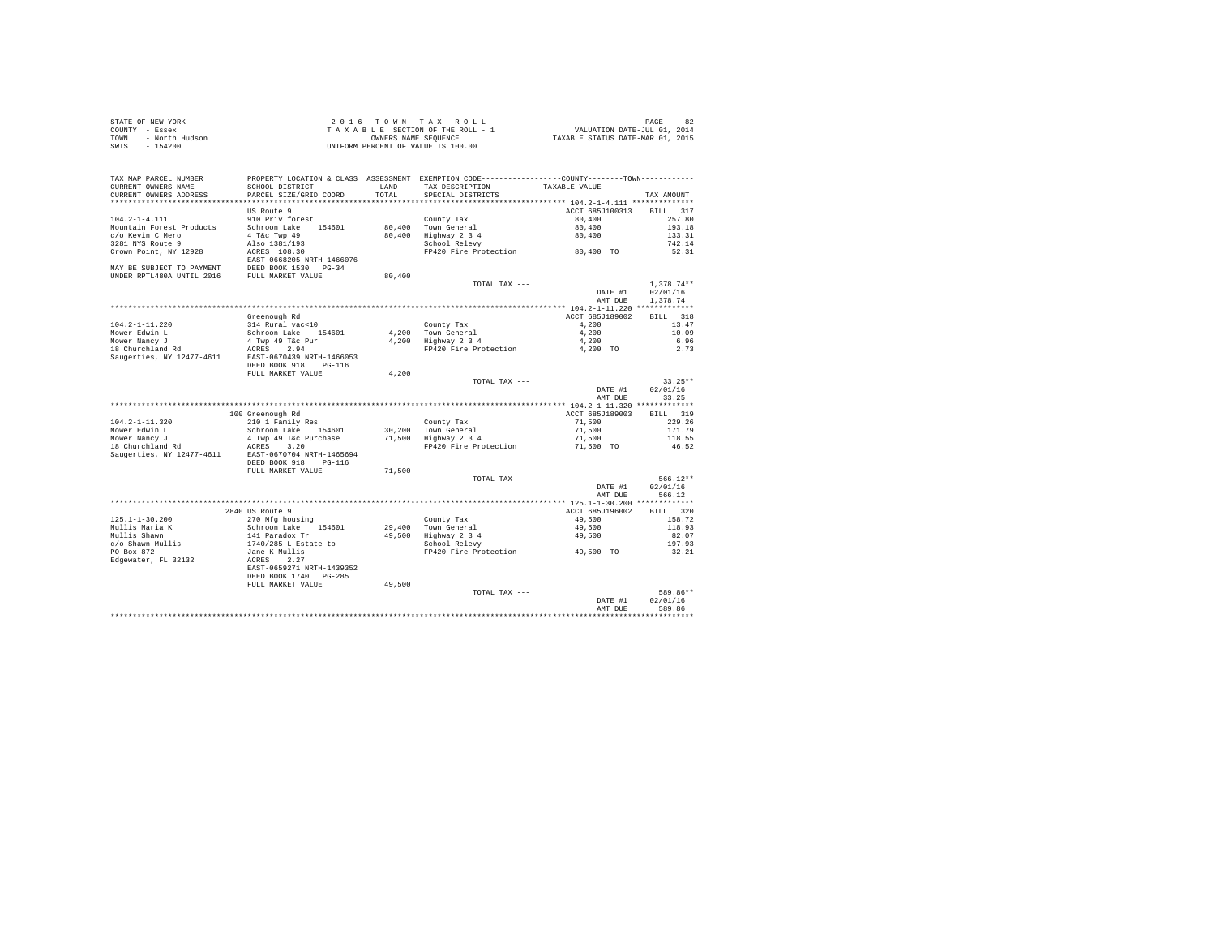| STATE OF NEW YORK      | 2016 TOWN TAX ROLL                 | 82<br>PAGE                       |
|------------------------|------------------------------------|----------------------------------|
| COUNTY - Essex         | TAXABLE SECTION OF THE ROLL - 1    | VALUATION DATE-JUL 01, 2014      |
| TOWN<br>- North Hudson | OWNERS NAME SEOUENCE               | TAXABLE STATUS DATE-MAR 01, 2015 |
| SWIS - 154200          | UNIFORM PERCENT OF VALUE IS 100.00 |                                  |

| TAX MAP PARCEL NUMBER<br>CURRENT OWNERS NAME | PROPERTY LOCATION & CLASS ASSESSMENT EXEMPTION CODE---------------COUNTY-------TOWN---------<br>SCHOOL DISTRICT | LAND   | TAX DESCRIPTION                 | TAXABLE VALUE   |                    |
|----------------------------------------------|-----------------------------------------------------------------------------------------------------------------|--------|---------------------------------|-----------------|--------------------|
| CURRENT OWNERS ADDRESS                       | PARCEL SIZE/GRID COORD                                                                                          | TOTAL  | SPECIAL DISTRICTS               |                 | TAX AMOUNT         |
| ************************                     |                                                                                                                 |        |                                 |                 |                    |
|                                              | US Route 9                                                                                                      |        |                                 | ACCT 685J100313 | <b>BILL</b><br>317 |
| $104.2 - 1 - 4.111$                          | 910 Priv forest                                                                                                 |        | County Tax                      | 80,400          | 257.80             |
| Mountain Forest Products                     | Schroon Lake<br>154601                                                                                          | 80,400 | Town General                    | 80,400          | 193.18             |
| c/o Kevin C Mero                             | 4 T&c Twp 49                                                                                                    | 80,400 | Highway 2 3 4                   | 80,400          | 133.31             |
| 3281 NYS Route 9                             | Also 1381/193                                                                                                   |        | School Relevy                   |                 | 742.14             |
| Crown Point, NY 12928                        | ACRES 108.30                                                                                                    |        | FP420 Fire Protection 80,400 TO |                 | 52.31              |
|                                              | EAST-0668205 NRTH-1466076                                                                                       |        |                                 |                 |                    |
| MAY BE SUBJECT TO PAYMENT                    |                                                                                                                 |        |                                 |                 |                    |
| UNDER RPTL480A UNTIL 2016                    | DEED BOOK 1530 PG-34<br>FULL MARKET WAY                                                                         | 80,400 |                                 |                 |                    |
|                                              |                                                                                                                 |        | TOTAL TAX ---                   |                 | $1.378.74**$       |
|                                              |                                                                                                                 |        |                                 | DATE #1         | 02/01/16           |
|                                              |                                                                                                                 |        |                                 | AMT DUE         | 1,378.74           |
|                                              |                                                                                                                 |        |                                 |                 |                    |
|                                              | Greenough Rd                                                                                                    |        |                                 | ACCT 685J189002 | 318<br><b>BILL</b> |
| $104.2 - 1 - 11.220$                         | 314 Rural vac<10                                                                                                |        | County Tax                      | 4,200           | 13.47              |
| Mower Edwin L                                | Schroon Lake 154601                                                                                             |        | 4,200 Town General              | 4,200           | 10.09              |
| Mower Nancy J                                | 4 Twp 49 T&c Pur                                                                                                | 4,200  | Highway 2 3 4                   | 4,200           | 6.96               |
| 18 Churchland Rd                             | ACRES<br>2.94                                                                                                   |        | FP420 Fire Protection           | 4,200 TO        | 2.73               |
| Saugerties, NY 12477-4611                    | EAST-0670439 NRTH-1466053                                                                                       |        |                                 |                 |                    |
|                                              | DEED BOOK 918<br>$PG-116$                                                                                       |        |                                 |                 |                    |
|                                              | FULL MARKET VALUE                                                                                               | 4.200  |                                 |                 |                    |
|                                              |                                                                                                                 |        | TOTAL TAX ---                   |                 | $33.25**$          |
|                                              |                                                                                                                 |        |                                 | DATE #1         | 02/01/16           |
|                                              |                                                                                                                 |        |                                 | AMT DUE         | 33.25              |
|                                              |                                                                                                                 |        |                                 |                 |                    |
|                                              | 100 Greenough Rd                                                                                                |        |                                 | ACCT 685J189003 | <b>BILL</b><br>319 |
| $104.2 - 1 - 11.320$                         | 210 1 Family Res                                                                                                |        | County Tax                      | 71,500          | 229.26             |
| Mower Edwin L                                | Schroon Lake<br>154601                                                                                          |        | 30.200 Town General             | 71,500          | 171.79             |
| Mower Nancy J                                | 4 Twp 49 T&c Purchase                                                                                           | 71,500 | Highway 2 3 4                   | 71,500          | 118.55             |
| 18 Churchland Rd                             | ACRES<br>3.20                                                                                                   |        | FP420 Fire Protection           | 71,500 TO       | 46.52              |
| Saugerties, NY 12477-4611                    | EAST-0670704 NRTH-1465694                                                                                       |        |                                 |                 |                    |
|                                              | DEED BOOK 918<br>$PG-116$                                                                                       |        |                                 |                 |                    |
|                                              | FULL MARKET VALUE                                                                                               | 71,500 |                                 |                 |                    |
|                                              |                                                                                                                 |        | TOTAL TAX ---                   |                 | $566.12**$         |
|                                              |                                                                                                                 |        |                                 | DATE #1         | 02/01/16           |
|                                              |                                                                                                                 |        |                                 | AMT DUE         | 566.12             |
|                                              |                                                                                                                 |        |                                 |                 |                    |
|                                              | 2840 US Route 9                                                                                                 |        |                                 | ACCT 685J196002 | 320<br>BILL        |
| $125.1 - 1 - 30.200$                         | 270 Mfg housing                                                                                                 |        | County Tax                      | 49,500          | 158.72             |
| Mullis Maria K                               | Schroon Lake<br>154601                                                                                          |        | 29,400 Town General             | 49,500          | 118.93             |
| Mullis Shawn                                 | 141 Paradox Tr                                                                                                  |        | 49.500 Highway 2 3 4            | 49,500          | 82.07              |
| c/o Shawn Mullis                             | 1740/285 L Estate to                                                                                            |        | School Relevy                   |                 | 197.93             |
| PO Box 872                                   | Jane K Mullis                                                                                                   |        | FP420 Fire Protection 49.500 TO |                 | 32.21              |
| Edgewater, FL 32132                          | ACRES<br>2.27                                                                                                   |        |                                 |                 |                    |
|                                              | EAST-0659271 NRTH-1439352                                                                                       |        |                                 |                 |                    |
|                                              | DEED BOOK 1740<br>$PG-285$                                                                                      |        |                                 |                 |                    |
|                                              | FULL MARKET VALUE                                                                                               | 49,500 |                                 |                 |                    |
|                                              |                                                                                                                 |        | TOTAL TAX ---                   |                 | 589.86**           |
|                                              |                                                                                                                 |        |                                 | DATE #1         | 02/01/16           |
|                                              |                                                                                                                 |        |                                 | AMT DUE         | 589.86             |
|                                              |                                                                                                                 |        |                                 |                 |                    |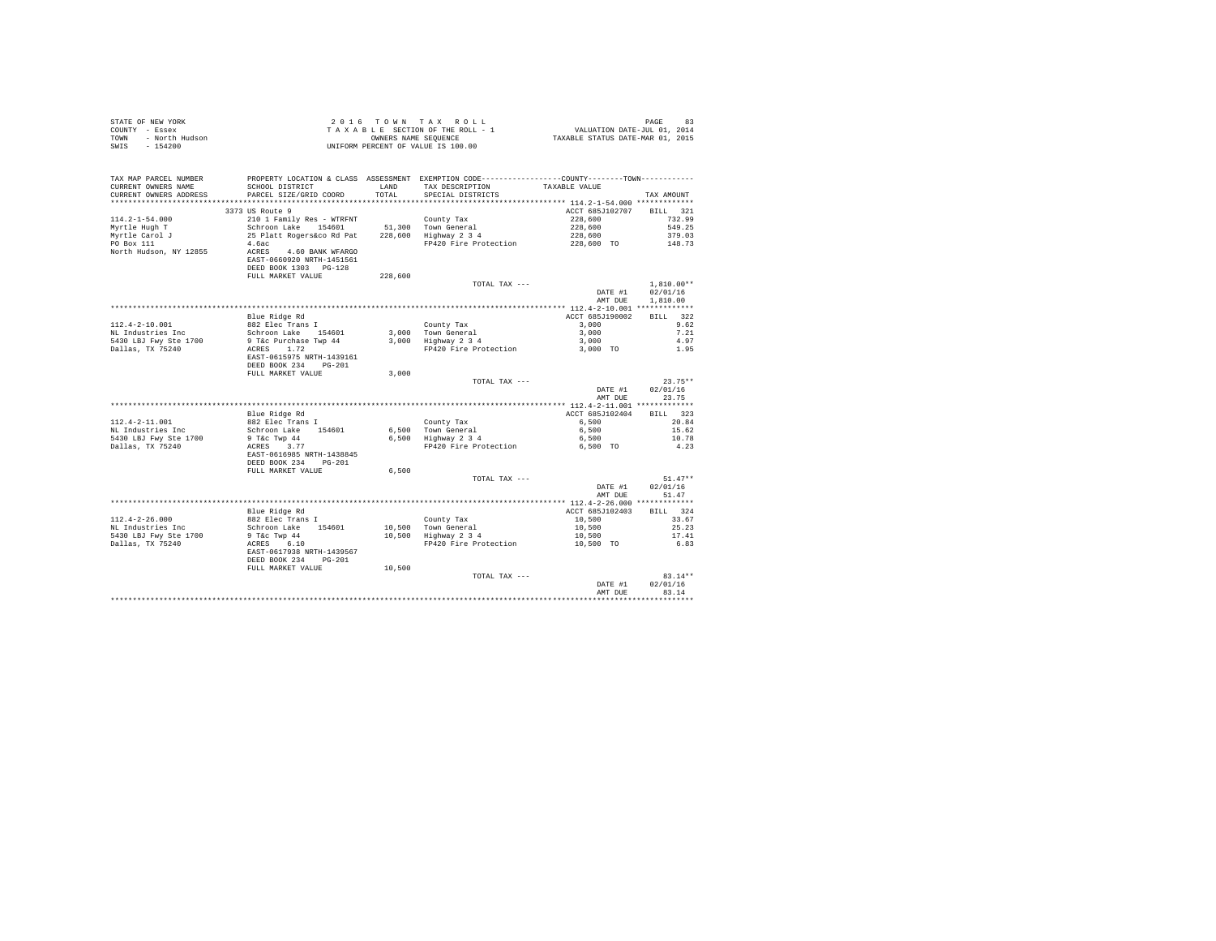| STATE OF NEW YORK      | 2016 TOWN TAX ROLL                 | 83<br>PAGE                       |
|------------------------|------------------------------------|----------------------------------|
| COUNTY - Essex         | TAXABLE SECTION OF THE ROLL - 1    | VALUATION DATE-JUL 01, 2014      |
| TOWN<br>- North Hudson | OWNERS NAME SEOUENCE               | TAXABLE STATUS DATE-MAR 01, 2015 |
| SWIS<br>- 154200       | UNIFORM PERCENT OF VALUE IS 100.00 |                                  |

| TAX MAP PARCEL NUMBER<br>CURRENT OWNERS NAME<br>CURRENT OWNERS ADDRESS | PROPERTY LOCATION & CLASS ASSESSMENT EXEMPTION CODE---------------COUNTY-------TOWN---------<br>SCHOOL DISTRICT<br>PARCEL SIZE/GRID COORD | LAND<br>TOTAL | TAX DESCRIPTION<br>SPECIAL DISTRICTS | TAXABLE VALUE   | TAX AMOUNT   |
|------------------------------------------------------------------------|-------------------------------------------------------------------------------------------------------------------------------------------|---------------|--------------------------------------|-----------------|--------------|
| ******************                                                     |                                                                                                                                           |               |                                      |                 |              |
|                                                                        | 3373 US Route 9                                                                                                                           |               |                                      | ACCT 685J102707 | BILL 321     |
| $114.2 - 1 - 54.000$                                                   | 210 1 Family Res - WTRFNT                                                                                                                 |               | County Tax                           | 228,600         | 732.99       |
| Myrtle Hugh T                                                          | Schroon Lake 154601                                                                                                                       |               | 51,300 Town General                  | 228,600         | 549.25       |
| Myrtle Carol J                                                         | 25 Platt Rogers&co Rd Pat                                                                                                                 |               | 228,600 Highway 2 3 4                | 228,600         | 379.03       |
| PO Box 111                                                             | 4.6ac                                                                                                                                     |               | FP420 Fire Protection                | 228,600 TO      | 148.73       |
| North Hudson, NY 12855                                                 | ACRES 4.60 BANK WFARGO<br>EAST-0660920 NRTH-1451561<br>DEED BOOK 1303 PG-128                                                              |               |                                      |                 |              |
|                                                                        | FULL MARKET VALUE                                                                                                                         | 228,600       |                                      |                 |              |
|                                                                        |                                                                                                                                           |               | TOTAL TAX ---                        |                 | $1.810.00**$ |
|                                                                        |                                                                                                                                           |               |                                      | DATE #1         | 02/01/16     |
|                                                                        |                                                                                                                                           |               |                                      | AMT DUE         | 1,810,00     |
|                                                                        |                                                                                                                                           |               |                                      |                 |              |
|                                                                        | Blue Ridge Rd                                                                                                                             |               |                                      | ACCT 685J190002 | BILL 322     |
| 112.4-2-10.001                                                         | 882 Elec Trans I                                                                                                                          |               | County Tax                           | 3,000           | 9.62         |
| NL Industries Inc                                                      | Schroon Lake 154601                                                                                                                       |               | 3,000 Town General                   | 3,000           | 7.21         |
| 5430 LBJ Fwy Ste 1700                                                  | 9 T&c Purchase Twp 44                                                                                                                     |               | 3,000 Highway 2 3 4                  | 3,000           | 4.97         |
| Dallas, TX 75240                                                       | ACRES 1.72                                                                                                                                |               | FP420 Fire Protection                | 3,000 TO        | 1.95         |
|                                                                        | EAST-0615975 NRTH-1439161<br>DEED BOOK 234 PG-201                                                                                         |               |                                      |                 |              |
|                                                                        | FULL MARKET VALUE                                                                                                                         | 3,000         |                                      |                 |              |
|                                                                        |                                                                                                                                           |               | TOTAL TAX ---                        |                 | $23.75**$    |
|                                                                        |                                                                                                                                           |               |                                      | DATE #1         | 02/01/16     |
|                                                                        |                                                                                                                                           |               |                                      | AMT DUE         | 23.75        |
|                                                                        |                                                                                                                                           |               |                                      |                 |              |
|                                                                        | Blue Ridge Rd                                                                                                                             |               |                                      | ACCT 685J102404 | BILL 323     |
| $112.4 - 2 - 11.001$                                                   | 882 Elec Trans I                                                                                                                          |               | County Tax                           | 6,500           | 20.84        |
| NL Industries Inc                                                      | Schroon Lake 154601                                                                                                                       |               | 6,500 Town General                   | 6,500           | 15.62        |
| 5430 LBJ Fwy Ste 1700                                                  | 9 T&c Twp 44                                                                                                                              |               | 6,500 Highway 2 3 4                  | 6,500           | 10.78        |
| Dallas, TX 75240                                                       | ACRES 3.77                                                                                                                                |               | FP420 Fire Protection                | 6,500 TO        | 4.23         |
|                                                                        | EAST-0616985 NRTH-1438845<br>DEED BOOK 234<br>$PG-201$                                                                                    |               |                                      |                 |              |
|                                                                        | FULL MARKET VALUE                                                                                                                         | 6,500         |                                      |                 |              |
|                                                                        |                                                                                                                                           |               | TOTAL TAX ---                        |                 | $51.47**$    |
|                                                                        |                                                                                                                                           |               |                                      | DATE #1         | 02/01/16     |
|                                                                        |                                                                                                                                           |               |                                      | AMT DUE         | 51.47        |
|                                                                        |                                                                                                                                           |               |                                      |                 |              |
|                                                                        | Blue Ridge Rd                                                                                                                             |               |                                      | ACCT 685J102403 | BILL 324     |
| $112.4 - 2 - 26.000$                                                   | 882 Elec Trans I                                                                                                                          |               | County Tax                           | 10,500          | 33.67        |
| NL Industries Inc                                                      | Schroon Lake 154601                                                                                                                       |               | 10,500 Town General                  | 10,500          | 25.23        |
| 5430 LBJ Fwy Ste 1700                                                  | $9$ T&c Twp $44$                                                                                                                          |               | 10,500 Highway 2 3 4                 | 10,500          | 17.41        |
| Dallas, TX 75240                                                       | 6.10<br>ACRES                                                                                                                             |               | FP420 Fire Protection                | 10,500 TO       | 6.83         |
|                                                                        | EAST-0617938 NRTH-1439567                                                                                                                 |               |                                      |                 |              |
|                                                                        | DEED BOOK 234<br>$PG-201$                                                                                                                 |               |                                      |                 |              |
|                                                                        | FULL MARKET VALUE                                                                                                                         | 10,500        |                                      |                 |              |
|                                                                        |                                                                                                                                           |               | TOTAL TAX ---                        |                 | $83.14**$    |
|                                                                        |                                                                                                                                           |               |                                      | DATE #1         | 02/01/16     |
|                                                                        |                                                                                                                                           |               |                                      | AMT DUE         | 83.14        |
|                                                                        |                                                                                                                                           |               |                                      |                 |              |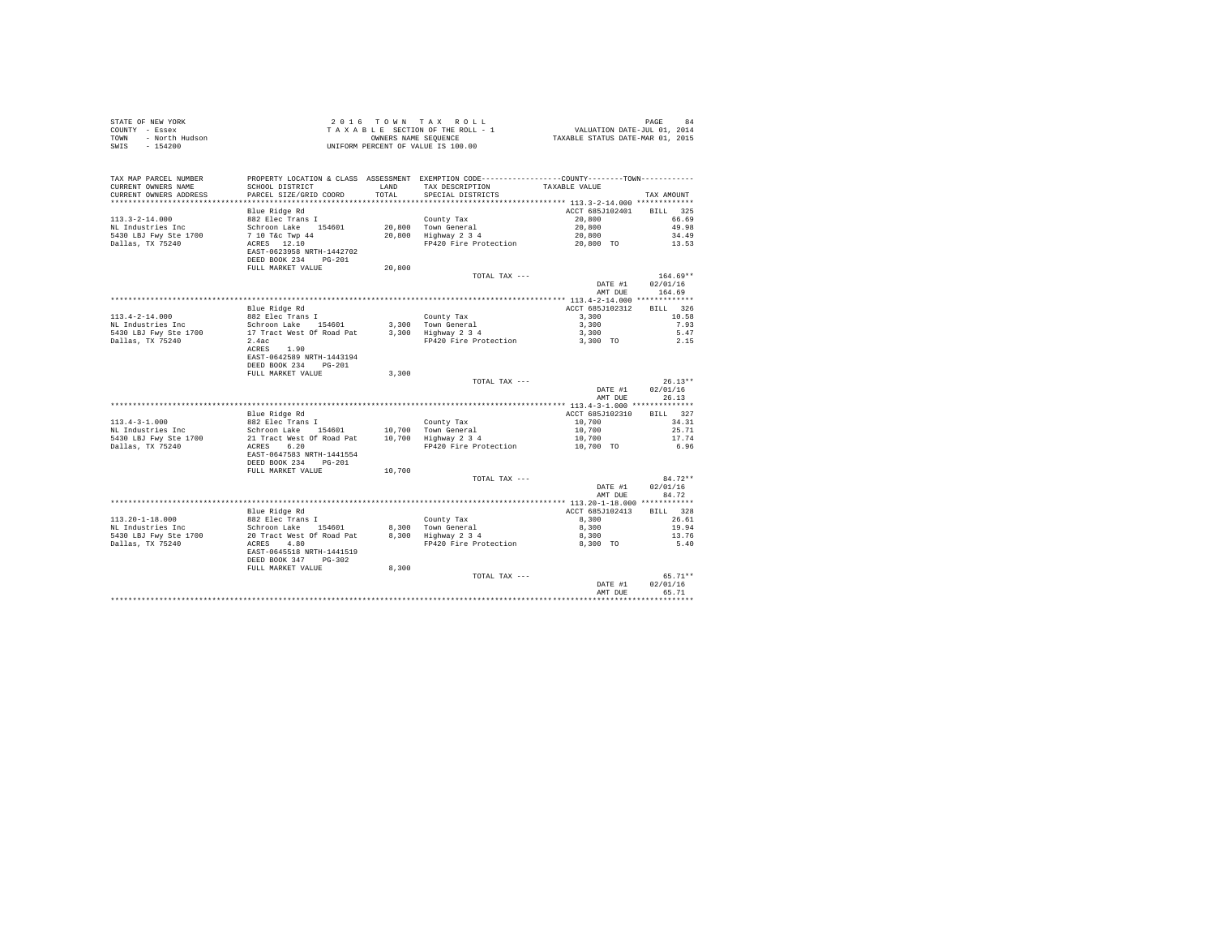| STATE OF NEW YORK<br>COUNTY - Essex<br>- North Hudson<br>TOWN<br>$-154200$<br>SWIS |                                                                  |               | 2016 TOWN TAX ROLL<br>$\begin{array}{ccccccccc} 2&0&1&6&\texttt{T} &0&\texttt{W} &\texttt{N} &\texttt{R} &\texttt{A} &\texttt{B} &\texttt{A} &\texttt{B} &\texttt{A} &\texttt{B} &\texttt{B} &\texttt{B} &\texttt{B} &\texttt{B} &\texttt{B} &\texttt{B} &\texttt{B} &\texttt{B} &\texttt{B} &\texttt{B} &\texttt{B} &\texttt{B} &\texttt{B} &\texttt{B} &\texttt{B} &\texttt{B} &\texttt{B} &\texttt{B} &\texttt{B$<br>UNIFORM PERCENT OF VALUE IS 100.00 |                    | PAGE<br>84        |
|------------------------------------------------------------------------------------|------------------------------------------------------------------|---------------|------------------------------------------------------------------------------------------------------------------------------------------------------------------------------------------------------------------------------------------------------------------------------------------------------------------------------------------------------------------------------------------------------------------------------------------------------------|--------------------|-------------------|
| TAX MAP PARCEL NUMBER<br>CURRENT OWNERS NAME<br>CURRENT OWNERS ADDRESS             | SCHOOL DISTRICT<br>PARCEL SIZE/GRID COORD                        | LAND<br>TOTAL | PROPERTY LOCATION & CLASS ASSESSMENT EXEMPTION CODE---------------COUNTY-------TOWN----------<br>TAX DESCRIPTION<br>SPECIAL DISTRICTS                                                                                                                                                                                                                                                                                                                      | TAXABLE VALUE      | TAX AMOUNT        |
|                                                                                    |                                                                  |               |                                                                                                                                                                                                                                                                                                                                                                                                                                                            |                    |                   |
|                                                                                    | Blue Ridge Rd                                                    |               |                                                                                                                                                                                                                                                                                                                                                                                                                                                            | ACCT 685J102401    | BTLL 325          |
| $113.3 - 2 - 14.000$                                                               | 882 Elec Trans I                                                 |               | County Tax                                                                                                                                                                                                                                                                                                                                                                                                                                                 | 20,800             | 66.69             |
| NL Industries Inc                                                                  | Schroon Lake 154601                                              |               | 20,800 Town General<br>20,800 Highway 2 3 4                                                                                                                                                                                                                                                                                                                                                                                                                | 20,800             | 49.98             |
| 5430 LBJ Fwy Ste 1700                                                              | 7 10 T&C Twp 44                                                  |               |                                                                                                                                                                                                                                                                                                                                                                                                                                                            | 20,800             | 34.49             |
| Dallas, TX 75240                                                                   | ACRES 12.10<br>EAST-0623958 NRTH-1442702<br>DEED BOOK 234 PG-201 |               | FP420 Fire Protection                                                                                                                                                                                                                                                                                                                                                                                                                                      | 20,800 TO          | 13.53             |
|                                                                                    | FULL MARKET VALUE                                                | 20,800        |                                                                                                                                                                                                                                                                                                                                                                                                                                                            |                    |                   |
|                                                                                    |                                                                  |               | TOTAL TAX ---                                                                                                                                                                                                                                                                                                                                                                                                                                              |                    | $164.69**$        |
|                                                                                    |                                                                  |               |                                                                                                                                                                                                                                                                                                                                                                                                                                                            | DATE #1            | 02/01/16          |
|                                                                                    |                                                                  |               |                                                                                                                                                                                                                                                                                                                                                                                                                                                            | AMT DUE            | 164.69            |
|                                                                                    | Blue Ridge Rd                                                    |               |                                                                                                                                                                                                                                                                                                                                                                                                                                                            | ACCT 685J102312    | BILL 326          |
| $113.4 - 2 - 14.000$                                                               | 882 Elec Trans I                                                 |               | County Tax                                                                                                                                                                                                                                                                                                                                                                                                                                                 | 3,300              | 10.58             |
| NL Industries Inc                                                                  | Schroon Lake 154601<br>17 Tract West Of Road Pat                 |               |                                                                                                                                                                                                                                                                                                                                                                                                                                                            | 3,300              | 7.93              |
| 5430 LBJ Fwy Ste 1700                                                              |                                                                  |               | 3,300 Town General<br>3,300 Highway 2 3 4                                                                                                                                                                                                                                                                                                                                                                                                                  | 3,300              | 5.47              |
| Dallas, TX 75240                                                                   | 2.4ac and 2.4ac                                                  |               | FP420 Fire Protection                                                                                                                                                                                                                                                                                                                                                                                                                                      | 3,300 TO           | 2.15              |
|                                                                                    | ACRES 1.90<br>EAST-0642589 NRTH-1443194<br>DEED BOOK 234 PG-201  |               |                                                                                                                                                                                                                                                                                                                                                                                                                                                            |                    |                   |
|                                                                                    | FULL MARKET VALUE                                                | 3,300         |                                                                                                                                                                                                                                                                                                                                                                                                                                                            |                    |                   |
|                                                                                    |                                                                  |               | TOTAL TAX ---                                                                                                                                                                                                                                                                                                                                                                                                                                              |                    | $26.13**$         |
|                                                                                    |                                                                  |               |                                                                                                                                                                                                                                                                                                                                                                                                                                                            | DATE #1<br>AMT DUE | 02/01/16<br>26.13 |
|                                                                                    |                                                                  |               |                                                                                                                                                                                                                                                                                                                                                                                                                                                            | ACCT 685J102310    | BILL 327          |
| $113.4 - 3 - 1.000$                                                                | Blue Ridge Rd<br>882 Elec Trans I                                |               | County Tax                                                                                                                                                                                                                                                                                                                                                                                                                                                 | 10,700             | 34.31             |
| NL Industries Inc                                                                  | Schroon Lake 154601 10,700                                       |               |                                                                                                                                                                                                                                                                                                                                                                                                                                                            | 10,700             | 25.71             |
| 5430 LBJ Fwy Ste 1700                                                              | 21 Tract West Of Road Pat                                        |               | 10,700 Town General<br>10,700 Highway 2 3 4                                                                                                                                                                                                                                                                                                                                                                                                                | 10,700             | 17.74             |
| Dallas, TX 75240                                                                   | ACRES 6.20<br>EAST-0647583 NRTH-1441554                          |               | FP420 Fire Protection                                                                                                                                                                                                                                                                                                                                                                                                                                      | 10,700 TO          | 6.96              |
|                                                                                    | DEED BOOK 234 PG-201                                             |               |                                                                                                                                                                                                                                                                                                                                                                                                                                                            |                    |                   |
|                                                                                    | FULL MARKET VALUE                                                | 10,700        | TOTAL TAX ---                                                                                                                                                                                                                                                                                                                                                                                                                                              |                    | $84.72**$         |
|                                                                                    |                                                                  |               |                                                                                                                                                                                                                                                                                                                                                                                                                                                            | DATE #1<br>AMT DUE | 02/01/16<br>84.72 |
|                                                                                    |                                                                  |               |                                                                                                                                                                                                                                                                                                                                                                                                                                                            |                    |                   |
|                                                                                    | Blue Ridge Rd                                                    |               |                                                                                                                                                                                                                                                                                                                                                                                                                                                            | ACCT 685J102413    | BILL 328          |
| $113.20 - 1 - 18.000$                                                              | 882 Elec Trans I                                                 |               |                                                                                                                                                                                                                                                                                                                                                                                                                                                            | 8,300              | 26.61             |
| NL Industries Inc                                                                  | Schroon Lake 154601                                              |               | County Tax<br>8,300 Town General<br>8,300 Highway 2 3 4                                                                                                                                                                                                                                                                                                                                                                                                    | 8,300              | 19.94             |
| 5430 LBJ Fwy Ste 1700<br>Dallas, TX 75240                                          | 20 Tract West Of Road Pat<br>ACRES 4.80                          |               | FP420 Fire Protection                                                                                                                                                                                                                                                                                                                                                                                                                                      | 8,300<br>8,300 TO  | 13.76<br>5.40     |
|                                                                                    | EAST-0645518 NRTH-1441519<br>DEED BOOK 347 PG-302                |               |                                                                                                                                                                                                                                                                                                                                                                                                                                                            |                    |                   |
|                                                                                    | FULL MARKET VALUE                                                | 8,300         |                                                                                                                                                                                                                                                                                                                                                                                                                                                            |                    |                   |
|                                                                                    |                                                                  |               | TOTAL TAX ---                                                                                                                                                                                                                                                                                                                                                                                                                                              |                    | $65.71**$         |
|                                                                                    |                                                                  |               |                                                                                                                                                                                                                                                                                                                                                                                                                                                            | DATE #1            | 02/01/16          |
|                                                                                    |                                                                  |               |                                                                                                                                                                                                                                                                                                                                                                                                                                                            | AMT DUE            | 65.71             |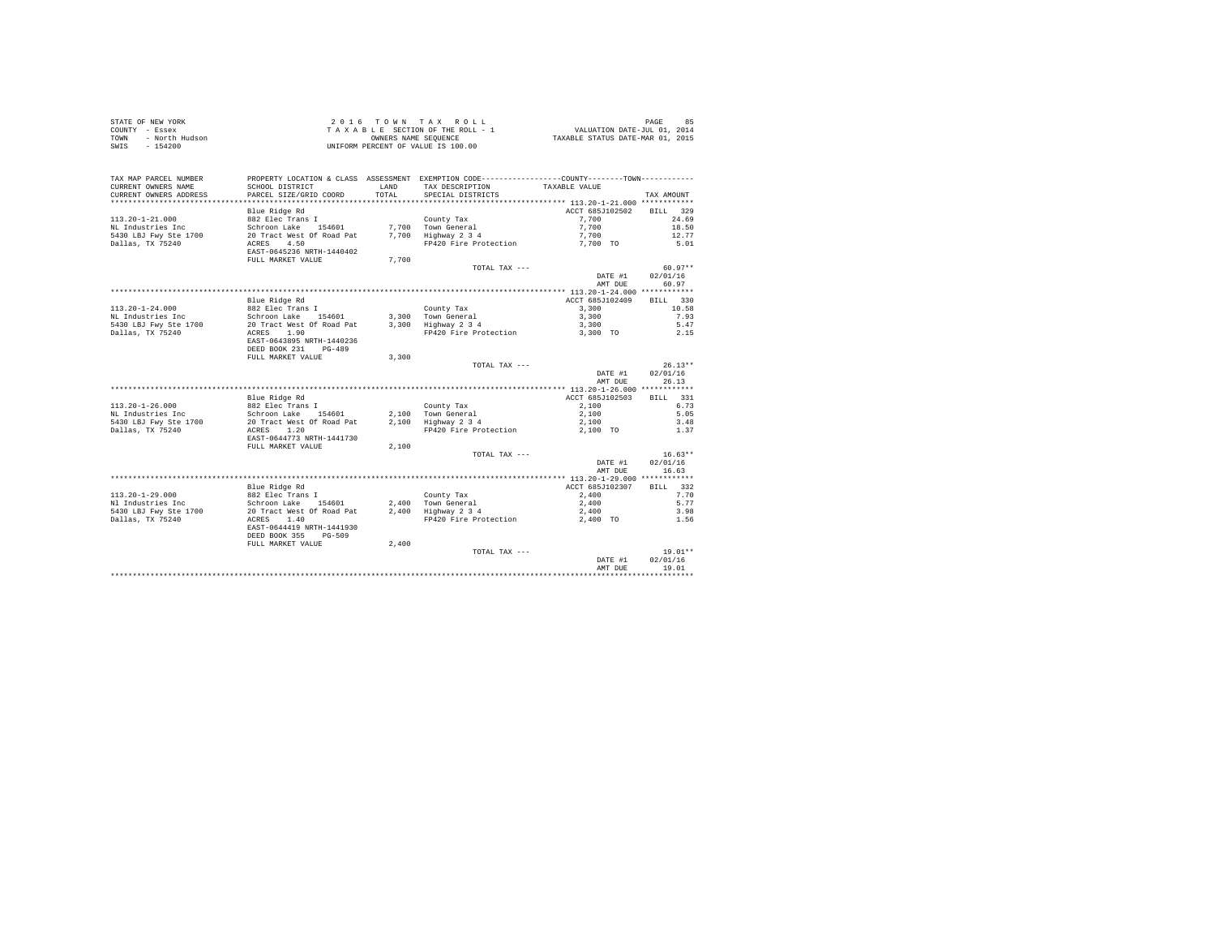| STATE OF NEW YORK      | 2016 TOWN TAX ROLL                 | PAGE                             |
|------------------------|------------------------------------|----------------------------------|
| COUNTY - Essex         | TAXABLE SECTION OF THE ROLL - 1    | VALUATION DATE-JUL 01, 2014      |
| TOWN<br>- North Hudson | OWNERS NAME SEOUENCE               | TAXABLE STATUS DATE-MAR 01, 2015 |
| - 154200<br>SWIS       | UNIFORM PERCENT OF VALUE IS 100.00 |                                  |

| TAX MAP PARCEL NUMBER  |                           |        | PROPERTY LOCATION & CLASS ASSESSMENT EXEMPTION CODE---------------COUNTY-------TOWN--------- |                                       |                    |
|------------------------|---------------------------|--------|----------------------------------------------------------------------------------------------|---------------------------------------|--------------------|
| CURRENT OWNERS NAME    | SCHOOL DISTRICT           | LAND   | TAX DESCRIPTION                                                                              | TAXABLE VALUE                         |                    |
| CURRENT OWNERS ADDRESS | PARCEL SIZE/GRID COORD    | TOTAL. | SPECIAL DISTRICTS                                                                            |                                       | TAX AMOUNT         |
|                        |                           |        |                                                                                              |                                       |                    |
|                        | Blue Ridge Rd             |        |                                                                                              | ACCT 685J102502                       | 329<br><b>BILL</b> |
| $113.20 - 1 - 21.000$  | 882 Elec Trans I          |        | County Tax                                                                                   | 7.700                                 | 24.69              |
| NL Industries Inc      | Schroon Lake<br>154601    | 7,700  | Town General                                                                                 | 7,700                                 | 18.50              |
| 5430 LBJ Fwy Ste 1700  | 20 Tract West Of Road Pat | 7,700  | Highway 2 3 4                                                                                | 7,700                                 | 12.77              |
| Dallas, TX 75240       | 4.50<br>ACRES             |        | FP420 Fire Protection                                                                        | 7.700 TO                              | 5.01               |
|                        | EAST-0645236 NRTH-1440402 |        |                                                                                              |                                       |                    |
|                        | FULL MARKET VALUE         | 7,700  |                                                                                              |                                       |                    |
|                        |                           |        | TOTAL TAX ---                                                                                |                                       | $60.97**$          |
|                        |                           |        |                                                                                              | DATE #1                               | 02/01/16           |
|                        |                           |        |                                                                                              | AMT DUE                               | 60.97              |
|                        |                           |        |                                                                                              | ******** 113.20-1-24.000 ************ |                    |
|                        | Blue Ridge Rd             |        |                                                                                              | ACCT 685J102409                       | BILL 330           |
| $113.20 - 1 - 24.000$  | 882 Elec Trans I          |        | County Tax                                                                                   | 3,300                                 | 10.58              |
| NL Industries Inc      | Schroon Lake<br>154601    |        | 3.300 Town General                                                                           | 3,300                                 | 7.93               |
| 5430 LBJ Fwy Ste 1700  | 20 Tract West Of Road Pat | 3,300  | Highway 2 3 4                                                                                | 3,300                                 | 5.47               |
| Dallas, TX 75240       | ACRES<br>1.90             |        | FP420 Fire Protection                                                                        | 3,300 TO                              | 2.15               |
|                        | EAST-0643895 NRTH-1440236 |        |                                                                                              |                                       |                    |
|                        | DEED BOOK 231<br>$PG-489$ |        |                                                                                              |                                       |                    |
|                        | FULL MARKET VALUE         | 3,300  |                                                                                              |                                       |                    |
|                        |                           |        | TOTAL TAX ---                                                                                |                                       | $26.13**$          |
|                        |                           |        |                                                                                              | DATE #1                               | 02/01/16           |
|                        |                           |        |                                                                                              | AMT DUE                               | 26.13              |
|                        |                           |        |                                                                                              |                                       |                    |
|                        | Blue Ridge Rd             |        |                                                                                              | ACCT 685J102503                       | BILL 331           |
| $113.20 - 1 - 26.000$  | 882 Elec Trans I          |        | County Tax                                                                                   | 2,100                                 | 6.73               |
| NL Industries Inc      | Schroon Lake<br>154601    |        | 2.100 Town General                                                                           | 2,100                                 | 5.05               |
| 5430 LBJ Fwy Ste 1700  | 20 Tract West Of Road Pat | 2,100  | Highway 2 3 4                                                                                | 2,100                                 | 3.48               |
| Dallas, TX 75240       | 1.20<br>ACRES             |        | FP420 Fire Protection                                                                        | 2,100 TO                              | 1.37               |
|                        | EAST-0644773 NRTH-1441730 |        |                                                                                              |                                       |                    |
|                        | FULL MARKET VALUE         | 2,100  |                                                                                              |                                       |                    |
|                        |                           |        | TOTAL TAX ---                                                                                |                                       | $16.63**$          |
|                        |                           |        |                                                                                              | DATE #1                               | 02/01/16           |
|                        |                           |        |                                                                                              | AMT DUE                               | 16.63              |
|                        |                           |        |                                                                                              |                                       |                    |
|                        | Blue Ridge Rd             |        |                                                                                              | ACCT 685J102307                       | BILL 332           |
| $113.20 - 1 - 29.000$  | 882 Elec Trans I          |        | County Tax                                                                                   | 2,400                                 | 7.70               |
| Nl Industries Inc      | Schroon Lake<br>154601    |        | 2,400 Town General                                                                           | 2,400                                 | 5.77               |
|                        |                           |        |                                                                                              |                                       |                    |
| 5430 LBJ Fwy Ste 1700  | 20 Tract West Of Road Pat | 2,400  | Highway 2 3 4                                                                                | 2,400                                 | 3.98               |
| Dallas, TX 75240       | 1.40<br>ACRES             |        | FP420 Fire Protection                                                                        | 2,400 TO                              | 1.56               |
|                        | EAST-0644419 NRTH-1441930 |        |                                                                                              |                                       |                    |
|                        | DEED BOOK 355<br>$PG-509$ |        |                                                                                              |                                       |                    |
|                        | FULL MARKET VALUE         | 2,400  |                                                                                              |                                       |                    |
|                        |                           |        | TOTAL TAX ---                                                                                |                                       | $19.01**$          |
|                        |                           |        |                                                                                              | DATE #1                               | 02/01/16           |
|                        |                           |        |                                                                                              | AMT DUE                               | 19.01              |
|                        |                           |        |                                                                                              |                                       |                    |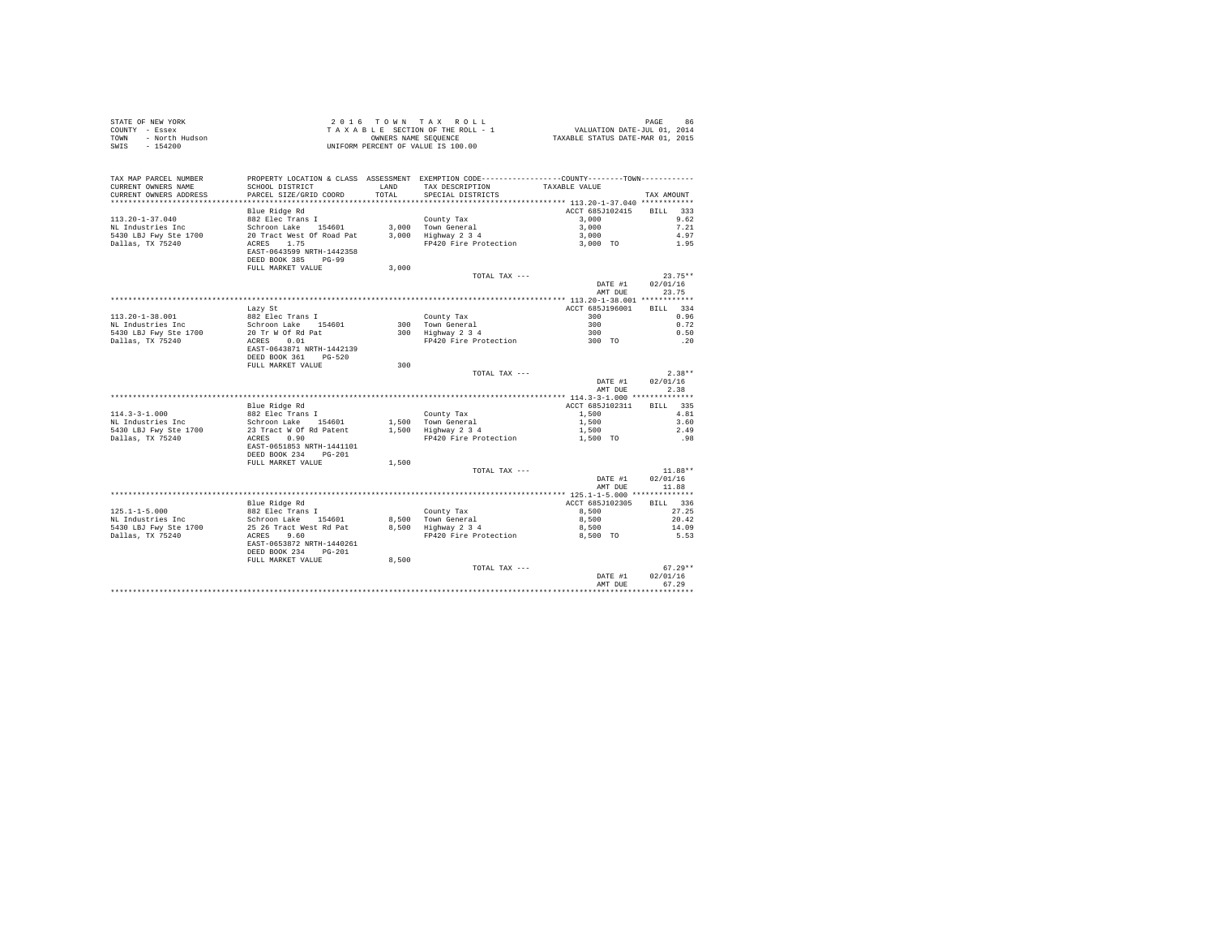| STATE OF NEW YORK<br>COUNTY - Essex<br>TOWN - North Hudson<br>SWIS - 154200                                                                                                                                                        |                                                                                                                                                                                |               | UNIFORM PERCENT OF VALUE IS 100.00                                                                                                                   |                          |                   |
|------------------------------------------------------------------------------------------------------------------------------------------------------------------------------------------------------------------------------------|--------------------------------------------------------------------------------------------------------------------------------------------------------------------------------|---------------|------------------------------------------------------------------------------------------------------------------------------------------------------|--------------------------|-------------------|
| TAX MAP PARCEL NUMBER<br>CURRENT OWNERS NAME<br>CURRENT OWNERS ADDRESS                                                                                                                                                             | SCHOOL DISTRICT<br>PARCEL SIZE/GRID COORD                                                                                                                                      | LAND<br>TOTAL | PROPERTY LOCATION & CLASS ASSESSMENT EXEMPTION CODE----------------COUNTY-------TOWN----------<br>TAX DESCRIPTION TAXABLE VALUE<br>SPECIAL DISTRICTS |                          | TAX AMOUNT        |
|                                                                                                                                                                                                                                    |                                                                                                                                                                                |               |                                                                                                                                                      |                          |                   |
|                                                                                                                                                                                                                                    |                                                                                                                                                                                |               |                                                                                                                                                      | ACCT 685J102415 BILL 333 |                   |
| 113.20-1-37.040<br>NL Industries Inc                                                                                                                                                                                               |                                                                                                                                                                                |               |                                                                                                                                                      | 3,000<br>3,000           | 9.62<br>7.21      |
| 5430 LBJ Fwy Ste 1700                                                                                                                                                                                                              |                                                                                                                                                                                |               |                                                                                                                                                      | 3,000                    | 4.97              |
| Dallas, TX 75240                                                                                                                                                                                                                   |                                                                                                                                                                                |               | FP420 Fire Protection 3,000 TO                                                                                                                       |                          | 1.95              |
|                                                                                                                                                                                                                                    | SB2 Elec Trans I<br>Schroon Lake 154601 3,000 Town General<br>20 Tract West of Road Pat 3,000 Highway 2 3 4<br>ACES 1.75<br>EART-0643500 When 2.1<br>EAST-0643599 NRTH-1442358 |               |                                                                                                                                                      |                          |                   |
|                                                                                                                                                                                                                                    | DEED BOOK 385 PG-99                                                                                                                                                            |               |                                                                                                                                                      |                          |                   |
|                                                                                                                                                                                                                                    | FULL MARKET VALUE                                                                                                                                                              | 3,000         |                                                                                                                                                      |                          |                   |
|                                                                                                                                                                                                                                    |                                                                                                                                                                                |               | TOTAL TAX ---                                                                                                                                        |                          | $23.75**$         |
|                                                                                                                                                                                                                                    |                                                                                                                                                                                |               |                                                                                                                                                      | DATE #1                  | 02/01/16          |
|                                                                                                                                                                                                                                    |                                                                                                                                                                                |               |                                                                                                                                                      | AMT DUE                  | 23.75             |
|                                                                                                                                                                                                                                    | Lazy St                                                                                                                                                                        |               |                                                                                                                                                      | ACCT 685J196001          | BILL 334          |
| $113.20 - 1 - 38.001$                                                                                                                                                                                                              |                                                                                                                                                                                |               |                                                                                                                                                      | 300                      | 0.96              |
| NL Industries Inc                                                                                                                                                                                                                  |                                                                                                                                                                                |               |                                                                                                                                                      |                          | 0.72              |
| 5430 LBJ Fwy Ste 1700<br>Dallas, TX 75240                                                                                                                                                                                          |                                                                                                                                                                                |               |                                                                                                                                                      |                          | 0.50              |
|                                                                                                                                                                                                                                    | 2022<br>Schroon Lake 154601<br>Schroon Lake 154601<br>20 Tr W Of Rd Pat<br>ACRES 0.01                                                                                          |               | County Tax<br>300 Town General 300<br>300 Highway 2 3 4 300<br>FP420 Fire Protection 300 TO                                                          |                          | $\ldots$ 20       |
|                                                                                                                                                                                                                                    | EAST-0643871 NRTH-1442139                                                                                                                                                      |               |                                                                                                                                                      |                          |                   |
|                                                                                                                                                                                                                                    | DEED BOOK 361 PG-520<br>FULL MARKET VALUE                                                                                                                                      | 300           |                                                                                                                                                      |                          |                   |
|                                                                                                                                                                                                                                    |                                                                                                                                                                                |               | TOTAL TAX ---                                                                                                                                        |                          | $2.38**$          |
|                                                                                                                                                                                                                                    |                                                                                                                                                                                |               |                                                                                                                                                      | DATE #1                  | 02/01/16          |
|                                                                                                                                                                                                                                    |                                                                                                                                                                                |               |                                                                                                                                                      | AMT DUE                  | 2.38              |
|                                                                                                                                                                                                                                    |                                                                                                                                                                                |               |                                                                                                                                                      |                          |                   |
|                                                                                                                                                                                                                                    | Blue Ridge Rd                                                                                                                                                                  |               |                                                                                                                                                      | ACCT 685J102311          | BILL 335          |
|                                                                                                                                                                                                                                    |                                                                                                                                                                                |               |                                                                                                                                                      |                          | 4.81              |
|                                                                                                                                                                                                                                    |                                                                                                                                                                                |               |                                                                                                                                                      |                          | 3.60<br>2.49      |
| 114.3-3-1.000 Blue Ridge Rd Brams I (County Tax accr 685102311<br>ML Industries Inc Schroon Lake 154601 1,500 Town General 1,500<br>5430 Lab Pay State 1700 23 Tract W.Of Rd Patent 1,500 Highway 2.3 Tract 1,500 Tollas, TX 75240 |                                                                                                                                                                                |               |                                                                                                                                                      |                          | .98               |
|                                                                                                                                                                                                                                    | EAST-0651853 NRTH-1441101                                                                                                                                                      |               |                                                                                                                                                      |                          |                   |
|                                                                                                                                                                                                                                    | DEED BOOK 234 PG-201                                                                                                                                                           |               |                                                                                                                                                      |                          |                   |
|                                                                                                                                                                                                                                    | FULL MARKET VALUE                                                                                                                                                              | 1,500         |                                                                                                                                                      |                          |                   |
|                                                                                                                                                                                                                                    |                                                                                                                                                                                |               | TOTAL TAX ---                                                                                                                                        |                          | $11.88**$         |
|                                                                                                                                                                                                                                    |                                                                                                                                                                                |               |                                                                                                                                                      | DATE #1<br>AMT DUE       | 02/01/16<br>11.88 |
|                                                                                                                                                                                                                                    |                                                                                                                                                                                |               |                                                                                                                                                      |                          |                   |
|                                                                                                                                                                                                                                    | Blue Ridge Rd                                                                                                                                                                  |               |                                                                                                                                                      | ACCT 685J102305          | BTLL 336          |
|                                                                                                                                                                                                                                    |                                                                                                                                                                                |               |                                                                                                                                                      | 8,500                    | 27.25             |
|                                                                                                                                                                                                                                    |                                                                                                                                                                                |               |                                                                                                                                                      |                          | 20.42             |
|                                                                                                                                                                                                                                    |                                                                                                                                                                                |               |                                                                                                                                                      |                          | 14.09             |
|                                                                                                                                                                                                                                    |                                                                                                                                                                                |               |                                                                                                                                                      |                          | 5.53              |
|                                                                                                                                                                                                                                    | DEED BOOK 234 PG-201                                                                                                                                                           |               |                                                                                                                                                      |                          |                   |
|                                                                                                                                                                                                                                    | FULL MARKET VALUE                                                                                                                                                              | 8,500         |                                                                                                                                                      |                          |                   |
|                                                                                                                                                                                                                                    |                                                                                                                                                                                |               | TOTAL TAX ---                                                                                                                                        |                          | $67.29**$         |
|                                                                                                                                                                                                                                    |                                                                                                                                                                                |               |                                                                                                                                                      | DATE #1                  | 02/01/16          |
|                                                                                                                                                                                                                                    |                                                                                                                                                                                |               |                                                                                                                                                      | AMT DUE                  | 67.29             |
|                                                                                                                                                                                                                                    |                                                                                                                                                                                |               |                                                                                                                                                      |                          |                   |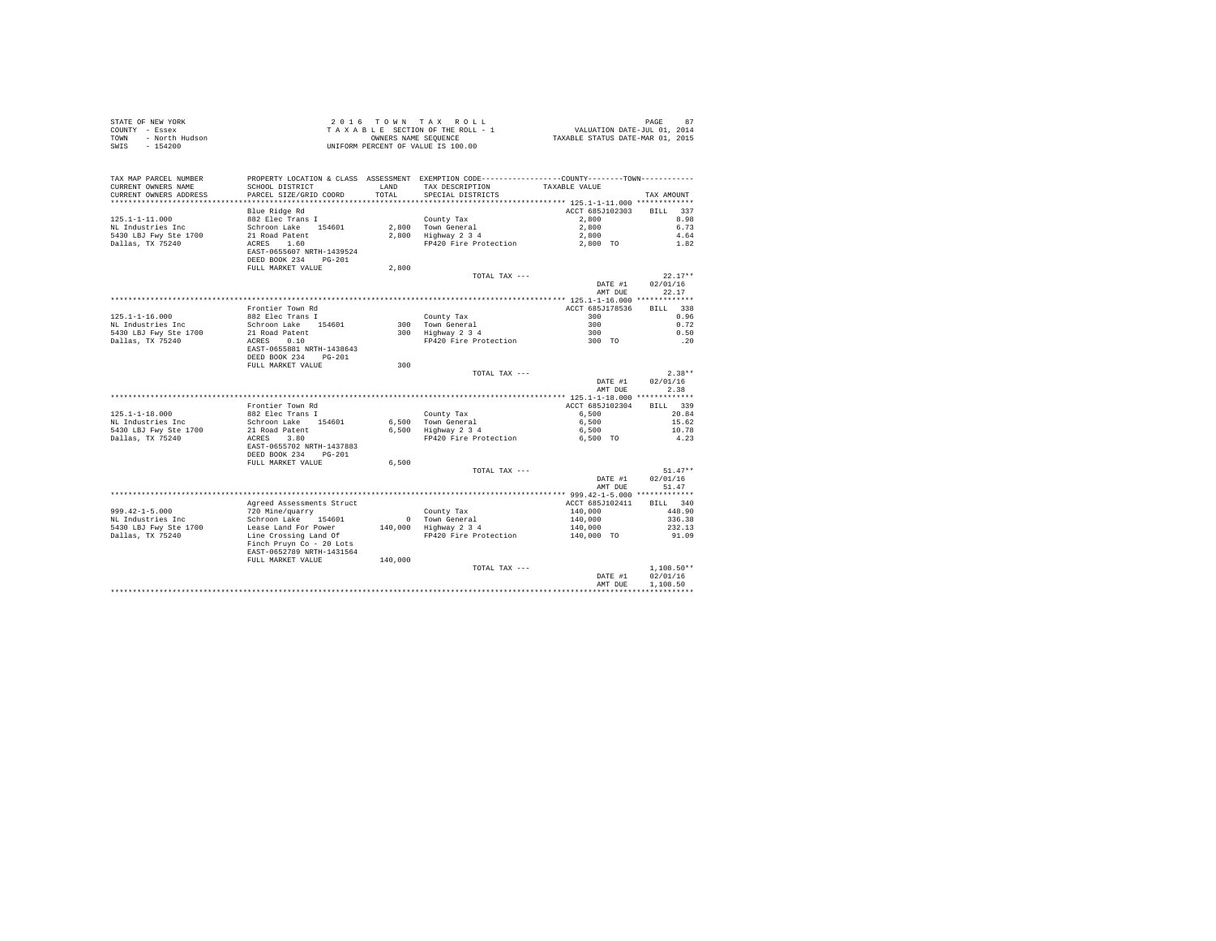| STATE OF NEW YORK<br>COUNTY - Essex<br>TOWN<br>SWIS - 154200 |                                                                                |         |                                                                                                                  |                    |                              |
|--------------------------------------------------------------|--------------------------------------------------------------------------------|---------|------------------------------------------------------------------------------------------------------------------|--------------------|------------------------------|
| TAX MAP PARCEL NUMBER<br>CURRENT OWNERS NAME                 | SCHOOL DISTRICT                                                                | LAND    | PROPERTY LOCATION & CLASS ASSESSMENT EXEMPTION CODE---------------COUNTY-------TOWN----------<br>TAX DESCRIPTION | TAXABLE VALUE      |                              |
| CURRENT OWNERS ADDRESS                                       | PARCEL SIZE/GRID COORD                                                         | TOTAL   | SPECIAL DISTRICTS                                                                                                |                    | TAX AMOUNT                   |
|                                                              |                                                                                |         |                                                                                                                  |                    |                              |
|                                                              | Blue Ridge Rd                                                                  |         |                                                                                                                  | ACCT 685J102303    | BILL 337                     |
| $125.1 - 1 - 11.000$                                         | 882 Elec Trans I                                                               |         | County Tax                                                                                                       | 2,800              | 8.98                         |
| NL Industries Inc                                            |                                                                                |         | 2.800 Town General                                                                                               | 2,800              | 6.73                         |
| 5430 LBJ Fwy Ste 1700                                        | Schroon Lake 154601<br>21 Road Patent<br>ACRES 1.60                            |         | 2,800 Highway 2 3 4                                                                                              | 2,800              | 4.64                         |
| Dallas, TX 75240                                             | EAST-0655607 NRTH-1439524<br>DEED BOOK 234 PG-201                              |         | FP420 Fire Protection                                                                                            | 2,800 TO           | 1.82                         |
|                                                              | FULL MARKET VALUE                                                              | 2,800   |                                                                                                                  |                    |                              |
|                                                              |                                                                                |         | TOTAL TAX ---                                                                                                    |                    | $22.17**$                    |
|                                                              |                                                                                |         |                                                                                                                  | DATE #1            | 02/01/16                     |
|                                                              |                                                                                |         |                                                                                                                  | AMT DUE            | 22.17                        |
|                                                              | Frontier Town Rd                                                               |         |                                                                                                                  | ACCT 685J178536    | RTLL 338                     |
| $125.1 - 1 - 16.000$                                         | 882 Elec Trans I                                                               |         | County Tax                                                                                                       | 300                | 0.96                         |
| NL Industries Inc                                            | Schroon Lake 154601                                                            |         |                                                                                                                  | 300                | 0.72                         |
| 5430 LBJ Fwy Ste 1700                                        | 21 Road Patent                                                                 |         | 300 Town General<br>300 Highway 2 3 4                                                                            | 300<br>300 TO      | 0.50                         |
| Dallas, TX 75240                                             | ACRES 0.10<br>EAST-0655881 NRTH-1438643<br>DEED BOOK 234 PG-201                |         | FP420 Fire Protection                                                                                            |                    | .20                          |
|                                                              | FULL MARKET VALUE                                                              | 300     |                                                                                                                  |                    |                              |
|                                                              |                                                                                |         | TOTAL TAX ---                                                                                                    | DATE #1<br>AMT DUE | $2.38**$<br>02/01/16<br>2.38 |
|                                                              |                                                                                |         |                                                                                                                  |                    |                              |
|                                                              | Frontier Town Rd                                                               |         |                                                                                                                  | ACCT 685J102304    | BILL 339                     |
| $125.1 - 1 - 18.000$                                         | 882 Elec Trans I                                                               |         | County Tax                                                                                                       | 6,500              | 20.84                        |
| NL Industries Inc                                            | Schroon Lake 154601                                                            |         | 6.500 Town General                                                                                               | 6,500              | 15.62                        |
| 5430 LBJ Fwy Ste 1700                                        | 21 Road Patent<br>ACRES 3.80                                                   |         | $6,500$ Highway $2,3,4$                                                                                          | 6,500              | 10.78                        |
| Dallas, TX 75240                                             | EAST-0655702 NRTH-1437883                                                      |         | FP420 Fire Protection                                                                                            | 6,500 TO           | 4.23                         |
|                                                              | DEED BOOK 234 PG-201                                                           | 6,500   |                                                                                                                  |                    |                              |
|                                                              | FULL MARKET VALUE                                                              |         | TOTAL TAX ---                                                                                                    |                    | $51.47**$                    |
|                                                              |                                                                                |         |                                                                                                                  | DATE #1            | 02/01/16                     |
|                                                              |                                                                                |         |                                                                                                                  | AMT DUE            | 51.47                        |
|                                                              |                                                                                |         |                                                                                                                  |                    |                              |
|                                                              | Agreed Assessments Struct                                                      |         |                                                                                                                  | ACCT 685J102411    | BILL 340                     |
| $999.42 - 1 - 5.000$                                         | 720 Mine/guarry                                                                |         | County Tax                                                                                                       | 140,000            | 448.90                       |
| NL Industries Inc                                            | Schroon Lake 154601                                                            |         | 0 Town General<br>$140,000$ Highway $2\overline{3}4$                                                             | 140,000            | 336.38                       |
| 5430 LBJ Fwy Ste 1700                                        | Lease Land For Power                                                           |         |                                                                                                                  | 140,000            | 232.13<br>91.09              |
| Dallas, TX 75240                                             | Line Crossing Land Of<br>Finch Pruyn Co - 20 Lots<br>EAST-0652789 NRTH-1431564 |         | FP420 Fire Protection                                                                                            | 140,000 TO         |                              |
|                                                              | FULL MARKET VALUE                                                              | 140,000 |                                                                                                                  |                    |                              |
|                                                              |                                                                                |         | TOTAL TAX ---                                                                                                    |                    | $1.108.50**$<br>02/01/16     |
|                                                              |                                                                                |         |                                                                                                                  | DATE #1<br>AMT DUE | 1,108.50                     |
|                                                              |                                                                                |         |                                                                                                                  |                    |                              |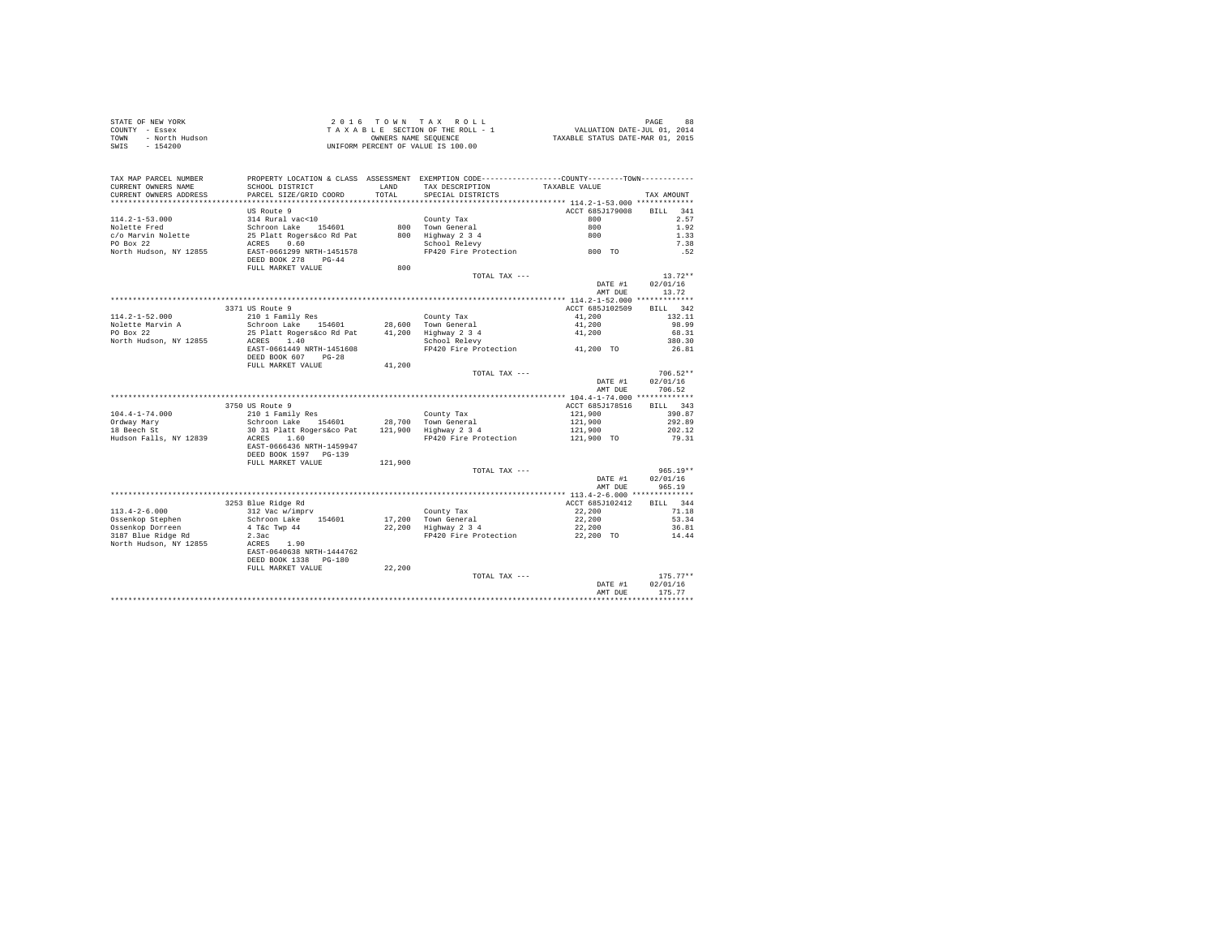| STATE OF NEW YORK      | 2016 TOWN TAX ROLL                 | 88<br>PAGE                       |
|------------------------|------------------------------------|----------------------------------|
| COUNTY - Essex         | TAXABLE SECTION OF THE ROLL - 1    | VALUATION DATE-JUL 01, 2014      |
| TOWN<br>- North Hudson | OWNERS NAME SEOUENCE               | TAXABLE STATUS DATE-MAR 01, 2015 |
| - 154200<br>SWIS       | UNIFORM PERCENT OF VALUE IS 100.00 |                                  |

| TAX AMOUNT<br>*************************<br>US Route 9<br>ACCT 685J179008<br>BTLL.<br>341<br>2.57<br>$114.2 - 1 - 53.000$<br>314 Rural vac<10<br>County Tax<br>800<br>Nolette Fred<br>Schroon Lake 154601<br>800 Town General<br>800<br>1.92<br>c/o Marvin Nolette<br>25 Platt Rogers&co Rd Pat<br>800 Highway 2 3 4<br>800<br>1.33<br>PO Box 22<br>0.60<br>7.38<br>School Relevy<br>ACRES<br>FP420 Fire Protection 800 TO<br>.52<br>North Hudson, NY 12855<br>EAST-0661299 NRTH-1451578<br>DEED BOOK 278<br>$PG-44$<br>800<br>FULL MARKET VALUE<br>$13.72**$<br>TOTAL TAX ---<br>DATE #1<br>02/01/16<br>13.72<br>AMT DUE<br>************ 114.2-1-52.000 *************<br>3371 US Route 9<br>ACCT 685J102509<br>BILL 342<br>$114.2 - 1 - 52.000$<br>210 1 Family Res<br>County Tax<br>41,200<br>132.11<br>28,600 Town General<br>Nolette Marvin A<br>Schroon Lake 154601<br>41,200<br>98.99<br>PO Box 22<br>25 Platt Rogers&co Rd Pat<br>41,200 Highway 2 3 4<br>68.31<br>41,200<br>North Hudson, NY 12855<br>1.40<br>380.30<br>ACRES<br>School Relevy<br>41,200 TO<br>EAST-0661449 NRTH-1451608<br>FP420 Fire Protection<br>26.81<br>DEED BOOK 607<br>$PG-28$<br>41,200<br>FULL MARKET VALUE<br>$706.52**$<br>TOTAL TAX ---<br>DATE #1<br>02/01/16<br>706.52<br>AMT DUE<br>3750 US Route 9<br>ACCT 685J178516<br>BILL 343<br>$104.4 - 1 - 74.000$<br>210 1 Family Res<br>121,900<br>390.87<br>County Tax<br>28,700 Town General<br>121,900 Highway 2 3 4<br>121,900<br>292.89<br>Ordway Mary<br>Schroon Lake 154601<br>30 31 Platt Rogers&co Pat<br>18 Beech St<br>121,900<br>202.12<br>Hudson Falls, NY 12839<br>FP420 Fire Protection<br>ACRES<br>1.60<br>121,900 TO<br>79.31<br>EAST-0666436 NRTH-1459947<br>DEED BOOK 1597 PG-139<br>FULL MARKET VALUE<br>121,900<br>$965.19**$<br>TOTAL TAX ---<br>02/01/16<br>DATE #1<br>965.19<br>AMT DUE<br>3253 Blue Ridge Rd<br>ACCT 685J102412<br>BILL 344<br>$113.4 - 2 - 6.000$<br>22,200<br>71.18<br>312 Vac w/imprv<br>County Tax<br>Ossenkop Stephen<br>Schroon Lake<br>154601<br>17,200 Town General<br>22,200<br>53.34<br>Ossenkop Dorreen<br>22,200 Highway 2 3 4<br>4 T&c Twp 44<br>22,200<br>36.81<br>3187 Blue Ridge Rd<br>2.3ac<br>FP420 Fire Protection<br>22,200 TO<br>14.44<br>North Hudson, NY 12855<br>ACRES<br>1.90<br>EAST-0640638 NRTH-1444762<br>DEED BOOK 1338 PG-180<br>22,200<br>FULL MARKET VALUE<br>$175.77**$<br>TOTAL TAX ---<br>02/01/16<br>DATE #1<br>175.77<br>AMT DUE | TAX MAP PARCEL NUMBER<br>CURRENT OWNERS NAME | PROPERTY LOCATION & CLASS ASSESSMENT EXEMPTION CODE---------------COUNTY-------TOWN---------<br>SCHOOL DISTRICT | LAND  | TAX DESCRIPTION   | TAXABLE VALUE |  |
|--------------------------------------------------------------------------------------------------------------------------------------------------------------------------------------------------------------------------------------------------------------------------------------------------------------------------------------------------------------------------------------------------------------------------------------------------------------------------------------------------------------------------------------------------------------------------------------------------------------------------------------------------------------------------------------------------------------------------------------------------------------------------------------------------------------------------------------------------------------------------------------------------------------------------------------------------------------------------------------------------------------------------------------------------------------------------------------------------------------------------------------------------------------------------------------------------------------------------------------------------------------------------------------------------------------------------------------------------------------------------------------------------------------------------------------------------------------------------------------------------------------------------------------------------------------------------------------------------------------------------------------------------------------------------------------------------------------------------------------------------------------------------------------------------------------------------------------------------------------------------------------------------------------------------------------------------------------------------------------------------------------------------------------------------------------------------------------------------------------------------------------------------------------------------------------------------------------------------------------------------------------------------------------------------------------------------------------------------------------------------------------------------------------------------------------------------|----------------------------------------------|-----------------------------------------------------------------------------------------------------------------|-------|-------------------|---------------|--|
|                                                                                                                                                                                                                                                                                                                                                                                                                                                                                                                                                                                                                                                                                                                                                                                                                                                                                                                                                                                                                                                                                                                                                                                                                                                                                                                                                                                                                                                                                                                                                                                                                                                                                                                                                                                                                                                                                                                                                                                                                                                                                                                                                                                                                                                                                                                                                                                                                                                  | CURRENT OWNERS ADDRESS                       | PARCEL SIZE/GRID COORD                                                                                          | TOTAL | SPECIAL DISTRICTS |               |  |
|                                                                                                                                                                                                                                                                                                                                                                                                                                                                                                                                                                                                                                                                                                                                                                                                                                                                                                                                                                                                                                                                                                                                                                                                                                                                                                                                                                                                                                                                                                                                                                                                                                                                                                                                                                                                                                                                                                                                                                                                                                                                                                                                                                                                                                                                                                                                                                                                                                                  |                                              |                                                                                                                 |       |                   |               |  |
|                                                                                                                                                                                                                                                                                                                                                                                                                                                                                                                                                                                                                                                                                                                                                                                                                                                                                                                                                                                                                                                                                                                                                                                                                                                                                                                                                                                                                                                                                                                                                                                                                                                                                                                                                                                                                                                                                                                                                                                                                                                                                                                                                                                                                                                                                                                                                                                                                                                  |                                              |                                                                                                                 |       |                   |               |  |
|                                                                                                                                                                                                                                                                                                                                                                                                                                                                                                                                                                                                                                                                                                                                                                                                                                                                                                                                                                                                                                                                                                                                                                                                                                                                                                                                                                                                                                                                                                                                                                                                                                                                                                                                                                                                                                                                                                                                                                                                                                                                                                                                                                                                                                                                                                                                                                                                                                                  |                                              |                                                                                                                 |       |                   |               |  |
|                                                                                                                                                                                                                                                                                                                                                                                                                                                                                                                                                                                                                                                                                                                                                                                                                                                                                                                                                                                                                                                                                                                                                                                                                                                                                                                                                                                                                                                                                                                                                                                                                                                                                                                                                                                                                                                                                                                                                                                                                                                                                                                                                                                                                                                                                                                                                                                                                                                  |                                              |                                                                                                                 |       |                   |               |  |
|                                                                                                                                                                                                                                                                                                                                                                                                                                                                                                                                                                                                                                                                                                                                                                                                                                                                                                                                                                                                                                                                                                                                                                                                                                                                                                                                                                                                                                                                                                                                                                                                                                                                                                                                                                                                                                                                                                                                                                                                                                                                                                                                                                                                                                                                                                                                                                                                                                                  |                                              |                                                                                                                 |       |                   |               |  |
|                                                                                                                                                                                                                                                                                                                                                                                                                                                                                                                                                                                                                                                                                                                                                                                                                                                                                                                                                                                                                                                                                                                                                                                                                                                                                                                                                                                                                                                                                                                                                                                                                                                                                                                                                                                                                                                                                                                                                                                                                                                                                                                                                                                                                                                                                                                                                                                                                                                  |                                              |                                                                                                                 |       |                   |               |  |
|                                                                                                                                                                                                                                                                                                                                                                                                                                                                                                                                                                                                                                                                                                                                                                                                                                                                                                                                                                                                                                                                                                                                                                                                                                                                                                                                                                                                                                                                                                                                                                                                                                                                                                                                                                                                                                                                                                                                                                                                                                                                                                                                                                                                                                                                                                                                                                                                                                                  |                                              |                                                                                                                 |       |                   |               |  |
|                                                                                                                                                                                                                                                                                                                                                                                                                                                                                                                                                                                                                                                                                                                                                                                                                                                                                                                                                                                                                                                                                                                                                                                                                                                                                                                                                                                                                                                                                                                                                                                                                                                                                                                                                                                                                                                                                                                                                                                                                                                                                                                                                                                                                                                                                                                                                                                                                                                  |                                              |                                                                                                                 |       |                   |               |  |
|                                                                                                                                                                                                                                                                                                                                                                                                                                                                                                                                                                                                                                                                                                                                                                                                                                                                                                                                                                                                                                                                                                                                                                                                                                                                                                                                                                                                                                                                                                                                                                                                                                                                                                                                                                                                                                                                                                                                                                                                                                                                                                                                                                                                                                                                                                                                                                                                                                                  |                                              |                                                                                                                 |       |                   |               |  |
|                                                                                                                                                                                                                                                                                                                                                                                                                                                                                                                                                                                                                                                                                                                                                                                                                                                                                                                                                                                                                                                                                                                                                                                                                                                                                                                                                                                                                                                                                                                                                                                                                                                                                                                                                                                                                                                                                                                                                                                                                                                                                                                                                                                                                                                                                                                                                                                                                                                  |                                              |                                                                                                                 |       |                   |               |  |
|                                                                                                                                                                                                                                                                                                                                                                                                                                                                                                                                                                                                                                                                                                                                                                                                                                                                                                                                                                                                                                                                                                                                                                                                                                                                                                                                                                                                                                                                                                                                                                                                                                                                                                                                                                                                                                                                                                                                                                                                                                                                                                                                                                                                                                                                                                                                                                                                                                                  |                                              |                                                                                                                 |       |                   |               |  |
|                                                                                                                                                                                                                                                                                                                                                                                                                                                                                                                                                                                                                                                                                                                                                                                                                                                                                                                                                                                                                                                                                                                                                                                                                                                                                                                                                                                                                                                                                                                                                                                                                                                                                                                                                                                                                                                                                                                                                                                                                                                                                                                                                                                                                                                                                                                                                                                                                                                  |                                              |                                                                                                                 |       |                   |               |  |
|                                                                                                                                                                                                                                                                                                                                                                                                                                                                                                                                                                                                                                                                                                                                                                                                                                                                                                                                                                                                                                                                                                                                                                                                                                                                                                                                                                                                                                                                                                                                                                                                                                                                                                                                                                                                                                                                                                                                                                                                                                                                                                                                                                                                                                                                                                                                                                                                                                                  |                                              |                                                                                                                 |       |                   |               |  |
|                                                                                                                                                                                                                                                                                                                                                                                                                                                                                                                                                                                                                                                                                                                                                                                                                                                                                                                                                                                                                                                                                                                                                                                                                                                                                                                                                                                                                                                                                                                                                                                                                                                                                                                                                                                                                                                                                                                                                                                                                                                                                                                                                                                                                                                                                                                                                                                                                                                  |                                              |                                                                                                                 |       |                   |               |  |
|                                                                                                                                                                                                                                                                                                                                                                                                                                                                                                                                                                                                                                                                                                                                                                                                                                                                                                                                                                                                                                                                                                                                                                                                                                                                                                                                                                                                                                                                                                                                                                                                                                                                                                                                                                                                                                                                                                                                                                                                                                                                                                                                                                                                                                                                                                                                                                                                                                                  |                                              |                                                                                                                 |       |                   |               |  |
|                                                                                                                                                                                                                                                                                                                                                                                                                                                                                                                                                                                                                                                                                                                                                                                                                                                                                                                                                                                                                                                                                                                                                                                                                                                                                                                                                                                                                                                                                                                                                                                                                                                                                                                                                                                                                                                                                                                                                                                                                                                                                                                                                                                                                                                                                                                                                                                                                                                  |                                              |                                                                                                                 |       |                   |               |  |
|                                                                                                                                                                                                                                                                                                                                                                                                                                                                                                                                                                                                                                                                                                                                                                                                                                                                                                                                                                                                                                                                                                                                                                                                                                                                                                                                                                                                                                                                                                                                                                                                                                                                                                                                                                                                                                                                                                                                                                                                                                                                                                                                                                                                                                                                                                                                                                                                                                                  |                                              |                                                                                                                 |       |                   |               |  |
|                                                                                                                                                                                                                                                                                                                                                                                                                                                                                                                                                                                                                                                                                                                                                                                                                                                                                                                                                                                                                                                                                                                                                                                                                                                                                                                                                                                                                                                                                                                                                                                                                                                                                                                                                                                                                                                                                                                                                                                                                                                                                                                                                                                                                                                                                                                                                                                                                                                  |                                              |                                                                                                                 |       |                   |               |  |
|                                                                                                                                                                                                                                                                                                                                                                                                                                                                                                                                                                                                                                                                                                                                                                                                                                                                                                                                                                                                                                                                                                                                                                                                                                                                                                                                                                                                                                                                                                                                                                                                                                                                                                                                                                                                                                                                                                                                                                                                                                                                                                                                                                                                                                                                                                                                                                                                                                                  |                                              |                                                                                                                 |       |                   |               |  |
|                                                                                                                                                                                                                                                                                                                                                                                                                                                                                                                                                                                                                                                                                                                                                                                                                                                                                                                                                                                                                                                                                                                                                                                                                                                                                                                                                                                                                                                                                                                                                                                                                                                                                                                                                                                                                                                                                                                                                                                                                                                                                                                                                                                                                                                                                                                                                                                                                                                  |                                              |                                                                                                                 |       |                   |               |  |
|                                                                                                                                                                                                                                                                                                                                                                                                                                                                                                                                                                                                                                                                                                                                                                                                                                                                                                                                                                                                                                                                                                                                                                                                                                                                                                                                                                                                                                                                                                                                                                                                                                                                                                                                                                                                                                                                                                                                                                                                                                                                                                                                                                                                                                                                                                                                                                                                                                                  |                                              |                                                                                                                 |       |                   |               |  |
|                                                                                                                                                                                                                                                                                                                                                                                                                                                                                                                                                                                                                                                                                                                                                                                                                                                                                                                                                                                                                                                                                                                                                                                                                                                                                                                                                                                                                                                                                                                                                                                                                                                                                                                                                                                                                                                                                                                                                                                                                                                                                                                                                                                                                                                                                                                                                                                                                                                  |                                              |                                                                                                                 |       |                   |               |  |
|                                                                                                                                                                                                                                                                                                                                                                                                                                                                                                                                                                                                                                                                                                                                                                                                                                                                                                                                                                                                                                                                                                                                                                                                                                                                                                                                                                                                                                                                                                                                                                                                                                                                                                                                                                                                                                                                                                                                                                                                                                                                                                                                                                                                                                                                                                                                                                                                                                                  |                                              |                                                                                                                 |       |                   |               |  |
|                                                                                                                                                                                                                                                                                                                                                                                                                                                                                                                                                                                                                                                                                                                                                                                                                                                                                                                                                                                                                                                                                                                                                                                                                                                                                                                                                                                                                                                                                                                                                                                                                                                                                                                                                                                                                                                                                                                                                                                                                                                                                                                                                                                                                                                                                                                                                                                                                                                  |                                              |                                                                                                                 |       |                   |               |  |
|                                                                                                                                                                                                                                                                                                                                                                                                                                                                                                                                                                                                                                                                                                                                                                                                                                                                                                                                                                                                                                                                                                                                                                                                                                                                                                                                                                                                                                                                                                                                                                                                                                                                                                                                                                                                                                                                                                                                                                                                                                                                                                                                                                                                                                                                                                                                                                                                                                                  |                                              |                                                                                                                 |       |                   |               |  |
|                                                                                                                                                                                                                                                                                                                                                                                                                                                                                                                                                                                                                                                                                                                                                                                                                                                                                                                                                                                                                                                                                                                                                                                                                                                                                                                                                                                                                                                                                                                                                                                                                                                                                                                                                                                                                                                                                                                                                                                                                                                                                                                                                                                                                                                                                                                                                                                                                                                  |                                              |                                                                                                                 |       |                   |               |  |
|                                                                                                                                                                                                                                                                                                                                                                                                                                                                                                                                                                                                                                                                                                                                                                                                                                                                                                                                                                                                                                                                                                                                                                                                                                                                                                                                                                                                                                                                                                                                                                                                                                                                                                                                                                                                                                                                                                                                                                                                                                                                                                                                                                                                                                                                                                                                                                                                                                                  |                                              |                                                                                                                 |       |                   |               |  |
|                                                                                                                                                                                                                                                                                                                                                                                                                                                                                                                                                                                                                                                                                                                                                                                                                                                                                                                                                                                                                                                                                                                                                                                                                                                                                                                                                                                                                                                                                                                                                                                                                                                                                                                                                                                                                                                                                                                                                                                                                                                                                                                                                                                                                                                                                                                                                                                                                                                  |                                              |                                                                                                                 |       |                   |               |  |
|                                                                                                                                                                                                                                                                                                                                                                                                                                                                                                                                                                                                                                                                                                                                                                                                                                                                                                                                                                                                                                                                                                                                                                                                                                                                                                                                                                                                                                                                                                                                                                                                                                                                                                                                                                                                                                                                                                                                                                                                                                                                                                                                                                                                                                                                                                                                                                                                                                                  |                                              |                                                                                                                 |       |                   |               |  |
|                                                                                                                                                                                                                                                                                                                                                                                                                                                                                                                                                                                                                                                                                                                                                                                                                                                                                                                                                                                                                                                                                                                                                                                                                                                                                                                                                                                                                                                                                                                                                                                                                                                                                                                                                                                                                                                                                                                                                                                                                                                                                                                                                                                                                                                                                                                                                                                                                                                  |                                              |                                                                                                                 |       |                   |               |  |
|                                                                                                                                                                                                                                                                                                                                                                                                                                                                                                                                                                                                                                                                                                                                                                                                                                                                                                                                                                                                                                                                                                                                                                                                                                                                                                                                                                                                                                                                                                                                                                                                                                                                                                                                                                                                                                                                                                                                                                                                                                                                                                                                                                                                                                                                                                                                                                                                                                                  |                                              |                                                                                                                 |       |                   |               |  |
|                                                                                                                                                                                                                                                                                                                                                                                                                                                                                                                                                                                                                                                                                                                                                                                                                                                                                                                                                                                                                                                                                                                                                                                                                                                                                                                                                                                                                                                                                                                                                                                                                                                                                                                                                                                                                                                                                                                                                                                                                                                                                                                                                                                                                                                                                                                                                                                                                                                  |                                              |                                                                                                                 |       |                   |               |  |
|                                                                                                                                                                                                                                                                                                                                                                                                                                                                                                                                                                                                                                                                                                                                                                                                                                                                                                                                                                                                                                                                                                                                                                                                                                                                                                                                                                                                                                                                                                                                                                                                                                                                                                                                                                                                                                                                                                                                                                                                                                                                                                                                                                                                                                                                                                                                                                                                                                                  |                                              |                                                                                                                 |       |                   |               |  |
|                                                                                                                                                                                                                                                                                                                                                                                                                                                                                                                                                                                                                                                                                                                                                                                                                                                                                                                                                                                                                                                                                                                                                                                                                                                                                                                                                                                                                                                                                                                                                                                                                                                                                                                                                                                                                                                                                                                                                                                                                                                                                                                                                                                                                                                                                                                                                                                                                                                  |                                              |                                                                                                                 |       |                   |               |  |
|                                                                                                                                                                                                                                                                                                                                                                                                                                                                                                                                                                                                                                                                                                                                                                                                                                                                                                                                                                                                                                                                                                                                                                                                                                                                                                                                                                                                                                                                                                                                                                                                                                                                                                                                                                                                                                                                                                                                                                                                                                                                                                                                                                                                                                                                                                                                                                                                                                                  |                                              |                                                                                                                 |       |                   |               |  |
|                                                                                                                                                                                                                                                                                                                                                                                                                                                                                                                                                                                                                                                                                                                                                                                                                                                                                                                                                                                                                                                                                                                                                                                                                                                                                                                                                                                                                                                                                                                                                                                                                                                                                                                                                                                                                                                                                                                                                                                                                                                                                                                                                                                                                                                                                                                                                                                                                                                  |                                              |                                                                                                                 |       |                   |               |  |
|                                                                                                                                                                                                                                                                                                                                                                                                                                                                                                                                                                                                                                                                                                                                                                                                                                                                                                                                                                                                                                                                                                                                                                                                                                                                                                                                                                                                                                                                                                                                                                                                                                                                                                                                                                                                                                                                                                                                                                                                                                                                                                                                                                                                                                                                                                                                                                                                                                                  |                                              |                                                                                                                 |       |                   |               |  |
|                                                                                                                                                                                                                                                                                                                                                                                                                                                                                                                                                                                                                                                                                                                                                                                                                                                                                                                                                                                                                                                                                                                                                                                                                                                                                                                                                                                                                                                                                                                                                                                                                                                                                                                                                                                                                                                                                                                                                                                                                                                                                                                                                                                                                                                                                                                                                                                                                                                  |                                              |                                                                                                                 |       |                   |               |  |
|                                                                                                                                                                                                                                                                                                                                                                                                                                                                                                                                                                                                                                                                                                                                                                                                                                                                                                                                                                                                                                                                                                                                                                                                                                                                                                                                                                                                                                                                                                                                                                                                                                                                                                                                                                                                                                                                                                                                                                                                                                                                                                                                                                                                                                                                                                                                                                                                                                                  |                                              |                                                                                                                 |       |                   |               |  |
|                                                                                                                                                                                                                                                                                                                                                                                                                                                                                                                                                                                                                                                                                                                                                                                                                                                                                                                                                                                                                                                                                                                                                                                                                                                                                                                                                                                                                                                                                                                                                                                                                                                                                                                                                                                                                                                                                                                                                                                                                                                                                                                                                                                                                                                                                                                                                                                                                                                  |                                              |                                                                                                                 |       |                   |               |  |
|                                                                                                                                                                                                                                                                                                                                                                                                                                                                                                                                                                                                                                                                                                                                                                                                                                                                                                                                                                                                                                                                                                                                                                                                                                                                                                                                                                                                                                                                                                                                                                                                                                                                                                                                                                                                                                                                                                                                                                                                                                                                                                                                                                                                                                                                                                                                                                                                                                                  |                                              |                                                                                                                 |       |                   |               |  |
|                                                                                                                                                                                                                                                                                                                                                                                                                                                                                                                                                                                                                                                                                                                                                                                                                                                                                                                                                                                                                                                                                                                                                                                                                                                                                                                                                                                                                                                                                                                                                                                                                                                                                                                                                                                                                                                                                                                                                                                                                                                                                                                                                                                                                                                                                                                                                                                                                                                  |                                              |                                                                                                                 |       |                   |               |  |
|                                                                                                                                                                                                                                                                                                                                                                                                                                                                                                                                                                                                                                                                                                                                                                                                                                                                                                                                                                                                                                                                                                                                                                                                                                                                                                                                                                                                                                                                                                                                                                                                                                                                                                                                                                                                                                                                                                                                                                                                                                                                                                                                                                                                                                                                                                                                                                                                                                                  |                                              |                                                                                                                 |       |                   |               |  |
|                                                                                                                                                                                                                                                                                                                                                                                                                                                                                                                                                                                                                                                                                                                                                                                                                                                                                                                                                                                                                                                                                                                                                                                                                                                                                                                                                                                                                                                                                                                                                                                                                                                                                                                                                                                                                                                                                                                                                                                                                                                                                                                                                                                                                                                                                                                                                                                                                                                  |                                              |                                                                                                                 |       |                   |               |  |
|                                                                                                                                                                                                                                                                                                                                                                                                                                                                                                                                                                                                                                                                                                                                                                                                                                                                                                                                                                                                                                                                                                                                                                                                                                                                                                                                                                                                                                                                                                                                                                                                                                                                                                                                                                                                                                                                                                                                                                                                                                                                                                                                                                                                                                                                                                                                                                                                                                                  |                                              |                                                                                                                 |       |                   |               |  |
|                                                                                                                                                                                                                                                                                                                                                                                                                                                                                                                                                                                                                                                                                                                                                                                                                                                                                                                                                                                                                                                                                                                                                                                                                                                                                                                                                                                                                                                                                                                                                                                                                                                                                                                                                                                                                                                                                                                                                                                                                                                                                                                                                                                                                                                                                                                                                                                                                                                  |                                              |                                                                                                                 |       |                   |               |  |
|                                                                                                                                                                                                                                                                                                                                                                                                                                                                                                                                                                                                                                                                                                                                                                                                                                                                                                                                                                                                                                                                                                                                                                                                                                                                                                                                                                                                                                                                                                                                                                                                                                                                                                                                                                                                                                                                                                                                                                                                                                                                                                                                                                                                                                                                                                                                                                                                                                                  |                                              |                                                                                                                 |       |                   |               |  |
|                                                                                                                                                                                                                                                                                                                                                                                                                                                                                                                                                                                                                                                                                                                                                                                                                                                                                                                                                                                                                                                                                                                                                                                                                                                                                                                                                                                                                                                                                                                                                                                                                                                                                                                                                                                                                                                                                                                                                                                                                                                                                                                                                                                                                                                                                                                                                                                                                                                  |                                              |                                                                                                                 |       |                   |               |  |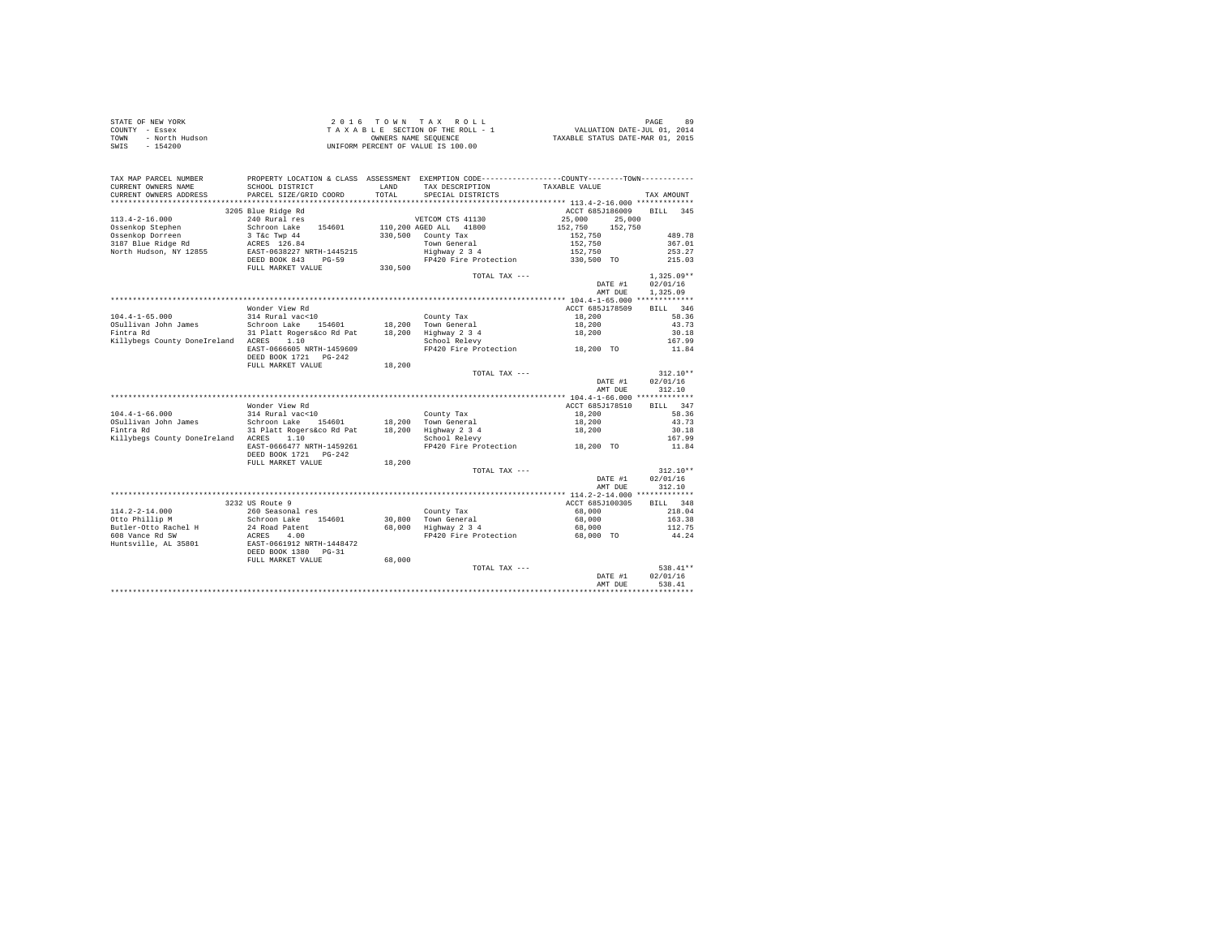| STATE OF NEW YORK      | 2016 TOWN TAX ROLL                 | 89<br>PAGE                       |
|------------------------|------------------------------------|----------------------------------|
| COUNTY - Essex         | TAXABLE SECTION OF THE ROLL - 1    | VALUATION DATE-JUL 01, 2014      |
| TOWN<br>- North Hudson | OWNERS NAME SEOUENCE               | TAXABLE STATUS DATE-MAR 01, 2015 |
| $-154200$<br>SWIS      | UNIFORM PERCENT OF VALUE IS 100.00 |                                  |

| TAX MAP PARCEL NUMBER                                                                                                      | PROPERTY LOCATION & CLASS ASSESSMENT EXEMPTION CODE---------------COUNTY-------TOWN---------- |         |                                             |                          |                |
|----------------------------------------------------------------------------------------------------------------------------|-----------------------------------------------------------------------------------------------|---------|---------------------------------------------|--------------------------|----------------|
| CURRENT OWNERS NAME                                                                                                        | SCHOOL DISTRICT                                                                               | LAND    | TAX DESCRIPTION                             | TAXABLE VALUE            |                |
| CURRENT OWNERS ADDRESS                                                                                                     | PARCEL SIZE/GRID COORD                                                                        | TOTAL   | SPECIAL DISTRICTS                           |                          | TAX AMOUNT     |
| *********************                                                                                                      | ******************************                                                                |         |                                             |                          |                |
|                                                                                                                            | 3205 Blue Ridge Rd                                                                            |         |                                             | ACCT 685J186009 BILL 345 |                |
| $113.4 - 2 - 16.000$                                                                                                       | 240 Rural res                                                                                 |         | VETCOM CTS 41130                            | 25,000<br>25,000         |                |
|                                                                                                                            |                                                                                               |         | 110,200 AGED ALL 41800                      | 152,750<br>152,750       |                |
| 113.4-4-10.000<br>Ossenkop Stephen Schroon Lake 154601<br>Ossenkop Dorreen 3 T&c Twp 44<br>3187 Blue Ridge Rd ACRES 126.84 |                                                                                               |         | 330.500 County Tax                          | 152,750                  | 489.78         |
|                                                                                                                            |                                                                                               |         | Town General                                | 152,750                  | 367.01         |
| North Hudson, NY 12855                                                                                                     | EAST-0638227 NRTH-1445215                                                                     |         | Highway 2 3 4                               | 152,750                  | 253.27         |
|                                                                                                                            | DEED BOOK 843 PG-59                                                                           |         | FP420 Fire Protection 330,500 TO            |                          | 215.03         |
|                                                                                                                            | FULL MARKET VALUE                                                                             | 330,500 |                                             |                          |                |
|                                                                                                                            |                                                                                               |         | TOTAL TAX ---                               |                          | $1,325.09**$   |
|                                                                                                                            |                                                                                               |         |                                             | DATE #1                  | 02/01/16       |
|                                                                                                                            |                                                                                               |         |                                             | AMT DUE                  | 1,325.09       |
|                                                                                                                            |                                                                                               |         |                                             |                          |                |
|                                                                                                                            | Wonder View Rd                                                                                |         |                                             | ACCT 685J178509          | BILL 346       |
| $104.4 - 1 - 65.000$                                                                                                       | 314 Rural vac<10                                                                              |         | County Tax                                  | 18,200                   | 58.36          |
| OSullivan John James                                                                                                       | ohn James Schroon Lake 154601<br>31 Platt Rogers&co Rd Pat                                    |         | 18,200 Town General                         | 18,200                   | 43.73          |
| Fintra Rd                                                                                                                  |                                                                                               |         | 18,200 Highway 2 3 4                        | 18,200                   | 30.18          |
| Killybegs County DoneIreland ACRES 1.10                                                                                    |                                                                                               |         | School Relevy                               |                          | 167.99         |
|                                                                                                                            | EAST-0666605 NRTH-1459609                                                                     |         | FP420 Fire Protection 18,200 TO             |                          | 11.84          |
|                                                                                                                            | DEED BOOK 1721    PG-242                                                                      |         |                                             |                          |                |
|                                                                                                                            | FULL MARKET VALUE                                                                             | 18,200  |                                             |                          |                |
|                                                                                                                            |                                                                                               |         | TOTAL TAX ---                               |                          | $312.10**$     |
|                                                                                                                            |                                                                                               |         |                                             | DATE #1                  | 02/01/16       |
|                                                                                                                            |                                                                                               |         |                                             | AMT DUE                  | 312.10         |
|                                                                                                                            | Wonder View Rd                                                                                |         |                                             | ACCT 685J178510          |                |
| $104.4 - 1 - 66.000$                                                                                                       | 314 Rural vac<10                                                                              |         |                                             |                          | BILL 347       |
| OSullivan John James                                                                                                       |                                                                                               |         | County Tax                                  | 18,200<br>18,200         | 58.36<br>43.73 |
| Fintra Rd                                                                                                                  | Schroon Lake 154601<br>31 Platt Rogers&co Rd Pat                                              |         | 18,200 Town General<br>18,200 Highway 2 3 4 | 18,200                   | 30.18          |
| Killybegs County DoneIreland ACRES 1.10                                                                                    |                                                                                               |         | School Relevy                               |                          | 167.99         |
|                                                                                                                            | EAST-0666477 NRTH-1459261                                                                     |         | FP420 Fire Protection 18,200 TO             |                          | 11.84          |
|                                                                                                                            |                                                                                               |         |                                             |                          |                |
|                                                                                                                            | FULL MARKET VALUE                                                                             | 18,200  |                                             |                          |                |
|                                                                                                                            |                                                                                               |         | TOTAL TAX ---                               |                          | $312.10**$     |
|                                                                                                                            |                                                                                               |         |                                             | DATE #1                  | 02/01/16       |
|                                                                                                                            |                                                                                               |         |                                             | AMT DUE                  | 312.10         |
|                                                                                                                            |                                                                                               |         |                                             |                          |                |
|                                                                                                                            | 3232 US Route 9                                                                               |         |                                             | ACCT 685J100305          | BILL 348       |
| 114.2-2-14.000                                                                                                             | 260 Seasonal res                                                                              |         | County Tax                                  | 68,000                   | 218.04         |
| Otto Phillip M                                                                                                             |                                                                                               |         | 30,800 Town General<br>68,000 Highway 2 3 4 | 68,000                   | 163.38         |
| Butler-Otto Rachel H                                                                                                       |                                                                                               |         |                                             | 68,000                   | 112.75         |
| 608 Vance Rd SW                                                                                                            |                                                                                               |         | FP420 Fire Protection 68,000 TO             |                          | 44.24          |
| Huntsville, AL 35801                                                                                                       | Schroon Lake 154601<br>24 Road Patent<br>ACRES 4.00<br>EAST-0661912 NRTH-1448472              |         |                                             |                          |                |
|                                                                                                                            | DEED BOOK 1380 PG-31                                                                          |         |                                             |                          |                |
|                                                                                                                            | FULL MARKET VALUE                                                                             | 68,000  |                                             |                          |                |
|                                                                                                                            |                                                                                               |         | TOTAL TAX ---                               |                          | 538.41**       |
|                                                                                                                            |                                                                                               |         |                                             | DATE #1                  | 02/01/16       |
|                                                                                                                            |                                                                                               |         |                                             | AMT DUE                  | 538.41         |
|                                                                                                                            |                                                                                               |         |                                             |                          |                |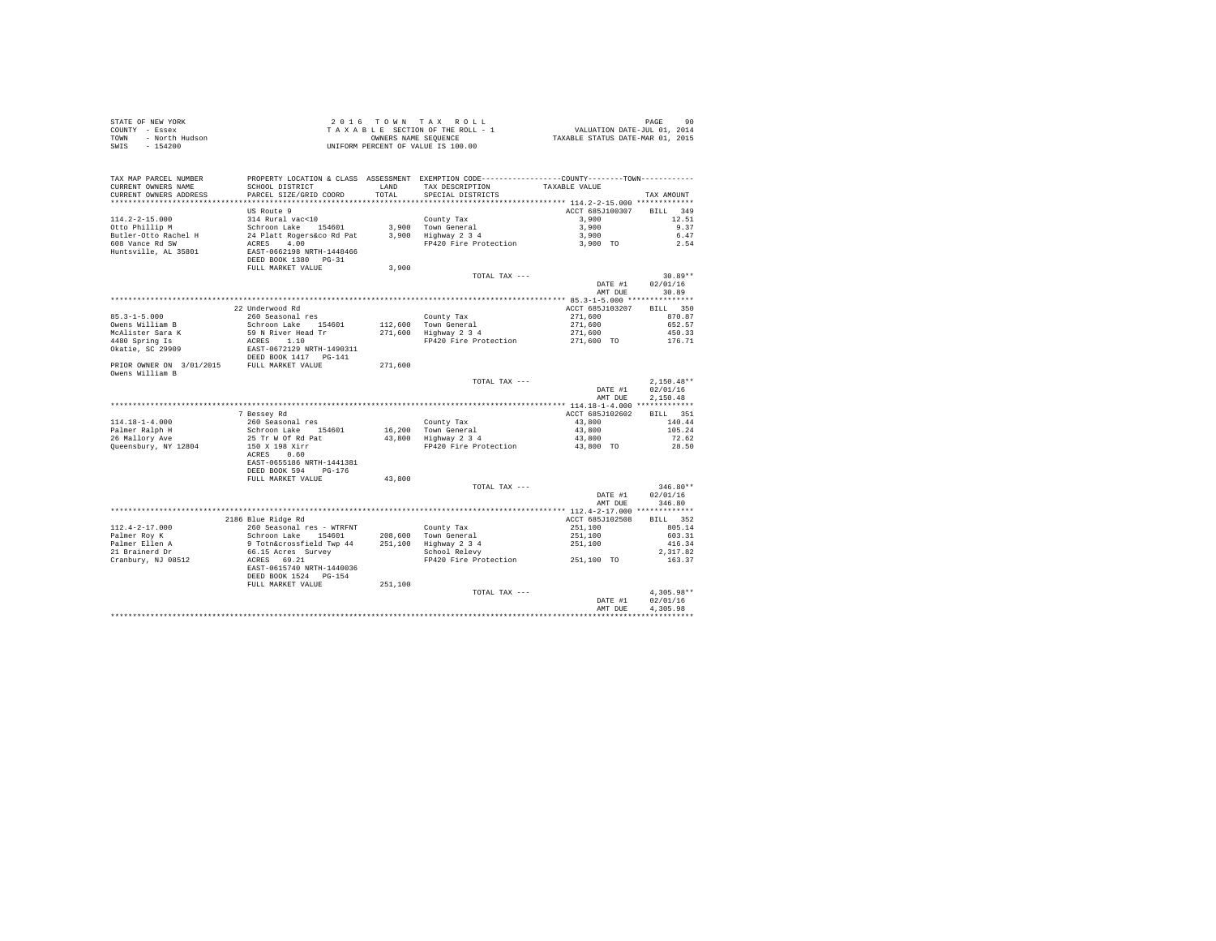| STATE OF NEW YORK<br>COUNTY - Essex<br>TOWN - North Hudson<br>New Hotel Hudson<br>SWIS - 154200                  |                                                                                                                                                                                                         |         | UNIFORM PERCENT OF VALUE IS 100.00                                                                                                     |                                                                        |                                                              |
|------------------------------------------------------------------------------------------------------------------|---------------------------------------------------------------------------------------------------------------------------------------------------------------------------------------------------------|---------|----------------------------------------------------------------------------------------------------------------------------------------|------------------------------------------------------------------------|--------------------------------------------------------------|
| TAX MAP PARCEL NUMBER<br>CURRENT OWNERS NAME<br>CURRENT OWNERS ADDRESS                                           | SCHOOL DISTRICT LAND<br>PARCEL SIZE/GRID COORD                                                                                                                                                          | TOTAL   | PROPERTY LOCATION & CLASS ASSESSMENT EXEMPTION CODE---------------COUNTY--------TOWN----------<br>TAX DESCRIPTION<br>SPECIAL DISTRICTS | TAXABLE VALUE                                                          | TAX AMOUNT                                                   |
| $114.2 - 2 - 15.000$<br>Otto Phillip M<br>Butler-Otto Rachel H<br>608 Vance Rd SW<br>Huntsville, AL 35801        | US Route 9<br>314 Rural vac<10<br>country rax<br>24 Platt Rogers&co Rd Pat 3,900 Town General<br>24 Platt Rogers&co Rd Pat 3,900 Highway 2 3 4<br>RCRES 4.00<br>REAGE 4.00<br>EAST-0662198 NRTH-1448466 |         | County Tax<br>FP420 Fire Protection 3,900 TO                                                                                           | ACCT 685J100307<br>3,900<br>3,900<br>3,900                             | BILL 349<br>12.51<br>9.37<br>6.47<br>2.54                    |
|                                                                                                                  | DEED BOOK 1380 PG-31<br>FULL MARKET VALUE                                                                                                                                                               | 3,900   | TOTAL TAX ---                                                                                                                          | DATE #1<br>AMT DUE                                                     | $30.89**$<br>02/01/16<br>30.89                               |
| $85.3 - 1 - 5.000$<br>Surrelliam B<br>McAlister Sara K<br>4480 Spring Is<br>Okatie, SC 29909                     | 22 Underwood Rd<br>260 Seasonal res<br>Schroon Lake 154601<br>59 N River Head Tr<br>ACRES 1.10<br>EAST-0672129 NRTH-1490311<br>DEED BOOK 1417 PG-141                                                    |         | County Tax<br>112,600 Town General<br>271,600 Highway 2 3 4<br>FP420 Fire Protection                                                   | ACCT 685J103207<br>271,600<br>$271,600$<br>$271,600$<br>$271,600$ TO   | BILL 350<br>870.87<br>652.57<br>450.33<br>176.71             |
| PRIOR OWNER ON 3/01/2015 FULL MARKET VALUE<br>Owens William B                                                    |                                                                                                                                                                                                         | 271,600 | TOTAL TAX ---                                                                                                                          | DATE #1                                                                | $2.150.48**$<br>02/01/16                                     |
|                                                                                                                  | 7 Bessey Rd                                                                                                                                                                                             |         |                                                                                                                                        | AMT DUE<br>ACCT 685J102602                                             | 2.150.48<br>BILL 351                                         |
| $114.18 - 1 - 4.000$<br>Palmer Ralph H<br>26 Mallory Ave<br>Queensbury, NY 12804                                 | 260 Seasonal res<br>Schroon Lake 154601<br>25 Tr W Of Rd Pat<br>150 X 198 Xirr<br>ACRES 0.60<br>EAST-0655186 NRTH-1441381<br>DEED BOOK 594 PG-176<br>FULL MARKET VALUE                                  | 43,800  | County Tax<br>16,200 Town General<br>43,800 Highway 2 3 4<br>FP420 Fire Protection 43,800 TO                                           | 43,800<br>43,800<br>43,800                                             | 140.44<br>105.24<br>72.62<br>28.50                           |
|                                                                                                                  |                                                                                                                                                                                                         |         | TOTAL TAX ---                                                                                                                          | DATE #1<br>AMT DUE                                                     | $346.80**$<br>02/01/16<br>346.80                             |
|                                                                                                                  |                                                                                                                                                                                                         |         |                                                                                                                                        |                                                                        |                                                              |
| $112.4 - 2 - 17.000$<br>Palmer Roy K<br>Palmer Ellen A<br>21 Brainerd Dr<br>27 Brainerd Dr<br>Cranbury, NJ 08512 | 2186 Blue Ridge Rd<br>260 Seasonal res - WTRFNT<br>Schroon Lake 154601<br>9 Totn&crossfield Twp 44<br>66.15 Acres Survey<br>ACRES 69.21<br>EAST-0615740 NRTH-1440036<br>DEED BOOK 1524 PG-154           |         | County Tax<br>208,600 Town General<br>251,100 Highway 2 3 4<br>School Relevy<br>FP420 Fire Protection                                  | ACCT 685J102508<br>$251,100$<br>$251,100$<br>$251,100$<br>$251,100$ TO | BILL 352<br>805.14<br>603.31<br>416.34<br>2,317.82<br>163.37 |
|                                                                                                                  | FULL MARKET VALUE                                                                                                                                                                                       | 251,100 | TOTAL TAX ---                                                                                                                          | DATE #1<br>AMT DUE                                                     | $4.305.98**$<br>02/01/16<br>4.305.98                         |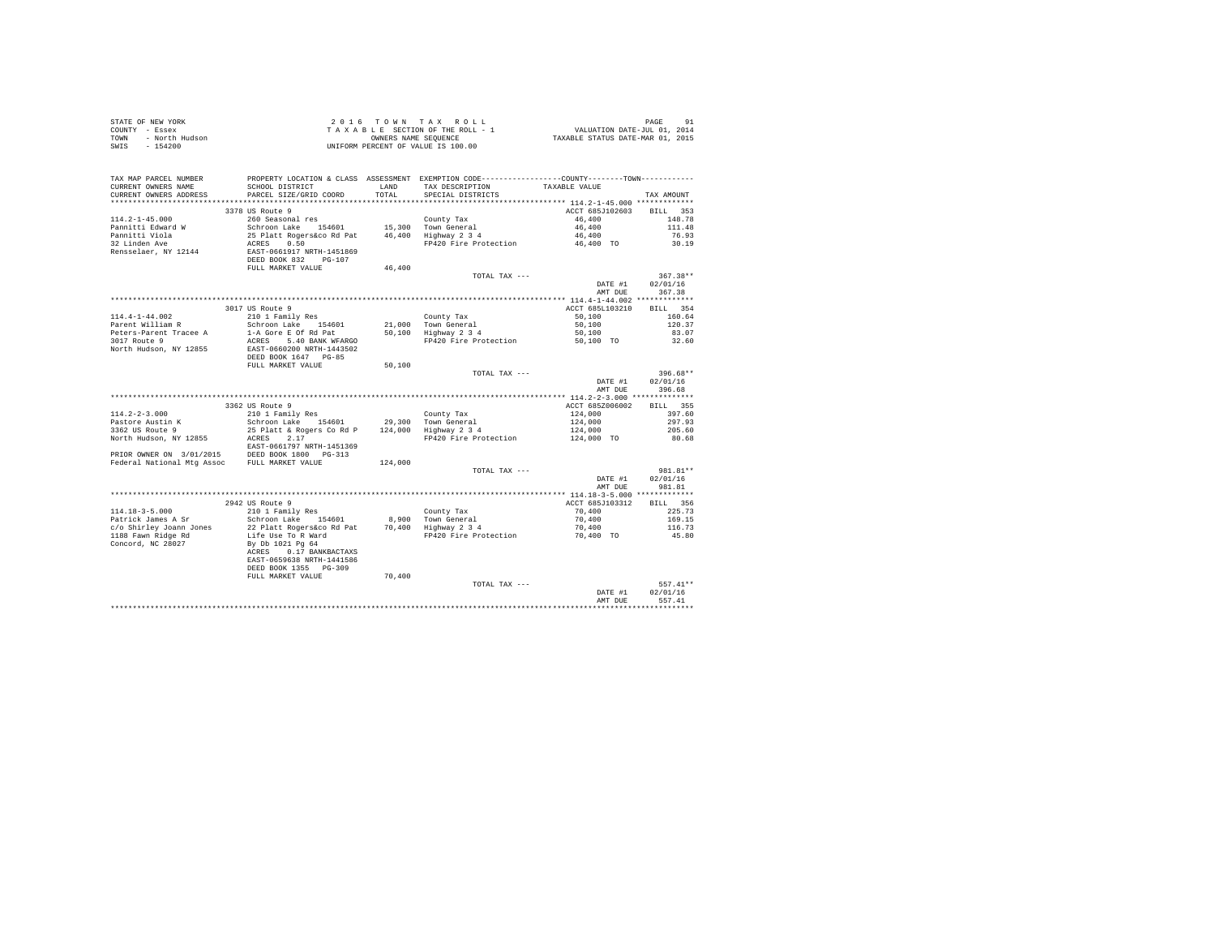| STATE OF NEW YORK |                | 2016 TOWN TAX ROLL                 | 91<br>PAGE                       |
|-------------------|----------------|------------------------------------|----------------------------------|
| COUNTY - Essex    |                | TAXABLE SECTION OF THE ROLL - 1    | VALUATION DATE-JUL 01, 2014      |
| TOWN              | - North Hudson | OWNERS NAME SEOUENCE               | TAXABLE STATUS DATE-MAR 01, 2015 |
| SWIS              | $-154200$      | UNIFORM PERCENT OF VALUE IS 100.00 |                                  |

| TAX MAP PARCEL NUMBER                          |                                                                                                                             |         | PROPERTY LOCATION & CLASS ASSESSMENT EXEMPTION CODE---------------COUNTY-------TOWN---------- |                  |                |
|------------------------------------------------|-----------------------------------------------------------------------------------------------------------------------------|---------|-----------------------------------------------------------------------------------------------|------------------|----------------|
| CURRENT OWNERS NAME                            | SCHOOL DISTRICT                                                                                                             | LAND    | TAX DESCRIPTION                                                                               | TAXABLE VALUE    |                |
| CURRENT OWNERS ADDRESS<br>******************** | PARCEL SIZE/GRID COORD<br>*************************                                                                         | TOTAL   | SPECIAL DISTRICTS                                                                             |                  | TAX AMOUNT     |
|                                                |                                                                                                                             |         |                                                                                               |                  |                |
|                                                | 3378 US Route 9                                                                                                             |         |                                                                                               | ACCT 685J102603  | BILL<br>353    |
| $114.2 - 1 - 45.000$                           | 260 Seasonal res                                                                                                            |         | County Tax                                                                                    | 46,400<br>46,400 | 148.78         |
| Pannitti Edward W                              | Schroon Lake 154601                                                                                                         |         | 15,300 Town General<br>46,400 Highway 2 3 4                                                   |                  | 111.48         |
| Pannitti Viola<br>32 Linden Ave                | 25 Platt Rogers&co Rd Pat<br>ACRES 0.50<br>EAST-0661917 NRTH-1451869                                                        |         | FP420 Fire Protection                                                                         | 46,400           | 76.93<br>30.19 |
| Rensselaer, NY 12144                           |                                                                                                                             |         |                                                                                               | 46,400 TO        |                |
|                                                | DEED BOOK 832 PG-107                                                                                                        |         |                                                                                               |                  |                |
|                                                | FULL MARKET VALUE                                                                                                           | 46,400  |                                                                                               |                  |                |
|                                                |                                                                                                                             |         | TOTAL TAX ---                                                                                 |                  | $367.38**$     |
|                                                |                                                                                                                             |         |                                                                                               | DATE #1          | 02/01/16       |
|                                                |                                                                                                                             |         |                                                                                               | AMT DUE          | 367.38         |
|                                                |                                                                                                                             |         |                                                                                               |                  |                |
|                                                | 3017 US Route 9                                                                                                             |         |                                                                                               | ACCT 685L103210  | BILL 354       |
| $114.4 - 1 - 44.002$                           | 210 1 Family Res                                                                                                            |         | County Tax                                                                                    | 50,100           | 160.64         |
| Parent William R                               | Schroon Lake 154601                                                                                                         |         | 21,000 Town General                                                                           | 50,100           | 120.37         |
| Peters-Parent Tracee A                         | 1-A Gore E Of Rd Pat                                                                                                        |         | $50,100$ Highway $2\overline{3}4$                                                             | 50,100           | 83.07          |
| 3017 Route 9                                   | ACRES 5.40 BANK WFARGO                                                                                                      |         | FP420 Fire Protection                                                                         | 50,100 TO        | 32.60          |
| North Hudson, NY 12855                         | EAST-0660200 NRTH-1443502                                                                                                   |         |                                                                                               |                  |                |
|                                                | DEED BOOK 1647 PG-85                                                                                                        |         |                                                                                               |                  |                |
|                                                | FULL MARKET VALUE                                                                                                           | 50,100  |                                                                                               |                  |                |
|                                                |                                                                                                                             |         | TOTAL TAX ---                                                                                 |                  | 396.68**       |
|                                                |                                                                                                                             |         |                                                                                               | DATE #1          | 02/01/16       |
|                                                |                                                                                                                             |         |                                                                                               | AMT DUE          | 396.68         |
|                                                |                                                                                                                             |         |                                                                                               |                  |                |
|                                                | 3362 US Route 9                                                                                                             |         |                                                                                               | ACCT 685Z006002  | BILL 355       |
| $114.2 - 2 - 3.000$                            | 210 1 Family Res                                                                                                            |         | County Tax                                                                                    | 124,000          | 397.60         |
| Pastore Austin K                               | Schroon Lake 154601                                                                                                         |         | 29.300 Town General                                                                           | 124,000          | 297.93         |
| 3362 US Route 9                                | 25 Platt & Rogers Co Rd P                                                                                                   |         | 124,000 Highway 2 3 4                                                                         | 124,000          | 205.60         |
| North Hudson, NY 12855                         | ACRES<br>2.17                                                                                                               |         | FP420 Fire Protection                                                                         | 124,000 TO       | 80.68          |
|                                                | EAST-0661797 NRTH-1451369<br>PRIOR OWNER ON 3/01/2015 DEED BOOK 1800 PG-313<br>Federal National Mtg Assoc FULL MARKET VALUE |         |                                                                                               |                  |                |
|                                                |                                                                                                                             |         |                                                                                               |                  |                |
|                                                |                                                                                                                             | 124,000 |                                                                                               |                  |                |
|                                                |                                                                                                                             |         | TOTAL TAX ---                                                                                 |                  | 981.81**       |
|                                                |                                                                                                                             |         |                                                                                               | DATE #1          | 02/01/16       |
|                                                |                                                                                                                             |         |                                                                                               | AMT DUE          | 981.81         |
|                                                |                                                                                                                             |         |                                                                                               |                  |                |
|                                                | 2942 US Route 9                                                                                                             |         |                                                                                               | ACCT 685J103312  | BILL 356       |
| $114.18 - 3 - 5.000$                           | 210 1 Family Res                                                                                                            |         | County Tax                                                                                    | 70,400           | 225.73         |
| Patrick James A Sr                             | Schroon Lake 154601                                                                                                         |         | 8,900 Town General<br>70,400 Highway 2 3 4                                                    | 70,400           | 169.15         |
| c/o Shirley Joann Jones                        | 22 Platt Rogers&co Rd Pat                                                                                                   |         |                                                                                               | 70,400           | 116.73         |
| 1188 Fawn Ridge Rd                             | Life Use To R Ward                                                                                                          |         | FP420 Fire Protection                                                                         | 70.400 TO        | 45.80          |
| Concord, NC 28027                              | By Db 1021 Pg 64                                                                                                            |         |                                                                                               |                  |                |
|                                                | 0.17 BANKBACTAXS<br>ACRES                                                                                                   |         |                                                                                               |                  |                |
|                                                | EAST-0659638 NRTH-1441586                                                                                                   |         |                                                                                               |                  |                |
|                                                | DEED BOOK 1355 PG-309                                                                                                       |         |                                                                                               |                  |                |
|                                                | FULL MARKET VALUE                                                                                                           | 70,400  |                                                                                               |                  |                |
|                                                |                                                                                                                             |         | TOTAL TAX ---                                                                                 |                  | 557.41**       |
|                                                |                                                                                                                             |         |                                                                                               | DATE #1          | 02/01/16       |
|                                                |                                                                                                                             |         |                                                                                               | AMT DUE          | 557.41         |
|                                                |                                                                                                                             |         |                                                                                               |                  |                |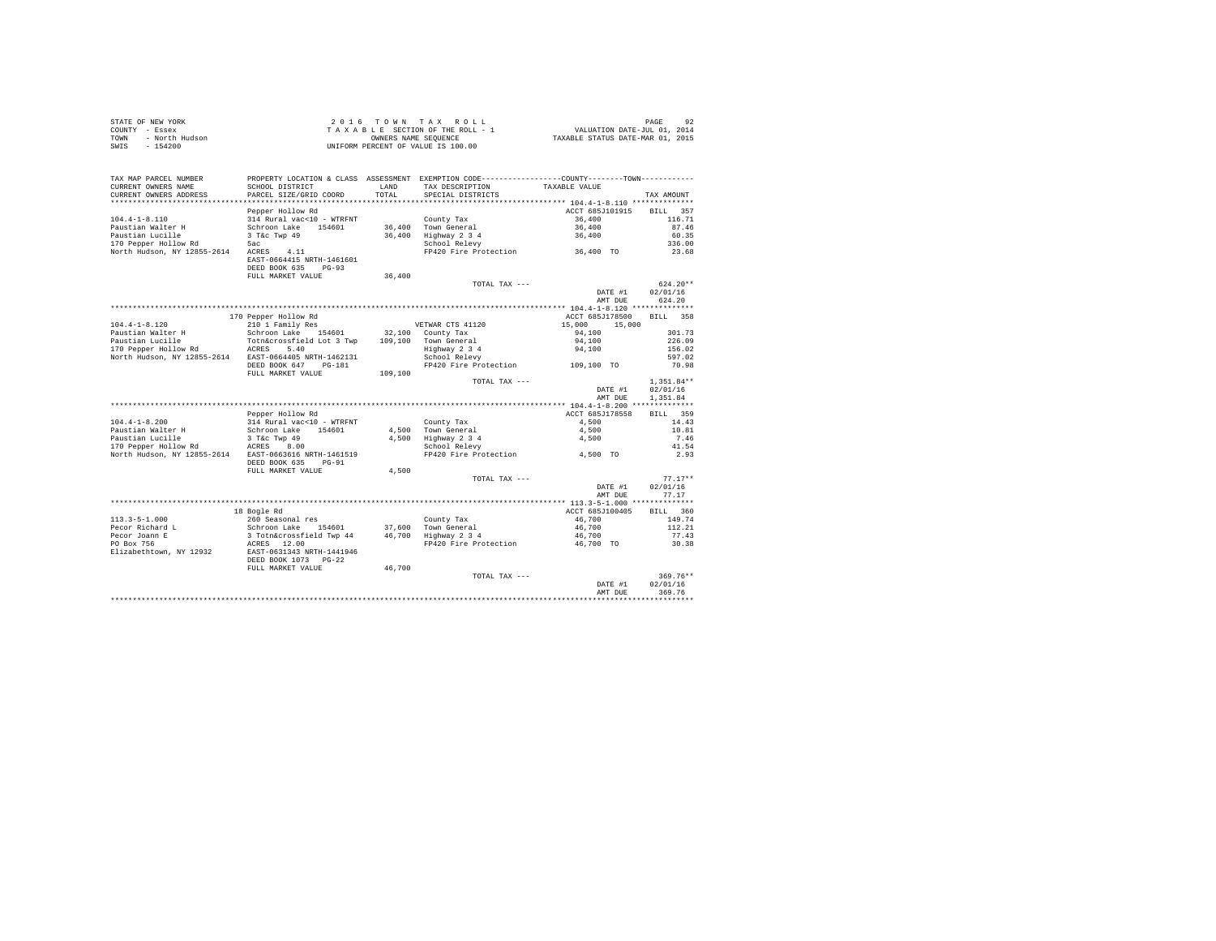| STATE OF NEW YORK      | 2016 TOWN TAX ROLL                 | 92<br>PAGE                       |
|------------------------|------------------------------------|----------------------------------|
| COUNTY - Essex         | TAXABLE SECTION OF THE ROLL - 1    | VALUATION DATE-JUL 01, 2014      |
| TOWN<br>- North Hudson | OWNERS NAME SEOUENCE               | TAXABLE STATUS DATE-MAR 01, 2015 |
| - 154200<br>SWIS       | UNIFORM PERCENT OF VALUE IS 100.00 |                                  |

| TAX MAP PARCEL NUMBER                                |                           |         | PROPERTY LOCATION & CLASS ASSESSMENT EXEMPTION CODE----------------COUNTY-------TOWN--------- |                    |                       |
|------------------------------------------------------|---------------------------|---------|-----------------------------------------------------------------------------------------------|--------------------|-----------------------|
| CURRENT OWNERS NAME                                  | SCHOOL DISTRICT           | LAND    | TAX DESCRIPTION                                                                               | TAXABLE VALUE      |                       |
| CURRENT OWNERS ADDRESS<br>************************** | PARCEL SIZE/GRID COORD    | TOTAL.  | SPECIAL DISTRICTS                                                                             |                    | TAX AMOUNT            |
|                                                      | Pepper Hollow Rd          |         |                                                                                               | ACCT 685J101915    | 357                   |
| $104.4 - 1 - 8.110$                                  | 314 Rural vac<10 - WTRFNT |         | County Tax                                                                                    | 36,400             | <b>BILL</b><br>116.71 |
| Paustian Walter H                                    | Schroon Lake<br>154601    | 36,400  | Town General                                                                                  | 36,400             | 87.46                 |
| Paustian Lucille                                     | 3 T&c Twp 49              | 36,400  | Highway 2 3 4                                                                                 | 36,400             | 60.35                 |
| 170 Pepper Hollow Rd                                 | 5ac                       |         | School Relevy                                                                                 |                    | 336.00                |
| North Hudson, NY 12855-2614                          | ACRES<br>4.11             |         | FP420 Fire Protection                                                                         | 36,400 TO          | 23.68                 |
|                                                      | EAST-0664415 NRTH-1461601 |         |                                                                                               |                    |                       |
|                                                      | DEED BOOK 635<br>$PG-93$  |         |                                                                                               |                    |                       |
|                                                      | FULL MARKET VALUE         | 36,400  |                                                                                               |                    |                       |
|                                                      |                           |         | TOTAL TAX ---                                                                                 |                    | $624.20**$            |
|                                                      |                           |         |                                                                                               | DATE #1            | 02/01/16              |
|                                                      |                           |         |                                                                                               | AMT DUR            | 624.20                |
|                                                      |                           |         |                                                                                               |                    |                       |
|                                                      | 170 Pepper Hollow Rd      |         |                                                                                               | ACCT 685J178500    | 358<br><b>BILL</b>    |
| $104.4 - 1 - 8.120$                                  | 210 1 Family Res          |         | VETWAR CTS 41120                                                                              | 15,000<br>15,000   |                       |
| Paustian Walter H                                    | Schroon Lake<br>154601    | 32,100  | County Tax                                                                                    | 94,100             | 301.73                |
| Paustian Lucille                                     | Totn&crossfield Lot 3 Twp | 109,100 | Town General                                                                                  | 94,100             | 226.09                |
| 170 Pepper Hollow Rd                                 | ACRES<br>5.40             |         | Highway 2 3 4                                                                                 | 94,100             | 156.02                |
| North Hudson, NY 12855-2614                          | EAST-0664405 NRTH-1462131 |         | School Relevy                                                                                 |                    | 597.02                |
|                                                      | DEED BOOK 647<br>$PG-181$ |         | FP420 Fire Protection                                                                         | 109,100 TO         | 70.98                 |
|                                                      | FULL MARKET VALUE         | 109,100 |                                                                                               |                    |                       |
|                                                      |                           |         | TOTAL TAX ---                                                                                 |                    | $1.351.84**$          |
|                                                      |                           |         |                                                                                               | DATE #1            | 02/01/16              |
|                                                      |                           |         |                                                                                               | AMT DUE            | 1,351.84              |
|                                                      |                           |         |                                                                                               |                    |                       |
|                                                      | Pepper Hollow Rd          |         |                                                                                               | ACCT 685J178558    | 359<br><b>BILL</b>    |
| $104.4 - 1 - 8.200$                                  | 314 Rural vac<10 - WTRFNT |         | County Tax                                                                                    | 4.500              | 14.43                 |
| Paustian Walter H                                    | Schroon Lake<br>154601    | 4.500   | Town General                                                                                  | 4,500              | 10.81                 |
| Paustian Lucille                                     | 3 T&c Twp 49              | 4,500   | Highway 2 3 4                                                                                 | 4,500              | 7.46                  |
| 170 Pepper Hollow Rd                                 | 8.00<br>ACRES             |         | School Relevy                                                                                 |                    | 41.54                 |
| North Hudson, NY 12855-2614                          | EAST-0663616 NRTH-1461519 |         | FP420 Fire Protection                                                                         | 4,500 TO           | 2.93                  |
|                                                      | DEED BOOK 635<br>$PG-91$  |         |                                                                                               |                    |                       |
|                                                      | FULL MARKET VALUE         | 4.500   |                                                                                               |                    |                       |
|                                                      |                           |         | TOTAL TAX ---                                                                                 |                    | $77.17**$             |
|                                                      |                           |         |                                                                                               | DATE #1            | 02/01/16              |
|                                                      |                           |         |                                                                                               | AMT DUE            | 77.17                 |
|                                                      |                           |         |                                                                                               |                    |                       |
|                                                      | 18 Bogle Rd               |         |                                                                                               | ACCT 685J100405    | 360<br>RTLL.          |
| $113.3 - 5 - 1.000$                                  | 260 Seasonal res          |         | County Tax                                                                                    | 46,700             | 149.74                |
| Pecor Richard L                                      | Schroon Lake<br>154601    | 37,600  | Town General                                                                                  | 46,700             | 112.21                |
| Pecor Joann E                                        | 3 Totn&crossfield Twp 44  | 46.700  | Highway 2 3 4                                                                                 | 46,700             | 77.43                 |
| PO Box 756                                           | 12.00<br>ACRES            |         | FP420 Fire Protection                                                                         | 46,700 TO          | 30.38                 |
| Elizabethtown, NY 12932                              | EAST-0631343 NRTH-1441946 |         |                                                                                               |                    |                       |
|                                                      | DEED BOOK 1073 PG-22      |         |                                                                                               |                    |                       |
|                                                      | FULL MARKET VALUE         | 46,700  |                                                                                               |                    |                       |
|                                                      |                           |         | TOTAL TAX ---                                                                                 |                    | $369.76**$            |
|                                                      |                           |         |                                                                                               | DATE #1<br>AMT DUE | 02/01/16<br>369.76    |
|                                                      |                           |         |                                                                                               |                    |                       |
|                                                      |                           |         |                                                                                               |                    |                       |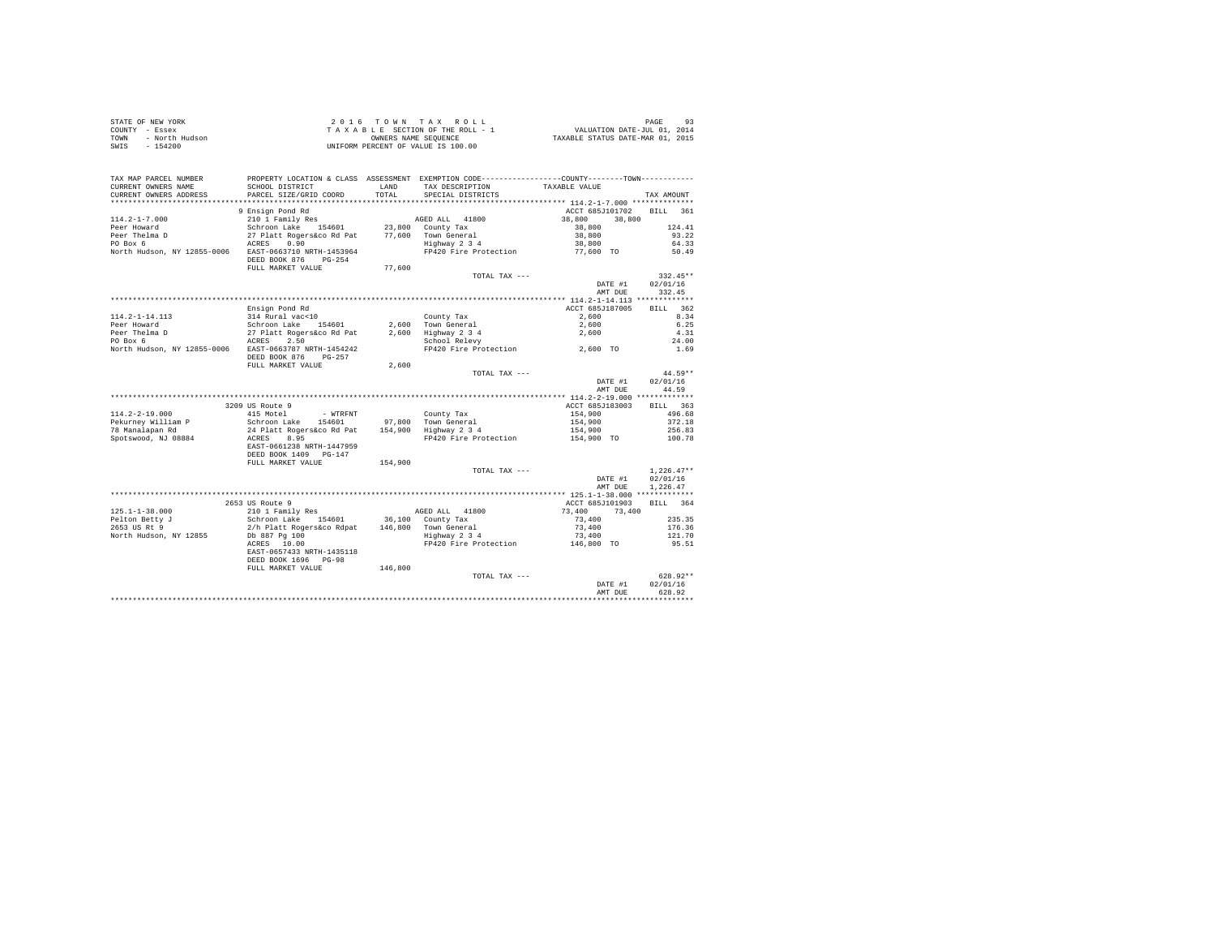| STATE OF NEW YORK |                | 2016 TOWN TAX ROLL                 |                      |  |                                  | PAGE                        |  |
|-------------------|----------------|------------------------------------|----------------------|--|----------------------------------|-----------------------------|--|
| COUNTY - Essex    |                | TAXABLE SECTION OF THE ROLL - 1    |                      |  |                                  | VALUATION DATE-JUL 01, 2014 |  |
| TOWN              | - North Hudson |                                    | OWNERS NAME SEOUENCE |  | TAXABLE STATUS DATE-MAR 01, 2015 |                             |  |
| - 154200<br>SWIS  |                | UNIFORM PERCENT OF VALUE IS 100.00 |                      |  |                                  |                             |  |

| TAX MAP PARCEL NUMBER<br>CURRENT OWNERS NAME   | PROPERTY LOCATION & CLASS ASSESSMENT EXEMPTION CODE---------------COUNTY-------TOWN----------<br>SCHOOL DISTRICT | LAND    | TAX DESCRIPTION                              | TAXABLE VALUE      |                    |
|------------------------------------------------|------------------------------------------------------------------------------------------------------------------|---------|----------------------------------------------|--------------------|--------------------|
| CURRENT OWNERS ADDRESS<br>******************** | PARCEL SIZE/GRID COORD<br>***********************                                                                | TOTAL.  | SPECIAL DISTRICTS                            |                    | TAX AMOUNT         |
|                                                |                                                                                                                  |         |                                              |                    |                    |
|                                                | 9 Ensign Pond Rd                                                                                                 |         |                                              | ACCT 685J101702    | <b>BILL</b><br>361 |
| $114.2 - 1 - 7.000$                            | 210 1 Family Res                                                                                                 |         | AGED ALL 41800                               | 38,800<br>38,800   |                    |
| Peer Howard                                    | Schroon Lake 154601                                                                                              |         | 23,800 County Tax                            | 38,800             | 124.41             |
| Peer Thelma D                                  | 27 Platt Rogers&co Rd Pat                                                                                        |         | 77.600 Town General                          | 38,800             | 93.22              |
| PO Box 6                                       | 0.90<br>ACRES                                                                                                    |         | Highway 2 3 4                                | 38,800             | 64.33              |
| North Hudson, NY 12855-0006                    | EAST-0663710 NRTH-1453964<br>DEED BOOK 876<br>$PG-254$                                                           |         | FP420 Fire Protection                        | 77.600 TO          | 50.49              |
|                                                | FULL MARKET VALUE                                                                                                | 77,600  |                                              |                    |                    |
|                                                |                                                                                                                  |         | TOTAL TAX ---                                |                    | $332.45**$         |
|                                                |                                                                                                                  |         |                                              | DATE #1            | 02/01/16           |
|                                                |                                                                                                                  |         |                                              | AMT DUE            | 332.45             |
|                                                |                                                                                                                  |         |                                              |                    |                    |
|                                                | Ensign Pond Rd                                                                                                   |         |                                              | ACCT 685J187005    | BILL 362           |
| $114.2 - 1 - 14.113$                           | 314 Rural vac<10                                                                                                 |         | County Tax                                   | 2,600              | 8.34<br>6.25       |
| Peer Howard                                    | Schroon Lake<br>154601                                                                                           |         | 2.600 Town General                           | 2,600              |                    |
| Peer Thelma D                                  | 27 Platt Rogers&co Rd Pat                                                                                        |         | 2,600 Highway 2 3 4                          | 2,600              | 4.31               |
| PO Box 6                                       | 2.50<br>ACRES                                                                                                    |         | School Relevy                                |                    | 24.00              |
| North Hudson, NY 12855-0006                    | EAST-0663787 NRTH-1454242                                                                                        |         | FP420 Fire Protection                        | 2,600 TO           | 1.69               |
|                                                | DEED BOOK 876<br>PG-257                                                                                          |         |                                              |                    |                    |
|                                                | FULL MARKET VALUE                                                                                                | 2,600   |                                              |                    | 44.59**            |
|                                                |                                                                                                                  |         | TOTAL TAX ---                                |                    | 02/01/16           |
|                                                |                                                                                                                  |         |                                              | DATE #1<br>AMT DUE | 44.59              |
|                                                |                                                                                                                  |         |                                              |                    |                    |
|                                                | 3209 US Route 9                                                                                                  |         |                                              | ACCT 685J183003    | BILL 363           |
| $114.2 - 2 - 19.000$                           | 415 Motel                                                                                                        |         |                                              |                    | 496.68             |
| Pekurnev William P                             | - WTRFNT<br>Schroon Lake<br>154601                                                                               |         | County Tax                                   | 154,900<br>154,900 | 372.18             |
| 78 Manalapan Rd                                | 24 Platt Rogers&co Rd Pat                                                                                        |         | 97,800 Town General<br>154,900 Highway 2 3 4 | 154,900            | 256.83             |
| Spotswood, NJ 08884                            | ACRES<br>8.95                                                                                                    |         | FP420 Fire Protection                        | 154,900 TO         | 100.78             |
|                                                | EAST-0661238 NRTH-1447959<br>DEED BOOK 1409 PG-147                                                               |         |                                              |                    |                    |
|                                                | FULL MARKET VALUE                                                                                                | 154,900 |                                              |                    |                    |
|                                                |                                                                                                                  |         | TOTAL TAX ---                                |                    | $1,226.47**$       |
|                                                |                                                                                                                  |         |                                              | DATE #1            | 02/01/16           |
|                                                |                                                                                                                  |         |                                              | AMT DUE            | 1,226.47           |
|                                                |                                                                                                                  |         |                                              |                    |                    |
|                                                | 2653 US Route 9                                                                                                  |         |                                              | ACCT 685J101903    | BILL 364           |
| $125.1 - 1 - 38.000$                           | 210 1 Family Res                                                                                                 |         | AGED ALL 41800                               | 73,400<br>73,400   |                    |
| Pelton Betty J                                 | Schroon Lake 154601                                                                                              |         | 36,100 County Tax                            | 73,400             | 235.35             |
| 2653 US Rt 9                                   | 2/h Platt Rogers&co Rdpat                                                                                        |         | 146,800 Town General                         | 73,400             | 176.36             |
| North Hudson, NY 12855                         | Db 887 Pg 100                                                                                                    |         | Highway 2 3 4                                | 73,400             | 121.70             |
|                                                | ACRES 10.00                                                                                                      |         | FP420 Fire Protection                        | 146,800 TO         | 95.51              |
|                                                | EAST-0657433 NRTH-1435118<br>DEED BOOK 1696 PG-98                                                                |         |                                              |                    |                    |
|                                                | FULL MARKET VALUE                                                                                                | 146,800 |                                              |                    |                    |
|                                                |                                                                                                                  |         | TOTAL TAX ---                                |                    | 628.92**           |
|                                                |                                                                                                                  |         |                                              | DATE #1            | 02/01/16           |
|                                                |                                                                                                                  |         |                                              | AMT DUE            | 628.92             |
|                                                |                                                                                                                  |         |                                              |                    |                    |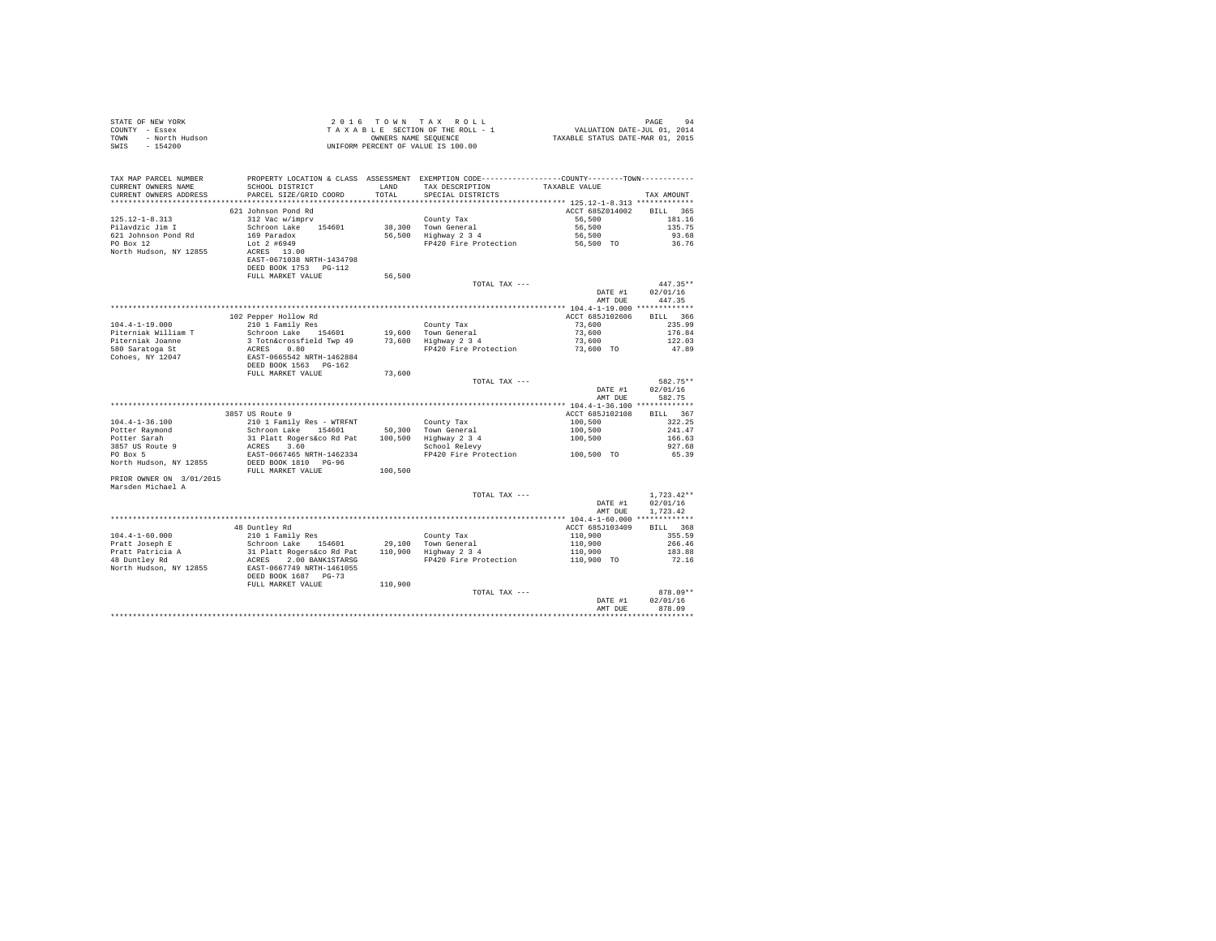| PROPERTY LOCATION & CLASS ASSESSMENT EXEMPTION CODE----------------COUNTY-------TOWN---------<br>TAX MAP PARCEL NUMBER<br>TAX DESCRIPTION TAXABLE VALUE SPECIAL DISTRICTS<br>SCHOOL DISTRICT LAND<br>PARCEL SIZE/GRID COORD TOTAL<br>CURRENT OWNERS NAME<br>TOTAL<br>CURRENT OWNERS ADDRESS<br>TAX AMOUNT<br>ACCT 685Z014002 BILL 365<br>DEED BOOK 1753 PG-112<br>56,500<br>FULL MARKET VALUE<br>TOTAL TAX ---<br>$447.35**$<br>DATE #1<br>02/01/16<br>AMT DUE<br>447.35<br>ACCT 685J102606 BILL 366<br>$\begin{array}{ccc} 73\, , \, 600 & 235 \, . \, 99 \\ 73 \, , \, 600 & 176 \, . \, 84 \\ 73 \, , \, 600 & 122 \, . \, 03 \\ \end{array}$<br>47.89<br>DEED BOOK 1563 PG-162<br>73,600<br>FULL MARKET VALUE |  |  |  |  |
|-------------------------------------------------------------------------------------------------------------------------------------------------------------------------------------------------------------------------------------------------------------------------------------------------------------------------------------------------------------------------------------------------------------------------------------------------------------------------------------------------------------------------------------------------------------------------------------------------------------------------------------------------------------------------------------------------------------------|--|--|--|--|
|                                                                                                                                                                                                                                                                                                                                                                                                                                                                                                                                                                                                                                                                                                                   |  |  |  |  |
|                                                                                                                                                                                                                                                                                                                                                                                                                                                                                                                                                                                                                                                                                                                   |  |  |  |  |
|                                                                                                                                                                                                                                                                                                                                                                                                                                                                                                                                                                                                                                                                                                                   |  |  |  |  |
|                                                                                                                                                                                                                                                                                                                                                                                                                                                                                                                                                                                                                                                                                                                   |  |  |  |  |
|                                                                                                                                                                                                                                                                                                                                                                                                                                                                                                                                                                                                                                                                                                                   |  |  |  |  |
|                                                                                                                                                                                                                                                                                                                                                                                                                                                                                                                                                                                                                                                                                                                   |  |  |  |  |
|                                                                                                                                                                                                                                                                                                                                                                                                                                                                                                                                                                                                                                                                                                                   |  |  |  |  |
|                                                                                                                                                                                                                                                                                                                                                                                                                                                                                                                                                                                                                                                                                                                   |  |  |  |  |
|                                                                                                                                                                                                                                                                                                                                                                                                                                                                                                                                                                                                                                                                                                                   |  |  |  |  |
|                                                                                                                                                                                                                                                                                                                                                                                                                                                                                                                                                                                                                                                                                                                   |  |  |  |  |
|                                                                                                                                                                                                                                                                                                                                                                                                                                                                                                                                                                                                                                                                                                                   |  |  |  |  |
|                                                                                                                                                                                                                                                                                                                                                                                                                                                                                                                                                                                                                                                                                                                   |  |  |  |  |
|                                                                                                                                                                                                                                                                                                                                                                                                                                                                                                                                                                                                                                                                                                                   |  |  |  |  |
|                                                                                                                                                                                                                                                                                                                                                                                                                                                                                                                                                                                                                                                                                                                   |  |  |  |  |
|                                                                                                                                                                                                                                                                                                                                                                                                                                                                                                                                                                                                                                                                                                                   |  |  |  |  |
|                                                                                                                                                                                                                                                                                                                                                                                                                                                                                                                                                                                                                                                                                                                   |  |  |  |  |
|                                                                                                                                                                                                                                                                                                                                                                                                                                                                                                                                                                                                                                                                                                                   |  |  |  |  |
|                                                                                                                                                                                                                                                                                                                                                                                                                                                                                                                                                                                                                                                                                                                   |  |  |  |  |
|                                                                                                                                                                                                                                                                                                                                                                                                                                                                                                                                                                                                                                                                                                                   |  |  |  |  |
|                                                                                                                                                                                                                                                                                                                                                                                                                                                                                                                                                                                                                                                                                                                   |  |  |  |  |
|                                                                                                                                                                                                                                                                                                                                                                                                                                                                                                                                                                                                                                                                                                                   |  |  |  |  |
| TOTAL TAX ---<br>582.75**<br>02/01/16<br>DATE #1                                                                                                                                                                                                                                                                                                                                                                                                                                                                                                                                                                                                                                                                  |  |  |  |  |
| AMT DUR<br>582.75                                                                                                                                                                                                                                                                                                                                                                                                                                                                                                                                                                                                                                                                                                 |  |  |  |  |
|                                                                                                                                                                                                                                                                                                                                                                                                                                                                                                                                                                                                                                                                                                                   |  |  |  |  |
| 3857 US Route 9<br>ACCT 685J102108 BILL 367                                                                                                                                                                                                                                                                                                                                                                                                                                                                                                                                                                                                                                                                       |  |  |  |  |
| $100, 500$<br>$100, 500$<br>$100, 500$<br>322.25                                                                                                                                                                                                                                                                                                                                                                                                                                                                                                                                                                                                                                                                  |  |  |  |  |
| 241.47                                                                                                                                                                                                                                                                                                                                                                                                                                                                                                                                                                                                                                                                                                            |  |  |  |  |
| 166.63                                                                                                                                                                                                                                                                                                                                                                                                                                                                                                                                                                                                                                                                                                            |  |  |  |  |
| 927.68<br>FP420 Fire Protection 100,500 TO                                                                                                                                                                                                                                                                                                                                                                                                                                                                                                                                                                                                                                                                        |  |  |  |  |
| 65.39                                                                                                                                                                                                                                                                                                                                                                                                                                                                                                                                                                                                                                                                                                             |  |  |  |  |
|                                                                                                                                                                                                                                                                                                                                                                                                                                                                                                                                                                                                                                                                                                                   |  |  |  |  |
| PRIOR OWNER ON 3/01/2015                                                                                                                                                                                                                                                                                                                                                                                                                                                                                                                                                                                                                                                                                          |  |  |  |  |
| Marsden Michael A                                                                                                                                                                                                                                                                                                                                                                                                                                                                                                                                                                                                                                                                                                 |  |  |  |  |
| $1.723.42**$<br>TOTAL TAX ---                                                                                                                                                                                                                                                                                                                                                                                                                                                                                                                                                                                                                                                                                     |  |  |  |  |
| DATE #1 02/01/16                                                                                                                                                                                                                                                                                                                                                                                                                                                                                                                                                                                                                                                                                                  |  |  |  |  |
| AMT DUE 1,723.42<br>$\begin{tabular}{l c c c c c c c c} \multicolumn{3}{c c c c} \multicolumn{3}{c c c} \multicolumn{3}{c c c} \multicolumn{3}{c c c} \multicolumn{3}{c c c} \multicolumn{3}{c c c} \multicolumn{3}{c c c} \multicolumn{3}{c c c} \multicolumn{3}{c c c} \multicolumn{3}{c c c} \multicolumn{3}{c c c} \multicolumn{3}{c c c} \multicolumn{3}{c c c} \multicolumn{3}{c c c} \multicolumn{3}{c c c$                                                                                                                                                                                                                                                                                                |  |  |  |  |
|                                                                                                                                                                                                                                                                                                                                                                                                                                                                                                                                                                                                                                                                                                                   |  |  |  |  |
|                                                                                                                                                                                                                                                                                                                                                                                                                                                                                                                                                                                                                                                                                                                   |  |  |  |  |
|                                                                                                                                                                                                                                                                                                                                                                                                                                                                                                                                                                                                                                                                                                                   |  |  |  |  |
|                                                                                                                                                                                                                                                                                                                                                                                                                                                                                                                                                                                                                                                                                                                   |  |  |  |  |
|                                                                                                                                                                                                                                                                                                                                                                                                                                                                                                                                                                                                                                                                                                                   |  |  |  |  |
|                                                                                                                                                                                                                                                                                                                                                                                                                                                                                                                                                                                                                                                                                                                   |  |  |  |  |
|                                                                                                                                                                                                                                                                                                                                                                                                                                                                                                                                                                                                                                                                                                                   |  |  |  |  |
|                                                                                                                                                                                                                                                                                                                                                                                                                                                                                                                                                                                                                                                                                                                   |  |  |  |  |
| $878.09**$<br>TOTAL TAX ---                                                                                                                                                                                                                                                                                                                                                                                                                                                                                                                                                                                                                                                                                       |  |  |  |  |
| 02/01/16<br>DATE #1                                                                                                                                                                                                                                                                                                                                                                                                                                                                                                                                                                                                                                                                                               |  |  |  |  |
| AMT DUR<br>878.09                                                                                                                                                                                                                                                                                                                                                                                                                                                                                                                                                                                                                                                                                                 |  |  |  |  |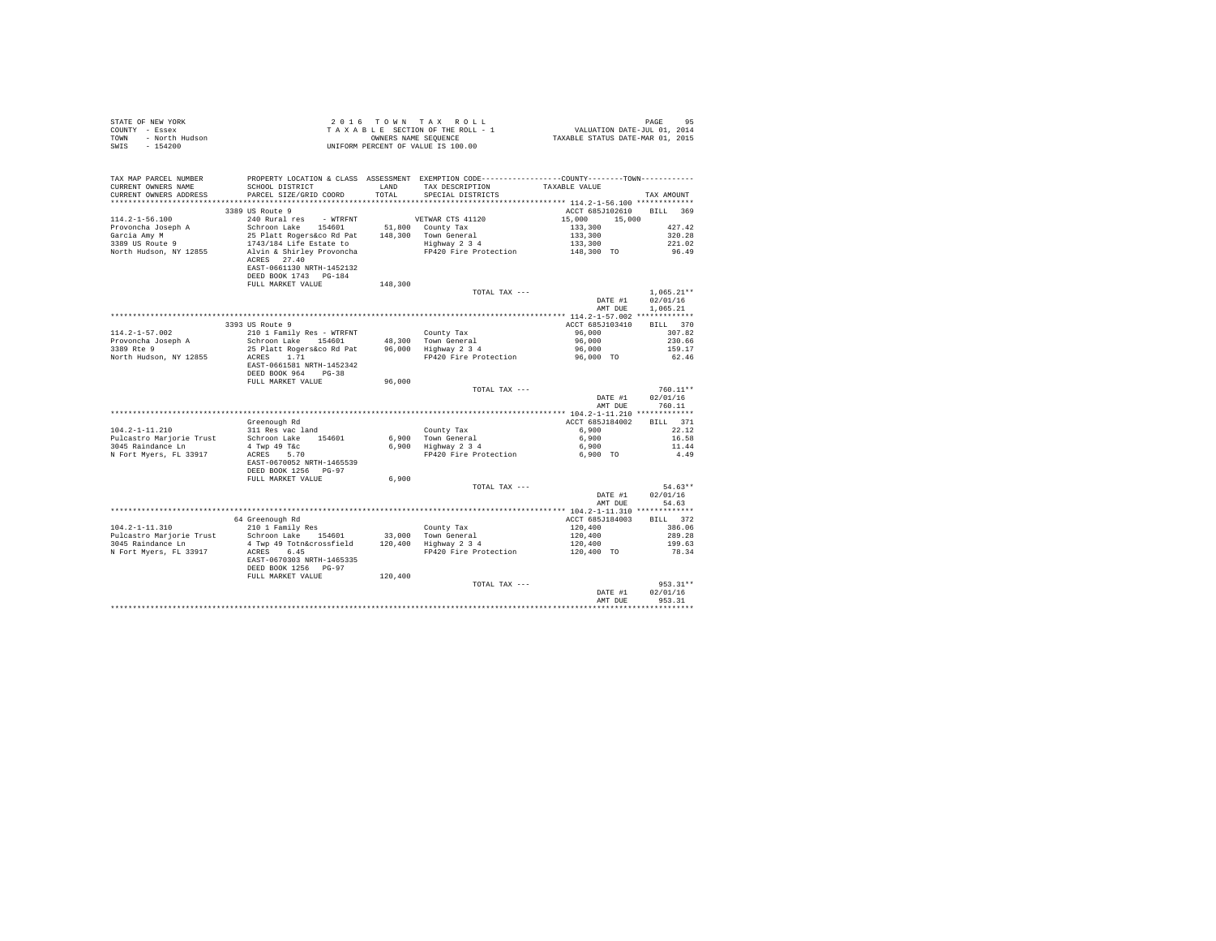| STATE OF NEW YORK      | 2016 TOWN TAX ROLL                 | 95<br>PAGE                       |
|------------------------|------------------------------------|----------------------------------|
| COUNTY - Essex         | TAXABLE SECTION OF THE ROLL - 1    | VALUATION DATE-JUL 01, 2014      |
| TOWN<br>- North Hudson | OWNERS NAME SEOUENCE               | TAXABLE STATUS DATE-MAR 01, 2015 |
| SWIS<br>$-154200$      | UNIFORM PERCENT OF VALUE IS 100.00 |                                  |

| TAX MAP PARCEL NUMBER<br>CURRENT OWNERS NAME<br>CURRENT OWNERS ADDRESS | SCHOOL DISTRICT<br>PARCEL SIZE/GRID COORD       | LAND<br>TOTAL | PROPERTY LOCATION & CLASS ASSESSMENT EXEMPTION CODE---------------COUNTY-------TOWN----------<br>TAX DESCRIPTION<br>SPECIAL DISTRICTS | TAXABLE VALUE                              | TAX AMOUNT         |
|------------------------------------------------------------------------|-------------------------------------------------|---------------|---------------------------------------------------------------------------------------------------------------------------------------|--------------------------------------------|--------------------|
|                                                                        |                                                 |               |                                                                                                                                       |                                            |                    |
|                                                                        | 3389 US Route 9                                 |               |                                                                                                                                       | ACCT 685J102610                            | BILL 369           |
| $114.2 - 1 - 56.100$                                                   | 240 Rural res - WTRFNT                          |               | VETWAR CTS 41120                                                                                                                      | 15,000<br>15,000                           |                    |
| Provoncha Joseph A                                                     | Schroon Lake 154601 51,800 County Tax           |               |                                                                                                                                       | 133,300                                    | 427.42             |
| Garcia Amy M                                                           | 25 Platt Rogers&co Rd Pat                       |               | 148,300 Town General                                                                                                                  | 133,300                                    | 320.28             |
| 3389 US Route 9                                                        | 1743/184 Life Estate to                         |               | Highway 2 3 4                                                                                                                         | 133,300                                    | 221.02             |
| North Hudson, NY 12855                                                 | Alvin & Shirley Provoncha                       |               | FP420 Fire Protection                                                                                                                 | 148,300 TO                                 | 96.49              |
|                                                                        | ACRES 27.40<br>EAST-0661130 NRTH-1452132        |               |                                                                                                                                       |                                            |                    |
|                                                                        | DEED BOOK 1743 PG-184                           |               |                                                                                                                                       |                                            |                    |
|                                                                        | FULL MARKET VALUE                               | 148,300       |                                                                                                                                       |                                            |                    |
|                                                                        |                                                 |               | TOTAL TAX ---                                                                                                                         |                                            | $1.065.21**$       |
|                                                                        |                                                 |               |                                                                                                                                       | DATE #1                                    | 02/01/16           |
|                                                                        |                                                 |               |                                                                                                                                       | AMT DUE                                    | 1.065.21           |
|                                                                        |                                                 |               |                                                                                                                                       |                                            |                    |
|                                                                        | 3393 US Route 9                                 |               |                                                                                                                                       | ACCT 685J103410                            | BILL 370           |
| $114.2 - 1 - 57.002$                                                   | 210 1 Family Res - WTRFNT                       |               | County Tax                                                                                                                            | 96,000                                     | 307.82             |
| Provoncha Joseph A                                                     | Schroon Lake 154601                             |               | 48.300 Town General                                                                                                                   | 96,000                                     | 230.66             |
| 3389 Rte 9                                                             | 25 Platt Rogers&co Rd Pat<br>1.71               |               | 96.000 Highway 2 3 4                                                                                                                  | 96,000                                     | 159.17             |
| North Hudson, NY 12855                                                 | ACRES<br>EAST-0661581 NRTH-1452342              |               | FP420 Fire Protection                                                                                                                 | 96,000 TO                                  | 62.46              |
|                                                                        | DEED BOOK 964 PG-38                             |               |                                                                                                                                       |                                            |                    |
|                                                                        | FULL MARKET VALUE                               | 96,000        |                                                                                                                                       |                                            |                    |
|                                                                        |                                                 |               | TOTAL TAX ---                                                                                                                         |                                            | $760.11**$         |
|                                                                        |                                                 |               |                                                                                                                                       | DATE #1                                    | 02/01/16           |
|                                                                        |                                                 |               |                                                                                                                                       | AMT DUE                                    | 760.11             |
|                                                                        |                                                 |               |                                                                                                                                       |                                            |                    |
|                                                                        | Greenough Rd                                    |               |                                                                                                                                       | ACCT 685J184002                            | BILL 371           |
| $104.2 - 1 - 11.210$                                                   | 311 Res vac land                                |               | County Tax                                                                                                                            | 6,900                                      | 22.12              |
| Pulcastro Marjorie Trust                                               | Schroon Lake 154601                             |               |                                                                                                                                       | 6,900                                      | 16.58              |
| 3045 Raindance Ln                                                      | 4 Twp 49 T&c                                    |               | 6,900 Town General<br>6,900 Highway 2 3 4                                                                                             | 6,900                                      | 11.44              |
| N Fort Myers, FL 33917                                                 | ACRES 5.70                                      |               | FP420 Fire Protection                                                                                                                 | 6,900 TO                                   | 4.49               |
|                                                                        | EAST-0670052 NRTH-1465539                       |               |                                                                                                                                       |                                            |                    |
|                                                                        | DEED BOOK 1256 PG-97                            |               |                                                                                                                                       |                                            |                    |
|                                                                        | FULL MARKET VALUE                               | 6,900         |                                                                                                                                       |                                            |                    |
|                                                                        |                                                 |               | TOTAL TAX ---                                                                                                                         |                                            | $54.63**$          |
|                                                                        |                                                 |               |                                                                                                                                       | DATE #1                                    | 02/01/16           |
|                                                                        |                                                 |               |                                                                                                                                       | AMT DUE                                    | 54.63              |
|                                                                        |                                                 |               |                                                                                                                                       | ************* 104.2-1-11.310 ************* |                    |
| $104.2 - 1 - 11.310$                                                   | 64 Greenough Rd<br>210 1 Family Res             |               |                                                                                                                                       | ACCT 685J184003                            | BILL 372<br>386.06 |
|                                                                        |                                                 |               | County Tax<br>33,000 Town General                                                                                                     | 120,400                                    | 289.28             |
| Pulcastro Marjorie Trust<br>3045 Raindance Ln                          | Schroon Lake 154601<br>4 Twp 49 Totn&crossfield |               | 120,400 Highway 2 3 4                                                                                                                 | 120,400<br>120,400                         | 199.63             |
| N Fort Myers, FL 33917                                                 | ACRES<br>6.45                                   |               | FP420 Fire Protection                                                                                                                 | 120,400 TO                                 | 78.34              |
|                                                                        | EAST-0670303 NRTH-1465335                       |               |                                                                                                                                       |                                            |                    |
|                                                                        | DEED BOOK 1256 PG-97                            |               |                                                                                                                                       |                                            |                    |
|                                                                        | FULL MARKET VALUE                               | 120,400       |                                                                                                                                       |                                            |                    |
|                                                                        |                                                 |               | TOTAL TAX ---                                                                                                                         |                                            | 953.31**           |
|                                                                        |                                                 |               |                                                                                                                                       | DATE #1                                    | 02/01/16           |
|                                                                        |                                                 |               |                                                                                                                                       | AMT DUE                                    | 953.31             |
|                                                                        |                                                 |               |                                                                                                                                       |                                            |                    |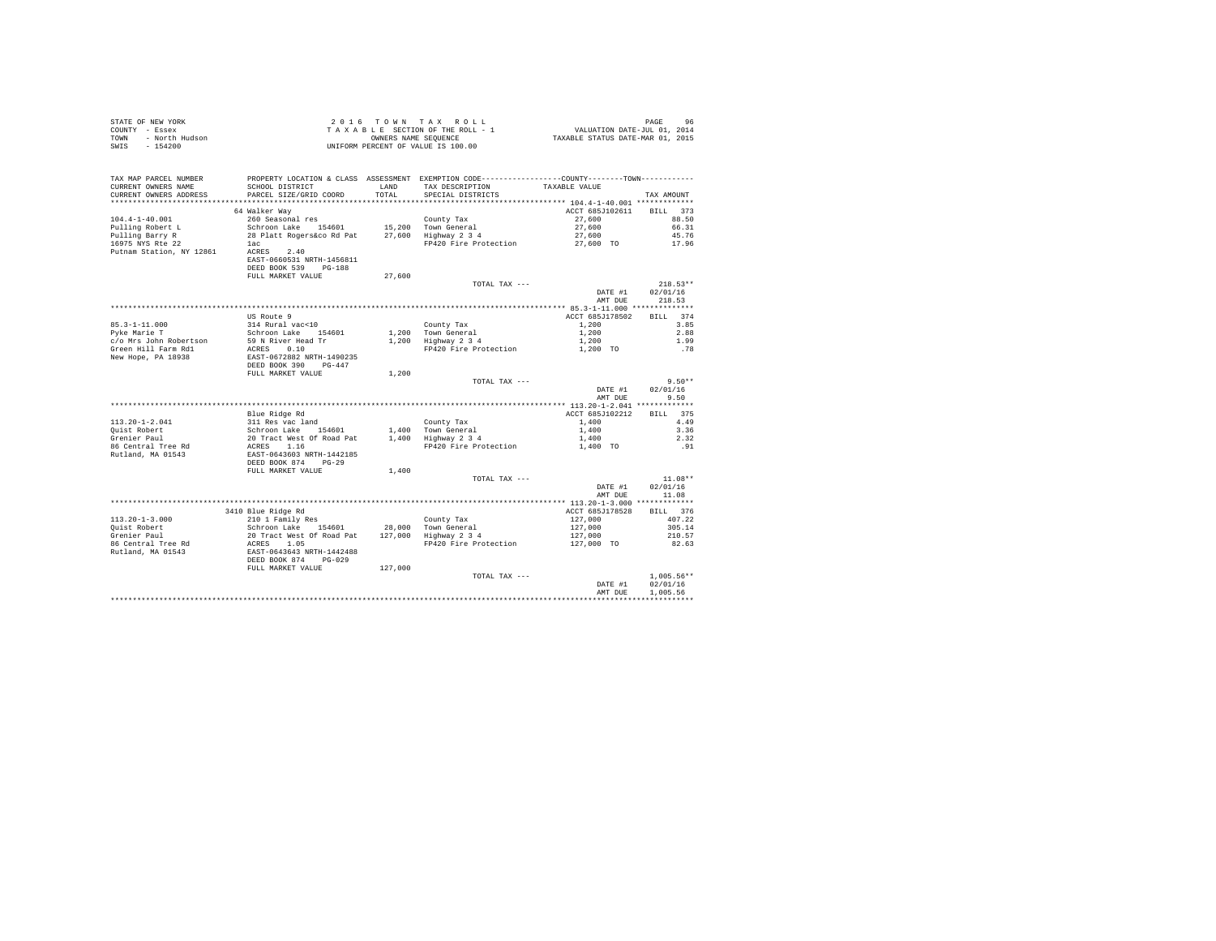| STATE OF NEW YORK<br>COUNTY - Essex<br>- North Hudson<br>TOWN<br>SWIS - 154200 |                                                                                                                                                                 |               | 2016 TOWN TAX ROLL<br>TAXABLE SECTION OF THE ROLL - 1<br>OWNERS NAME SEQUENCE<br>UNIFORM PERCENT OF VALUE IS 100.00                    | 96 PAGE<br>2014 VALUATION DATE-JUL 01, 2014<br>2015 TAXABLE STATUS DATE-MAR | PAGE<br>96                   |
|--------------------------------------------------------------------------------|-----------------------------------------------------------------------------------------------------------------------------------------------------------------|---------------|----------------------------------------------------------------------------------------------------------------------------------------|-----------------------------------------------------------------------------|------------------------------|
| TAX MAP PARCEL NUMBER<br>CURRENT OWNERS NAME<br>CURRENT OWNERS ADDRESS         | SCHOOL DISTRICT<br>PARCEL SIZE/GRID COORD                                                                                                                       | LAND<br>TOTAL | PROPERTY LOCATION & CLASS ASSESSMENT EXEMPTION CODE----------------COUNTY-------TOWN----------<br>TAX DESCRIPTION<br>SPECIAL DISTRICTS | TAXABLE VALUE                                                               | TAX AMOUNT                   |
|                                                                                |                                                                                                                                                                 |               |                                                                                                                                        |                                                                             |                              |
| $104.4 - 1 - 40.001$                                                           | 64 Walker Way<br>260 Seasonal res                                                                                                                               |               | County Tax                                                                                                                             | ACCT 685J102611<br>27,600                                                   | RTLL 373<br>88.50            |
| Pulling Robert L                                                               | Schroon Lake 154601                                                                                                                                             |               |                                                                                                                                        | 27,600                                                                      | 66.31                        |
|                                                                                | 28 Platt Rogers&co Rd Pat                                                                                                                                       |               | 15,200 Town General<br>27,600 Highway 2 3 4                                                                                            | 27,600                                                                      | 45.76                        |
| Pulling Barry R<br>16975 NYS Rte 22                                            | lac                                                                                                                                                             |               | FP420 Fire Protection                                                                                                                  | 27,600 TO                                                                   | 17.96                        |
| Putnam Station, NY 12861 ACRES 2.40                                            | EAST-0660531 NRTH-1456811<br>DEED BOOK 539 PG-188<br>FULL MARKET VALUE                                                                                          | 27,600        |                                                                                                                                        |                                                                             |                              |
|                                                                                |                                                                                                                                                                 |               | TOTAL TAX ---                                                                                                                          |                                                                             | $218.53**$                   |
|                                                                                |                                                                                                                                                                 |               |                                                                                                                                        | DATE #1<br>AMT DUE                                                          | 02/01/16<br>218.53           |
|                                                                                |                                                                                                                                                                 |               |                                                                                                                                        |                                                                             |                              |
|                                                                                | US Route 9                                                                                                                                                      |               |                                                                                                                                        | ACCT 685J178502                                                             | BILL 374                     |
| 85.3-1-11.000<br>Pyke Marie T                                                  | 314 Rural vac<10                                                                                                                                                |               | County Tax<br>1,200 Town General<br>1,200 Highway 2 3 4                                                                                | 1,200<br>1,200                                                              | 3.85<br>2.88                 |
| c/o Mrs John Robertson                                                         | Schroon Lake 154601                                                                                                                                             |               |                                                                                                                                        | 1,200                                                                       | 1.99                         |
| Green Hill Farm Rd1                                                            | 59 N River Head Tr<br>ACRES 0.10                                                                                                                                |               | FP420 Fire Protection                                                                                                                  | 1,200 TO                                                                    | .78                          |
| New Hope, PA 18938                                                             | EAST-0672882 NRTH-1490235<br>DEED BOOK 390 PG-447                                                                                                               |               |                                                                                                                                        |                                                                             |                              |
|                                                                                | FULL MARKET VALUE                                                                                                                                               | 1,200         |                                                                                                                                        |                                                                             |                              |
|                                                                                |                                                                                                                                                                 |               | TOTAL TAX ---                                                                                                                          | DATE #1<br>AMT DUE                                                          | $9.50**$<br>02/01/16<br>9.50 |
|                                                                                |                                                                                                                                                                 |               |                                                                                                                                        |                                                                             |                              |
|                                                                                | Blue Ridge Rd                                                                                                                                                   |               |                                                                                                                                        | ACCT 685J102212                                                             | BILL 375                     |
| $113.20 - 1 - 2.041$                                                           | 311 Res vac land                                                                                                                                                |               | County Tax                                                                                                                             | 1,400                                                                       | 4.49                         |
| Quist Robert<br>Grenier Paul                                                   | Schroon Lake 154601                                                                                                                                             |               | 1,400 Town General<br>1,400 Highway 2 3 4                                                                                              | 1,400                                                                       | 3.36                         |
|                                                                                |                                                                                                                                                                 |               |                                                                                                                                        | 1,400                                                                       | 2.32                         |
| 86 Central Tree Rd<br>Rutland, MA 01543                                        | 20 Tract West Of Road Pat<br>ACRES 1.16<br>EAST-0643603 NRTH-1442185<br>DEED BOOK 874 PG-29                                                                     |               | FP420 Fire Protection                                                                                                                  | 1,400 TO                                                                    | .91                          |
|                                                                                | FULL MARKET VALUE                                                                                                                                               | 1,400         |                                                                                                                                        |                                                                             |                              |
|                                                                                |                                                                                                                                                                 |               | TOTAL TAX ---                                                                                                                          |                                                                             | $11.08**$                    |
|                                                                                |                                                                                                                                                                 |               |                                                                                                                                        | DATE #1<br>AMT DUE                                                          | 02/01/16<br>11.08            |
|                                                                                |                                                                                                                                                                 |               |                                                                                                                                        |                                                                             |                              |
|                                                                                | 3410 Blue Ridge Rd                                                                                                                                              |               |                                                                                                                                        | ACCT 685J178528                                                             | BILL 376                     |
| $113.20 - 1 - 3.000$                                                           | 210 1 Family Res                                                                                                                                                |               | County Tax<br>28,000 Town General<br>127,000 Highway 2 3 4                                                                             | 127,000                                                                     | 407.22                       |
| Quist Robert<br>Grenier Paul                                                   |                                                                                                                                                                 |               |                                                                                                                                        | 127,000<br>127,000<br>127,000 TO                                            | 305.14<br>210.57             |
| 86 Central Tree Rd                                                             |                                                                                                                                                                 |               | FP420 Fire Protection                                                                                                                  |                                                                             | 82.63                        |
| Rutland, MA 01543                                                              | 210 Traming Res<br>20 Tract West Of Road Pat<br>20 Tract West Of Road Pat<br>ACRES 1.05<br>DEED BOOK 874<br>DEED BOOK 874<br>DEED BOOK 874<br>FULL MARKET VALUE |               |                                                                                                                                        |                                                                             |                              |
|                                                                                |                                                                                                                                                                 | 127,000       |                                                                                                                                        |                                                                             |                              |
|                                                                                |                                                                                                                                                                 |               | TOTAL TAX ---                                                                                                                          | DATE #1                                                                     | $1.005.56**$<br>02/01/16     |
|                                                                                |                                                                                                                                                                 |               |                                                                                                                                        | AMT DUE                                                                     | 1,005.56                     |
|                                                                                |                                                                                                                                                                 |               |                                                                                                                                        |                                                                             |                              |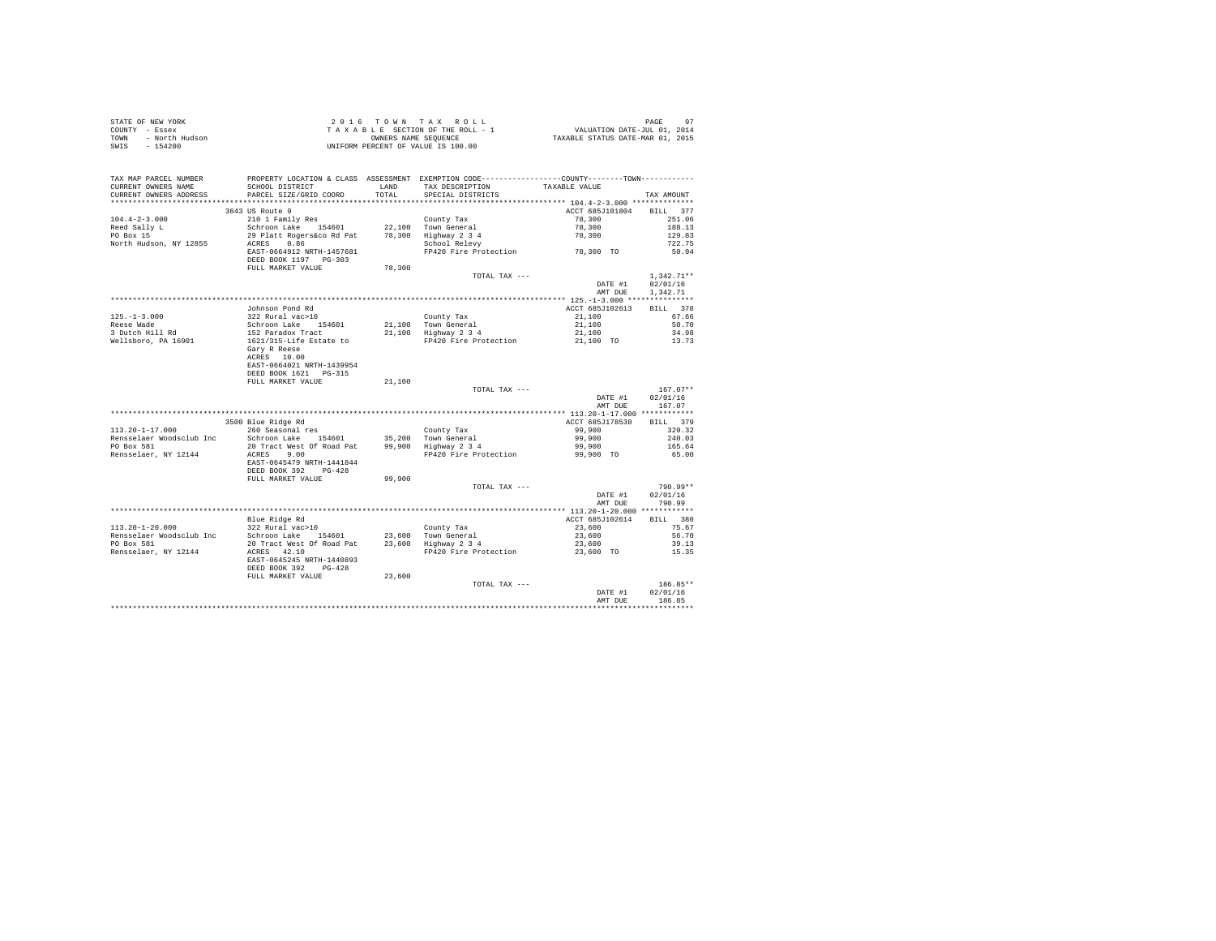|      | STATE OF NEW YORK | 2016 TOWN TAX ROLL                 | PAGE                             |
|------|-------------------|------------------------------------|----------------------------------|
|      | COUNTY - Essex    | TAXABLE SECTION OF THE ROLL - 1    | VALUATION DATE-JUL 01, 2014      |
| TOWN | - North Hudson    | OWNERS NAME SEOUENCE               | TAXABLE STATUS DATE-MAR 01, 2015 |
|      | SWIS - 154200     | UNIFORM PERCENT OF VALUE IS 100.00 |                                  |

| TAX MAP PARCEL NUMBER<br>CURRENT OWNERS NAME<br>CURRENT OWNERS ADDRESS | PROPERTY LOCATION & CLASS ASSESSMENT EXEMPTION CODE---------------COUNTY-------TOWN----------<br>SCHOOL DISTRICT<br>PARCEL SIZE/GRID COORD |        | LAND TAX DESCRIPTION<br>TOTAL SPECIAL DISTRICTS | TAXABLE VALUE       | TAX AMOUNT   |
|------------------------------------------------------------------------|--------------------------------------------------------------------------------------------------------------------------------------------|--------|-------------------------------------------------|---------------------|--------------|
|                                                                        |                                                                                                                                            |        |                                                 |                     |              |
|                                                                        | 3643 US Route 9                                                                                                                            |        |                                                 | ACCT 685J101804     | BILL 377     |
| $104.4 - 2 - 3.000$                                                    |                                                                                                                                            |        |                                                 |                     | 251.06       |
|                                                                        | 210 1 Family Res                                                                                                                           |        | County Tax                                      | 78,300<br>78,300    | 188.13       |
| Reed Sally L                                                           | Schroon Lake 154601 22,100 Town General                                                                                                    |        |                                                 |                     |              |
| PO Box 15                                                              | 29 Platt Rogers&co Rd Pat                                                                                                                  |        | 78,300 Highway 2 3 4<br>School Relevy           | 78,300              | 129.83       |
| North Hudson, NY 12855                                                 | ACRES<br>0.86                                                                                                                              |        | FP420 Fire Protection 78,300 TO                 |                     | 722.75       |
|                                                                        | EAST-0664912 NRTH-1457681<br>DEED BOOK 1197 PG-303<br>FULL MARKET VALUE                                                                    | 78,300 |                                                 |                     | 50.94        |
|                                                                        |                                                                                                                                            |        | TOTAL TAX ---                                   |                     | $1,342.71**$ |
|                                                                        |                                                                                                                                            |        |                                                 | DATE #1             | 02/01/16     |
|                                                                        |                                                                                                                                            |        |                                                 | AMT DUE             | 1,342.71     |
|                                                                        |                                                                                                                                            |        |                                                 |                     |              |
|                                                                        | Johnson Pond Rd                                                                                                                            |        |                                                 | ACCT 685J102613     | BILL 378     |
| $125. - 1 - 3.000$                                                     | 322 Rural vac>10                                                                                                                           |        | County Tax                                      | 21,100              | 67.66        |
| Reese Wade                                                             |                                                                                                                                            |        | 21.100 Town General                             | 21,100              | 50.70        |
| 3 Dutch Hill Rd                                                        | Schroon Lake 154601<br>152 Paradox Tract<br>1621/315-Life Estate to                                                                        |        | 21,100 Highway 2 3 4                            |                     | 34.98        |
| Wellsboro, PA 16901                                                    |                                                                                                                                            |        | FP420 Fire Protection                           | 21,100<br>21,100 TO | 13.73        |
|                                                                        | Gary R Reese<br>ACRES 10.00                                                                                                                |        |                                                 |                     |              |
|                                                                        | EAST-0664021 NRTH-1439954                                                                                                                  |        |                                                 |                     |              |
|                                                                        | DEED BOOK 1621 PG-315                                                                                                                      |        |                                                 |                     |              |
|                                                                        | FULL MARKET VALUE                                                                                                                          | 21,100 |                                                 |                     |              |
|                                                                        |                                                                                                                                            |        | TOTAL TAX ---                                   |                     | $167.07**$   |
|                                                                        |                                                                                                                                            |        |                                                 | DATE #1             | 02/01/16     |
|                                                                        |                                                                                                                                            |        |                                                 | AMT DUE             | 167.07       |
|                                                                        |                                                                                                                                            |        |                                                 |                     |              |
|                                                                        | 3500 Blue Ridge Rd                                                                                                                         |        |                                                 | ACCT 685J178530     | BILL 379     |
| $113.20 - 1 - 17.000$                                                  | 260 Seasonal res                                                                                                                           |        | County Tax                                      | 99,900              | 320.32       |
|                                                                        | Rensselaer Woodsclub Inc Schroon Lake 154601 35,200 Town General<br>PO Box 581 20 Tract West Of Road Pat 99,900 Highway 2 3 4              |        |                                                 | 99,900              | 240.03       |
|                                                                        |                                                                                                                                            |        |                                                 | 99,900              | 165.64       |
| Rensselaer, NY 12144                                                   | ACRES 9.00<br>EAST-0645479 NRTH-1441844<br>DEED BOOK 392 PG-428                                                                            |        | FP420 Fire Protection                           | 99,900 TO           | 65.00        |
|                                                                        | FULL MARKET VALUE                                                                                                                          | 99,900 |                                                 |                     |              |
|                                                                        |                                                                                                                                            |        | TOTAL TAX ---                                   |                     | 790.99**     |
|                                                                        |                                                                                                                                            |        |                                                 | DATE #1             | 02/01/16     |
|                                                                        |                                                                                                                                            |        |                                                 | AMT DUE             | 790.99       |
|                                                                        |                                                                                                                                            |        |                                                 |                     |              |
|                                                                        | Blue Ridge Rd                                                                                                                              |        |                                                 | ACCT 685J102614     | BILL 380     |
| 113.20-1-20.000                                                        | 322 Rural vac>10                                                                                                                           |        | County Tax                                      | 23,600              | 75.67        |
| Rensselaer Woodsclub Inc                                               | Schroon Lake 154601                                                                                                                        |        | 23,600 Town General                             | 23,600              | 56.70        |
| PO Box 581                                                             |                                                                                                                                            |        |                                                 | 23,600              | 39.13        |
| Rensselaer, NY 12144                                                   | ACRES 42.10                                                                                                                                |        |                                                 | 23,600 TO           | 15.35        |
|                                                                        | EAST-0645245 NRTH-1440893<br>DEED BOOK 392 PG-428                                                                                          |        |                                                 |                     |              |
|                                                                        | FULL MARKET VALUE                                                                                                                          | 23,600 |                                                 |                     |              |
|                                                                        |                                                                                                                                            |        | TOTAL TAX ---                                   |                     | 186.85**     |
|                                                                        |                                                                                                                                            |        |                                                 | DATE #1             | 02/01/16     |
|                                                                        |                                                                                                                                            |        |                                                 | AMT DUE             | 186.85       |
|                                                                        |                                                                                                                                            |        |                                                 |                     |              |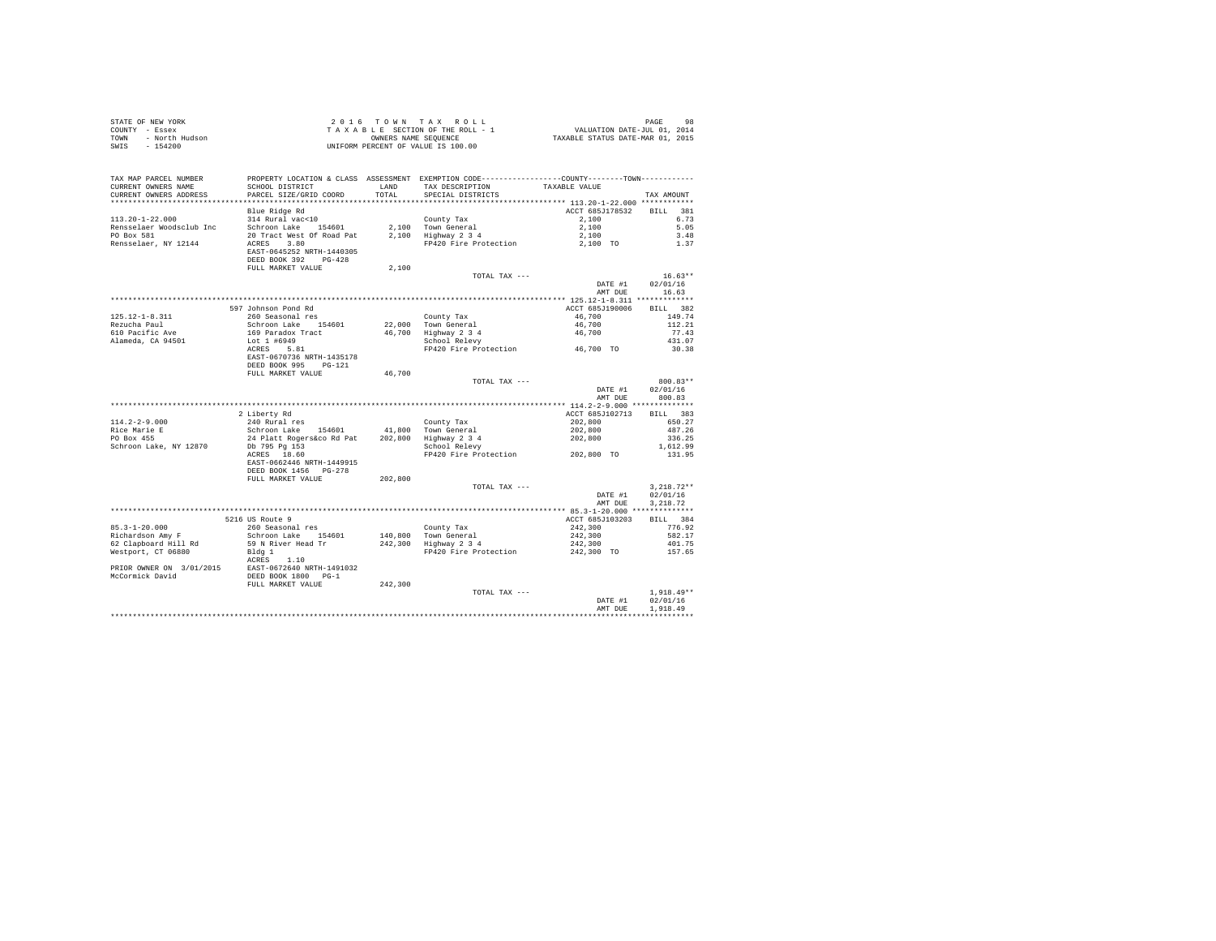|      | STATE OF NEW YORK | 2016 TOWN TAX ROLL                 | 98<br>PAGE                       |
|------|-------------------|------------------------------------|----------------------------------|
|      | COUNTY - Essex    | TAXABLE SECTION OF THE ROLL - 1    | VALUATION DATE-JUL 01, 2014      |
| TOWN | - North Hudson    | OWNERS NAME SEOUENCE               | TAXABLE STATUS DATE-MAR 01, 2015 |
| SWIS | - 154200          | UNIFORM PERCENT OF VALUE IS 100.00 |                                  |

| *********************<br>************************<br>Blue Ridge Rd<br>381<br>ACCT 685J178532<br>RTT.T.<br>314 Rural vac<10<br>6.73<br>County Tax<br>2,100<br>5.05<br>Schroon Lake<br>2,100 Town General<br>2,100 Highway 2 3 4<br>2,100<br>154601<br>20 Tract West Of Road Pat<br>3.48<br>2,100<br>ACRES 3.80<br>FP420 Fire Protection<br>1.37<br>2,100 TO<br>EAST-0645252 NRTH-1440305<br>DEED BOOK 392 PG-428<br>FULL MARKET VALUE<br>2,100<br>$16.63**$<br>TOTAL TAX ---<br>02/01/16<br>DATE #1<br>16.63<br>AMT DUE<br>BILL 382<br>597 Johnson Pond Rd<br>ACCT 685J190006<br>260 Seasonal res<br>125.12-1-8.311<br>46,700<br>149.74<br>County Tax<br>Schroon Lake 154601<br>22.000 Town General<br>46,700<br>112.21<br>169 Paradox Tract<br>610 Pacific Ave<br>46,700 Highway 2 3 4<br>77.43<br>46,700<br>School Relevy<br>Alameda, CA 94501<br>431.07<br>Lot 1 #6949<br>FP420 Fire Protection 46,700 TO<br>ACRES 5.81<br>30.38<br>EAST-0670736 NRTH-1435178<br>DEED BOOK 995<br>$PG-121$<br>FULL MARKET VALUE<br>46,700<br>800.83**<br>TOTAL TAX ---<br>02/01/16<br>DATE #1<br>AMT DUE<br>800.83<br>2 Liberty Rd<br>ACCT 685J102713<br>BILL 383<br>$114.2 - 2 - 9.000$<br>240 Rural res<br>County Tax<br>202,800<br>650.27<br>Rice Marie E<br>Schroon Lake 154601<br>41,800 Town General<br>202,800<br>487.26<br>PO Box 455<br>24 Platt Rogers&co Rd Pat<br>202,800<br>202.800<br>Highway 2 3 4<br>336.25<br>Schroon Lake, NY 12870<br>Db 795 Pg 153<br>School Relevy<br>1,612.99<br>FP420 Fire Protection 202,800 TO<br>ACRES 18.60<br>131.95<br>EAST-0662446 NRTH-1449915<br>DEED BOOK 1456 PG-278<br>FULL MARKET VALUE<br>202,800<br>$3.218.72**$<br>TOTAL TAX ---<br>02/01/16<br>DATE #1<br>3.218.72<br>AMT DUE<br>5216 US Route 9<br>ACCT 685J103203<br>BILL 384<br>$85.3 - 1 - 20.000$<br>260 Seasonal res<br>County Tax<br>242,300<br>776.92<br>Richardson Amy F<br>Schroon Lake 154601<br>140,800 Town General<br>242,300<br>582.17<br>242,300 Highway 2 3 4<br>59 N River Head Tr<br>62 Clapboard Hill Rd<br>242,300<br>401.75<br>242,300 TO<br>Westport, CT 06880<br>Bldg 1<br>FP420 Fire Protection<br>157.65<br>ACRES<br>1.10<br>$\begin{tabular}{lllll} \texttt{PRIOR} & \texttt{ONNER} & \texttt{ON} & 3/01/2015 & \texttt{EAST-0672640 NRTH-1491032}\\ \texttt{McCormick David} & \texttt{DEED BOOK} & 1800 & PG-1 \\ \end{tabular}$<br>FULL MARKET VALUE<br>242,300<br>$1.918.49**$<br>TOTAL TAX ---<br>02/01/16<br>DATE #1<br>1,918.49<br>AMT DUE | TAX MAP PARCEL NUMBER<br>CURRENT OWNERS NAME<br>CURRENT OWNERS ADDRESS | SCHOOL DISTRICT<br>PARCEL SIZE/GRID COORD | LAND<br>TOTAL | PROPERTY LOCATION & CLASS ASSESSMENT EXEMPTION CODE----------------COUNTY-------TOWN----------<br>TAX DESCRIPTION<br>SPECIAL DISTRICTS | TAXABLE VALUE | TAX AMOUNT |
|------------------------------------------------------------------------------------------------------------------------------------------------------------------------------------------------------------------------------------------------------------------------------------------------------------------------------------------------------------------------------------------------------------------------------------------------------------------------------------------------------------------------------------------------------------------------------------------------------------------------------------------------------------------------------------------------------------------------------------------------------------------------------------------------------------------------------------------------------------------------------------------------------------------------------------------------------------------------------------------------------------------------------------------------------------------------------------------------------------------------------------------------------------------------------------------------------------------------------------------------------------------------------------------------------------------------------------------------------------------------------------------------------------------------------------------------------------------------------------------------------------------------------------------------------------------------------------------------------------------------------------------------------------------------------------------------------------------------------------------------------------------------------------------------------------------------------------------------------------------------------------------------------------------------------------------------------------------------------------------------------------------------------------------------------------------------------------------------------------------------------------------------------------------------------------------------------------------------------------------------------------------------------------------------------------------------------------------------------------------------------------------------------------------------------------------------------------------------|------------------------------------------------------------------------|-------------------------------------------|---------------|----------------------------------------------------------------------------------------------------------------------------------------|---------------|------------|
|                                                                                                                                                                                                                                                                                                                                                                                                                                                                                                                                                                                                                                                                                                                                                                                                                                                                                                                                                                                                                                                                                                                                                                                                                                                                                                                                                                                                                                                                                                                                                                                                                                                                                                                                                                                                                                                                                                                                                                                                                                                                                                                                                                                                                                                                                                                                                                                                                                                                        |                                                                        |                                           |               |                                                                                                                                        |               |            |
|                                                                                                                                                                                                                                                                                                                                                                                                                                                                                                                                                                                                                                                                                                                                                                                                                                                                                                                                                                                                                                                                                                                                                                                                                                                                                                                                                                                                                                                                                                                                                                                                                                                                                                                                                                                                                                                                                                                                                                                                                                                                                                                                                                                                                                                                                                                                                                                                                                                                        |                                                                        |                                           |               |                                                                                                                                        |               |            |
|                                                                                                                                                                                                                                                                                                                                                                                                                                                                                                                                                                                                                                                                                                                                                                                                                                                                                                                                                                                                                                                                                                                                                                                                                                                                                                                                                                                                                                                                                                                                                                                                                                                                                                                                                                                                                                                                                                                                                                                                                                                                                                                                                                                                                                                                                                                                                                                                                                                                        | $113.20 - 1 - 22.000$                                                  |                                           |               |                                                                                                                                        |               |            |
|                                                                                                                                                                                                                                                                                                                                                                                                                                                                                                                                                                                                                                                                                                                                                                                                                                                                                                                                                                                                                                                                                                                                                                                                                                                                                                                                                                                                                                                                                                                                                                                                                                                                                                                                                                                                                                                                                                                                                                                                                                                                                                                                                                                                                                                                                                                                                                                                                                                                        | Rensselaer Woodsclub Inc                                               |                                           |               |                                                                                                                                        |               |            |
|                                                                                                                                                                                                                                                                                                                                                                                                                                                                                                                                                                                                                                                                                                                                                                                                                                                                                                                                                                                                                                                                                                                                                                                                                                                                                                                                                                                                                                                                                                                                                                                                                                                                                                                                                                                                                                                                                                                                                                                                                                                                                                                                                                                                                                                                                                                                                                                                                                                                        | PO Box 581                                                             |                                           |               |                                                                                                                                        |               |            |
|                                                                                                                                                                                                                                                                                                                                                                                                                                                                                                                                                                                                                                                                                                                                                                                                                                                                                                                                                                                                                                                                                                                                                                                                                                                                                                                                                                                                                                                                                                                                                                                                                                                                                                                                                                                                                                                                                                                                                                                                                                                                                                                                                                                                                                                                                                                                                                                                                                                                        | Rensselaer, NY 12144                                                   |                                           |               |                                                                                                                                        |               |            |
|                                                                                                                                                                                                                                                                                                                                                                                                                                                                                                                                                                                                                                                                                                                                                                                                                                                                                                                                                                                                                                                                                                                                                                                                                                                                                                                                                                                                                                                                                                                                                                                                                                                                                                                                                                                                                                                                                                                                                                                                                                                                                                                                                                                                                                                                                                                                                                                                                                                                        |                                                                        |                                           |               |                                                                                                                                        |               |            |
|                                                                                                                                                                                                                                                                                                                                                                                                                                                                                                                                                                                                                                                                                                                                                                                                                                                                                                                                                                                                                                                                                                                                                                                                                                                                                                                                                                                                                                                                                                                                                                                                                                                                                                                                                                                                                                                                                                                                                                                                                                                                                                                                                                                                                                                                                                                                                                                                                                                                        |                                                                        |                                           |               |                                                                                                                                        |               |            |
|                                                                                                                                                                                                                                                                                                                                                                                                                                                                                                                                                                                                                                                                                                                                                                                                                                                                                                                                                                                                                                                                                                                                                                                                                                                                                                                                                                                                                                                                                                                                                                                                                                                                                                                                                                                                                                                                                                                                                                                                                                                                                                                                                                                                                                                                                                                                                                                                                                                                        |                                                                        |                                           |               |                                                                                                                                        |               |            |
|                                                                                                                                                                                                                                                                                                                                                                                                                                                                                                                                                                                                                                                                                                                                                                                                                                                                                                                                                                                                                                                                                                                                                                                                                                                                                                                                                                                                                                                                                                                                                                                                                                                                                                                                                                                                                                                                                                                                                                                                                                                                                                                                                                                                                                                                                                                                                                                                                                                                        |                                                                        |                                           |               |                                                                                                                                        |               |            |
|                                                                                                                                                                                                                                                                                                                                                                                                                                                                                                                                                                                                                                                                                                                                                                                                                                                                                                                                                                                                                                                                                                                                                                                                                                                                                                                                                                                                                                                                                                                                                                                                                                                                                                                                                                                                                                                                                                                                                                                                                                                                                                                                                                                                                                                                                                                                                                                                                                                                        |                                                                        |                                           |               |                                                                                                                                        |               |            |
|                                                                                                                                                                                                                                                                                                                                                                                                                                                                                                                                                                                                                                                                                                                                                                                                                                                                                                                                                                                                                                                                                                                                                                                                                                                                                                                                                                                                                                                                                                                                                                                                                                                                                                                                                                                                                                                                                                                                                                                                                                                                                                                                                                                                                                                                                                                                                                                                                                                                        |                                                                        |                                           |               |                                                                                                                                        |               |            |
|                                                                                                                                                                                                                                                                                                                                                                                                                                                                                                                                                                                                                                                                                                                                                                                                                                                                                                                                                                                                                                                                                                                                                                                                                                                                                                                                                                                                                                                                                                                                                                                                                                                                                                                                                                                                                                                                                                                                                                                                                                                                                                                                                                                                                                                                                                                                                                                                                                                                        |                                                                        |                                           |               |                                                                                                                                        |               |            |
|                                                                                                                                                                                                                                                                                                                                                                                                                                                                                                                                                                                                                                                                                                                                                                                                                                                                                                                                                                                                                                                                                                                                                                                                                                                                                                                                                                                                                                                                                                                                                                                                                                                                                                                                                                                                                                                                                                                                                                                                                                                                                                                                                                                                                                                                                                                                                                                                                                                                        |                                                                        |                                           |               |                                                                                                                                        |               |            |
|                                                                                                                                                                                                                                                                                                                                                                                                                                                                                                                                                                                                                                                                                                                                                                                                                                                                                                                                                                                                                                                                                                                                                                                                                                                                                                                                                                                                                                                                                                                                                                                                                                                                                                                                                                                                                                                                                                                                                                                                                                                                                                                                                                                                                                                                                                                                                                                                                                                                        |                                                                        |                                           |               |                                                                                                                                        |               |            |
|                                                                                                                                                                                                                                                                                                                                                                                                                                                                                                                                                                                                                                                                                                                                                                                                                                                                                                                                                                                                                                                                                                                                                                                                                                                                                                                                                                                                                                                                                                                                                                                                                                                                                                                                                                                                                                                                                                                                                                                                                                                                                                                                                                                                                                                                                                                                                                                                                                                                        | Rezucha Paul                                                           |                                           |               |                                                                                                                                        |               |            |
|                                                                                                                                                                                                                                                                                                                                                                                                                                                                                                                                                                                                                                                                                                                                                                                                                                                                                                                                                                                                                                                                                                                                                                                                                                                                                                                                                                                                                                                                                                                                                                                                                                                                                                                                                                                                                                                                                                                                                                                                                                                                                                                                                                                                                                                                                                                                                                                                                                                                        |                                                                        |                                           |               |                                                                                                                                        |               |            |
|                                                                                                                                                                                                                                                                                                                                                                                                                                                                                                                                                                                                                                                                                                                                                                                                                                                                                                                                                                                                                                                                                                                                                                                                                                                                                                                                                                                                                                                                                                                                                                                                                                                                                                                                                                                                                                                                                                                                                                                                                                                                                                                                                                                                                                                                                                                                                                                                                                                                        |                                                                        |                                           |               |                                                                                                                                        |               |            |
|                                                                                                                                                                                                                                                                                                                                                                                                                                                                                                                                                                                                                                                                                                                                                                                                                                                                                                                                                                                                                                                                                                                                                                                                                                                                                                                                                                                                                                                                                                                                                                                                                                                                                                                                                                                                                                                                                                                                                                                                                                                                                                                                                                                                                                                                                                                                                                                                                                                                        |                                                                        |                                           |               |                                                                                                                                        |               |            |
|                                                                                                                                                                                                                                                                                                                                                                                                                                                                                                                                                                                                                                                                                                                                                                                                                                                                                                                                                                                                                                                                                                                                                                                                                                                                                                                                                                                                                                                                                                                                                                                                                                                                                                                                                                                                                                                                                                                                                                                                                                                                                                                                                                                                                                                                                                                                                                                                                                                                        |                                                                        |                                           |               |                                                                                                                                        |               |            |
|                                                                                                                                                                                                                                                                                                                                                                                                                                                                                                                                                                                                                                                                                                                                                                                                                                                                                                                                                                                                                                                                                                                                                                                                                                                                                                                                                                                                                                                                                                                                                                                                                                                                                                                                                                                                                                                                                                                                                                                                                                                                                                                                                                                                                                                                                                                                                                                                                                                                        |                                                                        |                                           |               |                                                                                                                                        |               |            |
|                                                                                                                                                                                                                                                                                                                                                                                                                                                                                                                                                                                                                                                                                                                                                                                                                                                                                                                                                                                                                                                                                                                                                                                                                                                                                                                                                                                                                                                                                                                                                                                                                                                                                                                                                                                                                                                                                                                                                                                                                                                                                                                                                                                                                                                                                                                                                                                                                                                                        |                                                                        |                                           |               |                                                                                                                                        |               |            |
|                                                                                                                                                                                                                                                                                                                                                                                                                                                                                                                                                                                                                                                                                                                                                                                                                                                                                                                                                                                                                                                                                                                                                                                                                                                                                                                                                                                                                                                                                                                                                                                                                                                                                                                                                                                                                                                                                                                                                                                                                                                                                                                                                                                                                                                                                                                                                                                                                                                                        |                                                                        |                                           |               |                                                                                                                                        |               |            |
|                                                                                                                                                                                                                                                                                                                                                                                                                                                                                                                                                                                                                                                                                                                                                                                                                                                                                                                                                                                                                                                                                                                                                                                                                                                                                                                                                                                                                                                                                                                                                                                                                                                                                                                                                                                                                                                                                                                                                                                                                                                                                                                                                                                                                                                                                                                                                                                                                                                                        |                                                                        |                                           |               |                                                                                                                                        |               |            |
|                                                                                                                                                                                                                                                                                                                                                                                                                                                                                                                                                                                                                                                                                                                                                                                                                                                                                                                                                                                                                                                                                                                                                                                                                                                                                                                                                                                                                                                                                                                                                                                                                                                                                                                                                                                                                                                                                                                                                                                                                                                                                                                                                                                                                                                                                                                                                                                                                                                                        |                                                                        |                                           |               |                                                                                                                                        |               |            |
|                                                                                                                                                                                                                                                                                                                                                                                                                                                                                                                                                                                                                                                                                                                                                                                                                                                                                                                                                                                                                                                                                                                                                                                                                                                                                                                                                                                                                                                                                                                                                                                                                                                                                                                                                                                                                                                                                                                                                                                                                                                                                                                                                                                                                                                                                                                                                                                                                                                                        |                                                                        |                                           |               |                                                                                                                                        |               |            |
|                                                                                                                                                                                                                                                                                                                                                                                                                                                                                                                                                                                                                                                                                                                                                                                                                                                                                                                                                                                                                                                                                                                                                                                                                                                                                                                                                                                                                                                                                                                                                                                                                                                                                                                                                                                                                                                                                                                                                                                                                                                                                                                                                                                                                                                                                                                                                                                                                                                                        |                                                                        |                                           |               |                                                                                                                                        |               |            |
|                                                                                                                                                                                                                                                                                                                                                                                                                                                                                                                                                                                                                                                                                                                                                                                                                                                                                                                                                                                                                                                                                                                                                                                                                                                                                                                                                                                                                                                                                                                                                                                                                                                                                                                                                                                                                                                                                                                                                                                                                                                                                                                                                                                                                                                                                                                                                                                                                                                                        |                                                                        |                                           |               |                                                                                                                                        |               |            |
|                                                                                                                                                                                                                                                                                                                                                                                                                                                                                                                                                                                                                                                                                                                                                                                                                                                                                                                                                                                                                                                                                                                                                                                                                                                                                                                                                                                                                                                                                                                                                                                                                                                                                                                                                                                                                                                                                                                                                                                                                                                                                                                                                                                                                                                                                                                                                                                                                                                                        |                                                                        |                                           |               |                                                                                                                                        |               |            |
|                                                                                                                                                                                                                                                                                                                                                                                                                                                                                                                                                                                                                                                                                                                                                                                                                                                                                                                                                                                                                                                                                                                                                                                                                                                                                                                                                                                                                                                                                                                                                                                                                                                                                                                                                                                                                                                                                                                                                                                                                                                                                                                                                                                                                                                                                                                                                                                                                                                                        |                                                                        |                                           |               |                                                                                                                                        |               |            |
|                                                                                                                                                                                                                                                                                                                                                                                                                                                                                                                                                                                                                                                                                                                                                                                                                                                                                                                                                                                                                                                                                                                                                                                                                                                                                                                                                                                                                                                                                                                                                                                                                                                                                                                                                                                                                                                                                                                                                                                                                                                                                                                                                                                                                                                                                                                                                                                                                                                                        |                                                                        |                                           |               |                                                                                                                                        |               |            |
|                                                                                                                                                                                                                                                                                                                                                                                                                                                                                                                                                                                                                                                                                                                                                                                                                                                                                                                                                                                                                                                                                                                                                                                                                                                                                                                                                                                                                                                                                                                                                                                                                                                                                                                                                                                                                                                                                                                                                                                                                                                                                                                                                                                                                                                                                                                                                                                                                                                                        |                                                                        |                                           |               |                                                                                                                                        |               |            |
|                                                                                                                                                                                                                                                                                                                                                                                                                                                                                                                                                                                                                                                                                                                                                                                                                                                                                                                                                                                                                                                                                                                                                                                                                                                                                                                                                                                                                                                                                                                                                                                                                                                                                                                                                                                                                                                                                                                                                                                                                                                                                                                                                                                                                                                                                                                                                                                                                                                                        |                                                                        |                                           |               |                                                                                                                                        |               |            |
|                                                                                                                                                                                                                                                                                                                                                                                                                                                                                                                                                                                                                                                                                                                                                                                                                                                                                                                                                                                                                                                                                                                                                                                                                                                                                                                                                                                                                                                                                                                                                                                                                                                                                                                                                                                                                                                                                                                                                                                                                                                                                                                                                                                                                                                                                                                                                                                                                                                                        |                                                                        |                                           |               |                                                                                                                                        |               |            |
|                                                                                                                                                                                                                                                                                                                                                                                                                                                                                                                                                                                                                                                                                                                                                                                                                                                                                                                                                                                                                                                                                                                                                                                                                                                                                                                                                                                                                                                                                                                                                                                                                                                                                                                                                                                                                                                                                                                                                                                                                                                                                                                                                                                                                                                                                                                                                                                                                                                                        |                                                                        |                                           |               |                                                                                                                                        |               |            |
|                                                                                                                                                                                                                                                                                                                                                                                                                                                                                                                                                                                                                                                                                                                                                                                                                                                                                                                                                                                                                                                                                                                                                                                                                                                                                                                                                                                                                                                                                                                                                                                                                                                                                                                                                                                                                                                                                                                                                                                                                                                                                                                                                                                                                                                                                                                                                                                                                                                                        |                                                                        |                                           |               |                                                                                                                                        |               |            |
|                                                                                                                                                                                                                                                                                                                                                                                                                                                                                                                                                                                                                                                                                                                                                                                                                                                                                                                                                                                                                                                                                                                                                                                                                                                                                                                                                                                                                                                                                                                                                                                                                                                                                                                                                                                                                                                                                                                                                                                                                                                                                                                                                                                                                                                                                                                                                                                                                                                                        |                                                                        |                                           |               |                                                                                                                                        |               |            |
|                                                                                                                                                                                                                                                                                                                                                                                                                                                                                                                                                                                                                                                                                                                                                                                                                                                                                                                                                                                                                                                                                                                                                                                                                                                                                                                                                                                                                                                                                                                                                                                                                                                                                                                                                                                                                                                                                                                                                                                                                                                                                                                                                                                                                                                                                                                                                                                                                                                                        |                                                                        |                                           |               |                                                                                                                                        |               |            |
|                                                                                                                                                                                                                                                                                                                                                                                                                                                                                                                                                                                                                                                                                                                                                                                                                                                                                                                                                                                                                                                                                                                                                                                                                                                                                                                                                                                                                                                                                                                                                                                                                                                                                                                                                                                                                                                                                                                                                                                                                                                                                                                                                                                                                                                                                                                                                                                                                                                                        |                                                                        |                                           |               |                                                                                                                                        |               |            |
|                                                                                                                                                                                                                                                                                                                                                                                                                                                                                                                                                                                                                                                                                                                                                                                                                                                                                                                                                                                                                                                                                                                                                                                                                                                                                                                                                                                                                                                                                                                                                                                                                                                                                                                                                                                                                                                                                                                                                                                                                                                                                                                                                                                                                                                                                                                                                                                                                                                                        |                                                                        |                                           |               |                                                                                                                                        |               |            |
|                                                                                                                                                                                                                                                                                                                                                                                                                                                                                                                                                                                                                                                                                                                                                                                                                                                                                                                                                                                                                                                                                                                                                                                                                                                                                                                                                                                                                                                                                                                                                                                                                                                                                                                                                                                                                                                                                                                                                                                                                                                                                                                                                                                                                                                                                                                                                                                                                                                                        |                                                                        |                                           |               |                                                                                                                                        |               |            |
|                                                                                                                                                                                                                                                                                                                                                                                                                                                                                                                                                                                                                                                                                                                                                                                                                                                                                                                                                                                                                                                                                                                                                                                                                                                                                                                                                                                                                                                                                                                                                                                                                                                                                                                                                                                                                                                                                                                                                                                                                                                                                                                                                                                                                                                                                                                                                                                                                                                                        |                                                                        |                                           |               |                                                                                                                                        |               |            |
|                                                                                                                                                                                                                                                                                                                                                                                                                                                                                                                                                                                                                                                                                                                                                                                                                                                                                                                                                                                                                                                                                                                                                                                                                                                                                                                                                                                                                                                                                                                                                                                                                                                                                                                                                                                                                                                                                                                                                                                                                                                                                                                                                                                                                                                                                                                                                                                                                                                                        |                                                                        |                                           |               |                                                                                                                                        |               |            |
|                                                                                                                                                                                                                                                                                                                                                                                                                                                                                                                                                                                                                                                                                                                                                                                                                                                                                                                                                                                                                                                                                                                                                                                                                                                                                                                                                                                                                                                                                                                                                                                                                                                                                                                                                                                                                                                                                                                                                                                                                                                                                                                                                                                                                                                                                                                                                                                                                                                                        |                                                                        |                                           |               |                                                                                                                                        |               |            |
|                                                                                                                                                                                                                                                                                                                                                                                                                                                                                                                                                                                                                                                                                                                                                                                                                                                                                                                                                                                                                                                                                                                                                                                                                                                                                                                                                                                                                                                                                                                                                                                                                                                                                                                                                                                                                                                                                                                                                                                                                                                                                                                                                                                                                                                                                                                                                                                                                                                                        |                                                                        |                                           |               |                                                                                                                                        |               |            |
|                                                                                                                                                                                                                                                                                                                                                                                                                                                                                                                                                                                                                                                                                                                                                                                                                                                                                                                                                                                                                                                                                                                                                                                                                                                                                                                                                                                                                                                                                                                                                                                                                                                                                                                                                                                                                                                                                                                                                                                                                                                                                                                                                                                                                                                                                                                                                                                                                                                                        |                                                                        |                                           |               |                                                                                                                                        |               |            |
|                                                                                                                                                                                                                                                                                                                                                                                                                                                                                                                                                                                                                                                                                                                                                                                                                                                                                                                                                                                                                                                                                                                                                                                                                                                                                                                                                                                                                                                                                                                                                                                                                                                                                                                                                                                                                                                                                                                                                                                                                                                                                                                                                                                                                                                                                                                                                                                                                                                                        |                                                                        |                                           |               |                                                                                                                                        |               |            |
|                                                                                                                                                                                                                                                                                                                                                                                                                                                                                                                                                                                                                                                                                                                                                                                                                                                                                                                                                                                                                                                                                                                                                                                                                                                                                                                                                                                                                                                                                                                                                                                                                                                                                                                                                                                                                                                                                                                                                                                                                                                                                                                                                                                                                                                                                                                                                                                                                                                                        |                                                                        |                                           |               |                                                                                                                                        |               |            |
|                                                                                                                                                                                                                                                                                                                                                                                                                                                                                                                                                                                                                                                                                                                                                                                                                                                                                                                                                                                                                                                                                                                                                                                                                                                                                                                                                                                                                                                                                                                                                                                                                                                                                                                                                                                                                                                                                                                                                                                                                                                                                                                                                                                                                                                                                                                                                                                                                                                                        |                                                                        |                                           |               |                                                                                                                                        |               |            |
|                                                                                                                                                                                                                                                                                                                                                                                                                                                                                                                                                                                                                                                                                                                                                                                                                                                                                                                                                                                                                                                                                                                                                                                                                                                                                                                                                                                                                                                                                                                                                                                                                                                                                                                                                                                                                                                                                                                                                                                                                                                                                                                                                                                                                                                                                                                                                                                                                                                                        |                                                                        |                                           |               |                                                                                                                                        |               |            |
|                                                                                                                                                                                                                                                                                                                                                                                                                                                                                                                                                                                                                                                                                                                                                                                                                                                                                                                                                                                                                                                                                                                                                                                                                                                                                                                                                                                                                                                                                                                                                                                                                                                                                                                                                                                                                                                                                                                                                                                                                                                                                                                                                                                                                                                                                                                                                                                                                                                                        |                                                                        |                                           |               |                                                                                                                                        |               |            |
|                                                                                                                                                                                                                                                                                                                                                                                                                                                                                                                                                                                                                                                                                                                                                                                                                                                                                                                                                                                                                                                                                                                                                                                                                                                                                                                                                                                                                                                                                                                                                                                                                                                                                                                                                                                                                                                                                                                                                                                                                                                                                                                                                                                                                                                                                                                                                                                                                                                                        |                                                                        |                                           |               |                                                                                                                                        |               |            |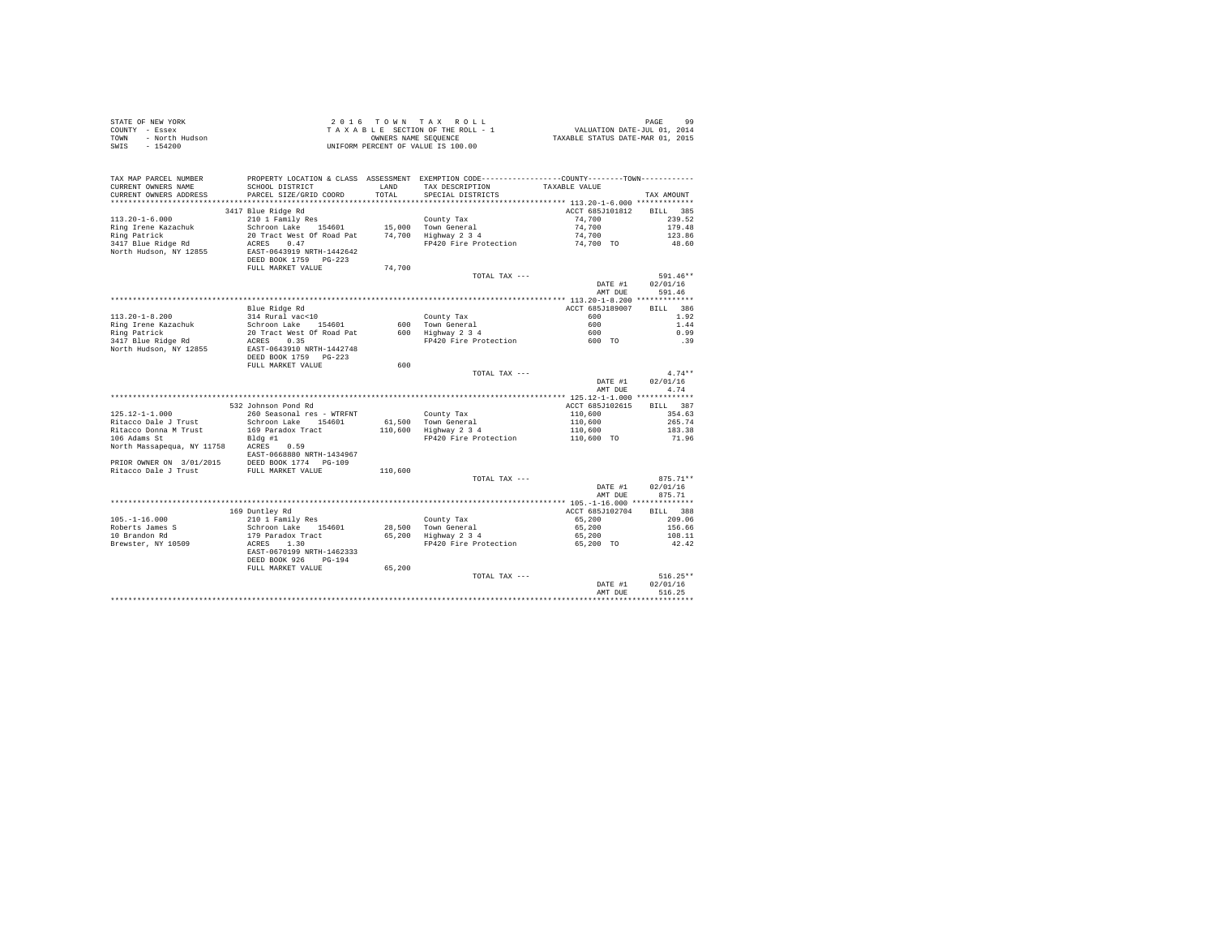| STATE OF NEW YORK      | 2016 TOWN TAX ROLL                 |                                  | PAGE | 99 |
|------------------------|------------------------------------|----------------------------------|------|----|
| COUNTY - Essex         | TAXABLE SECTION OF THE ROLL - 1    | VALUATION DATE-JUL 01, 2014      |      |    |
| TOWN<br>- North Hudson | OWNERS NAME SEOUENCE               | TAXABLE STATUS DATE-MAR 01, 2015 |      |    |
| SWIS - 154200          | UNIFORM PERCENT OF VALUE IS 100.00 |                                  |      |    |

|                                                  |                                                                                               |         |                       | AMT DUE            | 516.25                 |
|--------------------------------------------------|-----------------------------------------------------------------------------------------------|---------|-----------------------|--------------------|------------------------|
|                                                  |                                                                                               |         | TOTAL TAX ---         | DATE #1            | $516.25**$<br>02/01/16 |
|                                                  | DEED BOOK 926<br>$PG-194$<br>FULL MARKET VALUE                                                | 65,200  |                       |                    |                        |
|                                                  | EAST-0670199 NRTH-1462333                                                                     |         |                       |                    |                        |
| Brewster, NY 10509                               | 1.30<br>ACRES                                                                                 |         | FP420 Fire Protection | 65,200 TO          | 42.42                  |
| 10 Brandon Rd                                    | 179 Paradox Tract                                                                             | 65,200  | Highway 2 3 4         | 65,200             | 108.11                 |
| Roberts James S                                  | Schroon Lake 154601                                                                           |         | 28,500 Town General   | 65,200             | 156.66                 |
| $105. - 1 - 16.000$                              | 210 1 Family Res                                                                              |         | County Tax            | 65,200             | 209.06                 |
|                                                  | 169 Duntley Rd                                                                                |         |                       | ACCT 685J102704    | BILL 388               |
|                                                  |                                                                                               |         |                       |                    |                        |
|                                                  |                                                                                               |         |                       | DATE #1<br>AMT DUE | 875.71                 |
|                                                  |                                                                                               |         |                       |                    | 02/01/16               |
|                                                  |                                                                                               |         | TOTAL TAX ---         |                    | $875.71**$             |
| PRIOR OWNER ON 3/01/2015<br>Ritacco Dale J Trust | DEED BOOK 1774 PG-109<br>FULL MARKET VALUE                                                    | 110,600 |                       |                    |                        |
|                                                  | EAST-0668880 NRTH-1434967                                                                     |         |                       |                    |                        |
| North Massapequa, NY 11758                       | ACRES<br>0.59                                                                                 |         |                       |                    |                        |
| 106 Adams St                                     | Bldg #1                                                                                       |         | FP420 Fire Protection | 110,600 TO         | 71.96                  |
| Ritacco Donna M Trust                            | 169 Paradox Tract                                                                             |         | 110,600 Highway 2 3 4 | 110,600            | 183.38                 |
| Ritacco Dale J Trust                             | Schroon Lake 154601                                                                           |         | 61,500 Town General   | 110,600            | 265.74                 |
| $125.12 - 1 - 1.000$                             | 260 Seasonal res - WTRFNT                                                                     |         | County Tax            | 110,600            | 354.63                 |
|                                                  | 532 Johnson Pond Rd                                                                           |         |                       | ACCT 685J102615    | <b>BILL</b><br>387     |
|                                                  |                                                                                               |         |                       |                    |                        |
|                                                  |                                                                                               |         |                       | AMT DUE            | 4.74                   |
|                                                  |                                                                                               |         |                       | DATE #1            | 02/01/16               |
|                                                  |                                                                                               |         | TOTAL TAX ---         |                    | $4.74**$               |
|                                                  | FULL MARKET VALUE                                                                             | 600     |                       |                    |                        |
|                                                  | DEED BOOK 1759 PG-223                                                                         |         |                       |                    |                        |
| North Hudson, NY 12855                           | EAST-0643910 NRTH-1442748                                                                     |         |                       |                    |                        |
| 3417 Blue Ridge Rd                               | 0.35<br>ACRES                                                                                 |         | FP420 Fire Protection | 600 TO             | .39                    |
| Ring Patrick                                     | 20 Tract West Of Road Pat                                                                     |         | 600 Highway 2 3 4     | 600                | 0.99                   |
| Ring Irene Kazachuk                              | Schroon Lake<br>154601                                                                        | 600     | Town General          | 600                | 1.44                   |
| $113.20 - 1 - 8.200$                             | 314 Rural vac<10                                                                              |         | County Tax            | 600                | 1.92                   |
|                                                  | Blue Ridge Rd                                                                                 |         |                       | ACCT 685J189007    | BILL 386               |
|                                                  |                                                                                               |         |                       |                    |                        |
|                                                  |                                                                                               |         |                       | DATE #1<br>AMT DUE | 02/01/16<br>591.46     |
|                                                  |                                                                                               |         | TOTAL TAX $---$       |                    | $591.46**$             |
|                                                  | FULL MARKET VALUE                                                                             | 74,700  |                       |                    |                        |
|                                                  | DEED BOOK 1759 PG-223                                                                         |         |                       |                    |                        |
| North Hudson, NY 12855                           | EAST-0643919 NRTH-1442642                                                                     |         |                       |                    |                        |
| 3417 Blue Ridge Rd                               | ACRES<br>0.47                                                                                 |         | FP420 Fire Protection | 74,700 TO          | 48.60                  |
| Ring Patrick                                     | 20 Tract West Of Road Pat                                                                     |         | 74.700 Highway 2 3 4  | 74,700             | 123.86                 |
| Ring Irene Kazachuk                              | Schroon Lake 154601                                                                           |         | 15,000 Town General   | 74,700             | 179.48                 |
| $113.20 - 1 - 6.000$                             | 210 1 Family Res                                                                              |         | County Tax            | 74,700             | 239.52                 |
|                                                  | 3417 Blue Ridge Rd                                                                            |         |                       | ACCT 685J101812    | 385<br><b>BILL</b>     |
| **********************                           | ****************************                                                                  |         |                       |                    |                        |
| CURRENT OWNERS ADDRESS                           | PARCEL SIZE/GRID COORD                                                                        | TOTAL   | SPECIAL DISTRICTS     |                    | TAX AMOUNT             |
| CURRENT OWNERS NAME                              | SCHOOL DISTRICT                                                                               | LAND    | TAX DESCRIPTION       | TAXABLE VALUE      |                        |
| TAX MAP PARCEL NUMBER                            | PROPERTY LOCATION & CLASS ASSESSMENT EXEMPTION CODE---------------COUNTY-------TOWN---------- |         |                       |                    |                        |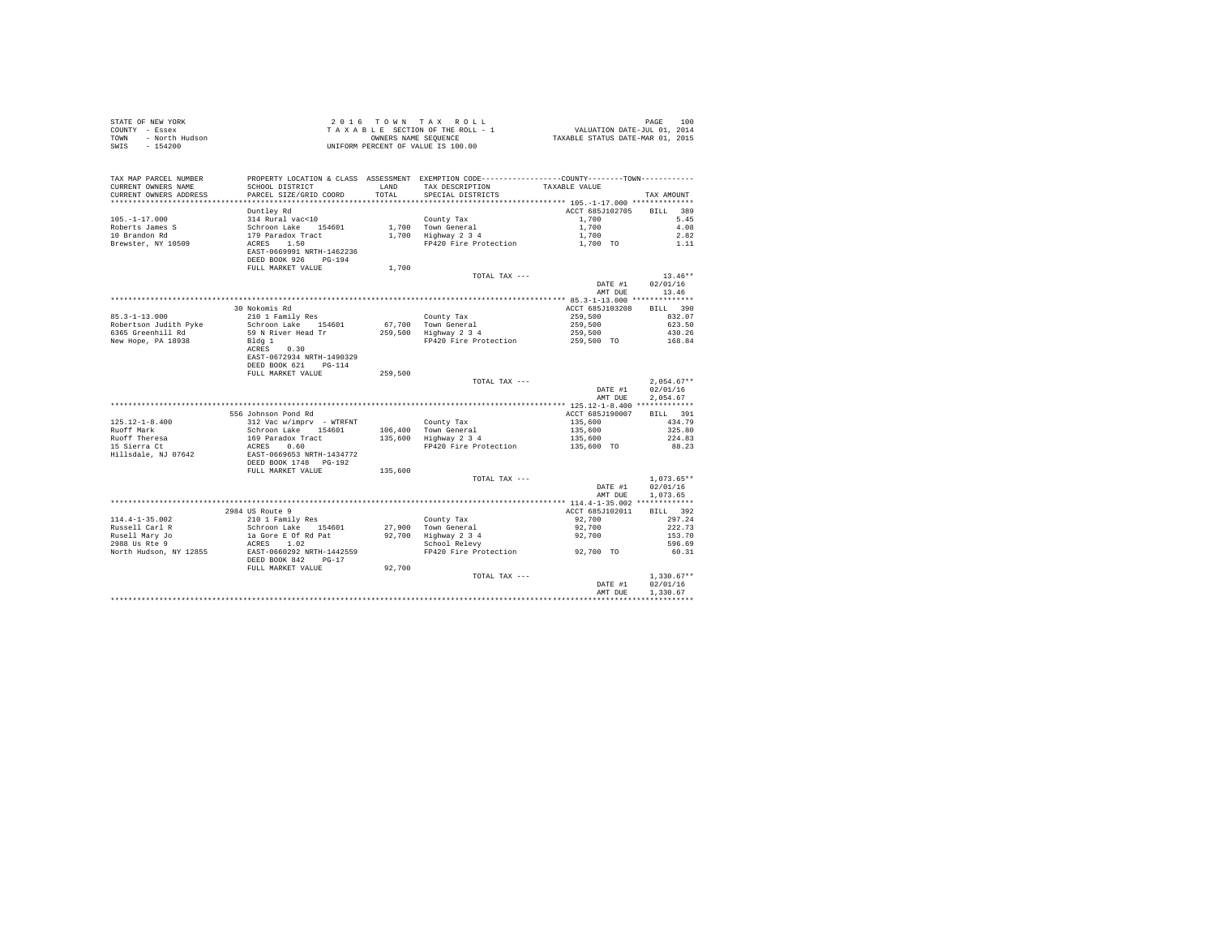|      | STATE OF NEW YORK | 2016 TOWN TAX ROLL                 | 100<br>PAGE                      |  |
|------|-------------------|------------------------------------|----------------------------------|--|
|      | COUNTY - Essex    | TAXABLE SECTION OF THE ROLL - 1    | VALUATION DATE-JUL 01, 2014      |  |
| TOWN | - North Hudson    | OWNERS NAME SEOUENCE               | TAXABLE STATUS DATE-MAR 01, 2015 |  |
|      | SWIS - 154200     | UNIFORM PERCENT OF VALUE IS 100.00 |                                  |  |

| Duntley Rd<br>ACCT 685J102705<br>389<br><b>BILL</b><br>314 Rural vac<10<br>5.45<br>$105. - 1 - 17.000$<br>1,700<br>County Tax<br>Roberts James S<br>Schroon Lake 154601<br>1,700 Town General<br>1,700<br>4.08<br>1,700 Highway 2 3 4<br>10 Brandon Rd<br>179 Paradox Tract<br>1,700<br>2.82<br>ACRES 1.50<br>Brewster, NY 10509<br>FP420 Fire Protection<br>1,700 TO<br>1.11<br>EAST-0669991 NRTH-1462236<br>$PG-194$<br>DEED BOOK 926<br>FULL MARKET VALUE<br>1,700<br>$13.46**$<br>TOTAL TAX $---$<br>02/01/16<br>DATE #1<br>13.46<br>AMT DUE<br>30 Nokomis Rd<br>ACCT 685J103208<br>BILL 390<br>$85.3 - 1 - 13.000$<br>210 1 Family Res<br>County Tax<br>259,500<br>832.07<br>67.700 Town General<br>259,500<br>Schroon Lake 154601<br>623.50<br>6365 Greenhill Rd<br>59 N River Head Tr<br>259,500 Highway 2 3 4<br>259,500<br>430.26<br>259,500 TO<br>FP420 Fire Protection<br>168.84<br>Bldg 1<br>ACRES<br>0.30<br>EAST-0672934 NRTH-1490329<br>DEED BOOK 621 PG-114<br>FULL MARKET VALUE<br>259,500<br>$2.054.67**$<br>TOTAL TAX ---<br>02/01/16<br>DATE #1<br>AMT DUE<br>2,054.67<br>556 Johnson Pond Rd<br>ACCT 685J190007<br>BILL 391<br>$125.12 - 1 - 8.400$<br>312 Vac w/imprv - WTRFNT<br>135,600<br>434.79<br>County Tax<br>Ruoff Mark<br>Schroon Lake 154601<br>106,400 Town General<br>135,600<br>325.80<br>135,600 Highway 2 3 4<br>Ruoff Theresa<br>169 Paradox Tract<br>ACRES 0.60<br>135,600<br>224.83<br>15 Sierra Ct<br>FP420 Fire Protection<br>135,600 TO<br>88.23<br>EAST-0669653 NRTH-1434772<br>Hillsdale, NJ 07642<br>DEED BOOK 1748 PG-192<br>FULL MARKET VALUE<br>135,600<br>$1.073.65**$<br>TOTAL TAX ---<br>02/01/16<br>DATE #1<br>AMT DUE<br>1,073.65<br>BILL 392<br>2984 US Route 9<br>ACCT 685J102011<br>$114.4 - 1 - 35.002$<br>210 1 Family Res<br>92,700<br>297.24<br>County Tax<br>Russell Carl R<br>Schroon Lake 154601<br>27,900<br>Town General<br>92,700<br>222.73<br>Rusell Mary Jo<br>la Gore E Of Rd Pat<br>92,700<br>$Highway$ 2 3 4<br>92,700<br>153.70<br>2988 Us Rte 9<br>ACRES 1.02<br>School Relevy<br>596.69<br>92,700 TO<br>North Hudson, NY 12855<br>EAST-0660292 NRTH-1442559<br>FP420 Fire Protection<br>60.31<br>DEED BOOK 842<br>$PG-17$<br>92,700<br>FULL MARKET VALUE<br>$1,330.67**$<br>TOTAL TAX ---<br>02/01/16<br>DATE #1<br>1,330.67<br>AMT DUE | TAX MAP PARCEL NUMBER<br>CURRENT OWNERS NAME<br>CURRENT OWNERS ADDRESS<br>************************ | SCHOOL DISTRICT<br>PARCEL SIZE/GRID COORD | LAND<br>TOTAL | PROPERTY LOCATION & CLASS ASSESSMENT EXEMPTION CODE----------------COUNTY-------TOWN----------<br>TAX DESCRIPTION<br>SPECIAL DISTRICTS | TAXABLE VALUE | TAX AMOUNT |
|--------------------------------------------------------------------------------------------------------------------------------------------------------------------------------------------------------------------------------------------------------------------------------------------------------------------------------------------------------------------------------------------------------------------------------------------------------------------------------------------------------------------------------------------------------------------------------------------------------------------------------------------------------------------------------------------------------------------------------------------------------------------------------------------------------------------------------------------------------------------------------------------------------------------------------------------------------------------------------------------------------------------------------------------------------------------------------------------------------------------------------------------------------------------------------------------------------------------------------------------------------------------------------------------------------------------------------------------------------------------------------------------------------------------------------------------------------------------------------------------------------------------------------------------------------------------------------------------------------------------------------------------------------------------------------------------------------------------------------------------------------------------------------------------------------------------------------------------------------------------------------------------------------------------------------------------------------------------------------------------------------------------------------------------------------------------------------------------------------------------------------------------------------------------------------------------------------------------------------------------------------------------------------------------------------------------|----------------------------------------------------------------------------------------------------|-------------------------------------------|---------------|----------------------------------------------------------------------------------------------------------------------------------------|---------------|------------|
|                                                                                                                                                                                                                                                                                                                                                                                                                                                                                                                                                                                                                                                                                                                                                                                                                                                                                                                                                                                                                                                                                                                                                                                                                                                                                                                                                                                                                                                                                                                                                                                                                                                                                                                                                                                                                                                                                                                                                                                                                                                                                                                                                                                                                                                                                                                    |                                                                                                    |                                           |               |                                                                                                                                        |               |            |
|                                                                                                                                                                                                                                                                                                                                                                                                                                                                                                                                                                                                                                                                                                                                                                                                                                                                                                                                                                                                                                                                                                                                                                                                                                                                                                                                                                                                                                                                                                                                                                                                                                                                                                                                                                                                                                                                                                                                                                                                                                                                                                                                                                                                                                                                                                                    |                                                                                                    |                                           |               |                                                                                                                                        |               |            |
|                                                                                                                                                                                                                                                                                                                                                                                                                                                                                                                                                                                                                                                                                                                                                                                                                                                                                                                                                                                                                                                                                                                                                                                                                                                                                                                                                                                                                                                                                                                                                                                                                                                                                                                                                                                                                                                                                                                                                                                                                                                                                                                                                                                                                                                                                                                    |                                                                                                    |                                           |               |                                                                                                                                        |               |            |
|                                                                                                                                                                                                                                                                                                                                                                                                                                                                                                                                                                                                                                                                                                                                                                                                                                                                                                                                                                                                                                                                                                                                                                                                                                                                                                                                                                                                                                                                                                                                                                                                                                                                                                                                                                                                                                                                                                                                                                                                                                                                                                                                                                                                                                                                                                                    |                                                                                                    |                                           |               |                                                                                                                                        |               |            |
|                                                                                                                                                                                                                                                                                                                                                                                                                                                                                                                                                                                                                                                                                                                                                                                                                                                                                                                                                                                                                                                                                                                                                                                                                                                                                                                                                                                                                                                                                                                                                                                                                                                                                                                                                                                                                                                                                                                                                                                                                                                                                                                                                                                                                                                                                                                    |                                                                                                    |                                           |               |                                                                                                                                        |               |            |
|                                                                                                                                                                                                                                                                                                                                                                                                                                                                                                                                                                                                                                                                                                                                                                                                                                                                                                                                                                                                                                                                                                                                                                                                                                                                                                                                                                                                                                                                                                                                                                                                                                                                                                                                                                                                                                                                                                                                                                                                                                                                                                                                                                                                                                                                                                                    |                                                                                                    |                                           |               |                                                                                                                                        |               |            |
|                                                                                                                                                                                                                                                                                                                                                                                                                                                                                                                                                                                                                                                                                                                                                                                                                                                                                                                                                                                                                                                                                                                                                                                                                                                                                                                                                                                                                                                                                                                                                                                                                                                                                                                                                                                                                                                                                                                                                                                                                                                                                                                                                                                                                                                                                                                    |                                                                                                    |                                           |               |                                                                                                                                        |               |            |
|                                                                                                                                                                                                                                                                                                                                                                                                                                                                                                                                                                                                                                                                                                                                                                                                                                                                                                                                                                                                                                                                                                                                                                                                                                                                                                                                                                                                                                                                                                                                                                                                                                                                                                                                                                                                                                                                                                                                                                                                                                                                                                                                                                                                                                                                                                                    |                                                                                                    |                                           |               |                                                                                                                                        |               |            |
|                                                                                                                                                                                                                                                                                                                                                                                                                                                                                                                                                                                                                                                                                                                                                                                                                                                                                                                                                                                                                                                                                                                                                                                                                                                                                                                                                                                                                                                                                                                                                                                                                                                                                                                                                                                                                                                                                                                                                                                                                                                                                                                                                                                                                                                                                                                    |                                                                                                    |                                           |               |                                                                                                                                        |               |            |
|                                                                                                                                                                                                                                                                                                                                                                                                                                                                                                                                                                                                                                                                                                                                                                                                                                                                                                                                                                                                                                                                                                                                                                                                                                                                                                                                                                                                                                                                                                                                                                                                                                                                                                                                                                                                                                                                                                                                                                                                                                                                                                                                                                                                                                                                                                                    |                                                                                                    |                                           |               |                                                                                                                                        |               |            |
|                                                                                                                                                                                                                                                                                                                                                                                                                                                                                                                                                                                                                                                                                                                                                                                                                                                                                                                                                                                                                                                                                                                                                                                                                                                                                                                                                                                                                                                                                                                                                                                                                                                                                                                                                                                                                                                                                                                                                                                                                                                                                                                                                                                                                                                                                                                    |                                                                                                    |                                           |               |                                                                                                                                        |               |            |
|                                                                                                                                                                                                                                                                                                                                                                                                                                                                                                                                                                                                                                                                                                                                                                                                                                                                                                                                                                                                                                                                                                                                                                                                                                                                                                                                                                                                                                                                                                                                                                                                                                                                                                                                                                                                                                                                                                                                                                                                                                                                                                                                                                                                                                                                                                                    |                                                                                                    |                                           |               |                                                                                                                                        |               |            |
|                                                                                                                                                                                                                                                                                                                                                                                                                                                                                                                                                                                                                                                                                                                                                                                                                                                                                                                                                                                                                                                                                                                                                                                                                                                                                                                                                                                                                                                                                                                                                                                                                                                                                                                                                                                                                                                                                                                                                                                                                                                                                                                                                                                                                                                                                                                    |                                                                                                    |                                           |               |                                                                                                                                        |               |            |
|                                                                                                                                                                                                                                                                                                                                                                                                                                                                                                                                                                                                                                                                                                                                                                                                                                                                                                                                                                                                                                                                                                                                                                                                                                                                                                                                                                                                                                                                                                                                                                                                                                                                                                                                                                                                                                                                                                                                                                                                                                                                                                                                                                                                                                                                                                                    |                                                                                                    |                                           |               |                                                                                                                                        |               |            |
|                                                                                                                                                                                                                                                                                                                                                                                                                                                                                                                                                                                                                                                                                                                                                                                                                                                                                                                                                                                                                                                                                                                                                                                                                                                                                                                                                                                                                                                                                                                                                                                                                                                                                                                                                                                                                                                                                                                                                                                                                                                                                                                                                                                                                                                                                                                    | Robertson Judith Pyke                                                                              |                                           |               |                                                                                                                                        |               |            |
|                                                                                                                                                                                                                                                                                                                                                                                                                                                                                                                                                                                                                                                                                                                                                                                                                                                                                                                                                                                                                                                                                                                                                                                                                                                                                                                                                                                                                                                                                                                                                                                                                                                                                                                                                                                                                                                                                                                                                                                                                                                                                                                                                                                                                                                                                                                    |                                                                                                    |                                           |               |                                                                                                                                        |               |            |
|                                                                                                                                                                                                                                                                                                                                                                                                                                                                                                                                                                                                                                                                                                                                                                                                                                                                                                                                                                                                                                                                                                                                                                                                                                                                                                                                                                                                                                                                                                                                                                                                                                                                                                                                                                                                                                                                                                                                                                                                                                                                                                                                                                                                                                                                                                                    | New Hope, PA 18938                                                                                 |                                           |               |                                                                                                                                        |               |            |
|                                                                                                                                                                                                                                                                                                                                                                                                                                                                                                                                                                                                                                                                                                                                                                                                                                                                                                                                                                                                                                                                                                                                                                                                                                                                                                                                                                                                                                                                                                                                                                                                                                                                                                                                                                                                                                                                                                                                                                                                                                                                                                                                                                                                                                                                                                                    |                                                                                                    |                                           |               |                                                                                                                                        |               |            |
|                                                                                                                                                                                                                                                                                                                                                                                                                                                                                                                                                                                                                                                                                                                                                                                                                                                                                                                                                                                                                                                                                                                                                                                                                                                                                                                                                                                                                                                                                                                                                                                                                                                                                                                                                                                                                                                                                                                                                                                                                                                                                                                                                                                                                                                                                                                    |                                                                                                    |                                           |               |                                                                                                                                        |               |            |
|                                                                                                                                                                                                                                                                                                                                                                                                                                                                                                                                                                                                                                                                                                                                                                                                                                                                                                                                                                                                                                                                                                                                                                                                                                                                                                                                                                                                                                                                                                                                                                                                                                                                                                                                                                                                                                                                                                                                                                                                                                                                                                                                                                                                                                                                                                                    |                                                                                                    |                                           |               |                                                                                                                                        |               |            |
|                                                                                                                                                                                                                                                                                                                                                                                                                                                                                                                                                                                                                                                                                                                                                                                                                                                                                                                                                                                                                                                                                                                                                                                                                                                                                                                                                                                                                                                                                                                                                                                                                                                                                                                                                                                                                                                                                                                                                                                                                                                                                                                                                                                                                                                                                                                    |                                                                                                    |                                           |               |                                                                                                                                        |               |            |
|                                                                                                                                                                                                                                                                                                                                                                                                                                                                                                                                                                                                                                                                                                                                                                                                                                                                                                                                                                                                                                                                                                                                                                                                                                                                                                                                                                                                                                                                                                                                                                                                                                                                                                                                                                                                                                                                                                                                                                                                                                                                                                                                                                                                                                                                                                                    |                                                                                                    |                                           |               |                                                                                                                                        |               |            |
|                                                                                                                                                                                                                                                                                                                                                                                                                                                                                                                                                                                                                                                                                                                                                                                                                                                                                                                                                                                                                                                                                                                                                                                                                                                                                                                                                                                                                                                                                                                                                                                                                                                                                                                                                                                                                                                                                                                                                                                                                                                                                                                                                                                                                                                                                                                    |                                                                                                    |                                           |               |                                                                                                                                        |               |            |
|                                                                                                                                                                                                                                                                                                                                                                                                                                                                                                                                                                                                                                                                                                                                                                                                                                                                                                                                                                                                                                                                                                                                                                                                                                                                                                                                                                                                                                                                                                                                                                                                                                                                                                                                                                                                                                                                                                                                                                                                                                                                                                                                                                                                                                                                                                                    |                                                                                                    |                                           |               |                                                                                                                                        |               |            |
|                                                                                                                                                                                                                                                                                                                                                                                                                                                                                                                                                                                                                                                                                                                                                                                                                                                                                                                                                                                                                                                                                                                                                                                                                                                                                                                                                                                                                                                                                                                                                                                                                                                                                                                                                                                                                                                                                                                                                                                                                                                                                                                                                                                                                                                                                                                    |                                                                                                    |                                           |               |                                                                                                                                        |               |            |
|                                                                                                                                                                                                                                                                                                                                                                                                                                                                                                                                                                                                                                                                                                                                                                                                                                                                                                                                                                                                                                                                                                                                                                                                                                                                                                                                                                                                                                                                                                                                                                                                                                                                                                                                                                                                                                                                                                                                                                                                                                                                                                                                                                                                                                                                                                                    |                                                                                                    |                                           |               |                                                                                                                                        |               |            |
|                                                                                                                                                                                                                                                                                                                                                                                                                                                                                                                                                                                                                                                                                                                                                                                                                                                                                                                                                                                                                                                                                                                                                                                                                                                                                                                                                                                                                                                                                                                                                                                                                                                                                                                                                                                                                                                                                                                                                                                                                                                                                                                                                                                                                                                                                                                    |                                                                                                    |                                           |               |                                                                                                                                        |               |            |
|                                                                                                                                                                                                                                                                                                                                                                                                                                                                                                                                                                                                                                                                                                                                                                                                                                                                                                                                                                                                                                                                                                                                                                                                                                                                                                                                                                                                                                                                                                                                                                                                                                                                                                                                                                                                                                                                                                                                                                                                                                                                                                                                                                                                                                                                                                                    |                                                                                                    |                                           |               |                                                                                                                                        |               |            |
|                                                                                                                                                                                                                                                                                                                                                                                                                                                                                                                                                                                                                                                                                                                                                                                                                                                                                                                                                                                                                                                                                                                                                                                                                                                                                                                                                                                                                                                                                                                                                                                                                                                                                                                                                                                                                                                                                                                                                                                                                                                                                                                                                                                                                                                                                                                    |                                                                                                    |                                           |               |                                                                                                                                        |               |            |
|                                                                                                                                                                                                                                                                                                                                                                                                                                                                                                                                                                                                                                                                                                                                                                                                                                                                                                                                                                                                                                                                                                                                                                                                                                                                                                                                                                                                                                                                                                                                                                                                                                                                                                                                                                                                                                                                                                                                                                                                                                                                                                                                                                                                                                                                                                                    |                                                                                                    |                                           |               |                                                                                                                                        |               |            |
|                                                                                                                                                                                                                                                                                                                                                                                                                                                                                                                                                                                                                                                                                                                                                                                                                                                                                                                                                                                                                                                                                                                                                                                                                                                                                                                                                                                                                                                                                                                                                                                                                                                                                                                                                                                                                                                                                                                                                                                                                                                                                                                                                                                                                                                                                                                    |                                                                                                    |                                           |               |                                                                                                                                        |               |            |
|                                                                                                                                                                                                                                                                                                                                                                                                                                                                                                                                                                                                                                                                                                                                                                                                                                                                                                                                                                                                                                                                                                                                                                                                                                                                                                                                                                                                                                                                                                                                                                                                                                                                                                                                                                                                                                                                                                                                                                                                                                                                                                                                                                                                                                                                                                                    |                                                                                                    |                                           |               |                                                                                                                                        |               |            |
|                                                                                                                                                                                                                                                                                                                                                                                                                                                                                                                                                                                                                                                                                                                                                                                                                                                                                                                                                                                                                                                                                                                                                                                                                                                                                                                                                                                                                                                                                                                                                                                                                                                                                                                                                                                                                                                                                                                                                                                                                                                                                                                                                                                                                                                                                                                    |                                                                                                    |                                           |               |                                                                                                                                        |               |            |
|                                                                                                                                                                                                                                                                                                                                                                                                                                                                                                                                                                                                                                                                                                                                                                                                                                                                                                                                                                                                                                                                                                                                                                                                                                                                                                                                                                                                                                                                                                                                                                                                                                                                                                                                                                                                                                                                                                                                                                                                                                                                                                                                                                                                                                                                                                                    |                                                                                                    |                                           |               |                                                                                                                                        |               |            |
|                                                                                                                                                                                                                                                                                                                                                                                                                                                                                                                                                                                                                                                                                                                                                                                                                                                                                                                                                                                                                                                                                                                                                                                                                                                                                                                                                                                                                                                                                                                                                                                                                                                                                                                                                                                                                                                                                                                                                                                                                                                                                                                                                                                                                                                                                                                    |                                                                                                    |                                           |               |                                                                                                                                        |               |            |
|                                                                                                                                                                                                                                                                                                                                                                                                                                                                                                                                                                                                                                                                                                                                                                                                                                                                                                                                                                                                                                                                                                                                                                                                                                                                                                                                                                                                                                                                                                                                                                                                                                                                                                                                                                                                                                                                                                                                                                                                                                                                                                                                                                                                                                                                                                                    |                                                                                                    |                                           |               |                                                                                                                                        |               |            |
|                                                                                                                                                                                                                                                                                                                                                                                                                                                                                                                                                                                                                                                                                                                                                                                                                                                                                                                                                                                                                                                                                                                                                                                                                                                                                                                                                                                                                                                                                                                                                                                                                                                                                                                                                                                                                                                                                                                                                                                                                                                                                                                                                                                                                                                                                                                    |                                                                                                    |                                           |               |                                                                                                                                        |               |            |
|                                                                                                                                                                                                                                                                                                                                                                                                                                                                                                                                                                                                                                                                                                                                                                                                                                                                                                                                                                                                                                                                                                                                                                                                                                                                                                                                                                                                                                                                                                                                                                                                                                                                                                                                                                                                                                                                                                                                                                                                                                                                                                                                                                                                                                                                                                                    |                                                                                                    |                                           |               |                                                                                                                                        |               |            |
|                                                                                                                                                                                                                                                                                                                                                                                                                                                                                                                                                                                                                                                                                                                                                                                                                                                                                                                                                                                                                                                                                                                                                                                                                                                                                                                                                                                                                                                                                                                                                                                                                                                                                                                                                                                                                                                                                                                                                                                                                                                                                                                                                                                                                                                                                                                    |                                                                                                    |                                           |               |                                                                                                                                        |               |            |
|                                                                                                                                                                                                                                                                                                                                                                                                                                                                                                                                                                                                                                                                                                                                                                                                                                                                                                                                                                                                                                                                                                                                                                                                                                                                                                                                                                                                                                                                                                                                                                                                                                                                                                                                                                                                                                                                                                                                                                                                                                                                                                                                                                                                                                                                                                                    |                                                                                                    |                                           |               |                                                                                                                                        |               |            |
|                                                                                                                                                                                                                                                                                                                                                                                                                                                                                                                                                                                                                                                                                                                                                                                                                                                                                                                                                                                                                                                                                                                                                                                                                                                                                                                                                                                                                                                                                                                                                                                                                                                                                                                                                                                                                                                                                                                                                                                                                                                                                                                                                                                                                                                                                                                    |                                                                                                    |                                           |               |                                                                                                                                        |               |            |
|                                                                                                                                                                                                                                                                                                                                                                                                                                                                                                                                                                                                                                                                                                                                                                                                                                                                                                                                                                                                                                                                                                                                                                                                                                                                                                                                                                                                                                                                                                                                                                                                                                                                                                                                                                                                                                                                                                                                                                                                                                                                                                                                                                                                                                                                                                                    |                                                                                                    |                                           |               |                                                                                                                                        |               |            |
|                                                                                                                                                                                                                                                                                                                                                                                                                                                                                                                                                                                                                                                                                                                                                                                                                                                                                                                                                                                                                                                                                                                                                                                                                                                                                                                                                                                                                                                                                                                                                                                                                                                                                                                                                                                                                                                                                                                                                                                                                                                                                                                                                                                                                                                                                                                    |                                                                                                    |                                           |               |                                                                                                                                        |               |            |
|                                                                                                                                                                                                                                                                                                                                                                                                                                                                                                                                                                                                                                                                                                                                                                                                                                                                                                                                                                                                                                                                                                                                                                                                                                                                                                                                                                                                                                                                                                                                                                                                                                                                                                                                                                                                                                                                                                                                                                                                                                                                                                                                                                                                                                                                                                                    |                                                                                                    |                                           |               |                                                                                                                                        |               |            |
|                                                                                                                                                                                                                                                                                                                                                                                                                                                                                                                                                                                                                                                                                                                                                                                                                                                                                                                                                                                                                                                                                                                                                                                                                                                                                                                                                                                                                                                                                                                                                                                                                                                                                                                                                                                                                                                                                                                                                                                                                                                                                                                                                                                                                                                                                                                    |                                                                                                    |                                           |               |                                                                                                                                        |               |            |
|                                                                                                                                                                                                                                                                                                                                                                                                                                                                                                                                                                                                                                                                                                                                                                                                                                                                                                                                                                                                                                                                                                                                                                                                                                                                                                                                                                                                                                                                                                                                                                                                                                                                                                                                                                                                                                                                                                                                                                                                                                                                                                                                                                                                                                                                                                                    |                                                                                                    |                                           |               |                                                                                                                                        |               |            |
|                                                                                                                                                                                                                                                                                                                                                                                                                                                                                                                                                                                                                                                                                                                                                                                                                                                                                                                                                                                                                                                                                                                                                                                                                                                                                                                                                                                                                                                                                                                                                                                                                                                                                                                                                                                                                                                                                                                                                                                                                                                                                                                                                                                                                                                                                                                    |                                                                                                    |                                           |               |                                                                                                                                        |               |            |
|                                                                                                                                                                                                                                                                                                                                                                                                                                                                                                                                                                                                                                                                                                                                                                                                                                                                                                                                                                                                                                                                                                                                                                                                                                                                                                                                                                                                                                                                                                                                                                                                                                                                                                                                                                                                                                                                                                                                                                                                                                                                                                                                                                                                                                                                                                                    |                                                                                                    |                                           |               |                                                                                                                                        |               |            |
|                                                                                                                                                                                                                                                                                                                                                                                                                                                                                                                                                                                                                                                                                                                                                                                                                                                                                                                                                                                                                                                                                                                                                                                                                                                                                                                                                                                                                                                                                                                                                                                                                                                                                                                                                                                                                                                                                                                                                                                                                                                                                                                                                                                                                                                                                                                    |                                                                                                    |                                           |               |                                                                                                                                        |               |            |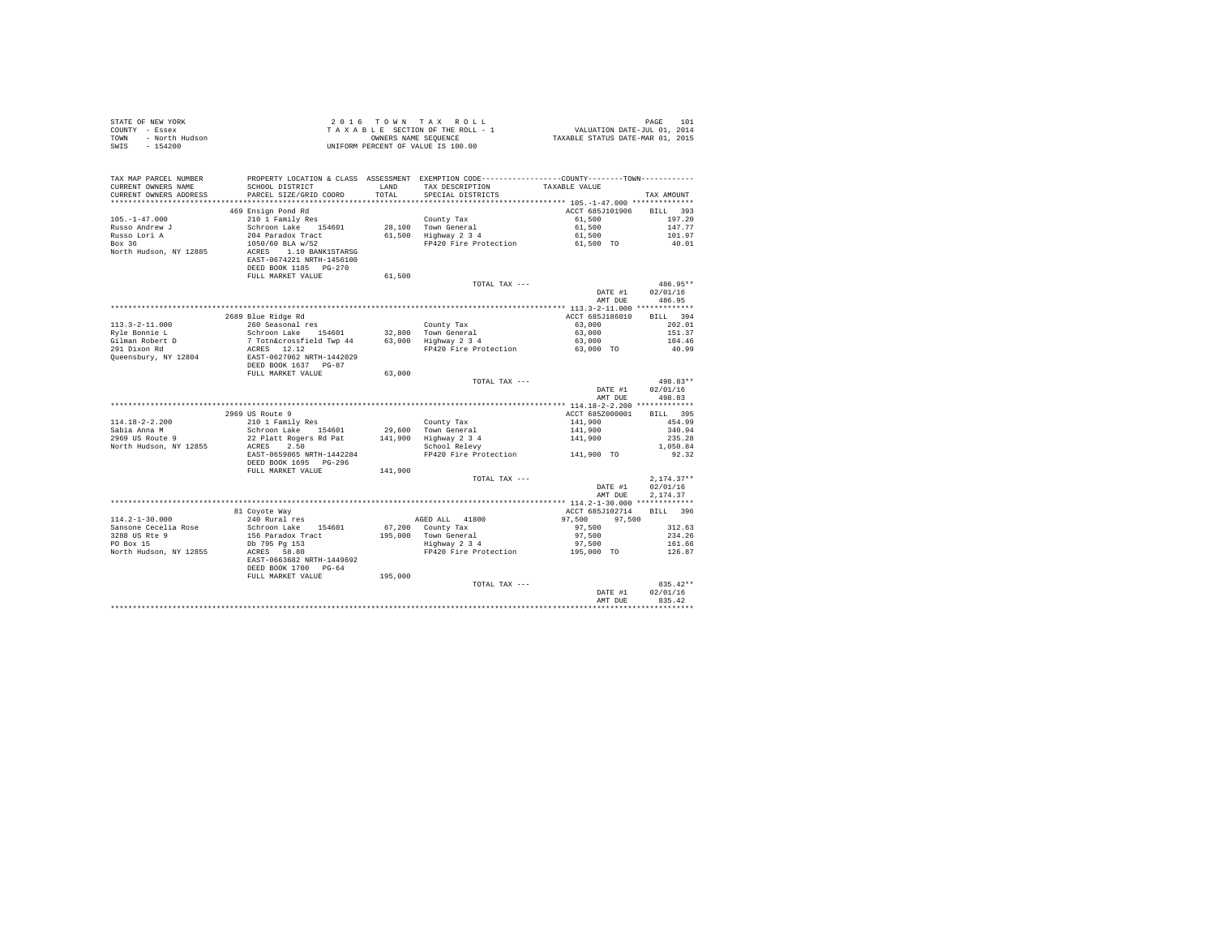| COUNTY - Essex<br>- North Hudson<br>TOWN<br>SWTS<br>$-154200$ |                                                                                                                                                                                                                                 | OWNERS NAME SEQUENCE | TAXABLE SECTION OF THE ROLL - 1<br>UNIFORM PERCENT OF VALUE IS 100.00                         | VALUATION DATE-JUL 01, 2014<br>TAXABLE STATUS DATE-MAR 01, 2015 |                          |
|---------------------------------------------------------------|---------------------------------------------------------------------------------------------------------------------------------------------------------------------------------------------------------------------------------|----------------------|-----------------------------------------------------------------------------------------------|-----------------------------------------------------------------|--------------------------|
| TAX MAP PARCEL NUMBER                                         |                                                                                                                                                                                                                                 |                      | PROPERTY LOCATION & CLASS ASSESSMENT EXEMPTION CODE---------------COUNTY-------TOWN---------- |                                                                 |                          |
| CURRENT OWNERS NAME<br>CURRENT OWNERS ADDRESS                 | SCHOOL DISTRICT<br>PARCEL SIZE/GRID COORD                                                                                                                                                                                       | LAND<br>TOTAL        | TAX DESCRIPTION<br>SPECIAL DISTRICTS                                                          | TAXABLE VALUE                                                   | TAX AMOUNT               |
|                                                               |                                                                                                                                                                                                                                 |                      |                                                                                               |                                                                 |                          |
|                                                               | 469 Ensign Pond Rd                                                                                                                                                                                                              |                      |                                                                                               | ACCT 685J101906                                                 | BILL 393                 |
| $105. - 1 - 47.000$                                           | 210 1 Family Res                                                                                                                                                                                                                |                      | County Tax                                                                                    | 61,500                                                          | 197.20                   |
| Russo Andrew J                                                | Schroon Lake 154601                                                                                                                                                                                                             |                      | 28,100 Town General<br>61,500 Highway 2 3 4                                                   | 61,500                                                          | 147.77                   |
| Russo Lori A                                                  | 204 Paradox Tract                                                                                                                                                                                                               |                      |                                                                                               | 61,500                                                          | 101.97                   |
| Box 36<br>North Hudson, NY 12885                              | 1050/60 BLA w/52<br>ACRES 1.10 BANK1STARSG<br>EAST-0674221 NRTH-1456100<br>DEED BOOK 1185 PG-270                                                                                                                                |                      | FP420 Fire Protection                                                                         | 61,500 TO                                                       | 40.01                    |
|                                                               | FULL MARKET VALUE                                                                                                                                                                                                               | 61,500               |                                                                                               |                                                                 |                          |
|                                                               |                                                                                                                                                                                                                                 |                      | TOTAL TAX ---                                                                                 |                                                                 | 486.95**                 |
|                                                               |                                                                                                                                                                                                                                 |                      |                                                                                               | DATE #1                                                         | 02/01/16                 |
|                                                               |                                                                                                                                                                                                                                 |                      |                                                                                               | AMT DUE                                                         | 486.95                   |
|                                                               | 2689 Blue Ridge Rd                                                                                                                                                                                                              |                      |                                                                                               | ACCT 685J186010                                                 | BILL 394                 |
| $113.3 - 2 - 11.000$                                          | 260 Seasonal res                                                                                                                                                                                                                |                      | County Tax                                                                                    | 63,000                                                          | 202.01                   |
| Ryle Bonnie L                                                 |                                                                                                                                                                                                                                 |                      |                                                                                               | 63,000                                                          | 151.37                   |
| Gilman Robert D<br>291 Dixon Rd                               |                                                                                                                                                                                                                                 |                      |                                                                                               | 63,000                                                          | 104.46                   |
|                                                               |                                                                                                                                                                                                                                 |                      | FP420 Fire Protection 63,000 TO                                                               |                                                                 | 40.99                    |
| Queensbury, NY 12804                                          | Schroon Lake 154601 22,800 Town General<br>7 Totn&crossfield Twp 44 63,000 Highway 2 3 4<br>ACRES 12.12<br>EAST-0627062 NRTH-1442029 PP420 Fire Protection<br>DEED BOOK 1637 PG-87<br>DEED BOOK 1637 PG-87<br>FULL MARKET VALUE | 63,000               |                                                                                               |                                                                 |                          |
|                                                               |                                                                                                                                                                                                                                 |                      | TOTAL TAX ---                                                                                 |                                                                 | 498.83**                 |
|                                                               |                                                                                                                                                                                                                                 |                      |                                                                                               | DATE #1                                                         | 02/01/16                 |
|                                                               |                                                                                                                                                                                                                                 |                      |                                                                                               | AMT DUE                                                         | 498.83                   |
|                                                               |                                                                                                                                                                                                                                 |                      |                                                                                               |                                                                 |                          |
|                                                               | 2969 US Route 9                                                                                                                                                                                                                 |                      |                                                                                               | ACCT 685Z000001                                                 | BILL 395                 |
| $114.18 - 2 - 2.200$<br>Sabia Anna M                          | 210 1 Family Res<br>Schroon Lake 154601                                                                                                                                                                                         |                      | County Tax<br>29,600 Town General                                                             |                                                                 | 454.99<br>340.94         |
| $2969$ US Route 9                                             | 22 Platt Rogers Rd Pat                                                                                                                                                                                                          |                      |                                                                                               | 141,900<br>141,900<br>141,900                                   | 235.28                   |
| North Hudson, NY 12855                                        | ACRES<br>2.50                                                                                                                                                                                                                   |                      | 141,900 Highway 2 3 4<br>School Relevy                                                        |                                                                 | 1,050.84                 |
|                                                               | EAST-0659865 NRTH-1442284                                                                                                                                                                                                       |                      | FP420 Fire Protection 141.900 TO                                                              |                                                                 | 92.32                    |
|                                                               | DEED BOOK 1695 PG-296                                                                                                                                                                                                           |                      |                                                                                               |                                                                 |                          |
|                                                               | FULL MARKET VALUE                                                                                                                                                                                                               | 141,900              |                                                                                               |                                                                 |                          |
|                                                               |                                                                                                                                                                                                                                 |                      | TOTAL TAX ---                                                                                 | DATE #1                                                         | $2,174.37**$<br>02/01/16 |
|                                                               |                                                                                                                                                                                                                                 |                      |                                                                                               | AMT DUE                                                         | 2,174.37                 |
|                                                               |                                                                                                                                                                                                                                 |                      |                                                                                               | ACCT 685J102714                                                 | BILL 396                 |
| 114.2-1-30.000                                                | 81 Coyote Way<br>240 Rural res                                                                                                                                                                                                  |                      | AGED ALL 41800                                                                                | 97,500<br>97.500                                                |                          |
| Sansone Cecelia Rose                                          | Schroon Lake 154601                                                                                                                                                                                                             |                      | 67,200 County Tax                                                                             | 97,500                                                          | 312.63                   |
| 3288 US Rte 9<br>PO Box 15                                    | 156 Paradox Tract                                                                                                                                                                                                               |                      | 195,000 Town General<br>Highway 2 3 4                                                         | 97,500                                                          | 234.26                   |
|                                                               | Db 795 Pg 153                                                                                                                                                                                                                   |                      | FP420 Fire Protection 195,000 TO                                                              | 97,500                                                          | 161.66                   |
| North Hudson, NY 12855                                        | ACRES 58.80<br>EAST-0663682 NRTH-1449692<br>DEED BOOK 1700 PG-64                                                                                                                                                                |                      |                                                                                               |                                                                 | 126.87                   |
|                                                               | FULL MARKET VALUE                                                                                                                                                                                                               | 195,000              |                                                                                               |                                                                 |                          |
|                                                               |                                                                                                                                                                                                                                 |                      | TOTAL TAX ---                                                                                 |                                                                 | 835.42**                 |
|                                                               |                                                                                                                                                                                                                                 |                      |                                                                                               | DATE #1                                                         | 02/01/16                 |
|                                                               |                                                                                                                                                                                                                                 |                      |                                                                                               | AMT DUE                                                         | 835.42                   |
|                                                               |                                                                                                                                                                                                                                 |                      |                                                                                               |                                                                 |                          |

STATE OF NEW YORK 2 0 1 6 T O W N T A X R O L L PAGE 101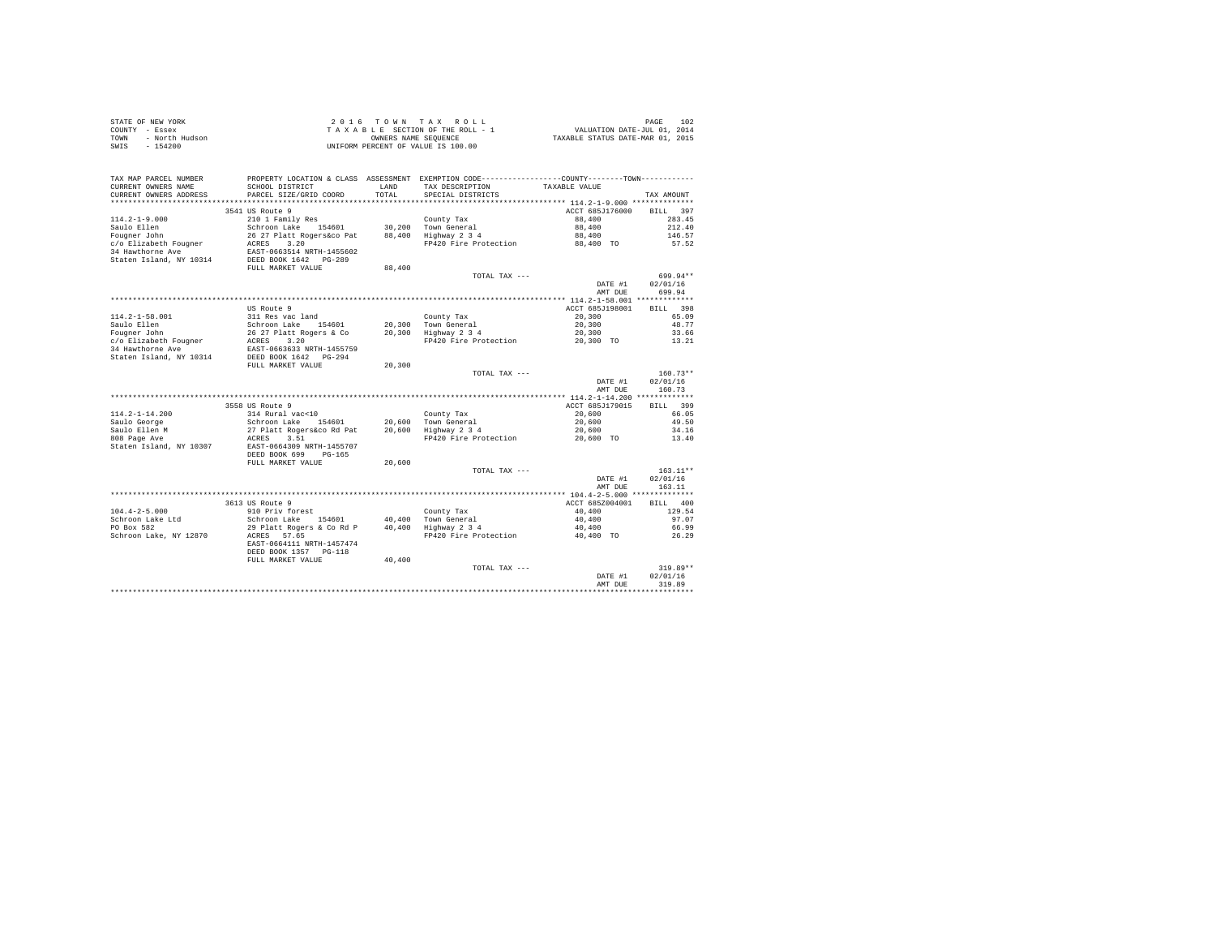|                | STATE OF NEW YORK | 2016 TOWN TAX ROLL                 | 102<br>PAGE                      |
|----------------|-------------------|------------------------------------|----------------------------------|
| COUNTY - Essex |                   | TAXABLE SECTION OF THE ROLL - 1    | VALUATION DATE-JUL 01, 2014      |
| TOWN           | - North Hudson    | OWNERS NAME SEOUENCE               | TAXABLE STATUS DATE-MAR 01, 2015 |
| SWIS           | - 154200          | UNIFORM PERCENT OF VALUE IS 100.00 |                                  |

| TAX MAP PARCEL NUMBER<br>CURRENT OWNERS NAME<br>CURRENT OWNERS ADDRESS                                                     | PROPERTY LOCATION & CLASS ASSESSMENT EXEMPTION CODE---------------COUNTY-------TOWN---------<br>SCHOOL DISTRICT<br>PARCEL SIZE/GRID COORD                                                   | LAND<br>TOTAL.             | TAX DESCRIPTION<br>SPECIAL DISTRICTS                                 | TAXABLE VALUE                                              | TAX AMOUNT                                                |
|----------------------------------------------------------------------------------------------------------------------------|---------------------------------------------------------------------------------------------------------------------------------------------------------------------------------------------|----------------------------|----------------------------------------------------------------------|------------------------------------------------------------|-----------------------------------------------------------|
| $114.2 - 1 - 9.000$<br>Saulo Ellen<br>Fougner John<br>c/o Elizabeth Fougner<br>34 Hawthorne Ave<br>Staten Island, NY 10314 | 3541 US Route 9<br>210 1 Family Res<br>Schroon Lake<br>154601<br>26 27 Platt Rogers&co Pat<br>3.20<br>ACRES<br>EAST-0663514 NRTH-1455602<br>DEED BOOK 1642 PG-289                           | 30,200<br>88,400           | County Tax<br>Town General<br>Highway 2 3 4<br>FP420 Fire Protection | ACCT 685J176000<br>88,400<br>88,400<br>88,400<br>88,400 TO | 397<br><b>BILL</b><br>283.45<br>212.40<br>146.57<br>57.52 |
|                                                                                                                            | FULL MARKET VALUE                                                                                                                                                                           | 88,400                     | TOTAL TAX ---                                                        | DATE #1<br>AMT DUE                                         | 699.94**<br>02/01/16<br>699.94                            |
|                                                                                                                            | *********************************                                                                                                                                                           |                            |                                                                      | ************ 114.2-1-58.001 *************                  |                                                           |
| $114.2 - 1 - 58.001$<br>Saulo Ellen<br>Fougner John<br>c/o Elizabeth Fougner<br>34 Hawthorne Ave                           | US Route 9<br>311 Res vac land<br>Schroon Lake<br>154601<br>26 27 Platt Rogers & Co<br>ACRES<br>3.20<br>EAST-0663633 NRTH-1455759                                                           | 20,300<br>20,300           | County Tax<br>Town General<br>Highway 2 3 4<br>FP420 Fire Protection | ACCT 685J198001<br>20,300<br>20,300<br>20,300<br>20,300 TO | 398<br><b>BILL</b><br>65.09<br>48.77<br>33.66<br>13.21    |
| Staten Island, NY 10314                                                                                                    | DEED BOOK 1642 PG-294<br>FULL MARKET VALUE                                                                                                                                                  | 20,300                     | TOTAL TAX ---                                                        | DATE #1<br>AMT DUE                                         | $160.73**$<br>02/01/16<br>160.73                          |
|                                                                                                                            |                                                                                                                                                                                             |                            |                                                                      |                                                            |                                                           |
| $114.2 - 1 - 14.200$<br>Saulo George<br>Saulo Ellen M<br>808 Page Ave<br>Staten Island, NY 10307                           | 3558 US Route 9<br>314 Rural vac<10<br>154601<br>Schroon Lake<br>27 Platt Rogers&co Rd Pat<br>ACRES<br>3.51<br>EAST-0664309 NRTH-1455707<br>DEED BOOK 699<br>$PG-165$<br>FULL MARKET VALUE  | 20,600<br>20,600<br>20,600 | County Tax<br>Town General<br>Highway 2 3 4<br>FP420 Fire Protection | ACCT 685J179015<br>20,600<br>20,600<br>20,600<br>20,600 TO | 399<br>RTLL.<br>66.05<br>49.50<br>34.16<br>13.40          |
|                                                                                                                            |                                                                                                                                                                                             |                            | TOTAL TAX ---                                                        | DATE #1<br>AMT DUE                                         | $163.11**$<br>02/01/16<br>163.11                          |
| $104.4 - 2 - 5.000$<br>Schroon Lake Ltd<br>PO Box 582<br>Schroon Lake, NY 12870                                            | 3613 US Route 9<br>910 Priv forest<br>Schroon Lake<br>154601<br>29 Platt Rogers & Co Rd P<br>57.65<br>ACRES<br>EAST-0664111 NRTH-1457474<br>DEED BOOK 1357<br>$PG-118$<br>FULL MARKET VALUE | 40,400<br>40,400<br>40,400 | County Tax<br>Town General<br>Highway 2 3 4<br>FP420 Fire Protection | ACCT 685Z004001<br>40,400<br>40,400<br>40,400<br>40,400 TO | <b>BILL</b><br>400<br>129.54<br>97.07<br>66.99<br>26.29   |
|                                                                                                                            |                                                                                                                                                                                             |                            | TOTAL TAX ---                                                        | DATE #1<br>AMT DUE                                         | $319.89**$<br>02/01/16<br>319.89                          |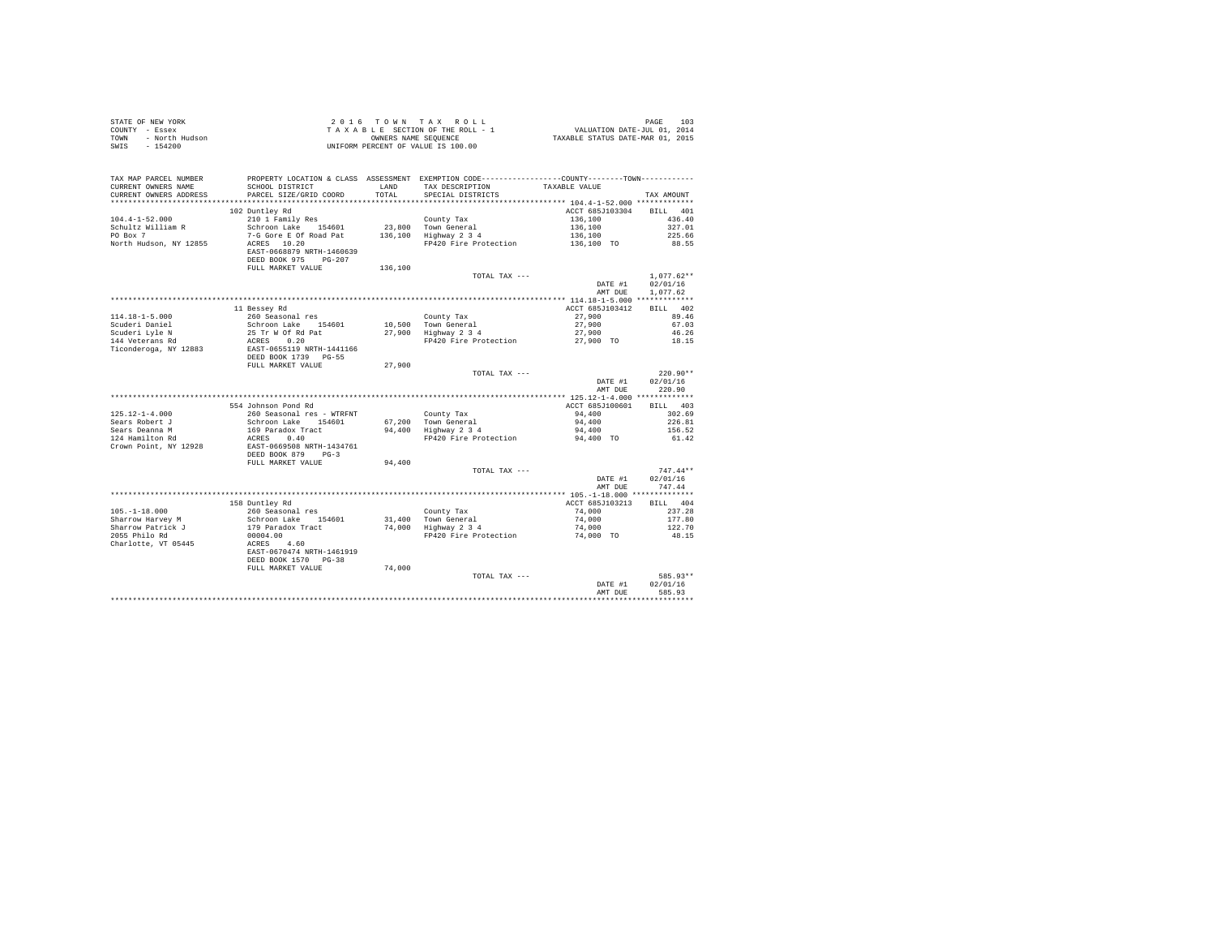| TAX MAP PARCEL NUMBER<br>CURRENT OWNERS NAME<br>CURRENT OWNERS ADDRESS |                                                                                                                                                                                            | TOTAL   | PROPERTY LOCATION & CLASS ASSESSMENT EXEMPTION CODE---------------COUNTY-------TOWN---------<br>SCHOOL DISTRICT $\hfill\textsc{LAND}$ TAX DESCRIPTION TAXABLE VALUE<br>SPECIAL DISTRICTS |                    |                      |
|------------------------------------------------------------------------|--------------------------------------------------------------------------------------------------------------------------------------------------------------------------------------------|---------|------------------------------------------------------------------------------------------------------------------------------------------------------------------------------------------|--------------------|----------------------|
|                                                                        | PARCEL SIZE/GRID COORD                                                                                                                                                                     |         |                                                                                                                                                                                          |                    | TAX AMOUNT           |
|                                                                        | 102 Duntley Rd                                                                                                                                                                             |         |                                                                                                                                                                                          | ACCT 685J103304    | BILL 401             |
| $104.4 - 1 - 52.000$                                                   |                                                                                                                                                                                            |         |                                                                                                                                                                                          |                    | 436.40               |
| Schultz William R                                                      |                                                                                                                                                                                            |         |                                                                                                                                                                                          |                    | 327.01               |
| PO Box 7                                                               |                                                                                                                                                                                            |         |                                                                                                                                                                                          |                    | 225.66               |
| North Hudson, NY 12855                                                 | EAST-0668879 NRTH-1460639                                                                                                                                                                  |         |                                                                                                                                                                                          |                    | 88.55                |
|                                                                        | DEED BOOK 975 PG-207<br>FULL MARKET VALUE                                                                                                                                                  | 136,100 |                                                                                                                                                                                          |                    |                      |
|                                                                        |                                                                                                                                                                                            |         | TOTAL TAX ---                                                                                                                                                                            |                    | $1.077.62**$         |
|                                                                        |                                                                                                                                                                                            |         |                                                                                                                                                                                          | DATE #1<br>AMT DUE | 02/01/16<br>1.077.62 |
|                                                                        |                                                                                                                                                                                            |         |                                                                                                                                                                                          |                    |                      |
|                                                                        | 11 Bessey Rd                                                                                                                                                                               |         |                                                                                                                                                                                          | ACCT 685J103412    | BILL 402             |
| $114.18 - 1 - 5.000$                                                   | 260 Seasonal res                                                                                                                                                                           |         | County Tax                                                                                                                                                                               | 27,900<br>27,900   | 89.46                |
| Scuderi Daniel                                                         |                                                                                                                                                                                            |         |                                                                                                                                                                                          |                    | 67.03                |
| Scuderi Lyle N                                                         |                                                                                                                                                                                            |         |                                                                                                                                                                                          | 27,900             | 46.26                |
| 144 Veterans Rd                                                        | Schroon Lake 154601 10,500 County tax<br>25 Tr W Of Rd Pat 27,900 Highway 2 3 4<br>ACRES 0.20<br>ERST-0655119 NRTH-1441166 FP420 Fire Protection                                           |         |                                                                                                                                                                                          | 27,900 TO          | 18.15                |
|                                                                        | Ticonderoga, NY 12883 EAST-0655119 NRTH-1441166<br>DEED BOOK 1739 PG-55                                                                                                                    |         |                                                                                                                                                                                          |                    |                      |
|                                                                        | FULL MARKET VALUE                                                                                                                                                                          | 27,900  |                                                                                                                                                                                          |                    |                      |
|                                                                        |                                                                                                                                                                                            |         | TOTAL TAX ---                                                                                                                                                                            |                    | $220.90**$           |
|                                                                        |                                                                                                                                                                                            |         |                                                                                                                                                                                          | DATE #1            | 02/01/16             |
|                                                                        |                                                                                                                                                                                            |         |                                                                                                                                                                                          | AMT DUE            | 220.90               |
|                                                                        |                                                                                                                                                                                            |         |                                                                                                                                                                                          |                    |                      |
|                                                                        | 554 Johnson Pond Rd                                                                                                                                                                        |         |                                                                                                                                                                                          | ACCT 685J100601    | BILL 403             |
| $125.12 - 1 - 4.000$                                                   |                                                                                                                                                                                            |         |                                                                                                                                                                                          | 94,400             | 302.69               |
| Sears Robert J                                                         |                                                                                                                                                                                            |         |                                                                                                                                                                                          | 94,400             | 226.81               |
| Sears Deanna M                                                         |                                                                                                                                                                                            |         |                                                                                                                                                                                          | 94,400             | 156.52               |
| $124$ Hamilton Rd<br>Crown Point, NY 12928                             | 260 Seasonal res - WTRFNT<br>Schroon Lake 154601 67,200 Town General<br>169 Paradox Tract 94,400 Highway 234<br>ACRES 0.40<br>REMON COLORES 1500 PRADO TELLER<br>EAST-0669508 NRTH-1434761 |         | FP420 Fire Protection                                                                                                                                                                    | 94,400 TO          | 61.42                |
|                                                                        | DEED BOOK 879 PG-3                                                                                                                                                                         |         |                                                                                                                                                                                          |                    |                      |
|                                                                        | FULL MARKET VALUE 94,400                                                                                                                                                                   |         |                                                                                                                                                                                          |                    |                      |
|                                                                        |                                                                                                                                                                                            |         | TOTAL TAX ---                                                                                                                                                                            |                    | $747.44**$           |
|                                                                        |                                                                                                                                                                                            |         |                                                                                                                                                                                          |                    | DATE #1 02/01/16     |
|                                                                        |                                                                                                                                                                                            |         |                                                                                                                                                                                          | AMT DUE            | 747.44               |
|                                                                        |                                                                                                                                                                                            |         |                                                                                                                                                                                          |                    |                      |
|                                                                        | 158 Duntley Rd<br>260 Seasonal res                                                                                                                                                         |         |                                                                                                                                                                                          | ACCT 685J103213    | BILL 404             |
| $105. - 1 - 18.000$                                                    |                                                                                                                                                                                            |         | County Tax                                                                                                                                                                               | 74,000             | 237.28               |
| Sharrow Harvey M                                                       |                                                                                                                                                                                            |         |                                                                                                                                                                                          |                    | 177.80               |
| Sharrow Patrick J<br>2055 Philo Rd                                     |                                                                                                                                                                                            |         |                                                                                                                                                                                          |                    | 122.70<br>48.15      |
| Charlotte, VT 05445                                                    | 200 Seasona 1-60<br>Schroon Lake 154601 31,400 Town General (1990)<br>179 Paradox Tract 174,000 Highway 2 3 4 74,000 TO<br>00004.00 79420 Fire Protection (1990)                           |         |                                                                                                                                                                                          |                    |                      |
|                                                                        | EAST-0670474 NRTH-1461919                                                                                                                                                                  |         |                                                                                                                                                                                          |                    |                      |
|                                                                        | DEED BOOK 1570 PG-38                                                                                                                                                                       |         |                                                                                                                                                                                          |                    |                      |
|                                                                        | FULL MARKET VALUE 74,000                                                                                                                                                                   |         |                                                                                                                                                                                          |                    |                      |
|                                                                        |                                                                                                                                                                                            |         | TOTAL TAX ---                                                                                                                                                                            |                    | 585.93**             |
|                                                                        |                                                                                                                                                                                            |         |                                                                                                                                                                                          | DATE #1            | 02/01/16             |
|                                                                        |                                                                                                                                                                                            |         |                                                                                                                                                                                          | AMT DUE            | 585.93               |
|                                                                        |                                                                                                                                                                                            |         |                                                                                                                                                                                          |                    |                      |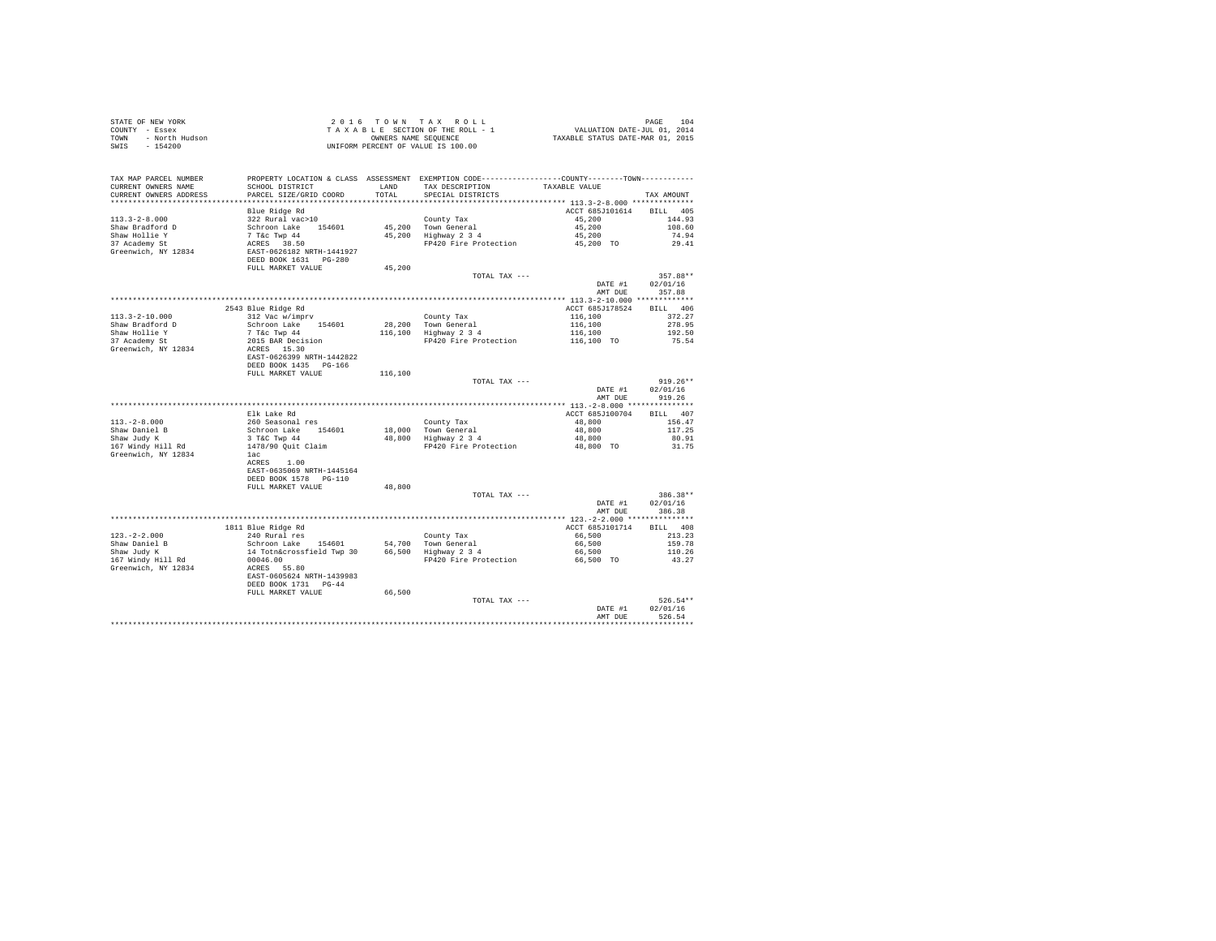| COUNTY - Essex<br>TOWN<br>- North Hudson<br>SWIS<br>$-154200$ | TAXABLE SECTION OF THE ROLL - 1<br>OWNERS NAME SEQUENCE<br>UNIFORM PERCENT OF VALUE IS 100.00 |                        | VALUATION DATE-JUL 01, 2014<br>TAXABLE STATUS DATE-MAR 01, 2015                              |                       |                    |
|---------------------------------------------------------------|-----------------------------------------------------------------------------------------------|------------------------|----------------------------------------------------------------------------------------------|-----------------------|--------------------|
|                                                               |                                                                                               |                        |                                                                                              |                       |                    |
| TAX MAP PARCEL NUMBER                                         |                                                                                               |                        | PROPERTY LOCATION & CLASS ASSESSMENT EXEMPTION CODE---------------COUNTY-------TOWN--------- |                       |                    |
| CURRENT OWNERS NAME                                           | SCHOOL DISTRICT                                                                               | LAND                   | TAX DESCRIPTION                                                                              | TAXABLE VALUE         |                    |
| CURRENT OWNERS ADDRESS<br>***********************             | PARCEL SIZE/GRID COORD<br>***********************                                             | TOTAL<br>************* | SPECIAL DISTRICTS                                                                            |                       | TAX AMOUNT         |
|                                                               | Blue Ridge Rd                                                                                 |                        |                                                                                              | ACCT 685J101614       | <b>BILL</b> 405    |
| $113.3 - 2 - 8.000$                                           | 322 Rural vac>10                                                                              |                        | County Tax                                                                                   | 45,200                | 144.93             |
| Shaw Bradford D                                               |                                                                                               |                        | 45,200 Town General                                                                          | 45,200                | 108.60             |
| Shaw Hollie Y                                                 |                                                                                               |                        | 45,200 Highway 2 3 4                                                                         | 45,200                | 74.94              |
| 37 Academy St                                                 | Schroon Lake 154601<br>7 T&c Twp 44<br>ACRES 38.50<br>EAST-0626182 NRTH-1441927               |                        | FP420 Fire Protection                                                                        | 45,200 TO             | 29.41              |
| Greenwich, NY 12834                                           |                                                                                               |                        |                                                                                              |                       |                    |
|                                                               | DEED BOOK 1631 PG-280                                                                         |                        |                                                                                              |                       |                    |
|                                                               | FULL MARKET VALUE                                                                             | 45,200                 | TOTAL TAX ---                                                                                |                       | 357.88**           |
|                                                               |                                                                                               |                        |                                                                                              | DATE #1               | 02/01/16           |
|                                                               |                                                                                               |                        |                                                                                              | AMT DUE               | 357.88             |
|                                                               |                                                                                               |                        |                                                                                              |                       |                    |
|                                                               | 2543 Blue Ridge Rd                                                                            |                        |                                                                                              | ACCT 685J178524       | BILL 406           |
| $113.3 - 2 - 10.000$                                          | 312 Vac w/imprv                                                                               |                        | County Tax                                                                                   | 116,100               | 372.27             |
| Shaw Bradford D                                               | Schroon Lake 154601                                                                           |                        | $28,200$ Town General<br>116,100 Highway 2 3 4                                               | 116,100               | 278.95             |
| Shaw Hollie Y<br>37 Academy St                                | 7 T&C Twp 44<br>2015 BAR Decision                                                             |                        |                                                                                              | 116,100<br>116,100 TO | 192.50<br>75.54    |
| Greenwich, NY 12834                                           |                                                                                               |                        | FP420 Fire Protection                                                                        |                       |                    |
|                                                               | ACRES 15.30<br>EAST-0626399 NRTH-1442822                                                      |                        |                                                                                              |                       |                    |
|                                                               | DEED BOOK 1435 PG-166                                                                         |                        |                                                                                              |                       |                    |
|                                                               | FULL MARKET VALUE                                                                             | 116,100                |                                                                                              |                       |                    |
|                                                               |                                                                                               |                        | TOTAL TAX ---                                                                                |                       | $919.26**$         |
|                                                               |                                                                                               |                        |                                                                                              | DATE #1<br>AMT DUE    | 02/01/16<br>919.26 |
|                                                               |                                                                                               |                        |                                                                                              |                       |                    |
|                                                               | Elk Lake Rd                                                                                   |                        |                                                                                              | ACCT 685J100704       | BILL 407           |
| $113.-2-8.000$                                                | 260 Seasonal res                                                                              |                        |                                                                                              | 48,800                | 156.47             |
| Shaw Daniel B                                                 | Schroon Lake 154601                                                                           |                        | County Tax<br>18,000 Town General<br>48,800 Highway 2 3 4                                    | 48,800                | 117.25             |
| Shaw Judy K                                                   | 3 T&C Twp 44                                                                                  |                        |                                                                                              | 48,800                | 80.91              |
| 167 Windy Hill Rd                                             | 1478/90 Quit Claim                                                                            |                        | FP420 Fire Protection                                                                        | 48,800 TO             | 31.75              |
| Greenwich, NY 12834                                           | lac<br>ACRES 1.00                                                                             |                        |                                                                                              |                       |                    |
|                                                               | EAST-0635069 NRTH-1445164                                                                     |                        |                                                                                              |                       |                    |
|                                                               | DEED BOOK 1578 PG-110                                                                         |                        |                                                                                              |                       |                    |
|                                                               | FULL MARKET VALUE                                                                             | 48,800                 |                                                                                              |                       |                    |
|                                                               |                                                                                               |                        | TOTAL TAX ---                                                                                |                       | 386.38**           |
|                                                               |                                                                                               |                        |                                                                                              | DATE #1               | 02/01/16           |
|                                                               |                                                                                               |                        |                                                                                              | AMT DUE               | 386.38             |
|                                                               | 1811 Blue Ridge Rd                                                                            |                        |                                                                                              | ACCT 685J101714       | BILL 408           |
| $123, -2 - 2, 000$                                            | 240 Rural res                                                                                 |                        | County Tax                                                                                   | 66,500                | 213.23             |
| Shaw Daniel B                                                 | Schroon Lake 154601                                                                           |                        |                                                                                              | 66,500                | 159.78             |
| $\frac{1}{2}$ Shaw Judy K                                     | 14 Totn&crossfield Twp 30                                                                     |                        | 54,700 Town General<br>66,500 Highway 2 3 4                                                  | 66,500                | 110.26             |
| 167 Windy Hill Rd                                             | 00046.00                                                                                      |                        | FP420 Fire Protection                                                                        | 66,500 TO             | 43.27              |
| Greenwich, NY 12834                                           | ACRES 55.80                                                                                   |                        |                                                                                              |                       |                    |
|                                                               | EAST-0605624 NRTH-1439983                                                                     |                        |                                                                                              |                       |                    |
|                                                               | DEED BOOK 1731 PG-44<br>FULL MARKET VALUE                                                     | 66,500                 |                                                                                              |                       |                    |
|                                                               |                                                                                               |                        | TOTAL TAX ---                                                                                |                       | 526.54**           |
|                                                               |                                                                                               |                        |                                                                                              | DATE #1               | 02/01/16           |
|                                                               |                                                                                               |                        |                                                                                              | AMT DUE               | 526.54             |
|                                                               |                                                                                               |                        |                                                                                              |                       | **********         |

STATE OF NEW YORK **2016** TOWN TAX ROLL **DATE OF NEW YORK** 104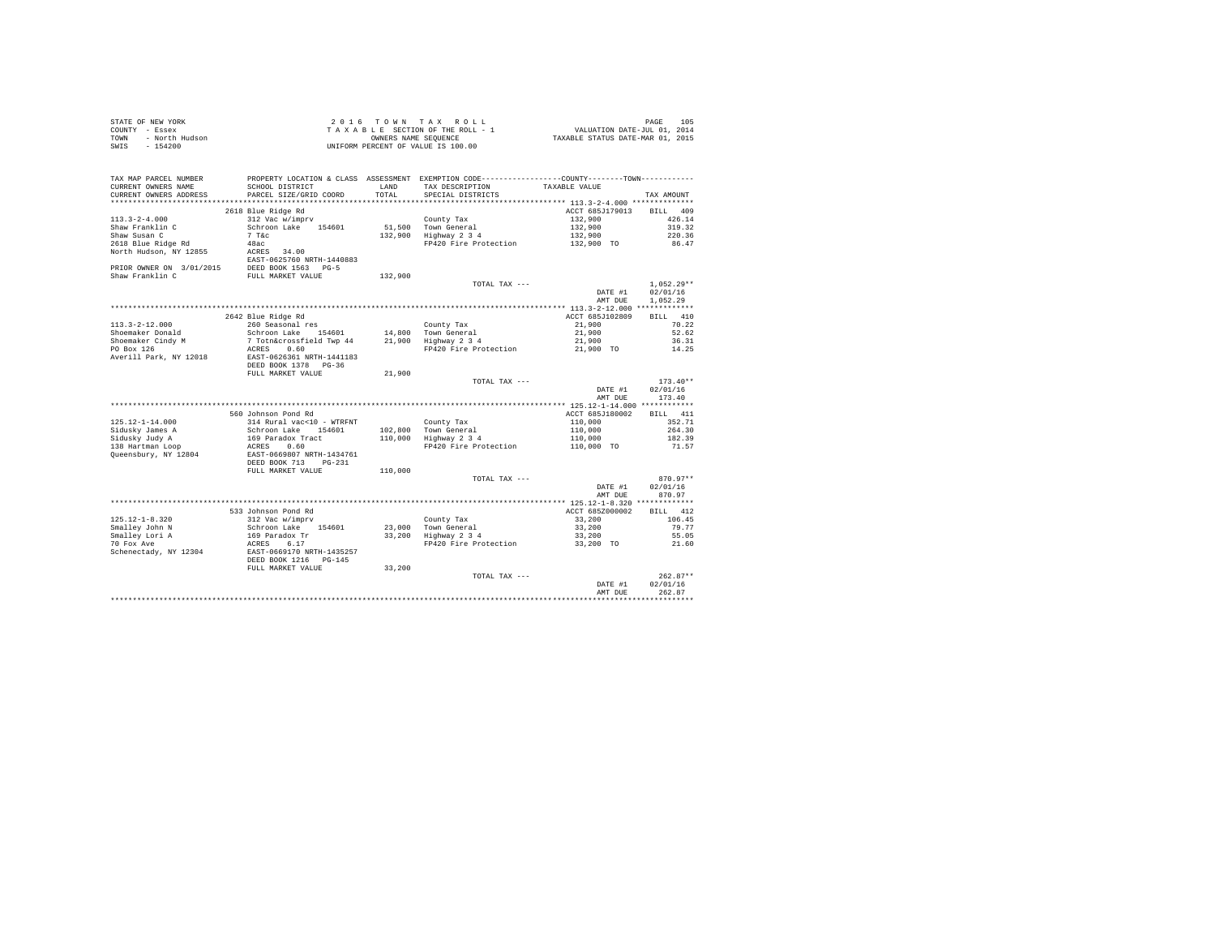|      | STATE OF NEW YORK | $2.0.16$ TOWN TAX ROLL             | 105<br>PAGE                      |  |
|------|-------------------|------------------------------------|----------------------------------|--|
|      | COUNTY - Essex    | TAXABLE SECTION OF THE ROLL - 1    | VALUATION DATE-JUL 01, 2014      |  |
| TOWN | - North Hudson    | OWNERS NAME SEOUENCE               | TAXABLE STATUS DATE-MAR 01, 2015 |  |
|      | SWIS - 154200     | UNIFORM PERCENT OF VALUE IS 100.00 |                                  |  |

| TAX MAP PARCEL NUMBER<br>CURRENT OWNERS NAME<br>CURRENT OWNERS ADDRESS<br>********************* | PROPERTY LOCATION & CLASS ASSESSMENT EXEMPTION CODE----------------COUNTY-------TOWN----------<br>SCHOOL DISTRICT<br>PARCEL SIZE/GRID COORD<br>**************************** | <b>T.AND</b><br>TOTAL | TAX DESCRIPTION<br>SPECIAL DISTRICTS | TAXABLE VALUE                  | TAX AMOUNT         |
|-------------------------------------------------------------------------------------------------|-----------------------------------------------------------------------------------------------------------------------------------------------------------------------------|-----------------------|--------------------------------------|--------------------------------|--------------------|
|                                                                                                 |                                                                                                                                                                             |                       |                                      |                                |                    |
|                                                                                                 | 2618 Blue Ridge Rd                                                                                                                                                          |                       |                                      | ACCT 685J179013                | 409<br><b>BILL</b> |
| $113.3 - 2 - 4.000$                                                                             | 312 Vac w/imprv                                                                                                                                                             |                       | County Tax                           | 132,900                        | 426.14             |
| Shaw Franklin C                                                                                 | Schroon Lake<br>154601                                                                                                                                                      | 51,500                | Town General                         | 132,900                        | 319.32             |
| Shaw Susan C                                                                                    | 7.78c                                                                                                                                                                       | 132,900               | Highway 2 3 4                        | 132,900                        | 220.36             |
| 2618 Blue Ridge Rd                                                                              | 48ac                                                                                                                                                                        |                       | FP420 Fire Protection                | 132,900 TO                     | 86.47              |
| North Hudson, NY 12855                                                                          | ACRES<br>34.00                                                                                                                                                              |                       |                                      |                                |                    |
|                                                                                                 | EAST-0625760 NRTH-1440883                                                                                                                                                   |                       |                                      |                                |                    |
| PRIOR OWNER ON 3/01/2015                                                                        | DEED BOOK 1563<br>$pG - 5$                                                                                                                                                  |                       |                                      |                                |                    |
|                                                                                                 |                                                                                                                                                                             |                       |                                      |                                |                    |
| Shaw Franklin C                                                                                 | FULL MARKET VALUE                                                                                                                                                           | 132,900               |                                      |                                |                    |
|                                                                                                 |                                                                                                                                                                             |                       | TOTAL TAX ---                        |                                | $1.052.29**$       |
|                                                                                                 |                                                                                                                                                                             |                       |                                      | DATE #1                        | 02/01/16           |
|                                                                                                 |                                                                                                                                                                             |                       |                                      | AMT DUE                        | 1,052.29           |
|                                                                                                 |                                                                                                                                                                             |                       |                                      | *************** 113.3-2-12.000 | **************     |
|                                                                                                 | 2642 Blue Ridge Rd                                                                                                                                                          |                       |                                      | ACCT 685J102809                | 410<br>RTLL.       |
| $113.3 - 2 - 12.000$                                                                            | 260 Seasonal res                                                                                                                                                            |                       | County Tax                           | 21,900                         | 70.22              |
| Shoemaker Donald                                                                                | 154601<br>Schroon Lake                                                                                                                                                      | 14,800                | Town General                         | 21,900                         | 52.62              |
| Shoemaker Cindy M                                                                               | 7 Totn&crossfield Twp 44                                                                                                                                                    | 21,900                | Highway 2 3 4                        | 21,900                         | 36.31              |
| PO Box 126                                                                                      | 0.60<br>ACRES                                                                                                                                                               |                       | FP420 Fire Protection                | 21,900 TO                      | 14.25              |
|                                                                                                 |                                                                                                                                                                             |                       |                                      |                                |                    |
| Averill Park, NY 12018                                                                          | EAST-0626361 NRTH-1441183                                                                                                                                                   |                       |                                      |                                |                    |
|                                                                                                 | DEED BOOK 1378<br>$PG-36$                                                                                                                                                   |                       |                                      |                                |                    |
|                                                                                                 | FULL MARKET VALUE                                                                                                                                                           | 21,900                |                                      |                                |                    |
|                                                                                                 |                                                                                                                                                                             |                       | TOTAL TAX ---                        |                                | $173.40**$         |
|                                                                                                 |                                                                                                                                                                             |                       |                                      | DATE #1                        | 02/01/16           |
|                                                                                                 |                                                                                                                                                                             |                       |                                      | AMT DUE                        | 173.40             |
|                                                                                                 |                                                                                                                                                                             |                       |                                      |                                |                    |
|                                                                                                 | 560 Johnson Pond Rd                                                                                                                                                         |                       |                                      | ACCT 685J180002                | 411<br><b>BILL</b> |
| $125.12 - 1 - 14.000$                                                                           | 314 Rural vac<10 - WTRFNT                                                                                                                                                   |                       | County Tax                           | 110,000                        | 352.71             |
| Sidusky James A                                                                                 | Schroon Lake<br>154601                                                                                                                                                      | 102,800               | Town General                         | 110,000                        | 264.30             |
| Sidusky Judy A                                                                                  | 169 Paradox Tract                                                                                                                                                           | 110,000               | Highway 2 3 4                        | 110,000                        | 182.39             |
|                                                                                                 | 0.60<br>ACRES                                                                                                                                                               |                       | FP420 Fire Protection                |                                | 71.57              |
| 138 Hartman Loop                                                                                |                                                                                                                                                                             |                       |                                      | 110,000 TO                     |                    |
| Queensbury, NY 12804                                                                            | EAST-0669807 NRTH-1434761                                                                                                                                                   |                       |                                      |                                |                    |
|                                                                                                 | DEED BOOK 713<br>$PG-231$                                                                                                                                                   |                       |                                      |                                |                    |
|                                                                                                 | FULL MARKET VALUE                                                                                                                                                           | 110,000               |                                      |                                |                    |
|                                                                                                 |                                                                                                                                                                             |                       | TOTAL TAX ---                        |                                | $870.97**$         |
|                                                                                                 |                                                                                                                                                                             |                       |                                      | DATE #1                        | 02/01/16           |
|                                                                                                 |                                                                                                                                                                             |                       |                                      | AMT DUE                        | 870.97             |
|                                                                                                 |                                                                                                                                                                             |                       |                                      |                                | *************      |
|                                                                                                 | 533 Johnson Pond Rd                                                                                                                                                         |                       |                                      | ACCT 685Z000002                | 412<br>BTT.L       |
| $125.12 - 1 - 8.320$                                                                            | 312 Vac w/imprv                                                                                                                                                             |                       | County Tax                           | 33,200                         | 106.45             |
| Smalley John N                                                                                  | Schroon Lake<br>154601                                                                                                                                                      | 23,000                | Town General                         | 33,200                         | 79.77              |
| Smalley Lori A                                                                                  | 169 Paradox Tr                                                                                                                                                              | 33,200                | Highway 2 3 4                        | 33,200                         | 55.05              |
| 70 Fox Ave                                                                                      | 6.17<br>ACRES                                                                                                                                                               |                       | FP420 Fire Protection                | 33,200 TO                      | 21.60              |
|                                                                                                 |                                                                                                                                                                             |                       |                                      |                                |                    |
| Schenectady, NY 12304                                                                           | EAST-0669170 NRTH-1435257                                                                                                                                                   |                       |                                      |                                |                    |
|                                                                                                 | DEED BOOK 1216<br>$PG-145$                                                                                                                                                  |                       |                                      |                                |                    |
|                                                                                                 | FULL MARKET VALUE                                                                                                                                                           | 33,200                |                                      |                                |                    |
|                                                                                                 |                                                                                                                                                                             |                       | TOTAL TAX ---                        |                                | $262.87**$         |
|                                                                                                 |                                                                                                                                                                             |                       |                                      | DATE #1                        | 02/01/16           |
|                                                                                                 |                                                                                                                                                                             |                       |                                      | AMT DUE                        | 262.87             |
|                                                                                                 |                                                                                                                                                                             |                       |                                      |                                | ******             |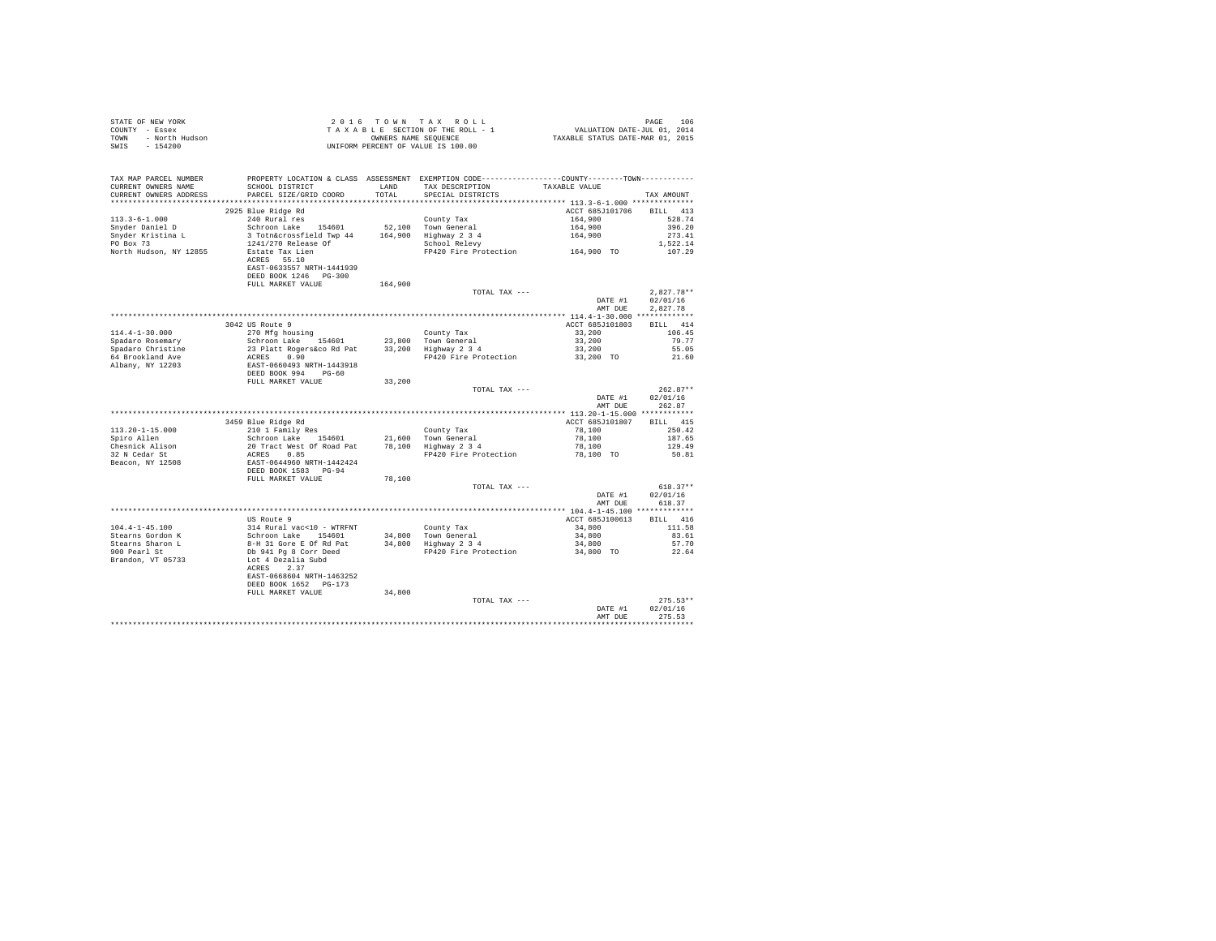| STATE OF NEW YORK      | 2016 TOWN TAX ROLL                 | 106<br>PAGE                      |
|------------------------|------------------------------------|----------------------------------|
| COUNTY - Essex         | TAXABLE SECTION OF THE ROLL - 1    | VALUATION DATE-JUL 01, 2014      |
| TOWN<br>- North Hudson | OWNERS NAME SEOUENCE               | TAXABLE STATUS DATE-MAR 01, 2015 |
| - 154200<br>SWIS       | UNIFORM PERCENT OF VALUE IS 100.00 |                                  |

| TAX MAP PARCEL NUMBER<br>CURRENT OWNERS NAME<br>CURRENT OWNERS ADDRESS | SCHOOL DISTRICT<br>PARCEL SIZE/GRID COORD         | LAND<br>TOTAL | PROPERTY LOCATION & CLASS ASSESSMENT EXEMPTION CODE-----------<br>TAX DESCRIPTION<br>SPECIAL DISTRICTS | ------COUNTY-------TOWN-----------<br>TAXABLE VALUE | TAX AMOUNT   |
|------------------------------------------------------------------------|---------------------------------------------------|---------------|--------------------------------------------------------------------------------------------------------|-----------------------------------------------------|--------------|
|                                                                        |                                                   |               |                                                                                                        |                                                     |              |
|                                                                        | 2925 Blue Ridge Rd                                |               |                                                                                                        | ACCT 685J101706                                     | BILL 413     |
| $113.3 - 6 - 1.000$                                                    | 240 Rural res                                     |               | County Tax                                                                                             | 164,900                                             | 528.74       |
| Snyder Daniel D                                                        | Schroon Lake<br>154601                            |               | 52.100 Town General                                                                                    | 164,900                                             | 396.20       |
| Snyder Kristina L                                                      | 3 Totn&crossfield Twp 44                          | 164,900       | Highway 2 3 4                                                                                          | 164,900                                             | 273.41       |
| PO Box 73                                                              | 1241/270 Release Of                               |               | School Relevy                                                                                          |                                                     | 1,522.14     |
| North Hudson, NY 12855                                                 | Estate Tax Lien                                   |               | FP420 Fire Protection                                                                                  | 164,900 TO                                          | 107.29       |
|                                                                        | ACRES 55.10<br>EAST-0633557 NRTH-1441939          |               |                                                                                                        |                                                     |              |
|                                                                        | DEED BOOK 1246 PG-300<br>FULL MARKET VALUE        | 164,900       |                                                                                                        |                                                     |              |
|                                                                        |                                                   |               | TOTAL TAX ---                                                                                          |                                                     | $2,827.78**$ |
|                                                                        |                                                   |               |                                                                                                        | DATE #1                                             | 02/01/16     |
|                                                                        |                                                   |               |                                                                                                        | AMT DUE                                             | 2.827.78     |
|                                                                        |                                                   |               |                                                                                                        | ************** 114.4-1-30.000 **************        |              |
|                                                                        | 3042 US Route 9                                   |               |                                                                                                        | ACCT 685J101803                                     | RTT.T. 414   |
| $114.4 - 1 - 30.000$                                                   | 270 Mfg housing                                   |               | County Tax                                                                                             | 33,200                                              | 106.45       |
| Spadaro Rosemary                                                       | Schroon Lake 154601                               |               | 23,800 Town General                                                                                    | 33,200                                              | 79.77        |
| Spadaro Christine                                                      | 23 Platt Rogers&co Rd Pat                         |               | 33,200 Highway 2 3 4                                                                                   | 33,200                                              | 55.05        |
| 64 Brookland Ave                                                       | 0.90<br>ACRES                                     |               | FP420 Fire Protection                                                                                  | 33,200 TO                                           | 21.60        |
| Albany, NY 12203                                                       | EAST-0660493 NRTH-1443918                         |               |                                                                                                        |                                                     |              |
|                                                                        | DEED BOOK 994<br>$PG-60$                          |               |                                                                                                        |                                                     |              |
|                                                                        | FULL MARKET VALUE                                 | 33,200        |                                                                                                        |                                                     |              |
|                                                                        |                                                   |               | TOTAL TAX ---                                                                                          |                                                     | $262.87**$   |
|                                                                        |                                                   |               |                                                                                                        | DATE #1                                             | 02/01/16     |
|                                                                        |                                                   |               |                                                                                                        | AMT DUE                                             | 262.87       |
|                                                                        |                                                   |               |                                                                                                        | *********** 113.20-1-15.000 ************            |              |
|                                                                        | 3459 Blue Ridge Rd                                |               |                                                                                                        | ACCT 685J101807                                     | BILL 415     |
| $113.20 - 1 - 15.000$                                                  | 210 1 Family Res                                  |               | County Tax                                                                                             | 78,100                                              | 250.42       |
| Spiro Allen                                                            | Schroon Lake 154601                               |               | 21,600 Town General                                                                                    | 78,100                                              | 187.65       |
| Chesnick Alison                                                        | 20 Tract West Of Road Pat                         |               | 78,100 Highway 2 3 4                                                                                   | 78,100                                              | 129.49       |
| 32 N Cedar St                                                          | 0.85<br>ACRES                                     |               | FP420 Fire Protection                                                                                  | 78,100 TO                                           | 50.81        |
| Beacon, NY 12508                                                       | EAST-0644960 NRTH-1442424<br>DEED BOOK 1583 PG-94 |               |                                                                                                        |                                                     |              |
|                                                                        | FULL MARKET VALUE                                 | 78,100        |                                                                                                        |                                                     |              |
|                                                                        |                                                   |               | TOTAL TAX ---                                                                                          |                                                     | $618.37**$   |
|                                                                        |                                                   |               |                                                                                                        | DATE #1                                             | 02/01/16     |
|                                                                        |                                                   |               |                                                                                                        | AMT DUE                                             | 618.37       |
|                                                                        |                                                   |               |                                                                                                        |                                                     |              |
|                                                                        | US Route 9                                        |               |                                                                                                        | ACCT 685J100613                                     | RTLL 416     |
| $104.4 - 1 - 45.100$                                                   | 314 Rural vac<10 - WTRFNT                         |               | County Tax                                                                                             | 34,800                                              | 111.58       |
| Stearns Gordon K                                                       | Schroon Lake 154601                               |               | 34,800 Town General                                                                                    | 34,800                                              | 83.61        |
| Stearns Sharon L                                                       | 8-H 31 Gore E Of Rd Pat                           |               | 34,800 Highway 2 3 4                                                                                   | 34,800                                              | 57.70        |
| 900 Pearl St                                                           | Db 941 Pg 8 Corr Deed                             |               | FP420 Fire Protection                                                                                  | 34,800 TO                                           | 22.64        |
| Brandon, VT 05733                                                      | Lot 4 Dezalia Subd                                |               |                                                                                                        |                                                     |              |
|                                                                        | ACRES 2.37                                        |               |                                                                                                        |                                                     |              |
|                                                                        | EAST-0668604 NRTH-1463252                         |               |                                                                                                        |                                                     |              |
|                                                                        | DEED BOOK 1652 PG-173<br>FULL MARKET VALUE        |               |                                                                                                        |                                                     |              |
|                                                                        |                                                   | 34,800        | TOTAL TAX ---                                                                                          |                                                     | $275.53**$   |
|                                                                        |                                                   |               |                                                                                                        | DATE #1                                             | 02/01/16     |
|                                                                        |                                                   |               |                                                                                                        | AMT DUE                                             | 275.53       |
|                                                                        |                                                   |               |                                                                                                        |                                                     |              |
|                                                                        |                                                   |               |                                                                                                        |                                                     |              |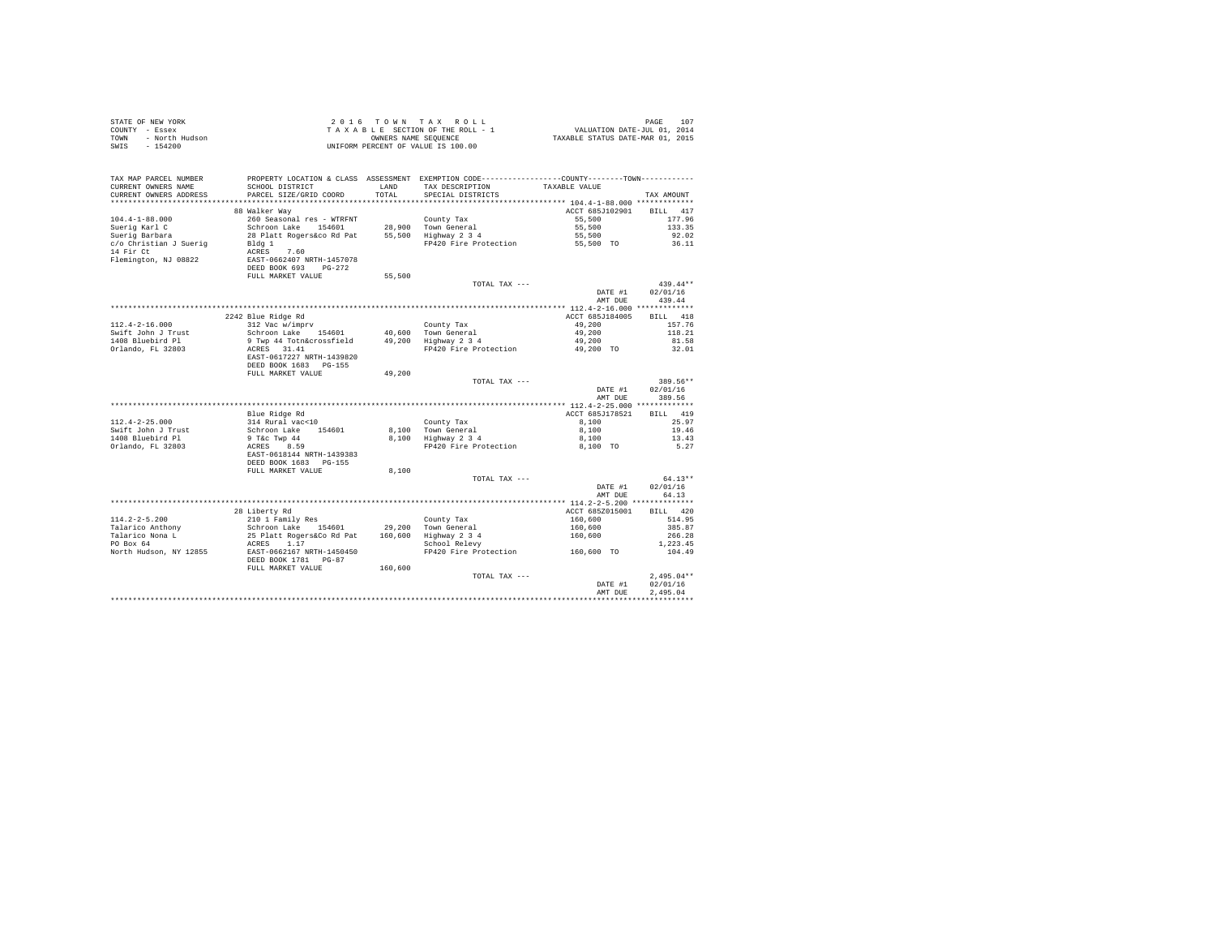| STATE OF NEW YORK<br>COUNTY - Essex<br>TOWN - North Hudson<br>$SWTS = 154200$ |                                                               |               | 2016 TOWN TAX ROLL<br>UNIFORM PERCENT OF VALUE IS 100.00                                                                             |                    | PAGE<br>107        |
|-------------------------------------------------------------------------------|---------------------------------------------------------------|---------------|--------------------------------------------------------------------------------------------------------------------------------------|--------------------|--------------------|
| TAX MAP PARCEL NUMBER<br>CURRENT OWNERS NAME<br>CURRENT OWNERS ADDRESS        | SCHOOL DISTRICT<br>PARCEL SIZE/GRID COORD                     | LAND<br>TOTAL | PROPERTY LOCATION & CLASS ASSESSMENT EXEMPTION CODE---------------COUNTY-------TOWN---------<br>TAX DESCRIPTION<br>SPECIAL DISTRICTS | TAXABLE VALUE      | TAX AMOUNT         |
|                                                                               |                                                               |               |                                                                                                                                      |                    |                    |
|                                                                               | 88 Walker Way                                                 |               |                                                                                                                                      | ACCT 685J102901    | BILL 417           |
| $104.4 - 1 - 88.000$                                                          | 260 Seasonal res - WTRFNT                                     |               | County Tax                                                                                                                           | 55,500             | 177.96             |
| Suerig Karl C<br>Suerig Barbara                                               | Schroon Lake 154601                                           |               | 28,900 Town General<br>55,500 Highway 2 3 4                                                                                          | 55,500             | 133.35             |
|                                                                               | 28 Platt Rogers&co Rd Pat                                     |               |                                                                                                                                      | 55,500             | 92.02              |
| c/o Christian J Suerig                                                        | Bldg 1                                                        |               | FP420 Fire Protection                                                                                                                | 55,500 TO          | 36.11              |
| 14 Fir Ct<br>Flemington, NJ 08822                                             | ACRES 7.60<br>EAST-0662407 NRTH-1457078                       |               |                                                                                                                                      |                    |                    |
|                                                                               | DEED BOOK 693 PG-272                                          |               |                                                                                                                                      |                    |                    |
|                                                                               | FULL MARKET VALUE                                             | 55,500        |                                                                                                                                      |                    |                    |
|                                                                               |                                                               |               | TOTAL TAX ---                                                                                                                        |                    | $439.44**$         |
|                                                                               |                                                               |               |                                                                                                                                      | DATE #1            | 02/01/16           |
|                                                                               |                                                               |               |                                                                                                                                      | AMT DUR            | 439.44             |
|                                                                               |                                                               |               |                                                                                                                                      |                    |                    |
|                                                                               | 2242 Blue Ridge Rd                                            |               |                                                                                                                                      | ACCT 685J184005    | BILL 418           |
| $112.4 - 2 - 16.000$<br>Swift John J Trust                                    | 312 Vac w/imprv                                               |               | County Tax<br>40,600 Town General<br>49,200 Highway 2 3 4                                                                            | 49.200<br>49,200   | 157.76<br>118.21   |
| 1408 Bluebird Pl                                                              | Schroon Lake 154601<br>9 Twp 44 Totn&crossfield               |               |                                                                                                                                      | 49,200             | 81.58              |
| Orlando, FL 32803                                                             | ACRES 31.41                                                   |               | FP420 Fire Protection                                                                                                                | 49,200 TO          | 32.01              |
|                                                                               | EAST-0617227 NRTH-1439820<br>DEED BOOK 1683 PG-155            |               |                                                                                                                                      |                    |                    |
|                                                                               | FULL MARKET VALUE                                             | 49,200        |                                                                                                                                      |                    |                    |
|                                                                               |                                                               |               | TOTAL TAX ---                                                                                                                        |                    | 389.56**           |
|                                                                               |                                                               |               |                                                                                                                                      | DATE #1<br>AMT DUE | 02/01/16<br>389.56 |
|                                                                               |                                                               |               |                                                                                                                                      |                    |                    |
|                                                                               | Blue Ridge Rd                                                 |               |                                                                                                                                      | ACCT 685J178521    | BILL 419           |
| $112.4 - 2 - 25.000$                                                          | 314 Rural vac<10                                              |               | County Tax                                                                                                                           | 8,100              | 25.97              |
| Swift John J Trust                                                            | Schroon Lake 154601                                           |               | 8,100 Town General<br>8,100 Highway 2 3 4                                                                                            | 8,100              | 19.46              |
| 1408 Bluebird Pl                                                              | 9 T&c Twp 44<br>ACRES 8.59                                    |               |                                                                                                                                      | 8,100              | 13.43              |
| Orlando, FL 32803                                                             |                                                               |               | FP420 Fire Protection                                                                                                                | 8,100 TO           | 5.27               |
|                                                                               | EAST-0618144 NRTH-1439383                                     |               |                                                                                                                                      |                    |                    |
|                                                                               | DEED BOOK 1683 PG-155<br>FULL MARKET VALUE                    | 8,100         |                                                                                                                                      |                    |                    |
|                                                                               |                                                               |               | TOTAL TAX ---                                                                                                                        |                    | $64.13**$          |
|                                                                               |                                                               |               |                                                                                                                                      | DATE #1            | 02/01/16           |
|                                                                               |                                                               |               |                                                                                                                                      | AMT DUE            | 64.13              |
|                                                                               |                                                               |               |                                                                                                                                      |                    |                    |
|                                                                               | 28 Liberty Rd                                                 |               |                                                                                                                                      | ACCT 685Z015001    | BTLL 420           |
| $114.2 - 2 - 5.200$                                                           | 210 1 Family Res<br>Schroon Lake 154601                       |               | County Tax                                                                                                                           | 160,600            | 514.95             |
| Talarico Anthony                                                              |                                                               |               | 29,200 Town General                                                                                                                  | 160,600            | 385.87             |
| Talarico Nona L<br>$PO$ Box 64                                                | 25 Platt Rogers&Co Rd Pat 160,600 Highway 2 3 4<br>ACRES 1.17 |               |                                                                                                                                      | 160,600            | 266.28             |
| North Hudson, NY 12855                                                        | EAST-0662167 NRTH-1450450                                     |               | School Relevy<br>FP420 Fire Protection 160,600 TO                                                                                    |                    | 1,223.45<br>104.49 |
|                                                                               | DEED BOOK 1781 PG-87<br>FULL MARKET VALUE                     | 160,600       |                                                                                                                                      |                    |                    |
|                                                                               |                                                               |               | TOTAL TAX ---                                                                                                                        |                    | $2.495.04**$       |
|                                                                               |                                                               |               |                                                                                                                                      | DATE #1            | 02/01/16           |
|                                                                               |                                                               |               |                                                                                                                                      | AMT DUE            | 2.495.04           |
|                                                                               |                                                               |               |                                                                                                                                      |                    |                    |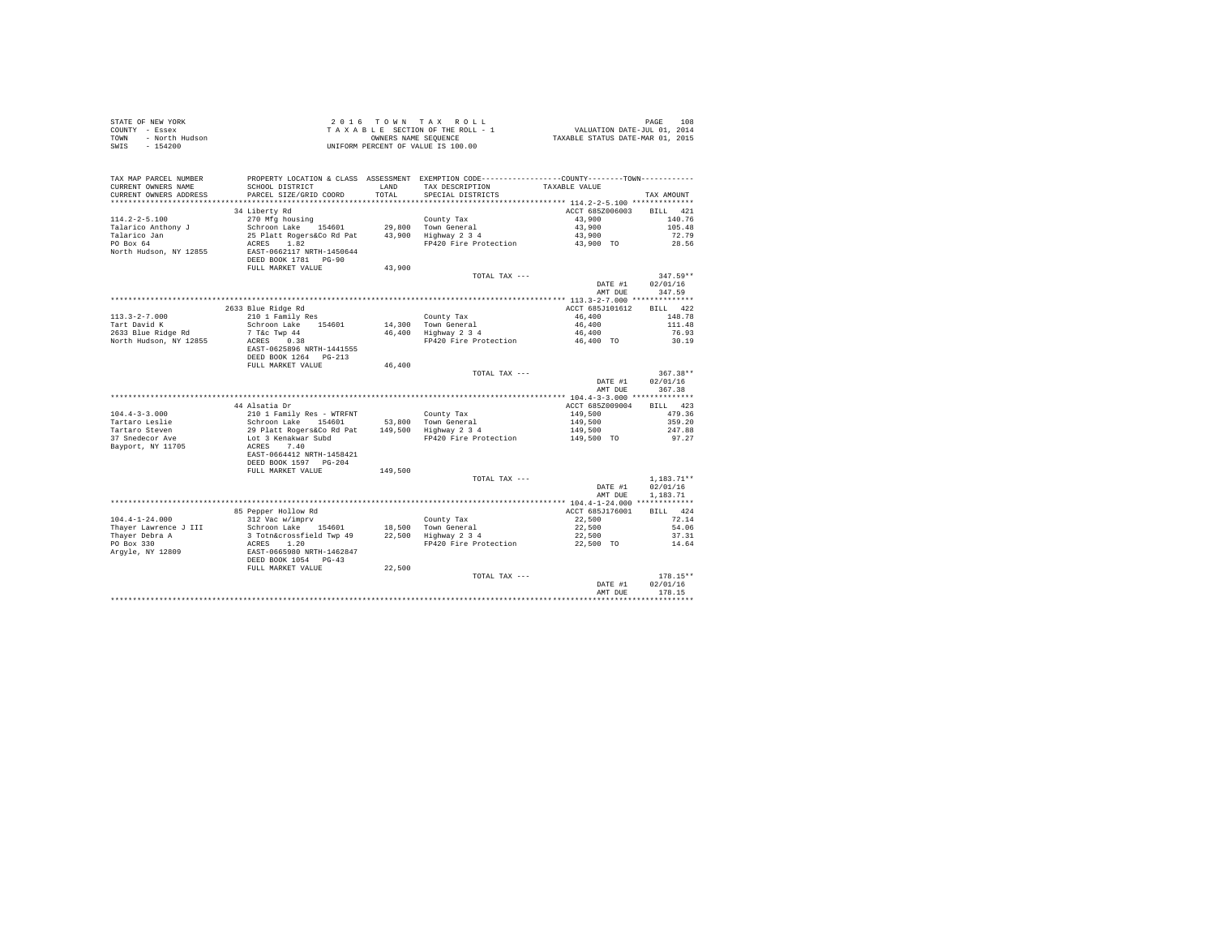| STATE OF NEW YORK<br>COUNTY - Essex<br>TOWN<br>SWIS - 154200 |                                                                                                                 |         |                               |                          |                                  |
|--------------------------------------------------------------|-----------------------------------------------------------------------------------------------------------------|---------|-------------------------------|--------------------------|----------------------------------|
| TAX MAP PARCEL NUMBER<br>CURRENT OWNERS NAME                 | PROPERTY LOCATION & CLASS ASSESSMENT EXEMPTION CODE---------------COUNTY-------TOWN---------<br>SCHOOL DISTRICT | LAND    | TAX DESCRIPTION TAXABLE VALUE |                          |                                  |
| CURRENT OWNERS ADDRESS                                       | PARCEL SIZE/GRID COORD                                                                                          | TOTAL   | SPECIAL DISTRICTS             |                          | TAX AMOUNT                       |
|                                                              | 34 Liberty Rd                                                                                                   |         |                               | ACCT 685Z006003          | BILL 421                         |
| $114.2 - 2 - 5.100$                                          | 270 Mfg housing                                                                                                 |         | County Tax                    | 43,900                   | 140.76                           |
| Talarico Anthony J                                           |                                                                                                                 |         |                               | 43,900                   | 105.48                           |
|                                                              | Schroon Lake 154601 29,800 Town General<br>25 Platt Rogers&Co Rd Pat 43,900 Highway 2 3 4                       |         |                               | 43,900                   | 72.79                            |
| Talarico Jan<br>PO Box 64                                    | ACRES 1.82                                                                                                      |         | FP420 Fire Protection         | 43,900 TO                | 28.56                            |
| North Hudson, NY 12855                                       | EAST-0662117 NRTH-1450644<br>DEED BOOK 1781 PG-90                                                               |         |                               |                          |                                  |
|                                                              | FULL MARKET VALUE                                                                                               | 43,900  |                               |                          |                                  |
|                                                              |                                                                                                                 |         | TOTAL TAX ---                 | DATE #1<br>AMT DUE       | $347.59**$<br>02/01/16<br>347.59 |
|                                                              |                                                                                                                 |         |                               |                          |                                  |
|                                                              | 2633 Blue Ridge Rd                                                                                              |         |                               | ACCT 685J101612 BILL 422 |                                  |
| $113.3 - 2 - 7.000$                                          | 210 1 Family Res                                                                                                |         | County Tax                    | 46,400                   | 148.78                           |
| Tart David K                                                 | Schroon Lake 154601                                                                                             |         | 14,300 Town General           | 46,400                   | 111.48                           |
| 2633 Blue Ridge Rd                                           | 7 T&C Twp 44                                                                                                    |         | $46,400$ Highway $2,3,4$      | 46,400                   | 76.93                            |
| North Hudson, NY 12855                                       | ACRES 0.38<br>EAST-0625896 NRTH-1441555<br>DEED BOOK 1264 PG-213                                                |         | FP420 Fire Protection         | 46,400 TO                | 30.19                            |
|                                                              | FULL MARKET VALUE                                                                                               | 46,400  |                               |                          |                                  |
|                                                              |                                                                                                                 |         | TOTAL TAX ---                 |                          | $367.38**$                       |
|                                                              |                                                                                                                 |         |                               | DATE #1                  | 02/01/16                         |
|                                                              |                                                                                                                 |         |                               | AMT DUE                  | 367.38                           |
|                                                              |                                                                                                                 |         |                               |                          |                                  |
|                                                              | 44 Alsatia Dr                                                                                                   |         |                               | ACCT 685Z009004          | BILL 423                         |
| $104.4 - 3 - 3.000$                                          | 210 1 Family Res - WTRFNT                                                                                       |         | County Tax                    | 149,500                  | 479.36                           |
| Tartaro Leslie<br>Tartaro Steven                             | Schroon Lake 154601 53,800 Town General<br>29 Platt Rogers&Co Rd Pat 149,500 Highway 2 3 4                      |         |                               | 149,500<br>149,500       | 359.20<br>247.88                 |
| 37 Snedecor Ave                                              | Lot 3 Kenakwar Subd                                                                                             |         | FP420 Fire Protection         | 149,500 TO               | 97.27                            |
| Bayport, NY 11705                                            | ACRES 7.40                                                                                                      |         |                               |                          |                                  |
|                                                              | EAST-0664412 NRTH-1458421                                                                                       |         |                               |                          |                                  |
|                                                              | DEED BOOK 1597 PG-204                                                                                           |         |                               |                          |                                  |
|                                                              | FULL MARKET VALUE                                                                                               | 149,500 |                               |                          |                                  |
|                                                              |                                                                                                                 |         | TOTAL TAX ---                 |                          | $1.183.71**$                     |
|                                                              |                                                                                                                 |         |                               | DATE #1                  | 02/01/16                         |
|                                                              |                                                                                                                 |         |                               | AMT DUE                  | 1,183,71                         |
|                                                              |                                                                                                                 |         |                               |                          |                                  |
| $104.4 - 1 - 24.000$                                         | 85 Pepper Hollow Rd                                                                                             |         |                               | ACCT 685J176001          | BILL 424                         |
| Thayer Lawrence J III                                        | 312 Vac w/imprv                                                                                                 |         | County Tax                    | 22,500<br>22,500         | 72.14<br>54.06                   |
| Thayer Debra A                                               | Schroon Lake 154601 18,500 Town General<br>3 Totn&crossfield Twp 49 22,500 Highway 234                          |         |                               | 22,500                   | 37.31                            |
| PO Box 330                                                   | ACRES 1.20                                                                                                      |         | FP420 Fire Protection         | 22,500 TO                | 14.64                            |
| Argyle, NY 12809                                             |                                                                                                                 |         |                               |                          |                                  |
|                                                              | EAST-0665980 NRTH-1462847<br>DEED BOOK 1054 PG-43                                                               |         |                               |                          |                                  |
|                                                              | FULL MARKET VALUE                                                                                               | 22,500  |                               |                          |                                  |
|                                                              |                                                                                                                 |         | TOTAL TAX ---                 |                          | $178.15**$                       |
|                                                              |                                                                                                                 |         |                               | DATE #1                  | 02/01/16                         |
|                                                              |                                                                                                                 |         |                               | AMT DUE                  | 178.15                           |
|                                                              |                                                                                                                 |         |                               |                          |                                  |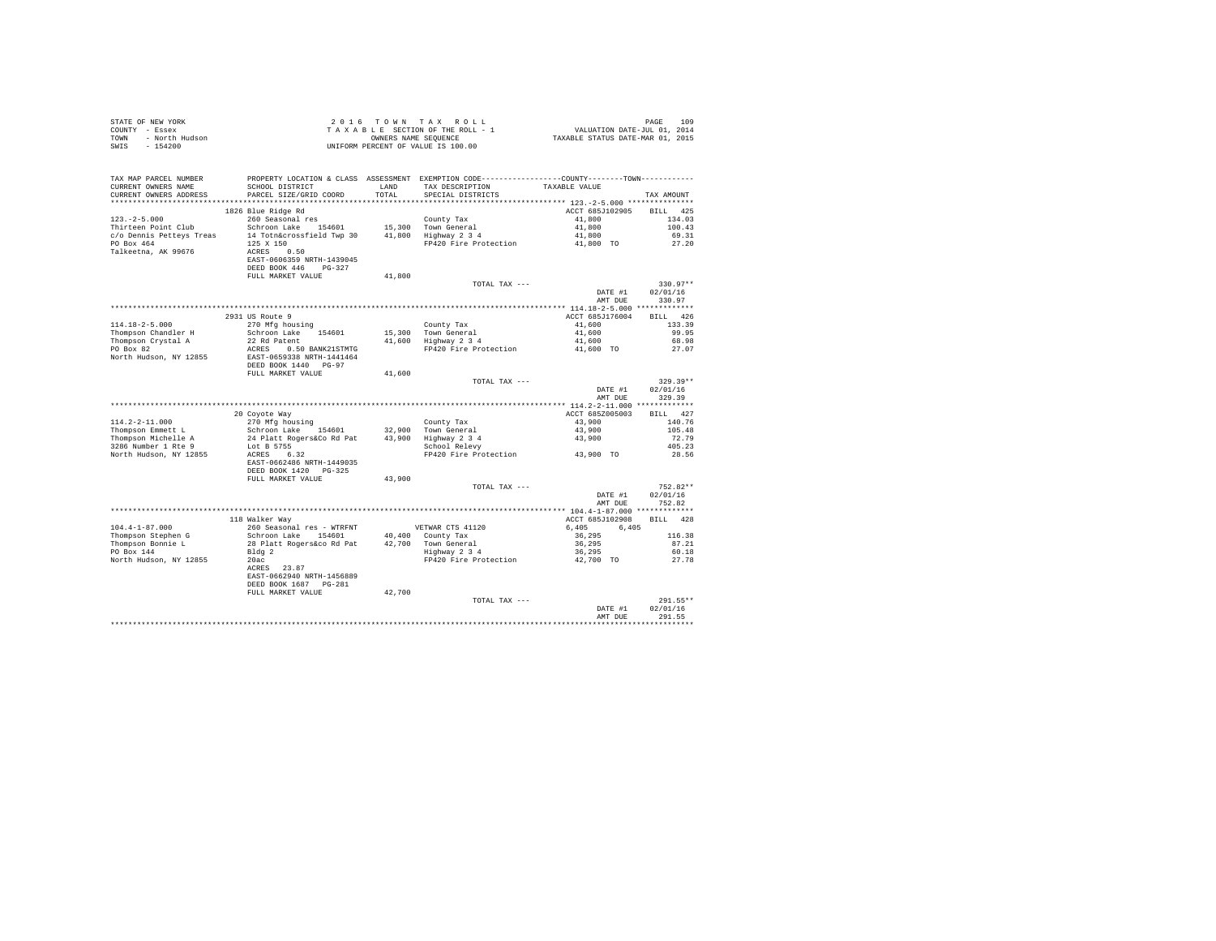| STATE OF NEW YORK<br>COUNTY - Essex<br>TOWN - North Hudson<br>- Allen Corther Condition                                                                             |                                                                |        | 2016 TOWN TAX ROLL<br>UNIFORM PERCENT OF VALUE IS 100.00                                                                                                                                                                                     |                                                 | PAGE<br>109                |
|---------------------------------------------------------------------------------------------------------------------------------------------------------------------|----------------------------------------------------------------|--------|----------------------------------------------------------------------------------------------------------------------------------------------------------------------------------------------------------------------------------------------|-------------------------------------------------|----------------------------|
| TAX MAP PARCEL NUMBER PROPERTY LOCATION & CLASS ASSESSMENT EXEMPTION CODE---------------COUNTY-------TOWN---------<br>CURRENT OWNERS NAME<br>CURRENT OWNERS ADDRESS | SCHOOL DISTRICT LAND TAX DESCRIPTION<br>PARCEL SIZE/GRID COORD | TOTAL  | SPECIAL DISTRICTS                                                                                                                                                                                                                            | TAXABLE VALUE                                   | TAX AMOUNT                 |
|                                                                                                                                                                     |                                                                |        |                                                                                                                                                                                                                                              |                                                 |                            |
|                                                                                                                                                                     |                                                                |        |                                                                                                                                                                                                                                              | ACCT 685J102905 BILL 425                        | 134.03                     |
|                                                                                                                                                                     |                                                                |        |                                                                                                                                                                                                                                              |                                                 | 100.43                     |
|                                                                                                                                                                     |                                                                |        |                                                                                                                                                                                                                                              |                                                 | 69.31                      |
|                                                                                                                                                                     |                                                                |        |                                                                                                                                                                                                                                              |                                                 | 27.20                      |
|                                                                                                                                                                     |                                                                |        |                                                                                                                                                                                                                                              |                                                 |                            |
|                                                                                                                                                                     | EAST-0606359 NRTH-1439045<br>DEED BOOK 446 PG-327              |        |                                                                                                                                                                                                                                              |                                                 |                            |
|                                                                                                                                                                     | FULL MARKET VALUE                                              | 41,800 |                                                                                                                                                                                                                                              |                                                 |                            |
|                                                                                                                                                                     |                                                                |        | TOTAL TAX ---                                                                                                                                                                                                                                |                                                 | $330.97**$                 |
|                                                                                                                                                                     |                                                                |        |                                                                                                                                                                                                                                              | DATE #1                                         | 02/01/16<br>AMT DUE 330.97 |
|                                                                                                                                                                     |                                                                |        |                                                                                                                                                                                                                                              |                                                 |                            |
|                                                                                                                                                                     | 2931 US Route 9                                                |        |                                                                                                                                                                                                                                              | ACCT 685J176004                                 | BILL 426                   |
| $114.18 - 2 - 5.000$                                                                                                                                                | 270 Mfg housing                                                |        | County Tax                                                                                                                                                                                                                                   | 41,600                                          | 133.39                     |
|                                                                                                                                                                     | 270 Mig housing<br>Schroon Lake 154601                         |        | 15,300 Town General 41,600<br>41,600 Highway 2 3 4 4 41,600                                                                                                                                                                                  |                                                 | 99.95                      |
| Thompson Chandler H<br>Thompson Crystal A<br>PO Box 82                                                                                                              | 22 Rd Patent                                                   |        |                                                                                                                                                                                                                                              |                                                 | 68.98                      |
| North Hudson, NY 12855 EAST-0659338 NRTH-1441464                                                                                                                    |                                                                |        | ACRES 0.50 BANK21STMTG FP420 Fire Protection 41,600 TO                                                                                                                                                                                       |                                                 | 27.07                      |
|                                                                                                                                                                     | DEED BOOK 1440 PG-97                                           |        |                                                                                                                                                                                                                                              |                                                 |                            |
|                                                                                                                                                                     | FULL MARKET VALUE                                              | 41,600 |                                                                                                                                                                                                                                              |                                                 |                            |
|                                                                                                                                                                     |                                                                |        | TOTAL TAX ---                                                                                                                                                                                                                                |                                                 | $329.39**$                 |
|                                                                                                                                                                     |                                                                |        |                                                                                                                                                                                                                                              | DATE #1<br>AMT DUE                              | 02/01/16<br>329.39         |
|                                                                                                                                                                     |                                                                |        |                                                                                                                                                                                                                                              |                                                 |                            |
|                                                                                                                                                                     | 20 Coyote Way                                                  |        |                                                                                                                                                                                                                                              | ACCT 685Z005003                                 | BILL 427                   |
|                                                                                                                                                                     |                                                                |        |                                                                                                                                                                                                                                              | 43,900                                          | 140.76                     |
|                                                                                                                                                                     |                                                                |        |                                                                                                                                                                                                                                              |                                                 | 105.48                     |
|                                                                                                                                                                     |                                                                |        | Councy Tank 1998<br>Town General 1998<br>Highway 2 3 4 4 3,900<br>School Relevy<br>FP420 Fire Protection 43,900 TO                                                                                                                           |                                                 | 72.79                      |
|                                                                                                                                                                     |                                                                |        |                                                                                                                                                                                                                                              |                                                 | 405.23<br>28.56            |
|                                                                                                                                                                     | EAST-0662486 NRTH-1449035                                      |        |                                                                                                                                                                                                                                              |                                                 |                            |
|                                                                                                                                                                     | DEED BOOK 1420 PG-325                                          |        |                                                                                                                                                                                                                                              |                                                 |                            |
|                                                                                                                                                                     | FULL MARKET VALUE                                              | 43,900 |                                                                                                                                                                                                                                              |                                                 |                            |
|                                                                                                                                                                     |                                                                |        | TOTAL TAX ---                                                                                                                                                                                                                                |                                                 | $752.82**$                 |
|                                                                                                                                                                     |                                                                |        |                                                                                                                                                                                                                                              | DATE #1<br>AMT DUE                              | 02/01/16<br>752.82         |
|                                                                                                                                                                     |                                                                |        |                                                                                                                                                                                                                                              |                                                 |                            |
|                                                                                                                                                                     | 118 Walker Way                                                 |        |                                                                                                                                                                                                                                              | ACCT 685J102908 BILL 428                        |                            |
| $104.4 - 1 - 87.000$                                                                                                                                                | 260 Seasonal res - WTRFNT                                      |        |                                                                                                                                                                                                                                              | $6,405$ $6,405$ $42$                            |                            |
| Thompson Stephen G<br>Thompson Bonnie L                                                                                                                             |                                                                |        | 118 Watner way<br>260 Seasonal res - WTRFNT<br>260 Seasonal res - WTRFNT<br>261 Control and 2014 County Tax<br>28 Platt Rogers & Control County Tax<br>28 Palatt Rogers & Captain 2014 21,700 To<br>29 Righway 2 3 4<br>2020 FP420 Fire Prot | $36,295$<br>36,295<br>36,295<br>36,295<br>50.18 |                            |
| PO Box 144                                                                                                                                                          |                                                                |        |                                                                                                                                                                                                                                              |                                                 |                            |
| North Hudson, NY 12855                                                                                                                                              |                                                                |        |                                                                                                                                                                                                                                              |                                                 | 27.78                      |
|                                                                                                                                                                     | ACRES 23.87                                                    |        |                                                                                                                                                                                                                                              |                                                 |                            |
|                                                                                                                                                                     | EAST-0662940 NRTH-1456889                                      |        |                                                                                                                                                                                                                                              |                                                 |                            |
|                                                                                                                                                                     | DEED BOOK 1687 PG-281                                          |        |                                                                                                                                                                                                                                              |                                                 |                            |
|                                                                                                                                                                     | FULL MARKET VALUE                                              | 42,700 | TOTAL TAX ---                                                                                                                                                                                                                                |                                                 | 291.55**                   |
|                                                                                                                                                                     |                                                                |        |                                                                                                                                                                                                                                              | DATE #1                                         | 02/01/16                   |
|                                                                                                                                                                     |                                                                |        |                                                                                                                                                                                                                                              | AMT DUR                                         | 291.55                     |
|                                                                                                                                                                     |                                                                |        |                                                                                                                                                                                                                                              |                                                 | **********                 |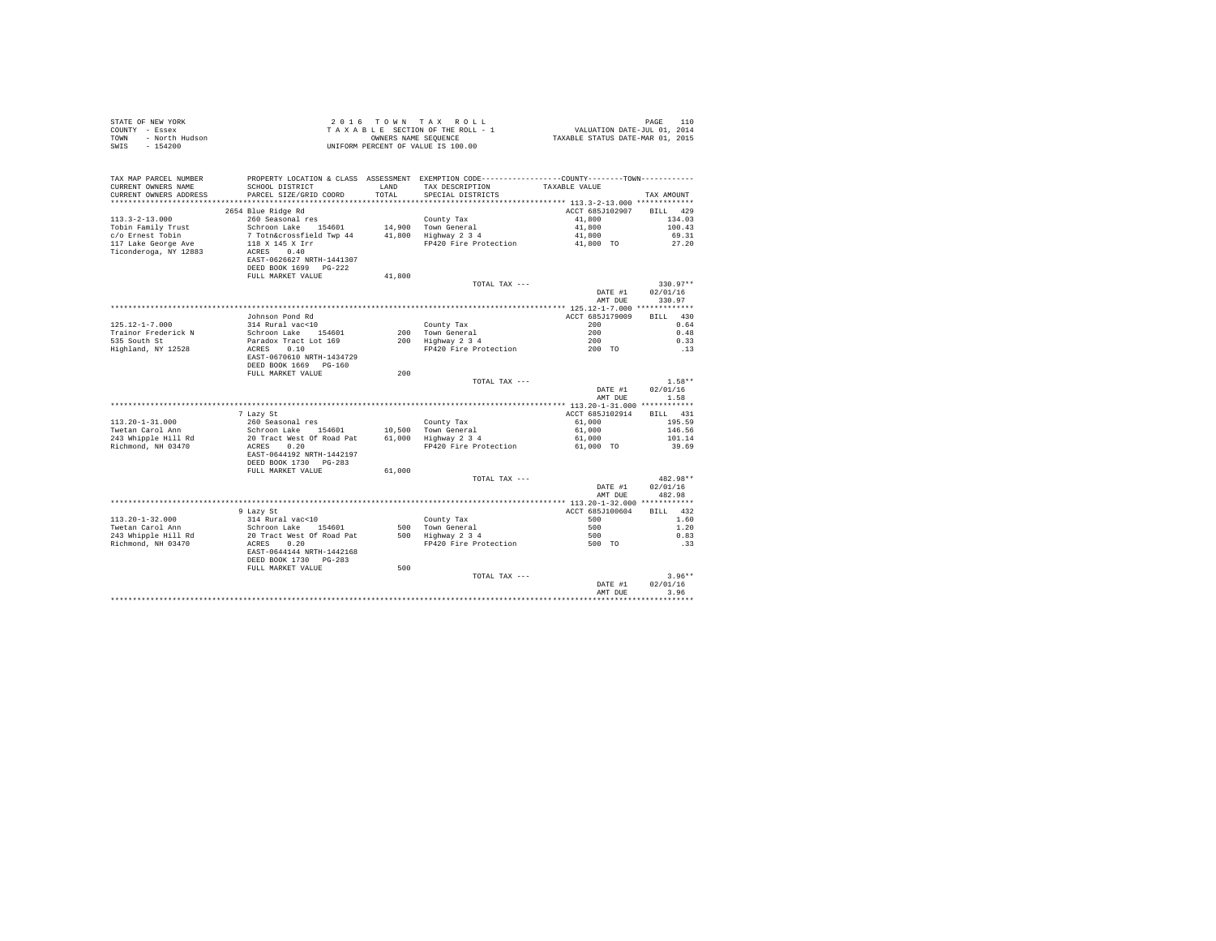| STATE OF NEW YORK<br>COUNTY - Essex<br>- North Hudson<br>TOWN<br>$-154200$<br>SWIS |                                                                  | OWNERS NAME SEQUENCE | 2016 TOWN TAX ROLL<br>TAXABLE SECTION OF THE ROLL - 1<br>UNIFORM PERCENT OF VALUE IS 100.00                                           | VALUATION DATE-JUL 01, 2014<br>TAXABLE STATUS DATE-MAR 01, 2015 | PAGE<br>110          |
|------------------------------------------------------------------------------------|------------------------------------------------------------------|----------------------|---------------------------------------------------------------------------------------------------------------------------------------|-----------------------------------------------------------------|----------------------|
| TAX MAP PARCEL NUMBER<br>CURRENT OWNERS NAME<br>CURRENT OWNERS ADDRESS             | SCHOOL DISTRICT<br>PARCEL SIZE/GRID COORD                        | LAND<br>TOTAL        | PROPERTY LOCATION & CLASS ASSESSMENT EXEMPTION CODE---------------COUNTY-------TOWN----------<br>TAX DESCRIPTION<br>SPECIAL DISTRICTS | TAXABLE VALUE                                                   | TAX AMOUNT           |
|                                                                                    | 2654 Blue Ridge Rd                                               |                      |                                                                                                                                       | ACCT 685J102907                                                 | BILL 429             |
| $113.3 - 2 - 13.000$                                                               | 260 Seasonal res                                                 |                      | County Tax                                                                                                                            | 41,800                                                          | 134.03               |
| Tobin Family Trust                                                                 | Schroon Lake 154601                                              |                      | 14,900 Town General                                                                                                                   | 41,800                                                          | 100.43               |
| c/o Ernest Tobin                                                                   | 7 Totn&crossfield Twp 44                                         |                      | 41,800 Highway 2 3 4                                                                                                                  | 41,800                                                          | 69.31                |
| 117 Lake George Ave                                                                | 118 X 145 X Irr                                                  |                      | FP420 Fire Protection                                                                                                                 | 41,800 TO                                                       | 27.20                |
| Ticonderoga, NY 12883                                                              | ACRES 0.40<br>EAST-0626627 NRTH-1441307<br>DEED BOOK 1699 PG-222 |                      |                                                                                                                                       |                                                                 |                      |
|                                                                                    | FULL MARKET VALUE                                                | 41,800               |                                                                                                                                       |                                                                 |                      |
|                                                                                    |                                                                  |                      | TOTAL TAX ---                                                                                                                         |                                                                 | $330.97**$           |
|                                                                                    |                                                                  |                      |                                                                                                                                       | DATE #1<br>AMT DUE                                              | 02/01/16<br>330.97   |
|                                                                                    |                                                                  |                      |                                                                                                                                       |                                                                 |                      |
| 125.12-1-7.000                                                                     | Johnson Pond Rd<br>314 Rural vac<10                              |                      | County Tax                                                                                                                            | ACCT 685J179009<br>200                                          | BILL 430<br>0.64     |
| Trainor Frederick N                                                                | Schroon Lake 154601                                              |                      |                                                                                                                                       | 200                                                             | 0.48                 |
| 535 South St                                                                       | Paradox Tract Lot 169                                            |                      | 200 Town General<br>200 Highway 2 3 4                                                                                                 | 200                                                             | 0.33                 |
| Highland, NY 12528                                                                 | ACRES 0.10                                                       |                      | FP420 Fire Protection                                                                                                                 | 200 TO                                                          | . 13                 |
|                                                                                    | EAST-0670610 NRTH-1434729<br>DEED BOOK 1669 PG-160               |                      |                                                                                                                                       |                                                                 |                      |
|                                                                                    | FULL MARKET VALUE                                                | 200                  |                                                                                                                                       |                                                                 |                      |
|                                                                                    |                                                                  |                      | TOTAL TAX ---                                                                                                                         | DATE #1                                                         | $1.58**$<br>02/01/16 |
|                                                                                    |                                                                  |                      |                                                                                                                                       | AMT DUE                                                         | 1.58                 |
|                                                                                    |                                                                  |                      |                                                                                                                                       |                                                                 |                      |
|                                                                                    | 7 Lazy St                                                        |                      |                                                                                                                                       | ACCT 685J102914                                                 | BILL 431             |
| $113.20 - 1 - 31.000$                                                              | 260 Seasonal res                                                 |                      | County Tax                                                                                                                            | 61,000                                                          | 195.59               |
| Twetan Carol Ann                                                                   | Schroon Lake 154601                                              | 10,500<br>61,000     | Town General<br>Highway 2 3 4                                                                                                         | 61,000                                                          | 146.56               |
| 243 Whipple Hill Rd<br>Richmond, NH 03470                                          | 20 Tract West Of Road Pat<br>ACRES 0.20                          |                      | FP420 Fire Protection                                                                                                                 | 61,000<br>61,000 TO                                             | 101.14<br>39.69      |
|                                                                                    | EAST-0644192 NRTH-1442197<br>DEED BOOK 1730 PG-283               |                      |                                                                                                                                       |                                                                 |                      |
|                                                                                    | FULL MARKET VALUE                                                | 61,000               |                                                                                                                                       |                                                                 |                      |
|                                                                                    |                                                                  |                      | TOTAL TAX ---                                                                                                                         |                                                                 | 482.98**             |
|                                                                                    |                                                                  |                      |                                                                                                                                       | DATE #1<br>AMT DUE                                              | 02/01/16<br>482.98   |
|                                                                                    |                                                                  |                      |                                                                                                                                       |                                                                 |                      |
| $113.20 - 1 - 32.000$                                                              | 9 Lazy St<br>314 Rural vac<10                                    |                      | County Tax                                                                                                                            | ACCT 685J100604<br>500                                          | BILL 432<br>1.60     |
| Twetan Carol Ann                                                                   | Schroon Lake 154601                                              |                      |                                                                                                                                       | 500                                                             | 1.20                 |
| 243 Whipple Hill Rd                                                                | 20 Tract West Of Road Pat                                        |                      | 500 Town General<br>500 Highway 2 3 4                                                                                                 | 500                                                             | 0.83                 |
| Richmond, NH 03470                                                                 | ACRES 0.20                                                       |                      | FP420 Fire Protection                                                                                                                 | 500 TO                                                          | .33                  |
|                                                                                    | EAST-0644144 NRTH-1442168<br>DEED BOOK 1730 PG-283               |                      |                                                                                                                                       |                                                                 |                      |
|                                                                                    | FULL MARKET VALUE                                                | 500                  |                                                                                                                                       |                                                                 |                      |
|                                                                                    |                                                                  |                      | TOTAL TAX ---                                                                                                                         |                                                                 | $3.96**$             |
|                                                                                    |                                                                  |                      |                                                                                                                                       | DATE #1<br>AMT DUE                                              | 02/01/16<br>3.96     |
|                                                                                    |                                                                  |                      |                                                                                                                                       |                                                                 |                      |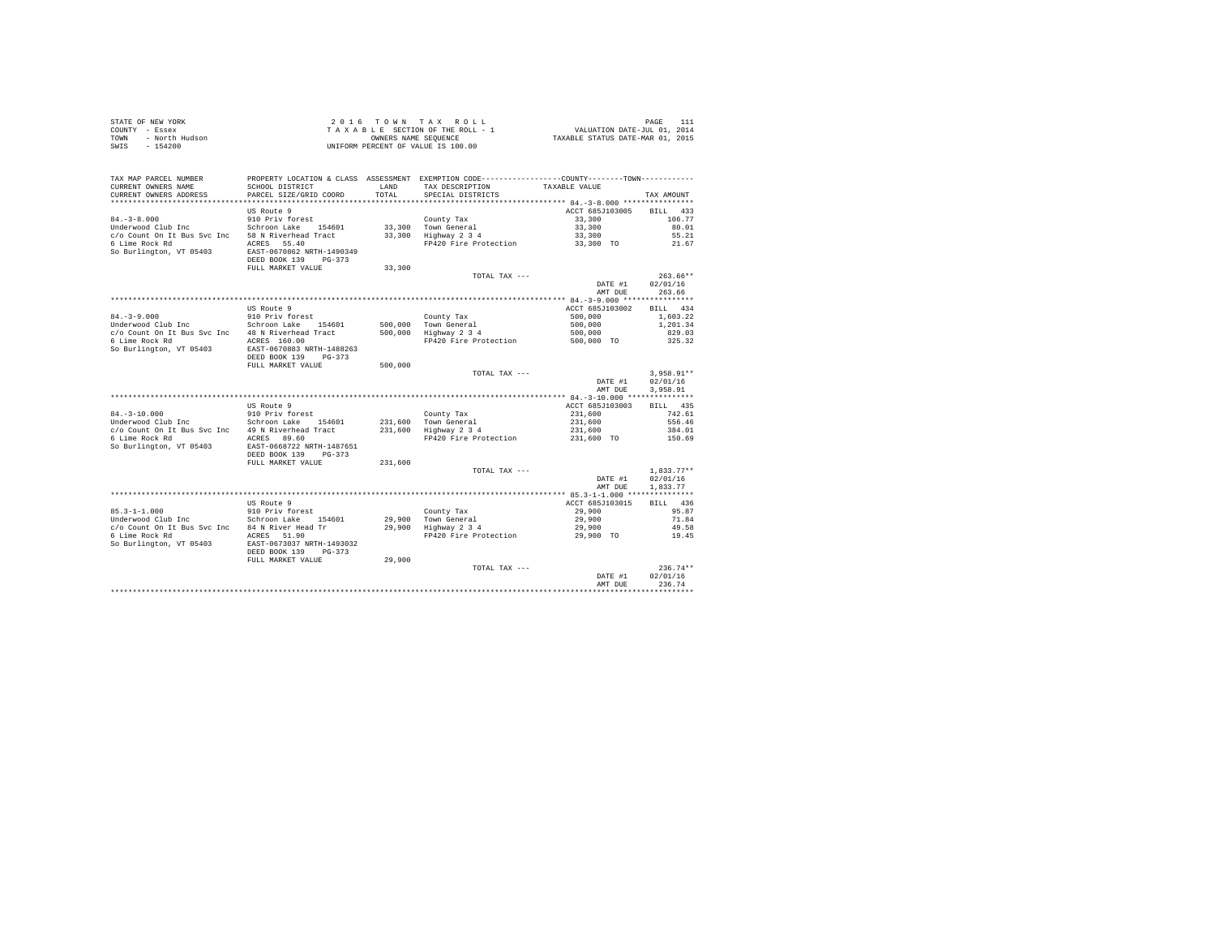|      | STATE OF NEW YORK | 2016 TOWN TAX ROLL                 | PAGE                             |
|------|-------------------|------------------------------------|----------------------------------|
|      | COUNTY - Essex    | TAXABLE SECTION OF THE ROLL - 1    | VALUATION DATE-JUL 01, 2014      |
| TOWN | - North Hudson    | OWNERS NAME SEOUENCE               | TAXABLE STATUS DATE-MAR 01, 2015 |
| SWIS | - 154200          | UNIFORM PERCENT OF VALUE IS 100.00 |                                  |

| TAX MAP PARCEL NUMBER<br>CURRENT OWNERS NAME<br>CURRENT OWNERS ADDRESS | SCHOOL DISTRICT<br>PARCEL SIZE/GRID COORD                                                  | LAND<br>TOTAL    | PROPERTY LOCATION & CLASS ASSESSMENT EXEMPTION CODE---------------COUNTY-------TOWN---------<br>TAX DESCRIPTION<br>SPECIAL DISTRICTS | TAXABLE VALUE                             | TAX AMOUNT                       |
|------------------------------------------------------------------------|--------------------------------------------------------------------------------------------|------------------|--------------------------------------------------------------------------------------------------------------------------------------|-------------------------------------------|----------------------------------|
|                                                                        |                                                                                            |                  |                                                                                                                                      |                                           |                                  |
| $84. - 3 - 8.000$                                                      | US Route 9<br>910 Priv forest                                                              |                  | County Tax                                                                                                                           | ACCT 685J103005<br>33,300                 | 433<br><b>BILL</b><br>106.77     |
| Underwood Club Inc<br>c/o Count On It Bus Svc Inc                      | Schroon Lake 154601<br>58 N Riverhead Tract                                                | 33,300<br>33,300 | Town General<br>Highway 2 3 4                                                                                                        | 33,300<br>33,300                          | 80.01<br>55.21                   |
| 6 Lime Rock Rd<br>So Burlington, VT 05403                              | ACRES 55.40<br>EAST-0670862 NRTH-1490349<br>DEED BOOK 139<br>$PG-373$<br>FULL MARKET VALUE | 33,300           | FP420 Fire Protection                                                                                                                | 33,300 TO                                 | 21.67                            |
|                                                                        |                                                                                            |                  | TOTAL TAX ---                                                                                                                        | DATE #1<br>AMT DUE                        | $263.66**$<br>02/01/16<br>263.66 |
|                                                                        |                                                                                            |                  |                                                                                                                                      | ************ 84.-3-9.000 **************** |                                  |
|                                                                        | US Route 9                                                                                 |                  |                                                                                                                                      | ACCT 685J103002                           | <b>BILL</b><br>434               |
| $84. - 3 - 9.000$                                                      | 910 Priv forest                                                                            |                  | County Tax                                                                                                                           | 500,000                                   | 1,603.22                         |
| Underwood Club Inc                                                     | Schroon Lake<br>154601                                                                     | 500,000          | Town General                                                                                                                         | 500,000                                   | 1,201.34                         |
| c/o Count On It Bus Svc Inc                                            | 48 N Riverhead Tract                                                                       | 500,000          | Highway 2 3 4                                                                                                                        | 500,000                                   | 829.03                           |
| 6 Lime Rock Rd<br>So Burlington, VT 05403                              | ACRES 160.00<br>EAST-0670883 NRTH-1488263<br>DEED BOOK 139<br>$PG-373$                     |                  | FP420 Fire Protection                                                                                                                | 500,000 TO                                | 325.32                           |
|                                                                        | FULL MARKET VALUE                                                                          | 500,000          |                                                                                                                                      |                                           |                                  |
|                                                                        |                                                                                            |                  | TOTAL TAX ---                                                                                                                        |                                           | $3,958.91**$                     |
|                                                                        |                                                                                            |                  |                                                                                                                                      | DATE #1                                   | 02/01/16                         |
|                                                                        |                                                                                            |                  |                                                                                                                                      | AMT DUE                                   | 3.958.91                         |
|                                                                        |                                                                                            |                  |                                                                                                                                      |                                           |                                  |
|                                                                        | US Route 9                                                                                 |                  |                                                                                                                                      | ACCT 685J103003                           | BILL 435                         |
| $84. - 3 - 10.000$                                                     | 910 Priv forest                                                                            |                  | County Tax                                                                                                                           | 231,600                                   | 742.61                           |
| Underwood Club Inc                                                     | Schroon Lake<br>154601                                                                     | 231,600          | Town General                                                                                                                         | 231,600                                   | 556.46                           |
| c/o Count On It Bus Svc Inc                                            | 49 N Riverhead Tract                                                                       | 231,600          | Highway 2 3 4                                                                                                                        | 231,600                                   | 384.01                           |
| 6 Lime Rock Rd<br>So Burlington, VT 05403                              | ACRES 89.60<br>EAST-0668722 NRTH-1487651<br>DEED BOOK 139<br>$PG-373$                      |                  | FP420 Fire Protection                                                                                                                | 231,600 TO                                | 150.69                           |
|                                                                        | FULL MARKET VALUE                                                                          | 231,600          |                                                                                                                                      |                                           |                                  |
|                                                                        |                                                                                            |                  | TOTAL TAX ---                                                                                                                        |                                           | $1.833.77**$                     |
|                                                                        |                                                                                            |                  |                                                                                                                                      | DATE #1<br>AMT DUE                        | 02/01/16<br>1,833.77             |
|                                                                        | US Route 9                                                                                 |                  |                                                                                                                                      | ACCT 685J103015                           | 436                              |
|                                                                        |                                                                                            |                  |                                                                                                                                      |                                           | <b>BILL</b>                      |
| $85.3 - 1 - 1.000$<br>Underwood Club Inc                               | 910 Priv forest<br>Schroon Lake<br>154601                                                  | 29,900           | County Tax<br>Town General                                                                                                           | 29,900<br>29,900                          | 95.87<br>71.84                   |
| c/o Count On It Bus Svc Inc                                            | 84 N River Head Tr                                                                         | 29,900           | Highway 2 3 4                                                                                                                        | 29,900                                    | 49.58                            |
| 6 Lime Rock Rd                                                         | ACRES 51.90                                                                                |                  | FP420 Fire Protection                                                                                                                | 29,900 TO                                 | 19.45                            |
| So Burlington, VT 05403                                                | EAST-0673037 NRTH-1493032<br>DEED BOOK 139<br>$PG-373$                                     |                  |                                                                                                                                      |                                           |                                  |
|                                                                        | FULL MARKET VALUE                                                                          | 29,900           |                                                                                                                                      |                                           |                                  |
|                                                                        |                                                                                            |                  | TOTAL TAX ---                                                                                                                        |                                           | $236.74**$                       |
|                                                                        |                                                                                            |                  |                                                                                                                                      | DATE #1                                   | 02/01/16                         |
|                                                                        |                                                                                            |                  |                                                                                                                                      | AMT DUE                                   | 236.74                           |
|                                                                        |                                                                                            |                  |                                                                                                                                      |                                           |                                  |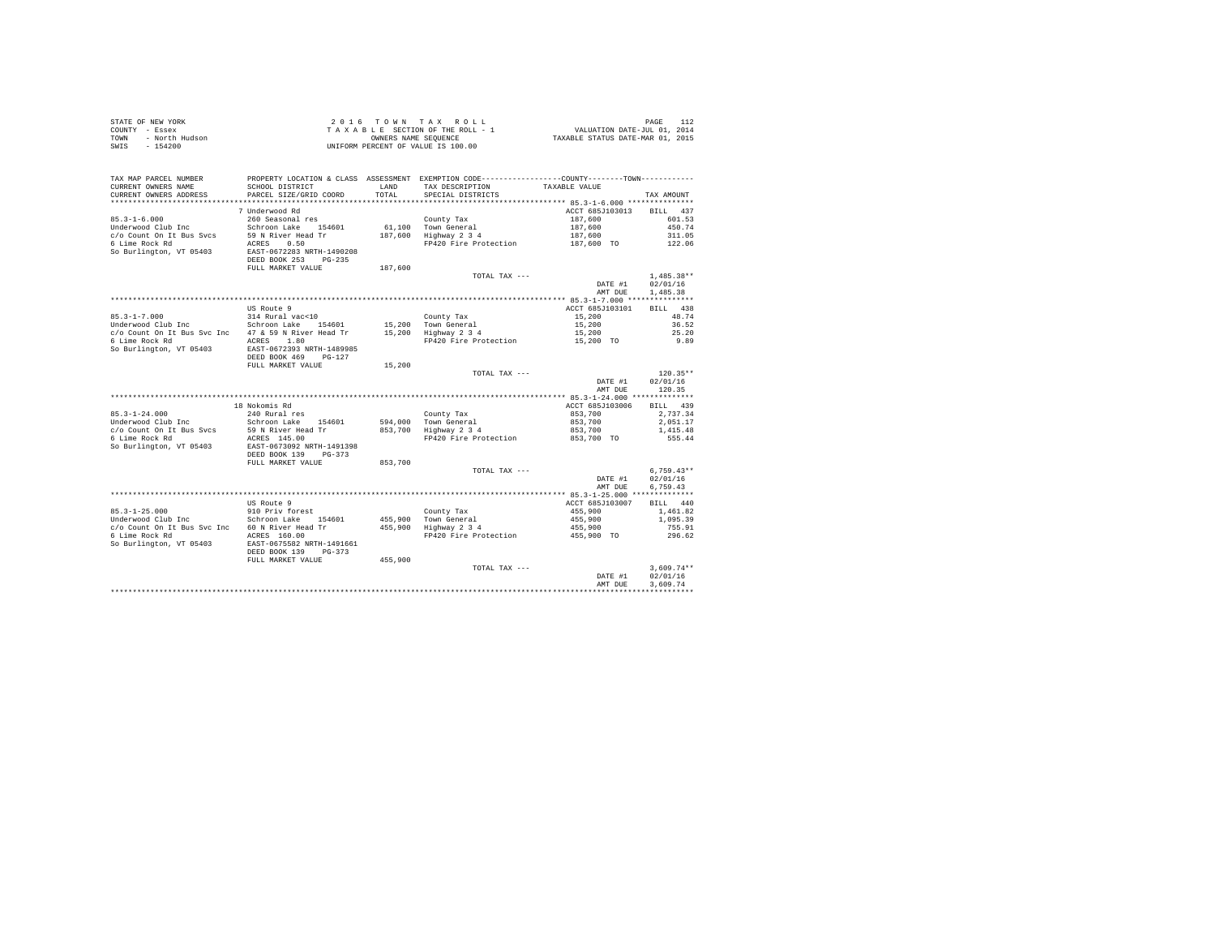| STATE OF NEW YORK      | 2016 TOWN TAX ROLL                 | 112<br>PAGE                      |
|------------------------|------------------------------------|----------------------------------|
| COUNTY - Essex         | TAXABLE SECTION OF THE ROLL - 1    | VALUATION DATE-JUL 01, 2014      |
| TOWN<br>- North Hudson | OWNERS NAME SEOUENCE               | TAXABLE STATUS DATE-MAR 01, 2015 |
| $-154200$<br>SWIS      | UNIFORM PERCENT OF VALUE IS 100.00 |                                  |

| TAX MAP PARCEL NUMBER<br>CURRENT OWNERS NAME | PROPERTY LOCATION & CLASS ASSESSMENT EXEMPTION CODE---------------COUNTY-------TOWN---------<br>SCHOOL DISTRICT | LAND    | TAX DESCRIPTION                    | TAXABLE VALUE                              |                    |
|----------------------------------------------|-----------------------------------------------------------------------------------------------------------------|---------|------------------------------------|--------------------------------------------|--------------------|
| CURRENT OWNERS ADDRESS                       | PARCEL SIZE/GRID COORD                                                                                          | TOTAL.  | SPECIAL DISTRICTS                  |                                            | TAX AMOUNT         |
|                                              |                                                                                                                 |         |                                    |                                            |                    |
|                                              | 7 Underwood Rd                                                                                                  |         |                                    | ACCT 685J103013                            | 437<br><b>BILL</b> |
| $85.3 - 1 - 6.000$                           | 260 Seasonal res                                                                                                |         | County Tax                         | 187,600                                    | 601.53             |
| Underwood Club Inc                           | Schroon Lake 154601                                                                                             | 61,100  | Town General                       | 187,600                                    | 450.74             |
| c/o Count On It Bus Sycs                     | 59 N River Head Tr                                                                                              | 187,600 | Highway 2 3 4                      | 187,600                                    | 311.05             |
| 6 Lime Rock Rd<br>So Burlington, VT 05403    | ACRES<br>0.50<br>EAST-0672283 NRTH-1490208<br>DEED BOOK 253<br>$PG-235$<br>FULL MARKET VALUE                    | 187,600 | FP420 Fire Protection              | 187,600 TO                                 | 122.06             |
|                                              |                                                                                                                 |         | TOTAL TAX ---                      |                                            | $1.485.38**$       |
|                                              |                                                                                                                 |         |                                    | DATE #1                                    | 02/01/16           |
|                                              |                                                                                                                 |         |                                    | AMT DUE                                    | 1,485.38           |
|                                              |                                                                                                                 |         |                                    | ************* 85.3-1-7.000 *************** |                    |
|                                              | US Route 9                                                                                                      |         |                                    | ACCT 685J103101                            | BILL 438           |
| $85.3 - 1 - 7.000$                           | 314 Rural vac<10                                                                                                |         | County Tax                         | 15,200                                     | 48.74              |
| Underwood Club Inc                           | Schroon Lake<br>154601                                                                                          |         | 15,200 Town General                | 15,200                                     | 36.52              |
| c/o Count On It Bus Svc Inc                  | 47 & 59 N River Head Tr                                                                                         | 15,200  | $Highway$ 2 3 4                    | 15,200                                     | 25.20              |
| 6 Lime Rock Rd                               | 1.80<br>ACRES                                                                                                   |         | FP420 Fire Protection              | 15,200 TO                                  | 9.89               |
| So Burlington, VT 05403                      | EAST-0672393 NRTH-1489985                                                                                       |         |                                    |                                            |                    |
|                                              | DEED BOOK 469<br>$PG-127$                                                                                       |         |                                    |                                            |                    |
|                                              | FULL MARKET VALUE                                                                                               | 15,200  | TOTAL TAX ---                      |                                            | $120.35**$         |
|                                              |                                                                                                                 |         |                                    | DATE #1                                    | 02/01/16           |
|                                              |                                                                                                                 |         |                                    | AMT DUE                                    | 120.35             |
|                                              |                                                                                                                 |         |                                    |                                            |                    |
|                                              | 18 Nokomis Rd                                                                                                   |         |                                    | ACCT 685J103006                            | 439<br><b>BILL</b> |
| $85.3 - 1 - 24.000$                          | 240 Rural res                                                                                                   |         | County Tax                         | 853,700                                    | 2.737.34           |
| Underwood Club Inc                           | Schroon Lake<br>154601                                                                                          | 594,000 | Town General                       | 853,700                                    | 2,051.17           |
| c/o Count On It Bus Sycs                     | 59 N River Head Tr                                                                                              | 853,700 | Highway 2 3 4                      | 853,700                                    | 1,415.48           |
| 6 Lime Rock Rd                               | ACRES 145.00                                                                                                    |         | FP420 Fire Protection              | 853,700 TO                                 | 555.44             |
| So Burlington, VT 05403                      | EAST-0673092 NRTH-1491398<br>DEED BOOK 139<br>$PG-373$                                                          |         |                                    |                                            |                    |
|                                              | FULL MARKET VALUE                                                                                               | 853,700 |                                    |                                            |                    |
|                                              |                                                                                                                 |         | TOTAL TAX ---                      |                                            | $6.759.43**$       |
|                                              |                                                                                                                 |         |                                    | DATE #1                                    | 02/01/16           |
|                                              |                                                                                                                 |         |                                    | AMT DUE                                    | 6,759.43           |
|                                              | US Route 9                                                                                                      |         |                                    | ACCT 685J103007                            | BILL 440           |
| $85.3 - 1 - 25.000$                          | 910 Priv forest                                                                                                 |         |                                    | 455,900                                    | 1,461.82           |
| Underwood Club Inc                           | Schroon Lake<br>154601                                                                                          |         | County Tax<br>455,900 Town General | 455,900                                    | 1,095.39           |
| c/o Count On It Bus Svc Inc                  | 60 N River Head Tr                                                                                              |         | 455,900 Highway 2 3 4              | 455,900                                    | 755.91             |
| 6 Lime Rock Rd                               | ACRES 160.00                                                                                                    |         | FP420 Fire Protection              | 455,900 TO                                 | 296.62             |
| So Burlington, VT 05403                      | EAST-0675582 NRTH-1491661<br>DEED BOOK 139<br>$PG-373$                                                          |         |                                    |                                            |                    |
|                                              | FULL MARKET VALUE                                                                                               | 455,900 |                                    |                                            |                    |
|                                              |                                                                                                                 |         | TOTAL TAX ---                      |                                            | $3.609.74**$       |
|                                              |                                                                                                                 |         |                                    | DATE #1                                    | 02/01/16           |
|                                              |                                                                                                                 |         |                                    | AMT DUE                                    | 3,609.74           |
|                                              |                                                                                                                 |         |                                    |                                            |                    |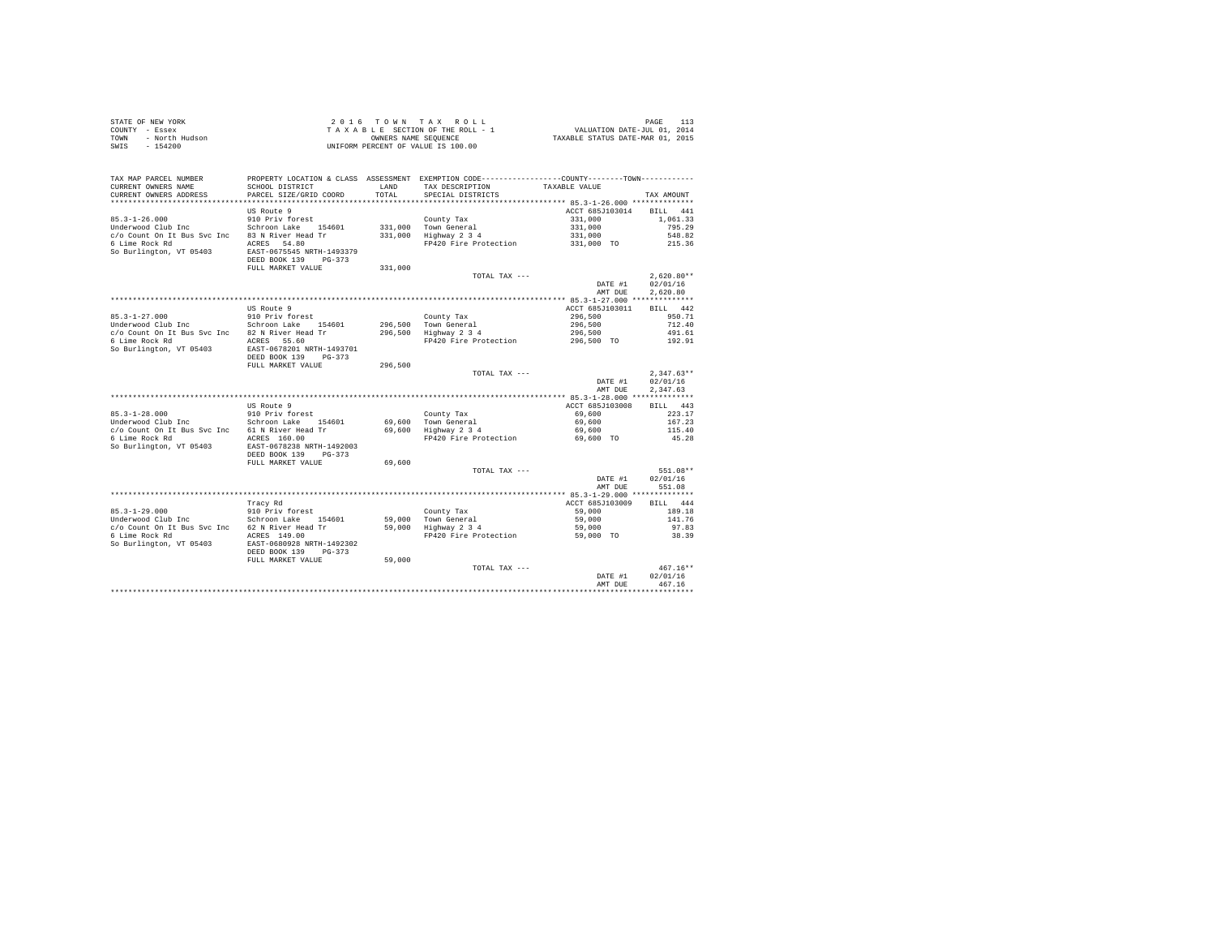| STATE OF NEW YORK      | 2016 TOWN TAX ROLL                 | PAGE                             |
|------------------------|------------------------------------|----------------------------------|
| COUNTY - Essex         | TAXABLE SECTION OF THE ROLL - 1    | VALUATION DATE-JUL 01, 2014      |
| TOWN<br>- North Hudson | OWNERS NAME SEOUENCE               | TAXABLE STATUS DATE-MAR 01, 2015 |
| - 154200<br>SWIS       | UNIFORM PERCENT OF VALUE IS 100.00 |                                  |

| TAX MAP PARCEL NUMBER<br>CURRENT OWNERS NAME   | SCHOOL DISTRICT                                                                            | LAND    | PROPERTY LOCATION & CLASS ASSESSMENT EXEMPTION CODE---------------COUNTY-------TOWN----------<br>TAX DESCRIPTION | TAXABLE VALUE                        |                    |
|------------------------------------------------|--------------------------------------------------------------------------------------------|---------|------------------------------------------------------------------------------------------------------------------|--------------------------------------|--------------------|
| CURRENT OWNERS ADDRESS                         | PARCEL SIZE/GRID COORD                                                                     | TOTAL   | SPECIAL DISTRICTS                                                                                                |                                      | TAX AMOUNT         |
| *************************                      | *******************************                                                            |         |                                                                                                                  |                                      |                    |
|                                                | US Route 9                                                                                 |         |                                                                                                                  | ACCT 685J103014                      | 441<br><b>BILL</b> |
| $85.3 - 1 - 26.000$                            | 910 Priv forest                                                                            |         | County Tax                                                                                                       | 331,000                              | 1,061.33           |
| Underwood Club Inc                             | Schroon Lake 154601                                                                        |         | 331,000 Town General                                                                                             | 331,000                              | 795.29             |
| c/o Count On It Bus Syc Inc                    | 83 N River Head Tr                                                                         | 331,000 | Highway 2 3 4                                                                                                    | 331,000                              | 548.82             |
| 6 Lime Rock Rd<br>So Burlington, VT 05403      | ACRES 54.80<br>EAST-0675545 NRTH-1493379<br>DEED BOOK 139<br>$PG-373$<br>FULL MARKET VALUE | 331,000 | FP420 Fire Protection                                                                                            | 331,000 TO                           | 215.36             |
|                                                |                                                                                            |         | TOTAL TAX ---                                                                                                    |                                      | $2.620.80**$       |
|                                                |                                                                                            |         |                                                                                                                  | DATE #1                              | 02/01/16           |
|                                                |                                                                                            |         |                                                                                                                  | AMT DUE                              | 2,620.80           |
|                                                |                                                                                            |         |                                                                                                                  |                                      |                    |
|                                                | US Route 9                                                                                 |         |                                                                                                                  | ACCT 685J103011                      | BILL 442           |
| $85.3 - 1 - 27.000$                            | 910 Priv forest                                                                            |         | County Tax                                                                                                       | 296,500                              | 950.71             |
| Underwood Club Inc                             | Schroon Lake 154601                                                                        |         | 296.500 Town General                                                                                             | 296,500                              | 712.40             |
| c/o Count On It Bus Svc Inc 82 N River Head Tr |                                                                                            | 296,500 | Highway 2 3 4                                                                                                    | 296,500                              | 491.61             |
| 6 Lime Rock Rd                                 | ACRES 55.60                                                                                |         | FP420 Fire Protection                                                                                            | 296,500 TO                           | 192.91             |
| So Burlington, VT 05403                        | EAST-0678201 NRTH-1493701<br>DEED BOOK 139<br>$PG-373$                                     |         |                                                                                                                  |                                      |                    |
|                                                | FULL MARKET VALUE                                                                          | 296,500 |                                                                                                                  |                                      |                    |
|                                                |                                                                                            |         | TOTAL TAX ---                                                                                                    |                                      | $2,347.63**$       |
|                                                |                                                                                            |         |                                                                                                                  | DATE #1                              | 02/01/16           |
|                                                |                                                                                            |         |                                                                                                                  | AMT DUE                              | 2,347.63           |
|                                                |                                                                                            |         |                                                                                                                  |                                      |                    |
|                                                | US Route 9                                                                                 |         |                                                                                                                  | ACCT 685J103008                      | BILL 443           |
| $85.3 - 1 - 28.000$                            | 910 Priv forest                                                                            |         | County Tax                                                                                                       | 69,600                               | 223.17             |
| Underwood Club Inc                             | Schroon Lake 154601                                                                        | 69,600  | Town General                                                                                                     | 69,600                               | 167.23             |
| c/o Count On It Bus Svc Inc                    | 61 N River Head Tr                                                                         | 69,600  | Highway 2 3 4                                                                                                    | 69,600                               | 115.40             |
| 6 Lime Rock Rd<br>So Burlington, VT 05403      | ACRES 160.00<br>EAST-0678238 NRTH-1492003<br>DEED BOOK 139<br>$PG-373$                     |         | FP420 Fire Protection                                                                                            | 69,600 TO                            | 45.28              |
|                                                | FULL MARKET VALUE                                                                          | 69,600  |                                                                                                                  |                                      |                    |
|                                                |                                                                                            |         | TOTAL TAX ---                                                                                                    |                                      | 551.08**           |
|                                                |                                                                                            |         |                                                                                                                  | DATE #1                              | 02/01/16           |
|                                                |                                                                                            |         |                                                                                                                  | AMT DUE                              | 551.08             |
|                                                |                                                                                            |         |                                                                                                                  |                                      |                    |
|                                                | Tracy Rd                                                                                   |         |                                                                                                                  | ACCT 685J103009                      | <b>BILL</b><br>444 |
| $85.3 - 1 - 29.000$                            | 910 Priv forest                                                                            |         | County Tax                                                                                                       | 59,000                               | 189.18             |
| Underwood Club Inc                             | Schroon Lake<br>154601                                                                     |         | 59,000 Town General                                                                                              | 59,000                               | 141.76             |
| c/o Count On It Bus Svc Inc 62 N River Head Tr |                                                                                            |         | 59,000 Highway 2 3 4                                                                                             | 59,000                               | 97.83              |
| 6 Lime Rock Rd                                 | ACRES 149.00                                                                               |         | FP420 Fire Protection                                                                                            | 59,000 TO                            | 38.39              |
| So Burlington, VT 05403                        | EAST-0680928 NRTH-1492302<br>DEED BOOK 139<br>$PG-373$<br>FULL MARKET VALUE                | 59,000  |                                                                                                                  |                                      |                    |
|                                                |                                                                                            |         | TOTAL TAX ---                                                                                                    |                                      | $467.16**$         |
|                                                |                                                                                            |         |                                                                                                                  | DATE #1                              | 02/01/16           |
|                                                |                                                                                            |         |                                                                                                                  | AMT DUE                              | 467.16             |
|                                                |                                                                                            |         |                                                                                                                  | ************************************ |                    |
|                                                |                                                                                            |         |                                                                                                                  |                                      |                    |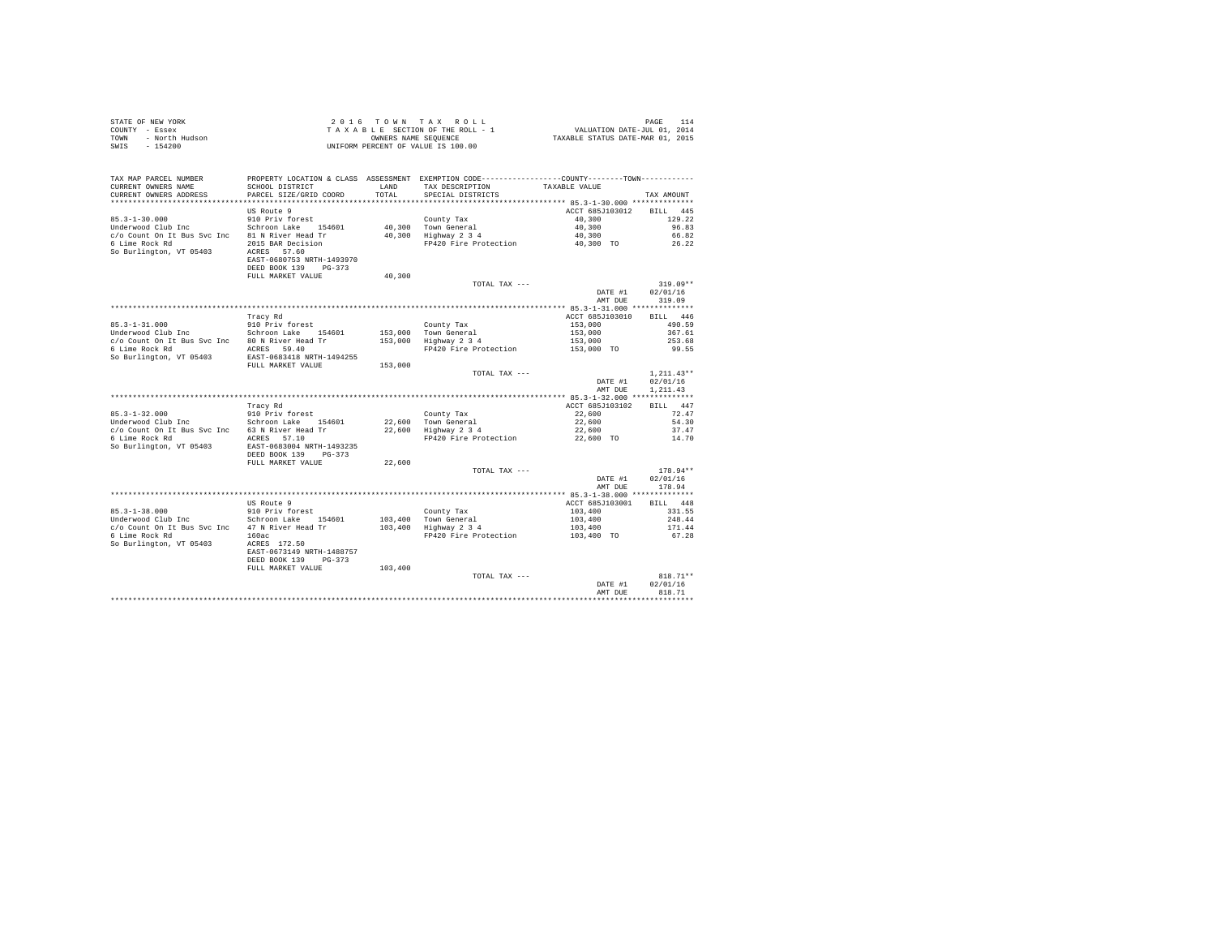| STATE OF NEW YORK      | 2016 TOWN TAX ROLL                 | PAGE 114                         |
|------------------------|------------------------------------|----------------------------------|
| COUNTY - Essex         | TAXABLE SECTION OF THE ROLL - 1    | VALUATION DATE-JUL 01, 2014      |
| TOWN<br>- North Hudson | OWNERS NAME SEOUENCE               | TAXABLE STATUS DATE-MAR 01, 2015 |
| - 154200<br>SWIS       | UNIFORM PERCENT OF VALUE IS 100.00 |                                  |

| TAX MAP PARCEL NUMBER<br>CURRENT OWNERS NAME | PROPERTY LOCATION & CLASS ASSESSMENT EXEMPTION CODE---------------COUNTY-------TOWN----------<br>SCHOOL DISTRICT | <b>T.AND</b> | TAX DESCRIPTION            | TAXABLE VALUE                                                |                    |
|----------------------------------------------|------------------------------------------------------------------------------------------------------------------|--------------|----------------------------|--------------------------------------------------------------|--------------------|
| CURRENT OWNERS ADDRESS                       | PARCEL SIZE/GRID COORD<br>***************************                                                            | TOTAL        | SPECIAL DISTRICTS          |                                                              | TAX AMOUNT         |
|                                              | <b>US Route 9</b>                                                                                                |              |                            | ACCT 685J103012                                              | <b>BILL</b><br>445 |
| $85.3 - 1 - 30.000$                          | 910 Priv forest                                                                                                  |              | County Tax                 | 40,300                                                       | 129.22             |
| Underwood Club Inc                           | Schroon Lake<br>154601                                                                                           | 40,300       | Town General               | 40,300                                                       | 96.83              |
| c/o Count On It Bus Syc Inc                  | 81 N River Head Tr                                                                                               | 40,300       | Highway 2 3 4              | 40,300                                                       | 66.82              |
| 6 Lime Rock Rd                               | 2015 BAR Decision                                                                                                |              | FP420 Fire Protection      | 40,300 TO                                                    | 26.22              |
| So Burlington, VT 05403                      | ACRES 57.60                                                                                                      |              |                            |                                                              |                    |
|                                              | EAST-0680753 NRTH-1493970                                                                                        |              |                            |                                                              |                    |
|                                              | DEED BOOK 139<br>$PG-373$                                                                                        |              |                            |                                                              |                    |
|                                              | FULL MARKET VALUE                                                                                                | 40,300       |                            |                                                              |                    |
|                                              |                                                                                                                  |              | TOTAL TAX ---              |                                                              | $319.09**$         |
|                                              |                                                                                                                  |              |                            | DATE #1                                                      | 02/01/16           |
|                                              |                                                                                                                  |              |                            | AMT DUE                                                      | 319.09             |
|                                              |                                                                                                                  |              |                            | ************ 85.3-1-31.000 **************                    |                    |
|                                              | Tracy Rd                                                                                                         |              |                            | ACCT 685J103010                                              | <b>BILL</b><br>446 |
| $85.3 - 1 - 31.000$                          | 910 Priv forest                                                                                                  |              | County Tax                 | 153,000                                                      | 490.59             |
| Underwood Club Inc                           | Schroon Lake 154601                                                                                              | 153,000      | Town General               | 153,000                                                      | 367.61             |
| c/o Count On It Bus Svc Inc                  | 80 N River Head Tr                                                                                               | 153,000      | Highway 2 3 4              | 153,000                                                      | 253.68             |
| 6 Lime Rock Rd                               | ACRES 59.40                                                                                                      |              | FP420 Fire Protection      | 153,000 TO                                                   | 99.55              |
| So Burlington, VT 05403                      | EAST-0683418 NRTH-1494255<br>FULL MARKET VALUE                                                                   | 153,000      |                            |                                                              |                    |
|                                              |                                                                                                                  |              | TOTAL TAX ---              |                                                              | $1,211.43**$       |
|                                              |                                                                                                                  |              |                            | DATE #1                                                      | 02/01/16           |
|                                              |                                                                                                                  |              |                            | AMT DUE                                                      | 1,211.43           |
|                                              |                                                                                                                  |              |                            | 85.3-1-32.000 ***************                                |                    |
|                                              | Tracy Rd                                                                                                         |              |                            | ACCT 685J103102                                              | RTLL<br>447        |
| $85.3 - 1 - 32.000$                          | 910 Priv forest                                                                                                  |              | County Tax                 | 22,600                                                       | 72.47              |
| Underwood Club Inc                           | Schroon Lake<br>154601                                                                                           | 22,600       | Town General               | 22,600                                                       | 54.30              |
| c/o Count On It Bus Svc Inc                  | 63 N River Head Tr                                                                                               | 22,600       | Highway 2 3 4              | 22,600                                                       | 37.47              |
| 6 Lime Rock Rd                               | ACRES<br>57.10                                                                                                   |              | FP420 Fire Protection      | 22,600 TO                                                    | 14.70              |
| So Burlington, VT 05403                      | EAST-0683004 NRTH-1493235                                                                                        |              |                            |                                                              |                    |
|                                              | DEED BOOK 139<br>$PG-373$                                                                                        |              |                            |                                                              |                    |
|                                              | FULL MARKET VALUE                                                                                                | 22,600       |                            |                                                              |                    |
|                                              |                                                                                                                  |              | TOTAL TAX ---              |                                                              | 178.94**           |
|                                              |                                                                                                                  |              |                            | DATE #1                                                      | 02/01/16           |
|                                              |                                                                                                                  |              |                            | AMT DUE                                                      | 178.94             |
|                                              | US Route 9                                                                                                       |              |                            | ************ 85.3-1-38.000 **************<br>ACCT 685J103001 | RTLL               |
| $85.3 - 1 - 38.000$                          | 910 Priv forest                                                                                                  |              |                            | 103,400                                                      | 448<br>331.55      |
| Underwood Club Inc                           | Schroon Lake<br>154601                                                                                           | 103,400      | County Tax<br>Town General | 103,400                                                      | 248.44             |
| c/o Count On It Bus Svc Inc                  | 47 N River Head Tr                                                                                               | 103,400      | Highway 2 3 4              | 103,400                                                      | 171.44             |
| 6 Lime Rock Rd                               | 160ac                                                                                                            |              | FP420 Fire Protection      | 103,400 TO                                                   | 67.28              |
| So Burlington, VT 05403                      | ACRES 172.50                                                                                                     |              |                            |                                                              |                    |
|                                              | EAST-0673149 NRTH-1488757                                                                                        |              |                            |                                                              |                    |
|                                              | DEED BOOK 139<br>$PG-373$                                                                                        |              |                            |                                                              |                    |
|                                              | FULL MARKET VALUE                                                                                                | 103,400      |                            |                                                              |                    |
|                                              |                                                                                                                  |              | TOTAL TAX ---              |                                                              | $818.71**$         |
|                                              |                                                                                                                  |              |                            | DATE #1                                                      | 02/01/16           |
|                                              |                                                                                                                  |              |                            | AMT DUE                                                      | 818.71             |
|                                              |                                                                                                                  |              |                            |                                                              |                    |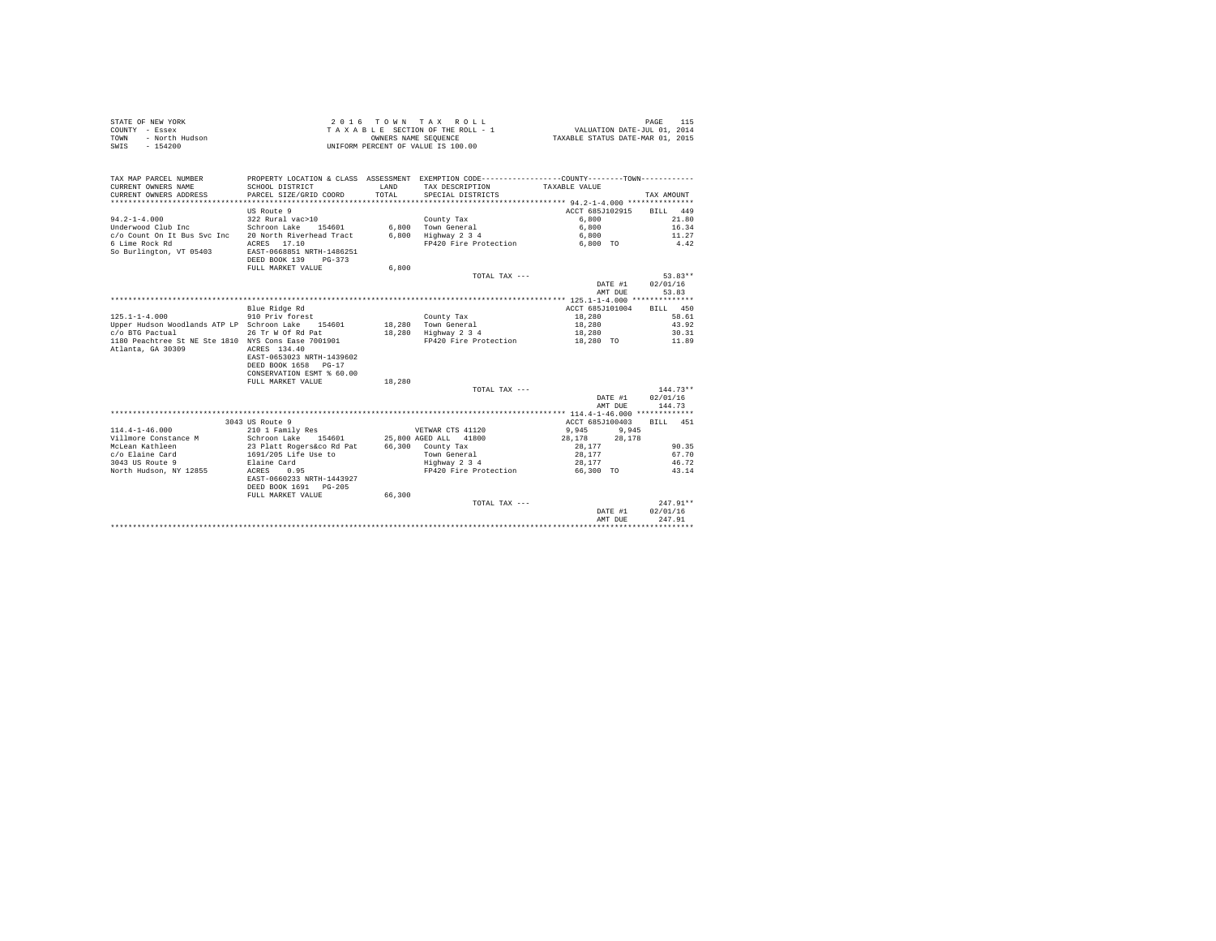| STATE OF NEW YORK      |                                    | 2016 TOWN TAX ROLL              | PAGE                             |  |
|------------------------|------------------------------------|---------------------------------|----------------------------------|--|
| COUNTY - Essex         |                                    | TAXABLE SECTION OF THE ROLL - 1 | VALUATION DATE-JUL 01, 2014      |  |
| TOWN<br>- North Hudson | OWNERS NAME SEOUENCE               |                                 | TAXABLE STATUS DATE-MAR 01, 2015 |  |
| - 154200<br>SWIS       | UNIFORM PERCENT OF VALUE IS 100.00 |                                 |                                  |  |

| TAX MAP PARCEL NUMBER<br>CURRENT OWNERS NAME<br>CURRENT OWNERS ADDRESS | PROPERTY LOCATION & CLASS ASSESSMENT EXEMPTION CODE----------------COUNTY--------TOWN----------<br>SCHOOL DISTRICT<br>PARCEL SIZE/GRID COORD | <b>T.AND</b><br>TOTAL. | TAX DESCRIPTION<br>SPECIAL DISTRICTS | TAXABLE VALUE    | TAX AMOUNT         |
|------------------------------------------------------------------------|----------------------------------------------------------------------------------------------------------------------------------------------|------------------------|--------------------------------------|------------------|--------------------|
|                                                                        | US Route 9                                                                                                                                   |                        |                                      | ACCT 685J102915  | <b>BILL</b><br>449 |
| $94.2 - 1 - 4.000$                                                     | 322 Rural vac>10                                                                                                                             |                        | County Tax                           | 6,800            | 21.80              |
| Underwood Club Inc                                                     | Schroon Lake<br>154601                                                                                                                       |                        | 6.800 Town General                   | 6,800            | 16.34              |
| c/o Count On It Bus Svc Inc                                            | 20 North Riverhead Tract                                                                                                                     | 6,800                  | Highway 2 3 4                        | 6,800            | 11.27              |
| 6 Lime Rock Rd                                                         | ACRES 17.10                                                                                                                                  |                        | FP420 Fire Protection                | 6,800 TO         | 4.42               |
| So Burlington, VT 05403                                                | EAST-0668851 NRTH-1486251<br>DEED BOOK 139<br>$PG-373$                                                                                       |                        |                                      |                  |                    |
|                                                                        | FULL MARKET VALUE                                                                                                                            | 6,800                  |                                      |                  |                    |
|                                                                        |                                                                                                                                              |                        | TOTAL TAX ---                        |                  | $53.83**$          |
|                                                                        |                                                                                                                                              |                        |                                      | DATE #1          | 02/01/16           |
|                                                                        |                                                                                                                                              |                        |                                      | AMT DUE          | 53.83              |
|                                                                        |                                                                                                                                              |                        |                                      |                  |                    |
|                                                                        | Blue Ridge Rd                                                                                                                                |                        |                                      | ACCT 685J101004  | BILL 450           |
| $125.1 - 1 - 4.000$                                                    | 910 Priv forest                                                                                                                              |                        | County Tax                           | 18,280           | 58.61              |
| Upper Hudson Woodlands ATP LP Schroon Lake 154601                      |                                                                                                                                              |                        | 18,280 Town General                  | 18,280           | 43.92              |
| c/o BTG Pactual                                                        | 26 Tr W Of Rd Pat                                                                                                                            |                        | 18,280 Highway 2 3 4                 | 18,280           | 30.31              |
| 1180 Peachtree St NE Ste 1810 NYS Cons Ease 7001901                    |                                                                                                                                              |                        | FP420 Fire Protection                | 18,280 TO        | 11.89              |
| Atlanta, GA 30309                                                      | ACRES 134.40<br>EAST-0653023 NRTH-1439602<br>DEED BOOK 1658 PG-17<br>CONSERVATION ESMT % 60.00<br>FULL MARKET VALUE                          | 18,280                 |                                      |                  |                    |
|                                                                        |                                                                                                                                              |                        | TOTAL TAX ---                        |                  | $144.73**$         |
|                                                                        |                                                                                                                                              |                        |                                      | DATE #1          | 02/01/16           |
|                                                                        |                                                                                                                                              |                        |                                      | AMT DUE          | 144.73             |
|                                                                        |                                                                                                                                              |                        |                                      |                  |                    |
|                                                                        | 3043 US Route 9                                                                                                                              |                        |                                      | ACCT 685J100403  | BILL 451           |
| $114.4 - 1 - 46.000$                                                   | 210 1 Family Res                                                                                                                             |                        | VETWAR CTS 41120                     | 9.945<br>9.945   |                    |
| Villmore Constance M                                                   | Schroon Lake 154601                                                                                                                          |                        | 25,800 AGED ALL 41800                | 28,178<br>28,178 |                    |
| McLean Kathleen                                                        |                                                                                                                                              |                        | 66,300 County Tax                    | 28.177           | 90.35              |
| c/o Elaine Card                                                        | 23 Platt Rogers&co Rd Pat<br>1691/205 Life Use to                                                                                            |                        | Town General                         | 28,177           | 67.70              |
| 3043 US Route 9                                                        | Elaine Card                                                                                                                                  |                        | Highway 2 3 4                        | 28,177           | 46.72              |
| North Hudson, NY 12855                                                 | ACRES<br>0.95                                                                                                                                |                        | FP420 Fire Protection                | 66,300 TO        | 43.14              |
|                                                                        | EAST-0660233 NRTH-1443927<br>DEED BOOK 1691 PG-205                                                                                           |                        |                                      |                  |                    |
|                                                                        | FULL MARKET VALUE                                                                                                                            | 66,300                 |                                      |                  |                    |
|                                                                        |                                                                                                                                              |                        | TOTAL TAX ---                        |                  | $247.91**$         |
|                                                                        |                                                                                                                                              |                        |                                      | DATE #1          | 02/01/16           |
|                                                                        |                                                                                                                                              |                        |                                      | AMT DUE          | 247.91             |
|                                                                        |                                                                                                                                              |                        |                                      |                  |                    |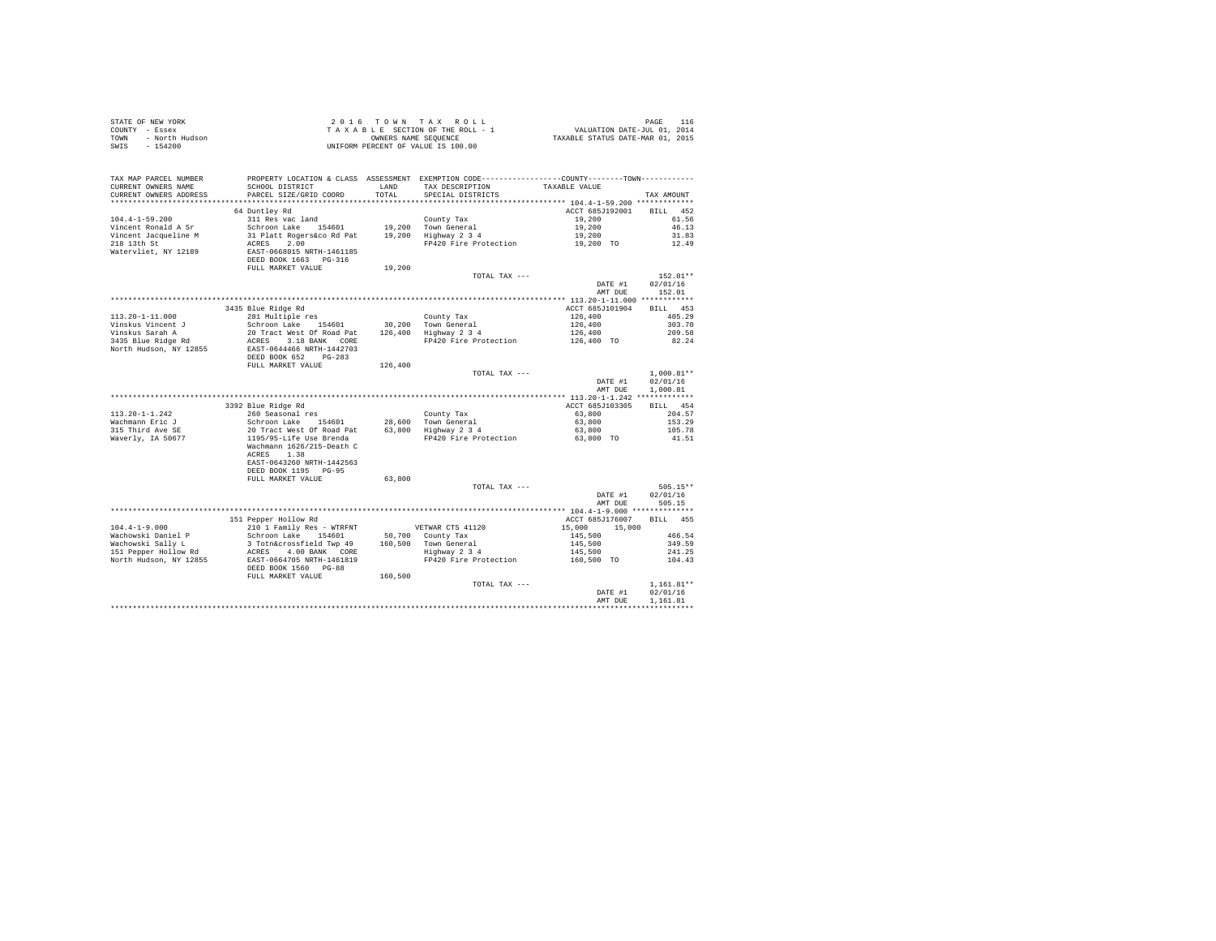|                        | TAX MAP PARCEL NUMBER PROPERTY LOCATION & CLASS ASSESSMENT EXEMPTION CODE---------------COUNTY-------TOWN---------                                                                                                                              |        |                                                                                                                                                               |                                  |                |
|------------------------|-------------------------------------------------------------------------------------------------------------------------------------------------------------------------------------------------------------------------------------------------|--------|---------------------------------------------------------------------------------------------------------------------------------------------------------------|----------------------------------|----------------|
| CURRENT OWNERS NAME    | SCHOOL DISTRICT                                                                                                                                                                                                                                 |        | LAND TAX DESCRIPTION TAXABLE VALUE                                                                                                                            |                                  |                |
| CURRENT OWNERS ADDRESS | PARCEL SIZE/GRID COORD                                                                                                                                                                                                                          | TOTAL  | SPECIAL DISTRICTS                                                                                                                                             |                                  | TAX AMOUNT     |
|                        |                                                                                                                                                                                                                                                 |        |                                                                                                                                                               |                                  |                |
|                        | 64 Duntley Rd                                                                                                                                                                                                                                   |        |                                                                                                                                                               | ACCT 685J192001 BILL 452         |                |
|                        |                                                                                                                                                                                                                                                 |        |                                                                                                                                                               |                                  | 61.56          |
|                        |                                                                                                                                                                                                                                                 |        |                                                                                                                                                               |                                  | 46.13          |
|                        |                                                                                                                                                                                                                                                 |        |                                                                                                                                                               |                                  | 31.83          |
|                        |                                                                                                                                                                                                                                                 |        |                                                                                                                                                               |                                  | 12.49          |
|                        |                                                                                                                                                                                                                                                 |        |                                                                                                                                                               |                                  |                |
|                        |                                                                                                                                                                                                                                                 |        |                                                                                                                                                               |                                  |                |
|                        |                                                                                                                                                                                                                                                 |        |                                                                                                                                                               |                                  |                |
|                        |                                                                                                                                                                                                                                                 |        |                                                                                                                                                               |                                  |                |
|                        |                                                                                                                                                                                                                                                 |        |                                                                                                                                                               |                                  | $152.01**$     |
|                        |                                                                                                                                                                                                                                                 |        |                                                                                                                                                               | DATE #1                          | 02/01/16       |
|                        |                                                                                                                                                                                                                                                 |        |                                                                                                                                                               |                                  | AMT DUE 152.01 |
|                        |                                                                                                                                                                                                                                                 |        |                                                                                                                                                               |                                  |                |
|                        | 3435 Blue Ridge Rd                                                                                                                                                                                                                              |        |                                                                                                                                                               | ACCT 685J101904 BILL 453         |                |
|                        |                                                                                                                                                                                                                                                 |        |                                                                                                                                                               |                                  | 405.29         |
|                        |                                                                                                                                                                                                                                                 |        |                                                                                                                                                               |                                  | 303.70         |
|                        |                                                                                                                                                                                                                                                 |        | County Tax<br>126,400<br>126,400<br>126,400<br>126,400<br>126,400<br>PH20 Fire Protection<br>126,400<br>126,400<br>PH20 Fire Protection<br>126,400<br>126,400 |                                  | 209.58         |
|                        |                                                                                                                                                                                                                                                 |        |                                                                                                                                                               |                                  | 82.24          |
|                        |                                                                                                                                                                                                                                                 |        |                                                                                                                                                               |                                  |                |
|                        |                                                                                                                                                                                                                                                 |        |                                                                                                                                                               |                                  |                |
|                        | FULL MARKET VALUE 126,400                                                                                                                                                                                                                       |        |                                                                                                                                                               |                                  |                |
|                        |                                                                                                                                                                                                                                                 |        | TOTAL TAX ---                                                                                                                                                 |                                  | $1,000.81**$   |
|                        |                                                                                                                                                                                                                                                 |        |                                                                                                                                                               | DATE #1                          | 02/01/16       |
|                        |                                                                                                                                                                                                                                                 |        |                                                                                                                                                               | AMT DUE                          | 1,000.81       |
|                        |                                                                                                                                                                                                                                                 |        |                                                                                                                                                               |                                  |                |
|                        |                                                                                                                                                                                                                                                 |        |                                                                                                                                                               | ACCT 685J103305                  | BILL 454       |
|                        |                                                                                                                                                                                                                                                 |        |                                                                                                                                                               |                                  | 204.57         |
|                        |                                                                                                                                                                                                                                                 |        |                                                                                                                                                               |                                  | 153.29         |
|                        |                                                                                                                                                                                                                                                 |        |                                                                                                                                                               |                                  | 105.78         |
|                        |                                                                                                                                                                                                                                                 |        |                                                                                                                                                               |                                  | 41.51          |
|                        |                                                                                                                                                                                                                                                 |        |                                                                                                                                                               |                                  |                |
|                        | ACRES 1.38                                                                                                                                                                                                                                      |        |                                                                                                                                                               |                                  |                |
|                        |                                                                                                                                                                                                                                                 |        |                                                                                                                                                               |                                  |                |
|                        | EAST-0643260 NRTH-1442563                                                                                                                                                                                                                       |        |                                                                                                                                                               |                                  |                |
|                        | DEED BOOK 1195 PG-95                                                                                                                                                                                                                            |        |                                                                                                                                                               |                                  |                |
|                        | FULL MARKET VALUE                                                                                                                                                                                                                               | 63,800 |                                                                                                                                                               |                                  |                |
|                        |                                                                                                                                                                                                                                                 |        | TOTAL TAX ---                                                                                                                                                 | $505.15**$<br>DATE #1 $02/01/16$ | 505.15**       |
|                        |                                                                                                                                                                                                                                                 |        |                                                                                                                                                               |                                  |                |
|                        |                                                                                                                                                                                                                                                 |        |                                                                                                                                                               |                                  | AMT DUE 505.15 |
|                        |                                                                                                                                                                                                                                                 |        |                                                                                                                                                               |                                  |                |
|                        | 151 Pepper Hollow Rd                                                                                                                                                                                                                            |        |                                                                                                                                                               | ACCT 685J176007 BILL 455         |                |
|                        |                                                                                                                                                                                                                                                 |        |                                                                                                                                                               |                                  |                |
|                        |                                                                                                                                                                                                                                                 |        |                                                                                                                                                               |                                  |                |
|                        |                                                                                                                                                                                                                                                 |        |                                                                                                                                                               |                                  |                |
|                        |                                                                                                                                                                                                                                                 |        |                                                                                                                                                               |                                  |                |
|                        |                                                                                                                                                                                                                                                 |        |                                                                                                                                                               |                                  |                |
|                        | 104.4-1-9.000<br>104.4-1-9.000<br>104.4-1-9.000<br>104.4-1-9.000<br>104.5,000<br>104.5,000<br>104.5,000<br>104.5,000<br>104.5,000<br>104.5,000<br>104.5,000<br>104.5,000<br>104.5,000<br>104.5,000<br>104.5,000<br>104.5,000<br>104.5,500<br>10 |        |                                                                                                                                                               |                                  |                |
|                        | FULL MARKET VALUE 160,500                                                                                                                                                                                                                       |        |                                                                                                                                                               |                                  |                |
|                        |                                                                                                                                                                                                                                                 |        | TOTAL TAX ---                                                                                                                                                 |                                  | $1.161.81**$   |
|                        |                                                                                                                                                                                                                                                 |        |                                                                                                                                                               | DATE #1                          | 02/01/16       |
|                        |                                                                                                                                                                                                                                                 |        |                                                                                                                                                               | AMT DUE                          | 1.161.81       |
|                        |                                                                                                                                                                                                                                                 |        |                                                                                                                                                               |                                  |                |
|                        |                                                                                                                                                                                                                                                 |        |                                                                                                                                                               |                                  |                |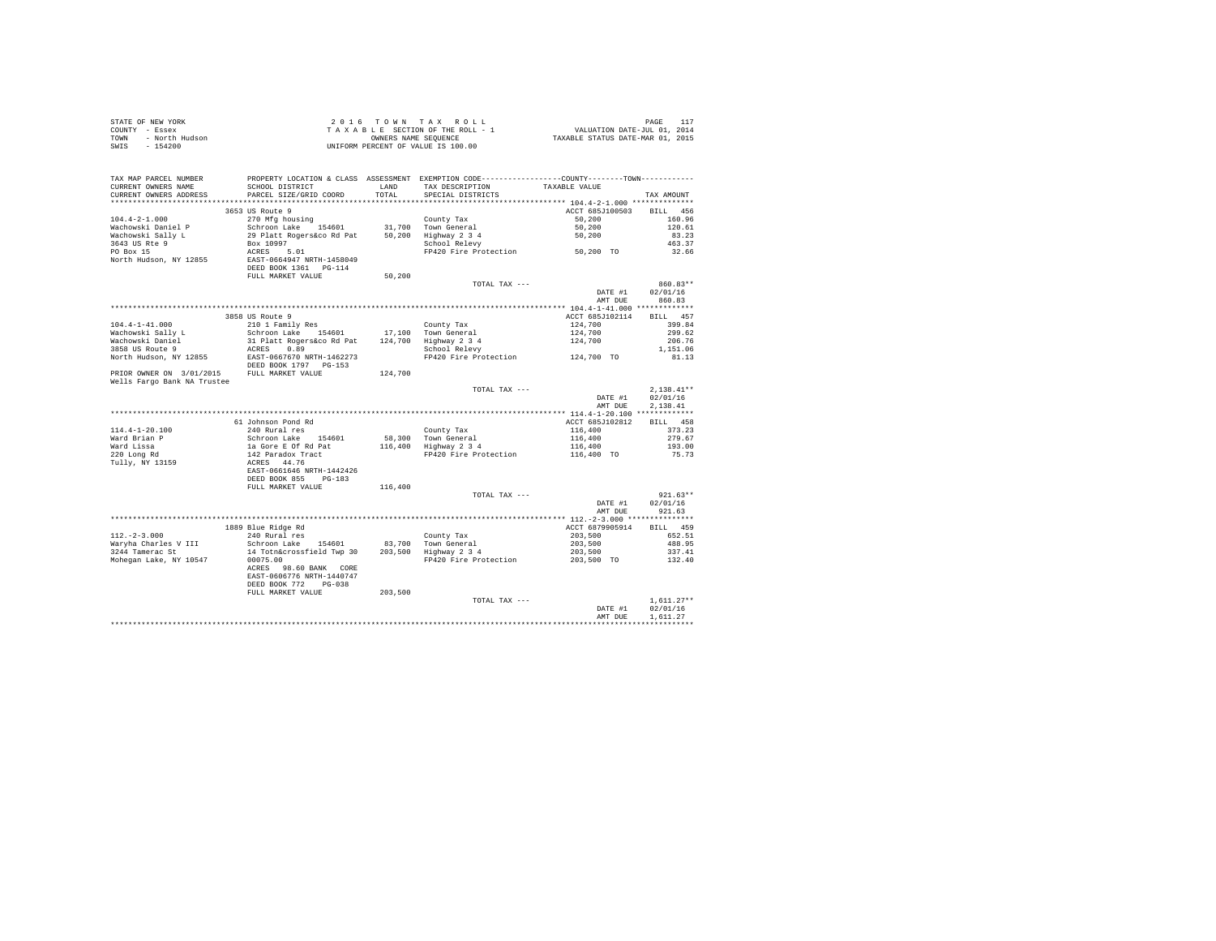| STATE OF NEW YORK      | 2016 TOWN TAX ROLL                 | PAGE                             |
|------------------------|------------------------------------|----------------------------------|
| COUNTY - Essex         | TAXABLE SECTION OF THE ROLL - 1    | VALUATION DATE-JUL 01, 2014      |
| TOWN<br>- North Hudson | OWNERS NAME SEOUENCE               | TAXABLE STATUS DATE-MAR 01, 2015 |
| - 154200<br>SWIS       | UNIFORM PERCENT OF VALUE IS 100.00 |                                  |

| CURRENT OWNERS ADDRESS<br>PARCEL SIZE/GRID COORD<br>TOTAL<br>SPECIAL DISTRICTS<br>TAX AMOUNT<br>***************************<br>*********************<br>3653 US Route 9<br>ACCT 685J100503<br>BILL 456<br>$104.4 - 2 - 1.000$<br>270 Mfg housing<br>160.96<br>County Tax<br>50,200<br>Wachowski Daniel P<br>Schroon Lake 154601<br>31,700 Town General<br>50,200<br>120.61<br>Wachowski Sally L<br>29 Platt Rogers&co Rd Pat<br>50,200<br>Highway 2 3 4<br>50,200<br>83.23<br>3643 US Rte 9<br>463.37<br>Box 10997<br>School Relevy<br>FP420 Fire Protection 50,200 TO<br>PO Box 15<br>ACRES 5.01<br>32.66<br>EAST-0664947 NRTH-1458049<br>North Hudson, NY 12855<br>DEED BOOK 1361 PG-114<br>FULL MARKET VALUE<br>50,200<br>$860.83**$<br>TOTAL TAX ---<br>DATE #1<br>02/01/16<br>AMT DUE<br>860.83<br>BILL 457<br>3858 US Route 9<br>ACCT 685J102114<br>$104.4 - 1 - 41.000$<br>210 1 Family Res<br>399.84<br>County Tax<br>124,700<br>Wachowski Sally L<br>Schroon Lake 154601<br>17,100 Town General<br>124,700<br>124,700<br>299.62<br>Wachowski Daniel<br>31 Platt Rogers&co Rd Pat<br>124,700 Highway 2 3 4<br>206.76<br>3858 US Route 9<br>ACRES 0.89<br>School Relevy<br>1,151.06<br>EAST-0667670 NRTH-1462273<br>FP420 Fire Protection 124,700 TO<br>North Hudson, NY 12855<br>81.13<br>DEED BOOK 1797 PG-153<br>FULL MARKET VALUE<br>124,700<br>$2.138.41**$<br>TOTAL TAX ---<br>02/01/16<br>DATE #1<br>2.138.41<br>AMT DUE<br>61 Johnson Pond Rd<br>BILL 458<br>ACCT 685J102812<br>240 Rural res<br>373.23<br>116,400<br>County Tax<br>Schroon Lake 154601<br>1a Gore E Of Rd Pat<br>142 Paradox Tract<br>ACRES 44.76<br>58,300 Town General<br>116,400<br>279.67<br>116,400 Highway 2 3 4<br>Ward Lissa<br>193.00<br>116,400<br>220 Long Rd<br>116,400 TO<br>FP420 Fire Protection<br>75.73<br>EAST-0661646 NRTH-1442426<br>DEED BOOK 855<br>$PG-183$<br>FULL MARKET VALUE<br>116,400<br>$921.63**$<br>TOTAL TAX ---<br>DATE #1<br>02/01/16<br>AMT DUE<br>921.63<br>1889 Blue Ridge Rd<br>ACCT 6879905914<br>BILL 459<br>$112. - 2 - 3.000$<br>240 Rural res<br>County Tax<br>203,500<br>652.51<br>Waryha Charles V III<br>Schroon Lake 154601<br>83,700 Town General<br>203,500<br>488.95<br>203,500 Highway 2 3 4<br>14 Totn&crossfield Twp 30<br>3244 Tamerac St<br>203,500<br>337.41<br>00075.00<br>FP420 Fire Protection<br>203,500 TO<br>132.40<br>ACRES 98.60 BANK CORE<br>EAST-0606776 NRTH-1440747<br>DEED BOOK 772 PG-038<br>FULL MARKET VALUE<br>203,500<br>$1.611.27**$<br>TOTAL TAX ---<br>DATE #1<br>02/01/16<br>1.611.27<br>AMT DUE | TAX MAP PARCEL NUMBER<br>CURRENT OWNERS NAME | PROPERTY LOCATION & CLASS ASSESSMENT EXEMPTION CODE---------------COUNTY-------TOWN---------<br>SCHOOL DISTRICT | LAND | TAX DESCRIPTION | TAXABLE VALUE |  |
|-----------------------------------------------------------------------------------------------------------------------------------------------------------------------------------------------------------------------------------------------------------------------------------------------------------------------------------------------------------------------------------------------------------------------------------------------------------------------------------------------------------------------------------------------------------------------------------------------------------------------------------------------------------------------------------------------------------------------------------------------------------------------------------------------------------------------------------------------------------------------------------------------------------------------------------------------------------------------------------------------------------------------------------------------------------------------------------------------------------------------------------------------------------------------------------------------------------------------------------------------------------------------------------------------------------------------------------------------------------------------------------------------------------------------------------------------------------------------------------------------------------------------------------------------------------------------------------------------------------------------------------------------------------------------------------------------------------------------------------------------------------------------------------------------------------------------------------------------------------------------------------------------------------------------------------------------------------------------------------------------------------------------------------------------------------------------------------------------------------------------------------------------------------------------------------------------------------------------------------------------------------------------------------------------------------------------------------------------------------------------------------------------------------------------------------------------------------------------------------------------------------------------------------------------------------------|----------------------------------------------|-----------------------------------------------------------------------------------------------------------------|------|-----------------|---------------|--|
|                                                                                                                                                                                                                                                                                                                                                                                                                                                                                                                                                                                                                                                                                                                                                                                                                                                                                                                                                                                                                                                                                                                                                                                                                                                                                                                                                                                                                                                                                                                                                                                                                                                                                                                                                                                                                                                                                                                                                                                                                                                                                                                                                                                                                                                                                                                                                                                                                                                                                                                                                                 |                                              |                                                                                                                 |      |                 |               |  |
|                                                                                                                                                                                                                                                                                                                                                                                                                                                                                                                                                                                                                                                                                                                                                                                                                                                                                                                                                                                                                                                                                                                                                                                                                                                                                                                                                                                                                                                                                                                                                                                                                                                                                                                                                                                                                                                                                                                                                                                                                                                                                                                                                                                                                                                                                                                                                                                                                                                                                                                                                                 |                                              |                                                                                                                 |      |                 |               |  |
|                                                                                                                                                                                                                                                                                                                                                                                                                                                                                                                                                                                                                                                                                                                                                                                                                                                                                                                                                                                                                                                                                                                                                                                                                                                                                                                                                                                                                                                                                                                                                                                                                                                                                                                                                                                                                                                                                                                                                                                                                                                                                                                                                                                                                                                                                                                                                                                                                                                                                                                                                                 |                                              |                                                                                                                 |      |                 |               |  |
|                                                                                                                                                                                                                                                                                                                                                                                                                                                                                                                                                                                                                                                                                                                                                                                                                                                                                                                                                                                                                                                                                                                                                                                                                                                                                                                                                                                                                                                                                                                                                                                                                                                                                                                                                                                                                                                                                                                                                                                                                                                                                                                                                                                                                                                                                                                                                                                                                                                                                                                                                                 |                                              |                                                                                                                 |      |                 |               |  |
|                                                                                                                                                                                                                                                                                                                                                                                                                                                                                                                                                                                                                                                                                                                                                                                                                                                                                                                                                                                                                                                                                                                                                                                                                                                                                                                                                                                                                                                                                                                                                                                                                                                                                                                                                                                                                                                                                                                                                                                                                                                                                                                                                                                                                                                                                                                                                                                                                                                                                                                                                                 |                                              |                                                                                                                 |      |                 |               |  |
|                                                                                                                                                                                                                                                                                                                                                                                                                                                                                                                                                                                                                                                                                                                                                                                                                                                                                                                                                                                                                                                                                                                                                                                                                                                                                                                                                                                                                                                                                                                                                                                                                                                                                                                                                                                                                                                                                                                                                                                                                                                                                                                                                                                                                                                                                                                                                                                                                                                                                                                                                                 |                                              |                                                                                                                 |      |                 |               |  |
|                                                                                                                                                                                                                                                                                                                                                                                                                                                                                                                                                                                                                                                                                                                                                                                                                                                                                                                                                                                                                                                                                                                                                                                                                                                                                                                                                                                                                                                                                                                                                                                                                                                                                                                                                                                                                                                                                                                                                                                                                                                                                                                                                                                                                                                                                                                                                                                                                                                                                                                                                                 |                                              |                                                                                                                 |      |                 |               |  |
|                                                                                                                                                                                                                                                                                                                                                                                                                                                                                                                                                                                                                                                                                                                                                                                                                                                                                                                                                                                                                                                                                                                                                                                                                                                                                                                                                                                                                                                                                                                                                                                                                                                                                                                                                                                                                                                                                                                                                                                                                                                                                                                                                                                                                                                                                                                                                                                                                                                                                                                                                                 |                                              |                                                                                                                 |      |                 |               |  |
|                                                                                                                                                                                                                                                                                                                                                                                                                                                                                                                                                                                                                                                                                                                                                                                                                                                                                                                                                                                                                                                                                                                                                                                                                                                                                                                                                                                                                                                                                                                                                                                                                                                                                                                                                                                                                                                                                                                                                                                                                                                                                                                                                                                                                                                                                                                                                                                                                                                                                                                                                                 |                                              |                                                                                                                 |      |                 |               |  |
|                                                                                                                                                                                                                                                                                                                                                                                                                                                                                                                                                                                                                                                                                                                                                                                                                                                                                                                                                                                                                                                                                                                                                                                                                                                                                                                                                                                                                                                                                                                                                                                                                                                                                                                                                                                                                                                                                                                                                                                                                                                                                                                                                                                                                                                                                                                                                                                                                                                                                                                                                                 |                                              |                                                                                                                 |      |                 |               |  |
|                                                                                                                                                                                                                                                                                                                                                                                                                                                                                                                                                                                                                                                                                                                                                                                                                                                                                                                                                                                                                                                                                                                                                                                                                                                                                                                                                                                                                                                                                                                                                                                                                                                                                                                                                                                                                                                                                                                                                                                                                                                                                                                                                                                                                                                                                                                                                                                                                                                                                                                                                                 |                                              |                                                                                                                 |      |                 |               |  |
|                                                                                                                                                                                                                                                                                                                                                                                                                                                                                                                                                                                                                                                                                                                                                                                                                                                                                                                                                                                                                                                                                                                                                                                                                                                                                                                                                                                                                                                                                                                                                                                                                                                                                                                                                                                                                                                                                                                                                                                                                                                                                                                                                                                                                                                                                                                                                                                                                                                                                                                                                                 |                                              |                                                                                                                 |      |                 |               |  |
|                                                                                                                                                                                                                                                                                                                                                                                                                                                                                                                                                                                                                                                                                                                                                                                                                                                                                                                                                                                                                                                                                                                                                                                                                                                                                                                                                                                                                                                                                                                                                                                                                                                                                                                                                                                                                                                                                                                                                                                                                                                                                                                                                                                                                                                                                                                                                                                                                                                                                                                                                                 |                                              |                                                                                                                 |      |                 |               |  |
|                                                                                                                                                                                                                                                                                                                                                                                                                                                                                                                                                                                                                                                                                                                                                                                                                                                                                                                                                                                                                                                                                                                                                                                                                                                                                                                                                                                                                                                                                                                                                                                                                                                                                                                                                                                                                                                                                                                                                                                                                                                                                                                                                                                                                                                                                                                                                                                                                                                                                                                                                                 |                                              |                                                                                                                 |      |                 |               |  |
|                                                                                                                                                                                                                                                                                                                                                                                                                                                                                                                                                                                                                                                                                                                                                                                                                                                                                                                                                                                                                                                                                                                                                                                                                                                                                                                                                                                                                                                                                                                                                                                                                                                                                                                                                                                                                                                                                                                                                                                                                                                                                                                                                                                                                                                                                                                                                                                                                                                                                                                                                                 |                                              |                                                                                                                 |      |                 |               |  |
|                                                                                                                                                                                                                                                                                                                                                                                                                                                                                                                                                                                                                                                                                                                                                                                                                                                                                                                                                                                                                                                                                                                                                                                                                                                                                                                                                                                                                                                                                                                                                                                                                                                                                                                                                                                                                                                                                                                                                                                                                                                                                                                                                                                                                                                                                                                                                                                                                                                                                                                                                                 |                                              |                                                                                                                 |      |                 |               |  |
|                                                                                                                                                                                                                                                                                                                                                                                                                                                                                                                                                                                                                                                                                                                                                                                                                                                                                                                                                                                                                                                                                                                                                                                                                                                                                                                                                                                                                                                                                                                                                                                                                                                                                                                                                                                                                                                                                                                                                                                                                                                                                                                                                                                                                                                                                                                                                                                                                                                                                                                                                                 |                                              |                                                                                                                 |      |                 |               |  |
|                                                                                                                                                                                                                                                                                                                                                                                                                                                                                                                                                                                                                                                                                                                                                                                                                                                                                                                                                                                                                                                                                                                                                                                                                                                                                                                                                                                                                                                                                                                                                                                                                                                                                                                                                                                                                                                                                                                                                                                                                                                                                                                                                                                                                                                                                                                                                                                                                                                                                                                                                                 |                                              |                                                                                                                 |      |                 |               |  |
|                                                                                                                                                                                                                                                                                                                                                                                                                                                                                                                                                                                                                                                                                                                                                                                                                                                                                                                                                                                                                                                                                                                                                                                                                                                                                                                                                                                                                                                                                                                                                                                                                                                                                                                                                                                                                                                                                                                                                                                                                                                                                                                                                                                                                                                                                                                                                                                                                                                                                                                                                                 |                                              |                                                                                                                 |      |                 |               |  |
|                                                                                                                                                                                                                                                                                                                                                                                                                                                                                                                                                                                                                                                                                                                                                                                                                                                                                                                                                                                                                                                                                                                                                                                                                                                                                                                                                                                                                                                                                                                                                                                                                                                                                                                                                                                                                                                                                                                                                                                                                                                                                                                                                                                                                                                                                                                                                                                                                                                                                                                                                                 |                                              |                                                                                                                 |      |                 |               |  |
|                                                                                                                                                                                                                                                                                                                                                                                                                                                                                                                                                                                                                                                                                                                                                                                                                                                                                                                                                                                                                                                                                                                                                                                                                                                                                                                                                                                                                                                                                                                                                                                                                                                                                                                                                                                                                                                                                                                                                                                                                                                                                                                                                                                                                                                                                                                                                                                                                                                                                                                                                                 | PRIOR OWNER ON 3/01/2015                     |                                                                                                                 |      |                 |               |  |
|                                                                                                                                                                                                                                                                                                                                                                                                                                                                                                                                                                                                                                                                                                                                                                                                                                                                                                                                                                                                                                                                                                                                                                                                                                                                                                                                                                                                                                                                                                                                                                                                                                                                                                                                                                                                                                                                                                                                                                                                                                                                                                                                                                                                                                                                                                                                                                                                                                                                                                                                                                 | Wells Fargo Bank NA Trustee                  |                                                                                                                 |      |                 |               |  |
|                                                                                                                                                                                                                                                                                                                                                                                                                                                                                                                                                                                                                                                                                                                                                                                                                                                                                                                                                                                                                                                                                                                                                                                                                                                                                                                                                                                                                                                                                                                                                                                                                                                                                                                                                                                                                                                                                                                                                                                                                                                                                                                                                                                                                                                                                                                                                                                                                                                                                                                                                                 |                                              |                                                                                                                 |      |                 |               |  |
|                                                                                                                                                                                                                                                                                                                                                                                                                                                                                                                                                                                                                                                                                                                                                                                                                                                                                                                                                                                                                                                                                                                                                                                                                                                                                                                                                                                                                                                                                                                                                                                                                                                                                                                                                                                                                                                                                                                                                                                                                                                                                                                                                                                                                                                                                                                                                                                                                                                                                                                                                                 |                                              |                                                                                                                 |      |                 |               |  |
|                                                                                                                                                                                                                                                                                                                                                                                                                                                                                                                                                                                                                                                                                                                                                                                                                                                                                                                                                                                                                                                                                                                                                                                                                                                                                                                                                                                                                                                                                                                                                                                                                                                                                                                                                                                                                                                                                                                                                                                                                                                                                                                                                                                                                                                                                                                                                                                                                                                                                                                                                                 |                                              |                                                                                                                 |      |                 |               |  |
|                                                                                                                                                                                                                                                                                                                                                                                                                                                                                                                                                                                                                                                                                                                                                                                                                                                                                                                                                                                                                                                                                                                                                                                                                                                                                                                                                                                                                                                                                                                                                                                                                                                                                                                                                                                                                                                                                                                                                                                                                                                                                                                                                                                                                                                                                                                                                                                                                                                                                                                                                                 |                                              |                                                                                                                 |      |                 |               |  |
|                                                                                                                                                                                                                                                                                                                                                                                                                                                                                                                                                                                                                                                                                                                                                                                                                                                                                                                                                                                                                                                                                                                                                                                                                                                                                                                                                                                                                                                                                                                                                                                                                                                                                                                                                                                                                                                                                                                                                                                                                                                                                                                                                                                                                                                                                                                                                                                                                                                                                                                                                                 |                                              |                                                                                                                 |      |                 |               |  |
|                                                                                                                                                                                                                                                                                                                                                                                                                                                                                                                                                                                                                                                                                                                                                                                                                                                                                                                                                                                                                                                                                                                                                                                                                                                                                                                                                                                                                                                                                                                                                                                                                                                                                                                                                                                                                                                                                                                                                                                                                                                                                                                                                                                                                                                                                                                                                                                                                                                                                                                                                                 | $114.4 - 1 - 20.100$                         |                                                                                                                 |      |                 |               |  |
|                                                                                                                                                                                                                                                                                                                                                                                                                                                                                                                                                                                                                                                                                                                                                                                                                                                                                                                                                                                                                                                                                                                                                                                                                                                                                                                                                                                                                                                                                                                                                                                                                                                                                                                                                                                                                                                                                                                                                                                                                                                                                                                                                                                                                                                                                                                                                                                                                                                                                                                                                                 | Ward Brian P                                 |                                                                                                                 |      |                 |               |  |
|                                                                                                                                                                                                                                                                                                                                                                                                                                                                                                                                                                                                                                                                                                                                                                                                                                                                                                                                                                                                                                                                                                                                                                                                                                                                                                                                                                                                                                                                                                                                                                                                                                                                                                                                                                                                                                                                                                                                                                                                                                                                                                                                                                                                                                                                                                                                                                                                                                                                                                                                                                 |                                              |                                                                                                                 |      |                 |               |  |
|                                                                                                                                                                                                                                                                                                                                                                                                                                                                                                                                                                                                                                                                                                                                                                                                                                                                                                                                                                                                                                                                                                                                                                                                                                                                                                                                                                                                                                                                                                                                                                                                                                                                                                                                                                                                                                                                                                                                                                                                                                                                                                                                                                                                                                                                                                                                                                                                                                                                                                                                                                 |                                              |                                                                                                                 |      |                 |               |  |
|                                                                                                                                                                                                                                                                                                                                                                                                                                                                                                                                                                                                                                                                                                                                                                                                                                                                                                                                                                                                                                                                                                                                                                                                                                                                                                                                                                                                                                                                                                                                                                                                                                                                                                                                                                                                                                                                                                                                                                                                                                                                                                                                                                                                                                                                                                                                                                                                                                                                                                                                                                 | Tully, NY 13159                              |                                                                                                                 |      |                 |               |  |
|                                                                                                                                                                                                                                                                                                                                                                                                                                                                                                                                                                                                                                                                                                                                                                                                                                                                                                                                                                                                                                                                                                                                                                                                                                                                                                                                                                                                                                                                                                                                                                                                                                                                                                                                                                                                                                                                                                                                                                                                                                                                                                                                                                                                                                                                                                                                                                                                                                                                                                                                                                 |                                              |                                                                                                                 |      |                 |               |  |
|                                                                                                                                                                                                                                                                                                                                                                                                                                                                                                                                                                                                                                                                                                                                                                                                                                                                                                                                                                                                                                                                                                                                                                                                                                                                                                                                                                                                                                                                                                                                                                                                                                                                                                                                                                                                                                                                                                                                                                                                                                                                                                                                                                                                                                                                                                                                                                                                                                                                                                                                                                 |                                              |                                                                                                                 |      |                 |               |  |
|                                                                                                                                                                                                                                                                                                                                                                                                                                                                                                                                                                                                                                                                                                                                                                                                                                                                                                                                                                                                                                                                                                                                                                                                                                                                                                                                                                                                                                                                                                                                                                                                                                                                                                                                                                                                                                                                                                                                                                                                                                                                                                                                                                                                                                                                                                                                                                                                                                                                                                                                                                 |                                              |                                                                                                                 |      |                 |               |  |
|                                                                                                                                                                                                                                                                                                                                                                                                                                                                                                                                                                                                                                                                                                                                                                                                                                                                                                                                                                                                                                                                                                                                                                                                                                                                                                                                                                                                                                                                                                                                                                                                                                                                                                                                                                                                                                                                                                                                                                                                                                                                                                                                                                                                                                                                                                                                                                                                                                                                                                                                                                 |                                              |                                                                                                                 |      |                 |               |  |
|                                                                                                                                                                                                                                                                                                                                                                                                                                                                                                                                                                                                                                                                                                                                                                                                                                                                                                                                                                                                                                                                                                                                                                                                                                                                                                                                                                                                                                                                                                                                                                                                                                                                                                                                                                                                                                                                                                                                                                                                                                                                                                                                                                                                                                                                                                                                                                                                                                                                                                                                                                 |                                              |                                                                                                                 |      |                 |               |  |
|                                                                                                                                                                                                                                                                                                                                                                                                                                                                                                                                                                                                                                                                                                                                                                                                                                                                                                                                                                                                                                                                                                                                                                                                                                                                                                                                                                                                                                                                                                                                                                                                                                                                                                                                                                                                                                                                                                                                                                                                                                                                                                                                                                                                                                                                                                                                                                                                                                                                                                                                                                 |                                              |                                                                                                                 |      |                 |               |  |
|                                                                                                                                                                                                                                                                                                                                                                                                                                                                                                                                                                                                                                                                                                                                                                                                                                                                                                                                                                                                                                                                                                                                                                                                                                                                                                                                                                                                                                                                                                                                                                                                                                                                                                                                                                                                                                                                                                                                                                                                                                                                                                                                                                                                                                                                                                                                                                                                                                                                                                                                                                 |                                              |                                                                                                                 |      |                 |               |  |
|                                                                                                                                                                                                                                                                                                                                                                                                                                                                                                                                                                                                                                                                                                                                                                                                                                                                                                                                                                                                                                                                                                                                                                                                                                                                                                                                                                                                                                                                                                                                                                                                                                                                                                                                                                                                                                                                                                                                                                                                                                                                                                                                                                                                                                                                                                                                                                                                                                                                                                                                                                 |                                              |                                                                                                                 |      |                 |               |  |
|                                                                                                                                                                                                                                                                                                                                                                                                                                                                                                                                                                                                                                                                                                                                                                                                                                                                                                                                                                                                                                                                                                                                                                                                                                                                                                                                                                                                                                                                                                                                                                                                                                                                                                                                                                                                                                                                                                                                                                                                                                                                                                                                                                                                                                                                                                                                                                                                                                                                                                                                                                 |                                              |                                                                                                                 |      |                 |               |  |
|                                                                                                                                                                                                                                                                                                                                                                                                                                                                                                                                                                                                                                                                                                                                                                                                                                                                                                                                                                                                                                                                                                                                                                                                                                                                                                                                                                                                                                                                                                                                                                                                                                                                                                                                                                                                                                                                                                                                                                                                                                                                                                                                                                                                                                                                                                                                                                                                                                                                                                                                                                 |                                              |                                                                                                                 |      |                 |               |  |
|                                                                                                                                                                                                                                                                                                                                                                                                                                                                                                                                                                                                                                                                                                                                                                                                                                                                                                                                                                                                                                                                                                                                                                                                                                                                                                                                                                                                                                                                                                                                                                                                                                                                                                                                                                                                                                                                                                                                                                                                                                                                                                                                                                                                                                                                                                                                                                                                                                                                                                                                                                 | Mohegan Lake, NY 10547                       |                                                                                                                 |      |                 |               |  |
|                                                                                                                                                                                                                                                                                                                                                                                                                                                                                                                                                                                                                                                                                                                                                                                                                                                                                                                                                                                                                                                                                                                                                                                                                                                                                                                                                                                                                                                                                                                                                                                                                                                                                                                                                                                                                                                                                                                                                                                                                                                                                                                                                                                                                                                                                                                                                                                                                                                                                                                                                                 |                                              |                                                                                                                 |      |                 |               |  |
|                                                                                                                                                                                                                                                                                                                                                                                                                                                                                                                                                                                                                                                                                                                                                                                                                                                                                                                                                                                                                                                                                                                                                                                                                                                                                                                                                                                                                                                                                                                                                                                                                                                                                                                                                                                                                                                                                                                                                                                                                                                                                                                                                                                                                                                                                                                                                                                                                                                                                                                                                                 |                                              |                                                                                                                 |      |                 |               |  |
|                                                                                                                                                                                                                                                                                                                                                                                                                                                                                                                                                                                                                                                                                                                                                                                                                                                                                                                                                                                                                                                                                                                                                                                                                                                                                                                                                                                                                                                                                                                                                                                                                                                                                                                                                                                                                                                                                                                                                                                                                                                                                                                                                                                                                                                                                                                                                                                                                                                                                                                                                                 |                                              |                                                                                                                 |      |                 |               |  |
|                                                                                                                                                                                                                                                                                                                                                                                                                                                                                                                                                                                                                                                                                                                                                                                                                                                                                                                                                                                                                                                                                                                                                                                                                                                                                                                                                                                                                                                                                                                                                                                                                                                                                                                                                                                                                                                                                                                                                                                                                                                                                                                                                                                                                                                                                                                                                                                                                                                                                                                                                                 |                                              |                                                                                                                 |      |                 |               |  |
|                                                                                                                                                                                                                                                                                                                                                                                                                                                                                                                                                                                                                                                                                                                                                                                                                                                                                                                                                                                                                                                                                                                                                                                                                                                                                                                                                                                                                                                                                                                                                                                                                                                                                                                                                                                                                                                                                                                                                                                                                                                                                                                                                                                                                                                                                                                                                                                                                                                                                                                                                                 |                                              |                                                                                                                 |      |                 |               |  |
|                                                                                                                                                                                                                                                                                                                                                                                                                                                                                                                                                                                                                                                                                                                                                                                                                                                                                                                                                                                                                                                                                                                                                                                                                                                                                                                                                                                                                                                                                                                                                                                                                                                                                                                                                                                                                                                                                                                                                                                                                                                                                                                                                                                                                                                                                                                                                                                                                                                                                                                                                                 |                                              |                                                                                                                 |      |                 |               |  |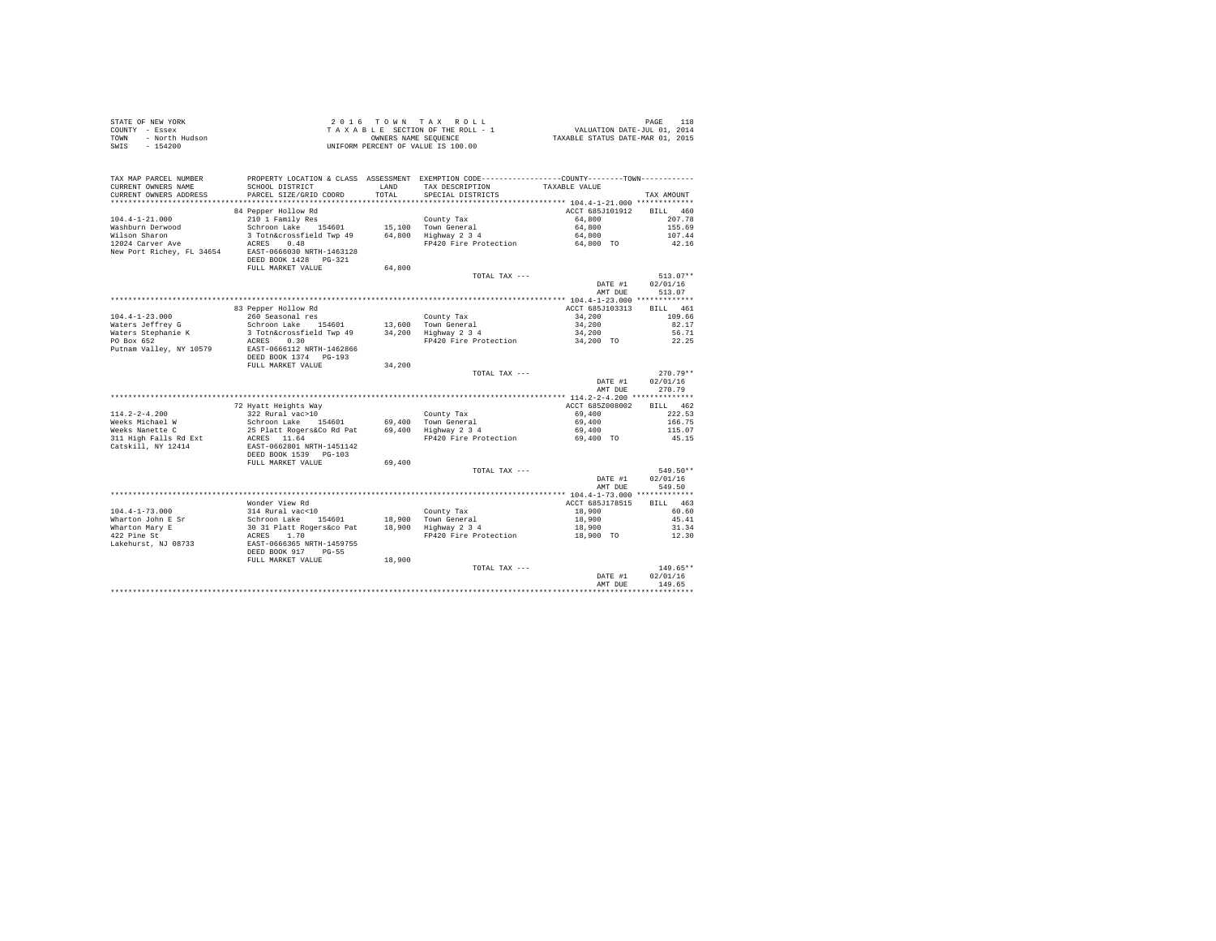| STATE OF NEW YORK<br>COUNTY - Essex<br>- North Hudson<br>TOWN<br>$-154200$<br>SWIS           |                                                                                           |               | 2016 TOWN TAX ROLL<br>UNIFORM PERCENT OF VALUE IS 100.00                                                                                |                           | PAGE<br>118            |
|----------------------------------------------------------------------------------------------|-------------------------------------------------------------------------------------------|---------------|-----------------------------------------------------------------------------------------------------------------------------------------|---------------------------|------------------------|
| TAX MAP PARCEL NUMBER<br>CURRENT OWNERS NAME<br>CURRENT OWNERS ADDRESS                       | SCHOOL DISTRICT<br>PARCEL SIZE/GRID COORD                                                 | LAND<br>TOTAL | PROPERTY LOCATION & CLASS ASSESSMENT EXEMPTION CODE----------------COUNTY--------TOWN----------<br>TAX DESCRIPTION<br>SPECIAL DISTRICTS | TAXABLE VALUE             | TAX AMOUNT             |
|                                                                                              |                                                                                           |               |                                                                                                                                         |                           |                        |
| $104.4 - 1 - 21.000$                                                                         | 84 Pepper Hollow Rd<br>210 1 Family Res                                                   |               | County Tax                                                                                                                              | ACCT 685J101912<br>64,800 | BILL 460<br>207.78     |
| Washburn Derwood                                                                             | Schroon Lake 154601                                                                       |               | 15,100 Town General                                                                                                                     | 64,800                    | 155.69                 |
| Wilson Sharon                                                                                | 3 Totn&crossfield Twp 49 64,800 Highway 2 3 4                                             |               |                                                                                                                                         | 64,800                    | 107.44                 |
| WILBON DIARTON CONTROL AND ACRES 0.48<br>New Port Richey, FL 34654 EAST-0666030 NRTH-1463128 |                                                                                           |               | FP420 Fire Protection 64,800 TO                                                                                                         |                           | 42.16                  |
|                                                                                              | DEED BOOK 1428    PG-321                                                                  |               |                                                                                                                                         |                           |                        |
|                                                                                              | FULL MARKET VALUE                                                                         | 64,800        |                                                                                                                                         |                           |                        |
|                                                                                              |                                                                                           |               | TOTAL TAX ---                                                                                                                           | DATE #1                   | $513.07**$<br>02/01/16 |
|                                                                                              |                                                                                           |               |                                                                                                                                         | AMT DUE                   | 513.07                 |
|                                                                                              |                                                                                           |               |                                                                                                                                         |                           |                        |
| $104.4 - 1 - 23.000$                                                                         | 83 Pepper Hollow Rd                                                                       |               | County Tax                                                                                                                              | ACCT 685J103313<br>34,200 | BILL 461<br>109.66     |
| Waters Jeffrey G                                                                             | 260 Seasonal res<br>Schroon Lake 154601                                                   |               |                                                                                                                                         | 34,200                    | 82.17                  |
|                                                                                              | Schroon Lake 154601 13,600 Town General<br>3 Tothacrossfield Twp 49 34,200 Highway 2 3 4  |               |                                                                                                                                         | 34,200                    | 56.71                  |
| Waters Stephanie K<br>PO Box 652                                                             | ACRES 0.30                                                                                |               | FP420 Fire Protection 34,200 TO                                                                                                         |                           | 22.25                  |
| Putnam Valley, NY 10579                                                                      | EAST-0666112 NRTH-1462866<br>DEED BOOK 1374 PG-193                                        |               |                                                                                                                                         |                           |                        |
|                                                                                              | FULL MARKET VALUE                                                                         | 34,200        |                                                                                                                                         |                           |                        |
|                                                                                              |                                                                                           |               | TOTAL TAX ---                                                                                                                           | DATE #1                   | $270.79**$<br>02/01/16 |
|                                                                                              |                                                                                           |               |                                                                                                                                         | AMT DUE                   | 270.79                 |
|                                                                                              | 72 Hyatt Heights Way                                                                      |               |                                                                                                                                         | ACCT 685Z008002           | BILL 462               |
| $114.2 - 2 - 4.200$                                                                          | 22 Rural vac>10<br>322 Rural vac>10<br>Schroon Lake 154601                                |               | County Tax                                                                                                                              | 69,400                    | 222.53                 |
| Weeks Michael W                                                                              |                                                                                           |               |                                                                                                                                         | 69,400                    | 166.75                 |
| weeks Nanette C                                                                              | Schroon Lake 154601 69,400 Town General<br>25 Platt Rogers&Co Rd Pat 69,400 Highway 2 3 4 |               |                                                                                                                                         | 69,400                    | 115.07                 |
| 311 High Falls Rd Ext<br>Catskill, NY 12414                                                  | ACRES 11.64                                                                               |               | FP420 Fire Protection 69.400 TO                                                                                                         |                           | 45.15                  |
|                                                                                              | EAST-0662801 NRTH-1451142<br>DEED BOOK 1539 PG-103                                        |               |                                                                                                                                         |                           |                        |
|                                                                                              | FULL MARKET VALUE                                                                         | 69,400        |                                                                                                                                         |                           |                        |
|                                                                                              |                                                                                           |               | TOTAL TAX ---                                                                                                                           |                           | 549.50**               |
|                                                                                              |                                                                                           |               |                                                                                                                                         | DATE #1<br>AMT DUE        | 02/01/16<br>549.50     |
|                                                                                              |                                                                                           |               |                                                                                                                                         |                           |                        |
|                                                                                              |                                                                                           |               |                                                                                                                                         | ACCT 685J178515           | BTLL 463               |
|                                                                                              |                                                                                           |               |                                                                                                                                         | 18,900                    | 60.60                  |
|                                                                                              |                                                                                           |               |                                                                                                                                         | 18,900                    | 45.41                  |
|                                                                                              |                                                                                           |               | FP420 Fire Protection 18,900 TO                                                                                                         | 18,900                    | 31.34                  |
|                                                                                              |                                                                                           |               |                                                                                                                                         |                           | 12.30                  |
|                                                                                              | FULL MARKET VALUE                                                                         | 18,900        |                                                                                                                                         |                           |                        |
|                                                                                              |                                                                                           |               | TOTAL TAX ---                                                                                                                           |                           | 149.65**               |
|                                                                                              |                                                                                           |               |                                                                                                                                         | DATE #1                   | 02/01/16               |
|                                                                                              |                                                                                           |               |                                                                                                                                         | AMT DUE                   | 149.65                 |
|                                                                                              |                                                                                           |               |                                                                                                                                         |                           |                        |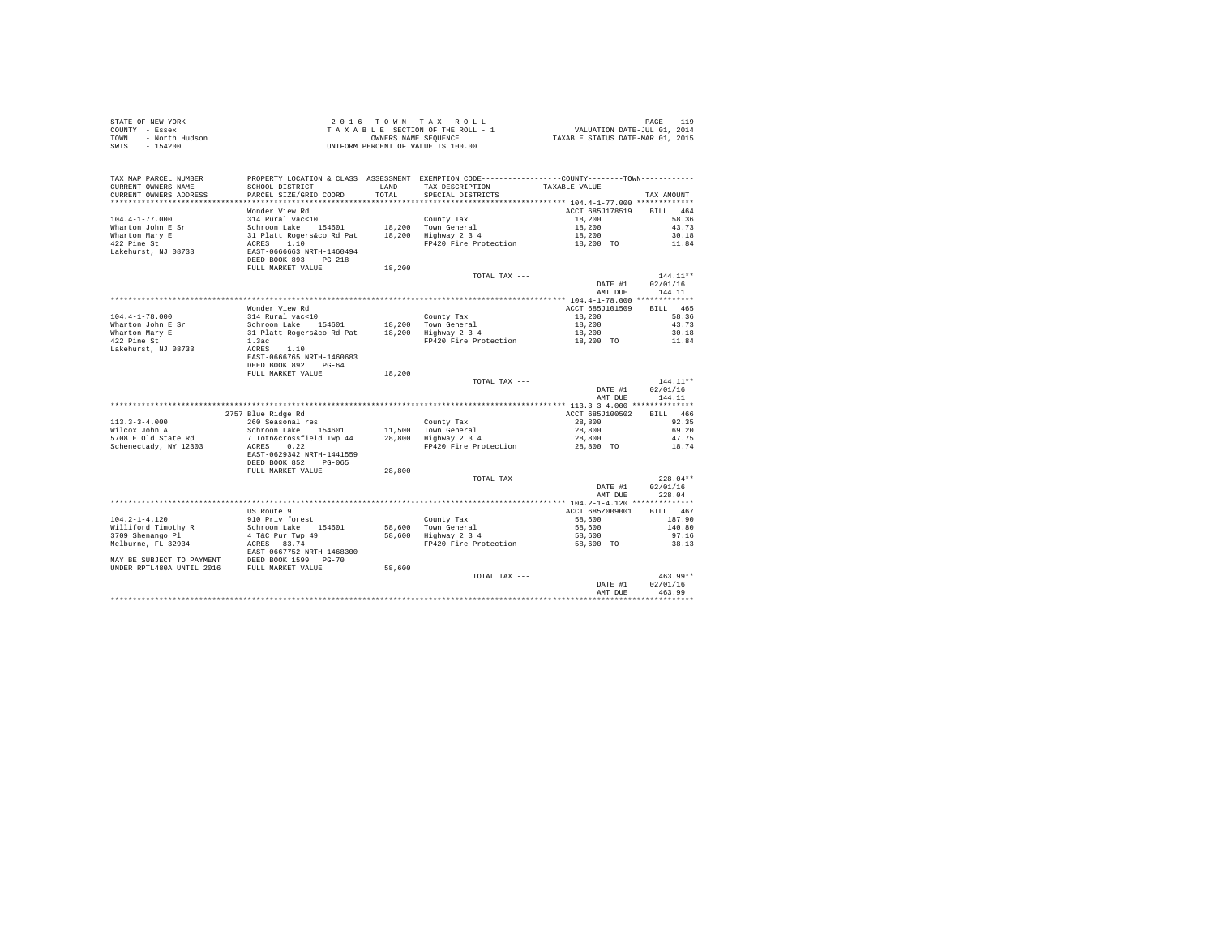| COUNTY - Essex<br>TOWN<br>- North Hudson<br>$-154200$<br>SWIS | T A X A B L E SECTION OF THE ROLL - :<br>OWNERS NAME SENGER NAME SEQUENCE<br>UNIFORM PERCENT OF VALUE IS 100.00                                                                                                                          |        |                                                                                                 |                    |                    |
|---------------------------------------------------------------|------------------------------------------------------------------------------------------------------------------------------------------------------------------------------------------------------------------------------------------|--------|-------------------------------------------------------------------------------------------------|--------------------|--------------------|
|                                                               |                                                                                                                                                                                                                                          |        |                                                                                                 |                    |                    |
| TAX MAP PARCEL NUMBER                                         |                                                                                                                                                                                                                                          |        | PROPERTY LOCATION & CLASS ASSESSMENT EXEMPTION CODE----------------COUNTY--------TOWN---------- |                    |                    |
| CURRENT OWNERS NAME                                           | SCHOOL DISTRICT                                                                                                                                                                                                                          | LAND   | TAX DESCRIPTION                                                                                 | TAXABLE VALUE      |                    |
| CURRENT OWNERS ADDRESS                                        | PARCEL SIZE/GRID COORD                                                                                                                                                                                                                   | TOTAL  | SPECIAL DISTRICTS                                                                               |                    | TAX AMOUNT         |
|                                                               | Wonder View Rd                                                                                                                                                                                                                           |        |                                                                                                 | ACCT 685J178519    | BILL 464           |
| $104.4 - 1 - 77.000$                                          | 314 Rural vac<10                                                                                                                                                                                                                         |        | County Tax                                                                                      | 18,200             | 58.36              |
| Wharton John E Sr                                             |                                                                                                                                                                                                                                          |        |                                                                                                 |                    | 43.73              |
|                                                               |                                                                                                                                                                                                                                          |        |                                                                                                 | 18,200<br>18,200   | 30.18              |
| Wharton Mary E<br>422 Pine St                                 |                                                                                                                                                                                                                                          |        | FP420 Fire Protection 18,200 TO                                                                 |                    | 11.84              |
| Lakehurst, NJ 08733                                           | 31 Nucari Vacchi 18,200 Town General<br>31 Platt Rogers Co Rd Pat 18,200 Town General<br>31 Platt Rogers Co Rd Pat 18,200 Highway 2 3 4<br>ACRES 1.10<br>EXPT-0666663 RRTH-1460494<br>DEED BOOK 893 PG-218                               |        |                                                                                                 |                    |                    |
|                                                               | FULL MARKET VALUE                                                                                                                                                                                                                        | 18,200 |                                                                                                 |                    |                    |
|                                                               |                                                                                                                                                                                                                                          |        | TOTAL TAX ---                                                                                   |                    | $144.11**$         |
|                                                               |                                                                                                                                                                                                                                          |        |                                                                                                 | DATE #1<br>AMT DUE | 02/01/16<br>144.11 |
|                                                               |                                                                                                                                                                                                                                          |        |                                                                                                 |                    |                    |
|                                                               | Wonder View Rd                                                                                                                                                                                                                           |        |                                                                                                 | ACCT 685J101509    | BILL 465           |
| $104.4 - 1 - 78.000$                                          |                                                                                                                                                                                                                                          |        |                                                                                                 |                    | 58.36              |
|                                                               |                                                                                                                                                                                                                                          |        |                                                                                                 |                    | 43.73              |
|                                                               |                                                                                                                                                                                                                                          |        |                                                                                                 |                    | 30.18              |
| Wharton John E Sr<br>Wharton Mary E<br>422 Pine St            |                                                                                                                                                                                                                                          |        |                                                                                                 |                    | 11.84              |
| Lakehurst, NJ 08733                                           | Moder view Mark (2001)<br>14 Rural Vac-10<br>Schroon Lake 154601 18,200 Town General 18,200<br>31 Platt Rogers&co Rd Pat 18,200 Highway 2 3 4 18,200<br>1.3ac FP420 Fire Protection 18,200 TO<br>ARRES 1.10<br>EART-0666765 NRTH-1460683 |        |                                                                                                 |                    |                    |
|                                                               |                                                                                                                                                                                                                                          |        |                                                                                                 |                    |                    |
|                                                               | DEED BOOK 892 PG-64                                                                                                                                                                                                                      |        |                                                                                                 |                    |                    |
|                                                               | FULL MARKET VALUE                                                                                                                                                                                                                        | 18,200 | TOTAL TAX ---                                                                                   |                    | $144.11**$         |
|                                                               |                                                                                                                                                                                                                                          |        |                                                                                                 | DATE #1            | 02/01/16           |
|                                                               |                                                                                                                                                                                                                                          |        |                                                                                                 | AMT DUE            | 144.11             |
|                                                               |                                                                                                                                                                                                                                          |        |                                                                                                 |                    |                    |
|                                                               | 2757 Blue Ridge Rd                                                                                                                                                                                                                       |        |                                                                                                 | ACCT 685J100502    | BILL 466           |
| $113.3 - 3 - 4.000$                                           |                                                                                                                                                                                                                                          |        |                                                                                                 | 28,800             | 92.35              |
| wilcox John A                                                 |                                                                                                                                                                                                                                          |        |                                                                                                 | 28,800             | 69.20              |
| 5708 E Old State Rd                                           | 2737 Dige and Test<br>260 Seasonal res<br>7 Toth Controssfield Twp 44 28,800 Highway 234<br>27 Toth Conservation<br>28,800 Highway 234<br>20788 2088                                                                                     |        |                                                                                                 | 28,800             | 47.75              |
| Schenectady, NY 12303                                         | ACRES 0.22                                                                                                                                                                                                                               |        | FP420 Fire Protection                                                                           | 28,800 TO          | 18.74              |
|                                                               | EAST-0629342 NRTH-1441559<br>DEED BOOK 852 PG-065                                                                                                                                                                                        |        |                                                                                                 |                    |                    |
|                                                               | FULL MARKET VALUE                                                                                                                                                                                                                        | 28,800 |                                                                                                 |                    |                    |
|                                                               |                                                                                                                                                                                                                                          |        | TOTAL TAX ---                                                                                   |                    | $228.04**$         |
|                                                               |                                                                                                                                                                                                                                          |        |                                                                                                 | DATE #1            | 02/01/16           |
|                                                               |                                                                                                                                                                                                                                          |        |                                                                                                 | AMT DUE            | 228.04             |
|                                                               |                                                                                                                                                                                                                                          |        |                                                                                                 |                    |                    |
|                                                               | US Route 9                                                                                                                                                                                                                               |        |                                                                                                 | ACCT 685Z009001    | BILL 467           |
|                                                               |                                                                                                                                                                                                                                          |        |                                                                                                 | 58,600             | 187.90             |
|                                                               |                                                                                                                                                                                                                                          |        |                                                                                                 | 58,600             | 140.80             |
|                                                               |                                                                                                                                                                                                                                          |        | FP420 Fire Protection 58,600 TO 38.13                                                           | 58,600             | 97.16              |
|                                                               |                                                                                                                                                                                                                                          |        |                                                                                                 |                    |                    |
|                                                               |                                                                                                                                                                                                                                          |        |                                                                                                 |                    |                    |
|                                                               |                                                                                                                                                                                                                                          |        |                                                                                                 |                    |                    |
|                                                               |                                                                                                                                                                                                                                          |        | TOTAL TAX ---                                                                                   |                    | $463.99**$         |
|                                                               |                                                                                                                                                                                                                                          |        |                                                                                                 | DATE #1            | 02/01/16           |
|                                                               |                                                                                                                                                                                                                                          |        |                                                                                                 | AMT DUE            | 463.99             |
|                                                               |                                                                                                                                                                                                                                          |        |                                                                                                 |                    |                    |

STATE OF NEW YORK **2016** TOWN TAX ROLL **DAGE 119**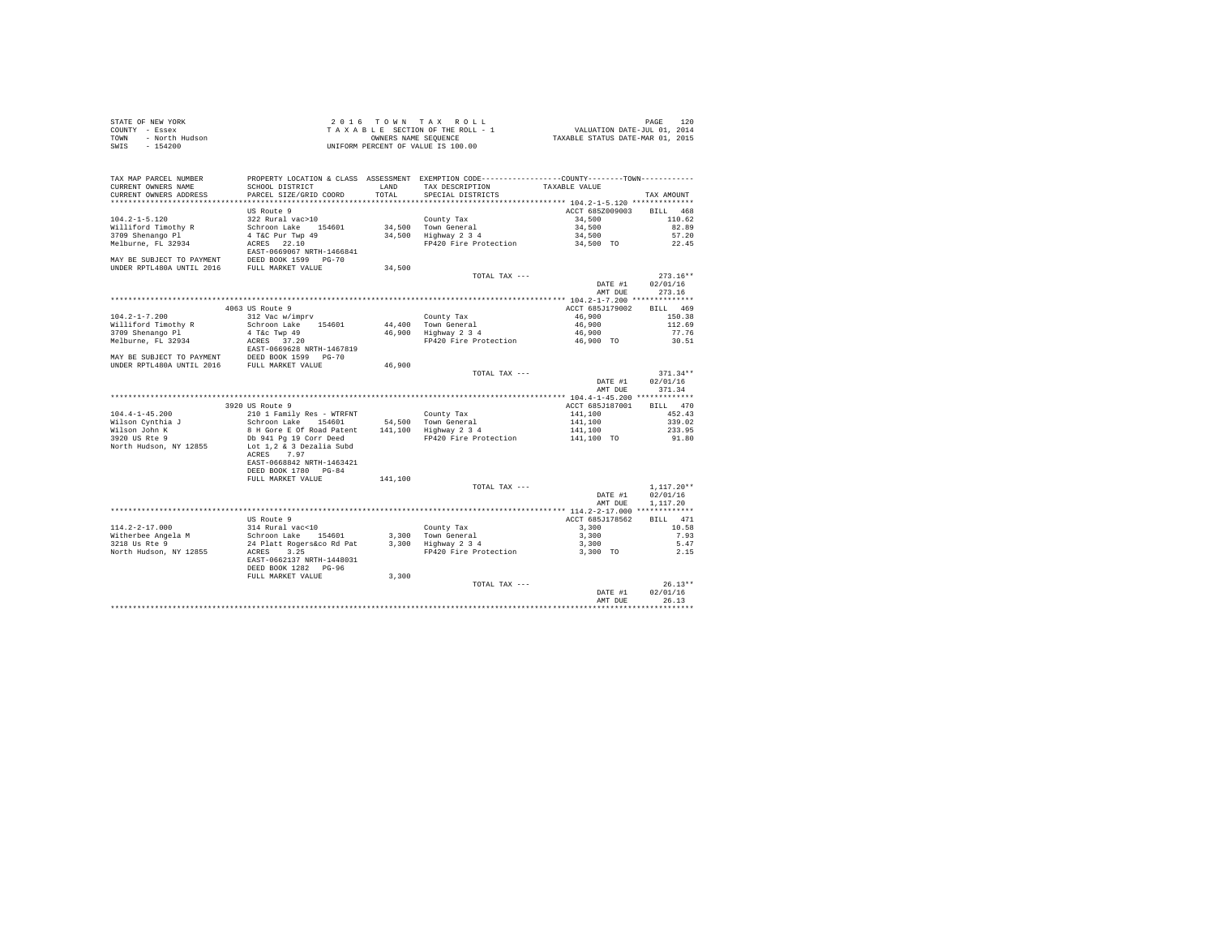| STATE OF NEW YORK      | 2016 TOWN TAX ROLL                 | 120<br>PAGE                      |
|------------------------|------------------------------------|----------------------------------|
| COUNTY - Essex         | TAXABLE SECTION OF THE ROLL - 1    | VALUATION DATE-JUL 01, 2014      |
| TOWN<br>- North Hudson | OWNERS NAME SEOUENCE               | TAXABLE STATUS DATE-MAR 01, 2015 |
| - 154200<br>SWIS       | UNIFORM PERCENT OF VALUE IS 100.00 |                                  |

| CURRENT OWNERS ADDRESS<br>PARCEL SIZE/GRID COORD<br>TOTAL<br>SPECIAL DISTRICTS<br>TAX AMOUNT<br>***********************<br>US Route 9<br>ACCT 685Z009003<br><b>BILL</b><br>$104.2 - 1 - 5.120$<br>322 Rural vac>10<br>County Tax<br>34,500<br>34,500<br>Schroon Lake<br>34.500 Town General<br>154601<br>4 T&C Pur Twp 49<br>3709 Shenango Pl<br>34,500<br>Highway 2 3 4<br>34,500<br>22.10<br>FP420 Fire Protection<br>ACRES<br>34,500 TO<br>EAST-0669067 NRTH-1466841<br>DEED BOOK 1599 PG-70<br>UNDER RPTL480A UNTIL 2016<br>FULL MARKET VALUE<br>34,500<br>TOTAL TAX ---<br>02/01/16<br>DATE #1<br>AMT DUE<br>4063 US Route 9<br>ACCT 685J179002<br><b>BILL</b><br>$104.2 - 1 - 7.200$<br>312 Vac w/imprv<br>46.900<br>County Tax<br>Schroon Lake 154601<br>44,400<br>Town General<br>46,900<br>4 T&c Twp 49<br>46,900<br>Highway 2 3 4<br>46,900<br>FP420 Fire Protection<br>ACRES 37.20<br>46,900 TO<br>EAST-0669628 NRTH-1467819<br>DEED BOOK 1599 PG-70<br>MAY BE SUBJECT TO PAYMENT<br>UNDER RPTL480A UNTIL 2016<br>46,900<br>FULL MARKET VALUE<br>TOTAL TAX --- | 468<br>110.62<br>82.89<br>57.20<br>22.45<br>$273.16**$ |
|---------------------------------------------------------------------------------------------------------------------------------------------------------------------------------------------------------------------------------------------------------------------------------------------------------------------------------------------------------------------------------------------------------------------------------------------------------------------------------------------------------------------------------------------------------------------------------------------------------------------------------------------------------------------------------------------------------------------------------------------------------------------------------------------------------------------------------------------------------------------------------------------------------------------------------------------------------------------------------------------------------------------------------------------------------------------------|--------------------------------------------------------|
|                                                                                                                                                                                                                                                                                                                                                                                                                                                                                                                                                                                                                                                                                                                                                                                                                                                                                                                                                                                                                                                                           |                                                        |
| Williford Timothy R<br>Melburne, FL 32934<br>MAY BE SUBJECT TO PAYMENT<br>Williford Timothy R<br>3709 Shenango Pl<br>Melburne, FL 32934                                                                                                                                                                                                                                                                                                                                                                                                                                                                                                                                                                                                                                                                                                                                                                                                                                                                                                                                   |                                                        |
|                                                                                                                                                                                                                                                                                                                                                                                                                                                                                                                                                                                                                                                                                                                                                                                                                                                                                                                                                                                                                                                                           |                                                        |
|                                                                                                                                                                                                                                                                                                                                                                                                                                                                                                                                                                                                                                                                                                                                                                                                                                                                                                                                                                                                                                                                           |                                                        |
|                                                                                                                                                                                                                                                                                                                                                                                                                                                                                                                                                                                                                                                                                                                                                                                                                                                                                                                                                                                                                                                                           |                                                        |
|                                                                                                                                                                                                                                                                                                                                                                                                                                                                                                                                                                                                                                                                                                                                                                                                                                                                                                                                                                                                                                                                           |                                                        |
|                                                                                                                                                                                                                                                                                                                                                                                                                                                                                                                                                                                                                                                                                                                                                                                                                                                                                                                                                                                                                                                                           |                                                        |
|                                                                                                                                                                                                                                                                                                                                                                                                                                                                                                                                                                                                                                                                                                                                                                                                                                                                                                                                                                                                                                                                           |                                                        |
|                                                                                                                                                                                                                                                                                                                                                                                                                                                                                                                                                                                                                                                                                                                                                                                                                                                                                                                                                                                                                                                                           |                                                        |
|                                                                                                                                                                                                                                                                                                                                                                                                                                                                                                                                                                                                                                                                                                                                                                                                                                                                                                                                                                                                                                                                           |                                                        |
|                                                                                                                                                                                                                                                                                                                                                                                                                                                                                                                                                                                                                                                                                                                                                                                                                                                                                                                                                                                                                                                                           |                                                        |
|                                                                                                                                                                                                                                                                                                                                                                                                                                                                                                                                                                                                                                                                                                                                                                                                                                                                                                                                                                                                                                                                           |                                                        |
|                                                                                                                                                                                                                                                                                                                                                                                                                                                                                                                                                                                                                                                                                                                                                                                                                                                                                                                                                                                                                                                                           | 273.16                                                 |
|                                                                                                                                                                                                                                                                                                                                                                                                                                                                                                                                                                                                                                                                                                                                                                                                                                                                                                                                                                                                                                                                           |                                                        |
|                                                                                                                                                                                                                                                                                                                                                                                                                                                                                                                                                                                                                                                                                                                                                                                                                                                                                                                                                                                                                                                                           | 469                                                    |
|                                                                                                                                                                                                                                                                                                                                                                                                                                                                                                                                                                                                                                                                                                                                                                                                                                                                                                                                                                                                                                                                           | 150.38                                                 |
|                                                                                                                                                                                                                                                                                                                                                                                                                                                                                                                                                                                                                                                                                                                                                                                                                                                                                                                                                                                                                                                                           | 112.69                                                 |
|                                                                                                                                                                                                                                                                                                                                                                                                                                                                                                                                                                                                                                                                                                                                                                                                                                                                                                                                                                                                                                                                           | 77.76                                                  |
|                                                                                                                                                                                                                                                                                                                                                                                                                                                                                                                                                                                                                                                                                                                                                                                                                                                                                                                                                                                                                                                                           | 30.51                                                  |
|                                                                                                                                                                                                                                                                                                                                                                                                                                                                                                                                                                                                                                                                                                                                                                                                                                                                                                                                                                                                                                                                           |                                                        |
|                                                                                                                                                                                                                                                                                                                                                                                                                                                                                                                                                                                                                                                                                                                                                                                                                                                                                                                                                                                                                                                                           |                                                        |
|                                                                                                                                                                                                                                                                                                                                                                                                                                                                                                                                                                                                                                                                                                                                                                                                                                                                                                                                                                                                                                                                           |                                                        |
|                                                                                                                                                                                                                                                                                                                                                                                                                                                                                                                                                                                                                                                                                                                                                                                                                                                                                                                                                                                                                                                                           | $371.34**$                                             |
| DATE #1<br>02/01/16                                                                                                                                                                                                                                                                                                                                                                                                                                                                                                                                                                                                                                                                                                                                                                                                                                                                                                                                                                                                                                                       |                                                        |
| AMT DUE                                                                                                                                                                                                                                                                                                                                                                                                                                                                                                                                                                                                                                                                                                                                                                                                                                                                                                                                                                                                                                                                   | 371.34                                                 |
| ************ 104.4-1-45.200 *************                                                                                                                                                                                                                                                                                                                                                                                                                                                                                                                                                                                                                                                                                                                                                                                                                                                                                                                                                                                                                                 |                                                        |
| 3920 US Route 9<br>ACCT 685J187001<br><b>BILL</b>                                                                                                                                                                                                                                                                                                                                                                                                                                                                                                                                                                                                                                                                                                                                                                                                                                                                                                                                                                                                                         | 470                                                    |
| $104.4 - 1 - 45.200$<br>141,100                                                                                                                                                                                                                                                                                                                                                                                                                                                                                                                                                                                                                                                                                                                                                                                                                                                                                                                                                                                                                                           | 452.43                                                 |
| 210 1 Family Res - WTRFNT<br>County Tax                                                                                                                                                                                                                                                                                                                                                                                                                                                                                                                                                                                                                                                                                                                                                                                                                                                                                                                                                                                                                                   |                                                        |
| Schroon Lake 154601<br>54.500 Town General<br>141,100<br>Wilson Cynthia J                                                                                                                                                                                                                                                                                                                                                                                                                                                                                                                                                                                                                                                                                                                                                                                                                                                                                                                                                                                                 | 339.02                                                 |
| Wilson John K<br>8 H Gore E Of Road Patent<br>141,100<br>Highway 2 3 4<br>141,100                                                                                                                                                                                                                                                                                                                                                                                                                                                                                                                                                                                                                                                                                                                                                                                                                                                                                                                                                                                         | 233.95                                                 |
| 3920 US Rte 9<br>Db 941 Pg 19 Corr Deed<br>FP420 Fire Protection<br>141,100 TO                                                                                                                                                                                                                                                                                                                                                                                                                                                                                                                                                                                                                                                                                                                                                                                                                                                                                                                                                                                            | 91.80                                                  |
| Lot 1.2 & 3 Dezalia Subd<br>North Hudson, NY 12855                                                                                                                                                                                                                                                                                                                                                                                                                                                                                                                                                                                                                                                                                                                                                                                                                                                                                                                                                                                                                        |                                                        |
| ACRES<br>7.97                                                                                                                                                                                                                                                                                                                                                                                                                                                                                                                                                                                                                                                                                                                                                                                                                                                                                                                                                                                                                                                             |                                                        |
| EAST-0668842 NRTH-1463421                                                                                                                                                                                                                                                                                                                                                                                                                                                                                                                                                                                                                                                                                                                                                                                                                                                                                                                                                                                                                                                 |                                                        |
| DEED BOOK 1780 PG-84                                                                                                                                                                                                                                                                                                                                                                                                                                                                                                                                                                                                                                                                                                                                                                                                                                                                                                                                                                                                                                                      |                                                        |
| FULL MARKET VALUE<br>141,100                                                                                                                                                                                                                                                                                                                                                                                                                                                                                                                                                                                                                                                                                                                                                                                                                                                                                                                                                                                                                                              |                                                        |
| TOTAL TAX ---                                                                                                                                                                                                                                                                                                                                                                                                                                                                                                                                                                                                                                                                                                                                                                                                                                                                                                                                                                                                                                                             | $1,117.20**$                                           |
| 02/01/16<br>DATE #1                                                                                                                                                                                                                                                                                                                                                                                                                                                                                                                                                                                                                                                                                                                                                                                                                                                                                                                                                                                                                                                       |                                                        |
| 1,117.20<br>AMT DUE                                                                                                                                                                                                                                                                                                                                                                                                                                                                                                                                                                                                                                                                                                                                                                                                                                                                                                                                                                                                                                                       |                                                        |
| ************* 114.2-2-17.000 **************                                                                                                                                                                                                                                                                                                                                                                                                                                                                                                                                                                                                                                                                                                                                                                                                                                                                                                                                                                                                                               |                                                        |
| <b>IIS Route 9</b><br>ACCT 685J178562                                                                                                                                                                                                                                                                                                                                                                                                                                                                                                                                                                                                                                                                                                                                                                                                                                                                                                                                                                                                                                     | BILL 471                                               |
| $114.2 - 2 - 17.000$<br>314 Rural vac<10<br>3,300<br>County Tax                                                                                                                                                                                                                                                                                                                                                                                                                                                                                                                                                                                                                                                                                                                                                                                                                                                                                                                                                                                                           | 10.58                                                  |
| Witherbee Angela M<br>Schroon Lake 154601<br>3,300<br>Town General<br>3,300                                                                                                                                                                                                                                                                                                                                                                                                                                                                                                                                                                                                                                                                                                                                                                                                                                                                                                                                                                                               | 7.93                                                   |
| 3218 Us Rte 9<br>24 Platt Rogers&co Rd Pat<br>3,300<br>Highway 2 3 4<br>3,300                                                                                                                                                                                                                                                                                                                                                                                                                                                                                                                                                                                                                                                                                                                                                                                                                                                                                                                                                                                             | 5.47                                                   |
| North Hudson, NY 12855<br>3.25<br>FP420 Fire Protection<br>ACRES<br>3,300 TO                                                                                                                                                                                                                                                                                                                                                                                                                                                                                                                                                                                                                                                                                                                                                                                                                                                                                                                                                                                              |                                                        |
| EAST-0662137 NRTH-1448031                                                                                                                                                                                                                                                                                                                                                                                                                                                                                                                                                                                                                                                                                                                                                                                                                                                                                                                                                                                                                                                 | 2.15                                                   |
| DEED BOOK 1282 PG-96                                                                                                                                                                                                                                                                                                                                                                                                                                                                                                                                                                                                                                                                                                                                                                                                                                                                                                                                                                                                                                                      |                                                        |
| FULL MARKET VALUE<br>3,300                                                                                                                                                                                                                                                                                                                                                                                                                                                                                                                                                                                                                                                                                                                                                                                                                                                                                                                                                                                                                                                |                                                        |
| TOTAL TAX ---                                                                                                                                                                                                                                                                                                                                                                                                                                                                                                                                                                                                                                                                                                                                                                                                                                                                                                                                                                                                                                                             |                                                        |
| 02/01/16<br>DATE #1                                                                                                                                                                                                                                                                                                                                                                                                                                                                                                                                                                                                                                                                                                                                                                                                                                                                                                                                                                                                                                                       | $26.13**$                                              |
| AMT DUE                                                                                                                                                                                                                                                                                                                                                                                                                                                                                                                                                                                                                                                                                                                                                                                                                                                                                                                                                                                                                                                                   |                                                        |
|                                                                                                                                                                                                                                                                                                                                                                                                                                                                                                                                                                                                                                                                                                                                                                                                                                                                                                                                                                                                                                                                           | 26.13                                                  |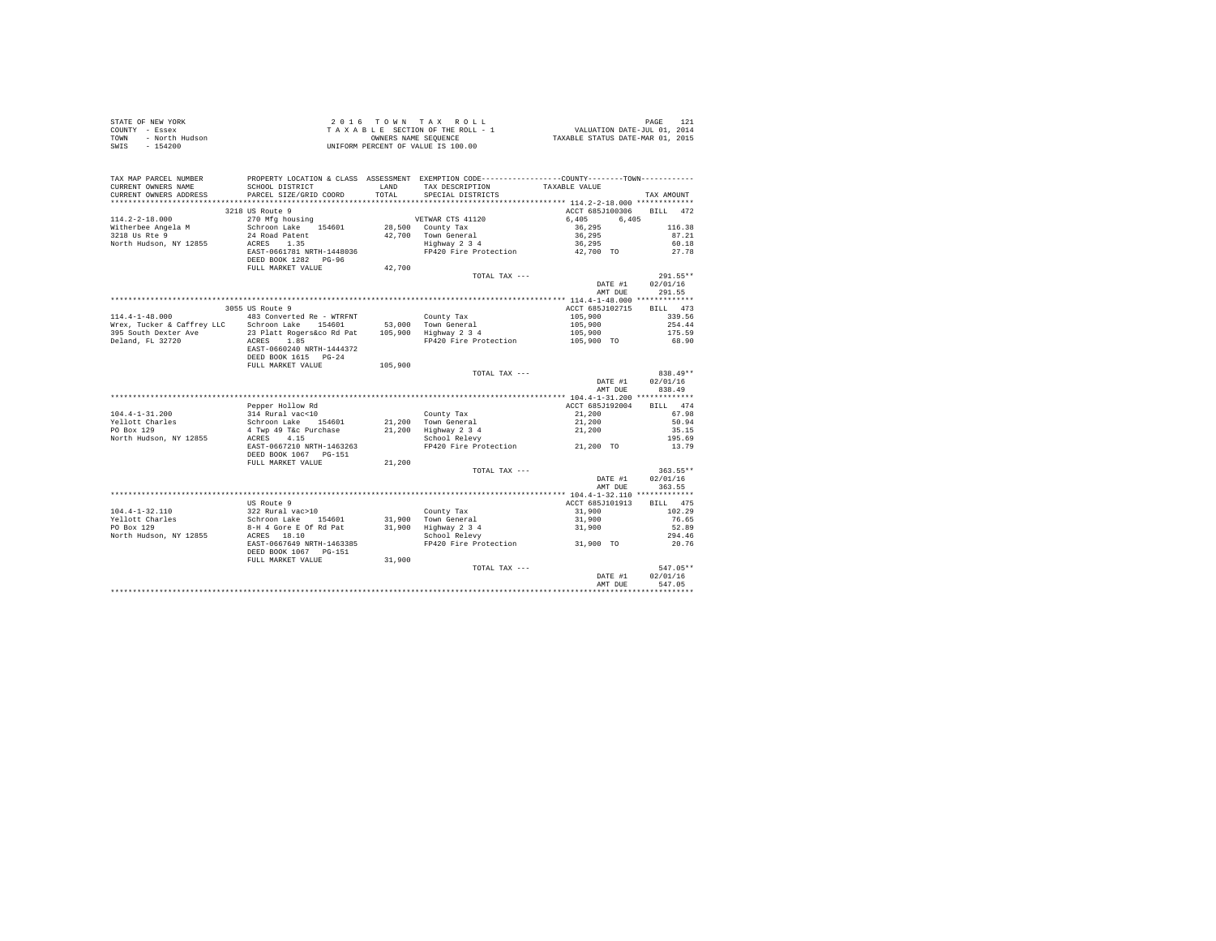| $\begin{array}{cccccccccccc} \texttt{STAR} & \texttt{OREN} & \texttt{NOR} & \texttt{PAGE} & \texttt{121} & \texttt{121} & \texttt{122} & \texttt{123} & \texttt{124} & \texttt{125} & \texttt{126} & \texttt{127} & \texttt{128} & \texttt{129} & \texttt{129} & \texttt{129} & \texttt{120} \\ \texttt{CONTPT} & - & \texttt{Koseex} & \texttt{W} & \texttt{NOR} & \texttt{SSE} & \texttt{STIN} & \texttt{O} & \texttt{S$ |                                                                                                |         |                                                                            |                                                                    |            |
|----------------------------------------------------------------------------------------------------------------------------------------------------------------------------------------------------------------------------------------------------------------------------------------------------------------------------------------------------------------------------------------------------------------------------|------------------------------------------------------------------------------------------------|---------|----------------------------------------------------------------------------|--------------------------------------------------------------------|------------|
|                                                                                                                                                                                                                                                                                                                                                                                                                            |                                                                                                |         |                                                                            |                                                                    |            |
|                                                                                                                                                                                                                                                                                                                                                                                                                            |                                                                                                |         |                                                                            |                                                                    |            |
|                                                                                                                                                                                                                                                                                                                                                                                                                            |                                                                                                |         |                                                                            |                                                                    |            |
|                                                                                                                                                                                                                                                                                                                                                                                                                            |                                                                                                |         |                                                                            |                                                                    |            |
|                                                                                                                                                                                                                                                                                                                                                                                                                            |                                                                                                |         |                                                                            |                                                                    |            |
|                                                                                                                                                                                                                                                                                                                                                                                                                            |                                                                                                |         |                                                                            |                                                                    |            |
| TAX MAP PARCEL NUMBER                                                                                                                                                                                                                                                                                                                                                                                                      | PROPERTY LOCATION & CLASS ASSESSMENT EXEMPTION CODE----------------COUNTY-------TOWN---------- |         |                                                                            |                                                                    |            |
| CURRENT OWNERS NAME                                                                                                                                                                                                                                                                                                                                                                                                        | SCHOOL DISTRICT                                                                                | LAND    | TAX DESCRIPTION                                                            | TAXABLE VALUE                                                      |            |
| CURRENT OWNERS ADDRESS                                                                                                                                                                                                                                                                                                                                                                                                     | PARCEL SIZE/GRID COORD                                                                         | TOTAL   | SPECIAL DISTRICTS                                                          |                                                                    |            |
|                                                                                                                                                                                                                                                                                                                                                                                                                            |                                                                                                |         |                                                                            |                                                                    | TAX AMOUNT |
|                                                                                                                                                                                                                                                                                                                                                                                                                            |                                                                                                |         |                                                                            |                                                                    |            |
|                                                                                                                                                                                                                                                                                                                                                                                                                            | 3218 US Route 9                                                                                |         |                                                                            | ACCT 685J100306                                                    | BILL 472   |
| $114.2 - 2 - 18.000$                                                                                                                                                                                                                                                                                                                                                                                                       | 270 Mfg housing                                                                                |         | VETWAR CTS 41120                                                           | 6,405<br>6,405                                                     |            |
| Witherbee Angela M                                                                                                                                                                                                                                                                                                                                                                                                         | Schroon Lake 154601                                                                            |         | 28,500 County Tax                                                          | 36,295                                                             | 116.38     |
| 3218 Us Rte 9                                                                                                                                                                                                                                                                                                                                                                                                              | 24 Road Patent                                                                                 |         | 42,700 Town General<br>Highway 2 3 4                                       | 36,295                                                             | 87.21      |
| North Hudson, NY 12855                                                                                                                                                                                                                                                                                                                                                                                                     | ACRES 1.35                                                                                     |         |                                                                            | 36,295                                                             | 60.18      |
|                                                                                                                                                                                                                                                                                                                                                                                                                            | EAST-0661781 NRTH-1448036                                                                      |         | FP420 Fire Protection                                                      | 42,700 TO                                                          | 27.78      |
|                                                                                                                                                                                                                                                                                                                                                                                                                            | DEED BOOK 1282 PG-96                                                                           |         |                                                                            |                                                                    |            |
|                                                                                                                                                                                                                                                                                                                                                                                                                            | FULL MARKET VALUE                                                                              | 42,700  |                                                                            |                                                                    |            |
|                                                                                                                                                                                                                                                                                                                                                                                                                            |                                                                                                |         | TOTAL TAX ---                                                              |                                                                    | $291.55**$ |
|                                                                                                                                                                                                                                                                                                                                                                                                                            |                                                                                                |         |                                                                            | DATE #1                                                            | 02/01/16   |
|                                                                                                                                                                                                                                                                                                                                                                                                                            |                                                                                                |         |                                                                            |                                                                    |            |
|                                                                                                                                                                                                                                                                                                                                                                                                                            |                                                                                                |         |                                                                            | AMT DUE                                                            | 291.55     |
|                                                                                                                                                                                                                                                                                                                                                                                                                            |                                                                                                |         |                                                                            |                                                                    |            |
|                                                                                                                                                                                                                                                                                                                                                                                                                            | 3055 US Route 9                                                                                |         |                                                                            | ACCT 685J102715                                                    | BILL 473   |
| $114.4 - 1 - 48.000$                                                                                                                                                                                                                                                                                                                                                                                                       | 483 Converted Re - WTRFNT                                                                      |         | County Tax                                                                 | 105,900                                                            | 339.56     |
|                                                                                                                                                                                                                                                                                                                                                                                                                            |                                                                                                |         |                                                                            | 105,900                                                            | 254.44     |
| Wrex, Tucker & Caffrey LLC Schroon Lake 154601 53,000 Town General<br>395 South Dexter Ave 23 Platt Rogers&co Rd Pat 105,900 Highway 2 3 4                                                                                                                                                                                                                                                                                 |                                                                                                |         |                                                                            | 105,900                                                            | 175.59     |
| Deland, FL 32720                                                                                                                                                                                                                                                                                                                                                                                                           | ACRES 1.85                                                                                     |         | FP420 Fire Protection                                                      | 105,900 TO                                                         | 68.90      |
|                                                                                                                                                                                                                                                                                                                                                                                                                            | EAST-0660240 NRTH-1444372                                                                      |         |                                                                            |                                                                    |            |
|                                                                                                                                                                                                                                                                                                                                                                                                                            | DEED BOOK 1615 PG-24                                                                           |         |                                                                            |                                                                    |            |
|                                                                                                                                                                                                                                                                                                                                                                                                                            | FULL MARKET VALUE                                                                              | 105,900 |                                                                            |                                                                    |            |
|                                                                                                                                                                                                                                                                                                                                                                                                                            |                                                                                                |         | TOTAL TAX ---                                                              |                                                                    | 838.49**   |
|                                                                                                                                                                                                                                                                                                                                                                                                                            |                                                                                                |         |                                                                            | DATE #1                                                            | 02/01/16   |
|                                                                                                                                                                                                                                                                                                                                                                                                                            |                                                                                                |         |                                                                            | AMT DUE                                                            | 838.49     |
|                                                                                                                                                                                                                                                                                                                                                                                                                            |                                                                                                |         |                                                                            |                                                                    |            |
|                                                                                                                                                                                                                                                                                                                                                                                                                            |                                                                                                |         |                                                                            |                                                                    |            |
|                                                                                                                                                                                                                                                                                                                                                                                                                            | Pepper Hollow Rd                                                                               |         |                                                                            | ACCT 685J192004                                                    | BILL 474   |
| $104.4 - 1 - 31.200$                                                                                                                                                                                                                                                                                                                                                                                                       | 314 Rural vac<10<br>Schroon Lake 154601                                                        |         |                                                                            |                                                                    | 67.98      |
| Yellott Charles                                                                                                                                                                                                                                                                                                                                                                                                            |                                                                                                |         |                                                                            |                                                                    | 50.94      |
| PO Box 129                                                                                                                                                                                                                                                                                                                                                                                                                 | 4 Twp 49 T&c Purchase                                                                          |         |                                                                            |                                                                    | 35.15      |
| North Hudson, NY 12855                                                                                                                                                                                                                                                                                                                                                                                                     | ACRES 4.15                                                                                     |         | County Tax<br>21,200 Town General<br>21,200 Highway 2 3 4<br>School Relevy | $\begin{array}{c} 21\,, 200 \\ 21\,, 200 \\ 21\,, 200 \end{array}$ | 195.69     |
|                                                                                                                                                                                                                                                                                                                                                                                                                            | EAST-0667210 NRTH-1463263                                                                      |         | FP420 Fire Protection 21,200 TO                                            |                                                                    | 13.79      |
|                                                                                                                                                                                                                                                                                                                                                                                                                            | DEED BOOK 1067 PG-151                                                                          |         |                                                                            |                                                                    |            |
|                                                                                                                                                                                                                                                                                                                                                                                                                            | FULL MARKET VALUE                                                                              | 21,200  |                                                                            |                                                                    |            |
|                                                                                                                                                                                                                                                                                                                                                                                                                            |                                                                                                |         | TOTAL TAX ---                                                              |                                                                    | $363.55**$ |
|                                                                                                                                                                                                                                                                                                                                                                                                                            |                                                                                                |         |                                                                            | DATE #1                                                            | 02/01/16   |
|                                                                                                                                                                                                                                                                                                                                                                                                                            |                                                                                                |         |                                                                            | AMT DUE                                                            | 363.55     |
|                                                                                                                                                                                                                                                                                                                                                                                                                            |                                                                                                |         |                                                                            |                                                                    |            |
|                                                                                                                                                                                                                                                                                                                                                                                                                            |                                                                                                |         |                                                                            |                                                                    |            |
|                                                                                                                                                                                                                                                                                                                                                                                                                            | US Route 9                                                                                     |         |                                                                            | ACCT 685J101913                                                    | BILL 475   |
| $104.4 - 1 - 32.110$                                                                                                                                                                                                                                                                                                                                                                                                       | 322 Rural vac>10<br>Schroon Lake 154601                                                        |         | County Tax                                                                 |                                                                    | 102.29     |
| Yellott Charles<br>PO Box 129                                                                                                                                                                                                                                                                                                                                                                                              |                                                                                                |         | 31,900 Town General                                                        | $31,900$<br>$31,900$<br>$31,900$                                   | 76.65      |
|                                                                                                                                                                                                                                                                                                                                                                                                                            | 8-H 4 Gore E Of Rd Pat                                                                         |         |                                                                            |                                                                    | 52.89      |
| North Hudson, NY 12855                                                                                                                                                                                                                                                                                                                                                                                                     | ACRES 18.10                                                                                    |         | 31,900 Highway 2 3 4<br>School Relevy                                      |                                                                    | 294.46     |
|                                                                                                                                                                                                                                                                                                                                                                                                                            | EAST-0667649 NRTH-1463385                                                                      |         | FP420 Fire Protection 31,900 TO                                            |                                                                    | 20.76      |
|                                                                                                                                                                                                                                                                                                                                                                                                                            | DEED BOOK 1067 PG-151                                                                          |         |                                                                            |                                                                    |            |
|                                                                                                                                                                                                                                                                                                                                                                                                                            | FULL MARKET VALUE                                                                              | 31,900  |                                                                            |                                                                    |            |
|                                                                                                                                                                                                                                                                                                                                                                                                                            |                                                                                                |         | TOTAL TAX ---                                                              |                                                                    | $547.05**$ |
|                                                                                                                                                                                                                                                                                                                                                                                                                            |                                                                                                |         |                                                                            | DATE #1                                                            | 02/01/16   |
|                                                                                                                                                                                                                                                                                                                                                                                                                            |                                                                                                |         |                                                                            | AMT DUE                                                            | 547.05     |
|                                                                                                                                                                                                                                                                                                                                                                                                                            |                                                                                                |         |                                                                            |                                                                    |            |
|                                                                                                                                                                                                                                                                                                                                                                                                                            |                                                                                                |         |                                                                            |                                                                    |            |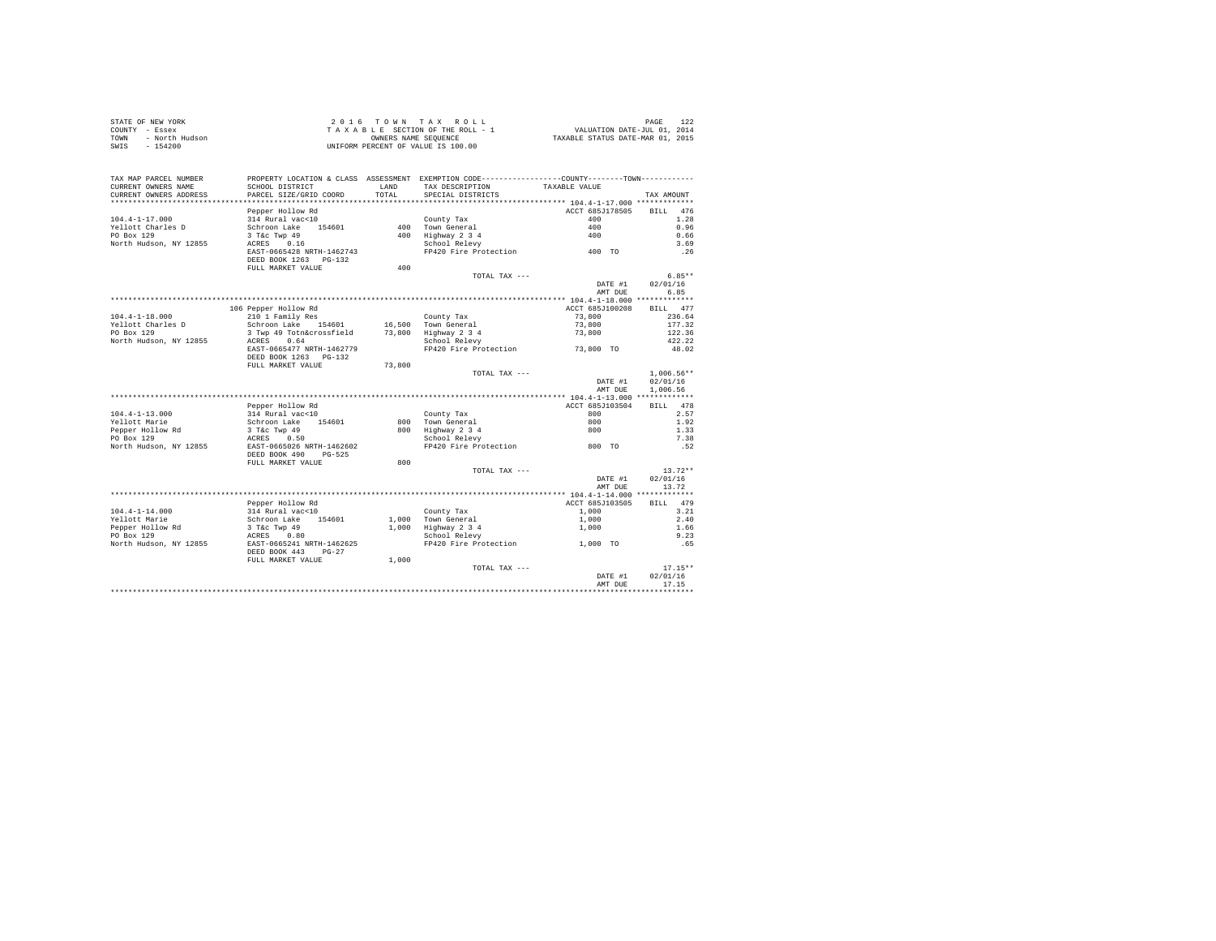| STATE OF NEW YORK      |                           |            | 2016 TOWN TAX ROLL                 |                                                    | 122<br>PAGE                 |
|------------------------|---------------------------|------------|------------------------------------|----------------------------------------------------|-----------------------------|
| COUNTY<br>- Essex      |                           |            | TAXABLE SECTION OF THE ROLL - 1    |                                                    | VALUATION DATE-JUL 01, 2014 |
| - North Hudson<br>TOWN |                           |            | OWNERS NAME SEOUENCE               | TAXABLE STATUS DATE-MAR 01, 2015                   |                             |
| $-154200$<br>SWIS      |                           |            | UNIFORM PERCENT OF VALUE IS 100.00 |                                                    |                             |
|                        |                           |            |                                    |                                                    |                             |
|                        |                           |            |                                    |                                                    |                             |
|                        |                           |            |                                    |                                                    |                             |
| TAX MAP PARCEL NUMBER  | PROPERTY LOCATION & CLASS | ASSESSMENT |                                    | EXEMPTION CODE-----------------COUNTY-------TOWN-- |                             |
| CURRENT OWNERS NAME    | SCHOOL DISTRICT           | LAND       | TAX DESCRIPTION                    | TAXABLE VALUE                                      |                             |
| CURRENT OWNERS ADDRESS | PARCEL SIZE/GRID COORD    | TOTAL      | SPECIAL DISTRICTS                  |                                                    | TAX AMOUNT                  |
|                        |                           |            |                                    |                                                    |                             |
|                        | Pepper Hollow Rd          |            |                                    | ACCT 685J178505                                    | 476<br>BTLL.                |
| $104.4 - 1 - 17.000$   | 314 Rural vac<10          |            | County Tax                         | 400                                                | 1.28                        |
|                        |                           |            |                                    |                                                    |                             |

| Yellott Charles D      | Schroon Lake<br>154601                                 | 400    | Town General          | 400                | 0.96                  |
|------------------------|--------------------------------------------------------|--------|-----------------------|--------------------|-----------------------|
| PO Box 129             | 3 T&c Twp 49                                           | 400    | Highway 2 3 4         | 400                | 0.66                  |
| North Hudson, NY 12855 | ACRES<br>0.16                                          |        | School Relevy         |                    | 3.69                  |
|                        | EAST-0665428 NRTH-1462743                              |        | FP420 Fire Protection | 400 TO             | .26                   |
|                        | DEED BOOK 1263 PG-132                                  | 400    |                       |                    |                       |
|                        | FULL MARKET VALUE                                      |        | TOTAL TAX ---         |                    | $6.85**$              |
|                        |                                                        |        |                       | DATE #1            | 02/01/16              |
|                        |                                                        |        |                       | AMT DUE            | 6.85                  |
|                        |                                                        |        |                       |                    |                       |
|                        | 106 Pepper Hollow Rd                                   |        |                       | ACCT 685J100208    | 477<br><b>BILL</b>    |
| $104.4 - 1 - 18.000$   | 210 1 Family Res                                       |        | County Tax            | 73,800             | 236.64                |
| Yellott Charles D      | Schroon Lake<br>154601                                 |        | 16,500 Town General   | 73,800             | 177.32                |
| PO Box 129             | 3 Twp 49 Totn&crossfield                               |        | 73,800 Highway 2 3 4  | 73,800             | 122.36                |
| North Hudson, NY 12855 | 0.64<br>ACRES                                          |        | School Relevy         |                    | 422.22                |
|                        | EAST-0665477 NRTH-1462779                              |        | FP420 Fire Protection | 73,800 TO          | 48.02                 |
|                        | DEED BOOK 1263 PG-132                                  |        |                       |                    |                       |
|                        | FULL MARKET VALUE                                      | 73,800 |                       |                    |                       |
|                        |                                                        |        | TOTAL TAX ---         |                    | $1.006.56**$          |
|                        |                                                        |        |                       | DATE #1            | 02/01/16              |
|                        |                                                        |        |                       | AMT DUE            | 1,006.56              |
|                        |                                                        |        |                       |                    |                       |
|                        | Pepper Hollow Rd                                       |        |                       | ACCT 685J103504    | BILL 478              |
| $104.4 - 1 - 13.000$   | 314 Rural vac<10                                       |        | County Tax            | 800                | 2.57                  |
| Yellott Marie          | Schroon Lake<br>154601                                 |        | 800 Town General      | 800                | 1.92                  |
| Pepper Hollow Rd       | 3 T&c Twp 49                                           |        | 800 Highway 2 3 4     | 800                | 1.33                  |
| PO Box 129             | ACRES<br>0.50                                          |        | School Relevy         |                    | 7.38                  |
| North Hudson, NY 12855 | EAST-0665026 NRTH-1462602<br>DEED BOOK 490<br>$PG-525$ |        | FP420 Fire Protection | 800 TO             | .52                   |
|                        | FULL MARKET VALUE                                      | 800    |                       |                    |                       |
|                        |                                                        |        | TOTAL TAX ---         |                    | $13.72**$             |
|                        |                                                        |        |                       | DATE #1            | 02/01/16              |
|                        |                                                        |        |                       | AMT DUE            | 13.72                 |
|                        |                                                        |        |                       |                    |                       |
|                        | Pepper Hollow Rd                                       |        |                       | ACCT 685J103505    | BILL 479              |
| $104.4 - 1 - 14.000$   | 314 Rural vac<10                                       |        | County Tax            | 1,000              | 3.21                  |
| Yellott Marie          | Schroon Lake<br>154601                                 |        | 1.000 Town General    | 1,000              | 2.40                  |
| Pepper Hollow Rd       | 3 T&c Twp 49                                           | 1,000  | Highway 2 3 4         | 1,000              | 1.66                  |
| PO Box 129             | ACRES 0.80                                             |        | School Relevy         |                    | 9.23                  |
| North Hudson, NY 12855 | EAST-0665241 NRTH-1462625                              |        | FP420 Fire Protection | 1,000 TO           | .65                   |
|                        | DEED BOOK 443<br>$PG-27$                               |        |                       |                    |                       |
|                        | FULL MARKET VALUE                                      | 1,000  |                       |                    |                       |
|                        |                                                        |        | TOTAL TAX ---         |                    | $17.15**$<br>02/01/16 |
|                        |                                                        |        |                       | DATE #1<br>AMT DUE | 17.15                 |
|                        |                                                        |        |                       |                    |                       |
|                        |                                                        |        |                       |                    |                       |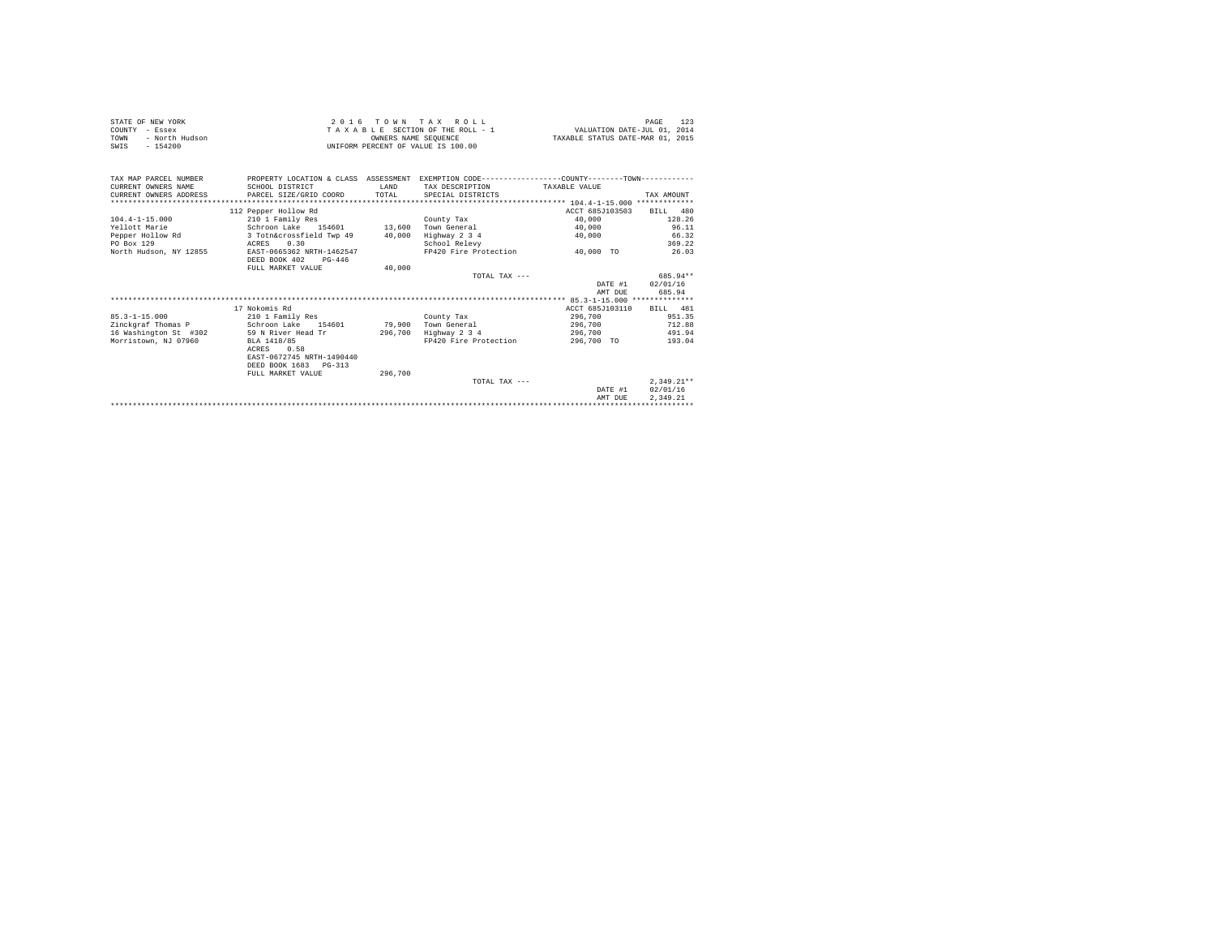| STATE OF NEW YORK<br>COUNTY - Essex<br>- North Hudson<br>TOWN<br>$-154200$<br>SWIS |                                                | OWNERS NAME SEOUENCE   | 2016 TOWN TAX ROLL<br>TAXABLE SECTION OF THE ROLL - 1 WALUATION DATE-JUL 01, 2014<br>UNIFORM PERCENT OF VALUE IS 100.00              | TAXABLE STATUS DATE-MAR 01, 2015   | 123<br>PAGE  |
|------------------------------------------------------------------------------------|------------------------------------------------|------------------------|--------------------------------------------------------------------------------------------------------------------------------------|------------------------------------|--------------|
| TAX MAP PARCEL NUMBER<br>CURRENT OWNERS NAME<br>CURRENT OWNERS ADDRESS             | SCHOOL DISTRICT<br>PARCEL SIZE/GRID COORD      | <b>T.AND</b><br>TOTAL. | PROPERTY LOCATION & CLASS ASSESSMENT EXEMPTION CODE---------------COUNTY-------TOWN---------<br>TAX DESCRIPTION<br>SPECIAL DISTRICTS | TAXARLE VALUE                      | TAX AMOUNT   |
|                                                                                    | 112 Pepper Hollow Rd                           |                        |                                                                                                                                      | ACCT 685J103503                    | BILL 480     |
| $104.4 - 1 - 15.000$                                                               | 210 1 Family Res                               |                        | County Tax                                                                                                                           | 40,000                             | 128.26       |
| Yellott Marie                                                                      | Schroon Lake 154601 13,600                     |                        | Town General                                                                                                                         | 40,000                             | 96.11        |
| Pepper Hollow Rd                                                                   | 3 Totn&crossfield Twp 49                       | 40,000                 | Highway 2 3 4                                                                                                                        | 40,000                             | 66.32        |
| PO Box 129                                                                         | 0.30<br>ACRES                                  |                        | School Relevy                                                                                                                        |                                    | 369.22       |
| North Hudson, NY 12855                                                             | EAST-0665362 NRTH-1462547                      |                        | FP420 Fire Protection 40,000 TO                                                                                                      |                                    | 26.03        |
|                                                                                    | DEED BOOK 402<br>$PG-446$<br>FULL MARKET VALUE | 40,000                 |                                                                                                                                      |                                    |              |
|                                                                                    |                                                |                        | TOTAL TAX ---                                                                                                                        |                                    | 685.94**     |
|                                                                                    |                                                |                        |                                                                                                                                      |                                    | 02/01/16     |
|                                                                                    |                                                |                        |                                                                                                                                      | DATE #1<br>AMT DUE                 | 685.94       |
|                                                                                    |                                                |                        |                                                                                                                                      |                                    |              |
|                                                                                    | 17 Nokomis Rd                                  |                        |                                                                                                                                      | ACCT 685J103110                    | BTT.T. 481   |
| $85.3 - 1 - 15.000$                                                                | 210 1 Family Res                               |                        | County Tax                                                                                                                           | 296,700                            | 951.35       |
| Zinckgraf Thomas P                                                                 | Schroon Lake 154601 79,900 Town General        |                        |                                                                                                                                      | 296.700                            | 712.88       |
| 16 Washington St #302                                                              | 59 N River Head Tr                             | 296,700                | Highway 2 3 4                                                                                                                        | 296,700                            | 491.94       |
| Morristown, NJ 07960                                                               | BLA 1418/85                                    |                        | FP420 Fire Protection                                                                                                                | 296,700 TO                         | 193.04       |
|                                                                                    | ACRES 0.58                                     |                        |                                                                                                                                      |                                    |              |
|                                                                                    | EAST-0672745 NRTH-1490440                      |                        |                                                                                                                                      |                                    |              |
|                                                                                    | DEED BOOK 1683 PG-313                          |                        |                                                                                                                                      |                                    |              |
|                                                                                    | FULL MARKET VALUE                              | 296,700                |                                                                                                                                      |                                    |              |
|                                                                                    |                                                |                        | TOTAL TAX $---$                                                                                                                      |                                    | $2.349.21**$ |
|                                                                                    |                                                |                        |                                                                                                                                      | DATE #1                            | 02/01/16     |
|                                                                                    |                                                |                        |                                                                                                                                      | AMT DUE                            | 2.349.21     |
|                                                                                    |                                                |                        |                                                                                                                                      | ********************************** |              |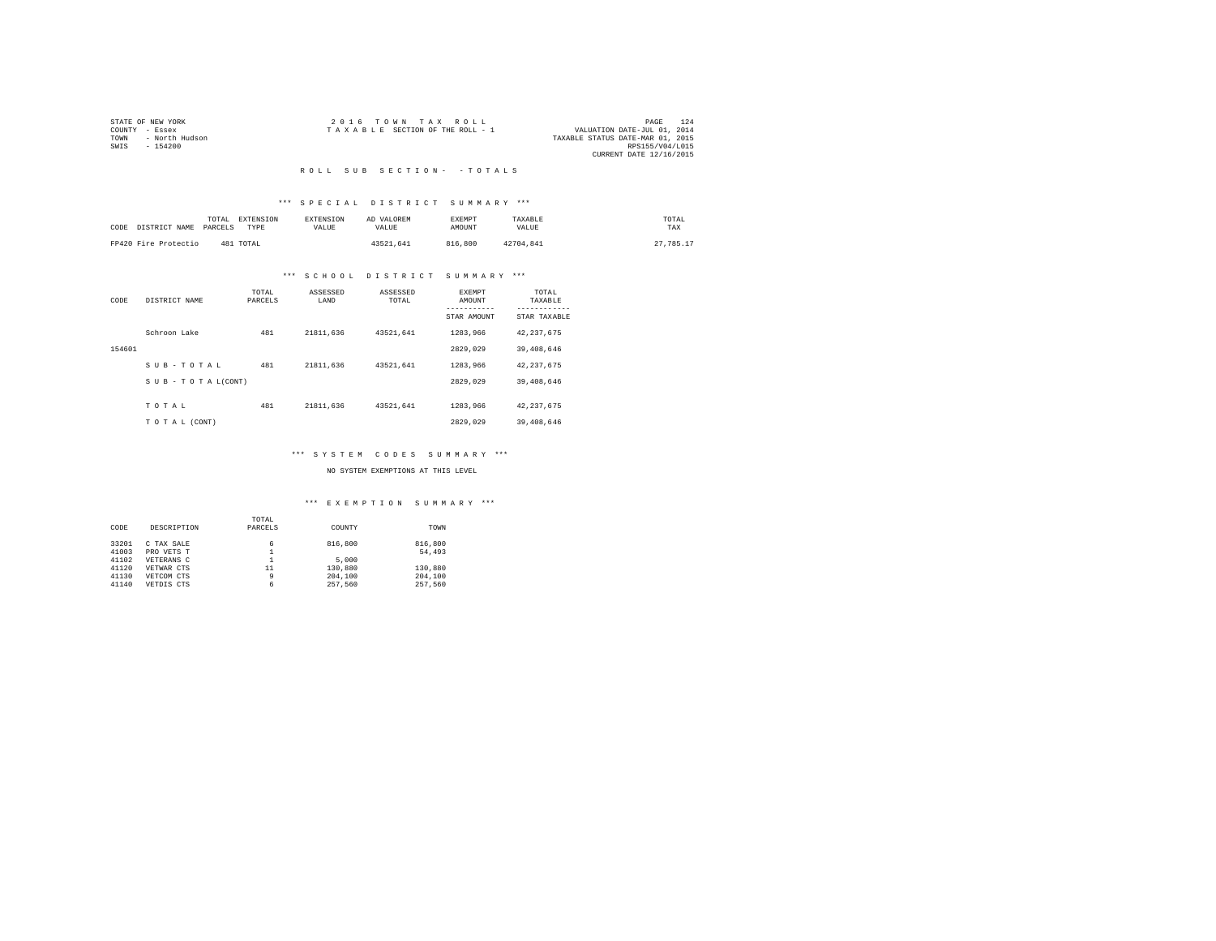| STATE OF NEW YORK      | 2016 TOWN TAX ROLL              | 124<br>PAGE                      |
|------------------------|---------------------------------|----------------------------------|
| COUNTY<br>- Essex      | TAXABLE SECTION OF THE ROLL - 1 | VALUATION DATE-JUL 01, 2014      |
| - North Hudson<br>TOWN |                                 | TAXABLE STATUS DATE-MAR 01, 2015 |
| $-154200$<br>SWIS      |                                 | RPS155/V04/L015                  |
|                        |                                 | CURRENT DATE 12/16/2015          |

#### R O L L S U B S E C T I O N - - T O T A L S

#### \*\*\* S P E C I A L D I S T R I C T S U M M A R Y \*\*\*

| CODE DISTRICT NAME PARCELS | TOTAL | EXTENSION<br>TYPE | <b>EXTENSION</b><br>VALUE. | AD VALOREM<br>VALUE. | <b>EXEMPT</b><br><b>AMOUNT</b> | TAXABLE<br>VALUE | TOTAL<br>TAX |  |
|----------------------------|-------|-------------------|----------------------------|----------------------|--------------------------------|------------------|--------------|--|
| FP420 Fire Protectio       |       | 481 TOTAL         |                            | 43521.641            | 816,800                        | 42704.841        | 27.785.17    |  |

#### \*\*\* S C H O O L D I S T R I C T S U M M A R Y \*\*\*

| CODE   | DISTRICT NAME                 | TOTAL<br>PARCELS | ASSESSED<br>LAND | ASSESSED<br>TOTAL | <b>EXEMPT</b><br>AMOUNT | TOTAL<br>TAXABLE          |
|--------|-------------------------------|------------------|------------------|-------------------|-------------------------|---------------------------|
|        |                               |                  |                  |                   | STAR AMOUNT             | ---------<br>STAR TAXABLE |
|        | Schroon Lake                  | 481              | 21811,636        | 43521.641         | 1283.966                | 42.237.675                |
| 154601 |                               |                  |                  |                   | 2829.029                | 39,408,646                |
|        | SUB-TOTAL                     | 481              | 21811,636        | 43521.641         | 1283.966                | 42, 237, 675              |
|        | $S \cup B - T O T A L (CONT)$ |                  |                  |                   | 2829.029                | 39,408,646                |
|        | TOTAL                         | 481              | 21811,636        | 43521.641         | 1283.966                | 42, 237, 675              |
|        | TO TAL (CONT)                 |                  |                  |                   | 2829.029                | 39,408,646                |

#### \*\*\* S Y S T E M C O D E S S U M M A R Y \*\*\*

#### NO SYSTEM EXEMPTIONS AT THIS LEVEL

|       |             | TOTAL   |         |         |
|-------|-------------|---------|---------|---------|
| CODE  | DESCRIPTION | PARCELS | COUNTY  | TOWN    |
| 33201 | C TAX SALE  | 6       | 816,800 | 816,800 |
| 41003 | PRO VETS T  | ∸       |         | 54,493  |
| 41102 | VETERANS C  |         | 5,000   |         |
| 41120 | VETWAR CTS  | 11      | 130,880 | 130,880 |
| 41130 | VETCOM CTS  | 9       | 204,100 | 204,100 |
| 41140 | VETDIS CTS  | 6       | 257.560 | 257.560 |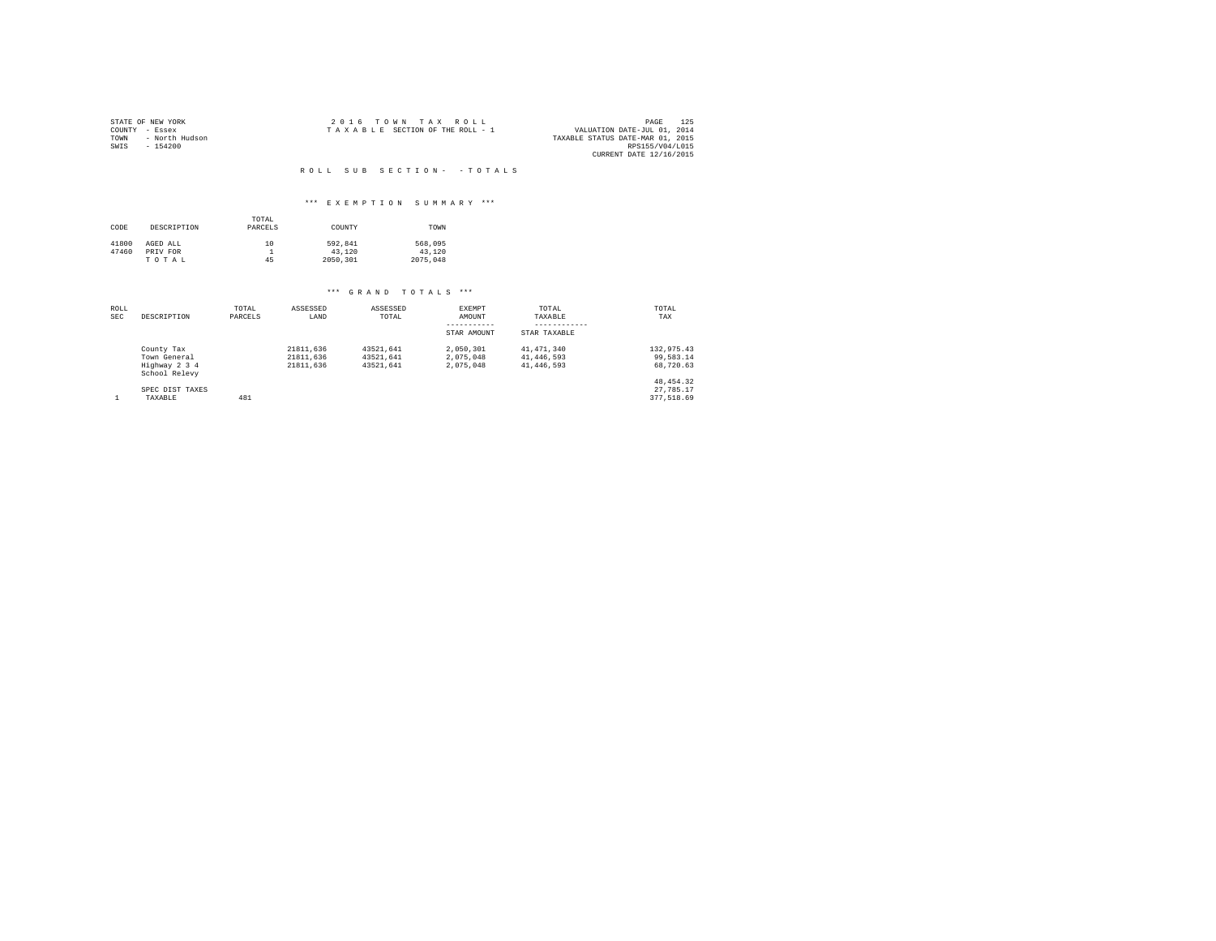|                | STATE OF NEW YORK |  | 2016 TOWN TAX ROLL              |  |  | 125<br>PAGE                      |
|----------------|-------------------|--|---------------------------------|--|--|----------------------------------|
| COUNTY - Essex |                   |  | TAXABLE SECTION OF THE ROLL - 1 |  |  | VALUATION DATE-JUL 01, 2014      |
| TOWN           | - North Hudson    |  |                                 |  |  | TAXABLE STATUS DATE-MAR 01, 2015 |
| SWIS           | - 154200          |  |                                 |  |  | RPS155/V04/L015                  |
|                |                   |  |                                 |  |  | CURRENT DATE 12/16/2015          |

#### ROLL SUB SECTION - - TOTALS

#### \*\*\* E X E M P T I O N S U M M A R Y \*\*\*

| CODE  | DESCRIPTION | TOTAL<br>PARCELS | COUNTY   | TOWN     |
|-------|-------------|------------------|----------|----------|
| 41800 | AGED ALL    | 10               | 592.841  | 568,095  |
| 47460 | PRIV FOR    |                  | 43,120   | 43.120   |
|       | TOTAL       | 45               | 2050.301 | 2075,048 |

| ROLL<br><b>SEC</b> | DESCRIPTION                                                  | TOTAL<br>PARCELS | ASSESSED<br>LAND                    | ASSESSED<br>TOTAL                   | EXEMPT<br>AMOUNT<br>STAR AMOUNT     | TOTAL<br>TAXABLE<br>STAR TAXABLE       | TOTAL<br>TAX                           |
|--------------------|--------------------------------------------------------------|------------------|-------------------------------------|-------------------------------------|-------------------------------------|----------------------------------------|----------------------------------------|
|                    | County Tax<br>Town General<br>Highway 2 3 4<br>School Relevy |                  | 21811.636<br>21811.636<br>21811.636 | 43521.641<br>43521.641<br>43521.641 | 2.050.301<br>2.075.048<br>2.075.048 | 41,471,340<br>41,446,593<br>41,446,593 | 132,975.43<br>99.583.14<br>68,720.63   |
|                    | SPEC DIST TAXES<br>TAXABLE                                   | 481              |                                     |                                     |                                     |                                        | 48, 454, 32<br>27.785.17<br>377.518.69 |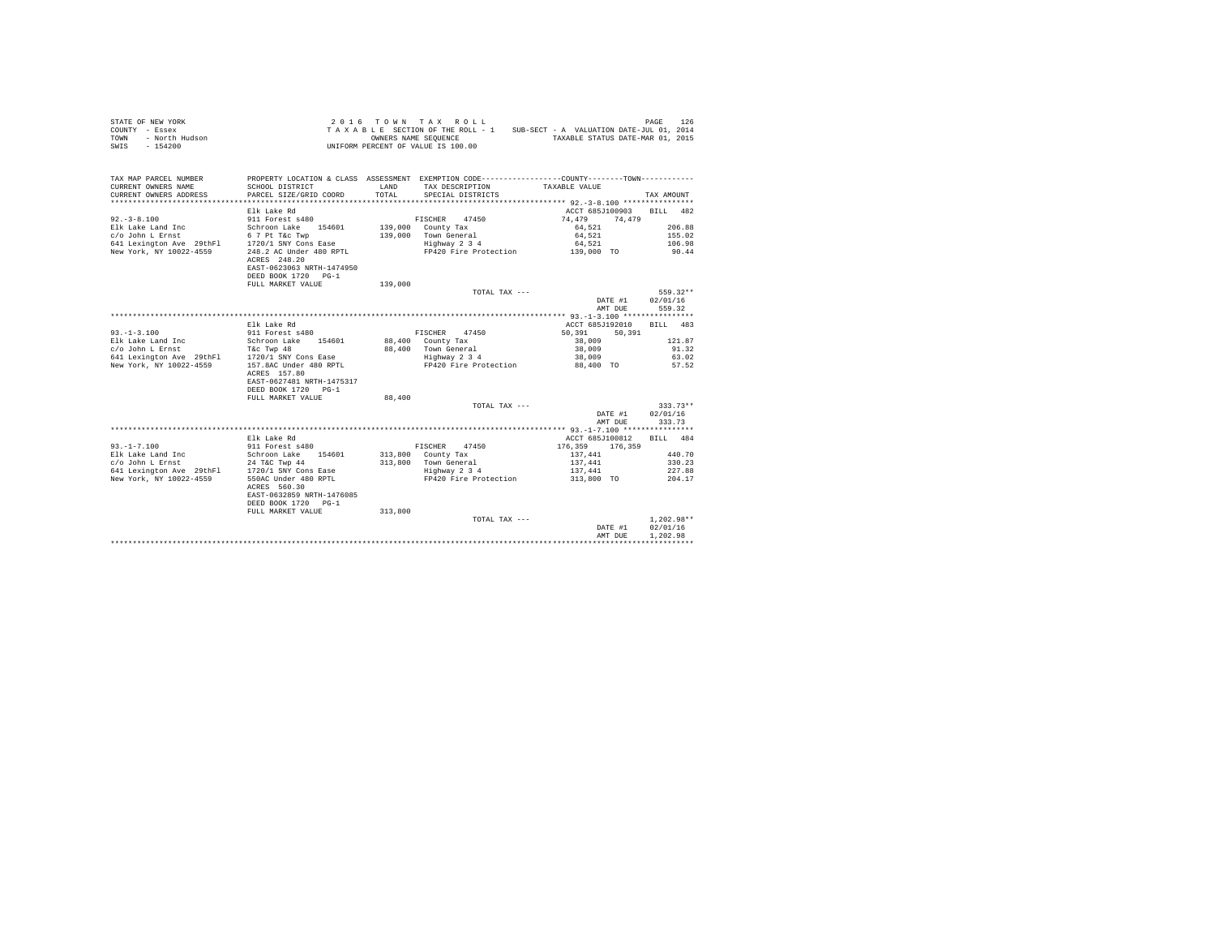| STATE OF NEW YORK<br>COUNTY - Essex<br>TOWN - North Hudson<br>SWIS - 154200 |                                                  |               | 2016 TOWN TAX ROLL<br>UNIFORM PERCENT OF VALUE IS 100.00 | TAXABLE SECTION OF THE ROLL - 1 SUB-SECT - A VALUATION DATE-JUL 01, 2014<br>OWNERS NAME SEQUENCE TAXABLE STATUS DATE-MAR 01, 2015 | PAGE<br>126        |
|-----------------------------------------------------------------------------|--------------------------------------------------|---------------|----------------------------------------------------------|-----------------------------------------------------------------------------------------------------------------------------------|--------------------|
| TAX MAP PARCEL NUMBER                                                       |                                                  |               |                                                          | PROPERTY LOCATION & CLASS ASSESSMENT EXEMPTION CODE---------------COUNTY-------TOWN---------                                      |                    |
| CURRENT OWNERS NAME<br>CURRENT OWNERS ADDRESS                               | SCHOOL DISTRICT<br>PARCEL SIZE/GRID COORD        | LAND<br>TOTAL | TAX DESCRIPTION<br>SPECIAL DISTRICTS                     | TAXABLE VALUE                                                                                                                     | TAX AMOUNT         |
|                                                                             |                                                  |               |                                                          |                                                                                                                                   |                    |
| $92 - 3 - 8.100$                                                            | Elk Lake Rd<br>911 Forest s480                   |               |                                                          | ACCT 685J100903<br>74,479<br>74.479                                                                                               | BILL 482           |
| Elk Lake Land Inc                                                           | Schroon Lake 154601                              |               | FISCHER 47450<br>139,000 County Tax                      | 64,521                                                                                                                            | 206.88             |
| c/o John L Ernst                                                            | 6 7 Pt T&c Twp                                   |               | 139,000 Town General                                     | 64.521                                                                                                                            | 155.02             |
| 641 Lexington Ave 29thF1 1720/1 SNY Cons Ease                               |                                                  |               | Highway 2 3 4                                            | 64,521                                                                                                                            | 106.98             |
| New York, NY 10022-4559                                                     | 248.2 AC Under 480 RPTL                          |               |                                                          | FP420 Fire Protection 139,000 TO                                                                                                  | 90.44              |
|                                                                             | ACRES 248.20<br>EAST-0623063 NRTH-1474950        |               |                                                          |                                                                                                                                   |                    |
|                                                                             | DEED BOOK 1720 PG-1                              |               |                                                          |                                                                                                                                   |                    |
|                                                                             | FULL MARKET VALUE                                | 139,000       |                                                          |                                                                                                                                   |                    |
|                                                                             |                                                  |               | TOTAL TAX ---                                            |                                                                                                                                   | 559.32**           |
|                                                                             |                                                  |               |                                                          | DATE #1                                                                                                                           | 02/01/16           |
|                                                                             |                                                  |               |                                                          | AMT DUE                                                                                                                           | 559.32             |
|                                                                             |                                                  |               |                                                          |                                                                                                                                   |                    |
| $93. -1 - 3.100$                                                            | Elk Lake Rd<br>911 Forest s480                   |               | FISCHER                                                  | ACCT 685J192010                                                                                                                   | RTT.T. 483         |
| Elk Lake Land Inc                                                           | Schroon Lake 154601                              |               | 47450<br>88,400 County Tax                               | 50.391<br>50.391<br>38,009                                                                                                        | 121.87             |
| c/o John L Ernst                                                            | T&c Twp 48                                       |               | 88,400 Town General                                      | 38,009                                                                                                                            | 91.32              |
| 641 Lexington Ave 29thF1 1720/1 SNY Cons Ease                               |                                                  |               | Highway 2 3 4                                            | 38,009                                                                                                                            | 63.02              |
| New York, NY 10022-4559                                                     | 157.8AC Under 480 RPTL                           |               | FP420 Fire Protection                                    | 88,400 TO                                                                                                                         | 57.52              |
|                                                                             | ACRES 157.80<br>EAST-0627481 NRTH-1475317        |               |                                                          |                                                                                                                                   |                    |
|                                                                             | DEED BOOK 1720 PG-1                              |               |                                                          |                                                                                                                                   |                    |
|                                                                             | FULL MARKET VALUE                                | 88,400        |                                                          |                                                                                                                                   | $333.73**$         |
|                                                                             |                                                  |               | TOTAL TAX ---                                            |                                                                                                                                   |                    |
|                                                                             |                                                  |               |                                                          | DATE #1<br>AMT DUE                                                                                                                | 02/01/16<br>333.73 |
|                                                                             |                                                  |               |                                                          |                                                                                                                                   |                    |
|                                                                             | Elk Lake Rd                                      |               |                                                          | ACCT 685J100812                                                                                                                   | BILL 484           |
| $93. -1 - 7.100$                                                            | 911 Forest s480                                  |               | FISCHER<br>47450                                         | 176,359 176,359                                                                                                                   |                    |
| Elk Lake Land Inc                                                           | Schroon Lake 154601                              |               | 313,800 County Tax                                       | 137,441                                                                                                                           | 440.70             |
| c/o John L Ernst                                                            | 24 T&C Twp 44                                    |               | 313,800 Town General                                     | 137,441                                                                                                                           | 330.23             |
| 641 Lexington Ave 29thFl 1720/1 SNY Cons Ease                               |                                                  |               | Highway 2 3 4                                            | 137.441                                                                                                                           | 227.88             |
| New York, NY 10022-4559                                                     | 550AC Under 480 RPTL<br>ACRES 560.30             |               | FP420 Fire Protection                                    | 313,800 TO                                                                                                                        | 204.17             |
|                                                                             | EAST-0632859 NRTH-1476085<br>DEED BOOK 1720 PG-1 |               |                                                          |                                                                                                                                   |                    |
|                                                                             | FULL MARKET VALUE                                | 313,800       |                                                          |                                                                                                                                   |                    |
|                                                                             |                                                  |               | TOTAL TAX ---                                            |                                                                                                                                   | $1.202.98**$       |
|                                                                             |                                                  |               |                                                          | DATE #1                                                                                                                           | 02/01/16           |
|                                                                             |                                                  |               |                                                          | AMT DUE                                                                                                                           | 1,202.98           |
|                                                                             |                                                  |               |                                                          |                                                                                                                                   |                    |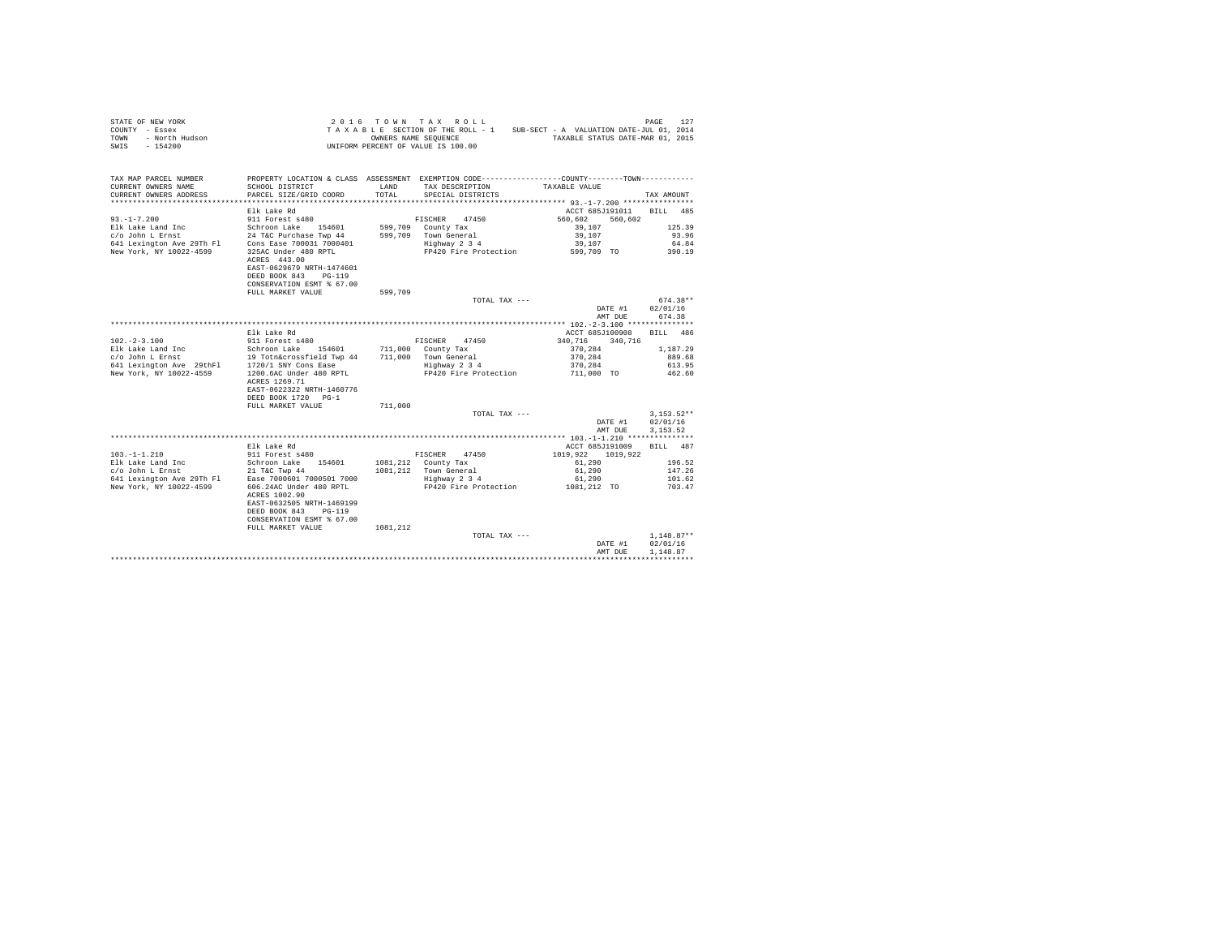| COUNTY - Essex<br>- North Hudson<br>TOWN<br>$-154200$<br>SWIS                            |                                                                                                 |          | TAXABLE SECTION OF THE ROLL - 1<br>OWNERS NAME SEQUENCE<br>UNIFORM PERCENT OF VALUE IS 100.00 | SUB-SECT - A VALUATION DATE-JUL 01, 2014<br>TAXABLE STATUS DATE-MAR 01, 2015 |                  |
|------------------------------------------------------------------------------------------|-------------------------------------------------------------------------------------------------|----------|-----------------------------------------------------------------------------------------------|------------------------------------------------------------------------------|------------------|
| TAX MAP PARCEL NUMBER                                                                    | PROPERTY LOCATION & CLASS ASSESSMENT EXEMPTION CODE----------------COUNTY--------TOWN---------- |          |                                                                                               |                                                                              |                  |
| CURRENT OWNERS NAME                                                                      | SCHOOL DISTRICT                                                                                 | LAND     | TAX DESCRIPTION                                                                               | TAXABLE VALUE                                                                |                  |
| CURRENT OWNERS ADDRESS                                                                   | PARCEL SIZE/GRID COORD                                                                          | TOTAL    | SPECIAL DISTRICTS                                                                             |                                                                              | TAX AMOUNT       |
|                                                                                          |                                                                                                 |          |                                                                                               |                                                                              |                  |
|                                                                                          | Elk Lake Rd                                                                                     |          |                                                                                               | ACCT 685J191011 BILL                                                         | 485              |
| $93. - 1 - 7.200$                                                                        |                                                                                                 |          | FISCHER<br>47450                                                                              | 560.602<br>560.602                                                           |                  |
|                                                                                          |                                                                                                 |          | 599,709 County Tax                                                                            | 39,107                                                                       | 125.39           |
|                                                                                          |                                                                                                 |          | 599.709 Town General                                                                          | 39,107                                                                       | 93.96            |
|                                                                                          |                                                                                                 |          | Highway 2 3 4<br>FP420 Fire Protection                                                        | 39,107<br>599,709 TO                                                         | 64.84            |
|                                                                                          | ACRES 443.00<br>EAST-0629679 NRTH-1474601                                                       |          |                                                                                               |                                                                              | 390.19           |
|                                                                                          | DEED BOOK 843 PG-119<br>CONSERVATION ESMT % 67.00                                               |          |                                                                                               |                                                                              |                  |
|                                                                                          | FULL MARKET VALUE                                                                               | 599,709  |                                                                                               |                                                                              | $674.38**$       |
|                                                                                          |                                                                                                 |          | TOTAL TAX ---                                                                                 | DATE #1                                                                      | 02/01/16         |
|                                                                                          |                                                                                                 |          |                                                                                               | AMT DUE                                                                      | 674.38           |
|                                                                                          | Elk Lake Rd                                                                                     |          |                                                                                               | ACCT 685J100908                                                              | BILL 486         |
| $102. - 2 - 3.100$                                                                       | 911 Forest s480                                                                                 |          | FISCHER 47450                                                                                 | 340.716 340.716                                                              |                  |
|                                                                                          |                                                                                                 |          | 711,000 County Tax                                                                            | 370.284                                                                      | 1,187.29         |
|                                                                                          |                                                                                                 |          | 711,000 Town General                                                                          | 370.284                                                                      | 889.68           |
|                                                                                          |                                                                                                 |          | Highway 2 3 4                                                                                 | 370.284                                                                      | 613.95           |
| New York, NY 10022-4559                                                                  | 1200.6AC Under 480 RPTL                                                                         |          | FP420 Fire Protection                                                                         | 711,000 TO                                                                   | 462.60           |
|                                                                                          | ACRES 1269.71                                                                                   |          |                                                                                               |                                                                              |                  |
|                                                                                          | EAST-0622322 NRTH-1460776                                                                       |          |                                                                                               |                                                                              |                  |
|                                                                                          | DEED BOOK 1720 PG-1                                                                             |          |                                                                                               |                                                                              |                  |
|                                                                                          | FULL MARKET VALUE                                                                               | 711,000  |                                                                                               |                                                                              |                  |
|                                                                                          |                                                                                                 |          | TOTAL TAX ---                                                                                 |                                                                              | $3.153.52**$     |
|                                                                                          |                                                                                                 |          |                                                                                               | DATE #1                                                                      | 02/01/16         |
|                                                                                          |                                                                                                 |          |                                                                                               | AMT DUE                                                                      | 3.153.52         |
|                                                                                          |                                                                                                 |          |                                                                                               |                                                                              |                  |
|                                                                                          | Elk Lake Rd                                                                                     |          |                                                                                               | ACCT 685J191009 BILL 487                                                     |                  |
| $103. -1 - 1.210$                                                                        | 911 Forest s480                                                                                 |          | FISCHER 47450                                                                                 | 1019.922 1019.922                                                            |                  |
| Elk Lake Land Inc                                                                        | Schroon Lake 154601                                                                             |          | 1081,212 County Tax                                                                           | 61,290                                                                       | 196.52           |
| $c$ /o John L Ernst 21 T&C Twp 44<br>641 Lexington Ave 29Th Fl Ease 7000601 7000501 7000 |                                                                                                 |          | 1081,212 Town General<br>Highway 2 3 4                                                        | 61,290                                                                       | 147.26           |
| New York, NY 10022-4599                                                                  | 606.24AC Under 480 RPTL                                                                         |          | FP420 Fire Protection                                                                         | 61,290<br>1081,212 TO                                                        | 101.62<br>703.47 |
|                                                                                          | ACRES 1002.90<br>EAST-0632505 NRTH-1469199                                                      |          |                                                                                               |                                                                              |                  |
|                                                                                          | DEED BOOK 843 PG-119                                                                            |          |                                                                                               |                                                                              |                  |
|                                                                                          | CONSERVATION ESMT % 67.00                                                                       |          |                                                                                               |                                                                              |                  |
|                                                                                          | FULL MARKET VALUE                                                                               | 1081.212 |                                                                                               |                                                                              |                  |
|                                                                                          |                                                                                                 |          | TOTAL TAX ---                                                                                 |                                                                              | $1.148.87**$     |
|                                                                                          |                                                                                                 |          |                                                                                               | DATE #1                                                                      | 02/01/16         |
|                                                                                          |                                                                                                 |          |                                                                                               | AMT DUE                                                                      | 1,148.87         |
|                                                                                          |                                                                                                 |          |                                                                                               |                                                                              |                  |

STATE OF NEW YORK 2016 TOWN TAX ROLL PAGE 127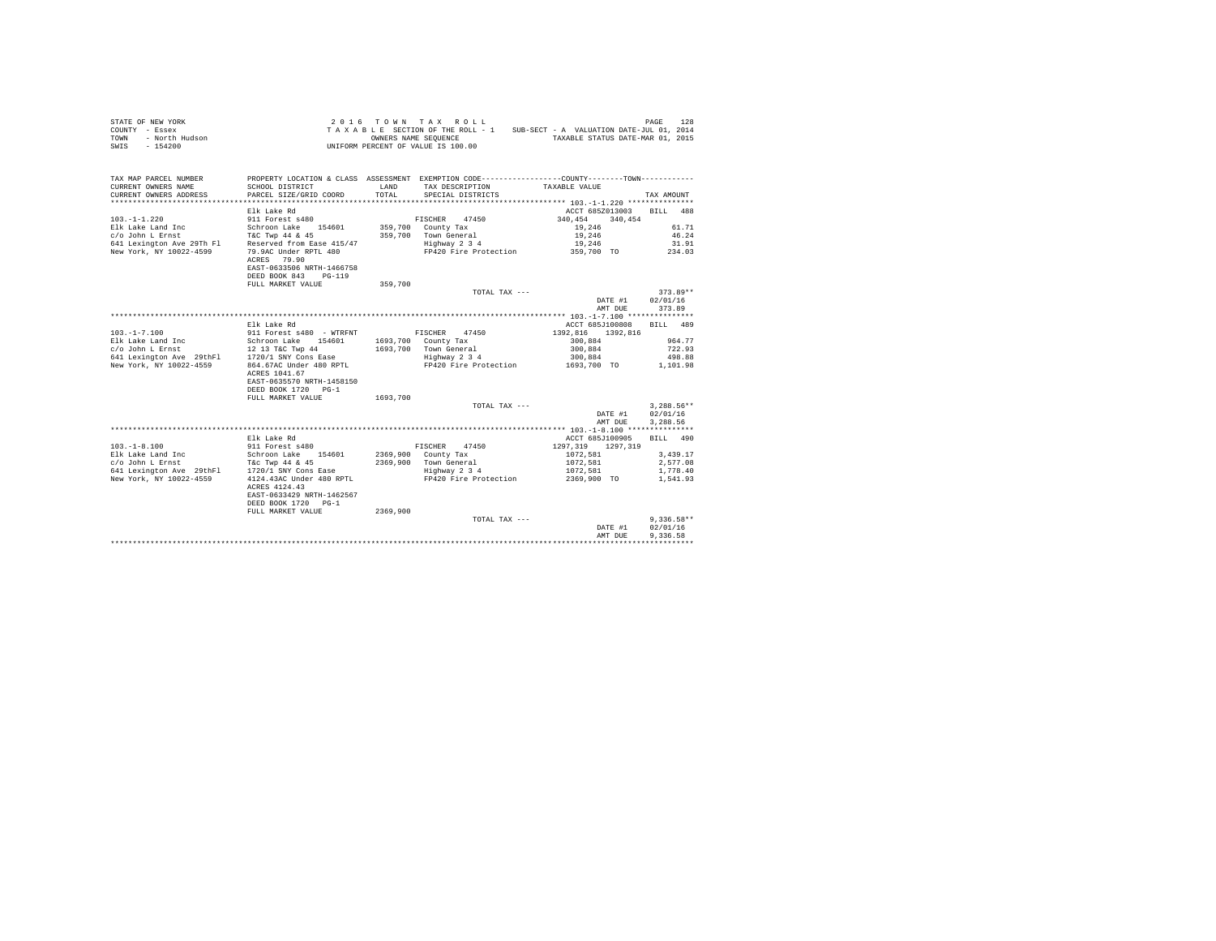| STATE OF NEW YORK<br>COUNTY - Essex<br>- North Hudson<br>TOWN<br>SWIS - 154200 |                                                                                               |          | 2016 TOWN TAX ROLL<br>UNIFORM PERCENT OF VALUE IS 100.00 | TAXABLE SECTION OF THE ROLL - 1 SUB-SECT - A VALUATION DATE-JUL 01, 2014<br>OWNERS NAME SEQUENCE TAXABLE STATUS DATE-MAR 01, 2015 | PAGE<br>128  |
|--------------------------------------------------------------------------------|-----------------------------------------------------------------------------------------------|----------|----------------------------------------------------------|-----------------------------------------------------------------------------------------------------------------------------------|--------------|
| TAX MAP PARCEL NUMBER                                                          |                                                                                               |          |                                                          | PROPERTY LOCATION & CLASS ASSESSMENT EXEMPTION CODE---------------COUNTY-------TOWN---------                                      |              |
| CURRENT OWNERS NAME                                                            | SCHOOL DISTRICT                                                                               | LAND     | TAX DESCRIPTION                                          | TAXABLE VALUE                                                                                                                     |              |
| CURRENT OWNERS ADDRESS                                                         | PARCEL SIZE/GRID COORD                                                                        | TOTAL    | SPECIAL DISTRICTS                                        |                                                                                                                                   | TAX AMOUNT   |
|                                                                                | Elk Lake Rd                                                                                   |          |                                                          | ACCT 685Z013003 BILL 488                                                                                                          |              |
| $103. -1 - 1.220$                                                              | 911 Forest s480                                                                               |          | FISCHER 47450                                            | 340.454<br>340,454                                                                                                                |              |
| Elk Lake Land Inc                                                              | Schroon Lake 154601                                                                           |          | 359,700 County Tax                                       | 19,246                                                                                                                            | 61.71        |
| c/o John L Ernst                                                               | T&C Twp 44 & 45                                                                               |          | 359,700 Town General                                     | 19,246                                                                                                                            | 46.24        |
| 641 Lexington Ave 29Th Fl Reserved from Ease 415/47                            |                                                                                               |          | Highway 2 3 4                                            | 19,246                                                                                                                            | 31.91        |
| New York, NY 10022-4599                                                        | 79.9AC Under RPTL 480<br>ACRES 79.90                                                          |          |                                                          | FP420 Fire Protection 359,700 TO                                                                                                  | 234.03       |
|                                                                                | EAST-0633506 NRTH-1466758                                                                     |          |                                                          |                                                                                                                                   |              |
|                                                                                | DEED BOOK 843 PG-119                                                                          |          |                                                          |                                                                                                                                   |              |
|                                                                                | FULL MARKET VALUE                                                                             | 359,700  |                                                          |                                                                                                                                   |              |
|                                                                                |                                                                                               |          | TOTAL TAX ---                                            |                                                                                                                                   | $373.89**$   |
|                                                                                |                                                                                               |          |                                                          | DATE #1                                                                                                                           | 02/01/16     |
|                                                                                |                                                                                               |          |                                                          | AMT DUE                                                                                                                           | 373.89       |
|                                                                                |                                                                                               |          |                                                          |                                                                                                                                   |              |
|                                                                                | Elk Lake Rd                                                                                   |          |                                                          | ACCT 685J100808                                                                                                                   | BILL 489     |
|                                                                                | 911 Forest s480 - WTRFNT                                                                      |          | FISCHER 47450                                            | 1392.816 1392.816                                                                                                                 |              |
| 103.-1-7.100<br>Elk Lake Land Inc                                              | Schroon Lake 154601                                                                           |          | 1693,700 County Tax                                      | 300.884                                                                                                                           | 964.77       |
| 641 Lexington Ave 29thF1 1720/1 SNY Cons Ease                                  | 12 13 T&C Twp 44                                                                              |          | 1693.700 Town General                                    | 300,884                                                                                                                           | 722.93       |
|                                                                                |                                                                                               |          | Highway 2 3 4                                            | 300,884                                                                                                                           | 498.88       |
| New York, NY 10022-4559                                                        | 864.67AC Under 480 RPTL<br>ACRES 1041.67<br>EAST-0635570 NRTH-1458150<br>DEED BOOK 1720 PG-1  |          | FP420 Fire Protection                                    | 1693,700 TO                                                                                                                       | 1,101.98     |
|                                                                                | FULL MARKET VALUE                                                                             | 1693,700 |                                                          |                                                                                                                                   |              |
|                                                                                |                                                                                               |          | TOTAL TAX ---                                            |                                                                                                                                   | $3.288.56**$ |
|                                                                                |                                                                                               |          |                                                          | DATE #1                                                                                                                           | 02/01/16     |
|                                                                                |                                                                                               |          |                                                          | AMT DUE                                                                                                                           | 3,288.56     |
|                                                                                | Elk Lake Rd                                                                                   |          |                                                          | ACCT 685J100905                                                                                                                   | BILL 490     |
| $103. - 1 - 8.100$                                                             | 911 Forest s480                                                                               |          | FISCHER<br>47450                                         | 1297, 319 1297, 319                                                                                                               |              |
| Elk Lake Land Inc                                                              | Schroon Lake 154601                                                                           |          | 2369,900 County Tax                                      | 1072,581                                                                                                                          | 3,439.17     |
| c/o John L Ernst                                                               | T&C Twp 44 & 45                                                                               |          | 2369,900 Town General                                    | 1072,581                                                                                                                          | 2,577.08     |
| 641 Lexington Ave 29thFl                                                       | 1720/1 SNY Cons Ease                                                                          |          | Highway 2 3 4                                            | 1072.581                                                                                                                          | 1,778.40     |
| New York, NY 10022-4559                                                        | 4124.43AC Under 480 RPTL<br>ACRES 4124.43<br>EAST-0633429 NRTH-1462567<br>DEED BOOK 1720 PG-1 |          | FP420 Fire Protection                                    | 2369,900 TO                                                                                                                       | 1.541.93     |
|                                                                                | FULL MARKET VALUE                                                                             | 2369,900 |                                                          |                                                                                                                                   |              |
|                                                                                |                                                                                               |          | TOTAL TAX ---                                            |                                                                                                                                   | $9.336.58**$ |
|                                                                                |                                                                                               |          |                                                          | DATE #1                                                                                                                           | 02/01/16     |
|                                                                                |                                                                                               |          |                                                          | AMT DUE                                                                                                                           | 9.336.58     |
|                                                                                |                                                                                               |          |                                                          |                                                                                                                                   |              |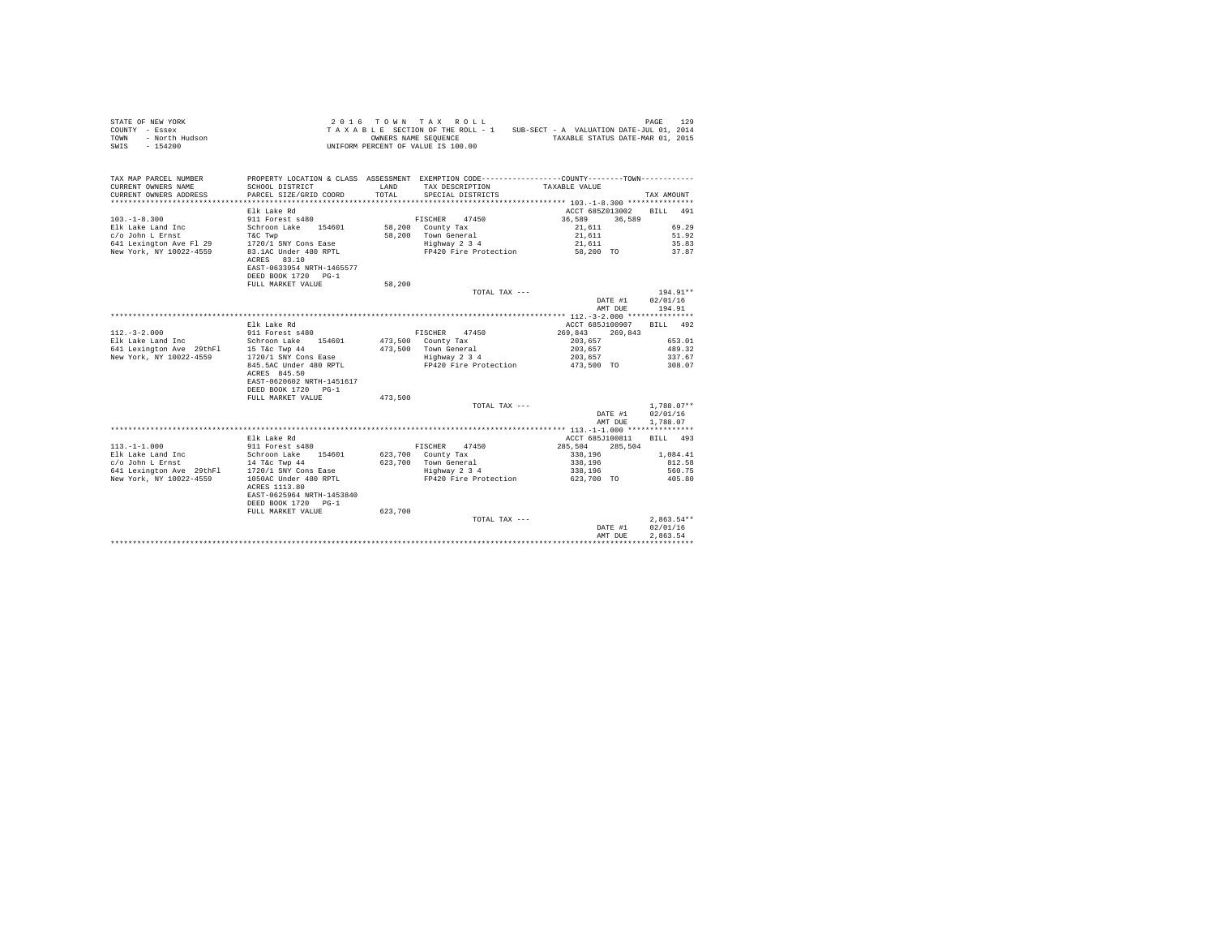| STATE OF NEW YORK<br>COUNTY - Essex<br>TOWN - North Hudson<br>SWIS - 154200 |                                                                                                               |         | 2016 TOWN TAX ROLL<br>TAXABLE SECTION OF THE ROLL - 1 SUB-SECT - A VALUATION DATE-JUL 01, 2014<br>OWNERS NAME SEQUENCE<br>UNIFORM PERCENT OF VALUE IS 100.00 | TAXABLE STATUS DATE-MAR 01, 2015            | PAGE<br>129          |
|-----------------------------------------------------------------------------|---------------------------------------------------------------------------------------------------------------|---------|--------------------------------------------------------------------------------------------------------------------------------------------------------------|---------------------------------------------|----------------------|
| TAX MAP PARCEL NUMBER<br>CURRENT OWNERS NAME<br>CURRENT OWNERS ADDRESS      | SCHOOL DISTRICT<br>PARCEL SIZE/GRID COORD                                                                     | TOTAL.  | PROPERTY LOCATION & CLASS ASSESSMENT EXEMPTION CODE----------------COUNTY-------TOWN----------<br>LAND TAX DESCRIPTION<br>SPECIAL DISTRICTS                  | TAXABLE VALUE                               | TAX AMOUNT           |
|                                                                             |                                                                                                               |         |                                                                                                                                                              |                                             |                      |
| $103. -1 - 8.300$                                                           | Elk Lake Rd<br>911 Forest s480                                                                                |         | FISCHER 47450                                                                                                                                                | ACCT 685Z013002 BILL 491<br>36,589 36,589   |                      |
| Elk Lake Land Inc                                                           | Schroon Lake 154601 58,200 County Tax                                                                         |         |                                                                                                                                                              | 21,611                                      | 69.29                |
| c/o John L Ernst                                                            | T&C Twp                                                                                                       |         | 58,200 Town General                                                                                                                                          | 21,611                                      | 51.92                |
|                                                                             |                                                                                                               |         | Highway 2 3 4                                                                                                                                                | 21,611<br>58,200 TO                         | 35.83<br>37.87       |
| New York, NY 10022-4559                                                     | 83.1AC Under 480 RPTL<br>ACRES 83.10<br>EAST-0633954 NRTH-1465577<br>DEED BOOK 1720 PG-1<br>FULL MARKET VALUE | 58,200  | FP420 Fire Protection                                                                                                                                        |                                             |                      |
|                                                                             |                                                                                                               |         | TOTAL TAX ---                                                                                                                                                |                                             | $194.91**$           |
|                                                                             |                                                                                                               |         |                                                                                                                                                              | DATE #1 02/01/16                            |                      |
|                                                                             |                                                                                                               |         |                                                                                                                                                              | AMT DUE                                     | 194.91               |
|                                                                             |                                                                                                               |         |                                                                                                                                                              |                                             |                      |
|                                                                             | Elk Lake Rd                                                                                                   |         |                                                                                                                                                              | ACCT 685J100907                             | RTT.T. 492           |
| $112. - 3 - 2.000$                                                          | 911 Forest s480                                                                                               |         | FISCHER 47450                                                                                                                                                | 269,843 269,843                             |                      |
| Elk Lake Land Inc                                                           | Schroon Lake 154601                                                                                           |         | 473,500 County Tax                                                                                                                                           | 203,657                                     | 653.01               |
| 641 Lexington Ave 29thF1 15 T&c Twp 44                                      |                                                                                                               |         | 473.500 Town General                                                                                                                                         | 203,657                                     | 489.32               |
| New York, NY 10022-4559                                                     | 1720/1 SNY Cons Ease                                                                                          |         | Highway 2 3 4                                                                                                                                                | 203,657                                     | 337.67               |
|                                                                             | 845.5AC Under 480 RPTL<br>ACRES 845.50<br>EAST-0620602 NRTH-1451617<br>DEED BOOK 1720 PG-1                    |         | FP420 Fire Protection                                                                                                                                        | 473,500 TO                                  | 308.07               |
|                                                                             | FULL MARKET VALUE                                                                                             | 473,500 |                                                                                                                                                              |                                             |                      |
|                                                                             |                                                                                                               |         | TOTAL TAX ---                                                                                                                                                |                                             | $1.788.07**$         |
|                                                                             |                                                                                                               |         |                                                                                                                                                              | DATE #1<br>AMT DUE                          | 02/01/16<br>1,788.07 |
|                                                                             |                                                                                                               |         |                                                                                                                                                              |                                             |                      |
| $113. - 1 - 1.000$                                                          | Elk Lake Rd<br>911 Forest s480                                                                                |         | FISCHER<br>47450                                                                                                                                             | ACCT 685J100811 BILL 493<br>285,504 285,504 |                      |
| Elk Lake Land Inc                                                           | Schroon Lake 154601 623,700 County Tax                                                                        |         |                                                                                                                                                              | 338,196                                     | 1,084.41             |
| c/o John L Ernst                                                            | 14 T&c Twp 44                                                                                                 |         | 623.700 Town General                                                                                                                                         | 338,196                                     | 812.58               |
|                                                                             |                                                                                                               |         |                                                                                                                                                              |                                             |                      |

|                          | Elk Lake Rd                                                                                |         |                       | ACCT 685J100811    | 493<br>BILL  |
|--------------------------|--------------------------------------------------------------------------------------------|---------|-----------------------|--------------------|--------------|
| $113. - 1 - 1.000$       | 911 Forest s480                                                                            |         | 47450<br>FISCHER      | 285.504<br>285,504 |              |
| Elk Lake Land Inc        | 154601<br>Schroon Lake                                                                     | 623,700 | County Tax            | 338,196            | 1,084.41     |
| c/o John L Ernst         | 14 T&c Twp 44                                                                              | 623,700 | Town General          | 338,196            | 812.58       |
| 641 Lexington Ave 29thFl | 1720/1 SNY Cons Ease                                                                       |         | Highway 2 3 4         | 338,196            | 560.75       |
| New York, NY 10022-4559  | 1050AC Under 480 RPTL<br>ACRES 1113.80<br>EAST-0625964 NRTH-1453840<br>DEED BOOK 1720 PG-1 |         | FP420 Fire Protection | 623,700 TO         | 405.80       |
|                          | FULL MARKET VALUE                                                                          | 623,700 |                       |                    |              |
|                          |                                                                                            |         | TOTAL TAX $---$       |                    | $2.863.54**$ |
|                          |                                                                                            |         |                       | DATE #1            | 02/01/16     |
|                          |                                                                                            |         |                       | AMT DUE            | 2.863.54     |
|                          |                                                                                            |         |                       |                    |              |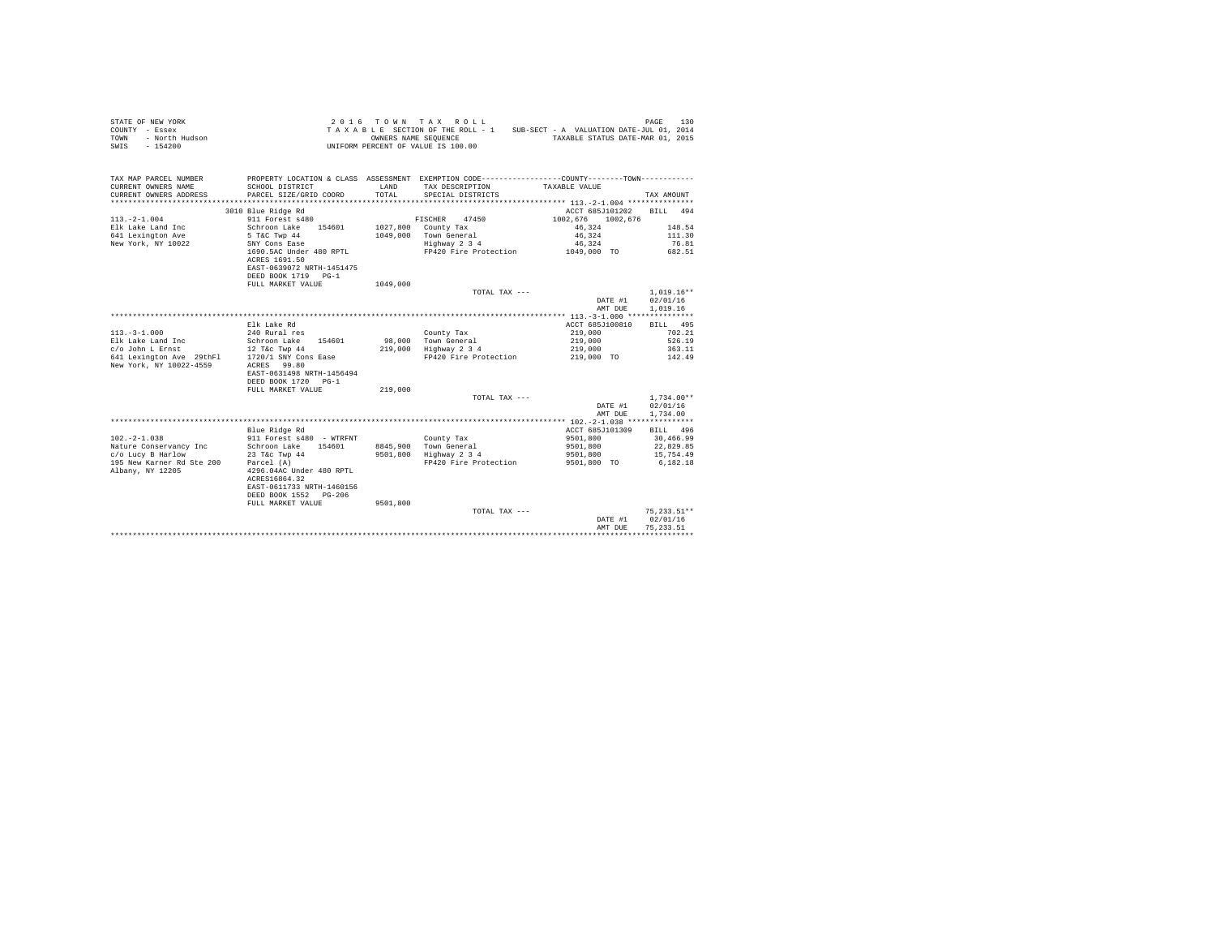| STATE OF NEW YORK<br>COUNTY - Essex<br>- North Hudson<br>- 154200<br>TOWN<br>SWIS - 154200                                             |                                                                                                 |          | 2016 TOWN TAX ROLL<br>TAXABLE SECTION OF THE ROLL - 1 SUB-SECT - A VALUATION DATE-JUL 01, 2014<br>OWNERS NAME SEOUENCE TAXABLE STATUS DATE-MAR 01, 2015<br>UNIFORM PERCENT OF VALUE IS 100.00 |                                  | 130<br>PAGE            |
|----------------------------------------------------------------------------------------------------------------------------------------|-------------------------------------------------------------------------------------------------|----------|-----------------------------------------------------------------------------------------------------------------------------------------------------------------------------------------------|----------------------------------|------------------------|
| TAX MAP PARCEL NUMBER                                                                                                                  | PROPERTY LOCATION & CLASS ASSESSMENT EXEMPTION CODE----------------COUNTY--------TOWN---------- | LAND     |                                                                                                                                                                                               |                                  |                        |
| CURRENT OWNERS NAME<br>CURRENT OWNERS ADDRESS                                                                                          | SCHOOL DISTRICT<br>PARCEL SIZE/GRID COORD                                                       | TOTAL    | TAX DESCRIPTION<br>SPECIAL DISTRICTS                                                                                                                                                          | TAXABLE VALUE                    | TAX AMOUNT             |
|                                                                                                                                        |                                                                                                 |          |                                                                                                                                                                                               |                                  |                        |
|                                                                                                                                        | 3010 Blue Ridge Rd                                                                              |          |                                                                                                                                                                                               | ACCT 685J101202 BILL 494         |                        |
| $113. - 2 - 1.004$                                                                                                                     | 911 Forest s480                                                                                 |          | FISCHER 47450                                                                                                                                                                                 | 1002.676 1002.676                |                        |
| Elk Lake Land Inc                                                                                                                      | Schroon Lake 154601                                                                             |          | 1027,800 County Tax                                                                                                                                                                           | 46.324                           | 148.54                 |
| 641 Lexington Ave                                                                                                                      | 5 T&C Twp 44                                                                                    |          | 1049.000 Town General                                                                                                                                                                         | 46.324                           | 111.30                 |
| New York, NY 10022                                                                                                                     | SNY Cons Ease                                                                                   |          | Highway 2 3 4                                                                                                                                                                                 | 46.324                           | 76.81                  |
|                                                                                                                                        | 1690.5AC Under 480 RPTL                                                                         |          | FP420 Fire Protection                                                                                                                                                                         | 1049,000 TO                      | 682.51                 |
|                                                                                                                                        | ACRES 1691.50                                                                                   |          |                                                                                                                                                                                               |                                  |                        |
|                                                                                                                                        | EAST-0639072 NRTH-1451475                                                                       |          |                                                                                                                                                                                               |                                  |                        |
|                                                                                                                                        | DEED BOOK 1719 PG-1                                                                             |          |                                                                                                                                                                                               |                                  |                        |
|                                                                                                                                        | FULL MARKET VALUE                                                                               | 1049,000 |                                                                                                                                                                                               |                                  |                        |
|                                                                                                                                        |                                                                                                 |          | TOTAL TAX ---                                                                                                                                                                                 |                                  | $1.019.16**$           |
|                                                                                                                                        |                                                                                                 |          |                                                                                                                                                                                               | DATE #1                          | 02/01/16               |
|                                                                                                                                        |                                                                                                 |          |                                                                                                                                                                                               | AMT DUE                          | 1,019.16               |
|                                                                                                                                        | Elk Lake Rd                                                                                     |          |                                                                                                                                                                                               | ACCT 685J100810                  | BILL 495               |
| $113. - 3 - 1.000$                                                                                                                     | 240 Rural res                                                                                   |          | County Tax                                                                                                                                                                                    | 219,000                          | 702.21                 |
| Elk Lake Land Inc                                                                                                                      | Schroon Lake 154601                                                                             |          | مه: County<br>98,000 Town General                                                                                                                                                             | 219,000                          | 526.19                 |
|                                                                                                                                        |                                                                                                 |          | 219,000 Highway 2 3 4                                                                                                                                                                         | 219,000                          | 363.11                 |
|                                                                                                                                        |                                                                                                 |          | FP420 Fire Protection                                                                                                                                                                         | 219,000 TO                       | 142.49                 |
| $c$ /o John L Ernst<br>641 Lexington Ave 29thFl 1720/1 SNY Cons Ease<br>New York, NY 10022-4559 ACRES 99.80<br>New York, NY 10022-4559 |                                                                                                 |          |                                                                                                                                                                                               |                                  |                        |
|                                                                                                                                        | EAST-0631498 NRTH-1456494                                                                       |          |                                                                                                                                                                                               |                                  |                        |
|                                                                                                                                        | DEED BOOK 1720 PG-1                                                                             |          |                                                                                                                                                                                               |                                  |                        |
|                                                                                                                                        | FULL MARKET VALUE                                                                               | 219,000  |                                                                                                                                                                                               |                                  |                        |
|                                                                                                                                        |                                                                                                 |          | TOTAL TAX ---                                                                                                                                                                                 |                                  | $1,734.00**$           |
|                                                                                                                                        |                                                                                                 |          |                                                                                                                                                                                               | DATE #1                          | 02/01/16               |
|                                                                                                                                        |                                                                                                 |          |                                                                                                                                                                                               | AMT DUE                          | 1,734.00               |
|                                                                                                                                        |                                                                                                 |          |                                                                                                                                                                                               |                                  |                        |
|                                                                                                                                        | Blue Ridge Rd                                                                                   |          |                                                                                                                                                                                               | ACCT 685J101309                  | BILL 496               |
| $102. -2 - 1.038$                                                                                                                      | 911 Forest s480 - WTRFNT                                                                        |          | County Tax                                                                                                                                                                                    | 9501,800                         | 30,466.99              |
| Nature Conservancy Inc<br>c/o Lucy B Harlow                                                                                            | Schroon Lake 154601<br>23 T&c Twp 44                                                            |          | 8845,900 Town General                                                                                                                                                                         | 9501,800                         | 22,829.85<br>15,754.49 |
| 195 New Karner Rd Ste 200 Parcel (A)                                                                                                   |                                                                                                 |          | 9501,800 Highway 2 3 4<br>FP420 Fire Protection                                                                                                                                               | 9501,800<br>9501,800 TO 6,182.18 |                        |
| Albany, NY 12205                                                                                                                       | 4296.04AC Under 480 RPTL                                                                        |          |                                                                                                                                                                                               |                                  |                        |
|                                                                                                                                        | ACRES16864.32                                                                                   |          |                                                                                                                                                                                               |                                  |                        |
|                                                                                                                                        | EAST-0611733 NRTH-1460156                                                                       |          |                                                                                                                                                                                               |                                  |                        |
|                                                                                                                                        | DEED BOOK 1552 PG-206                                                                           |          |                                                                                                                                                                                               |                                  |                        |
|                                                                                                                                        | FULL MARKET VALUE                                                                               | 9501,800 |                                                                                                                                                                                               |                                  |                        |
|                                                                                                                                        |                                                                                                 |          | TOTAL TAX ---                                                                                                                                                                                 |                                  | 75, 233.51**           |
|                                                                                                                                        |                                                                                                 |          |                                                                                                                                                                                               | DATE #1                          | 02/01/16               |
|                                                                                                                                        |                                                                                                 |          |                                                                                                                                                                                               | AMT DUE                          | 75.233.51              |
|                                                                                                                                        |                                                                                                 |          |                                                                                                                                                                                               |                                  |                        |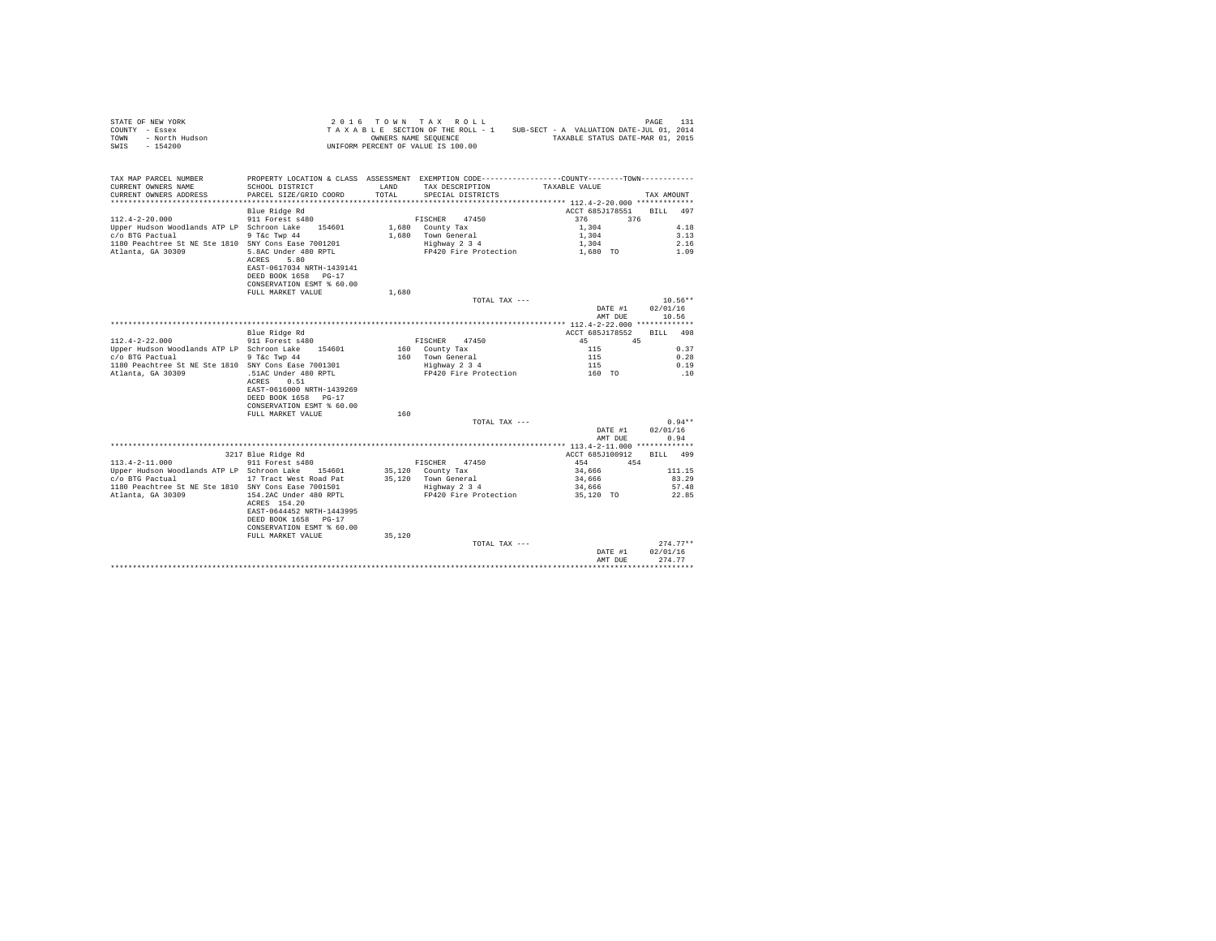|                | STATE OF NEW YORK |  |  |  | 2016 TOWN TAX ROLL                 |  |  |  |  |                                          | PAGE | 131 |
|----------------|-------------------|--|--|--|------------------------------------|--|--|--|--|------------------------------------------|------|-----|
| COUNTY - Essex |                   |  |  |  | TAXABLE SECTION OF THE ROLL - 1    |  |  |  |  | SUB-SECT - A VALUATION DATE-JUL 01, 2014 |      |     |
| TOWN           | - North Hudson    |  |  |  | OWNERS NAME SEOUENCE               |  |  |  |  | TAXABLE STATUS DATE-MAR 01, 2015         |      |     |
| SWIS           | - 154200          |  |  |  | UNIFORM PERCENT OF VALUE IS 100.00 |  |  |  |  |                                          |      |     |

| ****************************<br>**********************<br>Blue Ridge Rd<br>ACCT 685J178551<br>497<br>RTLL<br>$112.4 - 2 - 20.000$<br>376<br>911 Forest s480<br>FISCHER 47450<br>376<br>4.18<br>Upper Hudson Woodlands ATP LP Schroon Lake<br>154601<br>1,680 County Tax<br>1,304<br>3.13<br>c/o BTG Pactual<br>9 T&c Twp 44<br>1,680 Town General<br>1,304<br>2.16<br>1180 Peachtree St NE Ste 1810 SNY Cons Ease 7001201<br>Highway 2 3 4<br>1,304<br>Atlanta, GA 30309<br>5.8AC Under 480 RPTL<br>FP420 Fire Protection<br>1.09<br>1,680 TO<br>5.80<br>ACRES<br>EAST-0617034 NRTH-1439141<br>DEED BOOK 1658 PG-17<br>CONSERVATION ESMT % 60.00<br>FULL MARKET VALUE<br>1,680<br>$10.56**$<br>TOTAL TAX ---<br>02/01/16<br>DATE #1<br>10.56<br>AMT DUE<br>Blue Ridge Rd<br>ACCT 685J178552<br>BILL 498<br>$112.4 - 2 - 22.000$<br>911 Forest s480<br>FISCHER 47450<br>45<br>45<br>Upper Hudson Woodlands ATP LP Schroon Lake 154601<br>115<br>0.37<br>160 County Tax<br>c/o BTG Pactual<br>9 T&c Twp 44<br>160 Town General<br>0.28<br>115<br>Highway 2 3 4<br>0.19<br>1180 Peachtree St NE Ste 1810 SNY Cons Ease 7001301<br>115<br>Atlanta, GA 30309<br>.51AC Under 480 RPTL<br>FP420 Fire Protection<br>160 TO<br>.10<br>ACRES<br>0.51<br>EAST-0616000 NRTH-1439269<br>DEED BOOK 1658 PG-17<br>CONSERVATION ESMT % 60.00<br>FULL MARKET VALUE<br>160<br>$0.94**$<br>TOTAL TAX ---<br>02/01/16<br>DATE #1<br>AMT DUE<br>0.94<br>3217 Blue Ridge Rd<br>ACCT 685J100912<br>BILL 499<br>911 Forest s480<br>$113.4 - 2 - 11.000$<br>454<br>FISCHER 47450<br>454<br>Upper Hudson Woodlands ATP LP Schroon Lake 154601<br>35,120 County Tax<br>34,666<br>111.15<br>35,120 Town General<br>83.29<br>c/o BTG Pactual<br>17 Tract West Road Pat<br>34,666<br>1180 Peachtree St NE Ste 1810 SNY Cons Ease 7001501<br>Highway 2 3 4<br>34,666<br>57.48<br>FP420 Fire Protection<br>Atlanta, GA 30309<br>154.2AC Under 480 RPTL<br>35,120 TO<br>22.85<br>ACRES 154.20<br>EAST-0644452 NRTH-1443995<br>DEED BOOK 1658 PG-17<br>CONSERVATION ESMT % 60.00<br>35,120<br>FULL MARKET VALUE<br>$274.77**$<br>TOTAL TAX ---<br>02/01/16<br>DATE #1<br>274.77<br>AMT DUE<br>******************************** | TAX MAP PARCEL NUMBER<br>CURRENT OWNERS NAME<br>CURRENT OWNERS ADDRESS | SCHOOL DISTRICT<br>PARCEL SIZE/GRID COORD | LAND<br>TOTAL | PROPERTY LOCATION & CLASS ASSESSMENT EXEMPTION CODE---------------COUNTY-------TOWN---------<br>TAX DESCRIPTION<br>SPECIAL DISTRICTS | TAXABLE VALUE | TAX AMOUNT |
|----------------------------------------------------------------------------------------------------------------------------------------------------------------------------------------------------------------------------------------------------------------------------------------------------------------------------------------------------------------------------------------------------------------------------------------------------------------------------------------------------------------------------------------------------------------------------------------------------------------------------------------------------------------------------------------------------------------------------------------------------------------------------------------------------------------------------------------------------------------------------------------------------------------------------------------------------------------------------------------------------------------------------------------------------------------------------------------------------------------------------------------------------------------------------------------------------------------------------------------------------------------------------------------------------------------------------------------------------------------------------------------------------------------------------------------------------------------------------------------------------------------------------------------------------------------------------------------------------------------------------------------------------------------------------------------------------------------------------------------------------------------------------------------------------------------------------------------------------------------------------------------------------------------------------------------------------------------------------------------------------------------------------------------------------------------------------------------------------------------------------------------------------------------------------------------------|------------------------------------------------------------------------|-------------------------------------------|---------------|--------------------------------------------------------------------------------------------------------------------------------------|---------------|------------|
|                                                                                                                                                                                                                                                                                                                                                                                                                                                                                                                                                                                                                                                                                                                                                                                                                                                                                                                                                                                                                                                                                                                                                                                                                                                                                                                                                                                                                                                                                                                                                                                                                                                                                                                                                                                                                                                                                                                                                                                                                                                                                                                                                                                              |                                                                        |                                           |               |                                                                                                                                      |               |            |
|                                                                                                                                                                                                                                                                                                                                                                                                                                                                                                                                                                                                                                                                                                                                                                                                                                                                                                                                                                                                                                                                                                                                                                                                                                                                                                                                                                                                                                                                                                                                                                                                                                                                                                                                                                                                                                                                                                                                                                                                                                                                                                                                                                                              |                                                                        |                                           |               |                                                                                                                                      |               |            |
|                                                                                                                                                                                                                                                                                                                                                                                                                                                                                                                                                                                                                                                                                                                                                                                                                                                                                                                                                                                                                                                                                                                                                                                                                                                                                                                                                                                                                                                                                                                                                                                                                                                                                                                                                                                                                                                                                                                                                                                                                                                                                                                                                                                              |                                                                        |                                           |               |                                                                                                                                      |               |            |
|                                                                                                                                                                                                                                                                                                                                                                                                                                                                                                                                                                                                                                                                                                                                                                                                                                                                                                                                                                                                                                                                                                                                                                                                                                                                                                                                                                                                                                                                                                                                                                                                                                                                                                                                                                                                                                                                                                                                                                                                                                                                                                                                                                                              |                                                                        |                                           |               |                                                                                                                                      |               |            |
|                                                                                                                                                                                                                                                                                                                                                                                                                                                                                                                                                                                                                                                                                                                                                                                                                                                                                                                                                                                                                                                                                                                                                                                                                                                                                                                                                                                                                                                                                                                                                                                                                                                                                                                                                                                                                                                                                                                                                                                                                                                                                                                                                                                              |                                                                        |                                           |               |                                                                                                                                      |               |            |
|                                                                                                                                                                                                                                                                                                                                                                                                                                                                                                                                                                                                                                                                                                                                                                                                                                                                                                                                                                                                                                                                                                                                                                                                                                                                                                                                                                                                                                                                                                                                                                                                                                                                                                                                                                                                                                                                                                                                                                                                                                                                                                                                                                                              |                                                                        |                                           |               |                                                                                                                                      |               |            |
|                                                                                                                                                                                                                                                                                                                                                                                                                                                                                                                                                                                                                                                                                                                                                                                                                                                                                                                                                                                                                                                                                                                                                                                                                                                                                                                                                                                                                                                                                                                                                                                                                                                                                                                                                                                                                                                                                                                                                                                                                                                                                                                                                                                              |                                                                        |                                           |               |                                                                                                                                      |               |            |
|                                                                                                                                                                                                                                                                                                                                                                                                                                                                                                                                                                                                                                                                                                                                                                                                                                                                                                                                                                                                                                                                                                                                                                                                                                                                                                                                                                                                                                                                                                                                                                                                                                                                                                                                                                                                                                                                                                                                                                                                                                                                                                                                                                                              |                                                                        |                                           |               |                                                                                                                                      |               |            |
|                                                                                                                                                                                                                                                                                                                                                                                                                                                                                                                                                                                                                                                                                                                                                                                                                                                                                                                                                                                                                                                                                                                                                                                                                                                                                                                                                                                                                                                                                                                                                                                                                                                                                                                                                                                                                                                                                                                                                                                                                                                                                                                                                                                              |                                                                        |                                           |               |                                                                                                                                      |               |            |
|                                                                                                                                                                                                                                                                                                                                                                                                                                                                                                                                                                                                                                                                                                                                                                                                                                                                                                                                                                                                                                                                                                                                                                                                                                                                                                                                                                                                                                                                                                                                                                                                                                                                                                                                                                                                                                                                                                                                                                                                                                                                                                                                                                                              |                                                                        |                                           |               |                                                                                                                                      |               |            |
|                                                                                                                                                                                                                                                                                                                                                                                                                                                                                                                                                                                                                                                                                                                                                                                                                                                                                                                                                                                                                                                                                                                                                                                                                                                                                                                                                                                                                                                                                                                                                                                                                                                                                                                                                                                                                                                                                                                                                                                                                                                                                                                                                                                              |                                                                        |                                           |               |                                                                                                                                      |               |            |
|                                                                                                                                                                                                                                                                                                                                                                                                                                                                                                                                                                                                                                                                                                                                                                                                                                                                                                                                                                                                                                                                                                                                                                                                                                                                                                                                                                                                                                                                                                                                                                                                                                                                                                                                                                                                                                                                                                                                                                                                                                                                                                                                                                                              |                                                                        |                                           |               |                                                                                                                                      |               |            |
|                                                                                                                                                                                                                                                                                                                                                                                                                                                                                                                                                                                                                                                                                                                                                                                                                                                                                                                                                                                                                                                                                                                                                                                                                                                                                                                                                                                                                                                                                                                                                                                                                                                                                                                                                                                                                                                                                                                                                                                                                                                                                                                                                                                              |                                                                        |                                           |               |                                                                                                                                      |               |            |
|                                                                                                                                                                                                                                                                                                                                                                                                                                                                                                                                                                                                                                                                                                                                                                                                                                                                                                                                                                                                                                                                                                                                                                                                                                                                                                                                                                                                                                                                                                                                                                                                                                                                                                                                                                                                                                                                                                                                                                                                                                                                                                                                                                                              |                                                                        |                                           |               |                                                                                                                                      |               |            |
|                                                                                                                                                                                                                                                                                                                                                                                                                                                                                                                                                                                                                                                                                                                                                                                                                                                                                                                                                                                                                                                                                                                                                                                                                                                                                                                                                                                                                                                                                                                                                                                                                                                                                                                                                                                                                                                                                                                                                                                                                                                                                                                                                                                              |                                                                        |                                           |               |                                                                                                                                      |               |            |
|                                                                                                                                                                                                                                                                                                                                                                                                                                                                                                                                                                                                                                                                                                                                                                                                                                                                                                                                                                                                                                                                                                                                                                                                                                                                                                                                                                                                                                                                                                                                                                                                                                                                                                                                                                                                                                                                                                                                                                                                                                                                                                                                                                                              |                                                                        |                                           |               |                                                                                                                                      |               |            |
|                                                                                                                                                                                                                                                                                                                                                                                                                                                                                                                                                                                                                                                                                                                                                                                                                                                                                                                                                                                                                                                                                                                                                                                                                                                                                                                                                                                                                                                                                                                                                                                                                                                                                                                                                                                                                                                                                                                                                                                                                                                                                                                                                                                              |                                                                        |                                           |               |                                                                                                                                      |               |            |
|                                                                                                                                                                                                                                                                                                                                                                                                                                                                                                                                                                                                                                                                                                                                                                                                                                                                                                                                                                                                                                                                                                                                                                                                                                                                                                                                                                                                                                                                                                                                                                                                                                                                                                                                                                                                                                                                                                                                                                                                                                                                                                                                                                                              |                                                                        |                                           |               |                                                                                                                                      |               |            |
|                                                                                                                                                                                                                                                                                                                                                                                                                                                                                                                                                                                                                                                                                                                                                                                                                                                                                                                                                                                                                                                                                                                                                                                                                                                                                                                                                                                                                                                                                                                                                                                                                                                                                                                                                                                                                                                                                                                                                                                                                                                                                                                                                                                              |                                                                        |                                           |               |                                                                                                                                      |               |            |
|                                                                                                                                                                                                                                                                                                                                                                                                                                                                                                                                                                                                                                                                                                                                                                                                                                                                                                                                                                                                                                                                                                                                                                                                                                                                                                                                                                                                                                                                                                                                                                                                                                                                                                                                                                                                                                                                                                                                                                                                                                                                                                                                                                                              |                                                                        |                                           |               |                                                                                                                                      |               |            |
|                                                                                                                                                                                                                                                                                                                                                                                                                                                                                                                                                                                                                                                                                                                                                                                                                                                                                                                                                                                                                                                                                                                                                                                                                                                                                                                                                                                                                                                                                                                                                                                                                                                                                                                                                                                                                                                                                                                                                                                                                                                                                                                                                                                              |                                                                        |                                           |               |                                                                                                                                      |               |            |
|                                                                                                                                                                                                                                                                                                                                                                                                                                                                                                                                                                                                                                                                                                                                                                                                                                                                                                                                                                                                                                                                                                                                                                                                                                                                                                                                                                                                                                                                                                                                                                                                                                                                                                                                                                                                                                                                                                                                                                                                                                                                                                                                                                                              |                                                                        |                                           |               |                                                                                                                                      |               |            |
|                                                                                                                                                                                                                                                                                                                                                                                                                                                                                                                                                                                                                                                                                                                                                                                                                                                                                                                                                                                                                                                                                                                                                                                                                                                                                                                                                                                                                                                                                                                                                                                                                                                                                                                                                                                                                                                                                                                                                                                                                                                                                                                                                                                              |                                                                        |                                           |               |                                                                                                                                      |               |            |
|                                                                                                                                                                                                                                                                                                                                                                                                                                                                                                                                                                                                                                                                                                                                                                                                                                                                                                                                                                                                                                                                                                                                                                                                                                                                                                                                                                                                                                                                                                                                                                                                                                                                                                                                                                                                                                                                                                                                                                                                                                                                                                                                                                                              |                                                                        |                                           |               |                                                                                                                                      |               |            |
|                                                                                                                                                                                                                                                                                                                                                                                                                                                                                                                                                                                                                                                                                                                                                                                                                                                                                                                                                                                                                                                                                                                                                                                                                                                                                                                                                                                                                                                                                                                                                                                                                                                                                                                                                                                                                                                                                                                                                                                                                                                                                                                                                                                              |                                                                        |                                           |               |                                                                                                                                      |               |            |
|                                                                                                                                                                                                                                                                                                                                                                                                                                                                                                                                                                                                                                                                                                                                                                                                                                                                                                                                                                                                                                                                                                                                                                                                                                                                                                                                                                                                                                                                                                                                                                                                                                                                                                                                                                                                                                                                                                                                                                                                                                                                                                                                                                                              |                                                                        |                                           |               |                                                                                                                                      |               |            |
|                                                                                                                                                                                                                                                                                                                                                                                                                                                                                                                                                                                                                                                                                                                                                                                                                                                                                                                                                                                                                                                                                                                                                                                                                                                                                                                                                                                                                                                                                                                                                                                                                                                                                                                                                                                                                                                                                                                                                                                                                                                                                                                                                                                              |                                                                        |                                           |               |                                                                                                                                      |               |            |
|                                                                                                                                                                                                                                                                                                                                                                                                                                                                                                                                                                                                                                                                                                                                                                                                                                                                                                                                                                                                                                                                                                                                                                                                                                                                                                                                                                                                                                                                                                                                                                                                                                                                                                                                                                                                                                                                                                                                                                                                                                                                                                                                                                                              |                                                                        |                                           |               |                                                                                                                                      |               |            |
|                                                                                                                                                                                                                                                                                                                                                                                                                                                                                                                                                                                                                                                                                                                                                                                                                                                                                                                                                                                                                                                                                                                                                                                                                                                                                                                                                                                                                                                                                                                                                                                                                                                                                                                                                                                                                                                                                                                                                                                                                                                                                                                                                                                              |                                                                        |                                           |               |                                                                                                                                      |               |            |
|                                                                                                                                                                                                                                                                                                                                                                                                                                                                                                                                                                                                                                                                                                                                                                                                                                                                                                                                                                                                                                                                                                                                                                                                                                                                                                                                                                                                                                                                                                                                                                                                                                                                                                                                                                                                                                                                                                                                                                                                                                                                                                                                                                                              |                                                                        |                                           |               |                                                                                                                                      |               |            |
|                                                                                                                                                                                                                                                                                                                                                                                                                                                                                                                                                                                                                                                                                                                                                                                                                                                                                                                                                                                                                                                                                                                                                                                                                                                                                                                                                                                                                                                                                                                                                                                                                                                                                                                                                                                                                                                                                                                                                                                                                                                                                                                                                                                              |                                                                        |                                           |               |                                                                                                                                      |               |            |
|                                                                                                                                                                                                                                                                                                                                                                                                                                                                                                                                                                                                                                                                                                                                                                                                                                                                                                                                                                                                                                                                                                                                                                                                                                                                                                                                                                                                                                                                                                                                                                                                                                                                                                                                                                                                                                                                                                                                                                                                                                                                                                                                                                                              |                                                                        |                                           |               |                                                                                                                                      |               |            |
|                                                                                                                                                                                                                                                                                                                                                                                                                                                                                                                                                                                                                                                                                                                                                                                                                                                                                                                                                                                                                                                                                                                                                                                                                                                                                                                                                                                                                                                                                                                                                                                                                                                                                                                                                                                                                                                                                                                                                                                                                                                                                                                                                                                              |                                                                        |                                           |               |                                                                                                                                      |               |            |
|                                                                                                                                                                                                                                                                                                                                                                                                                                                                                                                                                                                                                                                                                                                                                                                                                                                                                                                                                                                                                                                                                                                                                                                                                                                                                                                                                                                                                                                                                                                                                                                                                                                                                                                                                                                                                                                                                                                                                                                                                                                                                                                                                                                              |                                                                        |                                           |               |                                                                                                                                      |               |            |
|                                                                                                                                                                                                                                                                                                                                                                                                                                                                                                                                                                                                                                                                                                                                                                                                                                                                                                                                                                                                                                                                                                                                                                                                                                                                                                                                                                                                                                                                                                                                                                                                                                                                                                                                                                                                                                                                                                                                                                                                                                                                                                                                                                                              |                                                                        |                                           |               |                                                                                                                                      |               |            |
|                                                                                                                                                                                                                                                                                                                                                                                                                                                                                                                                                                                                                                                                                                                                                                                                                                                                                                                                                                                                                                                                                                                                                                                                                                                                                                                                                                                                                                                                                                                                                                                                                                                                                                                                                                                                                                                                                                                                                                                                                                                                                                                                                                                              |                                                                        |                                           |               |                                                                                                                                      |               |            |
|                                                                                                                                                                                                                                                                                                                                                                                                                                                                                                                                                                                                                                                                                                                                                                                                                                                                                                                                                                                                                                                                                                                                                                                                                                                                                                                                                                                                                                                                                                                                                                                                                                                                                                                                                                                                                                                                                                                                                                                                                                                                                                                                                                                              |                                                                        |                                           |               |                                                                                                                                      |               |            |
|                                                                                                                                                                                                                                                                                                                                                                                                                                                                                                                                                                                                                                                                                                                                                                                                                                                                                                                                                                                                                                                                                                                                                                                                                                                                                                                                                                                                                                                                                                                                                                                                                                                                                                                                                                                                                                                                                                                                                                                                                                                                                                                                                                                              |                                                                        |                                           |               |                                                                                                                                      |               |            |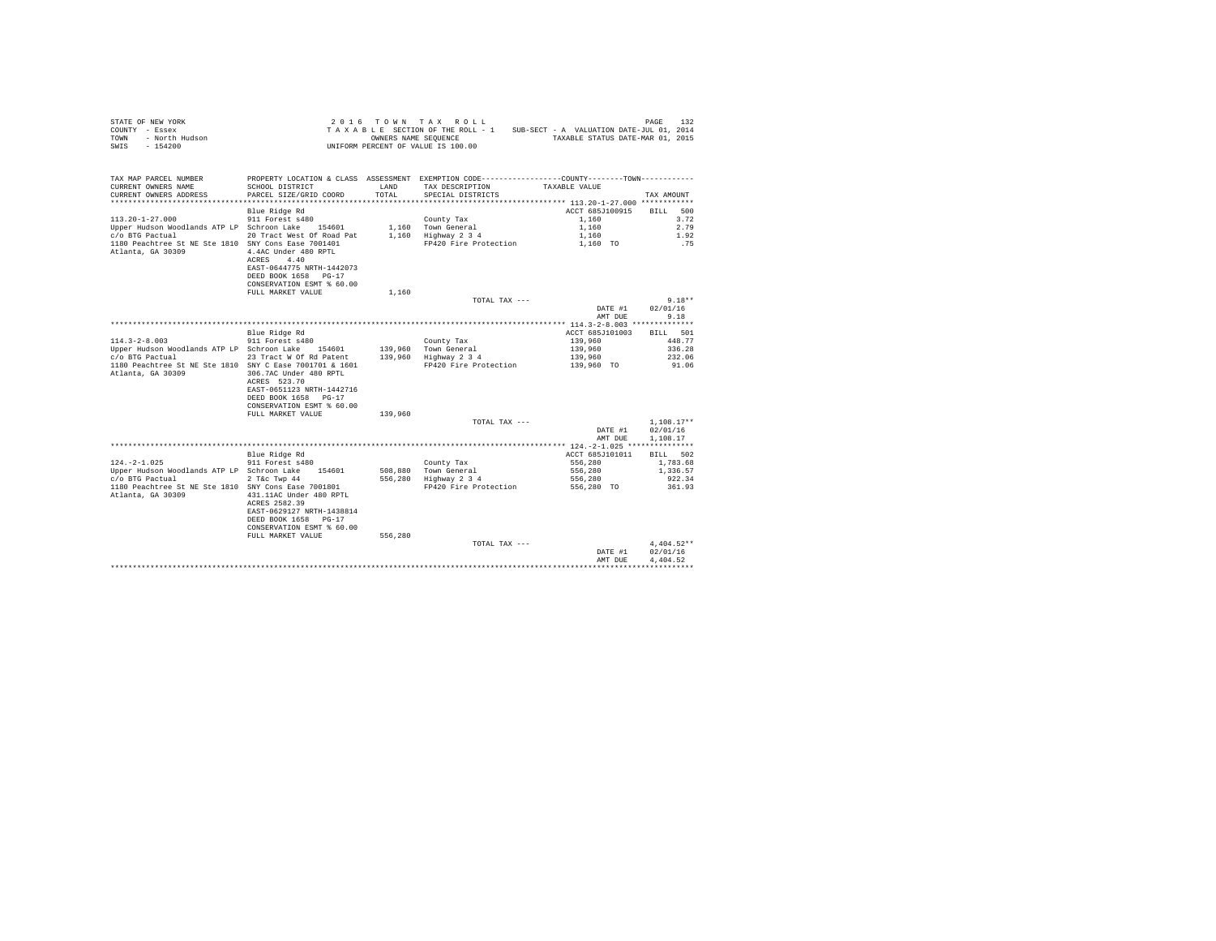|                | STATE OF NEW YORK |  |  |  | $2.0.16$ TOWN TAX ROLL             |  |  |  |  |                                          | PAGE | 132 |
|----------------|-------------------|--|--|--|------------------------------------|--|--|--|--|------------------------------------------|------|-----|
| COUNTY - Essex |                   |  |  |  | TAXABLE SECTION OF THE ROLL - 1    |  |  |  |  | SUB-SECT - A VALUATION DATE-JUL 01, 2014 |      |     |
| TOWN           | - North Hudson    |  |  |  | OWNERS NAME SEOUENCE               |  |  |  |  | TAXABLE STATUS DATE-MAR 01, 2015         |      |     |
| SWIS           | $-154200$         |  |  |  | UNIFORM PERCENT OF VALUE IS 100.00 |  |  |  |  |                                          |      |     |

| ACCT 685J100915<br>Blue Ridge Rd<br><b>BILL</b><br>500<br>911 Forest s480<br>1,160<br>3.72<br>County Tax<br>Upper Hudson Woodlands ATP LP Schroon Lake<br>1.160 Town General<br>2.79<br>154601<br>1,160<br>20 Tract West Of Road Pat<br>1,160 Highway 2 3 4<br>1.92<br>1,160<br>1180 Peachtree St NE Ste 1810 SNY Cons Ease 7001401<br>FP420 Fire Protection<br>1,160 TO<br>.75<br>4.4AC Under 480 RPTL<br>4.40<br>ACRES<br>EAST-0644775 NRTH-1442073<br>DEED BOOK 1658 PG-17<br>CONSERVATION ESMT % 60.00<br>FULL MARKET VALUE<br>1,160<br>$9.18**$<br>TOTAL TAX ---<br>02/01/16<br>DATE #1<br>9.18<br>AMT DUE<br>Blue Ridge Rd<br>ACCT 685J101003<br>BILL 501<br>$114.3 - 2 - 8.003$<br>911 Forest s480<br>139,960<br>448.77<br>County Tax<br>Upper Hudson Woodlands ATP LP Schroon Lake<br>139,960 Town General<br>139,960<br>336.28<br>154601<br>c/o BTG Pactual<br>23 Tract W Of Rd Patent<br>139,960 Highway 2 3 4<br>139,960<br>232.06<br>1180 Peachtree St NE Ste 1810 SNY C Ease 7001701 & 1601<br>FP420 Fire Protection<br>139,960 TO<br>91.06<br>306.7AC Under 480 RPTL<br>ACRES 523.70<br>EAST-0651123 NRTH-1442716<br>DEED BOOK 1658 PG-17<br>CONSERVATION ESMT % 60.00<br>FULL MARKET VALUE<br>139,960<br>$1.108.17**$<br>TOTAL TAX ---<br>02/01/16<br>DATE #1<br>AMT DUE<br>1,108.17<br>Blue Ridge Rd<br>ACCT 685J101011<br>502<br><b>BILL</b><br>$124. -2 - 1.025$<br>911 Forest s480<br>556,280<br>1,783.68<br>County Tax<br>Upper Hudson Woodlands ATP LP Schroon Lake 154601<br>508.880 Town General<br>556,280<br>1,336.57<br>2 T&c Twp 44<br>556,280<br>Highway 2 3 4<br>556,280<br>922.34<br>FP420 Fire Protection<br>1180 Peachtree St NE Ste 1810 SNY Cons Ease 7001801<br>361.93<br>556,280 TO<br>431.11AC Under 480 RPTL<br>ACRES 2582.39<br>EAST-0629127 NRTH-1438814<br>DEED BOOK 1658 PG-17<br>CONSERVATION ESMT % 60.00<br>556,280<br>FULL MARKET VALUE<br>$4.404.52**$<br>TOTAL TAX ---<br>02/01/16<br>DATE #1<br>4.404.52<br>AMT DUE | TAX MAP PARCEL NUMBER<br>CURRENT OWNERS NAME<br>CURRENT OWNERS ADDRESS | SCHOOL DISTRICT<br>PARCEL SIZE/GRID COORD | LAND<br>TOTAL | PROPERTY LOCATION & CLASS ASSESSMENT EXEMPTION CODE----------------COUNTY-------TOWN----------<br>TAX DESCRIPTION<br>SPECIAL DISTRICTS | TAXABLE VALUE | TAX AMOUNT |
|----------------------------------------------------------------------------------------------------------------------------------------------------------------------------------------------------------------------------------------------------------------------------------------------------------------------------------------------------------------------------------------------------------------------------------------------------------------------------------------------------------------------------------------------------------------------------------------------------------------------------------------------------------------------------------------------------------------------------------------------------------------------------------------------------------------------------------------------------------------------------------------------------------------------------------------------------------------------------------------------------------------------------------------------------------------------------------------------------------------------------------------------------------------------------------------------------------------------------------------------------------------------------------------------------------------------------------------------------------------------------------------------------------------------------------------------------------------------------------------------------------------------------------------------------------------------------------------------------------------------------------------------------------------------------------------------------------------------------------------------------------------------------------------------------------------------------------------------------------------------------------------------------------------------------------------------------------------------|------------------------------------------------------------------------|-------------------------------------------|---------------|----------------------------------------------------------------------------------------------------------------------------------------|---------------|------------|
|                                                                                                                                                                                                                                                                                                                                                                                                                                                                                                                                                                                                                                                                                                                                                                                                                                                                                                                                                                                                                                                                                                                                                                                                                                                                                                                                                                                                                                                                                                                                                                                                                                                                                                                                                                                                                                                                                                                                                                      | $113.20 - 1 - 27.000$<br>c/o BTG Pactual                               |                                           |               |                                                                                                                                        |               |            |
|                                                                                                                                                                                                                                                                                                                                                                                                                                                                                                                                                                                                                                                                                                                                                                                                                                                                                                                                                                                                                                                                                                                                                                                                                                                                                                                                                                                                                                                                                                                                                                                                                                                                                                                                                                                                                                                                                                                                                                      | Atlanta, GA 30309                                                      |                                           |               |                                                                                                                                        |               |            |
|                                                                                                                                                                                                                                                                                                                                                                                                                                                                                                                                                                                                                                                                                                                                                                                                                                                                                                                                                                                                                                                                                                                                                                                                                                                                                                                                                                                                                                                                                                                                                                                                                                                                                                                                                                                                                                                                                                                                                                      |                                                                        |                                           |               |                                                                                                                                        |               |            |
|                                                                                                                                                                                                                                                                                                                                                                                                                                                                                                                                                                                                                                                                                                                                                                                                                                                                                                                                                                                                                                                                                                                                                                                                                                                                                                                                                                                                                                                                                                                                                                                                                                                                                                                                                                                                                                                                                                                                                                      |                                                                        |                                           |               |                                                                                                                                        |               |            |
|                                                                                                                                                                                                                                                                                                                                                                                                                                                                                                                                                                                                                                                                                                                                                                                                                                                                                                                                                                                                                                                                                                                                                                                                                                                                                                                                                                                                                                                                                                                                                                                                                                                                                                                                                                                                                                                                                                                                                                      |                                                                        |                                           |               |                                                                                                                                        |               |            |
|                                                                                                                                                                                                                                                                                                                                                                                                                                                                                                                                                                                                                                                                                                                                                                                                                                                                                                                                                                                                                                                                                                                                                                                                                                                                                                                                                                                                                                                                                                                                                                                                                                                                                                                                                                                                                                                                                                                                                                      |                                                                        |                                           |               |                                                                                                                                        |               |            |
|                                                                                                                                                                                                                                                                                                                                                                                                                                                                                                                                                                                                                                                                                                                                                                                                                                                                                                                                                                                                                                                                                                                                                                                                                                                                                                                                                                                                                                                                                                                                                                                                                                                                                                                                                                                                                                                                                                                                                                      |                                                                        |                                           |               |                                                                                                                                        |               |            |
|                                                                                                                                                                                                                                                                                                                                                                                                                                                                                                                                                                                                                                                                                                                                                                                                                                                                                                                                                                                                                                                                                                                                                                                                                                                                                                                                                                                                                                                                                                                                                                                                                                                                                                                                                                                                                                                                                                                                                                      |                                                                        |                                           |               |                                                                                                                                        |               |            |
|                                                                                                                                                                                                                                                                                                                                                                                                                                                                                                                                                                                                                                                                                                                                                                                                                                                                                                                                                                                                                                                                                                                                                                                                                                                                                                                                                                                                                                                                                                                                                                                                                                                                                                                                                                                                                                                                                                                                                                      |                                                                        |                                           |               |                                                                                                                                        |               |            |
|                                                                                                                                                                                                                                                                                                                                                                                                                                                                                                                                                                                                                                                                                                                                                                                                                                                                                                                                                                                                                                                                                                                                                                                                                                                                                                                                                                                                                                                                                                                                                                                                                                                                                                                                                                                                                                                                                                                                                                      |                                                                        |                                           |               |                                                                                                                                        |               |            |
|                                                                                                                                                                                                                                                                                                                                                                                                                                                                                                                                                                                                                                                                                                                                                                                                                                                                                                                                                                                                                                                                                                                                                                                                                                                                                                                                                                                                                                                                                                                                                                                                                                                                                                                                                                                                                                                                                                                                                                      | Atlanta, GA 30309                                                      |                                           |               |                                                                                                                                        |               |            |
|                                                                                                                                                                                                                                                                                                                                                                                                                                                                                                                                                                                                                                                                                                                                                                                                                                                                                                                                                                                                                                                                                                                                                                                                                                                                                                                                                                                                                                                                                                                                                                                                                                                                                                                                                                                                                                                                                                                                                                      |                                                                        |                                           |               |                                                                                                                                        |               |            |
|                                                                                                                                                                                                                                                                                                                                                                                                                                                                                                                                                                                                                                                                                                                                                                                                                                                                                                                                                                                                                                                                                                                                                                                                                                                                                                                                                                                                                                                                                                                                                                                                                                                                                                                                                                                                                                                                                                                                                                      |                                                                        |                                           |               |                                                                                                                                        |               |            |
|                                                                                                                                                                                                                                                                                                                                                                                                                                                                                                                                                                                                                                                                                                                                                                                                                                                                                                                                                                                                                                                                                                                                                                                                                                                                                                                                                                                                                                                                                                                                                                                                                                                                                                                                                                                                                                                                                                                                                                      |                                                                        |                                           |               |                                                                                                                                        |               |            |
|                                                                                                                                                                                                                                                                                                                                                                                                                                                                                                                                                                                                                                                                                                                                                                                                                                                                                                                                                                                                                                                                                                                                                                                                                                                                                                                                                                                                                                                                                                                                                                                                                                                                                                                                                                                                                                                                                                                                                                      |                                                                        |                                           |               |                                                                                                                                        |               |            |
|                                                                                                                                                                                                                                                                                                                                                                                                                                                                                                                                                                                                                                                                                                                                                                                                                                                                                                                                                                                                                                                                                                                                                                                                                                                                                                                                                                                                                                                                                                                                                                                                                                                                                                                                                                                                                                                                                                                                                                      |                                                                        |                                           |               |                                                                                                                                        |               |            |
|                                                                                                                                                                                                                                                                                                                                                                                                                                                                                                                                                                                                                                                                                                                                                                                                                                                                                                                                                                                                                                                                                                                                                                                                                                                                                                                                                                                                                                                                                                                                                                                                                                                                                                                                                                                                                                                                                                                                                                      |                                                                        |                                           |               |                                                                                                                                        |               |            |
|                                                                                                                                                                                                                                                                                                                                                                                                                                                                                                                                                                                                                                                                                                                                                                                                                                                                                                                                                                                                                                                                                                                                                                                                                                                                                                                                                                                                                                                                                                                                                                                                                                                                                                                                                                                                                                                                                                                                                                      |                                                                        |                                           |               |                                                                                                                                        |               |            |
|                                                                                                                                                                                                                                                                                                                                                                                                                                                                                                                                                                                                                                                                                                                                                                                                                                                                                                                                                                                                                                                                                                                                                                                                                                                                                                                                                                                                                                                                                                                                                                                                                                                                                                                                                                                                                                                                                                                                                                      | c/o BTG Pactual                                                        |                                           |               |                                                                                                                                        |               |            |
|                                                                                                                                                                                                                                                                                                                                                                                                                                                                                                                                                                                                                                                                                                                                                                                                                                                                                                                                                                                                                                                                                                                                                                                                                                                                                                                                                                                                                                                                                                                                                                                                                                                                                                                                                                                                                                                                                                                                                                      | Atlanta, GA 30309                                                      |                                           |               |                                                                                                                                        |               |            |
|                                                                                                                                                                                                                                                                                                                                                                                                                                                                                                                                                                                                                                                                                                                                                                                                                                                                                                                                                                                                                                                                                                                                                                                                                                                                                                                                                                                                                                                                                                                                                                                                                                                                                                                                                                                                                                                                                                                                                                      |                                                                        |                                           |               |                                                                                                                                        |               |            |
|                                                                                                                                                                                                                                                                                                                                                                                                                                                                                                                                                                                                                                                                                                                                                                                                                                                                                                                                                                                                                                                                                                                                                                                                                                                                                                                                                                                                                                                                                                                                                                                                                                                                                                                                                                                                                                                                                                                                                                      |                                                                        |                                           |               |                                                                                                                                        |               |            |
|                                                                                                                                                                                                                                                                                                                                                                                                                                                                                                                                                                                                                                                                                                                                                                                                                                                                                                                                                                                                                                                                                                                                                                                                                                                                                                                                                                                                                                                                                                                                                                                                                                                                                                                                                                                                                                                                                                                                                                      |                                                                        |                                           |               |                                                                                                                                        |               |            |
|                                                                                                                                                                                                                                                                                                                                                                                                                                                                                                                                                                                                                                                                                                                                                                                                                                                                                                                                                                                                                                                                                                                                                                                                                                                                                                                                                                                                                                                                                                                                                                                                                                                                                                                                                                                                                                                                                                                                                                      |                                                                        |                                           |               |                                                                                                                                        |               |            |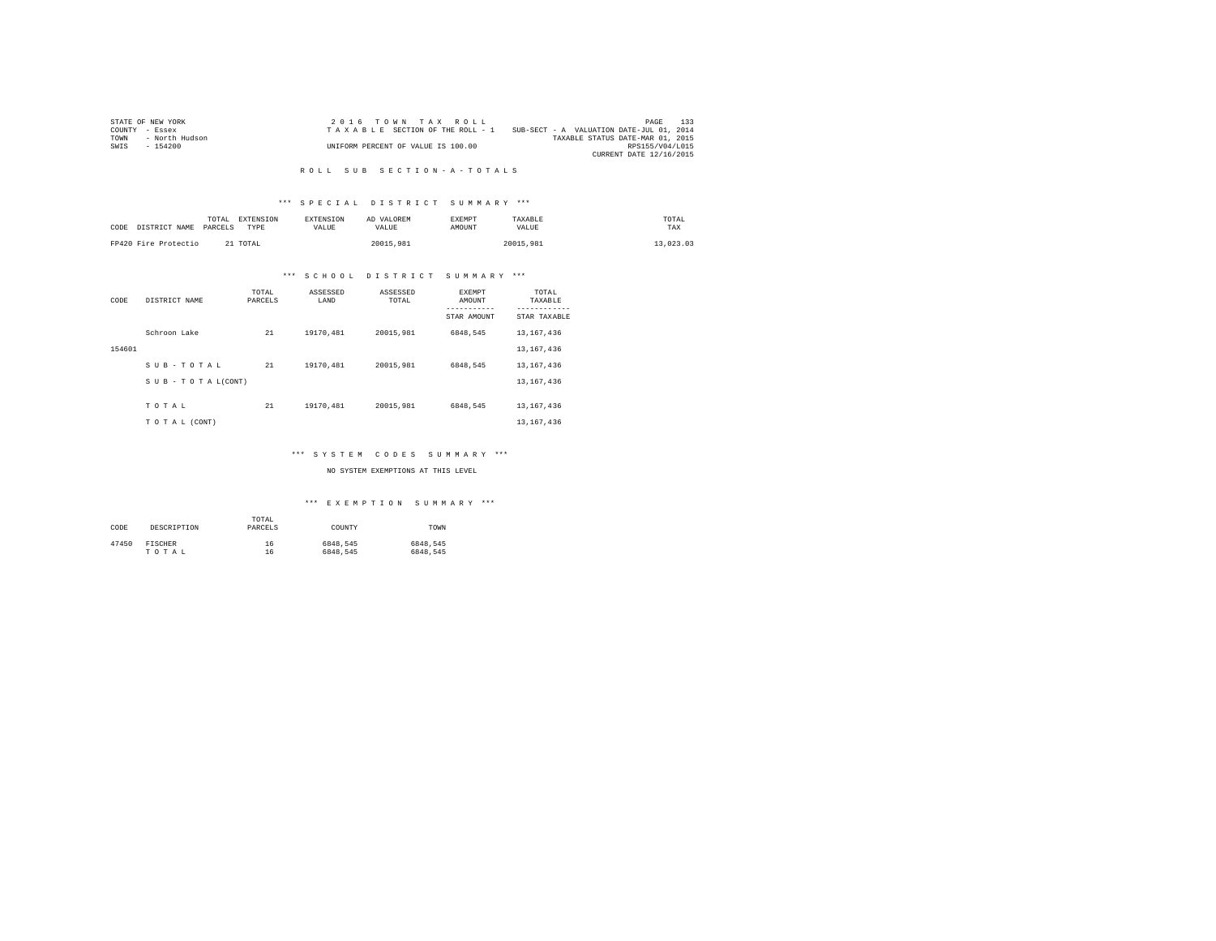|                | STATE OF NEW YORK | $2.0.16$ TOWN TAX ROLL             |                                          | PAGE                    | 133 |
|----------------|-------------------|------------------------------------|------------------------------------------|-------------------------|-----|
| COUNTY - Essex |                   | TAXABLE SECTION OF THE ROLL - 1    | SUB-SECT - A VALUATION DATE-JUL 01, 2014 |                         |     |
| TOWN           | - North Hudson    |                                    | TAXABLE STATUS DATE-MAR 01, 2015         |                         |     |
| SWIS           | - 154200          | UNIFORM PERCENT OF VALUE IS 100.00 |                                          | RPS155/V04/L015         |     |
|                |                   |                                    |                                          | CURRENT DATE 12/16/2015 |     |

#### R O L L S U B S E C T I O N - A - T O T A L S

#### \*\*\* S P E C I A L D I S T R I C T S U M M A R Y \*\*\*

| CODE | DISTRICT NAME        | TOTAL<br>PARCELS | EXTENSION<br>TYPE | <b>EXTENSION</b><br>VALUE | AD VALOREM<br>VALUE | <b>EXEMPT</b><br>AMOUNT | TAXABLE<br><b>VALUE</b> | TOTAL<br>TAX |  |
|------|----------------------|------------------|-------------------|---------------------------|---------------------|-------------------------|-------------------------|--------------|--|
|      | FP420 Fire Protectio |                  | 21 TOTAL          |                           | 20015.981           |                         | 20015,981               | 13,023.03    |  |

#### \*\*\* S C H O O L D I S T R I C T S U M M A R Y \*\*\*

| CODE   | DISTRICT NAME             | TOTAL<br>PARCELS | ASSESSED<br>LAND | ASSESSED<br>TOTAL | <b>EXEMPT</b><br>AMOUNT | TOTAL<br>TAXABLE          |
|--------|---------------------------|------------------|------------------|-------------------|-------------------------|---------------------------|
|        |                           |                  |                  |                   | STAR AMOUNT             | ---------<br>STAR TAXABLE |
|        | Schroon Lake              | 21               | 19170.481        | 20015.981         | 6848.545                | 13, 167, 436              |
| 154601 |                           |                  |                  |                   |                         | 13, 167, 436              |
|        | SUB-TOTAL                 | 21               | 19170.481        | 20015.981         | 6848.545                | 13, 167, 436              |
|        | $S$ U B - T O T A L(CONT) |                  |                  |                   |                         | 13, 167, 436              |
|        | TOTAL                     | 21               | 19170.481        | 20015.981         | 6848.545                | 13, 167, 436              |
|        | TO TAL (CONT)             |                  |                  |                   |                         | 13, 167, 436              |

#### \*\*\* S Y S T E M C O D E S S U M M A R Y \*\*\*

#### NO SYSTEM EXEMPTIONS AT THIS LEVEL

| CODE  | DESCRIPTION | TOTAL<br>PARCELS | COUNTY   | TOWN     |
|-------|-------------|------------------|----------|----------|
| 47450 | FISCHER     | 16               | 6848.545 | 6848.545 |
|       | TOTAL       | 16               | 6848.545 | 6848.545 |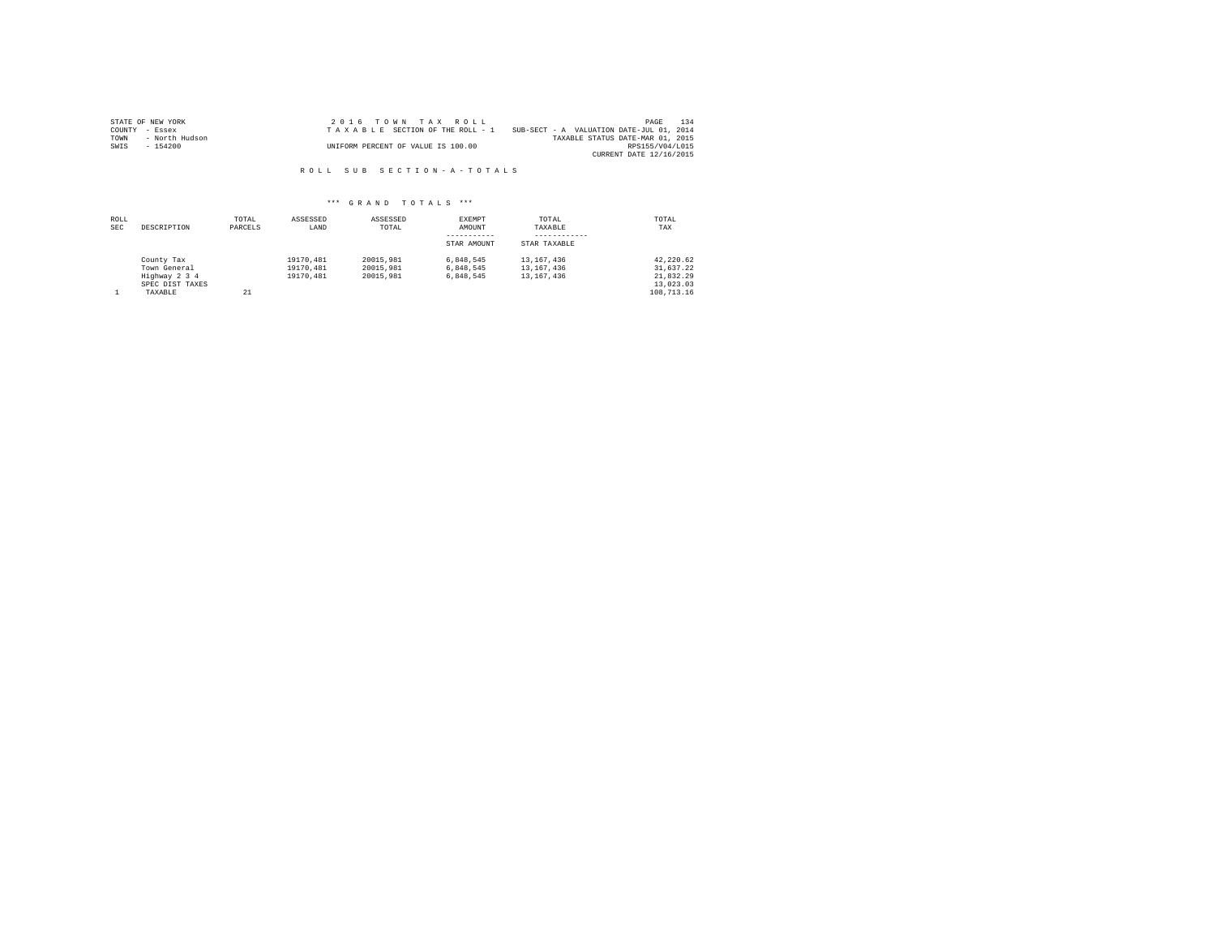|                | STATE OF NEW YORK | $2.0.16$ TOWN TAX ROLL             |                                          | PAGE                    | 134 |
|----------------|-------------------|------------------------------------|------------------------------------------|-------------------------|-----|
| COUNTY - Essex |                   | TAXABLE SECTION OF THE ROLL - 1    | SUB-SECT - A VALUATION DATE-JUL 01, 2014 |                         |     |
| TOWN           | - North Hudson    |                                    | TAXABLE STATUS DATE-MAR 01, 2015         |                         |     |
| SWIS           | - 154200          | UNIFORM PERCENT OF VALUE IS 100.00 |                                          | RPS155/V04/L015         |     |
|                |                   |                                    |                                          | CURRENT DATE 12/16/2015 |     |

R O L L S U B S E C T I O N - A - T O T A L S

| ROLL<br><b>SEC</b> | DESCRIPTION                                                               | TOTAL<br>PARCELS | ASSESSED<br>LAND                    | ASSESSED<br>TOTAL                   | EXEMPT<br>AMOUNT<br>STAR AMOUNT     | TOTAL<br>TAXABLE<br>STAR TAXABLE         | TOTAL<br>TAX                                                   |
|--------------------|---------------------------------------------------------------------------|------------------|-------------------------------------|-------------------------------------|-------------------------------------|------------------------------------------|----------------------------------------------------------------|
|                    | County Tax<br>Town General<br>Highway 2 3 4<br>SPEC DIST TAXES<br>TAXABLE | 21               | 19170.481<br>19170.481<br>19170.481 | 20015.981<br>20015.981<br>20015.981 | 6.848.545<br>6.848.545<br>6.848.545 | 13, 167, 436<br>13,167,436<br>13,167,436 | 42.220.62<br>31,637.22<br>21.832.29<br>13,023.03<br>108,713.16 |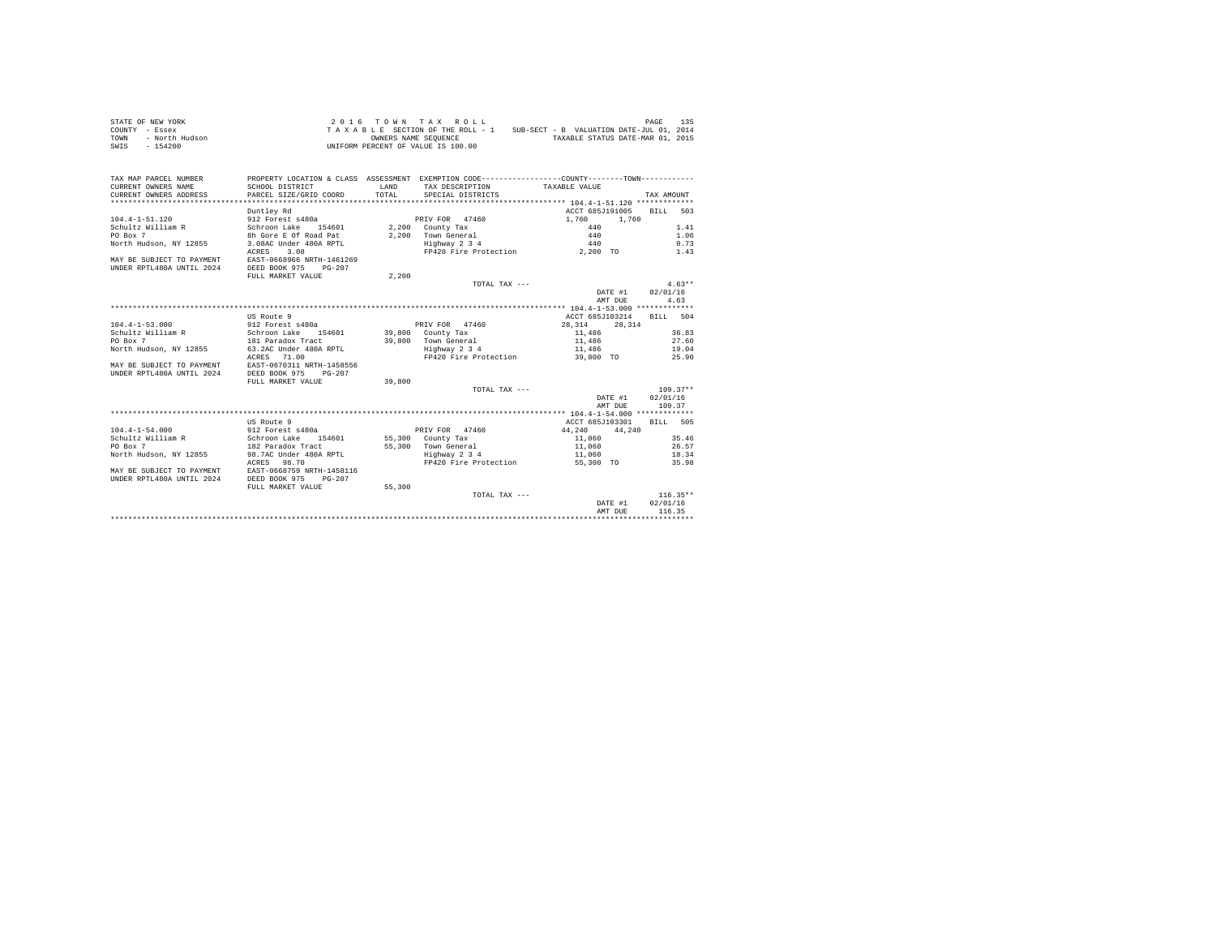|                | STATE OF NEW YORK |  |  |  | 2016 TOWN TAX ROLL                 |  |  |  |                                          | PAGE | 135 |
|----------------|-------------------|--|--|--|------------------------------------|--|--|--|------------------------------------------|------|-----|
| COUNTY - Essex |                   |  |  |  | TAXABLE SECTION OF THE ROLL - 1    |  |  |  | SUB-SECT - B VALUATION DATE-JUL 01, 2014 |      |     |
| TOWN           | - North Hudson    |  |  |  | OWNERS NAME SEOUENCE               |  |  |  | TAXABLE STATUS DATE-MAR 01, 2015         |      |     |
| SWIS           | - 154200          |  |  |  | UNIFORM PERCENT OF VALUE IS 100.00 |  |  |  |                                          |      |     |

| TAX MAP PARCEL NUMBER<br>CURRENT OWNERS NAME<br>CURRENT OWNERS ADDRESS | PROPERTY LOCATION & CLASS ASSESSMENT EXEMPTION CODE---------------COUNTY-------TOWN----------<br>SCHOOL DISTRICT<br>PARCEL SIZE/GRID COORD | LAND<br>TOTAL. | TAX DESCRIPTION TAXABLE VALUE<br>SPECIAL DISTRICTS |                                       | TAX AMOUNT       |
|------------------------------------------------------------------------|--------------------------------------------------------------------------------------------------------------------------------------------|----------------|----------------------------------------------------|---------------------------------------|------------------|
|                                                                        |                                                                                                                                            |                |                                                    |                                       |                  |
| 104.4-1-51.120                                                         | Duntley Rd                                                                                                                                 |                | PRIV FOR 47460                                     | ACCT 685J191005 BILL<br>1,760 1,760   | 503              |
| Schultz William R                                                      | 912 Forest s480a                                                                                                                           |                | PRIV FOR 47460<br>2,200 County Tax                 |                                       | 1.41             |
| PO Box 7                                                               | Schroon Lake 154601<br>8h Gore E Of Road Pat                                                                                               |                |                                                    | $440$<br>$440$                        |                  |
|                                                                        |                                                                                                                                            |                | 2,200 Town General<br>Highway 2 3 4                | 440                                   | 1.06             |
| North Hudson, NY 12855                                                 | 3.08AC Under 480A RPTL                                                                                                                     |                |                                                    |                                       | 0.73             |
| MAY BE SUBJECT TO PAYMENT<br>UNDER RPTL480A UNTIL 2024                 | ACRES 3.08<br>EAST-0668966 NRTH-1461269<br>DEED BOOK 975<br>$PG-207$<br>FULL MARKET VALUE                                                  | 2,200          |                                                    | FP420 Fire Protection 2,200 TO 1.43   |                  |
|                                                                        |                                                                                                                                            |                | TOTAL TAX ---                                      |                                       | $4.63**$         |
|                                                                        |                                                                                                                                            |                |                                                    | DATE #1 02/01/16                      |                  |
|                                                                        |                                                                                                                                            |                |                                                    | AMT DUE                               | 4.63             |
|                                                                        |                                                                                                                                            |                |                                                    |                                       |                  |
|                                                                        | US Route 9                                                                                                                                 |                |                                                    | ACCT 685J103214                       |                  |
| $104.4 - 1 - 53.000$                                                   | 912 Forest s480a                                                                                                                           |                | PRIV FOR 47460                                     | 28.314 28.314                         | BILL 504         |
| Schultz William R                                                      | Schroon Lake 154601 39,800 County Tax                                                                                                      |                |                                                    | 11,486                                | 36.83            |
| PO Box 7                                                               |                                                                                                                                            |                |                                                    | 11,486                                |                  |
| North Hudson, NY 12855                                                 | 181 Paradox Tract<br>63.2AC Under 480A RPTL                                                                                                |                | 39,800 Town General<br>Highway 2 3 4               | 11,486                                | 27.60<br>19.04   |
|                                                                        | ACRES 71.00                                                                                                                                |                |                                                    | FP420 Fire Protection 39,800 TO 25.90 |                  |
| MAY BE SUBJECT TO PAYMENT                                              | EAST-0670311 NRTH-1458556                                                                                                                  |                |                                                    |                                       |                  |
| UNDER RPTL480A UNTIL 2024                                              | DEED BOOK 975<br>$PG-207$                                                                                                                  |                |                                                    |                                       |                  |
|                                                                        | FULL MARKET VALUE                                                                                                                          | 39,800         |                                                    |                                       |                  |
|                                                                        |                                                                                                                                            |                | TOTAL TAX ---                                      |                                       | $109.37**$       |
|                                                                        |                                                                                                                                            |                |                                                    | DATE #1 02/01/16                      |                  |
|                                                                        |                                                                                                                                            |                |                                                    | AMT DUE                               | 109.37           |
|                                                                        |                                                                                                                                            |                |                                                    |                                       |                  |
|                                                                        | US Route 9                                                                                                                                 |                |                                                    | ACCT 685J103301                       | BTLL 505         |
| $104.4 - 1 - 54.000$                                                   |                                                                                                                                            |                | PRIV FOR 47460                                     |                                       |                  |
|                                                                        | 912 Forest s480a<br>Schroon Lake 154601<br>182 Paradox Tract                                                                               |                | 55,300 County Tax                                  | $44,240$ $44,240$<br>11,060           | 35.46            |
| Schultz William R<br>PO Box 7<br>PO Box 7                              |                                                                                                                                            |                | 55,300 Town General                                | 11,060                                | 26.57            |
| North Hudson, NY 12855                                                 |                                                                                                                                            |                |                                                    |                                       |                  |
|                                                                        | 98.7AC Under 480A RPTL Book and Highway 2 3 4<br>ACRES 98.70                                                                               |                | FP420 Fire Protection                              | 11,060 18.34<br>55,300 TO             | 35.98            |
| MAY BE SUBJECT TO PAYMENT EAST-0668759 NRTH-1458116                    |                                                                                                                                            |                |                                                    |                                       |                  |
| UNDER RPTL480A UNTIL 2024                                              | DEED BOOK 975<br>$PG - 207$                                                                                                                |                |                                                    |                                       |                  |
|                                                                        |                                                                                                                                            | 55,300         |                                                    |                                       |                  |
|                                                                        | FULL MARKET VALUE                                                                                                                          |                | TOTAL TAX ---                                      |                                       | $116.35**$       |
|                                                                        |                                                                                                                                            |                |                                                    |                                       | DATE #1 02/01/16 |
|                                                                        |                                                                                                                                            |                |                                                    |                                       |                  |
|                                                                        |                                                                                                                                            |                |                                                    | AMT DUE                               | 116.35           |
|                                                                        |                                                                                                                                            |                |                                                    |                                       |                  |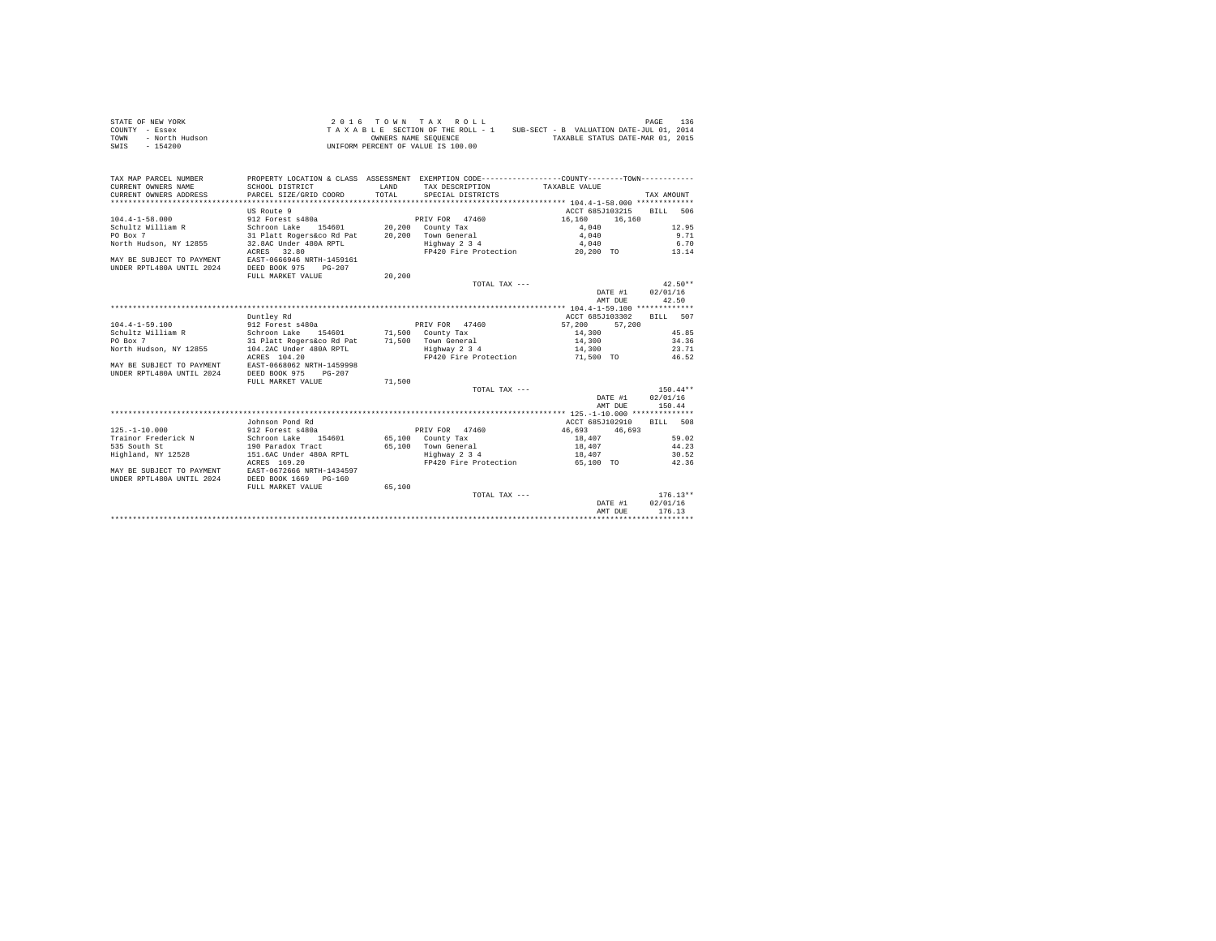|                | STATE OF NEW YORK |  |  |  | 2016 TOWN TAX ROLL                 |  |  |  |                                          | PAGE | 136 |
|----------------|-------------------|--|--|--|------------------------------------|--|--|--|------------------------------------------|------|-----|
| COUNTY - Essex |                   |  |  |  | TAXABLE SECTION OF THE ROLL - 1    |  |  |  | SUB-SECT - B VALUATION DATE-JUL 01, 2014 |      |     |
| TOWN           | - North Hudson    |  |  |  | OWNERS NAME SEOUENCE               |  |  |  | TAXABLE STATUS DATE-MAR 01, 2015         |      |     |
| SWIS           | - 154200          |  |  |  | UNIFORM PERCENT OF VALUE IS 100.00 |  |  |  |                                          |      |     |

| TAX MAP PARCEL NUMBER<br>CURRENT OWNERS NAME<br>CURRENT OWNERS ADDRESS | PROPERTY LOCATION & CLASS ASSESSMENT EXEMPTION CODE---------------COUNTY-------TOWN----------<br>SCHOOL DISTRICT<br>PARCEL SIZE/GRID COORD | LAND<br>TOTAL. | TAX DESCRIPTION TAXABLE VALUE<br>SPECIAL DISTRICTS |                          | TAX AMOUNT       |
|------------------------------------------------------------------------|--------------------------------------------------------------------------------------------------------------------------------------------|----------------|----------------------------------------------------|--------------------------|------------------|
|                                                                        |                                                                                                                                            |                |                                                    |                          |                  |
|                                                                        | US Route 9                                                                                                                                 |                |                                                    | ACCT 685J103215 BILL 506 |                  |
| $104.4 - 1 - 58.000$                                                   | 912 Forest s480a                                                                                                                           |                | PRIV FOR 47460 16,160                              | 16,160                   |                  |
| Schultz William R                                                      | Schroon Lake 154601 20,200 County Tax<br>31 Platt Rogers&co Rd Pat 20,200 Town General                                                     |                |                                                    |                          | 12.95            |
| PO Box 7                                                               |                                                                                                                                            |                | 20,200 Town General                                | $4,040$<br>$4,040$       | 9.71             |
| North Hudson, NY 12855                                                 | 32.8AC Under 480A RPTL                                                                                                                     |                | $Highway$ 2 3 4                                    | 4,040                    | 6.70             |
|                                                                        | ACRES 32.80                                                                                                                                |                | FP420 Fire Protection 20,200 TO 13.14              |                          |                  |
| MAY BE SUBJECT TO PAYMENT                                              | EAST-0666946 NRTH-1459161                                                                                                                  |                |                                                    |                          |                  |
| UNDER RPTL480A UNTIL 2024                                              | DEED BOOK 975 PG-207                                                                                                                       |                |                                                    |                          |                  |
|                                                                        | FULL MARKET VALUE                                                                                                                          | 20,200         |                                                    |                          |                  |
|                                                                        |                                                                                                                                            |                | TOTAL TAX ---                                      |                          | $42.50**$        |
|                                                                        |                                                                                                                                            |                |                                                    | DATE #1 02/01/16         |                  |
|                                                                        |                                                                                                                                            |                |                                                    | AMT DUE                  | 42.50            |
|                                                                        |                                                                                                                                            |                |                                                    |                          |                  |
|                                                                        | Duntley Rd                                                                                                                                 |                |                                                    | ACCT 685J103302          | BILL 507         |
| 104.4-1-59.100                                                         | 912 Forest s480a                                                                                                                           |                | PRIV FOR 47460                                     | 57,200 57,200            |                  |
| Schultz William R                                                      | Schroon Lake 154601 71,500 County Tax                                                                                                      |                |                                                    | 14,300                   | 45.85            |
| PO Box 7                                                               | 31 Platt Rogers&co Rd Pat 71,500 Town General<br>104.2AC Under 480A RPTL Highway 2 3 4                                                     |                |                                                    | 14,300                   | 34.36            |
| North Hudson, NY 12855                                                 |                                                                                                                                            |                |                                                    | 14,300                   | 23.71            |
|                                                                        | ACRES 104.20                                                                                                                               |                | FP420 Fire Protection 51,500 TO 46.52              |                          |                  |
| MAY BE SUBJECT TO PAYMENT                                              | EAST-0668062 NRTH-1459998                                                                                                                  |                |                                                    |                          |                  |
| UNDER RPTL480A UNTIL 2024                                              | DEED BOOK 975 PG-207                                                                                                                       |                |                                                    |                          |                  |
|                                                                        | FULL MARKET VALUE                                                                                                                          | 71,500         |                                                    |                          |                  |
|                                                                        |                                                                                                                                            |                | TOTAL TAX ---                                      |                          | $150.44**$       |
|                                                                        |                                                                                                                                            |                |                                                    | DATE #1 02/01/16         |                  |
|                                                                        |                                                                                                                                            |                |                                                    | AMT DUE                  | 150.44           |
|                                                                        |                                                                                                                                            |                |                                                    |                          |                  |
|                                                                        | Johnson Pond Rd                                                                                                                            |                |                                                    | ACCT 685J102910          | BTT.T. 508       |
| $125. - 1 - 10.000$                                                    | 912 Forest s480a<br>Schroon Lake 154601<br>190 Paradox Tract                                                                               |                | PRIV FOR 47460                                     | 46,693 46,693            |                  |
| Trainor Frederick N                                                    |                                                                                                                                            |                | 65,100 County Tax                                  | 18,407                   | 59.02            |
| 535 South St                                                           |                                                                                                                                            |                | 65,100 Town General                                | 18,407                   | 44.23            |
| Highland, NY 12528 151.6AC Under 480A RPTL                             |                                                                                                                                            |                | Highway 2 3 4                                      | 18,407                   | 30.52            |
|                                                                        | ACRES 169.20                                                                                                                               |                | FP420 Fire Protection                              | 65,100 TO                | 42.36            |
| MAY BE SUBJECT TO PAYMENT EAST-0672666 NRTH-1434597                    |                                                                                                                                            |                |                                                    |                          |                  |
| UNDER RPTL480A UNTIL 2024                                              | DEED BOOK 1669 PG-160                                                                                                                      |                |                                                    |                          |                  |
|                                                                        | FULL MARKET VALUE                                                                                                                          | 65,100         |                                                    |                          |                  |
|                                                                        |                                                                                                                                            |                | TOTAL TAX ---                                      |                          | $176.13**$       |
|                                                                        |                                                                                                                                            |                |                                                    |                          | DATE #1 02/01/16 |
|                                                                        |                                                                                                                                            |                |                                                    | AMT DUE                  | 176.13           |
|                                                                        |                                                                                                                                            |                |                                                    |                          |                  |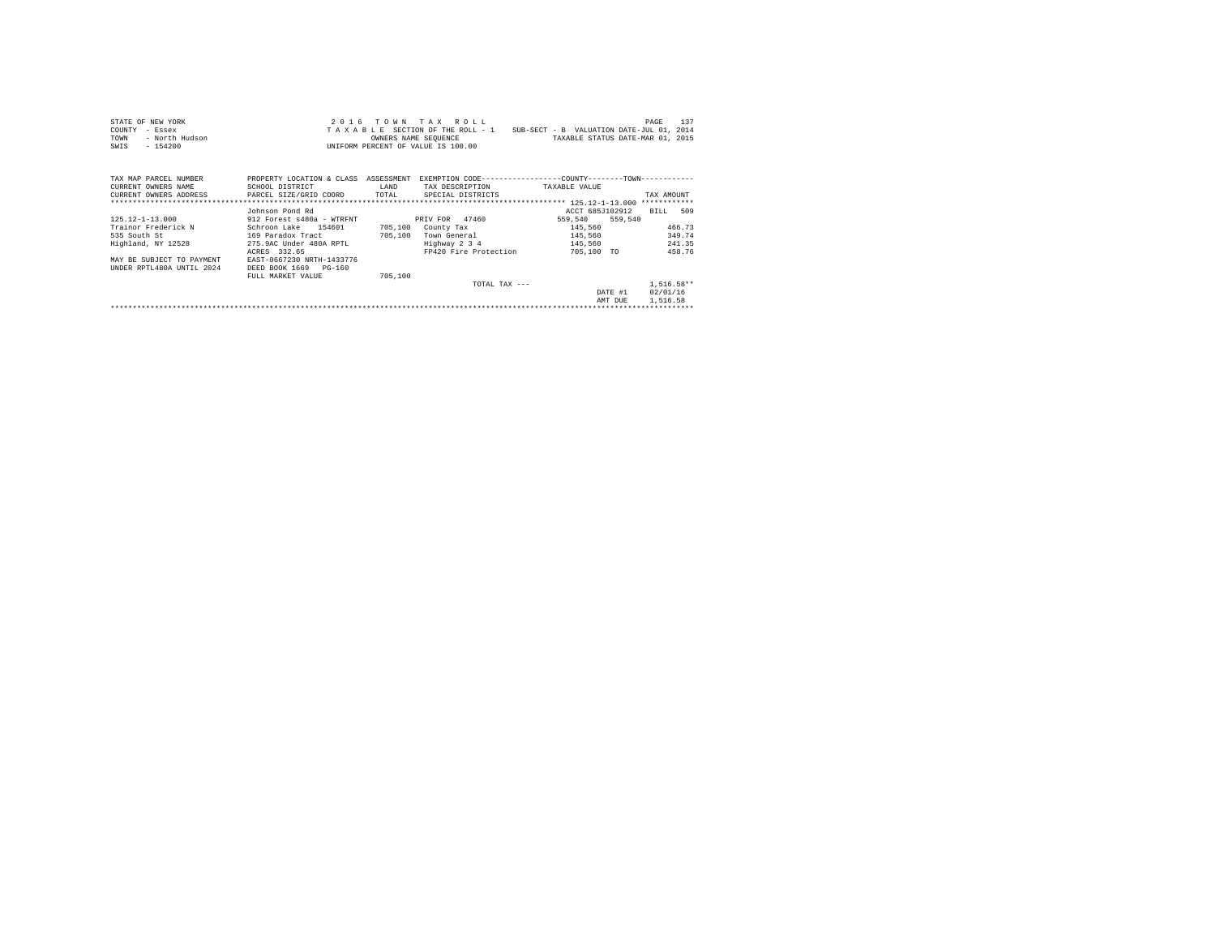| STATE OF NEW YORK                                                                                                 |                                                            |         | 2016 TOWN TAX ROLL            |                                                                          | 137<br>PAGE  |
|-------------------------------------------------------------------------------------------------------------------|------------------------------------------------------------|---------|-------------------------------|--------------------------------------------------------------------------|--------------|
| COUNTY<br>- Essex                                                                                                 |                                                            |         |                               | TAXABLE SECTION OF THE ROLL - 1 SUB-SECT - B VALUATION DATE-JUL 01, 2014 |              |
| TOWN<br>- North Hudson                                                                                            | OWNERS NAME SEQUENCE<br>UNIFORM PERCENT OF VALUE IS 100.00 |         | OWNERS NAME SEQUENCE          | TAXABLE STATUS DATE-MAR 01, 2015                                         |              |
| $-154200$<br>SWIS                                                                                                 |                                                            |         |                               |                                                                          |              |
|                                                                                                                   |                                                            |         |                               |                                                                          |              |
| TAX MAP PARCEL NUMBER PROPERTY LOCATION & CLASS ASSESSMENT EXEMPTION CODE--------------COUNTY-------TOWN--------- |                                                            |         |                               |                                                                          |              |
| CURRENT OWNERS NAME SCHOOL DISTRICT                                                                               |                                                            | LAND    | TAX DESCRIPTION TAXABLE VALUE |                                                                          |              |
| CURRENT OWNERS ADDRESS 6 PARCEL SIZE/GRID COORD 6 TOTAL 6PECIAL DISTRICTS                                         |                                                            |         |                               |                                                                          | TAX AMOUNT   |
|                                                                                                                   |                                                            |         |                               |                                                                          |              |
|                                                                                                                   | Johnson Pond Rd                                            |         |                               | ACCT 685J102912                                                          | BILL 509     |
| $125.12 - 1 - 13.000$                                                                                             | 912 Forest s480a - WTRFNT                                  |         | PRIV FOR 47460                | 559,540 559,540                                                          |              |
| Trainor Frederick N                                                                                               | Schroon Lake 154601                                        |         | 705,100 County Tax            | 145,560                                                                  | 466.73       |
| 535 South St                                                                                                      | 169 Paradox Tract                                          |         | 705,100 Town General          | 145,560                                                                  | 349.74       |
| Highland, NY 12528                                                                                                | 275.9AC Under 480A RPTL                                    |         | Highway 2 3 4                 | 145,560                                                                  | 241.35       |
|                                                                                                                   | ACRES 332.65                                               |         | FP420 Fire Protection         | 705,100 TO                                                               | 458.76       |
| MAY BE SUBJECT TO PAYMENT                                                                                         | EAST-0667230 NRTH-1433776                                  |         |                               |                                                                          |              |
| UNDER RPTL480A UNTIL 2024                                                                                         | DEED BOOK 1669 PG-160                                      |         |                               |                                                                          |              |
|                                                                                                                   | FULL MARKET VALUE                                          | 705,100 |                               |                                                                          |              |
|                                                                                                                   |                                                            |         | TOTAL TAX $---$               |                                                                          | $1.516.58**$ |
|                                                                                                                   |                                                            |         |                               | DATE #1                                                                  | 02/01/16     |
|                                                                                                                   |                                                            |         |                               | AMT DUR                                                                  | 1,516.58     |
|                                                                                                                   |                                                            |         |                               |                                                                          |              |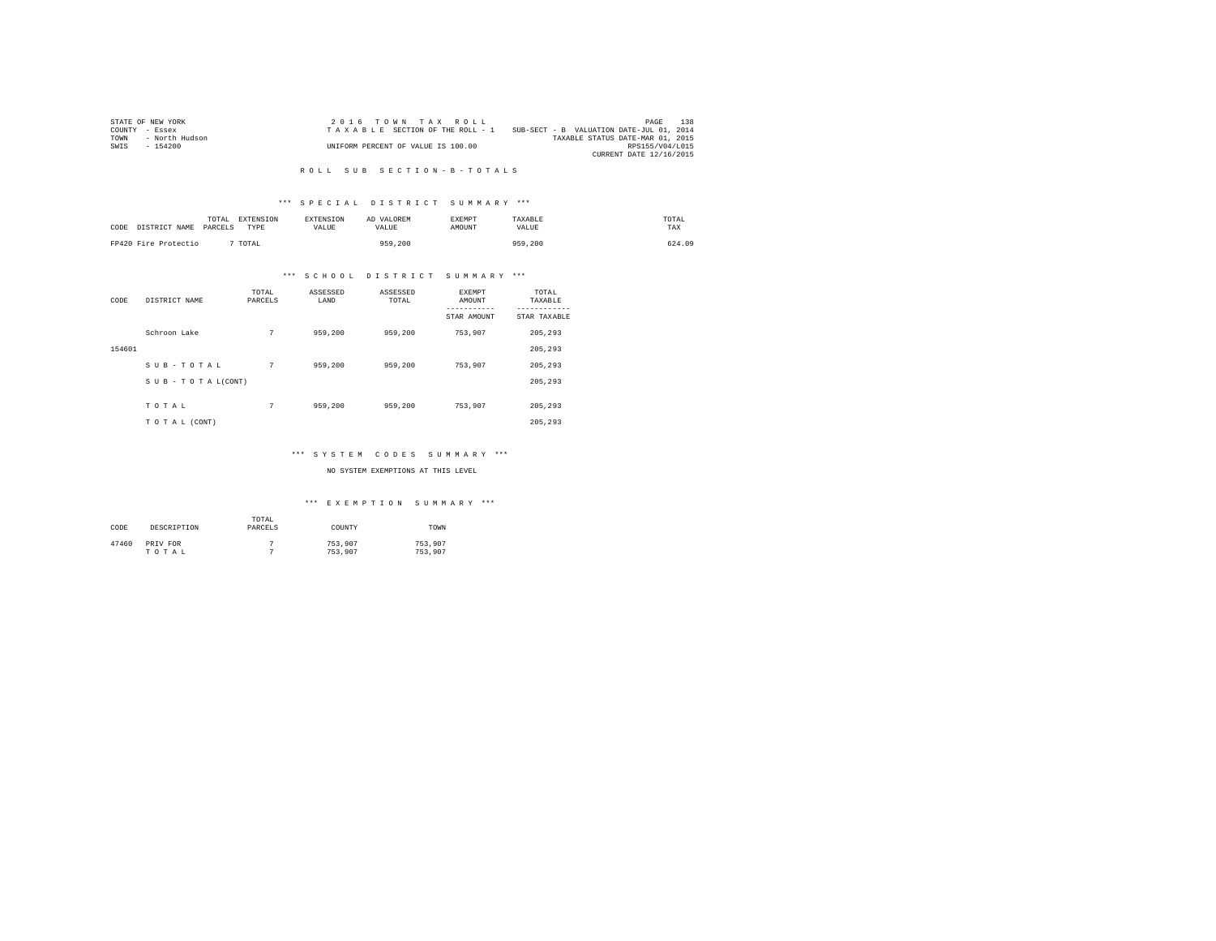|                | STATE OF NEW YORK | 2016 TOWN TAX ROLL                 |                                          | PAGE                    | 138 |
|----------------|-------------------|------------------------------------|------------------------------------------|-------------------------|-----|
| COUNTY - Essex |                   | TAXABLE SECTION OF THE ROLL - 1    | SUB-SECT - B VALUATION DATE-JUL 01, 2014 |                         |     |
| TOWN           | - North Hudson    |                                    | TAXABLE STATUS DATE-MAR 01, 2015         |                         |     |
| SWIS           | $-154200$         | UNIFORM PERCENT OF VALUE IS 100.00 |                                          | RPS155/V04/L015         |     |
|                |                   |                                    |                                          | CURRENT DATE 12/16/2015 |     |

#### R O L L S U B S E C T I O N - B - T O T A L S

#### \*\*\* S P E C I A L D I S T R I C T S U M M A R Y \*\*\*

| CODE DISTRICT NAME   | TOTAL<br>PARCELS | <b>EXTENSION</b><br>TYPE | <b>EXTENSION</b><br><b>VALUE</b> | AD VALOREM<br>VALUE | <b>EXEMPT</b><br>AMOUNT | TAXARLE<br>VALUE | TOTAL<br>TAX |
|----------------------|------------------|--------------------------|----------------------------------|---------------------|-------------------------|------------------|--------------|
| FP420 Fire Protectio |                  | TOTAL                    |                                  | 959,200             |                         | 959,200          | 624.09       |

#### \*\*\* S C H O O L D I S T R I C T S U M M A R Y \*\*\*

| CODE   | DISTRICT NAME      | TOTAL<br>PARCELS | ASSESSED<br>LAND | ASSESSED<br>TOTAL | <b>EXEMPT</b><br>AMOUNT | TOTAL<br>TAXABLE         |
|--------|--------------------|------------------|------------------|-------------------|-------------------------|--------------------------|
|        |                    |                  |                  |                   | STAR AMOUNT             | --------<br>STAR TAXABLE |
|        | Schroon Lake       | 7                | 959,200          | 959,200           | 753,907                 | 205,293                  |
| 154601 |                    |                  |                  |                   |                         | 205.293                  |
|        | SUB-TOTAL          | 7                | 959,200          | 959,200           | 753,907                 | 205,293                  |
|        | SUB - TO TAL(CONT) |                  |                  |                   |                         | 205.293                  |
|        | TOTAL              | 7                | 959,200          | 959,200           | 753,907                 | 205,293                  |
|        | TO TAL (CONT)      |                  |                  |                   |                         | 205.293                  |

#### \*\*\* S Y S T E M C O D E S S U M M A R Y \*\*\*

#### NO SYSTEM EXEMPTIONS AT THIS LEVEL

| CODE  | DESCRIPTION       | TOTAL<br>PARCELS | COUNTY             | TOWN               |
|-------|-------------------|------------------|--------------------|--------------------|
| 47460 | PRIV FOR<br>TOTAL |                  | 753,907<br>753,907 | 753.907<br>753.907 |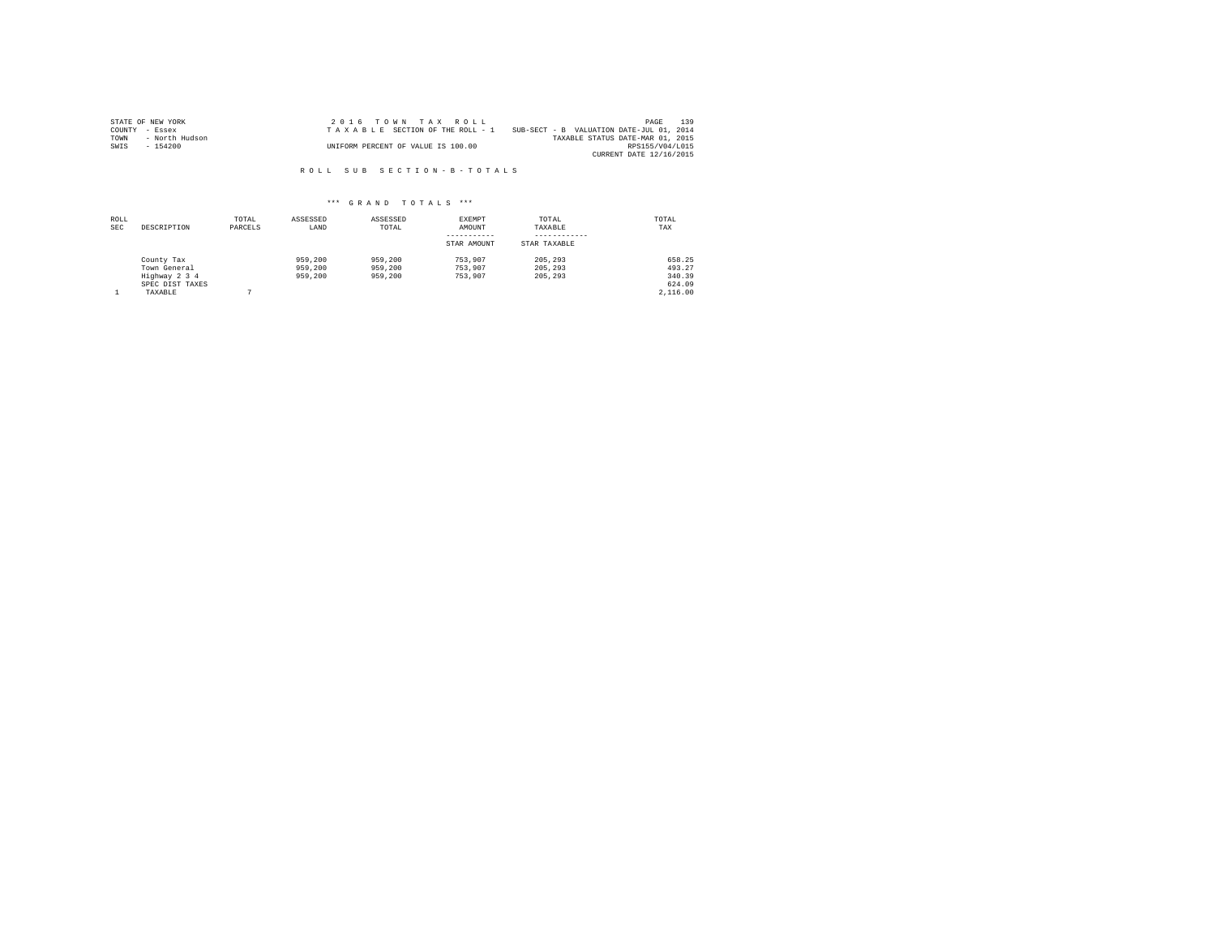|                | STATE OF NEW YORK | 2016 TOWN TAX ROLL                 |                                          | PAGE                    | 139 |
|----------------|-------------------|------------------------------------|------------------------------------------|-------------------------|-----|
| COUNTY - Essex |                   | TAXABLE SECTION OF THE ROLL - 1    | SUB-SECT - B VALUATION DATE-JUL 01, 2014 |                         |     |
| TOWN           | - North Hudson    |                                    | TAXABLE STATUS DATE-MAR 01, 2015         |                         |     |
| SWIS           | - 154200          | UNIFORM PERCENT OF VALUE IS 100.00 |                                          | RPS155/V04/L015         |     |
|                |                   |                                    |                                          | CURRENT DATE 12/16/2015 |     |

R O L L S U B S E C T I O N - B - T O T A L S

| ROLL<br><b>SEC</b> | DESCRIPTION                                                               | TOTAL<br>PARCELS | ASSESSED<br>LAND              | ASSESSED<br>TOTAL             | EXEMPT<br>AMOUNT<br>STAR AMOUNT | TOTAL<br>TAXABLE<br>STAR TAXABLE | TOTAL<br>TAX                                     |
|--------------------|---------------------------------------------------------------------------|------------------|-------------------------------|-------------------------------|---------------------------------|----------------------------------|--------------------------------------------------|
|                    | County Tax<br>Town General<br>Highway 2 3 4<br>SPEC DIST TAXES<br>TAXABLE |                  | 959,200<br>959,200<br>959,200 | 959,200<br>959,200<br>959,200 | 753.907<br>753.907<br>753,907   | 205, 293<br>205, 293<br>205, 293 | 658.25<br>493.27<br>340.39<br>624.09<br>2,116,00 |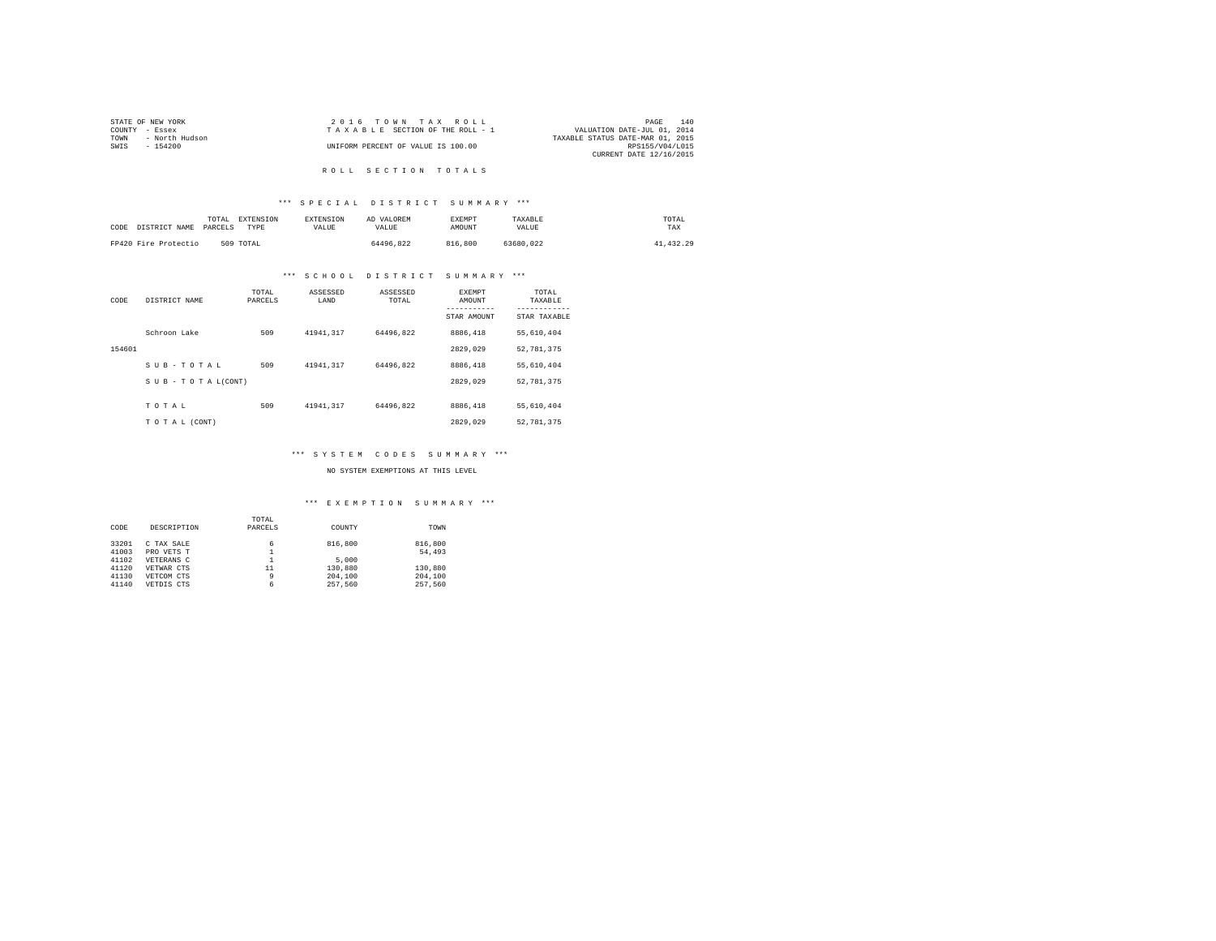| STATE OF NEW YORK      | 2016 TOWN TAX ROLL                 | 140<br>PAGE                      |
|------------------------|------------------------------------|----------------------------------|
| COUNTY - Essex         | TAXABLE SECTION OF THE ROLL - 1    | VALUATION DATE-JUL 01, 2014      |
| - North Hudson<br>TOWN |                                    | TAXABLE STATUS DATE-MAR 01, 2015 |
| SWIS<br>- 154200       | UNIFORM PERCENT OF VALUE IS 100.00 | RPS155/V04/L015                  |
|                        |                                    | CURRENT DATE 12/16/2015          |
|                        |                                    |                                  |

### ROLL SECTION TOTALS

#### \*\*\* S P E C I A L D I S T R I C T S U M M A R Y \*\*\*

| CODE | DISTRICT NAME        | TOTAL<br>PARCELS | EXTENSION<br>TYPE | <b>EXTENSION</b><br><b>VALUE</b> | AD VALOREM<br>VALUE | <b>EXEMPT</b><br>AMOUNT | TAXABLE<br>VALUE | TOTAL<br>TAX |
|------|----------------------|------------------|-------------------|----------------------------------|---------------------|-------------------------|------------------|--------------|
|      | FP420 Fire Protectio | 509 TOTAL        |                   |                                  | 64496.822           | 816,800                 | 63680.022        | 41, 432.29   |

#### \*\*\* S C H O O L D I S T R I C T S U M M A R Y \*\*\*

| CODE   | DISTRICT NAME   | TOTAL<br>PARCELS | ASSESSED<br>LAND | ASSESSED<br>TOTAL | <b>EXEMPT</b><br>AMOUNT | TOTAL<br>TAXABLE          |
|--------|-----------------|------------------|------------------|-------------------|-------------------------|---------------------------|
|        |                 |                  |                  |                   | STAR AMOUNT             | ---------<br>STAR TAXABLE |
|        | Schroon Lake    | 509              | 41941.317        | 64496.822         | 8886,418                | 55,610,404                |
| 154601 |                 |                  |                  |                   | 2829.029                | 52.781.375                |
|        | SUB-TOTAL       | 509              | 41941.317        | 64496.822         | 8886.418                | 55,610,404                |
|        | SUB-TOTAL(CONT) |                  |                  |                   | 2829.029                | 52.781.375                |
|        | TOTAL           | 509              | 41941.317        | 64496.822         | 8886,418                | 55,610,404                |
|        | TO TAL (CONT)   |                  |                  |                   | 2829.029                | 52.781.375                |

#### \*\*\* S Y S T E M C O D E S S U M M A R Y \*\*\*

NO SYSTEM EXEMPTIONS AT THIS LEVEL

|       |             | TOTAL   |         |         |
|-------|-------------|---------|---------|---------|
| CODE  | DESCRIPTION | PARCELS | COUNTY  | TOWN    |
| 33201 | C TAX SALE  | 6       | 816,800 | 816,800 |
| 41003 | PRO VETS T  |         |         | 54,493  |
| 41102 | VETERANS C  |         | 5,000   |         |
| 41120 | VETWAR CTS  | 11      | 130,880 | 130,880 |
| 41130 | VETCOM CTS  | 9       | 204,100 | 204,100 |
| 41140 | VETDIS CTS  | 6       | 257.560 | 257.560 |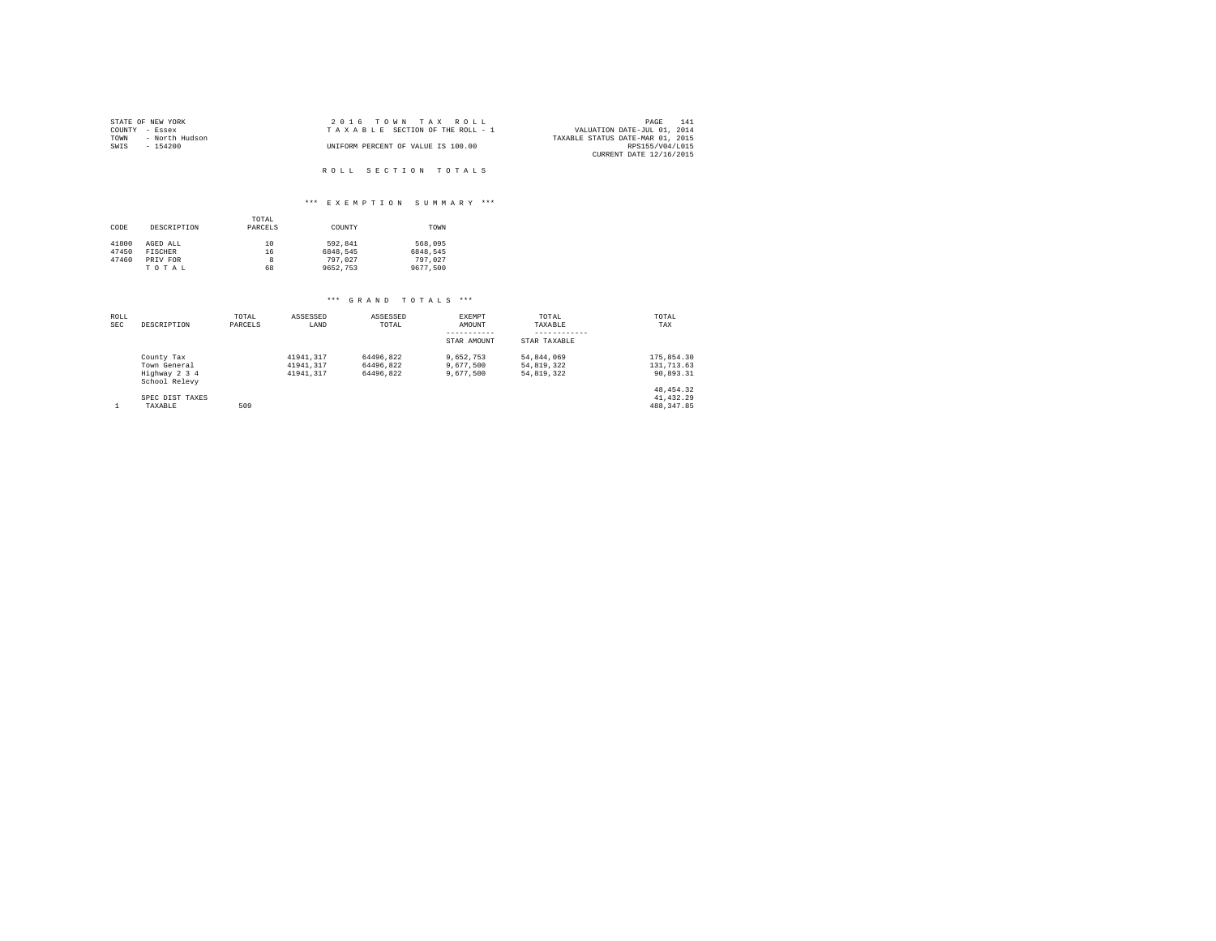| STATE OF NEW YORK      | 2016 TOWN TAX ROLL                 | 141<br>PAGE                      |
|------------------------|------------------------------------|----------------------------------|
| COUNTY - Essex         | TAXABLE SECTION OF THE ROLL - 1    | VALUATION DATE-JUL 01, 2014      |
| TOWN<br>- North Hudson |                                    | TAXABLE STATUS DATE-MAR 01, 2015 |
| SWIS<br>$-154200$      | UNIFORM PERCENT OF VALUE IS 100.00 | RPS155/V04/L015                  |
|                        |                                    | CURRENT DATE 12/16/2015          |
|                        |                                    |                                  |
|                        | ROLL SECTION TOTALS                |                                  |

# \*\*\* E X E M P T I O N S U M M A R Y \*\*\*

|       |             | TOTAL   |          |          |
|-------|-------------|---------|----------|----------|
| CODE  | DESCRIPTION | PARCELS | COUNTY   | TOWN     |
| 41800 | AGED ALL    | 10      | 592.841  | 568,095  |
| 47450 | FISCHER     | 16      | 6848.545 | 6848.545 |
| 47460 | PRIV FOR    | 8       | 797.027  | 797.027  |
|       | TOTAL       | 68      | 9652.753 | 9677.500 |

| ROLL       |                                | TOTAL   | ASSESSED  | ASSESSED  | <b>EXEMPT</b> | TOTAL        | TOTAL        |
|------------|--------------------------------|---------|-----------|-----------|---------------|--------------|--------------|
| <b>SEC</b> | DESCRIPTION                    | PARCELS | LAND      | TOTAL     | AMOUNT        | TAXABLE      | TAX          |
|            |                                |         |           |           | STAR AMOUNT   | STAR TAXABLE |              |
|            | County Tax                     |         | 41941.317 | 64496.822 | 9.652.753     | 54.844.069   | 175,854.30   |
|            | Town General                   |         | 41941.317 | 64496.822 | 9,677,500     | 54,819,322   | 131, 713, 63 |
|            | Highway 2 3 4<br>School Relevy |         | 41941.317 | 64496.822 | 9.677.500     | 54.819.322   | 90.893.31    |
|            |                                |         |           |           |               |              | 48, 454, 32  |
|            | SPEC DIST TAXES                |         |           |           |               |              | 41.432.29    |
|            | TAXABLE                        | 509     |           |           |               |              | 488.347.85   |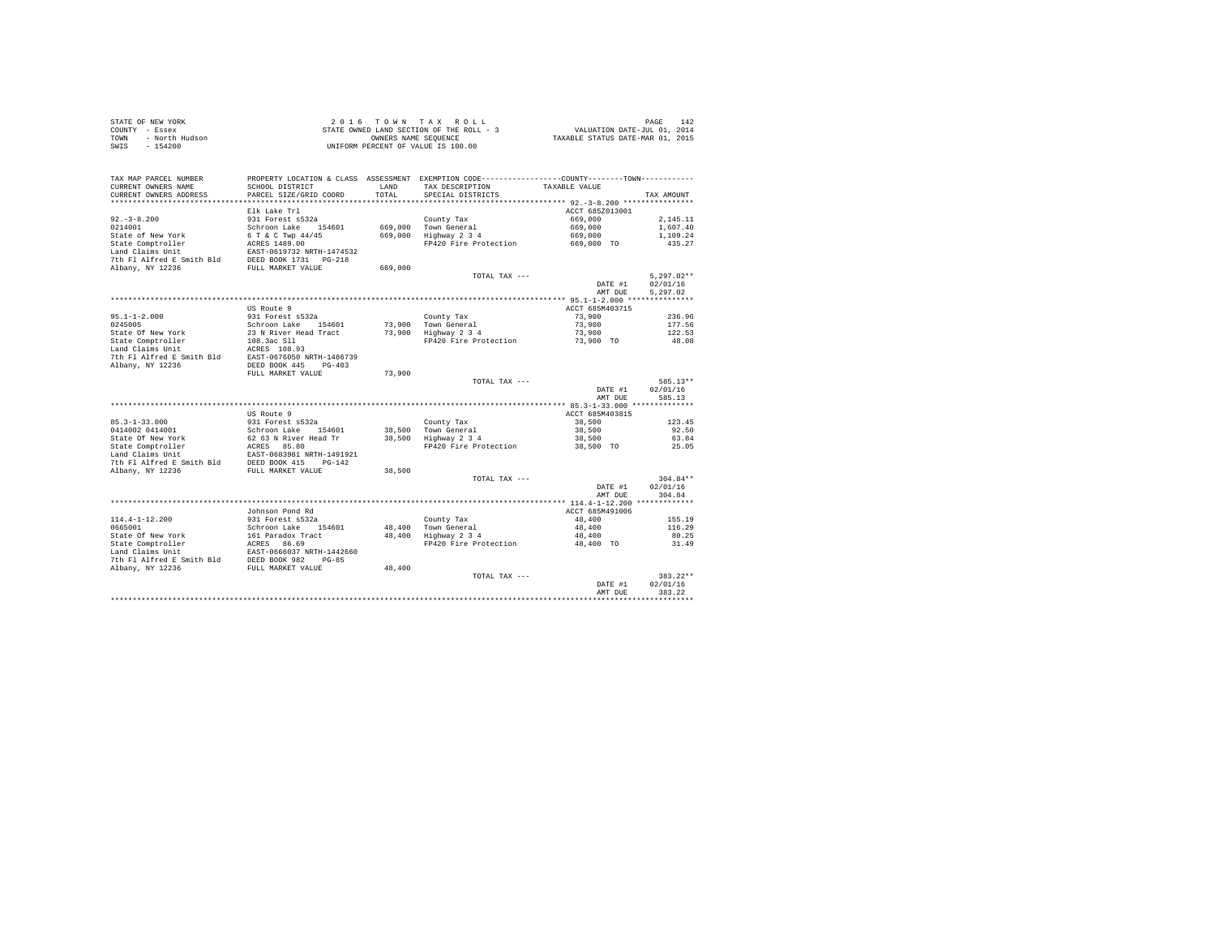|      | STATE OF NEW YORK | 2016 TOWN TAX ROLL                       | 142<br>PAGE                      |
|------|-------------------|------------------------------------------|----------------------------------|
|      | COUNTY - Essex    | STATE OWNED LAND SECTION OF THE ROLL - 3 | VALUATION DATE-JUL 01, 2014      |
| TOWN | - North Hudson    | OWNERS NAME SEOUENCE                     | TAXABLE STATUS DATE-MAR 01, 2015 |
|      | SWIS - 154200     | UNIFORM PERCENT OF VALUE IS 100.00       |                                  |

|                                               |                                                |         |                                                                   | AMT DUE            | 383.22                 |
|-----------------------------------------------|------------------------------------------------|---------|-------------------------------------------------------------------|--------------------|------------------------|
|                                               |                                                |         | TOTAL TAX ---                                                     | DATE #1            | $383.22**$<br>02/01/16 |
| 7th Fl Alfred E Smith Bld<br>Albany, NY 12236 | DEED BOOK 982<br>$PG-85$<br>FULL MARKET VALUE  | 48,400  |                                                                   |                    |                        |
| Land Claims Unit                              | EAST-0666037 NRTH-1442660                      |         |                                                                   |                    |                        |
| State Comptroller                             | ACRES<br>86.69                                 |         | FP420 Fire Protection                                             | 48,400 TO          | 31.49                  |
| State Of New York                             | 161 Paradox Tract                              | 48,400  | Highway 2 3 4                                                     | 48,400             | 80.25                  |
| 0665001                                       | Schroon Lake<br>154601                         | 48,400  | County Tax<br>Town General                                        | 48,400             | 116.29                 |
| $114.4 - 1 - 12.200$                          | 931 Forest s532a                               |         |                                                                   | 48,400             | 155.19                 |
|                                               | Johnson Pond Rd                                |         |                                                                   | ACCT 685M491006    |                        |
|                                               |                                                |         |                                                                   |                    |                        |
|                                               |                                                |         |                                                                   | DATE #1<br>AMT DUE | 304.84                 |
|                                               |                                                |         |                                                                   |                    | 02/01/16               |
|                                               |                                                |         | TOTAL TAX ---                                                     |                    | $304.84**$             |
| 7th Fl Alfred E Smith Bld<br>Albany, NY 12236 | DEED BOOK 415<br>$PG-142$<br>FULL MARKET VALUE | 38,500  |                                                                   |                    |                        |
| Land Claims Unit                              | EAST-0683981 NRTH-1491921                      |         |                                                                   |                    |                        |
| State Comptroller                             | 85.80<br>ACRES                                 |         | FP420 Fire Protection                                             | 38,500 TO          | 25.05                  |
| State Of New York                             | 62 63 N River Head Tr                          | 38,500  | Highway 2 3 4                                                     | 38,500             | 63.84                  |
| 0414002 0414001                               | Schroon Lake<br>154601                         | 38,500  | Town General                                                      | 38,500             | 92.50                  |
| $85.3 - 1 - 33.000$                           | 931 Forest s532a                               |         | County Tax                                                        | 38,500             | 123.45                 |
|                                               | US Route 9                                     |         |                                                                   | ACCT 685M403815    |                        |
|                                               |                                                |         |                                                                   |                    |                        |
|                                               |                                                |         |                                                                   | AMT DUE            | 585.13                 |
|                                               |                                                |         |                                                                   | DATE #1            | 02/01/16               |
|                                               |                                                |         | TOTAL TAX ---                                                     |                    | 585.13**               |
|                                               | FULL MARKET VALUE                              | 73,900  |                                                                   |                    |                        |
| Albany, NY 12236                              | DEED BOOK 445<br>$PG-403$                      |         |                                                                   |                    |                        |
| 7th Fl Alfred E Smith Bld                     | EAST-0676050 NRTH-1486739                      |         |                                                                   |                    |                        |
| Land Claims Unit                              | ACRES 108.93                                   |         |                                                                   |                    |                        |
| State Comptroller                             | 108.3ac S11                                    |         | FP420 Fire Protection                                             | 73,900 TO          | 48.08                  |
| State Of New York                             | 23 N River Head Tract                          | 73,900  | Highway 2 3 4                                                     | 73,900             | 122.53                 |
| 0245005                                       | Schroon Lake<br>154601                         | 73,900  | Town General                                                      | 73,900             | 177.56                 |
| $95.1 - 1 - 2.000$                            | 931 Forest s532a                               |         | County Tax                                                        | 73,900             | 236.96                 |
|                                               | US Route 9                                     |         |                                                                   | ACCT 685M403715    |                        |
|                                               |                                                |         |                                                                   |                    |                        |
|                                               |                                                |         |                                                                   | AMT DUE            | 5.297.02               |
|                                               |                                                |         |                                                                   | DATE #1            | 02/01/16               |
|                                               |                                                |         | $TOTAI. TAX - - -$                                                |                    | $5,297.02**$           |
| Albany, NY 12236                              | FULL MARKET VALUE                              | 669,000 |                                                                   |                    |                        |
| 7th Fl Alfred E Smith Bld                     | DEED BOOK 1731    PG-218                       |         |                                                                   |                    |                        |
| Land Claims Unit                              | EAST-0619732 NRTH-1474532                      |         |                                                                   |                    |                        |
| State Comptroller                             | ACRES 1489.00                                  |         | FP420 Fire Protection                                             | 669,000 TO         | 435.27                 |
| State of New York                             | 6 T & C Twp 44/45                              | 669,000 | Highway 2 3 4                                                     | 669,000            | 1,109.24               |
| 0214001                                       | Schroon Lake<br>154601                         | 669,000 | Town General                                                      | 669,000            | 1,607.40               |
| $92. - 3 - 8.200$                             | 931 Forest s532a                               |         | County Tax                                                        | 669,000            | 2.145.11               |
|                                               | Elk Lake Trl                                   |         |                                                                   | ACCT 685Z013001    |                        |
| *********************                         | ************************                       |         | ************************************ 92.-3-8.200 **************** |                    |                        |
| CURRENT OWNERS ADDRESS                        | PARCEL SIZE/GRID COORD                         | TOTAL   | SPECIAL DISTRICTS                                                 |                    | TAX AMOUNT             |
| CURRENT OWNERS NAME                           | SCHOOL DISTRICT                                | LAND    | TAX DESCRIPTION                                                   | TAXABLE VALUE      |                        |
| TAX MAP PARCEL NUMBER                         | PROPERTY LOCATION & CLASS ASSESSMENT           |         | EXEMPTION CODE-----------------COUNTY--------TOWN-----------      |                    |                        |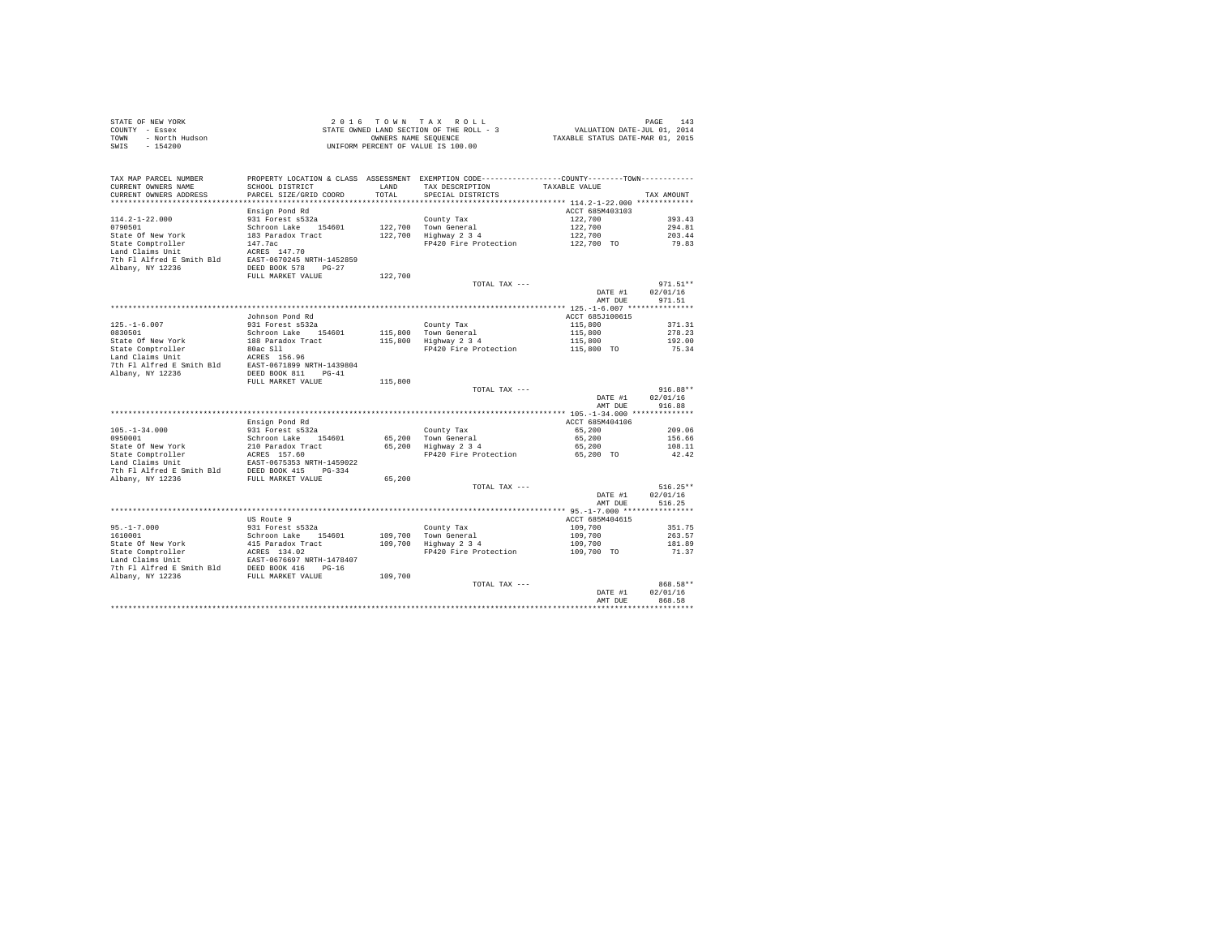|      | STATE OF NEW YORK | $2.0.16$ TOWN TAX ROLL                   | PAGE 143                         |
|------|-------------------|------------------------------------------|----------------------------------|
|      | COUNTY - Essex    | STATE OWNED LAND SECTION OF THE ROLL - 3 | VALUATION DATE-JUL 01, 2014      |
| TOWN | - North Hudson    | OWNERS NAME SEOUENCE                     | TAXABLE STATUS DATE-MAR 01, 2015 |
| SWIS | $-154200$         | UNIFORM PERCENT OF VALUE IS 100.00       |                                  |

| TAX MAP PARCEL NUMBER     | PROPERTY LOCATION & CLASS ASSESSMENT EXEMPTION CODE---------------COUNTY-------TOWN---------- |         |                       |                 |                    |
|---------------------------|-----------------------------------------------------------------------------------------------|---------|-----------------------|-----------------|--------------------|
| CURRENT OWNERS NAME       | SCHOOL DISTRICT                                                                               | LAND    | TAX DESCRIPTION       | TAXABLE VALUE   |                    |
| CURRENT OWNERS ADDRESS    | PARCEL SIZE/GRID COORD                                                                        | TOTAL   | SPECIAL DISTRICTS     |                 | TAX AMOUNT         |
| ************************  | *****************************                                                                 |         |                       |                 |                    |
|                           | Ensign Pond Rd                                                                                |         |                       | ACCT 685M403103 |                    |
| $114.2 - 1 - 22.000$      | 931 Forest s532a                                                                              |         | County Tax            | 122,700         | 393.43             |
| 0790501                   | Schroon Lake 154601                                                                           |         | 122.700 Town General  | 122,700         | 294.81             |
| State Of New York         | 183 Paradox Tract                                                                             | 122,700 | Highway 2 3 4         | 122,700         | 203.44             |
| State Comptroller         | 147.7ac                                                                                       |         | FP420 Fire Protection | 122,700 TO      | 79.83              |
| Land Claims Unit          | ACRES 147.70                                                                                  |         |                       |                 |                    |
| 7th Fl Alfred E Smith Bld | EAST-0670245 NRTH-1452859                                                                     |         |                       |                 |                    |
| Albany, NY 12236          | DEED BOOK 578<br>$PG-27$                                                                      |         |                       |                 |                    |
|                           | FULL MARKET VALUE                                                                             | 122,700 |                       |                 |                    |
|                           |                                                                                               |         | TOTAL TAX ---         |                 | $971.51**$         |
|                           |                                                                                               |         |                       | DATE #1         | 02/01/16           |
|                           |                                                                                               |         |                       | AMT DUE         | 971.51             |
|                           |                                                                                               |         |                       |                 |                    |
|                           | Johnson Pond Rd                                                                               |         |                       | ACCT 685J100615 |                    |
| $125. - 1 - 6.007$        | 931 Forest s532a                                                                              |         | County Tax            | 115,800         | 371.31             |
| 0830501                   | Schroon Lake<br>154601                                                                        |         | 115,800 Town General  | 115,800         | 278.23             |
| State Of New York         | 188 Paradox Tract                                                                             |         | 115,800 Highway 2 3 4 | 115,800         | 192.00             |
| State Comptroller         | 80ac S11                                                                                      |         | FP420 Fire Protection | 115,800 TO      | 75.34              |
| Land Claims Unit          | ACRES 156.96                                                                                  |         |                       |                 |                    |
| 7th Fl Alfred E Smith Bld | EAST-0671899 NRTH-1439804                                                                     |         |                       |                 |                    |
| Albany, NY 12236          | DEED BOOK 811<br>$PG-41$                                                                      |         |                       |                 |                    |
|                           | FULL MARKET VALUE                                                                             | 115,800 |                       |                 |                    |
|                           |                                                                                               |         | TOTAL TAX ---         |                 | $916.88**$         |
|                           |                                                                                               |         |                       | DATE #1         | 02/01/16           |
|                           |                                                                                               |         |                       | AMT DUE         | 916.88             |
|                           |                                                                                               |         |                       |                 |                    |
|                           | Ensign Pond Rd                                                                                |         |                       | ACCT 685M404106 |                    |
| $105. - 1 - 34.000$       | 931 Forest s532a                                                                              |         | County Tax            | 65,200          | 209.06             |
| 0950001                   | Schroon Lake<br>154601                                                                        |         | 65,200 Town General   | 65,200          | 156.66             |
| State Of New York         | 210 Paradox Tract                                                                             |         | 65,200 Highway 2 3 4  | 65,200          | 108.11             |
| State Comptroller         | ACRES 157.60                                                                                  |         | FP420 Fire Protection | 65,200 TO       | 42.42              |
| Land Claims Unit          | EAST-0675353 NRTH-1459022                                                                     |         |                       |                 |                    |
| 7th Fl Alfred E Smith Bld | DEED BOOK 415<br>$PG-334$                                                                     |         |                       |                 |                    |
| Albany, NY 12236          | FULL MARKET VALUE                                                                             | 65,200  |                       |                 |                    |
|                           |                                                                                               |         | TOTAL TAX ---         |                 | $516.25**$         |
|                           |                                                                                               |         |                       | DATE #1         | 02/01/16           |
|                           |                                                                                               |         |                       | AMT DUE         | 516.25             |
|                           |                                                                                               |         |                       |                 |                    |
|                           | US Route 9                                                                                    |         |                       | ACCT 685M404615 |                    |
| $95. - 1 - 7.000$         | 931 Forest s532a                                                                              |         | County Tax            | 109,700         | 351.75             |
| 1610001                   | Schroon Lake 154601                                                                           | 109,700 | Town General          | 109,700         | 263.57             |
| State Of New York         | 415 Paradox Tract                                                                             |         | 109,700 Highway 2 3 4 | 109,700         | 181.89             |
| State Comptroller         | ACRES 134.02                                                                                  |         | FP420 Fire Protection | 109,700 TO      | 71.37              |
| Land Claims Unit          | EAST-0676697 NRTH-1478407                                                                     |         |                       |                 |                    |
| 7th Fl Alfred E Smith Bld | DEED BOOK 416<br>$PG-16$                                                                      |         |                       |                 |                    |
| Albany, NY 12236          | FULL MARKET VALUE                                                                             | 109,700 |                       |                 |                    |
|                           |                                                                                               |         | TOTAL TAX ---         |                 | 868.58**           |
|                           |                                                                                               |         |                       | DATE #1         | 02/01/16           |
|                           |                                                                                               |         |                       | AMT DUE         | 868.58             |
|                           |                                                                                               |         |                       |                 | ****************** |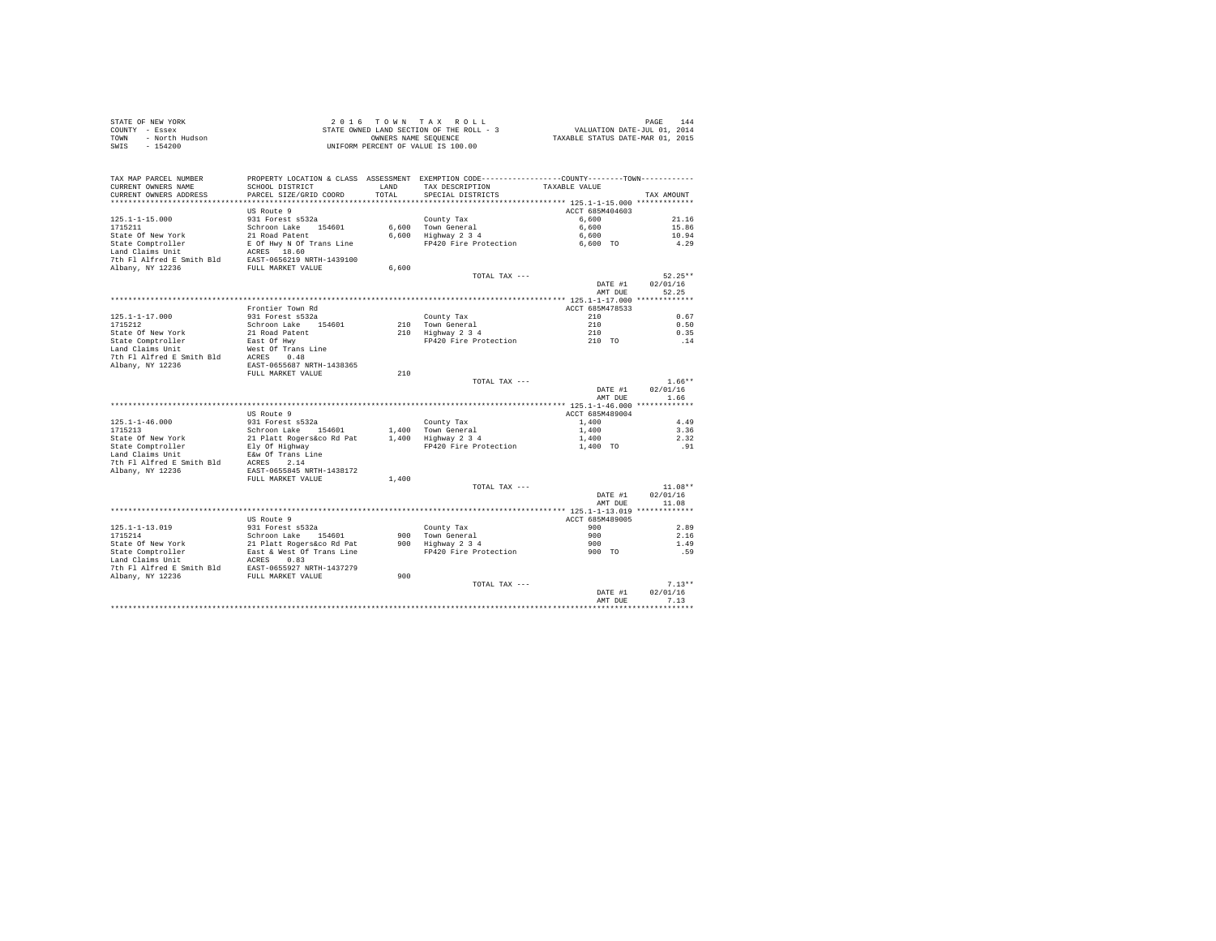|      | STATE OF NEW YORK | 2016 TOWN TAX ROLL                       | 144<br>PAGE                      |
|------|-------------------|------------------------------------------|----------------------------------|
|      | COUNTY - Essex    | STATE OWNED LAND SECTION OF THE ROLL - 3 | VALUATION DATE-JUL 01, 2014      |
| TOWN | - North Hudson    | OWNERS NAME SEOUENCE                     | TAXABLE STATUS DATE-MAR 01, 2015 |
| SWIS | - 154200          | UNIFORM PERCENT OF VALUE IS 100.00       |                                  |

| CURRENT OWNERS NAME<br>SCHOOL DISTRICT<br><b>T.AND</b><br>TAX DESCRIPTION<br>TAXABLE VALUE<br>CURRENT OWNERS ADDRESS<br>TOTAL<br>PARCEL SIZE/GRID COORD<br>SPECIAL DISTRICTS<br>TAX AMOUNT<br>*************************<br>US Route 9<br>ACCT 685M404603<br>931 Forest s532a<br>6,600<br>21.16<br>$125.1 - 1 - 15.000$<br>County Tax<br>1715211<br>Schroon Lake 154601<br>6.600 Town General<br>6,600<br>15.86<br>State Of New York<br>21 Road Patent<br>6,600 Highway 2 3 4<br>10.94<br>6,600<br>State Comptroller<br>E Of Hwy N Of Trans Line<br>FP420 Fire Protection<br>4.29<br>6,600 TO<br>Land Claims Unit<br>ACRES 18.60<br>7th Fl Alfred E Smith Bld<br>EAST-0656219 NRTH-1439100<br>Albany, NY 12236<br>FULL MARKET VALUE<br>6,600<br>$52.25**$<br>TOTAL TAX ---<br>DATE #1<br>02/01/16<br>52.25<br>AMT DUE<br>ACCT 685M478533<br>Frontier Town Rd<br>210<br>$125.1 - 1 - 17.000$<br>931 Forest s532a<br>County Tax<br>0.67<br>210<br>1715212<br>Schroon Lake 154601<br>210 Town General<br>0.50<br>State Of New York<br>21 Road Patent<br>210 Highway 2 3 4<br>210<br>0.35<br>FP420 Fire Protection<br>.14<br>State Comptroller<br>East Of Hwy<br>210 TO<br>Land Claims Unit<br>West Of Trans Line<br>7th Fl Alfred E Smith Bld<br>ACRES 0.48<br>Albany, NY 12236<br>EAST-0655687 NRTH-1438365<br>210<br>FULL MARKET VALUE<br>$1.66**$<br>TOTAL TAX ---<br>DATE #1<br>02/01/16<br>AMT DUE<br>1.66<br>ACCT 685M489004<br>US Route 9<br>931 Forest s532a<br>4.49<br>County Tax<br>1,400<br>Schroon Lake 154601<br>1.400 Town General<br>1,400<br>3.36<br>2.32<br>21 Platt Rogers&co Rd Pat<br>1,400 Highway 2 3 4<br>1,400<br>FP420 Fire Protection<br>Ely Of Highway<br>1,400 TO<br>.91<br>E&w Of Trans Line<br>2.14<br>ACRES<br>EAST-0655845 NRTH-1438172<br>FULL MARKET VALUE<br>1,400<br>$11.08**$<br>TOTAL TAX ---<br>02/01/16<br>DATE #1<br>11.08<br>AMT DUE<br>ACCT 685M489005<br>US Route 9<br>$125.1 - 1 - 13.019$<br>931 Forest s532a<br>900<br>2.89<br>County Tax<br>1715214<br>Schroon Lake 154601<br>900 Town General<br>900<br>2.16<br>State Of New York<br>21 Platt Rogers&co Rd Pat<br>900 Highway 2 3 4<br>900<br>1.49<br>State Comptroller<br>East & West Of Trans Line<br>FP420 Fire Protection<br>900 TO<br>.59<br>Land Claims Unit<br>ACRES<br>0.83<br>7th Fl Alfred E Smith Bld<br>EAST-0655927 NRTH-1437279<br>Albany, NY 12236<br>900<br>FULL MARKET VALUE<br>$7.13**$<br>TOTAL TAX ---<br>02/01/16<br>DATE #1<br>7.13<br>AMT DUE<br>. | TAX MAP PARCEL NUMBER     | PROPERTY LOCATION & CLASS ASSESSMENT EXEMPTION CODE---------------COUNTY-------TOWN--------- |  |  |
|------------------------------------------------------------------------------------------------------------------------------------------------------------------------------------------------------------------------------------------------------------------------------------------------------------------------------------------------------------------------------------------------------------------------------------------------------------------------------------------------------------------------------------------------------------------------------------------------------------------------------------------------------------------------------------------------------------------------------------------------------------------------------------------------------------------------------------------------------------------------------------------------------------------------------------------------------------------------------------------------------------------------------------------------------------------------------------------------------------------------------------------------------------------------------------------------------------------------------------------------------------------------------------------------------------------------------------------------------------------------------------------------------------------------------------------------------------------------------------------------------------------------------------------------------------------------------------------------------------------------------------------------------------------------------------------------------------------------------------------------------------------------------------------------------------------------------------------------------------------------------------------------------------------------------------------------------------------------------------------------------------------------------------------------------------------------------------------------------------------------------------------------------------------------------------------------------------------------------------------------------------------------------------------------------------------------------------------------------------------------------------------------------------------------------------------------------------------------|---------------------------|----------------------------------------------------------------------------------------------|--|--|
|                                                                                                                                                                                                                                                                                                                                                                                                                                                                                                                                                                                                                                                                                                                                                                                                                                                                                                                                                                                                                                                                                                                                                                                                                                                                                                                                                                                                                                                                                                                                                                                                                                                                                                                                                                                                                                                                                                                                                                                                                                                                                                                                                                                                                                                                                                                                                                                                                                                                        |                           |                                                                                              |  |  |
|                                                                                                                                                                                                                                                                                                                                                                                                                                                                                                                                                                                                                                                                                                                                                                                                                                                                                                                                                                                                                                                                                                                                                                                                                                                                                                                                                                                                                                                                                                                                                                                                                                                                                                                                                                                                                                                                                                                                                                                                                                                                                                                                                                                                                                                                                                                                                                                                                                                                        |                           |                                                                                              |  |  |
|                                                                                                                                                                                                                                                                                                                                                                                                                                                                                                                                                                                                                                                                                                                                                                                                                                                                                                                                                                                                                                                                                                                                                                                                                                                                                                                                                                                                                                                                                                                                                                                                                                                                                                                                                                                                                                                                                                                                                                                                                                                                                                                                                                                                                                                                                                                                                                                                                                                                        |                           |                                                                                              |  |  |
|                                                                                                                                                                                                                                                                                                                                                                                                                                                                                                                                                                                                                                                                                                                                                                                                                                                                                                                                                                                                                                                                                                                                                                                                                                                                                                                                                                                                                                                                                                                                                                                                                                                                                                                                                                                                                                                                                                                                                                                                                                                                                                                                                                                                                                                                                                                                                                                                                                                                        |                           |                                                                                              |  |  |
|                                                                                                                                                                                                                                                                                                                                                                                                                                                                                                                                                                                                                                                                                                                                                                                                                                                                                                                                                                                                                                                                                                                                                                                                                                                                                                                                                                                                                                                                                                                                                                                                                                                                                                                                                                                                                                                                                                                                                                                                                                                                                                                                                                                                                                                                                                                                                                                                                                                                        |                           |                                                                                              |  |  |
|                                                                                                                                                                                                                                                                                                                                                                                                                                                                                                                                                                                                                                                                                                                                                                                                                                                                                                                                                                                                                                                                                                                                                                                                                                                                                                                                                                                                                                                                                                                                                                                                                                                                                                                                                                                                                                                                                                                                                                                                                                                                                                                                                                                                                                                                                                                                                                                                                                                                        |                           |                                                                                              |  |  |
|                                                                                                                                                                                                                                                                                                                                                                                                                                                                                                                                                                                                                                                                                                                                                                                                                                                                                                                                                                                                                                                                                                                                                                                                                                                                                                                                                                                                                                                                                                                                                                                                                                                                                                                                                                                                                                                                                                                                                                                                                                                                                                                                                                                                                                                                                                                                                                                                                                                                        |                           |                                                                                              |  |  |
|                                                                                                                                                                                                                                                                                                                                                                                                                                                                                                                                                                                                                                                                                                                                                                                                                                                                                                                                                                                                                                                                                                                                                                                                                                                                                                                                                                                                                                                                                                                                                                                                                                                                                                                                                                                                                                                                                                                                                                                                                                                                                                                                                                                                                                                                                                                                                                                                                                                                        |                           |                                                                                              |  |  |
|                                                                                                                                                                                                                                                                                                                                                                                                                                                                                                                                                                                                                                                                                                                                                                                                                                                                                                                                                                                                                                                                                                                                                                                                                                                                                                                                                                                                                                                                                                                                                                                                                                                                                                                                                                                                                                                                                                                                                                                                                                                                                                                                                                                                                                                                                                                                                                                                                                                                        |                           |                                                                                              |  |  |
|                                                                                                                                                                                                                                                                                                                                                                                                                                                                                                                                                                                                                                                                                                                                                                                                                                                                                                                                                                                                                                                                                                                                                                                                                                                                                                                                                                                                                                                                                                                                                                                                                                                                                                                                                                                                                                                                                                                                                                                                                                                                                                                                                                                                                                                                                                                                                                                                                                                                        |                           |                                                                                              |  |  |
|                                                                                                                                                                                                                                                                                                                                                                                                                                                                                                                                                                                                                                                                                                                                                                                                                                                                                                                                                                                                                                                                                                                                                                                                                                                                                                                                                                                                                                                                                                                                                                                                                                                                                                                                                                                                                                                                                                                                                                                                                                                                                                                                                                                                                                                                                                                                                                                                                                                                        |                           |                                                                                              |  |  |
|                                                                                                                                                                                                                                                                                                                                                                                                                                                                                                                                                                                                                                                                                                                                                                                                                                                                                                                                                                                                                                                                                                                                                                                                                                                                                                                                                                                                                                                                                                                                                                                                                                                                                                                                                                                                                                                                                                                                                                                                                                                                                                                                                                                                                                                                                                                                                                                                                                                                        |                           |                                                                                              |  |  |
|                                                                                                                                                                                                                                                                                                                                                                                                                                                                                                                                                                                                                                                                                                                                                                                                                                                                                                                                                                                                                                                                                                                                                                                                                                                                                                                                                                                                                                                                                                                                                                                                                                                                                                                                                                                                                                                                                                                                                                                                                                                                                                                                                                                                                                                                                                                                                                                                                                                                        |                           |                                                                                              |  |  |
|                                                                                                                                                                                                                                                                                                                                                                                                                                                                                                                                                                                                                                                                                                                                                                                                                                                                                                                                                                                                                                                                                                                                                                                                                                                                                                                                                                                                                                                                                                                                                                                                                                                                                                                                                                                                                                                                                                                                                                                                                                                                                                                                                                                                                                                                                                                                                                                                                                                                        |                           |                                                                                              |  |  |
|                                                                                                                                                                                                                                                                                                                                                                                                                                                                                                                                                                                                                                                                                                                                                                                                                                                                                                                                                                                                                                                                                                                                                                                                                                                                                                                                                                                                                                                                                                                                                                                                                                                                                                                                                                                                                                                                                                                                                                                                                                                                                                                                                                                                                                                                                                                                                                                                                                                                        |                           |                                                                                              |  |  |
|                                                                                                                                                                                                                                                                                                                                                                                                                                                                                                                                                                                                                                                                                                                                                                                                                                                                                                                                                                                                                                                                                                                                                                                                                                                                                                                                                                                                                                                                                                                                                                                                                                                                                                                                                                                                                                                                                                                                                                                                                                                                                                                                                                                                                                                                                                                                                                                                                                                                        |                           |                                                                                              |  |  |
|                                                                                                                                                                                                                                                                                                                                                                                                                                                                                                                                                                                                                                                                                                                                                                                                                                                                                                                                                                                                                                                                                                                                                                                                                                                                                                                                                                                                                                                                                                                                                                                                                                                                                                                                                                                                                                                                                                                                                                                                                                                                                                                                                                                                                                                                                                                                                                                                                                                                        |                           |                                                                                              |  |  |
|                                                                                                                                                                                                                                                                                                                                                                                                                                                                                                                                                                                                                                                                                                                                                                                                                                                                                                                                                                                                                                                                                                                                                                                                                                                                                                                                                                                                                                                                                                                                                                                                                                                                                                                                                                                                                                                                                                                                                                                                                                                                                                                                                                                                                                                                                                                                                                                                                                                                        |                           |                                                                                              |  |  |
|                                                                                                                                                                                                                                                                                                                                                                                                                                                                                                                                                                                                                                                                                                                                                                                                                                                                                                                                                                                                                                                                                                                                                                                                                                                                                                                                                                                                                                                                                                                                                                                                                                                                                                                                                                                                                                                                                                                                                                                                                                                                                                                                                                                                                                                                                                                                                                                                                                                                        |                           |                                                                                              |  |  |
|                                                                                                                                                                                                                                                                                                                                                                                                                                                                                                                                                                                                                                                                                                                                                                                                                                                                                                                                                                                                                                                                                                                                                                                                                                                                                                                                                                                                                                                                                                                                                                                                                                                                                                                                                                                                                                                                                                                                                                                                                                                                                                                                                                                                                                                                                                                                                                                                                                                                        |                           |                                                                                              |  |  |
|                                                                                                                                                                                                                                                                                                                                                                                                                                                                                                                                                                                                                                                                                                                                                                                                                                                                                                                                                                                                                                                                                                                                                                                                                                                                                                                                                                                                                                                                                                                                                                                                                                                                                                                                                                                                                                                                                                                                                                                                                                                                                                                                                                                                                                                                                                                                                                                                                                                                        |                           |                                                                                              |  |  |
|                                                                                                                                                                                                                                                                                                                                                                                                                                                                                                                                                                                                                                                                                                                                                                                                                                                                                                                                                                                                                                                                                                                                                                                                                                                                                                                                                                                                                                                                                                                                                                                                                                                                                                                                                                                                                                                                                                                                                                                                                                                                                                                                                                                                                                                                                                                                                                                                                                                                        |                           |                                                                                              |  |  |
|                                                                                                                                                                                                                                                                                                                                                                                                                                                                                                                                                                                                                                                                                                                                                                                                                                                                                                                                                                                                                                                                                                                                                                                                                                                                                                                                                                                                                                                                                                                                                                                                                                                                                                                                                                                                                                                                                                                                                                                                                                                                                                                                                                                                                                                                                                                                                                                                                                                                        |                           |                                                                                              |  |  |
|                                                                                                                                                                                                                                                                                                                                                                                                                                                                                                                                                                                                                                                                                                                                                                                                                                                                                                                                                                                                                                                                                                                                                                                                                                                                                                                                                                                                                                                                                                                                                                                                                                                                                                                                                                                                                                                                                                                                                                                                                                                                                                                                                                                                                                                                                                                                                                                                                                                                        |                           |                                                                                              |  |  |
|                                                                                                                                                                                                                                                                                                                                                                                                                                                                                                                                                                                                                                                                                                                                                                                                                                                                                                                                                                                                                                                                                                                                                                                                                                                                                                                                                                                                                                                                                                                                                                                                                                                                                                                                                                                                                                                                                                                                                                                                                                                                                                                                                                                                                                                                                                                                                                                                                                                                        |                           |                                                                                              |  |  |
|                                                                                                                                                                                                                                                                                                                                                                                                                                                                                                                                                                                                                                                                                                                                                                                                                                                                                                                                                                                                                                                                                                                                                                                                                                                                                                                                                                                                                                                                                                                                                                                                                                                                                                                                                                                                                                                                                                                                                                                                                                                                                                                                                                                                                                                                                                                                                                                                                                                                        |                           |                                                                                              |  |  |
|                                                                                                                                                                                                                                                                                                                                                                                                                                                                                                                                                                                                                                                                                                                                                                                                                                                                                                                                                                                                                                                                                                                                                                                                                                                                                                                                                                                                                                                                                                                                                                                                                                                                                                                                                                                                                                                                                                                                                                                                                                                                                                                                                                                                                                                                                                                                                                                                                                                                        |                           |                                                                                              |  |  |
|                                                                                                                                                                                                                                                                                                                                                                                                                                                                                                                                                                                                                                                                                                                                                                                                                                                                                                                                                                                                                                                                                                                                                                                                                                                                                                                                                                                                                                                                                                                                                                                                                                                                                                                                                                                                                                                                                                                                                                                                                                                                                                                                                                                                                                                                                                                                                                                                                                                                        |                           |                                                                                              |  |  |
|                                                                                                                                                                                                                                                                                                                                                                                                                                                                                                                                                                                                                                                                                                                                                                                                                                                                                                                                                                                                                                                                                                                                                                                                                                                                                                                                                                                                                                                                                                                                                                                                                                                                                                                                                                                                                                                                                                                                                                                                                                                                                                                                                                                                                                                                                                                                                                                                                                                                        | $125.1 - 1 - 46.000$      |                                                                                              |  |  |
|                                                                                                                                                                                                                                                                                                                                                                                                                                                                                                                                                                                                                                                                                                                                                                                                                                                                                                                                                                                                                                                                                                                                                                                                                                                                                                                                                                                                                                                                                                                                                                                                                                                                                                                                                                                                                                                                                                                                                                                                                                                                                                                                                                                                                                                                                                                                                                                                                                                                        | 1715213                   |                                                                                              |  |  |
|                                                                                                                                                                                                                                                                                                                                                                                                                                                                                                                                                                                                                                                                                                                                                                                                                                                                                                                                                                                                                                                                                                                                                                                                                                                                                                                                                                                                                                                                                                                                                                                                                                                                                                                                                                                                                                                                                                                                                                                                                                                                                                                                                                                                                                                                                                                                                                                                                                                                        | State Of New York         |                                                                                              |  |  |
|                                                                                                                                                                                                                                                                                                                                                                                                                                                                                                                                                                                                                                                                                                                                                                                                                                                                                                                                                                                                                                                                                                                                                                                                                                                                                                                                                                                                                                                                                                                                                                                                                                                                                                                                                                                                                                                                                                                                                                                                                                                                                                                                                                                                                                                                                                                                                                                                                                                                        | State Comptroller         |                                                                                              |  |  |
|                                                                                                                                                                                                                                                                                                                                                                                                                                                                                                                                                                                                                                                                                                                                                                                                                                                                                                                                                                                                                                                                                                                                                                                                                                                                                                                                                                                                                                                                                                                                                                                                                                                                                                                                                                                                                                                                                                                                                                                                                                                                                                                                                                                                                                                                                                                                                                                                                                                                        | Land Claims Unit          |                                                                                              |  |  |
|                                                                                                                                                                                                                                                                                                                                                                                                                                                                                                                                                                                                                                                                                                                                                                                                                                                                                                                                                                                                                                                                                                                                                                                                                                                                                                                                                                                                                                                                                                                                                                                                                                                                                                                                                                                                                                                                                                                                                                                                                                                                                                                                                                                                                                                                                                                                                                                                                                                                        | 7th Fl Alfred E Smith Bld |                                                                                              |  |  |
|                                                                                                                                                                                                                                                                                                                                                                                                                                                                                                                                                                                                                                                                                                                                                                                                                                                                                                                                                                                                                                                                                                                                                                                                                                                                                                                                                                                                                                                                                                                                                                                                                                                                                                                                                                                                                                                                                                                                                                                                                                                                                                                                                                                                                                                                                                                                                                                                                                                                        | Albany, NY 12236          |                                                                                              |  |  |
|                                                                                                                                                                                                                                                                                                                                                                                                                                                                                                                                                                                                                                                                                                                                                                                                                                                                                                                                                                                                                                                                                                                                                                                                                                                                                                                                                                                                                                                                                                                                                                                                                                                                                                                                                                                                                                                                                                                                                                                                                                                                                                                                                                                                                                                                                                                                                                                                                                                                        |                           |                                                                                              |  |  |
|                                                                                                                                                                                                                                                                                                                                                                                                                                                                                                                                                                                                                                                                                                                                                                                                                                                                                                                                                                                                                                                                                                                                                                                                                                                                                                                                                                                                                                                                                                                                                                                                                                                                                                                                                                                                                                                                                                                                                                                                                                                                                                                                                                                                                                                                                                                                                                                                                                                                        |                           |                                                                                              |  |  |
|                                                                                                                                                                                                                                                                                                                                                                                                                                                                                                                                                                                                                                                                                                                                                                                                                                                                                                                                                                                                                                                                                                                                                                                                                                                                                                                                                                                                                                                                                                                                                                                                                                                                                                                                                                                                                                                                                                                                                                                                                                                                                                                                                                                                                                                                                                                                                                                                                                                                        |                           |                                                                                              |  |  |
|                                                                                                                                                                                                                                                                                                                                                                                                                                                                                                                                                                                                                                                                                                                                                                                                                                                                                                                                                                                                                                                                                                                                                                                                                                                                                                                                                                                                                                                                                                                                                                                                                                                                                                                                                                                                                                                                                                                                                                                                                                                                                                                                                                                                                                                                                                                                                                                                                                                                        |                           |                                                                                              |  |  |
|                                                                                                                                                                                                                                                                                                                                                                                                                                                                                                                                                                                                                                                                                                                                                                                                                                                                                                                                                                                                                                                                                                                                                                                                                                                                                                                                                                                                                                                                                                                                                                                                                                                                                                                                                                                                                                                                                                                                                                                                                                                                                                                                                                                                                                                                                                                                                                                                                                                                        |                           |                                                                                              |  |  |
|                                                                                                                                                                                                                                                                                                                                                                                                                                                                                                                                                                                                                                                                                                                                                                                                                                                                                                                                                                                                                                                                                                                                                                                                                                                                                                                                                                                                                                                                                                                                                                                                                                                                                                                                                                                                                                                                                                                                                                                                                                                                                                                                                                                                                                                                                                                                                                                                                                                                        |                           |                                                                                              |  |  |
|                                                                                                                                                                                                                                                                                                                                                                                                                                                                                                                                                                                                                                                                                                                                                                                                                                                                                                                                                                                                                                                                                                                                                                                                                                                                                                                                                                                                                                                                                                                                                                                                                                                                                                                                                                                                                                                                                                                                                                                                                                                                                                                                                                                                                                                                                                                                                                                                                                                                        |                           |                                                                                              |  |  |
|                                                                                                                                                                                                                                                                                                                                                                                                                                                                                                                                                                                                                                                                                                                                                                                                                                                                                                                                                                                                                                                                                                                                                                                                                                                                                                                                                                                                                                                                                                                                                                                                                                                                                                                                                                                                                                                                                                                                                                                                                                                                                                                                                                                                                                                                                                                                                                                                                                                                        |                           |                                                                                              |  |  |
|                                                                                                                                                                                                                                                                                                                                                                                                                                                                                                                                                                                                                                                                                                                                                                                                                                                                                                                                                                                                                                                                                                                                                                                                                                                                                                                                                                                                                                                                                                                                                                                                                                                                                                                                                                                                                                                                                                                                                                                                                                                                                                                                                                                                                                                                                                                                                                                                                                                                        |                           |                                                                                              |  |  |
|                                                                                                                                                                                                                                                                                                                                                                                                                                                                                                                                                                                                                                                                                                                                                                                                                                                                                                                                                                                                                                                                                                                                                                                                                                                                                                                                                                                                                                                                                                                                                                                                                                                                                                                                                                                                                                                                                                                                                                                                                                                                                                                                                                                                                                                                                                                                                                                                                                                                        |                           |                                                                                              |  |  |
|                                                                                                                                                                                                                                                                                                                                                                                                                                                                                                                                                                                                                                                                                                                                                                                                                                                                                                                                                                                                                                                                                                                                                                                                                                                                                                                                                                                                                                                                                                                                                                                                                                                                                                                                                                                                                                                                                                                                                                                                                                                                                                                                                                                                                                                                                                                                                                                                                                                                        |                           |                                                                                              |  |  |
|                                                                                                                                                                                                                                                                                                                                                                                                                                                                                                                                                                                                                                                                                                                                                                                                                                                                                                                                                                                                                                                                                                                                                                                                                                                                                                                                                                                                                                                                                                                                                                                                                                                                                                                                                                                                                                                                                                                                                                                                                                                                                                                                                                                                                                                                                                                                                                                                                                                                        |                           |                                                                                              |  |  |
|                                                                                                                                                                                                                                                                                                                                                                                                                                                                                                                                                                                                                                                                                                                                                                                                                                                                                                                                                                                                                                                                                                                                                                                                                                                                                                                                                                                                                                                                                                                                                                                                                                                                                                                                                                                                                                                                                                                                                                                                                                                                                                                                                                                                                                                                                                                                                                                                                                                                        |                           |                                                                                              |  |  |
|                                                                                                                                                                                                                                                                                                                                                                                                                                                                                                                                                                                                                                                                                                                                                                                                                                                                                                                                                                                                                                                                                                                                                                                                                                                                                                                                                                                                                                                                                                                                                                                                                                                                                                                                                                                                                                                                                                                                                                                                                                                                                                                                                                                                                                                                                                                                                                                                                                                                        |                           |                                                                                              |  |  |
|                                                                                                                                                                                                                                                                                                                                                                                                                                                                                                                                                                                                                                                                                                                                                                                                                                                                                                                                                                                                                                                                                                                                                                                                                                                                                                                                                                                                                                                                                                                                                                                                                                                                                                                                                                                                                                                                                                                                                                                                                                                                                                                                                                                                                                                                                                                                                                                                                                                                        |                           |                                                                                              |  |  |
|                                                                                                                                                                                                                                                                                                                                                                                                                                                                                                                                                                                                                                                                                                                                                                                                                                                                                                                                                                                                                                                                                                                                                                                                                                                                                                                                                                                                                                                                                                                                                                                                                                                                                                                                                                                                                                                                                                                                                                                                                                                                                                                                                                                                                                                                                                                                                                                                                                                                        |                           |                                                                                              |  |  |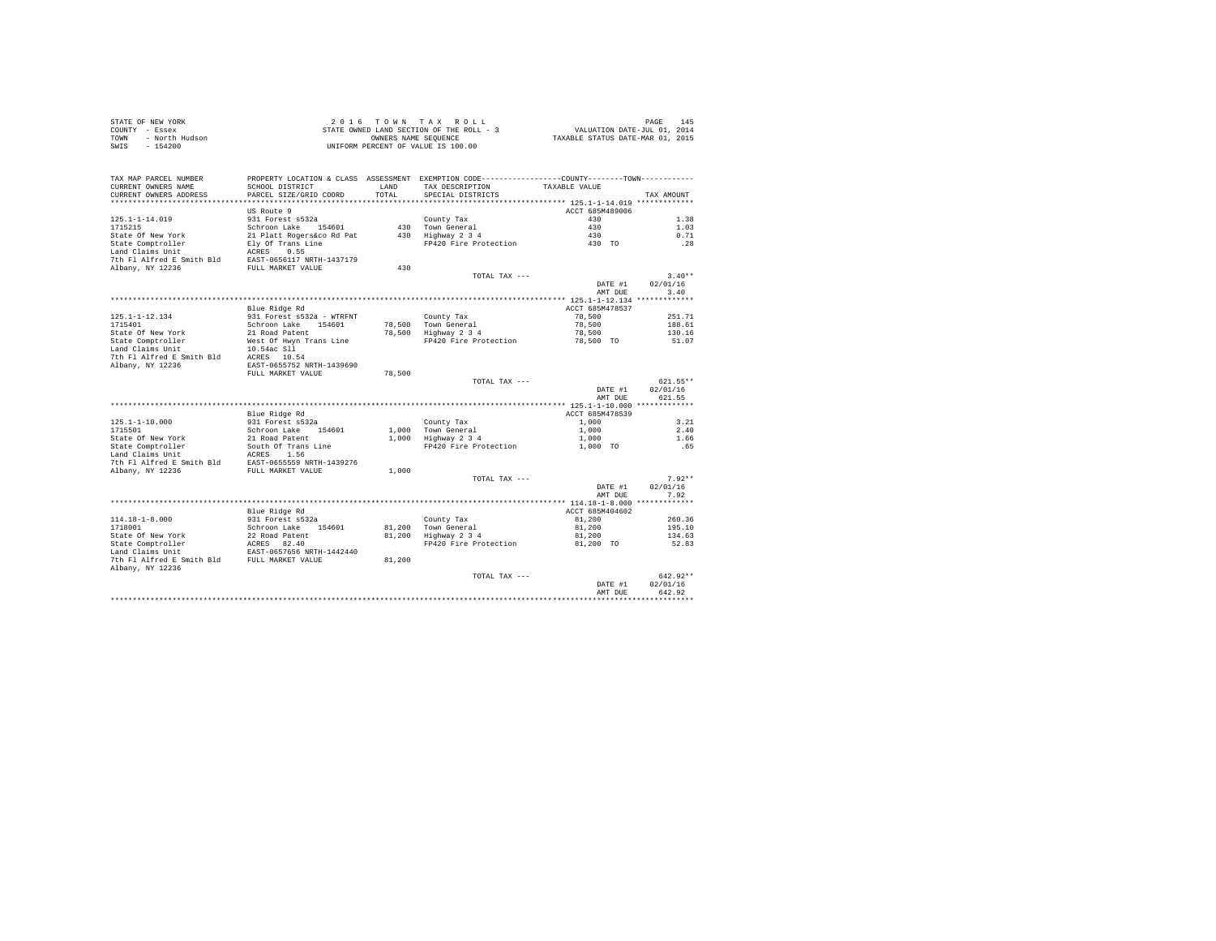| STATE OF NEW YORK<br>COUNTY - Essex<br>- North Hudson<br>TOWN<br>SWIS - 154200 |                                                                                                                                             | OWNERS NAME SEOUENCE      | 2016 TOWN TAX ROLL<br>STATE OWNED LAND SECTION OF THE ROLL - 3 WALUATION DATE-JUL 01, 2014<br>UNIFORM PERCENT OF VALUE IS 100.00 | TAXABLE STATUS DATE-MAR 01, 2015 | 145<br>PAGE              |
|--------------------------------------------------------------------------------|---------------------------------------------------------------------------------------------------------------------------------------------|---------------------------|----------------------------------------------------------------------------------------------------------------------------------|----------------------------------|--------------------------|
| TAX MAP PARCEL NUMBER<br>CURRENT OWNERS NAME<br>CURRENT OWNERS ADDRESS         | PROPERTY LOCATION & CLASS ASSESSMENT EXEMPTION CODE----------------COUNTY-------TOWN----------<br>SCHOOL DISTRICT<br>PARCEL SIZE/GRID COORD | T.AND<br>TOTAL.           | TAX DESCRIPTION TAXABLE VALUE<br>SPECIAL DISTRICTS                                                                               |                                  | TAX AMOUNT               |
|                                                                                | US Route 9                                                                                                                                  |                           |                                                                                                                                  | ACCT 685M489006                  |                          |
| $125.1 - 1 - 14.019$                                                           | 931 Forest s532a                                                                                                                            |                           | County Tax                                                                                                                       | 430                              | 1.38                     |
| 1715215                                                                        | Schroon Lake 154601                                                                                                                         | 430                       | Town General                                                                                                                     | 430                              | 1.03                     |
| State Of New York                                                              | 21 Platt Rogers&co Rd Pat                                                                                                                   | 430                       | Highway 2 3 4                                                                                                                    | 430 - 130                        | 0.71                     |
| State Comptroller                                                              | Elv Of Trans Line                                                                                                                           |                           | FP420 Fire Protection                                                                                                            | 430 TO                           | .28                      |
| Land Claims Unit                                                               | ACRES 0.55                                                                                                                                  |                           |                                                                                                                                  |                                  |                          |
| 7th Fl Alfred E Smith Bld                                                      | EAST-0656117 NRTH-1437179                                                                                                                   |                           |                                                                                                                                  |                                  |                          |
| Albany, NY 12236                                                               | FULL MARKET VALUE                                                                                                                           | 430                       |                                                                                                                                  |                                  |                          |
|                                                                                |                                                                                                                                             |                           | TOTAL TAX $---$                                                                                                                  |                                  | $3.40**$                 |
|                                                                                |                                                                                                                                             |                           |                                                                                                                                  |                                  | DATE #1 02/01/16<br>3.40 |
|                                                                                |                                                                                                                                             |                           |                                                                                                                                  | AMT DUR                          |                          |
|                                                                                |                                                                                                                                             |                           |                                                                                                                                  | ACCT 685M478537                  |                          |
| $125.1 - 1 - 12.134$                                                           | Blue Ridge Rd<br>931 Forest s532a - WTRFNT                                                                                                  |                           |                                                                                                                                  | 78,500                           | 251.71                   |
| 1715401                                                                        | Schroon Lake 154601                                                                                                                         | 78,500                    | County Tax<br>Town General                                                                                                       | 78.500                           | 188.61                   |
| State Of New York                                                              | 21 Road Patent                                                                                                                              | 78,500                    | Highway 2 3 4                                                                                                                    | 78,500                           | 130.16                   |
| State Comptroller                                                              | West Of Hwyn Trans Line                                                                                                                     |                           | FP420 Fire Protection                                                                                                            | 78,500 TO                        | 51.07                    |
| Land Claims Unit                                                               | 10.54ac Sll                                                                                                                                 |                           |                                                                                                                                  |                                  |                          |
| 7th Fl Alfred E Smith Bld                                                      | ACRES 10.54                                                                                                                                 |                           |                                                                                                                                  |                                  |                          |
| Albany, NY 12236                                                               | EAST-0655752 NRTH-1439690                                                                                                                   |                           |                                                                                                                                  |                                  |                          |
|                                                                                |                                                                                                                                             | $B^{\prime}$ $B^{\prime}$ |                                                                                                                                  |                                  |                          |

|                           | FULL MARKET VALUE         | 78,500 |                       |                 |            |
|---------------------------|---------------------------|--------|-----------------------|-----------------|------------|
|                           |                           |        | TOTAL TAX $---$       |                 | $621.55**$ |
|                           |                           |        |                       | DATE #1         | 02/01/16   |
|                           |                           |        |                       | AMT DUE         | 621.55     |
|                           |                           |        |                       |                 |            |
|                           | Blue Ridge Rd             |        |                       | ACCT 685M478539 |            |
| $125.1 - 1 - 10.000$      | 931 Forest s532a          |        | County Tax            | 1,000           | 3.21       |
| 1715501                   | Schroon Lake<br>154601    | 1,000  | Town General          | 1,000           | 2.40       |
| State Of New York         | 21 Road Patent            | 1,000  | Highway 2 3 4         | 1,000           | 1.66       |
| State Comptroller         | South Of Trans Line       |        | FP420 Fire Protection | 1,000 TO        | .65        |
| Land Claims Unit          | 1.56<br>ACRES             |        |                       |                 |            |
| 7th Fl Alfred E Smith Bld | EAST-0655559 NRTH-1439276 |        |                       |                 |            |
| Albany, NY 12236          | FULL MARKET VALUE         | 1,000  |                       |                 |            |
|                           |                           |        | TOTAL TAX $---$       |                 | $7.92**$   |
|                           |                           |        |                       | DATE #1         | 02/01/16   |
|                           |                           |        |                       | AMT DUE         | 7.92       |
|                           |                           |        |                       |                 |            |
|                           | Blue Ridge Rd             |        |                       | ACCT 685M404602 |            |
| $114.18 - 1 - 8.000$      | 931 Forest s532a          |        | County Tax            | 81,200          | 260.36     |
| 1718001                   | Schroon Lake<br>154601    | 81,200 | Town General          | 81,200          | 195.10     |
| State Of New York         | 22 Road Patent            | 81,200 | Highway 2 3 4         | 81,200          | 134.63     |
| State Comptroller         | ACRES 82.40               |        | FP420 Fire Protection | 81,200 TO       | 52.83      |
| Land Claims Unit          | EAST-0657656 NRTH-1442440 |        |                       |                 |            |
| 7th Fl Alfred E Smith Bld | FULL MARKET VALUE         | 81,200 |                       |                 |            |
| Albany, NY 12236          |                           |        |                       |                 |            |
|                           |                           |        | TOTAL TAX $---$       |                 | $642.92**$ |
|                           |                           |        |                       | DATE #1         | 02/01/16   |
|                           |                           |        |                       | AMT DUE         | 642.92     |
|                           |                           |        |                       |                 |            |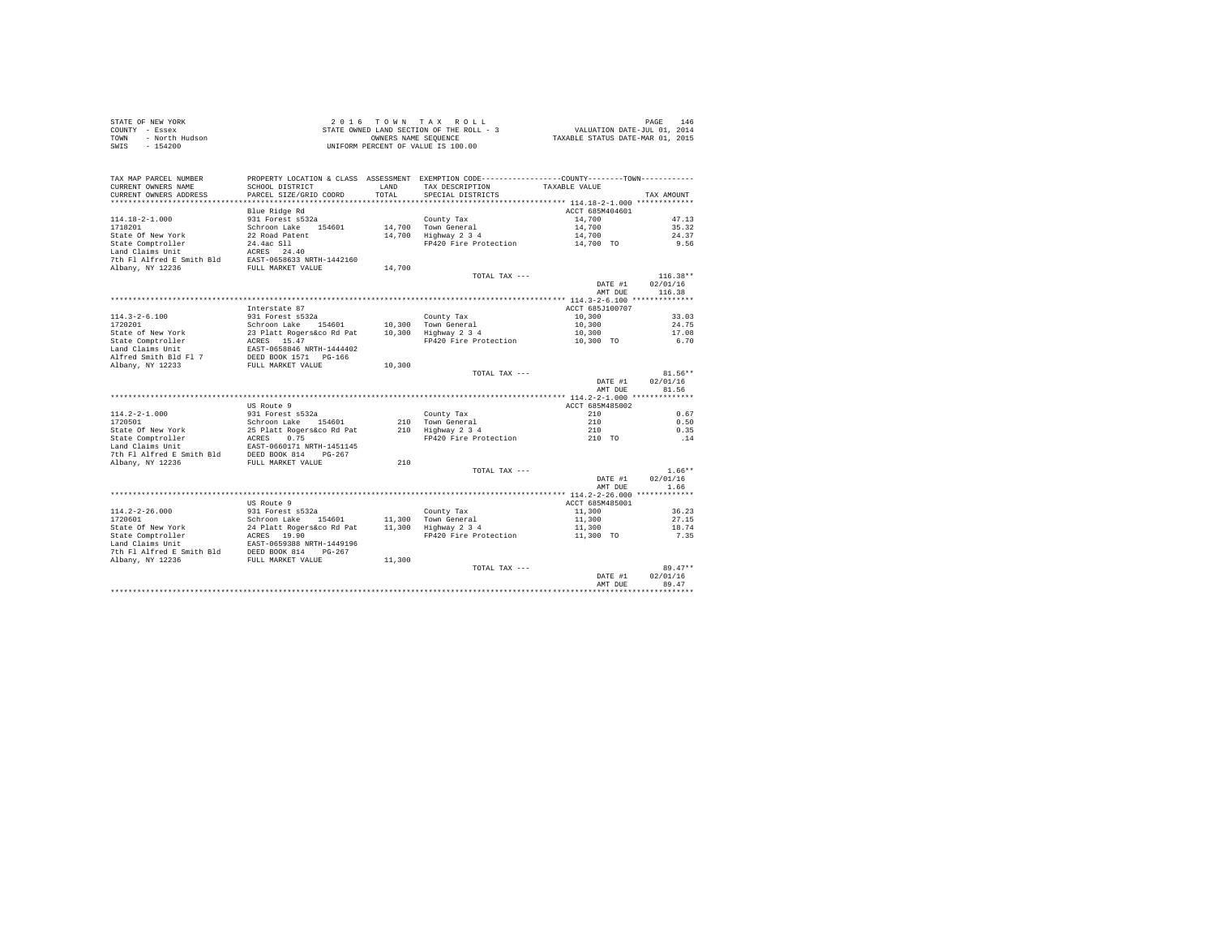|      | STATE OF NEW YORK | 2016 TOWN TAX ROLL                       | 146<br>PAGE                      |
|------|-------------------|------------------------------------------|----------------------------------|
|      | COUNTY - Essex    | STATE OWNED LAND SECTION OF THE ROLL - 3 | VALUATION DATE-JUL 01, 2014      |
| TOWN | - North Hudson    | OWNERS NAME SEOUENCE                     | TAXABLE STATUS DATE-MAR 01, 2015 |
|      | SWIS - 154200     | UNIFORM PERCENT OF VALUE IS 100.00       |                                  |

| TAX MAP PARCEL NUMBER<br>CURRENT OWNERS NAME  | PROPERTY LOCATION & CLASS ASSESSMENT EXEMPTION CODE---------------COUNTY-------TOWN---------<br>SCHOOL DISTRICT | LAND   | TAX DESCRIPTION       | TAXABLE VALUE   |            |
|-----------------------------------------------|-----------------------------------------------------------------------------------------------------------------|--------|-----------------------|-----------------|------------|
| CURRENT OWNERS ADDRESS                        | PARCEL SIZE/GRID COORD                                                                                          | TOTAL. | SPECIAL DISTRICTS     |                 | TAX AMOUNT |
|                                               |                                                                                                                 |        |                       |                 |            |
|                                               | Blue Ridge Rd                                                                                                   |        |                       | ACCT 685M404601 |            |
| 114.18-2-1.000                                | 931 Forest s532a                                                                                                |        | County Tax            | 14,700          | 47.13      |
| 1718201                                       | Schroon Lake 154601                                                                                             |        | 14,700 Town General   | 14,700          | 35.32      |
| State Of New York                             | 22 Road Patent                                                                                                  | 14,700 | Highway 2 3 4         | 14,700          | 24.37      |
| State Comptroller                             | 24.4ac S11                                                                                                      |        | FP420 Fire Protection | 14,700 TO       | 9.56       |
| Land Claims Unit                              | ACRES 24.40                                                                                                     |        |                       |                 |            |
| 7th Fl Alfred E Smith Bld                     | EAST-0658633 NRTH-1442160                                                                                       |        |                       |                 |            |
| Albany, NY 12236                              | FULL MARKET VALUE                                                                                               | 14,700 | TOTAL TAX ---         |                 | $116.38**$ |
|                                               |                                                                                                                 |        |                       | DATE #1         | 02/01/16   |
|                                               |                                                                                                                 |        |                       | AMT DUE         | 116.38     |
|                                               |                                                                                                                 |        |                       |                 |            |
|                                               | Interstate 87                                                                                                   |        |                       | ACCT 685J100707 |            |
| $114.3 - 2 - 6.100$                           | 931 Forest s532a                                                                                                |        | County Tax            | 10,300          | 33.03      |
| 1720201                                       | Schroon Lake 154601                                                                                             |        | 10.300 Town General   | 10,300          | 24.75      |
| State of New York                             | 23 Platt Rogers&co Rd Pat                                                                                       |        | 10,300 Highway 2 3 4  | 10,300          | 17.08      |
| State Comptroller                             | ACRES 15.47                                                                                                     |        | FP420 Fire Protection | 10,300 TO       | 6.70       |
| Land Claims Unit                              | EAST-0658846 NRTH-1444402                                                                                       |        |                       |                 |            |
| Alfred Smith Bld Fl 7                         | DEED BOOK 1571 PG-166                                                                                           |        |                       |                 |            |
| Albany, NY 12233                              | FULL MARKET VALUE                                                                                               | 10,300 |                       |                 |            |
|                                               |                                                                                                                 |        | TOTAL TAX ---         |                 | $81.56**$  |
|                                               |                                                                                                                 |        |                       | DATE #1         | 02/01/16   |
|                                               |                                                                                                                 |        |                       | AMT DUE         | 81.56      |
|                                               |                                                                                                                 |        |                       |                 |            |
|                                               | US Route 9                                                                                                      |        |                       | ACCT 685M485002 |            |
| $114.2 - 2 - 1.000$                           | 931 Forest s532a                                                                                                |        | County Tax            | 210             | 0.67       |
| 1720501                                       | Schroon Lake<br>154601                                                                                          |        | 210 Town General      | 210             | 0.50       |
| State Of New York                             | 25 Platt Rogers&co Rd Pat                                                                                       |        | 210 Highway 2 3 4     | 210             | 0.35       |
| State Comptroller                             | 0.75<br>ACRES                                                                                                   |        | FP420 Fire Protection | 210 TO          | .14        |
| Land Claims Unit<br>7th Fl Alfred E Smith Bld | EAST-0660171 NRTH-1451145<br>DEED BOOK 814<br>PG-267                                                            |        |                       |                 |            |
| Albany, NY 12236                              | FULL MARKET VALUE                                                                                               | 210    |                       |                 |            |
|                                               |                                                                                                                 |        | TOTAL TAX ---         |                 | $1.66**$   |
|                                               |                                                                                                                 |        |                       | DATE #1         | 02/01/16   |
|                                               |                                                                                                                 |        |                       | AMT DUE         | 1.66       |
|                                               |                                                                                                                 |        |                       |                 |            |
|                                               | US Route 9                                                                                                      |        |                       | ACCT 685M485001 |            |
| $114.2 - 2 - 26.000$                          | 931 Forest s532a                                                                                                |        | County Tax            | 11,300          | 36.23      |
| 1720601                                       | Schroon Lake<br>154601                                                                                          |        | 11,300 Town General   | 11,300          | 27.15      |
| State Of New York                             | 24 Platt Rogers&co Rd Pat                                                                                       |        | 11,300 Highway 2 3 4  | 11,300          | 18.74      |
| State Comptroller                             | ACRES 19.90                                                                                                     |        | FP420 Fire Protection | 11,300 TO       | 7.35       |
| Land Claims Unit                              | EAST-0659388 NRTH-1449196                                                                                       |        |                       |                 |            |
| 7th Fl Alfred E Smith Bld                     | DEED BOOK 814<br>$PG-267$                                                                                       |        |                       |                 |            |
| Albany, NY 12236                              | FULL MARKET VALUE                                                                                               | 11,300 |                       |                 |            |
|                                               |                                                                                                                 |        | TOTAL TAX ---         |                 | $89.47**$  |
|                                               |                                                                                                                 |        |                       | DATE #1         | 02/01/16   |
|                                               |                                                                                                                 |        |                       | AMT DUE         | 89.47      |
|                                               |                                                                                                                 |        |                       |                 |            |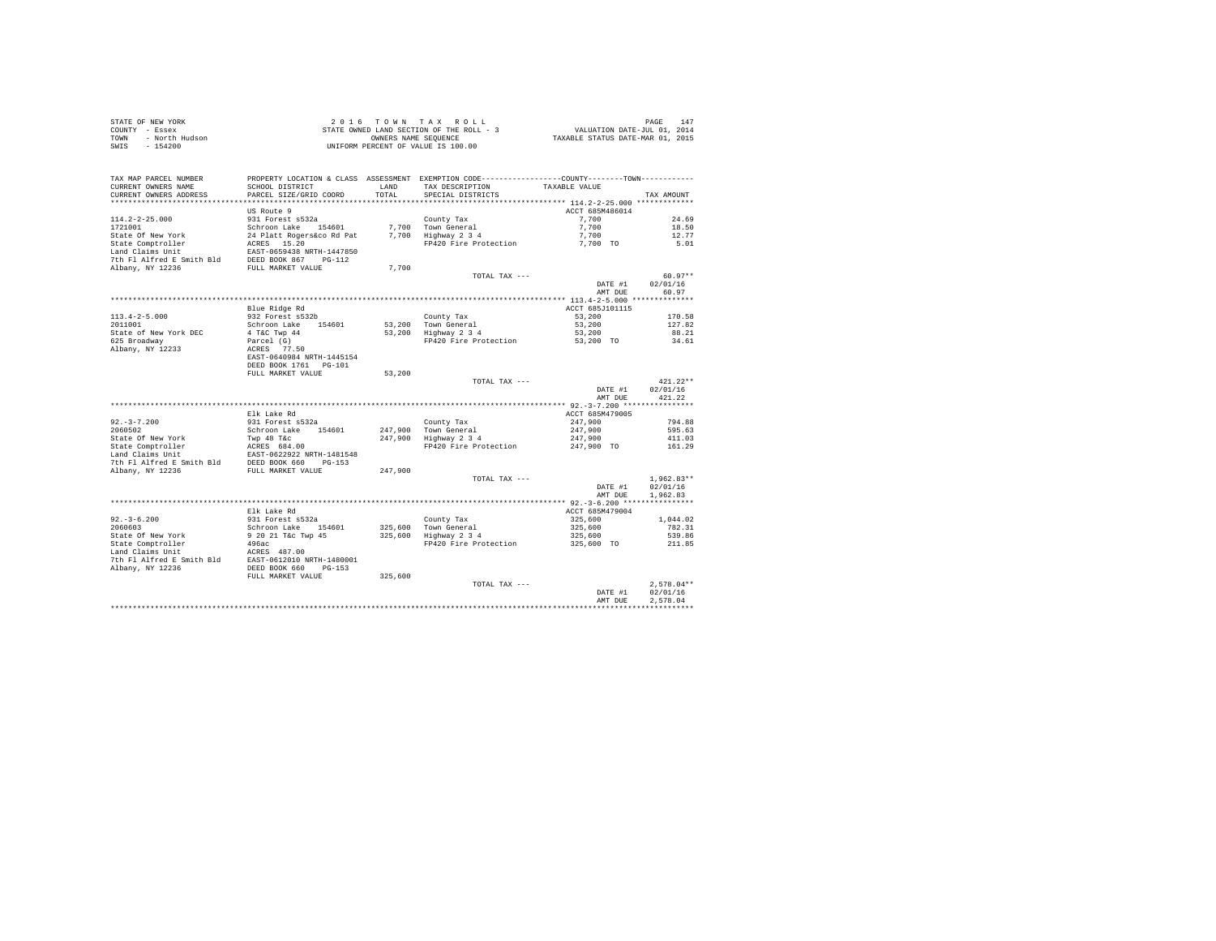|      | STATE OF NEW YORK | $2.0.16$ TOWN TAX ROLL                   | PAGE                             | 147 |
|------|-------------------|------------------------------------------|----------------------------------|-----|
|      | COUNTY - Essex    | STATE OWNED LAND SECTION OF THE ROLL - 3 | VALUATION DATE-JUL 01, 2014      |     |
| TOWN | - North Hudson    | OWNERS NAME SEOUENCE                     | TAXABLE STATUS DATE-MAR 01, 2015 |     |
| SWIS | $-154200$         | UNIFORM PERCENT OF VALUE IS 100.00       |                                  |     |

| TAX MAP PARCEL NUMBER                 |                           |         | PROPERTY LOCATION & CLASS ASSESSMENT EXEMPTION CODE---------------COUNTY-------TOWN---------- |                                           |                  |
|---------------------------------------|---------------------------|---------|-----------------------------------------------------------------------------------------------|-------------------------------------------|------------------|
| CURRENT OWNERS NAME                   | SCHOOL DISTRICT           | LAND    | TAX DESCRIPTION                                                                               | TAXABLE VALUE                             |                  |
| CURRENT OWNERS ADDRESS                | PARCEL SIZE/GRID COORD    | TOTAL   | SPECIAL DISTRICTS                                                                             |                                           | TAX AMOUNT       |
| **********************                | ************************* |         |                                                                                               |                                           |                  |
|                                       | US Route 9                |         |                                                                                               | ACCT 685M486014                           |                  |
| $114.2 - 2 - 25.000$                  | 931 Forest s532a          |         | County Tax                                                                                    | 7.700                                     | 24.69            |
| 1721001                               | Schroon Lake<br>154601    | 7,700   | Town General                                                                                  | 7.700                                     | 18.50            |
| State Of New York                     | 24 Platt Rogers&co Rd Pat | 7,700   | Highway 2 3 4                                                                                 | 7,700                                     | 12.77            |
| State Comptroller                     | ACRES 15.20               |         | FP420 Fire Protection                                                                         | 7,700 TO                                  | 5.01             |
| Land Claims Unit                      | EAST-0659438 NRTH-1447850 |         |                                                                                               |                                           |                  |
| 7th Fl Alfred E Smith Bld             | DEED BOOK 867<br>$PG-112$ |         |                                                                                               |                                           |                  |
| Albany, NY 12236                      | FULL MARKET VALUE         | 7.700   |                                                                                               |                                           |                  |
|                                       |                           |         | TOTAL TAX ---                                                                                 |                                           | $60.97**$        |
|                                       |                           |         |                                                                                               | DATE #1                                   | 02/01/16         |
|                                       |                           |         |                                                                                               | AMT DUE                                   | 60.97            |
|                                       |                           |         |                                                                                               | ************ 113.4-2-5.000 ************** |                  |
|                                       | Blue Ridge Rd             |         |                                                                                               | ACCT 685J101115                           |                  |
| $113.4 - 2 - 5.000$                   | 932 Forest s532b          |         | County Tax                                                                                    | 53,200                                    | 170.58           |
| 2011001                               | Schroon Lake<br>154601    | 53,200  | Town General                                                                                  | 53,200                                    | 127.82           |
| State of New York DEC                 | 4 T&C Twp 44              | 53,200  | Highway 2 3 4                                                                                 | 53,200                                    | 88.21            |
| 625 Broadway                          | Parcel (G)                |         | FP420 Fire Protection                                                                         | 53,200 TO                                 | 34.61            |
| Albany, NY 12233                      | ACRES 77.50               |         |                                                                                               |                                           |                  |
|                                       | EAST-0640984 NRTH-1445154 |         |                                                                                               |                                           |                  |
|                                       | DEED BOOK 1761 PG-101     |         |                                                                                               |                                           |                  |
|                                       | FULL MARKET VALUE         | 53,200  |                                                                                               |                                           |                  |
|                                       |                           |         | TOTAL TAX ---                                                                                 |                                           | $421.22**$       |
|                                       |                           |         |                                                                                               | DATE #1                                   | 02/01/16         |
|                                       |                           |         |                                                                                               | AMT DUE                                   | 421.22           |
|                                       |                           |         |                                                                                               |                                           |                  |
|                                       | Elk Lake Rd               |         |                                                                                               | ACCT 685M479005                           |                  |
| $92. - 3 - 7.200$                     | 931 Forest s532a          |         | County Tax                                                                                    | 247,900                                   | 794.88           |
| 2060502                               | Schroon Lake<br>154601    | 247,900 | Town General                                                                                  | 247,900                                   | 595.63           |
| State Of New York                     | Twp 48 T&c                | 247,900 | Highway 2 3 4                                                                                 | 247,900                                   | 411.03           |
| State Comptroller                     | ACRES 684.00              |         | FP420 Fire Protection                                                                         | 247,900 TO                                | 161.29           |
| Land Claims Unit                      | EAST-0622922 NRTH-1481548 |         |                                                                                               |                                           |                  |
| 7th Fl Alfred E Smith Bld             | DEED BOOK 660<br>$PG-153$ |         |                                                                                               |                                           |                  |
| Albany, NY 12236                      | FULL MARKET VALUE         | 247.900 |                                                                                               |                                           |                  |
|                                       |                           |         | TOTAL TAX ---                                                                                 |                                           | $1.962.83**$     |
|                                       |                           |         |                                                                                               | DATE #1                                   | 02/01/16         |
|                                       |                           |         |                                                                                               | AMT DUE                                   | 1,962.83         |
|                                       |                           |         |                                                                                               |                                           |                  |
|                                       | Elk Lake Rd               |         |                                                                                               | ACCT 685M479004                           |                  |
| $92. - 3 - 6.200$                     | 931 Forest s532a          |         | County Tax                                                                                    | 325,600                                   | 1,044.02         |
| 2060603                               | Schroon Lake<br>154601    | 325,600 | Town General                                                                                  | 325,600                                   | 782.31           |
|                                       |                           |         |                                                                                               |                                           |                  |
| State Of New York                     | 9 20 21 T&c Twp 45        | 325,600 | Highway 2 3 4<br>FP420 Fire Protection                                                        | 325,600                                   | 539.86<br>211.85 |
| State Comptroller<br>Land Claims Unit | 496ac                     |         |                                                                                               | 325,600 TO                                |                  |
|                                       | ACRES 487.00              |         |                                                                                               |                                           |                  |
| 7th Fl Alfred E Smith Bld             | EAST-0612010 NRTH-1480001 |         |                                                                                               |                                           |                  |
| Albany, NY 12236                      | DEED BOOK 660<br>$PG-153$ |         |                                                                                               |                                           |                  |
|                                       | FULL MARKET VALUE         | 325,600 |                                                                                               |                                           |                  |
|                                       |                           |         | TOTAL TAX ---                                                                                 |                                           | $2.578.04**$     |
|                                       |                           |         |                                                                                               | DATE #1                                   | 02/01/16         |
|                                       |                           |         |                                                                                               | AMT DUE                                   | 2.578.04         |
|                                       |                           |         |                                                                                               |                                           |                  |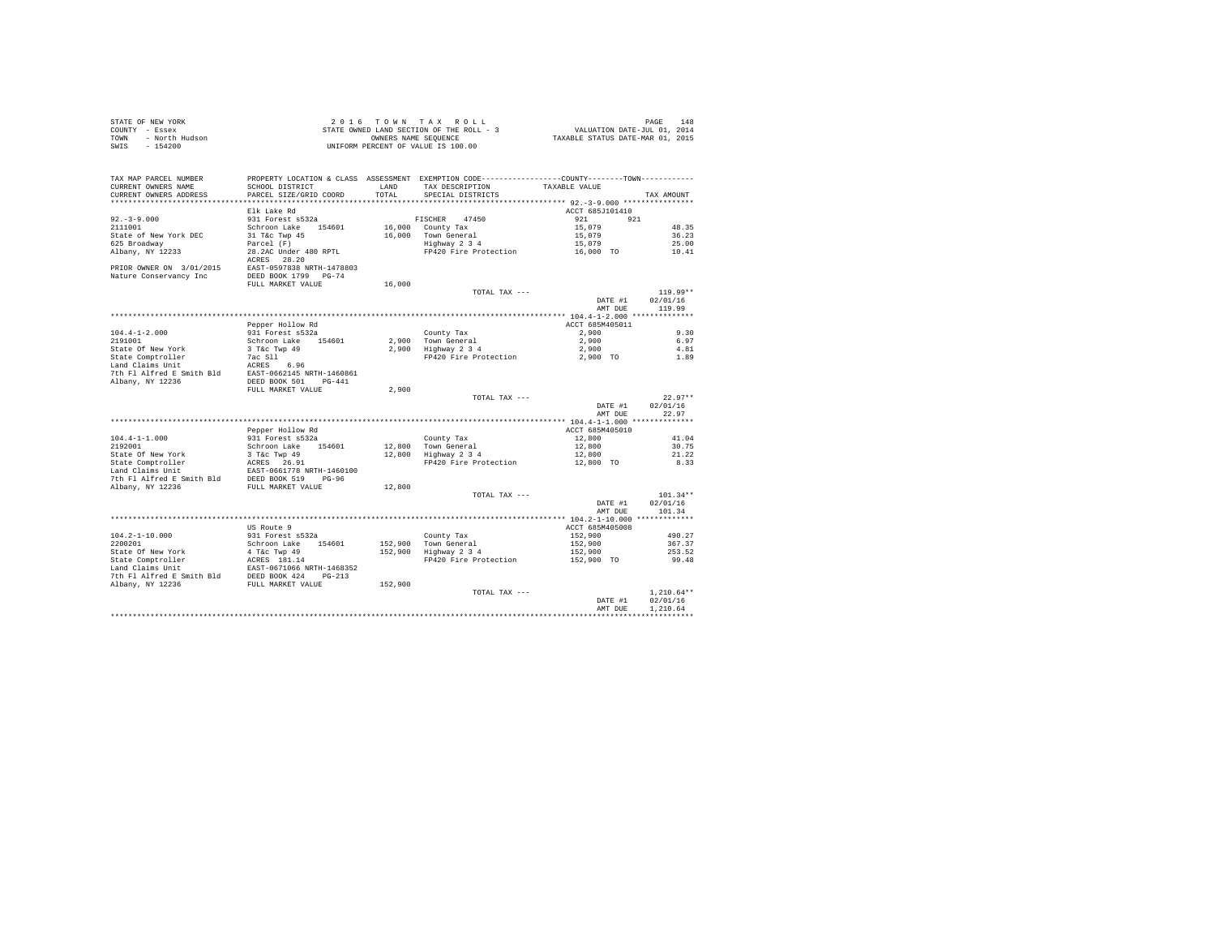| STATE OF NEW YORK      | $2.0.16$ TOWN TAX ROLL                   | 148<br>PAGE                      |
|------------------------|------------------------------------------|----------------------------------|
| COUNTY - Essex         | STATE OWNED LAND SECTION OF THE ROLL - 3 | VALUATION DATE-JUL 01, 2014      |
| TOWN<br>- North Hudson | OWNERS NAME SEOUENCE                     | TAXABLE STATUS DATE-MAR 01, 2015 |
| SWIS - 154200          | UNIFORM PERCENT OF VALUE IS 100.00       |                                  |

| TAX MAP PARCEL NUMBER                             | PROPERTY LOCATION & CLASS ASSESSMENT                  |         | EXEMPTION CODE----------------COUNTY-------TOWN---------- |                                   |                   |
|---------------------------------------------------|-------------------------------------------------------|---------|-----------------------------------------------------------|-----------------------------------|-------------------|
| CURRENT OWNERS NAME                               | SCHOOL DISTRICT                                       | LAND    | TAX DESCRIPTION                                           | TAXABLE VALUE                     |                   |
| CURRENT OWNERS ADDRESS<br>*********************** | PARCEL SIZE/GRID COORD<br>*************************** | TOTAL   | SPECIAL DISTRICTS                                         |                                   | TAX AMOUNT        |
|                                                   |                                                       |         |                                                           |                                   |                   |
|                                                   | Elk Lake Rd                                           |         |                                                           | ACCT 685J101410                   |                   |
| $92. - 3 - 9.000$                                 | 931 Forest s532a                                      |         | 47450<br>FISCHER                                          | 921<br>921                        |                   |
| 2111001                                           | Schroon Lake<br>154601                                | 16,000  | County Tax                                                | 15,079                            | 48.35             |
| State of New York DEC                             | 31 T&c Twp 45                                         | 16,000  | Town General                                              | 15,079                            | 36.23             |
| 625 Broadway                                      | Parcel (F)                                            |         | Highway 2 3 4                                             | 15,079                            | 25.00             |
| Albany, NY 12233                                  | 28.2AC Under 480 RPTL                                 |         | FP420 Fire Protection                                     | 16,000 TO                         | 10.41             |
|                                                   | 28.20<br>ACRES                                        |         |                                                           |                                   |                   |
| PRIOR OWNER ON 3/01/2015                          | EAST-0597838 NRTH-1478803                             |         |                                                           |                                   |                   |
| Nature Conservancy Inc                            | DEED BOOK 1799 PG-74<br>FULL MARKET VALUE             | 16,000  |                                                           |                                   |                   |
|                                                   |                                                       |         |                                                           |                                   | $119.99**$        |
|                                                   |                                                       |         | TOTAL TAX ---                                             | DATE #1                           | 02/01/16          |
|                                                   |                                                       |         |                                                           |                                   |                   |
|                                                   |                                                       |         |                                                           | AMT DUE                           | 119.99            |
|                                                   |                                                       |         |                                                           | *** 104.4-1-2.000 **************  |                   |
|                                                   | Pepper Hollow Rd                                      |         |                                                           | ACCT 685M405011                   |                   |
| $104.4 - 1 - 2.000$                               | 931 Forest s532a                                      |         | County Tax                                                | 2,900                             | 9.30              |
| 2191001                                           | Schroon Lake<br>154601                                | 2,900   | Town General                                              | 2,900                             | 6.97              |
| State Of New York                                 | 3 T&c Twp 49                                          | 2,900   | Highway 2 3 4                                             | 2,900                             | 4.81              |
| State Comptroller                                 | 7ac Sll                                               |         | FP420 Fire Protection                                     | 2,900 TO                          | 1.89              |
| Land Claims Unit                                  | ACRES<br>6.96                                         |         |                                                           |                                   |                   |
| 7th Fl Alfred E Smith Bld                         | EAST-0662145 NRTH-1460861                             |         |                                                           |                                   |                   |
| Albany, NY 12236                                  | DEED BOOK 501<br>$PG-441$                             |         |                                                           |                                   |                   |
|                                                   | FULL MARKET VALUE                                     | 2,900   |                                                           |                                   | $22.97**$         |
|                                                   |                                                       |         | TOTAL TAX ---                                             |                                   |                   |
|                                                   |                                                       |         |                                                           | DATE #1                           | 02/01/16<br>22.97 |
|                                                   |                                                       |         |                                                           | AMT DUE<br>****** 104.4-1-1.000 * |                   |
|                                                   | Pepper Hollow Rd                                      |         |                                                           | ACCT 685M405010                   |                   |
| $104.4 - 1 - 1.000$                               | 931 Forest s532a                                      |         |                                                           |                                   | 41.04             |
| 2192001                                           | Schroon Lake                                          | 12,800  | County Tax<br>Town General                                | 12,800<br>12,800                  | 30.75             |
| State Of New York                                 | 154601                                                | 12,800  |                                                           |                                   | 21.22             |
| State Comptroller                                 | 3 T&c Twp 49<br>ACRES<br>26.91                        |         | Highway 2 3 4<br>FP420 Fire Protection                    | 12,800<br>12,800 TO               | 8.33              |
| Land Claims Unit                                  | EAST-0661778 NRTH-1460100                             |         |                                                           |                                   |                   |
| 7th Fl Alfred E Smith Bld                         | DEED BOOK 519<br>$PG-96$                              |         |                                                           |                                   |                   |
| Albany, NY 12236                                  | FULL MARKET VALUE                                     | 12,800  |                                                           |                                   |                   |
|                                                   |                                                       |         | TOTAL TAX ---                                             |                                   | $101.34**$        |
|                                                   |                                                       |         |                                                           | DATE #1                           | 02/01/16          |
|                                                   |                                                       |         |                                                           | AMT DUE                           | 101.34            |
|                                                   |                                                       |         |                                                           |                                   |                   |
|                                                   | US Route 9                                            |         |                                                           | ACCT 685M405008                   |                   |
| $104.2 - 1 - 10.000$                              | 931 Forest s532a                                      |         | County Tax                                                | 152,900                           | 490.27            |
| 2200201                                           | Schroon Lake<br>154601                                | 152,900 | Town General                                              |                                   | 367.37            |
| State Of New York                                 | 4 T&c Twp 49                                          | 152,900 | Highway 2 3 4                                             | 152,900<br>152,900                | 253.52            |
| State Comptroller                                 | ACRES 181.14                                          |         | FP420 Fire Protection                                     |                                   | 99.48             |
| Land Claims Unit                                  | EAST-0671066 NRTH-1468352                             |         |                                                           | 152,900 TO                        |                   |
| 7th Fl Alfred E Smith Bld                         | DEED BOOK 424<br>$PG-213$                             |         |                                                           |                                   |                   |
| Albany, NY 12236                                  | FULL MARKET VALUE                                     | 152,900 |                                                           |                                   |                   |
|                                                   |                                                       |         | TOTAL TAX ---                                             |                                   | $1.210.64**$      |
|                                                   |                                                       |         |                                                           | DATE #1                           | 02/01/16          |
|                                                   |                                                       |         |                                                           | AMT DUE                           | 1.210.64          |
|                                                   |                                                       |         |                                                           |                                   |                   |
|                                                   |                                                       |         |                                                           |                                   |                   |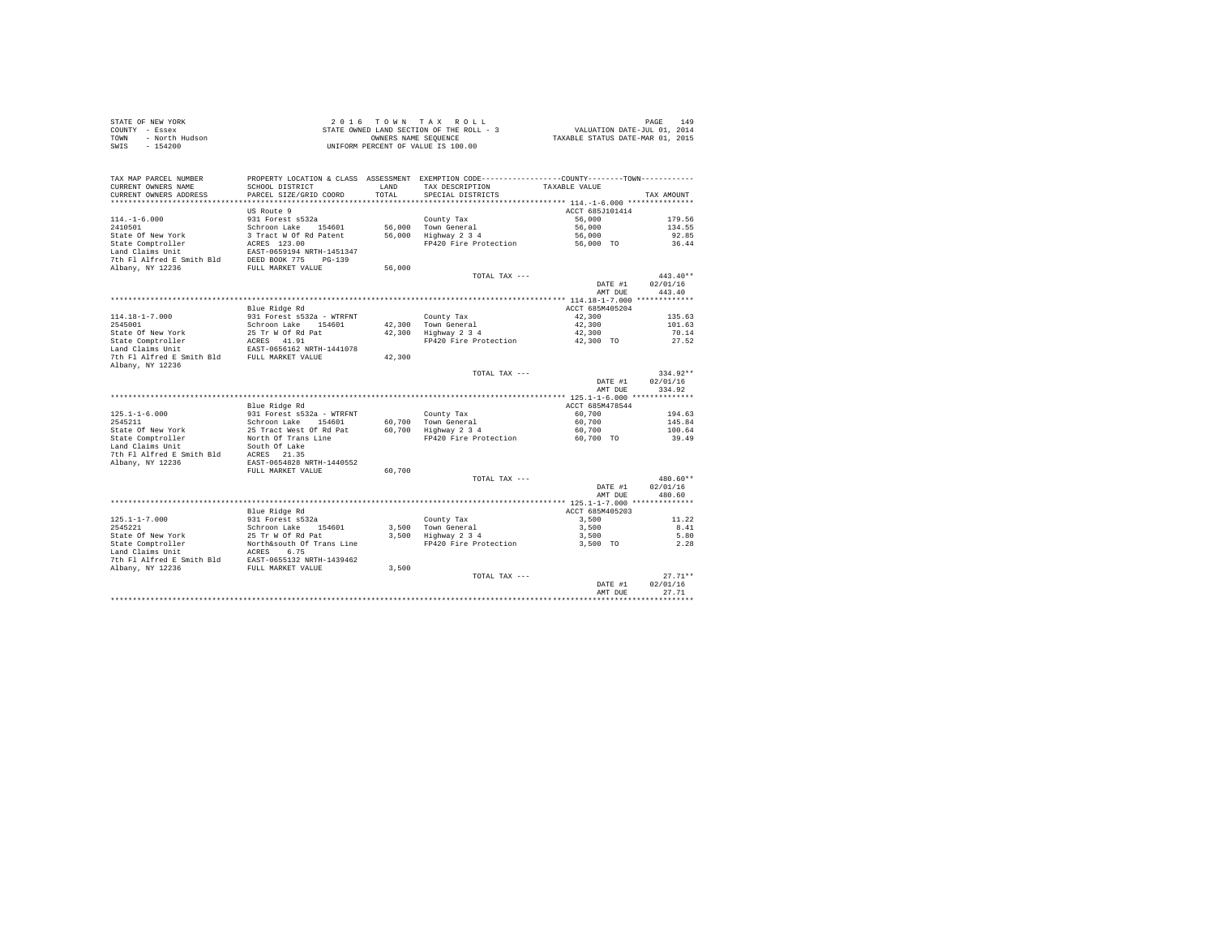|      | STATE OF NEW YORK | 2016 TOWN TAX ROLL                       | 149<br>PAGE                      |
|------|-------------------|------------------------------------------|----------------------------------|
|      | COUNTY - Essex    | STATE OWNED LAND SECTION OF THE ROLL - 3 | VALUATION DATE-JUL 01, 2014      |
| TOWN | - North Hudson    | OWNERS NAME SEOUENCE                     | TAXABLE STATUS DATE-MAR 01, 2015 |
| SWIS | - 154200          | UNIFORM PERCENT OF VALUE IS 100.00       |                                  |

| TAX MAP PARCEL NUMBER                         | PROPERTY LOCATION & CLASS ASSESSMENT EXEMPTION CODE----------------COUNTY--------TOWN---------- |        |                       |                 |            |
|-----------------------------------------------|-------------------------------------------------------------------------------------------------|--------|-----------------------|-----------------|------------|
| CURRENT OWNERS NAME                           | SCHOOL DISTRICT                                                                                 | LAND   | TAX DESCRIPTION       | TAXABLE VALUE   |            |
| CURRENT OWNERS ADDRESS                        | PARCEL SIZE/GRID COORD                                                                          | TOTAL  | SPECIAL DISTRICTS     |                 | TAX AMOUNT |
|                                               |                                                                                                 |        |                       |                 |            |
|                                               | US Route 9                                                                                      |        |                       | ACCT 685J101414 |            |
| $114. - 1 - 6.000$                            | 931 Forest s532a                                                                                |        | County Tax            | 56,000          | 179.56     |
| 2410501                                       | Schroon Lake 154601                                                                             |        | 56,000 Town General   | 56,000          | 134.55     |
| State Of New York                             | 3 Tract W Of Rd Patent                                                                          |        | 56,000 Highway 2 3 4  | 56,000          | 92.85      |
| State Comptroller                             | ACRES 123.00                                                                                    |        | FP420 Fire Protection | 56,000 TO       | 36.44      |
| Land Claims Unit                              | EAST-0659194 NRTH-1451347                                                                       |        |                       |                 |            |
| 7th Fl Alfred E Smith Bld                     | DEED BOOK 775 PG-139                                                                            |        |                       |                 |            |
| Albany, NY 12236                              | FULL MARKET VALUE                                                                               | 56,000 | TOTAL TAX ---         |                 | $443.40**$ |
|                                               |                                                                                                 |        |                       | DATE #1         | 02/01/16   |
|                                               |                                                                                                 |        |                       | AMT DUE         | 443.40     |
|                                               |                                                                                                 |        |                       |                 |            |
|                                               | Blue Ridge Rd                                                                                   |        |                       | ACCT 685M405204 |            |
| $114.18 - 1 - 7.000$                          | 931 Forest s532a - WTRFNT                                                                       |        | County Tax            | 42.300          | 135.63     |
| 2545001                                       | Schroon Lake 154601                                                                             |        | 42.300 Town General   | 42,300          | 101.63     |
| State Of New York                             | 25 Tr W Of Rd Pat                                                                               |        | 42,300 Highway 2 3 4  | 42,300          | 70.14      |
| State Comptroller                             | ACRES 41.91                                                                                     |        | FP420 Fire Protection | 42,300 TO       | 27.52      |
| Land Claims Unit                              | EAST-0656162 NRTH-1441078                                                                       |        |                       |                 |            |
| 7th Fl Alfred E Smith Bld FULL MARKET VALUE   |                                                                                                 | 42,300 |                       |                 |            |
| Albany, NY 12236                              |                                                                                                 |        |                       |                 |            |
|                                               |                                                                                                 |        | TOTAL TAX ---         |                 | $334.92**$ |
|                                               |                                                                                                 |        |                       | DATE #1         | 02/01/16   |
|                                               |                                                                                                 |        |                       | AMT DUE         | 334.92     |
|                                               |                                                                                                 |        |                       |                 |            |
|                                               | Blue Ridge Rd                                                                                   |        |                       | ACCT 685M478544 |            |
| $125.1 - 1 - 6.000$                           | 931 Forest s532a - WTRFNT                                                                       |        | County Tax            | 60,700          | 194.63     |
| 2545211                                       | Schroon Lake<br>154601                                                                          |        | 60.700 Town General   | 60,700          | 145.84     |
| State Of New York                             | 25 Tract West Of Rd Pat                                                                         |        | 60,700 Highway 2 3 4  | 60,700          | 100.64     |
| State Comptroller                             | North Of Trans Line                                                                             |        | FP420 Fire Protection | 60,700 TO       | 39.49      |
| Land Claims Unit                              | South Of Lake<br>ACRES 21.35                                                                    |        |                       |                 |            |
| 7th Fl Alfred E Smith Bld<br>Albany, NY 12236 | EAST-0654828 NRTH-1440552                                                                       |        |                       |                 |            |
|                                               | FULL MARKET VALUE                                                                               | 60,700 |                       |                 |            |
|                                               |                                                                                                 |        | TOTAL TAX ---         |                 | 480.60**   |
|                                               |                                                                                                 |        |                       | DATE #1         | 02/01/16   |
|                                               |                                                                                                 |        |                       | AMT DUE         | 480.60     |
|                                               |                                                                                                 |        |                       |                 |            |
|                                               | Blue Ridge Rd                                                                                   |        |                       | ACCT 685M405203 |            |
| $125.1 - 1 - 7.000$                           | 931 Forest s532a                                                                                |        | County Tax            | 3,500           | 11.22      |
| 2545221                                       | Schroon Lake 154601                                                                             |        | 3.500 Town General    | 3,500           | 8.41       |
| State Of New York                             |                                                                                                 |        | 3,500 Highway 2 3 4   | 3,500           | 5.80       |
| State Comptroller                             | 25 Tr W Of Rd Pat<br>North&south Of Trans Line                                                  |        | FP420 Fire Protection | 3,500 TO        | 2.28       |
| Land Claims Unit                              | 6.75<br>ACRES                                                                                   |        |                       |                 |            |
| 7th Fl Alfred E Smith Bld                     | EAST-0655132 NRTH-1439462                                                                       |        |                       |                 |            |
| Albany, NY 12236                              | FULL MARKET VALUE                                                                               | 3,500  |                       |                 |            |
|                                               |                                                                                                 |        | TOTAL TAX ---         |                 | $27.71**$  |
|                                               |                                                                                                 |        |                       | DATE #1         | 02/01/16   |
|                                               |                                                                                                 |        |                       | AMT DUE         | 27.71      |
|                                               |                                                                                                 |        |                       |                 |            |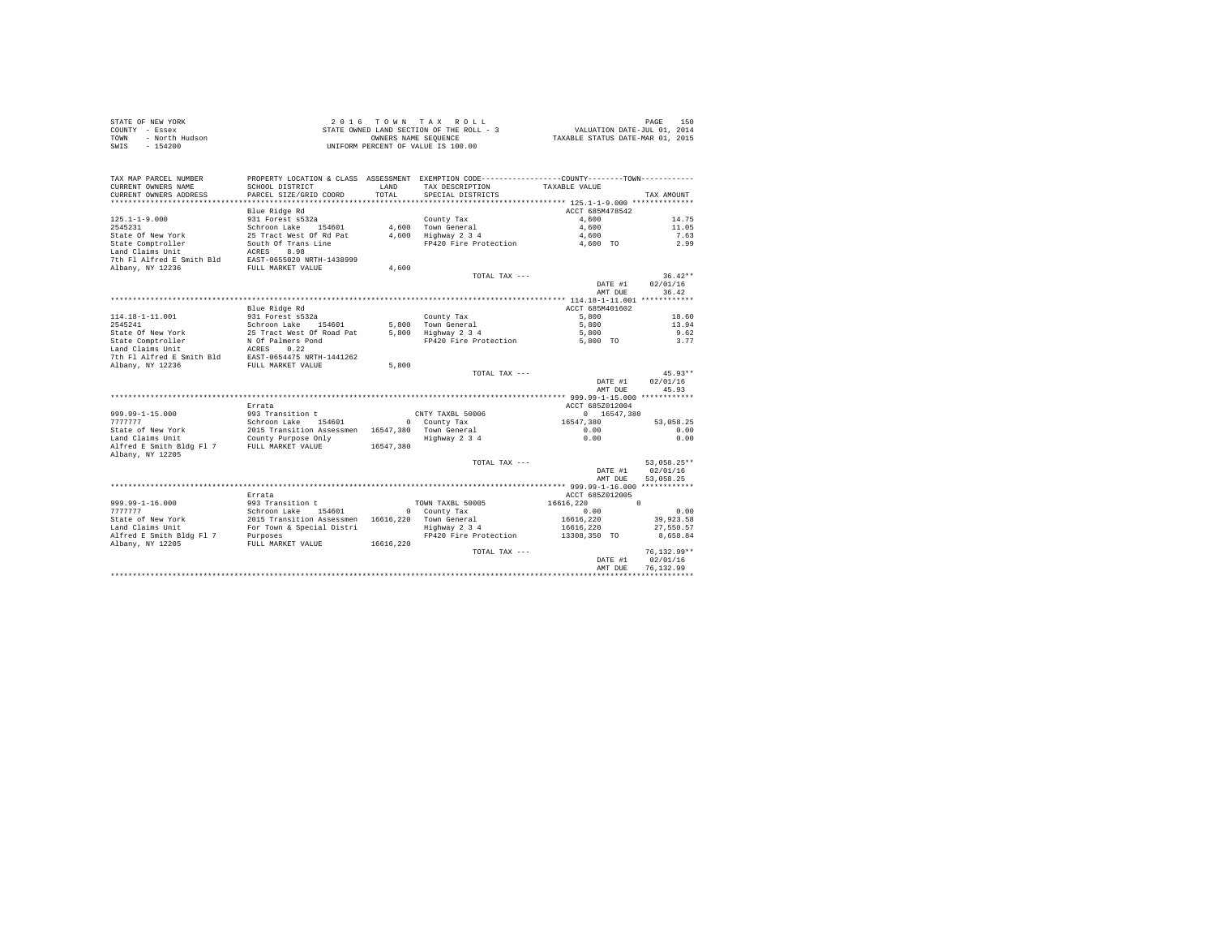|      | STATE OF NEW YORK | 2016 TOWN TAX ROLL                       | 150<br>PAGE                      |
|------|-------------------|------------------------------------------|----------------------------------|
|      | COUNTY - Essex    | STATE OWNED LAND SECTION OF THE ROLL - 3 | VALUATION DATE-JUL 01, 2014      |
| TOWN | - North Hudson    | OWNERS NAME SEOUENCE                     | TAXABLE STATUS DATE-MAR 01, 2015 |
| SWIS | - 154200          | UNIFORM PERCENT OF VALUE IS 100.00       |                                  |

| TAX MAP PARCEL NUMBER                 |                                                                                       |           | PROPERTY LOCATION & CLASS ASSESSMENT EXEMPTION CODE----------------COUNTY-------TOWN---------- |                 |                            |
|---------------------------------------|---------------------------------------------------------------------------------------|-----------|------------------------------------------------------------------------------------------------|-----------------|----------------------------|
| CURRENT OWNERS NAME                   | SCHOOL DISTRICT                                                                       | T.AND     | TAX DESCRIPTION                                                                                | TAXABLE VALUE   |                            |
| CURRENT OWNERS ADDRESS                | PARCEL SIZE/GRID COORD                                                                | TOTAL     | SPECIAL DISTRICTS                                                                              |                 | TAX AMOUNT                 |
|                                       |                                                                                       |           |                                                                                                |                 |                            |
|                                       | Blue Ridge Rd                                                                         |           |                                                                                                | ACCT 685M478542 |                            |
| $125.1 - 1 - 9.000$                   | 931 Forest s532a                                                                      |           | County Tax                                                                                     | 4,600           | 14.75                      |
| 2545231                               | Schroon Lake 154601<br>25 Tract West Of Rd Pat                                        |           | 4.600 Town General                                                                             | 4,600           | 11.05                      |
| State Of New York                     |                                                                                       |           | 4,600 Highway 2 3 4<br>FP420 Fire Protection 4,600 TO                                          | 4,600           | 7.63<br>2.99               |
| State Comptroller<br>Land Claims Unit | South Of Trans Line<br>ACRES 8.98                                                     |           |                                                                                                |                 |                            |
|                                       | 7th Fl Alfred E Smith Bld EAST-0655020 NRTH-1438999                                   |           |                                                                                                |                 |                            |
| Albany, NY 12236                      | FULL MARKET VALUE                                                                     | 4,600     |                                                                                                |                 |                            |
|                                       |                                                                                       |           | TOTAL TAX ---                                                                                  |                 | $36.42**$                  |
|                                       |                                                                                       |           |                                                                                                | DATE #1         | 02/01/16                   |
|                                       |                                                                                       |           |                                                                                                | AMT DUE         | 36.42                      |
|                                       |                                                                                       |           |                                                                                                |                 |                            |
|                                       | Blue Ridge Rd                                                                         |           |                                                                                                | ACCT 685M401602 |                            |
| 114.18-1-11.001                       | 931 Forest s532a                                                                      |           | County Tax                                                                                     | 5,800           | 18.60                      |
| 2545241                               |                                                                                       |           | 5,800 Town General                                                                             | 5,800           | 13.94                      |
| State Of New York                     | Schroon Lake 154601<br>25 Tract West Of Road Pat                                      |           | 5,800 Highway 2 3 4                                                                            | 5,800           | 9.62                       |
| State Comptroller                     |                                                                                       |           | FP420 Fire Protection 5,800 TO                                                                 |                 | 3.77                       |
| Land Claims Unit                      | N Of Palmers Pond<br>ACRES 0.22                                                       |           |                                                                                                |                 |                            |
|                                       | 7th Fl Alfred E Smith Bld EAST-0654475 NRTH-1441262                                   |           |                                                                                                |                 |                            |
| Albany, NY 12236                      | FULL MARKET VALUE                                                                     | 5,800     |                                                                                                |                 |                            |
|                                       |                                                                                       |           | TOTAL TAX ---                                                                                  |                 | $45.93**$                  |
|                                       |                                                                                       |           |                                                                                                | DATE #1         | 02/01/16                   |
|                                       |                                                                                       |           |                                                                                                | AMT DUE         | 45.93                      |
|                                       |                                                                                       |           |                                                                                                |                 |                            |
|                                       | Errata                                                                                |           |                                                                                                | ACCT 685Z012004 |                            |
| 999.99-1-15.000                       | 993 Transition t                                                                      |           | CNTY TAXBL 50006                                                                               | 0 16547,380     |                            |
| 7777777                               | Schroon Lake 154601 0 County Tax<br>2015 Transition Assessmen 16547,380 Town General  |           |                                                                                                | 16547,380       | 53,058.25                  |
| State of New York                     |                                                                                       |           |                                                                                                | 0.00            | 0.00                       |
| Land Claims Unit                      | County Purpose Only                                                                   |           | Highway 2 3 4                                                                                  | 0.00            | 0.00                       |
| Alfred E Smith Bldg Fl 7              | FULL MARKET VALUE                                                                     | 16547.380 |                                                                                                |                 |                            |
| Albany, NY 12205                      |                                                                                       |           |                                                                                                |                 |                            |
|                                       |                                                                                       |           | TOTAL TAX ---                                                                                  |                 | 53.058.25**                |
|                                       |                                                                                       |           |                                                                                                | DATE #1         | 02/01/16                   |
|                                       |                                                                                       |           |                                                                                                | AMT DUE         | 53,058.25                  |
|                                       |                                                                                       |           |                                                                                                |                 |                            |
|                                       | Errata                                                                                |           |                                                                                                | ACCT 685Z012005 |                            |
| 999.99-1-16.000                       | 993 Transition t                                                                      |           | TOWN TAXBL 50005                                                                               | 16616.220       | $\sim$                     |
| 7777777                               | Schroon Lake 154601 0 County Tax<br>2015 Transition Assessmen 16616, 220 Town General |           |                                                                                                | 0.00            | 0.00                       |
| State of New York                     |                                                                                       |           |                                                                                                | 16616.220       | 39,923.58                  |
| Land Claims Unit                      | For Town & Special Distri                                                             |           | Highway 2 3 4                                                                                  | 16616,220       | 27,550.57                  |
| Alfred E Smith Bldg Fl 7              | Purposes                                                                              |           | FP420 Fire Protection                                                                          | 13308,350 TO    | 8,658.84                   |
| Albany, NY 12205                      | FULL MARKET VALUE                                                                     | 16616.220 |                                                                                                |                 |                            |
|                                       |                                                                                       |           | TOTAL TAX ---                                                                                  | DATE #1         | $76, 132.99**$<br>02/01/16 |
|                                       |                                                                                       |           |                                                                                                | AMT DUE         | 76,132.99                  |
|                                       |                                                                                       |           |                                                                                                |                 |                            |
|                                       |                                                                                       |           |                                                                                                |                 |                            |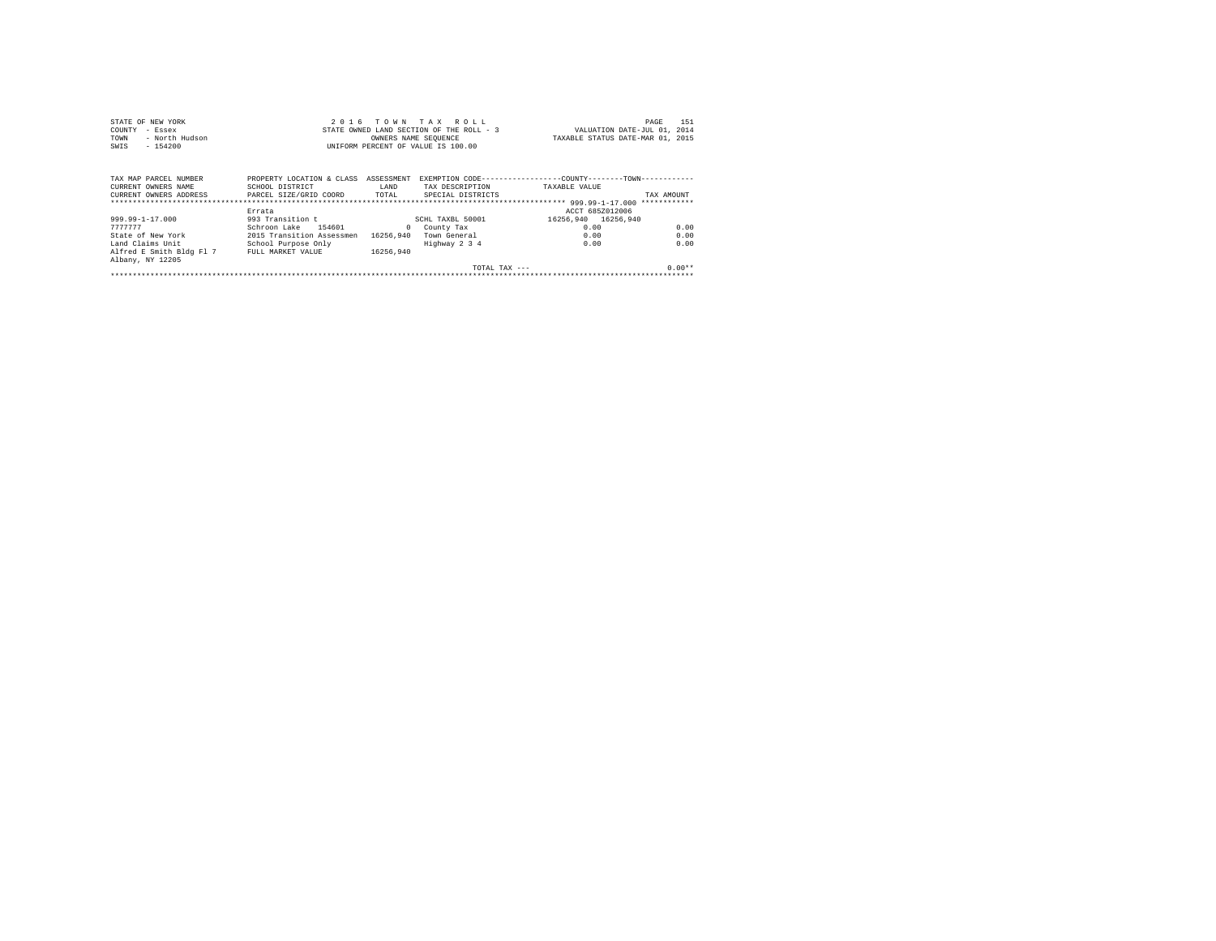|                | STATE OF NEW YORK | 2016 TOWN TAX ROLL                       |  |                      |  |  | 151<br>PAGE                      |  |
|----------------|-------------------|------------------------------------------|--|----------------------|--|--|----------------------------------|--|
| COUNTY - Essex |                   | STATE OWNED LAND SECTION OF THE ROLL - 3 |  |                      |  |  | VALUATION DATE-JUL 01, 2014      |  |
| TOWN           | - North Hudson    |                                          |  | OWNERS NAME SEOUENCE |  |  | TAXABLE STATUS DATE-MAR 01, 2015 |  |
| SWIS           | - 154200          | UNIFORM PERCENT OF VALUE IS 100.00       |  |                      |  |  |                                  |  |
|                |                   |                                          |  |                      |  |  |                                  |  |

| TAX MAP PARCEL NUMBER<br>CURRENT OWNERS NAME | PROPERTY LOCATION & CLASS<br>SCHOOL DISTRICT | ASSESSMENT<br>LAND | TAX DESCRIPTION    | EXEMPTION CODE-----------------COUNTY--------TOWN------------<br>TAXABLE VALUE |            |
|----------------------------------------------|----------------------------------------------|--------------------|--------------------|--------------------------------------------------------------------------------|------------|
| CURRENT OWNERS ADDRESS                       | PARCEL SIZE/GRID COORD                       | TOTAL              | SPECIAL DISTRICTS  |                                                                                | TAX AMOUNT |
|                                              | Errata                                       |                    |                    | ACCT 685Z012006                                                                |            |
| 999.99-1-17.000                              | 993 Transition t                             |                    | SCHL TAXBL 50001   | 16256.940 16256.940                                                            |            |
| 777777                                       | Schroon Lake<br>154601                       |                    | County Tax         | 0.00                                                                           | 0.00       |
| State of New York                            | 2015 Transition Assessmen                    | 16256.940          | Town General       | 0.00                                                                           | 0.00       |
| Land Claims Unit                             | School Purpose Only                          |                    | Highway 2 3 4      | 0.00                                                                           | 0.00       |
| Alfred E Smith Bldg Fl 7                     | FULL MARKET VALUE                            | 16256.940          |                    |                                                                                |            |
| Albany, NY 12205                             |                                              |                    |                    |                                                                                |            |
|                                              |                                              |                    | $TOTAI. TAX - - -$ |                                                                                | $0.00**$   |
|                                              |                                              |                    |                    |                                                                                |            |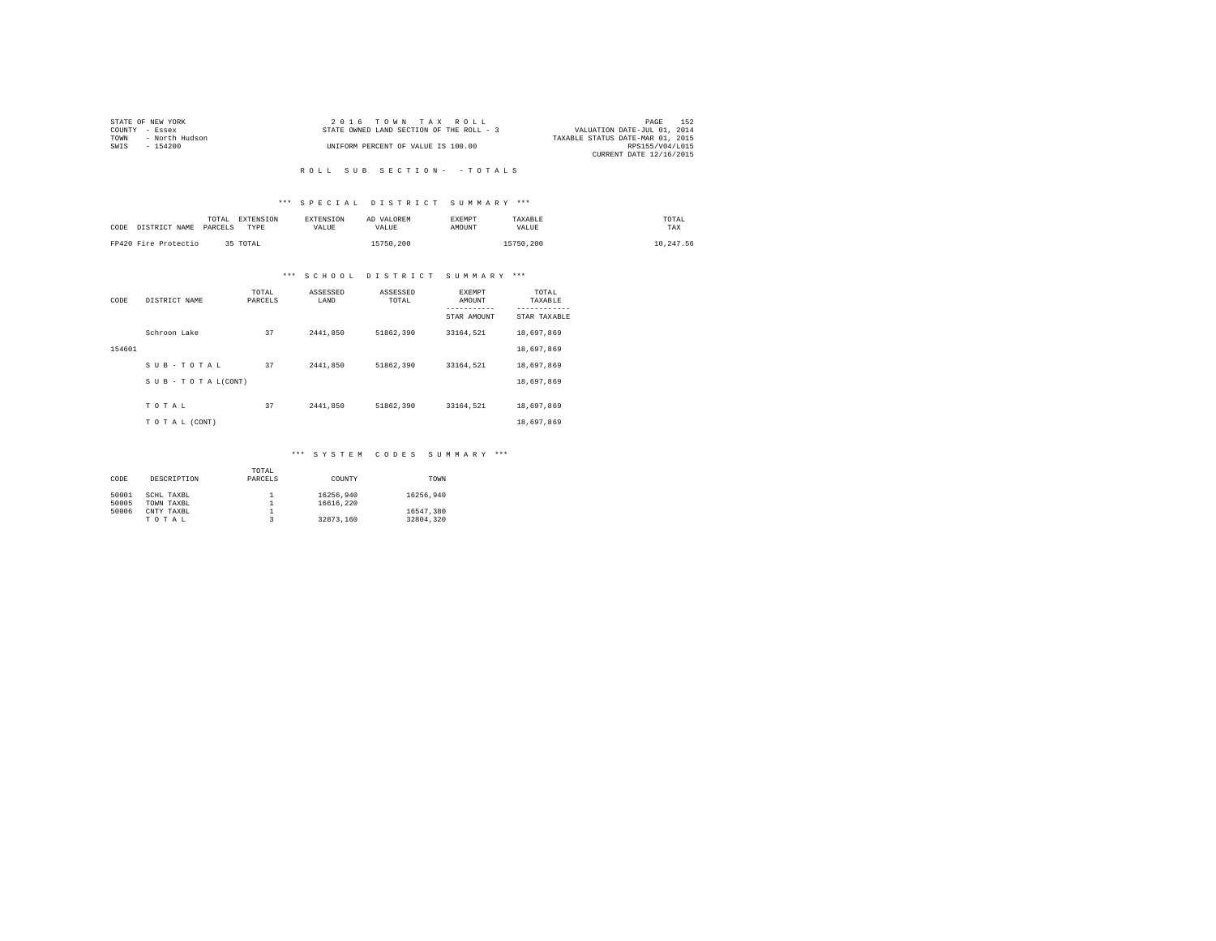|                | STATE OF NEW YORK | 2016 TOWN TAX ROLL                                                      | PAGE            | 152 |
|----------------|-------------------|-------------------------------------------------------------------------|-----------------|-----|
| COUNTY - Essex |                   | VALUATION DATE-JUL 01, 2014<br>STATE OWNED LAND SECTION OF THE ROLL - 3 |                 |     |
| TOWN           | - North Hudson    | TAXABLE STATUS DATE-MAR 01, 2015                                        |                 |     |
| SWIS           | - 154200          | UNIFORM PERCENT OF VALUE IS 100.00                                      | RPS155/V04/L015 |     |
|                |                   | CURRENT DATE 12/16/2015                                                 |                 |     |

# R O L L S U B S E C T I O N - - T O T A L S

### \*\*\* S P E C I A L D I S T R I C T S U M M A R Y \*\*\*

| CODE DISTRICT NAME   | TOTAL<br>PARCELS | <b>EXTENSION</b><br>TYPE | <b>EXTENSION</b><br><b>VALUE</b> | AD VALOREM<br>VALUE. | <b>EXEMPT</b><br>AMOUNT | TAXABLE<br><b>VALUE</b> | TOTAL<br>TAX |
|----------------------|------------------|--------------------------|----------------------------------|----------------------|-------------------------|-------------------------|--------------|
| FP420 Fire Protectio |                  | 35 TOTAL                 |                                  | 15750.200            |                         | 15750.200               | 10.247.56    |

# \*\*\* S C H O O L D I S T R I C T S U M M A R Y \*\*\*

| CODE   | DISTRICT NAME   | TOTAL<br>PARCELS | ASSESSED<br>LAND | ASSESSED<br>TOTAL | <b>EXEMPT</b><br>AMOUNT | TOTAL<br>TAXABLE          |
|--------|-----------------|------------------|------------------|-------------------|-------------------------|---------------------------|
|        |                 |                  |                  |                   | STAR AMOUNT             | ---------<br>STAR TAXABLE |
|        | Schroon Lake    | 37               | 2441.850         | 51862.390         | 33164.521               | 18,697,869                |
| 154601 |                 |                  |                  |                   |                         | 18,697,869                |
|        | SUB-TOTAL       | 37               | 2441.850         | 51862.390         | 33164.521               | 18,697,869                |
|        | SUB-TOTAL(CONT) |                  |                  |                   |                         | 18,697,869                |
|        | TOTAL           | 37               | 2441.850         | 51862.390         | 33164.521               | 18,697,869                |
|        | TO TAL (CONT)   |                  |                  |                   |                         | 18,697,869                |

### \*\*\* S Y S T E M C O D E S S U M M A R Y \*\*\*

|       |             | TOTAL   |           |           |
|-------|-------------|---------|-----------|-----------|
| CODE  | DESCRIPTION | PARCELS | COUNTY    | TOWN      |
|       |             |         |           |           |
| 50001 | SCHL TAXBL  |         | 16256.940 | 16256.940 |
| 50005 | TOWN TAXBL  |         | 16616,220 |           |
| 50006 | CNTY TAXBL  |         |           | 16547.380 |
|       | TOTAL       |         | 32873.160 | 32804.320 |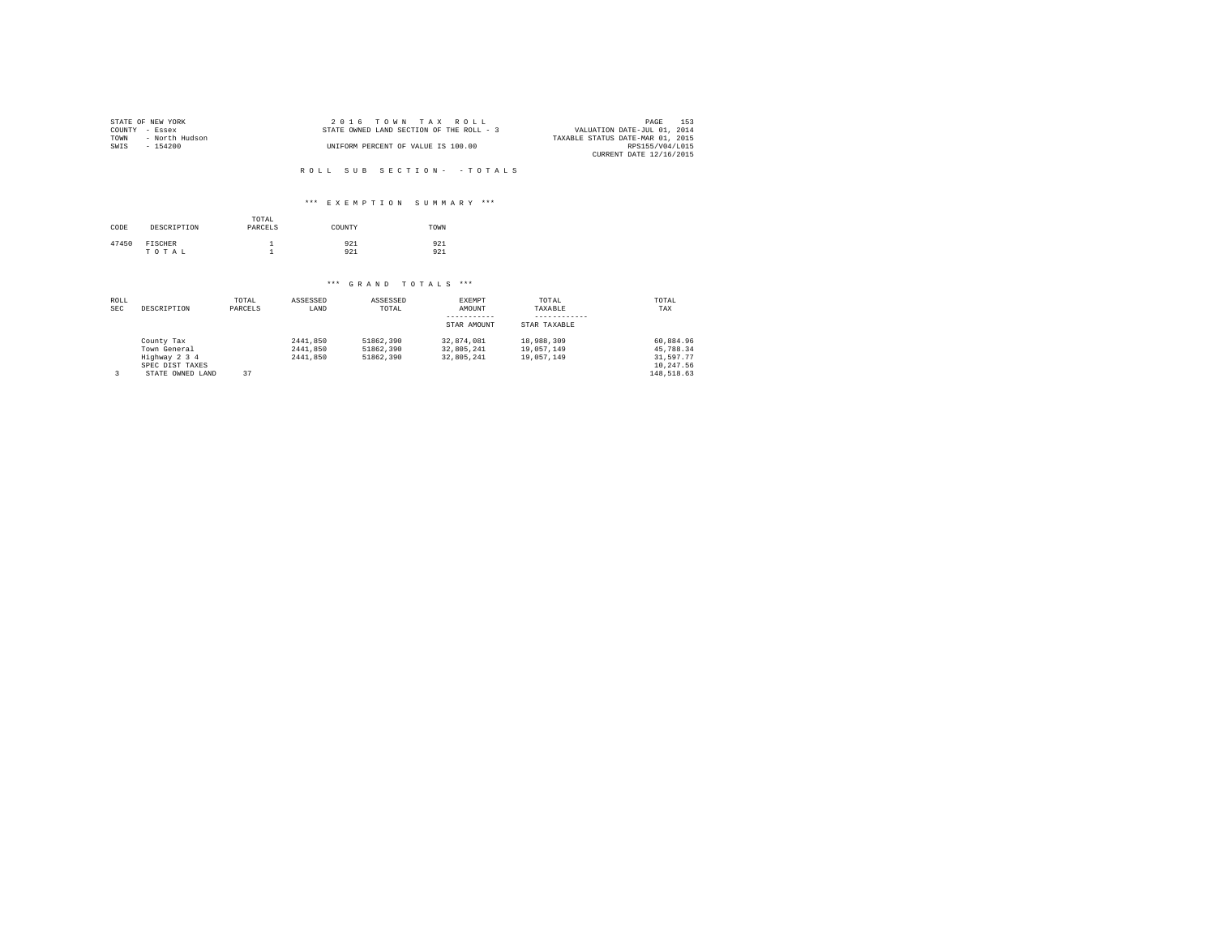| STATE OF NEW YORK      | 2016 TOWN TAX ROLL                       | 153<br>PAGE                      |
|------------------------|------------------------------------------|----------------------------------|
| COUNTY - Essex         | STATE OWNED LAND SECTION OF THE ROLL - 3 | VALUATION DATE-JUL 01, 2014      |
| - North Hudson<br>TOWN |                                          | TAXABLE STATUS DATE-MAR 01, 2015 |
| SWIS<br>$-154200$      | UNIFORM PERCENT OF VALUE IS 100.00       | RPS155/V04/L015                  |
|                        |                                          | CURRENT DATE 12/16/2015          |
|                        |                                          |                                  |

## R O L L S U B S E C T I O N - - T O T A L S

### \*\*\* E X E M P T I O N S U M M A R Y \*\*\*

| CODE  | DESCRIPTION             | TOTAL<br>PARCELS | COUNTY     | TOWN       |
|-------|-------------------------|------------------|------------|------------|
| 47450 | <b>FISCHER</b><br>TOTAL |                  | 921<br>921 | 921<br>921 |

# \*\*\* G R A N D T O T A L S \*\*\*

| ROLL<br><b>SEC</b> | DESCRIPTION      | TOTAL<br>PARCELS | ASSESSED<br>LAND | ASSESSED<br>TOTAL | <b>EXEMPT</b><br>AMOUNT | TOTAL<br>TAXABLE | TOTAL<br>TAX |
|--------------------|------------------|------------------|------------------|-------------------|-------------------------|------------------|--------------|
|                    |                  |                  |                  |                   | -----------             |                  |              |
|                    |                  |                  |                  |                   | STAR AMOUNT             | STAR TAXABLE     |              |
|                    | County Tax       |                  | 2441.850         | 51862.390         | 32.874.081              | 18,988,309       | 60.884.96    |
|                    | Town General     |                  | 2441.850         | 51862.390         | 32.805.241              | 19,057,149       | 45,788.34    |
|                    | Highway 2 3 4    |                  | 2441,850         | 51862.390         | 32.805.241              | 19,057,149       | 31,597.77    |
|                    | SPEC DIST TAXES  |                  |                  |                   |                         |                  | 10.247.56    |
|                    | STATE OWNED LAND | 37               |                  |                   |                         |                  | 148.518.63   |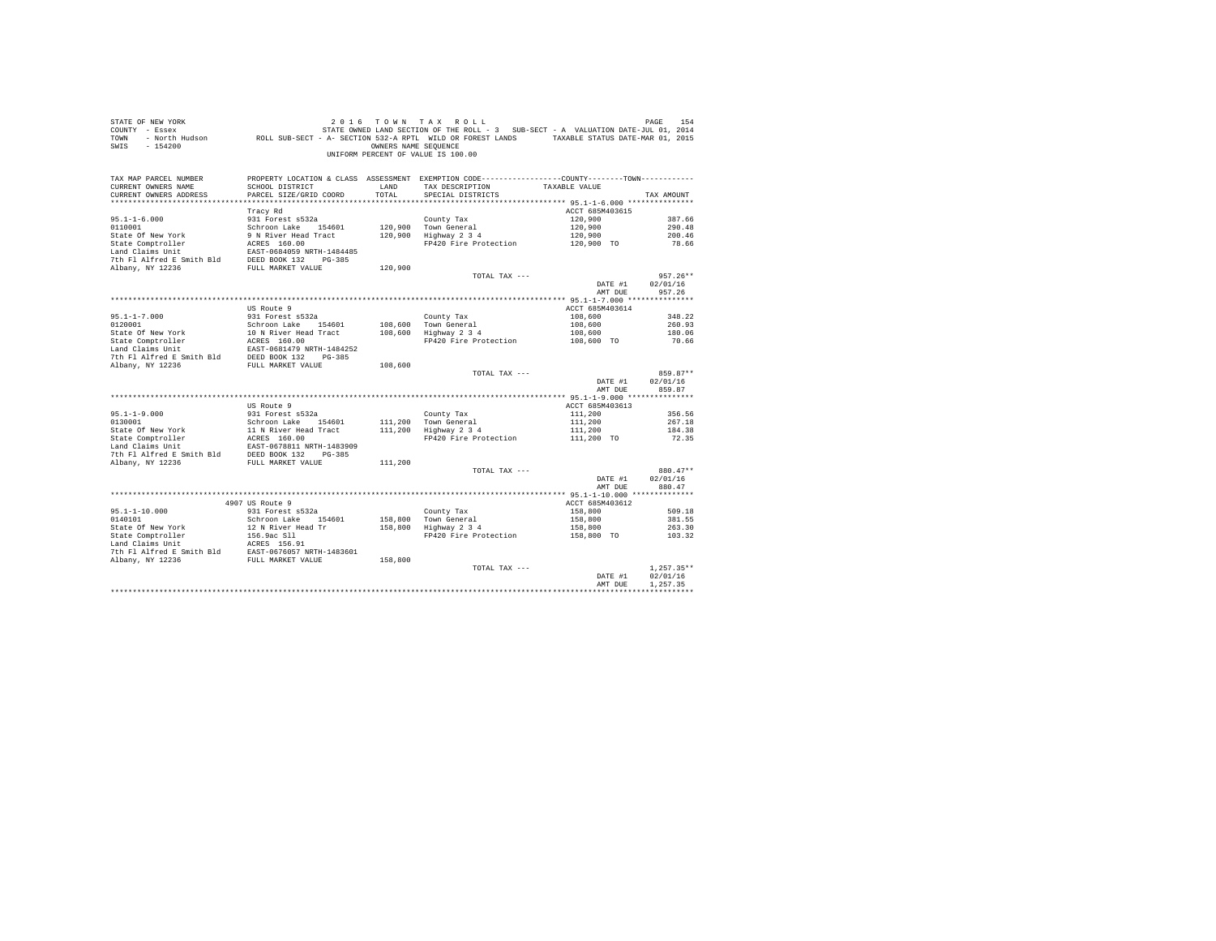| STATE OF NEW YORK<br>COUNTY - Essex<br>TOWN<br>$-154200$<br>SWIS                                                                                                                                                                                               |                                           | OWNERS NAME SEOUENCE | 2016 TOWN TAX ROLL<br>OF NEW YORK TO MY TAX ROLL (2016 TO WINT AX ROLL)<br>France State of State Of State State State ILM - 3 SUB-SECT - A VALUATION DATE-JUL 01, 2014<br>France State State State State State State State State State State State State<br>UNIFORM PERCENT OF VALUE IS 100.00 |                    | PAGE<br>154        |
|----------------------------------------------------------------------------------------------------------------------------------------------------------------------------------------------------------------------------------------------------------------|-------------------------------------------|----------------------|------------------------------------------------------------------------------------------------------------------------------------------------------------------------------------------------------------------------------------------------------------------------------------------------|--------------------|--------------------|
| TAX MAP PARCEL NUMBER<br>CURRENT OWNERS NAME<br>CURRENT OWNERS ADDRESS                                                                                                                                                                                         | SCHOOL DISTRICT<br>PARCEL SIZE/GRID COORD | LAND<br>TOTAL        | PROPERTY LOCATION & CLASS ASSESSMENT EXEMPTION CODE---------------COUNTY-------TOWN---------<br>TAX DESCRIPTION TAXABLE VALUE<br>SPECIAL DISTRICTS                                                                                                                                             |                    | TAX AMOUNT         |
|                                                                                                                                                                                                                                                                |                                           |                      |                                                                                                                                                                                                                                                                                                |                    |                    |
|                                                                                                                                                                                                                                                                | Tracy Rd                                  |                      |                                                                                                                                                                                                                                                                                                | ACCT 685M403615    |                    |
| $95.1 - 1 - 6.000$                                                                                                                                                                                                                                             | 931 Forest s532a                          |                      | County Tax                                                                                                                                                                                                                                                                                     | 120,900            | 387.66             |
|                                                                                                                                                                                                                                                                |                                           |                      | 120,900 Town General                                                                                                                                                                                                                                                                           | 120,900            | 290.48             |
|                                                                                                                                                                                                                                                                |                                           |                      | 120,900 Town General<br>120,900 Highway 2 3 4                                                                                                                                                                                                                                                  | 120,900            | 200.46             |
|                                                                                                                                                                                                                                                                |                                           |                      | FP420 Fire Protection 120,900 TO                                                                                                                                                                                                                                                               |                    | 78.66              |
|                                                                                                                                                                                                                                                                |                                           |                      |                                                                                                                                                                                                                                                                                                |                    |                    |
|                                                                                                                                                                                                                                                                |                                           |                      |                                                                                                                                                                                                                                                                                                |                    |                    |
| 95.1-1-0.000<br>SCHI SCHI SCHILL ACTES 160.00<br>STAte Of New York 9 N River Head Tract<br>State Comptroller ACRES 160.00<br>Land Claims Unit<br>The FI Alfred E Smith Bld<br>The FI Alfred E Smith Bld<br>The TI ALFRED BOX 132<br>TULL MARK                  |                                           | 120,900              | TOTAL TAX ---                                                                                                                                                                                                                                                                                  |                    | $957.26**$         |
|                                                                                                                                                                                                                                                                |                                           |                      |                                                                                                                                                                                                                                                                                                | DATE #1            | 02/01/16           |
|                                                                                                                                                                                                                                                                |                                           |                      |                                                                                                                                                                                                                                                                                                | AMT DUE            | 957.26             |
|                                                                                                                                                                                                                                                                |                                           |                      |                                                                                                                                                                                                                                                                                                |                    |                    |
|                                                                                                                                                                                                                                                                | US Route 9                                |                      |                                                                                                                                                                                                                                                                                                | ACCT 685M403614    |                    |
| $95.1 - 1 - 7.000$                                                                                                                                                                                                                                             | 931 Forest s532a                          |                      | County Tax                                                                                                                                                                                                                                                                                     | 108,600            | 348.22             |
|                                                                                                                                                                                                                                                                |                                           |                      | 108,600 Town General<br>108,600 Highway 2 3 4                                                                                                                                                                                                                                                  | 108,600            | 260.93             |
|                                                                                                                                                                                                                                                                |                                           |                      | rown deneral<br>Highway 234<br>FP420 Fire Protection 108,600 TO                                                                                                                                                                                                                                |                    | 180.06             |
|                                                                                                                                                                                                                                                                |                                           |                      |                                                                                                                                                                                                                                                                                                |                    | 70.66              |
|                                                                                                                                                                                                                                                                |                                           |                      |                                                                                                                                                                                                                                                                                                |                    |                    |
| % 1991 FORM Market Schrom Lake 154601<br>State Of New York 10 N River Head Tract<br>State Comptroller 10 N River Head Tract<br>Land Claims Unit<br>Land Claims Unit EAST-0681479 NRTH-1484252<br>7th F1 Alfred E Smith Bld<br>DEED BOOK 13                     |                                           |                      |                                                                                                                                                                                                                                                                                                |                    |                    |
|                                                                                                                                                                                                                                                                |                                           | 108,600              |                                                                                                                                                                                                                                                                                                |                    | 859.87**           |
|                                                                                                                                                                                                                                                                |                                           |                      | TOTAL TAX ---                                                                                                                                                                                                                                                                                  | DATE #1<br>AMT DUE | 02/01/16<br>859.87 |
|                                                                                                                                                                                                                                                                |                                           |                      |                                                                                                                                                                                                                                                                                                |                    |                    |
|                                                                                                                                                                                                                                                                | US Route 9                                |                      |                                                                                                                                                                                                                                                                                                | ACCT 685M403613    |                    |
| $95.1 - 1 - 9.000$                                                                                                                                                                                                                                             | 931 Forest s532a                          |                      | County Tax                                                                                                                                                                                                                                                                                     | 111,200            | 356.56             |
|                                                                                                                                                                                                                                                                |                                           |                      |                                                                                                                                                                                                                                                                                                | 111,200            | 267.18             |
|                                                                                                                                                                                                                                                                |                                           |                      |                                                                                                                                                                                                                                                                                                | 111,200            | 184.38             |
|                                                                                                                                                                                                                                                                |                                           |                      | FP420 Fire Protection 111.200 TO                                                                                                                                                                                                                                                               |                    | 72.35              |
|                                                                                                                                                                                                                                                                |                                           |                      |                                                                                                                                                                                                                                                                                                |                    |                    |
| % 130001<br>0130001<br>0130001 >>>>>>>>>>>>>>>+ cuest 54601<br>0130001<br>21 N River Head Tract<br>211,200 Town General<br>21 N River Head Tract<br>211,200 Highway 2 3<br>24 State Comptroller<br>21 ACRES 160.00<br>2216 PTI Alfred E Smith Bld<br>2256 PULL |                                           |                      |                                                                                                                                                                                                                                                                                                |                    |                    |
|                                                                                                                                                                                                                                                                |                                           |                      | TOTAL TAX ---                                                                                                                                                                                                                                                                                  |                    | 880.47**           |
|                                                                                                                                                                                                                                                                |                                           |                      |                                                                                                                                                                                                                                                                                                | DATE #1            | 02/01/16           |
|                                                                                                                                                                                                                                                                |                                           |                      |                                                                                                                                                                                                                                                                                                | AMT DUE            | 880.47             |
|                                                                                                                                                                                                                                                                |                                           |                      |                                                                                                                                                                                                                                                                                                |                    |                    |
|                                                                                                                                                                                                                                                                | 4907 US Route 9                           |                      |                                                                                                                                                                                                                                                                                                | ACCT 685M403612    |                    |
| 95.1-1-10.000                                                                                                                                                                                                                                                  | 931 Forest s532a                          |                      | County Tax                                                                                                                                                                                                                                                                                     | 158,800            | 509.18             |
| 0140101                                                                                                                                                                                                                                                        | Schroon Lake 154601                       |                      | County Tax<br>158,800   Town General<br>158,800   Highway 2 3 4                                                                                                                                                                                                                                | 158,800            | 381.55             |
|                                                                                                                                                                                                                                                                |                                           |                      | Highway 2 3 4 158,800<br>FP420 Fire Protection 158,800 TO                                                                                                                                                                                                                                      |                    | 263.30             |
|                                                                                                                                                                                                                                                                |                                           |                      |                                                                                                                                                                                                                                                                                                |                    | 103.32             |
|                                                                                                                                                                                                                                                                |                                           |                      |                                                                                                                                                                                                                                                                                                |                    |                    |
|                                                                                                                                                                                                                                                                |                                           |                      |                                                                                                                                                                                                                                                                                                |                    |                    |
|                                                                                                                                                                                                                                                                |                                           |                      | TOTAL TAX ---                                                                                                                                                                                                                                                                                  |                    | $1.257.35**$       |
|                                                                                                                                                                                                                                                                |                                           |                      |                                                                                                                                                                                                                                                                                                | DATE #1            | 02/01/16           |
|                                                                                                                                                                                                                                                                |                                           |                      |                                                                                                                                                                                                                                                                                                | AMT DUE            | 1.257.35           |
|                                                                                                                                                                                                                                                                |                                           |                      |                                                                                                                                                                                                                                                                                                |                    |                    |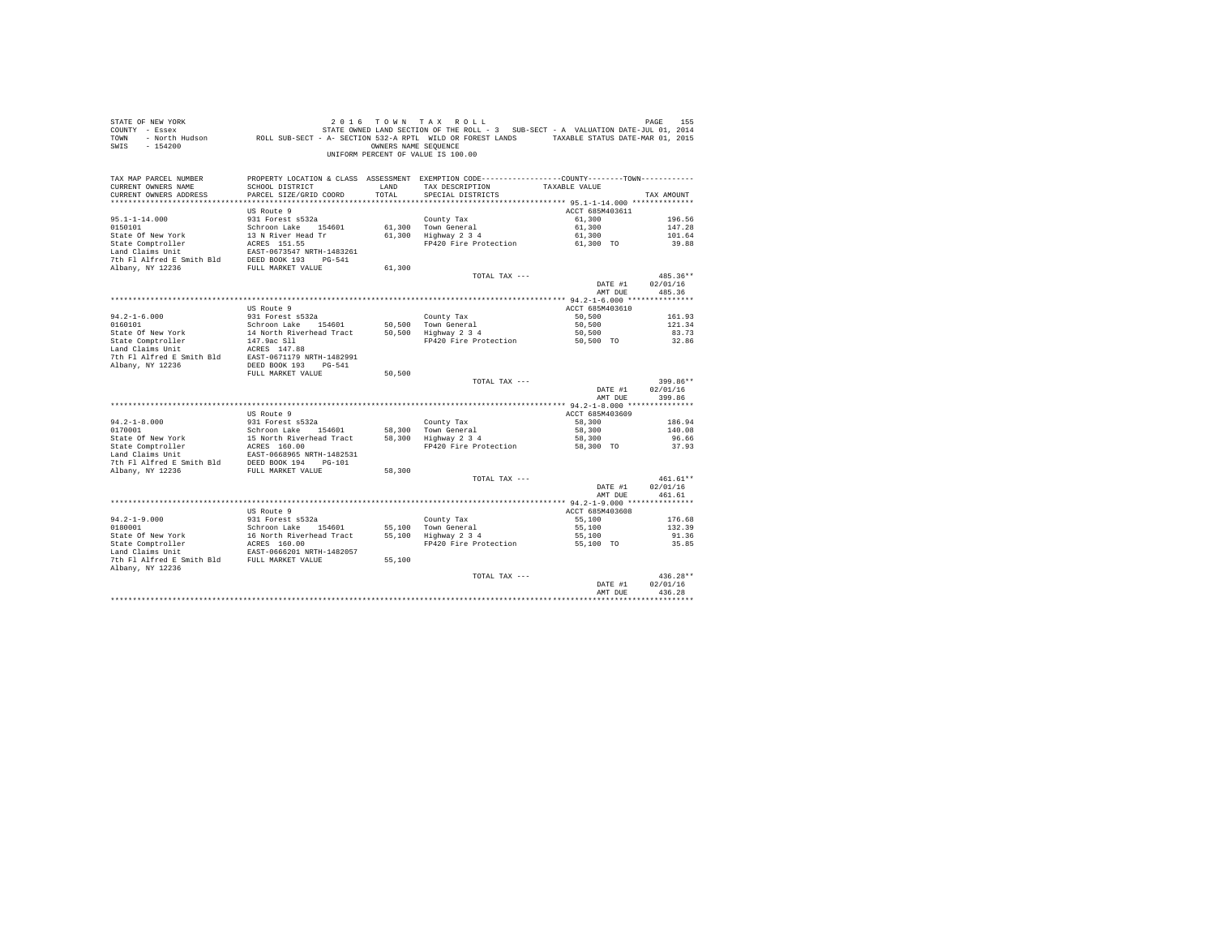| STATE OF NEW YORK<br>COUNTY - Essex<br>TOWN<br>SWIS<br>$-154200$ |                                           | OWNERS NAME SEQUENCE | 2016 TOWN TAX ROLL<br>STATE OWNED LAND SECTION OF THE ROLL - 3 SUB-SECT - A VALUATION DATE-JUL 01, 2014<br>- North Hudson ROLL SUB-SECT - A- SECTION 532-A RPTL WILD OR FOREST LANDS TAXABLE STATUS DATE-MAR 01, 2015<br>UNIFORM PERCENT OF VALUE IS 100.00 |                 | PAGE<br>155          |
|------------------------------------------------------------------|-------------------------------------------|----------------------|-------------------------------------------------------------------------------------------------------------------------------------------------------------------------------------------------------------------------------------------------------------|-----------------|----------------------|
| TAX MAP PARCEL NUMBER                                            |                                           |                      | PROPERTY LOCATION & CLASS ASSESSMENT EXEMPTION CODE---------------COUNTY-------TOWN----------                                                                                                                                                               |                 |                      |
| CURRENT OWNERS NAME<br>CURRENT OWNERS ADDRESS                    | SCHOOL DISTRICT<br>PARCEL SIZE/GRID COORD | LAND<br>TOTAL        | TAX DESCRIPTION<br>SPECIAL DISTRICTS                                                                                                                                                                                                                        | TAXABLE VALUE   | TAX AMOUNT           |
|                                                                  |                                           |                      |                                                                                                                                                                                                                                                             |                 |                      |
|                                                                  | US Route 9                                |                      |                                                                                                                                                                                                                                                             | ACCT 685M403611 |                      |
| $95.1 - 1 - 14.000$                                              | 931 Forest s532a                          |                      | County Tax                                                                                                                                                                                                                                                  | 61,300          | 196.56               |
| 0150101                                                          | Schroon Lake 154601                       |                      | 61,300 Town General                                                                                                                                                                                                                                         | 61,300          | 147.28               |
| State Of New York                                                | 13 N River Head Tr                        |                      | 61,300 Highway 2 3 4                                                                                                                                                                                                                                        | 61,300          | 101.64               |
| State Comptroller                                                | ACRES 151.55                              |                      | FP420 Fire Protection                                                                                                                                                                                                                                       | 61,300 TO       | 39.88                |
| Land Claims Unit                                                 | EAST-0673547 NRTH-1483261                 |                      |                                                                                                                                                                                                                                                             |                 |                      |
| 7th Fl Alfred E Smith Bld<br>Albany, NY 12236                    | DEED BOOK 193 PG-541<br>FULL MARKET VALUE | 61,300               |                                                                                                                                                                                                                                                             |                 |                      |
|                                                                  |                                           |                      | TOTAL TAX ---                                                                                                                                                                                                                                               |                 | 485.36**             |
|                                                                  |                                           |                      |                                                                                                                                                                                                                                                             | DATE #1         | 02/01/16             |
|                                                                  |                                           |                      |                                                                                                                                                                                                                                                             | AMT DUE         | 485.36               |
|                                                                  |                                           |                      |                                                                                                                                                                                                                                                             |                 |                      |
|                                                                  | US Route 9                                |                      |                                                                                                                                                                                                                                                             | ACCT 685M403610 |                      |
| $94.2 - 1 - 6.000$                                               | 931 Forest s532a                          |                      | County Tax                                                                                                                                                                                                                                                  | 50,500          | 161.93               |
| 0160101                                                          | Schroon Lake 154601                       | 50,500               | Town General                                                                                                                                                                                                                                                | 50,500          | 121.34               |
| State Of New York                                                | 14 North Riverhead Tract                  | 50,500               | Highway 2 3 4                                                                                                                                                                                                                                               | 50,500          | 83.73                |
| State Comptroller<br>Land Claims Unit                            | 147.9ac Sll<br>ACRES 147.88               |                      | FP420 Fire Protection                                                                                                                                                                                                                                       | 50.500 TO       | 32.86                |
| 7th Fl Alfred E Smith Bld                                        | EAST-0671179 NRTH-1482991                 |                      |                                                                                                                                                                                                                                                             |                 |                      |
| Albany, NY 12236                                                 | DEED BOOK 193 PG-541                      |                      |                                                                                                                                                                                                                                                             |                 |                      |
|                                                                  | FULL MARKET VALUE                         | 50,500               |                                                                                                                                                                                                                                                             |                 |                      |
|                                                                  |                                           |                      | TOTAL TAX ---                                                                                                                                                                                                                                               |                 | 399.86**             |
|                                                                  |                                           |                      |                                                                                                                                                                                                                                                             | DATE #1         | 02/01/16             |
|                                                                  |                                           |                      |                                                                                                                                                                                                                                                             | AMT DUE         | 399.86               |
|                                                                  | US Route 9                                |                      |                                                                                                                                                                                                                                                             | ACCT 685M403609 |                      |
| $94.2 - 1 - 8.000$                                               | 931 Forest s532a                          |                      | County Tax                                                                                                                                                                                                                                                  | 58,300          | 186.94               |
| 0170001                                                          | Schroon Lake 154601                       | 58,300               | Town General                                                                                                                                                                                                                                                | 58,300          | 140.08               |
| State Of New York                                                | 15 North Riverhead Tract                  | 58,300               | Highway 2 3 4                                                                                                                                                                                                                                               | 58,300          | 96.66                |
| State Comptroller                                                | ACRES 160.00                              |                      | FP420 Fire Protection                                                                                                                                                                                                                                       | 58,300 TO       | 37.93                |
| Land Claims Unit                                                 | EAST-0668965 NRTH-1482531                 |                      |                                                                                                                                                                                                                                                             |                 |                      |
| 7th Fl Alfred E Smith Bld                                        | DEED BOOK 194 PG-101                      |                      |                                                                                                                                                                                                                                                             |                 |                      |
| Albany, NY 12236                                                 | FULL MARKET VALUE                         | 58,300               |                                                                                                                                                                                                                                                             |                 |                      |
|                                                                  |                                           |                      | TOTAL TAX ---                                                                                                                                                                                                                                               | DATE #1         | 461.61**<br>02/01/16 |
|                                                                  |                                           |                      |                                                                                                                                                                                                                                                             | AMT DUE         | 461.61               |
|                                                                  |                                           |                      |                                                                                                                                                                                                                                                             |                 |                      |
|                                                                  | US Route 9                                |                      |                                                                                                                                                                                                                                                             | ACCT 685M403608 |                      |
| $94.2 - 1 - 9.000$                                               | 931 Forest s532a                          |                      | County Tax                                                                                                                                                                                                                                                  | 55,100          | 176.68               |
| 0180001                                                          | Schroon Lake 154601                       | 55,100               | Town General                                                                                                                                                                                                                                                | 55,100          | 132.39               |
| State Of New York                                                | 16 North Riverhead Tract                  |                      | 55,100 Highway 2 3 4                                                                                                                                                                                                                                        | 55,100          | 91.36                |
| State Comptroller                                                | ACRES 160.00                              |                      | FP420 Fire Protection                                                                                                                                                                                                                                       | 55,100 TO       | 35.85                |
| Land Claims Unit<br>7th Fl Alfred E Smith Bld FULL MARKET VALUE  | EAST-0666201 NRTH-1482057                 | 55,100               |                                                                                                                                                                                                                                                             |                 |                      |
| Albany, NY 12236                                                 |                                           |                      |                                                                                                                                                                                                                                                             |                 |                      |
|                                                                  |                                           |                      | TOTAL TAX ---                                                                                                                                                                                                                                               |                 | 436.28**             |
|                                                                  |                                           |                      |                                                                                                                                                                                                                                                             | DATE #1         | 02/01/16             |
|                                                                  |                                           |                      |                                                                                                                                                                                                                                                             | AMT DUE         | 436.28               |
|                                                                  |                                           |                      |                                                                                                                                                                                                                                                             |                 | **********           |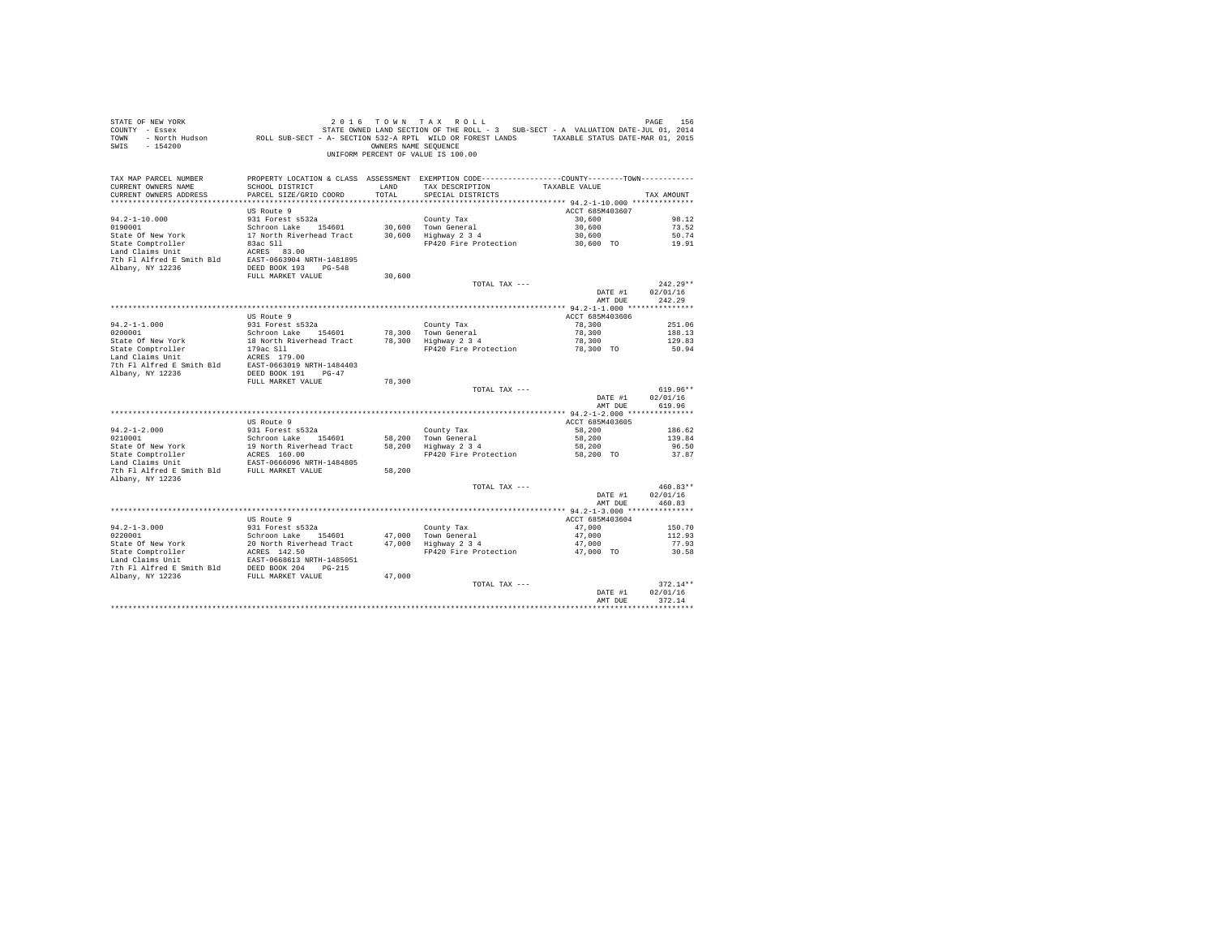| STATE OF NEW YORK<br>SWIS - 154200                                                                                                                                                                                                                                                                                                                                                                                            |                                                                                          | OWNERS NAME SEQUENCE | 2016 TOWN TAX ROLL<br>UNIFORM PERCENT OF VALUE IS 100.00                                                                              |                           | PAGE<br>156      |
|-------------------------------------------------------------------------------------------------------------------------------------------------------------------------------------------------------------------------------------------------------------------------------------------------------------------------------------------------------------------------------------------------------------------------------|------------------------------------------------------------------------------------------|----------------------|---------------------------------------------------------------------------------------------------------------------------------------|---------------------------|------------------|
| TAX MAP PARCEL NUMBER<br>CURRENT OWNERS NAME<br>CURRENT OWNERS ADDRESS                                                                                                                                                                                                                                                                                                                                                        | SCHOOL DISTRICT<br>PARCEL SIZE/GRID COORD                                                | LAND<br>TOTAL        | PROPERTY LOCATION & CLASS ASSESSMENT EXEMPTION CODE---------------COUNTY-------TOWN----------<br>TAX DESCRIPTION<br>SPECIAL DISTRICTS | TAXABLE VALUE             | TAX AMOUNT       |
|                                                                                                                                                                                                                                                                                                                                                                                                                               |                                                                                          |                      |                                                                                                                                       |                           |                  |
| $94.2 - 1 - 10.000$                                                                                                                                                                                                                                                                                                                                                                                                           | US Route 9<br>931 Forest s532a                                                           |                      |                                                                                                                                       | ACCT 685M403607<br>30,600 | 98.12            |
| 0190001                                                                                                                                                                                                                                                                                                                                                                                                                       |                                                                                          |                      | County Tax                                                                                                                            | 30,600                    | 73.52            |
| State Of New York                                                                                                                                                                                                                                                                                                                                                                                                             | Schroon Lake 154601 30,600 Town General<br>17 North Riverhead Tract 30,600 Highway 2 3 4 |                      |                                                                                                                                       | 30,600                    | 50.74            |
| State Comptroller                                                                                                                                                                                                                                                                                                                                                                                                             | 83ac S11                                                                                 |                      | FP420 Fire Protection                                                                                                                 | 30,600 TO                 | 19.91            |
| Land Claims Unit                                                                                                                                                                                                                                                                                                                                                                                                              | ACRES 83.00                                                                              |                      |                                                                                                                                       |                           |                  |
| 7th Fl Alfred E Smith Bld EAST-0663904 NRTH-1481895                                                                                                                                                                                                                                                                                                                                                                           |                                                                                          |                      |                                                                                                                                       |                           |                  |
| Albany, NY 12236                                                                                                                                                                                                                                                                                                                                                                                                              | DEED BOOK 193 PG-548<br>FULL MARKET VALUE                                                | 30,600               |                                                                                                                                       |                           |                  |
|                                                                                                                                                                                                                                                                                                                                                                                                                               |                                                                                          |                      | TOTAL TAX ---                                                                                                                         |                           | $242.29**$       |
|                                                                                                                                                                                                                                                                                                                                                                                                                               |                                                                                          |                      |                                                                                                                                       | DATE #1                   | 02/01/16         |
|                                                                                                                                                                                                                                                                                                                                                                                                                               |                                                                                          |                      |                                                                                                                                       | AMT DUE                   | 242.29           |
|                                                                                                                                                                                                                                                                                                                                                                                                                               |                                                                                          |                      |                                                                                                                                       |                           |                  |
|                                                                                                                                                                                                                                                                                                                                                                                                                               | US Route 9                                                                               |                      |                                                                                                                                       | ACCT 685M403606           |                  |
| $94.2 - 1 - 1.000$<br>0200001                                                                                                                                                                                                                                                                                                                                                                                                 | 931 Forest s532a<br>Schroon Lake 154601                                                  |                      | County Tax<br>78.300 Town General                                                                                                     | 78,300<br>78,300          | 251.06<br>188.13 |
| State Of New York                                                                                                                                                                                                                                                                                                                                                                                                             | 18 North Riverhead Tract 78,300 Highway 2 3 4                                            |                      |                                                                                                                                       | 78,300                    | 129.83           |
| State Comptroller<br>Land Claims Unit                                                                                                                                                                                                                                                                                                                                                                                         | 179ac Sll                                                                                |                      | FP420 Fire Protection                                                                                                                 | 78,300 TO                 | 50.94            |
|                                                                                                                                                                                                                                                                                                                                                                                                                               |                                                                                          |                      |                                                                                                                                       |                           |                  |
|                                                                                                                                                                                                                                                                                                                                                                                                                               |                                                                                          |                      |                                                                                                                                       |                           |                  |
|                                                                                                                                                                                                                                                                                                                                                                                                                               | FULL MARKET VALUE                                                                        | 78,300               |                                                                                                                                       |                           |                  |
|                                                                                                                                                                                                                                                                                                                                                                                                                               |                                                                                          |                      | TOTAL TAX ---                                                                                                                         |                           | $619.96**$       |
|                                                                                                                                                                                                                                                                                                                                                                                                                               |                                                                                          |                      |                                                                                                                                       | DATE #1                   | 02/01/16         |
|                                                                                                                                                                                                                                                                                                                                                                                                                               |                                                                                          |                      |                                                                                                                                       | AMT DUE                   | 619.96           |
|                                                                                                                                                                                                                                                                                                                                                                                                                               |                                                                                          |                      |                                                                                                                                       |                           |                  |
| $94.2 - 1 - 2.000$                                                                                                                                                                                                                                                                                                                                                                                                            | US Route 9<br>931 Forest s532a                                                           |                      | County Tax                                                                                                                            | ACCT 685M403605<br>58,200 | 186.62           |
| 0210001                                                                                                                                                                                                                                                                                                                                                                                                                       | Schroon Lake 154601                                                                      |                      | 58,200 Town General                                                                                                                   | 58,200                    | 139.84           |
| State Of New York                                                                                                                                                                                                                                                                                                                                                                                                             | 19 North Riverhead Tract                                                                 |                      | 58,200   Town General<br>58,200   Highway 2 3 4                                                                                       | 58,200                    | 96.50            |
| State Om New York<br>State Comptroller Macker 160.00<br>Land Claims Unit EAST-0666096 NRTH-1484805                                                                                                                                                                                                                                                                                                                            |                                                                                          |                      | FP420 Fire Protection 58,200 TO                                                                                                       |                           | 37.87            |
|                                                                                                                                                                                                                                                                                                                                                                                                                               |                                                                                          |                      |                                                                                                                                       |                           |                  |
| 7th Fl Alfred E Smith Bld FULL MARKET VALUE<br>Albany, NY 12236                                                                                                                                                                                                                                                                                                                                                               |                                                                                          | 58,200               |                                                                                                                                       |                           |                  |
|                                                                                                                                                                                                                                                                                                                                                                                                                               |                                                                                          |                      | TOTAL TAX ---                                                                                                                         |                           | $460.83**$       |
|                                                                                                                                                                                                                                                                                                                                                                                                                               |                                                                                          |                      |                                                                                                                                       | DATE #1                   | 02/01/16         |
|                                                                                                                                                                                                                                                                                                                                                                                                                               |                                                                                          |                      |                                                                                                                                       | AMT DUE                   | 460.83           |
|                                                                                                                                                                                                                                                                                                                                                                                                                               |                                                                                          |                      |                                                                                                                                       |                           |                  |
|                                                                                                                                                                                                                                                                                                                                                                                                                               | US Route 9                                                                               |                      |                                                                                                                                       | ACCT 685M403604           |                  |
| $94.2 - 1 - 3.000$<br>0220001                                                                                                                                                                                                                                                                                                                                                                                                 | 931 Forest s532a                                                                         |                      | County Tax<br>47,000 Town General<br>47,000 Highway 2 3 4                                                                             | 47.000<br>47,000          | 150.70<br>112.93 |
|                                                                                                                                                                                                                                                                                                                                                                                                                               |                                                                                          |                      |                                                                                                                                       | 47,000                    | 77.93            |
| $\begin{tabular}{lllllllllllll} & & & & & & & & \\ \multicolumn{3}{l}{\texttt{State Comptroller}} & & & & 20 & \texttt{North Sweden} & \texttt{154601} \\ \texttt{State Comptroller} & & & & 20 & \texttt{North Sweden} & \texttt{Text} \\ \texttt{Land Clains Unit} & & & & & \texttt{EXES} & \texttt{142.50} \\ \texttt{The PL AIFred is} & & & & & \texttt{EAST-0668613} & \texttt{morm} & \texttt{1777} \\ \end{tabular}$ |                                                                                          |                      | FP420 Fire Protection                                                                                                                 | 47,000 TO                 | 30.58            |
|                                                                                                                                                                                                                                                                                                                                                                                                                               |                                                                                          |                      |                                                                                                                                       |                           |                  |
| 7th Fl Alfred E Smith Bld DEED BOOK 204 PG-215                                                                                                                                                                                                                                                                                                                                                                                |                                                                                          |                      |                                                                                                                                       |                           |                  |
| Albany, NY 12236                                                                                                                                                                                                                                                                                                                                                                                                              | FULL MARKET VALUE                                                                        | 47,000               | TOTAL TAX ---                                                                                                                         |                           | $372.14**$       |
|                                                                                                                                                                                                                                                                                                                                                                                                                               |                                                                                          |                      |                                                                                                                                       | DATE #1                   | 02/01/16         |
|                                                                                                                                                                                                                                                                                                                                                                                                                               |                                                                                          |                      |                                                                                                                                       | AMT DUE                   | 372.14           |
|                                                                                                                                                                                                                                                                                                                                                                                                                               |                                                                                          |                      |                                                                                                                                       |                           |                  |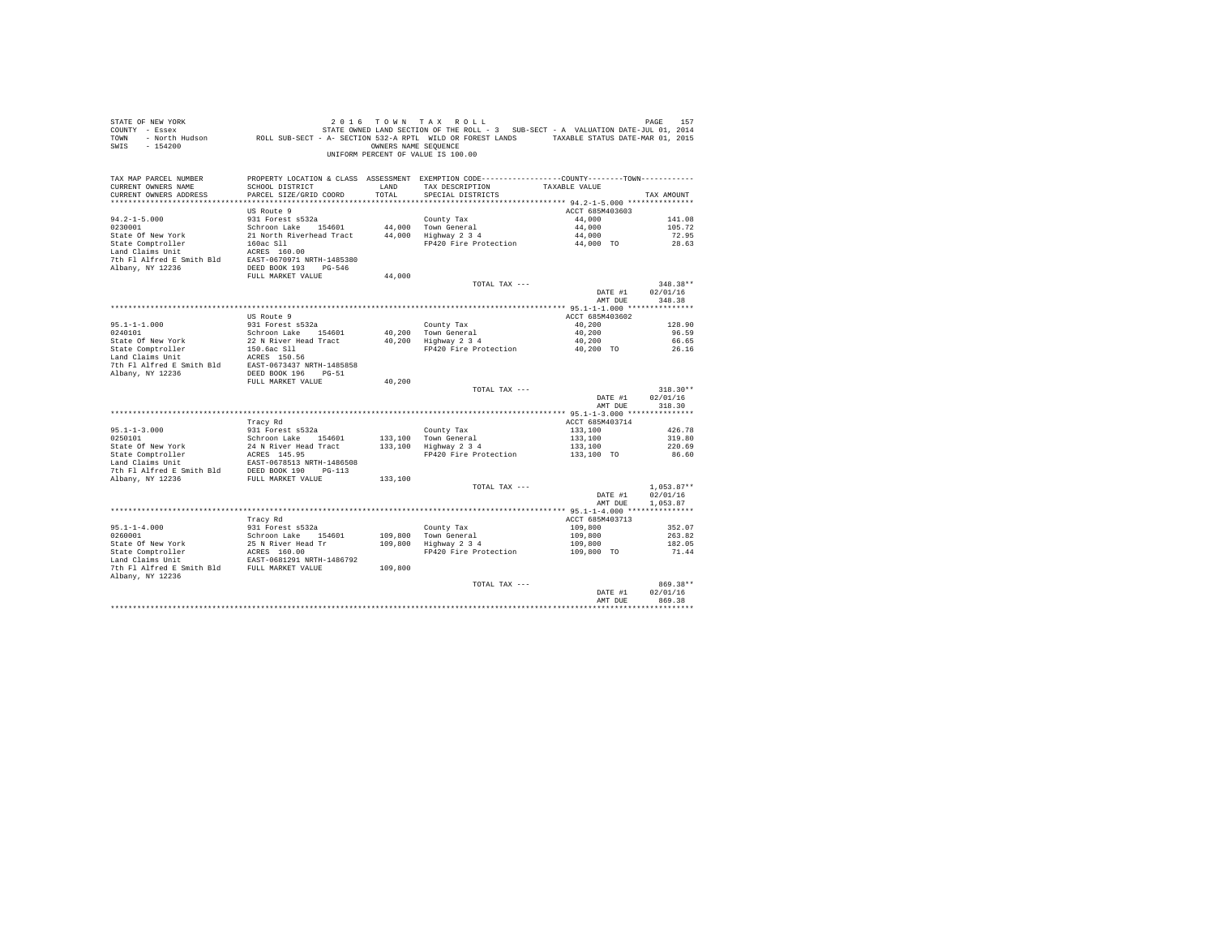| TAX MAP PARCEL NUMBER<br>PROPERTY LOCATION & CLASS ASSESSMENT EXEMPTION CODE---------------COUNTY-------TOWN----------<br>SCHOOL DISTRICT<br>CURRENT OWNERS NAME<br>LAND<br>TAX DESCRIPTION<br>TAXABLE VALUE |
|--------------------------------------------------------------------------------------------------------------------------------------------------------------------------------------------------------------|
| TOTAL<br>CURRENT OWNERS ADDRESS<br>PARCEL SIZE/GRID COORD<br>SPECIAL DISTRICTS<br>TAX AMOUNT                                                                                                                 |
|                                                                                                                                                                                                              |
| US Route 9<br>ACCT 685M403603                                                                                                                                                                                |
| 931 Forest s532a<br>$94.2 - 1 - 5.000$<br>County Tax<br>44,000<br>141.08<br>0230001                                                                                                                          |
| Schroon Lake 154601<br>44,000 Town General<br>44,000 Highway 2 3 4<br>44,000<br>105.72<br>44,000<br>State Of New York<br>21 North Riverhead Tract<br>72.95                                                   |
| State Comptroller<br>44,000 TO<br>160ac S11<br>FP420 Fire Protection<br>28.63                                                                                                                                |
| Land Claims Unit<br>ACRES 160.00                                                                                                                                                                             |
| 7th Fl Alfred E Smith Bld EAST-0670971 NRTH-1485380                                                                                                                                                          |
| Albany, NY 12236<br>DEED BOOK 193 PG-546                                                                                                                                                                     |
| 44,000<br>FULL MARKET VALUE                                                                                                                                                                                  |
| TOTAL TAX ---<br>$348.38**$                                                                                                                                                                                  |
| DATE #1<br>02/01/16                                                                                                                                                                                          |
| AMT DUE<br>348.38                                                                                                                                                                                            |
| US Route 9<br>ACCT 685M403602                                                                                                                                                                                |
| 40,200<br>$95.1 - 1 - 1.000$<br>931 Forest s532a<br>County Tax<br>128.90                                                                                                                                     |
| 40,200 Town General<br>40,200 Highway 2 3 4<br>0240101<br>Schroon Lake 154601<br>40,200<br>96.59                                                                                                             |
| 22 N River Head Tract<br>40,200<br>State Of New York<br>66.65                                                                                                                                                |
| 40,200 TO<br>State Comptroller<br>Land Claims Unit<br>150.6ac Sll<br>FP420 Fire Protection<br>26.16                                                                                                          |
| ACRES 150.56                                                                                                                                                                                                 |
|                                                                                                                                                                                                              |
| 40.200                                                                                                                                                                                                       |
| FULL MARKET VALUE<br>TOTAL TAX ---<br>$318.30**$                                                                                                                                                             |
| DATE #1<br>02/01/16                                                                                                                                                                                          |
| AMT DUE<br>318.30                                                                                                                                                                                            |
|                                                                                                                                                                                                              |
| Tracy Rd<br>ACCT 685M403714                                                                                                                                                                                  |
| $95.1 - 1 - 3.000$<br>931 Forest s532a<br>133,100<br>426.78<br>County Tax                                                                                                                                    |
| 133,100 Town General<br>133,100 Highway 2 3 4<br>133,100<br>0250101<br>Schroon Lake 154601<br>319.80                                                                                                         |
| 24 N River Head Tract<br>133,100<br>220.69<br>133,100 TO<br>FP420 Fire Protection<br>86.60                                                                                                                   |
| State Of New York 24 N River Head<br>State Comptroller 24 N RIVER 35 145.95<br>Land Claims Unit EAST-0678513 NR<br>EAST-0678513 NRTH-1486508                                                                 |
|                                                                                                                                                                                                              |
| 133,100                                                                                                                                                                                                      |
| $1,053.87**$<br>TOTAL TAX ---                                                                                                                                                                                |
| 02/01/16<br>DATE #1                                                                                                                                                                                          |
| 1,053.87<br>AMT DUE                                                                                                                                                                                          |
|                                                                                                                                                                                                              |
| ACCT 685M403713<br>Tracy Rd<br>$95.1 - 1 - 4.000$<br>931 Forest s532a<br>109,800<br>352.07<br>County Tax                                                                                                     |
| 0260001<br>109,800<br>Schroon Lake 154601<br>263.82                                                                                                                                                          |
| Councy rax<br>109,800 Town General<br>109,800 Highway 2 3 4<br>State Of New York<br>25 N River Head Tr<br>109,800<br>182.05                                                                                  |
| AGRES 160.00 Tr ACRES 160.00<br>State Comptroller<br>FP420 Fire Protection<br>109,800 TO<br>71.44                                                                                                            |
| Land Claims Unit<br>EAST-0681291 NRTH-1486792                                                                                                                                                                |
| 7th Fl Alfred E Smith Bld FULL MARKET VALUE<br>109,800                                                                                                                                                       |
| Albany, NY 12236                                                                                                                                                                                             |
| TOTAL TAX ---<br>869.38**                                                                                                                                                                                    |
| 02/01/16<br>DATE #1<br>AMT DUE<br>869.38                                                                                                                                                                     |
| ***********                                                                                                                                                                                                  |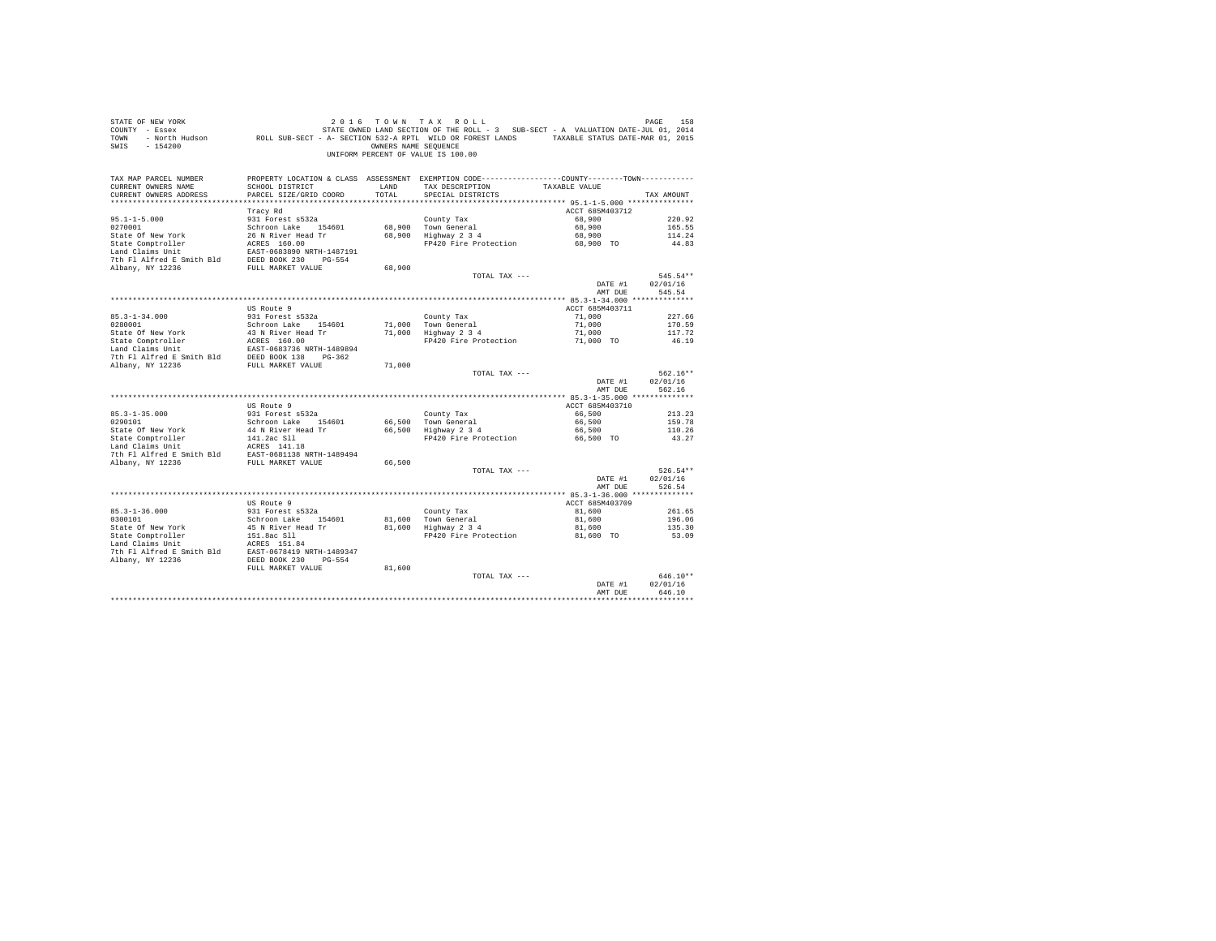| COUNTY - Essex            |                                                                                                                 |                      | STATE OWNED LAND SECTION OF THE ROLL - 3 SUB-SECT - A VALUATION DATE-JUL 01, 2014               |                                   |              |
|---------------------------|-----------------------------------------------------------------------------------------------------------------|----------------------|-------------------------------------------------------------------------------------------------|-----------------------------------|--------------|
| TOWN                      | - North Hudson Mark ROLL SUB-SECT - A- SECTION 532-A RPTL WILD OR FOREST LANDS TAXABLE STATUS DATE-MAR 01, 2015 |                      |                                                                                                 |                                   |              |
| $-154200$<br>SWTS         |                                                                                                                 | OWNERS NAME SEQUENCE |                                                                                                 |                                   |              |
|                           |                                                                                                                 |                      | UNIFORM PERCENT OF VALUE IS 100.00                                                              |                                   |              |
|                           |                                                                                                                 |                      |                                                                                                 |                                   |              |
|                           |                                                                                                                 |                      |                                                                                                 |                                   |              |
| TAX MAP PARCEL NUMBER     |                                                                                                                 |                      | PROPERTY LOCATION & CLASS ASSESSMENT EXEMPTION CODE----------------COUNTY--------TOWN---------- |                                   |              |
| CURRENT OWNERS NAME       | SCHOOL DISTRICT                                                                                                 | LAND                 | TAX DESCRIPTION                                                                                 | TAXABLE VALUE                     |              |
| CURRENT OWNERS ADDRESS    | PARCEL SIZE/GRID COORD                                                                                          | TOTAL                | SPECIAL DISTRICTS                                                                               |                                   | TAX AMOUNT   |
|                           |                                                                                                                 |                      |                                                                                                 |                                   |              |
|                           |                                                                                                                 |                      |                                                                                                 |                                   |              |
|                           | Tracy Rd                                                                                                        |                      |                                                                                                 | ACCT 685M403712                   |              |
| $95.1 - 1 - 5.000$        | 931 Forest s532a                                                                                                |                      | County Tax                                                                                      | 68,900                            | 220.92       |
| 0270001                   | Schroon Lake 154601                                                                                             |                      | 68,900 Town General                                                                             | 68,900                            | 165.55       |
| State Of New York         | 26 N River Head Tr                                                                                              |                      | 68,900 Highway 2 3 4                                                                            | 68,900                            | 114.24       |
| State Comptroller         | ACRES 160.00                                                                                                    |                      | FP420 Fire Protection                                                                           | 68,900 TO                         | 44.83        |
| Land Claims Unit          | EAST-0683890 NRTH-1487191                                                                                       |                      |                                                                                                 |                                   |              |
| 7th Fl Alfred E Smith Bld | DEED BOOK 230 PG-554                                                                                            |                      |                                                                                                 |                                   |              |
| Albany, NY 12236          | FULL MARKET VALUE                                                                                               | 68,900               |                                                                                                 |                                   |              |
|                           |                                                                                                                 |                      | TOTAL TAX ---                                                                                   |                                   | 545.54**     |
|                           |                                                                                                                 |                      |                                                                                                 | DATE #1                           | 02/01/16     |
|                           |                                                                                                                 |                      |                                                                                                 | AMT DUE                           | 545.54       |
|                           |                                                                                                                 |                      |                                                                                                 |                                   |              |
|                           |                                                                                                                 |                      |                                                                                                 |                                   |              |
|                           | US Route 9                                                                                                      |                      |                                                                                                 | ACCT 685M403711                   |              |
| $85.3 - 1 - 34.000$       | 931 Forest s532a                                                                                                |                      | County Tax                                                                                      | 71,000                            | 227.66       |
| 0280001                   | Schroon Lake 154601                                                                                             |                      | 71.000 Town General                                                                             | 71,000                            | 170.59       |
| State Of New York         | 43 N River Head Tr                                                                                              |                      | 71,000 Highway 2 3 4                                                                            | 71,000                            | 117.72       |
| State Comptroller         | ACRES 160.00<br>EAST-0683736 NRTH-1489894                                                                       |                      | FP420 Fire Protection                                                                           | 71,000 TO                         | 46.19        |
| Land Claims Unit          |                                                                                                                 |                      |                                                                                                 |                                   |              |
| 7th Fl Alfred E Smith Bld | $PG-362$                                                                                                        |                      |                                                                                                 |                                   |              |
| Albany, NY 12236          | DEED BOOK 138 I<br>FULL MARKET VALUE                                                                            | 71,000               |                                                                                                 |                                   |              |
|                           |                                                                                                                 |                      | TOTAL TAX ---                                                                                   |                                   | 562.16**     |
|                           |                                                                                                                 |                      |                                                                                                 | DATE #1                           | 02/01/16     |
|                           |                                                                                                                 |                      |                                                                                                 | AMT DUE                           | 562.16       |
|                           |                                                                                                                 |                      |                                                                                                 |                                   |              |
|                           | US Route 9                                                                                                      |                      |                                                                                                 | ACCT 685M403710                   |              |
|                           |                                                                                                                 |                      |                                                                                                 |                                   |              |
| $85.3 - 1 - 35.000$       | 931 Forest s532a                                                                                                |                      | County Tax                                                                                      | 66,500                            | 213.23       |
| 0290101                   | Schroon Lake 154601                                                                                             | 66,500               | Town General                                                                                    | 66,500                            | 159.78       |
| State Of New York         | 44 N River Head Tr                                                                                              | 66,500               | Highway 2 3 4                                                                                   | 66,500                            | 110.26       |
| State Comptroller         | 141.2ac Sll                                                                                                     |                      | FP420 Fire Protection                                                                           | 66.500 TO                         | 43.27        |
| Land Claims Unit          | ACRES 141.18                                                                                                    |                      |                                                                                                 |                                   |              |
| 7th Fl Alfred E Smith Bld | EAST-0681138 NRTH-1489494                                                                                       |                      |                                                                                                 |                                   |              |
| Albany, NY 12236          | FULL MARKET VALUE                                                                                               | 66,500               |                                                                                                 |                                   |              |
|                           |                                                                                                                 |                      | TOTAL TAX ---                                                                                   |                                   | $526.54**$   |
|                           |                                                                                                                 |                      |                                                                                                 | DATE #1                           | 02/01/16     |
|                           |                                                                                                                 |                      |                                                                                                 | AMT DUE                           | 526.54       |
|                           |                                                                                                                 |                      |                                                                                                 | **************** 85.3-1-36.000 ** | ************ |
|                           | US Route 9                                                                                                      |                      |                                                                                                 | ACCT 685M403709                   |              |
|                           |                                                                                                                 |                      |                                                                                                 |                                   |              |
| $85.3 - 1 - 36.000$       | 931 Forest s532a                                                                                                |                      | County Tax<br>County Tax<br>81,600 Town General<br>81,600 Highway 2 3 4                         | 81,600                            | 261.65       |
| 0300101                   | Schroon Lake 154601                                                                                             |                      |                                                                                                 | 81,600                            | 196.06       |
| State Of New York         | 45 N River Head Tr                                                                                              |                      |                                                                                                 | 81,600                            | 135.30       |
| State Comptroller         | 151.8ac S11<br>ACRES 151.84                                                                                     |                      | FP420 Fire Protection                                                                           | 81,600 TO                         | 53.09        |
| Land Claims Unit          |                                                                                                                 |                      |                                                                                                 |                                   |              |
| 7th Fl Alfred E Smith Bld | EAST-0678419 NRTH-1489347                                                                                       |                      |                                                                                                 |                                   |              |
| Albany, NY 12236          | DEED BOOK 230<br>$PG - 554$                                                                                     |                      |                                                                                                 |                                   |              |
|                           | FULL MARKET VALUE                                                                                               | 81,600               |                                                                                                 |                                   |              |
|                           |                                                                                                                 |                      | TOTAL TAX ---                                                                                   |                                   | $646.10**$   |
|                           |                                                                                                                 |                      |                                                                                                 | DATE #1                           | 02/01/16     |
|                           |                                                                                                                 |                      |                                                                                                 | AMT DUE                           | 646.10       |
|                           |                                                                                                                 |                      |                                                                                                 |                                   |              |
|                           |                                                                                                                 |                      |                                                                                                 |                                   |              |

STATE OF NEW YORK 2 0 1 6 T O W N T A X R O L L PAGE 158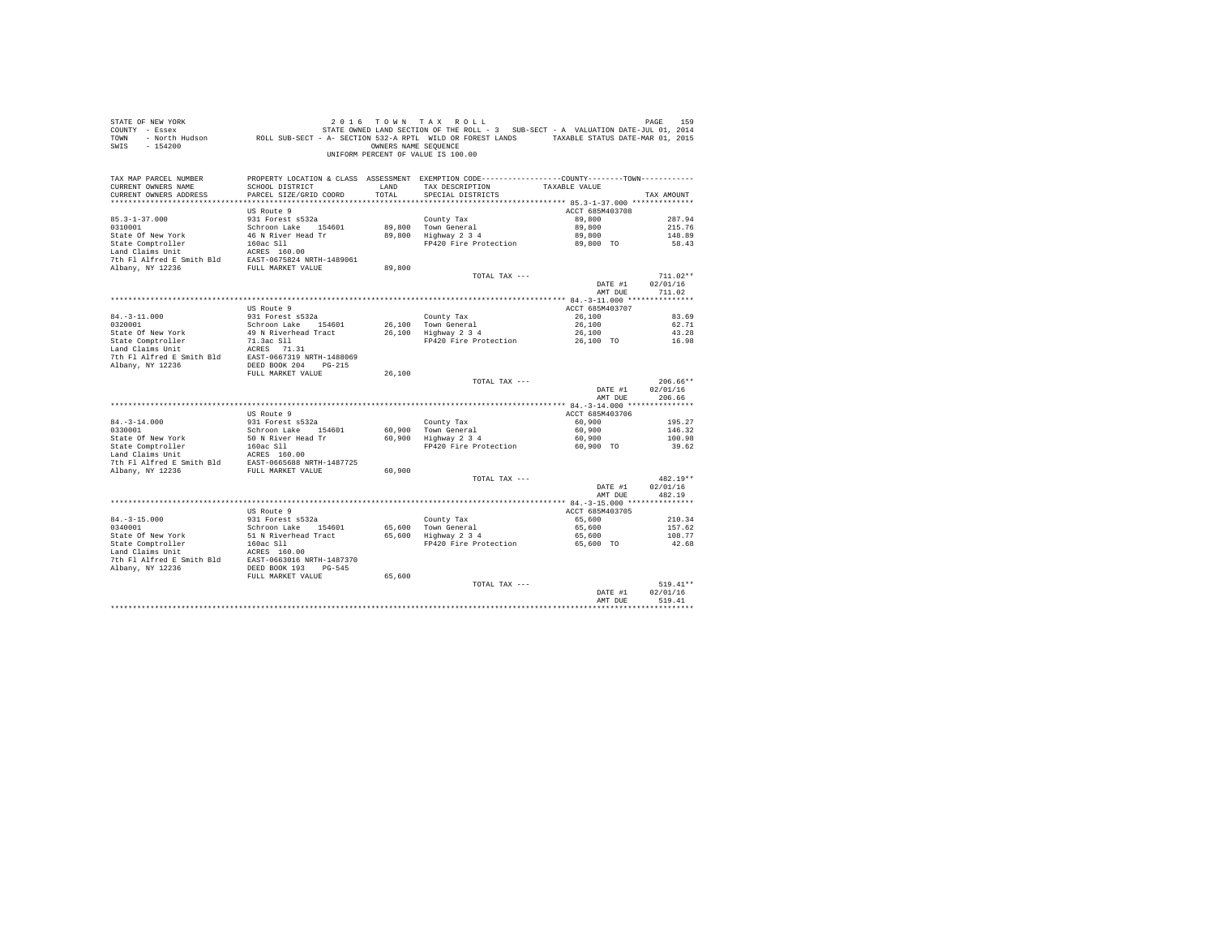| STATE OF NEW YORK<br>COUNTY - Essex<br>TOWN<br>SWIS<br>$-154200$                                                                                                                                          |                                           | OWNERS NAME SEOUENCE | 2016 TOWN TAX ROLL<br>ע או ב-19 ב-19 של 1 של 1 של 1 ב-19 של 1 של 1 ב-19 של 1982.<br>2014 - Essex Mary STATE OWNED LAND SECTION OF THE ROLL - 3 SUB-SECT - A VALUATION DATE-JUL 01, 2014<br>5101 - North Hudson - ROLL SUB-SECT - A - SECTION 532-A RPTL W<br>UNIFORM PERCENT OF VALUE IS 100.00 |                     | PAGE<br>159        |
|-----------------------------------------------------------------------------------------------------------------------------------------------------------------------------------------------------------|-------------------------------------------|----------------------|-------------------------------------------------------------------------------------------------------------------------------------------------------------------------------------------------------------------------------------------------------------------------------------------------|---------------------|--------------------|
| TAX MAP PARCEL NUMBER<br>CURRENT OWNERS NAME<br>CURRENT OWNERS ADDRESS                                                                                                                                    | SCHOOL DISTRICT<br>PARCEL SIZE/GRID COORD | LAND<br>TOTAL.       | PROPERTY LOCATION & CLASS ASSESSMENT EXEMPTION CODE----------------COUNTY--------TOWN----------<br>TAX DESCRIPTION<br>SPECIAL DISTRICTS                                                                                                                                                         | TAXABLE VALUE       | TAX AMOUNT         |
|                                                                                                                                                                                                           | US Route 9                                |                      |                                                                                                                                                                                                                                                                                                 | ACCT 685M403708     |                    |
| $85.3 - 1 - 37.000$                                                                                                                                                                                       | 931 Forest s532a                          |                      | County Tax                                                                                                                                                                                                                                                                                      | 89,800              | 287.94             |
| 0310001                                                                                                                                                                                                   | Schroon Lake 154601                       |                      | 89,800 Town General<br>89,800 Highway 2 3 4                                                                                                                                                                                                                                                     | 89,800              | 215.76             |
| State Of New York                                                                                                                                                                                         | 46 N River Head Tr                        |                      | FP420 Fire Protection                                                                                                                                                                                                                                                                           | 89,800<br>89,800 TO | 148.89<br>58.43    |
| State Comptroller 160ac S11<br>Land Claims Unit 160ac S11<br>2000<br>7th F1 Alfred E Smith B1d<br>EAST-0675824<br>FULL MARKET VALUE<br>Albany, NY 12236                                                   |                                           |                      |                                                                                                                                                                                                                                                                                                 |                     |                    |
|                                                                                                                                                                                                           |                                           |                      |                                                                                                                                                                                                                                                                                                 |                     |                    |
|                                                                                                                                                                                                           |                                           | 89,800               |                                                                                                                                                                                                                                                                                                 |                     |                    |
|                                                                                                                                                                                                           |                                           |                      | TOTAL TAX ---                                                                                                                                                                                                                                                                                   |                     | $711.02**$         |
|                                                                                                                                                                                                           |                                           |                      |                                                                                                                                                                                                                                                                                                 | DATE #1             | 02/01/16           |
|                                                                                                                                                                                                           |                                           |                      |                                                                                                                                                                                                                                                                                                 | AMT DUE             | 711.02             |
|                                                                                                                                                                                                           | US Route 9                                |                      |                                                                                                                                                                                                                                                                                                 | ACCT 685M403707     |                    |
| $84. -3 - 11.000$                                                                                                                                                                                         | 931 Forest s532a                          |                      | County Tax                                                                                                                                                                                                                                                                                      | 26,100              | 83.69              |
| 0320001                                                                                                                                                                                                   | Schroon Lake 154601                       |                      | 26,100 Town General                                                                                                                                                                                                                                                                             | 26,100              | 62.71              |
|                                                                                                                                                                                                           | 49 N Riverhead Tract                      |                      | 26,100 Town General<br>26,100 Highway 2 3 4                                                                                                                                                                                                                                                     | 26,100              | 43.28              |
|                                                                                                                                                                                                           |                                           |                      | FP420 Fire Protection 26,100 TO                                                                                                                                                                                                                                                                 |                     | 16.98              |
| Fatte Of New York 49 N Riverhead Tract<br>State Comptroller 71.3ac S11<br>Land Claims Unit ACRES 71.31<br>ACRES 71.31                                                                                     |                                           |                      |                                                                                                                                                                                                                                                                                                 |                     |                    |
| 7th Fl Alfred E Smith Bld EAST-0667319 NRTH-1488069<br>Albany, NY 12236                                                                                                                                   | DEED BOOK 204 PG-215                      |                      |                                                                                                                                                                                                                                                                                                 |                     |                    |
|                                                                                                                                                                                                           | FULL MARKET VALUE                         | 26,100               |                                                                                                                                                                                                                                                                                                 |                     |                    |
|                                                                                                                                                                                                           |                                           |                      | TOTAL TAX ---                                                                                                                                                                                                                                                                                   |                     | $206.66**$         |
|                                                                                                                                                                                                           |                                           |                      |                                                                                                                                                                                                                                                                                                 | DATE #1<br>AMT DUE  | 02/01/16<br>206.66 |
|                                                                                                                                                                                                           |                                           |                      |                                                                                                                                                                                                                                                                                                 |                     |                    |
|                                                                                                                                                                                                           | US Route 9                                |                      |                                                                                                                                                                                                                                                                                                 | ACCT 685M403706     |                    |
| $84. -3 - 14.000$                                                                                                                                                                                         | 931 Forest s532a                          |                      | County Tax<br>60,900 Town General<br>60,900 Highway 2 3 4                                                                                                                                                                                                                                       | 60,900              | 195.27             |
| 0330001<br>State Of New York                                                                                                                                                                              | Schroon Lake 154601                       |                      |                                                                                                                                                                                                                                                                                                 | 60,900<br>60,900    | 146.32             |
|                                                                                                                                                                                                           | 50 N River Head Tr                        |                      | FP420 Fire Protection                                                                                                                                                                                                                                                                           | 60.900 TO           | 100.98<br>39.62    |
|                                                                                                                                                                                                           |                                           |                      |                                                                                                                                                                                                                                                                                                 |                     |                    |
| State Omptroller<br>Land Claims Unit<br>Land Claims Unit<br>The F1 Alfred E Smith Bld<br>The F1 Alfred E Smith Bld<br>EAST-0665688 NRTH-1487725<br>The F1 Alfred E Smith Bld<br>EAST-0665688 NRTH-1487725 |                                           |                      |                                                                                                                                                                                                                                                                                                 |                     |                    |
| Albany, NY 12236                                                                                                                                                                                          | FULL MARKET VALUE                         | 60,900               |                                                                                                                                                                                                                                                                                                 |                     |                    |
|                                                                                                                                                                                                           |                                           |                      | TOTAL TAX ---                                                                                                                                                                                                                                                                                   |                     | 482.19**           |
|                                                                                                                                                                                                           |                                           |                      |                                                                                                                                                                                                                                                                                                 | DATE #1             | 02/01/16           |
|                                                                                                                                                                                                           |                                           |                      |                                                                                                                                                                                                                                                                                                 | AMT DUE             | 482.19             |
|                                                                                                                                                                                                           | US Route 9                                |                      |                                                                                                                                                                                                                                                                                                 | ACCT 685M403705     |                    |
| $84. - 3 - 15.000$                                                                                                                                                                                        | 931 Forest s532a                          |                      | County Tax                                                                                                                                                                                                                                                                                      | 65,600              | 210.34             |
| 0340001                                                                                                                                                                                                   | Schroon Lake 154601                       |                      | $65,600$ Town General<br>$65,600$ Highway 2 3 4                                                                                                                                                                                                                                                 | 65,600              | 157.62             |
| State Of New York                                                                                                                                                                                         | 51 N Riverhead Tract                      |                      |                                                                                                                                                                                                                                                                                                 | 65,600              | 108.77             |
| State Comptroller                                                                                                                                                                                         | 160ac S11                                 |                      | FP420 Fire Protection                                                                                                                                                                                                                                                                           | 65,600 TO           | 42.68              |
|                                                                                                                                                                                                           |                                           |                      |                                                                                                                                                                                                                                                                                                 |                     |                    |
| Cand Claims Unit<br>2010 11 ACRES 160.00<br>7th F1 Alfred E Smith Bld<br>2021 1837-0663016<br>2022 1938 DEED BOOK 193 PG-545                                                                              |                                           |                      |                                                                                                                                                                                                                                                                                                 |                     |                    |
|                                                                                                                                                                                                           | FULL MARKET VALUE                         | 65,600               |                                                                                                                                                                                                                                                                                                 |                     |                    |
|                                                                                                                                                                                                           |                                           |                      | TOTAL TAX ---                                                                                                                                                                                                                                                                                   |                     | $519.41**$         |
|                                                                                                                                                                                                           |                                           |                      |                                                                                                                                                                                                                                                                                                 | DATE #1             | 02/01/16           |
|                                                                                                                                                                                                           |                                           |                      |                                                                                                                                                                                                                                                                                                 | AMT DUE             | 519.41             |
|                                                                                                                                                                                                           |                                           |                      |                                                                                                                                                                                                                                                                                                 |                     |                    |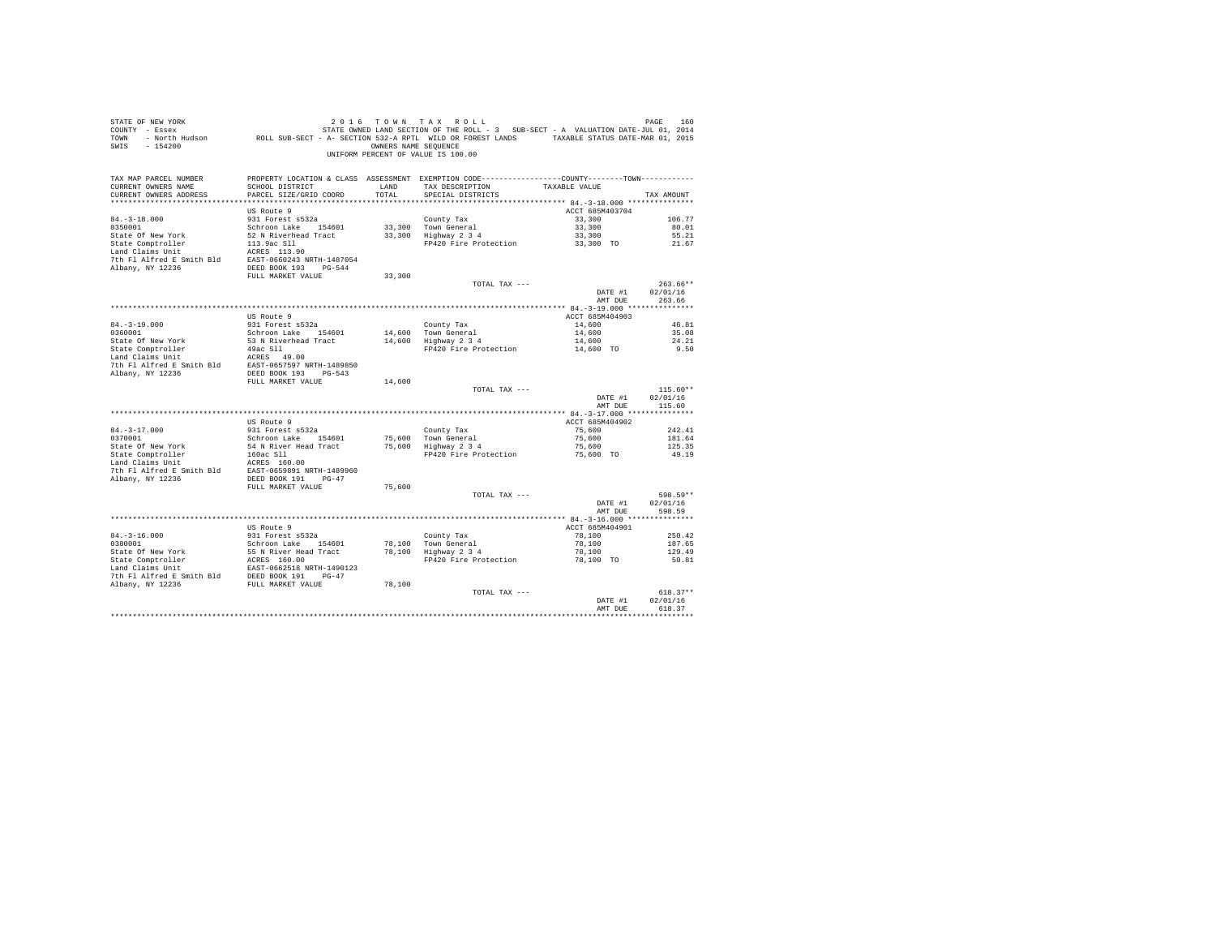| STATE OF NEW YORK<br>SALL OF THE SALE TO WA TAK K U L TO SEE THE SALE FAGE ISO THE SALE PAGE ISO THE SALE PAGE ISO THE SALE ISO THE<br>2014 COUNTY - Essex STATE ON STATE OWNED LAND SECTION OF THE ROLL - 3 SUB-SECT - A VALUATION DATE-JUL 01, 2014<br>SWIS - 154200 |                                                                                                                                                              | OWNERS NAME SEQUENCE  | 2016 TOWN TAX ROLL<br>UNIFORM PERCENT OF VALUE IS 100.00                                                                             |                           | PAGE<br>160 |
|------------------------------------------------------------------------------------------------------------------------------------------------------------------------------------------------------------------------------------------------------------------------|--------------------------------------------------------------------------------------------------------------------------------------------------------------|-----------------------|--------------------------------------------------------------------------------------------------------------------------------------|---------------------------|-------------|
| TAX MAP PARCEL NUMBER<br>CURRENT OWNERS NAME<br>CURRENT OWNERS ADDRESS                                                                                                                                                                                                 | SCHOOL DISTRICT<br>PARCEL SIZE/GRID COORD                                                                                                                    | <b>T.AND</b><br>TOTAL | PROPERTY LOCATION & CLASS ASSESSMENT EXEMPTION CODE---------------COUNTY-------TOWN---------<br>TAX DESCRIPTION<br>SPECIAL DISTRICTS | TAXABLE VALUE             | TAX AMOUNT  |
|                                                                                                                                                                                                                                                                        | US Route 9                                                                                                                                                   |                       |                                                                                                                                      | ACCT 685M403704           |             |
| $84. - 3 - 18.000$                                                                                                                                                                                                                                                     | 931 Forest s532a                                                                                                                                             |                       | County Tax                                                                                                                           | 33,300                    | 106.77      |
| 0350001                                                                                                                                                                                                                                                                | Schroon Lake 154601                                                                                                                                          |                       |                                                                                                                                      | 33,300                    | 80.01       |
| State Of New York<br>State Comptroller<br>Land Claims Unit                                                                                                                                                                                                             | 52 N Riverhead Tract                                                                                                                                         |                       | 33,300 Town General<br>33,300 Highway 2 3 4                                                                                          | 33,300                    | 55.21       |
| State Comptroller<br>113.9ac Sll<br>Land Claims Unit<br>113.9ac Sll<br>2011 Pl Alfred E Smith Bld<br>20243 NRTH-1487054<br>2021 PL Alfred E Smith Bld<br>2022560943 PREP BOOK 193<br>2025-144                                                                          |                                                                                                                                                              |                       | FP420 Fire Protection 33,300 TO                                                                                                      |                           | 21.67       |
|                                                                                                                                                                                                                                                                        |                                                                                                                                                              |                       |                                                                                                                                      |                           |             |
|                                                                                                                                                                                                                                                                        |                                                                                                                                                              |                       |                                                                                                                                      |                           |             |
|                                                                                                                                                                                                                                                                        |                                                                                                                                                              |                       |                                                                                                                                      |                           |             |
|                                                                                                                                                                                                                                                                        | FULL MARKET VALUE                                                                                                                                            | 33,300                | TOTAL TAX ---                                                                                                                        |                           | $263.66**$  |
|                                                                                                                                                                                                                                                                        |                                                                                                                                                              |                       |                                                                                                                                      | DATE #1                   | 02/01/16    |
|                                                                                                                                                                                                                                                                        |                                                                                                                                                              |                       |                                                                                                                                      | AMT DUE                   | 263.66      |
|                                                                                                                                                                                                                                                                        |                                                                                                                                                              |                       |                                                                                                                                      |                           |             |
|                                                                                                                                                                                                                                                                        | US Route 9                                                                                                                                                   |                       |                                                                                                                                      | ACCT 685M404903           |             |
| $84.-3-19.000$<br>0360001                                                                                                                                                                                                                                              | 931 Forest s532a                                                                                                                                             |                       |                                                                                                                                      | 14,600                    | 46.81       |
|                                                                                                                                                                                                                                                                        | Schroon Lake 154601<br>53 N Riverhead Tract                                                                                                                  |                       | County Tax<br>14,600 Town General<br>14,600 Highway 2 3 4                                                                            | 14,600                    | 35.08       |
|                                                                                                                                                                                                                                                                        |                                                                                                                                                              |                       |                                                                                                                                      | 14,600                    | 24.21       |
|                                                                                                                                                                                                                                                                        |                                                                                                                                                              |                       | FP420 Fire Protection                                                                                                                | 14,600 TO                 | 9.50        |
|                                                                                                                                                                                                                                                                        |                                                                                                                                                              |                       |                                                                                                                                      |                           |             |
|                                                                                                                                                                                                                                                                        |                                                                                                                                                              |                       |                                                                                                                                      |                           |             |
|                                                                                                                                                                                                                                                                        |                                                                                                                                                              | 14,600                |                                                                                                                                      |                           |             |
|                                                                                                                                                                                                                                                                        |                                                                                                                                                              |                       | TOTAL TAX ---                                                                                                                        |                           | $115.60**$  |
|                                                                                                                                                                                                                                                                        |                                                                                                                                                              |                       |                                                                                                                                      | DATE #1                   | 02/01/16    |
|                                                                                                                                                                                                                                                                        |                                                                                                                                                              |                       |                                                                                                                                      | AMT DUE                   | 115.60      |
|                                                                                                                                                                                                                                                                        |                                                                                                                                                              |                       |                                                                                                                                      |                           |             |
|                                                                                                                                                                                                                                                                        | US Route 9                                                                                                                                                   |                       |                                                                                                                                      | ACCT 685M404902<br>75,600 | 242.41      |
| $84. -3 - 17.000$<br>0370001                                                                                                                                                                                                                                           |                                                                                                                                                              |                       |                                                                                                                                      | 75,600                    | 181.64      |
|                                                                                                                                                                                                                                                                        |                                                                                                                                                              |                       |                                                                                                                                      | 75,600                    | 125.35      |
| State Of New York<br>State Comptroller<br>Comptroller                                                                                                                                                                                                                  |                                                                                                                                                              |                       | FP420 Fire Protection                                                                                                                | 75,600 TO                 | 49.19       |
| Land Claims Unit                                                                                                                                                                                                                                                       | cunroon Lake 154601 75,600 Town General<br>54 N River Head Tract 75,600 Town General<br>160ac S11 10000 75,600 Highway 2 3 4<br>ACRES 160.00<br>ACRES 100.00 |                       |                                                                                                                                      |                           |             |
| 7th Fl Alfred E Smith Bld EAST-0659891 NRTH-1489960                                                                                                                                                                                                                    |                                                                                                                                                              |                       |                                                                                                                                      |                           |             |
| Albany, NY 12236                                                                                                                                                                                                                                                       | DEED BOOK 191 PG-47                                                                                                                                          |                       |                                                                                                                                      |                           |             |
|                                                                                                                                                                                                                                                                        | FULL MARKET VALUE                                                                                                                                            | 75,600                | TOTAL TAX ---                                                                                                                        |                           | 598.59**    |
|                                                                                                                                                                                                                                                                        |                                                                                                                                                              |                       |                                                                                                                                      | DATE #1                   | 02/01/16    |
|                                                                                                                                                                                                                                                                        |                                                                                                                                                              |                       |                                                                                                                                      | AMT DUE                   | 598.59      |
|                                                                                                                                                                                                                                                                        |                                                                                                                                                              |                       |                                                                                                                                      |                           |             |
|                                                                                                                                                                                                                                                                        | US Route 9                                                                                                                                                   |                       |                                                                                                                                      | ACCT 685M404901           |             |
| $84. -3 - 16.000$                                                                                                                                                                                                                                                      | 931 Forest s532a                                                                                                                                             |                       |                                                                                                                                      | 78,100                    | 250.42      |
| 0380001                                                                                                                                                                                                                                                                | Schroon Lake 154601                                                                                                                                          |                       | County Tax<br>78,100 Town General<br>78,100 Highway 2 3 4                                                                            | 78,100                    | 187.65      |
|                                                                                                                                                                                                                                                                        |                                                                                                                                                              |                       |                                                                                                                                      | 78,100                    | 129.49      |
|                                                                                                                                                                                                                                                                        |                                                                                                                                                              |                       | FP420 Fire Protection                                                                                                                | 78,100 TO                 | 50.81       |
|                                                                                                                                                                                                                                                                        |                                                                                                                                                              |                       |                                                                                                                                      |                           |             |
| Albany, NY 12236                                                                                                                                                                                                                                                       | FULL MARKET VALUE                                                                                                                                            | 78,100                |                                                                                                                                      |                           |             |
|                                                                                                                                                                                                                                                                        |                                                                                                                                                              |                       | TOTAL TAX ---                                                                                                                        |                           | $618.37**$  |
|                                                                                                                                                                                                                                                                        |                                                                                                                                                              |                       |                                                                                                                                      | DATE #1                   | 02/01/16    |
|                                                                                                                                                                                                                                                                        |                                                                                                                                                              |                       |                                                                                                                                      | AMT DUE                   | 618.37      |
|                                                                                                                                                                                                                                                                        |                                                                                                                                                              |                       |                                                                                                                                      |                           |             |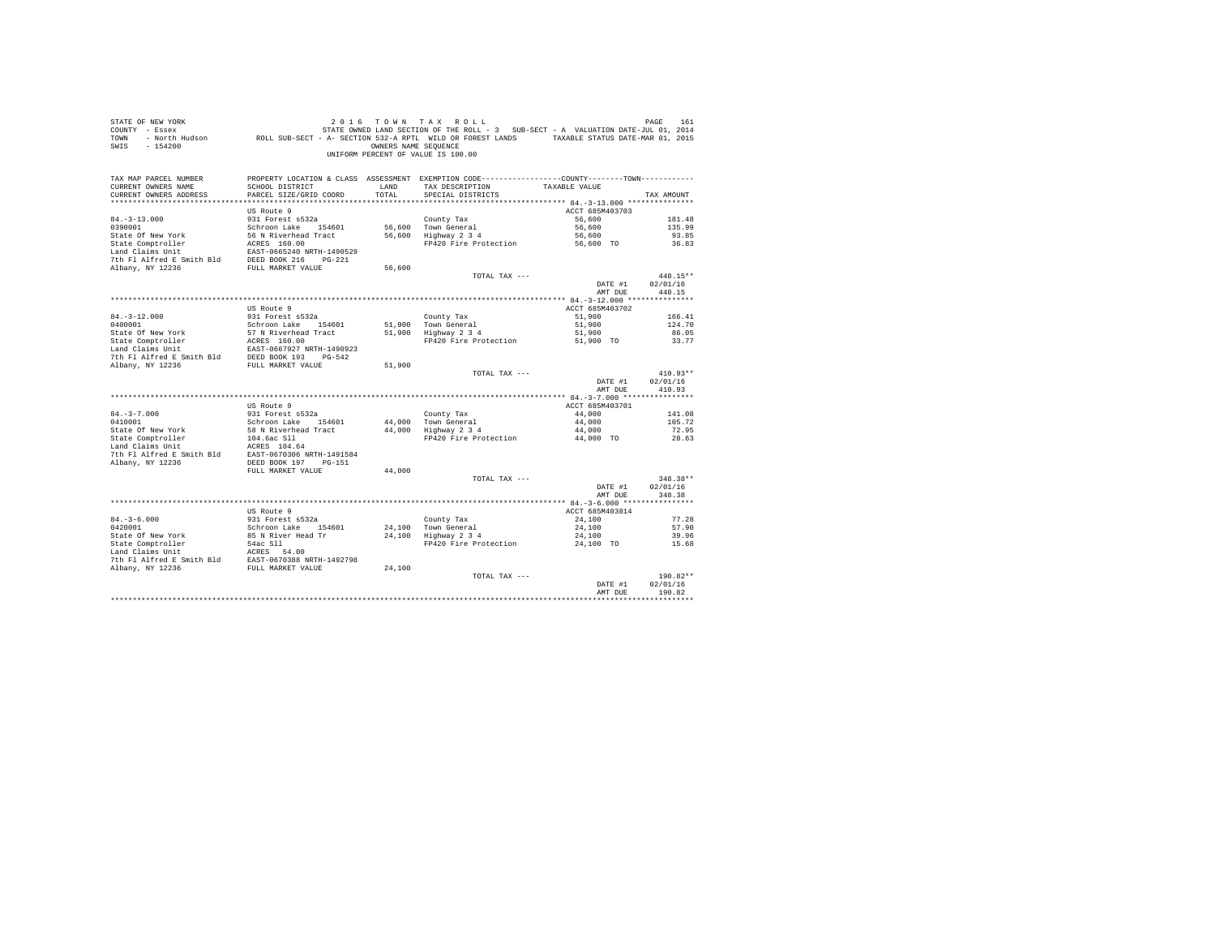| STATE OF NEW YORK<br>COUNTY - Essex<br>TOWN<br>$-154200$<br>SWIS                                                                                                                   |                                           | OWNERS NAME SEQUENCE | 2016 TOWN TAX ROLL<br>STATE OWNED LAND SECTION OF THE ROLL - 3 SUB-SECT - A VALUATION DATE-JUL 01, 2014<br>- North Hudson ROLL SUB-SECT - A-SECTION 532-A RPTL WILD OR FOREST LANDS TAXABLE STATUS DATE-WAR 01, 2015<br>UNIFORM PERCENT OF VALUE IS 100.00 |                     | PAGE<br>161    |
|------------------------------------------------------------------------------------------------------------------------------------------------------------------------------------|-------------------------------------------|----------------------|------------------------------------------------------------------------------------------------------------------------------------------------------------------------------------------------------------------------------------------------------------|---------------------|----------------|
| TAX MAP PARCEL NUMBER                                                                                                                                                              |                                           |                      | PROPERTY LOCATION & CLASS ASSESSMENT EXEMPTION CODE---------------COUNTY-------TOWN----------                                                                                                                                                              |                     |                |
| CURRENT OWNERS NAME<br>CURRENT OWNERS ADDRESS                                                                                                                                      | SCHOOL DISTRICT<br>PARCEL SIZE/GRID COORD | LAND<br>TOTAL        | TAX DESCRIPTION<br>SPECIAL DISTRICTS                                                                                                                                                                                                                       | TAXABLE VALUE       | TAX AMOUNT     |
|                                                                                                                                                                                    |                                           |                      |                                                                                                                                                                                                                                                            |                     |                |
|                                                                                                                                                                                    | US Route 9                                |                      |                                                                                                                                                                                                                                                            | ACCT 685M403703     |                |
| $84. - 3 - 13.000$                                                                                                                                                                 | 931 Forest s532a                          |                      | County Tax                                                                                                                                                                                                                                                 | 56,600              | 181.48         |
| 0390001                                                                                                                                                                            | Schroon Lake 154601                       |                      | 56,600 Town General                                                                                                                                                                                                                                        | 56,600              | 135.99         |
| State Of New York                                                                                                                                                                  | 56 N Riverhead Tract                      |                      | 56,600 Highway 2 3 4                                                                                                                                                                                                                                       | 56,600              | 93.85          |
| State Comptroller                                                                                                                                                                  | ACRES 160.00                              |                      | FP420 Fire Protection                                                                                                                                                                                                                                      | 56,600 TO           | 36.83          |
| Land Claims Unit                                                                                                                                                                   | EAST-0665240 NRTH-1490529                 |                      |                                                                                                                                                                                                                                                            |                     |                |
| 7th Fl Alfred E Smith Bld<br>Albany, NY 12236                                                                                                                                      | DEED BOOK 216 PG-221                      | 56,600               |                                                                                                                                                                                                                                                            |                     |                |
|                                                                                                                                                                                    | FULL MARKET VALUE                         |                      | TOTAL TAX ---                                                                                                                                                                                                                                              |                     | 448.15**       |
|                                                                                                                                                                                    |                                           |                      |                                                                                                                                                                                                                                                            | DATE #1             | 02/01/16       |
|                                                                                                                                                                                    |                                           |                      |                                                                                                                                                                                                                                                            | AMT DUE             | 448.15         |
|                                                                                                                                                                                    |                                           |                      |                                                                                                                                                                                                                                                            |                     |                |
|                                                                                                                                                                                    | US Route 9                                |                      |                                                                                                                                                                                                                                                            | ACCT 685M403702     |                |
| $84. - 3 - 12.000$                                                                                                                                                                 | 931 Forest s532a                          |                      | County Tax                                                                                                                                                                                                                                                 | 51,900              | 166.41         |
| 0400001                                                                                                                                                                            | Schroon Lake 154601                       | 51,900               | Town General                                                                                                                                                                                                                                               | 51,900              | 124.70         |
| State Of New York<br>State Comptroller                                                                                                                                             | 57 N Riverhead Tract<br>ACRES 160.00      | 51,900               | $Highway$ 2 3 4<br>FP420 Fire Protection                                                                                                                                                                                                                   | 51,900<br>51,900 TO | 86.05<br>33.77 |
| Land Claims Unit                                                                                                                                                                   | EAST-0667927 NRTH-1490923                 |                      |                                                                                                                                                                                                                                                            |                     |                |
| 7th Fl Alfred E Smith Bld DEED BOOK 193 PG-542                                                                                                                                     |                                           |                      |                                                                                                                                                                                                                                                            |                     |                |
| Albany, NY 12236                                                                                                                                                                   | FULL MARKET VALUE                         | 51,900               |                                                                                                                                                                                                                                                            |                     |                |
|                                                                                                                                                                                    |                                           |                      | TOTAL TAX ---                                                                                                                                                                                                                                              |                     | $410.93**$     |
|                                                                                                                                                                                    |                                           |                      |                                                                                                                                                                                                                                                            | DATE #1             | 02/01/16       |
|                                                                                                                                                                                    |                                           |                      |                                                                                                                                                                                                                                                            | AMT DUE             | 410.93         |
|                                                                                                                                                                                    | US Route 9                                |                      |                                                                                                                                                                                                                                                            | ACCT 685M403701     |                |
| $84. - 3 - 7.000$                                                                                                                                                                  | 931 Forest s532a                          |                      | County Tax                                                                                                                                                                                                                                                 | 44,000              | 141.08         |
| 0410001                                                                                                                                                                            | Schroon Lake 154601                       |                      | 44.000 Town General                                                                                                                                                                                                                                        | 44,000              | 105.72         |
| State Of New York                                                                                                                                                                  | 58 N Riverhead Tract                      |                      | $44,000$ Highway $2\frac{3}{4}$                                                                                                                                                                                                                            | 44,000              | 72.95          |
| State Comptroller                                                                                                                                                                  | 104.6ac Sll                               |                      | FP420 Fire Protection                                                                                                                                                                                                                                      | 44,000 TO           | 28.63          |
| Land Claims Unit                                                                                                                                                                   | ACRES 104.64                              |                      |                                                                                                                                                                                                                                                            |                     |                |
| 7th Fl Alfred E Smith Bld EAST-0670306 NRTH-1491584                                                                                                                                |                                           |                      |                                                                                                                                                                                                                                                            |                     |                |
| Albany, NY 12236                                                                                                                                                                   | DEED BOOK 197 PG-151<br>FULL MARKET VALUE | 44,000               |                                                                                                                                                                                                                                                            |                     |                |
|                                                                                                                                                                                    |                                           |                      | TOTAL TAX ---                                                                                                                                                                                                                                              |                     | $348.38**$     |
|                                                                                                                                                                                    |                                           |                      |                                                                                                                                                                                                                                                            | DATE #1             | 02/01/16       |
|                                                                                                                                                                                    |                                           |                      |                                                                                                                                                                                                                                                            | AMT DUE             | 348.38         |
|                                                                                                                                                                                    |                                           |                      |                                                                                                                                                                                                                                                            |                     |                |
|                                                                                                                                                                                    | US Route 9                                |                      |                                                                                                                                                                                                                                                            | ACCT 685M403814     |                |
| $84. - 3 - 6.000$                                                                                                                                                                  | 931 Forest s532a                          |                      | County Tax                                                                                                                                                                                                                                                 | 24,100              | 77.28          |
| 0420001<br>State Of New York                                                                                                                                                       | Schroon Lake 154601<br>85 N River Head Tr |                      | 24,100 Town General<br>24,100 Highway 2 3 4                                                                                                                                                                                                                | 24,100<br>24,100    | 57.90          |
|                                                                                                                                                                                    | 54ac S11                                  |                      | FP420 Fire Protection                                                                                                                                                                                                                                      | 24,100 TO           | 39.96<br>15.68 |
| State Comptroller<br>Land Claims Unit                                                                                                                                              |                                           |                      |                                                                                                                                                                                                                                                            |                     |                |
|                                                                                                                                                                                    |                                           |                      |                                                                                                                                                                                                                                                            |                     |                |
| State Compricial state of the server of the Mark Claims Unit<br>The Flatfred E Smith Bld<br>The Flatfred E Smith Bld<br>FULL MARKET VALUE<br>Albany, NY 12236<br>FULL MARKET VALUE |                                           | 24,100               |                                                                                                                                                                                                                                                            |                     |                |
|                                                                                                                                                                                    |                                           |                      | TOTAL TAX ---                                                                                                                                                                                                                                              |                     | 190.82**       |
|                                                                                                                                                                                    |                                           |                      |                                                                                                                                                                                                                                                            | DATE #1             | 02/01/16       |
|                                                                                                                                                                                    |                                           |                      |                                                                                                                                                                                                                                                            | AMT DUE             | 190.82         |
|                                                                                                                                                                                    |                                           |                      |                                                                                                                                                                                                                                                            |                     |                |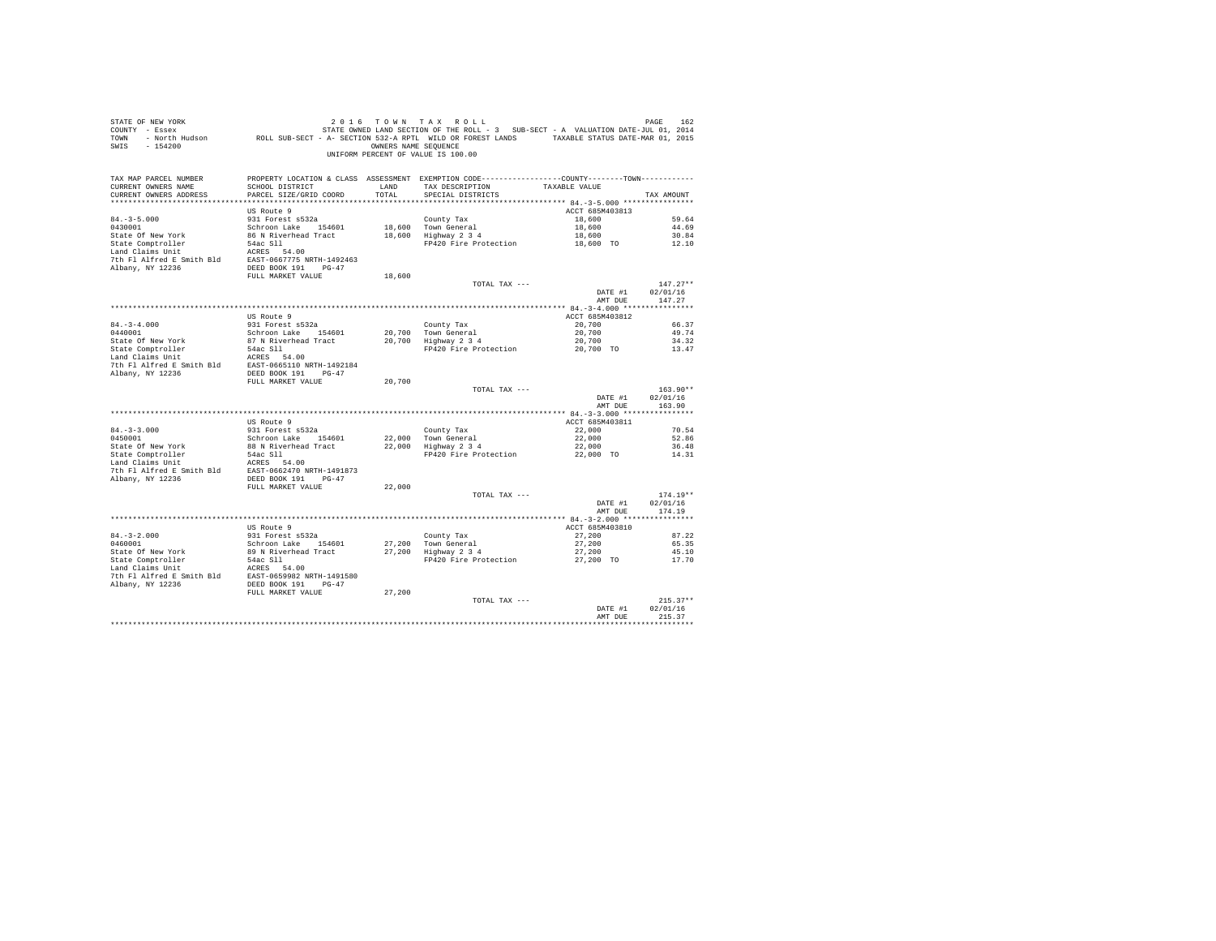|                       |                          |        | UNIFORM PERCENT OF VALUE IS 100.00                                                             |                                                                          |                                |
|-----------------------|--------------------------|--------|------------------------------------------------------------------------------------------------|--------------------------------------------------------------------------|--------------------------------|
| TAX MAP PARCEL NUMBER |                          |        | PROPERTY LOCATION & CLASS ASSESSMENT EXEMPTION CODE----------------COUNTY-------TOWN---------- |                                                                          |                                |
|                       |                          |        |                                                                                                |                                                                          |                                |
|                       |                          |        |                                                                                                |                                                                          | TAX AMOUNT                     |
|                       | US Route 9               |        |                                                                                                | ACCT 685M403813                                                          |                                |
|                       |                          |        |                                                                                                |                                                                          |                                |
|                       |                          |        |                                                                                                |                                                                          |                                |
|                       |                          |        |                                                                                                |                                                                          |                                |
|                       |                          |        |                                                                                                |                                                                          |                                |
|                       |                          |        |                                                                                                |                                                                          |                                |
|                       |                          |        |                                                                                                |                                                                          |                                |
|                       | FULL MARKET VALUE        | 18,600 |                                                                                                |                                                                          |                                |
|                       |                          |        | TOTAL TAX ---                                                                                  |                                                                          | $147.27**$                     |
|                       |                          |        |                                                                                                | DATE #1                                                                  | 02/01/16                       |
|                       |                          |        |                                                                                                | AMT DUE                                                                  | 147.27                         |
|                       |                          |        |                                                                                                |                                                                          |                                |
|                       | US Route 9               |        |                                                                                                | ACCT 685M403812<br>20,700                                                | 66.37                          |
|                       |                          |        |                                                                                                |                                                                          | 49.74                          |
|                       |                          |        |                                                                                                |                                                                          | 34.32                          |
|                       |                          |        | FP420 Fire Protection                                                                          | $\begin{array}{c} 20\, , 700 \\ 20\, , 700 \\ 20\, , 700 \end{array}$ TO | 13.47                          |
|                       |                          |        |                                                                                                |                                                                          |                                |
|                       |                          |        |                                                                                                |                                                                          |                                |
|                       |                          |        |                                                                                                |                                                                          |                                |
|                       | FULL MARKET VALUE 20,700 |        | TOTAL TAX ---                                                                                  |                                                                          | $163.90**$                     |
|                       |                          |        |                                                                                                | DATE #1                                                                  | 02/01/16                       |
|                       |                          |        |                                                                                                | AMT DUE                                                                  | 163.90                         |
|                       |                          |        |                                                                                                |                                                                          |                                |
|                       | US Route 9               |        |                                                                                                | ACCT 685M403811                                                          |                                |
|                       |                          |        |                                                                                                | 22.000                                                                   | 70.54<br>52.86                 |
|                       |                          |        |                                                                                                |                                                                          | 36.48                          |
|                       |                          |        | FP420 Fire Protection                                                                          | $22,000$<br>$22,000$<br>$22,000$ TO                                      | 14.31                          |
|                       |                          |        |                                                                                                |                                                                          |                                |
|                       |                          |        |                                                                                                |                                                                          |                                |
|                       |                          |        |                                                                                                |                                                                          |                                |
|                       | FULL MARKET VALUE        | 22,000 | TOTAL TAX ---                                                                                  |                                                                          | $174.19**$                     |
|                       |                          |        |                                                                                                | DATE #1 02/01/16                                                         |                                |
|                       |                          |        |                                                                                                | AMT DUE                                                                  | 174.19                         |
|                       |                          |        |                                                                                                |                                                                          |                                |
|                       |                          |        |                                                                                                | ACCT 685M403810                                                          |                                |
|                       |                          |        |                                                                                                | 27,200                                                                   | 87.22                          |
|                       |                          |        |                                                                                                | 27,200<br>27,200                                                         | 65.35<br>45.10                 |
|                       |                          |        |                                                                                                | 27,200 TO                                                                | 17.70                          |
|                       |                          |        |                                                                                                |                                                                          |                                |
|                       |                          |        |                                                                                                |                                                                          |                                |
|                       |                          |        |                                                                                                |                                                                          |                                |
|                       |                          |        |                                                                                                |                                                                          |                                |
|                       |                          |        |                                                                                                |                                                                          | $215.37**$<br>DATE #1 02/01/16 |
|                       |                          |        |                                                                                                | AMT DHE                                                                  | 215.37                         |
|                       |                          |        |                                                                                                |                                                                          |                                |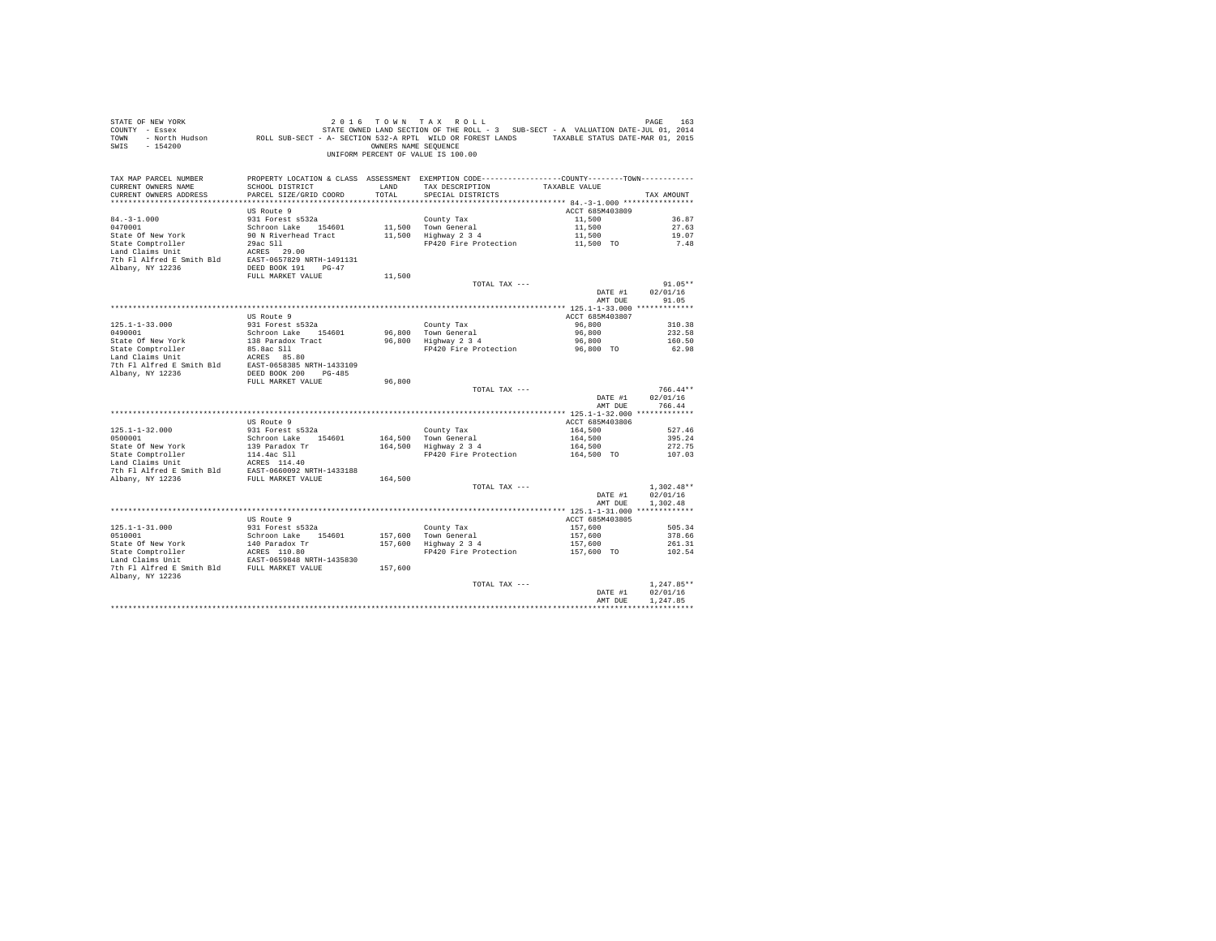| STATE OF NEW YORK<br>URE TO A 1992 LOT ON THA A TAX A ULL PRESSURE TO A VALUATION DATE-JUL 01 2014<br>2014 COUNTY - Essex Maria Sub-SECT - A SECTION OF THE ROLL - 3 SUB-SECT - A VALUATION DATE-JUL 01, 2014<br>2015 TOWN - North Hudson<br>SWIS - 154200 |                                                             | OWNERS NAME SEQUENCE | 2016 TOWN TAX ROLL<br>UNIFORM PERCENT OF VALUE IS 100.00                                      |                 | PAGE<br>163       |
|------------------------------------------------------------------------------------------------------------------------------------------------------------------------------------------------------------------------------------------------------------|-------------------------------------------------------------|----------------------|-----------------------------------------------------------------------------------------------|-----------------|-------------------|
| TAX MAP PARCEL NUMBER                                                                                                                                                                                                                                      |                                                             |                      | PROPERTY LOCATION & CLASS ASSESSMENT EXEMPTION CODE---------------COUNTY-------TOWN---------- |                 |                   |
| CURRENT OWNERS NAME<br>CURRENT OWNERS ADDRESS                                                                                                                                                                                                              | SCHOOL DISTRICT<br>PARCEL SIZE/GRID COORD                   | LAND<br>TOTAL        | TAX DESCRIPTION<br>SPECIAL DISTRICTS                                                          | TAXABLE VALUE   | TAX AMOUNT        |
|                                                                                                                                                                                                                                                            |                                                             |                      |                                                                                               |                 |                   |
|                                                                                                                                                                                                                                                            | US Route 9                                                  |                      |                                                                                               | ACCT 685M403809 |                   |
| $84. - 3 - 1.000$                                                                                                                                                                                                                                          | 931 Forest s532a                                            |                      | County Tax                                                                                    | 11,500          | 36.87             |
| 0470001                                                                                                                                                                                                                                                    | Schroon Lake 154601                                         |                      | 11,500 Town General<br>11,500 Highway 2 3 4                                                   | 11,500          | 27.63             |
| State Of New York                                                                                                                                                                                                                                          | 90 N Riverhead Tract                                        |                      |                                                                                               | 11,500          | 19.07             |
| State Comptroller<br>Land Claims Unit                                                                                                                                                                                                                      | $29ac$ Sll $\sim$<br>ACRES 29.00                            |                      | FP420 Fire Protection                                                                         | 11,500 TO       | 7.48              |
| 7th Fl Alfred E Smith Bld EAST-0657829 NRTH-1491131                                                                                                                                                                                                        |                                                             |                      |                                                                                               |                 |                   |
| Albany, NY 12236                                                                                                                                                                                                                                           | DEED BOOK 191 PG-47                                         |                      |                                                                                               |                 |                   |
|                                                                                                                                                                                                                                                            | FULL MARKET VALUE                                           | 11,500               |                                                                                               |                 |                   |
|                                                                                                                                                                                                                                                            |                                                             |                      | TOTAL TAX ---                                                                                 |                 | $91.05**$         |
|                                                                                                                                                                                                                                                            |                                                             |                      |                                                                                               | DATE #1         | 02/01/16<br>91.05 |
|                                                                                                                                                                                                                                                            |                                                             |                      |                                                                                               | AMT DUE         |                   |
|                                                                                                                                                                                                                                                            | US Route 9                                                  |                      |                                                                                               | ACCT 685M403807 |                   |
| $125.1 - 1 - 33.000$                                                                                                                                                                                                                                       | 931 Forest s532a                                            |                      | County Tax                                                                                    | 96,800          | 310.38            |
| 0490001                                                                                                                                                                                                                                                    | Schroon Lake 154601                                         |                      | 96,800 Town General                                                                           | 96,800          | 232.58            |
| State Of New York                                                                                                                                                                                                                                          | 138 Paradox Tract                                           |                      | 96,800 Highway 2 3 4                                                                          | 96,800          | 160.50            |
| State Comptroller<br>Land Claims Unit                                                                                                                                                                                                                      | 85.8ac Sll<br>ACRES 85.80                                   |                      | FP420 Fire Protection                                                                         | 96,800 TO       | 62.98             |
|                                                                                                                                                                                                                                                            |                                                             |                      |                                                                                               |                 |                   |
| 7th F1 Alfred E Smith Bld<br>RAST-0658385 NRTH-1433109<br>RIbany, NY 12236<br>DEED BOOK 200 PG-485                                                                                                                                                         |                                                             |                      |                                                                                               |                 |                   |
|                                                                                                                                                                                                                                                            | FULL MARKET VALUE                                           | 96,800               |                                                                                               |                 |                   |
|                                                                                                                                                                                                                                                            |                                                             |                      | TOTAL TAX ---                                                                                 |                 | $766.44**$        |
|                                                                                                                                                                                                                                                            |                                                             |                      |                                                                                               | DATE #1         | 02/01/16          |
|                                                                                                                                                                                                                                                            |                                                             |                      |                                                                                               | AMT DUE         | 766.44            |
|                                                                                                                                                                                                                                                            | US Route 9                                                  |                      |                                                                                               | ACCT 685M403806 |                   |
| $125.1 - 1 - 32.000$                                                                                                                                                                                                                                       | 931 Forest s532a                                            |                      | County Tax                                                                                    | 164,500         | 527.46            |
| 0500001                                                                                                                                                                                                                                                    | Schroon Lake 154601                                         |                      | 164,500 Town General                                                                          | 164,500         | 395.24            |
| State Of New York                                                                                                                                                                                                                                          | 139 Paradox Tr                                              |                      | 164,500 TOWN General<br>164,500 Highway 2 3 4                                                 | 164,500         | 272.75            |
| State Comptroller<br>Land Claims Unit                                                                                                                                                                                                                      | 114.4ac Sll<br>ACRES 114.40                                 |                      | FP420 Fire Protection                                                                         | 164,500 TO      | 107.03            |
|                                                                                                                                                                                                                                                            |                                                             |                      |                                                                                               |                 |                   |
|                                                                                                                                                                                                                                                            |                                                             | 164,500              |                                                                                               |                 |                   |
|                                                                                                                                                                                                                                                            |                                                             |                      | TOTAL TAX ---                                                                                 |                 | $1,302.48**$      |
|                                                                                                                                                                                                                                                            |                                                             |                      |                                                                                               | DATE #1         | 02/01/16          |
|                                                                                                                                                                                                                                                            |                                                             |                      |                                                                                               | AMT DUE         | 1,302.48          |
|                                                                                                                                                                                                                                                            | US Route 9                                                  |                      |                                                                                               | ACCT 685M403805 |                   |
| $125.1 - 1 - 31.000$                                                                                                                                                                                                                                       | 931 Forest s532a                                            |                      | County Tax                                                                                    | 157,600         | 505.34            |
| 0510001                                                                                                                                                                                                                                                    | Schroon Lake 154601                                         |                      |                                                                                               | 157,600         | 378.66            |
| State Of New York                                                                                                                                                                                                                                          | 140 Paradox Tr<br>ACRES 110.80<br>EAST-0659848 NRTH-1435830 |                      | 157,600 Town General<br>157,600 Highway 2 3 4                                                 | 157,600         | 261.31            |
| State Comptroller                                                                                                                                                                                                                                          |                                                             |                      | FP420 Fire Protection                                                                         | 157,600 TO      | 102.54            |
| Land Claims Unit<br>7th F1 Alfred E Smith Bld FULL MARKET VALUE                                                                                                                                                                                            |                                                             |                      |                                                                                               |                 |                   |
| Albany, NY 12236                                                                                                                                                                                                                                           |                                                             | 157,600              |                                                                                               |                 |                   |
|                                                                                                                                                                                                                                                            |                                                             |                      | TOTAL TAX ---                                                                                 |                 | $1.247.85**$      |
|                                                                                                                                                                                                                                                            |                                                             |                      |                                                                                               | DATE #1         | 02/01/16          |
|                                                                                                                                                                                                                                                            |                                                             |                      |                                                                                               | AMT DUE         | 1.247.85          |
|                                                                                                                                                                                                                                                            |                                                             |                      |                                                                                               |                 | ***********       |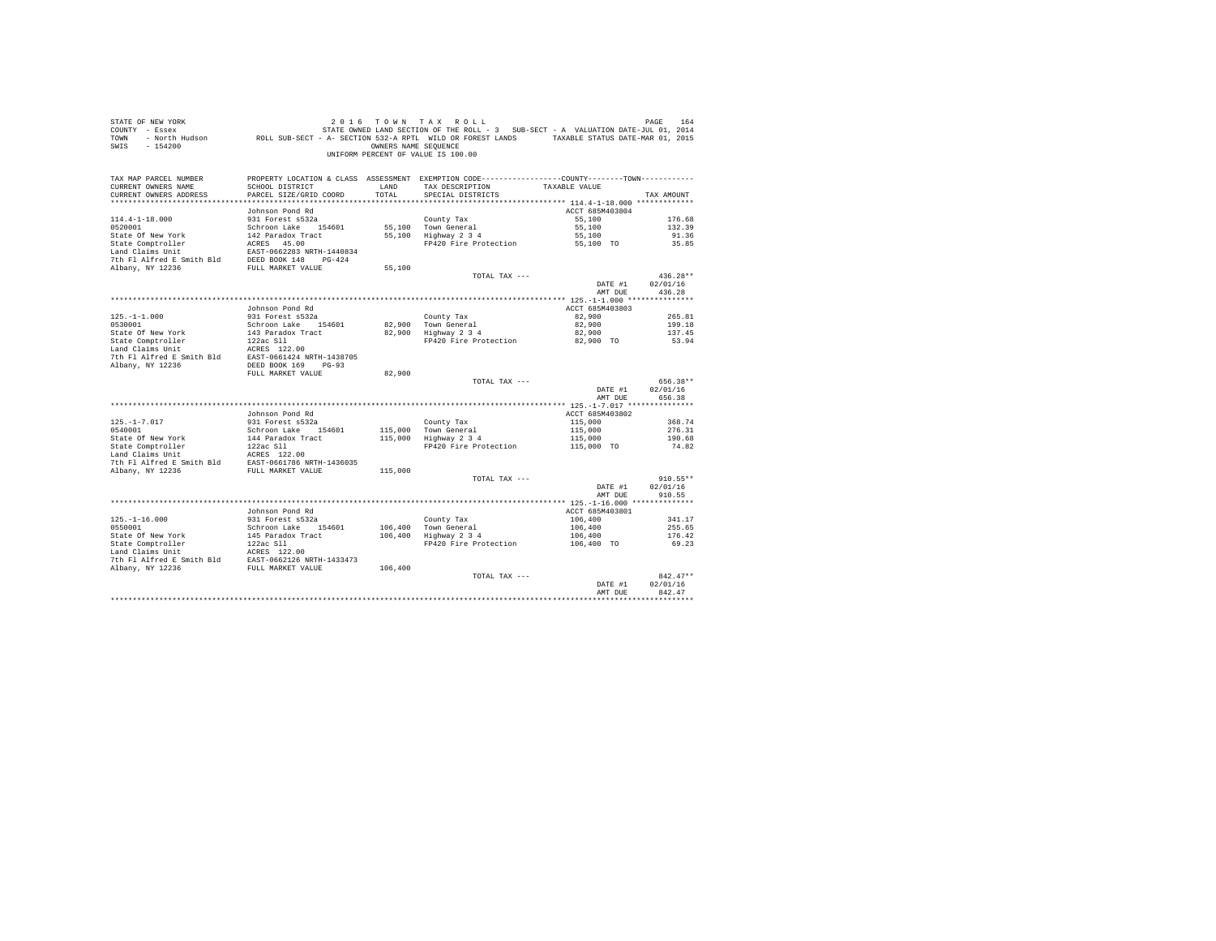| STATE OF NEW YORK<br>COUNTY - Essex<br>TOWN<br>$-154200$<br>SWIS |                                                | OWNERS NAME SEQUENCE | 2016 TOWN TAX ROLL<br>STATE OWNED LAND SECTION OF THE ROLL - 3 SUB-SECT - A VALUATION DATE-JUL 01, 2014<br>- North Hudson ROLL SUB-SECT - A- SECTION 532-A RPTL WILD OR FOREST LANDS TAXABLE STATUS DATE-MAR 01, 2015<br>UNIFORM PERCENT OF VALUE IS 100.00 |                    | PAGE<br>164        |
|------------------------------------------------------------------|------------------------------------------------|----------------------|-------------------------------------------------------------------------------------------------------------------------------------------------------------------------------------------------------------------------------------------------------------|--------------------|--------------------|
| TAX MAP PARCEL NUMBER                                            |                                                |                      | PROPERTY LOCATION & CLASS ASSESSMENT EXEMPTION CODE---------------COUNTY-------TOWN----------                                                                                                                                                               |                    |                    |
| CURRENT OWNERS NAME<br>CURRENT OWNERS ADDRESS                    | SCHOOL DISTRICT<br>PARCEL SIZE/GRID COORD      | LAND<br>TOTAL        | TAX DESCRIPTION<br>SPECIAL DISTRICTS                                                                                                                                                                                                                        | TAXABLE VALUE      | TAX AMOUNT         |
|                                                                  |                                                |                      |                                                                                                                                                                                                                                                             |                    |                    |
|                                                                  | Johnson Pond Rd                                |                      |                                                                                                                                                                                                                                                             | ACCT 685M403804    |                    |
| $114.4 - 1 - 18.000$                                             | 931 Forest s532a                               |                      | County Tax                                                                                                                                                                                                                                                  | 55,100             | 176.68             |
| 0520001                                                          | Schroon Lake 154601                            |                      | 55,100 Town General                                                                                                                                                                                                                                         | 55,100             | 132.39             |
| State Of New York                                                | 142 Paradox Tract                              |                      | 55,100 Highway 2 3 4                                                                                                                                                                                                                                        | 55,100             | 91.36              |
| State Comptroller                                                | ACRES 45.00                                    |                      | FP420 Fire Protection                                                                                                                                                                                                                                       | 55,100 TO          | 35.85              |
| Land Claims Unit                                                 | EAST-0662283 NRTH-1440834                      |                      |                                                                                                                                                                                                                                                             |                    |                    |
| 7th Fl Alfred E Smith Bld<br>Albany, NY 12236                    | DEED BOOK 148 PG-424                           |                      |                                                                                                                                                                                                                                                             |                    |                    |
|                                                                  | FULL MARKET VALUE                              | 55,100               | TOTAL TAX ---                                                                                                                                                                                                                                               |                    | $436.28**$         |
|                                                                  |                                                |                      |                                                                                                                                                                                                                                                             | DATE #1            | 02/01/16           |
|                                                                  |                                                |                      |                                                                                                                                                                                                                                                             | AMT DUE            | 436.28             |
|                                                                  |                                                |                      |                                                                                                                                                                                                                                                             |                    |                    |
|                                                                  | Johnson Pond Rd                                |                      |                                                                                                                                                                                                                                                             | ACCT 685M403803    |                    |
| $125. - 1 - 1.000$                                               | 931 Forest s532a                               |                      | County Tax                                                                                                                                                                                                                                                  | 82,900             | 265.81             |
| 0530001                                                          | Schroon Lake 154601<br>143 Paradox Tract       | 82,900               | Town General<br>Highway 2 3 4                                                                                                                                                                                                                               | 82,900<br>82,900   | 199.18             |
| State Of New York<br>State Comptroller                           | 122ac Sll                                      | 82,900               | FP420 Fire Protection                                                                                                                                                                                                                                       | 82,900 TO          | 137.45<br>53.94    |
| Land Claims Unit                                                 | ACRES 122.00                                   |                      |                                                                                                                                                                                                                                                             |                    |                    |
| 7th Fl Alfred E Smith Bld                                        | EAST-0661424 NRTH-1438705                      |                      |                                                                                                                                                                                                                                                             |                    |                    |
| Albany, NY 12236                                                 | DEED BOOK 169 PG-93                            |                      |                                                                                                                                                                                                                                                             |                    |                    |
|                                                                  | FULL MARKET VALUE                              | 82,900               |                                                                                                                                                                                                                                                             |                    |                    |
|                                                                  |                                                |                      | TOTAL TAX ---                                                                                                                                                                                                                                               |                    | 656.38**           |
|                                                                  |                                                |                      |                                                                                                                                                                                                                                                             | DATE #1            | 02/01/16<br>656.38 |
|                                                                  |                                                |                      |                                                                                                                                                                                                                                                             | AMT DUE            |                    |
|                                                                  | Johnson Pond Rd                                |                      |                                                                                                                                                                                                                                                             | ACCT 685M403802    |                    |
| $125. - 1 - 7.017$                                               | 931 Forest s532a                               |                      | County Tax                                                                                                                                                                                                                                                  | 115,000            | 368.74             |
| 0540001                                                          | Schroon Lake 154601                            | 115,000              | Town General                                                                                                                                                                                                                                                | 115,000            | 276.31             |
| State Of New York                                                | 144 Paradox Tract                              | 115,000              | Highway 2 3 4                                                                                                                                                                                                                                               | 115,000            | 190.68             |
| State Comptroller                                                | 122ac Sll                                      |                      | FP420 Fire Protection                                                                                                                                                                                                                                       | 115,000 TO         | 74.82              |
| Land Claims Unit                                                 | ACRES 122.00                                   |                      |                                                                                                                                                                                                                                                             |                    |                    |
| 7th Fl Alfred E Smith Bld<br>Albany, NY 12236                    | EAST-0661786 NRTH-1436035<br>FULL MARKET VALUE | 115,000              |                                                                                                                                                                                                                                                             |                    |                    |
|                                                                  |                                                |                      | TOTAL TAX ---                                                                                                                                                                                                                                               |                    | $910.55**$         |
|                                                                  |                                                |                      |                                                                                                                                                                                                                                                             | DATE #1            | 02/01/16           |
|                                                                  |                                                |                      |                                                                                                                                                                                                                                                             | AMT DUE            | 910.55             |
|                                                                  |                                                |                      |                                                                                                                                                                                                                                                             |                    |                    |
|                                                                  | Johnson Pond Rd                                |                      |                                                                                                                                                                                                                                                             | ACCT 685M403801    |                    |
| $125. - 1 - 16.000$<br>0550001                                   | 931 Forest s532a                               |                      | County Tax                                                                                                                                                                                                                                                  | 106,400            | 341.17             |
| State Of New York                                                | Schroon Lake 154601<br>145 Paradox Tract       | 106,400<br>106,400   | Town General<br>Highway 2 3 4                                                                                                                                                                                                                               | 106,400<br>106,400 | 255.65<br>176.42   |
| State Comptroller                                                | 122ac Sll                                      |                      | FP420 Fire Protection                                                                                                                                                                                                                                       | 106,400 TO         | 69.23              |
| Land Claims Unit                                                 | ACRES 122.00                                   |                      |                                                                                                                                                                                                                                                             |                    |                    |
| 7th Fl Alfred E Smith Bld                                        | EAST-0662126 NRTH-1433473                      |                      |                                                                                                                                                                                                                                                             |                    |                    |
| Albany, NY 12236                                                 | FULL MARKET VALUE                              | 106,400              |                                                                                                                                                                                                                                                             |                    |                    |
|                                                                  |                                                |                      | TOTAL TAX ---                                                                                                                                                                                                                                               |                    | $842.47**$         |
|                                                                  |                                                |                      |                                                                                                                                                                                                                                                             | DATE #1<br>AMT DUE | 02/01/16<br>842.47 |
|                                                                  |                                                |                      |                                                                                                                                                                                                                                                             |                    |                    |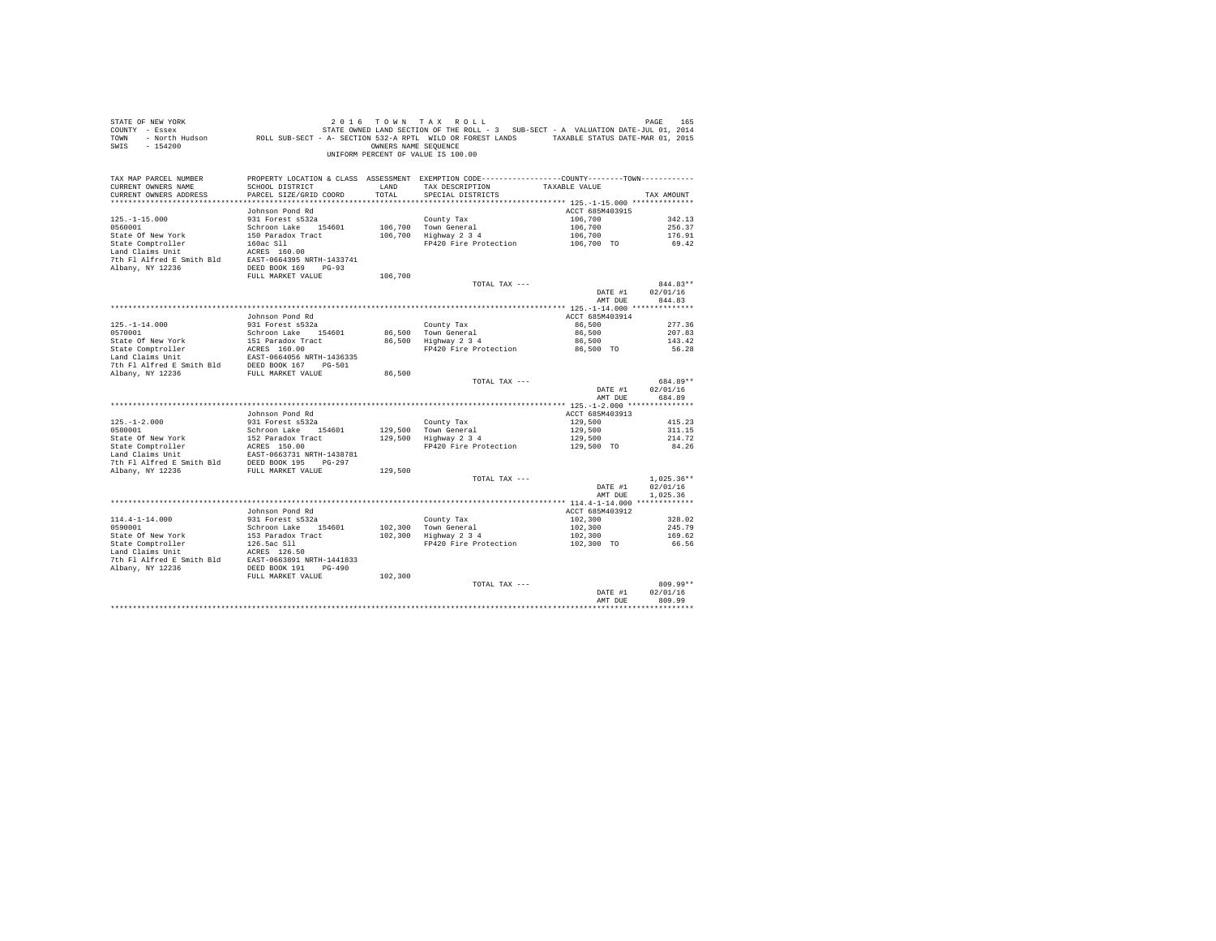| STATE OF NEW YORK<br>COUNTY - Essex<br>TOWN<br>SWIS<br>$-154200$ | - North Hudson ROLL SUB-SECT - A- SECTION 532-A RPTL WILD OR FOREST LANDS TAXABLE STATUS DATE-MAR 01, 2015 | OWNERS NAME SEQUENCE | 2016 TOWN TAX ROLL<br>STATE OWNED LAND SECTION OF THE ROLL - 3 SUB-SECT - A VALUATION DATE-JUL 01, 2014<br>UNIFORM PERCENT OF VALUE IS 100.00 |                 | PAGE<br>165  |
|------------------------------------------------------------------|------------------------------------------------------------------------------------------------------------|----------------------|-----------------------------------------------------------------------------------------------------------------------------------------------|-----------------|--------------|
| TAX MAP PARCEL NUMBER                                            |                                                                                                            |                      | PROPERTY LOCATION & CLASS ASSESSMENT EXEMPTION CODE---------------COUNTY-------TOWN----------                                                 |                 |              |
| CURRENT OWNERS NAME<br>CURRENT OWNERS ADDRESS                    | SCHOOL DISTRICT<br>PARCEL SIZE/GRID COORD                                                                  | LAND<br>TOTAL        | TAX DESCRIPTION<br>SPECIAL DISTRICTS                                                                                                          | TAXABLE VALUE   | TAX AMOUNT   |
|                                                                  |                                                                                                            |                      |                                                                                                                                               |                 |              |
|                                                                  | Johnson Pond Rd                                                                                            |                      |                                                                                                                                               | ACCT 685M403915 |              |
| $125. - 1 - 15.000$                                              | 931 Forest s532a                                                                                           |                      | County Tax                                                                                                                                    | 106,700         | 342.13       |
| 0560001                                                          | Schroon Lake 154601                                                                                        |                      | 106,700 Town General                                                                                                                          | 106,700         | 256.37       |
| State Of New York                                                | 150 Paradox Tract                                                                                          |                      | 106,700 Highway 2 3 4                                                                                                                         | 106,700         | 176.91       |
| State Comptroller                                                | 160ac Sll                                                                                                  |                      | FP420 Fire Protection                                                                                                                         | 106,700 TO      | 69.42        |
| Land Claims Unit                                                 | ACRES 160.00                                                                                               |                      |                                                                                                                                               |                 |              |
| 7th Fl Alfred E Smith Bld                                        | EAST-0664395 NRTH-1433741                                                                                  |                      |                                                                                                                                               |                 |              |
| Albany, NY 12236                                                 | DEED BOOK 169<br>$PG-93$                                                                                   |                      |                                                                                                                                               |                 |              |
|                                                                  | FULL MARKET VALUE                                                                                          | 106,700              | TOTAL TAX ---                                                                                                                                 |                 | $844.83**$   |
|                                                                  |                                                                                                            |                      |                                                                                                                                               | DATE #1         | 02/01/16     |
|                                                                  |                                                                                                            |                      |                                                                                                                                               | AMT DUE         | 844.83       |
|                                                                  |                                                                                                            |                      |                                                                                                                                               |                 |              |
|                                                                  | Johnson Pond Rd                                                                                            |                      |                                                                                                                                               | ACCT 685M403914 |              |
| $125. - 1 - 14.000$                                              | 931 Forest s532a                                                                                           |                      | County Tax                                                                                                                                    | 86,500          | 277.36       |
| 0570001                                                          | Schroon Lake 154601                                                                                        |                      | 86.500 Town General                                                                                                                           | 86,500          | 207.83       |
| State Of New York                                                | 151 Paradox Tract                                                                                          |                      | 86,500 Highway 2 3 4                                                                                                                          | 86,500          | 143.42       |
| State Comptroller                                                | ACRES 160.00                                                                                               |                      | FP420 Fire Protection                                                                                                                         | 86,500 TO       | 56.28        |
| Land Claims Unit                                                 | EAST-0664056 NRTH-1436335                                                                                  |                      |                                                                                                                                               |                 |              |
| 7th Fl Alfred E Smith Bld<br>Albany, NY 12236                    | DEED BOOK 167 PG-501                                                                                       |                      |                                                                                                                                               |                 |              |
|                                                                  | FULL MARKET VALUE                                                                                          | 86,500               | TOTAL TAX ---                                                                                                                                 |                 | 684.89**     |
|                                                                  |                                                                                                            |                      |                                                                                                                                               | DATE #1         | 02/01/16     |
|                                                                  |                                                                                                            |                      |                                                                                                                                               | AMT DUE         | 684.89       |
|                                                                  |                                                                                                            |                      |                                                                                                                                               |                 |              |
|                                                                  | Johnson Pond Rd                                                                                            |                      |                                                                                                                                               | ACCT 685M403913 |              |
| $125. - 1 - 2.000$                                               | 931 Forest s532a                                                                                           |                      | County Tax                                                                                                                                    | 129,500         | 415.23       |
| 0580001                                                          | Schroon Lake 154601                                                                                        |                      | 129,500 Town General                                                                                                                          | 129,500         | 311.15       |
| State Of New York                                                | 152 Paradox Tract                                                                                          |                      | 129,500 Highway 2 3 4                                                                                                                         | 129,500         | 214.72       |
| State Comptroller                                                | ACRES 150.00                                                                                               |                      | FP420 Fire Protection                                                                                                                         | 129,500 TO      | 84.26        |
| Land Claims Unit<br>7th Fl Alfred E Smith Bld                    | EAST-0663731 NRTH-1438781<br>DEED BOOK 195 PG-297                                                          |                      |                                                                                                                                               |                 |              |
| Albany, NY 12236                                                 | FULL MARKET VALUE                                                                                          | 129,500              |                                                                                                                                               |                 |              |
|                                                                  |                                                                                                            |                      | TOTAL TAX ---                                                                                                                                 |                 | $1.025.36**$ |
|                                                                  |                                                                                                            |                      |                                                                                                                                               | DATE #1         | 02/01/16     |
|                                                                  |                                                                                                            |                      |                                                                                                                                               | AMT DUE         | 1.025.36     |
|                                                                  |                                                                                                            |                      |                                                                                                                                               |                 |              |
|                                                                  | Johnson Pond Rd                                                                                            |                      |                                                                                                                                               | ACCT 685M403912 |              |
| $114.4 - 1 - 14.000$                                             | 931 Forest s532a                                                                                           |                      | County Tax                                                                                                                                    | 102,300         | 328.02       |
| 0590001                                                          | Schroon Lake 154601                                                                                        | 102,300              | Town General                                                                                                                                  | 102,300         | 245.79       |
| State Of New York                                                | 153 Paradox Tract                                                                                          |                      | 102,300 Highway 2 3 4                                                                                                                         | 102,300         | 169.62       |
| State Comptroller<br>Land Claims Unit                            | 126.5ac Sll<br>ACRES 126.50                                                                                |                      | FP420 Fire Protection                                                                                                                         | 102,300 TO      | 66.56        |
| 7th Fl Alfred E Smith Bld                                        | EAST-0663891 NRTH-1441833                                                                                  |                      |                                                                                                                                               |                 |              |
| Albany, NY 12236                                                 | DEED BOOK 191 PG-490                                                                                       |                      |                                                                                                                                               |                 |              |
|                                                                  | FULL MARKET VALUE                                                                                          | 102,300              |                                                                                                                                               |                 |              |
|                                                                  |                                                                                                            |                      | TOTAL TAX ---                                                                                                                                 |                 | 809.99**     |
|                                                                  |                                                                                                            |                      |                                                                                                                                               | DATE #1         | 02/01/16     |
|                                                                  |                                                                                                            |                      |                                                                                                                                               | AMT DUE         | 809.99       |
|                                                                  |                                                                                                            |                      |                                                                                                                                               |                 | **********   |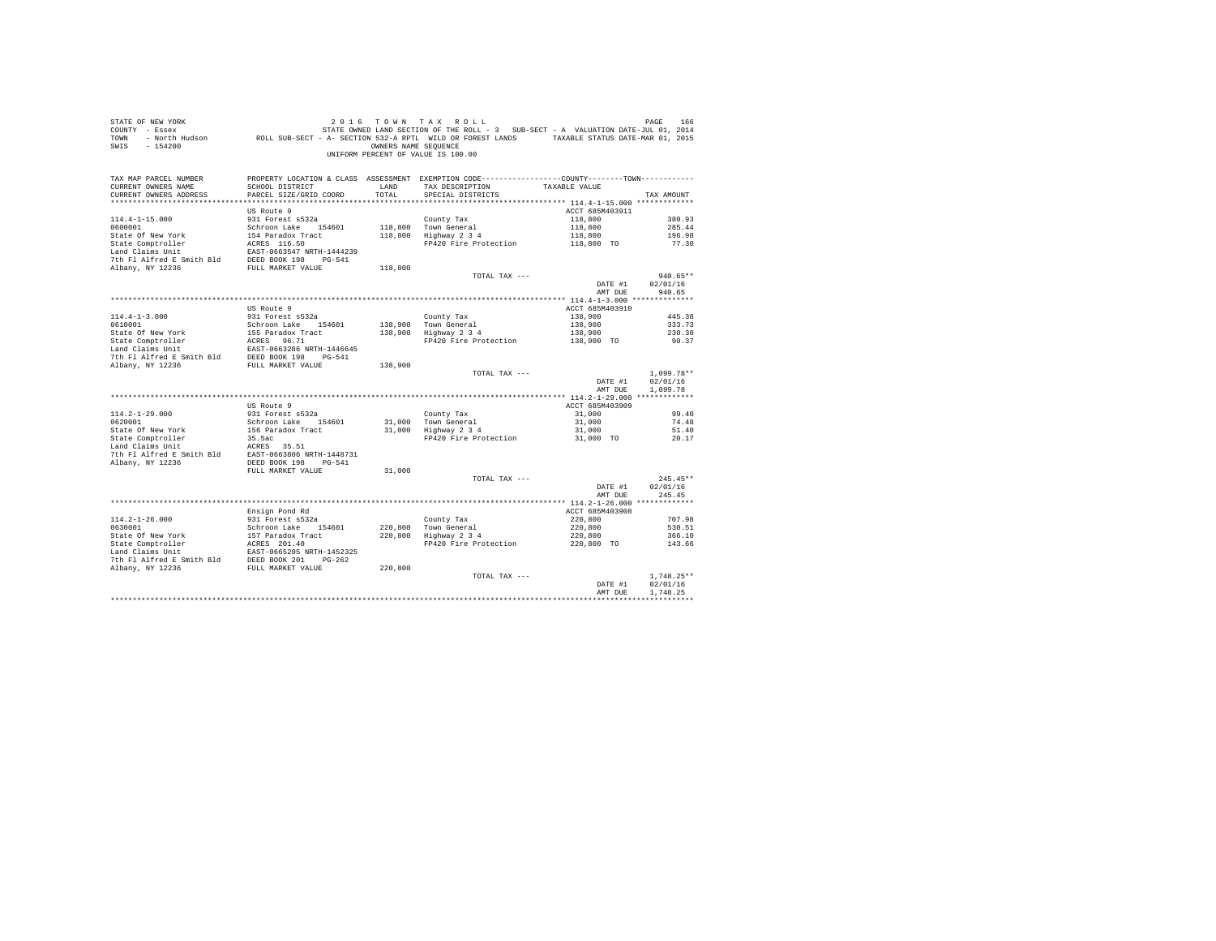| STATE OF NEW YORK<br>COUNTY - Essex<br>TOWN<br>SWIS - 154200                                                                                                                                                                             |                                           | OWNERS NAME SEQUENCE | 2016 TOWN TAX ROLL<br>166 – PAGE 166 – 2016 – 2017 M TAX ROLL<br>T – Essex – STATE OWNED LAND SECTION OF THE ROLL – 3 SUB-SECT – A VALUATION DATE-JUL 01, 2014<br>ROLL SUB-SECT – A SECTION 532-A RPTL WILD OR FOREST LANDS – TAXABLE STATUS DATE-MAR 01,<br>UNIFORM PERCENT OF VALUE IS 100.00 |                    | PAGE<br>166              |
|------------------------------------------------------------------------------------------------------------------------------------------------------------------------------------------------------------------------------------------|-------------------------------------------|----------------------|-------------------------------------------------------------------------------------------------------------------------------------------------------------------------------------------------------------------------------------------------------------------------------------------------|--------------------|--------------------------|
| TAX MAP PARCEL NUMBER                                                                                                                                                                                                                    |                                           |                      | PROPERTY LOCATION & CLASS ASSESSMENT EXEMPTION CODE---------------COUNTY-------TOWN----------                                                                                                                                                                                                   |                    |                          |
| CURRENT OWNERS NAME<br>CURRENT OWNERS ADDRESS                                                                                                                                                                                            | SCHOOL DISTRICT<br>PARCEL SIZE/GRID COORD | LAND<br>TOTAL        | TAX DESCRIPTION<br>SPECIAL DISTRICTS                                                                                                                                                                                                                                                            | TAXABLE VALUE      | TAX AMOUNT               |
|                                                                                                                                                                                                                                          |                                           |                      |                                                                                                                                                                                                                                                                                                 |                    |                          |
|                                                                                                                                                                                                                                          | US Route 9                                |                      |                                                                                                                                                                                                                                                                                                 | ACCT 685M403911    |                          |
| $114.4 - 1 - 15.000$                                                                                                                                                                                                                     | 931 Forest s532a                          |                      | County Tax                                                                                                                                                                                                                                                                                      | 118,800            | 380.93                   |
| 0600001                                                                                                                                                                                                                                  | Schroon Lake 154601                       |                      |                                                                                                                                                                                                                                                                                                 | 118,800            | 285.44                   |
| State Of New York                                                                                                                                                                                                                        | 154 Paradox Tract                         |                      | 118,800 Town General<br>118,800 Highway 2 3 4                                                                                                                                                                                                                                                   | 118,800            | 196.98                   |
| State Comptroller                                                                                                                                                                                                                        | ACRES 116.50<br>EAST-0663547 NRTH-1444239 |                      | FP420 Fire Protection                                                                                                                                                                                                                                                                           | 118,800 TO         | 77.30                    |
| Land Claims Unit                                                                                                                                                                                                                         |                                           |                      |                                                                                                                                                                                                                                                                                                 |                    |                          |
| 7th Fl Alfred E Smith Bld                                                                                                                                                                                                                | DEED BOOK 198 PG-541                      |                      |                                                                                                                                                                                                                                                                                                 |                    |                          |
| Albany, NY 12236                                                                                                                                                                                                                         | FULL MARKET VALUE                         | 118,800              |                                                                                                                                                                                                                                                                                                 |                    |                          |
|                                                                                                                                                                                                                                          |                                           |                      | TOTAL TAX ---                                                                                                                                                                                                                                                                                   |                    | $940.65**$               |
|                                                                                                                                                                                                                                          |                                           |                      |                                                                                                                                                                                                                                                                                                 | DATE #1<br>AMT DUE | 02/01/16<br>940.65       |
|                                                                                                                                                                                                                                          |                                           |                      |                                                                                                                                                                                                                                                                                                 |                    |                          |
|                                                                                                                                                                                                                                          | US Route 9                                |                      |                                                                                                                                                                                                                                                                                                 | ACCT 685M403910    |                          |
| $114.4 - 1 - 3.000$                                                                                                                                                                                                                      | 931 Forest s532a                          |                      | County Tax                                                                                                                                                                                                                                                                                      | 138,900            | 445.38                   |
| 0610001                                                                                                                                                                                                                                  | Schroon Lake 154601                       | 138,900              |                                                                                                                                                                                                                                                                                                 | 138,900            | 333.73                   |
|                                                                                                                                                                                                                                          |                                           | 138,900              | Town General<br>Highway 2 3 4                                                                                                                                                                                                                                                                   | 138,900            | 230.30                   |
|                                                                                                                                                                                                                                          |                                           |                      | FP420 Fire Protection                                                                                                                                                                                                                                                                           | 138,900 TO         | 90.37                    |
|                                                                                                                                                                                                                                          |                                           |                      |                                                                                                                                                                                                                                                                                                 |                    |                          |
| 0110011<br>State Of New York 155 Paradox Tract<br>State Comptroller ACRES 96.71<br>Land Claims Unit<br>16.000266 NRTH-1446645<br>7th Fl Alfred E Smith Bld DEED BOOK 198<br>7th Fl Alfred E Smith Bld DEED BOOK 198<br>PULL MARKET VALUE |                                           |                      |                                                                                                                                                                                                                                                                                                 |                    |                          |
|                                                                                                                                                                                                                                          |                                           | 138,900              |                                                                                                                                                                                                                                                                                                 |                    |                          |
|                                                                                                                                                                                                                                          |                                           |                      | TOTAL TAX ---                                                                                                                                                                                                                                                                                   |                    | $1,099.78**$<br>02/01/16 |
|                                                                                                                                                                                                                                          |                                           |                      |                                                                                                                                                                                                                                                                                                 | DATE #1<br>AMT DUE | 1,099.78                 |
|                                                                                                                                                                                                                                          |                                           |                      |                                                                                                                                                                                                                                                                                                 |                    |                          |
|                                                                                                                                                                                                                                          | US Route 9                                |                      |                                                                                                                                                                                                                                                                                                 | ACCT 685M403909    |                          |
| $114.2 - 1 - 29.000$                                                                                                                                                                                                                     | 931 Forest s532a                          |                      | County Tax                                                                                                                                                                                                                                                                                      | 31,000             | 99.40                    |
| 0620001                                                                                                                                                                                                                                  | Schroon Lake 154601                       |                      |                                                                                                                                                                                                                                                                                                 | 31,000             | 74.48                    |
|                                                                                                                                                                                                                                          |                                           |                      | County Tax<br>31,000 Town General<br>31,000 Highway 2 3 4                                                                                                                                                                                                                                       | 31,000             | 51.40                    |
|                                                                                                                                                                                                                                          |                                           |                      | FP420 Fire Protection                                                                                                                                                                                                                                                                           | 31,000 TO          | 20.17                    |
| State Of New York 156 Paradox Tract<br>State Comptroller 35.5<br>act<br>195.5 State Comptom 195.5 35.51 Land Claims Unit 2012<br>7th Fl Alfred E Smith Bld 288T-0663806 NRTH-1448731                                                     |                                           |                      |                                                                                                                                                                                                                                                                                                 |                    |                          |
|                                                                                                                                                                                                                                          |                                           |                      |                                                                                                                                                                                                                                                                                                 |                    |                          |
| Albany, NY 12236                                                                                                                                                                                                                         | DEED BOOK 198 PG-541<br>FULL MARKET VALUE | 31,000               |                                                                                                                                                                                                                                                                                                 |                    |                          |
|                                                                                                                                                                                                                                          |                                           |                      | TOTAL TAX ---                                                                                                                                                                                                                                                                                   |                    | $245.45**$               |
|                                                                                                                                                                                                                                          |                                           |                      |                                                                                                                                                                                                                                                                                                 | DATE #1            | 02/01/16                 |
|                                                                                                                                                                                                                                          |                                           |                      |                                                                                                                                                                                                                                                                                                 | AMT DUE            | 245.45                   |
|                                                                                                                                                                                                                                          |                                           |                      |                                                                                                                                                                                                                                                                                                 |                    |                          |
|                                                                                                                                                                                                                                          | Ensign Pond Rd                            |                      |                                                                                                                                                                                                                                                                                                 | ACCT 685M403908    |                          |
| $114.2 - 1 - 26.000$                                                                                                                                                                                                                     | 931 Forest s532a                          |                      |                                                                                                                                                                                                                                                                                                 | 220,800            | 707.98                   |
| 0630001                                                                                                                                                                                                                                  | Schroon Lake 154601                       | 220,800              | County Tax<br>Town General<br>Highway 2 3 4                                                                                                                                                                                                                                                     | 220,800            | 530.51                   |
|                                                                                                                                                                                                                                          |                                           | 220,800              |                                                                                                                                                                                                                                                                                                 | 220,800            | 366.10                   |
|                                                                                                                                                                                                                                          |                                           |                      | FP420 Fire Protection                                                                                                                                                                                                                                                                           | 220,800 TO         | 143.66                   |
|                                                                                                                                                                                                                                          |                                           |                      |                                                                                                                                                                                                                                                                                                 |                    |                          |
|                                                                                                                                                                                                                                          |                                           | 220,800              |                                                                                                                                                                                                                                                                                                 |                    |                          |
|                                                                                                                                                                                                                                          |                                           |                      | TOTAL TAX ---                                                                                                                                                                                                                                                                                   |                    | $1.748.25**$             |
|                                                                                                                                                                                                                                          |                                           |                      |                                                                                                                                                                                                                                                                                                 | DATE #1            | 02/01/16                 |
|                                                                                                                                                                                                                                          |                                           |                      |                                                                                                                                                                                                                                                                                                 | AMT DUE            | 1.748.25                 |
|                                                                                                                                                                                                                                          |                                           |                      |                                                                                                                                                                                                                                                                                                 |                    |                          |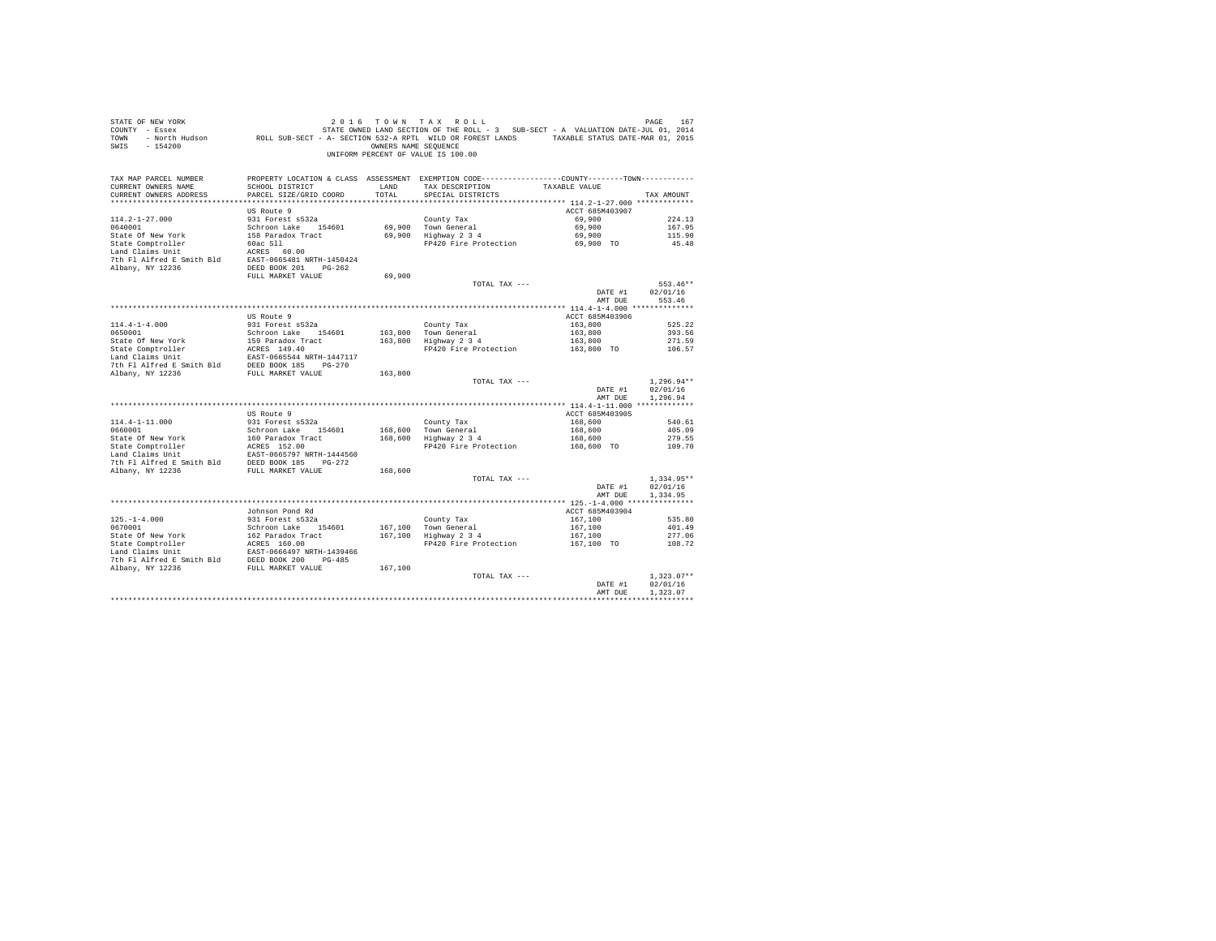| STATE OF NEW YORK<br>COUNTY - Essex<br>TOWN<br>SWIS<br>$-154200$ | - North Hudson ROLL SUB-SECT - A- SECTION 532-A RPTL WILD OR FOREST LANDS TAXABLE STATUS DATE-MAR 01, 2015 | OWNERS NAME SEQUENCE | 2016 TOWN TAX ROLL<br>STATE OWNED LAND SECTION OF THE ROLL - 3 SUB-SECT - A VALUATION DATE-JUL 01, 2014<br>UNIFORM PERCENT OF VALUE IS 100.00 |                 | PAGE<br>167  |
|------------------------------------------------------------------|------------------------------------------------------------------------------------------------------------|----------------------|-----------------------------------------------------------------------------------------------------------------------------------------------|-----------------|--------------|
| TAX MAP PARCEL NUMBER<br>CURRENT OWNERS NAME                     | SCHOOL DISTRICT                                                                                            | LAND                 | PROPERTY LOCATION & CLASS ASSESSMENT EXEMPTION CODE---------------COUNTY-------TOWN---------<br>TAX DESCRIPTION TAXABLE VALUE                 |                 |              |
| CURRENT OWNERS ADDRESS                                           | PARCEL SIZE/GRID COORD                                                                                     | TOTAL                | SPECIAL DISTRICTS                                                                                                                             |                 | TAX AMOUNT   |
|                                                                  |                                                                                                            |                      |                                                                                                                                               |                 |              |
|                                                                  | US Route 9                                                                                                 |                      |                                                                                                                                               | ACCT 685M403907 |              |
| $114.2 - 1 - 27.000$                                             | 931 Forest s532a                                                                                           |                      | County Tax                                                                                                                                    | 69,900          | 224.13       |
| 0640001                                                          | Schroon Lake 154601                                                                                        |                      | 69.900 Town General                                                                                                                           | 69,900          | 167.95       |
| State Of New York                                                | 158 Paradox Tract                                                                                          |                      | 69,900 Highway 2 3 4                                                                                                                          | 69,900          | 115.90       |
| State Comptroller                                                | 60ac Sll                                                                                                   |                      | FP420 Fire Protection                                                                                                                         | 69,900 TO       | 45.48        |
| Land Claims Unit                                                 | ACRES 60.00                                                                                                |                      |                                                                                                                                               |                 |              |
| 7th Fl Alfred E Smith Bld                                        | EAST-0665481 NRTH-1450424                                                                                  |                      |                                                                                                                                               |                 |              |
| Albany, NY 12236                                                 | DEED BOOK 201    PG-262                                                                                    |                      |                                                                                                                                               |                 |              |
|                                                                  | FULL MARKET VALUE                                                                                          | 69,900               |                                                                                                                                               |                 |              |
|                                                                  |                                                                                                            |                      | TOTAL TAX ---                                                                                                                                 |                 | 553.46**     |
|                                                                  |                                                                                                            |                      |                                                                                                                                               | DATE #1         | 02/01/16     |
|                                                                  |                                                                                                            |                      |                                                                                                                                               | AMT DUE         | 553.46       |
|                                                                  |                                                                                                            |                      |                                                                                                                                               |                 |              |
|                                                                  | US Route 9                                                                                                 |                      |                                                                                                                                               | ACCT 685M403906 |              |
| $114.4 - 1 - 4.000$                                              | 931 Forest s532a                                                                                           |                      | County Tax                                                                                                                                    | 163,800         | 525.22       |
| 0650001                                                          | Schroon Lake 154601                                                                                        |                      | 163,800 Town General                                                                                                                          | 163,800         | 393.56       |
| State Of New York                                                | 159 Paradox Tract                                                                                          |                      | 163,800 Highway 2 3 4                                                                                                                         | 163,800         | 271.59       |
| State Comptroller                                                | ACRES 149.40                                                                                               |                      | FP420 Fire Protection                                                                                                                         | 163,800 TO      | 106.57       |
| Land Claims Unit                                                 | EAST-0665544 NRTH-1447117                                                                                  |                      |                                                                                                                                               |                 |              |
| 7th Fl Alfred E Smith Bld                                        | DEED BOOK 185 PG-270                                                                                       |                      |                                                                                                                                               |                 |              |
| Albany, NY 12236                                                 | FULL MARKET VALUE                                                                                          | 163,800              |                                                                                                                                               |                 |              |
|                                                                  |                                                                                                            |                      | TOTAL TAX ---                                                                                                                                 |                 | $1.296.94**$ |
|                                                                  |                                                                                                            |                      |                                                                                                                                               | DATE #1         | 02/01/16     |
|                                                                  |                                                                                                            |                      |                                                                                                                                               | AMT DUE         | 1,296.94     |
|                                                                  |                                                                                                            |                      |                                                                                                                                               |                 |              |
|                                                                  | US Route 9                                                                                                 |                      |                                                                                                                                               | ACCT 685M403905 |              |
| $114.4 - 1 - 11.000$                                             | 931 Forest s532a                                                                                           |                      | County Tax                                                                                                                                    | 168,600         | 540.61       |
| 0660001                                                          | Schroon Lake 154601                                                                                        |                      | 168,600 Town General                                                                                                                          | 168,600         | 405.09       |
| State Of New York                                                | 160 Paradox Tract                                                                                          |                      | 168,600 Highway 2 3 4                                                                                                                         | 168,600         | 279.55       |
| State Comptroller                                                | ACRES 152.00                                                                                               |                      | FP420 Fire Protection                                                                                                                         | 168,600 TO      | 109.70       |
| Land Claims Unit                                                 | EAST-0665797 NRTH-1444560                                                                                  |                      |                                                                                                                                               |                 |              |
| 7th Fl Alfred E Smith Bld                                        | DEED BOOK 185 PG-272                                                                                       |                      |                                                                                                                                               |                 |              |
| Albany, NY 12236                                                 | FULL MARKET VALUE                                                                                          | 168,600              |                                                                                                                                               |                 |              |
|                                                                  |                                                                                                            |                      | TOTAL TAX ---                                                                                                                                 |                 | $1.334.95**$ |
|                                                                  |                                                                                                            |                      |                                                                                                                                               | DATE #1         | 02/01/16     |
|                                                                  |                                                                                                            |                      |                                                                                                                                               | AMT DUE         | 1.334.95     |
|                                                                  |                                                                                                            |                      |                                                                                                                                               |                 |              |
|                                                                  | Johnson Pond Rd                                                                                            |                      |                                                                                                                                               | ACCT 685M403904 |              |
| $125. - 1 - 4.000$                                               | 931 Forest s532a                                                                                           |                      | County Tax                                                                                                                                    | 167,100         | 535.80       |
| 0670001                                                          | Schroon Lake 154601                                                                                        |                      | 167.100 Town General                                                                                                                          | 167,100         | 401.49       |
| State Of New York                                                | 162 Paradox Tract                                                                                          |                      | 167,100 Highway 2 3 4                                                                                                                         | 167,100         | 277.06       |
| State Comptroller                                                | ACRES 160.00                                                                                               |                      | FP420 Fire Protection                                                                                                                         | 167,100 TO      | 108.72       |
| Land Claims Unit                                                 | EAST-0666497 NRTH-1439466                                                                                  |                      |                                                                                                                                               |                 |              |
| 7th Fl Alfred E Smith Bld                                        | DEED BOOK 200 PG-485                                                                                       |                      |                                                                                                                                               |                 |              |
| Albany, NY 12236                                                 | FULL MARKET VALUE                                                                                          | 167,100              |                                                                                                                                               |                 |              |
|                                                                  |                                                                                                            |                      | TOTAL TAX ---                                                                                                                                 |                 | $1.323.07**$ |
|                                                                  |                                                                                                            |                      |                                                                                                                                               | DATE #1         | 02/01/16     |
|                                                                  |                                                                                                            |                      |                                                                                                                                               | AMT DUE         | 1.323.07     |
|                                                                  |                                                                                                            |                      |                                                                                                                                               |                 |              |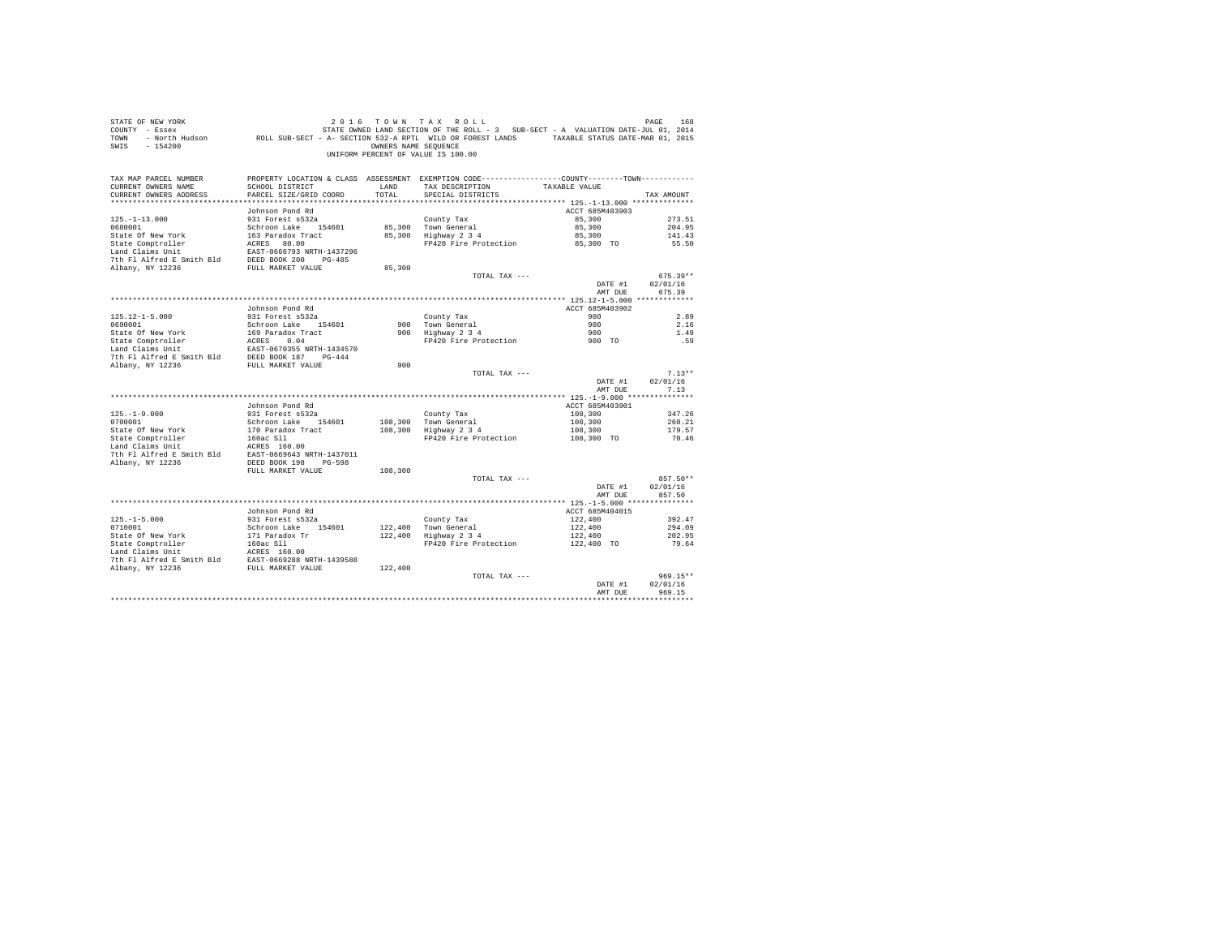| PAGE 168 168 169 2016 TOWN TAX ROLL<br>COUNTY - Essex – STATE ONNED LAND SECTION OF THE ROLL - 3 SUB-SECT - A VALUATION DATE-JUL 01, 2014<br>TOWN - North Hudson – ROLL SUB-SECT - A-SECTION 532-A RPTL WILD OR FOREST LANDS – TAXAB<br>SWIS - 154200 |                                                   | OWNERS NAME SEQUENCE | 2016 TOWN TAX ROLL<br>UNIFORM PERCENT OF VALUE IS 100.00                                                         |                    |                    |
|-------------------------------------------------------------------------------------------------------------------------------------------------------------------------------------------------------------------------------------------------------|---------------------------------------------------|----------------------|------------------------------------------------------------------------------------------------------------------|--------------------|--------------------|
| TAX MAP PARCEL NUMBER<br>CURRENT OWNERS NAME                                                                                                                                                                                                          | SCHOOL DISTRICT                                   | LAND                 | PROPERTY LOCATION & CLASS ASSESSMENT EXEMPTION CODE---------------COUNTY-------TOWN----------<br>TAX DESCRIPTION | TAXABLE VALUE      |                    |
| CURRENT OWNERS ADDRESS                                                                                                                                                                                                                                | PARCEL SIZE/GRID COORD                            | TOTAL                | SPECIAL DISTRICTS                                                                                                |                    | TAX AMOUNT         |
|                                                                                                                                                                                                                                                       |                                                   |                      |                                                                                                                  |                    |                    |
|                                                                                                                                                                                                                                                       | Johnson Pond Rd                                   |                      |                                                                                                                  | ACCT 685M403903    |                    |
| $125. - 1 - 13.000$                                                                                                                                                                                                                                   | 931 Forest s532a                                  |                      | County Tax                                                                                                       | 85,300             | 273.51             |
| 0680001                                                                                                                                                                                                                                               | Schroon Lake 154601                               |                      | 85,300 Town General<br>85,300 Highway 2 3 4                                                                      | 85,300             | 204.95             |
| State Of New York                                                                                                                                                                                                                                     | 163 Paradox Tract                                 |                      |                                                                                                                  | 85,300             | 141.43             |
| State Comptroller                                                                                                                                                                                                                                     | ACRES 80.00<br>EAST-0666793 NRTH                  |                      | FP420 Fire Protection                                                                                            | 85,300 TO          | 55.50              |
| Land Claims Unit<br>7th Fl Alfred E Smith Bld                                                                                                                                                                                                         | EAST-0666793 NRTH-1437296<br>DEED BOOK 200 PG-485 |                      |                                                                                                                  |                    |                    |
| Albany, NY 12236                                                                                                                                                                                                                                      | FULL MARKET VALUE                                 | 85,300               |                                                                                                                  |                    |                    |
|                                                                                                                                                                                                                                                       |                                                   |                      | TOTAL TAX ---                                                                                                    |                    | $675.39**$         |
|                                                                                                                                                                                                                                                       |                                                   |                      |                                                                                                                  | DATE #1            | 02/01/16           |
|                                                                                                                                                                                                                                                       |                                                   |                      |                                                                                                                  | AMT DUE            | 675.39             |
|                                                                                                                                                                                                                                                       |                                                   |                      |                                                                                                                  |                    |                    |
|                                                                                                                                                                                                                                                       | Johnson Pond Rd                                   |                      |                                                                                                                  | ACCT 685M403902    |                    |
| $125.12 - 1 - 5.000$                                                                                                                                                                                                                                  | 931 Forest s532a                                  |                      | County Tax                                                                                                       | 900                | 2.89               |
| 0690001                                                                                                                                                                                                                                               | Schroon Lake 154601                               |                      | 900 Town General<br>900 Highway 2 3 4                                                                            | 900                | 2.16               |
| State Of New York                                                                                                                                                                                                                                     | 169 Paradox Tract                                 |                      | FP420 Fire Protection                                                                                            | 900                | 1.49               |
|                                                                                                                                                                                                                                                       |                                                   |                      |                                                                                                                  | $900$ TO           | .59                |
| State Comptroller<br>Land Claims Unit<br>EAST-0670355 NRTH-1434570<br>The F1 Alfred E Smith Bld<br>DEED BOOK 187<br>THE-444<br>DEED BOOK 187<br>THE-444<br>THE-444                                                                                    |                                                   |                      |                                                                                                                  |                    |                    |
| Albany, NY 12236                                                                                                                                                                                                                                      | FULL MARKET VALUE                                 | 900                  |                                                                                                                  |                    |                    |
|                                                                                                                                                                                                                                                       |                                                   |                      | TOTAL TAX ---                                                                                                    |                    | $7.13**$           |
|                                                                                                                                                                                                                                                       |                                                   |                      |                                                                                                                  | DATE #1            | 02/01/16           |
|                                                                                                                                                                                                                                                       |                                                   |                      |                                                                                                                  | AMT DUE            | 7.13               |
|                                                                                                                                                                                                                                                       |                                                   |                      |                                                                                                                  |                    |                    |
|                                                                                                                                                                                                                                                       | Johnson Pond Rd                                   |                      |                                                                                                                  | ACCT 685M403901    |                    |
| $125. - 1 - 9.000$<br>0700001                                                                                                                                                                                                                         | 931 Forest s532a<br>Schroon Lake 154601           |                      | County Tax<br>108,300 Town General                                                                               | 108,300<br>108,300 | 347.26<br>260.21   |
| State Of New York                                                                                                                                                                                                                                     | 170 Paradox Tract                                 |                      | $108,300$ Highway $2\overline{3}4$                                                                               | 108,300            | 179.57             |
|                                                                                                                                                                                                                                                       |                                                   |                      | FP420 Fire Protection                                                                                            | 108,300 TO         | 70.46              |
|                                                                                                                                                                                                                                                       |                                                   |                      |                                                                                                                  |                    |                    |
|                                                                                                                                                                                                                                                       |                                                   |                      |                                                                                                                  |                    |                    |
| Albany, NY 12236                                                                                                                                                                                                                                      | DEED BOOK 198 PG-598                              |                      |                                                                                                                  |                    |                    |
|                                                                                                                                                                                                                                                       | FULL MARKET VALUE                                 | 108,300              |                                                                                                                  |                    |                    |
|                                                                                                                                                                                                                                                       |                                                   |                      | TOTAL TAX ---                                                                                                    |                    | 857.50**           |
|                                                                                                                                                                                                                                                       |                                                   |                      |                                                                                                                  | DATE #1<br>AMT DUE | 02/01/16<br>857.50 |
|                                                                                                                                                                                                                                                       |                                                   |                      |                                                                                                                  |                    |                    |
|                                                                                                                                                                                                                                                       | Johnson Pond Rd                                   |                      |                                                                                                                  | ACCT 685M404015    |                    |
| $125. -1 - 5.000$                                                                                                                                                                                                                                     | 931 Forest s532a                                  |                      | County Tax                                                                                                       | 122,400            | 392.47             |
| 0710001                                                                                                                                                                                                                                               | Schroon Lake 154601                               |                      | 122,400 Town General<br>122,400 Highway 2 3 4                                                                    | 122,400            | 294.09             |
| State Of New York                                                                                                                                                                                                                                     | 171 Paradox Tr                                    |                      |                                                                                                                  | 122,400            | 202.95             |
|                                                                                                                                                                                                                                                       |                                                   |                      | FP420 Fire Protection                                                                                            | 122,400 TO         | 79.64              |
|                                                                                                                                                                                                                                                       |                                                   |                      |                                                                                                                  |                    |                    |
| State Comptroller 160ac S11<br>Land Claims Unit 160ac S11<br>7th F1 Alfred E Smith B1d<br>EAST-0669288 NRTH-1439588<br>Albany, NY 12236<br>17th MARKET VALUE                                                                                          |                                                   |                      |                                                                                                                  |                    |                    |
|                                                                                                                                                                                                                                                       |                                                   | 122,400              | TOTAL TAX ---                                                                                                    |                    | 969.15**           |
|                                                                                                                                                                                                                                                       |                                                   |                      |                                                                                                                  | DATE #1            | 02/01/16           |
|                                                                                                                                                                                                                                                       |                                                   |                      |                                                                                                                  | AMT DUR            | 969.15             |
|                                                                                                                                                                                                                                                       |                                                   |                      |                                                                                                                  |                    |                    |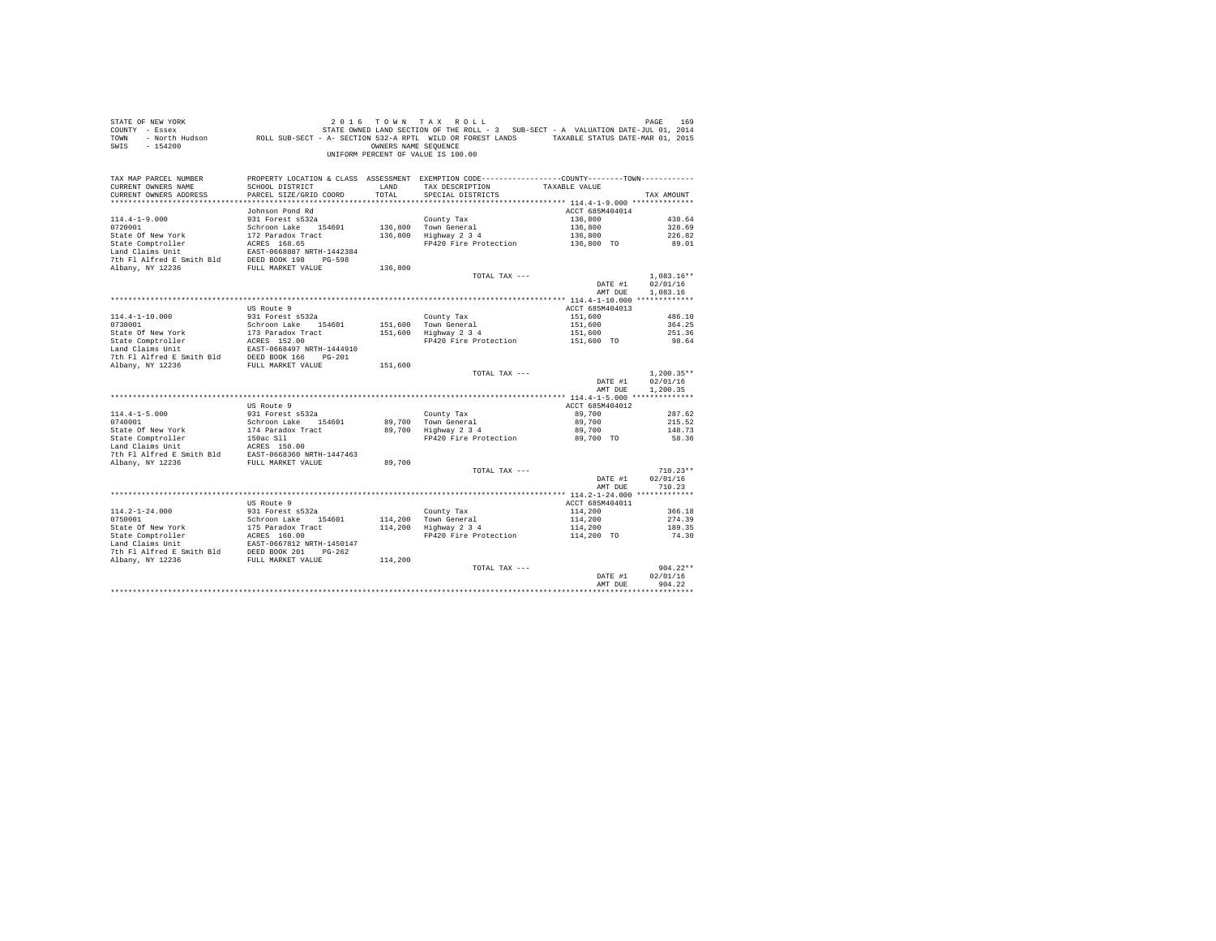| STATE OF NEW YORK<br>COUNTY - Essex<br>TOWN<br>$-154200$<br>SWIS                                                                                                                                                                           |                                           | OWNERS NAME SEOUENCE | 2016 TOWN TAX ROLL<br>UNIFORM PERCENT OF VALUE IS 100.00                                                                               |                    | PAGE<br>169        |
|--------------------------------------------------------------------------------------------------------------------------------------------------------------------------------------------------------------------------------------------|-------------------------------------------|----------------------|----------------------------------------------------------------------------------------------------------------------------------------|--------------------|--------------------|
| TAX MAP PARCEL NUMBER<br>CURRENT OWNERS NAME<br>CURRENT OWNERS ADDRESS                                                                                                                                                                     | SCHOOL DISTRICT<br>PARCEL SIZE/GRID COORD | LAND<br>TOTAL        | PROPERTY LOCATION & CLASS ASSESSMENT EXEMPTION CODE----------------COUNTY-------TOWN----------<br>TAX DESCRIPTION<br>SPECIAL DISTRICTS | TAXABLE VALUE      | TAX AMOUNT         |
|                                                                                                                                                                                                                                            |                                           |                      |                                                                                                                                        |                    |                    |
|                                                                                                                                                                                                                                            | Johnson Pond Rd                           |                      |                                                                                                                                        | ACCT 685M404014    |                    |
| $114.4 - 1 - 9.000$                                                                                                                                                                                                                        | 931 Forest s532a                          |                      | County Tax                                                                                                                             | 136,800            | 438.64             |
| 0720001                                                                                                                                                                                                                                    | Schroon Lake 154601                       |                      | 136,800 Town General                                                                                                                   | 136,800            | 328.69             |
| State Of New York                                                                                                                                                                                                                          | 172 Paradox Tract                         |                      | 136,800 Highway 2 3 4                                                                                                                  | 136,800            | 226.82             |
| State Comptroller                                                                                                                                                                                                                          | ACRES 168.65                              |                      | FP420 Fire Protection                                                                                                                  | 136,800 TO         | 89.01              |
| Land Claims Unit                                                                                                                                                                                                                           | EAST-0668887 NRTH-1442384                 |                      |                                                                                                                                        |                    |                    |
| 7th Fl Alfred E Smith Bld DEED BOOK 198 PG-598                                                                                                                                                                                             |                                           |                      |                                                                                                                                        |                    |                    |
| Albany, NY 12236                                                                                                                                                                                                                           | FULL MARKET VALUE                         | 136,800              |                                                                                                                                        |                    |                    |
|                                                                                                                                                                                                                                            |                                           |                      | TOTAL TAX ---                                                                                                                          |                    | $1,083.16**$       |
|                                                                                                                                                                                                                                            |                                           |                      |                                                                                                                                        | DATE #1            | 02/01/16           |
|                                                                                                                                                                                                                                            |                                           |                      |                                                                                                                                        | AMT DUE            | 1,083.16           |
|                                                                                                                                                                                                                                            | US Route 9                                |                      |                                                                                                                                        | ACCT 685M404013    |                    |
| $114.4 - 1 - 10.000$                                                                                                                                                                                                                       | 931 Forest s532a                          |                      | County Tax                                                                                                                             | 151,600            | 486.10             |
| 0730001                                                                                                                                                                                                                                    | Schroon Lake 154601                       |                      |                                                                                                                                        | 151,600            | 364.25             |
| State Of New York                                                                                                                                                                                                                          | 173 Paradox Tract                         |                      | 151,600 Town General<br>151,600 Highway 2 3 4                                                                                          | 151,600            | 251.36             |
|                                                                                                                                                                                                                                            | 173 Paradox Tr<br>ACRES 152.00            |                      | FP420 Fire Protection                                                                                                                  | 151,600 TO         | 98.64              |
| State Comptroller<br>Land Claims Unit                                                                                                                                                                                                      | EAST-0668497 NRTH-1444910                 |                      |                                                                                                                                        |                    |                    |
| 7th F1 Alfred E Smith B1d<br>RD BOOK 166 PG-201<br>RD BOOK 166 PG-201                                                                                                                                                                      |                                           |                      |                                                                                                                                        |                    |                    |
|                                                                                                                                                                                                                                            |                                           | 151,600              |                                                                                                                                        |                    |                    |
|                                                                                                                                                                                                                                            |                                           |                      | TOTAL TAX ---                                                                                                                          |                    | $1,200.35**$       |
|                                                                                                                                                                                                                                            |                                           |                      |                                                                                                                                        | DATE #1            | 02/01/16           |
|                                                                                                                                                                                                                                            |                                           |                      |                                                                                                                                        | AMT DUE            | 1,200.35           |
|                                                                                                                                                                                                                                            | US Route 9                                |                      |                                                                                                                                        | ACCT 685M404012    |                    |
| $114.4 - 1 - 5.000$                                                                                                                                                                                                                        | 931 Forest s532a                          |                      | County Tax                                                                                                                             | 89,700             | 287.62             |
| 0740001                                                                                                                                                                                                                                    | Schroon Lake 154601                       |                      | 89.700 Town General                                                                                                                    | 89,700             | 215.52             |
|                                                                                                                                                                                                                                            |                                           |                      | $89,700$ Highway $2\frac{3}{4}$                                                                                                        | 89,700             | 148.73             |
| 0740001<br>State Of New York<br>State Comptroller                                                                                                                                                                                          |                                           |                      | FP420 Fire Protection                                                                                                                  | 89,700 TO          | 58.36              |
| State Of New York<br>174 Paradox Tract<br>174 Paradox Tract<br>150ac Sill<br>180ac Sill<br>180ac Sill<br>180ac Santh Bld<br>20.00<br>21 Paradox Tract<br>21 Paradox Tract<br>1447463<br>21 Paradox NETH-1447463<br>21 Paradox NETH-1447463 |                                           |                      |                                                                                                                                        |                    |                    |
|                                                                                                                                                                                                                                            |                                           |                      |                                                                                                                                        |                    |                    |
| Albany, NY 12236                                                                                                                                                                                                                           | FULL MARKET VALUE                         | 89,700               |                                                                                                                                        |                    |                    |
|                                                                                                                                                                                                                                            |                                           |                      | TOTAL TAX ---                                                                                                                          |                    | $710.23**$         |
|                                                                                                                                                                                                                                            |                                           |                      |                                                                                                                                        | DATE #1            | 02/01/16           |
|                                                                                                                                                                                                                                            |                                           |                      |                                                                                                                                        | AMT DUE            | 710.23             |
|                                                                                                                                                                                                                                            | US Route 9                                |                      |                                                                                                                                        | ACCT 685M404011    |                    |
| 114.2-1-24.000                                                                                                                                                                                                                             | 931 Forest s532a                          |                      | County Tax                                                                                                                             | 114,200            | 366.18             |
|                                                                                                                                                                                                                                            | Schroon Lake 154601                       |                      |                                                                                                                                        | 114,200            | 274.39             |
| 0750001<br>State Of New York<br>State Comptroller<br>This Init                                                                                                                                                                             |                                           |                      | 114,200 Town General<br>114,200 Highway 2 3 4                                                                                          | 114,200            | 189.35             |
|                                                                                                                                                                                                                                            |                                           |                      | FP420 Fire Protection                                                                                                                  | $114,200$ TO       | 74.30              |
|                                                                                                                                                                                                                                            |                                           |                      |                                                                                                                                        |                    |                    |
|                                                                                                                                                                                                                                            |                                           |                      |                                                                                                                                        |                    |                    |
|                                                                                                                                                                                                                                            |                                           | 114,200              |                                                                                                                                        |                    |                    |
|                                                                                                                                                                                                                                            |                                           |                      | TOTAL TAX ---                                                                                                                          |                    | $904.22**$         |
|                                                                                                                                                                                                                                            |                                           |                      |                                                                                                                                        | DATE #1<br>AMT DUE | 02/01/16<br>904.22 |
|                                                                                                                                                                                                                                            |                                           |                      |                                                                                                                                        |                    |                    |
|                                                                                                                                                                                                                                            |                                           |                      |                                                                                                                                        |                    |                    |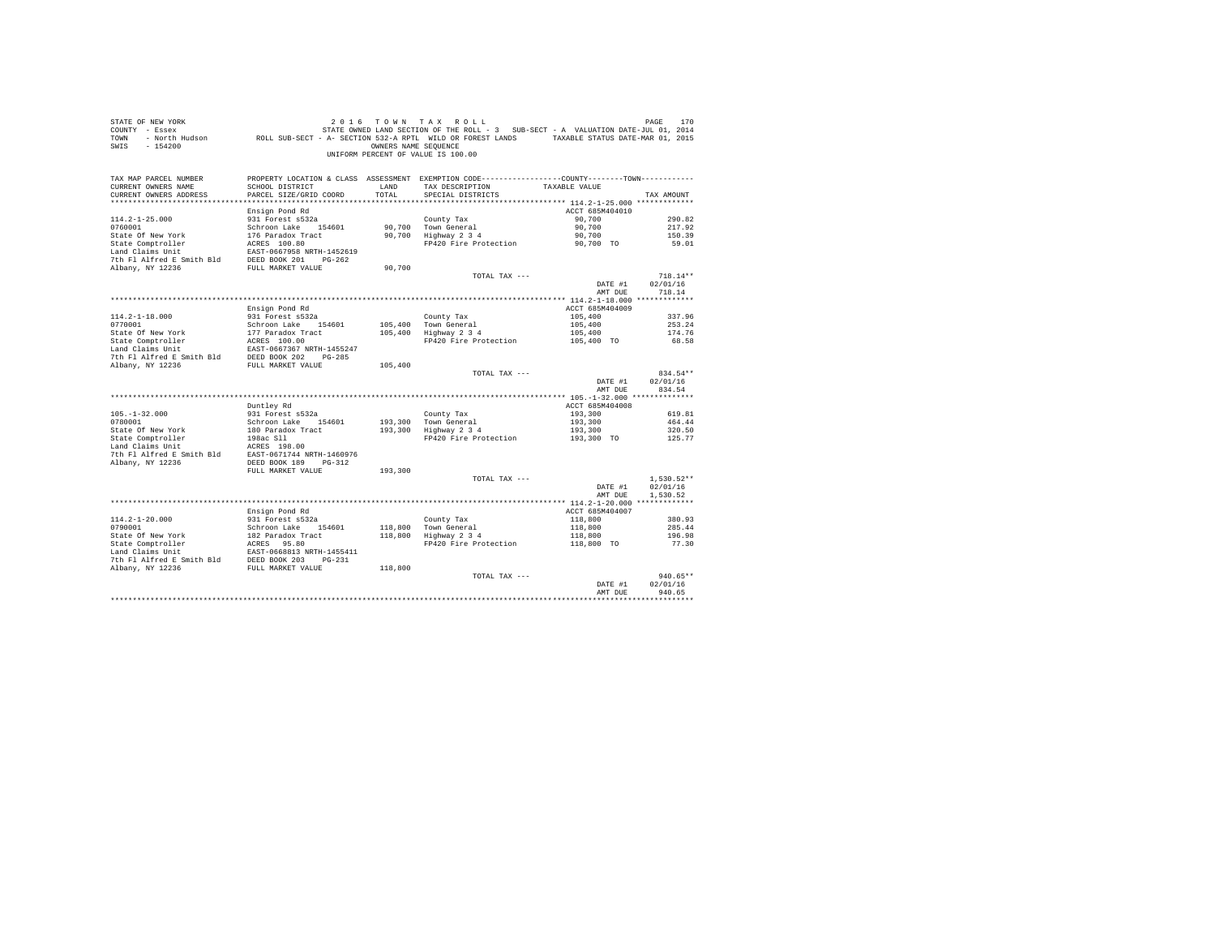| STATE OF NEW YORK<br>COUNTY - Essex<br>TOWN<br>SWIS - 154200                                                                                                             |                                           | OWNERS NAME SEQUENCE | 2016 TOWN TAX ROLL<br>7 - Essex (101, 2014) STATE OWNED LAND SECTION OF THE ROLL - 3 SUB-SECT - A VALUATION DATE-JUL 01, 2014<br>2015 - North Hudson (1, 2015) ROLL SUB-SECT - A- SECTION 532-A RPTL WILD OR FOREST LANDS<br>UNIFORM PERCENT OF VALUE IS 100.00 |                            | PAGE<br>170  |
|--------------------------------------------------------------------------------------------------------------------------------------------------------------------------|-------------------------------------------|----------------------|-----------------------------------------------------------------------------------------------------------------------------------------------------------------------------------------------------------------------------------------------------------------|----------------------------|--------------|
| TAX MAP PARCEL NUMBER                                                                                                                                                    |                                           |                      | PROPERTY LOCATION & CLASS ASSESSMENT EXEMPTION CODE---------------COUNTY-------TOWN----------                                                                                                                                                                   |                            |              |
| CURRENT OWNERS NAME<br>CURRENT OWNERS ADDRESS                                                                                                                            | SCHOOL DISTRICT<br>PARCEL SIZE/GRID COORD | LAND<br>TOTAL        | TAX DESCRIPTION<br>SPECIAL DISTRICTS                                                                                                                                                                                                                            | TAXABLE VALUE              | TAX AMOUNT   |
|                                                                                                                                                                          |                                           |                      |                                                                                                                                                                                                                                                                 |                            |              |
|                                                                                                                                                                          | Ensign Pond Rd                            |                      |                                                                                                                                                                                                                                                                 | ACCT 685M404010            |              |
| $114.2 - 1 - 25.000$                                                                                                                                                     | 931 Forest s532a                          |                      | County Tax                                                                                                                                                                                                                                                      | 90,700                     | 290.82       |
| 0760001                                                                                                                                                                  | Schroon Lake 154601                       |                      |                                                                                                                                                                                                                                                                 | 90,700                     | 217.92       |
| State Of New York                                                                                                                                                        | 176 Paradox Tract                         |                      | 90,700 Town General<br>90,700 Highway 2 3 4                                                                                                                                                                                                                     | 90,700                     | 150.39       |
| State Comptroller                                                                                                                                                        | ACRES 100.80                              |                      | FP420 Fire Protection                                                                                                                                                                                                                                           | 90.700 TO                  | 59.01        |
| Land Claims Unit                                                                                                                                                         | EAST-0667958 NRTH-1452619                 |                      |                                                                                                                                                                                                                                                                 |                            |              |
| 7th Fl Alfred E Smith Bld                                                                                                                                                | DEED BOOK 201 PG-262                      |                      |                                                                                                                                                                                                                                                                 |                            |              |
| Albany, NY 12236                                                                                                                                                         | FULL MARKET VALUE                         | 90,700               | TOTAL TAX ---                                                                                                                                                                                                                                                   |                            | $718.14**$   |
|                                                                                                                                                                          |                                           |                      |                                                                                                                                                                                                                                                                 | DATE #1                    | 02/01/16     |
|                                                                                                                                                                          |                                           |                      |                                                                                                                                                                                                                                                                 | AMT DUE                    | 718.14       |
|                                                                                                                                                                          |                                           |                      |                                                                                                                                                                                                                                                                 |                            |              |
|                                                                                                                                                                          | Ensign Pond Rd                            |                      |                                                                                                                                                                                                                                                                 | ACCT 685M404009            |              |
| $114.2 - 1 - 18.000$                                                                                                                                                     | 931 Forest s532a                          |                      | County Tax                                                                                                                                                                                                                                                      | 105,400                    | 337.96       |
| 0770001                                                                                                                                                                  | Schroon Lake 154601                       | 105,400              | Town General<br>Highway 2 3 4                                                                                                                                                                                                                                   | 105,400                    | 253.24       |
| State Of New York                                                                                                                                                        | 177 Paradox Tract                         | 105,400              |                                                                                                                                                                                                                                                                 | 105,400                    | 174.76       |
| State Comptroller<br>Land Claims Unit                                                                                                                                    | ACRES 100.00                              |                      | FP420 Fire Protection                                                                                                                                                                                                                                           | 105,400 TO                 | 68.58        |
| 7th Fl Alfred E Smith Bld DEED BOOK 202 PG-285                                                                                                                           | EAST-0667367 NRTH-1455247                 |                      |                                                                                                                                                                                                                                                                 |                            |              |
| Albany, NY 12236                                                                                                                                                         | FULL MARKET VALUE                         | 105,400              |                                                                                                                                                                                                                                                                 |                            |              |
|                                                                                                                                                                          |                                           |                      | TOTAL TAX ---                                                                                                                                                                                                                                                   |                            | 834.54**     |
|                                                                                                                                                                          |                                           |                      |                                                                                                                                                                                                                                                                 | DATE #1                    | 02/01/16     |
|                                                                                                                                                                          |                                           |                      |                                                                                                                                                                                                                                                                 | AMT DUE                    | 834.54       |
|                                                                                                                                                                          |                                           |                      |                                                                                                                                                                                                                                                                 |                            |              |
| $105. - 1 - 32.000$                                                                                                                                                      | Duntley Rd<br>931 Forest s532a            |                      | County Tax                                                                                                                                                                                                                                                      | ACCT 685M404008<br>193,300 | 619.81       |
| 0780001                                                                                                                                                                  | Schroon Lake 154601                       |                      |                                                                                                                                                                                                                                                                 | 193,300                    | 464.44       |
| State Of New York                                                                                                                                                        | 180 Paradox Tract                         |                      | 193,300 Town General<br>193,300 Highway 2 3 4                                                                                                                                                                                                                   |                            | 320.50       |
| State Comptroller                                                                                                                                                        | 198ac S11                                 |                      | FP420 Fire Protection                                                                                                                                                                                                                                           | 193,300<br>193,300 TO      | 125.77       |
| Land Claims Unit                                                                                                                                                         | ACRES 198.00                              |                      |                                                                                                                                                                                                                                                                 |                            |              |
| 7th Fl Alfred E Smith Bld EAST-0671744 NRTH-1460976                                                                                                                      |                                           |                      |                                                                                                                                                                                                                                                                 |                            |              |
| Albany, NY 12236                                                                                                                                                         | DEED BOOK 189 PG-312                      |                      |                                                                                                                                                                                                                                                                 |                            |              |
|                                                                                                                                                                          | FULL MARKET VALUE                         | 193,300              | TOTAL TAX ---                                                                                                                                                                                                                                                   |                            | $1,530.52**$ |
|                                                                                                                                                                          |                                           |                      |                                                                                                                                                                                                                                                                 | DATE #1                    | 02/01/16     |
|                                                                                                                                                                          |                                           |                      |                                                                                                                                                                                                                                                                 | AMT DUE                    | 1.530.52     |
|                                                                                                                                                                          |                                           |                      |                                                                                                                                                                                                                                                                 |                            |              |
|                                                                                                                                                                          | Ensign Pond Rd                            |                      |                                                                                                                                                                                                                                                                 | ACCT 685M404007            |              |
| $114.2 - 1 - 20.000$                                                                                                                                                     | 931 Forest s532a                          |                      | County Tax                                                                                                                                                                                                                                                      | 118,800                    | 380.93       |
| 0790001                                                                                                                                                                  | Schroon Lake 154601                       | 118,800              |                                                                                                                                                                                                                                                                 | 118,800                    | 285.44       |
| State Of New York                                                                                                                                                        | 182 Paradox Tract                         | 118,800              | County Tax<br>Town General<br>Highway 2 3 4                                                                                                                                                                                                                     | 118,800                    | 196.98       |
|                                                                                                                                                                          |                                           |                      | FP420 Fire Protection                                                                                                                                                                                                                                           | 118,800 TO                 | 77.30        |
|                                                                                                                                                                          |                                           |                      |                                                                                                                                                                                                                                                                 |                            |              |
| State Comptroller MCRES 95.80<br>Land Claims Unit Example D68813 NRTH-1455411<br>7th F1 Alfred E Smith Bld DEED BOOK 203 PG-231<br>Albany, NY 12236<br>PULL MARKET VALUE |                                           | 118,800              |                                                                                                                                                                                                                                                                 |                            |              |
|                                                                                                                                                                          |                                           |                      | TOTAL TAX ---                                                                                                                                                                                                                                                   |                            | $940.65**$   |
|                                                                                                                                                                          |                                           |                      |                                                                                                                                                                                                                                                                 | DATE #1                    | 02/01/16     |
|                                                                                                                                                                          |                                           |                      |                                                                                                                                                                                                                                                                 | AMT DUE                    | 940.65       |
|                                                                                                                                                                          |                                           |                      |                                                                                                                                                                                                                                                                 |                            |              |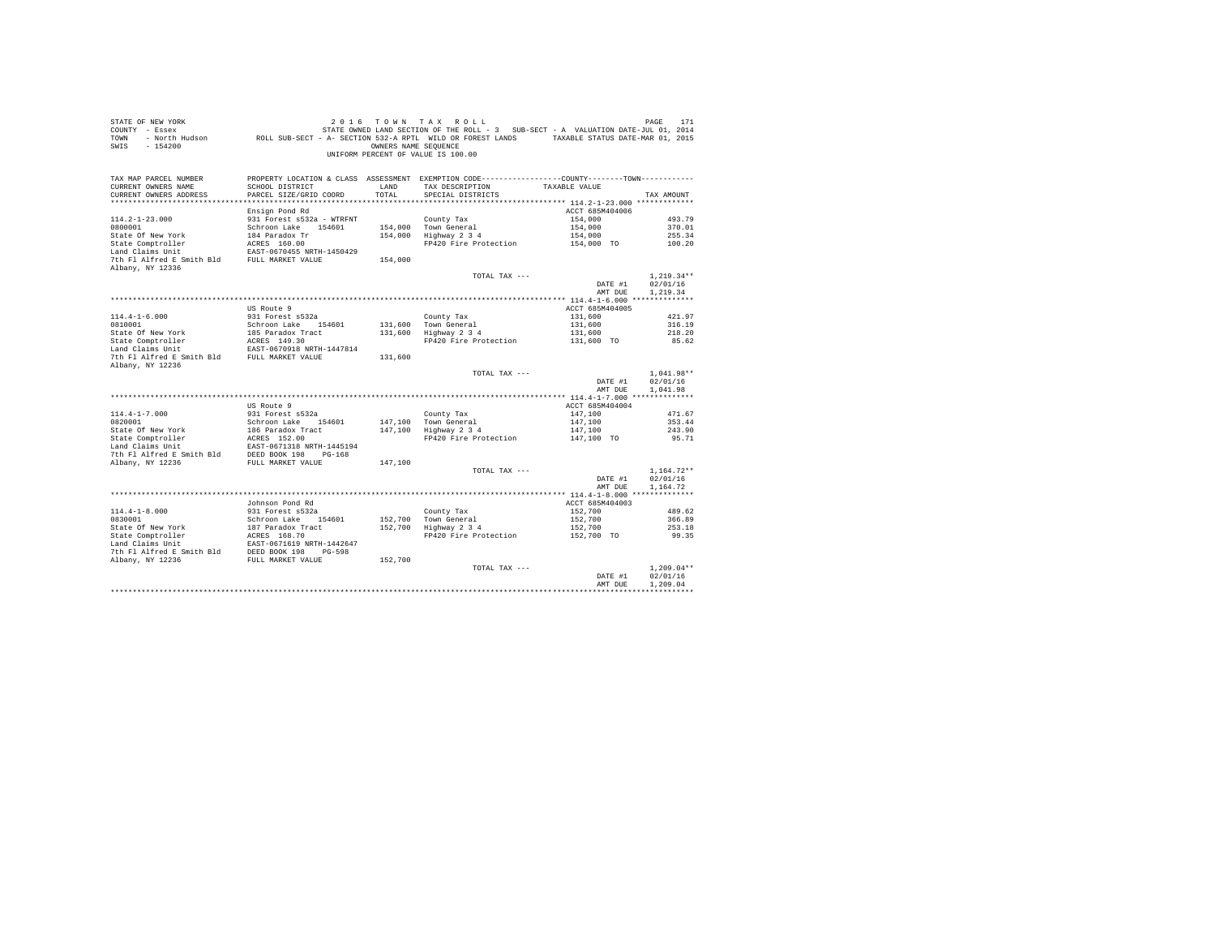| STATE OF NEW YORK<br>COUNTY - Essex<br>TOWN<br>$-154200$<br>SWIS                             |                                                                                    | OWNERS NAME SEOUENCE | 2016 TOWN TAX ROLL<br>STATE OWNED LAND SECTION OF THE ROLL - 3 SUB-SECT - A VALUATION DATE-JUL 01, 2014<br>- North Hudson ROLL SUB-SECT - A- SECTION 532-A RPTL WILD OR FOREST LANDS TAXABLE STATUS DATE-MAR 01, 2015<br>UNIFORM PERCENT OF VALUE IS 100.00 |                    | PAGE<br>171          |
|----------------------------------------------------------------------------------------------|------------------------------------------------------------------------------------|----------------------|-------------------------------------------------------------------------------------------------------------------------------------------------------------------------------------------------------------------------------------------------------------|--------------------|----------------------|
| TAX MAP PARCEL NUMBER                                                                        |                                                                                    |                      | PROPERTY LOCATION & CLASS ASSESSMENT EXEMPTION CODE----------------COUNTY--------TOWN----------<br>TAX DESCRIPTION                                                                                                                                          |                    |                      |
| CURRENT OWNERS NAME<br>CURRENT OWNERS ADDRESS                                                | SCHOOL DISTRICT<br>PARCEL SIZE/GRID COORD                                          | LAND<br>TOTAL        | SPECIAL DISTRICTS                                                                                                                                                                                                                                           | TAXABLE VALUE      | TAX AMOUNT           |
|                                                                                              |                                                                                    |                      |                                                                                                                                                                                                                                                             |                    |                      |
|                                                                                              | Ensign Pond Rd                                                                     |                      |                                                                                                                                                                                                                                                             | ACCT 685M404006    |                      |
| $114.2 - 1 - 23.000$                                                                         | 931 Forest s532a - WTRFNT                                                          |                      | County Tax                                                                                                                                                                                                                                                  | 154,000            | 493.79               |
| 0800001                                                                                      | Schroon Lake 154601                                                                |                      | 154,000 Town General                                                                                                                                                                                                                                        | 154,000            | 370.01               |
| State Of New York                                                                            | 184 Paradox Tr                                                                     |                      | 154,000 Highway 2 3 4                                                                                                                                                                                                                                       | 154,000            | 255.34               |
| State Comptroller                                                                            | ACRES 160.00                                                                       |                      | FP420 Fire Protection                                                                                                                                                                                                                                       | 154,000 TO         | 100.20               |
| Land Claims Unit                                                                             | EAST-0670455 NRTH-1450429                                                          |                      |                                                                                                                                                                                                                                                             |                    |                      |
| 7th Fl Alfred E Smith Bld FULL MARKET VALUE<br>Albany, NY 12336                              |                                                                                    | 154,000              |                                                                                                                                                                                                                                                             |                    |                      |
|                                                                                              |                                                                                    |                      | TOTAL TAX ---                                                                                                                                                                                                                                               |                    | $1,219.34**$         |
|                                                                                              |                                                                                    |                      |                                                                                                                                                                                                                                                             | DATE #1            | 02/01/16             |
|                                                                                              |                                                                                    |                      |                                                                                                                                                                                                                                                             | AMT DUE            | 1,219.34             |
|                                                                                              |                                                                                    |                      |                                                                                                                                                                                                                                                             |                    |                      |
|                                                                                              | US Route 9                                                                         |                      |                                                                                                                                                                                                                                                             | ACCT 685M404005    |                      |
| $114.4 - 1 - 6.000$<br>0810001                                                               | 931 Forest s532a<br>Schroon Lake 154601                                            |                      | County Tax<br>131,600 Town General                                                                                                                                                                                                                          | 131,600<br>131,600 | 421.97<br>316.19     |
| State Of New York                                                                            | - - - - - - - - - - - - - - 154601<br>185 Paradox Tract<br>ACRES 149.30<br>- - - - |                      | 131,600 TOWN General<br>131,600 Highway 2 3 4                                                                                                                                                                                                               | 131,600            | 218.20               |
|                                                                                              |                                                                                    |                      | FP420 Fire Protection                                                                                                                                                                                                                                       | 131,600 TO         | 85.62                |
| State Comptroller<br>Land Claims Unit                                                        | EAST-0670918 NRTH-1447814                                                          |                      |                                                                                                                                                                                                                                                             |                    |                      |
| 7th Fl Alfred E Smith Bld FULL MARKET VALUE                                                  |                                                                                    | 131,600              |                                                                                                                                                                                                                                                             |                    |                      |
| Albany, NY 12236                                                                             |                                                                                    |                      |                                                                                                                                                                                                                                                             |                    |                      |
|                                                                                              |                                                                                    |                      | TOTAL TAX ---                                                                                                                                                                                                                                               |                    | $1,041.98**$         |
|                                                                                              |                                                                                    |                      |                                                                                                                                                                                                                                                             | DATE #1<br>AMT DUE | 02/01/16<br>1,041.98 |
|                                                                                              |                                                                                    |                      |                                                                                                                                                                                                                                                             |                    |                      |
|                                                                                              | US Route 9                                                                         |                      |                                                                                                                                                                                                                                                             | ACCT 685M404004    |                      |
| $114.4 - 1 - 7.000$                                                                          | 931 Forest s532a                                                                   |                      | County Tax                                                                                                                                                                                                                                                  | 147.100            | 471.67               |
| 0820001                                                                                      | Schroon Lake 154601                                                                |                      | 147.100 Town General                                                                                                                                                                                                                                        | 147,100            | 353.44               |
|                                                                                              | 186 Paradox Tract<br>ACRES 152.00                                                  |                      | 147,100 Highway 2 3 4                                                                                                                                                                                                                                       | 147,100            | 243.90               |
| 0820001<br>State Of New York<br>State Comptroller                                            |                                                                                    |                      | FP420 Fire Protection                                                                                                                                                                                                                                       | 147,100 TO         | 95.71                |
| Land Claims Unit EAST-0671318 NRTH-1445194<br>7th Fl Alfred E Smith Bld DEED BOOK 198 PG-168 |                                                                                    |                      |                                                                                                                                                                                                                                                             |                    |                      |
| Albany, NY 12236                                                                             | FULL MARKET VALUE                                                                  | 147,100              |                                                                                                                                                                                                                                                             |                    |                      |
|                                                                                              |                                                                                    |                      | TOTAL TAX ---                                                                                                                                                                                                                                               |                    | $1.164.72**$         |
|                                                                                              |                                                                                    |                      |                                                                                                                                                                                                                                                             | DATE #1            | 02/01/16             |
|                                                                                              |                                                                                    |                      |                                                                                                                                                                                                                                                             | AMT DUE            | 1.164.72             |
|                                                                                              | Johnson Pond Rd                                                                    |                      |                                                                                                                                                                                                                                                             | ACCT 685M404003    |                      |
| $114.4 - 1 - 8.000$                                                                          | 931 Forest s532a                                                                   |                      | County Tax                                                                                                                                                                                                                                                  | 152,700            | 489.62               |
| 0830001                                                                                      | Schroon Lake 154601                                                                |                      |                                                                                                                                                                                                                                                             | 152,700            | 366.89               |
| State Of New York<br>State Comptroller                                                       | 187 Paradox Tract<br>ACRES 168.70                                                  |                      | 152,700 Town General<br>152,700 Highway 2 3 4                                                                                                                                                                                                               | 152,700            | 253.18               |
|                                                                                              |                                                                                    |                      | FP420 Fire Protection                                                                                                                                                                                                                                       | 152,700 TO         | 99.35                |
|                                                                                              | EAST-0671619 NRTH-1442647                                                          |                      |                                                                                                                                                                                                                                                             |                    |                      |
| 7th F1 Alfred E Smith Bld<br>198 DEED BOOK 198 PG-598<br>2011 NARKET VALUE                   |                                                                                    |                      |                                                                                                                                                                                                                                                             |                    |                      |
|                                                                                              |                                                                                    | 152,700              | TOTAL TAX ---                                                                                                                                                                                                                                               |                    | $1.209.04**$         |
|                                                                                              |                                                                                    |                      |                                                                                                                                                                                                                                                             | DATE #1            | 02/01/16             |
|                                                                                              |                                                                                    |                      |                                                                                                                                                                                                                                                             | AMT DUE            | 1,209.04             |
|                                                                                              |                                                                                    |                      |                                                                                                                                                                                                                                                             |                    |                      |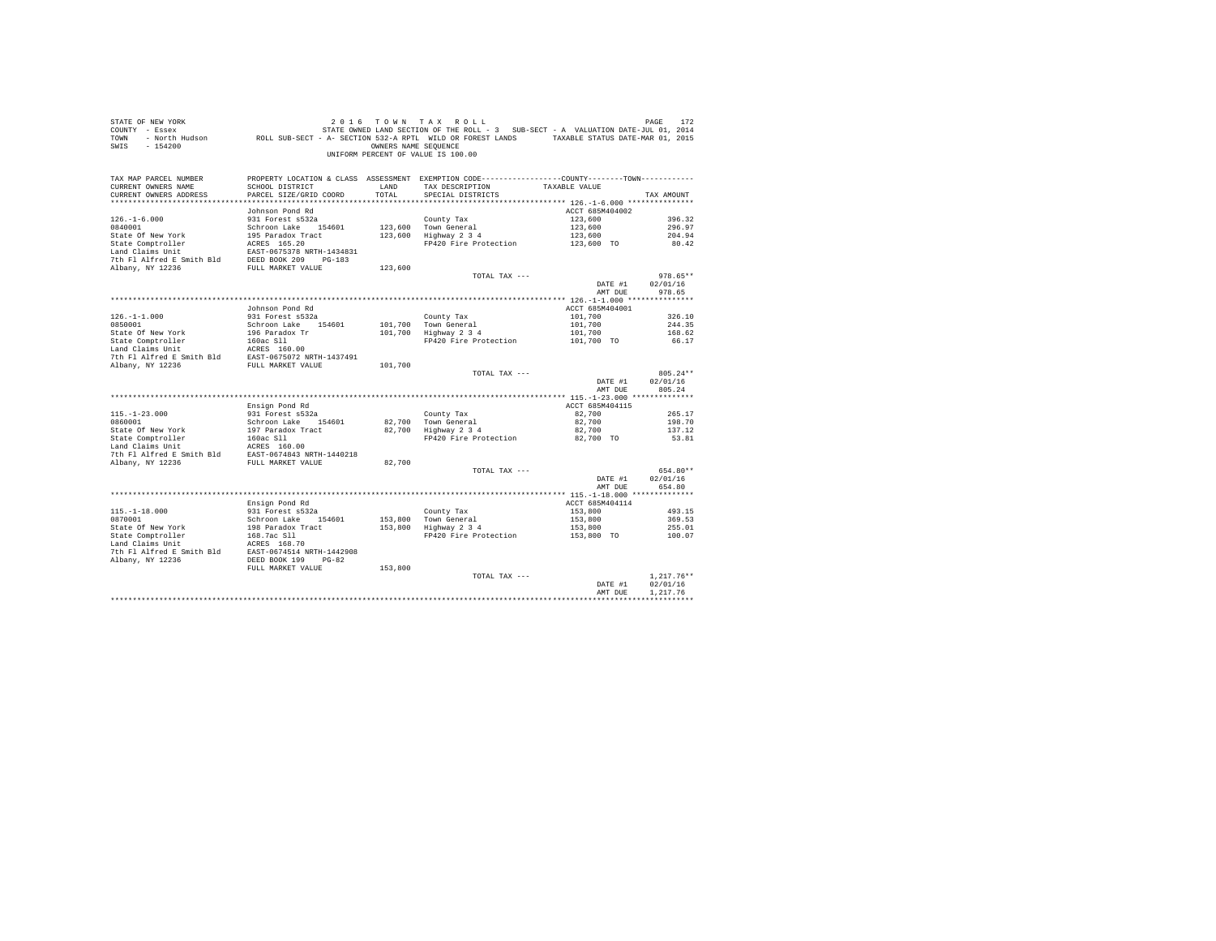| COUNTY - Essex                                                              |                                                                                                                 |                      | STATE OWNED LAND SECTION OF THE ROLL - 3 SUB-SECT - A VALUATION DATE-JUL 01, 2014               |                 |              |
|-----------------------------------------------------------------------------|-----------------------------------------------------------------------------------------------------------------|----------------------|-------------------------------------------------------------------------------------------------|-----------------|--------------|
| TOWN                                                                        | - North Hudson Mark ROLL SUB-SECT - A- SECTION 532-A RPTL WILD OR FOREST LANDS TAXABLE STATUS DATE-MAR 01, 2015 |                      |                                                                                                 |                 |              |
| $-154200$<br>SWIS                                                           |                                                                                                                 | OWNERS NAME SEQUENCE |                                                                                                 |                 |              |
|                                                                             |                                                                                                                 |                      | UNIFORM PERCENT OF VALUE IS 100.00                                                              |                 |              |
|                                                                             |                                                                                                                 |                      |                                                                                                 |                 |              |
| TAX MAP PARCEL NUMBER                                                       |                                                                                                                 |                      | PROPERTY LOCATION & CLASS ASSESSMENT EXEMPTION CODE----------------COUNTY--------TOWN---------- |                 |              |
| CURRENT OWNERS NAME                                                         | SCHOOL DISTRICT                                                                                                 | LAND                 | TAX DESCRIPTION                                                                                 | TAXABLE VALUE   |              |
| CURRENT OWNERS ADDRESS                                                      | PARCEL SIZE/GRID COORD                                                                                          | TOTAL                | SPECIAL DISTRICTS                                                                               |                 | TAX AMOUNT   |
|                                                                             |                                                                                                                 |                      |                                                                                                 |                 |              |
|                                                                             | Johnson Pond Rd                                                                                                 |                      |                                                                                                 | ACCT 685M404002 |              |
| $126. - 1 - 6.000$                                                          | 931 Forest s532a                                                                                                |                      | County Tax                                                                                      | 123,600         | 396.32       |
| 0840001                                                                     | Schroon Lake 154601                                                                                             |                      | 123,600 Town General                                                                            | 123,600         | 296.97       |
| State Of New York                                                           | 195 Paradox Tract                                                                                               |                      | 123,600 Highway 2 3 4                                                                           | 123,600         | 204.94       |
| State Comptroller                                                           | ACRES 165.20                                                                                                    |                      | FP420 Fire Protection                                                                           | 123,600 TO      | 80.42        |
| Land Claims Unit                                                            | EAST-0675378 NRTH-1434831                                                                                       |                      |                                                                                                 |                 |              |
| 7th F1 Alfred E Smith Bld DEED BOOK 209 PG-183                              |                                                                                                                 |                      |                                                                                                 |                 |              |
| Albany, NY 12236                                                            | FULL MARKET VALUE                                                                                               | 123,600              |                                                                                                 |                 |              |
|                                                                             |                                                                                                                 |                      | TOTAL TAX ---                                                                                   |                 | 978.65**     |
|                                                                             |                                                                                                                 |                      |                                                                                                 | DATE #1         | 02/01/16     |
|                                                                             |                                                                                                                 |                      |                                                                                                 | AMT DUE         | 978.65       |
|                                                                             |                                                                                                                 |                      |                                                                                                 |                 |              |
|                                                                             | Johnson Pond Rd                                                                                                 |                      |                                                                                                 | ACCT 685M404001 |              |
| $126. - 1 - 1.000$                                                          | 931 Forest s532a                                                                                                |                      | County Tax                                                                                      | 101,700         | 326.10       |
| 0850001                                                                     | Schroon Lake 154601                                                                                             |                      | 101.700 Town General                                                                            | 101,700         | 244.35       |
| State Of New York                                                           | 196 Paradox Tr                                                                                                  |                      | 101,700 Highway 2 3 4                                                                           | 101,700         | 168.62       |
| State Comptroller                                                           | 160ac S11<br>ACRES 160.00                                                                                       |                      | FP420 Fire Protection                                                                           | 101,700 TO      | 66.17        |
| Land Claims Unit                                                            |                                                                                                                 |                      |                                                                                                 |                 |              |
| Phi F1 Alfred E Smith Bld<br>The F1 Alfred E Smith Bld<br>FULL MARKET VALUE |                                                                                                                 |                      |                                                                                                 |                 |              |
|                                                                             |                                                                                                                 | 101,700              |                                                                                                 |                 |              |
|                                                                             |                                                                                                                 |                      | TOTAL TAX ---                                                                                   |                 | 805.24**     |
|                                                                             |                                                                                                                 |                      |                                                                                                 | DATE #1         | 02/01/16     |
|                                                                             |                                                                                                                 |                      |                                                                                                 | AMT DUE         |              |
|                                                                             |                                                                                                                 |                      |                                                                                                 |                 | 805.24       |
|                                                                             |                                                                                                                 |                      |                                                                                                 |                 |              |
|                                                                             | Ensign Pond Rd                                                                                                  |                      |                                                                                                 | ACCT 685M404115 |              |
| $115. - 1 - 23.000$                                                         | 931 Forest s532a                                                                                                |                      | County Tax                                                                                      | 82,700          | 265.17       |
| 0860001                                                                     | Schroon Lake 154601                                                                                             | 82,700               | Town General                                                                                    | 82,700          | 198.70       |
| State Of New York                                                           | 197 Paradox Tract                                                                                               | 82,700               | Highway 2 3 4                                                                                   | 82,700          | 137.12       |
| State Comptroller                                                           | 160ac Sll                                                                                                       |                      | FP420 Fire Protection                                                                           | 82,700 TO       | 53.81        |
| Land Claims Unit                                                            | ACRES 160.00                                                                                                    |                      |                                                                                                 |                 |              |
| 7th Fl Alfred E Smith Bld                                                   |                                                                                                                 |                      |                                                                                                 |                 |              |
| Albany, NY 12236                                                            | EAST-0674843 NRTH-1440218<br>FULL MARKET VALUE                                                                  | 82,700               |                                                                                                 |                 |              |
|                                                                             |                                                                                                                 |                      | TOTAL TAX ---                                                                                   |                 | 654.80**     |
|                                                                             |                                                                                                                 |                      |                                                                                                 | DATE #1         | 02/01/16     |
|                                                                             |                                                                                                                 |                      |                                                                                                 | AMT DUE         | 654.80       |
|                                                                             |                                                                                                                 |                      |                                                                                                 |                 |              |
|                                                                             | Ensign Pond Rd                                                                                                  |                      |                                                                                                 | ACCT 685M404114 |              |
| $115. - 1 - 18.000$                                                         | 931 Forest s532a                                                                                                |                      |                                                                                                 | 153,800         | 493.15       |
| 0870001                                                                     | Schroon Lake 154601                                                                                             |                      |                                                                                                 | 153,800         | 369.53       |
| State Of New York                                                           | 198 Paradox Tract                                                                                               |                      |                                                                                                 | 153,800         | 255.01       |
| State Comptroller                                                           |                                                                                                                 |                      | County Tax<br>153,800 Town General<br>153,800 Highway 2 3 4<br>FP420 Fire Protection            | 153,800 TO      | 100.07       |
| Land Claims Unit                                                            | 168.7ac S11<br>ACRES 168.70                                                                                     |                      |                                                                                                 |                 |              |
| 7th Fl Alfred E Smith Bld                                                   | EAST-0674514 NRTH-1442908                                                                                       |                      |                                                                                                 |                 |              |
| Albany, NY 12236                                                            | DEED BOOK 199<br>$PG-82$                                                                                        |                      |                                                                                                 |                 |              |
|                                                                             | FULL MARKET VALUE                                                                                               | 153,800              |                                                                                                 |                 |              |
|                                                                             |                                                                                                                 |                      | TOTAL TAX ---                                                                                   |                 | $1.217.76**$ |
|                                                                             |                                                                                                                 |                      |                                                                                                 | DATE #1         | 02/01/16     |
|                                                                             |                                                                                                                 |                      |                                                                                                 | AMT DUE         | 1,217.76     |

STATE OF NEW YORK  $2016$  TO W N T A X R O L L PAGE 172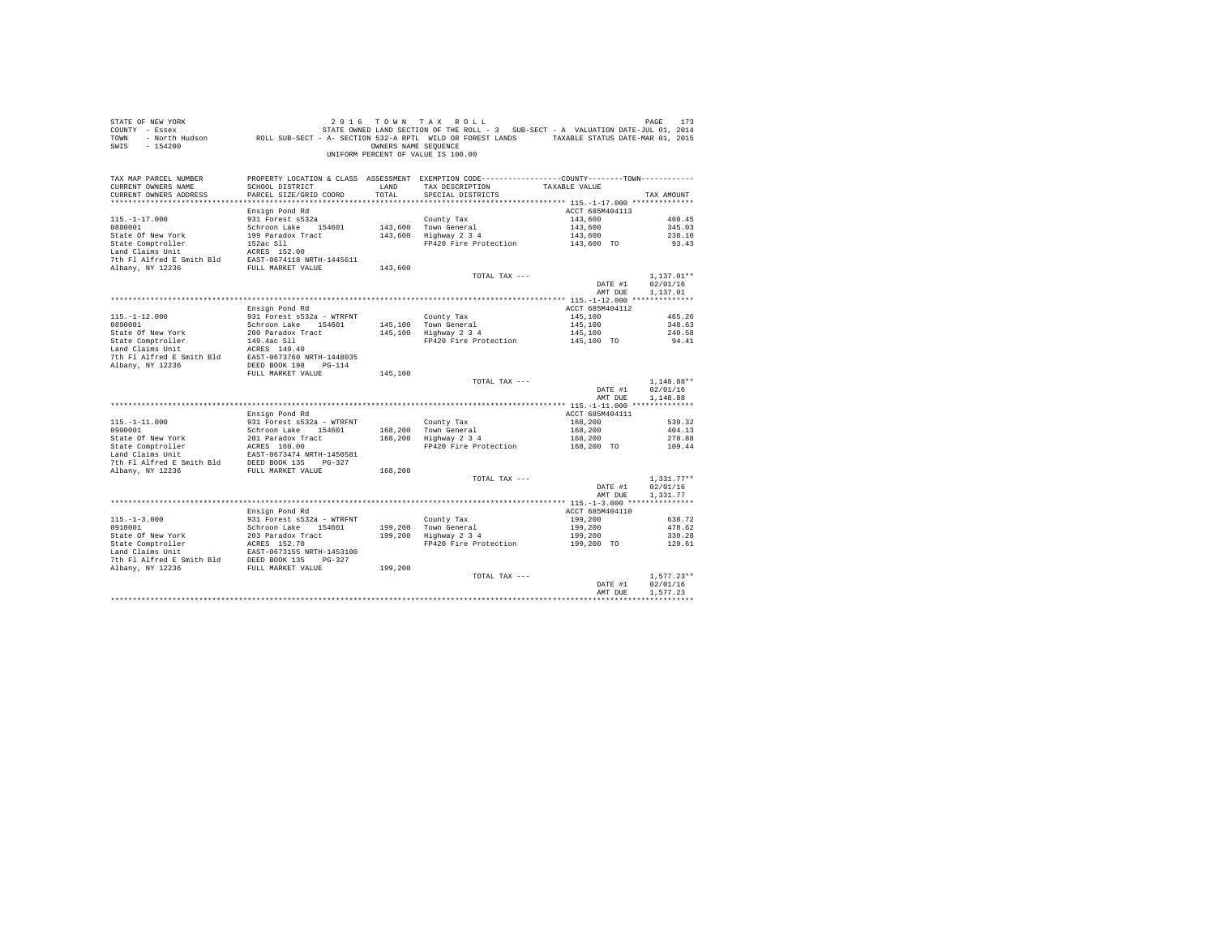| STATE OF NEW YORK<br>COUNTY - Essex<br>TOWN<br>$-154200$<br>SWIS |                                                | OWNERS NAME SEQUENCE | 2016 TOWN TAX ROLL<br>STATE OWNED LAND SECTION OF THE ROLL - 3 SUB-SECT - A VALUATION DATE-JUL 01, 2014<br>- North Hudson ROLL SUB-SECT - A- SECTION 532-A RPTL WILD OR FOREST LANDS TAXABLE STATUS DATE-MAR 01, 2015<br>UNIFORM PERCENT OF VALUE IS 100.00 |                            | PAGE<br>173              |
|------------------------------------------------------------------|------------------------------------------------|----------------------|-------------------------------------------------------------------------------------------------------------------------------------------------------------------------------------------------------------------------------------------------------------|----------------------------|--------------------------|
| TAX MAP PARCEL NUMBER<br>CURRENT OWNERS NAME                     | SCHOOL DISTRICT                                | LAND                 | PROPERTY LOCATION & CLASS ASSESSMENT EXEMPTION CODE---------------COUNTY-------TOWN----------<br>TAX DESCRIPTION                                                                                                                                            | TAXABLE VALUE              |                          |
| CURRENT OWNERS ADDRESS                                           | PARCEL SIZE/GRID COORD                         | TOTAL                | SPECIAL DISTRICTS                                                                                                                                                                                                                                           |                            | TAX AMOUNT               |
|                                                                  |                                                |                      |                                                                                                                                                                                                                                                             |                            |                          |
|                                                                  | Ensign Pond Rd                                 |                      |                                                                                                                                                                                                                                                             | ACCT 685M404113            |                          |
| $115. - 1 - 17.000$                                              | 931 Forest s532a                               |                      | County Tax                                                                                                                                                                                                                                                  | 143,600                    | 460.45                   |
| 0880001                                                          | Schroon Lake 154601                            | 143,600              | Town General                                                                                                                                                                                                                                                | 143,600                    | 345.03                   |
| State Of New York                                                | 199 Paradox Tract                              | 143,600              | Highway 2 3 4                                                                                                                                                                                                                                               | 143,600                    | 238.10                   |
| State Comptroller                                                | 152ac Sll                                      |                      | FP420 Fire Protection                                                                                                                                                                                                                                       | 143,600 TO                 | 93.43                    |
| Land Claims Unit<br>7th Fl Alfred E Smith Bld                    | ACRES 152.00                                   |                      |                                                                                                                                                                                                                                                             |                            |                          |
| Albany, NY 12236                                                 | EAST-0674118 NRTH-1445611<br>FULL MARKET VALUE | 143,600              |                                                                                                                                                                                                                                                             |                            |                          |
|                                                                  |                                                |                      | TOTAL TAX ---                                                                                                                                                                                                                                               |                            | $1.137.01**$             |
|                                                                  |                                                |                      |                                                                                                                                                                                                                                                             | DATE #1                    | 02/01/16                 |
|                                                                  |                                                |                      |                                                                                                                                                                                                                                                             | AMT DUE                    | 1,137.01                 |
|                                                                  |                                                |                      |                                                                                                                                                                                                                                                             |                            |                          |
|                                                                  | Ensign Pond Rd                                 |                      |                                                                                                                                                                                                                                                             | ACCT 685M404112            |                          |
| $115. - 1 - 12.000$                                              | 931 Forest s532a - WTRFNT                      |                      | County Tax                                                                                                                                                                                                                                                  | 145,100                    | 465.26                   |
| 0890001                                                          | Schroon Lake 154601                            | 145,100              | Town General                                                                                                                                                                                                                                                | 145,100                    | 348.63                   |
| State Of New York                                                | 200 Paradox Tract                              | 145,100              | Highway 2 3 4                                                                                                                                                                                                                                               | 145,100                    | 240.58                   |
| State Comptroller<br>Land Claims Unit                            | 149.4ac Sll                                    |                      | FP420 Fire Protection                                                                                                                                                                                                                                       | 145,100 TO                 | 94.41                    |
| 7th Fl Alfred E Smith Bld                                        | ACRES 149.40<br>EAST-0673760 NRTH-1448035      |                      |                                                                                                                                                                                                                                                             |                            |                          |
| Albany, NY 12236                                                 | DEED BOOK 198 PG-114                           |                      |                                                                                                                                                                                                                                                             |                            |                          |
|                                                                  | FULL MARKET VALUE                              | 145,100              |                                                                                                                                                                                                                                                             |                            |                          |
|                                                                  |                                                |                      | TOTAL TAX ---                                                                                                                                                                                                                                               |                            | $1.148.88**$             |
|                                                                  |                                                |                      |                                                                                                                                                                                                                                                             | DATE #1                    | 02/01/16                 |
|                                                                  |                                                |                      |                                                                                                                                                                                                                                                             | AMT DUE                    | 1,148.88                 |
|                                                                  |                                                |                      |                                                                                                                                                                                                                                                             |                            |                          |
| $115. - 1 - 11.000$                                              | Ensign Pond Rd<br>931 Forest s532a - WTRFNT    |                      |                                                                                                                                                                                                                                                             | ACCT 685M404111<br>168,200 |                          |
| 0900001                                                          | Schroon Lake 154601                            | 168,200              | County Tax<br>Town General                                                                                                                                                                                                                                  | 168,200                    | 539.32<br>404.13         |
| State Of New York                                                | 201 Paradox Tract                              | 168,200              | Highway 2 3 4                                                                                                                                                                                                                                               | 168,200                    | 278.88                   |
| State Comptroller                                                | ACRES 160.00                                   |                      | FP420 Fire Protection                                                                                                                                                                                                                                       | 168,200 TO                 | 109.44                   |
| Land Claims Unit                                                 | EAST-0673474 NRTH-1450581                      |                      |                                                                                                                                                                                                                                                             |                            |                          |
| 7th Fl Alfred E Smith Bld                                        | DEED BOOK 135 PG-327                           |                      |                                                                                                                                                                                                                                                             |                            |                          |
| Albany, NY 12236                                                 | FULL MARKET VALUE                              | 168,200              |                                                                                                                                                                                                                                                             |                            |                          |
|                                                                  |                                                |                      | TOTAL TAX ---                                                                                                                                                                                                                                               |                            | $1.331.77**$             |
|                                                                  |                                                |                      |                                                                                                                                                                                                                                                             | DATE #1                    | 02/01/16                 |
|                                                                  |                                                |                      |                                                                                                                                                                                                                                                             | AMT DUE                    | 1,331.77                 |
|                                                                  | Ensign Pond Rd                                 |                      |                                                                                                                                                                                                                                                             | ACCT 685M404110            |                          |
| $115. - 1 - 3.000$                                               | 931 Forest s532a - WTRFNT                      |                      | County Tax                                                                                                                                                                                                                                                  | 199,200                    | 638.72                   |
| 0910001                                                          | Schroon Lake 154601                            | 199,200              | Town General                                                                                                                                                                                                                                                | 199,200                    | 478.62                   |
| State Of New York                                                | 203 Paradox Tract                              | 199,200              | $Highway$ 2 3 4                                                                                                                                                                                                                                             | 199,200                    | 330.28                   |
| State Comptroller                                                | ACRES 152.70                                   |                      | FP420 Fire Protection                                                                                                                                                                                                                                       | 199,200 TO                 | 129.61                   |
| Land Claims Unit                                                 | EAST-0673155 NRTH-1453100                      |                      |                                                                                                                                                                                                                                                             |                            |                          |
| 7th Fl Alfred E Smith Bld                                        | DEED BOOK 135 PG-327                           |                      |                                                                                                                                                                                                                                                             |                            |                          |
| Albany, NY 12236                                                 | FULL MARKET VALUE                              | 199,200              |                                                                                                                                                                                                                                                             |                            |                          |
|                                                                  |                                                |                      | TOTAL TAX ---                                                                                                                                                                                                                                               | DATE #1                    | $1.577.23**$<br>02/01/16 |
|                                                                  |                                                |                      |                                                                                                                                                                                                                                                             | AMT DUE                    | 1.577.23                 |
|                                                                  |                                                |                      |                                                                                                                                                                                                                                                             |                            |                          |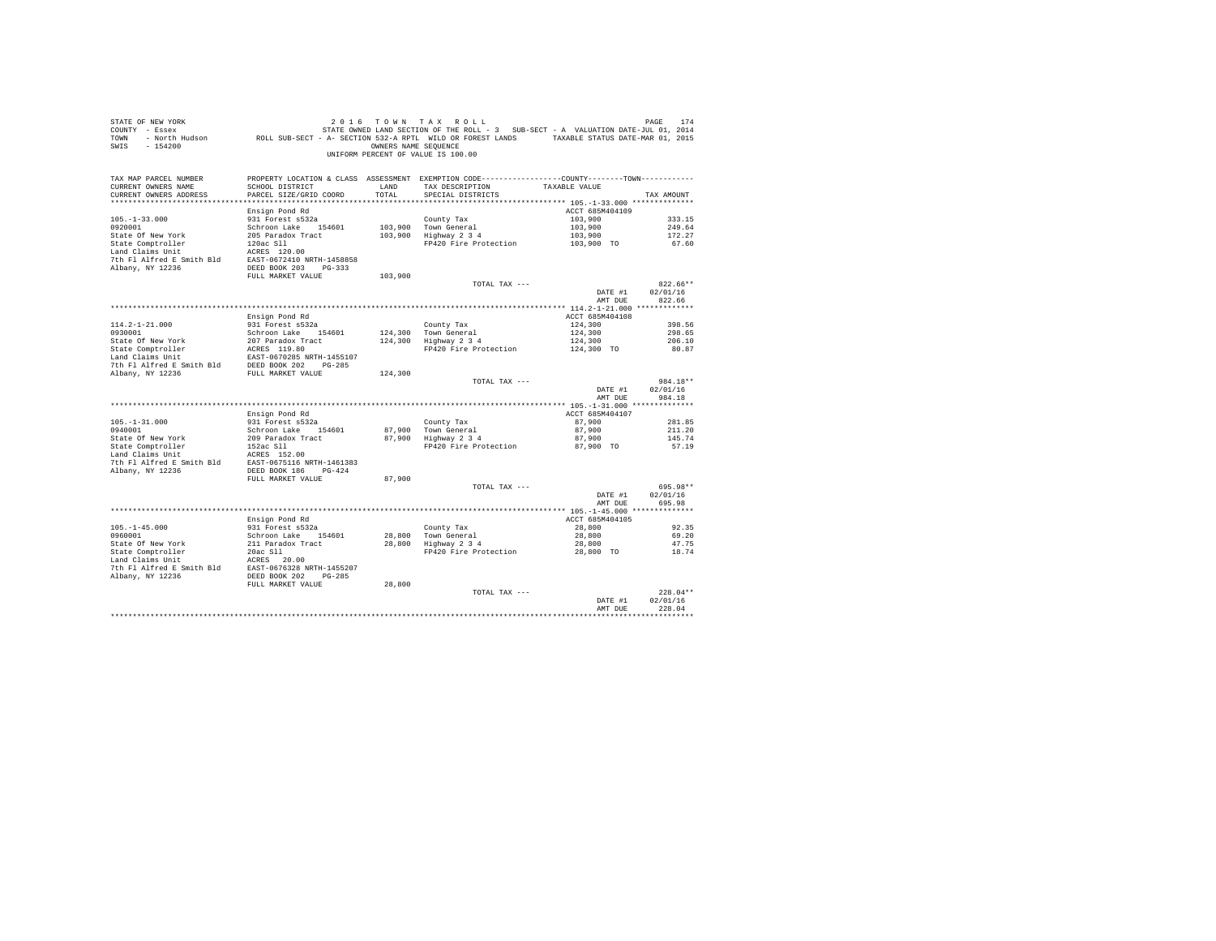| STATE OF NEW YORK<br>SWIS - 154200                                                                 |                                           |                  | 2016 TOWN TAX ROLL<br>OWNERS NAME SEQUENCE<br>UNIFORM PERCENT OF VALUE IS 100.00                                                      |                       | PAGE<br>174            |
|----------------------------------------------------------------------------------------------------|-------------------------------------------|------------------|---------------------------------------------------------------------------------------------------------------------------------------|-----------------------|------------------------|
| TAX MAP PARCEL NUMBER<br>CURRENT OWNERS NAME<br>CURRENT OWNERS ADDRESS<br>************************ | SCHOOL DISTRICT<br>PARCEL SIZE/GRID COORD | LAND<br>TOTAL    | PROPERTY LOCATION & CLASS ASSESSMENT EXEMPTION CODE---------------COUNTY-------TOWN----------<br>TAX DESCRIPTION<br>SPECIAL DISTRICTS | TAXABLE VALUE         | TAX AMOUNT             |
|                                                                                                    | Ensign Pond Rd                            |                  |                                                                                                                                       | ACCT 685M404109       |                        |
| $105. - 1 - 33.000$                                                                                | 931 Forest s532a                          |                  | County Tax                                                                                                                            | 103,900               | 333.15                 |
| 0920001                                                                                            | Schroon Lake 154601                       |                  | 103,900 Town General                                                                                                                  | 103,900               | 249.64                 |
| State Of New York                                                                                  | 205 Paradox Tract                         |                  | $103,900$ Highway 2 3 4                                                                                                               | 103,900<br>103,900 TO | 172.27                 |
| State Comptroller<br>Land Claims Unit                                                              | 120ac Sll                                 |                  | FP420 Fire Protection                                                                                                                 |                       | 67.60                  |
|                                                                                                    | ACRES 120.00                              |                  |                                                                                                                                       |                       |                        |
|                                                                                                    |                                           |                  |                                                                                                                                       |                       |                        |
|                                                                                                    | FULL MARKET VALUE                         | 103,900          |                                                                                                                                       |                       |                        |
|                                                                                                    |                                           |                  | TOTAL TAX ---                                                                                                                         |                       | $822.66**$             |
|                                                                                                    |                                           |                  |                                                                                                                                       | DATE #1<br>AMT DUE    | 02/01/16<br>822.66     |
|                                                                                                    |                                           |                  |                                                                                                                                       |                       |                        |
|                                                                                                    | Ensign Pond Rd                            |                  |                                                                                                                                       | ACCT 685M404108       |                        |
| $114.2 - 1 - 21.000$<br>0930001                                                                    | 931 Forest s532a<br>Schroon Lake 154601   |                  | County Tax                                                                                                                            | 124,300<br>124,300    | 398.56<br>298.65       |
| State Of New York                                                                                  | 207 Paradox Tract                         |                  | 124,300 Town General<br>124,300 Highway 2 3 4                                                                                         | 124,300               | 206.10                 |
| State Comptroller                                                                                  | ACRES 119.80                              |                  | FP420 Fire Protection                                                                                                                 | 124,300 TO            | 80.87                  |
| Land Claims Unit                                                                                   | EAST-0670285 NRTH-1455107                 |                  |                                                                                                                                       |                       |                        |
| 7th Fl Alfred E Smith Bld DEED BOOK 202 PG-285                                                     |                                           |                  |                                                                                                                                       |                       |                        |
| Albany, NY 12236                                                                                   | FULL MARKET VALUE                         | 124,300          |                                                                                                                                       |                       |                        |
|                                                                                                    |                                           |                  | TOTAL TAX ---                                                                                                                         | DATE #1               | 984.18**<br>02/01/16   |
|                                                                                                    |                                           |                  |                                                                                                                                       | AMT DUE               | 984.18                 |
|                                                                                                    |                                           |                  |                                                                                                                                       |                       |                        |
|                                                                                                    | Ensign Pond Rd                            |                  |                                                                                                                                       | ACCT 685M404107       |                        |
| $105. - 1 - 31.000$                                                                                | 931 Forest s532a                          |                  | County Tax                                                                                                                            | 87,900                | 281.85                 |
| 0940001<br>State Of New York                                                                       | Schroon Lake 154601                       |                  | 87,900 Town General<br>87,900   Town General<br>87,900   Highway 2 3 4                                                                | 87,900<br>87,900      | 211.20<br>145.74       |
|                                                                                                    | 209 Paradox Tract<br>152ac Sll            |                  | FP420 Fire Protection                                                                                                                 | 87,900 TO             | 57.19                  |
| State Comptroller<br>Land Claims Unit                                                              |                                           |                  |                                                                                                                                       |                       |                        |
| Land Claims Unit ACRES 152.00<br>Tth F1 Alfred E Smith Bld EAST-0675116 NRTH-1461383               |                                           |                  |                                                                                                                                       |                       |                        |
| Albany, NY 12236                                                                                   | DEED BOOK 186 PG-424                      |                  |                                                                                                                                       |                       |                        |
|                                                                                                    | FULL MARKET VALUE                         | 87,900           |                                                                                                                                       |                       |                        |
|                                                                                                    |                                           |                  | TOTAL TAX ---                                                                                                                         | DATE #1               | 695.98**<br>02/01/16   |
|                                                                                                    |                                           |                  |                                                                                                                                       | AMT DUR               | 695.98                 |
|                                                                                                    |                                           |                  |                                                                                                                                       |                       |                        |
|                                                                                                    | Ensign Pond Rd                            |                  |                                                                                                                                       | ACCT 685M404105       |                        |
| $105. - 1 - 45.000$                                                                                | 931 Forest s532a                          |                  | County Tax                                                                                                                            | 28,800                | 92.35                  |
| 0960001                                                                                            | Schroon Lake 154601<br>211 Paradox Tract  | 28,800<br>28,800 | Town General<br>Highway 2 3 4                                                                                                         | 28,800<br>28,800      | 69.20<br>47.75         |
| State Of New York<br>State Comptroller                                                             | $20ac$ Sll $\sim$                         |                  | FP420 Fire Protection                                                                                                                 | 28,800 TO             | 18.74                  |
| Land Claims Unit                                                                                   | ACRES 20.00                               |                  |                                                                                                                                       |                       |                        |
| 7th Fl Alfred E Smith Bld EAST-0676328 NRTH-1455207                                                |                                           |                  |                                                                                                                                       |                       |                        |
| Albany, NY 12236                                                                                   | DEED BOOK 202 PG-285                      |                  |                                                                                                                                       |                       |                        |
|                                                                                                    | FULL MARKET VALUE                         | 28,800           |                                                                                                                                       |                       |                        |
|                                                                                                    |                                           |                  | TOTAL TAX ---                                                                                                                         | DATE #1               | $228.04**$<br>02/01/16 |
|                                                                                                    |                                           |                  |                                                                                                                                       | AMT DUR               | 228.04                 |
|                                                                                                    |                                           |                  |                                                                                                                                       | .                     | *************          |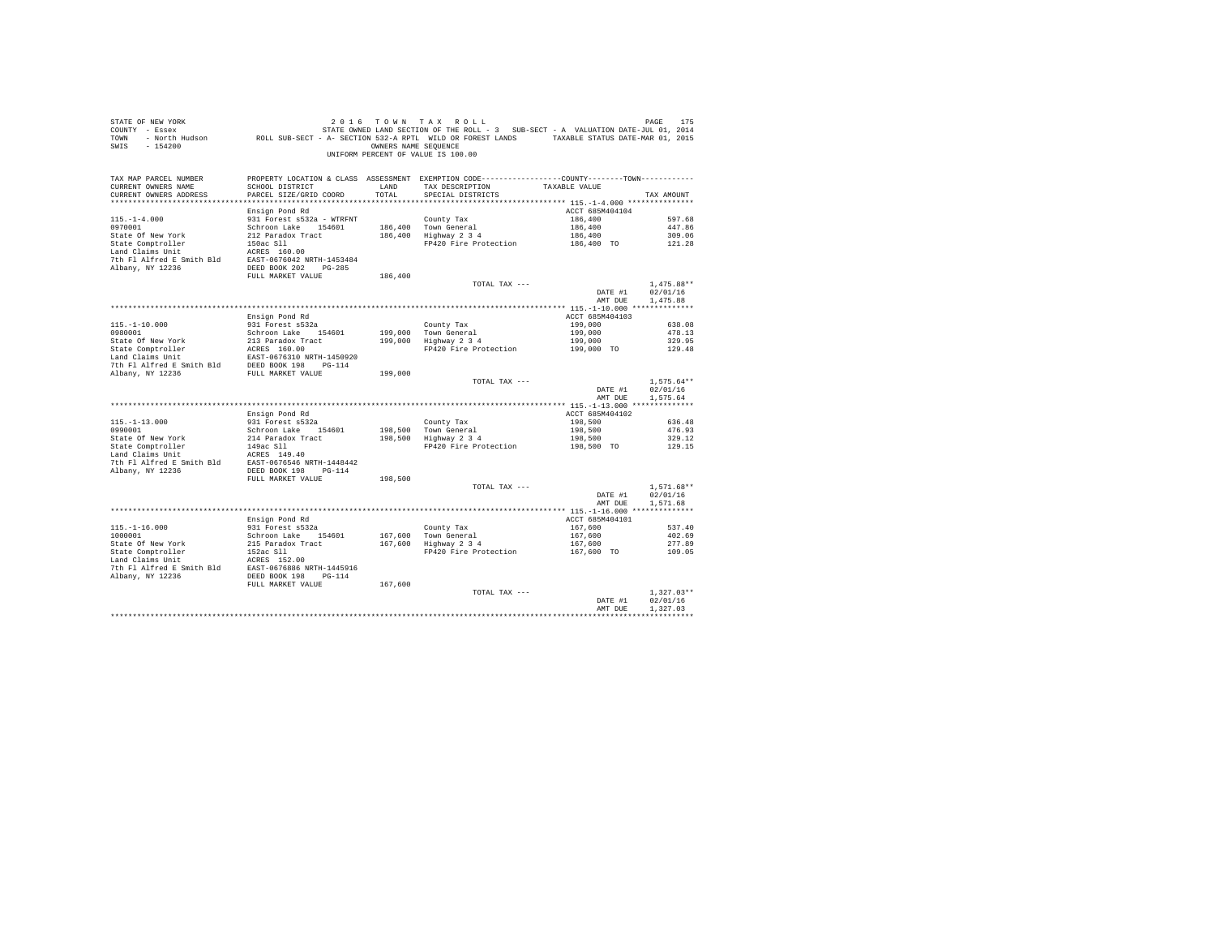| STATE OF NEW YORK<br>O ALLE VION TO A TAX KULL - 2 AND TREE TO A TAX A TAX A CLE TO A PAGE ITS AND TRE-JULL 2014<br>COUNTY - Essex A STATE OWNED LAND SECTION OF THE ROLL - 3 SUB-SECT - A VALUATION DATE-JUL 01, 2014<br>TOWN - North Hudson         RO<br>SWIS - 154200 |                                           | OWNERS NAME SEQUENCE | 2016 TOWN TAX ROLL<br>UNIFORM PERCENT OF VALUE IS 100.00                                                                               |                            | PAGE<br>175              |
|---------------------------------------------------------------------------------------------------------------------------------------------------------------------------------------------------------------------------------------------------------------------------|-------------------------------------------|----------------------|----------------------------------------------------------------------------------------------------------------------------------------|----------------------------|--------------------------|
| TAX MAP PARCEL NUMBER<br>CURRENT OWNERS NAME<br>CURRENT OWNERS ADDRESS<br>*************************                                                                                                                                                                       | SCHOOL DISTRICT<br>PARCEL SIZE/GRID COORD | LAND<br>TOTAL        | PROPERTY LOCATION & CLASS ASSESSMENT EXEMPTION CODE----------------COUNTY-------TOWN----------<br>TAX DESCRIPTION<br>SPECIAL DISTRICTS | TAXABLE VALUE              | TAX AMOUNT               |
|                                                                                                                                                                                                                                                                           | Ensign Pond Rd                            |                      |                                                                                                                                        | ACCT 685M404104            |                          |
| $115. - 1 - 4.000$                                                                                                                                                                                                                                                        | 931 Forest s532a - WTRFNT                 |                      | County Tax                                                                                                                             | 186,400                    | 597.68                   |
| 0970001                                                                                                                                                                                                                                                                   | Schroon Lake 154601                       |                      | 186,400 Town General                                                                                                                   | 186,400                    | 447.86                   |
| State Of New York                                                                                                                                                                                                                                                         | 212 Paradox Tract                         |                      | 186,400 Highway 2 3 4                                                                                                                  | 186,400<br>186,400 TO      | 309.06                   |
| State Comptroller<br>Land Claims Unit                                                                                                                                                                                                                                     | 150ac Sll<br>ACRES 160.00                 |                      | FP420 Fire Protection                                                                                                                  |                            | 121.28                   |
|                                                                                                                                                                                                                                                                           |                                           |                      |                                                                                                                                        |                            |                          |
|                                                                                                                                                                                                                                                                           |                                           |                      |                                                                                                                                        |                            |                          |
|                                                                                                                                                                                                                                                                           | FULL MARKET VALUE                         | 186,400              |                                                                                                                                        |                            |                          |
|                                                                                                                                                                                                                                                                           |                                           |                      | TOTAL TAX ---                                                                                                                          | DATE #1                    | $1.475.88**$<br>02/01/16 |
|                                                                                                                                                                                                                                                                           |                                           |                      |                                                                                                                                        | AMT DUE                    | 1,475.88                 |
|                                                                                                                                                                                                                                                                           |                                           |                      |                                                                                                                                        |                            |                          |
|                                                                                                                                                                                                                                                                           | Ensign Pond Rd                            |                      |                                                                                                                                        | ACCT 685M404103            |                          |
| $115.-1-10.000$<br>0980001                                                                                                                                                                                                                                                | 931 Forest s532a                          |                      | County Tax                                                                                                                             | 199,000                    | 638.08<br>478.13         |
| State Of New York                                                                                                                                                                                                                                                         | Schroon Lake 154601<br>213 Paradox Tract  |                      | County Tax<br>199,000 Town General<br>199,000 Highway 2 3 4                                                                            | 199,000<br>199,000         | 329.95                   |
|                                                                                                                                                                                                                                                                           | ACRES 160.00                              |                      | FP420 Fire Protection                                                                                                                  | 199,000 TO                 | 129.48                   |
| State Comptroller<br>Land Claims Unit                                                                                                                                                                                                                                     | EAST-0676310 NRTH-1450920                 |                      |                                                                                                                                        |                            |                          |
| 7th F1 Alfred E Smith Bld BEED BOOK 198 PG-114<br>Albany, NY 12236 FULL MARKET VALUE                                                                                                                                                                                      |                                           |                      |                                                                                                                                        |                            |                          |
|                                                                                                                                                                                                                                                                           |                                           | 199,000              | TOTAL TAX ---                                                                                                                          |                            | $1.575.64**$             |
|                                                                                                                                                                                                                                                                           |                                           |                      |                                                                                                                                        | DATE #1                    | 02/01/16                 |
|                                                                                                                                                                                                                                                                           |                                           |                      |                                                                                                                                        | AMT DUE                    | 1.575.64                 |
|                                                                                                                                                                                                                                                                           |                                           |                      |                                                                                                                                        |                            |                          |
| $115. - 1 - 13.000$                                                                                                                                                                                                                                                       | Ensign Pond Rd<br>931 Forest s532a        |                      | County Tax                                                                                                                             | ACCT 685M404102<br>198,500 | 636.48                   |
| 0990001                                                                                                                                                                                                                                                                   | Schroon Lake 154601                       |                      | 198,500 Town General                                                                                                                   | 198,500                    | 476.93                   |
| State Of New York                                                                                                                                                                                                                                                         | 214 Paradox Tract                         |                      | 198,500   Iown General<br>198,500   Highway 2 3 4                                                                                      | 198,500                    | 329.12                   |
| State Comptroller<br>Land Claims Unit                                                                                                                                                                                                                                     | 149ac Sll                                 |                      | FP420 Fire Protection                                                                                                                  | 198,500 TO                 | 129.15                   |
| 7th Fl Alfred E Smith Bld EAST-0676546 NRTH-1448442                                                                                                                                                                                                                       | ACRES 149.40                              |                      |                                                                                                                                        |                            |                          |
| Albany, NY 12236                                                                                                                                                                                                                                                          | DEED BOOK 198 PG-114                      |                      |                                                                                                                                        |                            |                          |
|                                                                                                                                                                                                                                                                           | FULL MARKET VALUE                         | 198,500              |                                                                                                                                        |                            |                          |
|                                                                                                                                                                                                                                                                           |                                           |                      | TOTAL TAX ---                                                                                                                          |                            | $1.571.68**$             |
|                                                                                                                                                                                                                                                                           |                                           |                      |                                                                                                                                        | DATE #1<br>AMT DUE         | 02/01/16<br>1.571.68     |
|                                                                                                                                                                                                                                                                           |                                           |                      |                                                                                                                                        |                            |                          |
|                                                                                                                                                                                                                                                                           | Ensign Pond Rd                            |                      |                                                                                                                                        | ACCT 685M404101            |                          |
| $115. - 1 - 16.000$                                                                                                                                                                                                                                                       | 931 Forest s532a                          |                      | County Tax                                                                                                                             | 167,600                    | 537.40                   |
| 1000001                                                                                                                                                                                                                                                                   | Schroon Lake 154601                       | 167,600              | County Tax<br>167,600   Town General<br>167,600   Highway 2 3 4                                                                        | 167,600                    | 402.69                   |
| State Of New York                                                                                                                                                                                                                                                         | 215 Paradox Tract<br>152ac Sll            |                      | FP420 Fire Protection                                                                                                                  | 167,600<br>167,600 TO      | 277.89<br>109.05         |
| State Comptroller<br>Land Claims Unit                                                                                                                                                                                                                                     | ACRES 152.00                              |                      |                                                                                                                                        |                            |                          |
| 7th Fl Alfred E Smith Bld EAST-0676886 NRTH-1445916                                                                                                                                                                                                                       |                                           |                      |                                                                                                                                        |                            |                          |
| Albany, NY 12236                                                                                                                                                                                                                                                          | DEED BOOK 198 PG-114                      |                      |                                                                                                                                        |                            |                          |
|                                                                                                                                                                                                                                                                           | FULL MARKET VALUE                         | 167,600              | TOTAL TAX ---                                                                                                                          |                            | $1.327.03**$             |
|                                                                                                                                                                                                                                                                           |                                           |                      |                                                                                                                                        | DATE #1                    | 02/01/16                 |
|                                                                                                                                                                                                                                                                           |                                           |                      |                                                                                                                                        | AMT DUR                    | 1,327.03                 |
|                                                                                                                                                                                                                                                                           |                                           |                      |                                                                                                                                        |                            | ************             |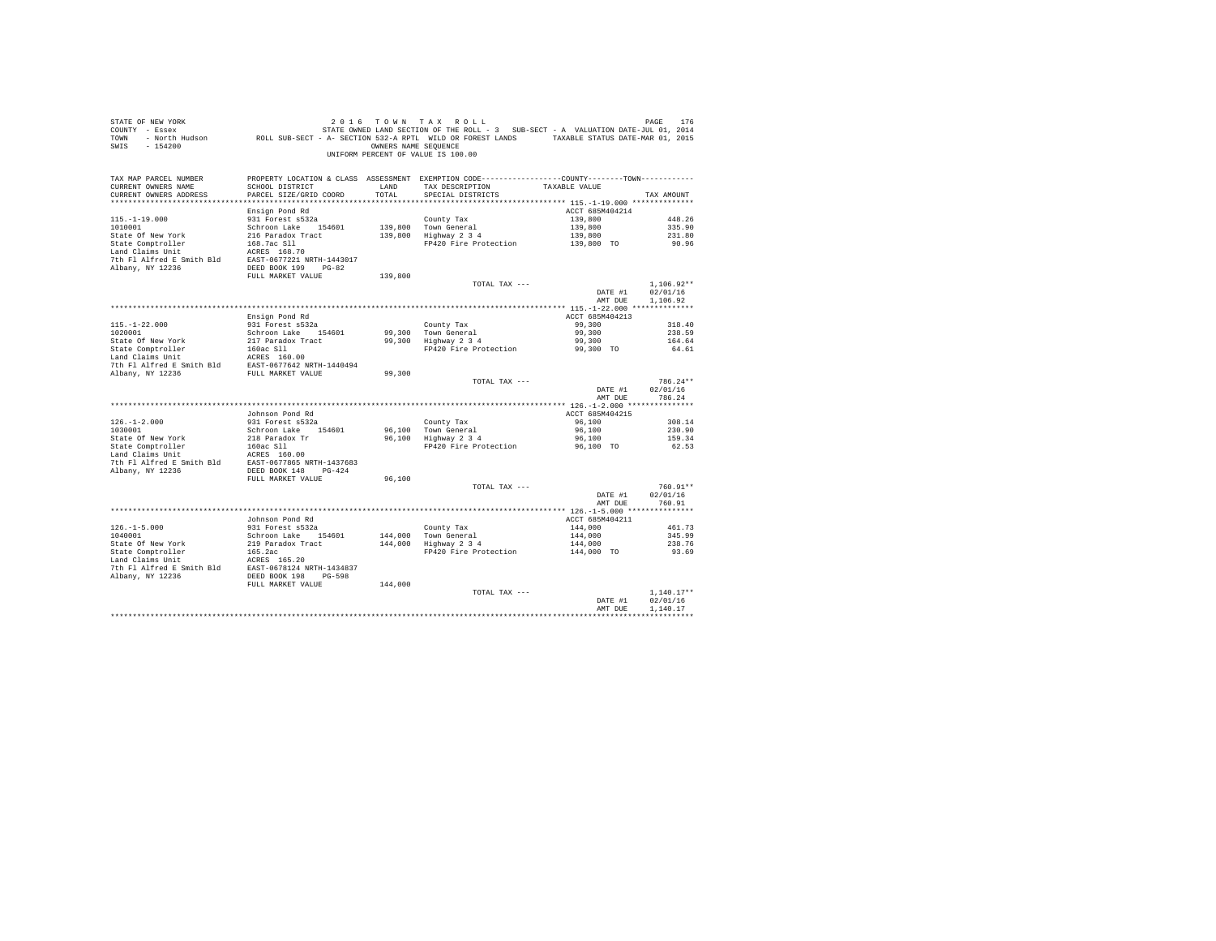| PROPERTY LOCATION & CLASS ASSESSMENT EXEMPTION CODE---------------COUNTY-------TOWN---------<br>TAX MAP PARCEL NUMBER<br>SCHOOL DISTRICT<br>TAX DESCRIPTION<br>TAXABLE VALUE<br>CURRENT OWNERS NAME<br>LAND<br>CURRENT OWNERS ADDRESS<br>PARCEL SIZE/GRID COORD<br>TOTAL<br>SPECIAL DISTRICTS<br>TAX AMOUNT<br>Ensign Pond Rd<br>ACCT 685M404214<br>$115. - 1 - 19.000$<br>931 Forest s532a<br>County Tax<br>139,800<br>448.26<br>Schroon Lake 154601<br>139,800<br>1010001<br>139,800 Town General<br>335.90<br>139,800 Highway 2 3 4<br>State Of New York<br>216 Paradox Tract<br>139,800<br>231.80<br>State Comptroller<br>168.7ac Sll<br>FP420 Fire Protection 139,800 TO<br>90.96<br>Land Claims Unit<br>ACRES 168.70<br>7th Fl Alfred E Smith Bld EAST-0677221 NRTH-1443017<br>Albany, NY 12236<br>DEED BOOK 199 PG-82<br>FULL MARKET VALUE<br>139,800<br>TOTAL TAX ---<br>$1.106.92**$<br>02/01/16<br>DATE #1<br>1,106.92<br>AMT DUE<br>ACCT 685M404213<br>Ensign Pond Rd<br>$115. - 1 - 22.000$<br>931 Forest s532a<br>99,300<br>County Tax<br>318.40<br>Town General<br>1020001<br>99,300<br>Schroon Lake 154601<br>99,300<br>238.59<br>$Highway$ 2 3 4<br>State Of New York<br>217 Paradox Tract<br>99,300<br>99,300<br>164.64<br>FP420 Fire Protection<br>99,300 TO<br>64.61<br>Albany, NY 12236<br>FULL MARKET VALUE<br>99,300<br>786.24**<br>TOTAL TAX ---<br>02/01/16<br>DATE #1<br>786.24<br>AMT DUE<br>ACCT 685M404215<br>Johnson Pond Rd<br>$126. - 1 - 2.000$<br>931 Forest s532a<br>96,100<br>County Tax<br>308.14<br>1030001<br>Schroon Lake 154601<br>96,100 Town General<br>96,100<br>230.90<br>96,100 Highway 2 3 4<br>96,100<br>State Of New York<br>218 Paradox Tr<br>159.34<br>State Comptroller<br>160ac Sll<br>FP420 Fire Protection<br>96,100 TO<br>62.53<br>Land Claims Unit<br>ACRES 160.00<br>EAST-0677865 NRTH-1437683<br>7th Fl Alfred E Smith Bld<br>Albany, NY 12236<br>DEED BOOK 148 PG-424<br>FULL MARKET VALUE<br>96,100<br>760.91**<br>TOTAL TAX ---<br>DATE #1<br>02/01/16<br>AMT DUE<br>760.91<br>ACCT 685M404211<br>Johnson Pond Rd<br>$126. - 1 - 5.000$<br>931 Forest s532a<br>144,000<br>County Tax<br>461.73<br>Town General<br>Highway 2 3 4<br>1040001<br>Schroon Lake 154601<br>144,000<br>144,000<br>345.99<br>State Of New York<br>219 Paradox Tract<br>144,000<br>144,000<br>238.76<br>165.2ac<br>FP420 Fire Protection<br>State Comptroller<br>144,000 TO<br>93.69<br>Land Claims Unit<br>$\frac{1}{2}$ ACRES 165.20<br>$\frac{1}{2}$ ALIENCE E Smith Bld<br>$\frac{1}{2}$ EAST-0678124 NRTH-1434837<br>Albany, NY 12236<br>DEED BOOK 198 PG-598<br>FULL MARKET VALUE<br>144,000<br>$1.140.17**$<br>TOTAL TAX ---<br>02/01/16<br>DATE #1<br>AMT DUR<br>1,140.17<br>************ | STATE OF NEW YORK<br>COUNTY - Essex<br>TOWN<br>$-154200$<br>SWIS | OWNERS NAME SEQUENCE | 2016 TOWN TAX ROLL<br>STATE OWNED LAND SECTION OF THE ROLL - 3 SUB-SECT - A VALUATION DATE-JUL 01, 2014<br>- SSEX PRODUCED PROLL SUB-SECT - A- SECTION 532-A RPTL WILD OR FOREST LANDS - SAVABLE STATUS DATE-WAR 01, 2015<br>- North Hudson ROLL SUB-SECT - A- SECTION 532-A RPTL WILD OR FOREST LANDS - TAXABLE STATUS DATE-MAR 01, 2015<br>UNIFORM PERCENT OF VALUE IS 100.00 | PAGE<br>176 |
|---------------------------------------------------------------------------------------------------------------------------------------------------------------------------------------------------------------------------------------------------------------------------------------------------------------------------------------------------------------------------------------------------------------------------------------------------------------------------------------------------------------------------------------------------------------------------------------------------------------------------------------------------------------------------------------------------------------------------------------------------------------------------------------------------------------------------------------------------------------------------------------------------------------------------------------------------------------------------------------------------------------------------------------------------------------------------------------------------------------------------------------------------------------------------------------------------------------------------------------------------------------------------------------------------------------------------------------------------------------------------------------------------------------------------------------------------------------------------------------------------------------------------------------------------------------------------------------------------------------------------------------------------------------------------------------------------------------------------------------------------------------------------------------------------------------------------------------------------------------------------------------------------------------------------------------------------------------------------------------------------------------------------------------------------------------------------------------------------------------------------------------------------------------------------------------------------------------------------------------------------------------------------------------------------------------------------------------------------------------------------------------------------------------------------------------------------------------------------------------------------------------------------------------------------------------------------------------------------------------------------------------------------------------------------------------------------------------------------------------|------------------------------------------------------------------|----------------------|---------------------------------------------------------------------------------------------------------------------------------------------------------------------------------------------------------------------------------------------------------------------------------------------------------------------------------------------------------------------------------|-------------|
|                                                                                                                                                                                                                                                                                                                                                                                                                                                                                                                                                                                                                                                                                                                                                                                                                                                                                                                                                                                                                                                                                                                                                                                                                                                                                                                                                                                                                                                                                                                                                                                                                                                                                                                                                                                                                                                                                                                                                                                                                                                                                                                                                                                                                                                                                                                                                                                                                                                                                                                                                                                                                                                                                                                                       |                                                                  |                      |                                                                                                                                                                                                                                                                                                                                                                                 |             |
|                                                                                                                                                                                                                                                                                                                                                                                                                                                                                                                                                                                                                                                                                                                                                                                                                                                                                                                                                                                                                                                                                                                                                                                                                                                                                                                                                                                                                                                                                                                                                                                                                                                                                                                                                                                                                                                                                                                                                                                                                                                                                                                                                                                                                                                                                                                                                                                                                                                                                                                                                                                                                                                                                                                                       |                                                                  |                      |                                                                                                                                                                                                                                                                                                                                                                                 |             |
|                                                                                                                                                                                                                                                                                                                                                                                                                                                                                                                                                                                                                                                                                                                                                                                                                                                                                                                                                                                                                                                                                                                                                                                                                                                                                                                                                                                                                                                                                                                                                                                                                                                                                                                                                                                                                                                                                                                                                                                                                                                                                                                                                                                                                                                                                                                                                                                                                                                                                                                                                                                                                                                                                                                                       |                                                                  |                      |                                                                                                                                                                                                                                                                                                                                                                                 |             |
|                                                                                                                                                                                                                                                                                                                                                                                                                                                                                                                                                                                                                                                                                                                                                                                                                                                                                                                                                                                                                                                                                                                                                                                                                                                                                                                                                                                                                                                                                                                                                                                                                                                                                                                                                                                                                                                                                                                                                                                                                                                                                                                                                                                                                                                                                                                                                                                                                                                                                                                                                                                                                                                                                                                                       |                                                                  |                      |                                                                                                                                                                                                                                                                                                                                                                                 |             |
|                                                                                                                                                                                                                                                                                                                                                                                                                                                                                                                                                                                                                                                                                                                                                                                                                                                                                                                                                                                                                                                                                                                                                                                                                                                                                                                                                                                                                                                                                                                                                                                                                                                                                                                                                                                                                                                                                                                                                                                                                                                                                                                                                                                                                                                                                                                                                                                                                                                                                                                                                                                                                                                                                                                                       |                                                                  |                      |                                                                                                                                                                                                                                                                                                                                                                                 |             |
|                                                                                                                                                                                                                                                                                                                                                                                                                                                                                                                                                                                                                                                                                                                                                                                                                                                                                                                                                                                                                                                                                                                                                                                                                                                                                                                                                                                                                                                                                                                                                                                                                                                                                                                                                                                                                                                                                                                                                                                                                                                                                                                                                                                                                                                                                                                                                                                                                                                                                                                                                                                                                                                                                                                                       |                                                                  |                      |                                                                                                                                                                                                                                                                                                                                                                                 |             |
|                                                                                                                                                                                                                                                                                                                                                                                                                                                                                                                                                                                                                                                                                                                                                                                                                                                                                                                                                                                                                                                                                                                                                                                                                                                                                                                                                                                                                                                                                                                                                                                                                                                                                                                                                                                                                                                                                                                                                                                                                                                                                                                                                                                                                                                                                                                                                                                                                                                                                                                                                                                                                                                                                                                                       |                                                                  |                      |                                                                                                                                                                                                                                                                                                                                                                                 |             |
|                                                                                                                                                                                                                                                                                                                                                                                                                                                                                                                                                                                                                                                                                                                                                                                                                                                                                                                                                                                                                                                                                                                                                                                                                                                                                                                                                                                                                                                                                                                                                                                                                                                                                                                                                                                                                                                                                                                                                                                                                                                                                                                                                                                                                                                                                                                                                                                                                                                                                                                                                                                                                                                                                                                                       |                                                                  |                      |                                                                                                                                                                                                                                                                                                                                                                                 |             |
|                                                                                                                                                                                                                                                                                                                                                                                                                                                                                                                                                                                                                                                                                                                                                                                                                                                                                                                                                                                                                                                                                                                                                                                                                                                                                                                                                                                                                                                                                                                                                                                                                                                                                                                                                                                                                                                                                                                                                                                                                                                                                                                                                                                                                                                                                                                                                                                                                                                                                                                                                                                                                                                                                                                                       |                                                                  |                      |                                                                                                                                                                                                                                                                                                                                                                                 |             |
|                                                                                                                                                                                                                                                                                                                                                                                                                                                                                                                                                                                                                                                                                                                                                                                                                                                                                                                                                                                                                                                                                                                                                                                                                                                                                                                                                                                                                                                                                                                                                                                                                                                                                                                                                                                                                                                                                                                                                                                                                                                                                                                                                                                                                                                                                                                                                                                                                                                                                                                                                                                                                                                                                                                                       |                                                                  |                      |                                                                                                                                                                                                                                                                                                                                                                                 |             |
|                                                                                                                                                                                                                                                                                                                                                                                                                                                                                                                                                                                                                                                                                                                                                                                                                                                                                                                                                                                                                                                                                                                                                                                                                                                                                                                                                                                                                                                                                                                                                                                                                                                                                                                                                                                                                                                                                                                                                                                                                                                                                                                                                                                                                                                                                                                                                                                                                                                                                                                                                                                                                                                                                                                                       |                                                                  |                      |                                                                                                                                                                                                                                                                                                                                                                                 |             |
|                                                                                                                                                                                                                                                                                                                                                                                                                                                                                                                                                                                                                                                                                                                                                                                                                                                                                                                                                                                                                                                                                                                                                                                                                                                                                                                                                                                                                                                                                                                                                                                                                                                                                                                                                                                                                                                                                                                                                                                                                                                                                                                                                                                                                                                                                                                                                                                                                                                                                                                                                                                                                                                                                                                                       |                                                                  |                      |                                                                                                                                                                                                                                                                                                                                                                                 |             |
|                                                                                                                                                                                                                                                                                                                                                                                                                                                                                                                                                                                                                                                                                                                                                                                                                                                                                                                                                                                                                                                                                                                                                                                                                                                                                                                                                                                                                                                                                                                                                                                                                                                                                                                                                                                                                                                                                                                                                                                                                                                                                                                                                                                                                                                                                                                                                                                                                                                                                                                                                                                                                                                                                                                                       |                                                                  |                      |                                                                                                                                                                                                                                                                                                                                                                                 |             |
|                                                                                                                                                                                                                                                                                                                                                                                                                                                                                                                                                                                                                                                                                                                                                                                                                                                                                                                                                                                                                                                                                                                                                                                                                                                                                                                                                                                                                                                                                                                                                                                                                                                                                                                                                                                                                                                                                                                                                                                                                                                                                                                                                                                                                                                                                                                                                                                                                                                                                                                                                                                                                                                                                                                                       |                                                                  |                      |                                                                                                                                                                                                                                                                                                                                                                                 |             |
|                                                                                                                                                                                                                                                                                                                                                                                                                                                                                                                                                                                                                                                                                                                                                                                                                                                                                                                                                                                                                                                                                                                                                                                                                                                                                                                                                                                                                                                                                                                                                                                                                                                                                                                                                                                                                                                                                                                                                                                                                                                                                                                                                                                                                                                                                                                                                                                                                                                                                                                                                                                                                                                                                                                                       |                                                                  |                      |                                                                                                                                                                                                                                                                                                                                                                                 |             |
|                                                                                                                                                                                                                                                                                                                                                                                                                                                                                                                                                                                                                                                                                                                                                                                                                                                                                                                                                                                                                                                                                                                                                                                                                                                                                                                                                                                                                                                                                                                                                                                                                                                                                                                                                                                                                                                                                                                                                                                                                                                                                                                                                                                                                                                                                                                                                                                                                                                                                                                                                                                                                                                                                                                                       |                                                                  |                      |                                                                                                                                                                                                                                                                                                                                                                                 |             |
|                                                                                                                                                                                                                                                                                                                                                                                                                                                                                                                                                                                                                                                                                                                                                                                                                                                                                                                                                                                                                                                                                                                                                                                                                                                                                                                                                                                                                                                                                                                                                                                                                                                                                                                                                                                                                                                                                                                                                                                                                                                                                                                                                                                                                                                                                                                                                                                                                                                                                                                                                                                                                                                                                                                                       |                                                                  |                      |                                                                                                                                                                                                                                                                                                                                                                                 |             |
|                                                                                                                                                                                                                                                                                                                                                                                                                                                                                                                                                                                                                                                                                                                                                                                                                                                                                                                                                                                                                                                                                                                                                                                                                                                                                                                                                                                                                                                                                                                                                                                                                                                                                                                                                                                                                                                                                                                                                                                                                                                                                                                                                                                                                                                                                                                                                                                                                                                                                                                                                                                                                                                                                                                                       |                                                                  |                      |                                                                                                                                                                                                                                                                                                                                                                                 |             |
|                                                                                                                                                                                                                                                                                                                                                                                                                                                                                                                                                                                                                                                                                                                                                                                                                                                                                                                                                                                                                                                                                                                                                                                                                                                                                                                                                                                                                                                                                                                                                                                                                                                                                                                                                                                                                                                                                                                                                                                                                                                                                                                                                                                                                                                                                                                                                                                                                                                                                                                                                                                                                                                                                                                                       |                                                                  |                      |                                                                                                                                                                                                                                                                                                                                                                                 |             |
|                                                                                                                                                                                                                                                                                                                                                                                                                                                                                                                                                                                                                                                                                                                                                                                                                                                                                                                                                                                                                                                                                                                                                                                                                                                                                                                                                                                                                                                                                                                                                                                                                                                                                                                                                                                                                                                                                                                                                                                                                                                                                                                                                                                                                                                                                                                                                                                                                                                                                                                                                                                                                                                                                                                                       |                                                                  |                      |                                                                                                                                                                                                                                                                                                                                                                                 |             |
|                                                                                                                                                                                                                                                                                                                                                                                                                                                                                                                                                                                                                                                                                                                                                                                                                                                                                                                                                                                                                                                                                                                                                                                                                                                                                                                                                                                                                                                                                                                                                                                                                                                                                                                                                                                                                                                                                                                                                                                                                                                                                                                                                                                                                                                                                                                                                                                                                                                                                                                                                                                                                                                                                                                                       |                                                                  |                      |                                                                                                                                                                                                                                                                                                                                                                                 |             |
|                                                                                                                                                                                                                                                                                                                                                                                                                                                                                                                                                                                                                                                                                                                                                                                                                                                                                                                                                                                                                                                                                                                                                                                                                                                                                                                                                                                                                                                                                                                                                                                                                                                                                                                                                                                                                                                                                                                                                                                                                                                                                                                                                                                                                                                                                                                                                                                                                                                                                                                                                                                                                                                                                                                                       |                                                                  |                      |                                                                                                                                                                                                                                                                                                                                                                                 |             |
|                                                                                                                                                                                                                                                                                                                                                                                                                                                                                                                                                                                                                                                                                                                                                                                                                                                                                                                                                                                                                                                                                                                                                                                                                                                                                                                                                                                                                                                                                                                                                                                                                                                                                                                                                                                                                                                                                                                                                                                                                                                                                                                                                                                                                                                                                                                                                                                                                                                                                                                                                                                                                                                                                                                                       |                                                                  |                      |                                                                                                                                                                                                                                                                                                                                                                                 |             |
|                                                                                                                                                                                                                                                                                                                                                                                                                                                                                                                                                                                                                                                                                                                                                                                                                                                                                                                                                                                                                                                                                                                                                                                                                                                                                                                                                                                                                                                                                                                                                                                                                                                                                                                                                                                                                                                                                                                                                                                                                                                                                                                                                                                                                                                                                                                                                                                                                                                                                                                                                                                                                                                                                                                                       |                                                                  |                      |                                                                                                                                                                                                                                                                                                                                                                                 |             |
|                                                                                                                                                                                                                                                                                                                                                                                                                                                                                                                                                                                                                                                                                                                                                                                                                                                                                                                                                                                                                                                                                                                                                                                                                                                                                                                                                                                                                                                                                                                                                                                                                                                                                                                                                                                                                                                                                                                                                                                                                                                                                                                                                                                                                                                                                                                                                                                                                                                                                                                                                                                                                                                                                                                                       |                                                                  |                      |                                                                                                                                                                                                                                                                                                                                                                                 |             |
|                                                                                                                                                                                                                                                                                                                                                                                                                                                                                                                                                                                                                                                                                                                                                                                                                                                                                                                                                                                                                                                                                                                                                                                                                                                                                                                                                                                                                                                                                                                                                                                                                                                                                                                                                                                                                                                                                                                                                                                                                                                                                                                                                                                                                                                                                                                                                                                                                                                                                                                                                                                                                                                                                                                                       |                                                                  |                      |                                                                                                                                                                                                                                                                                                                                                                                 |             |
|                                                                                                                                                                                                                                                                                                                                                                                                                                                                                                                                                                                                                                                                                                                                                                                                                                                                                                                                                                                                                                                                                                                                                                                                                                                                                                                                                                                                                                                                                                                                                                                                                                                                                                                                                                                                                                                                                                                                                                                                                                                                                                                                                                                                                                                                                                                                                                                                                                                                                                                                                                                                                                                                                                                                       |                                                                  |                      |                                                                                                                                                                                                                                                                                                                                                                                 |             |
|                                                                                                                                                                                                                                                                                                                                                                                                                                                                                                                                                                                                                                                                                                                                                                                                                                                                                                                                                                                                                                                                                                                                                                                                                                                                                                                                                                                                                                                                                                                                                                                                                                                                                                                                                                                                                                                                                                                                                                                                                                                                                                                                                                                                                                                                                                                                                                                                                                                                                                                                                                                                                                                                                                                                       |                                                                  |                      |                                                                                                                                                                                                                                                                                                                                                                                 |             |
|                                                                                                                                                                                                                                                                                                                                                                                                                                                                                                                                                                                                                                                                                                                                                                                                                                                                                                                                                                                                                                                                                                                                                                                                                                                                                                                                                                                                                                                                                                                                                                                                                                                                                                                                                                                                                                                                                                                                                                                                                                                                                                                                                                                                                                                                                                                                                                                                                                                                                                                                                                                                                                                                                                                                       |                                                                  |                      |                                                                                                                                                                                                                                                                                                                                                                                 |             |
|                                                                                                                                                                                                                                                                                                                                                                                                                                                                                                                                                                                                                                                                                                                                                                                                                                                                                                                                                                                                                                                                                                                                                                                                                                                                                                                                                                                                                                                                                                                                                                                                                                                                                                                                                                                                                                                                                                                                                                                                                                                                                                                                                                                                                                                                                                                                                                                                                                                                                                                                                                                                                                                                                                                                       |                                                                  |                      |                                                                                                                                                                                                                                                                                                                                                                                 |             |
|                                                                                                                                                                                                                                                                                                                                                                                                                                                                                                                                                                                                                                                                                                                                                                                                                                                                                                                                                                                                                                                                                                                                                                                                                                                                                                                                                                                                                                                                                                                                                                                                                                                                                                                                                                                                                                                                                                                                                                                                                                                                                                                                                                                                                                                                                                                                                                                                                                                                                                                                                                                                                                                                                                                                       |                                                                  |                      |                                                                                                                                                                                                                                                                                                                                                                                 |             |
|                                                                                                                                                                                                                                                                                                                                                                                                                                                                                                                                                                                                                                                                                                                                                                                                                                                                                                                                                                                                                                                                                                                                                                                                                                                                                                                                                                                                                                                                                                                                                                                                                                                                                                                                                                                                                                                                                                                                                                                                                                                                                                                                                                                                                                                                                                                                                                                                                                                                                                                                                                                                                                                                                                                                       |                                                                  |                      |                                                                                                                                                                                                                                                                                                                                                                                 |             |
|                                                                                                                                                                                                                                                                                                                                                                                                                                                                                                                                                                                                                                                                                                                                                                                                                                                                                                                                                                                                                                                                                                                                                                                                                                                                                                                                                                                                                                                                                                                                                                                                                                                                                                                                                                                                                                                                                                                                                                                                                                                                                                                                                                                                                                                                                                                                                                                                                                                                                                                                                                                                                                                                                                                                       |                                                                  |                      |                                                                                                                                                                                                                                                                                                                                                                                 |             |
|                                                                                                                                                                                                                                                                                                                                                                                                                                                                                                                                                                                                                                                                                                                                                                                                                                                                                                                                                                                                                                                                                                                                                                                                                                                                                                                                                                                                                                                                                                                                                                                                                                                                                                                                                                                                                                                                                                                                                                                                                                                                                                                                                                                                                                                                                                                                                                                                                                                                                                                                                                                                                                                                                                                                       |                                                                  |                      |                                                                                                                                                                                                                                                                                                                                                                                 |             |
|                                                                                                                                                                                                                                                                                                                                                                                                                                                                                                                                                                                                                                                                                                                                                                                                                                                                                                                                                                                                                                                                                                                                                                                                                                                                                                                                                                                                                                                                                                                                                                                                                                                                                                                                                                                                                                                                                                                                                                                                                                                                                                                                                                                                                                                                                                                                                                                                                                                                                                                                                                                                                                                                                                                                       |                                                                  |                      |                                                                                                                                                                                                                                                                                                                                                                                 |             |
|                                                                                                                                                                                                                                                                                                                                                                                                                                                                                                                                                                                                                                                                                                                                                                                                                                                                                                                                                                                                                                                                                                                                                                                                                                                                                                                                                                                                                                                                                                                                                                                                                                                                                                                                                                                                                                                                                                                                                                                                                                                                                                                                                                                                                                                                                                                                                                                                                                                                                                                                                                                                                                                                                                                                       |                                                                  |                      |                                                                                                                                                                                                                                                                                                                                                                                 |             |
|                                                                                                                                                                                                                                                                                                                                                                                                                                                                                                                                                                                                                                                                                                                                                                                                                                                                                                                                                                                                                                                                                                                                                                                                                                                                                                                                                                                                                                                                                                                                                                                                                                                                                                                                                                                                                                                                                                                                                                                                                                                                                                                                                                                                                                                                                                                                                                                                                                                                                                                                                                                                                                                                                                                                       |                                                                  |                      |                                                                                                                                                                                                                                                                                                                                                                                 |             |
|                                                                                                                                                                                                                                                                                                                                                                                                                                                                                                                                                                                                                                                                                                                                                                                                                                                                                                                                                                                                                                                                                                                                                                                                                                                                                                                                                                                                                                                                                                                                                                                                                                                                                                                                                                                                                                                                                                                                                                                                                                                                                                                                                                                                                                                                                                                                                                                                                                                                                                                                                                                                                                                                                                                                       |                                                                  |                      |                                                                                                                                                                                                                                                                                                                                                                                 |             |
|                                                                                                                                                                                                                                                                                                                                                                                                                                                                                                                                                                                                                                                                                                                                                                                                                                                                                                                                                                                                                                                                                                                                                                                                                                                                                                                                                                                                                                                                                                                                                                                                                                                                                                                                                                                                                                                                                                                                                                                                                                                                                                                                                                                                                                                                                                                                                                                                                                                                                                                                                                                                                                                                                                                                       |                                                                  |                      |                                                                                                                                                                                                                                                                                                                                                                                 |             |
|                                                                                                                                                                                                                                                                                                                                                                                                                                                                                                                                                                                                                                                                                                                                                                                                                                                                                                                                                                                                                                                                                                                                                                                                                                                                                                                                                                                                                                                                                                                                                                                                                                                                                                                                                                                                                                                                                                                                                                                                                                                                                                                                                                                                                                                                                                                                                                                                                                                                                                                                                                                                                                                                                                                                       |                                                                  |                      |                                                                                                                                                                                                                                                                                                                                                                                 |             |
|                                                                                                                                                                                                                                                                                                                                                                                                                                                                                                                                                                                                                                                                                                                                                                                                                                                                                                                                                                                                                                                                                                                                                                                                                                                                                                                                                                                                                                                                                                                                                                                                                                                                                                                                                                                                                                                                                                                                                                                                                                                                                                                                                                                                                                                                                                                                                                                                                                                                                                                                                                                                                                                                                                                                       |                                                                  |                      |                                                                                                                                                                                                                                                                                                                                                                                 |             |
|                                                                                                                                                                                                                                                                                                                                                                                                                                                                                                                                                                                                                                                                                                                                                                                                                                                                                                                                                                                                                                                                                                                                                                                                                                                                                                                                                                                                                                                                                                                                                                                                                                                                                                                                                                                                                                                                                                                                                                                                                                                                                                                                                                                                                                                                                                                                                                                                                                                                                                                                                                                                                                                                                                                                       |                                                                  |                      |                                                                                                                                                                                                                                                                                                                                                                                 |             |
|                                                                                                                                                                                                                                                                                                                                                                                                                                                                                                                                                                                                                                                                                                                                                                                                                                                                                                                                                                                                                                                                                                                                                                                                                                                                                                                                                                                                                                                                                                                                                                                                                                                                                                                                                                                                                                                                                                                                                                                                                                                                                                                                                                                                                                                                                                                                                                                                                                                                                                                                                                                                                                                                                                                                       |                                                                  |                      |                                                                                                                                                                                                                                                                                                                                                                                 |             |
|                                                                                                                                                                                                                                                                                                                                                                                                                                                                                                                                                                                                                                                                                                                                                                                                                                                                                                                                                                                                                                                                                                                                                                                                                                                                                                                                                                                                                                                                                                                                                                                                                                                                                                                                                                                                                                                                                                                                                                                                                                                                                                                                                                                                                                                                                                                                                                                                                                                                                                                                                                                                                                                                                                                                       |                                                                  |                      |                                                                                                                                                                                                                                                                                                                                                                                 |             |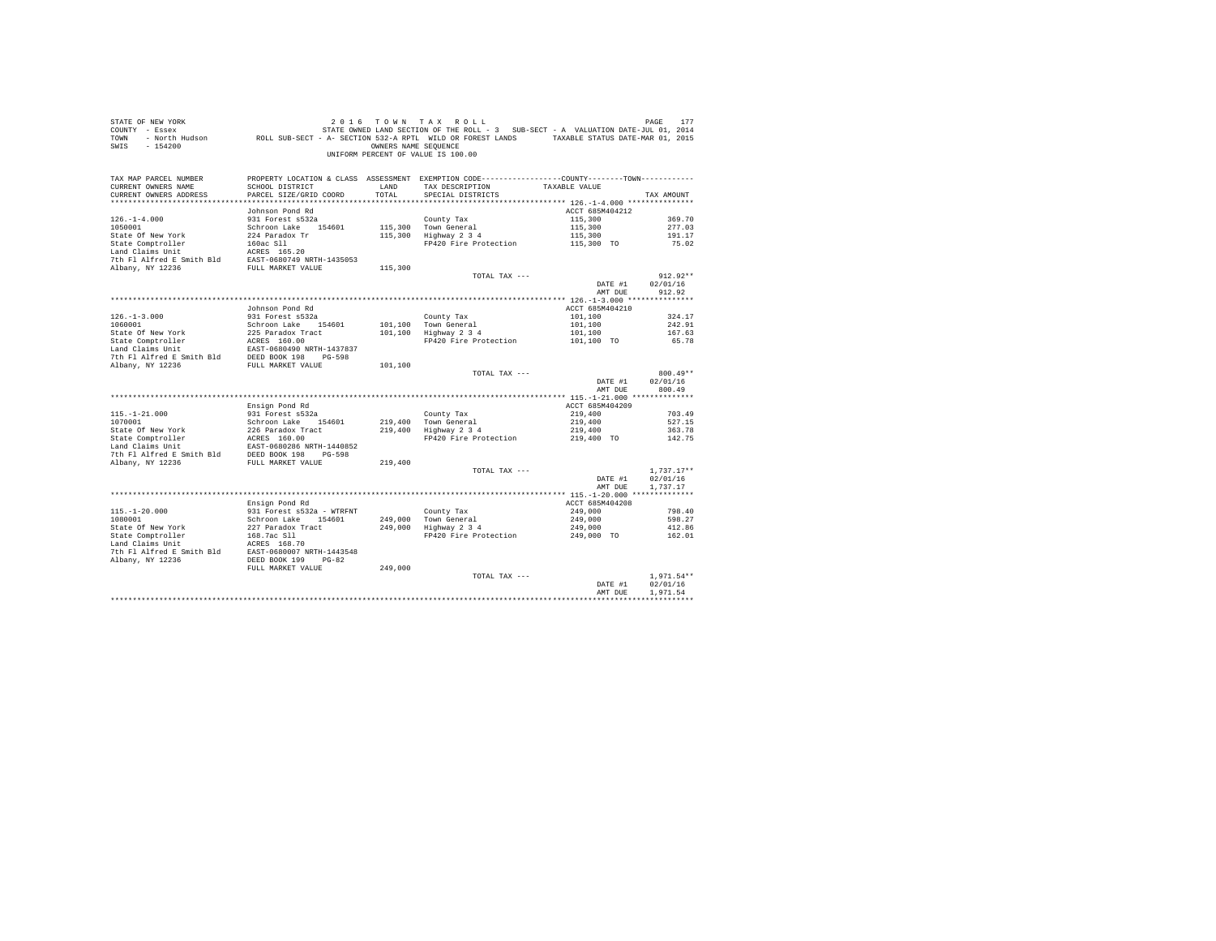| SWIS - 154200                                                                                                        |                                         | OWNERS NAME SEQUENCE | UNIFORM PERCENT OF VALUE IS 100.00                                                                                            |                                  |                  |
|----------------------------------------------------------------------------------------------------------------------|-----------------------------------------|----------------------|-------------------------------------------------------------------------------------------------------------------------------|----------------------------------|------------------|
| TAX MAP PARCEL NUMBER<br>CURRENT OWNERS NAME                                                                         | SCHOOL DISTRICT                         | LAND                 | PROPERTY LOCATION & CLASS ASSESSMENT EXEMPTION CODE---------------COUNTY-------TOWN---------<br>TAX DESCRIPTION TAXABLE VALUE |                                  |                  |
| CURRENT OWNERS ADDRESS                                                                                               | PARCEL SIZE/GRID COORD                  | TOTAL                | SPECIAL DISTRICTS                                                                                                             |                                  | TAX AMOUNT       |
|                                                                                                                      |                                         |                      |                                                                                                                               |                                  |                  |
|                                                                                                                      | Johnson Pond Rd                         |                      |                                                                                                                               | ACCT 685M404212                  |                  |
| $126. - 1 - 4.000$                                                                                                   | 931 Forest s532a                        |                      | County Tax<br>115,300 Town General<br>115,300 Highway 2 3 4                                                                   | 115,300                          | 369.70           |
| 1050001                                                                                                              | Schroon Lake 154601                     |                      |                                                                                                                               | 115,300                          | 277.03           |
| State Of New York                                                                                                    | 224 Paradox Tr                          |                      |                                                                                                                               | 115,300<br>115,300 TO            | 191.17<br>75.02  |
| State Comptroller 160ac S11<br>Land Claims Unit 160ac S165.20<br>7th F1 Alfred E Smith Bld EAST-0680749 NRTH-1435053 |                                         |                      | FP420 Fire Protection                                                                                                         |                                  |                  |
|                                                                                                                      |                                         |                      |                                                                                                                               |                                  |                  |
| Albany, NY 12236                                                                                                     | FULL MARKET VALUE                       | 115,300              |                                                                                                                               |                                  |                  |
|                                                                                                                      |                                         |                      | TOTAL TAX ---                                                                                                                 |                                  | $912.92**$       |
|                                                                                                                      |                                         |                      |                                                                                                                               | DATE #1                          | 02/01/16         |
|                                                                                                                      |                                         |                      |                                                                                                                               | AMT DUE                          | 912.92           |
|                                                                                                                      |                                         |                      |                                                                                                                               |                                  |                  |
|                                                                                                                      | Johnson Pond Rd                         |                      |                                                                                                                               | ACCT 685M404210                  |                  |
| $126. - 1 - 3.000$<br>1060001                                                                                        | 931 Forest s532a<br>Schroon Lake 154601 |                      | County Tax                                                                                                                    | 101,100                          | 324.17<br>242.91 |
|                                                                                                                      |                                         |                      | 101,100 Town General<br>101,100 Highway 2 3 4                                                                                 | $101, 100$<br>$101, 100$         | 167.63           |
|                                                                                                                      |                                         |                      | FP420 Fire Protection                                                                                                         | 101,100 TO                       | 65.78            |
|                                                                                                                      |                                         |                      |                                                                                                                               |                                  |                  |
|                                                                                                                      |                                         |                      |                                                                                                                               |                                  |                  |
|                                                                                                                      |                                         | 101,100              |                                                                                                                               |                                  |                  |
|                                                                                                                      |                                         |                      | TOTAL TAX ---                                                                                                                 |                                  | $800.49**$       |
|                                                                                                                      |                                         |                      |                                                                                                                               | DATE #1                          | 02/01/16         |
|                                                                                                                      |                                         |                      |                                                                                                                               | AMT DUE                          | 800.49           |
|                                                                                                                      | Ensign Pond Rd                          |                      |                                                                                                                               | ACCT 685M404209                  |                  |
| $115. - 1 - 21.000$                                                                                                  | 931 Forest s532a                        |                      |                                                                                                                               | 219,400                          | 703.49           |
| 1070001                                                                                                              | Schroon Lake 154601                     |                      |                                                                                                                               |                                  | 527.15           |
|                                                                                                                      |                                         |                      | County Tax<br>219,400 Town General<br>219,400 Highway 2 3 4                                                                   | 219,400<br>219,400<br>219,400 TO | 363.78           |
|                                                                                                                      |                                         |                      | FP420 Fire Protection                                                                                                         |                                  | 142.75           |
|                                                                                                                      |                                         |                      |                                                                                                                               |                                  |                  |
|                                                                                                                      |                                         |                      |                                                                                                                               |                                  |                  |
|                                                                                                                      |                                         |                      | TOTAL TAX ---                                                                                                                 |                                  | $1,737.17**$     |
|                                                                                                                      |                                         |                      |                                                                                                                               | DATE #1                          | 02/01/16         |
|                                                                                                                      |                                         |                      |                                                                                                                               | AMT DUE                          | 1.737.17         |
|                                                                                                                      |                                         |                      |                                                                                                                               |                                  |                  |
|                                                                                                                      | Ensign Pond Rd                          |                      |                                                                                                                               | ACCT 685M404208                  |                  |
| $115. - 1 - 20.000$                                                                                                  | 931 Forest s532a - WTRFNT               |                      | County Tax                                                                                                                    | 249,000                          | 798.40           |
| 1080001                                                                                                              | Schroon Lake 154601                     |                      | 249,000 Town General<br>249,000 Highway 2 3 4                                                                                 | 249,000                          | 598.27           |
| State Of New York<br>State Comptroller                                                                               | 227 Paradox Tract<br>168.7ac Sll        |                      |                                                                                                                               | 249,000                          | 412.86           |
|                                                                                                                      |                                         |                      | FP420 Fire Protection                                                                                                         | 249,000 TO                       | 162.01           |
|                                                                                                                      |                                         |                      |                                                                                                                               |                                  |                  |
|                                                                                                                      |                                         |                      |                                                                                                                               |                                  |                  |
|                                                                                                                      | FULL MARKET VALUE                       | 249,000              |                                                                                                                               |                                  |                  |
|                                                                                                                      |                                         |                      | TOTAL TAX ---                                                                                                                 |                                  | $1.971.54**$     |
|                                                                                                                      |                                         |                      |                                                                                                                               | DATE #1                          | 02/01/16         |
|                                                                                                                      |                                         |                      |                                                                                                                               | AMT DUE                          | 1.971.54         |
|                                                                                                                      |                                         |                      |                                                                                                                               |                                  |                  |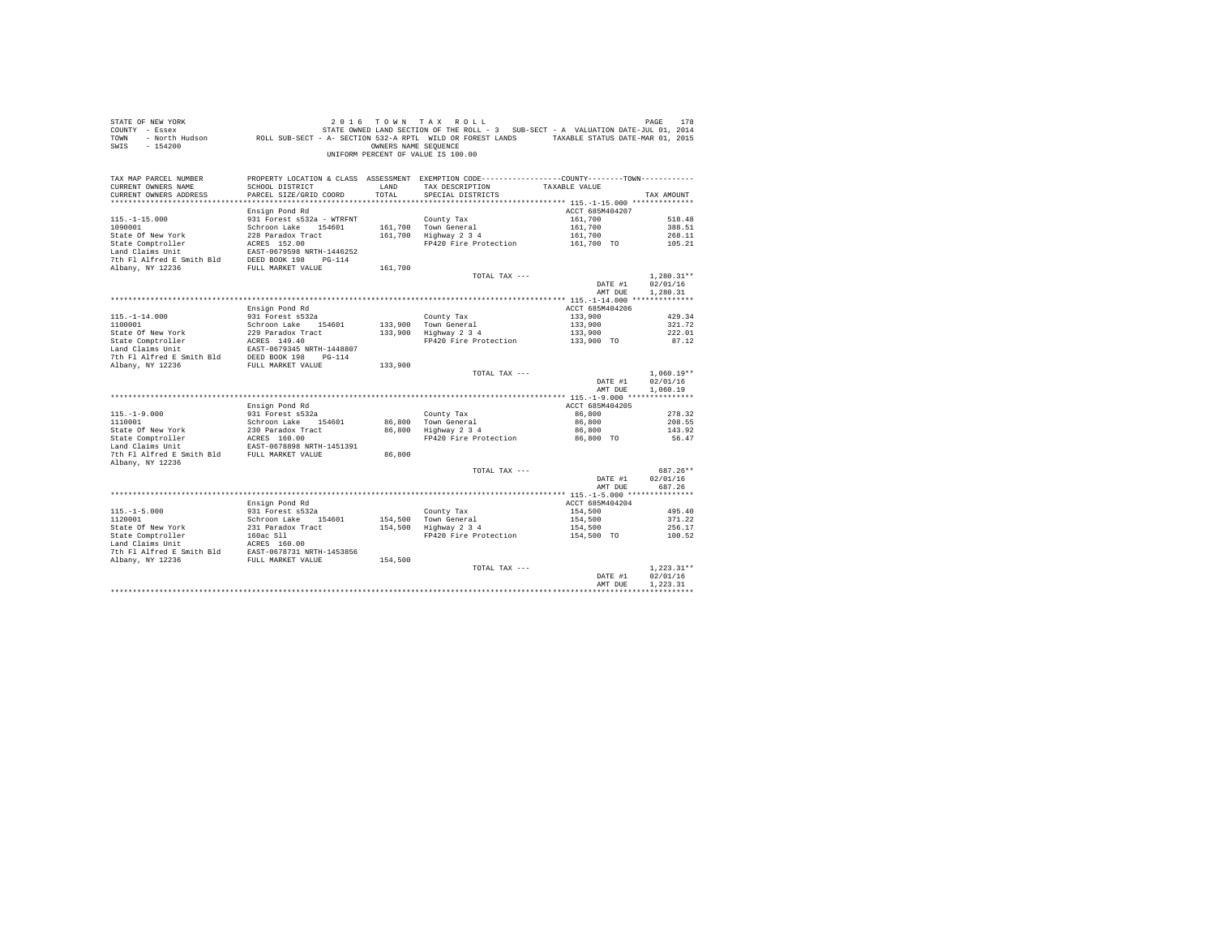| STATE OF NEW YORK<br>COUNTY - Essex<br>TOWN<br>$-154200$<br>SWIS                 |                                                           | OWNERS NAME SEOUENCE | 2016 TOWN TAX ROLL<br>UNIFORM PERCENT OF VALUE IS 100.00                                                                             |                    | PAGE<br>178          |
|----------------------------------------------------------------------------------|-----------------------------------------------------------|----------------------|--------------------------------------------------------------------------------------------------------------------------------------|--------------------|----------------------|
| TAX MAP PARCEL NUMBER<br>CURRENT OWNERS NAME<br>CURRENT OWNERS ADDRESS           | SCHOOL DISTRICT<br>PARCEL SIZE/GRID COORD                 | LAND<br>TOTAL        | PROPERTY LOCATION & CLASS ASSESSMENT EXEMPTION CODE---------------COUNTY-------TOWN---------<br>TAX DESCRIPTION<br>SPECIAL DISTRICTS | TAXABLE VALUE      | TAX AMOUNT           |
|                                                                                  | Ensign Pond Rd                                            |                      |                                                                                                                                      | ACCT 685M404207    |                      |
| $115. - 1 - 15.000$                                                              | 931 Forest s532a - WTRFNT                                 |                      | County Tax                                                                                                                           | 161,700            | 518.48               |
| 1090001                                                                          | Schroon Lake 154601                                       |                      | 161,700 Town General                                                                                                                 | 161,700            | 388.51               |
| State Of New York                                                                | 228 Paradox Tract                                         |                      | $161,700$ Highway $2\,3\,4$                                                                                                          | 161,700            | 268.11               |
| State Comptroller                                                                | ACRES 152.00<br>ACRES 152.00<br>EAST-0679598 NRTH-1446252 |                      | FP420 Fire Protection                                                                                                                | 161,700 TO         | 105.21               |
| Land Claims Unit                                                                 |                                                           |                      |                                                                                                                                      |                    |                      |
| Deep Notation of The Smith Bld<br>The Fl Alfred E Smith Bld<br>PULL MARKET VALUE |                                                           |                      |                                                                                                                                      |                    |                      |
|                                                                                  |                                                           | 161,700              | TOTAL TAX ---                                                                                                                        |                    | $1,280.31**$         |
|                                                                                  |                                                           |                      |                                                                                                                                      | DATE #1            | 02/01/16             |
|                                                                                  |                                                           |                      |                                                                                                                                      | AMT DUE            | 1,280.31             |
|                                                                                  |                                                           |                      |                                                                                                                                      |                    |                      |
|                                                                                  | Ensign Pond Rd                                            |                      |                                                                                                                                      | ACCT 685M404206    |                      |
| $115. - 1 - 14.000$                                                              | 931 Forest s532a                                          |                      | County Tax                                                                                                                           | 133,900            | 429.34               |
| 1100001                                                                          | Schroon Lake 154601                                       |                      | 133,900 Town General<br>133,900 Highway 2 3 4                                                                                        | 133,900            | 321.72               |
|                                                                                  |                                                           |                      | Highway 2 3 4 133,900<br>FP420 Fire Protection 133,900 TO                                                                            |                    | 222.01<br>87.12      |
|                                                                                  |                                                           |                      |                                                                                                                                      |                    |                      |
|                                                                                  |                                                           |                      |                                                                                                                                      |                    |                      |
|                                                                                  |                                                           | 133,900              |                                                                                                                                      |                    |                      |
|                                                                                  |                                                           |                      | TOTAL TAX ---                                                                                                                        |                    | $1,060.19**$         |
|                                                                                  |                                                           |                      |                                                                                                                                      | DATE #1<br>AMT DUE | 02/01/16<br>1,060.19 |
|                                                                                  |                                                           |                      |                                                                                                                                      |                    |                      |
|                                                                                  | Ensign Pond Rd<br>931 Forest s532a                        |                      |                                                                                                                                      | ACCT 685M404205    |                      |
| $115. - 1 - 9.000$<br>1110001                                                    | Schroon Lake 154601                                       |                      | County Tax                                                                                                                           | 86,800<br>86,800   | 278.32<br>208.55     |
| 1110001<br>State Of New York<br>State Comptroller                                |                                                           |                      | 86,800 Town General<br>86,800 Highway 2 3 4                                                                                          | 86,800             | 143.92               |
|                                                                                  | 230 Paradox Tract<br>ACRES 160.00                         |                      | FP420 Fire Protection                                                                                                                | 86,800 TO          | 56.47                |
|                                                                                  | EAST-0678898 NRTH-1451391                                 |                      |                                                                                                                                      |                    |                      |
| 7th Fl Alfred E Smith Bld FULL MARKET VALUE                                      |                                                           | 86,800               |                                                                                                                                      |                    |                      |
| Albany, NY 12236                                                                 |                                                           |                      |                                                                                                                                      |                    |                      |
|                                                                                  |                                                           |                      | TOTAL TAX ---                                                                                                                        |                    | 687.26**             |
|                                                                                  |                                                           |                      |                                                                                                                                      | DATE #1<br>AMT DUE | 02/01/16<br>687.26   |
|                                                                                  |                                                           |                      |                                                                                                                                      |                    |                      |
|                                                                                  | Ensign Pond Rd                                            |                      |                                                                                                                                      | ACCT 685M404204    |                      |
| $115. - 1 - 5.000$                                                               | 931 Forest s532a                                          |                      | County Tax                                                                                                                           | 154,500            | 495.40               |
| 1120001                                                                          | Schroon Lake 154601                                       |                      | 154,500 Town General<br>154,500 Highway 2 3 4                                                                                        | 154,500            | 371.22               |
|                                                                                  |                                                           |                      |                                                                                                                                      | 154,500            | 256.17               |
|                                                                                  |                                                           |                      | FP420 Fire Protection                                                                                                                | 154,500 TO         | 100.52               |
|                                                                                  |                                                           |                      |                                                                                                                                      |                    |                      |
|                                                                                  |                                                           |                      |                                                                                                                                      |                    |                      |
|                                                                                  |                                                           |                      | TOTAL TAX ---                                                                                                                        |                    | $1.223.31**$         |
|                                                                                  |                                                           |                      |                                                                                                                                      | DATE #1            | 02/01/16             |
|                                                                                  |                                                           |                      |                                                                                                                                      | AMT DUE            | 1.223.31             |
|                                                                                  |                                                           |                      |                                                                                                                                      |                    |                      |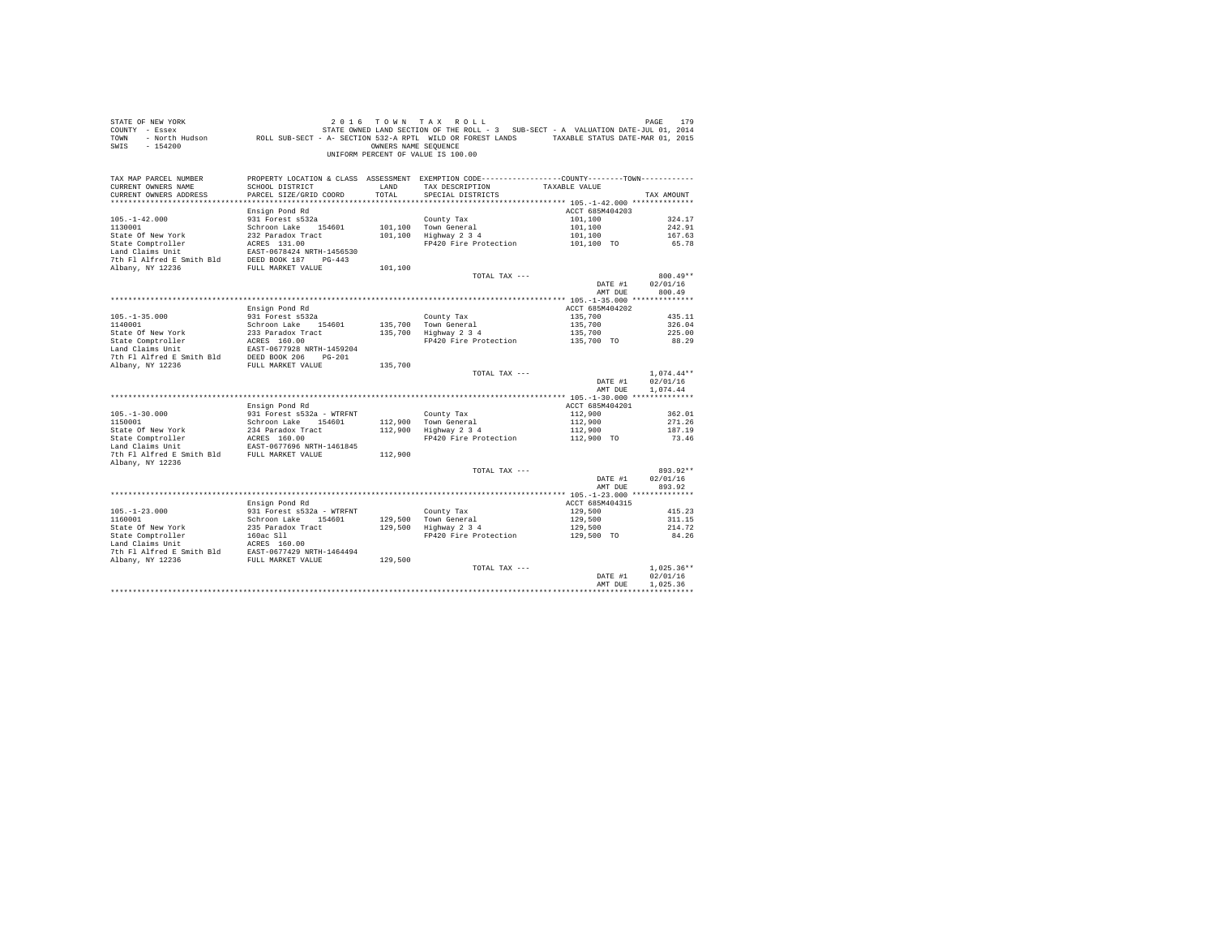| STATE OF NEW YORK<br>SWIS - 154200                                                                                  |                                                     | OWNERS NAME SEQUENCE | 2016 TOWN TAX ROLL<br>UNIFORM PERCENT OF VALUE IS 100.00                                                                                              |                            | 179<br>PAGE      |
|---------------------------------------------------------------------------------------------------------------------|-----------------------------------------------------|----------------------|-------------------------------------------------------------------------------------------------------------------------------------------------------|----------------------------|------------------|
| TAX MAP PARCEL NUMBER<br>CURRENT OWNERS NAME<br>CURRENT OWNERS ADDRESS                                              | SCHOOL DISTRICT<br>PARCEL SIZE/GRID COORD           | LAND<br>TOTAL.       | PROPERTY LOCATION & CLASS ASSESSMENT EXEMPTION CODE----------------COUNTY--------TOWN----------<br>TAX DESCRIPTION TAXABLE VALUE<br>SPECIAL DISTRICTS |                            | TAX AMOUNT       |
|                                                                                                                     |                                                     |                      |                                                                                                                                                       |                            |                  |
|                                                                                                                     | Ensign Pond Rd                                      |                      |                                                                                                                                                       | ACCT 685M404203            |                  |
| $105. - 1 - 42.000$                                                                                                 | 931 Forest s532a                                    |                      | County Tax                                                                                                                                            | 101,100                    | 324.17           |
| 1130001                                                                                                             | Schroon Lake 154601                                 |                      | 101,100 Town General                                                                                                                                  | 101,100                    | 242.91           |
| State Of New York                                                                                                   | 232 Paradox Tract                                   |                      | 101,100 Town Generai<br>101,100 Highway 2 3 4                                                                                                         | 101,100                    | 167.63           |
| State Comptroller                                                                                                   | 232 Paradox Tract<br>ACRES 131.00                   |                      | FP420 Fire Protection 101,100 TO                                                                                                                      |                            | 65.78            |
| Land Claims Unit                                                                                                    | EAST-0678424 NRTH-1456530                           |                      |                                                                                                                                                       |                            |                  |
| 7th Fl Alfred E Smith Bld DEED BOOK 187 PG-443                                                                      |                                                     |                      |                                                                                                                                                       |                            |                  |
| Albany, NY 12236                                                                                                    | FULL MARKET VALUE                                   | 101,100              |                                                                                                                                                       |                            |                  |
|                                                                                                                     |                                                     |                      | TOTAL TAX ---                                                                                                                                         |                            | $800.49**$       |
|                                                                                                                     |                                                     |                      |                                                                                                                                                       | DATE #1                    | 02/01/16         |
|                                                                                                                     |                                                     |                      |                                                                                                                                                       | AMT DUE                    | 800.49           |
|                                                                                                                     |                                                     |                      |                                                                                                                                                       |                            |                  |
|                                                                                                                     | Ensign Pond Rd                                      |                      |                                                                                                                                                       | ACCT 685M404202            |                  |
| $105. - 1 - 35.000$                                                                                                 | 931 Forest s532a                                    |                      |                                                                                                                                                       | 135,700                    | 435.11           |
| 1140001                                                                                                             | Schroon Lake 154601                                 |                      | County Tax<br>135,700 Town General<br>135,700 Highway 2 3 4                                                                                           | 135,700                    | 326.04           |
|                                                                                                                     |                                                     |                      |                                                                                                                                                       | 135,700                    | 225.00           |
|                                                                                                                     |                                                     |                      | FP420 Fire Protection 135,700 TO                                                                                                                      |                            | 88.29            |
| State Of New York 233 Paradox Tract<br>State Comptroller AGRES 160.00<br>Land Claims Unit EAST-0677928 NRTH-1459204 |                                                     |                      |                                                                                                                                                       |                            |                  |
|                                                                                                                     |                                                     |                      |                                                                                                                                                       |                            |                  |
|                                                                                                                     |                                                     | 135,700              |                                                                                                                                                       |                            |                  |
|                                                                                                                     |                                                     |                      | TOTAL TAX ---                                                                                                                                         |                            | $1.074.44**$     |
|                                                                                                                     |                                                     |                      |                                                                                                                                                       | DATE #1                    | 02/01/16         |
|                                                                                                                     |                                                     |                      |                                                                                                                                                       | AMT DUE                    | 1.074.44         |
|                                                                                                                     |                                                     |                      |                                                                                                                                                       |                            |                  |
|                                                                                                                     | Ensign Pond Rd                                      |                      |                                                                                                                                                       | ACCT 685M404201            |                  |
| $105. - 1 - 30.000$                                                                                                 | 931 Forest s532a - WTRFNT                           |                      | County Tax                                                                                                                                            | 112,900                    | 362.01           |
| 1150001                                                                                                             | Schroon Lake 154601                                 |                      | 112,900 Town General<br>112,900 Highway 2 3 4                                                                                                         | 112,900                    | 271.26           |
|                                                                                                                     |                                                     |                      |                                                                                                                                                       | 112,900                    | 187.19           |
| State Of New York 234 Paradox Tract<br>State Comptroller ACRES 160.00<br>The ACRES 160.00 WERE 1461045              |                                                     |                      | FP420 Fire Protection                                                                                                                                 | 112,900 TO                 | 73.46            |
| Land Claims Unit                                                                                                    | EAST-0677696 NRTH-1461845                           |                      |                                                                                                                                                       |                            |                  |
| 7th Fl Alfred E Smith Bld FULL MARKET VALUE                                                                         |                                                     | 112,900              |                                                                                                                                                       |                            |                  |
| Albany, NY 12236                                                                                                    |                                                     |                      |                                                                                                                                                       |                            |                  |
|                                                                                                                     |                                                     |                      | TOTAL TAX ---                                                                                                                                         |                            | $893.92**$       |
|                                                                                                                     |                                                     |                      |                                                                                                                                                       | DATE #1                    | 02/01/16         |
|                                                                                                                     |                                                     |                      |                                                                                                                                                       | AMT DUE                    | 893.92           |
|                                                                                                                     |                                                     |                      |                                                                                                                                                       |                            |                  |
| $105. - 1 - 23.000$                                                                                                 | Ensign Pond Rd                                      |                      |                                                                                                                                                       | ACCT 685M404315<br>129,500 |                  |
| 1160001                                                                                                             | 931 Forest s532a - WTRFNT<br>Schroon Lake 154601    |                      | County Tax                                                                                                                                            | 129,500                    | 415.23<br>311.15 |
|                                                                                                                     | 235 Paradox Tract<br>235 Paradox Tract<br>160ac Sll |                      | County Tax<br>129,500   Town General<br>129,500   Highway 2 3 4                                                                                       |                            | 214.72           |
|                                                                                                                     |                                                     |                      | FP420 Fire Protection                                                                                                                                 | 129,500<br>129,500 TO      | 84.26            |
| State Of New York<br>State Comptroller<br>Land Claims Unit                                                          | $ACRES$ 160.00                                      |                      |                                                                                                                                                       |                            |                  |
|                                                                                                                     |                                                     |                      |                                                                                                                                                       |                            |                  |
| 7th Fl Alfred E Smith Bld EAST-0677429 NRTH-1464494<br>Albany, NY 12236 FULL MARKET VALUE 129,500                   |                                                     |                      |                                                                                                                                                       |                            |                  |
|                                                                                                                     |                                                     |                      | TOTAL TAX ---                                                                                                                                         |                            | $1.025.36**$     |
|                                                                                                                     |                                                     |                      |                                                                                                                                                       | DATE #1                    | 02/01/16         |
|                                                                                                                     |                                                     |                      |                                                                                                                                                       | AMT DUE                    | 1.025.36         |
|                                                                                                                     |                                                     |                      |                                                                                                                                                       |                            |                  |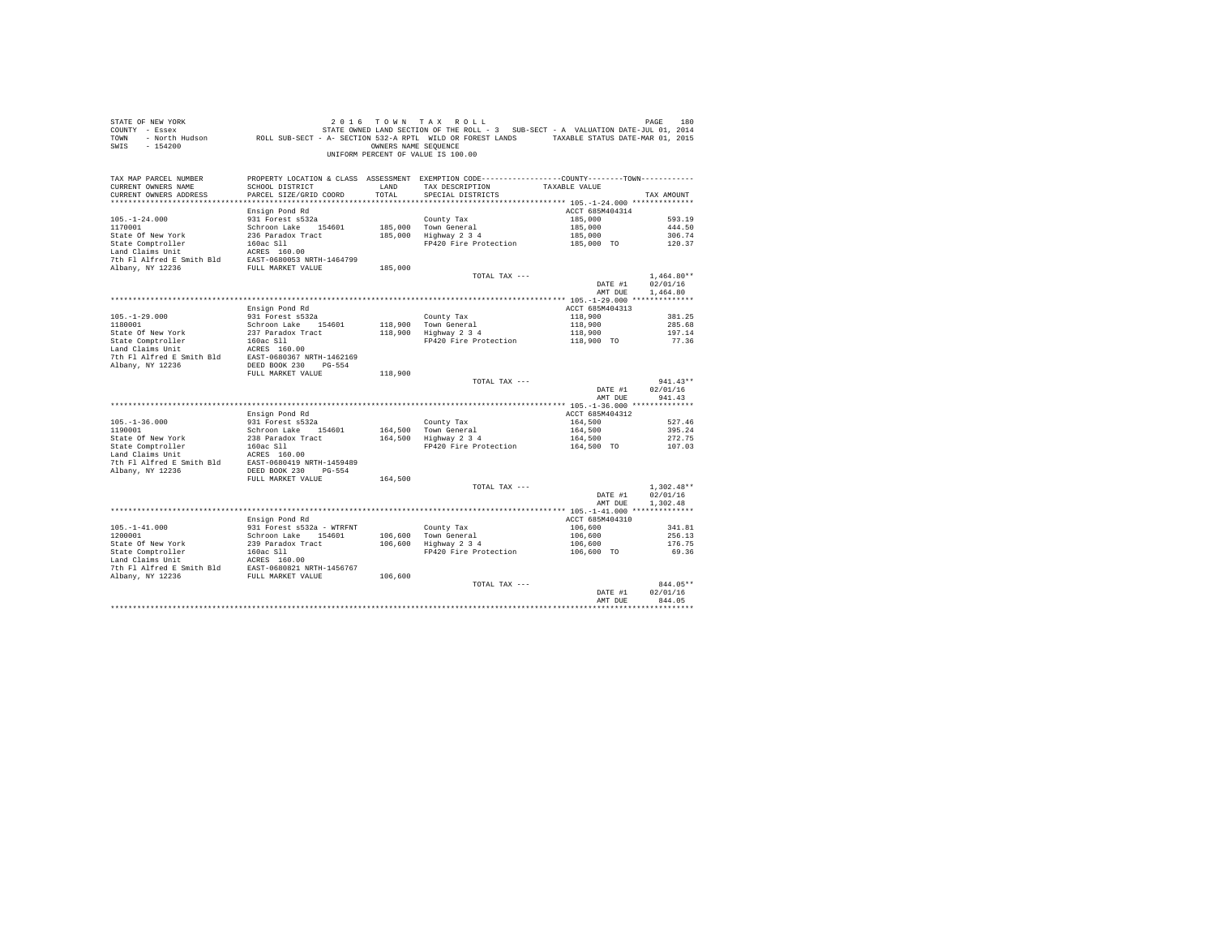| STATE OF NEW YORK<br>COUNTY - Essex<br>TOWN<br>SWIS - 154200                                                                                                                                                                   |                                           | OWNERS NAME SEOUENCE | 2016 TOWN TAX ROLL<br>DE NEW YORK TOWN TAX ROLL (2016 TOWN TAX ROLL)<br>T - Essex STATE STATE OWNED LAND SECTION OF THE ROLL - 3 SUB-SECT - A VALUATION DATE-JUL 01, 2014<br>ROLL SUB-SECT - A SECTION 532-A RPTL WILD OR FOREST LANDS TAXABLE STATUS DATE<br>UNIFORM PERCENT OF VALUE IS 100.00 |                       |              |
|--------------------------------------------------------------------------------------------------------------------------------------------------------------------------------------------------------------------------------|-------------------------------------------|----------------------|--------------------------------------------------------------------------------------------------------------------------------------------------------------------------------------------------------------------------------------------------------------------------------------------------|-----------------------|--------------|
| TAX MAP PARCEL NUMBER<br>CURRENT OWNERS NAME<br>CURRENT OWNERS ADDRESS                                                                                                                                                         | SCHOOL DISTRICT<br>PARCEL SIZE/GRID COORD | LAND<br>TOTAL.       | PROPERTY LOCATION & CLASS ASSESSMENT EXEMPTION CODE----------------COUNTY--------TOWN----------<br>TAX DESCRIPTION<br>SPECIAL DISTRICTS                                                                                                                                                          | TAXABLE VALUE         | TAX AMOUNT   |
|                                                                                                                                                                                                                                | Ensign Pond Rd                            |                      |                                                                                                                                                                                                                                                                                                  | ACCT 685M404314       |              |
| $105. - 1 - 24.000$                                                                                                                                                                                                            | 931 Forest s532a                          |                      | County Tax                                                                                                                                                                                                                                                                                       | 185,000               | 593.19       |
| 1170001                                                                                                                                                                                                                        | Schroon Lake 154601                       |                      | 185,000 Town General                                                                                                                                                                                                                                                                             | 185,000               | 444.50       |
| State Of New York                                                                                                                                                                                                              | 236 Paradox Tract                         |                      | 185,000 Highway 2 3 4                                                                                                                                                                                                                                                                            | 185,000<br>185,000 TO | 306.74       |
| State Comptroller                                                                                                                                                                                                              | 160ac Sll                                 |                      | FP420 Fire Protection                                                                                                                                                                                                                                                                            |                       | 120.37       |
| Land Claims Unit<br>State Computer of Mark 2020<br>The F1 Alfred E Smith Bld<br>The F1 Alfred E Smith Bld<br>E EAST-0680053 NRTH-1464799<br>Albany, NY 12236                                                                   |                                           |                      |                                                                                                                                                                                                                                                                                                  |                       |              |
|                                                                                                                                                                                                                                |                                           |                      |                                                                                                                                                                                                                                                                                                  |                       |              |
|                                                                                                                                                                                                                                |                                           | 185,000              | TOTAL TAX ---                                                                                                                                                                                                                                                                                    |                       | $1.464.80**$ |
|                                                                                                                                                                                                                                |                                           |                      |                                                                                                                                                                                                                                                                                                  | DATE #1               | 02/01/16     |
|                                                                                                                                                                                                                                |                                           |                      |                                                                                                                                                                                                                                                                                                  | AMT DUE               | 1,464.80     |
|                                                                                                                                                                                                                                |                                           |                      |                                                                                                                                                                                                                                                                                                  |                       |              |
|                                                                                                                                                                                                                                | Ensign Pond Rd                            |                      |                                                                                                                                                                                                                                                                                                  | ACCT 685M404313       |              |
| $105. - 1 - 29.000$                                                                                                                                                                                                            | 931 Forest s532a                          |                      |                                                                                                                                                                                                                                                                                                  | 118,900               | 381.25       |
| 1180001                                                                                                                                                                                                                        | Schroon Lake 154601                       |                      |                                                                                                                                                                                                                                                                                                  | 118,900               | 285.68       |
|                                                                                                                                                                                                                                |                                           |                      | County Tax<br>118,900 Town General<br>118,900 Highway 2 3 4                                                                                                                                                                                                                                      | 118,900               | 197.14       |
|                                                                                                                                                                                                                                |                                           |                      | FP420 Fire Protection 118,900 TO                                                                                                                                                                                                                                                                 |                       | 77.36        |
| All the Magnetic Computer of the Magnetic Computer of the Magnetic Computer of the Magnetic Computer of the Magnetic Computer of the Magnetic Computer of the Magnetic Computer of the Magnetic Computer of the Magnetic Compu |                                           |                      |                                                                                                                                                                                                                                                                                                  |                       |              |
| 7th Fl Alfred E Smith Bld EAST-0680367 NRTH-1462169                                                                                                                                                                            |                                           |                      |                                                                                                                                                                                                                                                                                                  |                       |              |
| Albany, NY 12236                                                                                                                                                                                                               | DEED BOOK 230 PG-554                      |                      |                                                                                                                                                                                                                                                                                                  |                       |              |
|                                                                                                                                                                                                                                | FULL MARKET VALUE                         | 118,900              | TOTAL TAX ---                                                                                                                                                                                                                                                                                    |                       | $941.43**$   |
|                                                                                                                                                                                                                                |                                           |                      |                                                                                                                                                                                                                                                                                                  | DATE #1               | 02/01/16     |
|                                                                                                                                                                                                                                |                                           |                      |                                                                                                                                                                                                                                                                                                  | AMT DUE               | 941.43       |
|                                                                                                                                                                                                                                |                                           |                      |                                                                                                                                                                                                                                                                                                  |                       |              |
|                                                                                                                                                                                                                                | Ensign Pond Rd                            |                      |                                                                                                                                                                                                                                                                                                  | ACCT 685M404312       |              |
| $105. - 1 - 36.000$                                                                                                                                                                                                            | 931 Forest s532a                          |                      | County Tax<br>164,500 Town General<br>164,500 Highway 2 3 4                                                                                                                                                                                                                                      | 164,500               | 527.46       |
| 1190001                                                                                                                                                                                                                        | Schroon Lake 154601                       |                      |                                                                                                                                                                                                                                                                                                  | 164,500               | 395.24       |
|                                                                                                                                                                                                                                |                                           |                      |                                                                                                                                                                                                                                                                                                  | 164,500               | 272.75       |
|                                                                                                                                                                                                                                |                                           |                      | FP420 Fire Protection                                                                                                                                                                                                                                                                            | 164,500 TO            | 107.03       |
|                                                                                                                                                                                                                                |                                           |                      |                                                                                                                                                                                                                                                                                                  |                       |              |
| Albany, NY 12236                                                                                                                                                                                                               | DEED BOOK 230 PG-554                      |                      |                                                                                                                                                                                                                                                                                                  |                       |              |
|                                                                                                                                                                                                                                | FULL MARKET VALUE                         | 164,500              |                                                                                                                                                                                                                                                                                                  |                       |              |
|                                                                                                                                                                                                                                |                                           |                      | TOTAL TAX ---                                                                                                                                                                                                                                                                                    |                       | $1.302.48**$ |
|                                                                                                                                                                                                                                |                                           |                      |                                                                                                                                                                                                                                                                                                  | DATE #1               | 02/01/16     |
|                                                                                                                                                                                                                                |                                           |                      |                                                                                                                                                                                                                                                                                                  | AMT DUE               | 1,302.48     |
|                                                                                                                                                                                                                                |                                           |                      |                                                                                                                                                                                                                                                                                                  |                       |              |
|                                                                                                                                                                                                                                | Ensign Pond Rd                            |                      |                                                                                                                                                                                                                                                                                                  | ACCT 685M404310       |              |
| $105. - 1 - 41.000$                                                                                                                                                                                                            | 931 Forest s532a - WTRFNT                 |                      | County Tax<br>106,600 Town General<br>106,600 Highway 2 3 4                                                                                                                                                                                                                                      | 106,600               | 341.81       |
| 1200001                                                                                                                                                                                                                        | Schroon Lake 154601                       |                      |                                                                                                                                                                                                                                                                                                  | 106,600<br>106,600    | 256.13       |
|                                                                                                                                                                                                                                |                                           |                      |                                                                                                                                                                                                                                                                                                  |                       | 176.75       |
|                                                                                                                                                                                                                                |                                           |                      | FP420 Fire Protection                                                                                                                                                                                                                                                                            | 106,600 TO            | 69.36        |
|                                                                                                                                                                                                                                |                                           |                      |                                                                                                                                                                                                                                                                                                  |                       |              |
|                                                                                                                                                                                                                                |                                           |                      |                                                                                                                                                                                                                                                                                                  |                       |              |
|                                                                                                                                                                                                                                | FULL MARKET VALUE                         | 106,600              | TOTAL TAX ---                                                                                                                                                                                                                                                                                    |                       | 844.05**     |
|                                                                                                                                                                                                                                |                                           |                      |                                                                                                                                                                                                                                                                                                  | DATE #1               | 02/01/16     |
|                                                                                                                                                                                                                                |                                           |                      |                                                                                                                                                                                                                                                                                                  | AMT DUE               | 844.05       |
|                                                                                                                                                                                                                                |                                           |                      |                                                                                                                                                                                                                                                                                                  |                       | **********   |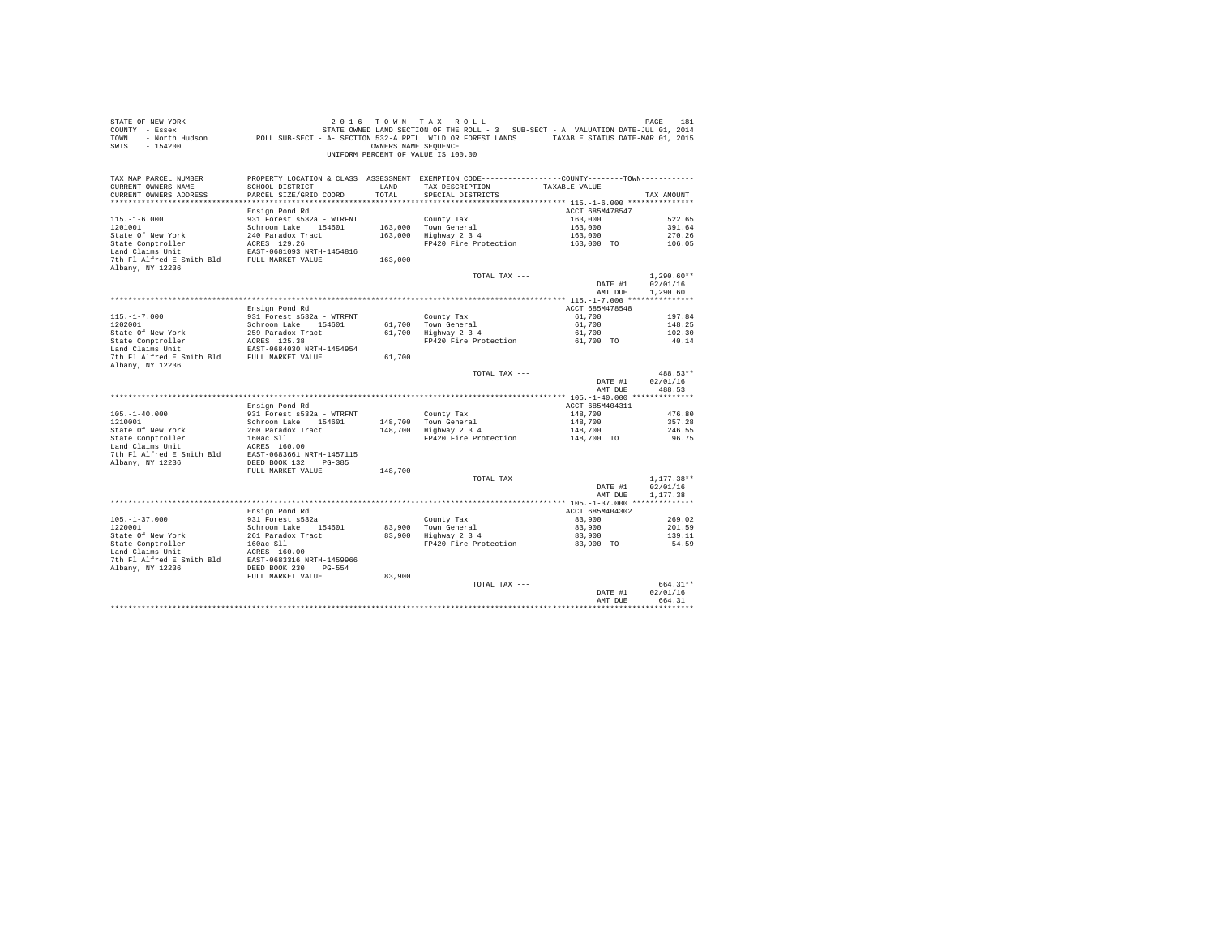| TAX MAP PARCEL NUMBER<br>PROPERTY LOCATION & CLASS ASSESSMENT EXEMPTION CODE---------------COUNTY-------TOWN---------<br>CURRENT OWNERS NAME<br>SCHOOL DISTRICT<br>LAND<br>TAX DESCRIPTION<br>TAXABLE VALUE<br>TOTAL.<br>CURRENT OWNERS ADDRESS<br>PARCEL SIZE/GRID COORD<br>SPECIAL DISTRICTS<br>TAX AMOUNT<br>ACCT 685M478547<br>Ensign Pond Rd<br>$115. - 1 - 6.000$<br>931 Forest s532a - WTRFNT<br>County Tax<br>163,000<br>522.65<br>163,000<br>1201001<br>Schroon Lake 154601<br>163,000 Town General<br>391.64<br>163,000 Highway 2 3 4<br>240 Paradox Tract<br>163,000<br>270.26<br>State Of New York<br>State Comptroller<br>ACRES 129.26<br>FP420 Fire Protection<br>163,000 TO<br>106.05<br>Land Claims Unit<br>EAST-0681093 NRTH-1454816<br>7th Fl Alfred E Smith Bld FULL MARKET VALUE<br>163,000<br>Albany, NY 12236<br>TOTAL TAX ---<br>$1.290.60**$<br>02/01/16<br>DATE #1<br>1,290.60<br>AMT DUE<br>ACCT 685M478548<br>Ensign Pond Rd<br>$115. - 1 - 7.000$<br>931 Forest s532a - WTRFNT<br>61,700<br>County Tax<br>197.84<br>1202001<br>61,700<br>Schroon Lake 154601<br>61,700 Town General<br>148.25<br>$61,700$ Highway $2\,3\,4$<br>State Of New York<br>259 Paradox Tract<br>61,700<br>102.30<br>ACRES 125.38<br>State Comptroller<br>FP420 Fire Protection<br>61,700 TO<br>40.14<br>Land Claims Unit<br>EAST-0684030 NRTH-1454954<br>7th Fl Alfred E Smith Bld<br>FULL MARKET VALUE<br>61,700<br>Albany, NY 12236<br>488.53**<br>TOTAL TAX ---<br>DATE #1<br>02/01/16<br>AMT DUE<br>488.53<br>Ensign Pond Rd<br>ACCT 685M404311<br>931 Forest s532a - WTRFNT<br>148,700<br>$105. - 1 - 40.000$<br>County Tax<br>476.80<br>Town General<br>1210001<br>Schroon Lake 154601<br>148,700<br>148,700<br>357.28<br>148,700 Highway 2 3 4<br>State Of New York<br>260 Paradox Tract<br>148,700<br>246.55<br>State Comptroller<br>160ac Sll<br>FP420 Fire Protection<br>148,700 TO<br>96.75<br>Land Claims Unit<br>ACRES 160.00<br>EAST-0683661 NRTH-1457115<br>7th Fl Alfred E Smith Bld<br>Albany, NY 12236<br>DEED BOOK 132 PG-385<br>FULL MARKET VALUE<br>148,700<br>$1,177.38**$<br>TOTAL TAX ---<br>DATE #1<br>02/01/16<br>1,177.38<br>AMT DUE<br>Ensign Pond Rd<br>ACCT 685M404302<br>$105. - 1 - 37.000$<br>931 Forest s532a<br>83,900<br>County Tax<br>269.02<br>Town General<br>1220001<br>Schroon Lake 154601<br>83,900<br>83,900<br>201.59<br>Highway 2 3 4<br>State Of New York<br>261 Paradox Tract<br>83,900<br>83,900<br>139.11<br>State Comptroller<br>160ac Sll<br>FP420 Fire Protection<br>83,900 TO<br>54.59<br>Land Claims Unit<br>ACRES 160.00<br>7th Fl Alfred E Smith Bld EAST-0683316 NRTH-1459966<br>Albany, NY 12236<br>DEED BOOK 230 PG-554<br>FULL MARKET VALUE<br>83,900<br>664.31**<br>TOTAL TAX ---<br>02/01/16<br>DATE #1<br>AMT DUE<br>664.31<br>********** | STATE OF NEW YORK<br>COUNTY - Essex<br>TOWN<br>SWIS<br>$-154200$ | - North Hudson ROLL SUB-SECT - A- SECTION 532-A RPTL WILD OR FOREST LANDS TAXABLE STATUS DATE-MAR 01, 2015 | OWNERS NAME SEOUENCE | 2016 TOWN TAX ROLL<br>STATE OWNED LAND SECTION OF THE ROLL - 3 SUB-SECT - A VALUATION DATE-JUL 01, 2014<br>UNIFORM PERCENT OF VALUE IS 100.00 | PAGE<br>181 |
|---------------------------------------------------------------------------------------------------------------------------------------------------------------------------------------------------------------------------------------------------------------------------------------------------------------------------------------------------------------------------------------------------------------------------------------------------------------------------------------------------------------------------------------------------------------------------------------------------------------------------------------------------------------------------------------------------------------------------------------------------------------------------------------------------------------------------------------------------------------------------------------------------------------------------------------------------------------------------------------------------------------------------------------------------------------------------------------------------------------------------------------------------------------------------------------------------------------------------------------------------------------------------------------------------------------------------------------------------------------------------------------------------------------------------------------------------------------------------------------------------------------------------------------------------------------------------------------------------------------------------------------------------------------------------------------------------------------------------------------------------------------------------------------------------------------------------------------------------------------------------------------------------------------------------------------------------------------------------------------------------------------------------------------------------------------------------------------------------------------------------------------------------------------------------------------------------------------------------------------------------------------------------------------------------------------------------------------------------------------------------------------------------------------------------------------------------------------------------------------------------------------------------------------------------------------------------------------------------------------------------------------------------------------------------------------------------------------------------------------------------------------------------------------------------------------|------------------------------------------------------------------|------------------------------------------------------------------------------------------------------------|----------------------|-----------------------------------------------------------------------------------------------------------------------------------------------|-------------|
|                                                                                                                                                                                                                                                                                                                                                                                                                                                                                                                                                                                                                                                                                                                                                                                                                                                                                                                                                                                                                                                                                                                                                                                                                                                                                                                                                                                                                                                                                                                                                                                                                                                                                                                                                                                                                                                                                                                                                                                                                                                                                                                                                                                                                                                                                                                                                                                                                                                                                                                                                                                                                                                                                                                                                                                                               |                                                                  |                                                                                                            |                      |                                                                                                                                               |             |
|                                                                                                                                                                                                                                                                                                                                                                                                                                                                                                                                                                                                                                                                                                                                                                                                                                                                                                                                                                                                                                                                                                                                                                                                                                                                                                                                                                                                                                                                                                                                                                                                                                                                                                                                                                                                                                                                                                                                                                                                                                                                                                                                                                                                                                                                                                                                                                                                                                                                                                                                                                                                                                                                                                                                                                                                               |                                                                  |                                                                                                            |                      |                                                                                                                                               |             |
|                                                                                                                                                                                                                                                                                                                                                                                                                                                                                                                                                                                                                                                                                                                                                                                                                                                                                                                                                                                                                                                                                                                                                                                                                                                                                                                                                                                                                                                                                                                                                                                                                                                                                                                                                                                                                                                                                                                                                                                                                                                                                                                                                                                                                                                                                                                                                                                                                                                                                                                                                                                                                                                                                                                                                                                                               |                                                                  |                                                                                                            |                      |                                                                                                                                               |             |
|                                                                                                                                                                                                                                                                                                                                                                                                                                                                                                                                                                                                                                                                                                                                                                                                                                                                                                                                                                                                                                                                                                                                                                                                                                                                                                                                                                                                                                                                                                                                                                                                                                                                                                                                                                                                                                                                                                                                                                                                                                                                                                                                                                                                                                                                                                                                                                                                                                                                                                                                                                                                                                                                                                                                                                                                               |                                                                  |                                                                                                            |                      |                                                                                                                                               |             |
|                                                                                                                                                                                                                                                                                                                                                                                                                                                                                                                                                                                                                                                                                                                                                                                                                                                                                                                                                                                                                                                                                                                                                                                                                                                                                                                                                                                                                                                                                                                                                                                                                                                                                                                                                                                                                                                                                                                                                                                                                                                                                                                                                                                                                                                                                                                                                                                                                                                                                                                                                                                                                                                                                                                                                                                                               |                                                                  |                                                                                                            |                      |                                                                                                                                               |             |
|                                                                                                                                                                                                                                                                                                                                                                                                                                                                                                                                                                                                                                                                                                                                                                                                                                                                                                                                                                                                                                                                                                                                                                                                                                                                                                                                                                                                                                                                                                                                                                                                                                                                                                                                                                                                                                                                                                                                                                                                                                                                                                                                                                                                                                                                                                                                                                                                                                                                                                                                                                                                                                                                                                                                                                                                               |                                                                  |                                                                                                            |                      |                                                                                                                                               |             |
|                                                                                                                                                                                                                                                                                                                                                                                                                                                                                                                                                                                                                                                                                                                                                                                                                                                                                                                                                                                                                                                                                                                                                                                                                                                                                                                                                                                                                                                                                                                                                                                                                                                                                                                                                                                                                                                                                                                                                                                                                                                                                                                                                                                                                                                                                                                                                                                                                                                                                                                                                                                                                                                                                                                                                                                                               |                                                                  |                                                                                                            |                      |                                                                                                                                               |             |
|                                                                                                                                                                                                                                                                                                                                                                                                                                                                                                                                                                                                                                                                                                                                                                                                                                                                                                                                                                                                                                                                                                                                                                                                                                                                                                                                                                                                                                                                                                                                                                                                                                                                                                                                                                                                                                                                                                                                                                                                                                                                                                                                                                                                                                                                                                                                                                                                                                                                                                                                                                                                                                                                                                                                                                                                               |                                                                  |                                                                                                            |                      |                                                                                                                                               |             |
|                                                                                                                                                                                                                                                                                                                                                                                                                                                                                                                                                                                                                                                                                                                                                                                                                                                                                                                                                                                                                                                                                                                                                                                                                                                                                                                                                                                                                                                                                                                                                                                                                                                                                                                                                                                                                                                                                                                                                                                                                                                                                                                                                                                                                                                                                                                                                                                                                                                                                                                                                                                                                                                                                                                                                                                                               |                                                                  |                                                                                                            |                      |                                                                                                                                               |             |
|                                                                                                                                                                                                                                                                                                                                                                                                                                                                                                                                                                                                                                                                                                                                                                                                                                                                                                                                                                                                                                                                                                                                                                                                                                                                                                                                                                                                                                                                                                                                                                                                                                                                                                                                                                                                                                                                                                                                                                                                                                                                                                                                                                                                                                                                                                                                                                                                                                                                                                                                                                                                                                                                                                                                                                                                               |                                                                  |                                                                                                            |                      |                                                                                                                                               |             |
|                                                                                                                                                                                                                                                                                                                                                                                                                                                                                                                                                                                                                                                                                                                                                                                                                                                                                                                                                                                                                                                                                                                                                                                                                                                                                                                                                                                                                                                                                                                                                                                                                                                                                                                                                                                                                                                                                                                                                                                                                                                                                                                                                                                                                                                                                                                                                                                                                                                                                                                                                                                                                                                                                                                                                                                                               |                                                                  |                                                                                                            |                      |                                                                                                                                               |             |
|                                                                                                                                                                                                                                                                                                                                                                                                                                                                                                                                                                                                                                                                                                                                                                                                                                                                                                                                                                                                                                                                                                                                                                                                                                                                                                                                                                                                                                                                                                                                                                                                                                                                                                                                                                                                                                                                                                                                                                                                                                                                                                                                                                                                                                                                                                                                                                                                                                                                                                                                                                                                                                                                                                                                                                                                               |                                                                  |                                                                                                            |                      |                                                                                                                                               |             |
|                                                                                                                                                                                                                                                                                                                                                                                                                                                                                                                                                                                                                                                                                                                                                                                                                                                                                                                                                                                                                                                                                                                                                                                                                                                                                                                                                                                                                                                                                                                                                                                                                                                                                                                                                                                                                                                                                                                                                                                                                                                                                                                                                                                                                                                                                                                                                                                                                                                                                                                                                                                                                                                                                                                                                                                                               |                                                                  |                                                                                                            |                      |                                                                                                                                               |             |
|                                                                                                                                                                                                                                                                                                                                                                                                                                                                                                                                                                                                                                                                                                                                                                                                                                                                                                                                                                                                                                                                                                                                                                                                                                                                                                                                                                                                                                                                                                                                                                                                                                                                                                                                                                                                                                                                                                                                                                                                                                                                                                                                                                                                                                                                                                                                                                                                                                                                                                                                                                                                                                                                                                                                                                                                               |                                                                  |                                                                                                            |                      |                                                                                                                                               |             |
|                                                                                                                                                                                                                                                                                                                                                                                                                                                                                                                                                                                                                                                                                                                                                                                                                                                                                                                                                                                                                                                                                                                                                                                                                                                                                                                                                                                                                                                                                                                                                                                                                                                                                                                                                                                                                                                                                                                                                                                                                                                                                                                                                                                                                                                                                                                                                                                                                                                                                                                                                                                                                                                                                                                                                                                                               |                                                                  |                                                                                                            |                      |                                                                                                                                               |             |
|                                                                                                                                                                                                                                                                                                                                                                                                                                                                                                                                                                                                                                                                                                                                                                                                                                                                                                                                                                                                                                                                                                                                                                                                                                                                                                                                                                                                                                                                                                                                                                                                                                                                                                                                                                                                                                                                                                                                                                                                                                                                                                                                                                                                                                                                                                                                                                                                                                                                                                                                                                                                                                                                                                                                                                                                               |                                                                  |                                                                                                            |                      |                                                                                                                                               |             |
|                                                                                                                                                                                                                                                                                                                                                                                                                                                                                                                                                                                                                                                                                                                                                                                                                                                                                                                                                                                                                                                                                                                                                                                                                                                                                                                                                                                                                                                                                                                                                                                                                                                                                                                                                                                                                                                                                                                                                                                                                                                                                                                                                                                                                                                                                                                                                                                                                                                                                                                                                                                                                                                                                                                                                                                                               |                                                                  |                                                                                                            |                      |                                                                                                                                               |             |
|                                                                                                                                                                                                                                                                                                                                                                                                                                                                                                                                                                                                                                                                                                                                                                                                                                                                                                                                                                                                                                                                                                                                                                                                                                                                                                                                                                                                                                                                                                                                                                                                                                                                                                                                                                                                                                                                                                                                                                                                                                                                                                                                                                                                                                                                                                                                                                                                                                                                                                                                                                                                                                                                                                                                                                                                               |                                                                  |                                                                                                            |                      |                                                                                                                                               |             |
|                                                                                                                                                                                                                                                                                                                                                                                                                                                                                                                                                                                                                                                                                                                                                                                                                                                                                                                                                                                                                                                                                                                                                                                                                                                                                                                                                                                                                                                                                                                                                                                                                                                                                                                                                                                                                                                                                                                                                                                                                                                                                                                                                                                                                                                                                                                                                                                                                                                                                                                                                                                                                                                                                                                                                                                                               |                                                                  |                                                                                                            |                      |                                                                                                                                               |             |
|                                                                                                                                                                                                                                                                                                                                                                                                                                                                                                                                                                                                                                                                                                                                                                                                                                                                                                                                                                                                                                                                                                                                                                                                                                                                                                                                                                                                                                                                                                                                                                                                                                                                                                                                                                                                                                                                                                                                                                                                                                                                                                                                                                                                                                                                                                                                                                                                                                                                                                                                                                                                                                                                                                                                                                                                               |                                                                  |                                                                                                            |                      |                                                                                                                                               |             |
|                                                                                                                                                                                                                                                                                                                                                                                                                                                                                                                                                                                                                                                                                                                                                                                                                                                                                                                                                                                                                                                                                                                                                                                                                                                                                                                                                                                                                                                                                                                                                                                                                                                                                                                                                                                                                                                                                                                                                                                                                                                                                                                                                                                                                                                                                                                                                                                                                                                                                                                                                                                                                                                                                                                                                                                                               |                                                                  |                                                                                                            |                      |                                                                                                                                               |             |
|                                                                                                                                                                                                                                                                                                                                                                                                                                                                                                                                                                                                                                                                                                                                                                                                                                                                                                                                                                                                                                                                                                                                                                                                                                                                                                                                                                                                                                                                                                                                                                                                                                                                                                                                                                                                                                                                                                                                                                                                                                                                                                                                                                                                                                                                                                                                                                                                                                                                                                                                                                                                                                                                                                                                                                                                               |                                                                  |                                                                                                            |                      |                                                                                                                                               |             |
|                                                                                                                                                                                                                                                                                                                                                                                                                                                                                                                                                                                                                                                                                                                                                                                                                                                                                                                                                                                                                                                                                                                                                                                                                                                                                                                                                                                                                                                                                                                                                                                                                                                                                                                                                                                                                                                                                                                                                                                                                                                                                                                                                                                                                                                                                                                                                                                                                                                                                                                                                                                                                                                                                                                                                                                                               |                                                                  |                                                                                                            |                      |                                                                                                                                               |             |
|                                                                                                                                                                                                                                                                                                                                                                                                                                                                                                                                                                                                                                                                                                                                                                                                                                                                                                                                                                                                                                                                                                                                                                                                                                                                                                                                                                                                                                                                                                                                                                                                                                                                                                                                                                                                                                                                                                                                                                                                                                                                                                                                                                                                                                                                                                                                                                                                                                                                                                                                                                                                                                                                                                                                                                                                               |                                                                  |                                                                                                            |                      |                                                                                                                                               |             |
|                                                                                                                                                                                                                                                                                                                                                                                                                                                                                                                                                                                                                                                                                                                                                                                                                                                                                                                                                                                                                                                                                                                                                                                                                                                                                                                                                                                                                                                                                                                                                                                                                                                                                                                                                                                                                                                                                                                                                                                                                                                                                                                                                                                                                                                                                                                                                                                                                                                                                                                                                                                                                                                                                                                                                                                                               |                                                                  |                                                                                                            |                      |                                                                                                                                               |             |
|                                                                                                                                                                                                                                                                                                                                                                                                                                                                                                                                                                                                                                                                                                                                                                                                                                                                                                                                                                                                                                                                                                                                                                                                                                                                                                                                                                                                                                                                                                                                                                                                                                                                                                                                                                                                                                                                                                                                                                                                                                                                                                                                                                                                                                                                                                                                                                                                                                                                                                                                                                                                                                                                                                                                                                                                               |                                                                  |                                                                                                            |                      |                                                                                                                                               |             |
|                                                                                                                                                                                                                                                                                                                                                                                                                                                                                                                                                                                                                                                                                                                                                                                                                                                                                                                                                                                                                                                                                                                                                                                                                                                                                                                                                                                                                                                                                                                                                                                                                                                                                                                                                                                                                                                                                                                                                                                                                                                                                                                                                                                                                                                                                                                                                                                                                                                                                                                                                                                                                                                                                                                                                                                                               |                                                                  |                                                                                                            |                      |                                                                                                                                               |             |
|                                                                                                                                                                                                                                                                                                                                                                                                                                                                                                                                                                                                                                                                                                                                                                                                                                                                                                                                                                                                                                                                                                                                                                                                                                                                                                                                                                                                                                                                                                                                                                                                                                                                                                                                                                                                                                                                                                                                                                                                                                                                                                                                                                                                                                                                                                                                                                                                                                                                                                                                                                                                                                                                                                                                                                                                               |                                                                  |                                                                                                            |                      |                                                                                                                                               |             |
|                                                                                                                                                                                                                                                                                                                                                                                                                                                                                                                                                                                                                                                                                                                                                                                                                                                                                                                                                                                                                                                                                                                                                                                                                                                                                                                                                                                                                                                                                                                                                                                                                                                                                                                                                                                                                                                                                                                                                                                                                                                                                                                                                                                                                                                                                                                                                                                                                                                                                                                                                                                                                                                                                                                                                                                                               |                                                                  |                                                                                                            |                      |                                                                                                                                               |             |
|                                                                                                                                                                                                                                                                                                                                                                                                                                                                                                                                                                                                                                                                                                                                                                                                                                                                                                                                                                                                                                                                                                                                                                                                                                                                                                                                                                                                                                                                                                                                                                                                                                                                                                                                                                                                                                                                                                                                                                                                                                                                                                                                                                                                                                                                                                                                                                                                                                                                                                                                                                                                                                                                                                                                                                                                               |                                                                  |                                                                                                            |                      |                                                                                                                                               |             |
|                                                                                                                                                                                                                                                                                                                                                                                                                                                                                                                                                                                                                                                                                                                                                                                                                                                                                                                                                                                                                                                                                                                                                                                                                                                                                                                                                                                                                                                                                                                                                                                                                                                                                                                                                                                                                                                                                                                                                                                                                                                                                                                                                                                                                                                                                                                                                                                                                                                                                                                                                                                                                                                                                                                                                                                                               |                                                                  |                                                                                                            |                      |                                                                                                                                               |             |
|                                                                                                                                                                                                                                                                                                                                                                                                                                                                                                                                                                                                                                                                                                                                                                                                                                                                                                                                                                                                                                                                                                                                                                                                                                                                                                                                                                                                                                                                                                                                                                                                                                                                                                                                                                                                                                                                                                                                                                                                                                                                                                                                                                                                                                                                                                                                                                                                                                                                                                                                                                                                                                                                                                                                                                                                               |                                                                  |                                                                                                            |                      |                                                                                                                                               |             |
|                                                                                                                                                                                                                                                                                                                                                                                                                                                                                                                                                                                                                                                                                                                                                                                                                                                                                                                                                                                                                                                                                                                                                                                                                                                                                                                                                                                                                                                                                                                                                                                                                                                                                                                                                                                                                                                                                                                                                                                                                                                                                                                                                                                                                                                                                                                                                                                                                                                                                                                                                                                                                                                                                                                                                                                                               |                                                                  |                                                                                                            |                      |                                                                                                                                               |             |
|                                                                                                                                                                                                                                                                                                                                                                                                                                                                                                                                                                                                                                                                                                                                                                                                                                                                                                                                                                                                                                                                                                                                                                                                                                                                                                                                                                                                                                                                                                                                                                                                                                                                                                                                                                                                                                                                                                                                                                                                                                                                                                                                                                                                                                                                                                                                                                                                                                                                                                                                                                                                                                                                                                                                                                                                               |                                                                  |                                                                                                            |                      |                                                                                                                                               |             |
|                                                                                                                                                                                                                                                                                                                                                                                                                                                                                                                                                                                                                                                                                                                                                                                                                                                                                                                                                                                                                                                                                                                                                                                                                                                                                                                                                                                                                                                                                                                                                                                                                                                                                                                                                                                                                                                                                                                                                                                                                                                                                                                                                                                                                                                                                                                                                                                                                                                                                                                                                                                                                                                                                                                                                                                                               |                                                                  |                                                                                                            |                      |                                                                                                                                               |             |
|                                                                                                                                                                                                                                                                                                                                                                                                                                                                                                                                                                                                                                                                                                                                                                                                                                                                                                                                                                                                                                                                                                                                                                                                                                                                                                                                                                                                                                                                                                                                                                                                                                                                                                                                                                                                                                                                                                                                                                                                                                                                                                                                                                                                                                                                                                                                                                                                                                                                                                                                                                                                                                                                                                                                                                                                               |                                                                  |                                                                                                            |                      |                                                                                                                                               |             |
|                                                                                                                                                                                                                                                                                                                                                                                                                                                                                                                                                                                                                                                                                                                                                                                                                                                                                                                                                                                                                                                                                                                                                                                                                                                                                                                                                                                                                                                                                                                                                                                                                                                                                                                                                                                                                                                                                                                                                                                                                                                                                                                                                                                                                                                                                                                                                                                                                                                                                                                                                                                                                                                                                                                                                                                                               |                                                                  |                                                                                                            |                      |                                                                                                                                               |             |
|                                                                                                                                                                                                                                                                                                                                                                                                                                                                                                                                                                                                                                                                                                                                                                                                                                                                                                                                                                                                                                                                                                                                                                                                                                                                                                                                                                                                                                                                                                                                                                                                                                                                                                                                                                                                                                                                                                                                                                                                                                                                                                                                                                                                                                                                                                                                                                                                                                                                                                                                                                                                                                                                                                                                                                                                               |                                                                  |                                                                                                            |                      |                                                                                                                                               |             |
|                                                                                                                                                                                                                                                                                                                                                                                                                                                                                                                                                                                                                                                                                                                                                                                                                                                                                                                                                                                                                                                                                                                                                                                                                                                                                                                                                                                                                                                                                                                                                                                                                                                                                                                                                                                                                                                                                                                                                                                                                                                                                                                                                                                                                                                                                                                                                                                                                                                                                                                                                                                                                                                                                                                                                                                                               |                                                                  |                                                                                                            |                      |                                                                                                                                               |             |
|                                                                                                                                                                                                                                                                                                                                                                                                                                                                                                                                                                                                                                                                                                                                                                                                                                                                                                                                                                                                                                                                                                                                                                                                                                                                                                                                                                                                                                                                                                                                                                                                                                                                                                                                                                                                                                                                                                                                                                                                                                                                                                                                                                                                                                                                                                                                                                                                                                                                                                                                                                                                                                                                                                                                                                                                               |                                                                  |                                                                                                            |                      |                                                                                                                                               |             |
|                                                                                                                                                                                                                                                                                                                                                                                                                                                                                                                                                                                                                                                                                                                                                                                                                                                                                                                                                                                                                                                                                                                                                                                                                                                                                                                                                                                                                                                                                                                                                                                                                                                                                                                                                                                                                                                                                                                                                                                                                                                                                                                                                                                                                                                                                                                                                                                                                                                                                                                                                                                                                                                                                                                                                                                                               |                                                                  |                                                                                                            |                      |                                                                                                                                               |             |
|                                                                                                                                                                                                                                                                                                                                                                                                                                                                                                                                                                                                                                                                                                                                                                                                                                                                                                                                                                                                                                                                                                                                                                                                                                                                                                                                                                                                                                                                                                                                                                                                                                                                                                                                                                                                                                                                                                                                                                                                                                                                                                                                                                                                                                                                                                                                                                                                                                                                                                                                                                                                                                                                                                                                                                                                               |                                                                  |                                                                                                            |                      |                                                                                                                                               |             |
|                                                                                                                                                                                                                                                                                                                                                                                                                                                                                                                                                                                                                                                                                                                                                                                                                                                                                                                                                                                                                                                                                                                                                                                                                                                                                                                                                                                                                                                                                                                                                                                                                                                                                                                                                                                                                                                                                                                                                                                                                                                                                                                                                                                                                                                                                                                                                                                                                                                                                                                                                                                                                                                                                                                                                                                                               |                                                                  |                                                                                                            |                      |                                                                                                                                               |             |
|                                                                                                                                                                                                                                                                                                                                                                                                                                                                                                                                                                                                                                                                                                                                                                                                                                                                                                                                                                                                                                                                                                                                                                                                                                                                                                                                                                                                                                                                                                                                                                                                                                                                                                                                                                                                                                                                                                                                                                                                                                                                                                                                                                                                                                                                                                                                                                                                                                                                                                                                                                                                                                                                                                                                                                                                               |                                                                  |                                                                                                            |                      |                                                                                                                                               |             |
|                                                                                                                                                                                                                                                                                                                                                                                                                                                                                                                                                                                                                                                                                                                                                                                                                                                                                                                                                                                                                                                                                                                                                                                                                                                                                                                                                                                                                                                                                                                                                                                                                                                                                                                                                                                                                                                                                                                                                                                                                                                                                                                                                                                                                                                                                                                                                                                                                                                                                                                                                                                                                                                                                                                                                                                                               |                                                                  |                                                                                                            |                      |                                                                                                                                               |             |
|                                                                                                                                                                                                                                                                                                                                                                                                                                                                                                                                                                                                                                                                                                                                                                                                                                                                                                                                                                                                                                                                                                                                                                                                                                                                                                                                                                                                                                                                                                                                                                                                                                                                                                                                                                                                                                                                                                                                                                                                                                                                                                                                                                                                                                                                                                                                                                                                                                                                                                                                                                                                                                                                                                                                                                                                               |                                                                  |                                                                                                            |                      |                                                                                                                                               |             |
|                                                                                                                                                                                                                                                                                                                                                                                                                                                                                                                                                                                                                                                                                                                                                                                                                                                                                                                                                                                                                                                                                                                                                                                                                                                                                                                                                                                                                                                                                                                                                                                                                                                                                                                                                                                                                                                                                                                                                                                                                                                                                                                                                                                                                                                                                                                                                                                                                                                                                                                                                                                                                                                                                                                                                                                                               |                                                                  |                                                                                                            |                      |                                                                                                                                               |             |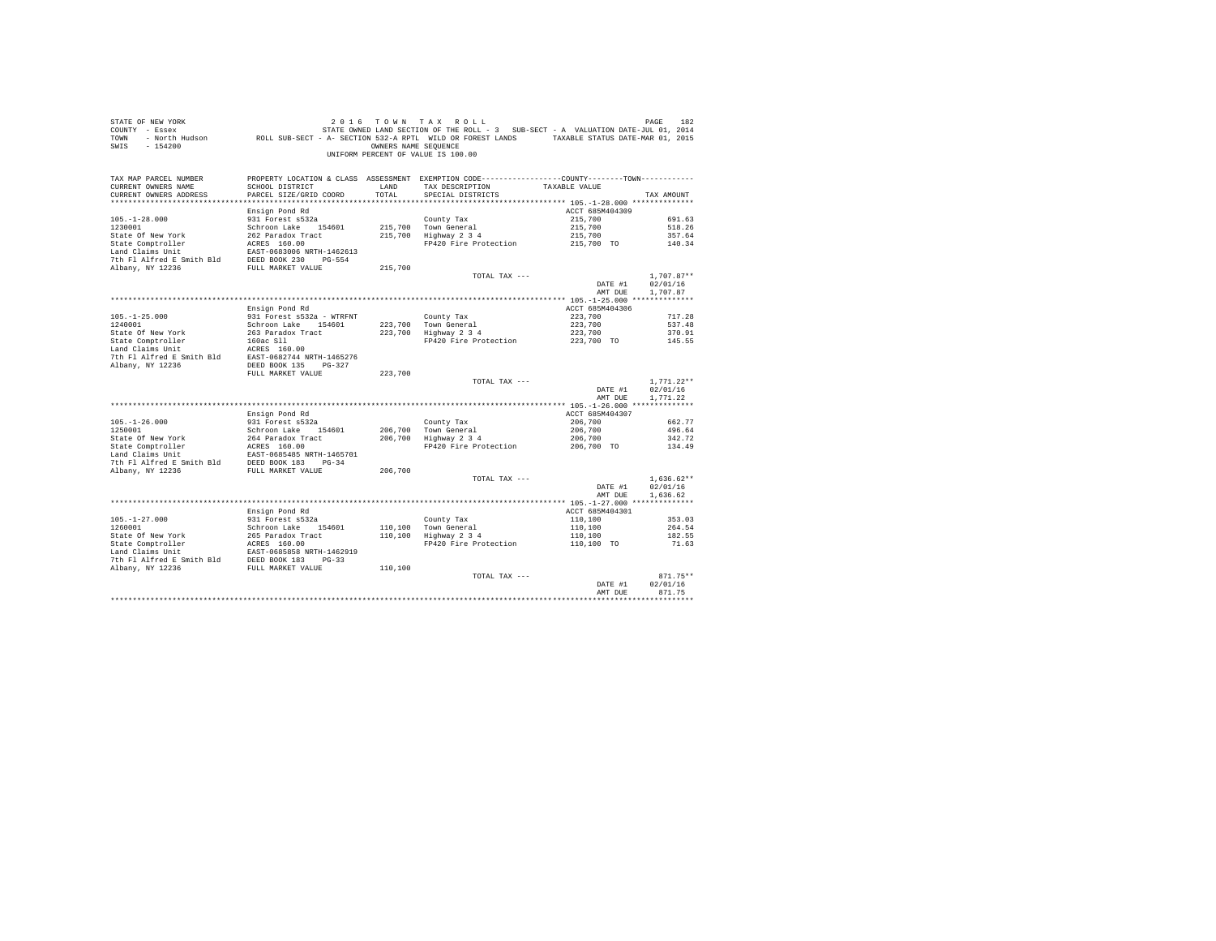| STATE OF NEW YORK<br>COUNTY - Essex<br>TOWN<br>SWIS<br>$-154200$ |                                           | OWNERS NAME SEQUENCE | 2016 TOWN TAX ROLL<br>STATE OWNED LAND SECTION OF THE ROLL - 3 SUB-SECT - A VALUATION DATE-JUL 01, 2014<br>- North Hudson ROLL SUB-SECT - A- SECTION 532-A RPTL WILD OR FOREST LANDS TAXABLE STATUS DATE-MAR 01, 2015<br>UNIFORM PERCENT OF VALUE IS 100.00 |                    | PAGE<br>182              |
|------------------------------------------------------------------|-------------------------------------------|----------------------|-------------------------------------------------------------------------------------------------------------------------------------------------------------------------------------------------------------------------------------------------------------|--------------------|--------------------------|
| TAX MAP PARCEL NUMBER                                            |                                           |                      | PROPERTY LOCATION & CLASS ASSESSMENT EXEMPTION CODE---------------COUNTY-------TOWN----------                                                                                                                                                               |                    |                          |
| CURRENT OWNERS NAME<br>CURRENT OWNERS ADDRESS                    | SCHOOL DISTRICT<br>PARCEL SIZE/GRID COORD | LAND<br>TOTAL        | TAX DESCRIPTION<br>SPECIAL DISTRICTS                                                                                                                                                                                                                        | TAXABLE VALUE      | TAX AMOUNT               |
|                                                                  |                                           |                      |                                                                                                                                                                                                                                                             |                    |                          |
|                                                                  | Ensign Pond Rd                            |                      |                                                                                                                                                                                                                                                             | ACCT 685M404309    |                          |
| $105. - 1 - 28.000$                                              | 931 Forest s532a                          |                      | County Tax                                                                                                                                                                                                                                                  | 215,700            | 691.63                   |
| 1230001                                                          | Schroon Lake 154601                       |                      | 215,700 Town General                                                                                                                                                                                                                                        | 215,700            | 518.26                   |
| State Of New York                                                | 262 Paradox Tract                         | 215,700              | Highway 2 3 4                                                                                                                                                                                                                                               | 215,700            | 357.64                   |
| State Comptroller                                                | ACRES 160.00                              |                      | FP420 Fire Protection                                                                                                                                                                                                                                       | 215,700 TO         | 140.34                   |
| Land Claims Unit                                                 | EAST-0683006 NRTH-1462613                 |                      |                                                                                                                                                                                                                                                             |                    |                          |
| 7th Fl Alfred E Smith Bld                                        | DEED BOOK 230 PG-554                      |                      |                                                                                                                                                                                                                                                             |                    |                          |
| Albany, NY 12236                                                 | FULL MARKET VALUE                         | 215,700              |                                                                                                                                                                                                                                                             |                    |                          |
|                                                                  |                                           |                      | TOTAL TAX ---                                                                                                                                                                                                                                               |                    | $1.707.87**$             |
|                                                                  |                                           |                      |                                                                                                                                                                                                                                                             | DATE #1<br>AMT DUE | 02/01/16<br>1,707.87     |
|                                                                  |                                           |                      |                                                                                                                                                                                                                                                             |                    |                          |
|                                                                  | Ensign Pond Rd                            |                      |                                                                                                                                                                                                                                                             | ACCT 685M404306    |                          |
| $105. - 1 - 25.000$                                              | 931 Forest s532a - WTRFNT                 |                      | County Tax                                                                                                                                                                                                                                                  | 223,700            | 717.28                   |
| 1240001                                                          | Schroon Lake 154601                       | 223,700              | Town General                                                                                                                                                                                                                                                | 223,700            | 537.48                   |
| State Of New York                                                | 263 Paradox Tract                         | 223,700              | Highway 2 3 4                                                                                                                                                                                                                                               | 223,700            | 370.91                   |
| State Comptroller                                                | 160ac Sll                                 |                      | FP420 Fire Protection                                                                                                                                                                                                                                       | 223,700 TO         | 145.55                   |
| Land Claims Unit                                                 | ACRES 160.00                              |                      |                                                                                                                                                                                                                                                             |                    |                          |
| 7th Fl Alfred E Smith Bld                                        | EAST-0682744 NRTH-1465276                 |                      |                                                                                                                                                                                                                                                             |                    |                          |
| Albany, NY 12236                                                 | DEED BOOK 135 PG-327                      |                      |                                                                                                                                                                                                                                                             |                    |                          |
|                                                                  | FULL MARKET VALUE                         | 223,700              |                                                                                                                                                                                                                                                             |                    |                          |
|                                                                  |                                           |                      | TOTAL TAX ---                                                                                                                                                                                                                                               | DATE #1            | $1.771.22**$<br>02/01/16 |
|                                                                  |                                           |                      |                                                                                                                                                                                                                                                             | AMT DUE            | 1,771.22                 |
|                                                                  |                                           |                      |                                                                                                                                                                                                                                                             |                    |                          |
|                                                                  | Ensign Pond Rd                            |                      |                                                                                                                                                                                                                                                             | ACCT 685M404307    |                          |
| $105. - 1 - 26.000$                                              | 931 Forest s532a                          |                      | County Tax                                                                                                                                                                                                                                                  | 206,700            | 662.77                   |
| 1250001                                                          | Schroon Lake 154601                       | 206.700              | Town General                                                                                                                                                                                                                                                | 206,700            | 496.64                   |
| State Of New York                                                | 264 Paradox Tract                         | 206,700              | Highway 2 3 4                                                                                                                                                                                                                                               | 206,700            | 342.72                   |
| State Comptroller                                                | ACRES 160.00                              |                      | FP420 Fire Protection                                                                                                                                                                                                                                       | 206,700 TO         | 134.49                   |
| Land Claims Unit                                                 | EAST-0685485 NRTH-1465701                 |                      |                                                                                                                                                                                                                                                             |                    |                          |
| 7th Fl Alfred E Smith Bld                                        | DEED BOOK 183 PG-34                       |                      |                                                                                                                                                                                                                                                             |                    |                          |
| Albany, NY 12236                                                 | FULL MARKET VALUE                         | 206,700              | TOTAL TAX ---                                                                                                                                                                                                                                               |                    | $1,636.62**$             |
|                                                                  |                                           |                      |                                                                                                                                                                                                                                                             | DATE #1            | 02/01/16                 |
|                                                                  |                                           |                      |                                                                                                                                                                                                                                                             | AMT DUE            | 1,636.62                 |
|                                                                  |                                           |                      |                                                                                                                                                                                                                                                             |                    |                          |
|                                                                  | Ensign Pond Rd                            |                      |                                                                                                                                                                                                                                                             | ACCT 685M404301    |                          |
| $105. - 1 - 27.000$                                              | 931 Forest s532a                          |                      | County Tax                                                                                                                                                                                                                                                  | 110,100            | 353.03                   |
| 1260001                                                          | Schroon Lake 154601                       | 110,100              | Town General                                                                                                                                                                                                                                                | 110,100            | 264.54                   |
| State Of New York                                                | 265 Paradox Tract                         | 110,100              | Highway 2 3 4                                                                                                                                                                                                                                               | 110,100            | 182.55                   |
| State Comptroller                                                | ACRES 160.00                              |                      | FP420 Fire Protection                                                                                                                                                                                                                                       | 110,100 TO         | 71.63                    |
| Land Claims Unit                                                 | EAST-0685858 NRTH-1462919                 |                      |                                                                                                                                                                                                                                                             |                    |                          |
| 7th Fl Alfred E Smith Bld                                        | DEED BOOK 183 PG-33                       |                      |                                                                                                                                                                                                                                                             |                    |                          |
| Albany, NY 12236                                                 | FULL MARKET VALUE                         | 110,100              | TOTAL TAX ---                                                                                                                                                                                                                                               |                    | 871.75**                 |
|                                                                  |                                           |                      |                                                                                                                                                                                                                                                             | DATE #1            | 02/01/16                 |
|                                                                  |                                           |                      |                                                                                                                                                                                                                                                             | AMT DUE            | 871.75                   |
|                                                                  |                                           |                      |                                                                                                                                                                                                                                                             |                    | **********               |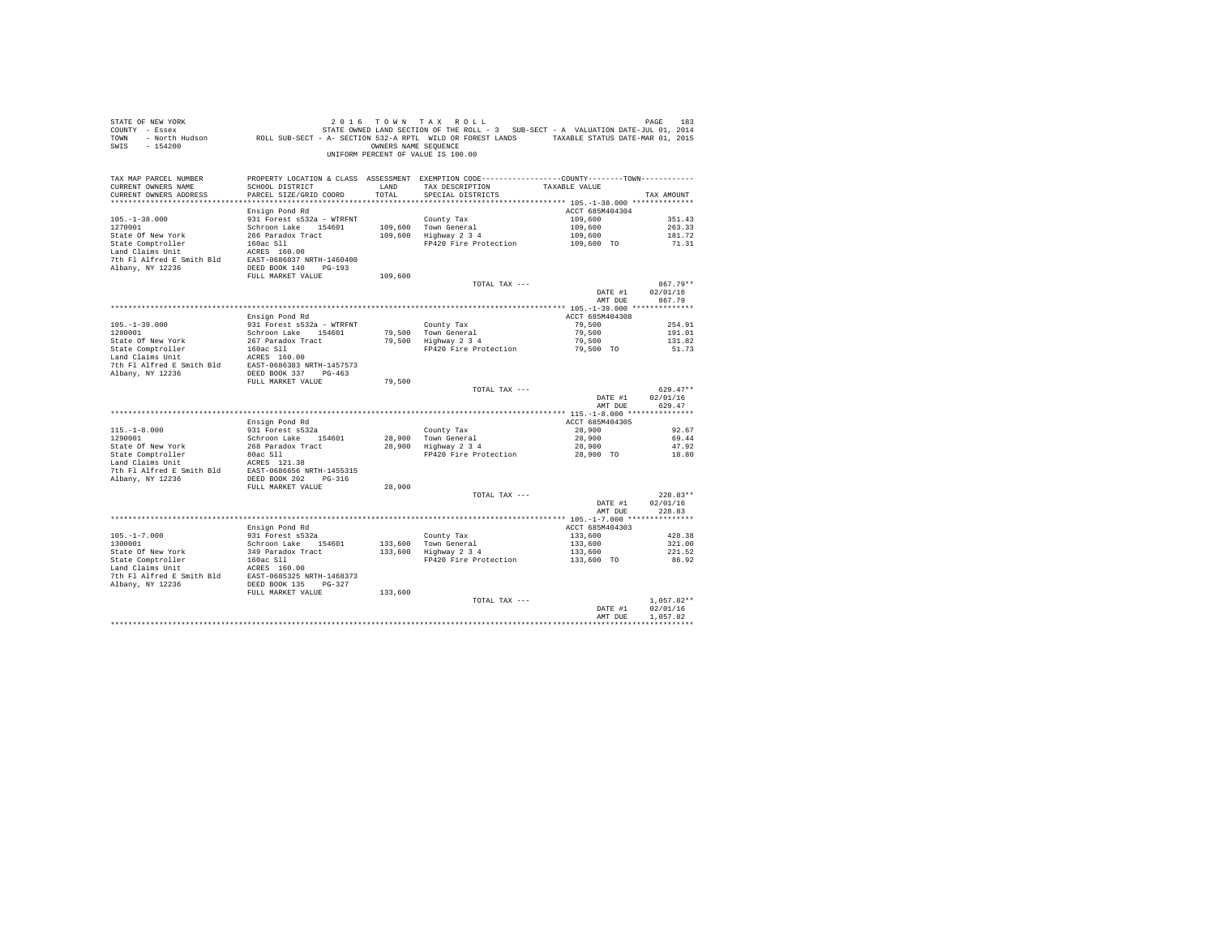| SWIS - 154200                                                                                                                                                                                                                                |                                                  |         | OWNERS NAME SEQUENCE<br>UNIFORM PERCENT OF VALUE IS 100.00                                                                            |                    |                  |
|----------------------------------------------------------------------------------------------------------------------------------------------------------------------------------------------------------------------------------------------|--------------------------------------------------|---------|---------------------------------------------------------------------------------------------------------------------------------------|--------------------|------------------|
| TAX MAP PARCEL NUMBER<br>CURRENT OWNERS NAME<br>CURRENT OWNERS ADDRESS                                                                                                                                                                       | SCHOOL DISTRICT LAND<br>PARCEL SIZE/GRID COORD   | TOTAL   | PROPERTY LOCATION & CLASS ASSESSMENT EXEMPTION CODE---------------COUNTY-------TOWN----------<br>TAX DESCRIPTION<br>SPECIAL DISTRICTS | TAXABLE VALUE      | TAX AMOUNT       |
|                                                                                                                                                                                                                                              |                                                  |         |                                                                                                                                       |                    |                  |
|                                                                                                                                                                                                                                              | Ensign Pond Rd                                   |         |                                                                                                                                       | ACCT 685M404304    |                  |
| $105. - 1 - 38.000$<br>1270001                                                                                                                                                                                                               | 931 Forest s532a - WTRFNT<br>Schroon Lake 154601 |         | County Tax                                                                                                                            | 109,600<br>109,600 | 351.43<br>263.33 |
|                                                                                                                                                                                                                                              |                                                  |         | 109,600 Town General<br>109,600 Highway 2 3 4                                                                                         | 109,600            | 181.72           |
|                                                                                                                                                                                                                                              |                                                  |         | FP420 Fire Protection                                                                                                                 | 109,600 TO         | 71.31            |
|                                                                                                                                                                                                                                              |                                                  |         |                                                                                                                                       |                    |                  |
|                                                                                                                                                                                                                                              |                                                  |         |                                                                                                                                       |                    |                  |
|                                                                                                                                                                                                                                              |                                                  |         |                                                                                                                                       |                    |                  |
|                                                                                                                                                                                                                                              | FULL MARKET VALUE                                | 109,600 | TOTAL TAX ---                                                                                                                         |                    | 867.79**         |
|                                                                                                                                                                                                                                              |                                                  |         |                                                                                                                                       |                    | DATE #1 02/01/16 |
|                                                                                                                                                                                                                                              |                                                  |         |                                                                                                                                       | AMT DUE            | 867.79           |
|                                                                                                                                                                                                                                              |                                                  |         |                                                                                                                                       |                    |                  |
|                                                                                                                                                                                                                                              | Ensign Pond Rd                                   |         |                                                                                                                                       | ACCT 685M404308    | 254.91           |
| $105. - 1 - 39.000$<br>1280001                                                                                                                                                                                                               | 931 Forest s532a - WTRFNT<br>Schroon Lake 154601 |         | County Tax                                                                                                                            | 79,500<br>79,500   | 191.01           |
|                                                                                                                                                                                                                                              |                                                  |         | 79,500 Town General<br>79,500 Highway 2 3 4                                                                                           | 79,500             | 131.82           |
|                                                                                                                                                                                                                                              |                                                  |         | FP420 Fire Protection 79,500 TO                                                                                                       |                    | 51.73            |
| ----- or new York and the set of the state comptroller<br>State Comptroller 160 ac SIN Fact the Land Claims Unit The Plate SIN The Plate State State State State State State State State State State State State State State Stat            |                                                  |         |                                                                                                                                       |                    |                  |
| 7th Fl Alfred E Smith Bld EAST-0686383 NRTH-1457573                                                                                                                                                                                          |                                                  |         |                                                                                                                                       |                    |                  |
| Albany, NY 12236                                                                                                                                                                                                                             | DEED BOOK 337 PG-463<br>FULL MARKET VALUE        | 79,500  |                                                                                                                                       |                    |                  |
|                                                                                                                                                                                                                                              |                                                  |         | TOTAL TAX ---                                                                                                                         |                    | $629.47**$       |
|                                                                                                                                                                                                                                              |                                                  |         |                                                                                                                                       | DATE #1            | 02/01/16         |
|                                                                                                                                                                                                                                              |                                                  |         |                                                                                                                                       | AMT DUE            | 629.47           |
|                                                                                                                                                                                                                                              | Ensign Pond Rd                                   |         |                                                                                                                                       | ACCT 685M404305    |                  |
|                                                                                                                                                                                                                                              | 931 Forest s532a                                 |         | County Tax                                                                                                                            | 28,900             | 92.67            |
| $115.-1-8.000$<br>1290001                                                                                                                                                                                                                    | Schroon Lake 154601                              |         | County Tax<br>28,900 Town General<br>28,900 Highway 2 3 4                                                                             | 28,900             | 69.44            |
|                                                                                                                                                                                                                                              |                                                  |         |                                                                                                                                       | 28,900             | 47.92            |
| Figure 10 MeV York 266 Paradox Tract<br>State Comptroller 266 Paradox Tract<br>State Comptroller 260 MeC 311<br>138 Trh Pl Aircel E Smith Bld<br>20066566 MRTH-1455315<br>7th Pl Aircel E Smith Bld<br>200665666 MRTH-1455315<br>20086566 MR |                                                  |         | FP420 Fire Protection                                                                                                                 | 28,900 TO          | 18.80            |
|                                                                                                                                                                                                                                              |                                                  |         |                                                                                                                                       |                    |                  |
|                                                                                                                                                                                                                                              |                                                  |         |                                                                                                                                       |                    |                  |
|                                                                                                                                                                                                                                              | FULL MARKET VALUE                                | 28,900  |                                                                                                                                       |                    |                  |
|                                                                                                                                                                                                                                              |                                                  |         | TOTAL TAX ---                                                                                                                         |                    | $228.83**$       |
|                                                                                                                                                                                                                                              |                                                  |         |                                                                                                                                       | DATE #1            | 02/01/16         |
|                                                                                                                                                                                                                                              |                                                  |         |                                                                                                                                       | AMT DUE            | 228.83           |
|                                                                                                                                                                                                                                              | Ensign Pond Rd                                   |         |                                                                                                                                       | ACCT 685M404303    |                  |
| $105. - 1 - 7.000$                                                                                                                                                                                                                           | 931 Forest s532a                                 |         |                                                                                                                                       | 133,600            | 428.38           |
| 1300001                                                                                                                                                                                                                                      | Schroon Lake 154601                              |         | County Tax<br>133,600 Town General<br>133,600 Highway 2 3 4                                                                           | 133,600            | 321.00           |
|                                                                                                                                                                                                                                              |                                                  |         |                                                                                                                                       | 133,600            | 221.52           |
|                                                                                                                                                                                                                                              |                                                  |         | FP420 Fire Protection                                                                                                                 | 133,600 TO         | 86.92            |
|                                                                                                                                                                                                                                              |                                                  |         |                                                                                                                                       |                    |                  |
|                                                                                                                                                                                                                                              |                                                  |         |                                                                                                                                       |                    |                  |
|                                                                                                                                                                                                                                              | FULL MARKET VALUE                                | 133,600 |                                                                                                                                       |                    |                  |
|                                                                                                                                                                                                                                              |                                                  |         | TOTAL TAX ---                                                                                                                         |                    | $1,057.82**$     |
|                                                                                                                                                                                                                                              |                                                  |         |                                                                                                                                       | DATE #1            | 02/01/16         |
|                                                                                                                                                                                                                                              |                                                  |         |                                                                                                                                       | AMT DUR            | 1.057.82         |
|                                                                                                                                                                                                                                              |                                                  |         |                                                                                                                                       |                    | ************     |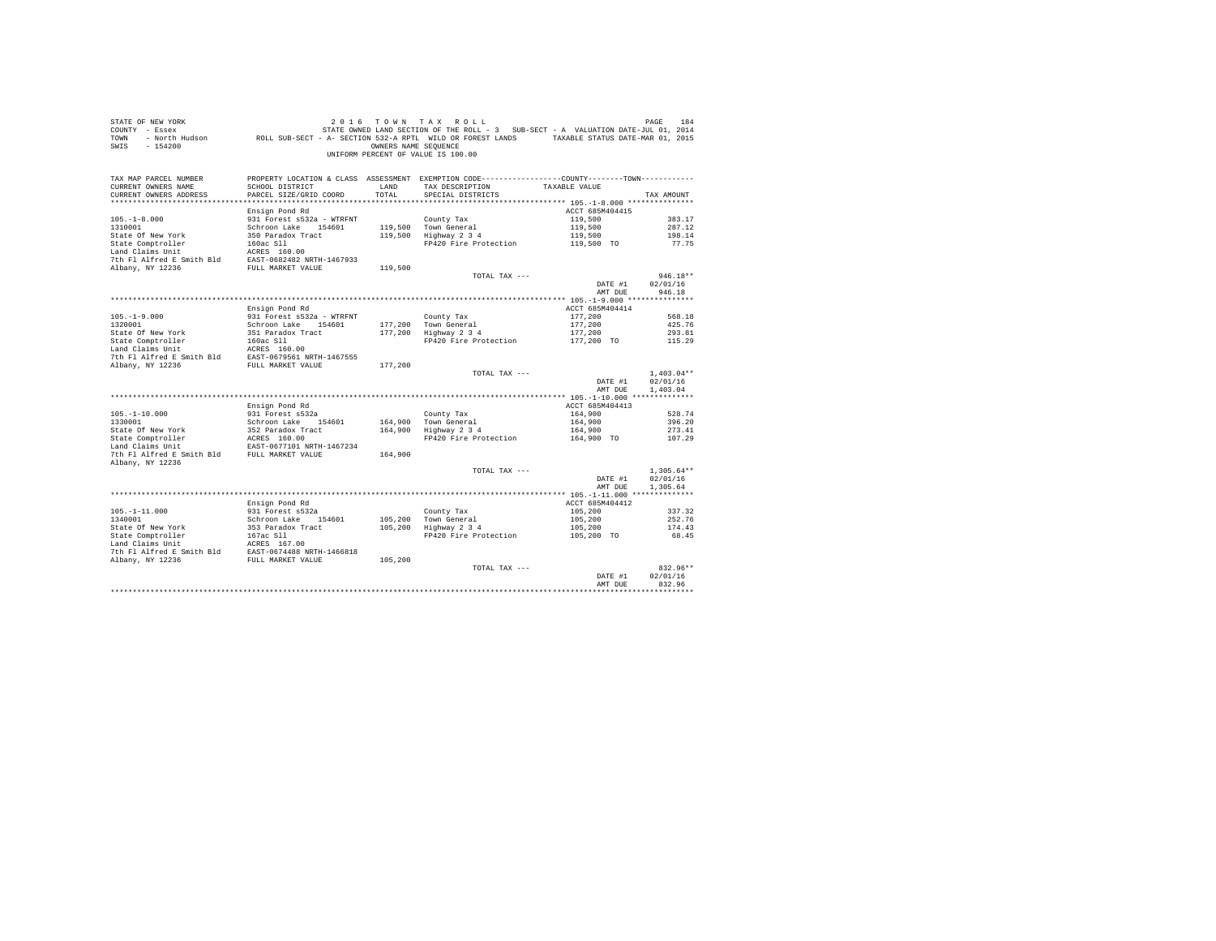| COUNTY - Essex<br>TOWN<br>SWIS<br>$-154200$                                                                                    | - North Hudson ROLL SUB-SECT - A- SECTION 532-A RPTL WILD OR FOREST LANDS TAXABLE STATUS DATE-MAR 01, 2015 | OWNERS NAME SEQUENCE | STATE OWNED LAND SECTION OF THE ROLL - 3 SUB-SECT - A VALUATION DATE-JUL 01, 2014<br>UNIFORM PERCENT OF VALUE IS 100.00 |                    |                          |
|--------------------------------------------------------------------------------------------------------------------------------|------------------------------------------------------------------------------------------------------------|----------------------|-------------------------------------------------------------------------------------------------------------------------|--------------------|--------------------------|
|                                                                                                                                |                                                                                                            |                      |                                                                                                                         |                    |                          |
| TAX MAP PARCEL NUMBER                                                                                                          |                                                                                                            |                      | PROPERTY LOCATION & CLASS ASSESSMENT EXEMPTION CODE----------------COUNTY--------TOWN----------                         |                    |                          |
| CURRENT OWNERS NAME                                                                                                            | SCHOOL DISTRICT                                                                                            | LAND                 | TAX DESCRIPTION TAXABLE VALUE                                                                                           |                    |                          |
| CURRENT OWNERS ADDRESS                                                                                                         | PARCEL SIZE/GRID COORD                                                                                     | TOTAL                | SPECIAL DISTRICTS                                                                                                       |                    | TAX AMOUNT               |
|                                                                                                                                |                                                                                                            |                      |                                                                                                                         |                    |                          |
|                                                                                                                                | Ensign Pond Rd                                                                                             |                      |                                                                                                                         | ACCT 685M404415    | 383.17                   |
| $105. - 1 - 8.000$<br>1310001                                                                                                  | 931 Forest s532a - WTRFNT<br>Schroon Lake 154601                                                           |                      | County Tax<br>119,500 Town General                                                                                      | 119,500<br>119,500 | 287.12                   |
|                                                                                                                                |                                                                                                            |                      | 119,500 Highway 2 3 4                                                                                                   | 119,500            | 198.14                   |
|                                                                                                                                |                                                                                                            |                      | FP420 Fire Protection                                                                                                   | 119,500 TO         | 77.75                    |
|                                                                                                                                |                                                                                                            |                      |                                                                                                                         |                    |                          |
|                                                                                                                                |                                                                                                            |                      |                                                                                                                         |                    |                          |
|                                                                                                                                |                                                                                                            | 119,500              |                                                                                                                         |                    |                          |
|                                                                                                                                |                                                                                                            |                      | TOTAL TAX ---                                                                                                           |                    | $946.18**$               |
|                                                                                                                                |                                                                                                            |                      |                                                                                                                         | DATE #1            | 02/01/16                 |
|                                                                                                                                |                                                                                                            |                      |                                                                                                                         | AMT DUE            | 946.18                   |
|                                                                                                                                | Ensign Pond Rd                                                                                             |                      |                                                                                                                         | ACCT 685M404414    |                          |
| $105. - 1 - 9.000$                                                                                                             | 931 Forest s532a - WTRFNT                                                                                  |                      |                                                                                                                         | 177.200            | 568.18                   |
| 1320001                                                                                                                        | Schroon Lake 154601                                                                                        |                      |                                                                                                                         | 177,200            | 425.76                   |
| State Of New York                                                                                                              | 351 Paradox Tract                                                                                          |                      | County Tax<br>177,200 Town General<br>177,200 Highway 2 3 4                                                             | 177,200            | 293.81                   |
|                                                                                                                                |                                                                                                            |                      | FP420 Fire Protection                                                                                                   | 177,200 TO         | 115.29                   |
|                                                                                                                                |                                                                                                            |                      |                                                                                                                         |                    |                          |
|                                                                                                                                |                                                                                                            |                      |                                                                                                                         |                    |                          |
| Albany, NY 12236                                                                                                               | FULL MARKET VALUE                                                                                          | 177,200              |                                                                                                                         |                    |                          |
|                                                                                                                                |                                                                                                            |                      | TOTAL TAX ---                                                                                                           | DATE #1            | $1,403.04**$<br>02/01/16 |
|                                                                                                                                |                                                                                                            |                      |                                                                                                                         | AMT DUE            | 1,403.04                 |
|                                                                                                                                |                                                                                                            |                      |                                                                                                                         |                    |                          |
|                                                                                                                                | Ensign Pond Rd                                                                                             |                      |                                                                                                                         | ACCT 685M404413    |                          |
| $105. - 1 - 10.000$                                                                                                            | 931 Forest s532a                                                                                           |                      | County Tax                                                                                                              | 164,900            | 528.74                   |
| 1330001                                                                                                                        | Schroon Lake 154601                                                                                        |                      | 164,900 Town General<br>164,900 Highway 2 3 4                                                                           | 164,900            | 396.20                   |
|                                                                                                                                |                                                                                                            |                      |                                                                                                                         | 164,900            | 273.41                   |
|                                                                                                                                |                                                                                                            |                      | FP420 Fire Protection                                                                                                   | 164,900 TO         | 107.29                   |
|                                                                                                                                |                                                                                                            |                      |                                                                                                                         |                    |                          |
| Albany, NY 12236                                                                                                               |                                                                                                            | 164,900              |                                                                                                                         |                    |                          |
|                                                                                                                                |                                                                                                            |                      | TOTAL TAX ---                                                                                                           |                    | $1.305.64**$             |
|                                                                                                                                |                                                                                                            |                      |                                                                                                                         | DATE #1            | 02/01/16                 |
|                                                                                                                                |                                                                                                            |                      |                                                                                                                         | AMT DUE            | 1,305.64                 |
|                                                                                                                                | Ensign Pond Rd                                                                                             |                      |                                                                                                                         | ACCT 685M404412    |                          |
| $105. - 1 - 11.000$                                                                                                            | 931 Forest s532a                                                                                           |                      | County Tax                                                                                                              | 105,200            | 337.32                   |
| 1340001                                                                                                                        | Schroon Lake 154601                                                                                        |                      | 105,200 Town General                                                                                                    | 105,200            | 252.76                   |
| State Of New York                                                                                                              | 353 Paradox Tract                                                                                          | 105,200              | Highway 2 3 4                                                                                                           | 105,200            | 174.43                   |
|                                                                                                                                |                                                                                                            |                      | FP420 Fire Protection                                                                                                   | 105,200 TO         | 68.45                    |
|                                                                                                                                |                                                                                                            |                      |                                                                                                                         |                    |                          |
| State Comptroller 167ac S11<br>Land Claims Unit<br>167ac S11<br>2010 167201488 NRTH-1466818<br>2010 17 12236 FUUL MARKET VALUE |                                                                                                            |                      |                                                                                                                         |                    |                          |
|                                                                                                                                |                                                                                                            | 105,200              |                                                                                                                         |                    | 832.96**                 |
|                                                                                                                                |                                                                                                            |                      | TOTAL TAX ---                                                                                                           | DATE #1            | 02/01/16                 |
|                                                                                                                                |                                                                                                            |                      |                                                                                                                         | AMT DUE            | 832.96                   |
|                                                                                                                                |                                                                                                            |                      |                                                                                                                         |                    | .                        |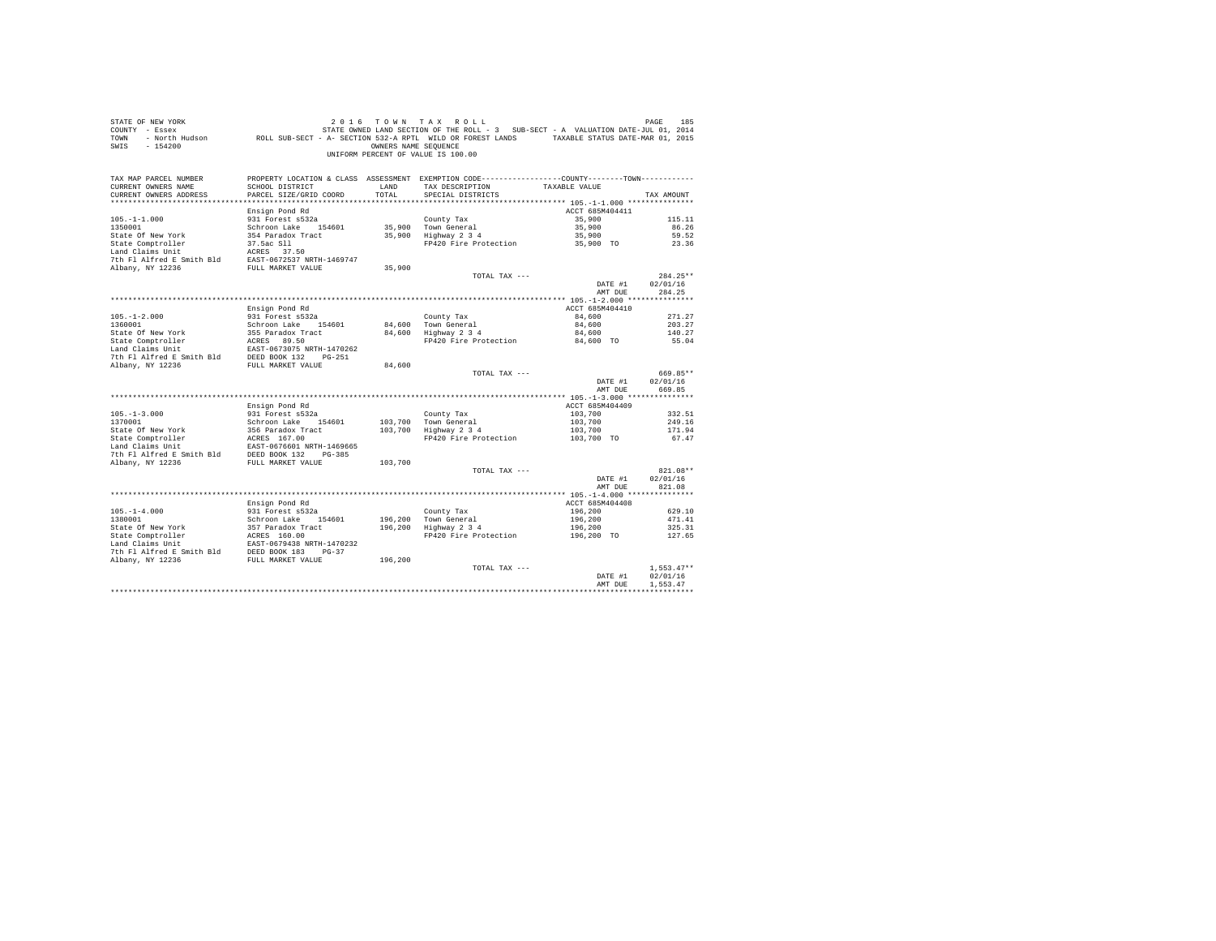| STATE OF NEW YORK<br>COUNTY - Essex<br>TOWN<br>$-154200$<br>SWIS                                                                                                                                                                        |                                         | OWNERS NAME SEOUENCE | 2016 TOWN TAX ROLL<br>vr אבא איש בא שיש של עונש של איש בא איז א אבא איז א איז א איז א איז א איז א איז א איז א איז א איז א ישראל.<br>2014 - Essex Maria (STATE OWNED LAND SECTION OF THE ROLL - 3 SUB-SECT - A VALUATION DATE-JUL 01, 2014<br>North Hudson<br>UNIFORM PERCENT OF VALUE IS 100.00 |                    | PAGE<br>185                    |
|-----------------------------------------------------------------------------------------------------------------------------------------------------------------------------------------------------------------------------------------|-----------------------------------------|----------------------|-------------------------------------------------------------------------------------------------------------------------------------------------------------------------------------------------------------------------------------------------------------------------------------------------|--------------------|--------------------------------|
| TAX MAP PARCEL NUMBER<br>CURRENT OWNERS NAME                                                                                                                                                                                            | SCHOOL DISTRICT                         | LAND                 | PROPERTY LOCATION & CLASS ASSESSMENT EXEMPTION CODE---------------COUNTY-------TOWN---------<br>TAX DESCRIPTION                                                                                                                                                                                 | TAXABLE VALUE      |                                |
| CURRENT OWNERS ADDRESS                                                                                                                                                                                                                  | PARCEL SIZE/GRID COORD                  | TOTAL                | SPECIAL DISTRICTS                                                                                                                                                                                                                                                                               |                    | TAX AMOUNT                     |
|                                                                                                                                                                                                                                         | Ensign Pond Rd                          |                      |                                                                                                                                                                                                                                                                                                 | ACCT 685M404411    |                                |
| $105. - 1 - 1.000$                                                                                                                                                                                                                      | 931 Forest s532a                        |                      | County Tax                                                                                                                                                                                                                                                                                      | 35,900             | 115.11                         |
| 1350001                                                                                                                                                                                                                                 | Schroon Lake 154601                     |                      | 35,900 Town General                                                                                                                                                                                                                                                                             | 35,900             | 86.26                          |
| State Of New York                                                                                                                                                                                                                       | 354 Paradox Tract                       |                      | $35,900$ Highway $2\,3\,4$                                                                                                                                                                                                                                                                      | 35,900             | 59.52                          |
| State Comptroller                                                                                                                                                                                                                       |                                         |                      | FP420 Fire Protection 35,900 TO                                                                                                                                                                                                                                                                 |                    | 23.36                          |
| Land Claims Unit                                                                                                                                                                                                                        | 37.5ac S11<br>ACRES 37.50               |                      |                                                                                                                                                                                                                                                                                                 |                    |                                |
| 7th F1 Alfred E Smith Bld<br>BAST-0672537 NRTH-1469747<br>Albany, NY 12236<br>FULL MARKET VALUE                                                                                                                                         |                                         |                      |                                                                                                                                                                                                                                                                                                 |                    |                                |
|                                                                                                                                                                                                                                         |                                         | 35,900               |                                                                                                                                                                                                                                                                                                 |                    |                                |
|                                                                                                                                                                                                                                         |                                         |                      | TOTAL TAX ---                                                                                                                                                                                                                                                                                   |                    | $284.25**$                     |
|                                                                                                                                                                                                                                         |                                         |                      |                                                                                                                                                                                                                                                                                                 | DATE #1            | 02/01/16                       |
|                                                                                                                                                                                                                                         |                                         |                      |                                                                                                                                                                                                                                                                                                 | AMT DUE            | 284.25                         |
|                                                                                                                                                                                                                                         | Ensign Pond Rd                          |                      |                                                                                                                                                                                                                                                                                                 | ACCT 685M404410    |                                |
| $105. - 1 - 2.000$                                                                                                                                                                                                                      | 931 Forest s532a                        |                      | County Tax                                                                                                                                                                                                                                                                                      | 84,600             | 271.27                         |
| 1360001                                                                                                                                                                                                                                 | Schroon Lake 154601                     |                      |                                                                                                                                                                                                                                                                                                 | 84,600             | 203.27                         |
|                                                                                                                                                                                                                                         |                                         |                      | 84,600 Town General<br>84,600 Highway 2 3 4                                                                                                                                                                                                                                                     | 84,600             | 140.27                         |
|                                                                                                                                                                                                                                         |                                         |                      | FP420 Fire Protection 84,600 TO                                                                                                                                                                                                                                                                 |                    | 55.04                          |
|                                                                                                                                                                                                                                         |                                         |                      |                                                                                                                                                                                                                                                                                                 |                    |                                |
|                                                                                                                                                                                                                                         |                                         |                      |                                                                                                                                                                                                                                                                                                 |                    |                                |
| State Of New York 355 Paradox Tract<br>State Comptroller AGRES 89.50<br>Land Claims Unit BACRES 89.50<br>The Plaifred E Smith Bld BEED BOOK 132 PG-251<br>7th Plaifred E Smith Bld BEED BOOK 132 PG-251<br>Albany, NY 12236 FULL MARKET |                                         | 84,600               |                                                                                                                                                                                                                                                                                                 |                    |                                |
|                                                                                                                                                                                                                                         |                                         |                      | TOTAL TAX ---                                                                                                                                                                                                                                                                                   | DATE #1<br>AMT DUE | 669.85**<br>02/01/16<br>669.85 |
|                                                                                                                                                                                                                                         |                                         |                      |                                                                                                                                                                                                                                                                                                 |                    |                                |
|                                                                                                                                                                                                                                         | Ensign Pond Rd                          |                      |                                                                                                                                                                                                                                                                                                 | ACCT 685M404409    |                                |
| $105. - 1 - 3.000$                                                                                                                                                                                                                      | 931 Forest s532a                        |                      | County Tax                                                                                                                                                                                                                                                                                      | 103,700            | 332.51                         |
| 1370001                                                                                                                                                                                                                                 | Schroon Lake 154601                     |                      | 103,700 Town General                                                                                                                                                                                                                                                                            | 103,700            | 249.16                         |
|                                                                                                                                                                                                                                         |                                         |                      | $103,700$ Highway $2\ 3\ 4$                                                                                                                                                                                                                                                                     | 103,700            | 171.94                         |
|                                                                                                                                                                                                                                         |                                         |                      | FP420 Fire Protection 103.700 TO                                                                                                                                                                                                                                                                |                    | 67.47                          |
|                                                                                                                                                                                                                                         |                                         |                      |                                                                                                                                                                                                                                                                                                 |                    |                                |
|                                                                                                                                                                                                                                         |                                         | 103,700              |                                                                                                                                                                                                                                                                                                 |                    |                                |
|                                                                                                                                                                                                                                         |                                         |                      | TOTAL TAX ---                                                                                                                                                                                                                                                                                   |                    | 821.08**                       |
|                                                                                                                                                                                                                                         |                                         |                      |                                                                                                                                                                                                                                                                                                 | DATE #1            | 02/01/16                       |
|                                                                                                                                                                                                                                         |                                         |                      |                                                                                                                                                                                                                                                                                                 | AMT DUE            | 821.08                         |
|                                                                                                                                                                                                                                         |                                         |                      |                                                                                                                                                                                                                                                                                                 |                    |                                |
|                                                                                                                                                                                                                                         | Ensign Pond Rd                          |                      |                                                                                                                                                                                                                                                                                                 | ACCT 685M404408    |                                |
| $105. - 1 - 4.000$                                                                                                                                                                                                                      | 931 Forest s532a<br>Schroon Lake 154601 |                      | County Tax                                                                                                                                                                                                                                                                                      | 196,200            | 629.10                         |
| 1380001                                                                                                                                                                                                                                 |                                         |                      | 196,200 Town General<br>196,200 Highway 2 3 4                                                                                                                                                                                                                                                   | 196,200            | 471.41                         |
|                                                                                                                                                                                                                                         |                                         |                      |                                                                                                                                                                                                                                                                                                 | 196,200            | 325.31                         |
|                                                                                                                                                                                                                                         |                                         |                      | FP420 Fire Protection                                                                                                                                                                                                                                                                           | $196,200$ TO       | 127.65                         |
|                                                                                                                                                                                                                                         |                                         |                      |                                                                                                                                                                                                                                                                                                 |                    |                                |
|                                                                                                                                                                                                                                         |                                         | 196,200              |                                                                                                                                                                                                                                                                                                 |                    |                                |
|                                                                                                                                                                                                                                         |                                         |                      | TOTAL TAX ---                                                                                                                                                                                                                                                                                   |                    | $1.553.47**$                   |
|                                                                                                                                                                                                                                         |                                         |                      |                                                                                                                                                                                                                                                                                                 | DATE #1            | 02/01/16                       |
|                                                                                                                                                                                                                                         |                                         |                      |                                                                                                                                                                                                                                                                                                 | AMT DUE            | 1.553.47                       |
|                                                                                                                                                                                                                                         |                                         |                      |                                                                                                                                                                                                                                                                                                 |                    |                                |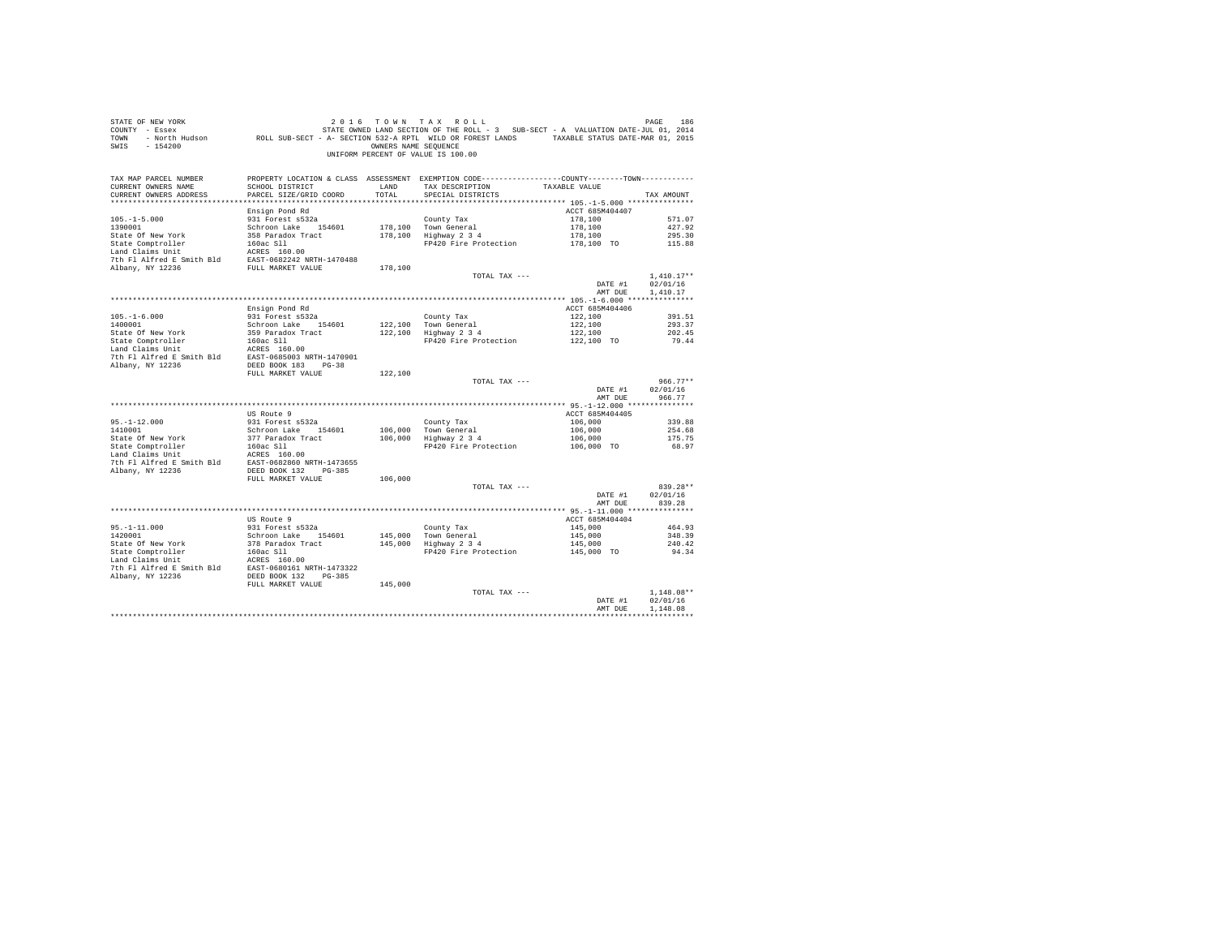| STATE OF NEW YORK<br>COUNTY - Essex<br>TOWN<br>$-154200$<br>SWIS                                                                                                    |                                           | OWNERS NAME SEQUENCE | 2016 TOWN TAX ROLL<br>UNIFORM PERCENT OF VALUE IS 100.00                                        |                            | PAGE<br>186              |
|---------------------------------------------------------------------------------------------------------------------------------------------------------------------|-------------------------------------------|----------------------|-------------------------------------------------------------------------------------------------|----------------------------|--------------------------|
| TAX MAP PARCEL NUMBER                                                                                                                                               | SCHOOL DISTRICT                           |                      | PROPERTY LOCATION & CLASS ASSESSMENT EXEMPTION CODE----------------COUNTY--------TOWN---------- |                            |                          |
| CURRENT OWNERS NAME<br>CURRENT OWNERS ADDRESS                                                                                                                       | PARCEL SIZE/GRID COORD                    | LAND<br>TOTAL        | TAX DESCRIPTION<br>SPECIAL DISTRICTS                                                            | TAXABLE VALUE              | TAX AMOUNT               |
|                                                                                                                                                                     |                                           |                      |                                                                                                 |                            |                          |
|                                                                                                                                                                     | Ensign Pond Rd                            |                      |                                                                                                 | ACCT 685M404407            |                          |
| $105. - 1 - 5.000$                                                                                                                                                  | 931 Forest s532a                          |                      | County Tax                                                                                      | 178,100                    | 571.07                   |
| 1390001<br>State Of New York                                                                                                                                        | Schroon Lake 154601<br>358 Paradox Tract  |                      | 178,100 Town General<br>178,100 Highway 2 3 4                                                   | 178,100<br>178,100         | 427.92<br>295.30         |
| State Comptroller                                                                                                                                                   | 160ac S11                                 |                      | FP420 Fire Protection                                                                           | 178,100 TO                 | 115.88                   |
| Lance computurier<br>Land Claims Unit                                                                                                                               | ACRES 160.00                              |                      |                                                                                                 |                            |                          |
| Daily Julie 2012<br>The Fl Alfred E Smith Bld<br>EAST-0682242 NRTH-1470488<br>Nhany, NY 12236<br>FULL MARKET VALUE                                                  |                                           |                      |                                                                                                 |                            |                          |
|                                                                                                                                                                     |                                           | 178,100              | TOTAL TAX ---                                                                                   |                            | $1.410.17**$             |
|                                                                                                                                                                     |                                           |                      |                                                                                                 | DATE #1                    | 02/01/16                 |
|                                                                                                                                                                     |                                           |                      |                                                                                                 | AMT DUE                    | 1,410.17                 |
|                                                                                                                                                                     |                                           |                      |                                                                                                 |                            |                          |
|                                                                                                                                                                     | Ensign Pond Rd<br>931 Forest s532a        |                      |                                                                                                 | ACCT 685M404406<br>122,100 | 391.51                   |
| $105.-1-6.000$<br>$1400001$                                                                                                                                         | Schroon Lake 154601                       |                      | County Tax                                                                                      | 122,100                    | 293.37                   |
| State Of New York                                                                                                                                                   | 359 Paradox Tract                         |                      | 122,100 Town General<br>122,100 Highway 2 3 4                                                   |                            | 202.45                   |
|                                                                                                                                                                     |                                           |                      | FP420 Fire Protection                                                                           | 122,100<br>122,100 TO      | 79.44                    |
| State Comptroller 160ac S11<br>Land Claims Unit 160ac S11<br>160ac S11<br>27th F1 Alfred E Smith B1d<br>285T-0685003 NRTH-1470901<br>281<br>281 DEED BOOK 183 PG-38 |                                           |                      |                                                                                                 |                            |                          |
|                                                                                                                                                                     |                                           |                      |                                                                                                 |                            |                          |
|                                                                                                                                                                     | FULL MARKET VALUE                         | 122,100              |                                                                                                 |                            |                          |
|                                                                                                                                                                     |                                           |                      | TOTAL TAX ---                                                                                   |                            | $966.77**$               |
|                                                                                                                                                                     |                                           |                      |                                                                                                 | DATE #1<br>AMT DUE         | 02/01/16<br>966.77       |
|                                                                                                                                                                     |                                           |                      |                                                                                                 |                            |                          |
|                                                                                                                                                                     | US Route 9                                |                      |                                                                                                 | ACCT 685M404405            |                          |
| $95. - 1 - 12.000$                                                                                                                                                  | 931 Forest s532a                          |                      | County Tax                                                                                      | 106,000                    | 339.88                   |
| 1410001<br>State Of New York                                                                                                                                        | Schroon Lake 154601<br>377 Paradox Tract  |                      | 106,000 Town General<br>$106,000$ Highway $2\,3\,4$                                             | 106,000<br>106,000         | 254.68<br>175.75         |
| State Comptroller                                                                                                                                                   | 160ac S11                                 |                      | FP420 Fire Protection                                                                           | 106,000 TO                 | 68.97                    |
| Land Claims Unit                                                                                                                                                    | ACRES 160.00                              |                      |                                                                                                 |                            |                          |
| 7th Fl Alfred E Smith Bld                                                                                                                                           | EAST-0682860 NRTH-1473655                 |                      |                                                                                                 |                            |                          |
| Albany, NY 12236                                                                                                                                                    | DEED BOOK 132 PG-385<br>FULL MARKET VALUE | 106,000              |                                                                                                 |                            |                          |
|                                                                                                                                                                     |                                           |                      | TOTAL TAX ---                                                                                   |                            | 839.28**                 |
|                                                                                                                                                                     |                                           |                      |                                                                                                 | DATE #1                    | 02/01/16                 |
|                                                                                                                                                                     |                                           |                      |                                                                                                 | AMT DUE                    | 839.28                   |
|                                                                                                                                                                     | US Route 9                                |                      |                                                                                                 | ACCT 685M404404            |                          |
|                                                                                                                                                                     | 931 Forest s532a                          |                      | County Tax                                                                                      | 145,000                    | 464.93                   |
| 95.-1-11.000<br>1420001<br>1420001                                                                                                                                  | Schroon Lake 154601                       | 145,000              | Town General<br>Highway 2 3 4                                                                   | 145,000                    | 348.39                   |
| State Of New York                                                                                                                                                   | 378 Paradox Tract                         | 145,000              |                                                                                                 | 145,000                    | 240.42                   |
| State Comptroller                                                                                                                                                   | 160ac Sll                                 |                      | FP420 Fire Protection                                                                           | 145,000 TO                 | 94.34                    |
| Land Claims Unit<br>1991 - ACRES 160.00<br>2016 P1 Alfred B Smith Bld<br>2021 - BAST-0680161 NRTH-1473322<br>2021 - Alfred BDED BOOK<br>2021 - P1-385               |                                           |                      |                                                                                                 |                            |                          |
|                                                                                                                                                                     |                                           |                      |                                                                                                 |                            |                          |
|                                                                                                                                                                     | FULL MARKET VALUE                         | 145,000              |                                                                                                 |                            |                          |
|                                                                                                                                                                     |                                           |                      | TOTAL TAX ---                                                                                   | DATE #1                    | $1.148.08**$<br>02/01/16 |
|                                                                                                                                                                     |                                           |                      |                                                                                                 | AMT DUE                    | 1,148.08                 |
|                                                                                                                                                                     |                                           |                      |                                                                                                 |                            | ************             |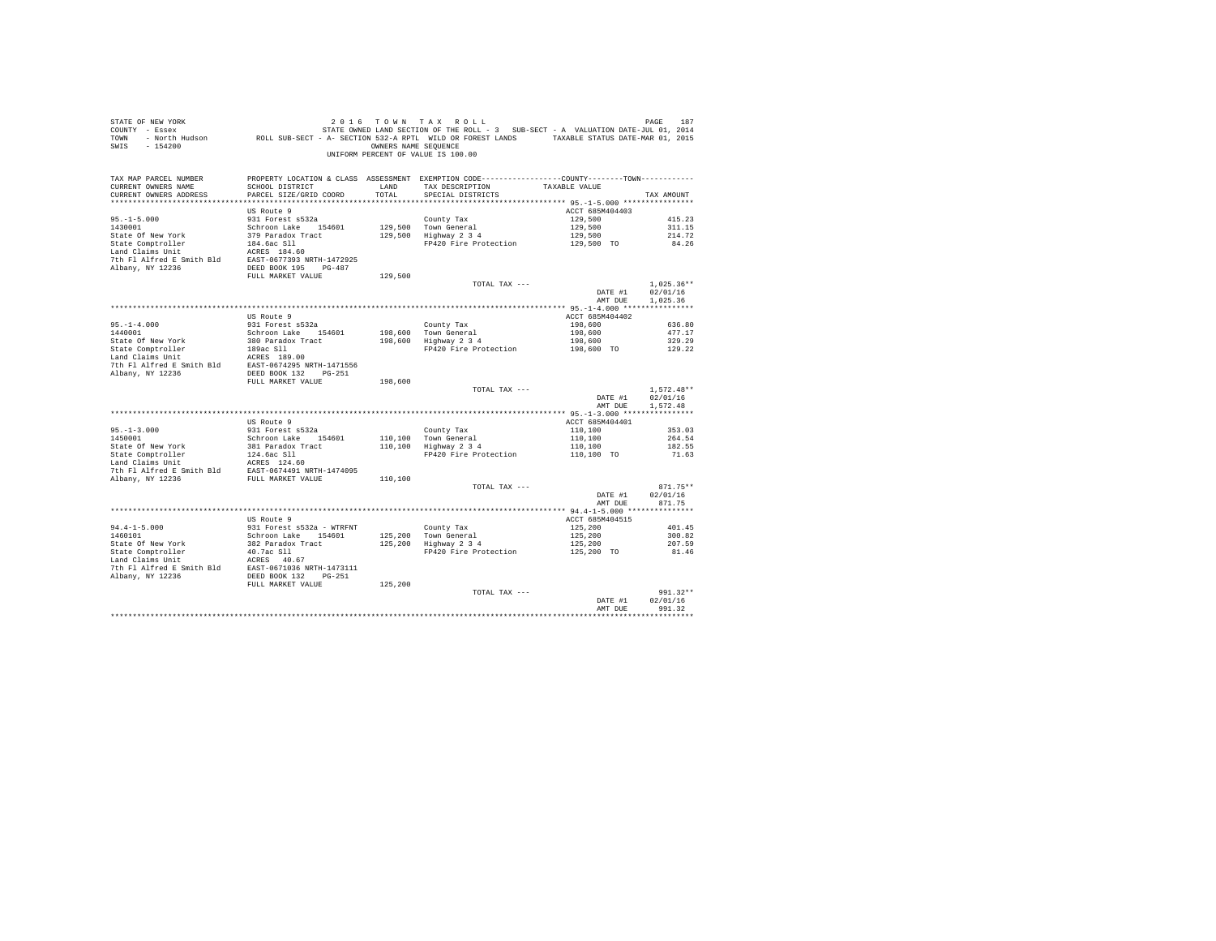| STATE OF NEW YORK<br>SIRE TO BE TO WE TO A TO A TOLL - 3 SUB-SECT - A VALUATION DATE-JUL 01, 2014<br>COUNTY - Essex Miles of STATE OWNED LAND SECTION OF THE ROLL - 3 SUB-SECT - A VALUATION DATE-JUL 01, 2014<br>TOWN - North Hudson<br>SWIS - 154200 |                                         |         | 2016 TOWN TAX ROLL<br>OWNERS NAME SEQUENCE<br>UNIFORM PERCENT OF VALUE IS 100.00                                |                            | PAGE<br>187        |
|--------------------------------------------------------------------------------------------------------------------------------------------------------------------------------------------------------------------------------------------------------|-----------------------------------------|---------|-----------------------------------------------------------------------------------------------------------------|----------------------------|--------------------|
| TAX MAP PARCEL NUMBER<br>CURRENT OWNERS NAME                                                                                                                                                                                                           | SCHOOL DISTRICT                         | LAND    | PROPERTY LOCATION & CLASS ASSESSMENT EXEMPTION CODE---------------COUNTY-------TOWN---------<br>TAX DESCRIPTION | TAXABLE VALUE              |                    |
| CURRENT OWNERS ADDRESS                                                                                                                                                                                                                                 | PARCEL SIZE/GRID COORD                  | TOTAL   | SPECIAL DISTRICTS                                                                                               |                            | TAX AMOUNT         |
|                                                                                                                                                                                                                                                        |                                         |         |                                                                                                                 |                            |                    |
|                                                                                                                                                                                                                                                        | US Route 9                              |         |                                                                                                                 | ACCT 685M404403            |                    |
| $95. -1 - 5.000$<br>1430001                                                                                                                                                                                                                            | 931 Forest s532a<br>Schroon Lake 154601 |         | County Tax                                                                                                      | 129,500<br>129,500         | 415.23<br>311.15   |
| State Of New York                                                                                                                                                                                                                                      | 379 Paradox Tract                       |         | 129,500 Town General<br>129,500 Highway 2 3 4                                                                   |                            | 214.72             |
| State Comptroller<br>Land Claims Unit 194.6ac S11<br>Land Claims United E Smith Bld<br>2016 P1 Alfred E Smith Bld<br>2021<br>20236 BEED BOOK 195<br>PG-487<br>20236 BEED BOOK 195<br>PG-487                                                            |                                         |         | Highway 2 3 4 129,500<br>FP420 Fire Protection 129,500 TO                                                       |                            | 84.26              |
|                                                                                                                                                                                                                                                        |                                         |         |                                                                                                                 |                            |                    |
|                                                                                                                                                                                                                                                        |                                         |         |                                                                                                                 |                            |                    |
|                                                                                                                                                                                                                                                        | FULL MARKET VALUE                       | 129,500 |                                                                                                                 |                            |                    |
|                                                                                                                                                                                                                                                        |                                         |         | TOTAL TAX ---                                                                                                   |                            | $1.025.36**$       |
|                                                                                                                                                                                                                                                        |                                         |         |                                                                                                                 | DATE #1                    | 02/01/16           |
|                                                                                                                                                                                                                                                        |                                         |         |                                                                                                                 | AMT DUE                    | 1,025.36           |
|                                                                                                                                                                                                                                                        |                                         |         |                                                                                                                 |                            |                    |
|                                                                                                                                                                                                                                                        | US Route 9<br>931 Forest s532a          |         |                                                                                                                 | ACCT 685M404402<br>198,600 | 636.80             |
| $95. -1 - 4.000$<br>1440001                                                                                                                                                                                                                            | Schroon Lake 154601                     |         |                                                                                                                 | 198,600                    | 477.17             |
|                                                                                                                                                                                                                                                        |                                         |         | County Tax<br>198,600 Town General<br>198,600 Highway 2 3 4                                                     | 198,600                    | 329.29             |
|                                                                                                                                                                                                                                                        |                                         |         | FP420 Fire Protection                                                                                           | 198,600 TO                 | 129.22             |
|                                                                                                                                                                                                                                                        |                                         |         |                                                                                                                 |                            |                    |
|                                                                                                                                                                                                                                                        |                                         |         |                                                                                                                 |                            |                    |
|                                                                                                                                                                                                                                                        | FULL MARKET VALUE                       | 198,600 |                                                                                                                 |                            |                    |
|                                                                                                                                                                                                                                                        |                                         |         | TOTAL TAX ---                                                                                                   |                            | $1,572.48**$       |
|                                                                                                                                                                                                                                                        |                                         |         |                                                                                                                 | DATE #1                    | 02/01/16           |
|                                                                                                                                                                                                                                                        |                                         |         |                                                                                                                 | AMT DUE                    | 1,572.48           |
|                                                                                                                                                                                                                                                        | US Route 9                              |         |                                                                                                                 | ACCT 685M404401            |                    |
| 95.-1-3.000<br>1450001                                                                                                                                                                                                                                 | 931 Forest s532a                        |         | County Tax                                                                                                      | 110,100                    | 353.03             |
|                                                                                                                                                                                                                                                        | Schroon Lake 154601                     |         | 110,100 Town General<br>110,100 Highway 2 3 4                                                                   | 110,100<br>110,100         | 264.54             |
|                                                                                                                                                                                                                                                        |                                         |         | FP420 Fire Protection 110,100 TO                                                                                |                            | 182.55             |
| State Of New York 781 paradox Tract<br>State Comptroller 124.6ac S11<br>Land Claims Unit 124.60                                                                                                                                                        |                                         |         |                                                                                                                 |                            | 71.63              |
| Land Claims only 1<br>The Fl Alfred E Smith Bld<br>The Fl Alfred E Smith Bld<br>FULL MARKET VALUE                                                                                                                                                      |                                         |         |                                                                                                                 |                            |                    |
|                                                                                                                                                                                                                                                        |                                         | 110,100 |                                                                                                                 |                            |                    |
|                                                                                                                                                                                                                                                        |                                         |         | TOTAL TAX ---                                                                                                   |                            | $871.75**$         |
|                                                                                                                                                                                                                                                        |                                         |         |                                                                                                                 | DATE #1                    | 02/01/16           |
|                                                                                                                                                                                                                                                        |                                         |         |                                                                                                                 | AMT DUE                    | 871.75             |
|                                                                                                                                                                                                                                                        | US Route 9                              |         |                                                                                                                 | ACCT 685M404515            |                    |
|                                                                                                                                                                                                                                                        | 931 Forest s532a - WTRFNT               |         |                                                                                                                 | 125,200                    | 401.45             |
| $94.4 - 1 - 5.000$<br>1460101                                                                                                                                                                                                                          | Schroon Lake 154601                     |         | County Tax<br>125,200 Town General<br>125,200 Highway 2 3 4                                                     | 125,200                    | 300.82             |
| State Of New York                                                                                                                                                                                                                                      | 382 Paradox Tract                       |         |                                                                                                                 | 125,200                    | 207.59             |
|                                                                                                                                                                                                                                                        |                                         |         | FP420 Fire Protection                                                                                           | 125,200 TO                 | 81.46              |
|                                                                                                                                                                                                                                                        |                                         |         |                                                                                                                 |                            |                    |
| State Comptroller and 1.7 ac S11 and Claims bnit and Claims bnit and the SCRS of the PR (2015) 7th F1 Alfred E Smith Bld (2015) DEED BOOK 132 . The CPS of the BCRD BOOK 132 . The CPS of the BCRD BOOK 122 . The CPS of the B                         |                                         |         |                                                                                                                 |                            |                    |
|                                                                                                                                                                                                                                                        | FULL MARKET VALUE                       | 125,200 |                                                                                                                 |                            |                    |
|                                                                                                                                                                                                                                                        |                                         |         | TOTAL TAX ---                                                                                                   |                            | $991.32**$         |
|                                                                                                                                                                                                                                                        |                                         |         |                                                                                                                 | DATE #1<br>AMT DUE         | 02/01/16<br>991.32 |
|                                                                                                                                                                                                                                                        |                                         |         |                                                                                                                 |                            |                    |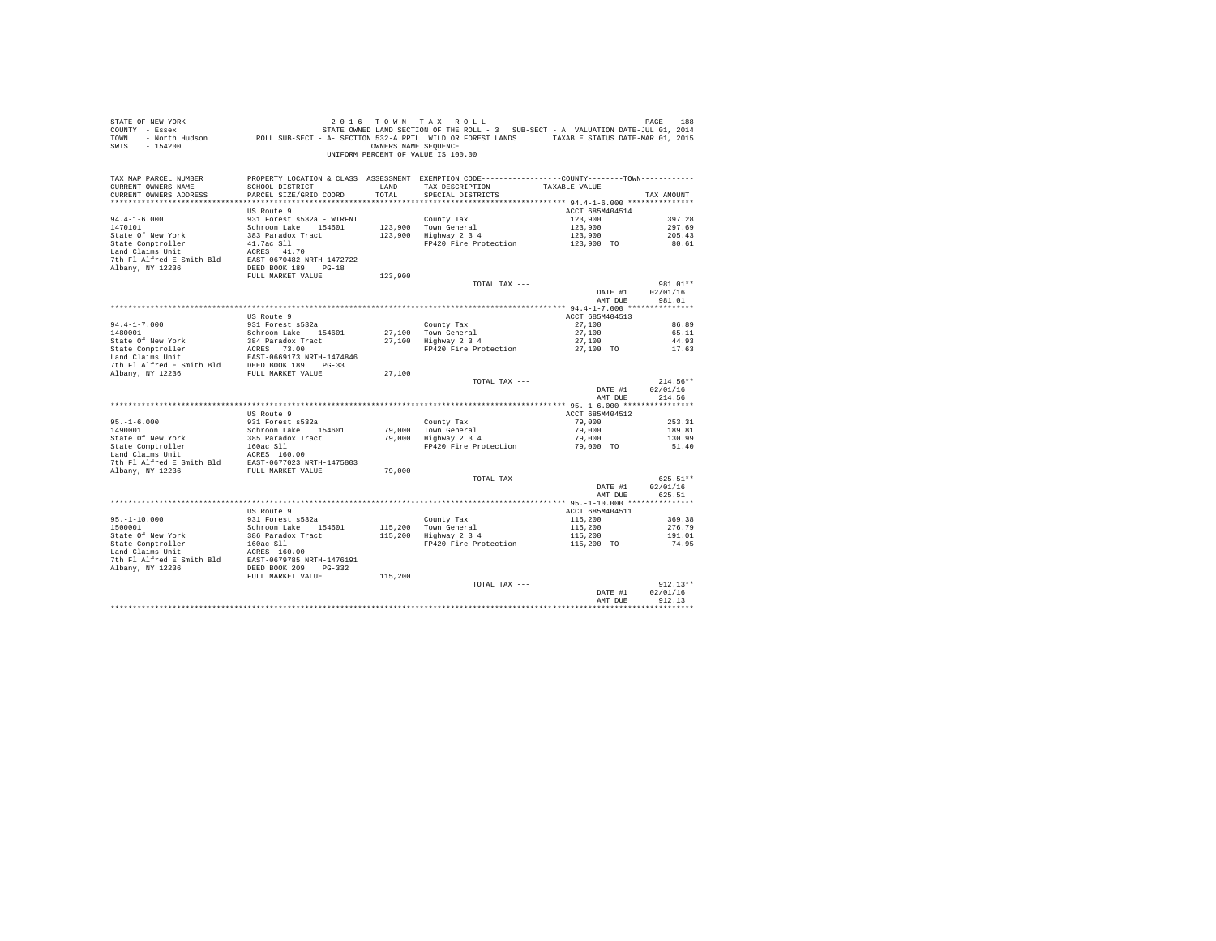| STATE OF NEW YORK<br>COUNTY - Essex<br><b>TOWN</b><br>$-154200$<br>SWIS | - North Hudson ROLL SUB-SECT - A- SECTION 532-A RPTL WILD OR FOREST LANDS TAXABLE STATUS DATE-MAR 01, 2015 | OWNERS NAME SEQUENCE | 2016 TOWN TAX ROLL<br>STATE OWNED LAND SECTION OF THE ROLL - 3 SUB-SECT - A VALUATION DATE-JUL 01, 2014<br>UNIFORM PERCENT OF VALUE IS 100.00 |                    | PAGE<br>188            |
|-------------------------------------------------------------------------|------------------------------------------------------------------------------------------------------------|----------------------|-----------------------------------------------------------------------------------------------------------------------------------------------|--------------------|------------------------|
| TAX MAP PARCEL NUMBER                                                   |                                                                                                            |                      | PROPERTY LOCATION & CLASS ASSESSMENT EXEMPTION CODE---------------COUNTY-------TOWN----------                                                 |                    |                        |
| CURRENT OWNERS NAME<br>CURRENT OWNERS ADDRESS                           | SCHOOL DISTRICT<br>PARCEL SIZE/GRID COORD                                                                  | LAND<br>TOTAL        | TAX DESCRIPTION<br>SPECIAL DISTRICTS                                                                                                          | TAXABLE VALUE      | TAX AMOUNT             |
|                                                                         |                                                                                                            |                      |                                                                                                                                               |                    |                        |
|                                                                         | US Route 9                                                                                                 |                      |                                                                                                                                               | ACCT 685M404514    |                        |
| $94.4 - 1 - 6.000$                                                      | 931 Forest s532a - WTRFNT                                                                                  |                      | County Tax                                                                                                                                    | 123,900            | 397.28                 |
| 1470101                                                                 | Schroon Lake 154601                                                                                        | 123,900              | Town General                                                                                                                                  | 123,900            | 297.69                 |
| State Of New York                                                       | 383 Paradox Tract                                                                                          | 123,900              | Highway 2 3 4                                                                                                                                 | 123,900            | 205.43                 |
| State Comptroller<br>Land Claims Unit                                   | 41.7ac Sll<br>ACRES 41.70                                                                                  |                      | FP420 Fire Protection                                                                                                                         | 123,900 TO         | 80.61                  |
| 7th Fl Alfred E Smith Bld                                               | EAST-0670482 NRTH-1472722                                                                                  |                      |                                                                                                                                               |                    |                        |
| Albany, NY 12236                                                        | DEED BOOK 189 PG-18                                                                                        |                      |                                                                                                                                               |                    |                        |
|                                                                         | FULL MARKET VALUE                                                                                          | 123,900              |                                                                                                                                               |                    |                        |
|                                                                         |                                                                                                            |                      | TOTAL TAX ---                                                                                                                                 |                    | 981.01**               |
|                                                                         |                                                                                                            |                      |                                                                                                                                               | DATE #1            | 02/01/16<br>981.01     |
|                                                                         |                                                                                                            |                      |                                                                                                                                               | AMT DUE            |                        |
|                                                                         | US Route 9                                                                                                 |                      |                                                                                                                                               | ACCT 685M404513    |                        |
| $94.4 - 1 - 7.000$                                                      | 931 Forest s532a                                                                                           |                      | County Tax                                                                                                                                    | 27,100             | 86.89                  |
| 1480001                                                                 | Schroon Lake 154601                                                                                        |                      | 27.100 Town General                                                                                                                           | 27,100             | 65.11                  |
| State Of New York                                                       | 384 Paradox Tract                                                                                          |                      | 27,100 Highway 2 3 4                                                                                                                          | 27,100             | 44.93                  |
| State Comptroller<br>Land Claims Unit                                   | ACRES 73.00                                                                                                |                      | FP420 Fire Protection                                                                                                                         | 27,100 TO          | 17.63                  |
| 7th Fl Alfred E Smith Bld DEED BOOK 189 PG-33                           | EAST-0669173 NRTH-1474846                                                                                  |                      |                                                                                                                                               |                    |                        |
| Albany, NY 12236                                                        | FULL MARKET VALUE                                                                                          | 27,100               |                                                                                                                                               |                    |                        |
|                                                                         |                                                                                                            |                      | TOTAL TAX ---                                                                                                                                 |                    | $214.56**$             |
|                                                                         |                                                                                                            |                      |                                                                                                                                               | DATE #1<br>AMT DUE | 02/01/16<br>214.56     |
|                                                                         |                                                                                                            |                      |                                                                                                                                               |                    |                        |
|                                                                         | US Route 9                                                                                                 |                      |                                                                                                                                               | ACCT 685M404512    |                        |
| $95. - 1 - 6.000$<br>1490001                                            | 931 Forest s532a<br>Schroon Lake 154601                                                                    |                      | County Tax<br>79,000 Town General                                                                                                             | 79,000<br>79,000   | 253.31<br>189.81       |
| State Of New York                                                       | 385 Paradox Tract                                                                                          | 79,000               | Highway 2 3 4                                                                                                                                 | 79,000             | 130.99                 |
| State Comptroller                                                       | 160ac Sll                                                                                                  |                      | FP420 Fire Protection                                                                                                                         | 79,000 TO          | 51.40                  |
| Land Claims Unit                                                        | ACRES 160.00                                                                                               |                      |                                                                                                                                               |                    |                        |
| 7th Fl Alfred E Smith Bld                                               | EAST-0677023 NRTH-1475803                                                                                  |                      |                                                                                                                                               |                    |                        |
| Albany, NY 12236                                                        | FULL MARKET VALUE                                                                                          | 79,000               | TOTAL TAX ---                                                                                                                                 |                    | 625.51**               |
|                                                                         |                                                                                                            |                      |                                                                                                                                               | DATE #1            | 02/01/16               |
|                                                                         |                                                                                                            |                      |                                                                                                                                               | AMT DUE            | 625.51                 |
|                                                                         |                                                                                                            |                      |                                                                                                                                               |                    |                        |
|                                                                         | US Route 9                                                                                                 |                      |                                                                                                                                               | ACCT 685M404511    |                        |
| $95. - 1 - 10.000$                                                      | 931 Forest s532a                                                                                           |                      | County Tax                                                                                                                                    | 115,200            | 369.38                 |
| 1500001<br>State Of New York                                            | Schroon Lake 154601<br>386 Paradox Tract                                                                   | 115,200<br>115,200   | Town General<br>Highway 2 3 4                                                                                                                 | 115,200<br>115,200 | 276.79<br>191.01       |
| State Comptroller                                                       | 160ac Sll                                                                                                  |                      | FP420 Fire Protection                                                                                                                         | 115,200 TO         | 74.95                  |
| Land Claims Unit                                                        | ACRES 160.00                                                                                               |                      |                                                                                                                                               |                    |                        |
| 7th Fl Alfred E Smith Bld                                               | EAST-0679785 NRTH-1476191                                                                                  |                      |                                                                                                                                               |                    |                        |
| Albany, NY 12236                                                        | DEED BOOK 209 PG-332                                                                                       |                      |                                                                                                                                               |                    |                        |
|                                                                         | FULL MARKET VALUE                                                                                          | 115,200              |                                                                                                                                               |                    |                        |
|                                                                         |                                                                                                            |                      | TOTAL TAX ---                                                                                                                                 | DATE #1            | $912.13**$<br>02/01/16 |
|                                                                         |                                                                                                            |                      |                                                                                                                                               | AMT DUE            | 912.13                 |
|                                                                         |                                                                                                            |                      |                                                                                                                                               |                    | **********             |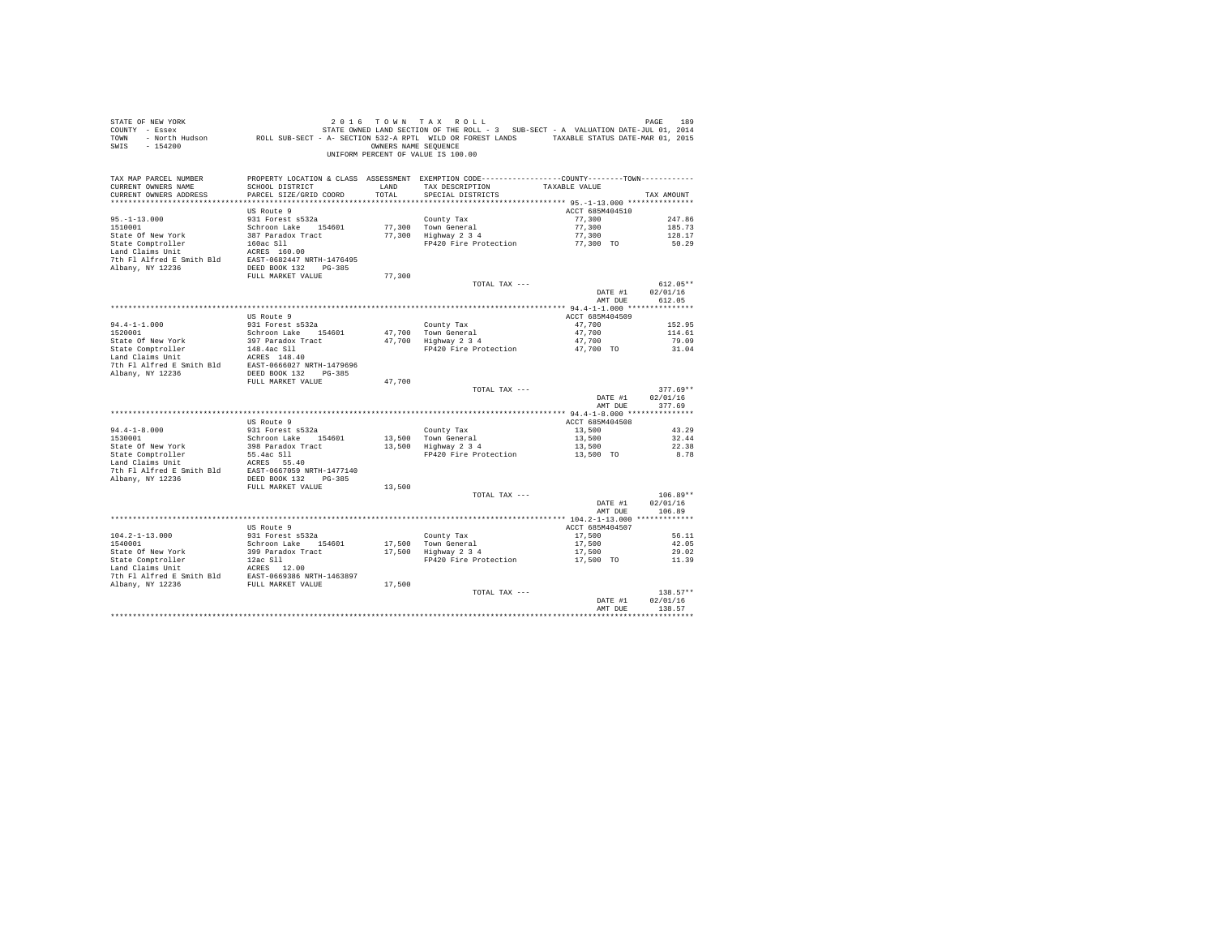| STATE OF NEW YORK<br>USE INS TOUR PASS AND LAND SECTION OF THE ROLL - 3 SUB-SECT - A VALUATION DATE-JUL 01, 2014<br>2014 COUNTY - Essex Month Hotel SUB-SECT - A- SECTION 532-A RPTL WILD OR FOREST LANDS TAXABLE STATUS DATE-MAR<br>2015 TOWN - North Hu<br>SWIS - 154200 |                                                |               | 2016 TOWN TAX ROLL<br>OWNERS NAME SEOUENCE<br>UNIFORM PERCENT OF VALUE IS 100.00             |                                 | PAGE<br>189            |
|----------------------------------------------------------------------------------------------------------------------------------------------------------------------------------------------------------------------------------------------------------------------------|------------------------------------------------|---------------|----------------------------------------------------------------------------------------------|---------------------------------|------------------------|
| TAX MAP PARCEL NUMBER                                                                                                                                                                                                                                                      |                                                |               | PROPERTY LOCATION & CLASS ASSESSMENT EXEMPTION CODE---------------COUNTY-------TOWN--------- |                                 |                        |
| CURRENT OWNERS NAME<br>CURRENT OWNERS ADDRESS                                                                                                                                                                                                                              | SCHOOL DISTRICT<br>PARCEL SIZE/GRID COORD      | LAND<br>TOTAL | TAX DESCRIPTION<br>SPECIAL DISTRICTS                                                         | TAXABLE VALUE                   | TAX AMOUNT             |
| *************************                                                                                                                                                                                                                                                  |                                                |               |                                                                                              |                                 |                        |
|                                                                                                                                                                                                                                                                            | US Route 9                                     |               |                                                                                              | ACCT 685M404510                 |                        |
| $95. - 1 - 13.000$                                                                                                                                                                                                                                                         | 931 Forest s532a                               |               | County Tax                                                                                   | 77,300                          | 247.86                 |
| 1510001                                                                                                                                                                                                                                                                    | Schroon Lake 154601                            |               | 77,300 Town General<br>77,300   Town General<br>77,300   Highway 2 3 4                       | 77,300                          | 185.73                 |
|                                                                                                                                                                                                                                                                            |                                                |               | FP420 Fire Protection 77,300 TO                                                              | 77,300                          | 128.17<br>50.29        |
|                                                                                                                                                                                                                                                                            |                                                |               |                                                                                              |                                 |                        |
|                                                                                                                                                                                                                                                                            |                                                |               |                                                                                              |                                 |                        |
|                                                                                                                                                                                                                                                                            |                                                |               |                                                                                              |                                 |                        |
|                                                                                                                                                                                                                                                                            | FULL MARKET VALUE                              | 77,300        |                                                                                              |                                 |                        |
|                                                                                                                                                                                                                                                                            |                                                |               | TOTAL TAX ---                                                                                | DATE #1                         | $612.05**$<br>02/01/16 |
|                                                                                                                                                                                                                                                                            |                                                |               |                                                                                              | AMT DUE                         | 612.05                 |
|                                                                                                                                                                                                                                                                            |                                                |               |                                                                                              |                                 |                        |
|                                                                                                                                                                                                                                                                            | US Route 9                                     |               |                                                                                              | ACCT 685M404509                 |                        |
| $94.4 - 1 - 1.000$<br>1520001                                                                                                                                                                                                                                              | 931 Forest s532a                               |               |                                                                                              | 47,700                          | 152.95                 |
| State Of New York                                                                                                                                                                                                                                                          | Schroon Lake 154601<br>397 Paradox Tract       |               | County Tax<br>47,700 Town General<br>47,700 Highway 2 3 4                                    | 47,700<br>47,700                | 114.61<br>79.09        |
|                                                                                                                                                                                                                                                                            |                                                |               | FP420 Fire Protection                                                                        | 47,700 TO                       | 31.04                  |
|                                                                                                                                                                                                                                                                            |                                                |               |                                                                                              |                                 |                        |
| State Comptroller 148.4ac S11<br>Land Claims Unit 148.4ac S11<br>Land Claims Unit 1478696<br>7th F1 Alfred E Smith Bld EAST-0666027 NRTH-1479696<br>Albany, NY 12236                                                                                                       |                                                |               |                                                                                              |                                 |                        |
|                                                                                                                                                                                                                                                                            |                                                |               |                                                                                              |                                 |                        |
|                                                                                                                                                                                                                                                                            | FULL MARKET VALUE                              | 47,700        | TOTAL TAX ---                                                                                |                                 | $377.69**$             |
|                                                                                                                                                                                                                                                                            |                                                |               |                                                                                              | DATE #1<br>AMT DUE              | 02/01/16<br>377.69     |
|                                                                                                                                                                                                                                                                            |                                                |               |                                                                                              |                                 |                        |
|                                                                                                                                                                                                                                                                            | US Route 9                                     |               |                                                                                              | ACCT 685M404508                 |                        |
| $94.4 - 1 - 8.000$                                                                                                                                                                                                                                                         | 931 Forest s532a                               |               | County Tax                                                                                   | 13,500                          | 43.29                  |
| 1530001                                                                                                                                                                                                                                                                    | Schroon Lake 154601                            |               | 13,500 Town General<br>13,500 Highway 2 3 4                                                  | $\frac{13}{13},\frac{500}{150}$ | 32.44<br>22.38         |
|                                                                                                                                                                                                                                                                            | 398 Paradox Tract<br>55.4ac Sll<br>ACRES 55.40 |               | FP420 Fire Protection 13,500 TO                                                              | 13,500                          | 8.78                   |
| State Of New York<br>State Comptroller<br>Land Claims Unit                                                                                                                                                                                                                 | ACRES 55.40                                    |               |                                                                                              |                                 |                        |
| 7th Fl Alfred E Smith Bld EAST-0667059 NRTH-1477140                                                                                                                                                                                                                        |                                                |               |                                                                                              |                                 |                        |
| Albany, NY 12236                                                                                                                                                                                                                                                           | DEED BOOK 132 PG-385                           |               |                                                                                              |                                 |                        |
|                                                                                                                                                                                                                                                                            | FULL MARKET VALUE                              | 13,500        | TOTAL TAX ---                                                                                |                                 | $106.89**$             |
|                                                                                                                                                                                                                                                                            |                                                |               |                                                                                              | DATE #1                         | 02/01/16               |
|                                                                                                                                                                                                                                                                            |                                                |               |                                                                                              | AMT DUE                         | 106.89                 |
|                                                                                                                                                                                                                                                                            |                                                |               |                                                                                              |                                 |                        |
|                                                                                                                                                                                                                                                                            | US Route 9                                     |               |                                                                                              | ACCT 685M404507                 |                        |
| $104.2 - 1 - 13.000$<br>1540001                                                                                                                                                                                                                                            | 931 Forest s532a                               |               |                                                                                              | 17,500<br>17,500                | 56.11<br>42.05         |
|                                                                                                                                                                                                                                                                            | Schroon Lake 154601                            |               | County Tax<br>17,500 Town General<br>17,500 Highway 2 3 4                                    | 17,500                          | 29.02                  |
| State Of New York 399 Paradox Tract<br>State Comptroller 12ac S11<br>Land Claims Unit 12ac 12.00                                                                                                                                                                           |                                                |               | FP420 Fire Protection                                                                        | 17,500 TO                       | 11.39                  |
|                                                                                                                                                                                                                                                                            |                                                |               |                                                                                              |                                 |                        |
| 7th Fl Alfred E Smith Bld EAST-0669386 NRTH-1463897<br>Albany, NY 12236 FULL MARKET VALUE                                                                                                                                                                                  |                                                |               |                                                                                              |                                 |                        |
|                                                                                                                                                                                                                                                                            |                                                | 17,500        | TOTAL TAX ---                                                                                |                                 | $138.57**$             |
|                                                                                                                                                                                                                                                                            |                                                |               |                                                                                              | DATE #1                         | 02/01/16               |
|                                                                                                                                                                                                                                                                            |                                                |               |                                                                                              | AMT DUE                         | 138.57                 |
|                                                                                                                                                                                                                                                                            |                                                |               |                                                                                              |                                 |                        |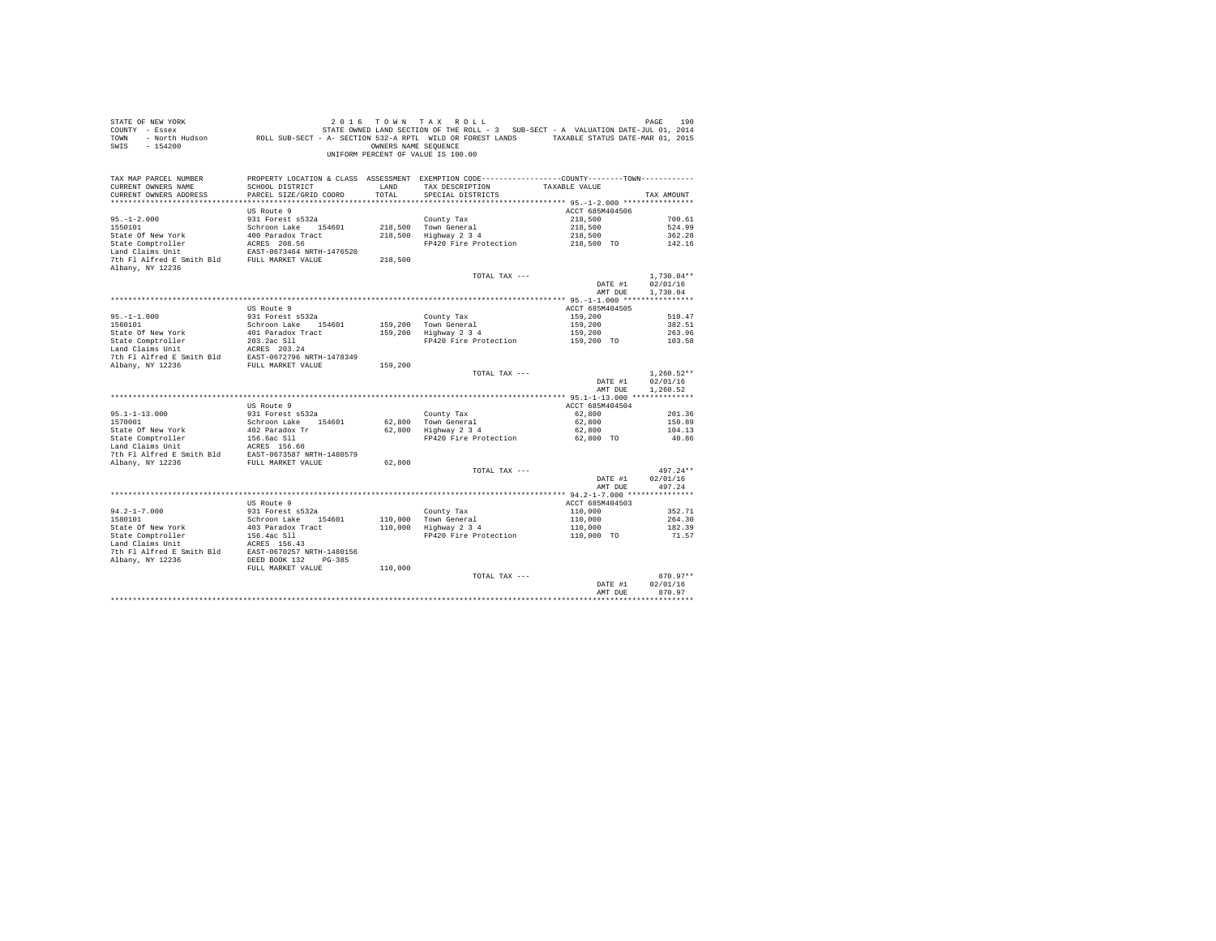| COUNTY - Essex            |                                                                                                                 |                      | STATE OWNED LAND SECTION OF THE ROLL - 3 SUB-SECT - A VALUATION DATE-JUL 01, 2014               |                 |              |
|---------------------------|-----------------------------------------------------------------------------------------------------------------|----------------------|-------------------------------------------------------------------------------------------------|-----------------|--------------|
| TOWN                      | - North Hudson Mark ROLL SUB-SECT - A- SECTION 532-A RPTL WILD OR FOREST LANDS TAXABLE STATUS DATE-MAR 01, 2015 |                      |                                                                                                 |                 |              |
| $-154200$<br>SWTS         |                                                                                                                 | OWNERS NAME SEQUENCE |                                                                                                 |                 |              |
|                           |                                                                                                                 |                      | UNIFORM PERCENT OF VALUE IS 100.00                                                              |                 |              |
|                           |                                                                                                                 |                      |                                                                                                 |                 |              |
|                           |                                                                                                                 |                      |                                                                                                 |                 |              |
| TAX MAP PARCEL NUMBER     |                                                                                                                 |                      | PROPERTY LOCATION & CLASS ASSESSMENT EXEMPTION CODE----------------COUNTY--------TOWN---------- |                 |              |
| CURRENT OWNERS NAME       | SCHOOL DISTRICT                                                                                                 | LAND                 | TAX DESCRIPTION                                                                                 | TAXABLE VALUE   |              |
| CURRENT OWNERS ADDRESS    | PARCEL SIZE/GRID COORD                                                                                          | TOTAL                | SPECIAL DISTRICTS                                                                               |                 | TAX AMOUNT   |
|                           |                                                                                                                 |                      |                                                                                                 |                 |              |
|                           |                                                                                                                 |                      |                                                                                                 |                 |              |
|                           | US Route 9                                                                                                      |                      |                                                                                                 | ACCT 685M404506 |              |
| $95. - 1 - 2.000$         | 931 Forest s532a                                                                                                |                      | County Tax                                                                                      | 218,500         | 700.61       |
| 1550101                   | Schroon Lake 154601                                                                                             |                      | 218,500 Town General                                                                            | 218,500         | 524.99       |
| State Of New York         | 400 Paradox Tract                                                                                               |                      | 218,500 Highway 2 3 4                                                                           | 218,500         | 362.28       |
| State Comptroller         | ACRES 208.56                                                                                                    |                      | FP420 Fire Protection                                                                           | 218,500 TO      | 142.16       |
| Land Claims Unit          | EAST-0673464 NRTH-1476520                                                                                       |                      |                                                                                                 |                 |              |
| 7th Fl Alfred E Smith Bld | FULL MARKET VALUE                                                                                               | 218,500              |                                                                                                 |                 |              |
| Albany, NY 12236          |                                                                                                                 |                      |                                                                                                 |                 |              |
|                           |                                                                                                                 |                      | TOTAL TAX ---                                                                                   |                 | $1.730.04**$ |
|                           |                                                                                                                 |                      |                                                                                                 | DATE #1         | 02/01/16     |
|                           |                                                                                                                 |                      |                                                                                                 | AMT DUE         | 1,730.04     |
|                           |                                                                                                                 |                      |                                                                                                 |                 |              |
|                           |                                                                                                                 |                      |                                                                                                 |                 |              |
|                           | US Route 9                                                                                                      |                      |                                                                                                 | ACCT 685M404505 |              |
| $95. - 1 - 1.000$         | 931 Forest s532a                                                                                                |                      | County Tax                                                                                      | 159,200         | 510.47       |
| 1560101                   | Schroon Lake 154601                                                                                             |                      | 159,200 Town General                                                                            | 159,200         | 382.51       |
| State Of New York         | 401 Paradox Tract                                                                                               |                      | 159,200 Highway 2 3 4                                                                           | 159,200         | 263.96       |
| State Comptroller         | 203.2ac S11                                                                                                     |                      | FP420 Fire Protection                                                                           | 159,200 TO      | 103.58       |
| Land Claims Unit          | ACRES 203.24                                                                                                    |                      |                                                                                                 |                 |              |
| 7th Fl Alfred E Smith Bld |                                                                                                                 |                      |                                                                                                 |                 |              |
| Albany, NY 12236          | EAST-0672796 NRTH-1478349<br>FULL MARKET VALUE                                                                  | 159,200              |                                                                                                 |                 |              |
|                           |                                                                                                                 |                      | TOTAL TAX ---                                                                                   |                 | $1,260.52**$ |
|                           |                                                                                                                 |                      |                                                                                                 | DATE #1         | 02/01/16     |
|                           |                                                                                                                 |                      |                                                                                                 | AMT DUE         | 1.260.52     |
|                           |                                                                                                                 |                      |                                                                                                 |                 |              |
|                           | US Route 9                                                                                                      |                      |                                                                                                 | ACCT 685M404504 |              |
| $95.1 - 1 - 13.000$       | 931 Forest s532a                                                                                                |                      |                                                                                                 | 62,800          |              |
|                           |                                                                                                                 |                      | County Tax                                                                                      |                 | 201.36       |
| 1570001                   | Schroon Lake 154601                                                                                             | 62,800               | Town General                                                                                    | 62,800          | 150.89       |
| State Of New York         | 402 Paradox Tr                                                                                                  | 62,800               | Highway 2 3 4                                                                                   | 62,800          | 104.13       |
| State Comptroller         | 156.6ac Sll                                                                                                     |                      | FP420 Fire Protection                                                                           | 62.800 TO       | 40.86        |
| Land Claims Unit          | ACRES 156.60                                                                                                    |                      |                                                                                                 |                 |              |
| 7th Fl Alfred E Smith Bld | EAST-0673587 NRTH-1480579                                                                                       |                      |                                                                                                 |                 |              |
| Albany, NY 12236          | FULL MARKET VALUE                                                                                               | 62,800               |                                                                                                 |                 |              |
|                           |                                                                                                                 |                      | TOTAL TAX ---                                                                                   |                 | $497.24**$   |
|                           |                                                                                                                 |                      |                                                                                                 | DATE #1         | 02/01/16     |
|                           |                                                                                                                 |                      |                                                                                                 | AMT DUE         | 497.24       |
|                           |                                                                                                                 |                      |                                                                                                 |                 |              |
|                           | US Route 9                                                                                                      |                      |                                                                                                 | ACCT 685M404503 |              |
|                           |                                                                                                                 |                      |                                                                                                 |                 |              |
| $94.2 - 1 - 7.000$        | 931 Forest s532a                                                                                                |                      | County Tax<br>110,000 Town General<br>110,000 Highway 2 3 4                                     | 110,000         | 352.71       |
| 1580101                   | Schroon Lake 154601                                                                                             |                      |                                                                                                 | 110,000         | 264.30       |
| State Of New York         | 403 Paradox Tract                                                                                               |                      |                                                                                                 | 110,000         | 182.39       |
| State Comptroller         | 156.4ac Sll                                                                                                     |                      | FP420 Fire Protection                                                                           | 110,000 TO      | 71.57        |
| Land Claims Unit          | ACRES 156.43                                                                                                    |                      |                                                                                                 |                 |              |
| 7th Fl Alfred E Smith Bld | EAST-0670257 NRTH-1480156                                                                                       |                      |                                                                                                 |                 |              |
| Albany, NY 12236          | DEED BOOK 132<br>$PG-385$                                                                                       |                      |                                                                                                 |                 |              |
|                           | FULL MARKET VALUE                                                                                               | 110,000              |                                                                                                 |                 |              |
|                           |                                                                                                                 |                      | TOTAL TAX ---                                                                                   |                 | $870.97**$   |
|                           |                                                                                                                 |                      |                                                                                                 | DATE #1         | 02/01/16     |
|                           |                                                                                                                 |                      |                                                                                                 | AMT DUE         | 870.97       |
|                           |                                                                                                                 |                      |                                                                                                 |                 |              |
|                           |                                                                                                                 |                      |                                                                                                 |                 |              |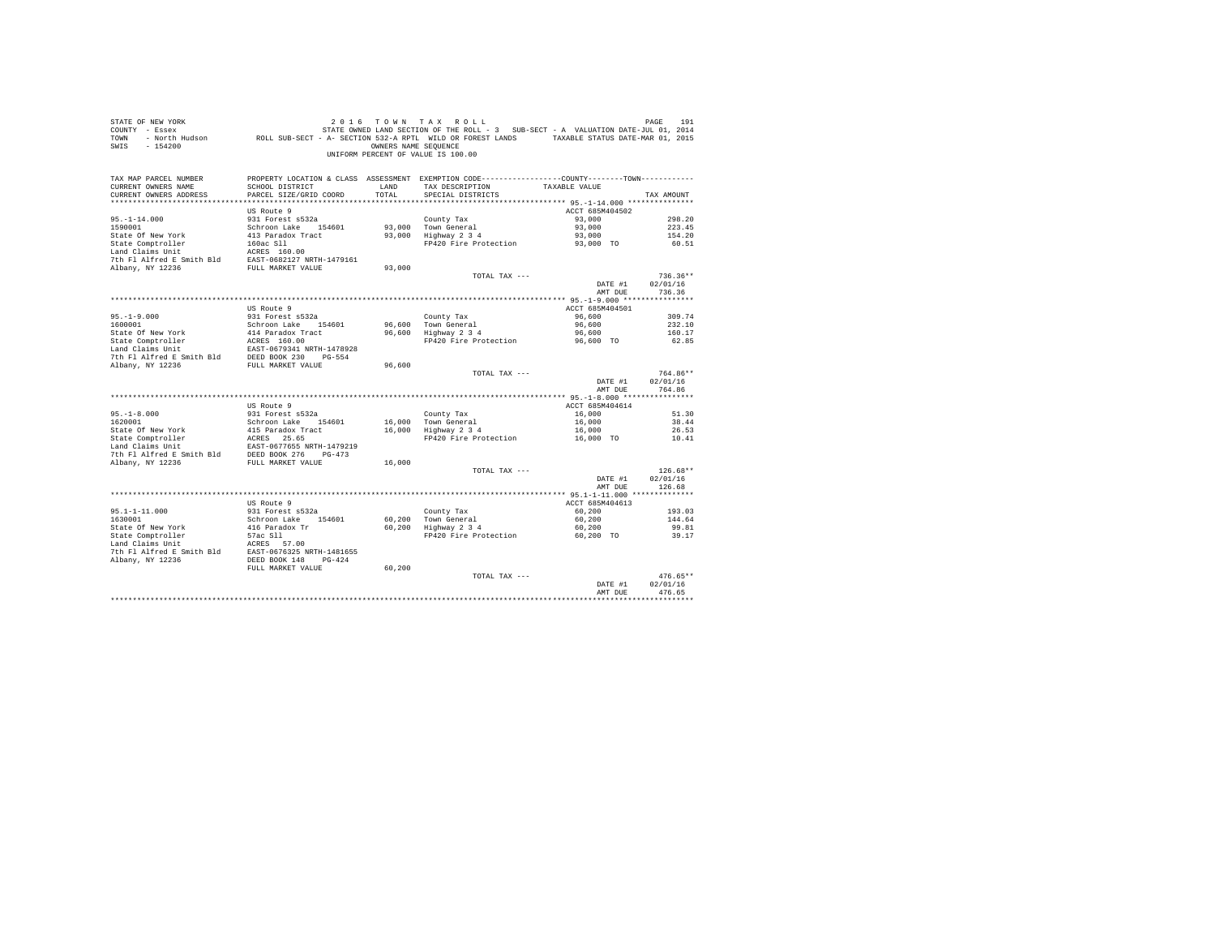| STATE OF NEW YORK<br>COUNTY - Essex<br>TOWN<br>SWIS - 154200                                                                                                                                                  |                                            | OWNERS NAME SEQUENCE | 2016 TOWN TAX ROLL<br>STATE OWNED LAND SECTION OF THE ROLL - 3 SUB-SECT - A VALUATION DATE-JUL 01, 2014<br>UNIFORM PERCENT OF VALUE IS 100.00 |                    | PAGE<br>191            |
|---------------------------------------------------------------------------------------------------------------------------------------------------------------------------------------------------------------|--------------------------------------------|----------------------|-----------------------------------------------------------------------------------------------------------------------------------------------|--------------------|------------------------|
| TAX MAP PARCEL NUMBER                                                                                                                                                                                         |                                            |                      | PROPERTY LOCATION & CLASS ASSESSMENT EXEMPTION CODE---------------COUNTY-------TOWN----------                                                 |                    |                        |
| CURRENT OWNERS NAME                                                                                                                                                                                           | SCHOOL DISTRICT                            | LAND                 | TAX DESCRIPTION                                                                                                                               | TAXABLE VALUE      |                        |
| CURRENT OWNERS ADDRESS                                                                                                                                                                                        | PARCEL SIZE/GRID COORD                     | TOTAL                | SPECIAL DISTRICTS                                                                                                                             |                    | TAX AMOUNT             |
|                                                                                                                                                                                                               | US Route 9                                 |                      |                                                                                                                                               | ACCT 685M404502    |                        |
| $95. - 1 - 14.000$                                                                                                                                                                                            | 931 Forest s532a                           |                      | County Tax                                                                                                                                    | 93,000             | 298.20                 |
| 1590001                                                                                                                                                                                                       | Schroon Lake 154601                        |                      |                                                                                                                                               | 93,000             | 223.45                 |
| State Of New York                                                                                                                                                                                             | 413 Paradox Tract                          |                      | 93,000 Town General<br>93,000 Highway 2 3 4                                                                                                   | 93,000             | 154.20                 |
| State Comptroller                                                                                                                                                                                             | 160ac Sll                                  |                      | FP420 Fire Protection                                                                                                                         | 93,000 TO          | 60.51                  |
| Land Claims Unit                                                                                                                                                                                              | 160ac S11<br>ACRES 160.00                  |                      |                                                                                                                                               |                    |                        |
| 7th Fl Alfred E Smith Bld                                                                                                                                                                                     | EAST-0682127 NRTH-1479161                  |                      |                                                                                                                                               |                    |                        |
| Albany, NY 12236                                                                                                                                                                                              | FULL MARKET VALUE                          | 93,000               |                                                                                                                                               |                    |                        |
|                                                                                                                                                                                                               |                                            |                      | TOTAL TAX ---                                                                                                                                 |                    | $736.36**$<br>02/01/16 |
|                                                                                                                                                                                                               |                                            |                      |                                                                                                                                               | DATE #1<br>AMT DUE | 736.36                 |
|                                                                                                                                                                                                               |                                            |                      |                                                                                                                                               |                    |                        |
|                                                                                                                                                                                                               | US Route 9                                 |                      |                                                                                                                                               | ACCT 685M404501    |                        |
|                                                                                                                                                                                                               | 931 Forest s532a                           |                      | County Tax                                                                                                                                    | 96,600             | 309.74                 |
| $95. -1 - 9.000$<br>1600001                                                                                                                                                                                   | Schroon Lake 154601                        | 96,600               | Town General                                                                                                                                  | 96,600             | 232.10                 |
| State Of New York                                                                                                                                                                                             | 414 Paradox Tract                          |                      | 96,600 Highway 2 3 4                                                                                                                          | 96,600             | 160.17                 |
|                                                                                                                                                                                                               |                                            |                      | FP420 Fire Protection                                                                                                                         | 96,600 TO          | 62.85                  |
|                                                                                                                                                                                                               |                                            |                      |                                                                                                                                               |                    |                        |
| State Comptroller<br>Land Claims Unit<br>2007-0679341 NRTH-1478928<br>2007-230 PC-554<br>2008-230 PED BOOK<br>2011 NAPPT VALUE SONG 2007-230<br>2007-231 PC-554<br>Albany, NY 12236                           | FULL MARKET VALUE                          | 96,600               |                                                                                                                                               |                    |                        |
|                                                                                                                                                                                                               |                                            |                      | TOTAL TAX ---                                                                                                                                 |                    | 764.86**               |
|                                                                                                                                                                                                               |                                            |                      |                                                                                                                                               | DATE #1            | 02/01/16               |
|                                                                                                                                                                                                               |                                            |                      |                                                                                                                                               | AMT DUE            | 764.86                 |
|                                                                                                                                                                                                               |                                            |                      |                                                                                                                                               |                    |                        |
|                                                                                                                                                                                                               | US Route 9                                 |                      |                                                                                                                                               | ACCT 685M404614    |                        |
| $95. - 1 - 8.000$                                                                                                                                                                                             | 931 Forest s532a                           |                      | County Tax                                                                                                                                    | 16,000             | 51.30                  |
| 1620001<br>State Of New York                                                                                                                                                                                  | Schroon Lake 154601<br>415 Paradox Tract   |                      | 16,000 Town General<br>16,000 Highway 2 3 4                                                                                                   | 16,000<br>16,000   | 38.44<br>26.53         |
|                                                                                                                                                                                                               |                                            |                      | FP420 Fire Protection                                                                                                                         | 16,000 TO          | 10.41                  |
|                                                                                                                                                                                                               |                                            |                      |                                                                                                                                               |                    |                        |
|                                                                                                                                                                                                               |                                            |                      |                                                                                                                                               |                    |                        |
| State Comptroller Packs 25.65<br>Land Claims Unit<br>Land Claims Unit<br>2000 2000 2000 2014<br>2015 2014 2014 2015 2016 2017<br>2016 2014 2136<br>2014 2015 2017 20236<br>2016 2017 20236<br>2016 2017 20236 |                                            | 16,000               |                                                                                                                                               |                    |                        |
|                                                                                                                                                                                                               |                                            |                      | TOTAL TAX ---                                                                                                                                 |                    | $126.68**$             |
|                                                                                                                                                                                                               |                                            |                      |                                                                                                                                               | DATE #1            | 02/01/16               |
|                                                                                                                                                                                                               |                                            |                      |                                                                                                                                               | AMT DUE            | 126.68                 |
|                                                                                                                                                                                                               | US Route 9                                 |                      |                                                                                                                                               | ACCT 685M404613    |                        |
| $95.1 - 1 - 11.000$                                                                                                                                                                                           | 931 Forest s532a                           |                      | County Tax                                                                                                                                    | 60,200             | 193.03                 |
| 1630001                                                                                                                                                                                                       | Schroon Lake 154601                        |                      |                                                                                                                                               | 60,200             | 144.64                 |
| State Of New York                                                                                                                                                                                             |                                            |                      | 60,200 Town General<br>60,200 Highway 2 3 4                                                                                                   | 60,200             | 99.81                  |
| State Comptroller                                                                                                                                                                                             | 416 Paradox Tr<br>57ac Sll<br>1753 - 58.00 |                      | FP420 Fire Protection                                                                                                                         | 60,200 TO          | 39.17                  |
|                                                                                                                                                                                                               |                                            |                      |                                                                                                                                               |                    |                        |
| Land Claims Unit<br>$\frac{1}{2}$ ACRES 57.00<br>Nham: $\frac{1}{2}$ ACRES 57-0676325 NRTH-1481655<br>Nham: $\frac{1}{2}$ ACRES                                                                               |                                            |                      |                                                                                                                                               |                    |                        |
| Albany, NY 12236                                                                                                                                                                                              | DEED BOOK 148 PG-424                       |                      |                                                                                                                                               |                    |                        |
|                                                                                                                                                                                                               | FULL MARKET VALUE                          | 60,200               |                                                                                                                                               |                    | $476.65**$             |
|                                                                                                                                                                                                               |                                            |                      | TOTAL TAX ---                                                                                                                                 | DATE #1            | 02/01/16               |
|                                                                                                                                                                                                               |                                            |                      |                                                                                                                                               | AMT DUE            | 476.65                 |
|                                                                                                                                                                                                               |                                            |                      |                                                                                                                                               |                    |                        |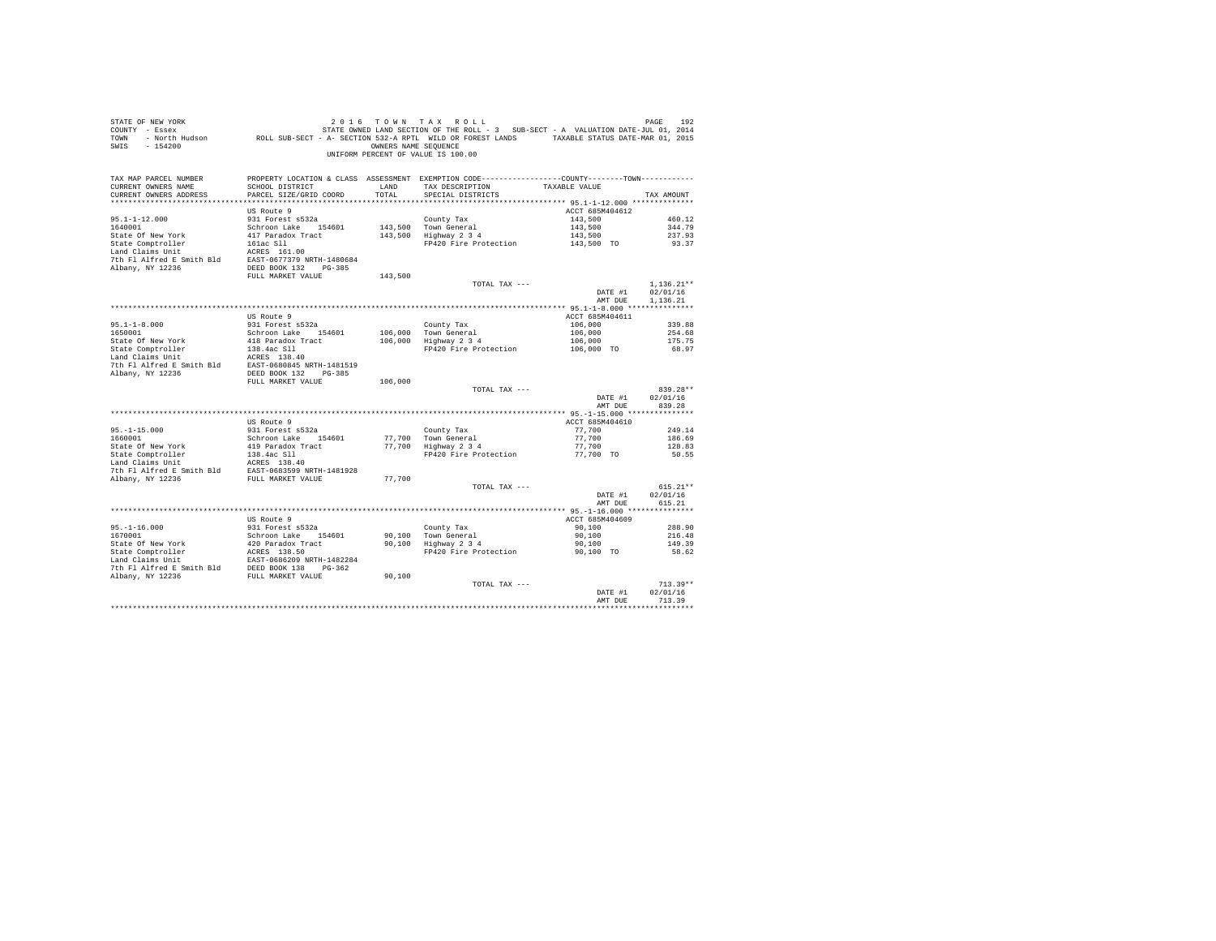| $\begin{array}{ccccccccc} \texttt{STATE OF NEW WORK} & & & 2\ 0\ 1\ 6\ &\texttt{TOW} \ &\texttt{A X} & \texttt{ROL L} & & & & & & \texttt{PAGE} & & & & \texttt{192} \\ \texttt{COUNT} & - \texttt{Eosex} & & & & & & & \texttt{STATE not OF THE ROL D.} & & & & & & & \texttt{192} \\ \texttt{COUNT} & - \texttt{ROTAL} & & & & & & & & \texttt{STATE not OF THE ROL D.} & & & & & & \texttt{103} \\ \texttt{TOMN} & - \texttt{North} & & & & & & & \texttt{104$<br>SWIS - 154200 |                                           |               | OWNERS NAME SEOUENCE<br>UNIFORM PERCENT OF VALUE IS 100.00                                                                           |                                  |                        |
|------------------------------------------------------------------------------------------------------------------------------------------------------------------------------------------------------------------------------------------------------------------------------------------------------------------------------------------------------------------------------------------------------------------------------------------------------------------------------------|-------------------------------------------|---------------|--------------------------------------------------------------------------------------------------------------------------------------|----------------------------------|------------------------|
| TAX MAP PARCEL NUMBER<br>CURRENT OWNERS NAME<br>CURRENT OWNERS ADDRESS                                                                                                                                                                                                                                                                                                                                                                                                             | SCHOOL DISTRICT<br>PARCEL SIZE/GRID COORD | LAND<br>TOTAL | PROPERTY LOCATION & CLASS ASSESSMENT EXEMPTION CODE---------------COUNTY-------TOWN---------<br>TAX DESCRIPTION<br>SPECIAL DISTRICTS | TAXABLE VALUE                    | TAX AMOUNT             |
|                                                                                                                                                                                                                                                                                                                                                                                                                                                                                    | US Route 9                                |               |                                                                                                                                      | ACCT 685M404612                  |                        |
| $95.1 - 1 - 12.000$                                                                                                                                                                                                                                                                                                                                                                                                                                                                | 931 Forest s532a                          |               | County Tax                                                                                                                           | 143,500                          | 460.12                 |
| 1640001                                                                                                                                                                                                                                                                                                                                                                                                                                                                            | Schroon Lake 154601                       |               | 143,500 Town General<br>143,500 Highway 2 3 4                                                                                        | 143,500<br>143,500<br>143,500 TO | 344.79                 |
|                                                                                                                                                                                                                                                                                                                                                                                                                                                                                    |                                           |               | FP420 Fire Protection                                                                                                                |                                  | 237.93<br>93.37        |
|                                                                                                                                                                                                                                                                                                                                                                                                                                                                                    |                                           |               |                                                                                                                                      |                                  |                        |
|                                                                                                                                                                                                                                                                                                                                                                                                                                                                                    | FULL MARKET VALUE                         | 143,500       |                                                                                                                                      |                                  |                        |
|                                                                                                                                                                                                                                                                                                                                                                                                                                                                                    |                                           |               | TOTAL TAX ---                                                                                                                        |                                  | $1,136.21**$           |
|                                                                                                                                                                                                                                                                                                                                                                                                                                                                                    |                                           |               |                                                                                                                                      | DATE #1                          | 02/01/16               |
|                                                                                                                                                                                                                                                                                                                                                                                                                                                                                    |                                           |               |                                                                                                                                      | AMT DUE                          | 1,136.21               |
|                                                                                                                                                                                                                                                                                                                                                                                                                                                                                    |                                           |               |                                                                                                                                      |                                  |                        |
|                                                                                                                                                                                                                                                                                                                                                                                                                                                                                    | US Route 9<br>931 Forest s532a            |               |                                                                                                                                      | ACCT 685M404611                  |                        |
| $95.1 - 1 - 8.000$<br>1650001                                                                                                                                                                                                                                                                                                                                                                                                                                                      | Schroon Lake 154601                       |               | County Tax<br>106,000 Town General<br>106,000 Highway 2 3 4                                                                          |                                  |                        |
|                                                                                                                                                                                                                                                                                                                                                                                                                                                                                    |                                           |               |                                                                                                                                      |                                  |                        |
|                                                                                                                                                                                                                                                                                                                                                                                                                                                                                    |                                           |               |                                                                                                                                      |                                  |                        |
|                                                                                                                                                                                                                                                                                                                                                                                                                                                                                    |                                           |               |                                                                                                                                      |                                  |                        |
|                                                                                                                                                                                                                                                                                                                                                                                                                                                                                    |                                           |               |                                                                                                                                      |                                  |                        |
|                                                                                                                                                                                                                                                                                                                                                                                                                                                                                    |                                           |               |                                                                                                                                      |                                  |                        |
|                                                                                                                                                                                                                                                                                                                                                                                                                                                                                    | FULL MARKET VALUE                         | 106,000       | TOTAL TAX ---                                                                                                                        |                                  | 839.28**               |
|                                                                                                                                                                                                                                                                                                                                                                                                                                                                                    |                                           |               |                                                                                                                                      | DATE #1                          | 02/01/16               |
|                                                                                                                                                                                                                                                                                                                                                                                                                                                                                    |                                           |               |                                                                                                                                      | AMT DUE                          | 839.28                 |
|                                                                                                                                                                                                                                                                                                                                                                                                                                                                                    |                                           |               |                                                                                                                                      |                                  |                        |
|                                                                                                                                                                                                                                                                                                                                                                                                                                                                                    | US Route 9                                |               |                                                                                                                                      | ACCT 685M404610                  |                        |
| 95.-1-15.000<br>1660001                                                                                                                                                                                                                                                                                                                                                                                                                                                            | 931 Forest s532a                          |               | County Tax                                                                                                                           | 77,700                           | 249.14                 |
|                                                                                                                                                                                                                                                                                                                                                                                                                                                                                    | Schroon Lake 154601                       |               | 77,700 Town General<br>77,700 Highway 2 3 4                                                                                          | 77,700<br>77,700                 | 186.69                 |
|                                                                                                                                                                                                                                                                                                                                                                                                                                                                                    |                                           |               | FP420 Fire Protection 77,700 TO                                                                                                      |                                  | 128.83<br>50.55        |
|                                                                                                                                                                                                                                                                                                                                                                                                                                                                                    |                                           |               |                                                                                                                                      |                                  |                        |
|                                                                                                                                                                                                                                                                                                                                                                                                                                                                                    |                                           |               |                                                                                                                                      |                                  |                        |
| State Of New York (1990)<br>State Comptroller (1990)<br>State Comptroller (1994)<br>State Compton (1994)<br>State Campion (1994)<br>State 1991)<br>Albany, NY 12236<br>(2003)<br>State PULL MARKET VALUE (2003)<br>Albany, NY 12236                                                                                                                                                                                                                                                |                                           | 77,700        |                                                                                                                                      |                                  |                        |
|                                                                                                                                                                                                                                                                                                                                                                                                                                                                                    |                                           |               | TOTAL TAX ---                                                                                                                        |                                  | $615.21**$             |
|                                                                                                                                                                                                                                                                                                                                                                                                                                                                                    |                                           |               |                                                                                                                                      | DATE #1                          | 02/01/16               |
|                                                                                                                                                                                                                                                                                                                                                                                                                                                                                    |                                           |               |                                                                                                                                      | AMT DUE                          | 615.21                 |
|                                                                                                                                                                                                                                                                                                                                                                                                                                                                                    | US Route 9                                |               |                                                                                                                                      | ACCT 685M404609                  |                        |
|                                                                                                                                                                                                                                                                                                                                                                                                                                                                                    | 931 Forest s532a                          |               |                                                                                                                                      | 90,100                           | 288.90                 |
| $95.-1-16.000$<br>1670001                                                                                                                                                                                                                                                                                                                                                                                                                                                          |                                           |               |                                                                                                                                      |                                  | 216.48                 |
|                                                                                                                                                                                                                                                                                                                                                                                                                                                                                    |                                           |               | County Tax<br>90,100 Town General<br>90,100 Highway 2 3 4                                                                            | $50,100$<br>90,100<br>90.100     | 149.39                 |
|                                                                                                                                                                                                                                                                                                                                                                                                                                                                                    |                                           |               | FP420 Fire Protection                                                                                                                | 90,100 TO                        | 58.62                  |
|                                                                                                                                                                                                                                                                                                                                                                                                                                                                                    |                                           |               |                                                                                                                                      |                                  |                        |
| % 1670001<br>1670001 931 Futbox Schroon Lake 154601<br>2167001 942 Schroon Lake 154601<br>2161 State Comptroller 2020 9825 138.50<br>17 Clara Claims Unit 18757-0686209 NRTH-1482284<br>2161 Pl Alfred E Smith Bld DEED BOOK 138 PG-362<br>2161                                                                                                                                                                                                                                    |                                           |               |                                                                                                                                      |                                  |                        |
|                                                                                                                                                                                                                                                                                                                                                                                                                                                                                    |                                           | 90,100        |                                                                                                                                      |                                  |                        |
|                                                                                                                                                                                                                                                                                                                                                                                                                                                                                    |                                           |               | TOTAL TAX ---                                                                                                                        | DATE #1                          | $713.39**$<br>02/01/16 |
|                                                                                                                                                                                                                                                                                                                                                                                                                                                                                    |                                           |               |                                                                                                                                      | AMT DUE                          | 713.39                 |
|                                                                                                                                                                                                                                                                                                                                                                                                                                                                                    |                                           |               |                                                                                                                                      |                                  |                        |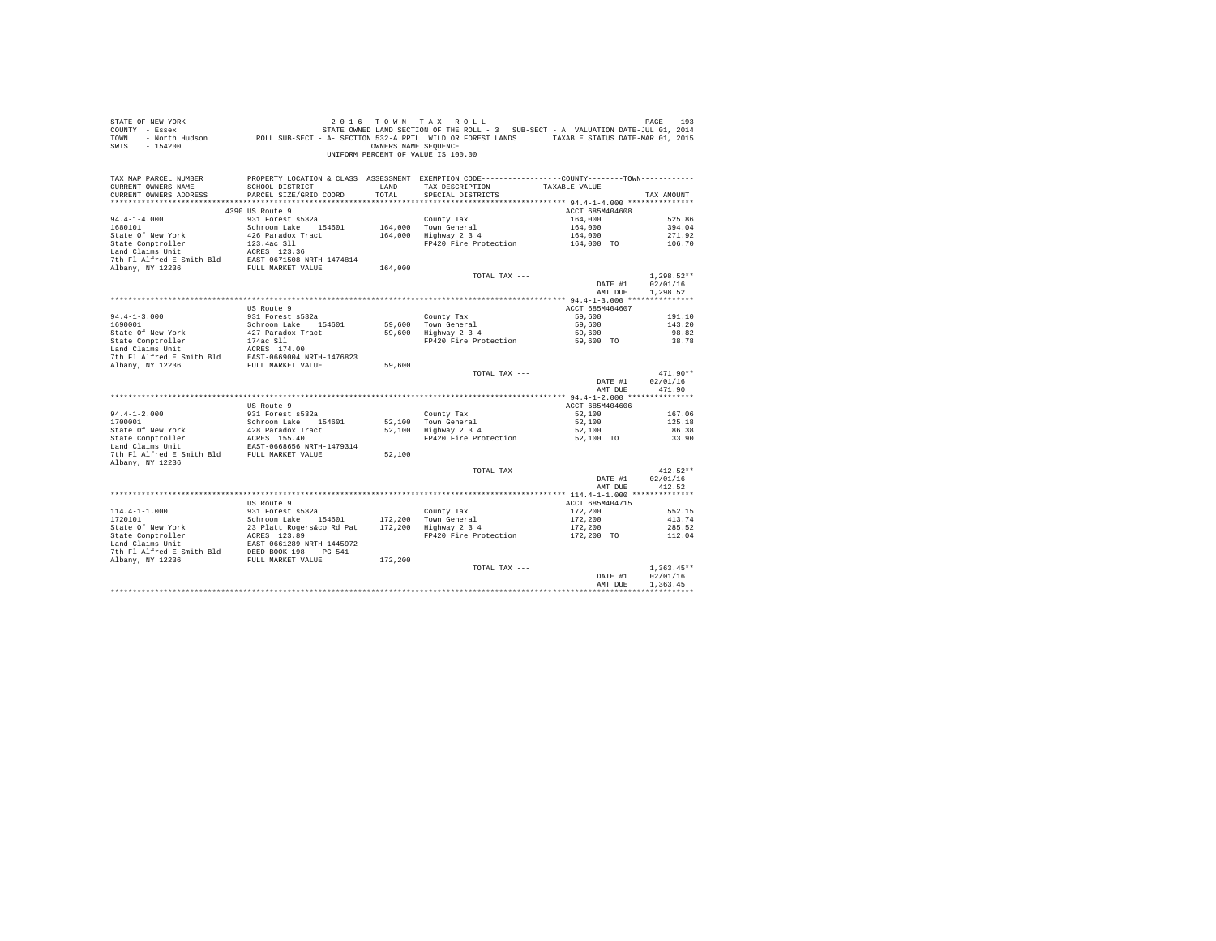| STATE OF NEW YORK         |                           |                      | 2016 TOWN TAX ROLL                                                                           |                 | PAGE<br>193  |
|---------------------------|---------------------------|----------------------|----------------------------------------------------------------------------------------------|-----------------|--------------|
| COUNTY - Essex            |                           |                      | STATE OWNED LAND SECTION OF THE ROLL - 3 SUB-SECT - A VALUATION DATE-JUL 01, 2014            |                 |              |
| - North Hudson<br>TOWN    |                           |                      | ROLL SUB-SECT - A- SECTION 532-A RPTL WILD OR FOREST LANDS TAXABLE STATUS DATE-MAR 01, 2015  |                 |              |
|                           |                           |                      |                                                                                              |                 |              |
| SWIS<br>$-154200$         |                           | OWNERS NAME SEQUENCE |                                                                                              |                 |              |
|                           |                           |                      | UNIFORM PERCENT OF VALUE IS 100.00                                                           |                 |              |
|                           |                           |                      |                                                                                              |                 |              |
|                           |                           |                      |                                                                                              |                 |              |
| TAX MAP PARCEL NUMBER     |                           |                      | PROPERTY LOCATION & CLASS ASSESSMENT EXEMPTION CODE---------------COUNTY-------TOWN--------- |                 |              |
|                           |                           |                      |                                                                                              |                 |              |
| CURRENT OWNERS NAME       | SCHOOL DISTRICT           | LAND                 | TAX DESCRIPTION                                                                              | TAXABLE VALUE   |              |
| CURRENT OWNERS ADDRESS    | PARCEL SIZE/GRID COORD    | TOTAL                | SPECIAL DISTRICTS                                                                            |                 | TAX AMOUNT   |
|                           |                           |                      |                                                                                              |                 |              |
|                           | 4390 US Route 9           |                      |                                                                                              | ACCT 685M404608 |              |
| $94.4 - 1 - 4.000$        | 931 Forest s532a          |                      |                                                                                              |                 | 525.86       |
|                           |                           |                      | County Tax                                                                                   | 164,000         |              |
| 1680101                   | Schroon Lake 154601       |                      | 164,000 Town General                                                                         | 164,000         | 394.04       |
| State Of New York         | 426 Paradox Tract         |                      | 164,000 Highway 2 3 4                                                                        | 164,000         | 271.92       |
| State Comptroller         | 123.4ac Sll               |                      | FP420 Fire Protection                                                                        | 164,000 TO      | 106.70       |
| Land Claims Unit          | ACRES 123.36              |                      |                                                                                              |                 |              |
|                           |                           |                      |                                                                                              |                 |              |
| 7th Fl Alfred E Smith Bld | EAST-0671508 NRTH-1474814 |                      |                                                                                              |                 |              |
| Albany, NY 12236          | FULL MARKET VALUE         | 164,000              |                                                                                              |                 |              |
|                           |                           |                      | TOTAL TAX ---                                                                                |                 | $1.298.52**$ |
|                           |                           |                      |                                                                                              | DATE #1         | 02/01/16     |
|                           |                           |                      |                                                                                              | AMT DUE         | 1,298.52     |
|                           |                           |                      |                                                                                              |                 |              |
|                           |                           |                      |                                                                                              |                 |              |
|                           | US Route 9                |                      |                                                                                              | ACCT 685M404607 |              |
| $94.4 - 1 - 3.000$        | 931 Forest s532a          |                      | County Tax                                                                                   | 59,600          | 191.10       |
| 1690001                   | Schroon Lake 154601       | 59,600               | Town General                                                                                 | 59,600          | 143.20       |
|                           |                           |                      |                                                                                              |                 |              |
| State Of New York         | 427 Paradox Tract         | 59,600               | Highway 2 3 4                                                                                | 59,600          | 98.82        |
| State Comptroller         | 174ac Sll                 |                      | FP420 Fire Protection                                                                        | 59,600 TO       | 38.78        |
| Land Claims Unit          | ACRES 174.00              |                      |                                                                                              |                 |              |
| 7th Fl Alfred E Smith Bld | EAST-0669004 NRTH-1476823 |                      |                                                                                              |                 |              |
| Albany, NY 12236          | FULL MARKET VALUE         | 59,600               |                                                                                              |                 |              |
|                           |                           |                      |                                                                                              |                 |              |
|                           |                           |                      | TOTAL TAX ---                                                                                |                 | $471.90**$   |
|                           |                           |                      |                                                                                              | DATE #1         | 02/01/16     |
|                           |                           |                      |                                                                                              | AMT DUE         | 471.90       |
|                           |                           |                      |                                                                                              |                 |              |
|                           | US Route 9                |                      |                                                                                              | ACCT 685M404606 |              |
|                           |                           |                      |                                                                                              |                 |              |
| $94.4 - 1 - 2.000$        | 931 Forest s532a          |                      | County Tax                                                                                   | 52,100          | 167.06       |
| 1700001                   | Schroon Lake 154601       |                      | 52.100 Town General                                                                          | 52,100          | 125.18       |
| State Of New York         | 428 Paradox Tract         |                      | 52.100 Highway 2 3 4                                                                         | 52,100          | 86.38        |
| State Comptroller         | ACRES 155.40              |                      | FP420 Fire Protection                                                                        | 52,100 TO       | 33.90        |
| Land Claims Unit          | EAST-0668656 NRTH-1479314 |                      |                                                                                              |                 |              |
|                           |                           |                      |                                                                                              |                 |              |
| 7th Fl Alfred E Smith Bld | FULL MARKET VALUE         | 52,100               |                                                                                              |                 |              |
| Albany, NY 12236          |                           |                      |                                                                                              |                 |              |
|                           |                           |                      | TOTAL TAX ---                                                                                |                 | $412.52**$   |
|                           |                           |                      |                                                                                              | DATE #1         | 02/01/16     |
|                           |                           |                      |                                                                                              |                 |              |
|                           |                           |                      |                                                                                              | AMT DUE         | 412.52       |
|                           |                           |                      |                                                                                              |                 |              |
|                           | US Route 9                |                      |                                                                                              | ACCT 685M404715 |              |
| $114.4 - 1 - 1.000$       | 931 Forest s532a          |                      | County Tax                                                                                   | 172,200         | 552.15       |
|                           |                           |                      |                                                                                              |                 |              |
| 1720101                   | Schroon Lake 154601       | 172,200              | Town General                                                                                 | 172,200         | 413.74       |
| State Of New York         | 23 Platt Rogers&co Rd Pat | 172,200              | Highway 2 3 4                                                                                | 172,200         | 285.52       |
| State Comptroller         | ACRES 123.89              |                      | FP420 Fire Protection                                                                        | 172,200 TO      | 112.04       |
| Land Claims Unit          | EAST-0661289 NRTH-1445972 |                      |                                                                                              |                 |              |
| 7th Fl Alfred E Smith Bld | DEED BOOK 198 PG-541      |                      |                                                                                              |                 |              |
|                           |                           |                      |                                                                                              |                 |              |
| Albany, NY 12236          | FULL MARKET VALUE         | 172,200              |                                                                                              |                 |              |
|                           |                           |                      | TOTAL TAX ---                                                                                |                 | $1.363.45**$ |
|                           |                           |                      |                                                                                              | DATE #1         | 02/01/16     |
|                           |                           |                      |                                                                                              | AMT DUE         | 1,363.45     |
|                           |                           |                      |                                                                                              |                 |              |
|                           |                           |                      |                                                                                              |                 |              |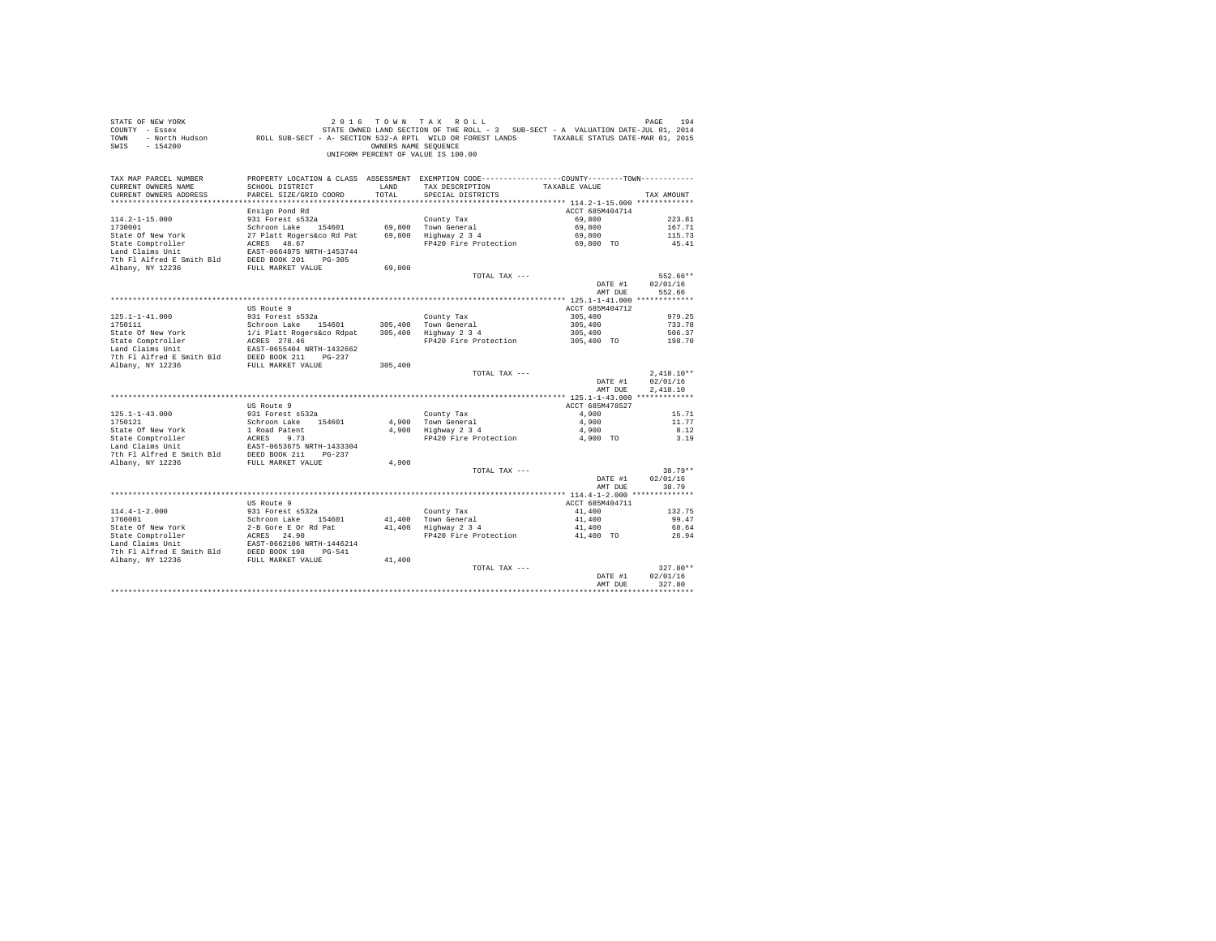| PROPERTY LOCATION & CLASS ASSESSMENT EXEMPTION CODE----------------COUNTY-------TOWN----------<br>TAX MAP PARCEL NUMBER<br>TAX DESCRIPTION<br>CURRENT OWNERS NAME<br>SCHOOL DISTRICT<br>TAXABLE VALUE<br>LAND<br>TOTAL<br>CURRENT OWNERS ADDRESS<br>PARCEL SIZE/GRID COORD<br>SPECIAL DISTRICTS<br>TAX AMOUNT<br>Ensign Pond Rd<br>ACCT 685M404714<br>69,800<br>$114.2 - 1 - 15.000$<br>931 Forest s532a<br>County Tax<br>223.81<br>69,800<br>1730001<br>Schroon Lake 154601<br>69,800 Town General<br>167.71<br>27 Platt Rogers&co Rd Pat 69,800 Highway 2 3 4<br>State Of New York<br>69,800<br>115.73<br>ACRES 48.67<br>State Comptroller<br>FP420 Fire Protection 69,800 TO<br>45.41<br>Land Claims Unit<br>EAST-0664875 NRTH-1453744<br>7th Fl Alfred E Smith Bld DEED BOOK 201 PG-305<br>Albany, NY 12236<br>FULL MARKET VALUE<br>69,800<br>TOTAL TAX ---<br>552.66**<br>02/01/16<br>DATE #1<br>AMT DUE<br>552.66<br>ACCT 685M404712<br>US Route 9<br>931 Forest s532a<br>$125.1 - 1 - 41.000$<br>County Tax<br>305,400<br>979.25<br>305,400 Town General<br>305,400<br>733.78<br>305,400 Hown General<br>305,400 Highway 2 3 4<br>305,400<br>506.37<br>FP420 Fire Protection 305,400 TO<br>198.70<br>The FI Alfred E Smith Bld EDED BOOK 211 PG-237<br>Albany, NY 12236 FULL MARKET VALUE<br>305,400<br>$2,418.10**$<br>TOTAL TAX ---<br>02/01/16<br>DATE #1<br>2.418.10<br>AMT DUE<br>ACCT 685M478527<br>US Route 9<br>931 Forest s532a<br>4,900<br>$125.1 - 1 - 43.000$<br>County Tax<br>15.71<br>1750121<br>Schroon Lake 154601<br>4.900 Town General<br>11.77<br>4,900<br>4,900 rown General<br>4,900 Highway 2 3 4<br>State Of New York<br>1 Road Patent<br>State Comptroller<br>1 Road Patent<br>1 Sant Patent<br>17 Albert 2 Smith Bld<br>27 Patent Patent Smith Bld<br>2012 Patent Patent Patent<br>27 Albany, NY 12236<br>210 PEULL MARKET VALUB<br>4,900<br>8.12<br>FP420 Fire Protection<br>4,900 TO<br>3.19<br>4,900<br>38.79**<br>TOTAL TAX ---<br>DATE #1<br>02/01/16<br>AMT DUE<br>38.79<br>US Route 9<br>ACCT 685M404711<br>41,400<br>132.75<br>41,400<br>99.47<br>41,400<br>68.64<br>41,400 TO<br>26.94<br>FP420 Fire Protection<br>$327.80**$<br>TOTAL TAX ---<br>02/01/16<br>DATE #1<br>327.80<br>AMT DUE | STATE OF NEW YORK<br>COUNTY - Essex<br>TOWN<br>$-154200$<br>SWIS | OWNERS NAME SEOUENCE | 2016 TOWN TAX ROLL<br>UNIFORM PERCENT OF VALUE IS 100.00 | PAGE<br>194 |
|-------------------------------------------------------------------------------------------------------------------------------------------------------------------------------------------------------------------------------------------------------------------------------------------------------------------------------------------------------------------------------------------------------------------------------------------------------------------------------------------------------------------------------------------------------------------------------------------------------------------------------------------------------------------------------------------------------------------------------------------------------------------------------------------------------------------------------------------------------------------------------------------------------------------------------------------------------------------------------------------------------------------------------------------------------------------------------------------------------------------------------------------------------------------------------------------------------------------------------------------------------------------------------------------------------------------------------------------------------------------------------------------------------------------------------------------------------------------------------------------------------------------------------------------------------------------------------------------------------------------------------------------------------------------------------------------------------------------------------------------------------------------------------------------------------------------------------------------------------------------------------------------------------------------------------------------------------------------------------------------------------------------------------------------------------------------------------------------------------------------------------------------------------------------------------------------------------------------------------------|------------------------------------------------------------------|----------------------|----------------------------------------------------------|-------------|
|                                                                                                                                                                                                                                                                                                                                                                                                                                                                                                                                                                                                                                                                                                                                                                                                                                                                                                                                                                                                                                                                                                                                                                                                                                                                                                                                                                                                                                                                                                                                                                                                                                                                                                                                                                                                                                                                                                                                                                                                                                                                                                                                                                                                                                     |                                                                  |                      |                                                          |             |
|                                                                                                                                                                                                                                                                                                                                                                                                                                                                                                                                                                                                                                                                                                                                                                                                                                                                                                                                                                                                                                                                                                                                                                                                                                                                                                                                                                                                                                                                                                                                                                                                                                                                                                                                                                                                                                                                                                                                                                                                                                                                                                                                                                                                                                     |                                                                  |                      |                                                          |             |
|                                                                                                                                                                                                                                                                                                                                                                                                                                                                                                                                                                                                                                                                                                                                                                                                                                                                                                                                                                                                                                                                                                                                                                                                                                                                                                                                                                                                                                                                                                                                                                                                                                                                                                                                                                                                                                                                                                                                                                                                                                                                                                                                                                                                                                     |                                                                  |                      |                                                          |             |
|                                                                                                                                                                                                                                                                                                                                                                                                                                                                                                                                                                                                                                                                                                                                                                                                                                                                                                                                                                                                                                                                                                                                                                                                                                                                                                                                                                                                                                                                                                                                                                                                                                                                                                                                                                                                                                                                                                                                                                                                                                                                                                                                                                                                                                     |                                                                  |                      |                                                          |             |
|                                                                                                                                                                                                                                                                                                                                                                                                                                                                                                                                                                                                                                                                                                                                                                                                                                                                                                                                                                                                                                                                                                                                                                                                                                                                                                                                                                                                                                                                                                                                                                                                                                                                                                                                                                                                                                                                                                                                                                                                                                                                                                                                                                                                                                     |                                                                  |                      |                                                          |             |
|                                                                                                                                                                                                                                                                                                                                                                                                                                                                                                                                                                                                                                                                                                                                                                                                                                                                                                                                                                                                                                                                                                                                                                                                                                                                                                                                                                                                                                                                                                                                                                                                                                                                                                                                                                                                                                                                                                                                                                                                                                                                                                                                                                                                                                     |                                                                  |                      |                                                          |             |
|                                                                                                                                                                                                                                                                                                                                                                                                                                                                                                                                                                                                                                                                                                                                                                                                                                                                                                                                                                                                                                                                                                                                                                                                                                                                                                                                                                                                                                                                                                                                                                                                                                                                                                                                                                                                                                                                                                                                                                                                                                                                                                                                                                                                                                     |                                                                  |                      |                                                          |             |
|                                                                                                                                                                                                                                                                                                                                                                                                                                                                                                                                                                                                                                                                                                                                                                                                                                                                                                                                                                                                                                                                                                                                                                                                                                                                                                                                                                                                                                                                                                                                                                                                                                                                                                                                                                                                                                                                                                                                                                                                                                                                                                                                                                                                                                     |                                                                  |                      |                                                          |             |
|                                                                                                                                                                                                                                                                                                                                                                                                                                                                                                                                                                                                                                                                                                                                                                                                                                                                                                                                                                                                                                                                                                                                                                                                                                                                                                                                                                                                                                                                                                                                                                                                                                                                                                                                                                                                                                                                                                                                                                                                                                                                                                                                                                                                                                     |                                                                  |                      |                                                          |             |
|                                                                                                                                                                                                                                                                                                                                                                                                                                                                                                                                                                                                                                                                                                                                                                                                                                                                                                                                                                                                                                                                                                                                                                                                                                                                                                                                                                                                                                                                                                                                                                                                                                                                                                                                                                                                                                                                                                                                                                                                                                                                                                                                                                                                                                     |                                                                  |                      |                                                          |             |
|                                                                                                                                                                                                                                                                                                                                                                                                                                                                                                                                                                                                                                                                                                                                                                                                                                                                                                                                                                                                                                                                                                                                                                                                                                                                                                                                                                                                                                                                                                                                                                                                                                                                                                                                                                                                                                                                                                                                                                                                                                                                                                                                                                                                                                     |                                                                  |                      |                                                          |             |
|                                                                                                                                                                                                                                                                                                                                                                                                                                                                                                                                                                                                                                                                                                                                                                                                                                                                                                                                                                                                                                                                                                                                                                                                                                                                                                                                                                                                                                                                                                                                                                                                                                                                                                                                                                                                                                                                                                                                                                                                                                                                                                                                                                                                                                     |                                                                  |                      |                                                          |             |
|                                                                                                                                                                                                                                                                                                                                                                                                                                                                                                                                                                                                                                                                                                                                                                                                                                                                                                                                                                                                                                                                                                                                                                                                                                                                                                                                                                                                                                                                                                                                                                                                                                                                                                                                                                                                                                                                                                                                                                                                                                                                                                                                                                                                                                     |                                                                  |                      |                                                          |             |
|                                                                                                                                                                                                                                                                                                                                                                                                                                                                                                                                                                                                                                                                                                                                                                                                                                                                                                                                                                                                                                                                                                                                                                                                                                                                                                                                                                                                                                                                                                                                                                                                                                                                                                                                                                                                                                                                                                                                                                                                                                                                                                                                                                                                                                     |                                                                  |                      |                                                          |             |
|                                                                                                                                                                                                                                                                                                                                                                                                                                                                                                                                                                                                                                                                                                                                                                                                                                                                                                                                                                                                                                                                                                                                                                                                                                                                                                                                                                                                                                                                                                                                                                                                                                                                                                                                                                                                                                                                                                                                                                                                                                                                                                                                                                                                                                     |                                                                  |                      |                                                          |             |
|                                                                                                                                                                                                                                                                                                                                                                                                                                                                                                                                                                                                                                                                                                                                                                                                                                                                                                                                                                                                                                                                                                                                                                                                                                                                                                                                                                                                                                                                                                                                                                                                                                                                                                                                                                                                                                                                                                                                                                                                                                                                                                                                                                                                                                     |                                                                  |                      |                                                          |             |
|                                                                                                                                                                                                                                                                                                                                                                                                                                                                                                                                                                                                                                                                                                                                                                                                                                                                                                                                                                                                                                                                                                                                                                                                                                                                                                                                                                                                                                                                                                                                                                                                                                                                                                                                                                                                                                                                                                                                                                                                                                                                                                                                                                                                                                     |                                                                  |                      |                                                          |             |
|                                                                                                                                                                                                                                                                                                                                                                                                                                                                                                                                                                                                                                                                                                                                                                                                                                                                                                                                                                                                                                                                                                                                                                                                                                                                                                                                                                                                                                                                                                                                                                                                                                                                                                                                                                                                                                                                                                                                                                                                                                                                                                                                                                                                                                     |                                                                  |                      |                                                          |             |
|                                                                                                                                                                                                                                                                                                                                                                                                                                                                                                                                                                                                                                                                                                                                                                                                                                                                                                                                                                                                                                                                                                                                                                                                                                                                                                                                                                                                                                                                                                                                                                                                                                                                                                                                                                                                                                                                                                                                                                                                                                                                                                                                                                                                                                     |                                                                  |                      |                                                          |             |
|                                                                                                                                                                                                                                                                                                                                                                                                                                                                                                                                                                                                                                                                                                                                                                                                                                                                                                                                                                                                                                                                                                                                                                                                                                                                                                                                                                                                                                                                                                                                                                                                                                                                                                                                                                                                                                                                                                                                                                                                                                                                                                                                                                                                                                     |                                                                  |                      |                                                          |             |
|                                                                                                                                                                                                                                                                                                                                                                                                                                                                                                                                                                                                                                                                                                                                                                                                                                                                                                                                                                                                                                                                                                                                                                                                                                                                                                                                                                                                                                                                                                                                                                                                                                                                                                                                                                                                                                                                                                                                                                                                                                                                                                                                                                                                                                     |                                                                  |                      |                                                          |             |
|                                                                                                                                                                                                                                                                                                                                                                                                                                                                                                                                                                                                                                                                                                                                                                                                                                                                                                                                                                                                                                                                                                                                                                                                                                                                                                                                                                                                                                                                                                                                                                                                                                                                                                                                                                                                                                                                                                                                                                                                                                                                                                                                                                                                                                     |                                                                  |                      |                                                          |             |
|                                                                                                                                                                                                                                                                                                                                                                                                                                                                                                                                                                                                                                                                                                                                                                                                                                                                                                                                                                                                                                                                                                                                                                                                                                                                                                                                                                                                                                                                                                                                                                                                                                                                                                                                                                                                                                                                                                                                                                                                                                                                                                                                                                                                                                     |                                                                  |                      |                                                          |             |
|                                                                                                                                                                                                                                                                                                                                                                                                                                                                                                                                                                                                                                                                                                                                                                                                                                                                                                                                                                                                                                                                                                                                                                                                                                                                                                                                                                                                                                                                                                                                                                                                                                                                                                                                                                                                                                                                                                                                                                                                                                                                                                                                                                                                                                     |                                                                  |                      |                                                          |             |
|                                                                                                                                                                                                                                                                                                                                                                                                                                                                                                                                                                                                                                                                                                                                                                                                                                                                                                                                                                                                                                                                                                                                                                                                                                                                                                                                                                                                                                                                                                                                                                                                                                                                                                                                                                                                                                                                                                                                                                                                                                                                                                                                                                                                                                     |                                                                  |                      |                                                          |             |
|                                                                                                                                                                                                                                                                                                                                                                                                                                                                                                                                                                                                                                                                                                                                                                                                                                                                                                                                                                                                                                                                                                                                                                                                                                                                                                                                                                                                                                                                                                                                                                                                                                                                                                                                                                                                                                                                                                                                                                                                                                                                                                                                                                                                                                     |                                                                  |                      |                                                          |             |
|                                                                                                                                                                                                                                                                                                                                                                                                                                                                                                                                                                                                                                                                                                                                                                                                                                                                                                                                                                                                                                                                                                                                                                                                                                                                                                                                                                                                                                                                                                                                                                                                                                                                                                                                                                                                                                                                                                                                                                                                                                                                                                                                                                                                                                     |                                                                  |                      |                                                          |             |
|                                                                                                                                                                                                                                                                                                                                                                                                                                                                                                                                                                                                                                                                                                                                                                                                                                                                                                                                                                                                                                                                                                                                                                                                                                                                                                                                                                                                                                                                                                                                                                                                                                                                                                                                                                                                                                                                                                                                                                                                                                                                                                                                                                                                                                     |                                                                  |                      |                                                          |             |
|                                                                                                                                                                                                                                                                                                                                                                                                                                                                                                                                                                                                                                                                                                                                                                                                                                                                                                                                                                                                                                                                                                                                                                                                                                                                                                                                                                                                                                                                                                                                                                                                                                                                                                                                                                                                                                                                                                                                                                                                                                                                                                                                                                                                                                     |                                                                  |                      |                                                          |             |
|                                                                                                                                                                                                                                                                                                                                                                                                                                                                                                                                                                                                                                                                                                                                                                                                                                                                                                                                                                                                                                                                                                                                                                                                                                                                                                                                                                                                                                                                                                                                                                                                                                                                                                                                                                                                                                                                                                                                                                                                                                                                                                                                                                                                                                     |                                                                  |                      |                                                          |             |
|                                                                                                                                                                                                                                                                                                                                                                                                                                                                                                                                                                                                                                                                                                                                                                                                                                                                                                                                                                                                                                                                                                                                                                                                                                                                                                                                                                                                                                                                                                                                                                                                                                                                                                                                                                                                                                                                                                                                                                                                                                                                                                                                                                                                                                     |                                                                  |                      |                                                          |             |
|                                                                                                                                                                                                                                                                                                                                                                                                                                                                                                                                                                                                                                                                                                                                                                                                                                                                                                                                                                                                                                                                                                                                                                                                                                                                                                                                                                                                                                                                                                                                                                                                                                                                                                                                                                                                                                                                                                                                                                                                                                                                                                                                                                                                                                     |                                                                  |                      |                                                          |             |
|                                                                                                                                                                                                                                                                                                                                                                                                                                                                                                                                                                                                                                                                                                                                                                                                                                                                                                                                                                                                                                                                                                                                                                                                                                                                                                                                                                                                                                                                                                                                                                                                                                                                                                                                                                                                                                                                                                                                                                                                                                                                                                                                                                                                                                     |                                                                  |                      |                                                          |             |
|                                                                                                                                                                                                                                                                                                                                                                                                                                                                                                                                                                                                                                                                                                                                                                                                                                                                                                                                                                                                                                                                                                                                                                                                                                                                                                                                                                                                                                                                                                                                                                                                                                                                                                                                                                                                                                                                                                                                                                                                                                                                                                                                                                                                                                     |                                                                  |                      |                                                          |             |
|                                                                                                                                                                                                                                                                                                                                                                                                                                                                                                                                                                                                                                                                                                                                                                                                                                                                                                                                                                                                                                                                                                                                                                                                                                                                                                                                                                                                                                                                                                                                                                                                                                                                                                                                                                                                                                                                                                                                                                                                                                                                                                                                                                                                                                     |                                                                  |                      |                                                          |             |
|                                                                                                                                                                                                                                                                                                                                                                                                                                                                                                                                                                                                                                                                                                                                                                                                                                                                                                                                                                                                                                                                                                                                                                                                                                                                                                                                                                                                                                                                                                                                                                                                                                                                                                                                                                                                                                                                                                                                                                                                                                                                                                                                                                                                                                     |                                                                  |                      |                                                          |             |
|                                                                                                                                                                                                                                                                                                                                                                                                                                                                                                                                                                                                                                                                                                                                                                                                                                                                                                                                                                                                                                                                                                                                                                                                                                                                                                                                                                                                                                                                                                                                                                                                                                                                                                                                                                                                                                                                                                                                                                                                                                                                                                                                                                                                                                     |                                                                  |                      |                                                          |             |
|                                                                                                                                                                                                                                                                                                                                                                                                                                                                                                                                                                                                                                                                                                                                                                                                                                                                                                                                                                                                                                                                                                                                                                                                                                                                                                                                                                                                                                                                                                                                                                                                                                                                                                                                                                                                                                                                                                                                                                                                                                                                                                                                                                                                                                     |                                                                  |                      |                                                          |             |
|                                                                                                                                                                                                                                                                                                                                                                                                                                                                                                                                                                                                                                                                                                                                                                                                                                                                                                                                                                                                                                                                                                                                                                                                                                                                                                                                                                                                                                                                                                                                                                                                                                                                                                                                                                                                                                                                                                                                                                                                                                                                                                                                                                                                                                     |                                                                  |                      |                                                          |             |
|                                                                                                                                                                                                                                                                                                                                                                                                                                                                                                                                                                                                                                                                                                                                                                                                                                                                                                                                                                                                                                                                                                                                                                                                                                                                                                                                                                                                                                                                                                                                                                                                                                                                                                                                                                                                                                                                                                                                                                                                                                                                                                                                                                                                                                     |                                                                  |                      |                                                          |             |
|                                                                                                                                                                                                                                                                                                                                                                                                                                                                                                                                                                                                                                                                                                                                                                                                                                                                                                                                                                                                                                                                                                                                                                                                                                                                                                                                                                                                                                                                                                                                                                                                                                                                                                                                                                                                                                                                                                                                                                                                                                                                                                                                                                                                                                     |                                                                  |                      |                                                          |             |
|                                                                                                                                                                                                                                                                                                                                                                                                                                                                                                                                                                                                                                                                                                                                                                                                                                                                                                                                                                                                                                                                                                                                                                                                                                                                                                                                                                                                                                                                                                                                                                                                                                                                                                                                                                                                                                                                                                                                                                                                                                                                                                                                                                                                                                     |                                                                  |                      |                                                          |             |
|                                                                                                                                                                                                                                                                                                                                                                                                                                                                                                                                                                                                                                                                                                                                                                                                                                                                                                                                                                                                                                                                                                                                                                                                                                                                                                                                                                                                                                                                                                                                                                                                                                                                                                                                                                                                                                                                                                                                                                                                                                                                                                                                                                                                                                     |                                                                  |                      |                                                          |             |
|                                                                                                                                                                                                                                                                                                                                                                                                                                                                                                                                                                                                                                                                                                                                                                                                                                                                                                                                                                                                                                                                                                                                                                                                                                                                                                                                                                                                                                                                                                                                                                                                                                                                                                                                                                                                                                                                                                                                                                                                                                                                                                                                                                                                                                     |                                                                  |                      |                                                          |             |
|                                                                                                                                                                                                                                                                                                                                                                                                                                                                                                                                                                                                                                                                                                                                                                                                                                                                                                                                                                                                                                                                                                                                                                                                                                                                                                                                                                                                                                                                                                                                                                                                                                                                                                                                                                                                                                                                                                                                                                                                                                                                                                                                                                                                                                     |                                                                  |                      |                                                          |             |
|                                                                                                                                                                                                                                                                                                                                                                                                                                                                                                                                                                                                                                                                                                                                                                                                                                                                                                                                                                                                                                                                                                                                                                                                                                                                                                                                                                                                                                                                                                                                                                                                                                                                                                                                                                                                                                                                                                                                                                                                                                                                                                                                                                                                                                     |                                                                  |                      |                                                          |             |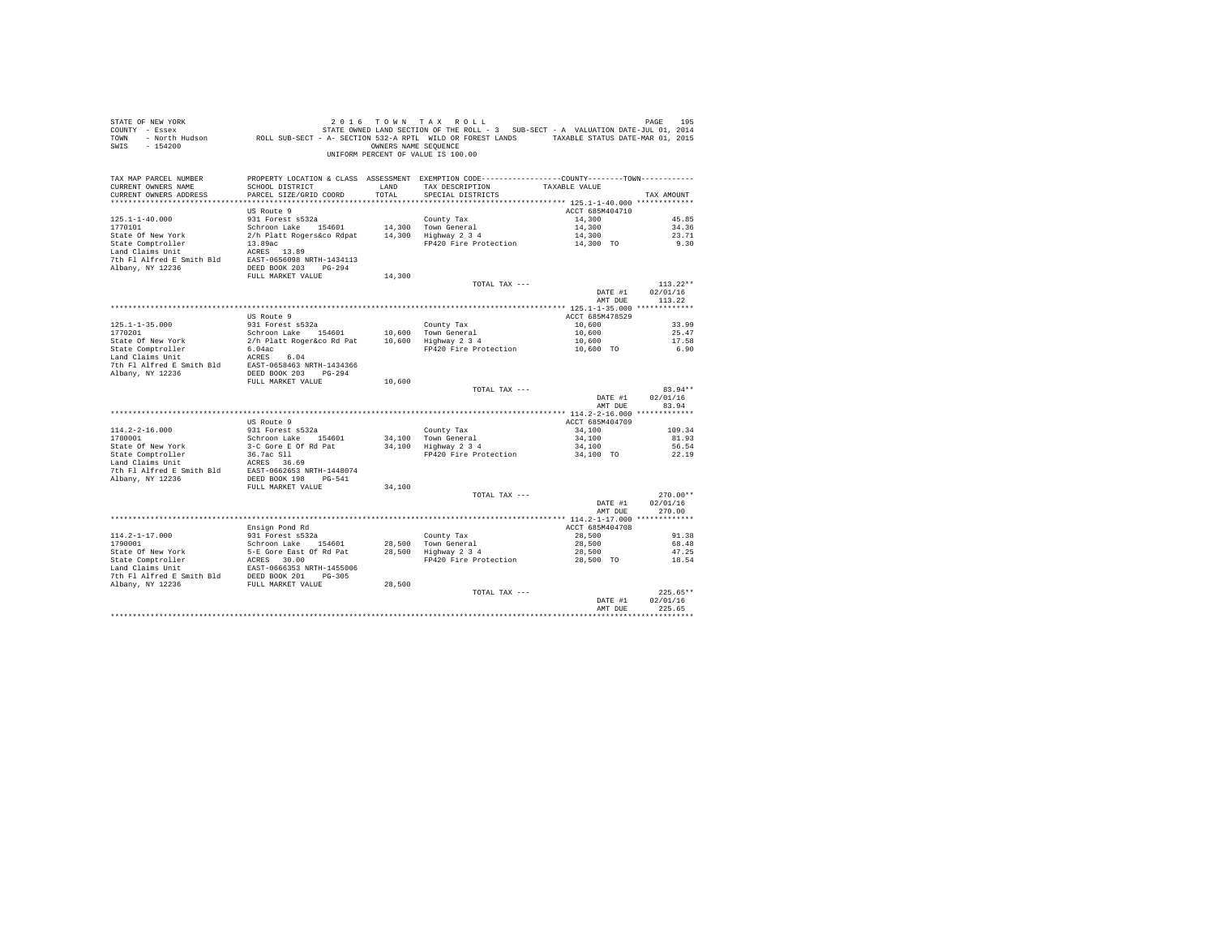| STATE OF NEW YORK<br>SWIS - 154200                                      |                                                   | OWNERS NAME SEQUENCE  | 2016 TOWN TAX ROLL<br>UNIFORM PERCENT OF VALUE IS 100.00                                                                             |                    | PAGE<br>195        |
|-------------------------------------------------------------------------|---------------------------------------------------|-----------------------|--------------------------------------------------------------------------------------------------------------------------------------|--------------------|--------------------|
| TAX MAP PARCEL NUMBER<br>CURRENT OWNERS NAME<br>CURRENT OWNERS ADDRESS  | SCHOOL DISTRICT<br>PARCEL SIZE/GRID COORD         | <b>T.AND</b><br>TOTAL | PROPERTY LOCATION & CLASS ASSESSMENT EXEMPTION CODE---------------COUNTY-------TOWN---------<br>TAX DESCRIPTION<br>SPECIAL DISTRICTS | TAXABLE VALUE      | TAX AMOUNT         |
|                                                                         |                                                   |                       |                                                                                                                                      |                    |                    |
|                                                                         | US Route 9                                        |                       |                                                                                                                                      | ACCT 685M404710    |                    |
| $125.1 - 1 - 40.000$                                                    | 931 Forest s532a                                  |                       | County Tax                                                                                                                           | 14,300             | 45.85              |
| 1770101                                                                 | Schroon Lake 154601                               |                       | 14,300 Town General                                                                                                                  | 14,300             | 34.36              |
| State Of New York                                                       | 2/h Platt Rogers&co Rdpat 14,300 Highway 2 3 4    |                       |                                                                                                                                      | 14,300             | 23.71              |
| State Comptroller<br>Land Claims Unit                                   | 13.89ac<br>ACRES 13.89                            |                       | FP420 Fire Protection 14,300 TO                                                                                                      |                    | 9.30               |
|                                                                         |                                                   |                       |                                                                                                                                      |                    |                    |
|                                                                         |                                                   |                       |                                                                                                                                      |                    |                    |
|                                                                         | FULL MARKET VALUE                                 | 14,300                |                                                                                                                                      |                    |                    |
|                                                                         |                                                   |                       | TOTAL TAX ---                                                                                                                        |                    | $113.22**$         |
|                                                                         |                                                   |                       |                                                                                                                                      | DATE #1<br>AMT DUE | 02/01/16<br>113.22 |
|                                                                         |                                                   |                       |                                                                                                                                      |                    |                    |
|                                                                         | US Route 9                                        |                       |                                                                                                                                      | ACCT 685M478529    |                    |
| $125.1 - 1 - 35.000$                                                    |                                                   |                       |                                                                                                                                      | 10,600             | 33.99              |
| 1770201<br>State Of New York                                            |                                                   |                       |                                                                                                                                      | 10,600<br>10,600   | 25.47<br>17.58     |
|                                                                         |                                                   |                       | FP420 Fire Protection                                                                                                                | 10,600 TO          | 6.90               |
|                                                                         |                                                   |                       |                                                                                                                                      |                    |                    |
| 7th F1 Alfred E Smith Bld EAST-0658463 NRTH-1434366                     |                                                   |                       |                                                                                                                                      |                    |                    |
| Albany, NY 12236                                                        | DEED BOOK 203 PG-294                              |                       |                                                                                                                                      |                    |                    |
|                                                                         | FULL MARKET VALUE                                 | 10,600                |                                                                                                                                      |                    |                    |
|                                                                         |                                                   |                       | TOTAL TAX ---                                                                                                                        |                    | $83.94**$          |
|                                                                         |                                                   |                       |                                                                                                                                      | DATE #1<br>AMT DUE | 02/01/16<br>83.94  |
|                                                                         |                                                   |                       |                                                                                                                                      |                    |                    |
|                                                                         | US Route 9                                        |                       |                                                                                                                                      | ACCT 685M404709    |                    |
| $114.2 - 2 - 16.000$                                                    |                                                   |                       | County Tax                                                                                                                           | 34,100             | 109.34             |
| 1780001                                                                 | 931 Forest s532a<br>Schroon Lake 154601           |                       |                                                                                                                                      | 34,100             | 81.93              |
|                                                                         |                                                   |                       | 34,100 Town General<br>34,100 Highway 2 3 4                                                                                          | 34,100             | 56.54              |
| State Of New York<br>State Comptroller                                  | 3-C Gore E Of Rd Pat<br>36.7ac Sll<br>ACRES 36.69 |                       | FP420 Fire Protection                                                                                                                | 34,100 TO          | 22.19              |
| Land Claims Unit                                                        |                                                   |                       |                                                                                                                                      |                    |                    |
| 7th Fl Alfred E Smith Bld EAST-0662653 NRTH-1448074<br>Albany, NY 12236 | DEED BOOK 198 PG-541                              |                       |                                                                                                                                      |                    |                    |
|                                                                         | FULL MARKET VALUE                                 | 34,100                |                                                                                                                                      |                    |                    |
|                                                                         |                                                   |                       | TOTAL TAX ---                                                                                                                        |                    | $270.00**$         |
|                                                                         |                                                   |                       |                                                                                                                                      | DATE #1            | 02/01/16           |
|                                                                         |                                                   |                       |                                                                                                                                      | AMT DUE            | 270.00             |
|                                                                         |                                                   |                       |                                                                                                                                      |                    |                    |
|                                                                         | Ensign Pond Rd                                    |                       |                                                                                                                                      | ACCT 685M404708    |                    |
| $114.2 - 1 - 17.000$<br>1790001                                         | 931 Forest s532a                                  |                       |                                                                                                                                      | 28,500             | 91.38              |
|                                                                         | Schroon Lake 154601                               |                       | County Tax<br>28,500 Town General<br>28,500 Highway 2 3 4                                                                            | 28,500<br>28,500   | 68.48<br>47.25     |
|                                                                         |                                                   |                       | FP420 Fire Protection                                                                                                                | 28,500 TO          | 18.54              |
|                                                                         |                                                   |                       |                                                                                                                                      |                    |                    |
|                                                                         |                                                   |                       |                                                                                                                                      |                    |                    |
| Albany, NY 12236                                                        | FULL MARKET VALUE                                 | 28,500                |                                                                                                                                      |                    |                    |
|                                                                         |                                                   |                       | TOTAL TAX ---                                                                                                                        |                    | $225.65**$         |
|                                                                         |                                                   |                       |                                                                                                                                      | DATE #1            | 02/01/16           |
|                                                                         |                                                   |                       |                                                                                                                                      | AMT DUE            | 225.65             |
|                                                                         |                                                   |                       |                                                                                                                                      |                    |                    |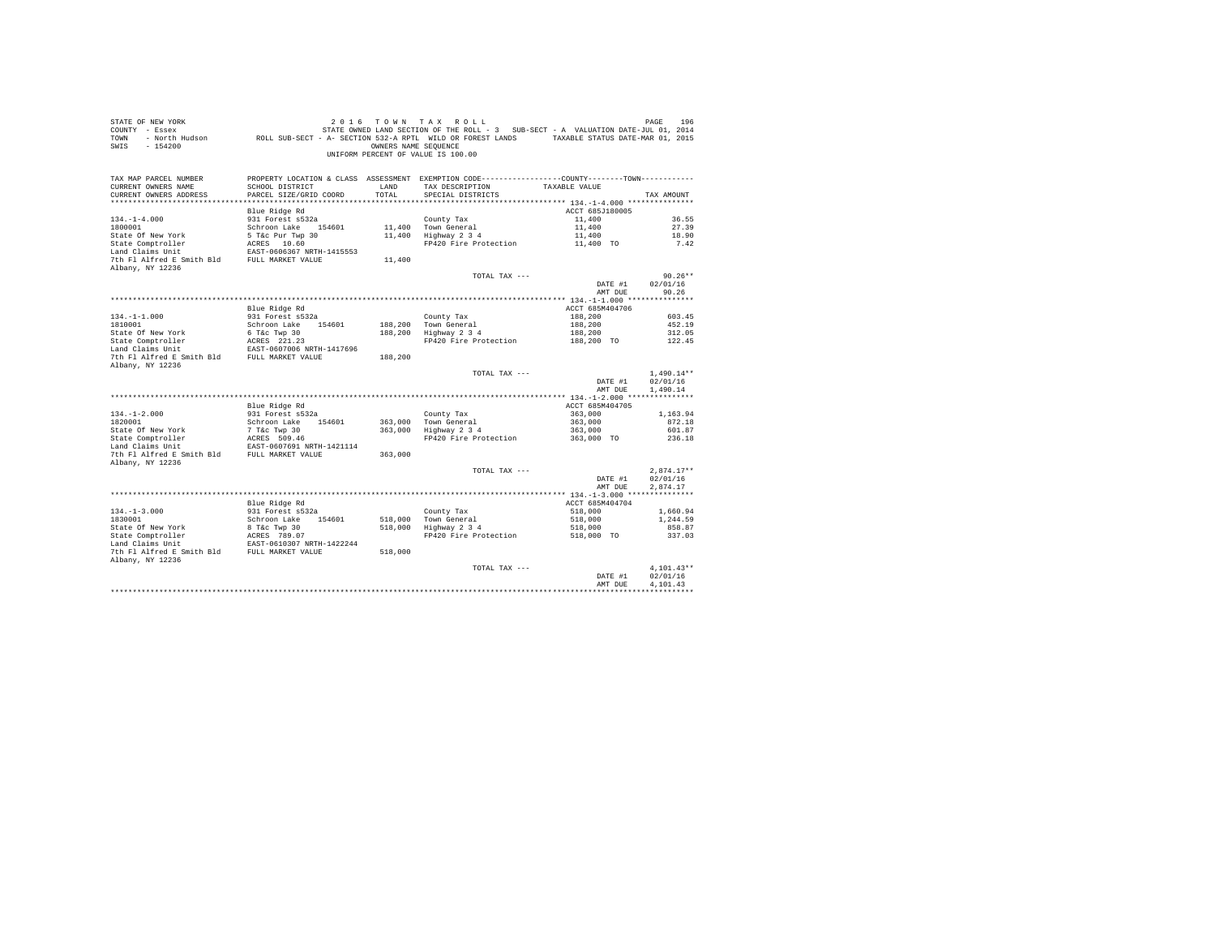| STATE OF NEW YORK<br>COUNTY - Essex<br>TOWN<br>$-154200$<br>SWIS       |                                           | OWNERS NAME SEOUENCE | 2016 TOWN TAX ROLL<br>STATE OWNED LAND SECTION OF THE ROLL - 3 SUB-SECT - A VALUATION DATE-JUL 01, 2014<br>- North Hudson ROLL SUB-SECT - A- SECTION 532-A RPTL WILD OR FOREST LANDS TAXABLE STATUS DATE-MAR 01, 2015<br>UNIFORM PERCENT OF VALUE IS 100.00 |                       | PAGE<br>196                          |
|------------------------------------------------------------------------|-------------------------------------------|----------------------|-------------------------------------------------------------------------------------------------------------------------------------------------------------------------------------------------------------------------------------------------------------|-----------------------|--------------------------------------|
| TAX MAP PARCEL NUMBER<br>CURRENT OWNERS NAME<br>CURRENT OWNERS ADDRESS | SCHOOL DISTRICT<br>PARCEL SIZE/GRID COORD | LAND<br>TOTAL        | PROPERTY LOCATION & CLASS ASSESSMENT EXEMPTION CODE----------------COUNTY-------TOWN----------<br>TAX DESCRIPTION<br>SPECIAL DISTRICTS                                                                                                                      | TAXABLE VALUE         | TAX AMOUNT                           |
|                                                                        | Blue Ridge Rd                             |                      |                                                                                                                                                                                                                                                             | ACCT 685J180005       |                                      |
| $134. -1 - 4.000$                                                      | 931 Forest s532a                          |                      | County Tax                                                                                                                                                                                                                                                  | 11,400                | 36.55                                |
| 1800001                                                                | Schroon Lake 154601                       |                      | 11,400 Town General                                                                                                                                                                                                                                         | 11,400                | 27.39                                |
| State Of New York                                                      | $5$ T&C Pur Twp 30<br>$n$ CEES 10.60      |                      | 11,400 Highway 2 3 4                                                                                                                                                                                                                                        | 11,400                | 18.90                                |
| State Comptroller                                                      | ACRES 10.60                               |                      | FP420 Fire Protection                                                                                                                                                                                                                                       | 11,400 TO             | 7.42                                 |
| Land Claims Unit                                                       | EAST-0606367 NRTH-1415553                 |                      |                                                                                                                                                                                                                                                             |                       |                                      |
| 7th Fl Alfred E Smith Bld<br>Albany, NY 12236                          | FULL MARKET VALUE                         | 11,400               |                                                                                                                                                                                                                                                             |                       |                                      |
|                                                                        |                                           |                      | TOTAL TAX ---                                                                                                                                                                                                                                               |                       | $90.26**$                            |
|                                                                        |                                           |                      |                                                                                                                                                                                                                                                             | DATE #1               | 02/01/16                             |
|                                                                        |                                           |                      |                                                                                                                                                                                                                                                             | AMT DUE               | 90.26                                |
|                                                                        |                                           |                      |                                                                                                                                                                                                                                                             |                       |                                      |
|                                                                        | Blue Ridge Rd                             |                      |                                                                                                                                                                                                                                                             | ACCT 685M404706       |                                      |
| $134. - 1 - 1.000$                                                     | 931 Forest s532a                          |                      | County Tax                                                                                                                                                                                                                                                  | 188,200               | 603.45                               |
| 1810001                                                                | Schroon Lake 154601                       |                      | 188,200 Town General<br>Highway 2 3 4                                                                                                                                                                                                                       | 188,200               | 452.19                               |
| State Of New York                                                      | 6 T&c Twp 30<br>ACRES 221.23              | 188,200              | FP420 Fire Protection                                                                                                                                                                                                                                       | 188,200<br>188,200 TO | 312.05<br>122.45                     |
| State Comptroller<br>Land Claims Unit                                  | EAST-0607006 NRTH-1417696                 |                      |                                                                                                                                                                                                                                                             |                       |                                      |
| 7th Fl Alfred E Smith Bld FULL MARKET VALUE                            |                                           | 188,200              |                                                                                                                                                                                                                                                             |                       |                                      |
| Albany, NY 12236                                                       |                                           |                      |                                                                                                                                                                                                                                                             |                       |                                      |
|                                                                        |                                           |                      | TOTAL TAX ---                                                                                                                                                                                                                                               | DATE #1<br>AMT DUE    | $1,490.14**$<br>02/01/16<br>1,490.14 |
|                                                                        |                                           |                      |                                                                                                                                                                                                                                                             |                       |                                      |
|                                                                        | Blue Ridge Rd                             |                      |                                                                                                                                                                                                                                                             | ACCT 685M404705       |                                      |
| $134. - 1 - 2.000$                                                     | 931 Forest s532a                          |                      | County Tax                                                                                                                                                                                                                                                  | 363,000               | 1,163.94                             |
| 1820001                                                                | Schroon Lake 154601                       | 363,000              | Town General                                                                                                                                                                                                                                                | 363,000               | 872.18                               |
| State Of New York                                                      | 7 T&C Twp 30<br>ACRES 509.46              |                      | 363,000 Highway 2 3 4                                                                                                                                                                                                                                       | 363,000               | 601.87                               |
| State Comptroller<br>Land Claims Unit                                  | EAST-0607691 NRTH-1421114                 |                      | FP420 Fire Protection                                                                                                                                                                                                                                       | 363,000 TO            | 236.18                               |
| 7th Fl Alfred E Smith Bld FULL MARKET VALUE                            |                                           | 363,000              |                                                                                                                                                                                                                                                             |                       |                                      |
| Albany, NY 12236                                                       |                                           |                      |                                                                                                                                                                                                                                                             |                       |                                      |
|                                                                        |                                           |                      | TOTAL TAX ---                                                                                                                                                                                                                                               |                       | $2.874.17**$                         |
|                                                                        |                                           |                      |                                                                                                                                                                                                                                                             | DATE #1               | 02/01/16                             |
|                                                                        |                                           |                      |                                                                                                                                                                                                                                                             | AMT DUE               | 2.874.17                             |
|                                                                        |                                           |                      |                                                                                                                                                                                                                                                             |                       |                                      |
|                                                                        | Blue Ridge Rd                             |                      |                                                                                                                                                                                                                                                             | ACCT 685M404704       |                                      |
| $134. -1 - 3.000$<br>1830001                                           | 931 Forest s532a<br>Schroon Lake 154601   |                      | County Tax                                                                                                                                                                                                                                                  | 518,000<br>518,000    | 1,660.94<br>1,244.59                 |
| State Of New York                                                      | 8 T&c Twp 30                              |                      | 518,000 Town General<br>518,000 Highway 2 3 4                                                                                                                                                                                                               | 518,000               | 858.87                               |
| State Comptroller                                                      | ACRES 789.07                              |                      | FP420 Fire Protection                                                                                                                                                                                                                                       | 518,000 TO            | 337.03                               |
| Land Claims Unit                                                       | EAST-0610307 NRTH-1422244                 |                      |                                                                                                                                                                                                                                                             |                       |                                      |
| 7th Fl Alfred E Smith Bld FULL MARKET VALUE                            |                                           | 518,000              |                                                                                                                                                                                                                                                             |                       |                                      |
| Albany, NY 12236                                                       |                                           |                      | TOTAL TAX ---                                                                                                                                                                                                                                               |                       | $4.101.43**$                         |
|                                                                        |                                           |                      |                                                                                                                                                                                                                                                             | DATE #1               | 02/01/16                             |
|                                                                        |                                           |                      |                                                                                                                                                                                                                                                             | AMT DUE               | 4.101.43                             |
|                                                                        |                                           |                      |                                                                                                                                                                                                                                                             |                       |                                      |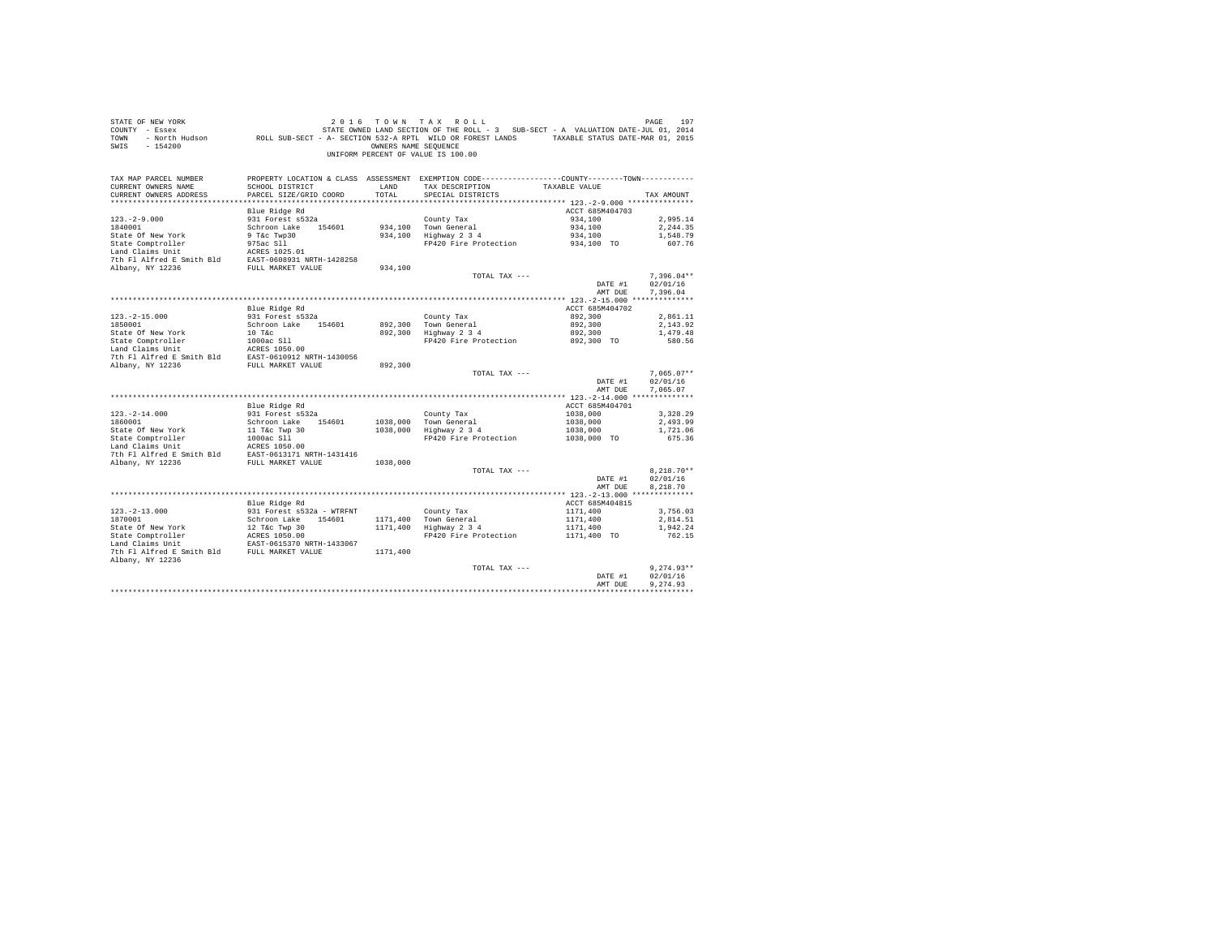| COUNTY - Essex<br>TOWN<br>SWIS<br>$-154200$                                                                              | - North Hudson ROLL SUB-SECT - A- SECTION 532-A RPTL WILD OR FOREST LANDS TAXABLE STATUS DATE-MAR 01, 2015 | OWNERS NAME SEQUENCE | STATE OWNED LAND SECTION OF THE ROLL - 3 SUB-SECT - A VALUATION DATE-JUL 01, 2014               |                    |                      |
|--------------------------------------------------------------------------------------------------------------------------|------------------------------------------------------------------------------------------------------------|----------------------|-------------------------------------------------------------------------------------------------|--------------------|----------------------|
|                                                                                                                          |                                                                                                            |                      | UNIFORM PERCENT OF VALUE IS 100.00                                                              |                    |                      |
| TAX MAP PARCEL NUMBER                                                                                                    |                                                                                                            |                      | PROPERTY LOCATION & CLASS ASSESSMENT EXEMPTION CODE----------------COUNTY--------TOWN---------- |                    |                      |
| CURRENT OWNERS NAME                                                                                                      | SCHOOL DISTRICT                                                                                            | LAND<br>TOTAL        | TAX DESCRIPTION                                                                                 | TAXABLE VALUE      |                      |
| CURRENT OWNERS ADDRESS                                                                                                   | PARCEL SIZE/GRID COORD                                                                                     |                      | SPECIAL DISTRICTS                                                                               |                    | TAX AMOUNT           |
|                                                                                                                          | Blue Ridge Rd                                                                                              |                      |                                                                                                 | ACCT 685M404703    |                      |
| $123. - 2 - 9.000$                                                                                                       | 931 Forest s532a                                                                                           |                      | County Tax                                                                                      | 934,100            | 2,995.14             |
| 1840001                                                                                                                  | Schroon Lake 154601                                                                                        |                      | 934.100 Town General                                                                            | 934,100            | 2.244.35             |
| State Of New York                                                                                                        |                                                                                                            |                      | 934,100 Highway 2 3 4                                                                           | 934,100            | 1,548.79             |
| State Comptroller                                                                                                        | 9 T&c Twp30<br>975ac Sll                                                                                   |                      | FP420 Fire Protection                                                                           | 934,100 TO         | 607.76               |
| Land Claims Unit                                                                                                         | ACRES 1025.01                                                                                              |                      |                                                                                                 |                    |                      |
| 7th Fl Alfred E Smith Bld EAST-0608931 NRTH-1428258                                                                      |                                                                                                            |                      |                                                                                                 |                    |                      |
| Albany, NY 12236                                                                                                         | FULL MARKET VALUE                                                                                          | 934,100              |                                                                                                 |                    |                      |
|                                                                                                                          |                                                                                                            |                      | TOTAL TAX ---                                                                                   |                    | $7,396.04**$         |
|                                                                                                                          |                                                                                                            |                      |                                                                                                 | DATE #1<br>AMT DUE | 02/01/16<br>7,396.04 |
|                                                                                                                          |                                                                                                            |                      |                                                                                                 |                    |                      |
|                                                                                                                          | Blue Ridge Rd                                                                                              |                      |                                                                                                 | ACCT 685M404702    |                      |
| $123. -2 - 15.000$                                                                                                       | 931 Forest s532a                                                                                           |                      |                                                                                                 | 892,300            | 2.861.11             |
| 1850001                                                                                                                  | Schroon Lake 154601                                                                                        |                      |                                                                                                 | 892,300            | 2,143.92             |
| State Of New York                                                                                                        | $10$ T&c                                                                                                   |                      | County Tax<br>892,300 Town General<br>892,300 Highway 2 3 4                                     | 892,300            | 1,479.48             |
|                                                                                                                          |                                                                                                            |                      | FP420 Fire Protection                                                                           | 892,300 TO         | 580.56               |
| State Comptroller 1000ac S11<br>Land Claims Unit 12 ACRES 1050.00<br>7th Fl Alfred E Smith Bld EAST-0610912 NRTH-1430056 |                                                                                                            |                      |                                                                                                 |                    |                      |
|                                                                                                                          |                                                                                                            |                      |                                                                                                 |                    |                      |
| Albany, NY 12236                                                                                                         | FULL MARKET VALUE                                                                                          | 892,300              | TOTAL TAX ---                                                                                   |                    | $7.065.07**$         |
|                                                                                                                          |                                                                                                            |                      |                                                                                                 | DATE #1            | 02/01/16             |
|                                                                                                                          |                                                                                                            |                      |                                                                                                 | AMT DUE            | 7.065.07             |
|                                                                                                                          |                                                                                                            |                      |                                                                                                 |                    |                      |
|                                                                                                                          | Blue Ridge Rd                                                                                              |                      |                                                                                                 | ACCT 685M404701    |                      |
| $123. - 2 - 14.000$                                                                                                      | 931 Forest s532a                                                                                           |                      | County Tax                                                                                      | 1038,000           | 3.328.29             |
| 1860001                                                                                                                  | Schroon Lake 154601                                                                                        |                      | 1038,000 Town General                                                                           | 1038,000           | 2,493.99             |
| State Of New York                                                                                                        | 11 T&c Twp 30                                                                                              |                      | 1038,000 Highway 2 3 4                                                                          | 1038,000           | 1,721.06             |
| State Comptroller                                                                                                        | 1000ac Sll                                                                                                 |                      | FP420 Fire Protection                                                                           | 1038,000 TO        | 675.36               |
| Land Claims Unit                                                                                                         | ACRES 1050.00                                                                                              |                      |                                                                                                 |                    |                      |
| 7th Fl Alfred E Smith Bld<br>Albany, NY 12236                                                                            | EAST-0613171 NRTH-1431416<br>FULL MARKET VALUE                                                             | 1038,000             |                                                                                                 |                    |                      |
|                                                                                                                          |                                                                                                            |                      | TOTAL TAX ---                                                                                   |                    | $8.218.70**$         |
|                                                                                                                          |                                                                                                            |                      |                                                                                                 | DATE #1            | 02/01/16             |
|                                                                                                                          |                                                                                                            |                      |                                                                                                 | AMT DUE            | 8.218.70             |
|                                                                                                                          |                                                                                                            |                      |                                                                                                 |                    |                      |
|                                                                                                                          | Blue Ridge Rd                                                                                              |                      |                                                                                                 | ACCT 685M404815    |                      |
| $123. - 2 - 13.000$                                                                                                      | 931 Forest s532a - WTRFNT                                                                                  |                      | County Tax                                                                                      | 1171,400           | 3,756.03             |
| 1870001                                                                                                                  | Schroon Lake 154601                                                                                        |                      | 1171,400 Town General                                                                           | 1171,400           | 2,814.51             |
| State Of New York                                                                                                        | 12 T&C Twp 30<br>ACRES 1050.00<br>EAST-0615370 NRTH-1433067                                                |                      | 1171,400 Highway 2 3 4                                                                          | 1171,400           | 1,942.24             |
| State Comptroller<br>Tand Claims Unit                                                                                    |                                                                                                            |                      | FP420 Fire Protection 1171,400 TO                                                               |                    | 762.15               |
| Land Claims Unit<br>7th Fl Alfred E Smith Bld FULL MARKET VALUE                                                          |                                                                                                            | 1171,400             |                                                                                                 |                    |                      |
| Albany, NY 12236                                                                                                         |                                                                                                            |                      |                                                                                                 |                    |                      |
|                                                                                                                          |                                                                                                            |                      | TOTAL TAX ---                                                                                   |                    | $9.274.93**$         |
|                                                                                                                          |                                                                                                            |                      |                                                                                                 | DATE #1            | 02/01/16             |
|                                                                                                                          |                                                                                                            |                      |                                                                                                 | AMT DUE            | 9.274.93             |
|                                                                                                                          |                                                                                                            |                      |                                                                                                 |                    |                      |

STATE OF NEW YORK **2016** TOWN TAX ROLL **DAGE 197**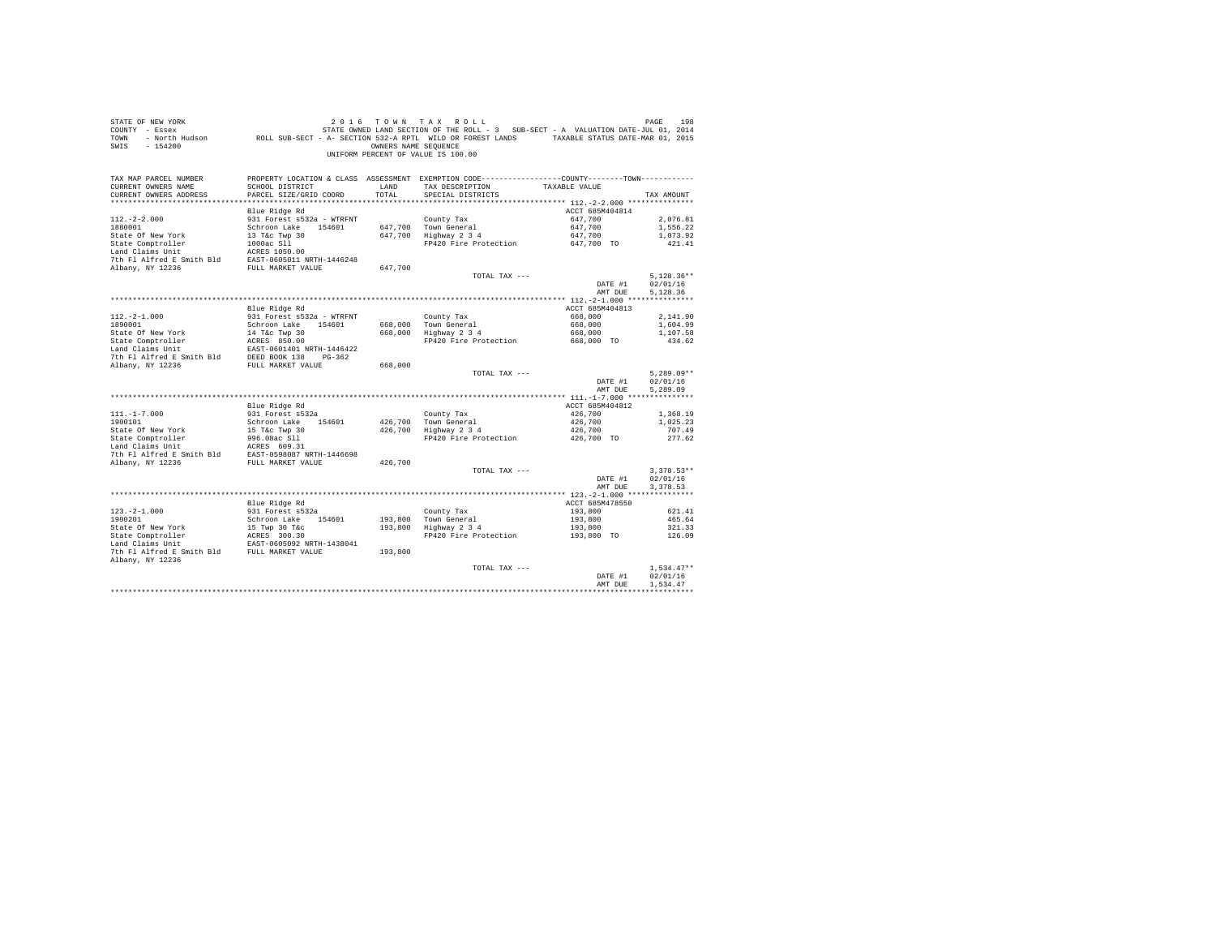| COUNTY - Essex<br>TOWN<br>SWIS<br>$-154200$                                                                                                                                                                                                                  | - North Hudson ROLL SUB-SECT - A- SECTION 532-A RPTL WILD OR FOREST LANDS TAXABLE STATUS DATE-MAR 01, 2015 | OWNERS NAME SEQUENCE | STATE OWNED LAND SECTION OF THE ROLL - 3 SUB-SECT - A VALUATION DATE-JUL 01, 2014<br>UNIFORM PERCENT OF VALUE IS 100.00 |                       |                      |
|--------------------------------------------------------------------------------------------------------------------------------------------------------------------------------------------------------------------------------------------------------------|------------------------------------------------------------------------------------------------------------|----------------------|-------------------------------------------------------------------------------------------------------------------------|-----------------------|----------------------|
| TAX MAP PARCEL NUMBER                                                                                                                                                                                                                                        |                                                                                                            |                      | PROPERTY LOCATION & CLASS ASSESSMENT EXEMPTION CODE----------------COUNTY--------TOWN----------                         |                       |                      |
| CURRENT OWNERS NAME                                                                                                                                                                                                                                          | SCHOOL DISTRICT                                                                                            | LAND                 | TAX DESCRIPTION TAXABLE VALUE                                                                                           |                       |                      |
| CURRENT OWNERS ADDRESS                                                                                                                                                                                                                                       | PARCEL SIZE/GRID COORD                                                                                     | TOTAL                | SPECIAL DISTRICTS                                                                                                       |                       | TAX AMOUNT           |
|                                                                                                                                                                                                                                                              |                                                                                                            |                      |                                                                                                                         |                       |                      |
|                                                                                                                                                                                                                                                              | Blue Ridge Rd                                                                                              |                      |                                                                                                                         | ACCT 685M404814       |                      |
| $112. - 2 - 2.000$<br>1880001                                                                                                                                                                                                                                |                                                                                                            |                      |                                                                                                                         | 647,700<br>647.700    | 2,076.81<br>1,556.22 |
|                                                                                                                                                                                                                                                              |                                                                                                            |                      | 647,700 Highway 2 3 4                                                                                                   | 647,700               | 1,073.92             |
| State of New York 13 Tac Twp 30<br>State Comptroller 1000ac S11<br>State Comptroller 1000ac S11<br>Land Claims Unit<br>The F1 Alfred E Smith B1d EAST-0605011 NRTH-1446248<br>7th F1 Alfred E Smith B1d EAST-0605011 NRTH-1446248<br>Alban                   |                                                                                                            |                      | FP420 Fire Protection                                                                                                   | 647,700 TO            | 421.41               |
|                                                                                                                                                                                                                                                              |                                                                                                            |                      |                                                                                                                         |                       |                      |
|                                                                                                                                                                                                                                                              |                                                                                                            |                      |                                                                                                                         |                       |                      |
|                                                                                                                                                                                                                                                              |                                                                                                            | 647.700              |                                                                                                                         |                       |                      |
|                                                                                                                                                                                                                                                              |                                                                                                            |                      | TOTAL TAX ---                                                                                                           |                       | $5,128.36**$         |
|                                                                                                                                                                                                                                                              |                                                                                                            |                      |                                                                                                                         | DATE #1               | 02/01/16             |
|                                                                                                                                                                                                                                                              |                                                                                                            |                      |                                                                                                                         | AMT DUE               | 5,128.36             |
|                                                                                                                                                                                                                                                              |                                                                                                            |                      |                                                                                                                         |                       |                      |
|                                                                                                                                                                                                                                                              | Blue Ridge Rd                                                                                              |                      |                                                                                                                         | ACCT 685M404813       |                      |
| $112. -2 - 1.000$                                                                                                                                                                                                                                            | 931 Forest s532a - WTRFNT                                                                                  |                      | County Tax<br>668,000 Town General<br>668,000 Highway 2 3 4                                                             | 668,000               | 2.141.90             |
| 1890001                                                                                                                                                                                                                                                      | Schroon Lake 154601                                                                                        |                      |                                                                                                                         | 668,000               | 1,604.99             |
|                                                                                                                                                                                                                                                              |                                                                                                            |                      |                                                                                                                         | 668,000               | 1,107.58             |
|                                                                                                                                                                                                                                                              |                                                                                                            |                      | FP420 Fire Protection 668,000 TO                                                                                        |                       | 434.62               |
| State of New York<br>14 T&c Twp 30<br>State Comptroller<br>202058 850.00<br>14 T&c Twp 30<br>14 T&c Twp 30<br>14 T&c Twp 30<br>14 Alfred E Smith Bld<br>20206 138<br>20206 138<br>20206 138<br>20206 138<br>20206 138<br>20206 138<br>20206 138<br>20206 138 |                                                                                                            |                      |                                                                                                                         |                       |                      |
| Albany, NY 12236                                                                                                                                                                                                                                             | FULL MARKET VALUE                                                                                          | 668,000              |                                                                                                                         |                       |                      |
|                                                                                                                                                                                                                                                              |                                                                                                            |                      | TOTAL TAX ---                                                                                                           |                       | $5.289.09**$         |
|                                                                                                                                                                                                                                                              |                                                                                                            |                      |                                                                                                                         | DATE #1               | 02/01/16             |
|                                                                                                                                                                                                                                                              |                                                                                                            |                      |                                                                                                                         | AMT DUE               | 5,289.09             |
|                                                                                                                                                                                                                                                              |                                                                                                            |                      |                                                                                                                         |                       |                      |
|                                                                                                                                                                                                                                                              | Blue Ridge Rd                                                                                              |                      |                                                                                                                         | ACCT 685M404812       |                      |
| $111. - 1 - 7.000$                                                                                                                                                                                                                                           | 931 Forest s532a                                                                                           |                      | County Tax                                                                                                              | 426,700               | 1,368.19             |
| 1900101                                                                                                                                                                                                                                                      | Schroon Lake 154601                                                                                        |                      |                                                                                                                         | 426,700               | 1,025.23             |
| State Of New York                                                                                                                                                                                                                                            | 15 T&c Twp 30                                                                                              |                      | 426,700 Town General<br>426,700 Highway 2 3 4                                                                           | 426,700<br>426,700 TO | 707.49               |
| State Comptroller                                                                                                                                                                                                                                            | 996.08ac S11<br>ACRES 609.31                                                                               |                      | FP420 Fire Protection                                                                                                   |                       | 277.62               |
| Land Claims Unit                                                                                                                                                                                                                                             |                                                                                                            |                      |                                                                                                                         |                       |                      |
| 7th Fl Alfred E Smith Bld EAST-0598087 NRTH-1446698                                                                                                                                                                                                          |                                                                                                            |                      |                                                                                                                         |                       |                      |
| Albany, NY 12236                                                                                                                                                                                                                                             | FULL MARKET VALUE                                                                                          | 426,700              |                                                                                                                         |                       |                      |
|                                                                                                                                                                                                                                                              |                                                                                                            |                      | TOTAL TAX ---                                                                                                           |                       | $3.378.53**$         |
|                                                                                                                                                                                                                                                              |                                                                                                            |                      |                                                                                                                         | DATE #1<br>AMT DUE    | 02/01/16<br>3.378.53 |
|                                                                                                                                                                                                                                                              |                                                                                                            |                      |                                                                                                                         |                       |                      |
|                                                                                                                                                                                                                                                              | Blue Ridge Rd                                                                                              |                      |                                                                                                                         | ACCT 685M478550       |                      |
| $123. -2 - 1.000$                                                                                                                                                                                                                                            | 931 Forest s532a                                                                                           |                      |                                                                                                                         | 193,800               | 621.41               |
| 1900201                                                                                                                                                                                                                                                      | Schroon Lake 154601                                                                                        |                      |                                                                                                                         | 193,800               | 465.64               |
|                                                                                                                                                                                                                                                              |                                                                                                            |                      | County Tax<br>193,800 Town General<br>193,800 Highway 2 3 4                                                             | 193,800               | 321.33               |
|                                                                                                                                                                                                                                                              |                                                                                                            |                      | FP420 Fire Protection 193,800 TO 126.09                                                                                 |                       |                      |
|                                                                                                                                                                                                                                                              |                                                                                                            |                      |                                                                                                                         |                       |                      |
| State of New York<br>State Comptroller<br>State Comptroller<br>15 Twp 30 T&C<br>Land Claims Unit<br>The Fl Alfred E Smith Bld<br>TCL MARKET VALUE<br>The Fl Alfred E Smith Bld<br>FULL MARKET VALUE<br>Albany, NY 12236                                      |                                                                                                            | 193,800              |                                                                                                                         |                       |                      |
|                                                                                                                                                                                                                                                              |                                                                                                            |                      | TOTAL TAX ---                                                                                                           |                       | $1.534.47**$         |
|                                                                                                                                                                                                                                                              |                                                                                                            |                      |                                                                                                                         | DATE #1               | 02/01/16             |
|                                                                                                                                                                                                                                                              |                                                                                                            |                      |                                                                                                                         | AMT DUE               | 1.534.47             |
|                                                                                                                                                                                                                                                              |                                                                                                            |                      |                                                                                                                         |                       |                      |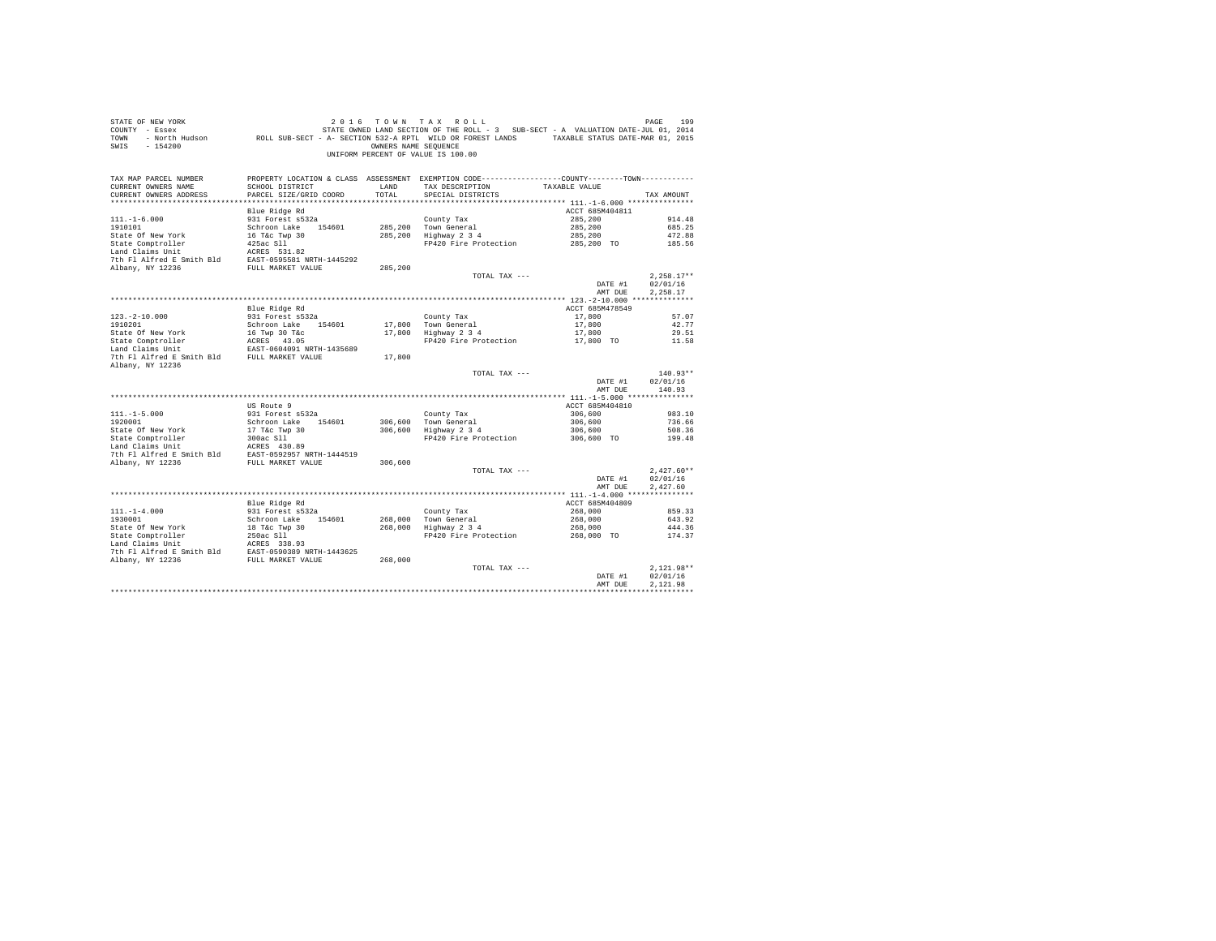| STATE OF NEW YORK<br>COUNTY - Essex<br>TOWN<br>$-154200$<br>SWIS                                                                                                      | vr אבא אות א בא ש שנים של המשלב בין את אבר של השום של האבץ בין את האות בית האות בין בין בין בין של היו של היו<br>2014 - ESSEX III ON ON THE OWNED LAND SECTION OF THE ROLL - 3 SUB-SECT - A VALUATION DATE-JUL 01, 2014<br>North Hu | OWNERS NAME SEOUENCE | 2016 TOWN TAX ROLL<br>UNIFORM PERCENT OF VALUE IS 100.00                                                                               |                            | PAGE<br>199          |
|-----------------------------------------------------------------------------------------------------------------------------------------------------------------------|-------------------------------------------------------------------------------------------------------------------------------------------------------------------------------------------------------------------------------------|----------------------|----------------------------------------------------------------------------------------------------------------------------------------|----------------------------|----------------------|
| TAX MAP PARCEL NUMBER<br>CURRENT OWNERS NAME<br>CURRENT OWNERS ADDRESS                                                                                                | SCHOOL DISTRICT<br>PARCEL SIZE/GRID COORD                                                                                                                                                                                           | LAND<br>TOTAL        | PROPERTY LOCATION & CLASS ASSESSMENT EXEMPTION CODE----------------COUNTY-------TOWN----------<br>TAX DESCRIPTION<br>SPECIAL DISTRICTS | TAXABLE VALUE              | TAX AMOUNT           |
|                                                                                                                                                                       |                                                                                                                                                                                                                                     |                      |                                                                                                                                        |                            |                      |
| $111. - 1 - 6.000$                                                                                                                                                    | Blue Ridge Rd<br>931 Forest s532a                                                                                                                                                                                                   |                      | County Tax                                                                                                                             | ACCT 685M404811<br>285,200 | 914.48               |
| 1910101                                                                                                                                                               | Schroon Lake 154601                                                                                                                                                                                                                 |                      | 285,200 Town General                                                                                                                   | 285,200                    | 685.25               |
| State Of New York                                                                                                                                                     | 16 T&C Twp 30                                                                                                                                                                                                                       |                      | 285,200 Highway 2 3 4                                                                                                                  | 285,200                    | 472.88               |
| State Comptroller                                                                                                                                                     | $425ac$ S11                                                                                                                                                                                                                         |                      | FP420 Fire Protection 285,200 TO                                                                                                       |                            | 185.56               |
| Land Claims Unit                                                                                                                                                      | ACRES 531.82                                                                                                                                                                                                                        |                      |                                                                                                                                        |                            |                      |
| 7th Fl Alfred E Smith Bld EAST-0595581 NRTH-1445292                                                                                                                   |                                                                                                                                                                                                                                     |                      |                                                                                                                                        |                            |                      |
| Albany, NY 12236                                                                                                                                                      | FULL MARKET VALUE                                                                                                                                                                                                                   | 285,200              |                                                                                                                                        |                            |                      |
|                                                                                                                                                                       |                                                                                                                                                                                                                                     |                      | TOTAL TAX ---                                                                                                                          |                            | $2.258.17**$         |
|                                                                                                                                                                       |                                                                                                                                                                                                                                     |                      |                                                                                                                                        | DATE #1<br>AMT DUE         | 02/01/16<br>2,258.17 |
|                                                                                                                                                                       |                                                                                                                                                                                                                                     |                      |                                                                                                                                        |                            |                      |
|                                                                                                                                                                       | Blue Ridge Rd                                                                                                                                                                                                                       |                      |                                                                                                                                        | ACCT 685M478549            |                      |
| $123. -2 - 10.000$                                                                                                                                                    | 931 Forest s532a                                                                                                                                                                                                                    |                      | County Tax                                                                                                                             | 17,800                     | 57.07                |
| 1910201                                                                                                                                                               | Schroon Lake 154601                                                                                                                                                                                                                 |                      |                                                                                                                                        | 17,800                     | 42.77                |
|                                                                                                                                                                       |                                                                                                                                                                                                                                     |                      | 17,800 Town General<br>17,800 Highway 2 3 4                                                                                            | 17,800                     | 29.51                |
| State Of New York 16 Twp 30 T&c<br>State Comptroller 1 16 ARES 43.05<br>Land Claims Unit 16 EAST-0604091 NRTH-1435689                                                 |                                                                                                                                                                                                                                     |                      | FP420 Fire Protection 17,800 TO 11.58                                                                                                  |                            |                      |
|                                                                                                                                                                       |                                                                                                                                                                                                                                     |                      |                                                                                                                                        |                            |                      |
| 7th Fl Alfred E Smith Bld FULL MARKET VALUE<br>Albany, NY 12236                                                                                                       |                                                                                                                                                                                                                                     | 17,800               |                                                                                                                                        |                            |                      |
|                                                                                                                                                                       |                                                                                                                                                                                                                                     |                      | TOTAL TAX ---                                                                                                                          |                            | $140.93**$           |
|                                                                                                                                                                       |                                                                                                                                                                                                                                     |                      |                                                                                                                                        | DATE #1                    | 02/01/16             |
|                                                                                                                                                                       |                                                                                                                                                                                                                                     |                      |                                                                                                                                        | AMT DUE                    | 140.93               |
|                                                                                                                                                                       |                                                                                                                                                                                                                                     |                      |                                                                                                                                        |                            |                      |
|                                                                                                                                                                       | US Route 9                                                                                                                                                                                                                          |                      |                                                                                                                                        | ACCT 685M404810            |                      |
| $111. - 1 - 5.000$                                                                                                                                                    | 931 Forest s532a                                                                                                                                                                                                                    |                      | County Tax                                                                                                                             | 306,600                    | 983.10               |
| 1920001                                                                                                                                                               | Schroon Lake 154601                                                                                                                                                                                                                 |                      | 306,600 Town General<br>306,600 Highway 2 3 4                                                                                          | 306,600                    | 736.66               |
|                                                                                                                                                                       | 17 T&C Twp 30<br>300ac S11                                                                                                                                                                                                          |                      | FP420 Fire Protection 306,600 TO                                                                                                       | 306,600                    | 508.36<br>199.48     |
| 1920001<br>State Of New York<br>State Comptroller                                                                                                                     |                                                                                                                                                                                                                                     |                      |                                                                                                                                        |                            |                      |
| $\begin{tabular}{llllll} \texttt{Land Claus Unit} & \texttt{ACKES} & 430.89 \\ \texttt{7th Fl Alfred E Smith Bld} & \texttt{EAST-0592957 NRTH-1444519} \end{tabular}$ |                                                                                                                                                                                                                                     |                      |                                                                                                                                        |                            |                      |
| Albany, NY 12236                                                                                                                                                      | FULL MARKET VALUE                                                                                                                                                                                                                   | 306,600              |                                                                                                                                        |                            |                      |
|                                                                                                                                                                       |                                                                                                                                                                                                                                     |                      | TOTAL TAX ---                                                                                                                          |                            | $2.427.60**$         |
|                                                                                                                                                                       |                                                                                                                                                                                                                                     |                      |                                                                                                                                        | DATE #1                    | 02/01/16             |
|                                                                                                                                                                       |                                                                                                                                                                                                                                     |                      |                                                                                                                                        | AMT DUE                    | 2.427.60             |
|                                                                                                                                                                       |                                                                                                                                                                                                                                     |                      |                                                                                                                                        | ACCT 685M404809            |                      |
| $111. - 1 - 4.000$                                                                                                                                                    | Blue Ridge Rd<br>931 Forest s532a                                                                                                                                                                                                   |                      | County Tax                                                                                                                             | 268,000                    | 859.33               |
| 1930001                                                                                                                                                               | Schroon Lake 154601                                                                                                                                                                                                                 |                      |                                                                                                                                        | 268,000                    | 643.92               |
|                                                                                                                                                                       |                                                                                                                                                                                                                                     |                      | 268,000 Town General<br>268,000 Highway 2 3 4                                                                                          | 268,000                    | 444.36               |
|                                                                                                                                                                       |                                                                                                                                                                                                                                     |                      | FP420 Fire Protection                                                                                                                  | 268,000 TO                 | 174.37               |
|                                                                                                                                                                       |                                                                                                                                                                                                                                     |                      |                                                                                                                                        |                            |                      |
|                                                                                                                                                                       |                                                                                                                                                                                                                                     |                      |                                                                                                                                        |                            |                      |
|                                                                                                                                                                       |                                                                                                                                                                                                                                     |                      |                                                                                                                                        |                            |                      |
|                                                                                                                                                                       |                                                                                                                                                                                                                                     |                      | TOTAL TAX ---                                                                                                                          |                            | $2.121.98**$         |
|                                                                                                                                                                       |                                                                                                                                                                                                                                     |                      |                                                                                                                                        | DATE #1<br>AMT DUE         | 02/01/16<br>2.121.98 |
|                                                                                                                                                                       |                                                                                                                                                                                                                                     |                      |                                                                                                                                        |                            |                      |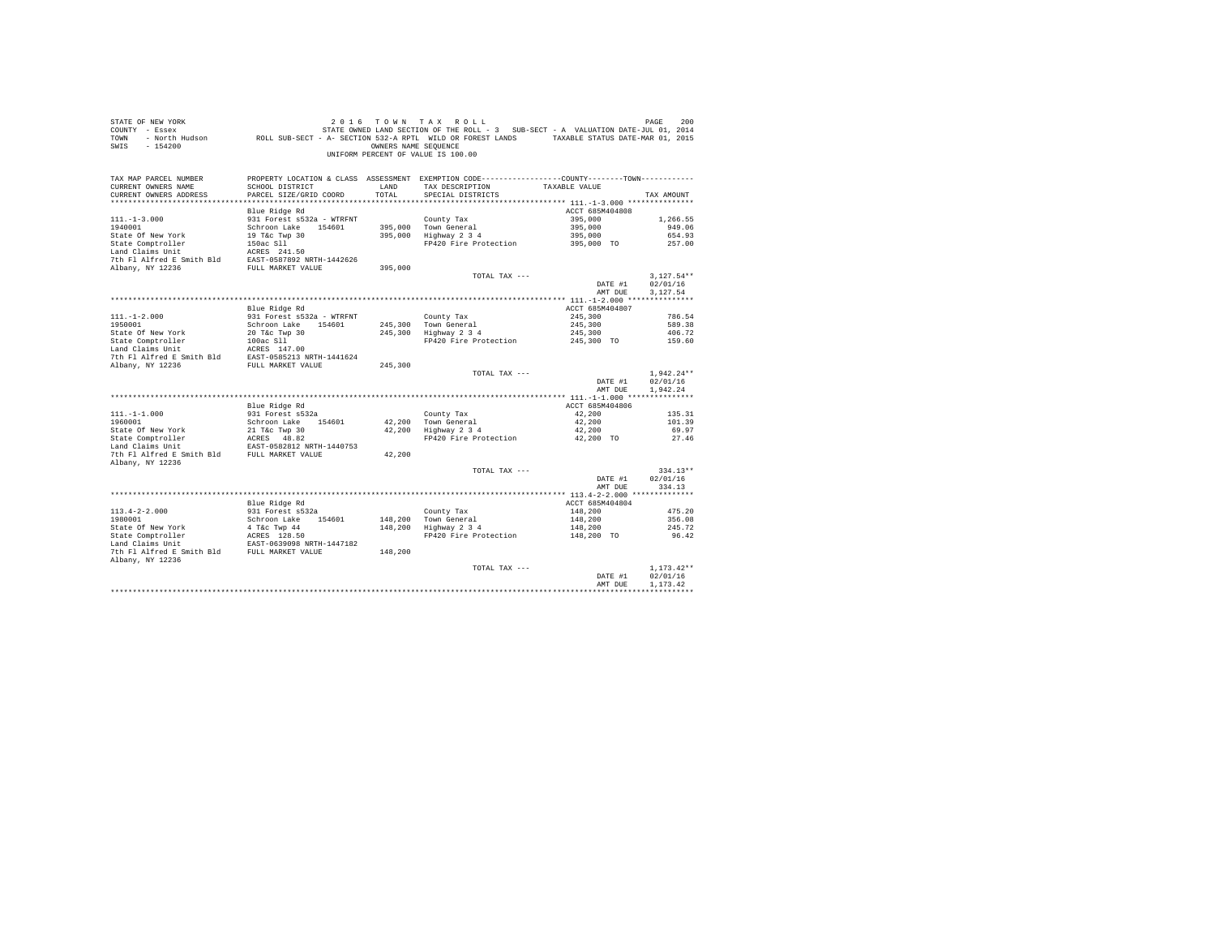| COUNTY - Essex<br>TOWN<br>SWIS<br>$-154200$                                                                                                                                                                                                  | - North Hudson ROLL SUB-SECT - A- SECTION 532-A RPTL WILD OR FOREST LANDS TAXABLE STATUS DATE-MAR 01, 2015 | OWNERS NAME SEQUENCE | STATE OWNED LAND SECTION OF THE ROLL - 3 SUB-SECT - A VALUATION DATE-JUL 01, 2014<br>UNIFORM PERCENT OF VALUE IS 100.00 |                    |                    |
|----------------------------------------------------------------------------------------------------------------------------------------------------------------------------------------------------------------------------------------------|------------------------------------------------------------------------------------------------------------|----------------------|-------------------------------------------------------------------------------------------------------------------------|--------------------|--------------------|
| TAX MAP PARCEL NUMBER                                                                                                                                                                                                                        |                                                                                                            |                      | PROPERTY LOCATION & CLASS ASSESSMENT EXEMPTION CODE----------------COUNTY--------TOWN----------                         |                    |                    |
| CURRENT OWNERS NAME                                                                                                                                                                                                                          | SCHOOL DISTRICT                                                                                            | LAND                 | TAX DESCRIPTION TAXABLE VALUE                                                                                           |                    |                    |
| CURRENT OWNERS ADDRESS                                                                                                                                                                                                                       | PARCEL SIZE/GRID COORD                                                                                     | TOTAL                | SPECIAL DISTRICTS                                                                                                       |                    | TAX AMOUNT         |
|                                                                                                                                                                                                                                              |                                                                                                            |                      |                                                                                                                         |                    |                    |
|                                                                                                                                                                                                                                              | Blue Ridge Rd                                                                                              |                      |                                                                                                                         | ACCT 685M404808    |                    |
| $111. - 1 - 3.000$<br>1940001                                                                                                                                                                                                                | 931 Forest s532a - WTRFNT<br>Schroon Lake 154601                                                           |                      | County Tax<br>395,000 Town General                                                                                      | 395,000<br>395,000 | 1,266.55<br>949.06 |
|                                                                                                                                                                                                                                              |                                                                                                            |                      | 395,000 Highway 2 3 4                                                                                                   | 395,000            | 654.93             |
| State of New York (1976)<br>State Comptroller (1976)<br>State Comptroller (1976)<br>ISBN 2018053241-50<br>Land Claims Unit<br>In Alfred E Smith Bld EAST-0587922 NETH-1442626<br>7th F1 Alfred E Smith Bld EAST-0587922 NETH-1442626<br>NDBn |                                                                                                            |                      | FP420 Fire Protection                                                                                                   | $395,000$ TO       | 257.00             |
|                                                                                                                                                                                                                                              |                                                                                                            |                      |                                                                                                                         |                    |                    |
|                                                                                                                                                                                                                                              |                                                                                                            |                      |                                                                                                                         |                    |                    |
|                                                                                                                                                                                                                                              |                                                                                                            | 395,000              |                                                                                                                         |                    |                    |
|                                                                                                                                                                                                                                              |                                                                                                            |                      | TOTAL TAX ---                                                                                                           |                    | $3,127.54**$       |
|                                                                                                                                                                                                                                              |                                                                                                            |                      |                                                                                                                         | DATE #1            | 02/01/16           |
|                                                                                                                                                                                                                                              |                                                                                                            |                      |                                                                                                                         | AMT DUE            | 3,127.54           |
|                                                                                                                                                                                                                                              |                                                                                                            |                      |                                                                                                                         |                    |                    |
|                                                                                                                                                                                                                                              | Blue Ridge Rd                                                                                              |                      |                                                                                                                         | ACCT 685M404807    |                    |
| $111. - 1 - 2.000$                                                                                                                                                                                                                           | 931 Forest s532a - WTRFNT                                                                                  |                      | County Tax<br>245,300 Town General<br>245,300 Highway 2 3 4                                                             | 245,300            | 786.54             |
| 1950001                                                                                                                                                                                                                                      | Schroon Lake 154601                                                                                        |                      |                                                                                                                         | 245,300            | 589.38             |
|                                                                                                                                                                                                                                              |                                                                                                            |                      |                                                                                                                         | 245,300            | 406.72             |
|                                                                                                                                                                                                                                              |                                                                                                            |                      | FP420 Fire Protection                                                                                                   | 245,300 TO         | 159.60             |
| State Of New York<br>20 T&c Twp 30<br>State Comptroller<br>100ac S11<br>100ac S11<br>100ac S11<br>20 T&c Twp 30<br>20 T&c Twp 30<br>100ac S147.00<br>7th Fl Alfred E Smith Bld<br>EAST-0585213 NRTH-1441624                                  |                                                                                                            |                      |                                                                                                                         |                    |                    |
|                                                                                                                                                                                                                                              |                                                                                                            |                      |                                                                                                                         |                    |                    |
| Albany, NY 12236                                                                                                                                                                                                                             | FULL MARKET VALUE                                                                                          | 245,300              | TOTAL TAX ---                                                                                                           |                    | $1.942.24**$       |
|                                                                                                                                                                                                                                              |                                                                                                            |                      |                                                                                                                         | DATE #1            | 02/01/16           |
|                                                                                                                                                                                                                                              |                                                                                                            |                      |                                                                                                                         | AMT DUE            | 1.942.24           |
|                                                                                                                                                                                                                                              |                                                                                                            |                      |                                                                                                                         |                    |                    |
|                                                                                                                                                                                                                                              | Blue Ridge Rd                                                                                              |                      |                                                                                                                         | ACCT 685M404806    |                    |
| $111. - 1 - 1.000$                                                                                                                                                                                                                           | 931 Forest s532a                                                                                           |                      | County Tax                                                                                                              | 42,200             | 135.31             |
| 1960001                                                                                                                                                                                                                                      | Schroon Lake 154601                                                                                        |                      |                                                                                                                         | 42,200             | 101.39             |
|                                                                                                                                                                                                                                              |                                                                                                            |                      | 42,200 Town General<br>42,200 Highway 2 3 4                                                                             | 42,200             | 69.97              |
|                                                                                                                                                                                                                                              |                                                                                                            |                      | FP420 Fire Protection                                                                                                   | 42,200 TO          | 27.46              |
|                                                                                                                                                                                                                                              |                                                                                                            |                      |                                                                                                                         |                    |                    |
| State of New York 21 Tkc Twp 30<br>State Comptroller aCRES 48.82<br>Land Claims Unit EAST-0582812 NRTH-1440753<br>Tch Fl Alfred E Smith Bld FULL MARKET VALUE<br>Albany, NY 12236                                                            |                                                                                                            | 42,200               |                                                                                                                         |                    |                    |
|                                                                                                                                                                                                                                              |                                                                                                            |                      | TOTAL TAX ---                                                                                                           |                    | $334.13**$         |
|                                                                                                                                                                                                                                              |                                                                                                            |                      |                                                                                                                         | DATE #1            | 02/01/16           |
|                                                                                                                                                                                                                                              |                                                                                                            |                      |                                                                                                                         | AMT DUE            | 334.13             |
|                                                                                                                                                                                                                                              |                                                                                                            |                      |                                                                                                                         |                    |                    |
|                                                                                                                                                                                                                                              | Blue Ridge Rd                                                                                              |                      |                                                                                                                         | ACCT 685M404804    |                    |
| $113.4 - 2 - 2.000$                                                                                                                                                                                                                          | 931 Forest s532a                                                                                           |                      | County Tax<br>148,200 Town General<br>148,200 Highway 2 3 4                                                             | 148,200            | 475.20             |
|                                                                                                                                                                                                                                              |                                                                                                            |                      |                                                                                                                         | 148,200            | 356.08             |
|                                                                                                                                                                                                                                              |                                                                                                            |                      | FP420 Fire Protection 148,200 TO                                                                                        | 148,200            | 245.72             |
|                                                                                                                                                                                                                                              |                                                                                                            |                      |                                                                                                                         |                    | 96.42              |
|                                                                                                                                                                                                                                              |                                                                                                            | 148,200              |                                                                                                                         |                    |                    |
| Albany, NY 12236                                                                                                                                                                                                                             |                                                                                                            |                      |                                                                                                                         |                    |                    |
|                                                                                                                                                                                                                                              |                                                                                                            |                      | TOTAL TAX ---                                                                                                           |                    | $1.173.42**$       |
|                                                                                                                                                                                                                                              |                                                                                                            |                      |                                                                                                                         | DATE #1            | 02/01/16           |
|                                                                                                                                                                                                                                              |                                                                                                            |                      |                                                                                                                         | AMT DUE            | 1,173.42           |
|                                                                                                                                                                                                                                              |                                                                                                            |                      |                                                                                                                         |                    |                    |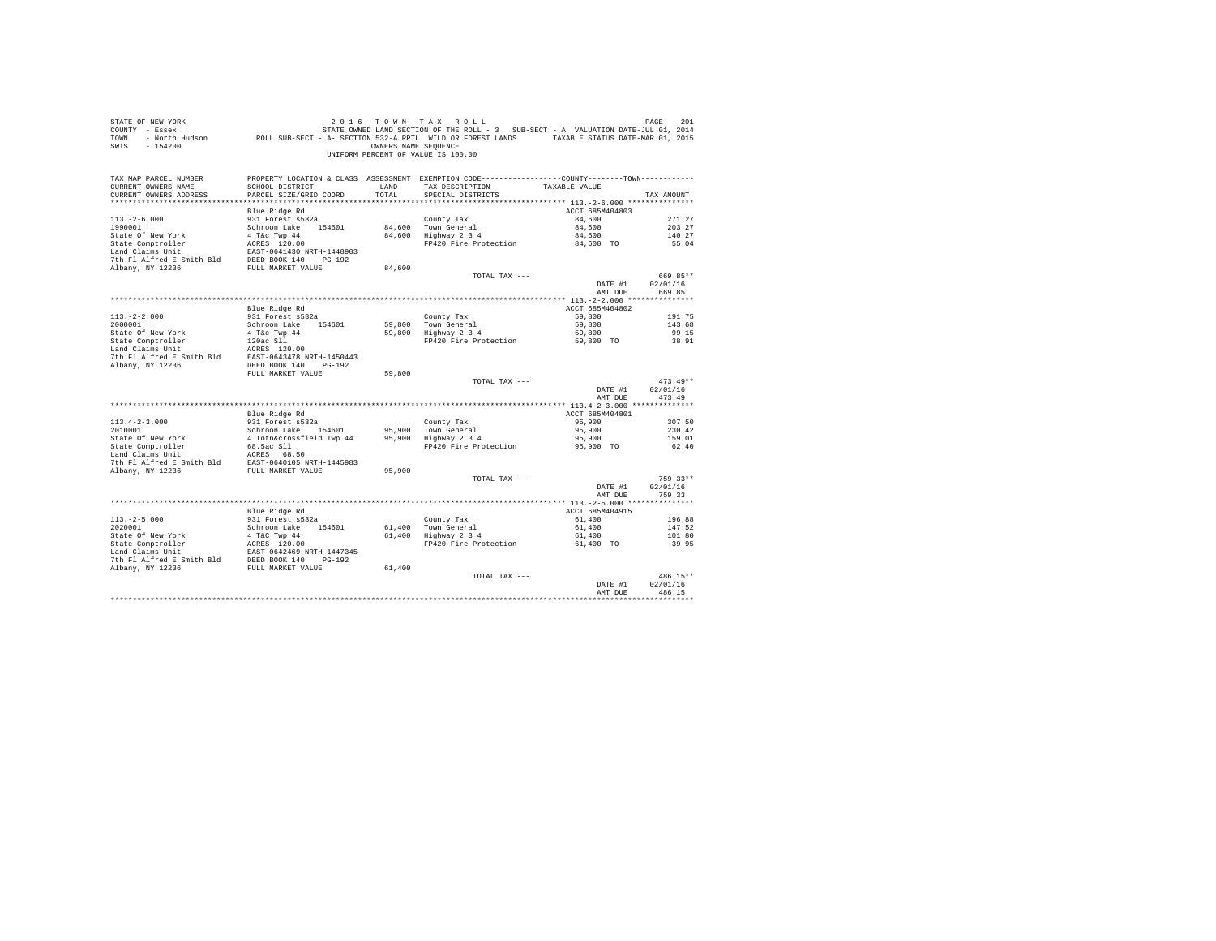| STATE OF NEW YORK<br>COUNTY - Essex<br>TOWN<br>$-154200$<br>SWIS |                                           | OWNERS NAME SEQUENCE | 2016 TOWN TAX ROLL<br>STATE OWNED LAND SECTION OF THE ROLL - 3 SUB-SECT - A VALUATION DATE-JUL 01, 2014<br>- North Hudson ROLL SUB-SECT - A- SECTION 532-A RPTL WILD OR FOREST LANDS TAXABLE STATUS DATE-MAR 01, 2015<br>UNIFORM PERCENT OF VALUE IS 100.00 |                           | PAGE<br>201 |
|------------------------------------------------------------------|-------------------------------------------|----------------------|-------------------------------------------------------------------------------------------------------------------------------------------------------------------------------------------------------------------------------------------------------------|---------------------------|-------------|
| TAX MAP PARCEL NUMBER                                            |                                           |                      | PROPERTY LOCATION & CLASS ASSESSMENT EXEMPTION CODE---------------COUNTY-------TOWN----------                                                                                                                                                               |                           |             |
| CURRENT OWNERS NAME<br>CURRENT OWNERS ADDRESS                    | SCHOOL DISTRICT<br>PARCEL SIZE/GRID COORD | LAND<br>TOTAL        | TAX DESCRIPTION<br>SPECIAL DISTRICTS                                                                                                                                                                                                                        | TAXABLE VALUE             | TAX AMOUNT  |
|                                                                  |                                           |                      |                                                                                                                                                                                                                                                             |                           |             |
|                                                                  | Blue Ridge Rd                             |                      |                                                                                                                                                                                                                                                             | ACCT 685M404803           |             |
| $113. - 2 - 6.000$                                               | 931 Forest s532a                          |                      | County Tax                                                                                                                                                                                                                                                  | 84,600                    | 271.27      |
| 1990001                                                          | Schroon Lake 154601                       |                      | 84,600 Town General                                                                                                                                                                                                                                         | 84,600                    | 203.27      |
| State Of New York                                                | 4 T&c Twp 44                              |                      | 84,600 Highway 2 3 4                                                                                                                                                                                                                                        | 84,600                    | 140.27      |
| State Comptroller                                                | ACRES 120.00                              |                      | FP420 Fire Protection                                                                                                                                                                                                                                       | 84,600 TO                 | 55.04       |
| Land Claims Unit                                                 | EAST-0641430 NRTH-1448903                 |                      |                                                                                                                                                                                                                                                             |                           |             |
| 7th Fl Alfred E Smith Bld                                        | DEED BOOK 140 PG-192                      |                      |                                                                                                                                                                                                                                                             |                           |             |
| Albany, NY 12236                                                 | FULL MARKET VALUE                         | 84,600               |                                                                                                                                                                                                                                                             |                           |             |
|                                                                  |                                           |                      | TOTAL TAX ---                                                                                                                                                                                                                                               |                           | 669.85**    |
|                                                                  |                                           |                      |                                                                                                                                                                                                                                                             | DATE #1                   | 02/01/16    |
|                                                                  |                                           |                      |                                                                                                                                                                                                                                                             | AMT DUE                   | 669.85      |
|                                                                  |                                           |                      |                                                                                                                                                                                                                                                             |                           |             |
| $113. -2 - 2.000$                                                | Blue Ridge Rd<br>931 Forest s532a         |                      |                                                                                                                                                                                                                                                             | ACCT 685M404802<br>59,800 | 191.75      |
| 2000001                                                          | Schroon Lake 154601                       | 59,800               | County Tax<br>Town General                                                                                                                                                                                                                                  | 59,800                    | 143.68      |
| State Of New York                                                | 4 T&c Twp 44                              | 59,800               | Highway 2 3 4                                                                                                                                                                                                                                               | 59,800                    | 99.15       |
| State Comptroller                                                | 120ac Sll                                 |                      | FP420 Fire Protection                                                                                                                                                                                                                                       | 59,800 TO                 | 38.91       |
| Land Claims Unit                                                 | ACRES 120.00                              |                      |                                                                                                                                                                                                                                                             |                           |             |
| 7th Fl Alfred E Smith Bld                                        | EAST-0643478 NRTH-1450443                 |                      |                                                                                                                                                                                                                                                             |                           |             |
| Albany, NY 12236                                                 | DEED BOOK 140 PG-192                      |                      |                                                                                                                                                                                                                                                             |                           |             |
|                                                                  | FULL MARKET VALUE                         | 59,800               |                                                                                                                                                                                                                                                             |                           |             |
|                                                                  |                                           |                      | TOTAL TAX ---                                                                                                                                                                                                                                               |                           | $473.49**$  |
|                                                                  |                                           |                      |                                                                                                                                                                                                                                                             | DATE #1                   | 02/01/16    |
|                                                                  |                                           |                      |                                                                                                                                                                                                                                                             | AMT DUE                   | 473.49      |
|                                                                  |                                           |                      |                                                                                                                                                                                                                                                             |                           |             |
| $113.4 - 2 - 3.000$                                              | Blue Ridge Rd<br>931 Forest s532a         |                      |                                                                                                                                                                                                                                                             | ACCT 685M404801<br>95,900 | 307.50      |
| 2010001                                                          | Schroon Lake 154601                       | 95,900               | County Tax<br>Town General                                                                                                                                                                                                                                  | 95,900                    | 230.42      |
| State Of New York                                                | 4 Totn&crossfield Twp 44                  | 95,900               | Highway 2 3 4                                                                                                                                                                                                                                               | 95,900                    | 159.01      |
| State Comptroller                                                | 68.5ac S11                                |                      | FP420 Fire Protection                                                                                                                                                                                                                                       | 95,900 TO                 | 62.40       |
| Land Claims Unit                                                 | ACRES 68.50                               |                      |                                                                                                                                                                                                                                                             |                           |             |
| 7th Fl Alfred E Smith Bld                                        | EAST-0640105 NRTH-1445983                 |                      |                                                                                                                                                                                                                                                             |                           |             |
| Albany, NY 12236                                                 | FULL MARKET VALUE                         | 95,900               |                                                                                                                                                                                                                                                             |                           |             |
|                                                                  |                                           |                      | TOTAL TAX ---                                                                                                                                                                                                                                               |                           | $759.33**$  |
|                                                                  |                                           |                      |                                                                                                                                                                                                                                                             | DATE #1                   | 02/01/16    |
|                                                                  |                                           |                      |                                                                                                                                                                                                                                                             | AMT DUE                   | 759.33      |
|                                                                  |                                           |                      |                                                                                                                                                                                                                                                             |                           |             |
| $113, -2 - 5, 000$                                               | Blue Ridge Rd<br>931 Forest s532a         |                      |                                                                                                                                                                                                                                                             | ACCT 685M404915<br>61,400 | 196.88      |
| 2020001                                                          | Schroon Lake 154601                       | 61,400               | County Tax<br>Town General                                                                                                                                                                                                                                  | 61,400                    | 147.52      |
| State Of New York                                                | 4 T&C Twp 44                              | 61,400               | Highway 2 3 4                                                                                                                                                                                                                                               | 61,400                    | 101.80      |
| State Comptroller                                                | ACRES 120.00                              |                      | FP420 Fire Protection                                                                                                                                                                                                                                       | 61,400 TO                 | 39.95       |
| Land Claims Unit                                                 | EAST-0642469 NRTH-1447345                 |                      |                                                                                                                                                                                                                                                             |                           |             |
| 7th Fl Alfred E Smith Bld                                        | DEED BOOK 140 PG-192                      |                      |                                                                                                                                                                                                                                                             |                           |             |
| Albany, NY 12236                                                 | FULL MARKET VALUE                         | 61,400               |                                                                                                                                                                                                                                                             |                           |             |
|                                                                  |                                           |                      | TOTAL TAX ---                                                                                                                                                                                                                                               |                           | 486.15**    |
|                                                                  |                                           |                      |                                                                                                                                                                                                                                                             | DATE #1                   | 02/01/16    |
|                                                                  |                                           |                      |                                                                                                                                                                                                                                                             | AMT DUE                   | 486.15      |
|                                                                  |                                           |                      |                                                                                                                                                                                                                                                             |                           |             |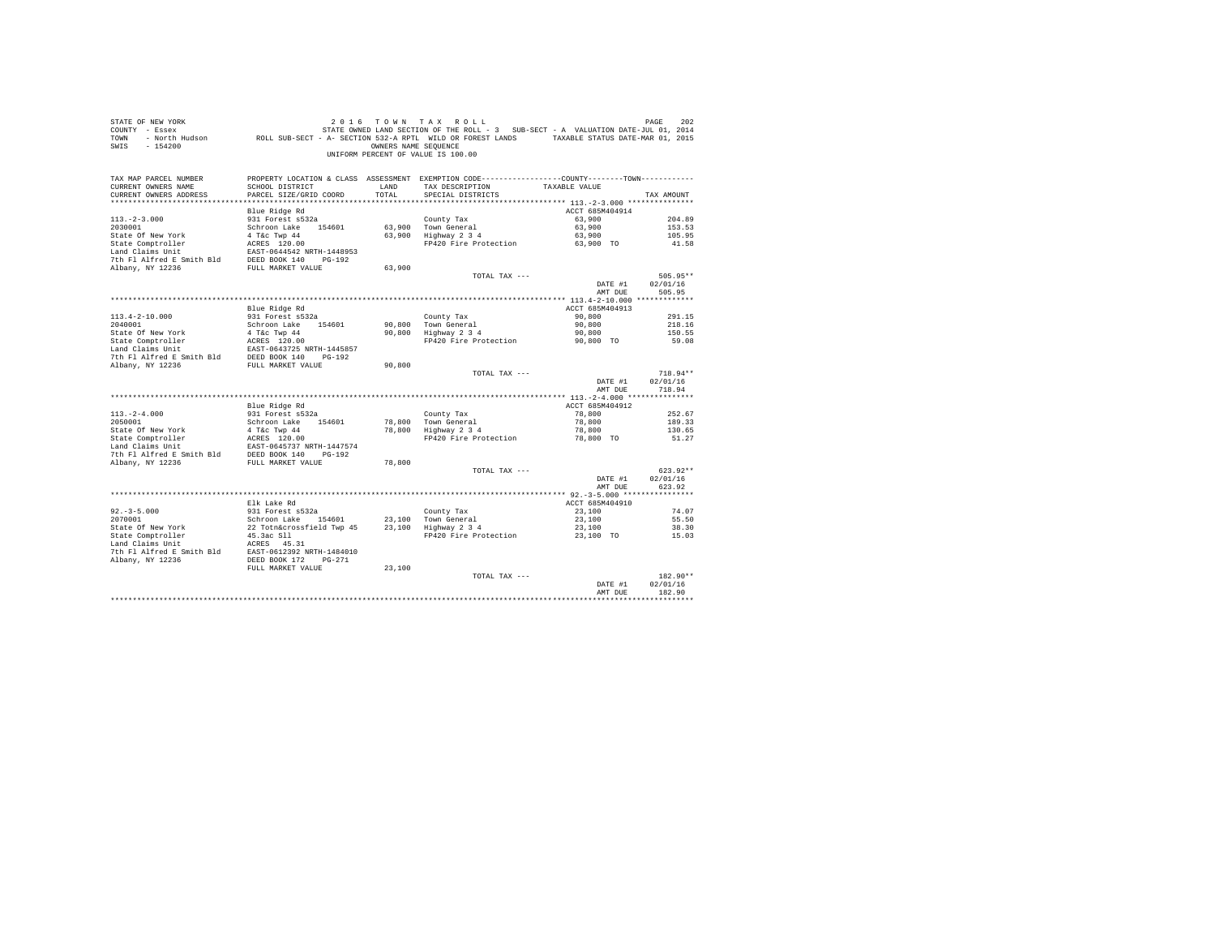| COUNTY - Essex<br>TOWN                                                                          | - North Hudson Mark ROLL SUB-SECT - A- SECTION 532-A RPTL WILD OR FOREST LANDS TAXABLE STATUS DATE-MAR 01, 2015         |                      | STATE OWNED LAND SECTION OF THE ROLL - 3 SUB-SECT - A VALUATION DATE-JUL 01, 2014               |                    |                      |
|-------------------------------------------------------------------------------------------------|-------------------------------------------------------------------------------------------------------------------------|----------------------|-------------------------------------------------------------------------------------------------|--------------------|----------------------|
| $-154200$<br>SWTS                                                                               |                                                                                                                         | OWNERS NAME SEQUENCE |                                                                                                 |                    |                      |
|                                                                                                 |                                                                                                                         |                      | UNIFORM PERCENT OF VALUE IS 100.00                                                              |                    |                      |
|                                                                                                 |                                                                                                                         |                      |                                                                                                 |                    |                      |
| TAX MAP PARCEL NUMBER                                                                           |                                                                                                                         |                      | PROPERTY LOCATION & CLASS ASSESSMENT EXEMPTION CODE----------------COUNTY--------TOWN---------- |                    |                      |
| CURRENT OWNERS NAME                                                                             | SCHOOL DISTRICT                                                                                                         | LAND                 | TAX DESCRIPTION                                                                                 | TAXABLE VALUE      |                      |
| CURRENT OWNERS ADDRESS                                                                          | PARCEL SIZE/GRID COORD                                                                                                  | TOTAL                | SPECIAL DISTRICTS                                                                               |                    | TAX AMOUNT           |
|                                                                                                 |                                                                                                                         |                      |                                                                                                 |                    |                      |
|                                                                                                 | Blue Ridge Rd                                                                                                           |                      |                                                                                                 | ACCT 685M404914    |                      |
| $113. -2 - 3.000$                                                                               | 931 Forest s532a                                                                                                        |                      | County Tax                                                                                      | 63,900             | 204.89               |
| 2030001                                                                                         | Schroon Lake 154601                                                                                                     |                      | 63,900 Town General                                                                             | 63,900             | 153.53               |
| State Of New York                                                                               | 4 T&c Twp 44                                                                                                            |                      | $63,900$ Highway $2\overline{3}4$                                                               | 63,900             | 105.95               |
| State Comptroller                                                                               | ACRES 120.00                                                                                                            |                      | FP420 Fire Protection                                                                           | 63,900 TO          | 41.58                |
| Land Claims Unit                                                                                | EAST-0644542 NRTH-1448953                                                                                               |                      |                                                                                                 |                    |                      |
| 7th F1 Alfred E Smith Bld DEED BOOK 140 PG-192                                                  |                                                                                                                         |                      |                                                                                                 |                    |                      |
| Albany, NY 12236                                                                                | FULL MARKET VALUE                                                                                                       | 63,900               |                                                                                                 |                    |                      |
|                                                                                                 |                                                                                                                         |                      | TOTAL TAX ---                                                                                   | DATE #1            | 505.95**<br>02/01/16 |
|                                                                                                 |                                                                                                                         |                      |                                                                                                 | AMT DUE            | 505.95               |
|                                                                                                 |                                                                                                                         |                      |                                                                                                 |                    |                      |
|                                                                                                 | Blue Ridge Rd                                                                                                           |                      |                                                                                                 | ACCT 685M404913    |                      |
| $113.4 - 2 - 10.000$                                                                            | 931 Forest s532a                                                                                                        |                      | County Tax                                                                                      | 90,800             | 291.15               |
| 2040001                                                                                         | Schroon Lake 154601                                                                                                     |                      | 90.800 Town General                                                                             | 90,800             | 218.16               |
|                                                                                                 |                                                                                                                         |                      | 90,800 Highway 2 3 4                                                                            | 90,800             | 150.55               |
|                                                                                                 |                                                                                                                         |                      | FP420 Fire Protection                                                                           | 90,800 TO          | 59.08                |
|                                                                                                 |                                                                                                                         |                      |                                                                                                 |                    |                      |
|                                                                                                 |                                                                                                                         |                      |                                                                                                 |                    |                      |
|                                                                                                 |                                                                                                                         |                      |                                                                                                 |                    |                      |
|                                                                                                 |                                                                                                                         | 90,800               |                                                                                                 |                    |                      |
|                                                                                                 |                                                                                                                         |                      | TOTAL TAX ---                                                                                   |                    | $718.94**$           |
|                                                                                                 |                                                                                                                         |                      |                                                                                                 | DATE #1            | 02/01/16             |
|                                                                                                 |                                                                                                                         |                      |                                                                                                 | AMT DUE            | 718.94               |
|                                                                                                 |                                                                                                                         |                      |                                                                                                 |                    |                      |
|                                                                                                 | Blue Ridge Rd                                                                                                           |                      |                                                                                                 | ACCT 685M404912    |                      |
| $113, -2 - 4, 000$                                                                              | 931 Forest s532a                                                                                                        |                      | County Tax                                                                                      | 78,800             | 252.67               |
| 2050001                                                                                         | Schroon Lake 154601                                                                                                     | 78,800               |                                                                                                 | 78,800             | 189.33               |
| State Of New York                                                                               |                                                                                                                         |                      | 78,800 Town General<br>78,800 Highway 2 3 4                                                     | 78,800             | 130.65               |
| State Comptroller                                                                               |                                                                                                                         |                      | FP420 Fire Protection                                                                           | 78,800 TO          | 51.27                |
| Land Claims Unit                                                                                |                                                                                                                         |                      |                                                                                                 |                    |                      |
| 7th Fl Alfred E Smith Bld<br>Albany, NY 12236                                                   | 3cm1000 Land<br>4 T&C Twp 44<br>ACRES 120.00<br>EAST-0645737 NRTH-1447574<br>ith Bld DEED BOOK 140<br>FULL MARKET VALUE | 78,800               |                                                                                                 |                    |                      |
|                                                                                                 |                                                                                                                         |                      | TOTAL TAX ---                                                                                   |                    | $623.92**$           |
|                                                                                                 |                                                                                                                         |                      |                                                                                                 | DATE #1            | 02/01/16             |
|                                                                                                 |                                                                                                                         |                      |                                                                                                 | AMT DUE            | 623.92               |
|                                                                                                 |                                                                                                                         |                      |                                                                                                 |                    |                      |
|                                                                                                 | Elk Lake Rd                                                                                                             |                      |                                                                                                 | ACCT 685M404910    |                      |
| $92. -3 - 5.000$                                                                                | 931 Forest s532a                                                                                                        |                      |                                                                                                 | 23,100             | 74.07                |
| 2070001                                                                                         |                                                                                                                         |                      |                                                                                                 | 23,100             | 55.50                |
| State Of New York                                                                               |                                                                                                                         |                      | County Tax<br>23,100 Town General<br>23,100 Highway 2 3 4                                       | 23,100             | 38.30                |
| State Comptroller                                                                               |                                                                                                                         |                      | FP420 Fire Protection                                                                           | 23,100 TO          | 15.03                |
| Land Claims Unit                                                                                | Schroom Lake<br>Schroom Lake<br>22 Totn&crossfield Twp 45<br>45.3ac S11<br>ACRES 45.31                                  |                      |                                                                                                 |                    |                      |
|                                                                                                 |                                                                                                                         |                      |                                                                                                 |                    |                      |
| EXT-0612392 NRTH-1484010<br>The Flalfred E Smith Bld<br>Rhany, NY 12236<br>DEED BOOK 172 PG-271 |                                                                                                                         |                      |                                                                                                 |                    |                      |
|                                                                                                 | FULL MARKET VALUE                                                                                                       | 23,100               |                                                                                                 |                    |                      |
|                                                                                                 |                                                                                                                         |                      | TOTAL TAX ---                                                                                   |                    | 182.90**<br>02/01/16 |
|                                                                                                 |                                                                                                                         |                      |                                                                                                 | DATE #1<br>AMT DUE | 182.90               |

STATE OF NEW YORK 202 2016 TOWN TAX ROLL PAGE 202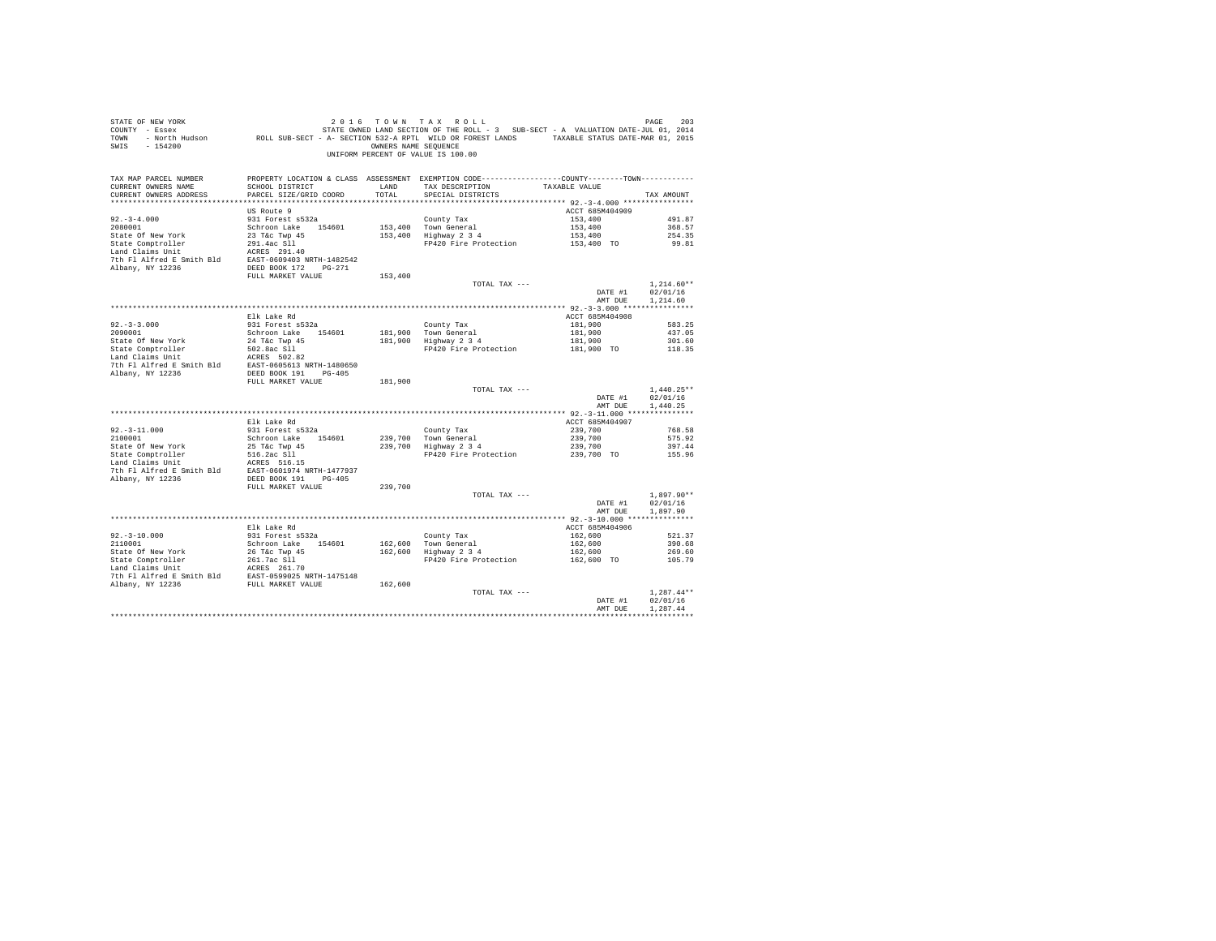| STATE OF NEW YORK<br>COUNTY - Essex<br>TOWN<br>SWIS - 154200                                                                                                                                                                                                                                           |                                           | OWNERS NAME SEQUENCE | 2016 TOWN TAX ROLL<br>UF NEW TAKE THE STATE ON TAXE TO THE TO THE SECTION OF THE RESERT - PAGE THE SECTION OF THE SECTION OF THE RES<br>TATE OWNED LAND SECTION OF THE ROLL - 3 SUB-SECT - A VALUATION DATE-JUL 01, 2014<br>- North Hudson<br>UNIFORM PERCENT OF VALUE IS 100.00 |                                 | 203<br>PAGE          |
|--------------------------------------------------------------------------------------------------------------------------------------------------------------------------------------------------------------------------------------------------------------------------------------------------------|-------------------------------------------|----------------------|----------------------------------------------------------------------------------------------------------------------------------------------------------------------------------------------------------------------------------------------------------------------------------|---------------------------------|----------------------|
| TAX MAP PARCEL NUMBER<br>CURRENT OWNERS NAME<br>CURRENT OWNERS ADDRESS                                                                                                                                                                                                                                 | SCHOOL DISTRICT<br>PARCEL SIZE/GRID COORD | LAND<br>TOTAL        | PROPERTY LOCATION & CLASS ASSESSMENT EXEMPTION CODE----------------COUNTY--------TOWN----------<br>TAX DESCRIPTION<br>SPECIAL DISTRICTS                                                                                                                                          | TAXABLE VALUE                   | TAX AMOUNT           |
|                                                                                                                                                                                                                                                                                                        |                                           |                      |                                                                                                                                                                                                                                                                                  |                                 |                      |
|                                                                                                                                                                                                                                                                                                        | US Route 9                                |                      |                                                                                                                                                                                                                                                                                  | ACCT 685M404909                 |                      |
| $92. -3 - 4.000$                                                                                                                                                                                                                                                                                       | 931 Forest s532a                          |                      | County Tax                                                                                                                                                                                                                                                                       | 153,400                         | 491.87               |
| 2080001<br>State Of New York                                                                                                                                                                                                                                                                           | Schroon Lake 154601<br>23 T&C Twp 45      |                      | 153,400 Town General<br>153,400 Highway 2 3 4                                                                                                                                                                                                                                    | 153,400<br>153,400              | 368.57<br>254.35     |
|                                                                                                                                                                                                                                                                                                        |                                           |                      | FP420 Fire Protection 153,400 TO                                                                                                                                                                                                                                                 |                                 | 99.81                |
| $\begin{tabular}{lllllllllll} \texttt{State Comptroller} & \texttt{291.4ac S11} \\ \texttt{Land Clains unit} & \texttt{ACRES 291.40} \\ \texttt{7th Fl Alfred E Smith Bld} & \texttt{EAST-0609403 NRTH-1482542} \\ \texttt{Albany, NY 12236} & \texttt{DSED BOOK 172} & \texttt{PG-271} \end{tabular}$ |                                           |                      |                                                                                                                                                                                                                                                                                  |                                 |                      |
|                                                                                                                                                                                                                                                                                                        |                                           |                      |                                                                                                                                                                                                                                                                                  |                                 |                      |
|                                                                                                                                                                                                                                                                                                        |                                           |                      |                                                                                                                                                                                                                                                                                  |                                 |                      |
|                                                                                                                                                                                                                                                                                                        | FULL MARKET VALUE                         | 153,400              |                                                                                                                                                                                                                                                                                  |                                 |                      |
|                                                                                                                                                                                                                                                                                                        |                                           |                      | TOTAL TAX ---                                                                                                                                                                                                                                                                    |                                 | $1.214.60**$         |
|                                                                                                                                                                                                                                                                                                        |                                           |                      |                                                                                                                                                                                                                                                                                  | DATE #1<br>AMT DUE              | 02/01/16<br>1,214.60 |
|                                                                                                                                                                                                                                                                                                        |                                           |                      |                                                                                                                                                                                                                                                                                  |                                 |                      |
|                                                                                                                                                                                                                                                                                                        | Elk Lake Rd                               |                      |                                                                                                                                                                                                                                                                                  | ACCT 685M404908                 |                      |
|                                                                                                                                                                                                                                                                                                        | 931 Forest s532a                          |                      | County Tax                                                                                                                                                                                                                                                                       | 181,900                         | 583.25               |
| $92.-3-3.000$<br>2090001                                                                                                                                                                                                                                                                               | Schroon Lake 154601                       |                      | Councy rax<br>181,900 Town General<br>181,900 Highway 2 3 4                                                                                                                                                                                                                      | 181,900                         | 437.05               |
| State Of New York                                                                                                                                                                                                                                                                                      | 24 T&C Twp 45                             |                      |                                                                                                                                                                                                                                                                                  | 181,900                         | 301.60               |
| State Comptroller                                                                                                                                                                                                                                                                                      | 502.8ac S11                               |                      | FP420 Fire Protection                                                                                                                                                                                                                                                            | 181,900 TO                      | 118.35               |
|                                                                                                                                                                                                                                                                                                        |                                           |                      |                                                                                                                                                                                                                                                                                  |                                 |                      |
|                                                                                                                                                                                                                                                                                                        |                                           |                      |                                                                                                                                                                                                                                                                                  |                                 |                      |
|                                                                                                                                                                                                                                                                                                        | FULL MARKET VALUE                         | 181,900              |                                                                                                                                                                                                                                                                                  |                                 |                      |
|                                                                                                                                                                                                                                                                                                        |                                           |                      | TOTAL TAX ---                                                                                                                                                                                                                                                                    |                                 | $1.440.25**$         |
|                                                                                                                                                                                                                                                                                                        |                                           |                      |                                                                                                                                                                                                                                                                                  | DATE #1                         | 02/01/16             |
|                                                                                                                                                                                                                                                                                                        |                                           |                      |                                                                                                                                                                                                                                                                                  | AMT DUE                         | 1,440.25             |
|                                                                                                                                                                                                                                                                                                        | Elk Lake Rd                               |                      |                                                                                                                                                                                                                                                                                  | ACCT 685M404907                 |                      |
| $92 - 3 - 11.000$                                                                                                                                                                                                                                                                                      | 931 Forest s532a                          |                      | County Tax                                                                                                                                                                                                                                                                       | 239,700                         | 768.58               |
| 2100001                                                                                                                                                                                                                                                                                                | Schroon Lake 154601                       |                      |                                                                                                                                                                                                                                                                                  | 239,700                         | 575.92               |
|                                                                                                                                                                                                                                                                                                        |                                           |                      | 239,700 Town General<br>239,700 Highway 2 3 4                                                                                                                                                                                                                                    | 239,700                         | 397.44               |
| State Of New York<br>State Comptroller<br>Land Claims Unit                                                                                                                                                                                                                                             | 25 T&c Twp 45<br>516.2ac S11              |                      | FP420 Fire Protection 239,700 TO                                                                                                                                                                                                                                                 |                                 | 155.96               |
|                                                                                                                                                                                                                                                                                                        | ACRES 516.15                              |                      |                                                                                                                                                                                                                                                                                  |                                 |                      |
| 7th Fl Alfred E Smith Bld EAST-0601974 NRTH-1477937                                                                                                                                                                                                                                                    |                                           |                      |                                                                                                                                                                                                                                                                                  |                                 |                      |
| Albany, NY 12236                                                                                                                                                                                                                                                                                       | DEED BOOK 191 PG-405<br>FULL MARKET VALUE | 239,700              |                                                                                                                                                                                                                                                                                  |                                 |                      |
|                                                                                                                                                                                                                                                                                                        |                                           |                      | TOTAL TAX ---                                                                                                                                                                                                                                                                    |                                 | $1,897.90**$         |
|                                                                                                                                                                                                                                                                                                        |                                           |                      |                                                                                                                                                                                                                                                                                  | DATE #1                         | 02/01/16             |
|                                                                                                                                                                                                                                                                                                        |                                           |                      |                                                                                                                                                                                                                                                                                  | AMT DUE                         | 1,897.90             |
|                                                                                                                                                                                                                                                                                                        |                                           |                      |                                                                                                                                                                                                                                                                                  |                                 |                      |
|                                                                                                                                                                                                                                                                                                        | Elk Lake Rd                               |                      |                                                                                                                                                                                                                                                                                  | ACCT 685M404906                 |                      |
| $92 - 3 - 10.000$<br>2110001                                                                                                                                                                                                                                                                           | 931 Forest s532a                          |                      |                                                                                                                                                                                                                                                                                  | 162,600<br>162,600              | 521.37<br>390.68     |
|                                                                                                                                                                                                                                                                                                        | Schroon Lake 154601                       |                      | County Tax<br>162,600 Town General<br>162,600 Highway 2 3 4                                                                                                                                                                                                                      | $102,600$<br>162,600            | 269.60               |
| State of New York<br>State Computer 26 The Two 45<br>State Computer 26 The Two 45<br>Land Claims Unit<br>The Fl Alfred E Smith Bld<br>7th Fl Alfred E Smith Bld<br>20236<br>FULL MARKET VALUE<br>THE ALBANY, NY 12236                                                                                  |                                           |                      | FP420 Fire Protection                                                                                                                                                                                                                                                            | 162,600 TO                      | 105.79               |
|                                                                                                                                                                                                                                                                                                        |                                           |                      |                                                                                                                                                                                                                                                                                  |                                 |                      |
|                                                                                                                                                                                                                                                                                                        |                                           |                      |                                                                                                                                                                                                                                                                                  |                                 |                      |
|                                                                                                                                                                                                                                                                                                        |                                           | 162,600              |                                                                                                                                                                                                                                                                                  |                                 |                      |
|                                                                                                                                                                                                                                                                                                        |                                           |                      | TOTAL TAX ---                                                                                                                                                                                                                                                                    |                                 | $1.287.44**$         |
|                                                                                                                                                                                                                                                                                                        |                                           |                      |                                                                                                                                                                                                                                                                                  | DATE #1<br>AMT DUE              | 02/01/16<br>1.287.44 |
|                                                                                                                                                                                                                                                                                                        |                                           |                      |                                                                                                                                                                                                                                                                                  | ******************************* |                      |
|                                                                                                                                                                                                                                                                                                        |                                           |                      |                                                                                                                                                                                                                                                                                  |                                 |                      |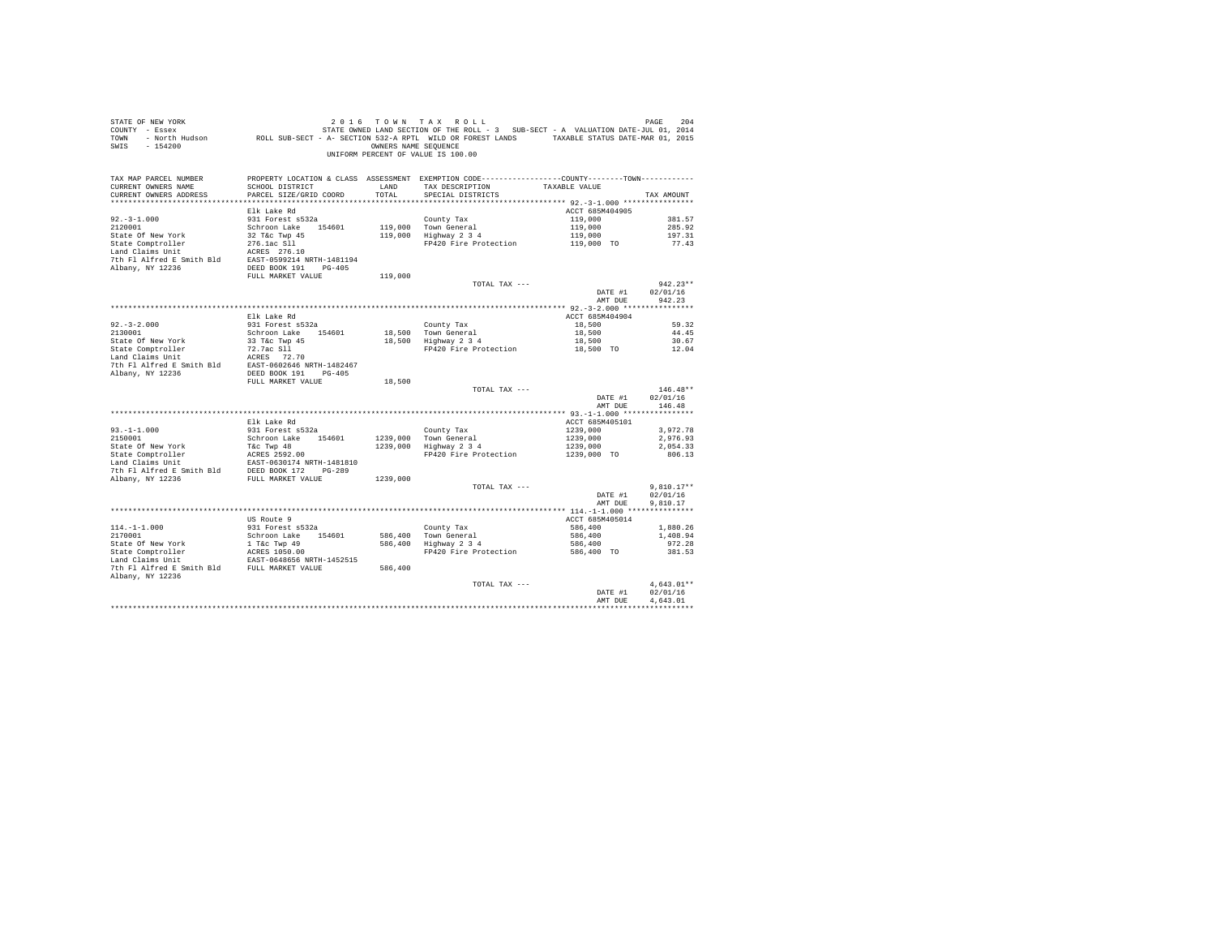| STATE OF NEW YORK<br>SALL OF THE SERIES 2014 A TAX KULL - 3 SUB-SECT - A VALUATION DATE-JUL 01 2AGE 2042<br>COUNTY - Essex - STATE OWNED LAND SECTION OF THE ROLL - 3 SUB-SECT - A VALUATION DATE-JUL 01, 2014<br>TOWN - North Hudson - ROLL SUB-SECT -<br>SWIS - 154200 |                                 |          | 2016 TOWN TAX ROLL<br>OWNERS NAME SEQUENCE<br>UNIFORM PERCENT OF VALUE IS 100.00                                                                                                                                                             |                           | PAGE<br>204              |
|--------------------------------------------------------------------------------------------------------------------------------------------------------------------------------------------------------------------------------------------------------------------------|---------------------------------|----------|----------------------------------------------------------------------------------------------------------------------------------------------------------------------------------------------------------------------------------------------|---------------------------|--------------------------|
| TAX MAP PARCEL NUMBER<br>CURRENT OWNERS NAME                                                                                                                                                                                                                             | SCHOOL DISTRICT                 | LAND     | PROPERTY LOCATION & CLASS ASSESSMENT EXEMPTION CODE---------------COUNTY-------TOWN----------<br>TAX DESCRIPTION TAXABLE VALUE                                                                                                               |                           |                          |
| CURRENT OWNERS ADDRESS                                                                                                                                                                                                                                                   | PARCEL SIZE/GRID COORD          | TOTAL    | SPECIAL DISTRICTS                                                                                                                                                                                                                            |                           | TAX AMOUNT               |
|                                                                                                                                                                                                                                                                          |                                 |          |                                                                                                                                                                                                                                              |                           |                          |
|                                                                                                                                                                                                                                                                          | Elk Lake Rd                     |          |                                                                                                                                                                                                                                              | ACCT 685M404905           |                          |
| $92. -3 - 1.000$<br>2120001                                                                                                                                                                                                                                              | 931 Forest s532a                |          | County Tax                                                                                                                                                                                                                                   | 119,000<br>119,000        | 381.57<br>285.92         |
| State Of New York                                                                                                                                                                                                                                                        | Schroon Lake 154601             |          | 119,000 Town General<br>119,000 Highway 2 3 4                                                                                                                                                                                                |                           | 197.31                   |
| State Comptroller                                                                                                                                                                                                                                                        | 32 T&C Twp 45                   |          | FP420 Fire Protection                                                                                                                                                                                                                        | 119,000<br>119,000 TO     | 77.43                    |
| Land Claims Unit                                                                                                                                                                                                                                                         | 276.1ac S11<br>ACRES 276.10     |          |                                                                                                                                                                                                                                              |                           |                          |
| 7th Fl Alfred E Smith Bld EAST-0599214 NRTH-1481194                                                                                                                                                                                                                      |                                 |          |                                                                                                                                                                                                                                              |                           |                          |
| Albany, NY 12236                                                                                                                                                                                                                                                         | DEED BOOK 191    PG-405         |          |                                                                                                                                                                                                                                              |                           |                          |
|                                                                                                                                                                                                                                                                          | FULL MARKET VALUE               | 119,000  |                                                                                                                                                                                                                                              |                           |                          |
|                                                                                                                                                                                                                                                                          |                                 |          | TOTAL TAX ---                                                                                                                                                                                                                                |                           | $942.23**$               |
|                                                                                                                                                                                                                                                                          |                                 |          |                                                                                                                                                                                                                                              | DATE #1                   | 02/01/16                 |
|                                                                                                                                                                                                                                                                          |                                 |          |                                                                                                                                                                                                                                              | AMT DUE                   | 942.23                   |
|                                                                                                                                                                                                                                                                          |                                 |          |                                                                                                                                                                                                                                              |                           |                          |
|                                                                                                                                                                                                                                                                          | Elk Lake Rd<br>931 Forest s532a |          | County Tax                                                                                                                                                                                                                                   | ACCT 685M404904<br>18,500 | 59.32                    |
| $92.-3-2.000$<br>2130001                                                                                                                                                                                                                                                 | Schroon Lake 154601             |          |                                                                                                                                                                                                                                              | 18,500                    | 44.45                    |
|                                                                                                                                                                                                                                                                          |                                 |          | County Tax<br>18,500 Town General<br>18,500 Highway 2 3 4                                                                                                                                                                                    | 18,500                    | 30.67                    |
|                                                                                                                                                                                                                                                                          |                                 |          | FP420 Fire Protection                                                                                                                                                                                                                        | 18,500 TO                 | 12.04                    |
|                                                                                                                                                                                                                                                                          |                                 |          |                                                                                                                                                                                                                                              |                           |                          |
|                                                                                                                                                                                                                                                                          |                                 |          |                                                                                                                                                                                                                                              |                           |                          |
|                                                                                                                                                                                                                                                                          |                                 |          |                                                                                                                                                                                                                                              |                           |                          |
|                                                                                                                                                                                                                                                                          | FULL MARKET VALUE               | 18,500   |                                                                                                                                                                                                                                              |                           |                          |
|                                                                                                                                                                                                                                                                          |                                 |          | TOTAL TAX ---                                                                                                                                                                                                                                |                           | $146.48**$               |
|                                                                                                                                                                                                                                                                          |                                 |          |                                                                                                                                                                                                                                              | DATE #1<br>AMT DUE        | 02/01/16<br>146.48       |
|                                                                                                                                                                                                                                                                          |                                 |          |                                                                                                                                                                                                                                              |                           |                          |
|                                                                                                                                                                                                                                                                          | Elk Lake Rd                     |          |                                                                                                                                                                                                                                              | ACCT 685M405101           |                          |
| $93. -1 - 1.000$                                                                                                                                                                                                                                                         | 931 Forest s532a                |          |                                                                                                                                                                                                                                              |                           | 3.972.78                 |
| 2150001                                                                                                                                                                                                                                                                  | Schroon Lake 154601             |          |                                                                                                                                                                                                                                              |                           | 2,976.93                 |
| State Of New York                                                                                                                                                                                                                                                        | T&C Twp 48                      |          | $\begin{array}{llll} \text{Country Tax} & & 1239,000 \\ \text{Tom General} & & 1239,000 \\ \text{Highday 2 3 4} & & 1239,000 \\ \text{FP420 Fire Protection} & & 1239,000 \\ \end{array}$<br>1239,000 Town General<br>1239,000 Highway 2 3 4 |                           | 2.054.33                 |
|                                                                                                                                                                                                                                                                          |                                 |          |                                                                                                                                                                                                                                              |                           | 806.13                   |
|                                                                                                                                                                                                                                                                          |                                 |          |                                                                                                                                                                                                                                              |                           |                          |
|                                                                                                                                                                                                                                                                          |                                 |          |                                                                                                                                                                                                                                              |                           |                          |
|                                                                                                                                                                                                                                                                          |                                 | 1239,000 |                                                                                                                                                                                                                                              |                           |                          |
|                                                                                                                                                                                                                                                                          |                                 |          | TOTAL TAX ---                                                                                                                                                                                                                                | DATE #1                   | $9,810.17**$<br>02/01/16 |
|                                                                                                                                                                                                                                                                          |                                 |          |                                                                                                                                                                                                                                              | AMT DUE                   | 9.810.17                 |
|                                                                                                                                                                                                                                                                          |                                 |          |                                                                                                                                                                                                                                              |                           |                          |
|                                                                                                                                                                                                                                                                          | US Route 9                      |          |                                                                                                                                                                                                                                              | ACCT 685M405014           |                          |
| $114. -1 - 1.000$                                                                                                                                                                                                                                                        | 931 Forest s532a                |          |                                                                                                                                                                                                                                              | 586,400                   | 1,880.26                 |
| 2170001                                                                                                                                                                                                                                                                  | Schroon Lake 154601             |          | County Tax<br>586,400 Town General<br>586,400 Highway 2 3 4                                                                                                                                                                                  | 586,400                   | 1,408.94                 |
|                                                                                                                                                                                                                                                                          |                                 |          |                                                                                                                                                                                                                                              | 586,400                   | 972.28                   |
|                                                                                                                                                                                                                                                                          |                                 |          | FP420 Fire Protection                                                                                                                                                                                                                        | 586,400 TO                | 381.53                   |
|                                                                                                                                                                                                                                                                          |                                 |          |                                                                                                                                                                                                                                              |                           |                          |
| 7th F1 Alfred E Smith Bld FULL MARKET VALUE                                                                                                                                                                                                                              |                                 | 586,400  |                                                                                                                                                                                                                                              |                           |                          |
| Albany, NY 12236                                                                                                                                                                                                                                                         |                                 |          | TOTAL TAX ---                                                                                                                                                                                                                                |                           | $4.643.01**$             |
|                                                                                                                                                                                                                                                                          |                                 |          |                                                                                                                                                                                                                                              | DATE #1                   | 02/01/16                 |
|                                                                                                                                                                                                                                                                          |                                 |          |                                                                                                                                                                                                                                              | AMT DUE                   | 4.643.01                 |
|                                                                                                                                                                                                                                                                          |                                 |          |                                                                                                                                                                                                                                              |                           | *************            |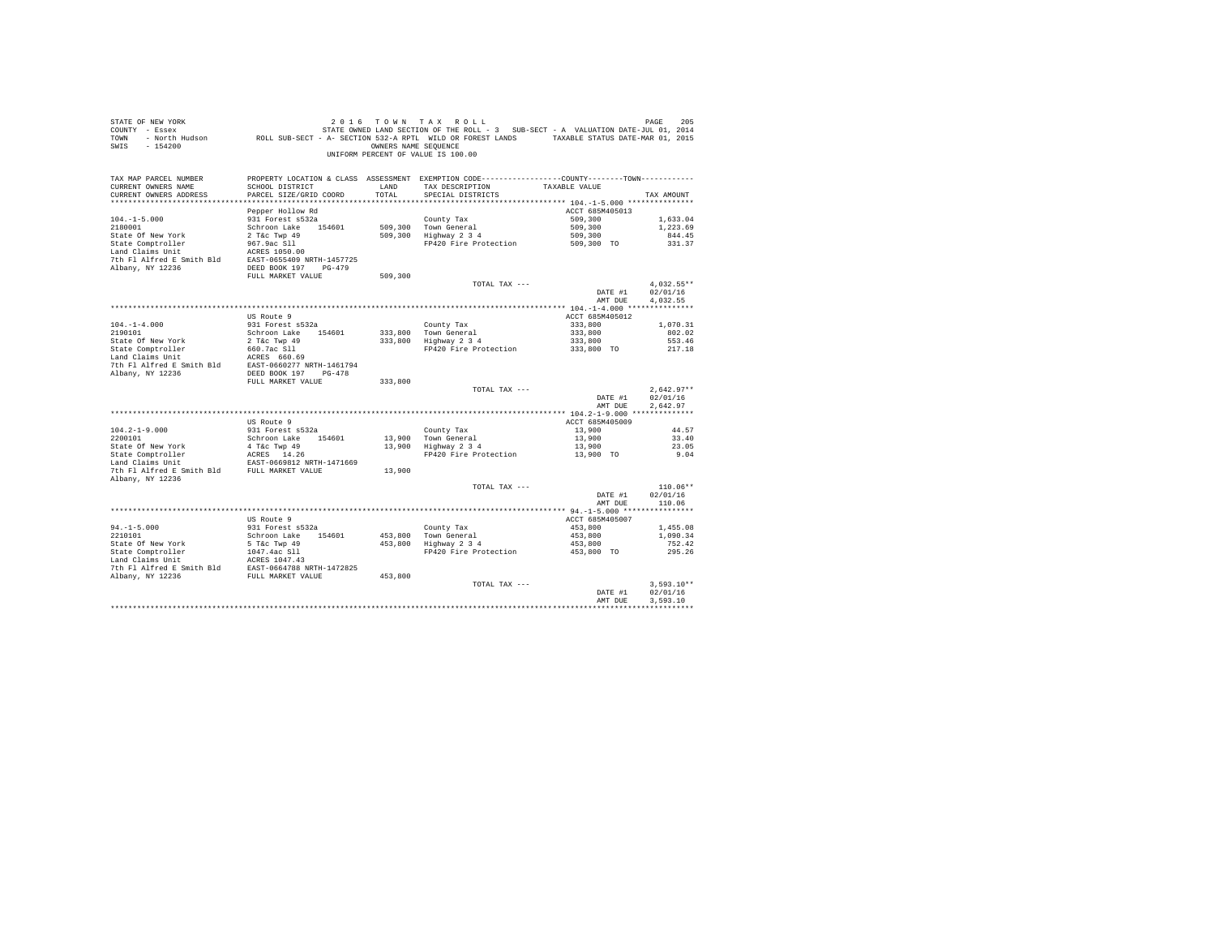| SWIS - 154200                                                                                                                                                   |                                           | OWNERS NAME SEOUENCE | 2016 TOWN TAX ROLL<br>UNIFORM PERCENT OF VALUE IS 100.00                                                                             |                       |                        |
|-----------------------------------------------------------------------------------------------------------------------------------------------------------------|-------------------------------------------|----------------------|--------------------------------------------------------------------------------------------------------------------------------------|-----------------------|------------------------|
| TAX MAP PARCEL NUMBER<br>CURRENT OWNERS NAME<br>CURRENT OWNERS ADDRESS                                                                                          | SCHOOL DISTRICT<br>PARCEL SIZE/GRID COORD | LAND<br>TOTAL.       | PROPERTY LOCATION & CLASS ASSESSMENT EXEMPTION CODE---------------COUNTY-------TOWN---------<br>TAX DESCRIPTION<br>SPECIAL DISTRICTS | TAXABLE VALUE         | TAX AMOUNT             |
|                                                                                                                                                                 | Pepper Hollow Rd                          |                      |                                                                                                                                      | ACCT 685M405013       |                        |
| $104. - 1 - 5.000$                                                                                                                                              | 931 Forest s532a                          |                      | County Tax                                                                                                                           | 509,300               | 1,633.04               |
| 2180001                                                                                                                                                         | Schroon Lake 154601                       |                      | 509,300 Town General<br>509,300 Highway 2 3 4                                                                                        | 509,300               | 1,223.69               |
|                                                                                                                                                                 |                                           |                      |                                                                                                                                      | 509,300<br>509,300 TO | 844.45                 |
|                                                                                                                                                                 |                                           |                      | FP420 Fire Protection                                                                                                                |                       | 331.37                 |
|                                                                                                                                                                 |                                           |                      |                                                                                                                                      |                       |                        |
|                                                                                                                                                                 |                                           |                      |                                                                                                                                      |                       |                        |
|                                                                                                                                                                 | FULL MARKET VALUE                         | 509,300              |                                                                                                                                      |                       |                        |
|                                                                                                                                                                 |                                           |                      | TOTAL TAX ---                                                                                                                        |                       | $4,032.55**$           |
|                                                                                                                                                                 |                                           |                      |                                                                                                                                      | DATE #1               | 02/01/16               |
|                                                                                                                                                                 |                                           |                      |                                                                                                                                      | AMT DUE               | 4,032.55               |
|                                                                                                                                                                 | US Route 9                                |                      |                                                                                                                                      | ACCT 685M405012       |                        |
| $104. - 1 - 4.000$                                                                                                                                              | 931 Forest s532a                          |                      |                                                                                                                                      |                       | 1,070.31               |
| 2190101                                                                                                                                                         | Schroon Lake 154601                       |                      |                                                                                                                                      |                       | 802.02                 |
|                                                                                                                                                                 |                                           |                      | County Tax<br>333,800 Town General<br>333,800 Highway 2 3 4                                                                          |                       | 553.46                 |
|                                                                                                                                                                 |                                           |                      |                                                                                                                                      |                       | 217.18                 |
|                                                                                                                                                                 |                                           |                      |                                                                                                                                      |                       |                        |
|                                                                                                                                                                 |                                           |                      |                                                                                                                                      |                       |                        |
|                                                                                                                                                                 | FULL MARKET VALUE                         | 333,800              |                                                                                                                                      |                       |                        |
|                                                                                                                                                                 |                                           |                      | TOTAL TAX ---                                                                                                                        |                       | $2.642.97**$           |
|                                                                                                                                                                 |                                           |                      |                                                                                                                                      | DATE #1               | 02/01/16               |
|                                                                                                                                                                 |                                           |                      |                                                                                                                                      | AMT DUE               | 2.642.97               |
|                                                                                                                                                                 |                                           |                      |                                                                                                                                      |                       |                        |
|                                                                                                                                                                 | US Route 9                                |                      |                                                                                                                                      | ACCT 685M405009       |                        |
| $104.2 - 1 - 9.000$<br>2200101                                                                                                                                  | 931 Forest s532a                          |                      | County Tax                                                                                                                           | 13,900<br>13,900      | 44.57<br>33.40         |
|                                                                                                                                                                 | Schroon Lake 154601                       |                      | 13,900 Town General<br>13,900 Highway 2 3 4                                                                                          | 13,900                | 23.05                  |
|                                                                                                                                                                 |                                           |                      | FP420 Fire Protection 13,900 TO                                                                                                      |                       | 9.04                   |
|                                                                                                                                                                 |                                           |                      |                                                                                                                                      |                       |                        |
| State Of New York 4 T&C Twp 49<br>State Comptroller ACRES 14.26<br>Land Claims Unit EAST-0669812 NRTH-1471669<br>7th Fl Alfred E Smith Bld<br>FULL MARKET VALUE |                                           | 13,900               |                                                                                                                                      |                       |                        |
| Albany, NY 12236                                                                                                                                                |                                           |                      |                                                                                                                                      |                       |                        |
|                                                                                                                                                                 |                                           |                      | TOTAL TAX ---                                                                                                                        | DATE #1               | $110.06**$<br>02/01/16 |
|                                                                                                                                                                 |                                           |                      |                                                                                                                                      | AMT DUE               | 110.06                 |
|                                                                                                                                                                 |                                           |                      |                                                                                                                                      |                       |                        |
|                                                                                                                                                                 | US Route 9                                |                      |                                                                                                                                      | ACCT 685M405007       |                        |
| $94. -1 - 5.000$                                                                                                                                                | 931 Forest s532a                          |                      | County Tax<br>453,800 Town General<br>453,800 Highway 2 3 4                                                                          | 453,800               | 1,455.08               |
| 2210101                                                                                                                                                         | Schroon Lake 154601                       |                      |                                                                                                                                      | 453,800<br>453,800    | 1,090.34               |
|                                                                                                                                                                 |                                           |                      |                                                                                                                                      |                       | 752.42                 |
|                                                                                                                                                                 |                                           |                      | FP420 Fire Protection                                                                                                                | 453,800 TO            | 295.26                 |
|                                                                                                                                                                 |                                           |                      |                                                                                                                                      |                       |                        |
|                                                                                                                                                                 |                                           |                      |                                                                                                                                      |                       |                        |
|                                                                                                                                                                 |                                           |                      | TOTAL TAX ---                                                                                                                        |                       | $3.593.10**$           |
|                                                                                                                                                                 |                                           |                      |                                                                                                                                      | DATE #1               | 02/01/16               |
|                                                                                                                                                                 |                                           |                      |                                                                                                                                      | AMT DUE               | 3.593.10               |
|                                                                                                                                                                 |                                           |                      |                                                                                                                                      |                       |                        |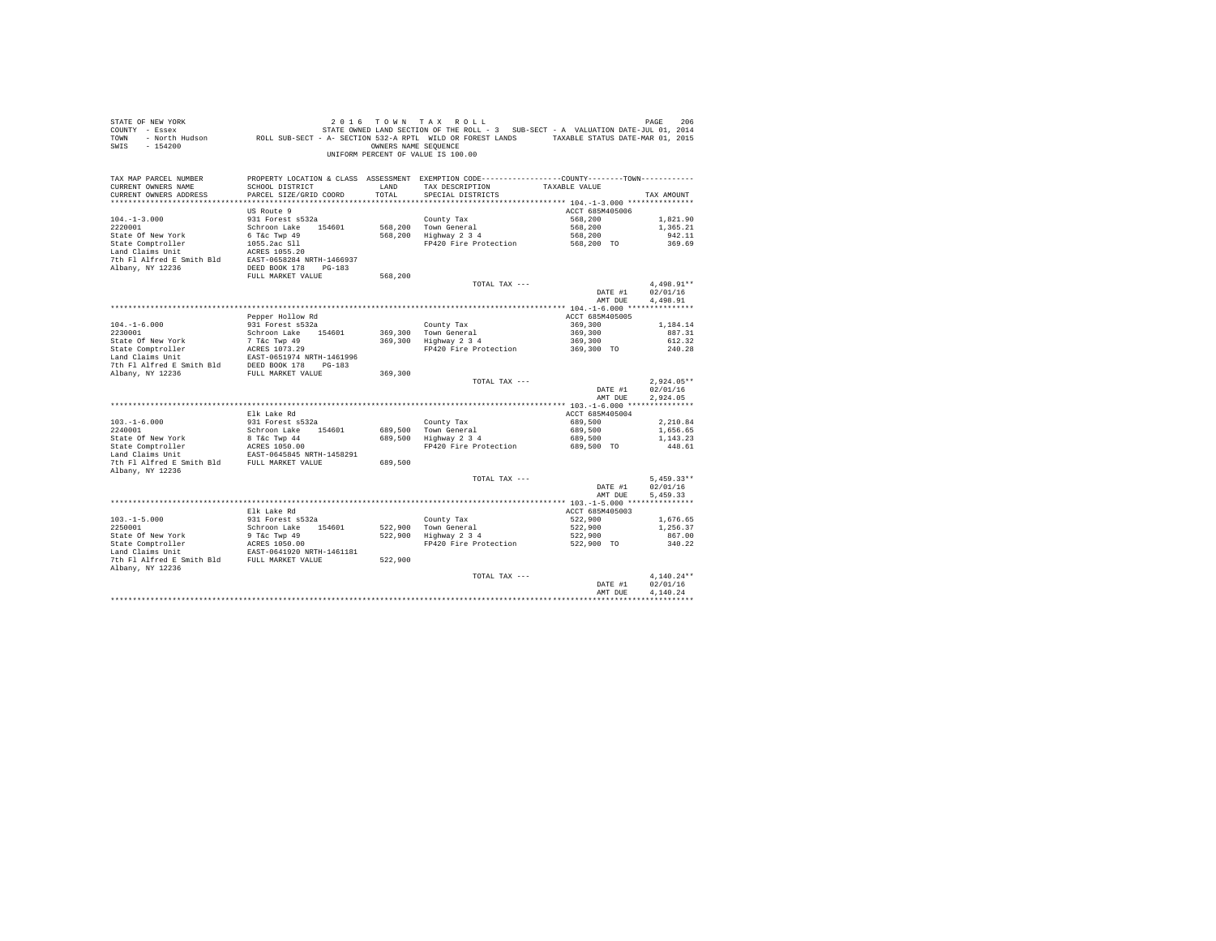| PROPERTY LOCATION & CLASS ASSESSMENT EXEMPTION CODE---------------COUNTY-------TOWN---------<br>TAX MAP PARCEL NUMBER<br>TAX DESCRIPTION TAXABLE VALUE<br>CURRENT OWNERS NAME<br>SCHOOL DISTRICT<br>LAND<br>TOTAL<br>CURRENT OWNERS ADDRESS<br>PARCEL SIZE/GRID COORD<br>SPECIAL DISTRICTS<br>TAX AMOUNT<br>US Route 9<br>ACCT 685M405006<br>568,200<br>1,821.90<br>$104. -1 - 3.000$<br>931 Forest s532a<br>County Tax<br>County Tax<br>568,200 Town General<br>568,200 Highway 2 3 4<br>2220001<br>Schroon Lake 154601<br>568,200<br>1,365.21<br>568,200<br>6 T&C Twp 49<br>State Of New York<br>942.11<br>State Comptroller<br>FP420 Fire Protection<br>568,200 TO<br>1055.2ac Sll<br>369.69<br>ACRES 1055.20<br>Land Claims Unit<br>7th Fl Alfred E Smith Bld EAST-0658284 NRTH-1466937<br>Albany, NY 12236<br>DEED BOOK 178 PG-183<br>FULL MARKET VALUE<br>568,200<br>4.498.91**<br>TOTAL TAX ---<br>DATE #1<br>02/01/16<br>4,498.91<br>AMT DUE<br>Pepper Hollow Rd<br>ACCT 685M405005<br>931 Forest s532a<br>County Tax<br>369,300 Town General<br>369,300 Highway 2 3 4<br>369,300<br>$104. -1 - 6.000$<br>1,184.14<br>369,300<br>2230001<br>Schroon Lake 154601<br>887.31<br>369,300<br>State Of New York<br>612.32<br>FP420 Fire Protection<br>369,300 TO<br>240.28<br>7th Fl Alfred E Smith Bld DEED BOOK 178 PG-183<br>Albany, NY 12236<br>FULL MARKET VALUE<br>369,300<br>$2.924.05**$<br>TOTAL TAX ---<br>DATE #1<br>02/01/16<br>AMT DUE<br>2.924.05<br>Elk Lake Rd<br>ACCT 685M405004<br>931 Forest s532a<br>$103.-1-6.000$<br>$2240001$<br>689,500<br>2,210.84<br>County Tax<br>689,500 Town General<br>689,500 Highway 2 3 4<br>689,500<br>Schroon Lake 154601<br>1,656.65<br>State Of New York<br>8 T&C Twp 44<br>689,500<br>1,143.23<br>State Comptroller acres 1050.00<br>Land Claims Unit 1458291<br>The Plaims Unit 1458291<br>The Plaifred E Smith Bld FULL MARKET VALUE<br>689,500 TO<br>FP420 Fire Protection<br>448.61<br>689,500<br>Albany, NY 12236<br>$5.459.33**$<br>TOTAL TAX ---<br>02/01/16<br>DATE #1<br>AMT DUE<br>5.459.33<br>ACCT 685M405003<br>Elk Lake Rd<br>$103. -1 - 5.000$<br>931 Forest s532a<br>County Tax<br>522,900 Town General<br>522,900 Highway 2 3 4<br>522,900<br>1,676.65<br>2250001<br>Schroon Lake 154601<br>522,900<br>522,900<br>522,900 TO<br>1,256.37<br>867.00<br>FP420 Fire Protection<br>340.22<br>7th Fl Alfred E Smith Bld FULL MARKET VALUE<br>522,900<br>Albany, NY 12236<br>$4.140.24**$<br>TOTAL TAX ---<br>02/01/16<br>DATE #1<br>4.140.24<br>AMT DUE | STATE OF NEW YORK<br>140 או איז א א בי ט א של האבצ או א א א א א בי שלא של האבצ או א א א האבצ או א א א א א א א א א א א א א א א א א י<br>2014 STATE OWNEY LAND SECTION OF THE ROLL - 3 SUB-SECT - A VALUATION DATE-JUL 01, 2014<br>2015 TOWN - North Hudso<br>SWIS - 154200 | OWNERS NAME SEQUENCE | 2016 TOWN TAX ROLL<br>UNIFORM PERCENT OF VALUE IS 100.00 | PAGE<br>206 |
|----------------------------------------------------------------------------------------------------------------------------------------------------------------------------------------------------------------------------------------------------------------------------------------------------------------------------------------------------------------------------------------------------------------------------------------------------------------------------------------------------------------------------------------------------------------------------------------------------------------------------------------------------------------------------------------------------------------------------------------------------------------------------------------------------------------------------------------------------------------------------------------------------------------------------------------------------------------------------------------------------------------------------------------------------------------------------------------------------------------------------------------------------------------------------------------------------------------------------------------------------------------------------------------------------------------------------------------------------------------------------------------------------------------------------------------------------------------------------------------------------------------------------------------------------------------------------------------------------------------------------------------------------------------------------------------------------------------------------------------------------------------------------------------------------------------------------------------------------------------------------------------------------------------------------------------------------------------------------------------------------------------------------------------------------------------------------------------------------------------------------------------------------------------------------------------------------------------------------------------------------------------------------------------------------------------------------------------------------------------------------------------------------------------------------------------------------------------------------------------------------------------------------|---------------------------------------------------------------------------------------------------------------------------------------------------------------------------------------------------------------------------------------------------------------------------|----------------------|----------------------------------------------------------|-------------|
|                                                                                                                                                                                                                                                                                                                                                                                                                                                                                                                                                                                                                                                                                                                                                                                                                                                                                                                                                                                                                                                                                                                                                                                                                                                                                                                                                                                                                                                                                                                                                                                                                                                                                                                                                                                                                                                                                                                                                                                                                                                                                                                                                                                                                                                                                                                                                                                                                                                                                                                            |                                                                                                                                                                                                                                                                           |                      |                                                          |             |
|                                                                                                                                                                                                                                                                                                                                                                                                                                                                                                                                                                                                                                                                                                                                                                                                                                                                                                                                                                                                                                                                                                                                                                                                                                                                                                                                                                                                                                                                                                                                                                                                                                                                                                                                                                                                                                                                                                                                                                                                                                                                                                                                                                                                                                                                                                                                                                                                                                                                                                                            |                                                                                                                                                                                                                                                                           |                      |                                                          |             |
|                                                                                                                                                                                                                                                                                                                                                                                                                                                                                                                                                                                                                                                                                                                                                                                                                                                                                                                                                                                                                                                                                                                                                                                                                                                                                                                                                                                                                                                                                                                                                                                                                                                                                                                                                                                                                                                                                                                                                                                                                                                                                                                                                                                                                                                                                                                                                                                                                                                                                                                            |                                                                                                                                                                                                                                                                           |                      |                                                          |             |
|                                                                                                                                                                                                                                                                                                                                                                                                                                                                                                                                                                                                                                                                                                                                                                                                                                                                                                                                                                                                                                                                                                                                                                                                                                                                                                                                                                                                                                                                                                                                                                                                                                                                                                                                                                                                                                                                                                                                                                                                                                                                                                                                                                                                                                                                                                                                                                                                                                                                                                                            |                                                                                                                                                                                                                                                                           |                      |                                                          |             |
|                                                                                                                                                                                                                                                                                                                                                                                                                                                                                                                                                                                                                                                                                                                                                                                                                                                                                                                                                                                                                                                                                                                                                                                                                                                                                                                                                                                                                                                                                                                                                                                                                                                                                                                                                                                                                                                                                                                                                                                                                                                                                                                                                                                                                                                                                                                                                                                                                                                                                                                            |                                                                                                                                                                                                                                                                           |                      |                                                          |             |
|                                                                                                                                                                                                                                                                                                                                                                                                                                                                                                                                                                                                                                                                                                                                                                                                                                                                                                                                                                                                                                                                                                                                                                                                                                                                                                                                                                                                                                                                                                                                                                                                                                                                                                                                                                                                                                                                                                                                                                                                                                                                                                                                                                                                                                                                                                                                                                                                                                                                                                                            |                                                                                                                                                                                                                                                                           |                      |                                                          |             |
|                                                                                                                                                                                                                                                                                                                                                                                                                                                                                                                                                                                                                                                                                                                                                                                                                                                                                                                                                                                                                                                                                                                                                                                                                                                                                                                                                                                                                                                                                                                                                                                                                                                                                                                                                                                                                                                                                                                                                                                                                                                                                                                                                                                                                                                                                                                                                                                                                                                                                                                            |                                                                                                                                                                                                                                                                           |                      |                                                          |             |
|                                                                                                                                                                                                                                                                                                                                                                                                                                                                                                                                                                                                                                                                                                                                                                                                                                                                                                                                                                                                                                                                                                                                                                                                                                                                                                                                                                                                                                                                                                                                                                                                                                                                                                                                                                                                                                                                                                                                                                                                                                                                                                                                                                                                                                                                                                                                                                                                                                                                                                                            |                                                                                                                                                                                                                                                                           |                      |                                                          |             |
|                                                                                                                                                                                                                                                                                                                                                                                                                                                                                                                                                                                                                                                                                                                                                                                                                                                                                                                                                                                                                                                                                                                                                                                                                                                                                                                                                                                                                                                                                                                                                                                                                                                                                                                                                                                                                                                                                                                                                                                                                                                                                                                                                                                                                                                                                                                                                                                                                                                                                                                            |                                                                                                                                                                                                                                                                           |                      |                                                          |             |
|                                                                                                                                                                                                                                                                                                                                                                                                                                                                                                                                                                                                                                                                                                                                                                                                                                                                                                                                                                                                                                                                                                                                                                                                                                                                                                                                                                                                                                                                                                                                                                                                                                                                                                                                                                                                                                                                                                                                                                                                                                                                                                                                                                                                                                                                                                                                                                                                                                                                                                                            |                                                                                                                                                                                                                                                                           |                      |                                                          |             |
|                                                                                                                                                                                                                                                                                                                                                                                                                                                                                                                                                                                                                                                                                                                                                                                                                                                                                                                                                                                                                                                                                                                                                                                                                                                                                                                                                                                                                                                                                                                                                                                                                                                                                                                                                                                                                                                                                                                                                                                                                                                                                                                                                                                                                                                                                                                                                                                                                                                                                                                            |                                                                                                                                                                                                                                                                           |                      |                                                          |             |
|                                                                                                                                                                                                                                                                                                                                                                                                                                                                                                                                                                                                                                                                                                                                                                                                                                                                                                                                                                                                                                                                                                                                                                                                                                                                                                                                                                                                                                                                                                                                                                                                                                                                                                                                                                                                                                                                                                                                                                                                                                                                                                                                                                                                                                                                                                                                                                                                                                                                                                                            |                                                                                                                                                                                                                                                                           |                      |                                                          |             |
|                                                                                                                                                                                                                                                                                                                                                                                                                                                                                                                                                                                                                                                                                                                                                                                                                                                                                                                                                                                                                                                                                                                                                                                                                                                                                                                                                                                                                                                                                                                                                                                                                                                                                                                                                                                                                                                                                                                                                                                                                                                                                                                                                                                                                                                                                                                                                                                                                                                                                                                            |                                                                                                                                                                                                                                                                           |                      |                                                          |             |
|                                                                                                                                                                                                                                                                                                                                                                                                                                                                                                                                                                                                                                                                                                                                                                                                                                                                                                                                                                                                                                                                                                                                                                                                                                                                                                                                                                                                                                                                                                                                                                                                                                                                                                                                                                                                                                                                                                                                                                                                                                                                                                                                                                                                                                                                                                                                                                                                                                                                                                                            |                                                                                                                                                                                                                                                                           |                      |                                                          |             |
|                                                                                                                                                                                                                                                                                                                                                                                                                                                                                                                                                                                                                                                                                                                                                                                                                                                                                                                                                                                                                                                                                                                                                                                                                                                                                                                                                                                                                                                                                                                                                                                                                                                                                                                                                                                                                                                                                                                                                                                                                                                                                                                                                                                                                                                                                                                                                                                                                                                                                                                            |                                                                                                                                                                                                                                                                           |                      |                                                          |             |
|                                                                                                                                                                                                                                                                                                                                                                                                                                                                                                                                                                                                                                                                                                                                                                                                                                                                                                                                                                                                                                                                                                                                                                                                                                                                                                                                                                                                                                                                                                                                                                                                                                                                                                                                                                                                                                                                                                                                                                                                                                                                                                                                                                                                                                                                                                                                                                                                                                                                                                                            |                                                                                                                                                                                                                                                                           |                      |                                                          |             |
|                                                                                                                                                                                                                                                                                                                                                                                                                                                                                                                                                                                                                                                                                                                                                                                                                                                                                                                                                                                                                                                                                                                                                                                                                                                                                                                                                                                                                                                                                                                                                                                                                                                                                                                                                                                                                                                                                                                                                                                                                                                                                                                                                                                                                                                                                                                                                                                                                                                                                                                            |                                                                                                                                                                                                                                                                           |                      |                                                          |             |
|                                                                                                                                                                                                                                                                                                                                                                                                                                                                                                                                                                                                                                                                                                                                                                                                                                                                                                                                                                                                                                                                                                                                                                                                                                                                                                                                                                                                                                                                                                                                                                                                                                                                                                                                                                                                                                                                                                                                                                                                                                                                                                                                                                                                                                                                                                                                                                                                                                                                                                                            |                                                                                                                                                                                                                                                                           |                      |                                                          |             |
|                                                                                                                                                                                                                                                                                                                                                                                                                                                                                                                                                                                                                                                                                                                                                                                                                                                                                                                                                                                                                                                                                                                                                                                                                                                                                                                                                                                                                                                                                                                                                                                                                                                                                                                                                                                                                                                                                                                                                                                                                                                                                                                                                                                                                                                                                                                                                                                                                                                                                                                            |                                                                                                                                                                                                                                                                           |                      |                                                          |             |
|                                                                                                                                                                                                                                                                                                                                                                                                                                                                                                                                                                                                                                                                                                                                                                                                                                                                                                                                                                                                                                                                                                                                                                                                                                                                                                                                                                                                                                                                                                                                                                                                                                                                                                                                                                                                                                                                                                                                                                                                                                                                                                                                                                                                                                                                                                                                                                                                                                                                                                                            |                                                                                                                                                                                                                                                                           |                      |                                                          |             |
|                                                                                                                                                                                                                                                                                                                                                                                                                                                                                                                                                                                                                                                                                                                                                                                                                                                                                                                                                                                                                                                                                                                                                                                                                                                                                                                                                                                                                                                                                                                                                                                                                                                                                                                                                                                                                                                                                                                                                                                                                                                                                                                                                                                                                                                                                                                                                                                                                                                                                                                            |                                                                                                                                                                                                                                                                           |                      |                                                          |             |
|                                                                                                                                                                                                                                                                                                                                                                                                                                                                                                                                                                                                                                                                                                                                                                                                                                                                                                                                                                                                                                                                                                                                                                                                                                                                                                                                                                                                                                                                                                                                                                                                                                                                                                                                                                                                                                                                                                                                                                                                                                                                                                                                                                                                                                                                                                                                                                                                                                                                                                                            |                                                                                                                                                                                                                                                                           |                      |                                                          |             |
|                                                                                                                                                                                                                                                                                                                                                                                                                                                                                                                                                                                                                                                                                                                                                                                                                                                                                                                                                                                                                                                                                                                                                                                                                                                                                                                                                                                                                                                                                                                                                                                                                                                                                                                                                                                                                                                                                                                                                                                                                                                                                                                                                                                                                                                                                                                                                                                                                                                                                                                            |                                                                                                                                                                                                                                                                           |                      |                                                          |             |
|                                                                                                                                                                                                                                                                                                                                                                                                                                                                                                                                                                                                                                                                                                                                                                                                                                                                                                                                                                                                                                                                                                                                                                                                                                                                                                                                                                                                                                                                                                                                                                                                                                                                                                                                                                                                                                                                                                                                                                                                                                                                                                                                                                                                                                                                                                                                                                                                                                                                                                                            |                                                                                                                                                                                                                                                                           |                      |                                                          |             |
|                                                                                                                                                                                                                                                                                                                                                                                                                                                                                                                                                                                                                                                                                                                                                                                                                                                                                                                                                                                                                                                                                                                                                                                                                                                                                                                                                                                                                                                                                                                                                                                                                                                                                                                                                                                                                                                                                                                                                                                                                                                                                                                                                                                                                                                                                                                                                                                                                                                                                                                            |                                                                                                                                                                                                                                                                           |                      |                                                          |             |
|                                                                                                                                                                                                                                                                                                                                                                                                                                                                                                                                                                                                                                                                                                                                                                                                                                                                                                                                                                                                                                                                                                                                                                                                                                                                                                                                                                                                                                                                                                                                                                                                                                                                                                                                                                                                                                                                                                                                                                                                                                                                                                                                                                                                                                                                                                                                                                                                                                                                                                                            |                                                                                                                                                                                                                                                                           |                      |                                                          |             |
|                                                                                                                                                                                                                                                                                                                                                                                                                                                                                                                                                                                                                                                                                                                                                                                                                                                                                                                                                                                                                                                                                                                                                                                                                                                                                                                                                                                                                                                                                                                                                                                                                                                                                                                                                                                                                                                                                                                                                                                                                                                                                                                                                                                                                                                                                                                                                                                                                                                                                                                            |                                                                                                                                                                                                                                                                           |                      |                                                          |             |
|                                                                                                                                                                                                                                                                                                                                                                                                                                                                                                                                                                                                                                                                                                                                                                                                                                                                                                                                                                                                                                                                                                                                                                                                                                                                                                                                                                                                                                                                                                                                                                                                                                                                                                                                                                                                                                                                                                                                                                                                                                                                                                                                                                                                                                                                                                                                                                                                                                                                                                                            |                                                                                                                                                                                                                                                                           |                      |                                                          |             |
|                                                                                                                                                                                                                                                                                                                                                                                                                                                                                                                                                                                                                                                                                                                                                                                                                                                                                                                                                                                                                                                                                                                                                                                                                                                                                                                                                                                                                                                                                                                                                                                                                                                                                                                                                                                                                                                                                                                                                                                                                                                                                                                                                                                                                                                                                                                                                                                                                                                                                                                            |                                                                                                                                                                                                                                                                           |                      |                                                          |             |
|                                                                                                                                                                                                                                                                                                                                                                                                                                                                                                                                                                                                                                                                                                                                                                                                                                                                                                                                                                                                                                                                                                                                                                                                                                                                                                                                                                                                                                                                                                                                                                                                                                                                                                                                                                                                                                                                                                                                                                                                                                                                                                                                                                                                                                                                                                                                                                                                                                                                                                                            |                                                                                                                                                                                                                                                                           |                      |                                                          |             |
|                                                                                                                                                                                                                                                                                                                                                                                                                                                                                                                                                                                                                                                                                                                                                                                                                                                                                                                                                                                                                                                                                                                                                                                                                                                                                                                                                                                                                                                                                                                                                                                                                                                                                                                                                                                                                                                                                                                                                                                                                                                                                                                                                                                                                                                                                                                                                                                                                                                                                                                            |                                                                                                                                                                                                                                                                           |                      |                                                          |             |
|                                                                                                                                                                                                                                                                                                                                                                                                                                                                                                                                                                                                                                                                                                                                                                                                                                                                                                                                                                                                                                                                                                                                                                                                                                                                                                                                                                                                                                                                                                                                                                                                                                                                                                                                                                                                                                                                                                                                                                                                                                                                                                                                                                                                                                                                                                                                                                                                                                                                                                                            |                                                                                                                                                                                                                                                                           |                      |                                                          |             |
|                                                                                                                                                                                                                                                                                                                                                                                                                                                                                                                                                                                                                                                                                                                                                                                                                                                                                                                                                                                                                                                                                                                                                                                                                                                                                                                                                                                                                                                                                                                                                                                                                                                                                                                                                                                                                                                                                                                                                                                                                                                                                                                                                                                                                                                                                                                                                                                                                                                                                                                            |                                                                                                                                                                                                                                                                           |                      |                                                          |             |
|                                                                                                                                                                                                                                                                                                                                                                                                                                                                                                                                                                                                                                                                                                                                                                                                                                                                                                                                                                                                                                                                                                                                                                                                                                                                                                                                                                                                                                                                                                                                                                                                                                                                                                                                                                                                                                                                                                                                                                                                                                                                                                                                                                                                                                                                                                                                                                                                                                                                                                                            |                                                                                                                                                                                                                                                                           |                      |                                                          |             |
|                                                                                                                                                                                                                                                                                                                                                                                                                                                                                                                                                                                                                                                                                                                                                                                                                                                                                                                                                                                                                                                                                                                                                                                                                                                                                                                                                                                                                                                                                                                                                                                                                                                                                                                                                                                                                                                                                                                                                                                                                                                                                                                                                                                                                                                                                                                                                                                                                                                                                                                            |                                                                                                                                                                                                                                                                           |                      |                                                          |             |
|                                                                                                                                                                                                                                                                                                                                                                                                                                                                                                                                                                                                                                                                                                                                                                                                                                                                                                                                                                                                                                                                                                                                                                                                                                                                                                                                                                                                                                                                                                                                                                                                                                                                                                                                                                                                                                                                                                                                                                                                                                                                                                                                                                                                                                                                                                                                                                                                                                                                                                                            |                                                                                                                                                                                                                                                                           |                      |                                                          |             |
|                                                                                                                                                                                                                                                                                                                                                                                                                                                                                                                                                                                                                                                                                                                                                                                                                                                                                                                                                                                                                                                                                                                                                                                                                                                                                                                                                                                                                                                                                                                                                                                                                                                                                                                                                                                                                                                                                                                                                                                                                                                                                                                                                                                                                                                                                                                                                                                                                                                                                                                            |                                                                                                                                                                                                                                                                           |                      |                                                          |             |
|                                                                                                                                                                                                                                                                                                                                                                                                                                                                                                                                                                                                                                                                                                                                                                                                                                                                                                                                                                                                                                                                                                                                                                                                                                                                                                                                                                                                                                                                                                                                                                                                                                                                                                                                                                                                                                                                                                                                                                                                                                                                                                                                                                                                                                                                                                                                                                                                                                                                                                                            |                                                                                                                                                                                                                                                                           |                      |                                                          |             |
|                                                                                                                                                                                                                                                                                                                                                                                                                                                                                                                                                                                                                                                                                                                                                                                                                                                                                                                                                                                                                                                                                                                                                                                                                                                                                                                                                                                                                                                                                                                                                                                                                                                                                                                                                                                                                                                                                                                                                                                                                                                                                                                                                                                                                                                                                                                                                                                                                                                                                                                            |                                                                                                                                                                                                                                                                           |                      |                                                          |             |
|                                                                                                                                                                                                                                                                                                                                                                                                                                                                                                                                                                                                                                                                                                                                                                                                                                                                                                                                                                                                                                                                                                                                                                                                                                                                                                                                                                                                                                                                                                                                                                                                                                                                                                                                                                                                                                                                                                                                                                                                                                                                                                                                                                                                                                                                                                                                                                                                                                                                                                                            |                                                                                                                                                                                                                                                                           |                      |                                                          |             |
|                                                                                                                                                                                                                                                                                                                                                                                                                                                                                                                                                                                                                                                                                                                                                                                                                                                                                                                                                                                                                                                                                                                                                                                                                                                                                                                                                                                                                                                                                                                                                                                                                                                                                                                                                                                                                                                                                                                                                                                                                                                                                                                                                                                                                                                                                                                                                                                                                                                                                                                            |                                                                                                                                                                                                                                                                           |                      |                                                          |             |
|                                                                                                                                                                                                                                                                                                                                                                                                                                                                                                                                                                                                                                                                                                                                                                                                                                                                                                                                                                                                                                                                                                                                                                                                                                                                                                                                                                                                                                                                                                                                                                                                                                                                                                                                                                                                                                                                                                                                                                                                                                                                                                                                                                                                                                                                                                                                                                                                                                                                                                                            |                                                                                                                                                                                                                                                                           |                      |                                                          |             |
|                                                                                                                                                                                                                                                                                                                                                                                                                                                                                                                                                                                                                                                                                                                                                                                                                                                                                                                                                                                                                                                                                                                                                                                                                                                                                                                                                                                                                                                                                                                                                                                                                                                                                                                                                                                                                                                                                                                                                                                                                                                                                                                                                                                                                                                                                                                                                                                                                                                                                                                            |                                                                                                                                                                                                                                                                           |                      |                                                          |             |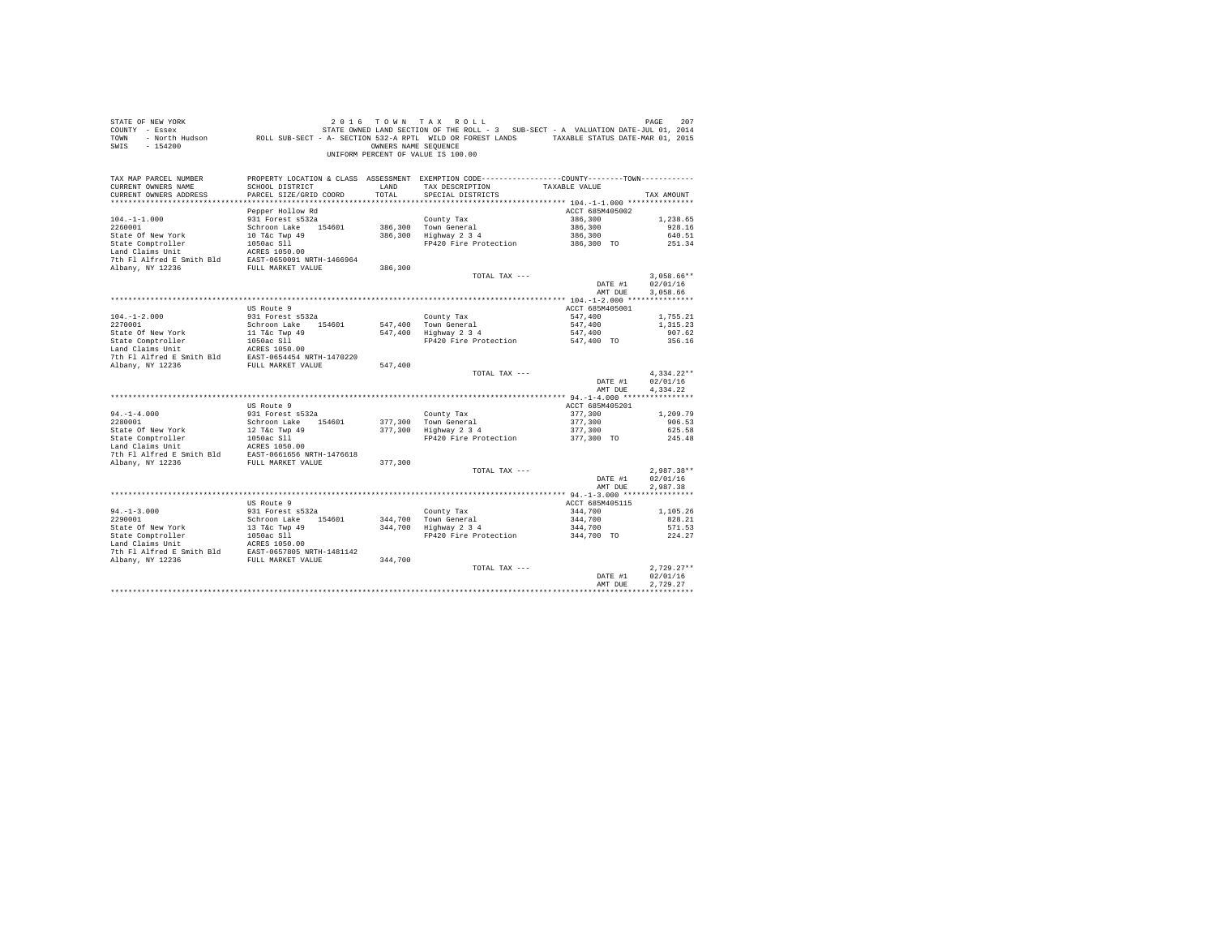| STATE OF NEW YORK<br>COUNTY - Essex<br>TOWN<br>$-154200$<br>SWIS                                                                                                                                                            |                                         | OWNERS NAME SEOUENCE | 2016 TOWN TAX ROLL<br>1207 PAGE 207 10 16 TO WINT A X ROLL<br>- Essex STATE OWNED LAND SECTION OF THE ROLL - 3 SUB-SECT - A VALUATION DATE<br>- North Hudson       ROLL SUB-SECT - A - SECTION 532-A RPTL WILD OR FOREST LANDS     TAXABLE STATUS DATE-MA<br>UNIFORM PERCENT OF VALUE IS 100.00 |                       | 207<br>PAGE          |
|-----------------------------------------------------------------------------------------------------------------------------------------------------------------------------------------------------------------------------|-----------------------------------------|----------------------|-------------------------------------------------------------------------------------------------------------------------------------------------------------------------------------------------------------------------------------------------------------------------------------------------|-----------------------|----------------------|
| TAX MAP PARCEL NUMBER<br>CURRENT OWNERS NAME                                                                                                                                                                                | SCHOOL DISTRICT                         | LAND                 | PROPERTY LOCATION & CLASS ASSESSMENT EXEMPTION CODE----------------COUNTY--------TOWN----------<br>TAX DESCRIPTION                                                                                                                                                                              | TAXABLE VALUE         |                      |
| CURRENT OWNERS ADDRESS                                                                                                                                                                                                      | PARCEL SIZE/GRID COORD                  | TOTAL                | SPECIAL DISTRICTS                                                                                                                                                                                                                                                                               |                       | TAX AMOUNT           |
|                                                                                                                                                                                                                             |                                         |                      |                                                                                                                                                                                                                                                                                                 |                       |                      |
|                                                                                                                                                                                                                             | Pepper Hollow Rd                        |                      |                                                                                                                                                                                                                                                                                                 | ACCT 685M405002       |                      |
| $104. -1 -1.000$                                                                                                                                                                                                            | 931 Forest s532a                        |                      | County Tax                                                                                                                                                                                                                                                                                      | 386,300               | 1,238.65             |
|                                                                                                                                                                                                                             |                                         |                      | 386,300 Town General<br>386,300 Town General<br>386,300 Highway 2 3 4                                                                                                                                                                                                                           | 386,300               | 928.16               |
|                                                                                                                                                                                                                             |                                         |                      |                                                                                                                                                                                                                                                                                                 | 386,300               | 640.51               |
|                                                                                                                                                                                                                             |                                         |                      | FP420 Fire Protection 386,300 TO                                                                                                                                                                                                                                                                |                       | 251.34               |
|                                                                                                                                                                                                                             |                                         |                      |                                                                                                                                                                                                                                                                                                 |                       |                      |
|                                                                                                                                                                                                                             |                                         | 386,300              |                                                                                                                                                                                                                                                                                                 |                       |                      |
|                                                                                                                                                                                                                             |                                         |                      | TOTAL TAX ---                                                                                                                                                                                                                                                                                   |                       | $3.058.66**$         |
|                                                                                                                                                                                                                             |                                         |                      |                                                                                                                                                                                                                                                                                                 | DATE #1               | 02/01/16             |
|                                                                                                                                                                                                                             |                                         |                      |                                                                                                                                                                                                                                                                                                 | AMT DUE               | 3,058.66             |
|                                                                                                                                                                                                                             |                                         |                      |                                                                                                                                                                                                                                                                                                 |                       |                      |
|                                                                                                                                                                                                                             | US Route 9                              |                      |                                                                                                                                                                                                                                                                                                 | ACCT 685M405001       |                      |
| $104. - 1 - 2.000$<br>2270001                                                                                                                                                                                               | 931 Forest s532a                        |                      | County Tax                                                                                                                                                                                                                                                                                      | 547,400               | 1,755.21<br>1,315.23 |
|                                                                                                                                                                                                                             | Schroon Lake 154601                     |                      | 547,400 Town General<br>547,400 Highway 2 3 4                                                                                                                                                                                                                                                   | 547,400               | 907.62               |
|                                                                                                                                                                                                                             |                                         |                      | Eighway 2 3 4<br>Fighway 2 3 4<br>FP420 Fire Protection 547,400 TO                                                                                                                                                                                                                              |                       | 356.16               |
|                                                                                                                                                                                                                             |                                         |                      |                                                                                                                                                                                                                                                                                                 |                       |                      |
|                                                                                                                                                                                                                             |                                         |                      |                                                                                                                                                                                                                                                                                                 |                       |                      |
|                                                                                                                                                                                                                             |                                         | 547,400              |                                                                                                                                                                                                                                                                                                 |                       |                      |
|                                                                                                                                                                                                                             |                                         |                      | TOTAL TAX ---                                                                                                                                                                                                                                                                                   |                       | $4,334.22**$         |
|                                                                                                                                                                                                                             |                                         |                      |                                                                                                                                                                                                                                                                                                 | DATE #1               | 02/01/16             |
|                                                                                                                                                                                                                             |                                         |                      |                                                                                                                                                                                                                                                                                                 | AMT DUE               | 4,334.22             |
|                                                                                                                                                                                                                             | US Route 9                              |                      |                                                                                                                                                                                                                                                                                                 | ACCT 685M405201       |                      |
|                                                                                                                                                                                                                             | 931 Forest s532a                        |                      | County Tax                                                                                                                                                                                                                                                                                      | 377,300               | 1,209.79             |
| $94. -1 - 4.000$<br>2280001                                                                                                                                                                                                 | Schroon Lake 154601                     |                      | 377,300 Town General<br>377,300 Highway 2 3 4                                                                                                                                                                                                                                                   | 377,300               | 906.53               |
|                                                                                                                                                                                                                             |                                         |                      |                                                                                                                                                                                                                                                                                                 | 377,300               | 625.58               |
| State Of New York<br>State Comptonler<br>State Compton<br>Land Claims Unit<br>Land Claims Unit<br>Land Claims Unit<br>The Filal Cass of State States<br>TULL MARKET VALUE<br>THE AIR AND ANY, NY 12236<br>FULL MARKET VALUE |                                         |                      | FP420 Fire Protection 377,300 TO                                                                                                                                                                                                                                                                |                       | 245.48               |
|                                                                                                                                                                                                                             |                                         |                      |                                                                                                                                                                                                                                                                                                 |                       |                      |
|                                                                                                                                                                                                                             |                                         | 377,300              |                                                                                                                                                                                                                                                                                                 |                       |                      |
|                                                                                                                                                                                                                             |                                         |                      | TOTAL TAX ---                                                                                                                                                                                                                                                                                   |                       | $2.987.38**$         |
|                                                                                                                                                                                                                             |                                         |                      |                                                                                                                                                                                                                                                                                                 | DATE #1               | 02/01/16             |
|                                                                                                                                                                                                                             |                                         |                      |                                                                                                                                                                                                                                                                                                 | AMT DUE               | 2.987.38             |
|                                                                                                                                                                                                                             |                                         |                      |                                                                                                                                                                                                                                                                                                 |                       |                      |
|                                                                                                                                                                                                                             | US Route 9                              |                      |                                                                                                                                                                                                                                                                                                 | ACCT 685M405115       |                      |
| $94. -1 - 3.000$                                                                                                                                                                                                            | 931 Forest s532a<br>Schroon Lake 154601 |                      | County Tax                                                                                                                                                                                                                                                                                      | 344,700               | 1,105.26             |
| 2290001                                                                                                                                                                                                                     |                                         |                      | County Tax<br>344,700 Town General<br>344,700 Highway 2 3 4                                                                                                                                                                                                                                     | 344,700               | 828.21<br>571.53     |
|                                                                                                                                                                                                                             |                                         |                      | FP420 Fire Protection                                                                                                                                                                                                                                                                           | 344,700<br>344,700 TO | 224.27               |
|                                                                                                                                                                                                                             |                                         |                      |                                                                                                                                                                                                                                                                                                 |                       |                      |
|                                                                                                                                                                                                                             |                                         |                      |                                                                                                                                                                                                                                                                                                 |                       |                      |
|                                                                                                                                                                                                                             |                                         |                      |                                                                                                                                                                                                                                                                                                 |                       |                      |
|                                                                                                                                                                                                                             |                                         |                      | TOTAL TAX ---                                                                                                                                                                                                                                                                                   |                       | $2.729.27**$         |
|                                                                                                                                                                                                                             |                                         |                      |                                                                                                                                                                                                                                                                                                 | DATE #1               | 02/01/16             |
|                                                                                                                                                                                                                             |                                         |                      |                                                                                                                                                                                                                                                                                                 | AMT DUE               | 2.729.27             |
|                                                                                                                                                                                                                             |                                         |                      |                                                                                                                                                                                                                                                                                                 |                       |                      |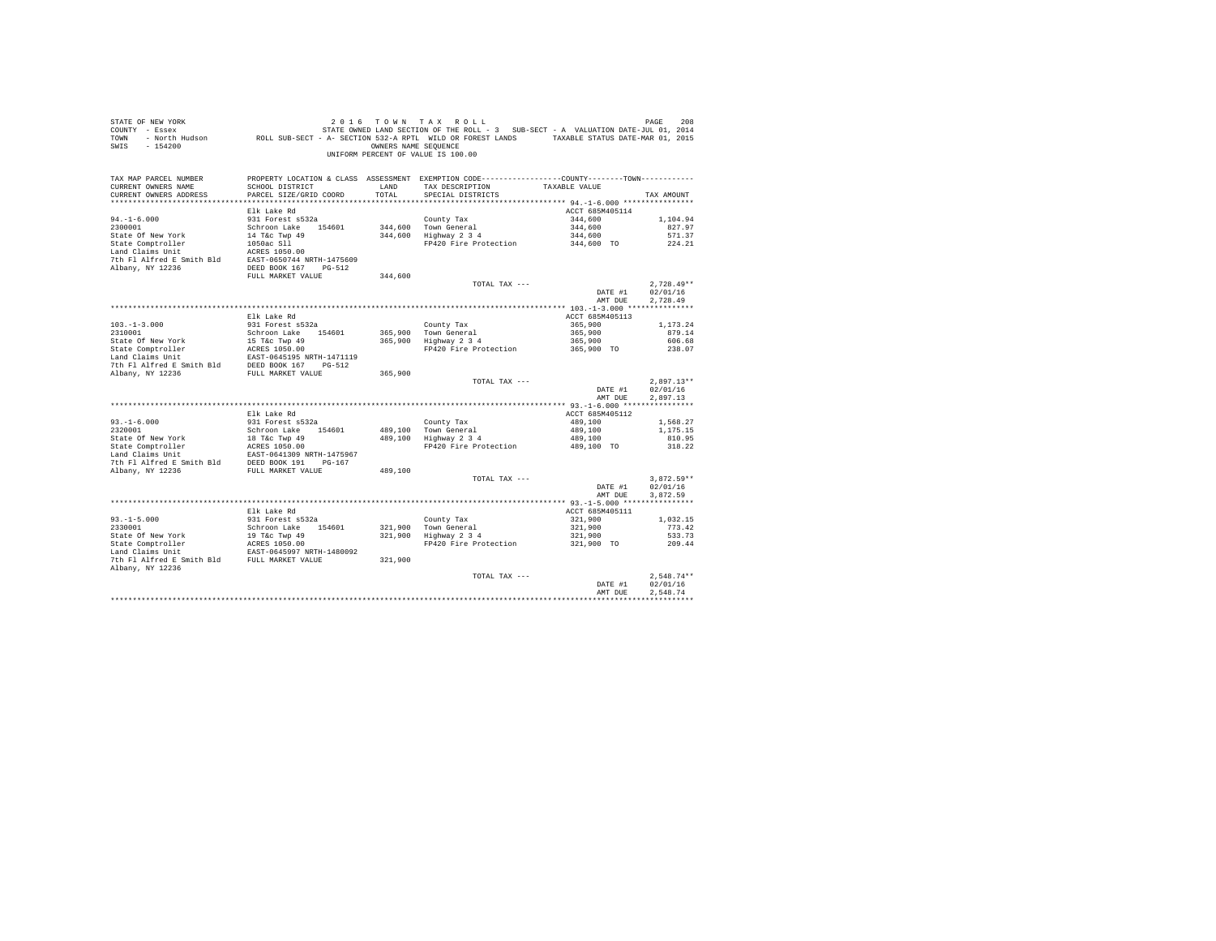| PROPERTY LOCATION & CLASS ASSESSMENT EXEMPTION CODE---------------COUNTY-------TOWN---------<br>TAX MAP PARCEL NUMBER<br>TAX DESCRIPTION TAXABLE VALUE<br>CURRENT OWNERS NAME<br>SCHOOL DISTRICT<br>LAND<br>TOTAL<br>CURRENT OWNERS ADDRESS<br>PARCEL SIZE/GRID COORD<br>SPECIAL DISTRICTS<br>TAX AMOUNT<br>Elk Lake Rd<br>ACCT 685M405114<br>$94. - 1 - 6.000$<br>931 Forest s532a<br>County Tax<br>344,600 Town General<br>344,600 Highway 2 3 4<br>344,600<br>1,104.94<br>Schroon Lake 154601<br>2300001<br>344,600<br>344,600<br>827.97<br>State Of New York 14 T&C Twp 49<br>State Comptroller 1050ac S11<br>Land Claims Unit 1050ac S11<br>571.37<br>FP420 Fire Protection 344,600 TO<br>224.21<br>7th Fl Alfred E Smith Bld EAST-0650744 NRTH-1475609<br>Albany, NY 12236<br>DEED BOOK 167 PG-512<br>FULL MARKET VALUE<br>344,600<br>$2.728.49**$<br>TOTAL TAX ---<br>DATE #1<br>02/01/16<br>2,728.49<br>AMT DUE<br>Elk Lake Rd<br>ACCT 685M405113<br>931 Forest s532a<br>County Tax<br>365,900 Town General<br>365,900 Highway 2 3 4<br>$103.-1-3.000$<br>$2310001$<br>365,900<br>1,173,24<br>Schroon Lake 154601<br>365,900<br>879.14<br>365,900<br>State of New York 15 Tac Twp 49<br>State Comptroller and MCRES 1050.00<br>Land Claims Unit BAST-0645195 NRTH-1471119<br>12 Land Claims Unit Bid DEED BOOK 167 PG-512<br>606.68<br>FP420 Fire Protection 365,900 TO<br>238.07<br>Albany, NY 12236<br>FULL MARKET VALUE<br>365,900<br>$2.897.13**$<br>TOTAL TAX ---<br>DATE #1<br>02/01/16<br>AMT DUE<br>2.897.13<br>Elk Lake Rd<br>ACCT 685M405112<br>931 Forest s532a<br>$93. -1 - 6.000$<br>2320001<br>County Tax<br>489,100 Town General<br>489,100 Highway 2 3 4<br>$489,100$<br>$489,100$<br>1,568.27<br>1,175.15<br>2320001<br>Schroom Lake 154601<br>State Omptroller 18 Tac Tay 49<br>Land Claims Unit 18 Tac Tay 49<br>Land Claims Unit 1885-0641309 NRTH-1475967<br>489,100<br>810.95<br>FP420 Fire Protection<br>489,100 TO<br>318.22<br>7th F1 Alfred E Smith Bld DEED BOOK 191 PG-167<br>Albany, NY 12236<br>489,100<br>FULL MARKET VALUE<br>$3.872.59**$<br>TOTAL TAX ---<br>02/01/16<br>DATE #1<br>AMT DUE<br>3.872.59<br>ACCT 685M405111<br>Elk Lake Rd<br>931 Forest s532a<br>$93. -1 - 5.000$<br>County Tax<br>321,900 Town General<br>321,900 Highway 2 3 4<br>321,900<br>1,032.15<br>2330001<br>Schroon Lake 154601<br>321,900<br>321,900<br>321,900 TO<br>773.42<br>State of New York 19 Tac Twp 49<br>State Comptroller 2050.00<br>Land Claims Unit 200RS 1050.00<br>Land Claims Unit EAST-0645997 NRTH-1480092<br>533.73<br>FP420 Fire Protection<br>209.44<br>7th F1 Alfred E Smith Bld FULL MARKET VALUE<br>321,900<br>Albany, NY 12236<br>$2.548.74**$<br>TOTAL TAX ---<br>02/01/16<br>DATE #1<br>2.548.74<br>AMT DUE | STATE OF NEW YORK<br>208 PAGE 208 2016 TOWN TAX ROLL<br>COUNTY - Essex – STATE ONNED LAND SECTION OF THE ROLL - 3 SUB-SECT - A VALUATION DATE-JUL 01, 2014<br>TOWN - North Hudson – ROLL SUB-SECT - A-SECTION 532-A RPTL WILD OR FOREST LANDS – TAXABLE S<br>SWIS - 154200 |  | 2016 TOWN TAX ROLL<br>OWNERS NAME SEQUENCE<br>UNIFORM PERCENT OF VALUE IS 100.00 | PAGE<br>208 |
|-------------------------------------------------------------------------------------------------------------------------------------------------------------------------------------------------------------------------------------------------------------------------------------------------------------------------------------------------------------------------------------------------------------------------------------------------------------------------------------------------------------------------------------------------------------------------------------------------------------------------------------------------------------------------------------------------------------------------------------------------------------------------------------------------------------------------------------------------------------------------------------------------------------------------------------------------------------------------------------------------------------------------------------------------------------------------------------------------------------------------------------------------------------------------------------------------------------------------------------------------------------------------------------------------------------------------------------------------------------------------------------------------------------------------------------------------------------------------------------------------------------------------------------------------------------------------------------------------------------------------------------------------------------------------------------------------------------------------------------------------------------------------------------------------------------------------------------------------------------------------------------------------------------------------------------------------------------------------------------------------------------------------------------------------------------------------------------------------------------------------------------------------------------------------------------------------------------------------------------------------------------------------------------------------------------------------------------------------------------------------------------------------------------------------------------------------------------------------------------------------------------------------------------------------------------------------------------------------------------------------------------------------------------------------------------------------------------------------------------------------------------|----------------------------------------------------------------------------------------------------------------------------------------------------------------------------------------------------------------------------------------------------------------------------|--|----------------------------------------------------------------------------------|-------------|
|                                                                                                                                                                                                                                                                                                                                                                                                                                                                                                                                                                                                                                                                                                                                                                                                                                                                                                                                                                                                                                                                                                                                                                                                                                                                                                                                                                                                                                                                                                                                                                                                                                                                                                                                                                                                                                                                                                                                                                                                                                                                                                                                                                                                                                                                                                                                                                                                                                                                                                                                                                                                                                                                                                                                                             |                                                                                                                                                                                                                                                                            |  |                                                                                  |             |
|                                                                                                                                                                                                                                                                                                                                                                                                                                                                                                                                                                                                                                                                                                                                                                                                                                                                                                                                                                                                                                                                                                                                                                                                                                                                                                                                                                                                                                                                                                                                                                                                                                                                                                                                                                                                                                                                                                                                                                                                                                                                                                                                                                                                                                                                                                                                                                                                                                                                                                                                                                                                                                                                                                                                                             |                                                                                                                                                                                                                                                                            |  |                                                                                  |             |
|                                                                                                                                                                                                                                                                                                                                                                                                                                                                                                                                                                                                                                                                                                                                                                                                                                                                                                                                                                                                                                                                                                                                                                                                                                                                                                                                                                                                                                                                                                                                                                                                                                                                                                                                                                                                                                                                                                                                                                                                                                                                                                                                                                                                                                                                                                                                                                                                                                                                                                                                                                                                                                                                                                                                                             |                                                                                                                                                                                                                                                                            |  |                                                                                  |             |
|                                                                                                                                                                                                                                                                                                                                                                                                                                                                                                                                                                                                                                                                                                                                                                                                                                                                                                                                                                                                                                                                                                                                                                                                                                                                                                                                                                                                                                                                                                                                                                                                                                                                                                                                                                                                                                                                                                                                                                                                                                                                                                                                                                                                                                                                                                                                                                                                                                                                                                                                                                                                                                                                                                                                                             |                                                                                                                                                                                                                                                                            |  |                                                                                  |             |
|                                                                                                                                                                                                                                                                                                                                                                                                                                                                                                                                                                                                                                                                                                                                                                                                                                                                                                                                                                                                                                                                                                                                                                                                                                                                                                                                                                                                                                                                                                                                                                                                                                                                                                                                                                                                                                                                                                                                                                                                                                                                                                                                                                                                                                                                                                                                                                                                                                                                                                                                                                                                                                                                                                                                                             |                                                                                                                                                                                                                                                                            |  |                                                                                  |             |
|                                                                                                                                                                                                                                                                                                                                                                                                                                                                                                                                                                                                                                                                                                                                                                                                                                                                                                                                                                                                                                                                                                                                                                                                                                                                                                                                                                                                                                                                                                                                                                                                                                                                                                                                                                                                                                                                                                                                                                                                                                                                                                                                                                                                                                                                                                                                                                                                                                                                                                                                                                                                                                                                                                                                                             |                                                                                                                                                                                                                                                                            |  |                                                                                  |             |
|                                                                                                                                                                                                                                                                                                                                                                                                                                                                                                                                                                                                                                                                                                                                                                                                                                                                                                                                                                                                                                                                                                                                                                                                                                                                                                                                                                                                                                                                                                                                                                                                                                                                                                                                                                                                                                                                                                                                                                                                                                                                                                                                                                                                                                                                                                                                                                                                                                                                                                                                                                                                                                                                                                                                                             |                                                                                                                                                                                                                                                                            |  |                                                                                  |             |
|                                                                                                                                                                                                                                                                                                                                                                                                                                                                                                                                                                                                                                                                                                                                                                                                                                                                                                                                                                                                                                                                                                                                                                                                                                                                                                                                                                                                                                                                                                                                                                                                                                                                                                                                                                                                                                                                                                                                                                                                                                                                                                                                                                                                                                                                                                                                                                                                                                                                                                                                                                                                                                                                                                                                                             |                                                                                                                                                                                                                                                                            |  |                                                                                  |             |
|                                                                                                                                                                                                                                                                                                                                                                                                                                                                                                                                                                                                                                                                                                                                                                                                                                                                                                                                                                                                                                                                                                                                                                                                                                                                                                                                                                                                                                                                                                                                                                                                                                                                                                                                                                                                                                                                                                                                                                                                                                                                                                                                                                                                                                                                                                                                                                                                                                                                                                                                                                                                                                                                                                                                                             |                                                                                                                                                                                                                                                                            |  |                                                                                  |             |
|                                                                                                                                                                                                                                                                                                                                                                                                                                                                                                                                                                                                                                                                                                                                                                                                                                                                                                                                                                                                                                                                                                                                                                                                                                                                                                                                                                                                                                                                                                                                                                                                                                                                                                                                                                                                                                                                                                                                                                                                                                                                                                                                                                                                                                                                                                                                                                                                                                                                                                                                                                                                                                                                                                                                                             |                                                                                                                                                                                                                                                                            |  |                                                                                  |             |
|                                                                                                                                                                                                                                                                                                                                                                                                                                                                                                                                                                                                                                                                                                                                                                                                                                                                                                                                                                                                                                                                                                                                                                                                                                                                                                                                                                                                                                                                                                                                                                                                                                                                                                                                                                                                                                                                                                                                                                                                                                                                                                                                                                                                                                                                                                                                                                                                                                                                                                                                                                                                                                                                                                                                                             |                                                                                                                                                                                                                                                                            |  |                                                                                  |             |
|                                                                                                                                                                                                                                                                                                                                                                                                                                                                                                                                                                                                                                                                                                                                                                                                                                                                                                                                                                                                                                                                                                                                                                                                                                                                                                                                                                                                                                                                                                                                                                                                                                                                                                                                                                                                                                                                                                                                                                                                                                                                                                                                                                                                                                                                                                                                                                                                                                                                                                                                                                                                                                                                                                                                                             |                                                                                                                                                                                                                                                                            |  |                                                                                  |             |
|                                                                                                                                                                                                                                                                                                                                                                                                                                                                                                                                                                                                                                                                                                                                                                                                                                                                                                                                                                                                                                                                                                                                                                                                                                                                                                                                                                                                                                                                                                                                                                                                                                                                                                                                                                                                                                                                                                                                                                                                                                                                                                                                                                                                                                                                                                                                                                                                                                                                                                                                                                                                                                                                                                                                                             |                                                                                                                                                                                                                                                                            |  |                                                                                  |             |
|                                                                                                                                                                                                                                                                                                                                                                                                                                                                                                                                                                                                                                                                                                                                                                                                                                                                                                                                                                                                                                                                                                                                                                                                                                                                                                                                                                                                                                                                                                                                                                                                                                                                                                                                                                                                                                                                                                                                                                                                                                                                                                                                                                                                                                                                                                                                                                                                                                                                                                                                                                                                                                                                                                                                                             |                                                                                                                                                                                                                                                                            |  |                                                                                  |             |
|                                                                                                                                                                                                                                                                                                                                                                                                                                                                                                                                                                                                                                                                                                                                                                                                                                                                                                                                                                                                                                                                                                                                                                                                                                                                                                                                                                                                                                                                                                                                                                                                                                                                                                                                                                                                                                                                                                                                                                                                                                                                                                                                                                                                                                                                                                                                                                                                                                                                                                                                                                                                                                                                                                                                                             |                                                                                                                                                                                                                                                                            |  |                                                                                  |             |
|                                                                                                                                                                                                                                                                                                                                                                                                                                                                                                                                                                                                                                                                                                                                                                                                                                                                                                                                                                                                                                                                                                                                                                                                                                                                                                                                                                                                                                                                                                                                                                                                                                                                                                                                                                                                                                                                                                                                                                                                                                                                                                                                                                                                                                                                                                                                                                                                                                                                                                                                                                                                                                                                                                                                                             |                                                                                                                                                                                                                                                                            |  |                                                                                  |             |
|                                                                                                                                                                                                                                                                                                                                                                                                                                                                                                                                                                                                                                                                                                                                                                                                                                                                                                                                                                                                                                                                                                                                                                                                                                                                                                                                                                                                                                                                                                                                                                                                                                                                                                                                                                                                                                                                                                                                                                                                                                                                                                                                                                                                                                                                                                                                                                                                                                                                                                                                                                                                                                                                                                                                                             |                                                                                                                                                                                                                                                                            |  |                                                                                  |             |
|                                                                                                                                                                                                                                                                                                                                                                                                                                                                                                                                                                                                                                                                                                                                                                                                                                                                                                                                                                                                                                                                                                                                                                                                                                                                                                                                                                                                                                                                                                                                                                                                                                                                                                                                                                                                                                                                                                                                                                                                                                                                                                                                                                                                                                                                                                                                                                                                                                                                                                                                                                                                                                                                                                                                                             |                                                                                                                                                                                                                                                                            |  |                                                                                  |             |
|                                                                                                                                                                                                                                                                                                                                                                                                                                                                                                                                                                                                                                                                                                                                                                                                                                                                                                                                                                                                                                                                                                                                                                                                                                                                                                                                                                                                                                                                                                                                                                                                                                                                                                                                                                                                                                                                                                                                                                                                                                                                                                                                                                                                                                                                                                                                                                                                                                                                                                                                                                                                                                                                                                                                                             |                                                                                                                                                                                                                                                                            |  |                                                                                  |             |
|                                                                                                                                                                                                                                                                                                                                                                                                                                                                                                                                                                                                                                                                                                                                                                                                                                                                                                                                                                                                                                                                                                                                                                                                                                                                                                                                                                                                                                                                                                                                                                                                                                                                                                                                                                                                                                                                                                                                                                                                                                                                                                                                                                                                                                                                                                                                                                                                                                                                                                                                                                                                                                                                                                                                                             |                                                                                                                                                                                                                                                                            |  |                                                                                  |             |
|                                                                                                                                                                                                                                                                                                                                                                                                                                                                                                                                                                                                                                                                                                                                                                                                                                                                                                                                                                                                                                                                                                                                                                                                                                                                                                                                                                                                                                                                                                                                                                                                                                                                                                                                                                                                                                                                                                                                                                                                                                                                                                                                                                                                                                                                                                                                                                                                                                                                                                                                                                                                                                                                                                                                                             |                                                                                                                                                                                                                                                                            |  |                                                                                  |             |
|                                                                                                                                                                                                                                                                                                                                                                                                                                                                                                                                                                                                                                                                                                                                                                                                                                                                                                                                                                                                                                                                                                                                                                                                                                                                                                                                                                                                                                                                                                                                                                                                                                                                                                                                                                                                                                                                                                                                                                                                                                                                                                                                                                                                                                                                                                                                                                                                                                                                                                                                                                                                                                                                                                                                                             |                                                                                                                                                                                                                                                                            |  |                                                                                  |             |
|                                                                                                                                                                                                                                                                                                                                                                                                                                                                                                                                                                                                                                                                                                                                                                                                                                                                                                                                                                                                                                                                                                                                                                                                                                                                                                                                                                                                                                                                                                                                                                                                                                                                                                                                                                                                                                                                                                                                                                                                                                                                                                                                                                                                                                                                                                                                                                                                                                                                                                                                                                                                                                                                                                                                                             |                                                                                                                                                                                                                                                                            |  |                                                                                  |             |
|                                                                                                                                                                                                                                                                                                                                                                                                                                                                                                                                                                                                                                                                                                                                                                                                                                                                                                                                                                                                                                                                                                                                                                                                                                                                                                                                                                                                                                                                                                                                                                                                                                                                                                                                                                                                                                                                                                                                                                                                                                                                                                                                                                                                                                                                                                                                                                                                                                                                                                                                                                                                                                                                                                                                                             |                                                                                                                                                                                                                                                                            |  |                                                                                  |             |
|                                                                                                                                                                                                                                                                                                                                                                                                                                                                                                                                                                                                                                                                                                                                                                                                                                                                                                                                                                                                                                                                                                                                                                                                                                                                                                                                                                                                                                                                                                                                                                                                                                                                                                                                                                                                                                                                                                                                                                                                                                                                                                                                                                                                                                                                                                                                                                                                                                                                                                                                                                                                                                                                                                                                                             |                                                                                                                                                                                                                                                                            |  |                                                                                  |             |
|                                                                                                                                                                                                                                                                                                                                                                                                                                                                                                                                                                                                                                                                                                                                                                                                                                                                                                                                                                                                                                                                                                                                                                                                                                                                                                                                                                                                                                                                                                                                                                                                                                                                                                                                                                                                                                                                                                                                                                                                                                                                                                                                                                                                                                                                                                                                                                                                                                                                                                                                                                                                                                                                                                                                                             |                                                                                                                                                                                                                                                                            |  |                                                                                  |             |
|                                                                                                                                                                                                                                                                                                                                                                                                                                                                                                                                                                                                                                                                                                                                                                                                                                                                                                                                                                                                                                                                                                                                                                                                                                                                                                                                                                                                                                                                                                                                                                                                                                                                                                                                                                                                                                                                                                                                                                                                                                                                                                                                                                                                                                                                                                                                                                                                                                                                                                                                                                                                                                                                                                                                                             |                                                                                                                                                                                                                                                                            |  |                                                                                  |             |
|                                                                                                                                                                                                                                                                                                                                                                                                                                                                                                                                                                                                                                                                                                                                                                                                                                                                                                                                                                                                                                                                                                                                                                                                                                                                                                                                                                                                                                                                                                                                                                                                                                                                                                                                                                                                                                                                                                                                                                                                                                                                                                                                                                                                                                                                                                                                                                                                                                                                                                                                                                                                                                                                                                                                                             |                                                                                                                                                                                                                                                                            |  |                                                                                  |             |
|                                                                                                                                                                                                                                                                                                                                                                                                                                                                                                                                                                                                                                                                                                                                                                                                                                                                                                                                                                                                                                                                                                                                                                                                                                                                                                                                                                                                                                                                                                                                                                                                                                                                                                                                                                                                                                                                                                                                                                                                                                                                                                                                                                                                                                                                                                                                                                                                                                                                                                                                                                                                                                                                                                                                                             |                                                                                                                                                                                                                                                                            |  |                                                                                  |             |
|                                                                                                                                                                                                                                                                                                                                                                                                                                                                                                                                                                                                                                                                                                                                                                                                                                                                                                                                                                                                                                                                                                                                                                                                                                                                                                                                                                                                                                                                                                                                                                                                                                                                                                                                                                                                                                                                                                                                                                                                                                                                                                                                                                                                                                                                                                                                                                                                                                                                                                                                                                                                                                                                                                                                                             |                                                                                                                                                                                                                                                                            |  |                                                                                  |             |
|                                                                                                                                                                                                                                                                                                                                                                                                                                                                                                                                                                                                                                                                                                                                                                                                                                                                                                                                                                                                                                                                                                                                                                                                                                                                                                                                                                                                                                                                                                                                                                                                                                                                                                                                                                                                                                                                                                                                                                                                                                                                                                                                                                                                                                                                                                                                                                                                                                                                                                                                                                                                                                                                                                                                                             |                                                                                                                                                                                                                                                                            |  |                                                                                  |             |
|                                                                                                                                                                                                                                                                                                                                                                                                                                                                                                                                                                                                                                                                                                                                                                                                                                                                                                                                                                                                                                                                                                                                                                                                                                                                                                                                                                                                                                                                                                                                                                                                                                                                                                                                                                                                                                                                                                                                                                                                                                                                                                                                                                                                                                                                                                                                                                                                                                                                                                                                                                                                                                                                                                                                                             |                                                                                                                                                                                                                                                                            |  |                                                                                  |             |
|                                                                                                                                                                                                                                                                                                                                                                                                                                                                                                                                                                                                                                                                                                                                                                                                                                                                                                                                                                                                                                                                                                                                                                                                                                                                                                                                                                                                                                                                                                                                                                                                                                                                                                                                                                                                                                                                                                                                                                                                                                                                                                                                                                                                                                                                                                                                                                                                                                                                                                                                                                                                                                                                                                                                                             |                                                                                                                                                                                                                                                                            |  |                                                                                  |             |
|                                                                                                                                                                                                                                                                                                                                                                                                                                                                                                                                                                                                                                                                                                                                                                                                                                                                                                                                                                                                                                                                                                                                                                                                                                                                                                                                                                                                                                                                                                                                                                                                                                                                                                                                                                                                                                                                                                                                                                                                                                                                                                                                                                                                                                                                                                                                                                                                                                                                                                                                                                                                                                                                                                                                                             |                                                                                                                                                                                                                                                                            |  |                                                                                  |             |
|                                                                                                                                                                                                                                                                                                                                                                                                                                                                                                                                                                                                                                                                                                                                                                                                                                                                                                                                                                                                                                                                                                                                                                                                                                                                                                                                                                                                                                                                                                                                                                                                                                                                                                                                                                                                                                                                                                                                                                                                                                                                                                                                                                                                                                                                                                                                                                                                                                                                                                                                                                                                                                                                                                                                                             |                                                                                                                                                                                                                                                                            |  |                                                                                  |             |
|                                                                                                                                                                                                                                                                                                                                                                                                                                                                                                                                                                                                                                                                                                                                                                                                                                                                                                                                                                                                                                                                                                                                                                                                                                                                                                                                                                                                                                                                                                                                                                                                                                                                                                                                                                                                                                                                                                                                                                                                                                                                                                                                                                                                                                                                                                                                                                                                                                                                                                                                                                                                                                                                                                                                                             |                                                                                                                                                                                                                                                                            |  |                                                                                  |             |
|                                                                                                                                                                                                                                                                                                                                                                                                                                                                                                                                                                                                                                                                                                                                                                                                                                                                                                                                                                                                                                                                                                                                                                                                                                                                                                                                                                                                                                                                                                                                                                                                                                                                                                                                                                                                                                                                                                                                                                                                                                                                                                                                                                                                                                                                                                                                                                                                                                                                                                                                                                                                                                                                                                                                                             |                                                                                                                                                                                                                                                                            |  |                                                                                  |             |
|                                                                                                                                                                                                                                                                                                                                                                                                                                                                                                                                                                                                                                                                                                                                                                                                                                                                                                                                                                                                                                                                                                                                                                                                                                                                                                                                                                                                                                                                                                                                                                                                                                                                                                                                                                                                                                                                                                                                                                                                                                                                                                                                                                                                                                                                                                                                                                                                                                                                                                                                                                                                                                                                                                                                                             |                                                                                                                                                                                                                                                                            |  |                                                                                  |             |
|                                                                                                                                                                                                                                                                                                                                                                                                                                                                                                                                                                                                                                                                                                                                                                                                                                                                                                                                                                                                                                                                                                                                                                                                                                                                                                                                                                                                                                                                                                                                                                                                                                                                                                                                                                                                                                                                                                                                                                                                                                                                                                                                                                                                                                                                                                                                                                                                                                                                                                                                                                                                                                                                                                                                                             |                                                                                                                                                                                                                                                                            |  |                                                                                  |             |
|                                                                                                                                                                                                                                                                                                                                                                                                                                                                                                                                                                                                                                                                                                                                                                                                                                                                                                                                                                                                                                                                                                                                                                                                                                                                                                                                                                                                                                                                                                                                                                                                                                                                                                                                                                                                                                                                                                                                                                                                                                                                                                                                                                                                                                                                                                                                                                                                                                                                                                                                                                                                                                                                                                                                                             |                                                                                                                                                                                                                                                                            |  |                                                                                  |             |
|                                                                                                                                                                                                                                                                                                                                                                                                                                                                                                                                                                                                                                                                                                                                                                                                                                                                                                                                                                                                                                                                                                                                                                                                                                                                                                                                                                                                                                                                                                                                                                                                                                                                                                                                                                                                                                                                                                                                                                                                                                                                                                                                                                                                                                                                                                                                                                                                                                                                                                                                                                                                                                                                                                                                                             |                                                                                                                                                                                                                                                                            |  |                                                                                  |             |
|                                                                                                                                                                                                                                                                                                                                                                                                                                                                                                                                                                                                                                                                                                                                                                                                                                                                                                                                                                                                                                                                                                                                                                                                                                                                                                                                                                                                                                                                                                                                                                                                                                                                                                                                                                                                                                                                                                                                                                                                                                                                                                                                                                                                                                                                                                                                                                                                                                                                                                                                                                                                                                                                                                                                                             |                                                                                                                                                                                                                                                                            |  |                                                                                  |             |
|                                                                                                                                                                                                                                                                                                                                                                                                                                                                                                                                                                                                                                                                                                                                                                                                                                                                                                                                                                                                                                                                                                                                                                                                                                                                                                                                                                                                                                                                                                                                                                                                                                                                                                                                                                                                                                                                                                                                                                                                                                                                                                                                                                                                                                                                                                                                                                                                                                                                                                                                                                                                                                                                                                                                                             |                                                                                                                                                                                                                                                                            |  |                                                                                  |             |
|                                                                                                                                                                                                                                                                                                                                                                                                                                                                                                                                                                                                                                                                                                                                                                                                                                                                                                                                                                                                                                                                                                                                                                                                                                                                                                                                                                                                                                                                                                                                                                                                                                                                                                                                                                                                                                                                                                                                                                                                                                                                                                                                                                                                                                                                                                                                                                                                                                                                                                                                                                                                                                                                                                                                                             |                                                                                                                                                                                                                                                                            |  |                                                                                  |             |
|                                                                                                                                                                                                                                                                                                                                                                                                                                                                                                                                                                                                                                                                                                                                                                                                                                                                                                                                                                                                                                                                                                                                                                                                                                                                                                                                                                                                                                                                                                                                                                                                                                                                                                                                                                                                                                                                                                                                                                                                                                                                                                                                                                                                                                                                                                                                                                                                                                                                                                                                                                                                                                                                                                                                                             |                                                                                                                                                                                                                                                                            |  |                                                                                  |             |
|                                                                                                                                                                                                                                                                                                                                                                                                                                                                                                                                                                                                                                                                                                                                                                                                                                                                                                                                                                                                                                                                                                                                                                                                                                                                                                                                                                                                                                                                                                                                                                                                                                                                                                                                                                                                                                                                                                                                                                                                                                                                                                                                                                                                                                                                                                                                                                                                                                                                                                                                                                                                                                                                                                                                                             |                                                                                                                                                                                                                                                                            |  |                                                                                  |             |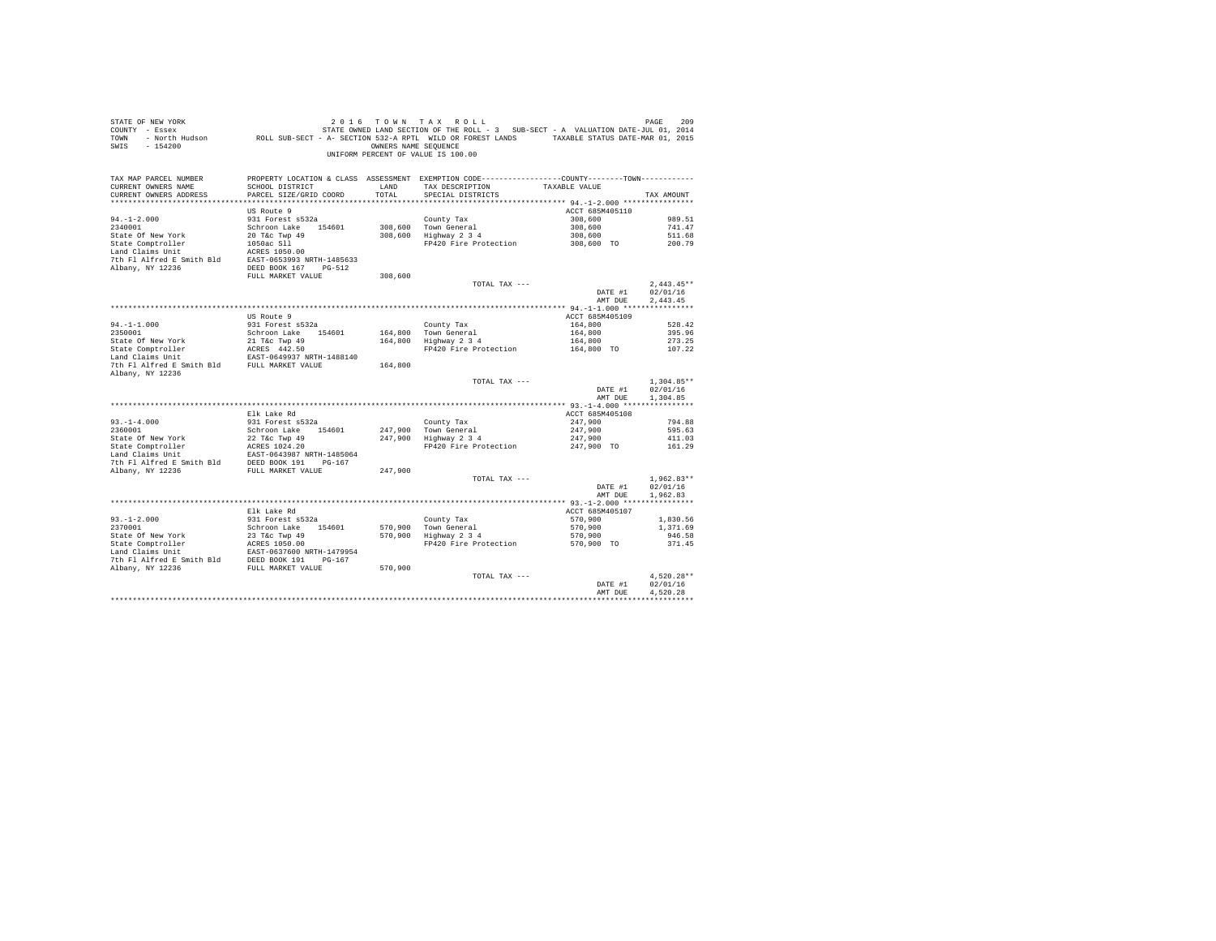| SWIS - 154200                                                                                               |                                                                                                  |         | OWNERS NAME SEQUENCE<br>UNIFORM PERCENT OF VALUE IS 100.00 |                 |              |
|-------------------------------------------------------------------------------------------------------------|--------------------------------------------------------------------------------------------------|---------|------------------------------------------------------------|-----------------|--------------|
| TAX MAP PARCEL NUMBER                                                                                       | PROPERTY LOCATION & CLASS ASSESSMENT EXEMPTION CODE---------------COUNTY-------TOWN---------     |         |                                                            |                 |              |
| CURRENT OWNERS NAME                                                                                         | SCHOOL DISTRICT                                                                                  | LAND    | TAX DESCRIPTION                                            | TAXABLE VALUE   |              |
| CURRENT OWNERS ADDRESS                                                                                      | PARCEL SIZE/GRID COORD                                                                           | TOTAL   | SPECIAL DISTRICTS                                          |                 | TAX AMOUNT   |
|                                                                                                             |                                                                                                  |         |                                                            | ACCT 685M405110 |              |
| $94. - 1 - 2.000$                                                                                           | US Route 9<br>931 Forest s532a                                                                   |         | County Tax                                                 | 308,600         | 989.51       |
| 2340001                                                                                                     | Schroon Lake 154601                                                                              |         | 308,600 Town General                                       | 308,600         | 741.47       |
| State Of New York                                                                                           | 20 T&C Twp 49                                                                                    |         | 308,600 Highway 2 3 4                                      | 308,600         | 511.68       |
|                                                                                                             | 1050ac Sll                                                                                       |         | FP420 Fire Protection                                      | 308,600 TO      | 200.79       |
| State Comptroller<br>Land Claims Unit                                                                       | ACRES 1050.00                                                                                    |         |                                                            |                 |              |
| 7th Fl Alfred E Smith Bld EAST-0653993 NRTH-1485633                                                         |                                                                                                  |         |                                                            |                 |              |
| Albany, NY 12236                                                                                            | DEED BOOK 167 PG-512                                                                             |         |                                                            |                 |              |
|                                                                                                             | FULL MARKET VALUE                                                                                | 308,600 |                                                            |                 |              |
|                                                                                                             |                                                                                                  |         | TOTAL TAX ---                                              |                 | $2.443.45**$ |
|                                                                                                             |                                                                                                  |         |                                                            | DATE #1         | 02/01/16     |
|                                                                                                             |                                                                                                  |         |                                                            | AMT DUE         | 2.443.45     |
|                                                                                                             |                                                                                                  |         |                                                            |                 |              |
|                                                                                                             | US Route 9                                                                                       |         |                                                            | ACCT 685M405109 |              |
| $94. -1 - 1.000$                                                                                            | 931 Forest s532a                                                                                 |         | County Tax                                                 | 164,800         | 528.42       |
| 2350001                                                                                                     | Schroon Lake 154601                                                                              |         | 164.800 Town General                                       | 164,800         | 395.96       |
|                                                                                                             |                                                                                                  |         | 164,800 Highway 2 3 4                                      | 164,800         | 273.25       |
| State Of New York<br>State Comptroller<br>Land Claims Unit<br>Land Claims Unit<br>EAST-0649937 NRTH-1488140 |                                                                                                  |         | FP420 Fire Protection                                      | 164,800 TO      | 107.22       |
| 7th Fl Alfred E Smith Bld FULL MARKET VALUE<br>Albany, NY 12236                                             |                                                                                                  | 164,800 |                                                            |                 |              |
|                                                                                                             |                                                                                                  |         | TOTAL TAX ---                                              |                 | $1.304.85**$ |
|                                                                                                             |                                                                                                  |         |                                                            | DATE #1         | 02/01/16     |
|                                                                                                             |                                                                                                  |         |                                                            | AMT DUE         | 1,304.85     |
|                                                                                                             |                                                                                                  |         |                                                            |                 |              |
|                                                                                                             | Elk Lake Rd                                                                                      |         |                                                            | ACCT 685M405108 |              |
| $93. -1 - 4.000$                                                                                            | 931 Forest s532a                                                                                 |         | County Tax                                                 | 247,900         | 794.88       |
| 2360001                                                                                                     | Schroon Lake 154601                                                                              |         | 247,900 Town General<br>247,900 Highway 2 3 4              | 247,900         | 595.63       |
| State Of New York                                                                                           | 22 T&c Twp 49                                                                                    |         |                                                            | 247,900         | 411.03       |
|                                                                                                             |                                                                                                  |         | FP420 Fire Protection                                      | 247,900 TO      | 161.29       |
|                                                                                                             |                                                                                                  |         |                                                            |                 |              |
| Albany, NY 12236                                                                                            | FULL MARKET VALUE                                                                                | 247,900 |                                                            |                 |              |
|                                                                                                             |                                                                                                  |         | TOTAL TAX ---                                              |                 | $1.962.83**$ |
|                                                                                                             |                                                                                                  |         |                                                            | DATE #1         | 02/01/16     |
|                                                                                                             |                                                                                                  |         |                                                            | AMT DUE         | 1.962.83     |
|                                                                                                             |                                                                                                  |         |                                                            |                 |              |
|                                                                                                             | Elk Lake Rd                                                                                      |         |                                                            | ACCT 685M405107 |              |
| $93. - 1 - 2.000$                                                                                           | 931 Forest s532a                                                                                 |         | County Tax                                                 | 570,900         | 1,830.56     |
| 2370001                                                                                                     |                                                                                                  |         |                                                            | 570,900         | 1,371.69     |
| State Of New York                                                                                           | Schroon Lake 154601 570,900 Town General<br>23 T&c Twp 49 570,900 Highway 2 3 4<br>23 T&c Twp 49 |         |                                                            | 570,900         | 946.58       |
| State Comptroller                                                                                           | ACRES 1050.00                                                                                    |         | FP420 Fire Protection                                      | 570,900 TO      | 371.45       |
| Land Claims Unit                                                                                            | EAST-0637600 NRTH-1479954                                                                        |         |                                                            |                 |              |
| 7th Fl Alfred E Smith Bld DEED BOOK 191 PG-167                                                              |                                                                                                  |         |                                                            |                 |              |
| Albany, NY 12236                                                                                            | FULL MARKET VALUE                                                                                | 570,900 |                                                            |                 |              |
|                                                                                                             |                                                                                                  |         | TOTAL TAX ---                                              |                 | $4.520.28**$ |
|                                                                                                             |                                                                                                  |         |                                                            | DATE #1         | 02/01/16     |
|                                                                                                             |                                                                                                  |         |                                                            | AMT DUE         | 4.520.28     |
|                                                                                                             |                                                                                                  |         |                                                            |                 |              |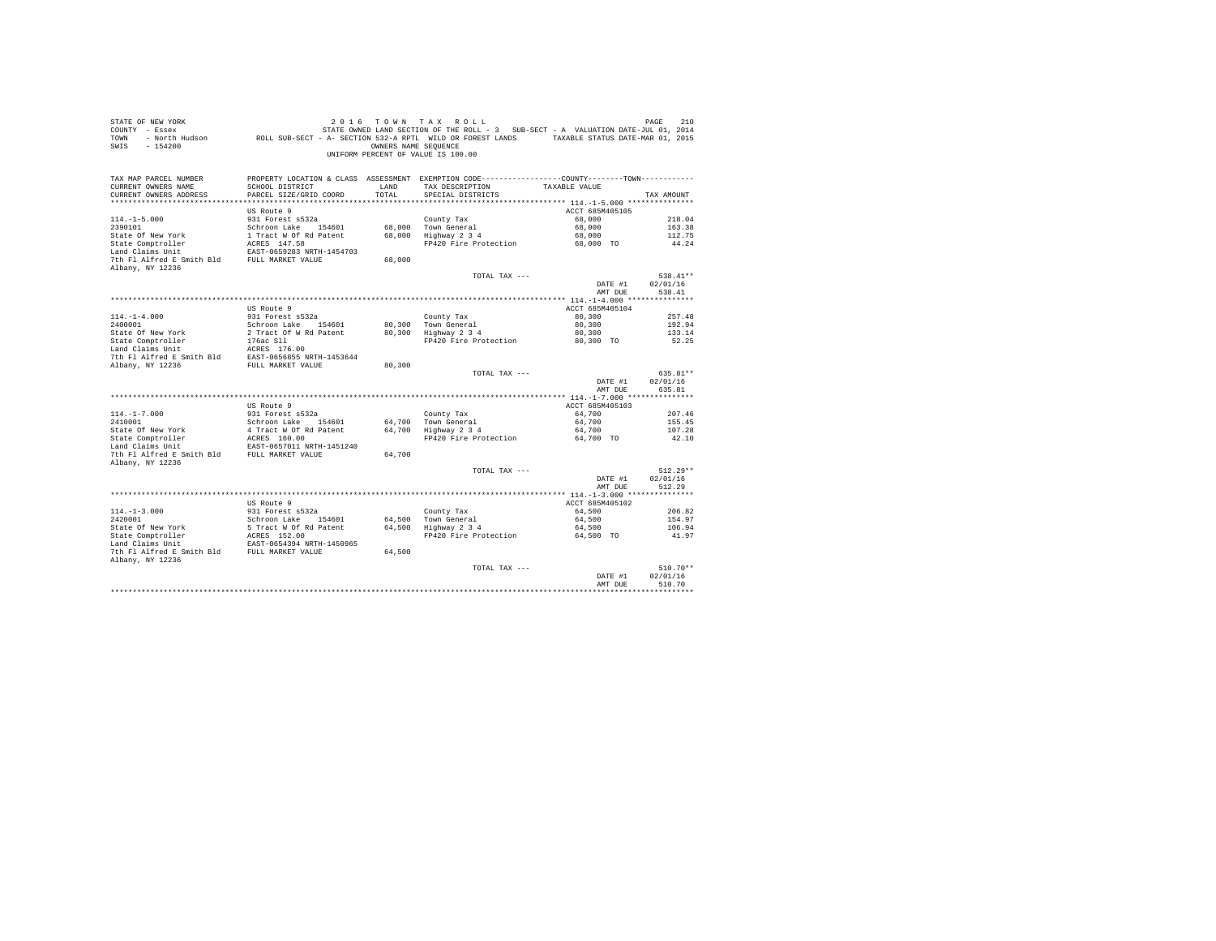| STATE OF NEW YORK<br>COUNTY - Essex<br>TOWN<br>$-154200$<br>SWIS                                                                                   |                                                                                                                                              | OWNERS NAME SEOUENCE | 2016 TOWN TAX ROLL<br>STATE OWNED LAND SECTION OF THE ROLL - 3 SUB-SECT - A VALUATION DATE-JUL 01, 2014<br>- North Hudson ROLL SUB-SECT - A- SECTION 532-A RPTL WILD OR FOREST LANDS TAXABLE STATUS DATE-MAR 01, 2015<br>UNIFORM PERCENT OF VALUE IS 100.00 |                     | PAGE<br>210          |
|----------------------------------------------------------------------------------------------------------------------------------------------------|----------------------------------------------------------------------------------------------------------------------------------------------|----------------------|-------------------------------------------------------------------------------------------------------------------------------------------------------------------------------------------------------------------------------------------------------------|---------------------|----------------------|
| TAX MAP PARCEL NUMBER<br>CURRENT OWNERS NAME<br>CURRENT OWNERS ADDRESS                                                                             | SCHOOL DISTRICT<br>PARCEL SIZE/GRID COORD                                                                                                    | LAND<br>TOTAL        | PROPERTY LOCATION & CLASS ASSESSMENT EXEMPTION CODE----------------COUNTY-------TOWN----------<br>TAX DESCRIPTION<br>SPECIAL DISTRICTS                                                                                                                      | TAXABLE VALUE       | TAX AMOUNT           |
|                                                                                                                                                    | US Route 9                                                                                                                                   |                      |                                                                                                                                                                                                                                                             | ACCT 685M405105     |                      |
| $114. -1 - 5.000$                                                                                                                                  | 931 Forest s532a                                                                                                                             |                      | County Tax                                                                                                                                                                                                                                                  | 68,000              | 218.04               |
| 2390101                                                                                                                                            | Schroon Lake 154601                                                                                                                          |                      | 68,000 Town General                                                                                                                                                                                                                                         | 68,000              | 163.38               |
| State Of New York                                                                                                                                  | 1 Tract W Of Rd Patent                                                                                                                       |                      | 68,000 Highway 2 3 4                                                                                                                                                                                                                                        | 68,000              | 112.75               |
| State Comptroller                                                                                                                                  | ACRES 147.58                                                                                                                                 |                      | FP420 Fire Protection                                                                                                                                                                                                                                       | 68,000 TO           | 44.24                |
| Land Claims Unit                                                                                                                                   | EAST-0659283 NRTH-1454703                                                                                                                    |                      |                                                                                                                                                                                                                                                             |                     |                      |
| 7th Fl Alfred E Smith Bld FULL MARKET VALUE                                                                                                        |                                                                                                                                              | 68,000               |                                                                                                                                                                                                                                                             |                     |                      |
| Albany, NY 12236                                                                                                                                   |                                                                                                                                              |                      | TOTAL TAX ---                                                                                                                                                                                                                                               |                     | 538.41**             |
|                                                                                                                                                    |                                                                                                                                              |                      |                                                                                                                                                                                                                                                             | DATE #1             | 02/01/16             |
|                                                                                                                                                    |                                                                                                                                              |                      |                                                                                                                                                                                                                                                             | AMT DUE             | 538.41               |
|                                                                                                                                                    |                                                                                                                                              |                      |                                                                                                                                                                                                                                                             |                     |                      |
|                                                                                                                                                    | US Route 9                                                                                                                                   |                      |                                                                                                                                                                                                                                                             | ACCT 685M405104     |                      |
| $114. - 1 - 4.000$                                                                                                                                 | 931 Forest s532a                                                                                                                             |                      | County Tax                                                                                                                                                                                                                                                  | 80,300              | 257.48               |
| 2400001<br>State Of New York                                                                                                                       | Schroon Lake 154601<br>2 Tract Of W Rd Patent                                                                                                |                      | 80,300 Town General<br>Highway 2 3 4                                                                                                                                                                                                                        | 80,300              | 192.94               |
|                                                                                                                                                    | 176ac Sll                                                                                                                                    | 80,300               | FP420 Fire Protection                                                                                                                                                                                                                                       | 80,300<br>80,300 TO | 133.14<br>52.25      |
| State Comptroller<br>Land Claims Unit                                                                                                              | ACRES 176.00                                                                                                                                 |                      |                                                                                                                                                                                                                                                             |                     |                      |
|                                                                                                                                                    |                                                                                                                                              |                      |                                                                                                                                                                                                                                                             |                     |                      |
| Dani Uname Solution and the EAST-0656855 NRTH-1453644<br>The Fl Alfred E Smith Bld EAST-0656855 NRTH-1453644<br>Ribany, NY 12236 FULL MARKET VALUE |                                                                                                                                              | 80,300               |                                                                                                                                                                                                                                                             |                     |                      |
|                                                                                                                                                    |                                                                                                                                              |                      | TOTAL TAX ---                                                                                                                                                                                                                                               | DATE #1             | 635.81**<br>02/01/16 |
|                                                                                                                                                    |                                                                                                                                              |                      |                                                                                                                                                                                                                                                             | AMT DUE             | 635.81               |
|                                                                                                                                                    |                                                                                                                                              |                      |                                                                                                                                                                                                                                                             |                     |                      |
|                                                                                                                                                    | US Route 9                                                                                                                                   |                      |                                                                                                                                                                                                                                                             | ACCT 685M405103     |                      |
| $114. - 1 - 7.000$                                                                                                                                 | 931 Forest s532a                                                                                                                             |                      | County Tax                                                                                                                                                                                                                                                  | 64,700              | 207.46               |
| 2410001                                                                                                                                            | Schroon Lake 154601                                                                                                                          |                      | 64.700 Town General                                                                                                                                                                                                                                         | 64,700              | 155.45               |
| State Of New York<br>State Or New Tor<br>State Comptroller                                                                                         | 4 Tract W Of Rd Patent<br>ACRES 160.00                                                                                                       |                      | 64,700 Highway 2 3 4<br>FP420 Fire Protection                                                                                                                                                                                                               | 64,700<br>64,700 TO | 107.28<br>42.10      |
| Land Claims Unit                                                                                                                                   | EAST-0657011 NRTH-1451240                                                                                                                    |                      |                                                                                                                                                                                                                                                             |                     |                      |
| 7th Fl Alfred E Smith Bld FULL MARKET VALUE                                                                                                        |                                                                                                                                              | 64,700               |                                                                                                                                                                                                                                                             |                     |                      |
| Albany, NY 12236                                                                                                                                   |                                                                                                                                              |                      |                                                                                                                                                                                                                                                             |                     |                      |
|                                                                                                                                                    |                                                                                                                                              |                      | TOTAL TAX ---                                                                                                                                                                                                                                               |                     | $512.29**$           |
|                                                                                                                                                    |                                                                                                                                              |                      |                                                                                                                                                                                                                                                             | DATE #1             | 02/01/16             |
|                                                                                                                                                    |                                                                                                                                              |                      |                                                                                                                                                                                                                                                             | AMT DUE             | 512.29               |
|                                                                                                                                                    | US Route 9                                                                                                                                   |                      |                                                                                                                                                                                                                                                             | ACCT 685M405102     |                      |
| $114. -1 - 3.000$                                                                                                                                  | 931 Forest s532a                                                                                                                             |                      | County Tax                                                                                                                                                                                                                                                  | 64,500              | 206.82               |
|                                                                                                                                                    | Schroon Lake 154601                                                                                                                          |                      | 64,500 Town General                                                                                                                                                                                                                                         | 64,500              | 154.97               |
|                                                                                                                                                    |                                                                                                                                              |                      |                                                                                                                                                                                                                                                             | 64,500              | 106.94               |
| 2420001<br>State Of New York<br>State Comptroller<br>The Institute Trace                                                                           | 5 Tract W Of Rd Patent (64,500 Highway 2 3 4<br>ACRES 152.00 Highway 2 3 4<br>ERRS 152.00 FP420 Fire Protection<br>EAST-0654394 NRTH-1450965 |                      | FP420 Fire Protection                                                                                                                                                                                                                                       | 64,500 TO           | 41.97                |
|                                                                                                                                                    |                                                                                                                                              |                      |                                                                                                                                                                                                                                                             |                     |                      |
| 7th Fl Alfred E Smith Bld FULL MARKET VALUE                                                                                                        |                                                                                                                                              | 64,500               |                                                                                                                                                                                                                                                             |                     |                      |
| Albany, NY 12236                                                                                                                                   |                                                                                                                                              |                      | TOTAL TAX ---                                                                                                                                                                                                                                               |                     | $510.70**$           |
|                                                                                                                                                    |                                                                                                                                              |                      |                                                                                                                                                                                                                                                             | DATE #1             | 02/01/16             |
|                                                                                                                                                    |                                                                                                                                              |                      |                                                                                                                                                                                                                                                             | AMT DUE             | 510.70               |
|                                                                                                                                                    |                                                                                                                                              |                      |                                                                                                                                                                                                                                                             |                     |                      |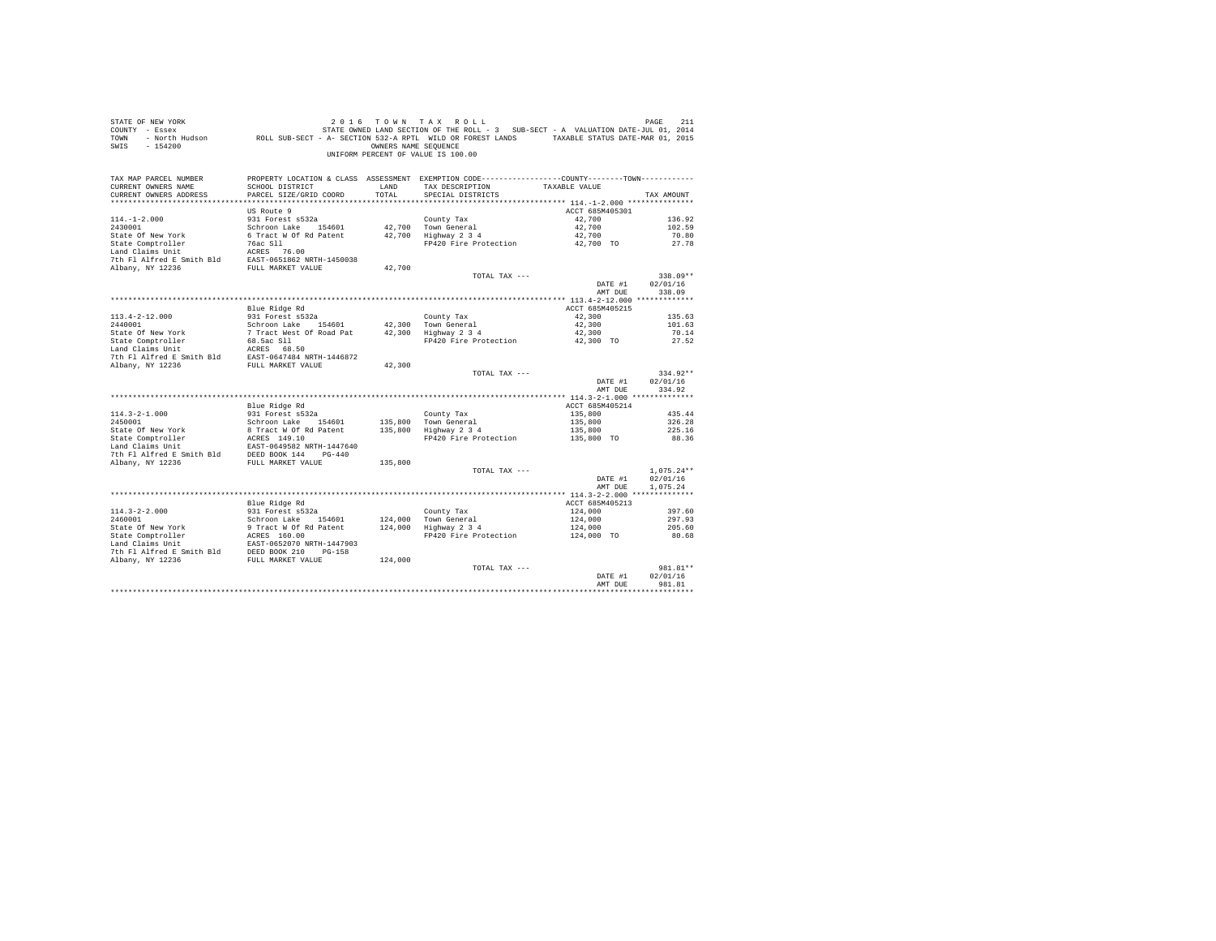| STATE OF NEW YORK<br>COUNTY - Essex<br>TOWN<br>$-154200$<br>SWIS                                                                                                                                                                     |                                           | OWNERS NAME SEOUENCE | 2016 TOWN TAX ROLL<br>STATE OWNED LAND SECTION OF THE ROLL - 3 SUB-SECT - A VALUATION DATE-JUL 01, 2014<br>- North Hudson ROLL SUB-SECT - A- SECTION 532-A RPTL WILD OR FOREST LANDS TAXABLE STATUS DATE-MAR 01, 2015<br>UNIFORM PERCENT OF VALUE IS 100.00 |                 | PAGE<br>211              |
|--------------------------------------------------------------------------------------------------------------------------------------------------------------------------------------------------------------------------------------|-------------------------------------------|----------------------|-------------------------------------------------------------------------------------------------------------------------------------------------------------------------------------------------------------------------------------------------------------|-----------------|--------------------------|
| TAX MAP PARCEL NUMBER                                                                                                                                                                                                                |                                           |                      | PROPERTY LOCATION & CLASS ASSESSMENT EXEMPTION CODE----------------COUNTY--------TOWN----------                                                                                                                                                             |                 |                          |
| CURRENT OWNERS NAME<br>CURRENT OWNERS ADDRESS                                                                                                                                                                                        | SCHOOL DISTRICT<br>PARCEL SIZE/GRID COORD | LAND<br>TOTAL        | TAX DESCRIPTION<br>SPECIAL DISTRICTS                                                                                                                                                                                                                        | TAXABLE VALUE   | TAX AMOUNT               |
|                                                                                                                                                                                                                                      |                                           |                      |                                                                                                                                                                                                                                                             |                 |                          |
|                                                                                                                                                                                                                                      | US Route 9                                |                      |                                                                                                                                                                                                                                                             | ACCT 685M405301 |                          |
| $114. -1 - 2.000$                                                                                                                                                                                                                    | 931 Forest s532a                          |                      | County Tax                                                                                                                                                                                                                                                  | 42,700          | 136.92                   |
| 2430001                                                                                                                                                                                                                              | Schroon Lake 154601                       |                      | 42,700 Town General                                                                                                                                                                                                                                         | 42,700          | 102.59                   |
| State Of New York                                                                                                                                                                                                                    | 6 Tract W Of Rd Patent                    |                      | 42,700 Highway 2 3 4                                                                                                                                                                                                                                        | 42,700          | 70.80                    |
|                                                                                                                                                                                                                                      |                                           |                      | FP420 Fire Protection                                                                                                                                                                                                                                       | 42,700 TO       | 27.78                    |
|                                                                                                                                                                                                                                      |                                           |                      |                                                                                                                                                                                                                                                             |                 |                          |
|                                                                                                                                                                                                                                      |                                           | 42,700               |                                                                                                                                                                                                                                                             |                 |                          |
|                                                                                                                                                                                                                                      |                                           |                      | TOTAL TAX ---                                                                                                                                                                                                                                               |                 | 338.09**                 |
|                                                                                                                                                                                                                                      |                                           |                      |                                                                                                                                                                                                                                                             | DATE #1         | 02/01/16                 |
|                                                                                                                                                                                                                                      |                                           |                      |                                                                                                                                                                                                                                                             | AMT DUE         | 338.09                   |
|                                                                                                                                                                                                                                      |                                           |                      |                                                                                                                                                                                                                                                             |                 |                          |
|                                                                                                                                                                                                                                      | Blue Ridge Rd                             |                      |                                                                                                                                                                                                                                                             | ACCT 685M405215 |                          |
| $113.4 - 2 - 12.000$                                                                                                                                                                                                                 | 931 Forest s532a                          |                      | County Tax                                                                                                                                                                                                                                                  | 42,300          | 135.63                   |
| 2440001                                                                                                                                                                                                                              | Schroon Lake 154601                       |                      | 42,300 Town General<br>42,300   Town General<br>42,300   Highway 2 3 4                                                                                                                                                                                      | 42,300          | 101.63                   |
|                                                                                                                                                                                                                                      |                                           |                      | FP420 Fire Protection 42,300 TO                                                                                                                                                                                                                             | 42,300          | 70.14<br>27.52           |
|                                                                                                                                                                                                                                      |                                           |                      |                                                                                                                                                                                                                                                             |                 |                          |
|                                                                                                                                                                                                                                      |                                           |                      |                                                                                                                                                                                                                                                             |                 |                          |
|                                                                                                                                                                                                                                      |                                           | 42,300               |                                                                                                                                                                                                                                                             |                 |                          |
|                                                                                                                                                                                                                                      |                                           |                      | TOTAL TAX ---                                                                                                                                                                                                                                               |                 | 334.92**                 |
|                                                                                                                                                                                                                                      |                                           |                      |                                                                                                                                                                                                                                                             | DATE #1         | 02/01/16                 |
|                                                                                                                                                                                                                                      |                                           |                      |                                                                                                                                                                                                                                                             | AMT DUE         | 334.92                   |
|                                                                                                                                                                                                                                      | Blue Ridge Rd                             |                      |                                                                                                                                                                                                                                                             | ACCT 685M405214 |                          |
| $114.3 - 2 - 1.000$                                                                                                                                                                                                                  | 931 Forest s532a                          |                      | County Tax                                                                                                                                                                                                                                                  | 135,800         | 435.44                   |
| 2450001                                                                                                                                                                                                                              | Schroon Lake 154601                       | 135,800              | Town General                                                                                                                                                                                                                                                | 135,800         | 326.28                   |
|                                                                                                                                                                                                                                      |                                           | 135,800              | Highway 2 3 4                                                                                                                                                                                                                                               | 135,800         | 225.16                   |
| State Of New York 8 Tract W Of Rd Patent<br>State Comptroller 2 ACRES 149.10<br>Land Claims Unit EAST-0649582 NRTH-1447640                                                                                                           |                                           |                      | FP420 Fire Protection                                                                                                                                                                                                                                       | 135,800 TO      | 88.36                    |
| Land Claims Unit<br>$\begin{array}{r} \text{EAST}-0649582 \text{ NRTH}-1447640 \\ \text{TDF} \text{N1 N-T} \end{array}$                                                                                                              |                                           |                      |                                                                                                                                                                                                                                                             |                 |                          |
|                                                                                                                                                                                                                                      |                                           |                      |                                                                                                                                                                                                                                                             |                 |                          |
| Albany, NY 12236                                                                                                                                                                                                                     | FULL MARKET VALUE                         | 135,800              |                                                                                                                                                                                                                                                             |                 |                          |
|                                                                                                                                                                                                                                      |                                           |                      | TOTAL TAX ---                                                                                                                                                                                                                                               | DATE #1         | $1.075.24**$<br>02/01/16 |
|                                                                                                                                                                                                                                      |                                           |                      |                                                                                                                                                                                                                                                             | AMT DUE         | 1.075.24                 |
|                                                                                                                                                                                                                                      |                                           |                      |                                                                                                                                                                                                                                                             |                 |                          |
|                                                                                                                                                                                                                                      | Blue Ridge Rd                             |                      |                                                                                                                                                                                                                                                             | ACCT 685M405213 |                          |
| $114.3 - 2 - 2.000$                                                                                                                                                                                                                  | 931 Forest s532a<br>Schroon Lake 154601   |                      | County Tax                                                                                                                                                                                                                                                  | 124,000         | 397.60                   |
| 2460001                                                                                                                                                                                                                              |                                           |                      | 124,000 Town General<br>124,000 Highway 2 3 4                                                                                                                                                                                                               | 124,000         | 297.93                   |
|                                                                                                                                                                                                                                      |                                           |                      |                                                                                                                                                                                                                                                             | 124,000         | 205.60                   |
| Procedure of New York and Structure of New York and Structure of New York Land Claims Unit North Plance (1910)<br>State Comptroller Range Smith Bld DEBD BOOK 210 PG-158<br>2010 NRTH AIFT AIFT AIFT AIR DEBD BOOK 210 PG-158<br>201 |                                           |                      | FP420 Fire Protection                                                                                                                                                                                                                                       | 124,000 TO      | 80.68                    |
|                                                                                                                                                                                                                                      |                                           |                      |                                                                                                                                                                                                                                                             |                 |                          |
|                                                                                                                                                                                                                                      |                                           | 124,000              |                                                                                                                                                                                                                                                             |                 |                          |
|                                                                                                                                                                                                                                      |                                           |                      | TOTAL TAX ---                                                                                                                                                                                                                                               |                 | 981.81**                 |
|                                                                                                                                                                                                                                      |                                           |                      |                                                                                                                                                                                                                                                             | DATE #1         | 02/01/16                 |
|                                                                                                                                                                                                                                      |                                           |                      |                                                                                                                                                                                                                                                             | AMT DUE         | 981.81                   |
|                                                                                                                                                                                                                                      |                                           |                      |                                                                                                                                                                                                                                                             |                 |                          |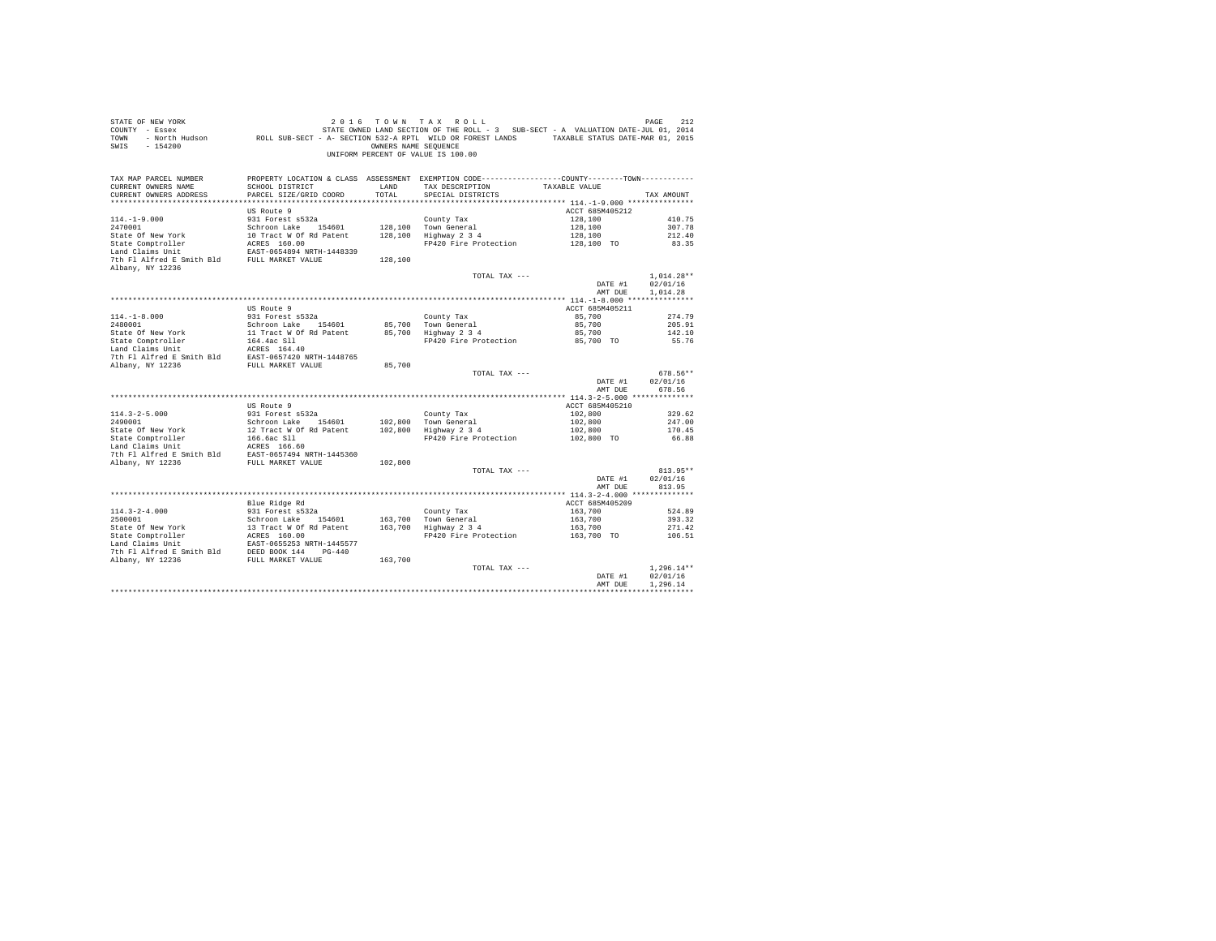| COUNTY - Essex<br>TOWN<br>SWIS<br>$-154200$                                                                                                                                                                                     | - North Hudson ROLL SUB-SECT - A- SECTION 532-A RPTL WILD OR FOREST LANDS TAXABLE STATUS DATE-MAR 01, 2015 | OWNERS NAME SEQUENCE | STATE OWNED LAND SECTION OF THE ROLL - 3 SUB-SECT - A VALUATION DATE-JUL 01, 2014<br>UNIFORM PERCENT OF VALUE IS 100.00 |                           |                        |
|---------------------------------------------------------------------------------------------------------------------------------------------------------------------------------------------------------------------------------|------------------------------------------------------------------------------------------------------------|----------------------|-------------------------------------------------------------------------------------------------------------------------|---------------------------|------------------------|
| TAX MAP PARCEL NUMBER                                                                                                                                                                                                           | PROPERTY LOCATION & CLASS ASSESSMENT EXEMPTION CODE----------------COUNTY--------TOWN----------            |                      |                                                                                                                         |                           |                        |
| CURRENT OWNERS NAME                                                                                                                                                                                                             | SCHOOL DISTRICT                                                                                            | LAND                 | TAX DESCRIPTION TAXABLE VALUE                                                                                           |                           |                        |
| CURRENT OWNERS ADDRESS                                                                                                                                                                                                          | PARCEL SIZE/GRID COORD                                                                                     | TOTAL                | SPECIAL DISTRICTS                                                                                                       |                           | TAX AMOUNT             |
|                                                                                                                                                                                                                                 |                                                                                                            |                      |                                                                                                                         |                           |                        |
|                                                                                                                                                                                                                                 | US Route 9                                                                                                 |                      |                                                                                                                         | ACCT 685M405212           |                        |
| $114. - 1 - 9.000$                                                                                                                                                                                                              | 931 Forest s532a<br>Schroon Lake 154601                                                                    |                      | County Tax<br>128.100 Town General                                                                                      | 128,100<br>128,100        | 410.75                 |
| 2470001                                                                                                                                                                                                                         |                                                                                                            |                      | 128,100 Highway 2 3 4                                                                                                   | 128,100                   | 307.78<br>212.40       |
|                                                                                                                                                                                                                                 |                                                                                                            |                      | FP420 Fire Protection                                                                                                   | 128,100 TO                | 83.35                  |
|                                                                                                                                                                                                                                 |                                                                                                            |                      |                                                                                                                         |                           |                        |
| State of New York 10 Tract W of Rd Patent 128,100<br>State Comptroller RCRES 160.00<br>In RCRES 160.00<br>Land Claims Unit RAST-0654894 NRTH-1448339<br>7th Fl Alfred E Smith Bld FULL MARKET VALUE 128,100<br>Albany, NY 12236 |                                                                                                            |                      |                                                                                                                         |                           |                        |
|                                                                                                                                                                                                                                 |                                                                                                            |                      | TOTAL TAX ---                                                                                                           |                           | $1,014.28**$           |
|                                                                                                                                                                                                                                 |                                                                                                            |                      |                                                                                                                         | DATE #1                   | 02/01/16               |
|                                                                                                                                                                                                                                 |                                                                                                            |                      |                                                                                                                         | AMT DUE                   | 1,014.28               |
|                                                                                                                                                                                                                                 |                                                                                                            |                      |                                                                                                                         |                           |                        |
|                                                                                                                                                                                                                                 | US Route 9                                                                                                 |                      |                                                                                                                         | ACCT 685M405211           |                        |
| $114. - 1 - 8.000$                                                                                                                                                                                                              | 931 Forest s532a                                                                                           |                      | County Tax<br>85,700 Town General<br>85,700 Highway 2 3 4                                                               | 85,700                    | 274.79                 |
|                                                                                                                                                                                                                                 |                                                                                                            |                      |                                                                                                                         | 85,700<br>85,700          | 205.91<br>142.10       |
|                                                                                                                                                                                                                                 |                                                                                                            |                      | FP420 Fire Protection 85,700 TO                                                                                         |                           | 55.76                  |
|                                                                                                                                                                                                                                 |                                                                                                            |                      |                                                                                                                         |                           |                        |
|                                                                                                                                                                                                                                 |                                                                                                            |                      |                                                                                                                         |                           |                        |
| Albany, NY 12236                                                                                                                                                                                                                | FULL MARKET VALUE                                                                                          | 85,700               |                                                                                                                         |                           |                        |
|                                                                                                                                                                                                                                 |                                                                                                            |                      | TOTAL TAX ---                                                                                                           |                           | 678.56**               |
|                                                                                                                                                                                                                                 |                                                                                                            |                      |                                                                                                                         | DATE #1                   | 02/01/16               |
|                                                                                                                                                                                                                                 |                                                                                                            |                      |                                                                                                                         | AMT DUE                   | 678.56                 |
|                                                                                                                                                                                                                                 | US Route 9                                                                                                 |                      |                                                                                                                         | ACCT 685M405210           |                        |
| $114.3 - 2 - 5.000$                                                                                                                                                                                                             |                                                                                                            |                      | County Tax                                                                                                              | 102,800                   | 329.62                 |
| 2490001                                                                                                                                                                                                                         | 931 Forest s532a<br>Schroon Lake 154601                                                                    |                      |                                                                                                                         | 102,800                   | 247.00                 |
|                                                                                                                                                                                                                                 |                                                                                                            |                      | County Tax<br>102,800 Town General<br>102,800 Highway 2 3 4                                                             |                           | 170.45                 |
| State of New York 12 Tract W of R Patent<br>State Comptroller 166.6ac S11<br>Land Claims Unit<br>Land Claims Unit<br>The Pl Alfred E Smith Bld EAST-0657494 NETH-1445360<br>The Pl Alfred E Smith Bld EAST-0657494 NETH-1445360 |                                                                                                            |                      | FP420 Fire Protection                                                                                                   | $102,800$<br>$102,800$ TO | 66.88                  |
|                                                                                                                                                                                                                                 |                                                                                                            |                      |                                                                                                                         |                           |                        |
|                                                                                                                                                                                                                                 |                                                                                                            |                      |                                                                                                                         |                           |                        |
| Albany, NY 12236                                                                                                                                                                                                                | FULL MARKET VALUE                                                                                          | 102,800              |                                                                                                                         |                           |                        |
|                                                                                                                                                                                                                                 |                                                                                                            |                      | TOTAL TAX ---                                                                                                           | DATE #1                   | $813.95**$<br>02/01/16 |
|                                                                                                                                                                                                                                 |                                                                                                            |                      |                                                                                                                         | AMT DUE                   | 813.95                 |
|                                                                                                                                                                                                                                 |                                                                                                            |                      |                                                                                                                         |                           |                        |
|                                                                                                                                                                                                                                 | Blue Ridge Rd                                                                                              |                      |                                                                                                                         | ACCT 685M405209           |                        |
| $114.3 - 2 - 4.000$                                                                                                                                                                                                             | 931 Forest s532a                                                                                           |                      |                                                                                                                         | 163,700                   | 524.89                 |
|                                                                                                                                                                                                                                 |                                                                                                            |                      | County Tax<br>163,700 Town General<br>163,700 Highway 2 3 4                                                             | 163,700                   | 393.32                 |
|                                                                                                                                                                                                                                 |                                                                                                            |                      |                                                                                                                         | 163,700                   | 271.42                 |
|                                                                                                                                                                                                                                 |                                                                                                            |                      | FP420 Fire Protection 163,700 TO 106.51                                                                                 |                           |                        |
|                                                                                                                                                                                                                                 |                                                                                                            |                      |                                                                                                                         |                           |                        |
|                                                                                                                                                                                                                                 |                                                                                                            | 163,700              |                                                                                                                         |                           |                        |
|                                                                                                                                                                                                                                 |                                                                                                            |                      | TOTAL TAX ---                                                                                                           |                           | $1.296.14**$           |
|                                                                                                                                                                                                                                 |                                                                                                            |                      |                                                                                                                         | DATE #1                   | 02/01/16               |
|                                                                                                                                                                                                                                 |                                                                                                            |                      |                                                                                                                         | AMT DUE                   | 1,296.14               |
|                                                                                                                                                                                                                                 |                                                                                                            |                      |                                                                                                                         |                           |                        |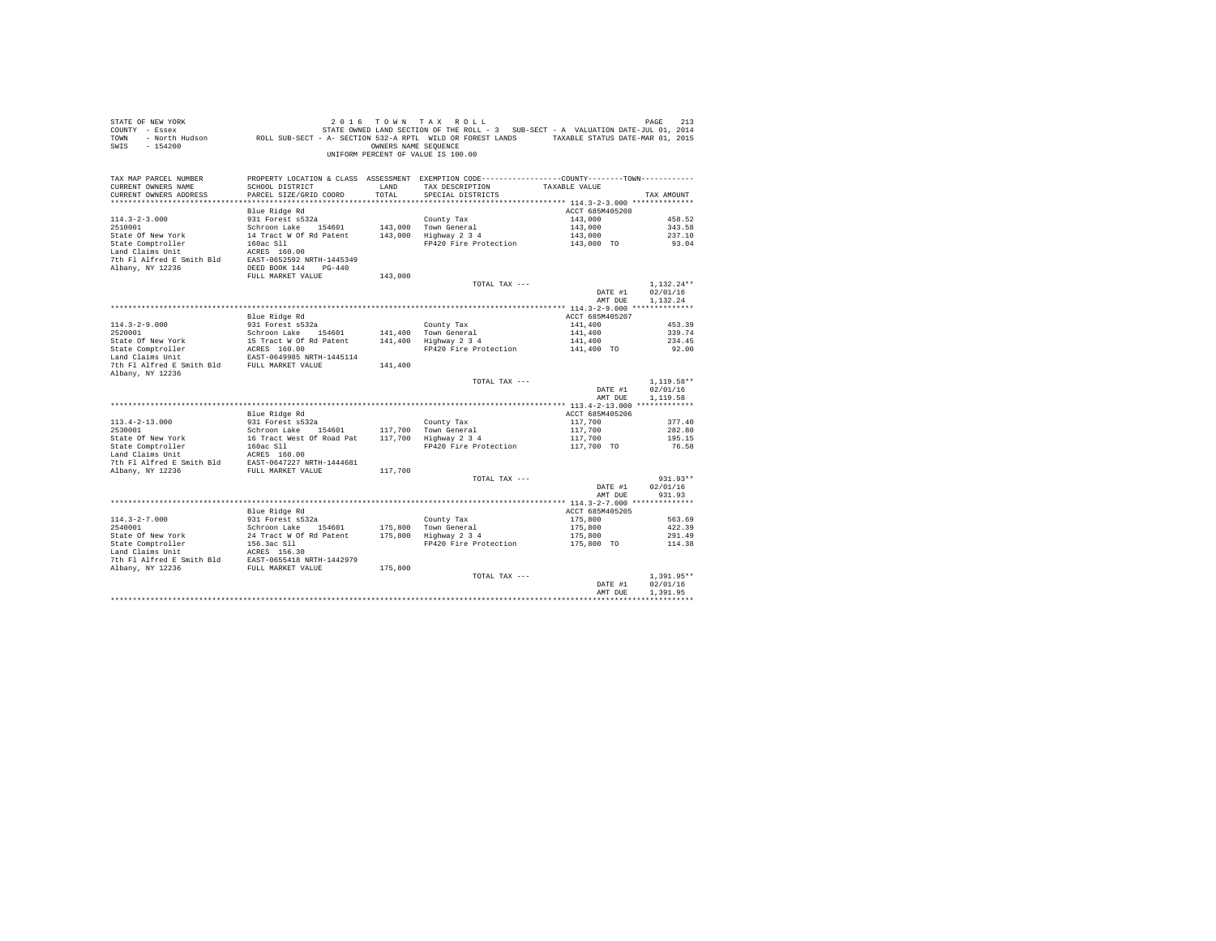| PROPERTY LOCATION & CLASS ASSESSMENT EXEMPTION CODE---------------COUNTY-------TOWN---------<br>TAX MAP PARCEL NUMBER<br>TAX DESCRIPTION TAXABLE VALUE<br>CURRENT OWNERS NAME<br>SCHOOL DISTRICT LAND<br>CURRENT OWNERS ADDRESS<br>PARCEL SIZE/GRID COORD<br>TOTAL<br>SPECIAL DISTRICTS<br>TAX AMOUNT<br>ACCT 685M405208<br>Blue Ridge Rd<br>931 Forest s532a<br>Schroon Lake 154601 143,000 Town General<br>16300 Town Ceneral<br>16300 Town Schway 2,34<br>$114.3 - 2 - 3.000$<br>143,000<br>458.52<br>2510001<br>2510001<br>2510001 147,000 Town General<br>254601 143,000 Town General<br>25460 147 Tract W of Rd Patent<br>261 143,000 Highway 2 3 4<br>261 29420 Fire Protection<br>26RES 150.00<br>143,000<br>343.58<br>143,000<br>237.10<br>FP420 Fire Protection<br>143,000 TO<br>93.04<br>7th Fl Alfred E Smith Bld EAST-0652592 NRTH-1445349 | 2016 7 OWN TAX ROLL PAGE PAGE 213<br>COUNTY - Essex – STATE OWNED LAND SECTION OF THE ROLL - 3 SUB-SECT - A VALUATION DATE-JUL 01, 2014<br>TOWN - North Hudson – ROLL SUB-SECT - A- SECTION 532-A RPTL WILD OR FOREST LANDS – TAXABL |
|---------------------------------------------------------------------------------------------------------------------------------------------------------------------------------------------------------------------------------------------------------------------------------------------------------------------------------------------------------------------------------------------------------------------------------------------------------------------------------------------------------------------------------------------------------------------------------------------------------------------------------------------------------------------------------------------------------------------------------------------------------------------------------------------------------------------------------------------------------|--------------------------------------------------------------------------------------------------------------------------------------------------------------------------------------------------------------------------------------|
|                                                                                                                                                                                                                                                                                                                                                                                                                                                                                                                                                                                                                                                                                                                                                                                                                                                         |                                                                                                                                                                                                                                      |
|                                                                                                                                                                                                                                                                                                                                                                                                                                                                                                                                                                                                                                                                                                                                                                                                                                                         |                                                                                                                                                                                                                                      |
|                                                                                                                                                                                                                                                                                                                                                                                                                                                                                                                                                                                                                                                                                                                                                                                                                                                         |                                                                                                                                                                                                                                      |
|                                                                                                                                                                                                                                                                                                                                                                                                                                                                                                                                                                                                                                                                                                                                                                                                                                                         |                                                                                                                                                                                                                                      |
|                                                                                                                                                                                                                                                                                                                                                                                                                                                                                                                                                                                                                                                                                                                                                                                                                                                         |                                                                                                                                                                                                                                      |
|                                                                                                                                                                                                                                                                                                                                                                                                                                                                                                                                                                                                                                                                                                                                                                                                                                                         |                                                                                                                                                                                                                                      |
|                                                                                                                                                                                                                                                                                                                                                                                                                                                                                                                                                                                                                                                                                                                                                                                                                                                         |                                                                                                                                                                                                                                      |
|                                                                                                                                                                                                                                                                                                                                                                                                                                                                                                                                                                                                                                                                                                                                                                                                                                                         |                                                                                                                                                                                                                                      |
|                                                                                                                                                                                                                                                                                                                                                                                                                                                                                                                                                                                                                                                                                                                                                                                                                                                         |                                                                                                                                                                                                                                      |
| DEED BOOK 144 PG-440<br>Albany, NY 12236                                                                                                                                                                                                                                                                                                                                                                                                                                                                                                                                                                                                                                                                                                                                                                                                                |                                                                                                                                                                                                                                      |
| FULL MARKET VALUE<br>143,000                                                                                                                                                                                                                                                                                                                                                                                                                                                                                                                                                                                                                                                                                                                                                                                                                            |                                                                                                                                                                                                                                      |
| $1.132.24**$<br>TOTAL TAX ---                                                                                                                                                                                                                                                                                                                                                                                                                                                                                                                                                                                                                                                                                                                                                                                                                           |                                                                                                                                                                                                                                      |
| 02/01/16<br>DATE #1                                                                                                                                                                                                                                                                                                                                                                                                                                                                                                                                                                                                                                                                                                                                                                                                                                     |                                                                                                                                                                                                                                      |
| 1,132.24<br>AMT DUE                                                                                                                                                                                                                                                                                                                                                                                                                                                                                                                                                                                                                                                                                                                                                                                                                                     |                                                                                                                                                                                                                                      |
|                                                                                                                                                                                                                                                                                                                                                                                                                                                                                                                                                                                                                                                                                                                                                                                                                                                         |                                                                                                                                                                                                                                      |
| Blue Ridge Rd<br>ACCT 685M405207                                                                                                                                                                                                                                                                                                                                                                                                                                                                                                                                                                                                                                                                                                                                                                                                                        |                                                                                                                                                                                                                                      |
| 931 Forest $s532a$<br>County Tax<br>141,400 Town General<br>141,400<br>$114.3 - 2 - 9.000$<br>453.39                                                                                                                                                                                                                                                                                                                                                                                                                                                                                                                                                                                                                                                                                                                                                    |                                                                                                                                                                                                                                      |
| 141,400<br>339.74<br>141,400 Highway 2 3 4                                                                                                                                                                                                                                                                                                                                                                                                                                                                                                                                                                                                                                                                                                                                                                                                              |                                                                                                                                                                                                                                      |
| 141,400<br>234.45                                                                                                                                                                                                                                                                                                                                                                                                                                                                                                                                                                                                                                                                                                                                                                                                                                       |                                                                                                                                                                                                                                      |
| 2520001<br>2520001<br>2620001 15 Tract Work<br>2620001 15 Tract W Of Rd Patent<br>2630.00<br>26357-0649985 NRTH-1445114<br>26357-0649985 NRTH-1445114<br>FP420 Fire Protection<br>141,400 TO<br>92.00                                                                                                                                                                                                                                                                                                                                                                                                                                                                                                                                                                                                                                                   |                                                                                                                                                                                                                                      |
| 7th Fl Alfred E Smith Bld FULL MARKET VALUE<br>141,400<br>Albany, NY 12236                                                                                                                                                                                                                                                                                                                                                                                                                                                                                                                                                                                                                                                                                                                                                                              |                                                                                                                                                                                                                                      |
| $1.119.58**$<br>TOTAL TAX ---                                                                                                                                                                                                                                                                                                                                                                                                                                                                                                                                                                                                                                                                                                                                                                                                                           |                                                                                                                                                                                                                                      |
| 02/01/16<br>DATE #1                                                                                                                                                                                                                                                                                                                                                                                                                                                                                                                                                                                                                                                                                                                                                                                                                                     |                                                                                                                                                                                                                                      |
| AMT DUE<br>1,119.58                                                                                                                                                                                                                                                                                                                                                                                                                                                                                                                                                                                                                                                                                                                                                                                                                                     |                                                                                                                                                                                                                                      |
|                                                                                                                                                                                                                                                                                                                                                                                                                                                                                                                                                                                                                                                                                                                                                                                                                                                         |                                                                                                                                                                                                                                      |
| ACCT 685M405206<br>Blue Ridge Rd                                                                                                                                                                                                                                                                                                                                                                                                                                                                                                                                                                                                                                                                                                                                                                                                                        |                                                                                                                                                                                                                                      |
| 117,700<br>117,700<br>$113.4 - 2 - 13.000$<br>931 Forest s532a<br>County Tax<br>377.40                                                                                                                                                                                                                                                                                                                                                                                                                                                                                                                                                                                                                                                                                                                                                                  |                                                                                                                                                                                                                                      |
| Schroon Lake 154601 117,700 Town General<br>2530001<br>282.80                                                                                                                                                                                                                                                                                                                                                                                                                                                                                                                                                                                                                                                                                                                                                                                           |                                                                                                                                                                                                                                      |
| 117,700<br>195.15                                                                                                                                                                                                                                                                                                                                                                                                                                                                                                                                                                                                                                                                                                                                                                                                                                       |                                                                                                                                                                                                                                      |
| FP420 Fire Protection<br>117,700 TO<br>76.58                                                                                                                                                                                                                                                                                                                                                                                                                                                                                                                                                                                                                                                                                                                                                                                                            |                                                                                                                                                                                                                                      |
|                                                                                                                                                                                                                                                                                                                                                                                                                                                                                                                                                                                                                                                                                                                                                                                                                                                         |                                                                                                                                                                                                                                      |
| Albany, NY 12236 FULL MARKET VALUE<br>117,700                                                                                                                                                                                                                                                                                                                                                                                                                                                                                                                                                                                                                                                                                                                                                                                                           |                                                                                                                                                                                                                                      |
| $931.93**$<br>TOTAL TAX ---                                                                                                                                                                                                                                                                                                                                                                                                                                                                                                                                                                                                                                                                                                                                                                                                                             |                                                                                                                                                                                                                                      |
| 02/01/16<br>DATE #1                                                                                                                                                                                                                                                                                                                                                                                                                                                                                                                                                                                                                                                                                                                                                                                                                                     |                                                                                                                                                                                                                                      |
| AMT DUE<br>931.93                                                                                                                                                                                                                                                                                                                                                                                                                                                                                                                                                                                                                                                                                                                                                                                                                                       |                                                                                                                                                                                                                                      |
|                                                                                                                                                                                                                                                                                                                                                                                                                                                                                                                                                                                                                                                                                                                                                                                                                                                         |                                                                                                                                                                                                                                      |
| Blue Ridge Rd<br>ACCT 685M405205                                                                                                                                                                                                                                                                                                                                                                                                                                                                                                                                                                                                                                                                                                                                                                                                                        |                                                                                                                                                                                                                                      |
| 931 Forest s532a<br>$114.3 - 2 - 7.000$<br>County Tax<br>175,800<br>563.69                                                                                                                                                                                                                                                                                                                                                                                                                                                                                                                                                                                                                                                                                                                                                                              |                                                                                                                                                                                                                                      |
| 175,800 Town General<br>175,800 Highway 2 3 4<br>2540001<br>Schroon Lake 154601<br>175,800<br>422.39                                                                                                                                                                                                                                                                                                                                                                                                                                                                                                                                                                                                                                                                                                                                                    |                                                                                                                                                                                                                                      |
| 175,800<br>State Of New York 24 Tract W Of Rd Patent<br>State Comptroller 156.3ac Sll<br>Land Claims Unit Rd Ress 156.30<br>7th Pl Mifford Patent Compton 156.30<br>291.49                                                                                                                                                                                                                                                                                                                                                                                                                                                                                                                                                                                                                                                                              |                                                                                                                                                                                                                                      |
| FP420 Fire Protection<br>175,800 TO<br>114.38                                                                                                                                                                                                                                                                                                                                                                                                                                                                                                                                                                                                                                                                                                                                                                                                           |                                                                                                                                                                                                                                      |
|                                                                                                                                                                                                                                                                                                                                                                                                                                                                                                                                                                                                                                                                                                                                                                                                                                                         |                                                                                                                                                                                                                                      |
| 7th Fl Alfred E Smith Bld EAST-0655418 NRTH-1442979                                                                                                                                                                                                                                                                                                                                                                                                                                                                                                                                                                                                                                                                                                                                                                                                     |                                                                                                                                                                                                                                      |
| Albany, NY 12236 FULL MARKET VALUE<br>175,800                                                                                                                                                                                                                                                                                                                                                                                                                                                                                                                                                                                                                                                                                                                                                                                                           |                                                                                                                                                                                                                                      |
| $1.391.95**$<br>TOTAL TAX ---                                                                                                                                                                                                                                                                                                                                                                                                                                                                                                                                                                                                                                                                                                                                                                                                                           |                                                                                                                                                                                                                                      |
| 02/01/16<br>DATE #1<br>AMT DUE<br>1,391.95                                                                                                                                                                                                                                                                                                                                                                                                                                                                                                                                                                                                                                                                                                                                                                                                              |                                                                                                                                                                                                                                      |
|                                                                                                                                                                                                                                                                                                                                                                                                                                                                                                                                                                                                                                                                                                                                                                                                                                                         |                                                                                                                                                                                                                                      |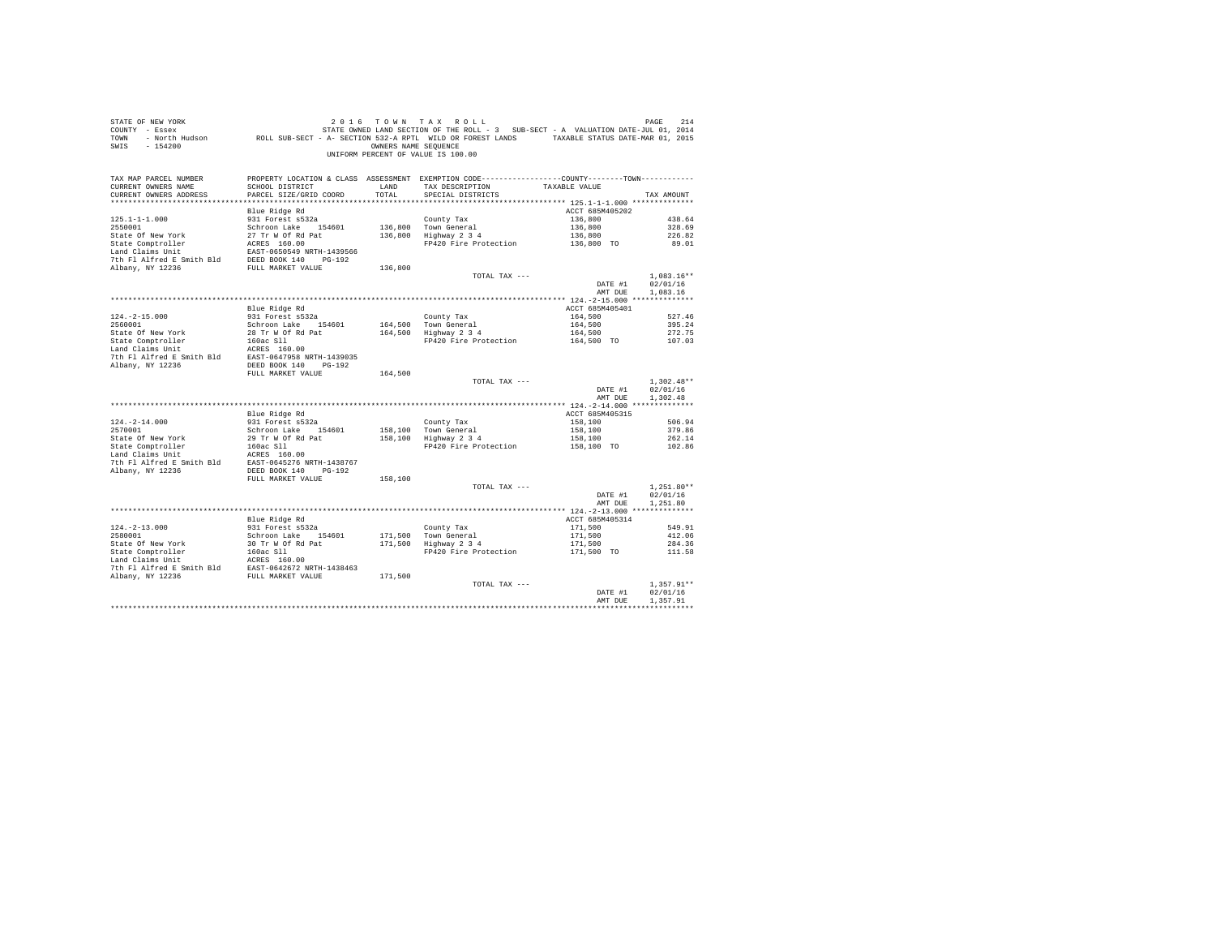| STATE OF NEW YORK<br>$COUNTY - Essex$<br>TOWN<br>$-154200$<br>SWIS     |                                           | OWNERS NAME SEOUENCE | 2016 TOWN TAX ROLL (PACK PORT PARK POLL)<br>The Easex STATE OWNED LAND SECTION OF THE ROLL - 3 SUB-SECT - A VALUATION DATE-JUL 01, 2014<br>Roll SUB-SECT - A SECTION 532-A RPTL WILD OR FOREST LANDS TAXABLE STATUS DATE-MAR 01, 201<br>UNIFORM PERCENT OF VALUE IS 100.00 |                       |                          |
|------------------------------------------------------------------------|-------------------------------------------|----------------------|----------------------------------------------------------------------------------------------------------------------------------------------------------------------------------------------------------------------------------------------------------------------------|-----------------------|--------------------------|
| TAX MAP PARCEL NUMBER<br>CURRENT OWNERS NAME<br>CURRENT OWNERS ADDRESS | SCHOOL DISTRICT<br>PARCEL SIZE/GRID COORD | LAND<br>TOTAL.       | PROPERTY LOCATION & CLASS ASSESSMENT EXEMPTION CODE---------------COUNTY-------TOWN---------<br>TAX DESCRIPTION<br>SPECIAL DISTRICTS                                                                                                                                       | TAXABLE VALUE         | TAX AMOUNT               |
|                                                                        | Blue Ridge Rd                             |                      |                                                                                                                                                                                                                                                                            | ACCT 685M405202       |                          |
| $125.1 - 1 - 1.000$                                                    | 931 Forest s532a                          |                      | County Tax                                                                                                                                                                                                                                                                 | 136,800               | 438.64                   |
| 2550001                                                                | Schroon Lake 154601                       |                      | County Tax<br>136,800 Town General<br>136,800 Highway 2 3 4                                                                                                                                                                                                                | 136,800               | 328.69                   |
|                                                                        |                                           |                      |                                                                                                                                                                                                                                                                            | 136,800<br>136,800 TO | 226.82                   |
|                                                                        |                                           |                      | FP420 Fire Protection                                                                                                                                                                                                                                                      |                       | 89.01                    |
|                                                                        |                                           |                      |                                                                                                                                                                                                                                                                            |                       |                          |
|                                                                        |                                           | 136,800              |                                                                                                                                                                                                                                                                            |                       |                          |
|                                                                        |                                           |                      | TOTAL TAX ---                                                                                                                                                                                                                                                              |                       | $1.083.16**$             |
|                                                                        |                                           |                      |                                                                                                                                                                                                                                                                            | DATE #1               | 02/01/16                 |
|                                                                        |                                           |                      |                                                                                                                                                                                                                                                                            | AMT DUE               | 1,083.16                 |
|                                                                        |                                           |                      |                                                                                                                                                                                                                                                                            |                       |                          |
|                                                                        | Blue Ridge Rd<br>931 Forest s532a         |                      |                                                                                                                                                                                                                                                                            | ACCT 685M405401       |                          |
| $124. -2 - 15.000$                                                     |                                           |                      | County Tax<br>164,500 Town General<br>164,500 Highway 2 3 4                                                                                                                                                                                                                | 164,500               | 527.46                   |
|                                                                        |                                           |                      |                                                                                                                                                                                                                                                                            | 164,500<br>164,500    | 395.24<br>272.75         |
|                                                                        |                                           |                      | FP420 Fire Protection 164,500 TO                                                                                                                                                                                                                                           |                       | 107.03                   |
|                                                                        |                                           |                      |                                                                                                                                                                                                                                                                            |                       |                          |
|                                                                        |                                           |                      |                                                                                                                                                                                                                                                                            |                       |                          |
|                                                                        |                                           |                      |                                                                                                                                                                                                                                                                            |                       |                          |
|                                                                        | FULL MARKET VALUE                         | 164,500              |                                                                                                                                                                                                                                                                            |                       |                          |
|                                                                        |                                           |                      | TOTAL TAX ---                                                                                                                                                                                                                                                              |                       | $1,302.48**$             |
|                                                                        |                                           |                      |                                                                                                                                                                                                                                                                            | DATE #1<br>AMT DUE    | 02/01/16<br>1,302.48     |
|                                                                        |                                           |                      |                                                                                                                                                                                                                                                                            |                       |                          |
|                                                                        | Blue Ridge Rd                             |                      |                                                                                                                                                                                                                                                                            | ACCT 685M405315       |                          |
|                                                                        | ---- ------- ---<br>931 Forest s532a      |                      |                                                                                                                                                                                                                                                                            | 158,100               | 506.94                   |
| $124.-2-14.000$<br>2570001                                             | Schroon Lake 154601                       |                      |                                                                                                                                                                                                                                                                            | 158,100<br>158,100    | 379.86                   |
|                                                                        |                                           |                      | County Tax<br>158,100 Town General<br>158,100 Highway 2 3 4                                                                                                                                                                                                                |                       | 262.14                   |
|                                                                        |                                           |                      | FP420 Fire Protection 158,100 TO                                                                                                                                                                                                                                           |                       | 102.86                   |
|                                                                        |                                           |                      |                                                                                                                                                                                                                                                                            |                       |                          |
| Albany, NY 12236                                                       | DEED BOOK 140 PG-192                      |                      |                                                                                                                                                                                                                                                                            |                       |                          |
|                                                                        | FULL MARKET VALUE                         | 158,100              |                                                                                                                                                                                                                                                                            |                       |                          |
|                                                                        |                                           |                      | TOTAL TAX ---                                                                                                                                                                                                                                                              |                       | $1.251.80**$             |
|                                                                        |                                           |                      |                                                                                                                                                                                                                                                                            | DATE #1               | 02/01/16                 |
|                                                                        |                                           |                      |                                                                                                                                                                                                                                                                            | AMT DUE               | 1,251.80                 |
|                                                                        |                                           |                      |                                                                                                                                                                                                                                                                            |                       |                          |
|                                                                        | Blue Ridge Rd                             |                      |                                                                                                                                                                                                                                                                            | ACCT 685M405314       |                          |
| $124. - 2 - 13.000$                                                    | 931 Forest s532a                          |                      |                                                                                                                                                                                                                                                                            | 171,500               | 549.91                   |
| 2580001                                                                | Schroon Lake 154601                       |                      | County Tax<br>171,500 Town General<br>171,500 Highway 2 3 4                                                                                                                                                                                                                | 171,500<br>171,500    | 412.06<br>284.36         |
|                                                                        |                                           |                      | FP420 Fire Protection                                                                                                                                                                                                                                                      | 171,500 TO            | 111.58                   |
|                                                                        |                                           |                      |                                                                                                                                                                                                                                                                            |                       |                          |
|                                                                        |                                           |                      |                                                                                                                                                                                                                                                                            |                       |                          |
|                                                                        |                                           |                      |                                                                                                                                                                                                                                                                            |                       |                          |
|                                                                        |                                           |                      | TOTAL TAX ---                                                                                                                                                                                                                                                              |                       | $1.357.91**$             |
|                                                                        |                                           |                      |                                                                                                                                                                                                                                                                            | DATE #1               | 02/01/16                 |
|                                                                        |                                           |                      |                                                                                                                                                                                                                                                                            | AMT DUE               | 1.357.91<br>************ |
|                                                                        |                                           |                      |                                                                                                                                                                                                                                                                            |                       |                          |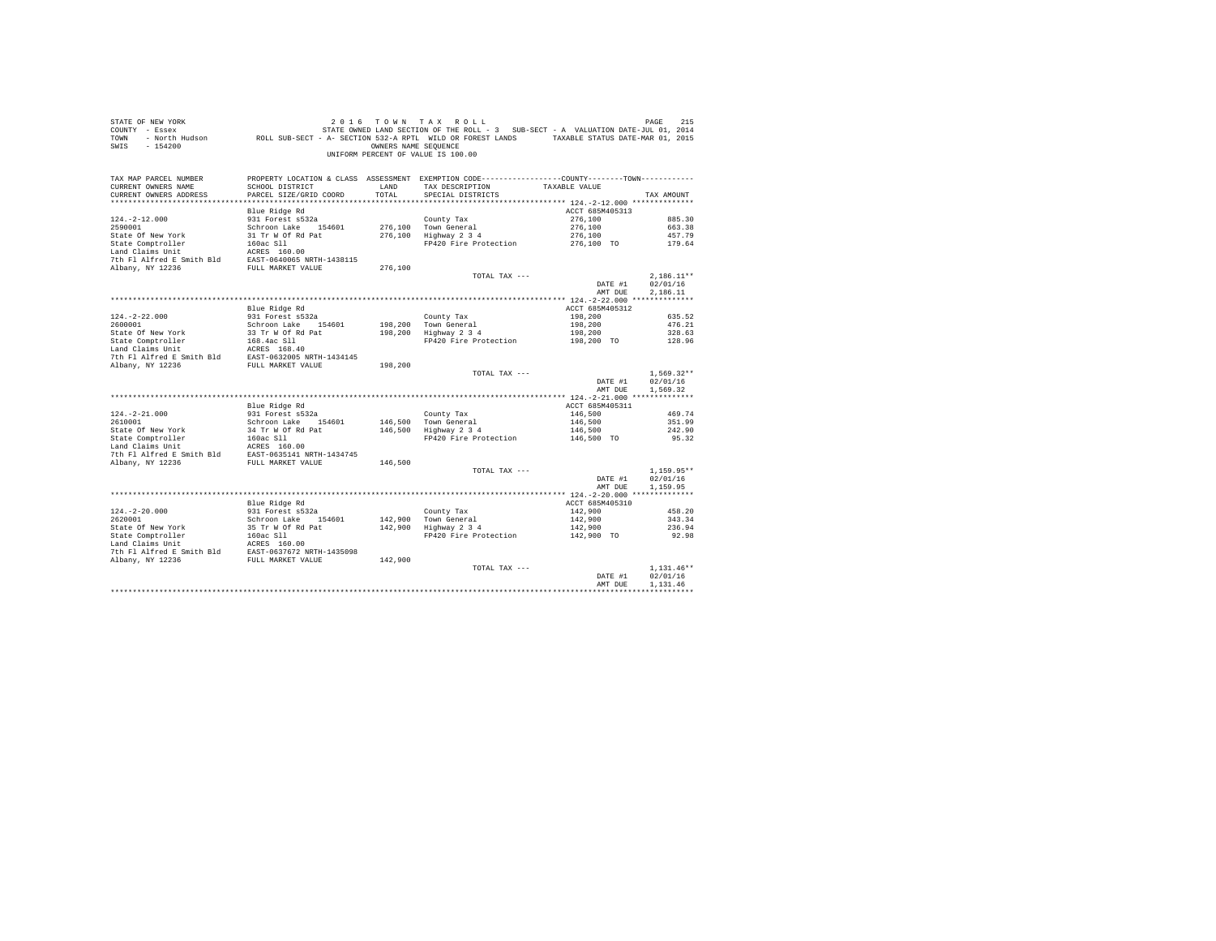| COUNTY - Essex<br>TOWN<br>SWIS<br>$-154200$                                                                                                                                                                                                     |                                         | OWNERS NAME SEQUENCE | UNIFORM PERCENT OF VALUE IS 100.00                                                              |                           |                  |
|-------------------------------------------------------------------------------------------------------------------------------------------------------------------------------------------------------------------------------------------------|-----------------------------------------|----------------------|-------------------------------------------------------------------------------------------------|---------------------------|------------------|
| TAX MAP PARCEL NUMBER                                                                                                                                                                                                                           |                                         |                      | PROPERTY LOCATION & CLASS ASSESSMENT EXEMPTION CODE----------------COUNTY--------TOWN---------- |                           |                  |
| CURRENT OWNERS NAME                                                                                                                                                                                                                             | SCHOOL DISTRICT                         | LAND                 | TAX DESCRIPTION TAXABLE VALUE                                                                   |                           |                  |
| CURRENT OWNERS ADDRESS                                                                                                                                                                                                                          | PARCEL SIZE/GRID COORD                  | TOTAL                | SPECIAL DISTRICTS                                                                               |                           | TAX AMOUNT       |
|                                                                                                                                                                                                                                                 |                                         |                      |                                                                                                 |                           |                  |
|                                                                                                                                                                                                                                                 | Blue Ridge Rd                           |                      |                                                                                                 | ACCT 685M405313           |                  |
| $124. -2 - 12.000$<br>2590001                                                                                                                                                                                                                   | 931 Forest s532a<br>Schroon Lake 154601 |                      | County Tax<br>276,100 Town General                                                              | 276,100<br>276,100        | 885.30<br>663.38 |
|                                                                                                                                                                                                                                                 |                                         |                      | 276,100 Highway 2 3 4                                                                           | 276,100                   | 457.79           |
|                                                                                                                                                                                                                                                 |                                         |                      | FP420 Fire Protection                                                                           | $276,100$ TO              | 179.64           |
|                                                                                                                                                                                                                                                 |                                         |                      |                                                                                                 |                           |                  |
|                                                                                                                                                                                                                                                 |                                         |                      |                                                                                                 |                           |                  |
| 2590001<br>State Of New York 31 Tr W Of Rd Pat<br>State Comptroller 160ac S11<br>Land Claims Unit<br>The Pi Alfred E Smith Bld RAST-0640065 NRTH-1438115<br>Albany, NY 12236 FULL MARKET VALUE<br>RULL MARKET VALUE                             |                                         | 276,100              |                                                                                                 |                           |                  |
|                                                                                                                                                                                                                                                 |                                         |                      | TOTAL TAX ---                                                                                   |                           | $2,186.11**$     |
|                                                                                                                                                                                                                                                 |                                         |                      |                                                                                                 | DATE #1                   | 02/01/16         |
|                                                                                                                                                                                                                                                 |                                         |                      |                                                                                                 | AMT DUE                   | 2,186.11         |
|                                                                                                                                                                                                                                                 |                                         |                      |                                                                                                 |                           |                  |
|                                                                                                                                                                                                                                                 | Blue Ridge Rd                           |                      |                                                                                                 | ACCT 685M405312           |                  |
| $124. -2 - 22.000$                                                                                                                                                                                                                              | 931 Forest s532a                        |                      | County Tax<br>198,200 Town General<br>198,200 Highway 2 3 4                                     | 198,200                   | 635.52           |
|                                                                                                                                                                                                                                                 |                                         |                      |                                                                                                 | 198,200                   | 476.21           |
|                                                                                                                                                                                                                                                 |                                         |                      | FP420 Fire Protection 198.200 TO                                                                | 198,200                   | 328.63           |
|                                                                                                                                                                                                                                                 |                                         |                      |                                                                                                 |                           | 128.96           |
|                                                                                                                                                                                                                                                 |                                         |                      |                                                                                                 |                           |                  |
|                                                                                                                                                                                                                                                 |                                         | 198,200              |                                                                                                 |                           |                  |
|                                                                                                                                                                                                                                                 |                                         |                      | TOTAL TAX ---                                                                                   |                           | $1.569.32**$     |
|                                                                                                                                                                                                                                                 |                                         |                      |                                                                                                 | DATE #1                   | 02/01/16         |
|                                                                                                                                                                                                                                                 |                                         |                      |                                                                                                 | AMT DUE                   | 1,569.32         |
|                                                                                                                                                                                                                                                 |                                         |                      |                                                                                                 |                           |                  |
|                                                                                                                                                                                                                                                 | Blue Ridge Rd                           |                      |                                                                                                 | ACCT 685M405311           |                  |
| $124. - 2 - 21.000$                                                                                                                                                                                                                             | 931 Forest s532a<br>Schroon Lake 154601 |                      | County Tax<br>146,500 Town General<br>146,500 Highway 2 3 4                                     | 146,500                   | 469.74           |
| 2610001                                                                                                                                                                                                                                         |                                         |                      |                                                                                                 | 146,500                   | 351.99           |
|                                                                                                                                                                                                                                                 |                                         |                      |                                                                                                 | $146,500$<br>$146,500$ TO | 242.90           |
|                                                                                                                                                                                                                                                 |                                         |                      | FP420 Fire Protection                                                                           |                           | 95.32            |
|                                                                                                                                                                                                                                                 |                                         |                      |                                                                                                 |                           |                  |
|                                                                                                                                                                                                                                                 |                                         |                      |                                                                                                 |                           |                  |
|                                                                                                                                                                                                                                                 |                                         |                      | TOTAL TAX ---                                                                                   |                           | $1.159.95**$     |
|                                                                                                                                                                                                                                                 |                                         |                      |                                                                                                 | DATE #1                   | 02/01/16         |
|                                                                                                                                                                                                                                                 |                                         |                      |                                                                                                 | AMT DUE                   | 1,159.95         |
|                                                                                                                                                                                                                                                 |                                         |                      |                                                                                                 |                           |                  |
|                                                                                                                                                                                                                                                 | Blue Ridge Rd                           |                      |                                                                                                 | ACCT 685M405310           |                  |
| $124. - 2 - 20.000$                                                                                                                                                                                                                             | 931 Forest s532a                        |                      | County Tax<br>142,900 Town General<br>142,900 Highway 2 3 4                                     | 142,900                   | 458.20           |
|                                                                                                                                                                                                                                                 |                                         |                      |                                                                                                 | 142,900                   | 343.34           |
|                                                                                                                                                                                                                                                 |                                         |                      | 1920<br>Highway 2 3 4<br>FP420 Fire Protection 142,900 TO                                       |                           | 236.94           |
|                                                                                                                                                                                                                                                 |                                         |                      |                                                                                                 |                           | 92.98            |
|                                                                                                                                                                                                                                                 |                                         |                      |                                                                                                 |                           |                  |
| 141-2-40.0001<br>16260001<br>Schroon Lake 154601<br>State Of Rev York 35 Tr W Of Rd Pat<br>154601<br>Land Claims Unit<br>160ac S11<br>160ac S11<br>160ac S11<br>160ac S11<br>160ac S11<br>160ac S11<br>160ac S11<br>160ac S11<br>160ac S11<br>1 |                                         | 142,900              |                                                                                                 |                           |                  |
|                                                                                                                                                                                                                                                 |                                         |                      | TOTAL TAX ---                                                                                   |                           | $1.131.46**$     |
|                                                                                                                                                                                                                                                 |                                         |                      |                                                                                                 | DATE #1                   | 02/01/16         |
|                                                                                                                                                                                                                                                 |                                         |                      |                                                                                                 | AMT DUE                   | 1.131.46         |
|                                                                                                                                                                                                                                                 |                                         |                      |                                                                                                 |                           |                  |

STATE OF NEW YORK 2016 COMM TAX ROLL COMM TO PAGE 215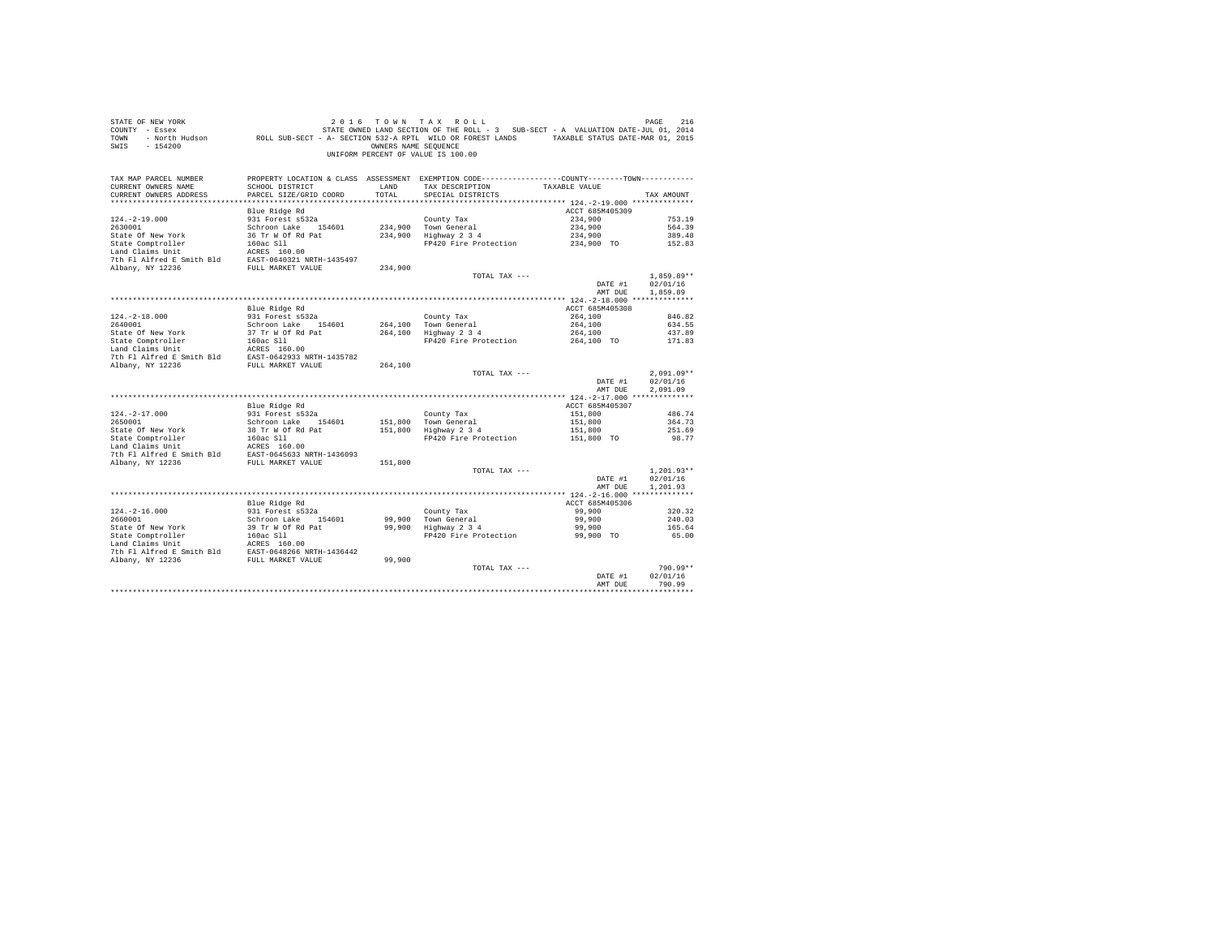| STATE OF NEW YORK<br>COUNTY - Essex<br>TOWN<br>$-154200$<br>SWIS                                                                                                                                                                  |                                           | OWNERS NAME SEOUENCE | 2016 TOWN TAX ROLL<br>UNIFORM PERCENT OF VALUE IS 100.00                                                                             |                    | PAGE<br>216          |
|-----------------------------------------------------------------------------------------------------------------------------------------------------------------------------------------------------------------------------------|-------------------------------------------|----------------------|--------------------------------------------------------------------------------------------------------------------------------------|--------------------|----------------------|
| TAX MAP PARCEL NUMBER<br>CURRENT OWNERS NAME<br>CURRENT OWNERS ADDRESS                                                                                                                                                            | SCHOOL DISTRICT<br>PARCEL SIZE/GRID COORD | LAND<br>TOTAL        | PROPERTY LOCATION & CLASS ASSESSMENT EXEMPTION CODE---------------COUNTY-------TOWN---------<br>TAX DESCRIPTION<br>SPECIAL DISTRICTS | TAXABLE VALUE      | TAX AMOUNT           |
|                                                                                                                                                                                                                                   |                                           |                      |                                                                                                                                      |                    |                      |
|                                                                                                                                                                                                                                   | Blue Ridge Rd                             |                      |                                                                                                                                      | ACCT 685M405309    |                      |
| $124. -2 - 19.000$<br>2630001                                                                                                                                                                                                     | 931 Forest s532a                          |                      | County Tax                                                                                                                           | 234,900<br>234,900 | 753.19<br>564.39     |
|                                                                                                                                                                                                                                   | Schroon Lake 154601                       |                      | 234,900 Town General<br>234,900 Hown General<br>234,900 Highway 2 3 4                                                                | 234,900            | 389.48               |
|                                                                                                                                                                                                                                   |                                           |                      | FP420 Fire Protection 234,900 TO                                                                                                     |                    | 152.83               |
|                                                                                                                                                                                                                                   |                                           |                      |                                                                                                                                      |                    |                      |
|                                                                                                                                                                                                                                   |                                           |                      |                                                                                                                                      |                    |                      |
|                                                                                                                                                                                                                                   |                                           | 234,900              |                                                                                                                                      |                    |                      |
|                                                                                                                                                                                                                                   |                                           |                      | TOTAL TAX ---                                                                                                                        |                    | $1,859.89**$         |
|                                                                                                                                                                                                                                   |                                           |                      |                                                                                                                                      | DATE #1            | 02/01/16             |
|                                                                                                                                                                                                                                   |                                           |                      |                                                                                                                                      | AMT DUE            | 1,859.89             |
|                                                                                                                                                                                                                                   | Blue Ridge Rd                             |                      |                                                                                                                                      | ACCT 685M405308    |                      |
| $124. - 2 - 18.000$                                                                                                                                                                                                               | 931 Forest s532a                          |                      | County Tax                                                                                                                           | 264,100            | 846.82               |
| 2640001                                                                                                                                                                                                                           | Schroon Lake 154601                       |                      |                                                                                                                                      | 264,100            | 634.55               |
| State Of New York                                                                                                                                                                                                                 | 37 Tr W Of Rd Pat                         |                      | 264,100 Town General<br>264,100 Highway 2 3 4                                                                                        | 264,100            | 437.89               |
|                                                                                                                                                                                                                                   |                                           |                      | FP420 Fire Protection 264,100 TO 171.83                                                                                              |                    |                      |
|                                                                                                                                                                                                                                   |                                           |                      |                                                                                                                                      |                    |                      |
|                                                                                                                                                                                                                                   |                                           |                      |                                                                                                                                      |                    |                      |
|                                                                                                                                                                                                                                   |                                           | 264,100              |                                                                                                                                      |                    | $2,091.09**$         |
|                                                                                                                                                                                                                                   |                                           |                      | TOTAL TAX ---                                                                                                                        | DATE #1<br>AMT DUE | 02/01/16<br>2.091.09 |
|                                                                                                                                                                                                                                   |                                           |                      |                                                                                                                                      |                    |                      |
|                                                                                                                                                                                                                                   | Blue Ridge Rd                             |                      |                                                                                                                                      | ACCT 685M405307    |                      |
| $124. - 2 - 17.000$                                                                                                                                                                                                               | 931 Forest s532a                          |                      | County Tax                                                                                                                           | 151,800            | 486.74               |
| 2650001                                                                                                                                                                                                                           | Schroon Lake 154601                       |                      | 151,800 Town General<br>151,800 Highway 2 3 4                                                                                        | 151,800            | 364.73               |
| State Of New York 28 Tr W Of Rd Pattern 1981<br>State Comptroller 1602 SL 1602 SL 1602 SL 1602 SL 1602 SL 1602 SL 1602 SL 1602 SL 1602 SL 2010 SL 2010 RD 2010 RD 2010 RD 2010 RD 2010 RD 2010 RD 2010 RD 2010 RD 2010 RD 2010 RD |                                           |                      | FP420 Fire Protection 151,800 TO                                                                                                     | 151,800            | 251.69<br>98.77      |
|                                                                                                                                                                                                                                   |                                           |                      |                                                                                                                                      |                    |                      |
|                                                                                                                                                                                                                                   |                                           |                      |                                                                                                                                      |                    |                      |
|                                                                                                                                                                                                                                   |                                           | 151,800              |                                                                                                                                      |                    |                      |
|                                                                                                                                                                                                                                   |                                           |                      | TOTAL TAX ---                                                                                                                        |                    | $1.201.93**$         |
|                                                                                                                                                                                                                                   |                                           |                      |                                                                                                                                      | DATE #1            | 02/01/16             |
|                                                                                                                                                                                                                                   |                                           |                      |                                                                                                                                      | AMT DUE            | 1,201.93             |
|                                                                                                                                                                                                                                   |                                           |                      |                                                                                                                                      | ACCT 685M405306    |                      |
| $124. - 2 - 16.000$                                                                                                                                                                                                               | Blue Ridge Rd                             |                      | County Tax                                                                                                                           | 99,900             | 320.32               |
| 2660001                                                                                                                                                                                                                           | 931 Forest s532a<br>Schroon Lake 154601   |                      |                                                                                                                                      | 99,900             | 240.03               |
|                                                                                                                                                                                                                                   |                                           |                      | County Tax<br>99,900   Town General<br>99,900   Highway 2 3 4                                                                        | 99,900             | 165.64               |
|                                                                                                                                                                                                                                   |                                           |                      | FP420 Fire Protection                                                                                                                | 99,900 TO          | 65.00                |
|                                                                                                                                                                                                                                   |                                           |                      |                                                                                                                                      |                    |                      |
| State of New York 39 Tr W of Rd Pat<br>Land Claims Unit 160ac S11<br>Land Claims Unit 160ac S11<br>Land Claims Unit 160ac S160.00<br>The Pl Alfred E Smith Bld RAST-0648266 NRTH-1436442<br>Albany, NY 12236                      |                                           |                      |                                                                                                                                      |                    |                      |
|                                                                                                                                                                                                                                   |                                           | 99,900               |                                                                                                                                      |                    |                      |
|                                                                                                                                                                                                                                   |                                           |                      | TOTAL TAX ---                                                                                                                        | DATE #1            | 790.99**<br>02/01/16 |
|                                                                                                                                                                                                                                   |                                           |                      |                                                                                                                                      | AMT DUE            | 790.99               |
|                                                                                                                                                                                                                                   |                                           |                      |                                                                                                                                      |                    |                      |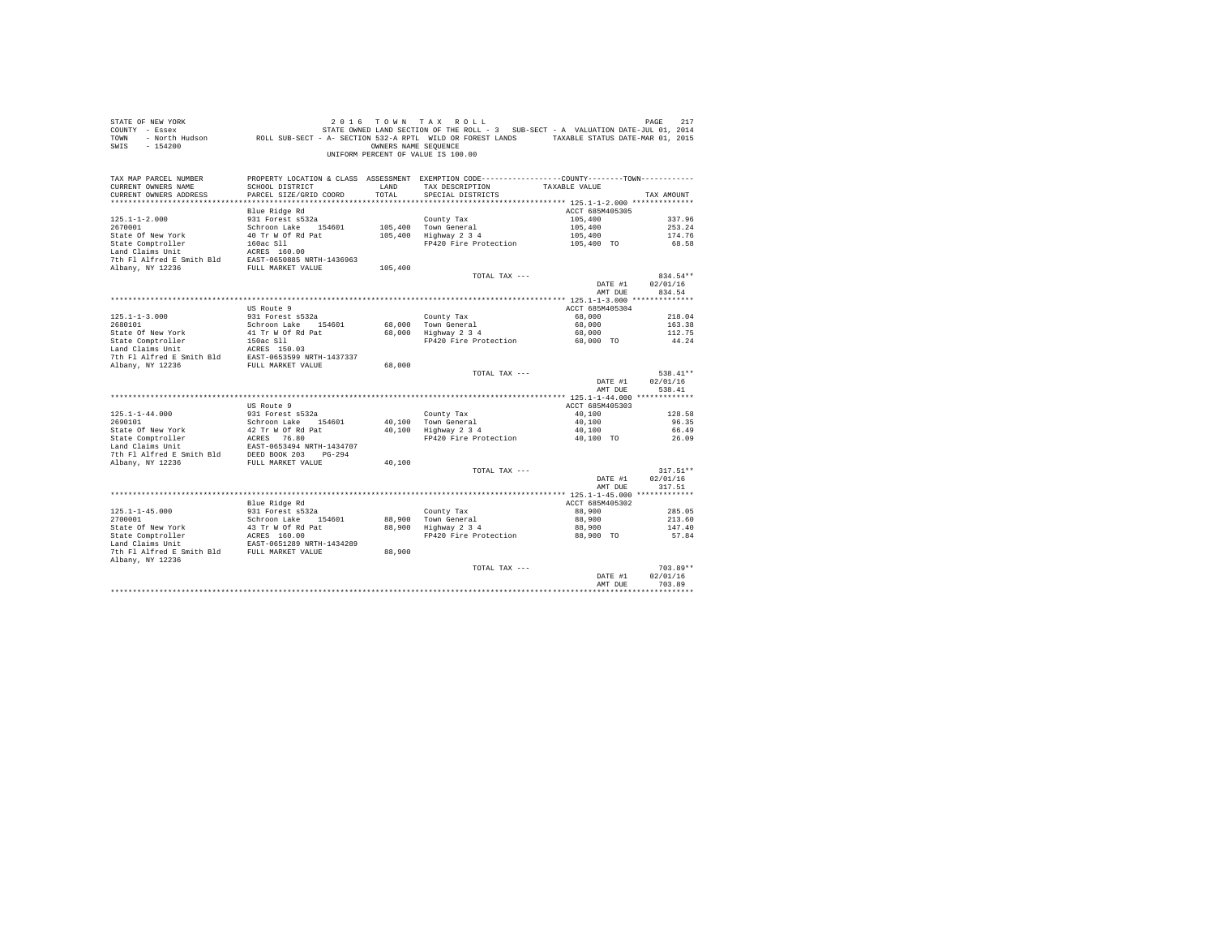| PROPERTY LOCATION & CLASS ASSESSMENT EXEMPTION CODE----------------COUNTY--------TOWN----------<br>TAX MAP PARCEL NUMBER<br>TAX DESCRIPTION<br>CURRENT OWNERS NAME<br>SCHOOL DISTRICT<br>LAND<br>TAXABLE VALUE<br>PARCEL SIZE/GRID COORD<br>TOTAL<br>CURRENT OWNERS ADDRESS<br>SPECIAL DISTRICTS<br>TAX AMOUNT<br>Blue Ridge Rd<br>ACCT 685M405305<br>931 Forest s532a<br>105,400<br>$125.1 - 1 - 2.000$<br>County Tax<br>337.96<br>2670001<br>105,400<br>Schroon Lake 154601<br>105,400 Town General<br>253.24<br>105,400 Highway 2 3 4<br>State Of New York<br>40 Tr W Of Rd Pat<br>105,400<br>174.76<br>FP420 Fire Protection<br>105,400 TO<br>68.58<br>105,400<br>TOTAL TAX ---<br>834.54**<br>02/01/16<br>DATE #1<br>AMT DUE<br>834.54<br>ACCT 685M405304<br>US Route 9<br>$125.1 - 1 - 3.000$<br>931 Forest s532a<br>68,000<br>County Tax<br>218.04<br>Schroon Lake 154601<br>2680101<br>68,000 Town General<br>68,000<br>163.38<br>68,000   Town General<br>68,000   Highway 2 3 4<br>68,000<br>112.75<br>FP420 Fire Protection 68,000 TO<br>44.24<br>68,000<br>538.41**<br>TOTAL TAX ---<br>DATE #1<br>02/01/16<br>538.41<br>AMT DUE<br>ACCT 685M405303<br>US Route 9<br>931 Forest s532a<br>County Tax<br>$125.1 - 1 - 44.000$<br>40,100<br>128.58<br>Schroon Lake 154601<br>40,100 Town General<br>40,100 Highway 2 3 4<br>40,100<br>2690101<br>96.35<br>40,100<br>66.49<br>FP420 Fire Protection 40.100 TO<br>26.09<br>40,100<br>$317.51**$<br>TOTAL TAX ---<br>DATE #1<br>02/01/16<br>AMT DUE<br>317.51<br>Blue Ridge Rd<br>ACCT 685M405302<br>$125.1 - 1 - 45.000$<br>931 Forest s532a<br>Schroon Lake 154601<br>County Tax<br>88,900<br>285.05<br>88,900 Town General<br>88,900 Highway 2 3 4<br>2700001<br>88,900<br>213.60<br>State Of New York (1992)<br>State Comptroller (1994)<br>State Comptroller (1994)<br>Land Claims Unit (1995)<br>EAST-0651289 NRTH-1434289<br>88,900<br>147.40<br>88,900 TO<br>FP420 Fire Protection<br>57.84<br>7th Fl Alfred E Smith Bld FULL MARKET VALUE<br>88,900<br>Albany, NY 12236<br>$703.89**$<br>TOTAL TAX ---<br>02/01/16<br>DATE #1<br>703.89<br>AMT DUE | STATE OF NEW YORK<br>COUNTY - Essex<br>TOWN<br>$-154200$<br>SWIS | - North Hudson ROLL SUB-SECT - A- SECTION 532-A RPTL WILD OR FOREST LANDS TAXABLE STATUS DATE-MAR 01, 2015 | OWNERS NAME SEOUENCE | 2016 TOWN TAX ROLL<br>STATE OWNED LAND SECTION OF THE ROLL - 3 SUB-SECT - A VALUATION DATE-JUL 01, 2014<br>UNIFORM PERCENT OF VALUE IS 100.00 | 217<br>PAGE |
|-------------------------------------------------------------------------------------------------------------------------------------------------------------------------------------------------------------------------------------------------------------------------------------------------------------------------------------------------------------------------------------------------------------------------------------------------------------------------------------------------------------------------------------------------------------------------------------------------------------------------------------------------------------------------------------------------------------------------------------------------------------------------------------------------------------------------------------------------------------------------------------------------------------------------------------------------------------------------------------------------------------------------------------------------------------------------------------------------------------------------------------------------------------------------------------------------------------------------------------------------------------------------------------------------------------------------------------------------------------------------------------------------------------------------------------------------------------------------------------------------------------------------------------------------------------------------------------------------------------------------------------------------------------------------------------------------------------------------------------------------------------------------------------------------------------------------------------------------------------------------------------------------------------------------------------------------------------------------------------------------------------------------------------------------------------------------------------------------------------------|------------------------------------------------------------------|------------------------------------------------------------------------------------------------------------|----------------------|-----------------------------------------------------------------------------------------------------------------------------------------------|-------------|
|                                                                                                                                                                                                                                                                                                                                                                                                                                                                                                                                                                                                                                                                                                                                                                                                                                                                                                                                                                                                                                                                                                                                                                                                                                                                                                                                                                                                                                                                                                                                                                                                                                                                                                                                                                                                                                                                                                                                                                                                                                                                                                                   |                                                                  |                                                                                                            |                      |                                                                                                                                               |             |
|                                                                                                                                                                                                                                                                                                                                                                                                                                                                                                                                                                                                                                                                                                                                                                                                                                                                                                                                                                                                                                                                                                                                                                                                                                                                                                                                                                                                                                                                                                                                                                                                                                                                                                                                                                                                                                                                                                                                                                                                                                                                                                                   |                                                                  |                                                                                                            |                      |                                                                                                                                               |             |
|                                                                                                                                                                                                                                                                                                                                                                                                                                                                                                                                                                                                                                                                                                                                                                                                                                                                                                                                                                                                                                                                                                                                                                                                                                                                                                                                                                                                                                                                                                                                                                                                                                                                                                                                                                                                                                                                                                                                                                                                                                                                                                                   |                                                                  |                                                                                                            |                      |                                                                                                                                               |             |
|                                                                                                                                                                                                                                                                                                                                                                                                                                                                                                                                                                                                                                                                                                                                                                                                                                                                                                                                                                                                                                                                                                                                                                                                                                                                                                                                                                                                                                                                                                                                                                                                                                                                                                                                                                                                                                                                                                                                                                                                                                                                                                                   |                                                                  |                                                                                                            |                      |                                                                                                                                               |             |
|                                                                                                                                                                                                                                                                                                                                                                                                                                                                                                                                                                                                                                                                                                                                                                                                                                                                                                                                                                                                                                                                                                                                                                                                                                                                                                                                                                                                                                                                                                                                                                                                                                                                                                                                                                                                                                                                                                                                                                                                                                                                                                                   |                                                                  |                                                                                                            |                      |                                                                                                                                               |             |
|                                                                                                                                                                                                                                                                                                                                                                                                                                                                                                                                                                                                                                                                                                                                                                                                                                                                                                                                                                                                                                                                                                                                                                                                                                                                                                                                                                                                                                                                                                                                                                                                                                                                                                                                                                                                                                                                                                                                                                                                                                                                                                                   |                                                                  |                                                                                                            |                      |                                                                                                                                               |             |
|                                                                                                                                                                                                                                                                                                                                                                                                                                                                                                                                                                                                                                                                                                                                                                                                                                                                                                                                                                                                                                                                                                                                                                                                                                                                                                                                                                                                                                                                                                                                                                                                                                                                                                                                                                                                                                                                                                                                                                                                                                                                                                                   |                                                                  |                                                                                                            |                      |                                                                                                                                               |             |
|                                                                                                                                                                                                                                                                                                                                                                                                                                                                                                                                                                                                                                                                                                                                                                                                                                                                                                                                                                                                                                                                                                                                                                                                                                                                                                                                                                                                                                                                                                                                                                                                                                                                                                                                                                                                                                                                                                                                                                                                                                                                                                                   |                                                                  |                                                                                                            |                      |                                                                                                                                               |             |
|                                                                                                                                                                                                                                                                                                                                                                                                                                                                                                                                                                                                                                                                                                                                                                                                                                                                                                                                                                                                                                                                                                                                                                                                                                                                                                                                                                                                                                                                                                                                                                                                                                                                                                                                                                                                                                                                                                                                                                                                                                                                                                                   |                                                                  |                                                                                                            |                      |                                                                                                                                               |             |
|                                                                                                                                                                                                                                                                                                                                                                                                                                                                                                                                                                                                                                                                                                                                                                                                                                                                                                                                                                                                                                                                                                                                                                                                                                                                                                                                                                                                                                                                                                                                                                                                                                                                                                                                                                                                                                                                                                                                                                                                                                                                                                                   |                                                                  |                                                                                                            |                      |                                                                                                                                               |             |
|                                                                                                                                                                                                                                                                                                                                                                                                                                                                                                                                                                                                                                                                                                                                                                                                                                                                                                                                                                                                                                                                                                                                                                                                                                                                                                                                                                                                                                                                                                                                                                                                                                                                                                                                                                                                                                                                                                                                                                                                                                                                                                                   |                                                                  |                                                                                                            |                      |                                                                                                                                               |             |
|                                                                                                                                                                                                                                                                                                                                                                                                                                                                                                                                                                                                                                                                                                                                                                                                                                                                                                                                                                                                                                                                                                                                                                                                                                                                                                                                                                                                                                                                                                                                                                                                                                                                                                                                                                                                                                                                                                                                                                                                                                                                                                                   |                                                                  |                                                                                                            |                      |                                                                                                                                               |             |
|                                                                                                                                                                                                                                                                                                                                                                                                                                                                                                                                                                                                                                                                                                                                                                                                                                                                                                                                                                                                                                                                                                                                                                                                                                                                                                                                                                                                                                                                                                                                                                                                                                                                                                                                                                                                                                                                                                                                                                                                                                                                                                                   |                                                                  |                                                                                                            |                      |                                                                                                                                               |             |
|                                                                                                                                                                                                                                                                                                                                                                                                                                                                                                                                                                                                                                                                                                                                                                                                                                                                                                                                                                                                                                                                                                                                                                                                                                                                                                                                                                                                                                                                                                                                                                                                                                                                                                                                                                                                                                                                                                                                                                                                                                                                                                                   |                                                                  |                                                                                                            |                      |                                                                                                                                               |             |
|                                                                                                                                                                                                                                                                                                                                                                                                                                                                                                                                                                                                                                                                                                                                                                                                                                                                                                                                                                                                                                                                                                                                                                                                                                                                                                                                                                                                                                                                                                                                                                                                                                                                                                                                                                                                                                                                                                                                                                                                                                                                                                                   |                                                                  |                                                                                                            |                      |                                                                                                                                               |             |
|                                                                                                                                                                                                                                                                                                                                                                                                                                                                                                                                                                                                                                                                                                                                                                                                                                                                                                                                                                                                                                                                                                                                                                                                                                                                                                                                                                                                                                                                                                                                                                                                                                                                                                                                                                                                                                                                                                                                                                                                                                                                                                                   |                                                                  |                                                                                                            |                      |                                                                                                                                               |             |
|                                                                                                                                                                                                                                                                                                                                                                                                                                                                                                                                                                                                                                                                                                                                                                                                                                                                                                                                                                                                                                                                                                                                                                                                                                                                                                                                                                                                                                                                                                                                                                                                                                                                                                                                                                                                                                                                                                                                                                                                                                                                                                                   |                                                                  |                                                                                                            |                      |                                                                                                                                               |             |
|                                                                                                                                                                                                                                                                                                                                                                                                                                                                                                                                                                                                                                                                                                                                                                                                                                                                                                                                                                                                                                                                                                                                                                                                                                                                                                                                                                                                                                                                                                                                                                                                                                                                                                                                                                                                                                                                                                                                                                                                                                                                                                                   |                                                                  |                                                                                                            |                      |                                                                                                                                               |             |
|                                                                                                                                                                                                                                                                                                                                                                                                                                                                                                                                                                                                                                                                                                                                                                                                                                                                                                                                                                                                                                                                                                                                                                                                                                                                                                                                                                                                                                                                                                                                                                                                                                                                                                                                                                                                                                                                                                                                                                                                                                                                                                                   |                                                                  |                                                                                                            |                      |                                                                                                                                               |             |
|                                                                                                                                                                                                                                                                                                                                                                                                                                                                                                                                                                                                                                                                                                                                                                                                                                                                                                                                                                                                                                                                                                                                                                                                                                                                                                                                                                                                                                                                                                                                                                                                                                                                                                                                                                                                                                                                                                                                                                                                                                                                                                                   |                                                                  |                                                                                                            |                      |                                                                                                                                               |             |
|                                                                                                                                                                                                                                                                                                                                                                                                                                                                                                                                                                                                                                                                                                                                                                                                                                                                                                                                                                                                                                                                                                                                                                                                                                                                                                                                                                                                                                                                                                                                                                                                                                                                                                                                                                                                                                                                                                                                                                                                                                                                                                                   |                                                                  |                                                                                                            |                      |                                                                                                                                               |             |
|                                                                                                                                                                                                                                                                                                                                                                                                                                                                                                                                                                                                                                                                                                                                                                                                                                                                                                                                                                                                                                                                                                                                                                                                                                                                                                                                                                                                                                                                                                                                                                                                                                                                                                                                                                                                                                                                                                                                                                                                                                                                                                                   |                                                                  |                                                                                                            |                      |                                                                                                                                               |             |
|                                                                                                                                                                                                                                                                                                                                                                                                                                                                                                                                                                                                                                                                                                                                                                                                                                                                                                                                                                                                                                                                                                                                                                                                                                                                                                                                                                                                                                                                                                                                                                                                                                                                                                                                                                                                                                                                                                                                                                                                                                                                                                                   |                                                                  |                                                                                                            |                      |                                                                                                                                               |             |
|                                                                                                                                                                                                                                                                                                                                                                                                                                                                                                                                                                                                                                                                                                                                                                                                                                                                                                                                                                                                                                                                                                                                                                                                                                                                                                                                                                                                                                                                                                                                                                                                                                                                                                                                                                                                                                                                                                                                                                                                                                                                                                                   |                                                                  |                                                                                                            |                      |                                                                                                                                               |             |
|                                                                                                                                                                                                                                                                                                                                                                                                                                                                                                                                                                                                                                                                                                                                                                                                                                                                                                                                                                                                                                                                                                                                                                                                                                                                                                                                                                                                                                                                                                                                                                                                                                                                                                                                                                                                                                                                                                                                                                                                                                                                                                                   |                                                                  |                                                                                                            |                      |                                                                                                                                               |             |
|                                                                                                                                                                                                                                                                                                                                                                                                                                                                                                                                                                                                                                                                                                                                                                                                                                                                                                                                                                                                                                                                                                                                                                                                                                                                                                                                                                                                                                                                                                                                                                                                                                                                                                                                                                                                                                                                                                                                                                                                                                                                                                                   |                                                                  |                                                                                                            |                      |                                                                                                                                               |             |
|                                                                                                                                                                                                                                                                                                                                                                                                                                                                                                                                                                                                                                                                                                                                                                                                                                                                                                                                                                                                                                                                                                                                                                                                                                                                                                                                                                                                                                                                                                                                                                                                                                                                                                                                                                                                                                                                                                                                                                                                                                                                                                                   |                                                                  |                                                                                                            |                      |                                                                                                                                               |             |
|                                                                                                                                                                                                                                                                                                                                                                                                                                                                                                                                                                                                                                                                                                                                                                                                                                                                                                                                                                                                                                                                                                                                                                                                                                                                                                                                                                                                                                                                                                                                                                                                                                                                                                                                                                                                                                                                                                                                                                                                                                                                                                                   |                                                                  |                                                                                                            |                      |                                                                                                                                               |             |
|                                                                                                                                                                                                                                                                                                                                                                                                                                                                                                                                                                                                                                                                                                                                                                                                                                                                                                                                                                                                                                                                                                                                                                                                                                                                                                                                                                                                                                                                                                                                                                                                                                                                                                                                                                                                                                                                                                                                                                                                                                                                                                                   |                                                                  |                                                                                                            |                      |                                                                                                                                               |             |
|                                                                                                                                                                                                                                                                                                                                                                                                                                                                                                                                                                                                                                                                                                                                                                                                                                                                                                                                                                                                                                                                                                                                                                                                                                                                                                                                                                                                                                                                                                                                                                                                                                                                                                                                                                                                                                                                                                                                                                                                                                                                                                                   |                                                                  |                                                                                                            |                      |                                                                                                                                               |             |
|                                                                                                                                                                                                                                                                                                                                                                                                                                                                                                                                                                                                                                                                                                                                                                                                                                                                                                                                                                                                                                                                                                                                                                                                                                                                                                                                                                                                                                                                                                                                                                                                                                                                                                                                                                                                                                                                                                                                                                                                                                                                                                                   |                                                                  |                                                                                                            |                      |                                                                                                                                               |             |
|                                                                                                                                                                                                                                                                                                                                                                                                                                                                                                                                                                                                                                                                                                                                                                                                                                                                                                                                                                                                                                                                                                                                                                                                                                                                                                                                                                                                                                                                                                                                                                                                                                                                                                                                                                                                                                                                                                                                                                                                                                                                                                                   |                                                                  |                                                                                                            |                      |                                                                                                                                               |             |
|                                                                                                                                                                                                                                                                                                                                                                                                                                                                                                                                                                                                                                                                                                                                                                                                                                                                                                                                                                                                                                                                                                                                                                                                                                                                                                                                                                                                                                                                                                                                                                                                                                                                                                                                                                                                                                                                                                                                                                                                                                                                                                                   |                                                                  |                                                                                                            |                      |                                                                                                                                               |             |
|                                                                                                                                                                                                                                                                                                                                                                                                                                                                                                                                                                                                                                                                                                                                                                                                                                                                                                                                                                                                                                                                                                                                                                                                                                                                                                                                                                                                                                                                                                                                                                                                                                                                                                                                                                                                                                                                                                                                                                                                                                                                                                                   |                                                                  |                                                                                                            |                      |                                                                                                                                               |             |
|                                                                                                                                                                                                                                                                                                                                                                                                                                                                                                                                                                                                                                                                                                                                                                                                                                                                                                                                                                                                                                                                                                                                                                                                                                                                                                                                                                                                                                                                                                                                                                                                                                                                                                                                                                                                                                                                                                                                                                                                                                                                                                                   |                                                                  |                                                                                                            |                      |                                                                                                                                               |             |
|                                                                                                                                                                                                                                                                                                                                                                                                                                                                                                                                                                                                                                                                                                                                                                                                                                                                                                                                                                                                                                                                                                                                                                                                                                                                                                                                                                                                                                                                                                                                                                                                                                                                                                                                                                                                                                                                                                                                                                                                                                                                                                                   |                                                                  |                                                                                                            |                      |                                                                                                                                               |             |
|                                                                                                                                                                                                                                                                                                                                                                                                                                                                                                                                                                                                                                                                                                                                                                                                                                                                                                                                                                                                                                                                                                                                                                                                                                                                                                                                                                                                                                                                                                                                                                                                                                                                                                                                                                                                                                                                                                                                                                                                                                                                                                                   |                                                                  |                                                                                                            |                      |                                                                                                                                               |             |
|                                                                                                                                                                                                                                                                                                                                                                                                                                                                                                                                                                                                                                                                                                                                                                                                                                                                                                                                                                                                                                                                                                                                                                                                                                                                                                                                                                                                                                                                                                                                                                                                                                                                                                                                                                                                                                                                                                                                                                                                                                                                                                                   |                                                                  |                                                                                                            |                      |                                                                                                                                               |             |
|                                                                                                                                                                                                                                                                                                                                                                                                                                                                                                                                                                                                                                                                                                                                                                                                                                                                                                                                                                                                                                                                                                                                                                                                                                                                                                                                                                                                                                                                                                                                                                                                                                                                                                                                                                                                                                                                                                                                                                                                                                                                                                                   |                                                                  |                                                                                                            |                      |                                                                                                                                               |             |
|                                                                                                                                                                                                                                                                                                                                                                                                                                                                                                                                                                                                                                                                                                                                                                                                                                                                                                                                                                                                                                                                                                                                                                                                                                                                                                                                                                                                                                                                                                                                                                                                                                                                                                                                                                                                                                                                                                                                                                                                                                                                                                                   |                                                                  |                                                                                                            |                      |                                                                                                                                               |             |
|                                                                                                                                                                                                                                                                                                                                                                                                                                                                                                                                                                                                                                                                                                                                                                                                                                                                                                                                                                                                                                                                                                                                                                                                                                                                                                                                                                                                                                                                                                                                                                                                                                                                                                                                                                                                                                                                                                                                                                                                                                                                                                                   |                                                                  |                                                                                                            |                      |                                                                                                                                               |             |
|                                                                                                                                                                                                                                                                                                                                                                                                                                                                                                                                                                                                                                                                                                                                                                                                                                                                                                                                                                                                                                                                                                                                                                                                                                                                                                                                                                                                                                                                                                                                                                                                                                                                                                                                                                                                                                                                                                                                                                                                                                                                                                                   |                                                                  |                                                                                                            |                      |                                                                                                                                               |             |
|                                                                                                                                                                                                                                                                                                                                                                                                                                                                                                                                                                                                                                                                                                                                                                                                                                                                                                                                                                                                                                                                                                                                                                                                                                                                                                                                                                                                                                                                                                                                                                                                                                                                                                                                                                                                                                                                                                                                                                                                                                                                                                                   |                                                                  |                                                                                                            |                      |                                                                                                                                               |             |
|                                                                                                                                                                                                                                                                                                                                                                                                                                                                                                                                                                                                                                                                                                                                                                                                                                                                                                                                                                                                                                                                                                                                                                                                                                                                                                                                                                                                                                                                                                                                                                                                                                                                                                                                                                                                                                                                                                                                                                                                                                                                                                                   |                                                                  |                                                                                                            |                      |                                                                                                                                               |             |
|                                                                                                                                                                                                                                                                                                                                                                                                                                                                                                                                                                                                                                                                                                                                                                                                                                                                                                                                                                                                                                                                                                                                                                                                                                                                                                                                                                                                                                                                                                                                                                                                                                                                                                                                                                                                                                                                                                                                                                                                                                                                                                                   |                                                                  |                                                                                                            |                      |                                                                                                                                               |             |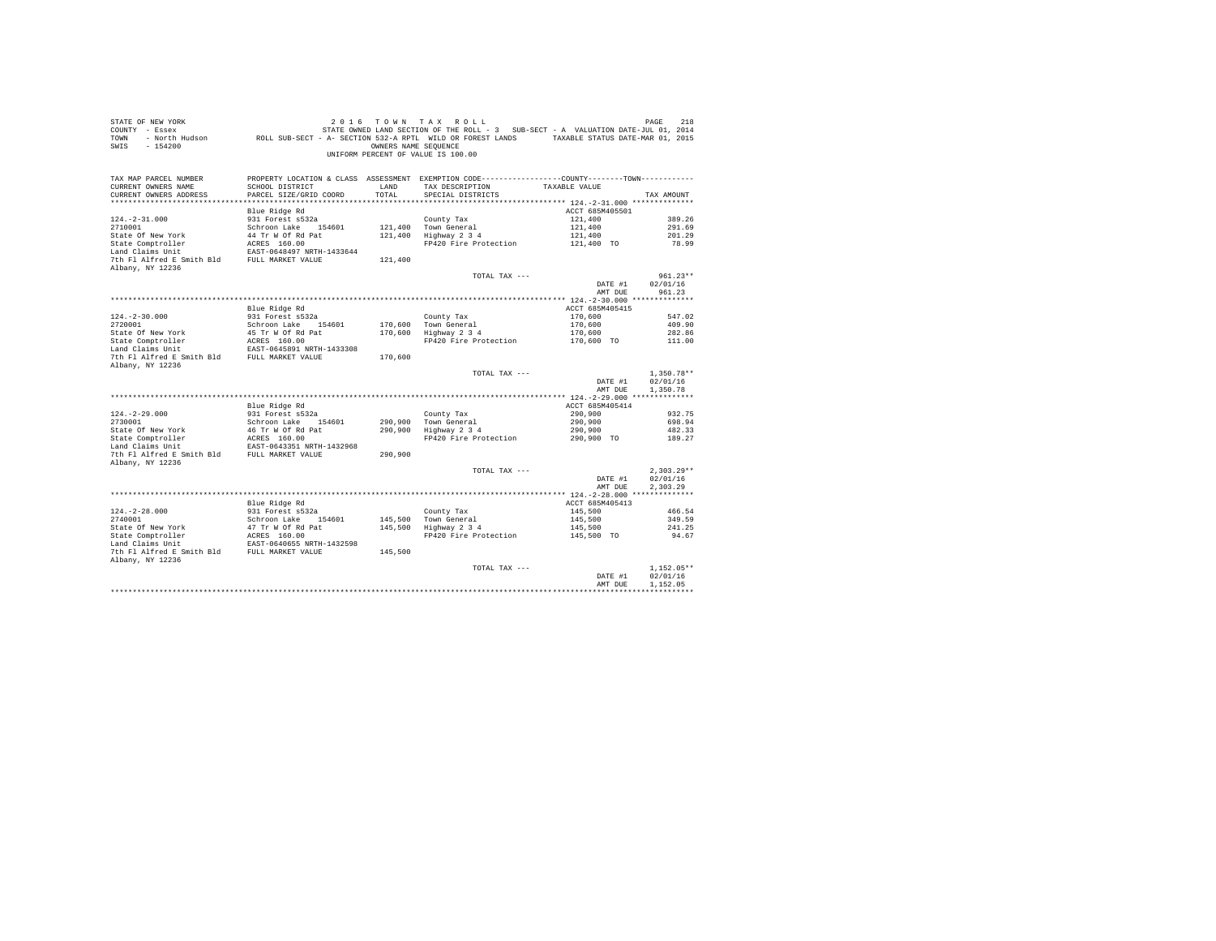| STATE OF NEW YORK<br>COUNTY - Essex<br>TOWN<br>$-154200$<br>SWIS       |                                                                | OWNERS NAME SEOUENCE | 2016 TOWN TAX ROLL<br>STATE OWNED LAND SECTION OF THE ROLL - 3 SUB-SECT - A VALUATION DATE-JUL 01, 2014<br>- North Hudson ROLL SUB-SECT - A- SECTION 532-A RPTL WILD OR FOREST LANDS TAXABLE STATUS DATE-MAR 01, 2015<br>UNIFORM PERCENT OF VALUE IS 100.00 |                    | PAGE<br>218          |
|------------------------------------------------------------------------|----------------------------------------------------------------|----------------------|-------------------------------------------------------------------------------------------------------------------------------------------------------------------------------------------------------------------------------------------------------------|--------------------|----------------------|
| TAX MAP PARCEL NUMBER<br>CURRENT OWNERS NAME<br>CURRENT OWNERS ADDRESS | SCHOOL DISTRICT<br>PARCEL SIZE/GRID COORD                      | LAND<br>TOTAL        | PROPERTY LOCATION & CLASS ASSESSMENT EXEMPTION CODE---------------COUNTY-------TOWN---------<br>TAX DESCRIPTION<br>SPECIAL DISTRICTS                                                                                                                        | TAXABLE VALUE      | TAX AMOUNT           |
|                                                                        | Blue Ridge Rd                                                  |                      |                                                                                                                                                                                                                                                             | ACCT 685M405501    |                      |
| $124. -2 - 31.000$                                                     | 931 Forest s532a                                               |                      | County Tax                                                                                                                                                                                                                                                  | 121,400            | 389.26               |
| 2710001                                                                | Schroon Lake 154601                                            |                      | 121,400 Town General                                                                                                                                                                                                                                        | 121,400            | 291.69               |
| State Of New York                                                      | 44 Tr W Of Rd Pat                                              |                      | 121,400 Highway 2 3 4                                                                                                                                                                                                                                       | 121,400            | 201.29               |
| State Comptroller                                                      | ACRES 160.00                                                   |                      | FP420 Fire Protection                                                                                                                                                                                                                                       | 121,400 TO         | 78.99                |
| Land Claims Unit                                                       | EAST-0648497 NRTH-1433644                                      |                      |                                                                                                                                                                                                                                                             |                    |                      |
| 7th Fl Alfred E Smith Bld FULL MARKET VALUE                            |                                                                | 121,400              |                                                                                                                                                                                                                                                             |                    |                      |
| Albany, NY 12236                                                       |                                                                |                      | TOTAL TAX ---                                                                                                                                                                                                                                               |                    | $961.23**$           |
|                                                                        |                                                                |                      |                                                                                                                                                                                                                                                             | DATE #1            | 02/01/16             |
|                                                                        |                                                                |                      |                                                                                                                                                                                                                                                             | AMT DUE            | 961.23               |
|                                                                        |                                                                |                      |                                                                                                                                                                                                                                                             |                    |                      |
|                                                                        | Blue Ridge Rd                                                  |                      |                                                                                                                                                                                                                                                             | ACCT 685M405415    |                      |
| $124. - 2 - 30.000$                                                    | 931 Forest s532a                                               |                      | County Tax                                                                                                                                                                                                                                                  | 170,600            | 547.02               |
| 2720001                                                                | Schroon Lake 154601                                            |                      | 170,600 Town General                                                                                                                                                                                                                                        | 170,600            | 409.90               |
| State Of New York                                                      | 45 Tr W Of Rd Pat                                              |                      | 170,600 Highway 2 3 4                                                                                                                                                                                                                                       | 170,600            | 282.86               |
| State Comptroller<br>Land Claims Unit                                  | ACRES 160.00<br>EAST-0645891 NRTH-1433308                      |                      | FP420 Fire Protection                                                                                                                                                                                                                                       | 170,600 TO         | 111.00               |
| 7th Fl Alfred E Smith Bld FULL MARKET VALUE                            |                                                                | 170,600              |                                                                                                                                                                                                                                                             |                    |                      |
| Albany, NY 12236                                                       |                                                                |                      |                                                                                                                                                                                                                                                             |                    |                      |
|                                                                        |                                                                |                      | TOTAL TAX ---                                                                                                                                                                                                                                               |                    | $1,350.78**$         |
|                                                                        |                                                                |                      |                                                                                                                                                                                                                                                             | DATE #1<br>AMT DUE | 02/01/16<br>1,350.78 |
|                                                                        |                                                                |                      |                                                                                                                                                                                                                                                             |                    |                      |
|                                                                        | Blue Ridge Rd                                                  |                      |                                                                                                                                                                                                                                                             | ACCT 685M405414    |                      |
| $124. -2 - 29.000$                                                     | 931 Forest s532a                                               |                      | County Tax                                                                                                                                                                                                                                                  | 290,900            | 932.75               |
| 2730001                                                                | Schroon Lake 154601                                            |                      | 290.900 Town General                                                                                                                                                                                                                                        | 290,900            | 698.94               |
|                                                                        | 46 Tr W Of Rd Pat<br>ACRES 160.00                              |                      | 290,900 Highway 2 3 4                                                                                                                                                                                                                                       | 290,900            | 482.33               |
| 2730001<br>State Of New York<br>State Comptroller                      | EAST-0643351 NRTH-1432968                                      |                      | FP420 Fire Protection                                                                                                                                                                                                                                       | 290,900 TO         | 189.27               |
| 7th Fl Alfred E Smith Bld FULL MARKET VALUE                            |                                                                | 290.900              |                                                                                                                                                                                                                                                             |                    |                      |
| Albany, NY 12236                                                       |                                                                |                      |                                                                                                                                                                                                                                                             |                    |                      |
|                                                                        |                                                                |                      | TOTAL TAX ---                                                                                                                                                                                                                                               |                    | $2.303.29**$         |
|                                                                        |                                                                |                      |                                                                                                                                                                                                                                                             | DATE #1            | 02/01/16             |
|                                                                        |                                                                |                      |                                                                                                                                                                                                                                                             | AMT DUE            | 2.303.29             |
|                                                                        |                                                                |                      |                                                                                                                                                                                                                                                             |                    |                      |
|                                                                        | Blue Ridge Rd                                                  |                      |                                                                                                                                                                                                                                                             | ACCT 685M405413    |                      |
| $124. -2 - 28.000$                                                     | 931 Forest s532a                                               |                      | County Tax                                                                                                                                                                                                                                                  | 145,500            | 466.54               |
|                                                                        | Schroon Lake 154601                                            |                      | 145,500 Town General<br>145,500 Highway 2 3 4                                                                                                                                                                                                               | 145,500<br>145,500 | 349.59<br>241.25     |
|                                                                        |                                                                |                      | FP420 Fire Protection                                                                                                                                                                                                                                       | 145,500 TO         | 94.67                |
| 2740001<br>State Of New York<br>State Comptroller<br>Trains Unit       | 47 Tr W Of Rd Pat<br>ACRES 160.00<br>EAST-0640655 NRTH-1432598 |                      |                                                                                                                                                                                                                                                             |                    |                      |
| 7th Fl Alfred E Smith Bld FULL MARKET VALUE                            |                                                                | 145,500              |                                                                                                                                                                                                                                                             |                    |                      |
| Albany, NY 12236                                                       |                                                                |                      |                                                                                                                                                                                                                                                             |                    |                      |
|                                                                        |                                                                |                      | TOTAL TAX ---                                                                                                                                                                                                                                               |                    | $1.152.05**$         |
|                                                                        |                                                                |                      |                                                                                                                                                                                                                                                             | DATE #1            | 02/01/16             |
|                                                                        |                                                                |                      |                                                                                                                                                                                                                                                             | AMT DUE            | 1,152.05             |
|                                                                        |                                                                |                      |                                                                                                                                                                                                                                                             |                    |                      |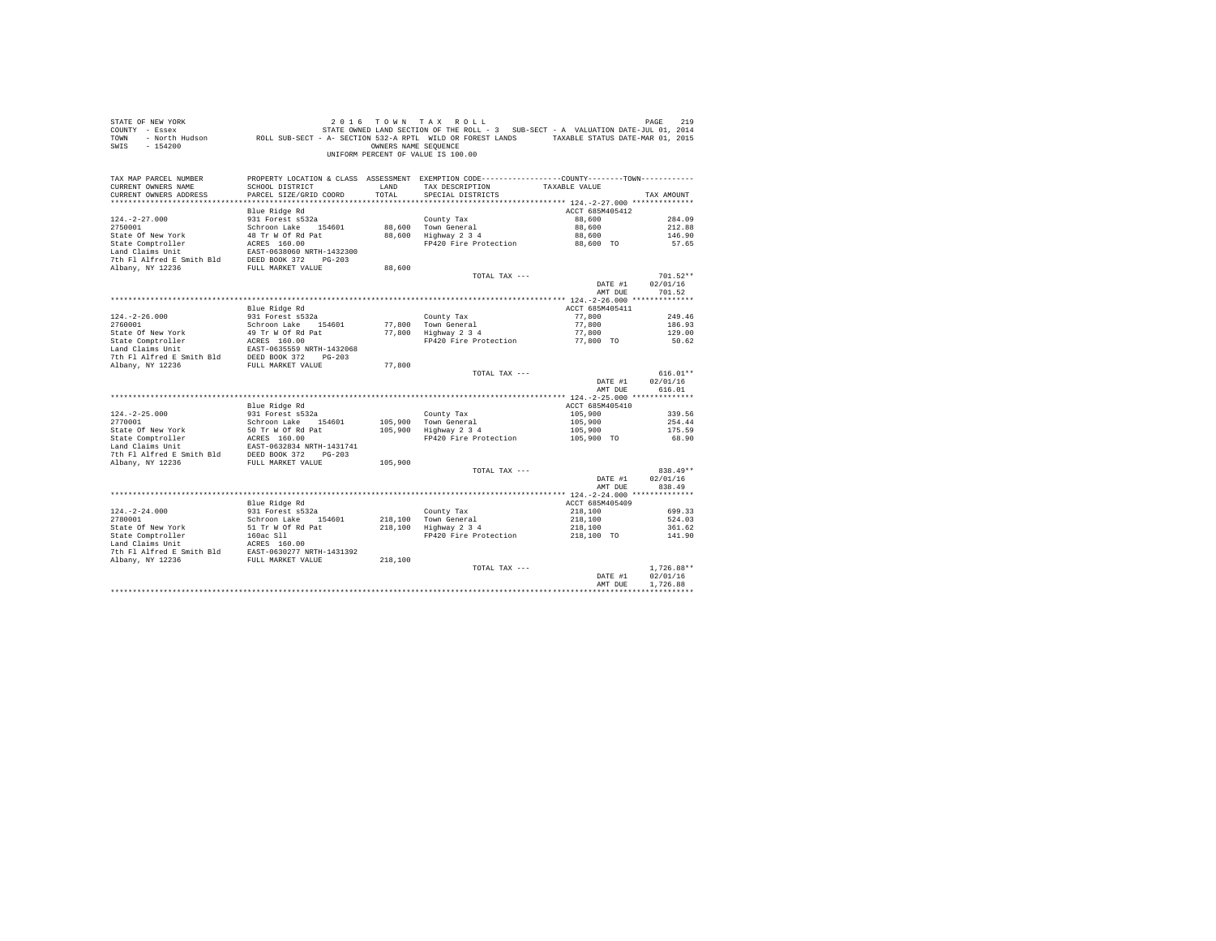| STATE OF NEW YORK<br>COUNTY - Essex<br>TOWN<br>SWIS<br>$-154200$                                                                                                                                                                               |                                           | OWNERS NAME SEOUENCE | 2016 TOWN TAX ROLL<br>UNIFORM PERCENT OF VALUE IS 100.00                                                                             |                           | PAGE<br>219        |
|------------------------------------------------------------------------------------------------------------------------------------------------------------------------------------------------------------------------------------------------|-------------------------------------------|----------------------|--------------------------------------------------------------------------------------------------------------------------------------|---------------------------|--------------------|
| TAX MAP PARCEL NUMBER<br>CURRENT OWNERS NAME<br>CURRENT OWNERS ADDRESS                                                                                                                                                                         | SCHOOL DISTRICT<br>PARCEL SIZE/GRID COORD | LAND<br>TOTAL        | PROPERTY LOCATION & CLASS ASSESSMENT EXEMPTION CODE---------------COUNTY-------TOWN---------<br>TAX DESCRIPTION<br>SPECIAL DISTRICTS | TAXABLE VALUE             | TAX AMOUNT         |
|                                                                                                                                                                                                                                                |                                           |                      |                                                                                                                                      |                           |                    |
|                                                                                                                                                                                                                                                | Blue Ridge Rd<br>931 Forest s532a         |                      |                                                                                                                                      | ACCT 685M405412<br>88,600 | 284.09             |
| $124. -2 - 27.000$<br>2750001                                                                                                                                                                                                                  | Schroon Lake 154601                       |                      | County Tax<br>88,600 Town General                                                                                                    | 88,600                    | 212.88             |
|                                                                                                                                                                                                                                                |                                           |                      | 88,600 Hown General<br>88,600 Highway 2 3 4                                                                                          | 88,600                    | 146.90             |
|                                                                                                                                                                                                                                                |                                           |                      | FP420 Fire Protection 88,600 TO                                                                                                      |                           | 57.65              |
|                                                                                                                                                                                                                                                |                                           |                      |                                                                                                                                      |                           |                    |
|                                                                                                                                                                                                                                                |                                           |                      |                                                                                                                                      |                           |                    |
|                                                                                                                                                                                                                                                |                                           | 88,600               |                                                                                                                                      |                           |                    |
|                                                                                                                                                                                                                                                |                                           |                      | TOTAL TAX ---                                                                                                                        |                           | $701.52**$         |
|                                                                                                                                                                                                                                                |                                           |                      |                                                                                                                                      | DATE #1<br>AMT DUE        | 02/01/16<br>701.52 |
|                                                                                                                                                                                                                                                |                                           |                      |                                                                                                                                      |                           |                    |
|                                                                                                                                                                                                                                                | Blue Ridge Rd                             |                      |                                                                                                                                      | ACCT 685M405411           |                    |
| $124. - 2 - 26.000$                                                                                                                                                                                                                            | 931 Forest s532a                          |                      | County Tax                                                                                                                           | 77,800                    | 249.46             |
| 2760001                                                                                                                                                                                                                                        | Schroon Lake 154601                       |                      | 77,800 Town General<br>77,800 Highway 2 3 4                                                                                          | 77,800                    | 186.93             |
|                                                                                                                                                                                                                                                |                                           |                      |                                                                                                                                      | 77,800                    | 129.00             |
|                                                                                                                                                                                                                                                |                                           |                      | FP420 Fire Protection 77,800 TO                                                                                                      |                           | 50.62              |
|                                                                                                                                                                                                                                                |                                           |                      |                                                                                                                                      |                           |                    |
|                                                                                                                                                                                                                                                |                                           | 77,800               |                                                                                                                                      |                           |                    |
|                                                                                                                                                                                                                                                |                                           |                      | TOTAL TAX ---                                                                                                                        |                           | $616.01**$         |
|                                                                                                                                                                                                                                                |                                           |                      |                                                                                                                                      | DATE #1<br>AMT DUE        | 02/01/16<br>616.01 |
|                                                                                                                                                                                                                                                |                                           |                      |                                                                                                                                      |                           |                    |
|                                                                                                                                                                                                                                                | Blue Ridge Rd                             |                      |                                                                                                                                      | ACCT 685M405410           |                    |
| $124. -2 - 25.000$<br>2770001                                                                                                                                                                                                                  | 931 Forest s532a<br>Schroon Lake 154601   |                      | County Tax                                                                                                                           | 105,900<br>105,900        | 339.56             |
|                                                                                                                                                                                                                                                |                                           |                      | 105,900 Town General<br>105,900 Highway 2 3 4                                                                                        | 105,900                   | 254.44<br>175.59   |
| State Of New York 50 Tr W 60 Pat 2014<br>State Comptroller ACRSS 160.00<br>Land Claims Unit<br>Land Claims Unit<br>The Fl Alfred E Smith Bld<br>7th Fl Alfred E Smith Bld<br>20236 PULL MARKET VALUE<br>7th Fl Alfred E Smith Bld<br>20206 372 |                                           |                      | FP420 Fire Protection 105,900 TO                                                                                                     |                           | 68.90              |
|                                                                                                                                                                                                                                                |                                           |                      |                                                                                                                                      |                           |                    |
|                                                                                                                                                                                                                                                |                                           |                      |                                                                                                                                      |                           |                    |
|                                                                                                                                                                                                                                                |                                           | 105,900              |                                                                                                                                      |                           |                    |
|                                                                                                                                                                                                                                                |                                           |                      | TOTAL TAX ---                                                                                                                        |                           | 838.49**           |
|                                                                                                                                                                                                                                                |                                           |                      |                                                                                                                                      | DATE #1<br>AMT DUE        | 02/01/16<br>838.49 |
|                                                                                                                                                                                                                                                |                                           |                      |                                                                                                                                      |                           |                    |
|                                                                                                                                                                                                                                                | Blue Ridge Rd                             |                      |                                                                                                                                      | ACCT 685M405409           |                    |
| $124. - 2 - 24.000$                                                                                                                                                                                                                            |                                           |                      | County Tax                                                                                                                           | 218,100                   | 699.33             |
| 2780001                                                                                                                                                                                                                                        | 931 Forest s532a<br>Schroon Lake 154601   |                      | County Tax<br>218,100   Town General<br>218,100   Highway 2 3 4                                                                      | 218,100                   | 524.03             |
|                                                                                                                                                                                                                                                |                                           |                      | Highway 2 3 4 218,100<br>FP420 Fire Protection 218,100 TO                                                                            |                           | 361.62             |
|                                                                                                                                                                                                                                                |                                           |                      |                                                                                                                                      |                           | 141.90             |
|                                                                                                                                                                                                                                                |                                           |                      |                                                                                                                                      |                           |                    |
|                                                                                                                                                                                                                                                |                                           |                      |                                                                                                                                      |                           |                    |
|                                                                                                                                                                                                                                                |                                           |                      | TOTAL TAX ---                                                                                                                        |                           | $1.726.88**$       |
|                                                                                                                                                                                                                                                |                                           |                      |                                                                                                                                      | DATE #1                   | 02/01/16           |
|                                                                                                                                                                                                                                                |                                           |                      |                                                                                                                                      | AMT DUE                   | 1,726.88           |
|                                                                                                                                                                                                                                                |                                           |                      |                                                                                                                                      |                           |                    |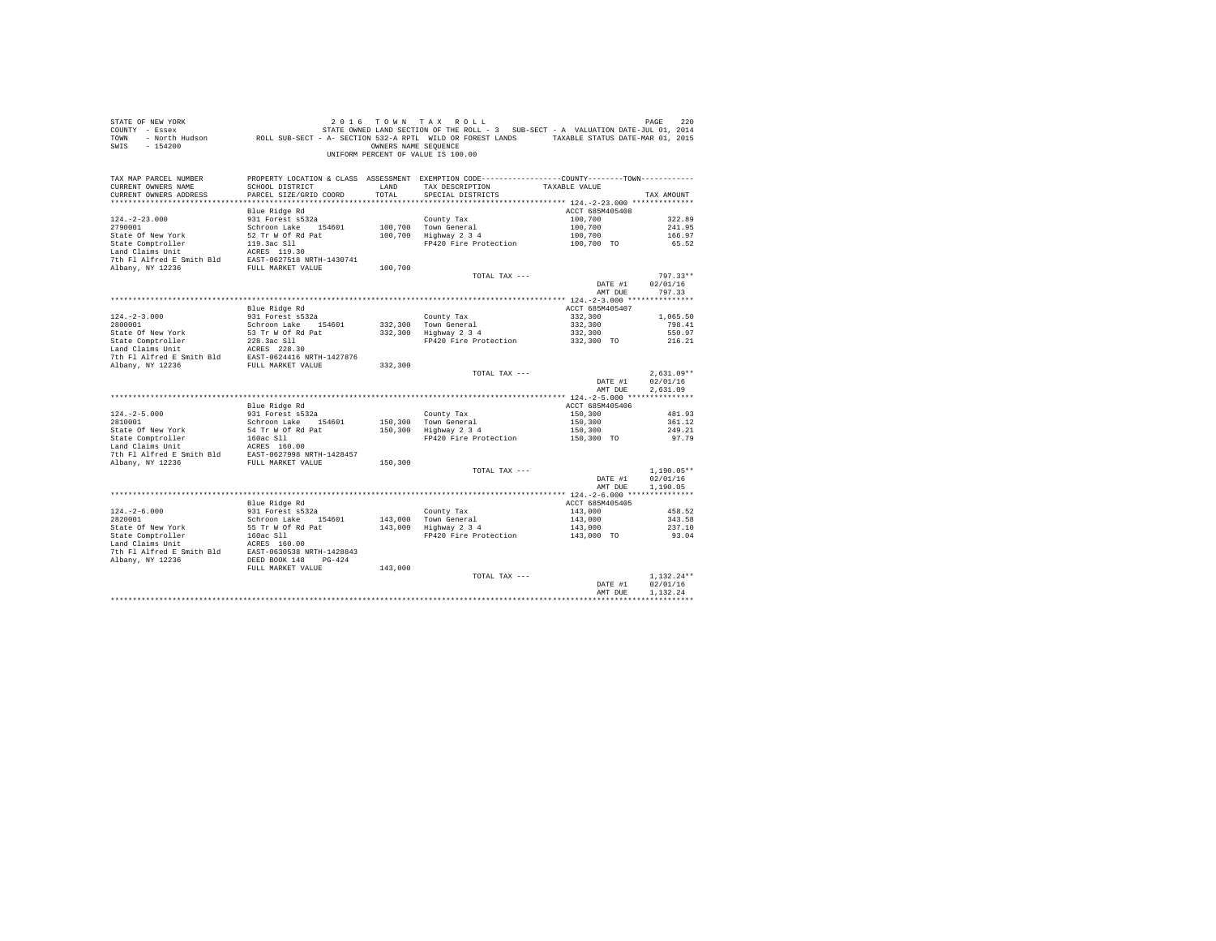| COUNTY - Essex<br>TOWN<br>$-154200$<br>SWTS                                                                                                                                               | - North Hudson ROLL SUB-SECT - A- SECTION 532-A RPTL WILD OR FOREST LANDS TAXABLE STATUS DATE-MAR 01, 2015 | OWNERS NAME SEQUENCE | STATE OWNED LAND SECTION OF THE ROLL - 3 SUB-SECT - A VALUATION DATE-JUL 01, 2014               |                       |                  |
|-------------------------------------------------------------------------------------------------------------------------------------------------------------------------------------------|------------------------------------------------------------------------------------------------------------|----------------------|-------------------------------------------------------------------------------------------------|-----------------------|------------------|
|                                                                                                                                                                                           |                                                                                                            |                      | UNIFORM PERCENT OF VALUE IS 100.00                                                              |                       |                  |
| TAX MAP PARCEL NUMBER                                                                                                                                                                     |                                                                                                            |                      | PROPERTY LOCATION & CLASS ASSESSMENT EXEMPTION CODE----------------COUNTY--------TOWN---------- |                       |                  |
| CURRENT OWNERS NAME<br>CURRENT OWNERS ADDRESS                                                                                                                                             | SCHOOL DISTRICT<br>PARCEL SIZE/GRID COORD                                                                  | LAND<br>TOTAL        | TAX DESCRIPTION<br>SPECIAL DISTRICTS                                                            | TAXABLE VALUE         | TAX AMOUNT       |
|                                                                                                                                                                                           |                                                                                                            |                      |                                                                                                 |                       |                  |
|                                                                                                                                                                                           | Blue Ridge Rd                                                                                              |                      |                                                                                                 | ACCT 685M405408       |                  |
| $124. -2 - 23.000$                                                                                                                                                                        | 931 Forest s532a                                                                                           |                      | County Tax                                                                                      | 100,700               | 322.89           |
| 2790001                                                                                                                                                                                   | Schroon Lake 154601                                                                                        |                      | 100,700 Town General                                                                            | 100,700               | 241.95           |
| State Of New York                                                                                                                                                                         | 52 Tr W Of Rd Pat                                                                                          |                      | 100,700 Highway 2 3 4                                                                           | 100,700               | 166.97           |
| State Comptroller                                                                                                                                                                         |                                                                                                            |                      | FP420 Fire Protection                                                                           | 100,700 TO            | 65.52            |
| State Comptroller<br>119.3ac Sll<br>119.3ac Sll<br>119.3ac Sll<br>119.30<br>7th Fl Alfred E Smith Bld<br>EAST-0627518 NRTH-1430741                                                        |                                                                                                            |                      |                                                                                                 |                       |                  |
|                                                                                                                                                                                           |                                                                                                            |                      |                                                                                                 |                       |                  |
| Albany, NY 12236                                                                                                                                                                          | FULL MARKET VALUE                                                                                          | 100,700              | TOTAL TAX ---                                                                                   |                       | 797.33**         |
|                                                                                                                                                                                           |                                                                                                            |                      |                                                                                                 | DATE #1               | 02/01/16         |
|                                                                                                                                                                                           |                                                                                                            |                      |                                                                                                 | AMT DUE               | 797.33           |
|                                                                                                                                                                                           |                                                                                                            |                      |                                                                                                 |                       |                  |
|                                                                                                                                                                                           | Blue Ridge Rd                                                                                              |                      |                                                                                                 | ACCT 685M405407       |                  |
| $124. -2 - 3.000$                                                                                                                                                                         | 931 Forest s532a                                                                                           |                      | County Tax                                                                                      | 332,300               | 1,065.50         |
| 2800001                                                                                                                                                                                   | Schroon Lake 154601                                                                                        |                      | 332,300 Town General                                                                            | 332,300               | 798.41           |
|                                                                                                                                                                                           |                                                                                                            |                      | 332,300 Highway 2 3 4                                                                           | 332,300<br>332,300 TO | 550.97           |
|                                                                                                                                                                                           |                                                                                                            |                      | FP420 Fire Protection                                                                           |                       | 216.21           |
|                                                                                                                                                                                           |                                                                                                            |                      |                                                                                                 |                       |                  |
|                                                                                                                                                                                           |                                                                                                            |                      |                                                                                                 |                       |                  |
|                                                                                                                                                                                           |                                                                                                            |                      | TOTAL TAX ---                                                                                   |                       | $2.631.09**$     |
|                                                                                                                                                                                           |                                                                                                            |                      |                                                                                                 | DATE #1               | 02/01/16         |
|                                                                                                                                                                                           |                                                                                                            |                      |                                                                                                 | AMT DUE               | 2.631.09         |
|                                                                                                                                                                                           |                                                                                                            |                      |                                                                                                 |                       |                  |
|                                                                                                                                                                                           | Blue Ridge Rd                                                                                              |                      |                                                                                                 | ACCT 685M405406       |                  |
| $124. -2 - 5.000$<br>2810001                                                                                                                                                              | 931 Forest s532a<br>Schroon Lake 154601                                                                    | 150,300              | County Tax                                                                                      | 150,300<br>150,300    | 481.93<br>361.12 |
| State Of New York                                                                                                                                                                         | 54 Tr W Of Rd Pat                                                                                          | 150,300              | Town General<br>Highway 2 3 4                                                                   | 150,300               | 249.21           |
|                                                                                                                                                                                           |                                                                                                            |                      | FP420 Fire Protection                                                                           | 150,300 TO            | 97.79            |
|                                                                                                                                                                                           |                                                                                                            |                      |                                                                                                 |                       |                  |
| State Comptroller<br>Land Claims Unit<br>Land Claims Unit<br>2008 S11<br>2008 S11<br>2018 Marry 19936<br>2019 MRTH-1428457<br>2019 MRTH-1428457<br>2019 MRTH-1428457<br>2019 MRTH-1428457 |                                                                                                            |                      |                                                                                                 |                       |                  |
| Albany, NY 12236                                                                                                                                                                          | FULL MARKET VALUE                                                                                          | 150,300              |                                                                                                 |                       |                  |
|                                                                                                                                                                                           |                                                                                                            |                      | TOTAL TAX ---                                                                                   |                       | $1,190.05**$     |
|                                                                                                                                                                                           |                                                                                                            |                      |                                                                                                 | DATE #1<br>AMT DUE    | 02/01/16         |
|                                                                                                                                                                                           |                                                                                                            |                      |                                                                                                 |                       | 1,190.05         |
|                                                                                                                                                                                           | Blue Ridge Rd                                                                                              |                      |                                                                                                 | ACCT 685M405405       |                  |
| $124. - 2 - 6.000$                                                                                                                                                                        | 931 Forest s532a                                                                                           |                      |                                                                                                 | 143,000               | 458.52           |
| 2820001                                                                                                                                                                                   | Schroon Lake 154601                                                                                        |                      | County Tax<br>143,000 Town General<br>143,000 Highway 2 3 4                                     | 143,000               | 343.58           |
| State Of New York                                                                                                                                                                         | 55 Tr W Of Rd Pat                                                                                          |                      |                                                                                                 | 143,000               | 237.10           |
| State Comptroller<br>Land Claims Unit<br>Land Claims Unit<br>The FI Alfred E Smith Bld<br>EAST-0630538 NRTH-1428843                                                                       |                                                                                                            |                      | FP420 Fire Protection                                                                           | 143,000 TO            | 93.04            |
|                                                                                                                                                                                           |                                                                                                            |                      |                                                                                                 |                       |                  |
| Albany, NY 12236                                                                                                                                                                          | DEED BOOK 148 PG-424                                                                                       |                      |                                                                                                 |                       |                  |
|                                                                                                                                                                                           | FULL MARKET VALUE                                                                                          | 143,000              |                                                                                                 |                       |                  |
|                                                                                                                                                                                           |                                                                                                            |                      | TOTAL TAX ---                                                                                   |                       | $1.132.24**$     |
|                                                                                                                                                                                           |                                                                                                            |                      |                                                                                                 | DATE #1               | 02/01/16         |
|                                                                                                                                                                                           |                                                                                                            |                      |                                                                                                 |                       |                  |
|                                                                                                                                                                                           |                                                                                                            |                      |                                                                                                 | AMT DUE               | 1.132.24         |

STATE OF NEW YORK 200 CONSTRUCTED A CONSTRUCT OF A GENERAL PAGE 220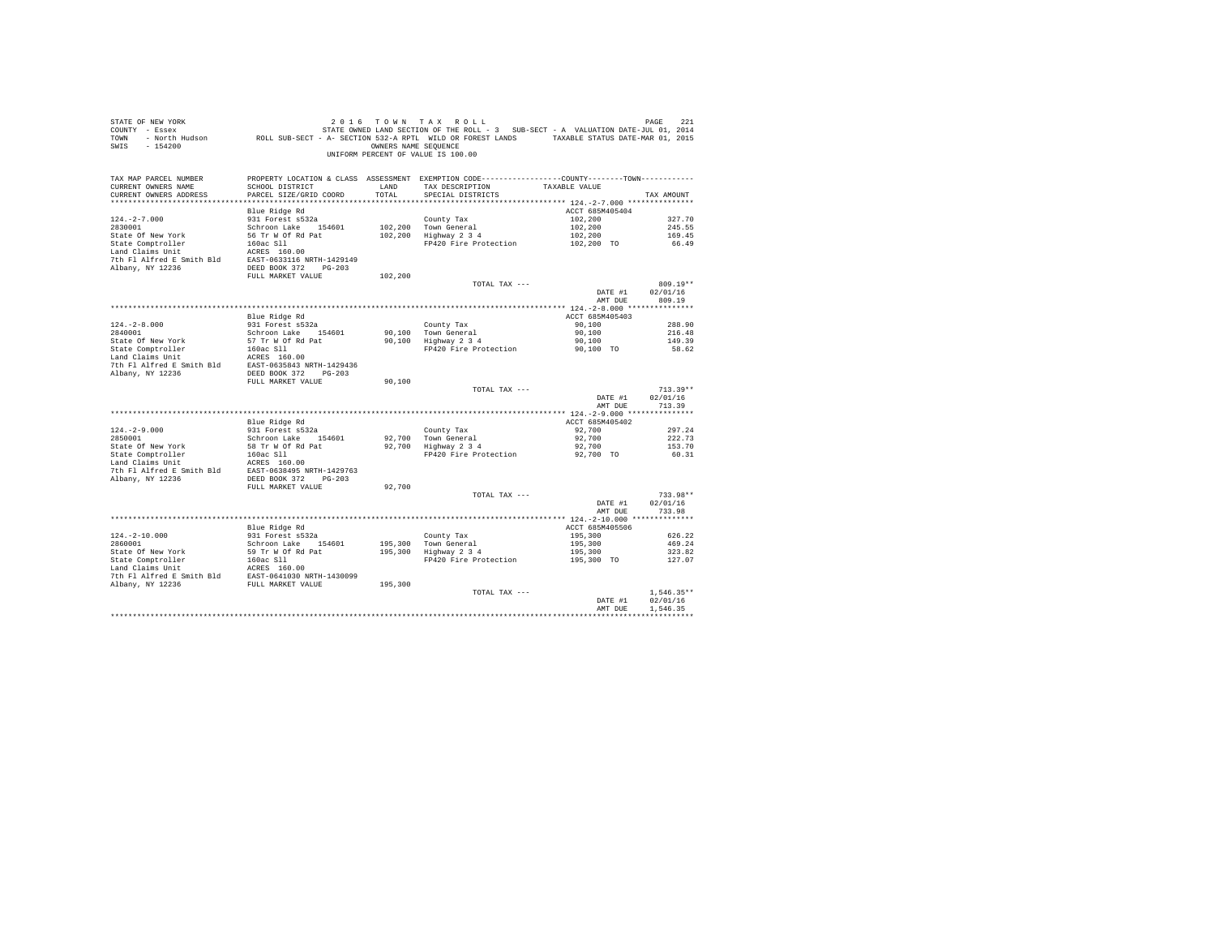| STATE OF NEW YORK<br>COUNTY - Essex<br>TOWN<br>SWIS<br>$-154200$       | - North Hudson . ROLL SUB-SECT - A- SECTION 532-A RPTL WILD OR FOREST LANDS . TAXABLE STATUS DATE-MAR 01, 2015 | OWNERS NAME SEOUENCE | 2016 TOWN TAX ROLL<br>STATE OWNED LAND SECTION OF THE ROLL - 3 SUB-SECT - A VALUATION DATE-JUL 01, 2014<br>UNIFORM PERCENT OF VALUE IS 100.00 |                            | 221<br>PAGE              |
|------------------------------------------------------------------------|----------------------------------------------------------------------------------------------------------------|----------------------|-----------------------------------------------------------------------------------------------------------------------------------------------|----------------------------|--------------------------|
| TAX MAP PARCEL NUMBER<br>CURRENT OWNERS NAME<br>CURRENT OWNERS ADDRESS | SCHOOL DISTRICT<br>PARCEL SIZE/GRID COORD                                                                      | LAND<br>TOTAL        | PROPERTY LOCATION & CLASS ASSESSMENT EXEMPTION CODE---------------COUNTY-------TOWN---------<br>TAX DESCRIPTION<br>SPECIAL DISTRICTS          | TAXABLE VALUE              | TAX AMOUNT               |
|                                                                        | Blue Ridge Rd                                                                                                  |                      |                                                                                                                                               | ACCT 685M405404            |                          |
| $124. -2 - 7.000$                                                      | 931 Forest s532a                                                                                               |                      | County Tax                                                                                                                                    | 102,200                    | 327.70                   |
| 2830001                                                                | Schroon Lake 154601                                                                                            |                      | 102,200 Town General                                                                                                                          | 102,200                    | 245.55                   |
| State Of New York                                                      | 56 Tr W Of Rd Pat                                                                                              |                      | 102,200 Highway 2 3 4                                                                                                                         | 102,200                    | 169.45                   |
| State Comptroller                                                      | 160ac S11                                                                                                      |                      | FP420 Fire Protection                                                                                                                         | 102,200 TO                 | 66.49                    |
| Land Claims Unit<br>7th Fl Alfred E Smith Bld                          | ACRES 160.00<br>EAST-0633116 NRTH-1429149                                                                      |                      |                                                                                                                                               |                            |                          |
| Albany, NY 12236                                                       | DEED BOOK 372 PG-203                                                                                           |                      |                                                                                                                                               |                            |                          |
|                                                                        | FULL MARKET VALUE                                                                                              | 102,200              |                                                                                                                                               |                            |                          |
|                                                                        |                                                                                                                |                      | TOTAL TAX ---                                                                                                                                 |                            | $809.19**$               |
|                                                                        |                                                                                                                |                      |                                                                                                                                               | DATE #1                    | 02/01/16                 |
|                                                                        |                                                                                                                |                      |                                                                                                                                               | AMT DUE                    | 809.19                   |
|                                                                        |                                                                                                                |                      |                                                                                                                                               |                            |                          |
| $124 - 2 - 8.000$                                                      | Blue Ridge Rd<br>931 Forest s532a                                                                              |                      | County Tax                                                                                                                                    | ACCT 685M405403<br>90,100  | 288.90                   |
| 2840001                                                                | Schroon Lake 154601                                                                                            |                      | 90.100 Town General                                                                                                                           | 90,100                     | 216.48                   |
| State Of New York                                                      | 57 Tr W Of Rd Pat                                                                                              |                      | 90,100 Highway 2 3 4                                                                                                                          | 90,100                     | 149.39                   |
| State Comptroller                                                      | 160ac S11                                                                                                      |                      | FP420 Fire Protection                                                                                                                         | 90.100 TO                  | 58.62                    |
| Land Claims Unit<br>7th Fl Alfred E Smith Bld<br>Albany, NY 12236      | ACRES 160.00<br>EAST-0635843 NRTH-1429436<br>DEED BOOK 372 PG-203                                              |                      |                                                                                                                                               |                            |                          |
|                                                                        | FULL MARKET VALUE                                                                                              | 90,100               |                                                                                                                                               |                            |                          |
|                                                                        |                                                                                                                |                      | TOTAL TAX ---                                                                                                                                 |                            | $713.39**$               |
|                                                                        |                                                                                                                |                      |                                                                                                                                               | DATE #1                    | 02/01/16                 |
|                                                                        |                                                                                                                |                      |                                                                                                                                               | AMT DUE                    | 713.39                   |
|                                                                        | Blue Ridge Rd                                                                                                  |                      |                                                                                                                                               | ACCT 685M405402            |                          |
| $124. - 2 - 9.000$                                                     | 931 Forest s532a                                                                                               |                      | County Tax                                                                                                                                    | 92,700                     | 297.24                   |
| 2850001                                                                | Schroon Lake 154601                                                                                            |                      | 92,700 Town General                                                                                                                           | 92,700                     | 222.73                   |
| State Of New York                                                      | 58 Tr W Of Rd Pat                                                                                              |                      | 92,700 Highway 2 3 4                                                                                                                          | 92,700                     | 153.70                   |
| State Comptroller                                                      | 160ac Sll                                                                                                      |                      | FP420 Fire Protection                                                                                                                         | 92,700 TO                  | 60.31                    |
| Land Claims Unit                                                       | ACRES 160.00                                                                                                   |                      |                                                                                                                                               |                            |                          |
| 7th Fl Alfred E Smith Bld<br>Albany, NY 12236                          | EAST-0638495 NRTH-1429763<br>DEED BOOK 372 PG-203                                                              |                      |                                                                                                                                               |                            |                          |
|                                                                        | FULL MARKET VALUE                                                                                              | 92,700               |                                                                                                                                               |                            |                          |
|                                                                        |                                                                                                                |                      | TOTAL TAX ---                                                                                                                                 |                            | 733.98**                 |
|                                                                        |                                                                                                                |                      |                                                                                                                                               | DATE #1                    | 02/01/16                 |
|                                                                        |                                                                                                                |                      |                                                                                                                                               | AMT DUE                    | 733.98                   |
|                                                                        |                                                                                                                |                      |                                                                                                                                               |                            |                          |
| $124. - 2 - 10.000$                                                    | Blue Ridge Rd<br>931 Forest s532a                                                                              |                      |                                                                                                                                               | ACCT 685M405506<br>195,300 | 626.22                   |
| 2860001                                                                | Schroon Lake 154601                                                                                            |                      | County Tax<br>195,300 Town General                                                                                                            | 195,300                    | 469.24                   |
| State Of New York                                                      | 59 Tr W Of Rd Pat                                                                                              |                      | 195,300 Highway 2 3 4                                                                                                                         | 195,300                    | 323.82                   |
| State Comptroller                                                      | 160ac Sll                                                                                                      |                      | FP420 Fire Protection                                                                                                                         | 195,300 TO                 | 127.07                   |
| Land Claims Unit                                                       | ACRES 160.00                                                                                                   |                      |                                                                                                                                               |                            |                          |
| 7th Fl Alfred E Smith Bld                                              | EAST-0641030 NRTH-1430099                                                                                      |                      |                                                                                                                                               |                            |                          |
| Albany, NY 12236                                                       | FULL MARKET VALUE                                                                                              | 195,300              |                                                                                                                                               |                            |                          |
|                                                                        |                                                                                                                |                      | TOTAL TAX ---                                                                                                                                 | DATE #1                    | $1.546.35**$<br>02/01/16 |
|                                                                        |                                                                                                                |                      |                                                                                                                                               | AMT DUE                    | 1.546.35                 |
|                                                                        |                                                                                                                |                      |                                                                                                                                               |                            |                          |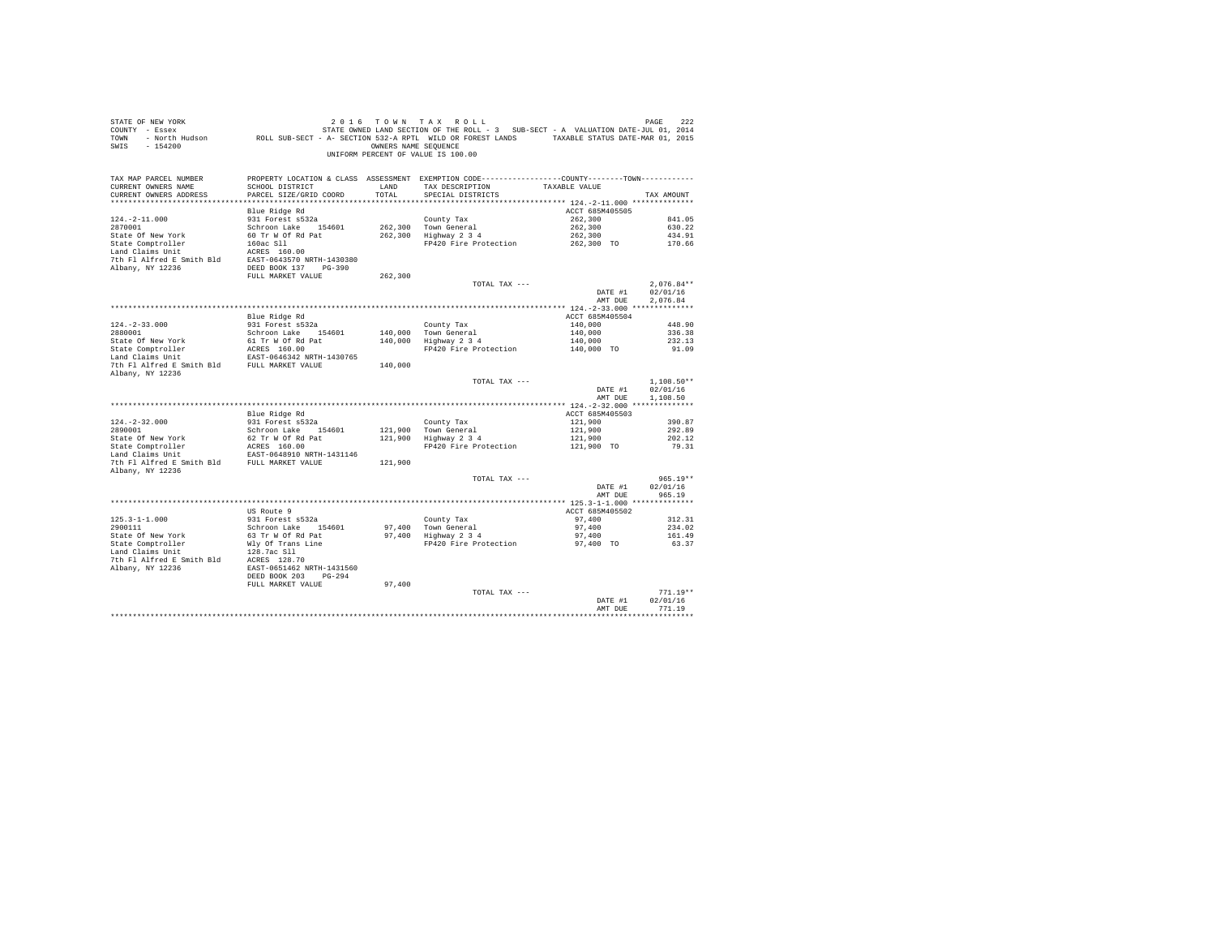| STATE OF NEW YORK                                                          |                                                                                                |                      | 2016 TOWN TAX ROLL                                                                |                    | PAGE<br>222  |
|----------------------------------------------------------------------------|------------------------------------------------------------------------------------------------|----------------------|-----------------------------------------------------------------------------------|--------------------|--------------|
| COUNTY - Essex                                                             |                                                                                                |                      | STATE OWNED LAND SECTION OF THE ROLL - 3 SUB-SECT - A VALUATION DATE-JUL 01, 2014 |                    |              |
| TOWN - North Hudson                                                        | ROLL SUB-SECT - A- SECTION 532-A RPTL WILD OR FOREST LANDS TAXABLE STATUS DATE-MAR 01, 2015    |                      |                                                                                   |                    |              |
| SWIS<br>$-154200$                                                          |                                                                                                | OWNERS NAME SEQUENCE |                                                                                   |                    |              |
|                                                                            |                                                                                                |                      | UNIFORM PERCENT OF VALUE IS 100.00                                                |                    |              |
|                                                                            |                                                                                                |                      |                                                                                   |                    |              |
|                                                                            |                                                                                                |                      |                                                                                   |                    |              |
| TAX MAP PARCEL NUMBER                                                      | PROPERTY LOCATION & CLASS ASSESSMENT EXEMPTION CODE---------------COUNTY--------TOWN---------- |                      |                                                                                   |                    |              |
| CURRENT OWNERS NAME                                                        | SCHOOL DISTRICT                                                                                | LAND                 | TAX DESCRIPTION                                                                   | TAXABLE VALUE      |              |
| CURRENT OWNERS ADDRESS                                                     | PARCEL SIZE/GRID COORD                                                                         | TOTAL                | SPECIAL DISTRICTS                                                                 |                    | TAX AMOUNT   |
| *************************                                                  |                                                                                                |                      |                                                                                   |                    |              |
|                                                                            | Blue Ridge Rd                                                                                  |                      |                                                                                   | ACCT 685M405505    |              |
| $124. - 2 - 11.000$                                                        | 931 Forest s532a                                                                               |                      | County Tax                                                                        | 262,300            | 841.05       |
| 2870001                                                                    | Schroon Lake 154601                                                                            | 262,300              | Town General                                                                      | 262,300            | 630.22       |
| State Of New York                                                          | 60 Tr W Of Rd Pat                                                                              |                      | 262,300 Highway 2 3 4                                                             | 262,300            | 434.91       |
| State Comptroller                                                          | 160ac Sll                                                                                      |                      | FP420 Fire Protection                                                             | 262,300 TO         | 170.66       |
|                                                                            | ACRES 160.00                                                                                   |                      |                                                                                   |                    |              |
| Land Claims Unit                                                           |                                                                                                |                      |                                                                                   |                    |              |
|                                                                            | 7th Fl Alfred E Smith Bld EAST-0643570 NRTH-1430380                                            |                      |                                                                                   |                    |              |
| Albany, NY 12236                                                           | DEED BOOK 137 PG-390                                                                           |                      |                                                                                   |                    |              |
|                                                                            | FULL MARKET VALUE                                                                              | 262,300              |                                                                                   |                    |              |
|                                                                            |                                                                                                |                      | TOTAL TAX ---                                                                     |                    | $2.076.84**$ |
|                                                                            |                                                                                                |                      |                                                                                   | DATE #1            | 02/01/16     |
|                                                                            |                                                                                                |                      |                                                                                   | AMT DUE            | 2.076.84     |
|                                                                            |                                                                                                |                      |                                                                                   |                    |              |
|                                                                            | Blue Ridge Rd                                                                                  |                      |                                                                                   | ACCT 685M405504    |              |
| $124. - 2 - 33.000$                                                        | 931 Forest s532a                                                                               |                      | County Tax                                                                        | 140,000            | 448.90       |
| 2880001                                                                    | Schroon Lake 154601                                                                            |                      | 140,000 Town General                                                              | 140,000<br>140,000 | 336.38       |
| State Of New York                                                          | 61 Tr W Of Rd Pat                                                                              |                      | 140,000 Highway 2 3 4                                                             |                    | 232.13       |
| State Comptroller                                                          | ACRES 160.00<br>ACRES 160.00<br>EAST-0646342 NRTH-1430765                                      |                      | FP420 Fire Protection 140,000 TO                                                  |                    | 91.09        |
| Land Claims Unit                                                           |                                                                                                |                      |                                                                                   |                    |              |
| 7th Fl Alfred E Smith Bld FULL MARKET VALUE                                |                                                                                                | 140,000              |                                                                                   |                    |              |
| Albany, NY 12236                                                           |                                                                                                |                      |                                                                                   |                    |              |
|                                                                            |                                                                                                |                      | TOTAL TAX ---                                                                     |                    | $1.108.50**$ |
|                                                                            |                                                                                                |                      |                                                                                   | DATE #1            | 02/01/16     |
|                                                                            |                                                                                                |                      |                                                                                   | AMT DUE            | 1,108.50     |
|                                                                            |                                                                                                |                      |                                                                                   |                    |              |
|                                                                            | Blue Ridge Rd                                                                                  |                      |                                                                                   | ACCT 685M405503    |              |
| $124. - 2 - 32.000$                                                        | 931 Forest s532a                                                                               |                      |                                                                                   | 121,900            | 390.87       |
| 2890001                                                                    | Schroon Lake 154601                                                                            |                      | County Tax                                                                        | 121,900            | 292.89       |
| State Of New York                                                          | 62 Tr W Of Rd Pat                                                                              |                      | 121,900 Town General<br>121,900 Highway 2 3 4                                     | 121,900            | 202.12       |
|                                                                            |                                                                                                |                      | FP420 Fire Protection                                                             |                    | 79.31        |
| State Comptroller<br>Land Claims Unit                                      | ACRES 160.00<br>EAST-0648910 NRTH-1431146                                                      |                      |                                                                                   | 121,900 TO         |              |
|                                                                            |                                                                                                |                      |                                                                                   |                    |              |
|                                                                            | 7th Fl Alfred E Smith Bld FULL MARKET VALUE                                                    | 121,900              |                                                                                   |                    |              |
| Albany, NY 12236                                                           |                                                                                                |                      |                                                                                   |                    |              |
|                                                                            |                                                                                                |                      | TOTAL TAX ---                                                                     |                    | $965.19**$   |
|                                                                            |                                                                                                |                      |                                                                                   | DATE #1            | 02/01/16     |
|                                                                            |                                                                                                |                      |                                                                                   | AMT DUE            | 965.19       |
|                                                                            |                                                                                                |                      |                                                                                   |                    |              |
|                                                                            | US Route 9                                                                                     |                      |                                                                                   | ACCT 685M405502    |              |
| $125.3 - 1 - 1.000$                                                        | 931 Forest s532a                                                                               |                      | County Tax                                                                        | 97,400             | 312.31       |
| 2900111                                                                    | Schroon Lake 154601                                                                            |                      | 97,400 Town General                                                               | 97,400             | 234.02       |
| State Of New York                                                          | 63 Tr W Of Rd Pat                                                                              |                      | 97,400 Town General<br>97.400 Highway 234                                         | 97,400             | 161.49       |
| State Comptroller<br>Land Claims Unit                                      | Wly Of Trans Line                                                                              |                      | FP420 Fire Protection 97,400 TO                                                   |                    | 63.37        |
|                                                                            | 128.7ac Sll                                                                                    |                      |                                                                                   |                    |              |
|                                                                            |                                                                                                |                      |                                                                                   |                    |              |
| 7th F1 Alfred E Smith Bld<br>Albany, NY 12236<br>EAST-0651462 NRTH-1431560 |                                                                                                |                      |                                                                                   |                    |              |
|                                                                            | DEED BOOK 203 PG-294                                                                           |                      |                                                                                   |                    |              |
|                                                                            | FULL MARKET VALUE                                                                              | 97,400               |                                                                                   |                    |              |
|                                                                            |                                                                                                |                      | TOTAL TAX ---                                                                     |                    | $771.19**$   |
|                                                                            |                                                                                                |                      |                                                                                   | DATE #1            | 02/01/16     |
|                                                                            |                                                                                                |                      |                                                                                   | AMT DUE            | 771.19       |
|                                                                            |                                                                                                |                      |                                                                                   |                    |              |
|                                                                            |                                                                                                |                      |                                                                                   |                    |              |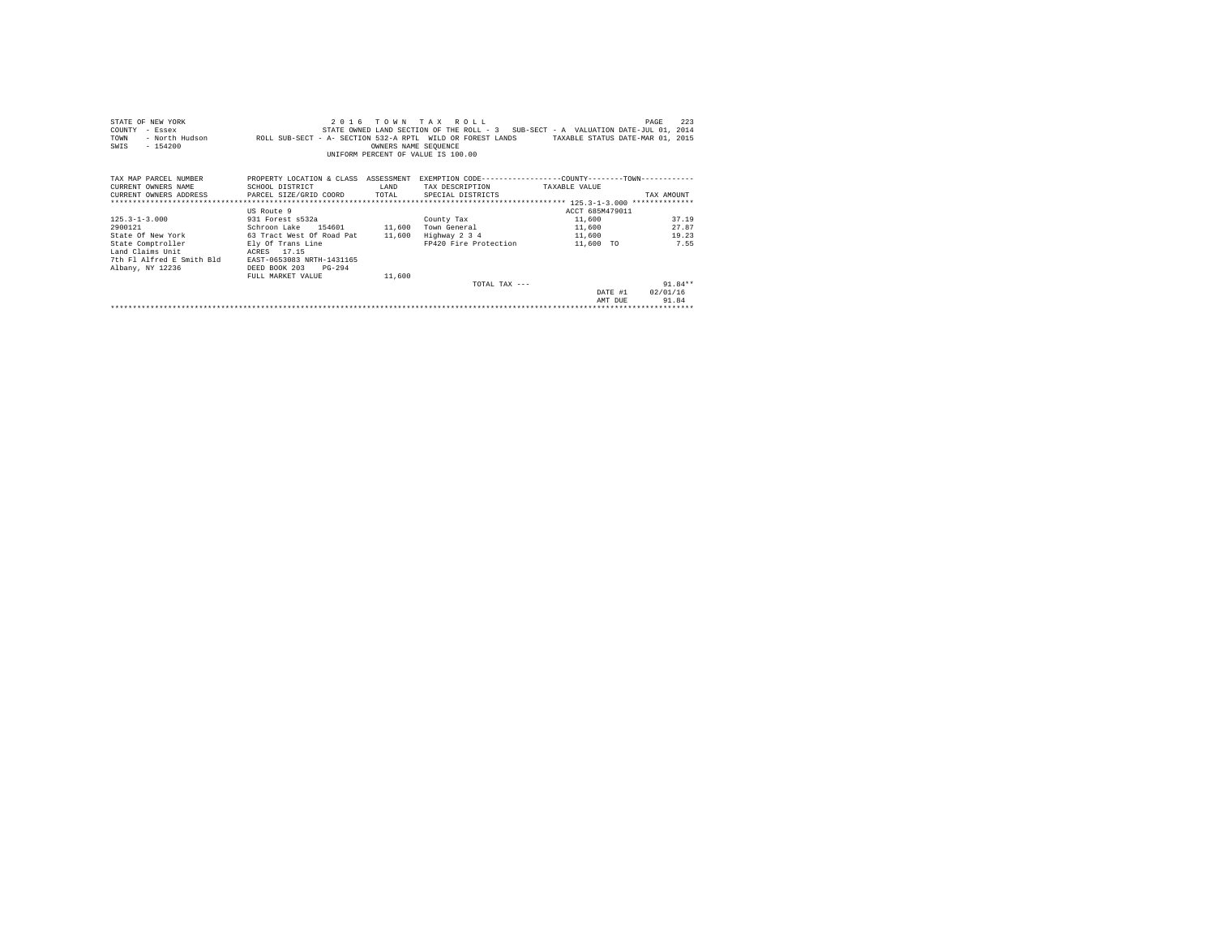| STATE OF NEW YORK<br>COUNTY<br>- Essex<br>- North Hudson<br>TOWN<br>$-154200$<br>SWIS | ROLL SUB-SECT - A- SECTION 532-A RPTL WILD OR FOREST LANDS                                                         | OWNERS NAME SEQUENCE | 2016 TOWN TAX ROLL<br>UNIFORM PERCENT OF VALUE IS 100.00 | STATE OWNED LAND SECTION OF THE ROLL - 3 SUB-SECT - A VALUATION DATE-JUL 01, 2014<br>TAXABLE STATUS DATE-MAR 01, 2015 | 223<br>PAGE |  |  |  |  |
|---------------------------------------------------------------------------------------|--------------------------------------------------------------------------------------------------------------------|----------------------|----------------------------------------------------------|-----------------------------------------------------------------------------------------------------------------------|-------------|--|--|--|--|
| TAX MAP PARCEL NUMBER<br>CURRENT OWNERS NAME                                          | PROPERTY LOCATION & CLASS ASSESSMENT EXEMPTION CODE----------------COUNTY--------TOWN----------<br>SCHOOL DISTRICT | LAND                 | TAX DESCRIPTION TAXABLE VALUE                            |                                                                                                                       |             |  |  |  |  |
| CURRENT OWNERS ADDRESS PARCEL SIZE/GRID COORD TOTAL                                   |                                                                                                                    |                      | SPECIAL DISTRICTS                                        |                                                                                                                       | TAX AMOUNT  |  |  |  |  |
|                                                                                       |                                                                                                                    |                      |                                                          |                                                                                                                       |             |  |  |  |  |
|                                                                                       | US Route 9                                                                                                         |                      |                                                          | ACCT 685M479011                                                                                                       |             |  |  |  |  |
| $125.3 - 1 - 3.000$                                                                   | 931 Forest s532a                                                                                                   |                      | County Tax                                               | 11,600                                                                                                                | 37.19       |  |  |  |  |
| 2900121                                                                               | Schroon Lake 154601 11,600                                                                                         |                      |                                                          | Town General 11,600                                                                                                   | 27.87       |  |  |  |  |
| State Of New York                                                                     | 63 Tract West Of Road Pat 11,600                                                                                   |                      |                                                          | $Highway \t2 \t3 \t4 \t11,600$                                                                                        | 19.23       |  |  |  |  |
| State Comptroller                                                                     | Ely Of Trans Line                                                                                                  |                      | FP420 Fire Protection                                    | 11,600 TO                                                                                                             | 7.55        |  |  |  |  |
| Land Claims Unit                                                                      | ACRES 17.15                                                                                                        |                      |                                                          |                                                                                                                       |             |  |  |  |  |
| 7th Fl Alfred E Smith Bld                                                             | EAST-0653083 NRTH-1431165                                                                                          |                      |                                                          |                                                                                                                       |             |  |  |  |  |
| Albany, NY 12236                                                                      | DEED BOOK 203<br>$PG-294$                                                                                          |                      |                                                          |                                                                                                                       |             |  |  |  |  |
|                                                                                       | FULL MARKET VALUE                                                                                                  | 11,600               |                                                          |                                                                                                                       |             |  |  |  |  |
|                                                                                       |                                                                                                                    |                      | TOTAL TAX $---$                                          |                                                                                                                       | $91.84**$   |  |  |  |  |
|                                                                                       |                                                                                                                    |                      |                                                          | DATE #1                                                                                                               | 02/01/16    |  |  |  |  |
|                                                                                       |                                                                                                                    |                      |                                                          | AMT DUE                                                                                                               | 91.84       |  |  |  |  |
|                                                                                       |                                                                                                                    |                      |                                                          |                                                                                                                       |             |  |  |  |  |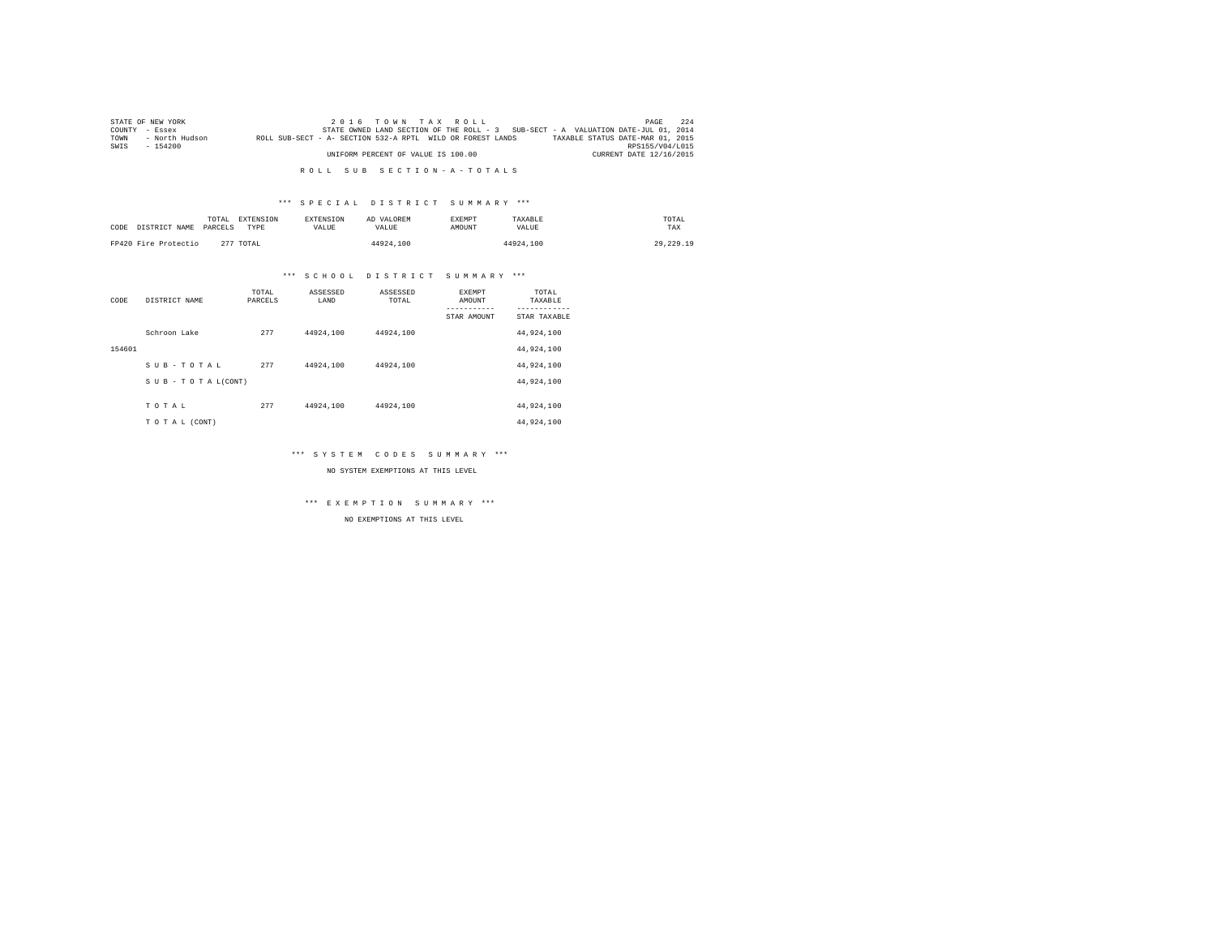|                | STATE OF NEW YORK |                                                            | $2.0.16$ TOWN TAX ROLL             |  |                                                                                   | PAGE                    | 224 |
|----------------|-------------------|------------------------------------------------------------|------------------------------------|--|-----------------------------------------------------------------------------------|-------------------------|-----|
| COUNTY - Essex |                   |                                                            |                                    |  | STATE OWNED LAND SECTION OF THE ROLL - 3 SUB-SECT - A VALUATION DATE-JUL 01, 2014 |                         |     |
| TOWN           | - North Hudson    | ROLL SUB-SECT - A- SECTION 532-A RPTL WILD OR FOREST LANDS |                                    |  | TAXABLE STATUS DATE-MAR 01, 2015                                                  |                         |     |
| SWIS           | $-154200$         |                                                            |                                    |  |                                                                                   | RPS155/V04/L015         |     |
|                |                   |                                                            | UNIFORM PERCENT OF VALUE IS 100.00 |  |                                                                                   | CURRENT DATE 12/16/2015 |     |

### \*\*\* S P E C I A L D I S T R I C T S U M M A R Y \*\*\*

| CODE | DISTRICT NAME        | TOTAL<br>PARCELS<br>TYPE | EXTENSION<br><b>EXTENSION</b><br><b>VALUE</b> | AD VALOREM<br>VALUE. | EXEMPT<br><b>AMOUNT</b> | TAXABLE<br>VALUE | TOTAL<br>TAX |
|------|----------------------|--------------------------|-----------------------------------------------|----------------------|-------------------------|------------------|--------------|
|      | FP420 Fire Protectio | 277 TOTAL                |                                               | 44924.100            |                         | 44924.100        | 29, 229, 19  |

### \*\*\* S C H O O L D I S T R I C T S U M M A R Y \*\*\*

| CODE   | DISTRICT NAME      | TOTAL<br>PARCELS | ASSESSED<br>LAND | ASSESSED<br>TOTAL | <b>EXEMPT</b><br>AMOUNT | TOTAL<br>TAXABLE |
|--------|--------------------|------------------|------------------|-------------------|-------------------------|------------------|
|        |                    |                  |                  |                   | STAR AMOUNT             | STAR TAXABLE     |
|        | Schroon Lake       | 277              | 44924,100        | 44924.100         |                         | 44,924,100       |
| 154601 |                    |                  |                  |                   |                         | 44,924,100       |
|        | SUB-TOTAL          | 277              | 44924,100        | 44924.100         |                         | 44,924,100       |
|        | SUB - TO TAL(CONT) |                  |                  |                   |                         | 44,924,100       |
|        |                    |                  |                  |                   |                         |                  |
|        | TOTAL              | 277              | 44924,100        | 44924.100         |                         | 44,924,100       |
|        | TO TAL (CONT)      |                  |                  |                   |                         | 44,924,100       |

### \*\*\* S Y S T E M C O D E S S U M M A R Y \*\*\*

NO SYSTEM EXEMPTIONS AT THIS LEVEL

\*\*\* E X E M P T I O N S U M M A R Y \*\*\*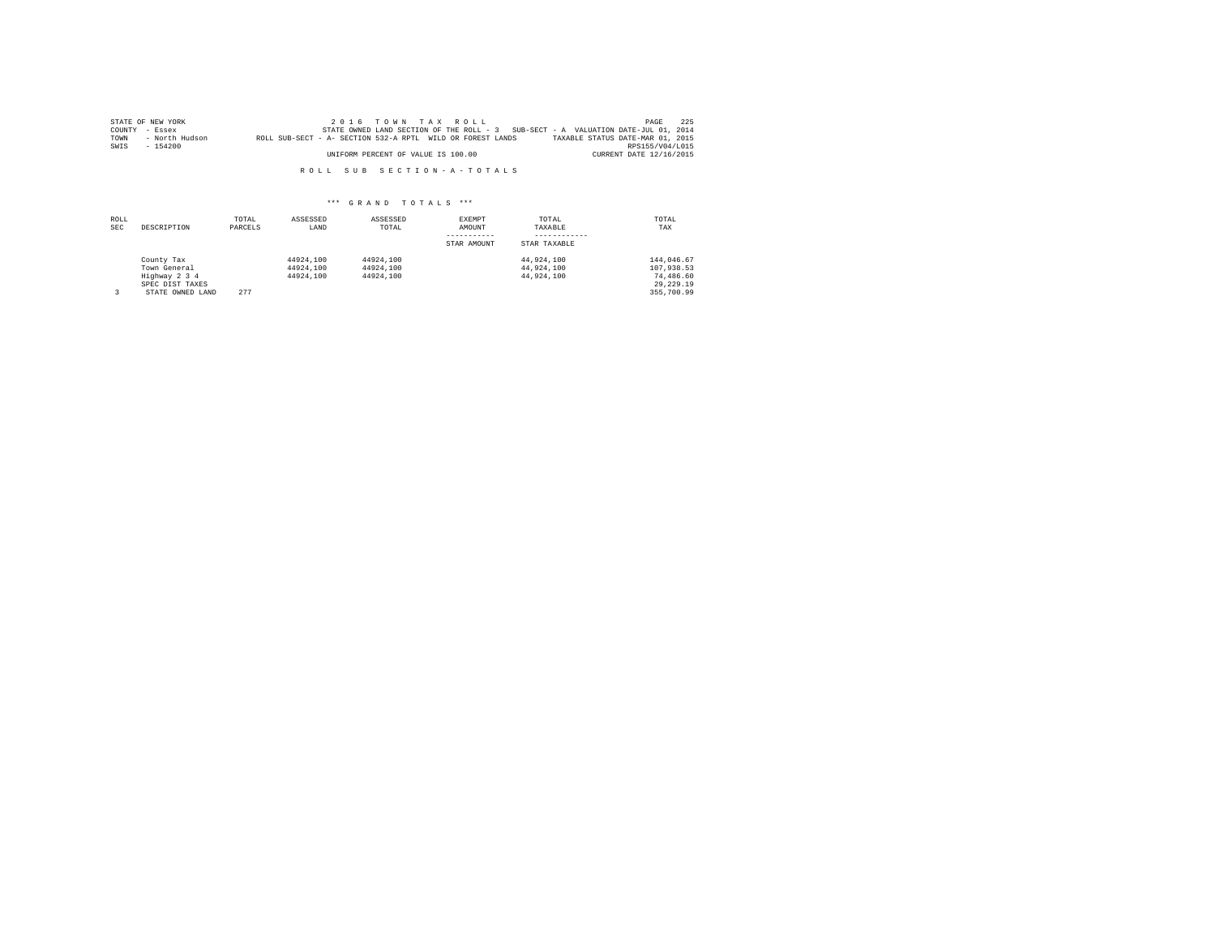|      | STATE OF NEW YORK |                                                            |                                    | $2.0.16$ TOWN TAX ROLL |  |                                                                                   | PAGE                    | 225 |
|------|-------------------|------------------------------------------------------------|------------------------------------|------------------------|--|-----------------------------------------------------------------------------------|-------------------------|-----|
|      | COUNTY - Essex    |                                                            |                                    |                        |  | STATE OWNED LAND SECTION OF THE ROLL - 3 SUB-SECT - A VALUATION DATE-JUL 01, 2014 |                         |     |
| TOWN | - North Hudson    | ROLL SUB-SECT - A- SECTION 532-A RPTL WILD OR FOREST LANDS |                                    |                        |  | TAXABLE STATUS DATE-MAR 01, 2015                                                  |                         |     |
| SWIS | $-154200$         |                                                            |                                    |                        |  |                                                                                   | RPS155/V04/L015         |     |
|      |                   |                                                            | UNIFORM PERCENT OF VALUE IS 100.00 |                        |  |                                                                                   | CURRENT DATE 12/16/2015 |     |

| ROLL<br><b>SEC</b> | DESCRIPTION                                                                        | TOTAL<br>PARCELS | ASSESSED<br>LAND                    | ASSESSED<br>TOTAL                   | EXEMPT<br>AMOUNT<br>STAR AMOUNT | TOTAL<br>TAXABLE<br>STAR TAXABLE       | TOTAL<br>TAX                                                       |
|--------------------|------------------------------------------------------------------------------------|------------------|-------------------------------------|-------------------------------------|---------------------------------|----------------------------------------|--------------------------------------------------------------------|
|                    | County Tax<br>Town General<br>Highway 2 3 4<br>SPEC DIST TAXES<br>STATE OWNED LAND | 277              | 44924,100<br>44924.100<br>44924,100 | 44924.100<br>44924.100<br>44924,100 |                                 | 44.924.100<br>44.924.100<br>44.924.100 | 144,046.67<br>107.938.53<br>74,486.60<br>29, 229, 19<br>355,700.99 |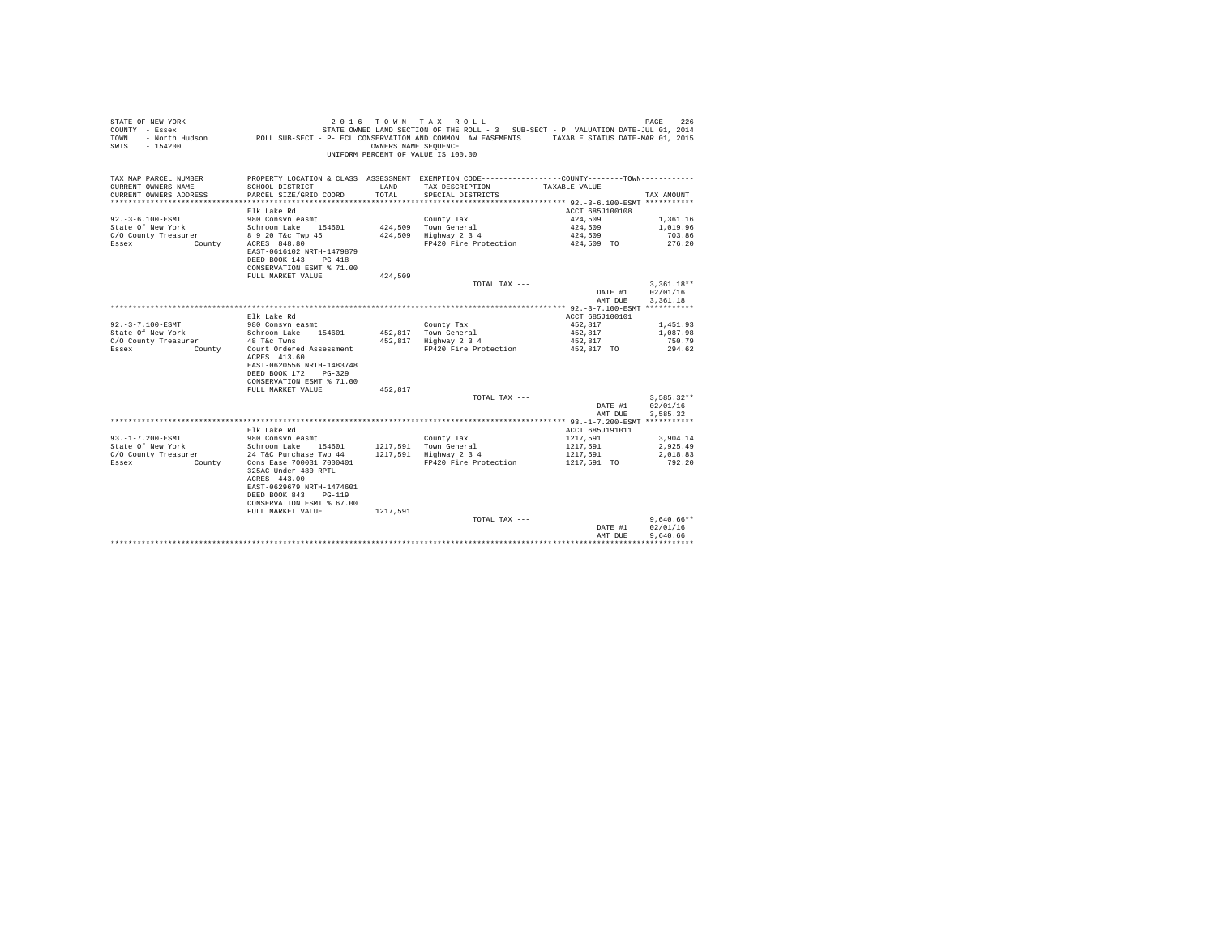| STATE OF NEW YORK<br>COUNTY - Essex<br>TOWN<br>$-154200$<br>SWIS | - North Hudson ROLL SUB-SECT - P- ECL CONSERVATION AND COMMON LAW EASEMENTS TAXABLE STATUS DATE-MAR 01, 2015 | OWNERS NAME SEQUENCE | 2016 TOWN TAX ROLL<br>STATE OWNED LAND SECTION OF THE ROLL - 3 SUB-SECT - P VALUATION DATE-JUL 01, 2014<br>UNIFORM PERCENT OF VALUE IS 100.00 |                             | PAGE<br>226  |
|------------------------------------------------------------------|--------------------------------------------------------------------------------------------------------------|----------------------|-----------------------------------------------------------------------------------------------------------------------------------------------|-----------------------------|--------------|
| TAX MAP PARCEL NUMBER                                            |                                                                                                              |                      | PROPERTY LOCATION & CLASS ASSESSMENT EXEMPTION CODE----------------COUNTY--------TOWN----------                                               |                             |              |
| CURRENT OWNERS NAME                                              | SCHOOL DISTRICT                                                                                              | LAND<br>TOTAL.       | TAX DESCRIPTION                                                                                                                               | TAXABLE VALUE               | TAX AMOUNT   |
| CURRENT OWNERS ADDRESS                                           | PARCEL SIZE/GRID COORD                                                                                       |                      | SPECIAL DISTRICTS                                                                                                                             |                             |              |
|                                                                  | Elk Lake Rd                                                                                                  |                      |                                                                                                                                               | ACCT 685J100108             |              |
| $92. - 3 - 6.100 - ESMT$                                         | 980 Consyn easmt                                                                                             |                      | County Tax                                                                                                                                    | 424,509                     | 1,361.16     |
| State Of New York                                                | Schroon Lake 154601                                                                                          |                      | 424,509 Town General                                                                                                                          | 424,509                     | 1,019.96     |
| C/O County Treasurer                                             | 8 9 20 T&C Twp 45                                                                                            |                      | 424,509 Highway 2 3 4                                                                                                                         | 424,509                     | 703.86       |
| Essex<br>County                                                  | ACRES 848.80                                                                                                 |                      | FP420 Fire Protection                                                                                                                         | 424,509 TO                  | 276.20       |
|                                                                  | EAST-0616102 NRTH-1479879                                                                                    |                      |                                                                                                                                               |                             |              |
|                                                                  | DEED BOOK 143 PG-418                                                                                         |                      |                                                                                                                                               |                             |              |
|                                                                  | CONSERVATION ESMT % 71.00<br>FULL MARKET VALUE                                                               | 424,509              |                                                                                                                                               |                             |              |
|                                                                  |                                                                                                              |                      | TOTAL TAX ---                                                                                                                                 |                             | $3.361.18**$ |
|                                                                  |                                                                                                              |                      |                                                                                                                                               | DATE #1                     | 02/01/16     |
|                                                                  |                                                                                                              |                      |                                                                                                                                               | AMT DUE                     | 3.361.18     |
|                                                                  |                                                                                                              |                      |                                                                                                                                               |                             |              |
|                                                                  | Elk Lake Rd                                                                                                  |                      |                                                                                                                                               | ACCT 685J100101             |              |
| 92. - 3 - 7.100 - ESMT                                           | 980 Consyn easmt                                                                                             |                      | County Tax                                                                                                                                    | 452.817                     | 1,451.93     |
| State Of New York                                                | Schroon Lake 154601                                                                                          |                      | 452,817 Town General                                                                                                                          | 452.817                     | 1,087.98     |
| C/O County Treasurer                                             | 48 T&c Twns                                                                                                  |                      | 452,817 Highway 2 3 4                                                                                                                         | 452,817                     | 750.79       |
| Essex<br>County                                                  | Court Ordered Assessment<br>ACRES 413.60                                                                     |                      | FP420 Fire Protection                                                                                                                         | 452.817 TO                  | 294.62       |
|                                                                  | EAST-0620556 NRTH-1483748                                                                                    |                      |                                                                                                                                               |                             |              |
|                                                                  | DEED BOOK 172<br>$PG-329$                                                                                    |                      |                                                                                                                                               |                             |              |
|                                                                  | CONSERVATION ESMT % 71.00                                                                                    |                      |                                                                                                                                               |                             |              |
|                                                                  | FULL MARKET VALUE                                                                                            | 452,817              |                                                                                                                                               |                             |              |
|                                                                  |                                                                                                              |                      | TOTAL TAX $---$                                                                                                                               |                             | $3.585.32**$ |
|                                                                  |                                                                                                              |                      |                                                                                                                                               | DATE #1                     | 02/01/16     |
|                                                                  |                                                                                                              |                      |                                                                                                                                               | AMT DUE                     | 3.585.32     |
|                                                                  |                                                                                                              |                      |                                                                                                                                               |                             |              |
| $93. -1 - 7.200 - ESMT$                                          | Elk Lake Rd<br>980 Consvn easmt                                                                              |                      | County Tax                                                                                                                                    | ACCT 685J191011<br>1217.591 | 3.904.14     |
| State Of New York                                                | Schroon Lake 154601                                                                                          |                      |                                                                                                                                               | 1217,591                    | 2,925.49     |
| C/O County Treasurer                                             | 24 T&C Purchase Twp 44                                                                                       |                      | 1217,591 Town General<br>1217,591 Highway 2 3 4                                                                                               | 1217.591                    | 2.018.83     |
| Essex<br>County                                                  | Cons Ease 700031 7000401                                                                                     |                      | FP420 Fire Protection                                                                                                                         | 1217,591 TO                 | 792.20       |
|                                                                  | 325AC Under 480 RPTL                                                                                         |                      |                                                                                                                                               |                             |              |
|                                                                  | ACRES 443.00                                                                                                 |                      |                                                                                                                                               |                             |              |
|                                                                  | EAST-0629679 NRTH-1474601                                                                                    |                      |                                                                                                                                               |                             |              |
|                                                                  | $PG - 119$<br>DEED BOOK 843                                                                                  |                      |                                                                                                                                               |                             |              |
|                                                                  | CONSERVATION ESMT % 67.00                                                                                    |                      |                                                                                                                                               |                             |              |
|                                                                  | FULL MARKET VALUE                                                                                            | 1217.591             | TOTAL TAX ---                                                                                                                                 |                             | $9.640.66**$ |
|                                                                  |                                                                                                              |                      |                                                                                                                                               | DATE #1                     | 02/01/16     |
|                                                                  |                                                                                                              |                      |                                                                                                                                               | AMT DUE                     | 9,640.66     |
|                                                                  |                                                                                                              |                      |                                                                                                                                               |                             | .            |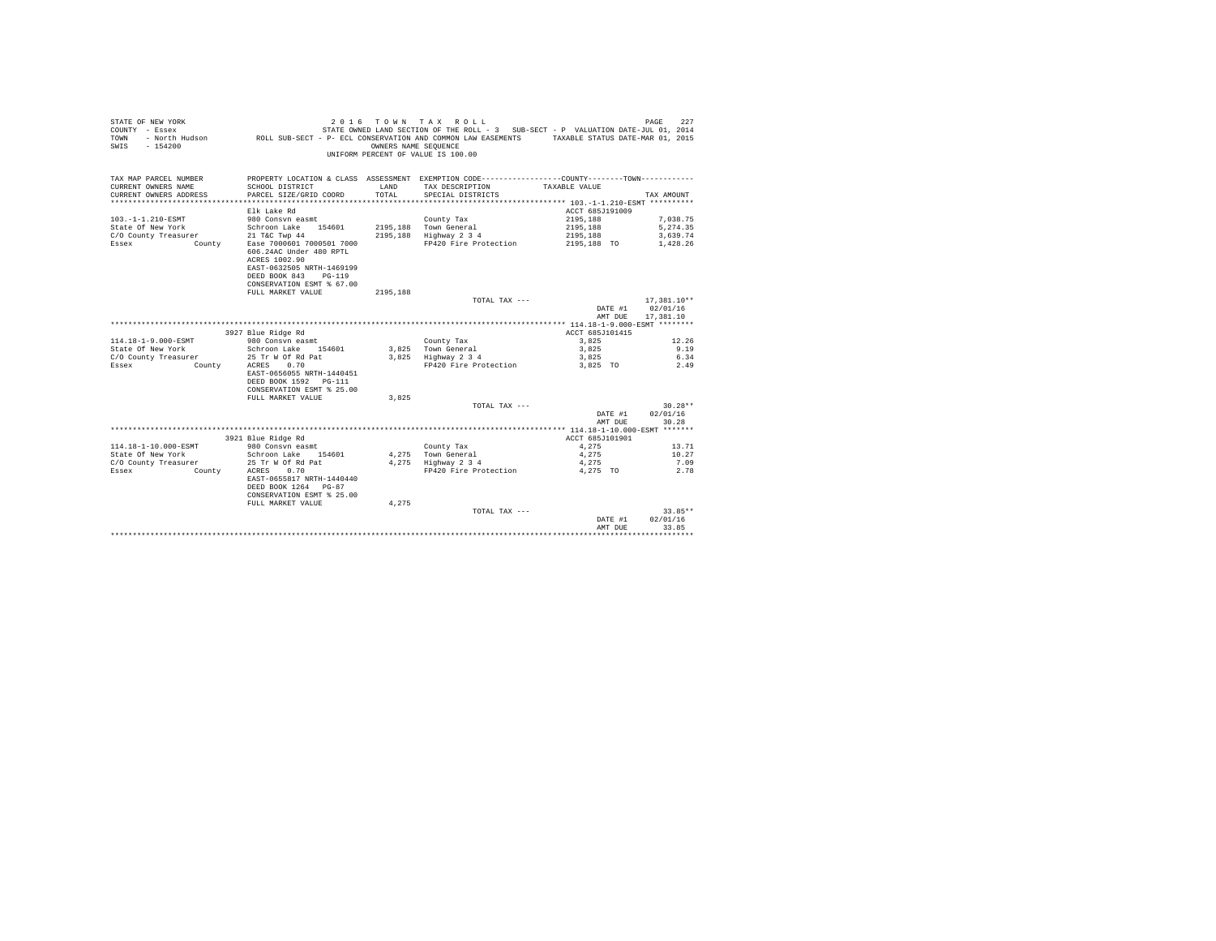| STATE OF NEW YORK<br>COUNTY - Essex<br><b>TOWN</b><br>$-154200$<br>SWIS | 2 0 1 6                                                                                                                                                 | OWNERS NAME SEOUENCE | TOWN TAX ROLL<br>STATE OWNED LAND SECTION OF THE ROLL - 3 SUB-SECT - P VALUATION DATE-JUL 01, 2014<br>- North Hudson ROLL SUB-SECT - P- ECL CONSERVATION AND COMMON LAW EASEMENTS TAXABLE STATUS DATE-MAR 01, 2015<br>UNIFORM PERCENT OF VALUE IS 100.00 |                    | 227<br>PAGE       |
|-------------------------------------------------------------------------|---------------------------------------------------------------------------------------------------------------------------------------------------------|----------------------|----------------------------------------------------------------------------------------------------------------------------------------------------------------------------------------------------------------------------------------------------------|--------------------|-------------------|
| TAX MAP PARCEL NUMBER<br>CURRENT OWNERS NAME                            | SCHOOL DISTRICT                                                                                                                                         | LAND                 | PROPERTY LOCATION & CLASS ASSESSMENT EXEMPTION CODE----------------COUNTY-------TOWN----------<br>TAX DESCRIPTION                                                                                                                                        | TAXABLE VALUE      |                   |
| CURRENT OWNERS ADDRESS                                                  | PARCEL SIZE/GRID COORD                                                                                                                                  | TOTAL                | SPECIAL DISTRICTS                                                                                                                                                                                                                                        |                    | TAX AMOUNT        |
|                                                                         |                                                                                                                                                         |                      |                                                                                                                                                                                                                                                          |                    |                   |
|                                                                         | Elk Lake Rd                                                                                                                                             |                      |                                                                                                                                                                                                                                                          | ACCT 685J191009    |                   |
| 103. -1-1.210-ESMT                                                      | 980 Consyn easmt                                                                                                                                        |                      | County Tax                                                                                                                                                                                                                                               | 2195.188           | 7.038.75          |
| State Of New York                                                       | Schroon Lake 154601                                                                                                                                     |                      | 2195.188 Town General                                                                                                                                                                                                                                    | 2195.188           | 5.274.35          |
| C/O County Treasurer                                                    | 21 T&C Twp 44                                                                                                                                           |                      | 2195,188 Highway 2 3 4                                                                                                                                                                                                                                   | 2195,188           | 3,639.74          |
| Essex<br>County                                                         | Ease 7000601 7000501 7000<br>606.24AC Under 480 RPTL<br>ACRES 1002.90<br>EAST-0632505 NRTH-1469199<br>DEED BOOK 843 PG-119<br>CONSERVATION ESMT % 67.00 |                      | FP420 Fire Protection                                                                                                                                                                                                                                    | 2195,188 TO        | 1.428.26          |
|                                                                         | FULL MARKET VALUE                                                                                                                                       | 2195.188             |                                                                                                                                                                                                                                                          |                    |                   |
|                                                                         |                                                                                                                                                         |                      | TOTAL TAX ---                                                                                                                                                                                                                                            |                    | 17.381.10**       |
|                                                                         |                                                                                                                                                         |                      |                                                                                                                                                                                                                                                          | DATE #1            | 02/01/16          |
|                                                                         |                                                                                                                                                         |                      |                                                                                                                                                                                                                                                          | AMT DUE            | 17,381.10         |
|                                                                         |                                                                                                                                                         |                      |                                                                                                                                                                                                                                                          |                    |                   |
|                                                                         | 3927 Blue Ridge Rd                                                                                                                                      |                      |                                                                                                                                                                                                                                                          | ACCT 685J101415    |                   |
| 114.18-1-9.000-ESMT                                                     | 980 Consyn easmt                                                                                                                                        |                      | County Tax                                                                                                                                                                                                                                               | 3,825              | 12.26             |
| State Of New York                                                       | Schroon Lake 154601                                                                                                                                     |                      | 3,825 Town General                                                                                                                                                                                                                                       | 3,825              | 9.19              |
| C/O County Treasurer                                                    | 25 Tr W Of Rd Pat                                                                                                                                       |                      | 3,825 Highway 2 3 4                                                                                                                                                                                                                                      | 3,825              | 6.34              |
| Essex<br>County                                                         | 0.70<br>ACRES<br>EAST-0656055 NRTH-1440451<br>DEED BOOK 1592 PG-111<br>CONSERVATION ESMT % 25.00                                                        |                      | FP420 Fire Protection                                                                                                                                                                                                                                    | 3.825 TO           | 2.49              |
|                                                                         | FULL MARKET VALUE                                                                                                                                       | 3.825                |                                                                                                                                                                                                                                                          |                    |                   |
|                                                                         |                                                                                                                                                         |                      | TOTAL TAX ---                                                                                                                                                                                                                                            |                    | $30.28**$         |
|                                                                         |                                                                                                                                                         |                      |                                                                                                                                                                                                                                                          | DATE #1            | 02/01/16          |
|                                                                         |                                                                                                                                                         |                      |                                                                                                                                                                                                                                                          | AMT DUE            | 30.28             |
|                                                                         | 3921 Blue Ridge Rd                                                                                                                                      |                      |                                                                                                                                                                                                                                                          | ACCT 685J101901    |                   |
| 114.18-1-10.000-ESMT                                                    | 980 Consyn easmt                                                                                                                                        |                      | County Tax                                                                                                                                                                                                                                               | 4.275              | 13.71             |
| State Of New York                                                       | Schroon Lake 154601                                                                                                                                     |                      | 4.275 Town General                                                                                                                                                                                                                                       | 4.275              | 10.27             |
| C/O County Treasurer                                                    | 25 Tr W Of Rd Pat                                                                                                                                       |                      | 4,275 Highway 2 3 4                                                                                                                                                                                                                                      | 4.275              | 7.09              |
| Essex<br>County                                                         | 0.70<br>ACRES<br>EAST-0655817 NRTH-1440440<br>DEED BOOK 1264 PG-87<br>CONSERVATION ESMT % 25.00                                                         |                      | FP420 Fire Protection                                                                                                                                                                                                                                    | 4.275 TO           | 2.78              |
|                                                                         | FULL MARKET VALUE                                                                                                                                       | 4.275                |                                                                                                                                                                                                                                                          |                    |                   |
|                                                                         |                                                                                                                                                         |                      | TOTAL TAX ---                                                                                                                                                                                                                                            |                    | $33.85**$         |
|                                                                         |                                                                                                                                                         |                      |                                                                                                                                                                                                                                                          | DATE #1<br>AMT DUE | 02/01/16<br>33.85 |
|                                                                         |                                                                                                                                                         |                      |                                                                                                                                                                                                                                                          |                    | ********          |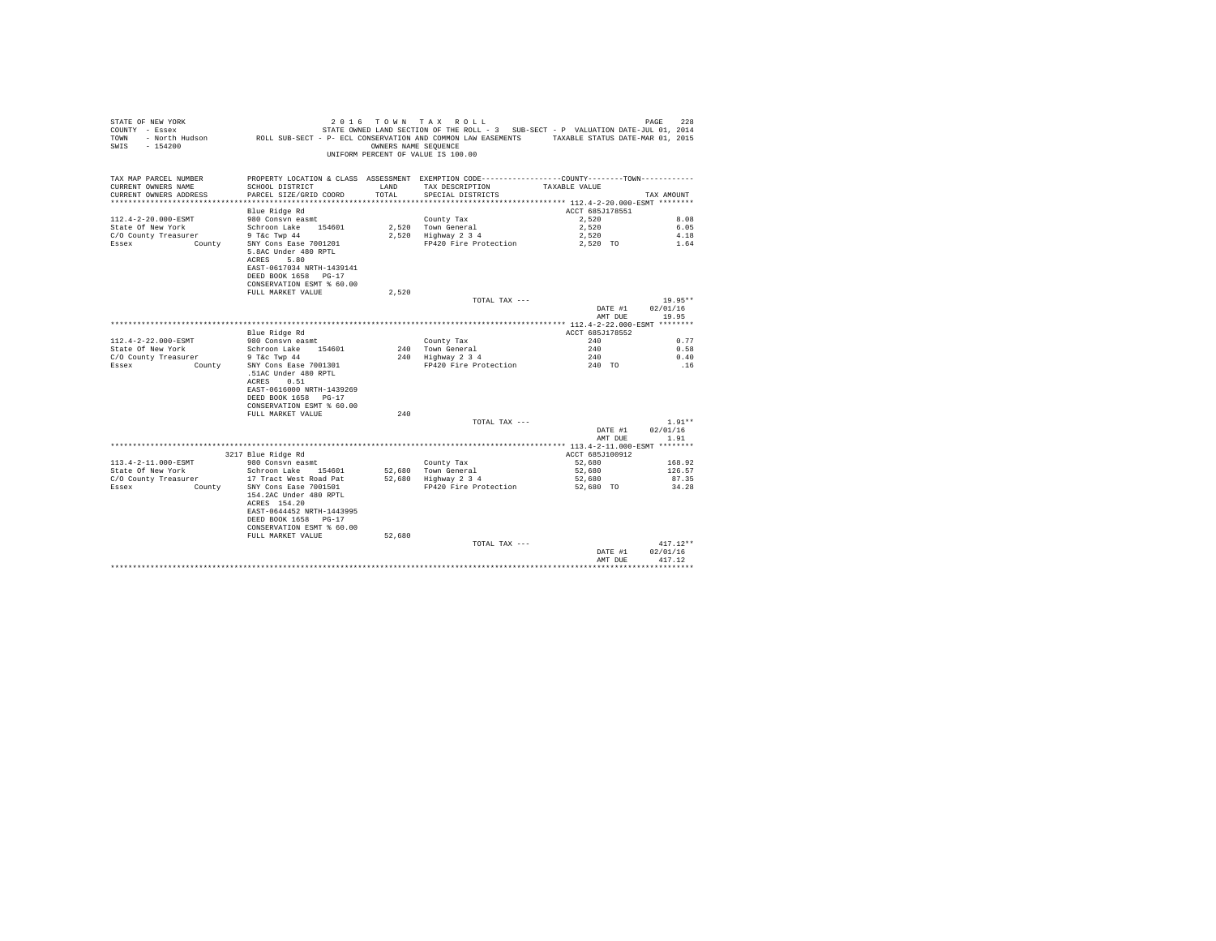| STATE OF NEW YORK<br>COUNTY - Essex<br>TOWN<br>$-154200$<br>SWIS | 2 0 1 6<br>- North Hudson ROLL SUB-SECT - P- ECL CONSERVATION AND COMMON LAW EASEMENTS TAXABLE STATUS DATE-MAR 01, 2015                           | OWNERS NAME SEQUENCE | TOWN TAX ROLL<br>STATE OWNED LAND SECTION OF THE ROLL - 3 SUB-SECT - P VALUATION DATE-JUL 01, 2014<br>UNIFORM PERCENT OF VALUE IS 100.00 |                         | 228<br>PAGE        |
|------------------------------------------------------------------|---------------------------------------------------------------------------------------------------------------------------------------------------|----------------------|------------------------------------------------------------------------------------------------------------------------------------------|-------------------------|--------------------|
| TAX MAP PARCEL NUMBER<br>CURRENT OWNERS NAME                     | SCHOOL DISTRICT                                                                                                                                   | LAND                 | PROPERTY LOCATION & CLASS ASSESSMENT EXEMPTION CODE---------------COUNTY-------TOWN----------<br>TAX DESCRIPTION                         | TAXABLE VALUE           |                    |
| CURRENT OWNERS ADDRESS                                           | PARCEL SIZE/GRID COORD                                                                                                                            | TOTAL.               | SPECIAL DISTRICTS                                                                                                                        |                         | TAX AMOUNT         |
|                                                                  |                                                                                                                                                   |                      |                                                                                                                                          |                         |                    |
|                                                                  | Blue Ridge Rd                                                                                                                                     |                      |                                                                                                                                          | ACCT 685J178551         |                    |
| 112.4-2-20.000-ESMT                                              | 980 Consyn easmt                                                                                                                                  |                      | County Tax                                                                                                                               | 2.520                   | 8.08               |
| State Of New York                                                | Schroon Lake 154601                                                                                                                               |                      | 2,520 Town General                                                                                                                       | 2,520                   | 6.05               |
| C/O County Treasurer                                             | 9 T&c Twp 44                                                                                                                                      |                      | 2.520 Highway 2 3 4                                                                                                                      | 2.520                   | 4.18               |
| Essex<br>County                                                  | SNY Cons Ease 7001201<br>5.8AC Under 480 RPTL<br>ACRES<br>5.80<br>EAST-0617034 NRTH-1439141<br>DEED BOOK 1658 PG-17<br>CONSERVATION ESMT % 60.00  |                      | FP420 Fire Protection                                                                                                                    | 2,520 TO                | 1.64               |
|                                                                  | FULL MARKET VALUE                                                                                                                                 | 2.520                |                                                                                                                                          |                         |                    |
|                                                                  |                                                                                                                                                   |                      | TOTAL TAX ---                                                                                                                            |                         | $19.95**$          |
|                                                                  |                                                                                                                                                   |                      |                                                                                                                                          | DATE #1                 | 02/01/16           |
|                                                                  |                                                                                                                                                   |                      |                                                                                                                                          | AMT DUE                 | 19.95              |
|                                                                  |                                                                                                                                                   |                      |                                                                                                                                          |                         |                    |
|                                                                  | Blue Ridge Rd                                                                                                                                     |                      |                                                                                                                                          | ACCT 685J178552<br>2.40 |                    |
| 112.4-2-22.000-ESMT<br>State Of New York                         | 980 Consvn easmt<br>Schroon Lake 154601                                                                                                           |                      | County Tax<br>240 Town General                                                                                                           | 240                     | 0.77<br>0.58       |
| C/O County Treasurer                                             | 9 T&c Twp 44                                                                                                                                      |                      | 240 Highway 2 3 4                                                                                                                        | 240                     | 0.40               |
| Essex<br>County                                                  | SNY Cons Ease 7001301                                                                                                                             |                      | FP420 Fire Protection                                                                                                                    | 240 TO                  | .16                |
|                                                                  | .51AC Under 480 RPTL<br>0.51<br>ACRES<br>EAST-0616000 NRTH-1439269<br>DEED BOOK 1658 PG-17<br>CONSERVATION ESMT % 60.00                           |                      |                                                                                                                                          |                         |                    |
|                                                                  | FULL MARKET VALUE                                                                                                                                 | 240                  |                                                                                                                                          |                         |                    |
|                                                                  |                                                                                                                                                   |                      | TOTAL TAX ---                                                                                                                            |                         | $1.91**$           |
|                                                                  |                                                                                                                                                   |                      |                                                                                                                                          | DATE #1<br>AMT DUE      | 02/01/16<br>1.91   |
|                                                                  |                                                                                                                                                   |                      |                                                                                                                                          |                         |                    |
|                                                                  | 3217 Blue Ridge Rd                                                                                                                                |                      |                                                                                                                                          | ACCT 685J100912         |                    |
| 113.4-2-11.000-ESMT                                              | 980 Consvn easmt                                                                                                                                  |                      | County Tax                                                                                                                               | 52,680                  | 168.92             |
| State Of New York                                                | Schroon Lake 154601                                                                                                                               | 52,680               | Town General                                                                                                                             | 52,680                  | 126.57             |
| C/O County Treasurer                                             | 17 Tract West Road Pat                                                                                                                            |                      | 52,680 Highway 2 3 4                                                                                                                     | 52,680                  | 87.35              |
| Essex<br>County                                                  | SNY Cons Ease 7001501<br>154.2AC Under 480 RPTL<br>ACRES 154.20<br>EAST-0644452 NRTH-1443995<br>DEED BOOK 1658 PG-17<br>CONSERVATION ESMT % 60.00 |                      | FP420 Fire Protection                                                                                                                    | 52,680 TO               | 34.28              |
|                                                                  | FULL MARKET VALUE                                                                                                                                 | 52,680               |                                                                                                                                          |                         |                    |
|                                                                  |                                                                                                                                                   |                      | TOTAL TAX ---                                                                                                                            |                         | $417.12**$         |
|                                                                  |                                                                                                                                                   |                      |                                                                                                                                          | DATE #1<br>AMT DUE      | 02/01/16<br>417.12 |
|                                                                  |                                                                                                                                                   |                      |                                                                                                                                          |                         |                    |
|                                                                  |                                                                                                                                                   |                      |                                                                                                                                          |                         |                    |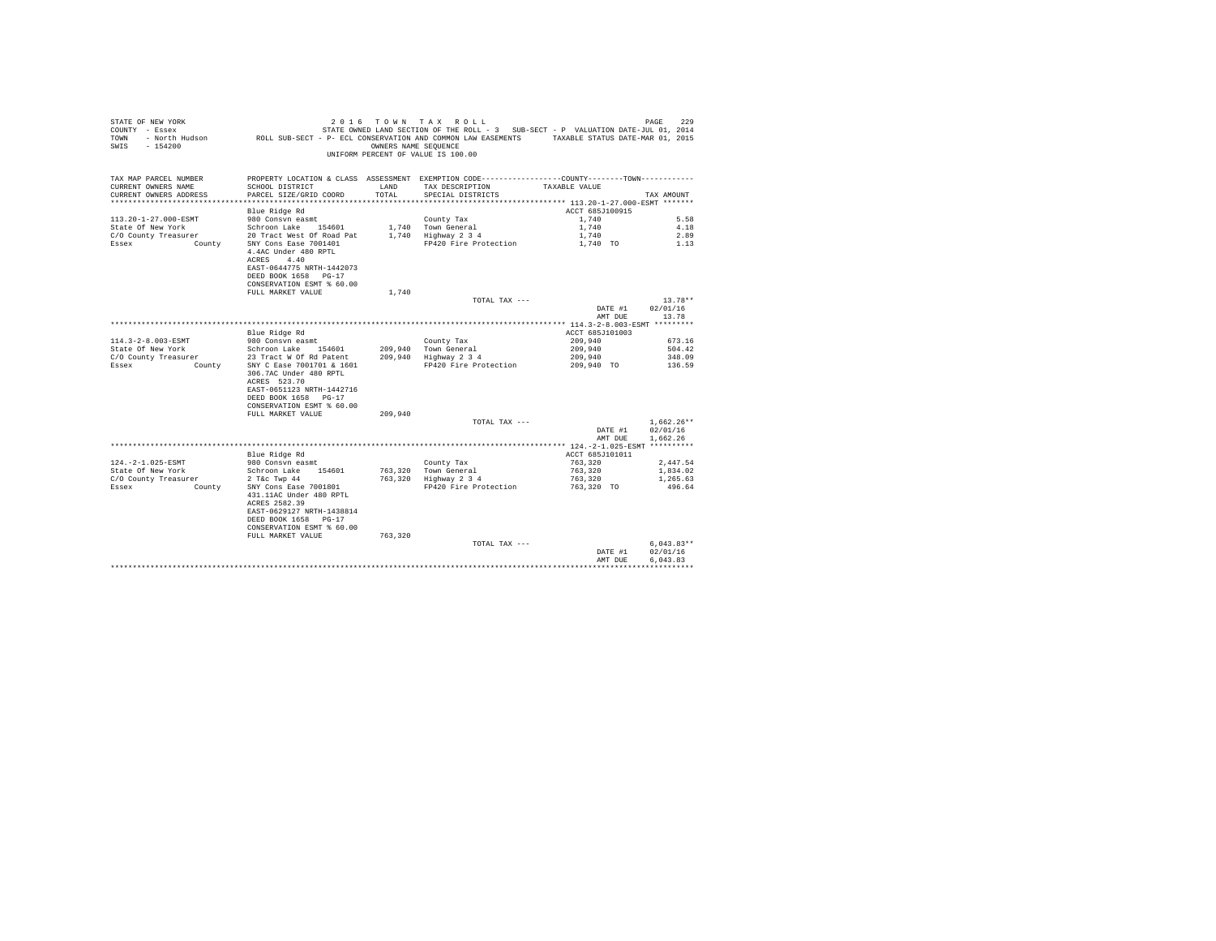| STATE OF NEW YORK<br>COUNTY - Essex<br>TOWN<br>$-154200$<br>SWIS | 2016                                                                                                                                                  | TOWN TAX<br>OWNERS NAME SEQUENCE | ROLL<br>STATE OWNED LAND SECTION OF THE ROLL - 3 SUB-SECT - P VALUATION DATE-JUL 01, 2014<br>- North Hudson ROLL SUB-SECT - P- ECL CONSERVATION AND COMMON LAW EASEMENTS TAXABLE STATUS DATE-MAR 01, 2015<br>UNIFORM PERCENT OF VALUE IS 100.00 |                 | 229<br>PAGE              |
|------------------------------------------------------------------|-------------------------------------------------------------------------------------------------------------------------------------------------------|----------------------------------|-------------------------------------------------------------------------------------------------------------------------------------------------------------------------------------------------------------------------------------------------|-----------------|--------------------------|
| TAX MAP PARCEL NUMBER                                            |                                                                                                                                                       |                                  | PROPERTY LOCATION & CLASS ASSESSMENT EXEMPTION CODE---------------COUNTY-------TOWN----------                                                                                                                                                   |                 |                          |
| CURRENT OWNERS NAME<br>CURRENT OWNERS ADDRESS                    | SCHOOL DISTRICT<br>PARCEL SIZE/GRID COORD                                                                                                             | LAND<br>TOTAL                    | TAX DESCRIPTION<br>SPECIAL DISTRICTS                                                                                                                                                                                                            | TAXABLE VALUE   | TAX AMOUNT               |
|                                                                  |                                                                                                                                                       |                                  |                                                                                                                                                                                                                                                 |                 |                          |
|                                                                  | Blue Ridge Rd                                                                                                                                         |                                  |                                                                                                                                                                                                                                                 | ACCT 685J100915 |                          |
| 113.20-1-27.000-ESMT                                             | 980 Consyn easmt                                                                                                                                      |                                  | County Tax                                                                                                                                                                                                                                      | 1,740           | 5.58                     |
| State Of New York                                                | Schroon Lake 154601                                                                                                                                   |                                  | 1,740 Town General                                                                                                                                                                                                                              | 1,740           | 4.18                     |
| C/O County Treasurer                                             | 20 Tract West Of Road Pat                                                                                                                             |                                  | 1,740 Highway 2 3 4                                                                                                                                                                                                                             | 1,740           | 2.89                     |
| Essex<br>County                                                  | SNY Cons Ease 7001401<br>4.4AC Under 480 RPTL<br>4.40<br>ACRES<br>EAST-0644775 NRTH-1442073<br>DEED BOOK 1658 PG-17<br>CONSERVATION ESMT % 60.00      |                                  | FP420 Fire Protection                                                                                                                                                                                                                           | 1,740 TO        | 1.13                     |
|                                                                  | FULL MARKET VALUE                                                                                                                                     | 1,740                            |                                                                                                                                                                                                                                                 |                 |                          |
|                                                                  |                                                                                                                                                       |                                  | TOTAL TAX ---                                                                                                                                                                                                                                   |                 | $13.78**$                |
|                                                                  |                                                                                                                                                       |                                  |                                                                                                                                                                                                                                                 | DATE #1         | 02/01/16                 |
|                                                                  |                                                                                                                                                       |                                  |                                                                                                                                                                                                                                                 | AMT DUE         | 13.78                    |
|                                                                  | Blue Ridge Rd                                                                                                                                         |                                  |                                                                                                                                                                                                                                                 | ACCT 685J101003 |                          |
| 114.3-2-8.003-ESMT                                               | 980 Consvn easmt                                                                                                                                      |                                  | County Tax                                                                                                                                                                                                                                      | 209,940         | 673.16                   |
| State Of New York                                                | Schroon Lake 154601                                                                                                                                   | 209,940                          | Town General                                                                                                                                                                                                                                    | 209,940         | 504.42                   |
| C/O County Treasurer                                             | 23 Tract W Of Rd Patent                                                                                                                               | 209,940                          | Highway 2 3 4                                                                                                                                                                                                                                   | 209,940         | 348.09                   |
| County<br>Essex                                                  | SNY C Ease 7001701 & 1601<br>306.7AC Under 480 RPTL<br>ACRES 523.70<br>EAST-0651123 NRTH-1442716<br>DEED BOOK 1658 PG-17<br>CONSERVATION ESMT % 60.00 |                                  | FP420 Fire Protection                                                                                                                                                                                                                           | 209,940 TO      | 136.59                   |
|                                                                  | FULL MARKET VALUE                                                                                                                                     | 209,940                          | TOTAL TAX ---                                                                                                                                                                                                                                   |                 | $1.662.26**$             |
|                                                                  |                                                                                                                                                       |                                  |                                                                                                                                                                                                                                                 | DATE #1         | 02/01/16                 |
|                                                                  |                                                                                                                                                       |                                  |                                                                                                                                                                                                                                                 | AMT DUE         | 1,662.26                 |
|                                                                  |                                                                                                                                                       |                                  |                                                                                                                                                                                                                                                 |                 |                          |
|                                                                  | Blue Ridge Rd                                                                                                                                         |                                  |                                                                                                                                                                                                                                                 | ACCT 685J101011 |                          |
| 124. - 2-1.025-ESMT                                              | 980 Consvn easmt                                                                                                                                      |                                  | County Tax                                                                                                                                                                                                                                      | 763,320         | 2,447.54                 |
| State Of New York                                                | Schroon Lake 154601                                                                                                                                   | 763,320                          | Town General                                                                                                                                                                                                                                    | 763,320         | 1,834.02                 |
| C/O County Treasurer                                             | 2 T&c Twp 44                                                                                                                                          | 763,320                          | Highway 2 3 4                                                                                                                                                                                                                                   | 763,320         | 1,265.63                 |
| Essex<br>County                                                  | SNY Cons Ease 7001801<br>431.11AC Under 480 RPTL<br>ACRES 2582.39<br>EAST-0629127 NRTH-1438814<br>DEED BOOK 1658 PG-17<br>CONSERVATION ESMT % 60.00   |                                  | FP420 Fire Protection                                                                                                                                                                                                                           | 763,320 TO      | 496.64                   |
|                                                                  | FULL MARKET VALUE                                                                                                                                     | 763,320                          |                                                                                                                                                                                                                                                 |                 |                          |
|                                                                  |                                                                                                                                                       |                                  | TOTAL TAX ---                                                                                                                                                                                                                                   | DATE #1         | $6,043.83**$<br>02/01/16 |
|                                                                  |                                                                                                                                                       |                                  |                                                                                                                                                                                                                                                 | AMT DUE         | 6,043.83                 |
|                                                                  |                                                                                                                                                       |                                  |                                                                                                                                                                                                                                                 |                 |                          |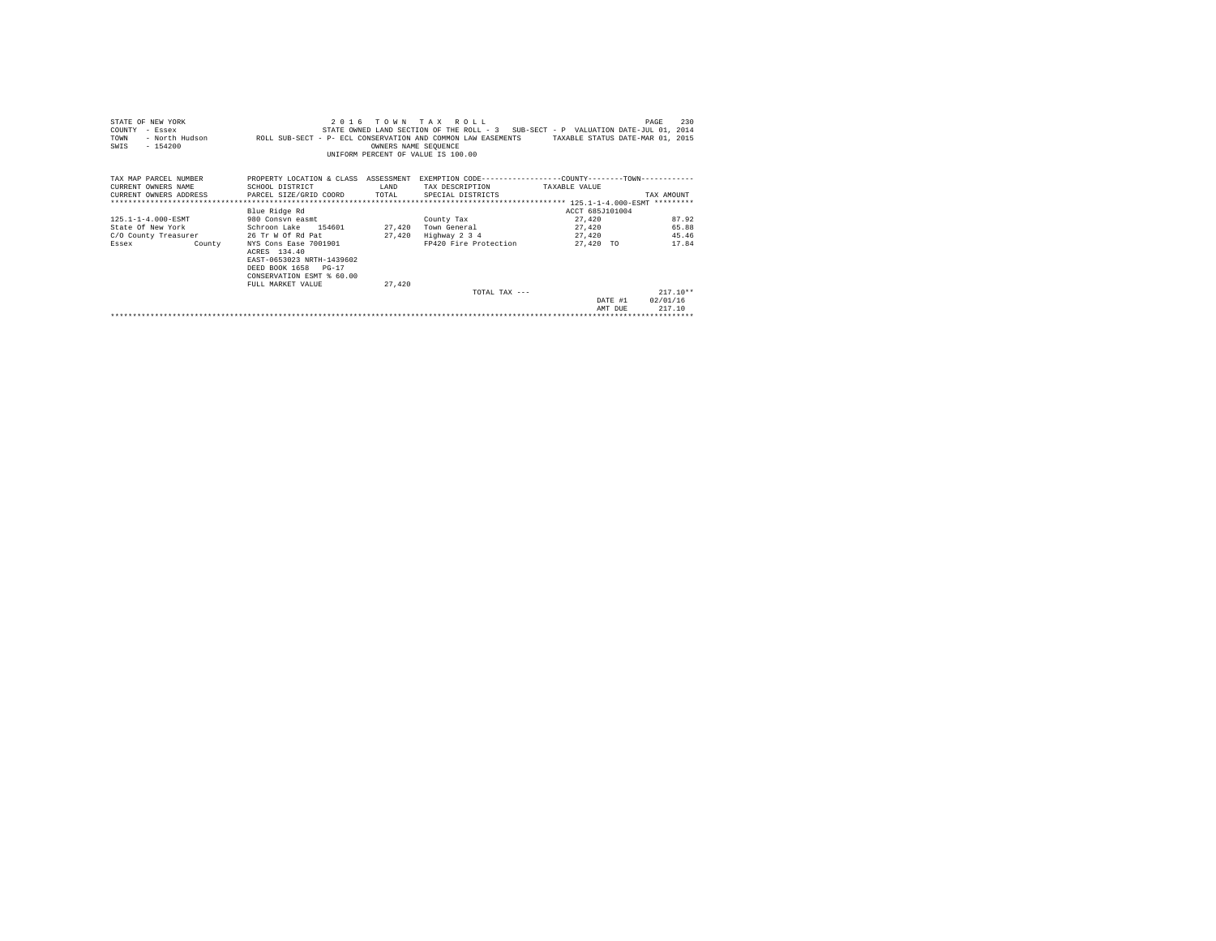| STATE OF NEW YORK<br>COUNTY<br>- Essex<br>TOWN<br>$-154200$<br>SWIS | 2016<br>- North Hudson ROLL SUB-SECT - P- ECL CONSERVATION AND COMMON LAW EASEMENTS TAXABLE STATUS DATE-MAR 01, 2015    | OWNERS NAME SEQUENCE | TOWN TAX ROLL<br>STATE OWNED LAND SECTION OF THE ROLL - 3 SUB-SECT - P VALUATION DATE-JUL 01, 2014<br>UNIFORM PERCENT OF VALUE IS 100.00 |                 | 230<br>PAGE |
|---------------------------------------------------------------------|-------------------------------------------------------------------------------------------------------------------------|----------------------|------------------------------------------------------------------------------------------------------------------------------------------|-----------------|-------------|
| TAX MAP PARCEL NUMBER<br>CURRENT OWNERS NAME                        | PROPERTY LOCATION & CLASS ASSESSMENT EXEMPTION CODE---------------COUNTY-------TOWN---------                            | T.AND                |                                                                                                                                          |                 |             |
| CURRENT OWNERS ADDRESS PARCEL SIZE/GRID COORD                       | SCHOOL DISTRICT                                                                                                         | TOTAL                | TAX DESCRIPTION TAXABLE VALUE<br>SPECIAL DISTRICTS                                                                                       |                 | TAX AMOUNT  |
|                                                                     |                                                                                                                         |                      |                                                                                                                                          |                 |             |
|                                                                     | Blue Ridge Rd                                                                                                           |                      |                                                                                                                                          | ACCT 685J101004 |             |
| 125.1-1-4.000-ESMT                                                  | 980 Consyn easmt                                                                                                        |                      | County Tax                                                                                                                               | 27.420          | 87.92       |
| State Of New York                                                   | Schroon Lake 154601                                                                                                     | 27,420               | Town General                                                                                                                             | 27.420          | 65.88       |
| C/O County Treasurer                                                | 26 Tr W Of Rd Pat                                                                                                       | 27.420               | Highway 2 3 4                                                                                                                            | 27.420          | 45.46       |
| County<br>Essex                                                     | NYS Cons Ease 7001901<br>ACRES 134.40<br>EAST-0653023 NRTH-1439602<br>DEED BOOK 1658 PG-17<br>CONSERVATION ESMT % 60.00 |                      | FP420 Fire Protection                                                                                                                    | 27.420 TO       | 17.84       |
|                                                                     | FULL MARKET VALUE                                                                                                       | 27,420               |                                                                                                                                          |                 |             |
|                                                                     |                                                                                                                         |                      | TOTAL TAX $---$                                                                                                                          |                 | $217.10**$  |
|                                                                     |                                                                                                                         |                      |                                                                                                                                          | DATE #1         | 02/01/16    |
|                                                                     |                                                                                                                         |                      |                                                                                                                                          | AMT DUR         | 217.10      |
|                                                                     |                                                                                                                         |                      |                                                                                                                                          |                 |             |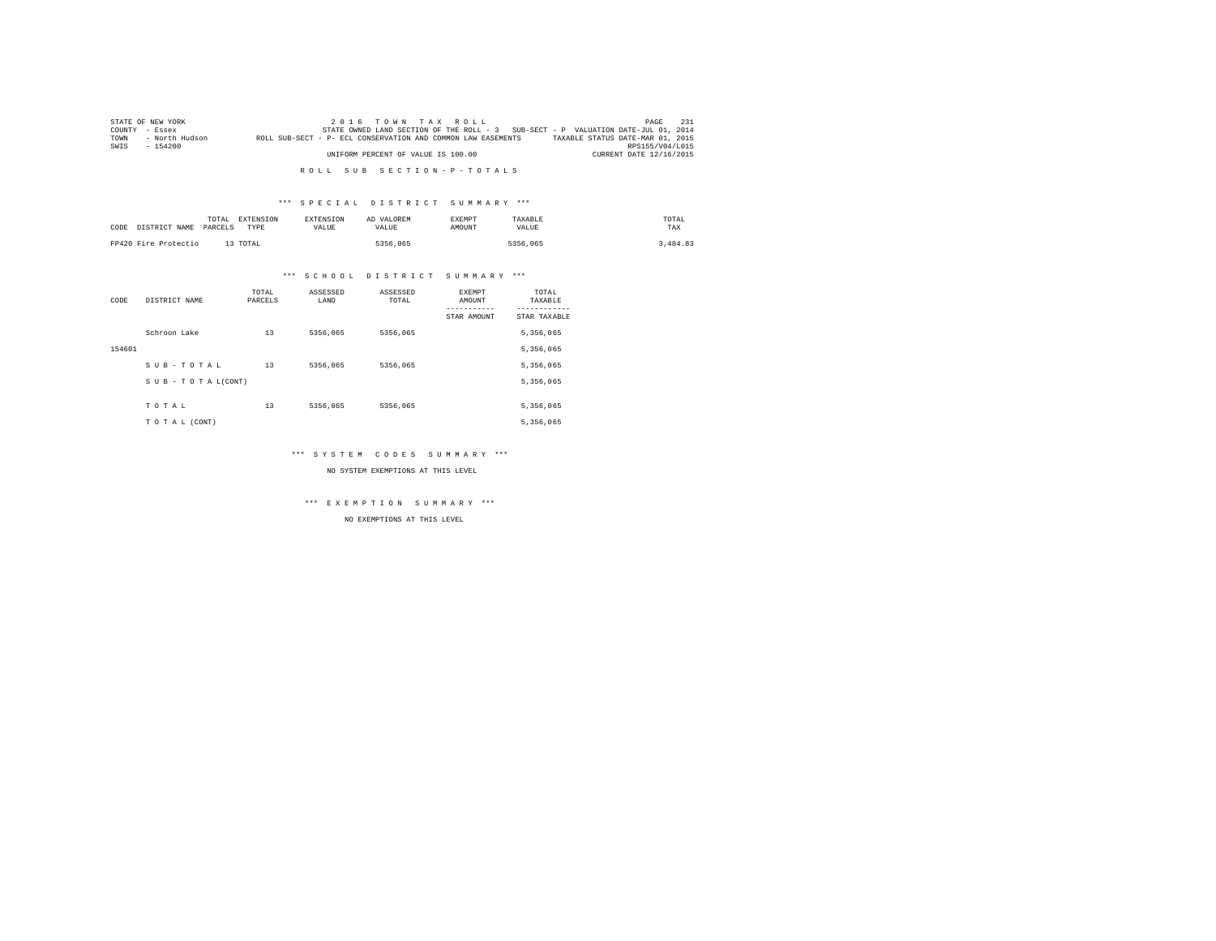|        | STATE OF NEW YORK |                                                              | $2.0.16$ TOWN TAX ROLL             |  |  |  |  |                                                                                   | PAGE                    | 231 |
|--------|-------------------|--------------------------------------------------------------|------------------------------------|--|--|--|--|-----------------------------------------------------------------------------------|-------------------------|-----|
| COUNTY | - Essex           |                                                              |                                    |  |  |  |  | STATE OWNED LAND SECTION OF THE ROLL - 3 SUB-SECT - P VALUATION DATE-JUL 01, 2014 |                         |     |
| TOWN   | - North Hudson    | ROLL SUB-SECT - P- ECL CONSERVATION AND COMMON LAW EASEMENTS |                                    |  |  |  |  | TAXABLE STATUS DATE-MAR 01, 2015                                                  |                         |     |
| SWIS   | $-154200$         |                                                              |                                    |  |  |  |  |                                                                                   | RPS155/V04/L015         |     |
|        |                   |                                                              | UNIFORM PERCENT OF VALUE IS 100.00 |  |  |  |  |                                                                                   | CURRENT DATE 12/16/2015 |     |

### \*\*\* S P E C I A L D I S T R I C T S U M M A R Y \*\*\*

| CODE | DISTRICT NAME        | TOTAL<br><b>EXTENSION</b><br>PARCELS<br>TYPE | <b>EXTENSION</b><br>VALUE | AD VALOREM<br>VALUE | <b>EXEMPT</b><br>AMOUNT | TAXABLE<br>VALUE | TOTAL<br>TAX |
|------|----------------------|----------------------------------------------|---------------------------|---------------------|-------------------------|------------------|--------------|
|      | FP420 Fire Protectio | 13 TOTAL                                     |                           | 5356,065            |                         | 5356,065         | 3,484.83     |

### \*\*\* S C H O O L D I S T R I C T S U M M A R Y \*\*\*

| CODE   | DISTRICT NAME      | TOTAL<br>PARCELS | ASSESSED<br>LAND | ASSESSED<br>TOTAL | <b>EXEMPT</b><br>AMOUNT | TOTAL<br>TAXABLE |
|--------|--------------------|------------------|------------------|-------------------|-------------------------|------------------|
|        |                    |                  |                  |                   | STAR AMOUNT             | STAR TAXABLE     |
|        | Schroon Lake       | 13               | 5356,065         | 5356,065          |                         | 5,356,065        |
| 154601 |                    |                  |                  |                   |                         | 5,356,065        |
|        | SUB-TOTAL          | 13               | 5356,065         | 5356.065          |                         | 5,356,065        |
|        | SUB - TO TAL(CONT) |                  |                  |                   |                         | 5,356,065        |
|        |                    |                  |                  |                   |                         |                  |
|        | TOTAL              | 13               | 5356,065         | 5356.065          |                         | 5,356,065        |
|        | TO TAL (CONT)      |                  |                  |                   |                         | 5,356,065        |

### \*\*\* S Y S T E M C O D E S S U M M A R Y \*\*\*

NO SYSTEM EXEMPTIONS AT THIS LEVEL

\*\*\* E X E M P T I O N S U M M A R Y \*\*\*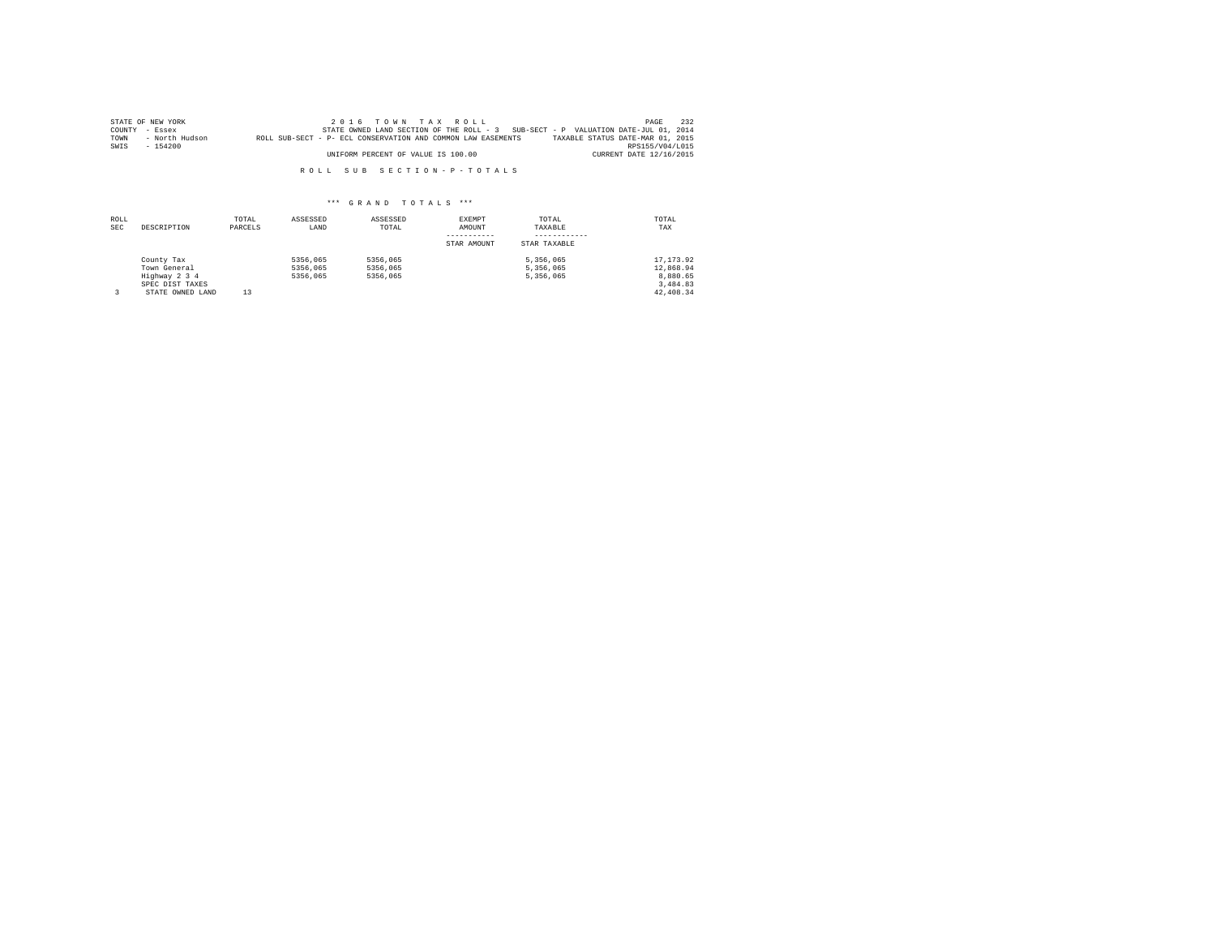|      | STATE OF NEW YORK | 2016 TOWN TAX ROLL                                                                | PAGE                             | 232 |
|------|-------------------|-----------------------------------------------------------------------------------|----------------------------------|-----|
|      | COUNTY - Essex    | STATE OWNED LAND SECTION OF THE ROLL - 3 SUB-SECT - P VALUATION DATE-JUL 01, 2014 |                                  |     |
| TOWN | - North Hudson    | ROLL SUB-SECT - P- ECL CONSERVATION AND COMMON LAW EASEMENTS                      | TAXABLE STATUS DATE-MAR 01, 2015 |     |
| SWIS | $-154200$         |                                                                                   | RPS155/V04/L015                  |     |
|      |                   | UNIFORM PERCENT OF VALUE IS 100.00                                                | CURRENT DATE 12/16/2015          |     |

| ROLL<br><b>SEC</b> | DESCRIPTION                                                                        | TOTAL<br>PARCELS | ASSESSED<br>LAND                 | ASSESSED<br>TOTAL                | EXEMPT<br>AMOUNT<br>STAR AMOUNT | TOTAL<br>TAXABLE<br>STAR TAXABLE    | TOTAL<br>TAX                                                |
|--------------------|------------------------------------------------------------------------------------|------------------|----------------------------------|----------------------------------|---------------------------------|-------------------------------------|-------------------------------------------------------------|
|                    | County Tax<br>Town General<br>Highway 2 3 4<br>SPEC DIST TAXES<br>STATE OWNED LAND | 13               | 5356,065<br>5356,065<br>5356,065 | 5356,065<br>5356,065<br>5356,065 |                                 | 5.356.065<br>5.356.065<br>5.356.065 | 17.173.92<br>12,868.94<br>8.880.65<br>3,484.83<br>42.408.34 |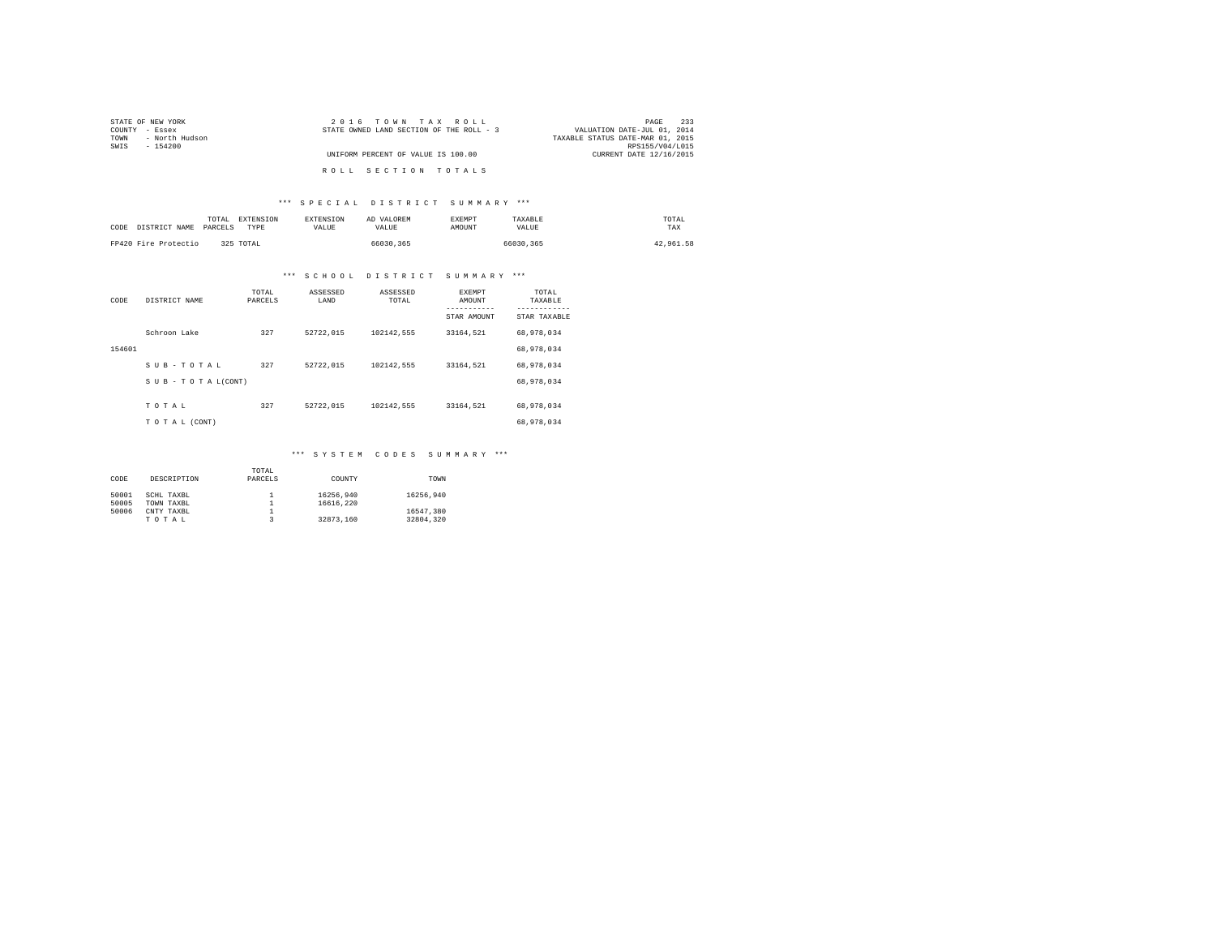| STATE OF NEW YORK      | 2016 TOWN TAX ROLL                       | 233<br>PAGE                      |
|------------------------|------------------------------------------|----------------------------------|
| COUNTY - Essex         | STATE OWNED LAND SECTION OF THE ROLL - 3 | VALUATION DATE-JUL 01, 2014      |
| - North Hudson<br>TOWN |                                          | TAXABLE STATUS DATE-MAR 01, 2015 |
| SWIS<br>$-154200$      |                                          | RPS155/V04/L015                  |
|                        | UNIFORM PERCENT OF VALUE IS 100.00       | CURRENT DATE 12/16/2015          |
|                        |                                          |                                  |
|                        | ROLL SECTION TOTALS                      |                                  |

### \*\*\* S P E C I A L D I S T R I C T S U M M A R Y \*\*\*

| CODE DISTRICT NAME   | EXTENSION<br>TOTAL<br>PARCELS<br><b>TYPE</b> | <b>EXTENSION</b><br><b>VALUE</b> | AD VALOREM<br><b>VALUE</b> | <b>EXEMPT</b><br>AMOUNT | TAXABLE<br>VALUE | TOTAL<br>TAX |
|----------------------|----------------------------------------------|----------------------------------|----------------------------|-------------------------|------------------|--------------|
| FP420 Fire Protectio | 325 TOTAL                                    |                                  | 66030.365                  |                         | 66030.365        | 42.961.58    |

# \*\*\* S C H O O L D I S T R I C T S U M M A R Y \*\*\*

| CODE   | DISTRICT NAME   | TOTAL<br>PARCELS | ASSESSED<br>LAND | ASSESSED<br>TOTAL | <b>EXEMPT</b><br>AMOUNT | TOTAL<br>TAXABLE          |
|--------|-----------------|------------------|------------------|-------------------|-------------------------|---------------------------|
|        |                 |                  |                  |                   | STAR AMOUNT             | ---------<br>STAR TAXABLE |
|        | Schroon Lake    | 327              | 52722.015        | 102142.555        | 33164,521               | 68,978,034                |
| 154601 |                 |                  |                  |                   |                         | 68,978,034                |
|        | SUB-TOTAL       | 327              | 52722.015        | 102142.555        | 33164.521               | 68,978,034                |
|        | SUB-TOTAL(CONT) |                  |                  |                   |                         | 68,978,034                |
|        | TOTAL           | 327              | 52722.015        | 102142.555        | 33164.521               | 68,978,034                |
|        | TO TAL (CONT)   |                  |                  |                   |                         | 68,978,034                |

### \*\*\* S Y S T E M C O D E S S U M M A R Y \*\*\*

|       |             | TOTAL   |           |           |
|-------|-------------|---------|-----------|-----------|
| CODE  | DESCRIPTION | PARCELS | COUNTY    | TOWN      |
|       |             |         |           |           |
| 50001 | SCHL TAXBL  |         | 16256.940 | 16256.940 |
| 50005 | TOWN TAXBL  |         | 16616,220 |           |
| 50006 | CNTY TAXBL  |         |           | 16547.380 |
|       | TOTAL       |         | 32873.160 | 32804.320 |
|       |             |         |           |           |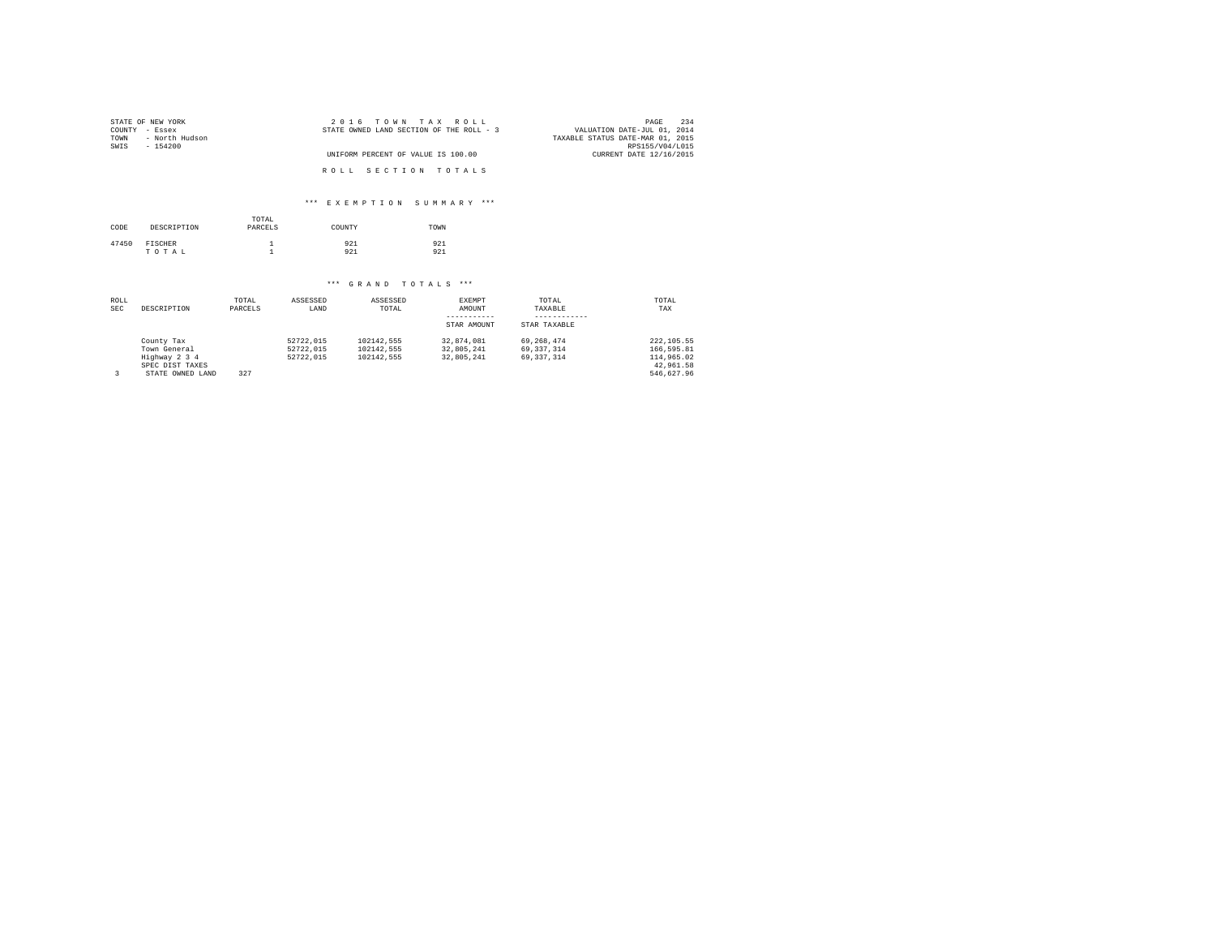| STATE OF NEW YORK      | 2016 TOWN TAX ROLL                       | 234<br>PAGE                      |
|------------------------|------------------------------------------|----------------------------------|
| COUNTY - Essex         | STATE OWNED LAND SECTION OF THE ROLL - 3 | VALUATION DATE-JUL 01, 2014      |
| TOWN<br>- North Hudson |                                          | TAXABLE STATUS DATE-MAR 01, 2015 |
| SWIS<br>$-154200$      |                                          | RPS155/V04/L015                  |
|                        | UNIFORM PERCENT OF VALUE IS 100.00       | CURRENT DATE 12/16/2015          |
|                        | ROLL SECTION TOTALS                      |                                  |

### \*\*\* E X E M P T I O N S U M M A R Y \*\*\*

| CODE  | DESCRIPTION             | TOTAL<br>PARCELS | COUNTY     | TOWN       |
|-------|-------------------------|------------------|------------|------------|
| 47450 | <b>FISCHER</b><br>TOTAL | <b>.</b>         | 921<br>921 | 921<br>921 |

| ROLL       |                  | TOTAL   | ASSESSED  | ASSESSED   | <b>EXEMPT</b> | TOTAL        | TOTAL       |
|------------|------------------|---------|-----------|------------|---------------|--------------|-------------|
| <b>SEC</b> | DESCRIPTION      | PARCELS | LAND      | TOTAL      | AMOUNT        | TAXABLE      | TAX         |
|            |                  |         |           |            |               |              |             |
|            |                  |         |           |            | STAR AMOUNT   | STAR TAXABLE |             |
|            | County Tax       |         | 52722.015 | 102142.555 | 32.874.081    | 69.268.474   | 222, 105.55 |
|            | Town General     |         | 52722.015 | 102142.555 | 32.805.241    | 69.337.314   | 166.595.81  |
|            | Highway 2 3 4    |         | 52722.015 | 102142.555 | 32.805.241    | 69.337.314   | 114,965.02  |
|            | SPEC DIST TAXES  |         |           |            |               |              | 42.961.58   |
|            | STATE OWNED LAND | 327     |           |            |               |              | 546.627.96  |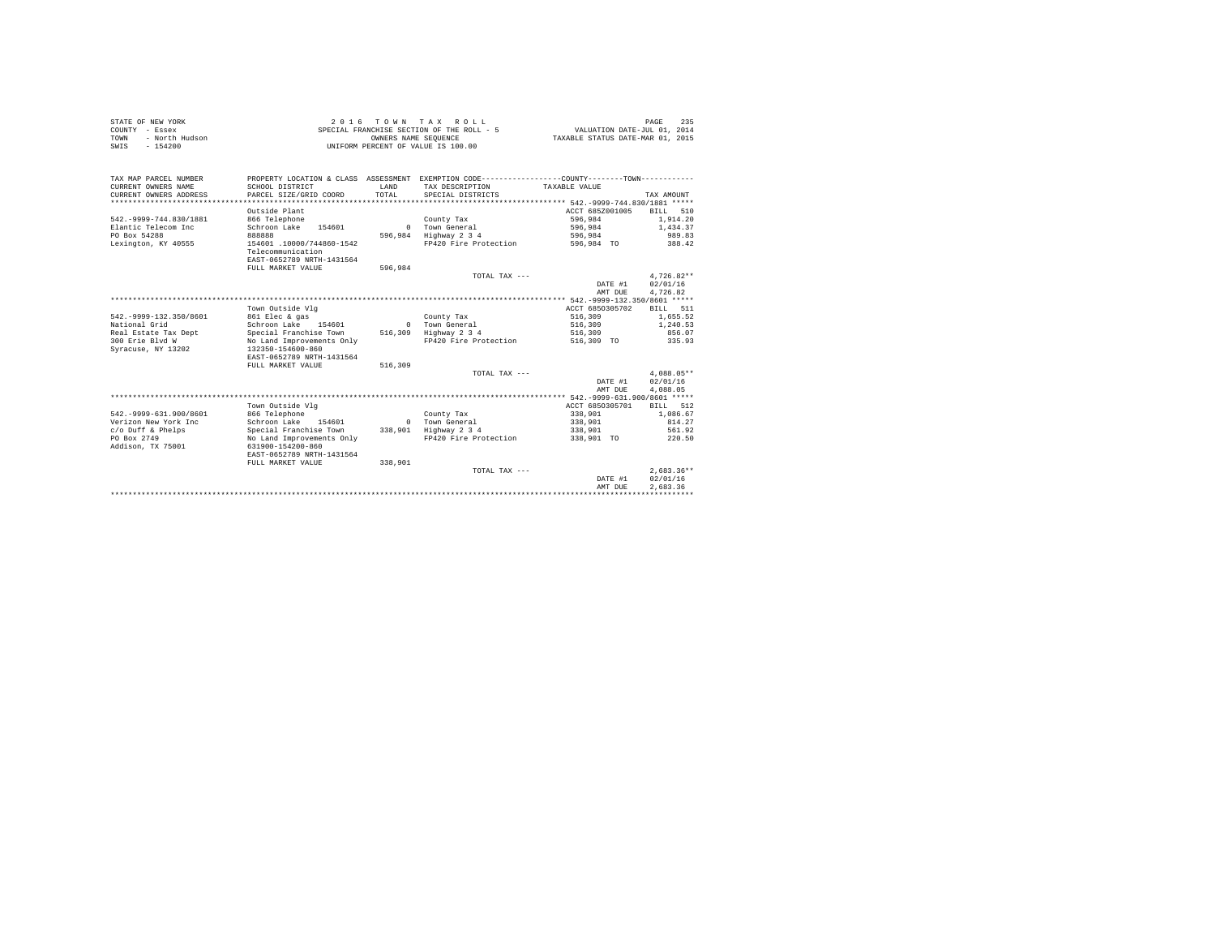|      | STATE OF NEW YORK | 2016 TOWN TAX ROLL                        | 235<br>PAGE                      |
|------|-------------------|-------------------------------------------|----------------------------------|
|      | COUNTY - Essex    | SPECIAL FRANCHISE SECTION OF THE ROLL - 5 | VALUATION DATE-JUL 01, 2014      |
| TOWN | - North Hudson    | OWNERS NAME SEOUENCE                      | TAXABLE STATUS DATE-MAR 01, 2015 |
| SWIS | $-154200$         | UNIFORM PERCENT OF VALUE IS 100.00        |                                  |

| TAX MAP PARCEL NUMBER<br>CURRENT OWNERS NAME<br>CURRENT OWNERS ADDRESS | SCHOOL DISTRICT<br>PARCEL SIZE/GRID COORD      | <b>T.AND</b><br>TOTAL | PROPERTY LOCATION & CLASS ASSESSMENT EXEMPTION CODE---------------COUNTY-------TOWN----------<br>TAX DESCRIPTION<br>SPECIAL DISTRICTS | TAXABLE VALUE                                    | TAX AMOUNT           |
|------------------------------------------------------------------------|------------------------------------------------|-----------------------|---------------------------------------------------------------------------------------------------------------------------------------|--------------------------------------------------|----------------------|
| *******************                                                    |                                                |                       |                                                                                                                                       | *********** 542.-9999-744.830/1881 *****         |                      |
|                                                                        | Outside Plant                                  |                       |                                                                                                                                       | ACCT 685Z001005                                  | 510<br><b>BILL</b>   |
| 542. - 9999-744.830/1881                                               | 866 Telephone                                  |                       | County Tax                                                                                                                            | 596.984                                          | 1,914.20             |
| Elantic Telecom Inc                                                    | Schroon Lake<br>154601                         | $\Omega$              | Town General                                                                                                                          | 596,984                                          | 1,434.37             |
| PO Box 54288                                                           | 888888                                         | 596,984               | Highway 2 3 4                                                                                                                         | 596,984                                          | 989.83               |
| Lexington, KY 40555                                                    | 154601 .10000/744860-1542<br>Telecommunication |                       | FP420 Fire Protection                                                                                                                 | 596,984 TO                                       | 388.42               |
|                                                                        | EAST-0652789 NRTH-1431564                      |                       |                                                                                                                                       |                                                  |                      |
|                                                                        | FULL MARKET VALUE                              | 596.984               |                                                                                                                                       |                                                  |                      |
|                                                                        |                                                |                       | TOTAL TAX ---                                                                                                                         |                                                  | $4.726.82**$         |
|                                                                        |                                                |                       |                                                                                                                                       | DATE #1                                          | 02/01/16<br>4.726.82 |
|                                                                        |                                                |                       |                                                                                                                                       | AMT DUE<br>******** 542.-9999-132.350/8601 ***** |                      |
|                                                                        | Town Outside Vlg                               |                       |                                                                                                                                       | ACCT 6850305702                                  | <b>BILL</b><br>511   |
| 542. - 9999-132.350/8601                                               | 861 Elec & gas                                 |                       | County Tax                                                                                                                            | 516,309                                          | 1.655.52             |
| National Grid                                                          | Schroon Lake 154601                            | $\Omega$              | Town General                                                                                                                          | 516,309                                          | 1,240.53             |
| Real Estate Tax Dept                                                   | Special Franchise Town                         | 516,309               | Highway 2 3 4                                                                                                                         | 516,309                                          | 856.07               |
| 300 Erie Blvd W                                                        | No Land Improvements Only                      |                       | FP420 Fire Protection                                                                                                                 | 516,309 TO                                       | 335.93               |
| Syracuse, NY 13202                                                     | 132350-154600-860                              |                       |                                                                                                                                       |                                                  |                      |
|                                                                        | EAST-0652789 NRTH-1431564                      |                       |                                                                                                                                       |                                                  |                      |
|                                                                        | FULL MARKET VALUE                              | 516,309               |                                                                                                                                       |                                                  |                      |
|                                                                        |                                                |                       | TOTAL TAX ---                                                                                                                         |                                                  | $4.088.05**$         |
|                                                                        |                                                |                       |                                                                                                                                       | DATE #1                                          | 02/01/16             |
|                                                                        |                                                |                       |                                                                                                                                       | AMT DUE                                          | 4.088.05             |
|                                                                        |                                                |                       |                                                                                                                                       | ************** 542.-9999-631.900/8601 *****      |                      |
|                                                                        | Town Outside Vlg                               |                       |                                                                                                                                       | ACCT 6850305701                                  | 512<br><b>BILL</b>   |
| 542. - 9999-631.900/8601                                               | 866 Telephone                                  |                       | County Tax                                                                                                                            | 338,901                                          | 1,086.67             |
| Verizon New York Inc                                                   | Schroon Lake<br>154601                         | $\Omega$              | Town General                                                                                                                          | 338,901                                          | 814.27               |
| c/o Duff & Phelps                                                      | Special Franchise Town                         | 338,901               | Highway 2 3 4                                                                                                                         | 338,901                                          | 561.92               |
| PO Box 2749                                                            | No Land Improvements Only                      |                       | FP420 Fire Protection                                                                                                                 | 338,901 TO                                       | 220.50               |
| Addison, TX 75001                                                      | 631900-154200-860                              |                       |                                                                                                                                       |                                                  |                      |
|                                                                        | EAST-0652789 NRTH-1431564                      |                       |                                                                                                                                       |                                                  |                      |
|                                                                        | FULL MARKET VALUE                              | 338,901               |                                                                                                                                       |                                                  |                      |
|                                                                        |                                                |                       | TOTAL TAX ---                                                                                                                         |                                                  | $2.683.36**$         |
|                                                                        |                                                |                       |                                                                                                                                       | DATE #1                                          | 02/01/16             |
|                                                                        |                                                |                       |                                                                                                                                       | AMT DUE                                          | 2.683.36             |
|                                                                        |                                                |                       |                                                                                                                                       |                                                  |                      |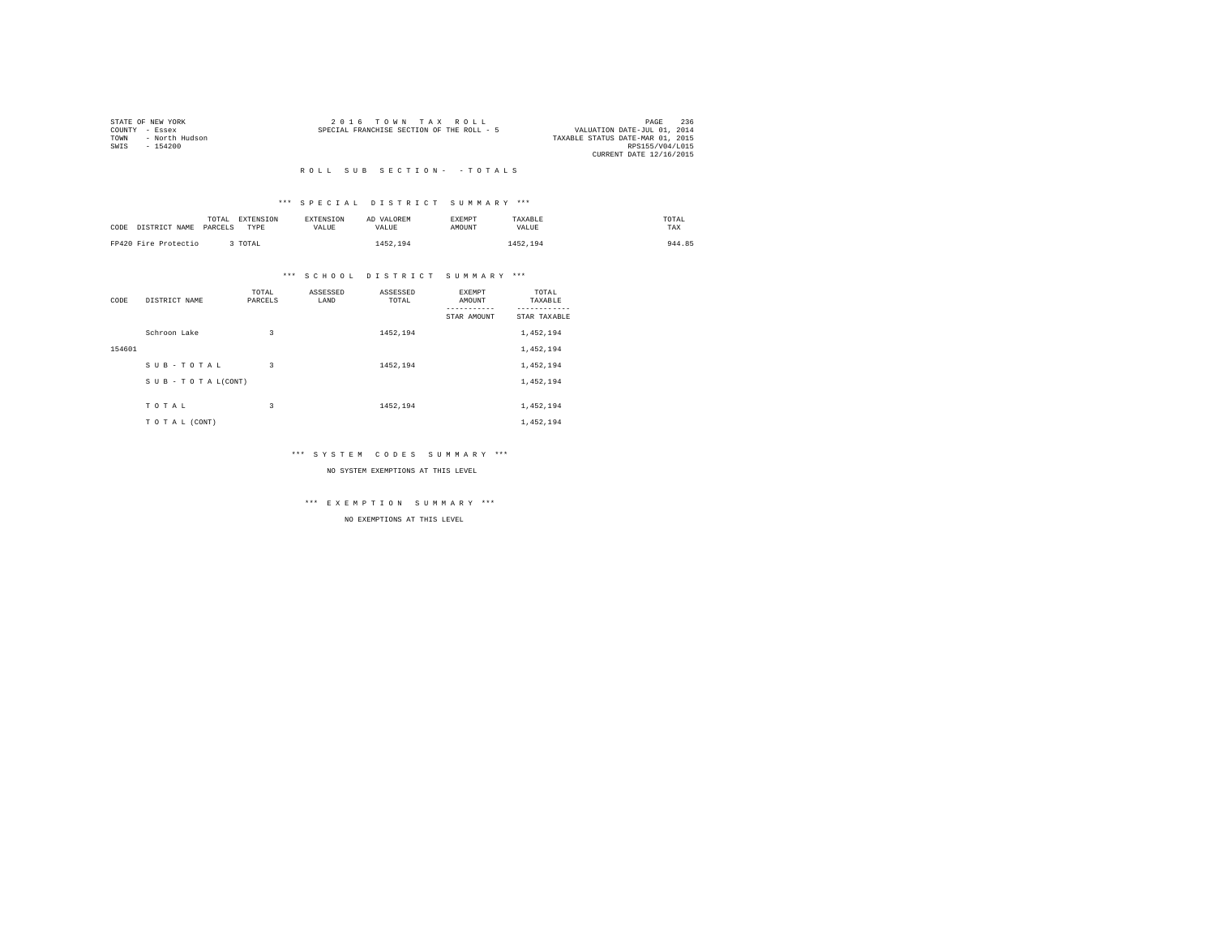| STATE OF NEW YORK |                | $2.0.16$ TOWN TAX ROLL                    |  |                                  | PAGE            | 236 |
|-------------------|----------------|-------------------------------------------|--|----------------------------------|-----------------|-----|
| COUNTY - Essex    |                | SPECIAL FRANCHISE SECTION OF THE ROLL - 5 |  | VALUATION DATE-JUL 01, 2014      |                 |     |
| TOWN              | - North Hudson |                                           |  | TAXABLE STATUS DATE-MAR 01, 2015 |                 |     |
| SWTS<br>$-154200$ |                |                                           |  |                                  | RPS155/V04/L015 |     |
|                   |                |                                           |  | CURRENT DATE 12/16/2015          |                 |     |
|                   |                |                                           |  |                                  |                 |     |

### \*\*\* S P E C I A L D I S T R I C T S U M M A R Y \*\*\*

| CODE DISTRICT NAME   | TOTAL<br>PARCELS | EXTENSION<br>TYPE | <b>EXTENSION</b><br><b>VALUE</b> | AD VALOREM<br>VALUE | <b>EXEMPT</b><br>AMOUNT | TAXABLE<br>VALUE | TOTAL<br>TAX |
|----------------------|------------------|-------------------|----------------------------------|---------------------|-------------------------|------------------|--------------|
| FP420 Fire Protectio |                  | TOTAL             |                                  | 1452.194            |                         | 1452.194         | 944.85       |

### \*\*\* S C H O O L D I S T R I C T S U M M A R Y \*\*\*

| CODE   | DISTRICT NAME   | TOTAL<br>PARCELS | ASSESSED<br>LAND | ASSESSED<br>TOTAL | <b>EXEMPT</b><br>AMOUNT | TOTAL<br>TAXABLE          |
|--------|-----------------|------------------|------------------|-------------------|-------------------------|---------------------------|
|        |                 |                  |                  |                   | STAR AMOUNT             | ---------<br>STAR TAXABLE |
|        | Schroon Lake    | 3                |                  | 1452.194          |                         | 1,452,194                 |
| 154601 |                 |                  |                  |                   |                         | 1,452,194                 |
|        | SUB-TOTAL       | 3                |                  | 1452,194          |                         | 1,452,194                 |
|        | SUB-TOTAL(CONT) |                  |                  |                   |                         | 1,452,194                 |
|        |                 |                  |                  |                   |                         |                           |
|        | TOTAL           | 3                |                  | 1452,194          |                         | 1,452,194                 |
|        | TO TAL (CONT)   |                  |                  |                   |                         | 1,452,194                 |

### \*\*\* S Y S T E M C O D E S S U M M A R Y \*\*\*

### NO SYSTEM EXEMPTIONS AT THIS LEVEL

\*\*\* E X E M P T I O N S U M M A R Y \*\*\*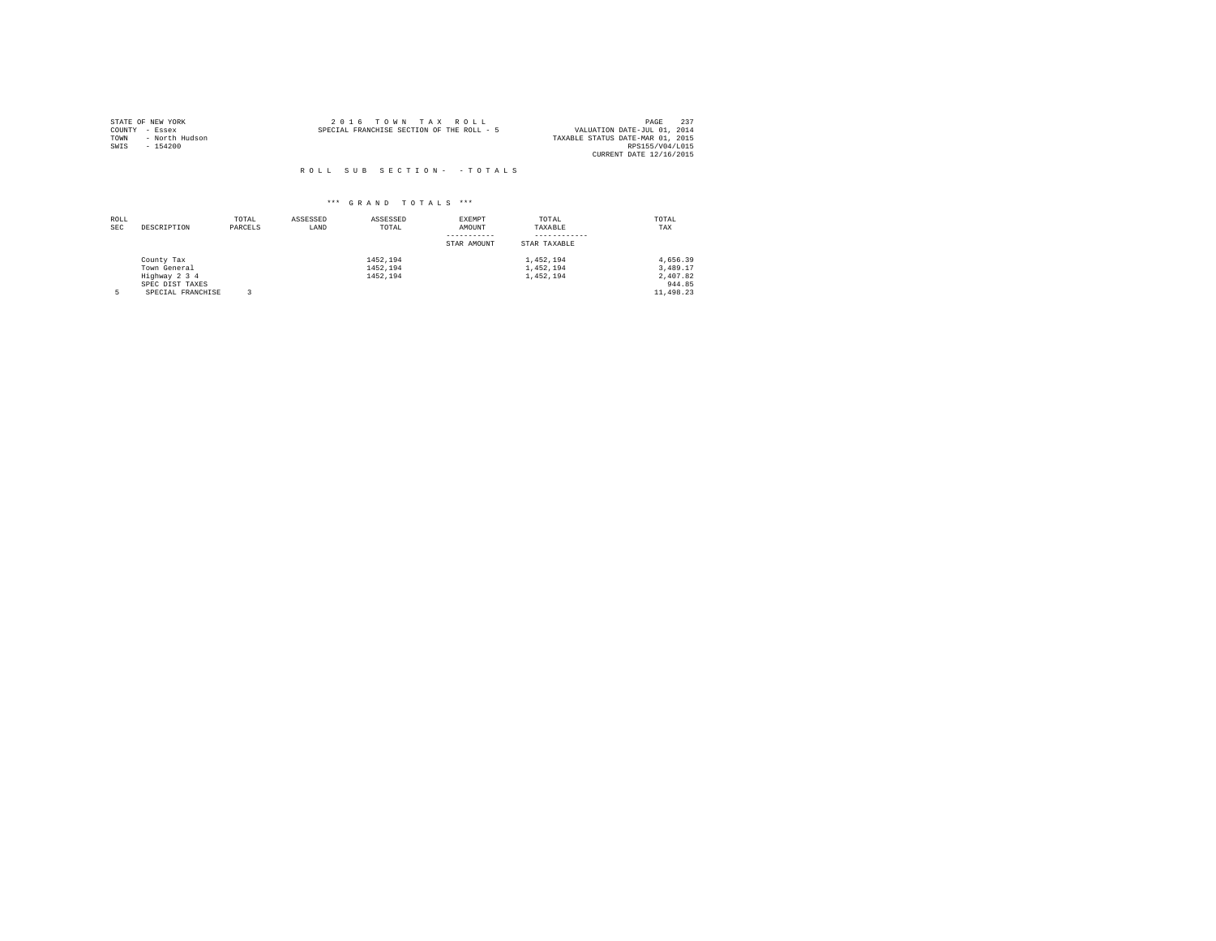|                | STATE OF NEW YORK | $2.0.16$ TOWN TAX ROLL                                                   | PAGE            | 237 |
|----------------|-------------------|--------------------------------------------------------------------------|-----------------|-----|
| COUNTY - Essex |                   | VALUATION DATE-JUL 01, 2014<br>SPECIAL FRANCHISE SECTION OF THE ROLL - 5 |                 |     |
| TOWN           | - North Hudson    | TAXABLE STATUS DATE-MAR 01, 2015                                         |                 |     |
| SWIS           | - 154200          |                                                                          | RPS155/V04/L015 |     |
|                |                   | CURRENT DATE 12/16/2015                                                  |                 |     |

| ROLL<br><b>SEC</b> | DESCRIPTION                                                                         | TOTAL<br>PARCELS | ASSESSED<br>LAND | ASSESSED<br>TOTAL                | EXEMPT<br>AMOUNT<br>STAR AMOUNT | TOTAL<br>TAXABLE<br>STAR TAXABLE    | TOTAL<br>TAX                                            |
|--------------------|-------------------------------------------------------------------------------------|------------------|------------------|----------------------------------|---------------------------------|-------------------------------------|---------------------------------------------------------|
|                    | County Tax<br>Town General<br>Highway 2 3 4<br>SPEC DIST TAXES<br>SPECIAL FRANCHISE |                  |                  | 1452.194<br>1452.194<br>1452.194 |                                 | 1,452,194<br>1,452,194<br>1,452,194 | 4.656.39<br>3.489.17<br>2,407.82<br>944.85<br>11,498.23 |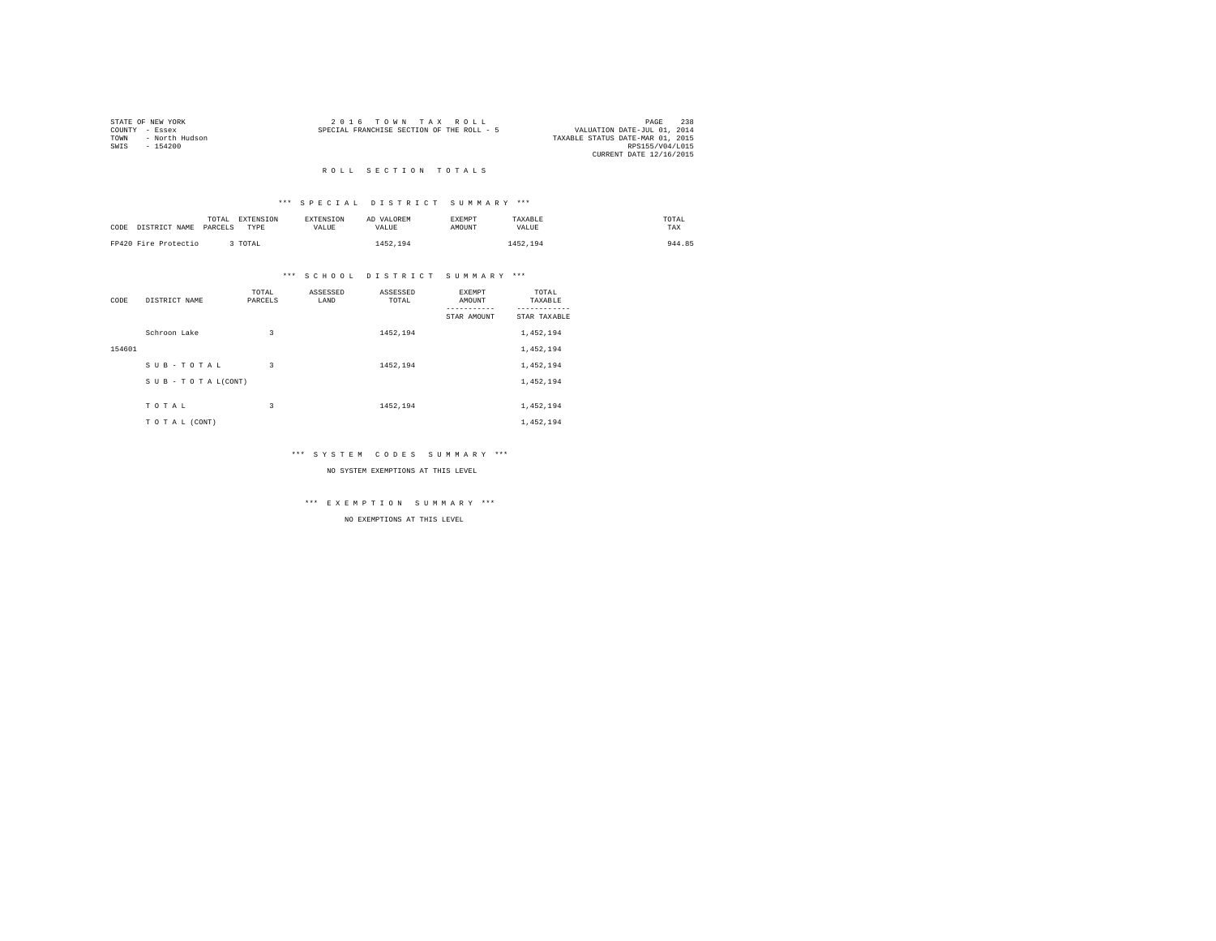| STATE OF NEW YORK |                | 2016 TOWN TAX ROLL                        | PAGE                             | 238 |
|-------------------|----------------|-------------------------------------------|----------------------------------|-----|
| COUNTY - Essex    |                | SPECIAL FRANCHISE SECTION OF THE ROLL - 5 | VALUATION DATE-JUL 01, 2014      |     |
| TOWN              | - North Hudson |                                           | TAXABLE STATUS DATE-MAR 01, 2015 |     |
| SWIS              | - 154200       |                                           | RPS155/V04/L015                  |     |
|                   |                |                                           | CURRENT DATE 12/16/2015          |     |

#### ROLL SECTION TOTALS

### \*\*\* S P E C I A L D I S T R I C T S U M M A R Y \*\*\*

| CODE DISTRICT NAME PARCELS | TOTAL | <b>EXTENSION</b><br>TYPE | <b>EXTENSION</b><br>VALUE. | AD VALOREM<br>VALUE. | <b>EXEMPT</b><br>AMOUNT | TAXABLE<br>VALUE | TOTAL<br>TAX |
|----------------------------|-------|--------------------------|----------------------------|----------------------|-------------------------|------------------|--------------|
| FP420 Fire Protectio       |       | TOTAL                    |                            | 1452.194             |                         | 1452.194         | 944.85       |

### \*\*\* S C H O O L D I S T R I C T S U M M A R Y \*\*\*

| CODE   | DISTRICT NAME      | TOTAL<br>PARCELS | ASSESSED<br>LAND | ASSESSED<br>TOTAL | <b>EXEMPT</b><br>AMOUNT | TOTAL<br>TAXABLE          |
|--------|--------------------|------------------|------------------|-------------------|-------------------------|---------------------------|
|        |                    |                  |                  |                   | STAR AMOUNT             | ---------<br>STAR TAXABLE |
|        | Schroon Lake       | 3                |                  | 1452.194          |                         | 1,452,194                 |
| 154601 |                    |                  |                  |                   |                         | 1,452,194                 |
|        | SUB-TOTAL          | 3                |                  | 1452,194          |                         | 1,452,194                 |
|        | SUB - TO TAL(CONT) |                  |                  |                   |                         | 1,452,194                 |
|        |                    |                  |                  |                   |                         |                           |
|        | TOTAL              | 3                |                  | 1452,194          |                         | 1,452,194                 |
|        | TO TAL (CONT)      |                  |                  |                   |                         | 1,452,194                 |

### \*\*\* S Y S T E M C O D E S S U M M A R Y \*\*\*

### NO SYSTEM EXEMPTIONS AT THIS LEVEL

\*\*\* E X E M P T I O N S U M M A R Y \*\*\*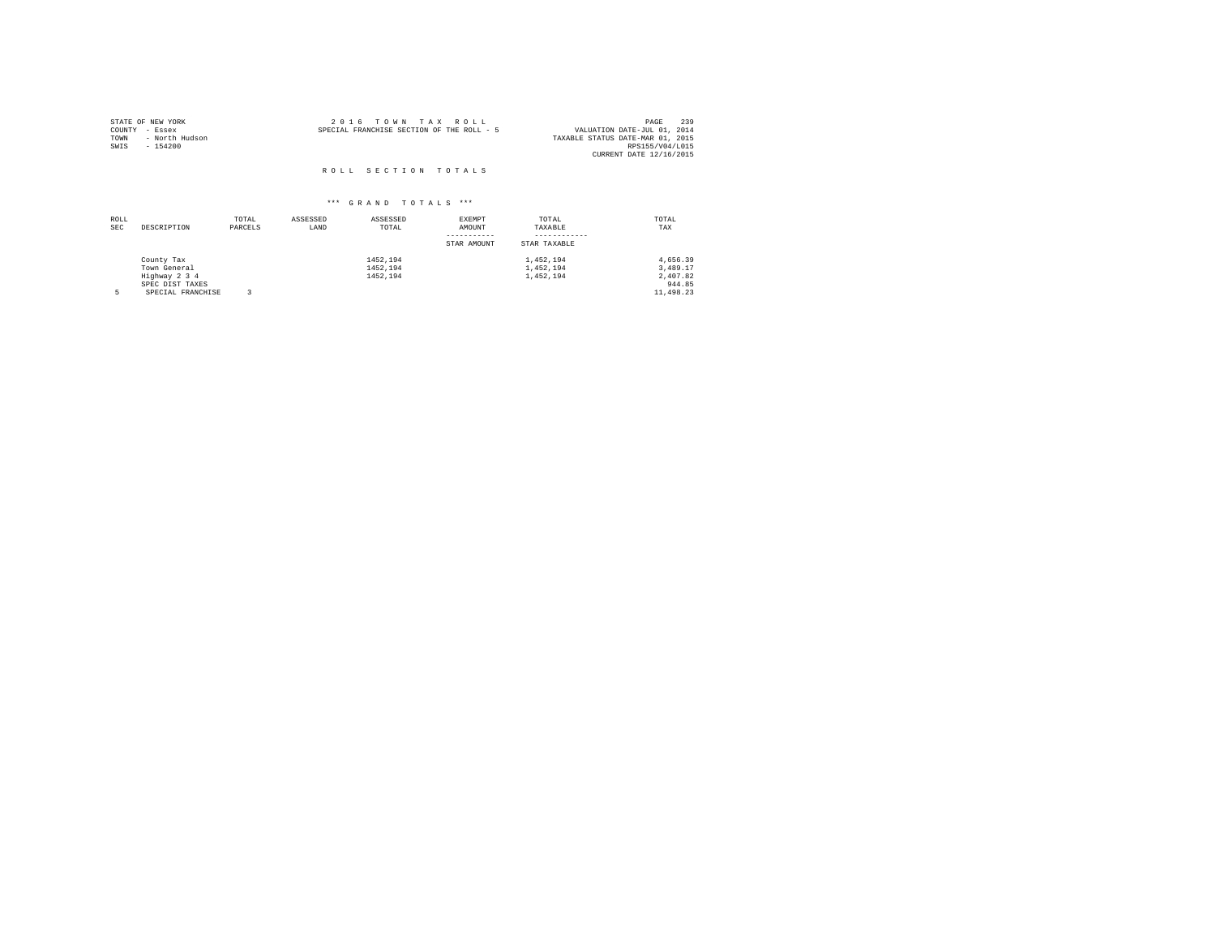| STATE OF NEW YORK |                | 2016 TOWN TAX ROLL                        |  |                                  | PAGE                    | 239 |
|-------------------|----------------|-------------------------------------------|--|----------------------------------|-------------------------|-----|
| COUNTY            | - Essex        | SPECIAL FRANCHISE SECTION OF THE ROLL - 5 |  | VALUATION DATE-JUL 01, 2014      |                         |     |
| TOWN              | - North Hudson |                                           |  | TAXABLE STATUS DATE-MAR 01, 2015 |                         |     |
| SWIS              | $-154200$      |                                           |  |                                  | RPS155/V04/L015         |     |
|                   |                |                                           |  |                                  | CURRENT DATE 12/16/2015 |     |
|                   |                |                                           |  |                                  |                         |     |
|                   |                | ROLL SECTION TOTALS                       |  |                                  |                         |     |

| ROLL<br><b>SEC</b> | DESCRIPTION                                                                         | TOTAL<br>PARCELS | ASSESSED<br>LAND | ASSESSED<br>TOTAL                | EXEMPT<br>AMOUNT<br>-----------<br>STAR AMOUNT | TOTAL<br>TAXABLE<br>STAR TAXABLE    | TOTAL<br>TAX                                            |
|--------------------|-------------------------------------------------------------------------------------|------------------|------------------|----------------------------------|------------------------------------------------|-------------------------------------|---------------------------------------------------------|
|                    | County Tax<br>Town General<br>Highway 2 3 4<br>SPEC DIST TAXES<br>SPECIAL FRANCHISE |                  |                  | 1452.194<br>1452.194<br>1452.194 |                                                | 1,452,194<br>1,452,194<br>1,452,194 | 4.656.39<br>3,489.17<br>2.407.82<br>944.85<br>11,498.23 |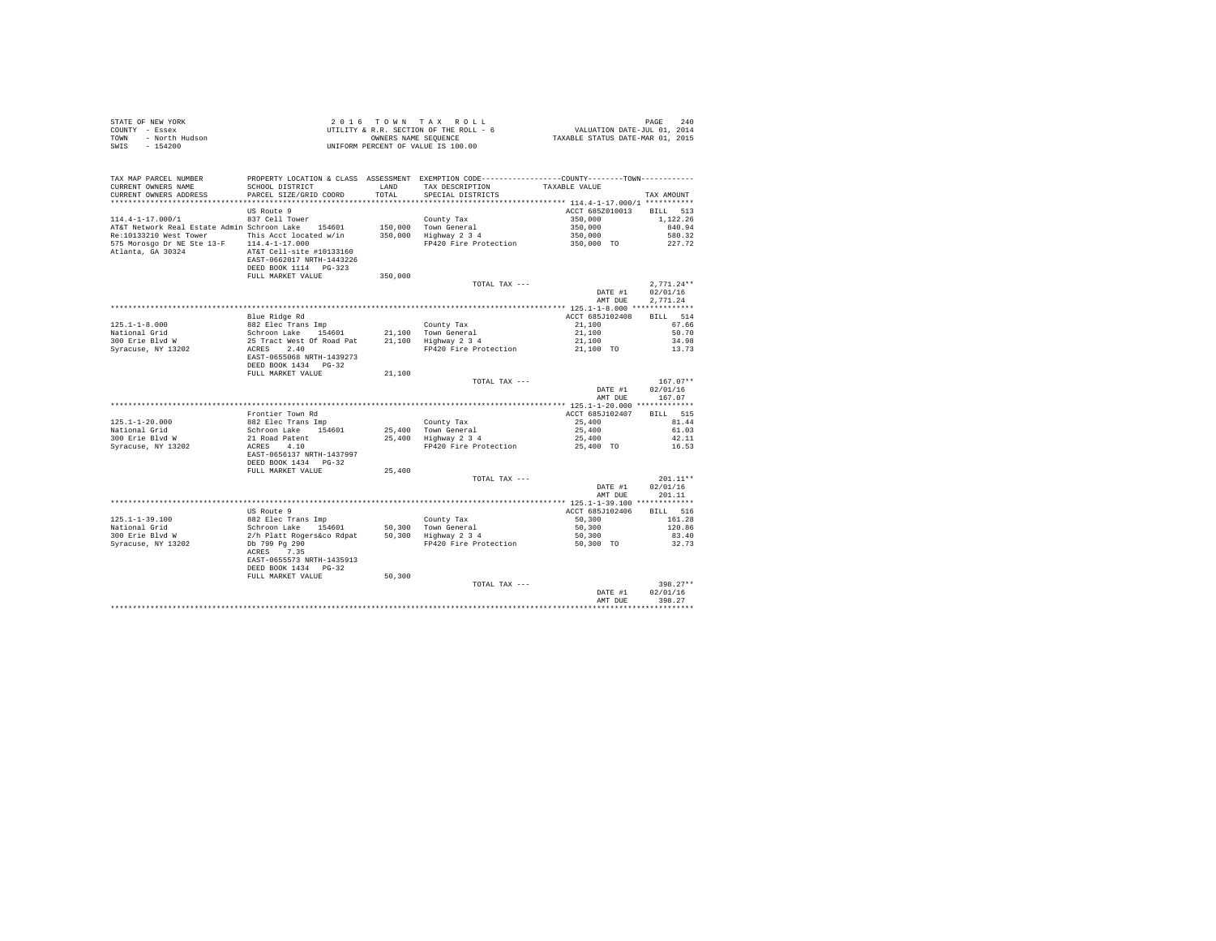| STATE OF NEW YORK      | 2016 TOWN TAX ROLL                     | 240<br>PAGE                      |
|------------------------|----------------------------------------|----------------------------------|
| COUNTY - Essex         | UTILITY & R.R. SECTION OF THE ROLL - 6 | VALUATION DATE-JUL 01, 2014      |
| - North Hudson<br>TOWN | OWNERS NAME SEOUENCE                   | TAXABLE STATUS DATE-MAR 01, 2015 |
| $-154200$<br>SWIS      | UNIFORM PERCENT OF VALUE IS 100.00     |                                  |

| PARCEL SIZE/GRID COORD<br>TOTAL<br>SPECIAL DISTRICTS<br>TAX AMOUNT<br>**********************<br>*************************<br>US Route 9<br>ACCT 685Z010013<br>513<br><b>BILL</b><br>837 Cell Tower<br>350,000<br>1.122.26<br>County Tax<br>AT&T Network Real Estate Admin Schroon Lake 154601<br>150,000 Town General<br>350,000<br>840.94<br>This Acct located w/in<br>350,000<br>Highway 2 3 4<br>350,000<br>580.32<br>FP420 Fire Protection<br>350,000 TO<br>227.72<br>$114.4 - 1 - 17.000$<br>AT&T Cell-site #10133160<br>EAST-0662017 NRTH-1443226<br>DEED BOOK 1114 PG-323<br>FULL MARKET VALUE<br>350,000<br>$2.771.24**$<br>TOTAL TAX ---<br>02/01/16<br>DATE #1<br>2,771.24<br>AMT DUE<br>Blue Ridge Rd<br>ACCT 685J102408<br><b>BILL</b><br>514<br>$125.1 - 1 - 8.000$<br>882 Elec Trans Imp<br>67.66<br>County Tax<br>21,100<br>National Grid<br>Schroon Lake<br>154601<br>21,100 Town General<br>21,100<br>50.70<br>25 Tract West Of Road Pat<br>300 Erie Blvd W<br>21,100 Highway 2 3 4<br>34.98<br>21,100<br>Syracuse, NY 13202<br>2.40<br>FP420 Fire Protection<br>ACRES<br>21,100 TO<br>13.73<br>EAST-0655068 NRTH-1439273<br>DEED BOOK 1434 PG-32<br>FULL MARKET VALUE<br>21,100<br>$167.07**$<br>TOTAL TAX ---<br>DATE #1<br>02/01/16<br>167.07<br>AMT DUE<br>Frontier Town Rd<br>ACCT 685J102407<br>BILL 515<br>25,400<br>81.44<br>882 Elec Trans Imp<br>County Tax<br>Schroon Lake 154601<br>25,400 Town General<br>25,400<br>61.03<br>300 Erie Blvd W<br>21 Road Patent<br>25,400<br>Highway 2 3 4<br>25,400<br>42.11<br>Syracuse, NY 13202<br>ACRES 4.10<br>FP420 Fire Protection<br>25,400 TO<br>16.53<br>EAST-0656137 NRTH-1437997<br>DEED BOOK 1434 PG-32<br>FULL MARKET VALUE<br>25,400<br>$201.11**$<br>TOTAL TAX ---<br>02/01/16<br>DATE #1<br>201.11<br>AMT DUE<br>US Route 9<br>ACCT 685J102406<br>BILL 516<br>$125.1 - 1 - 39.100$<br>882 Elec Trans Imp<br>County Tax<br>50,300<br>161.28<br>Schroon Lake<br>154601<br>50.300 Town General<br>50,300<br>120.86<br>50,300 Highway 2 3 4<br>2/h Platt Rogers&co Rdpat<br>83.40<br>50,300<br>Db 799 Pg 290<br>FP420 Fire Protection<br>50,300 TO<br>32.73<br>ACRES<br>7.35<br>EAST-0655573 NRTH-1435913<br>DEED BOOK 1434 PG-32<br>50,300<br>FULL MARKET VALUE<br>$398.27**$<br>TOTAL TAX ---<br>02/01/16<br>DATE #1<br>398.27<br>AMT DUE | TAX MAP PARCEL NUMBER<br>CURRENT OWNERS NAME    | PROPERTY LOCATION & CLASS ASSESSMENT EXEMPTION CODE---------------COUNTY-------TOWN----------<br>SCHOOL DISTRICT | LAND | TAX DESCRIPTION | TAXABLE VALUE |  |
|------------------------------------------------------------------------------------------------------------------------------------------------------------------------------------------------------------------------------------------------------------------------------------------------------------------------------------------------------------------------------------------------------------------------------------------------------------------------------------------------------------------------------------------------------------------------------------------------------------------------------------------------------------------------------------------------------------------------------------------------------------------------------------------------------------------------------------------------------------------------------------------------------------------------------------------------------------------------------------------------------------------------------------------------------------------------------------------------------------------------------------------------------------------------------------------------------------------------------------------------------------------------------------------------------------------------------------------------------------------------------------------------------------------------------------------------------------------------------------------------------------------------------------------------------------------------------------------------------------------------------------------------------------------------------------------------------------------------------------------------------------------------------------------------------------------------------------------------------------------------------------------------------------------------------------------------------------------------------------------------------------------------------------------------------------------------------------------------------------------------------------------------------------------------------------------------------------------------------------------------------------------------------------------------------------------------|-------------------------------------------------|------------------------------------------------------------------------------------------------------------------|------|-----------------|---------------|--|
|                                                                                                                                                                                                                                                                                                                                                                                                                                                                                                                                                                                                                                                                                                                                                                                                                                                                                                                                                                                                                                                                                                                                                                                                                                                                                                                                                                                                                                                                                                                                                                                                                                                                                                                                                                                                                                                                                                                                                                                                                                                                                                                                                                                                                                                                                                                        | CURRENT OWNERS ADDRESS                          |                                                                                                                  |      |                 |               |  |
|                                                                                                                                                                                                                                                                                                                                                                                                                                                                                                                                                                                                                                                                                                                                                                                                                                                                                                                                                                                                                                                                                                                                                                                                                                                                                                                                                                                                                                                                                                                                                                                                                                                                                                                                                                                                                                                                                                                                                                                                                                                                                                                                                                                                                                                                                                                        |                                                 |                                                                                                                  |      |                 |               |  |
|                                                                                                                                                                                                                                                                                                                                                                                                                                                                                                                                                                                                                                                                                                                                                                                                                                                                                                                                                                                                                                                                                                                                                                                                                                                                                                                                                                                                                                                                                                                                                                                                                                                                                                                                                                                                                                                                                                                                                                                                                                                                                                                                                                                                                                                                                                                        |                                                 |                                                                                                                  |      |                 |               |  |
|                                                                                                                                                                                                                                                                                                                                                                                                                                                                                                                                                                                                                                                                                                                                                                                                                                                                                                                                                                                                                                                                                                                                                                                                                                                                                                                                                                                                                                                                                                                                                                                                                                                                                                                                                                                                                                                                                                                                                                                                                                                                                                                                                                                                                                                                                                                        | $114.4 - 1 - 17.000/1$                          |                                                                                                                  |      |                 |               |  |
|                                                                                                                                                                                                                                                                                                                                                                                                                                                                                                                                                                                                                                                                                                                                                                                                                                                                                                                                                                                                                                                                                                                                                                                                                                                                                                                                                                                                                                                                                                                                                                                                                                                                                                                                                                                                                                                                                                                                                                                                                                                                                                                                                                                                                                                                                                                        |                                                 |                                                                                                                  |      |                 |               |  |
|                                                                                                                                                                                                                                                                                                                                                                                                                                                                                                                                                                                                                                                                                                                                                                                                                                                                                                                                                                                                                                                                                                                                                                                                                                                                                                                                                                                                                                                                                                                                                                                                                                                                                                                                                                                                                                                                                                                                                                                                                                                                                                                                                                                                                                                                                                                        | Re:10133210 West Tower                          |                                                                                                                  |      |                 |               |  |
|                                                                                                                                                                                                                                                                                                                                                                                                                                                                                                                                                                                                                                                                                                                                                                                                                                                                                                                                                                                                                                                                                                                                                                                                                                                                                                                                                                                                                                                                                                                                                                                                                                                                                                                                                                                                                                                                                                                                                                                                                                                                                                                                                                                                                                                                                                                        | 575 Morosgo Dr NE Ste 13-F<br>Atlanta, GA 30324 |                                                                                                                  |      |                 |               |  |
|                                                                                                                                                                                                                                                                                                                                                                                                                                                                                                                                                                                                                                                                                                                                                                                                                                                                                                                                                                                                                                                                                                                                                                                                                                                                                                                                                                                                                                                                                                                                                                                                                                                                                                                                                                                                                                                                                                                                                                                                                                                                                                                                                                                                                                                                                                                        |                                                 |                                                                                                                  |      |                 |               |  |
|                                                                                                                                                                                                                                                                                                                                                                                                                                                                                                                                                                                                                                                                                                                                                                                                                                                                                                                                                                                                                                                                                                                                                                                                                                                                                                                                                                                                                                                                                                                                                                                                                                                                                                                                                                                                                                                                                                                                                                                                                                                                                                                                                                                                                                                                                                                        |                                                 |                                                                                                                  |      |                 |               |  |
|                                                                                                                                                                                                                                                                                                                                                                                                                                                                                                                                                                                                                                                                                                                                                                                                                                                                                                                                                                                                                                                                                                                                                                                                                                                                                                                                                                                                                                                                                                                                                                                                                                                                                                                                                                                                                                                                                                                                                                                                                                                                                                                                                                                                                                                                                                                        |                                                 |                                                                                                                  |      |                 |               |  |
|                                                                                                                                                                                                                                                                                                                                                                                                                                                                                                                                                                                                                                                                                                                                                                                                                                                                                                                                                                                                                                                                                                                                                                                                                                                                                                                                                                                                                                                                                                                                                                                                                                                                                                                                                                                                                                                                                                                                                                                                                                                                                                                                                                                                                                                                                                                        |                                                 |                                                                                                                  |      |                 |               |  |
|                                                                                                                                                                                                                                                                                                                                                                                                                                                                                                                                                                                                                                                                                                                                                                                                                                                                                                                                                                                                                                                                                                                                                                                                                                                                                                                                                                                                                                                                                                                                                                                                                                                                                                                                                                                                                                                                                                                                                                                                                                                                                                                                                                                                                                                                                                                        |                                                 |                                                                                                                  |      |                 |               |  |
|                                                                                                                                                                                                                                                                                                                                                                                                                                                                                                                                                                                                                                                                                                                                                                                                                                                                                                                                                                                                                                                                                                                                                                                                                                                                                                                                                                                                                                                                                                                                                                                                                                                                                                                                                                                                                                                                                                                                                                                                                                                                                                                                                                                                                                                                                                                        |                                                 |                                                                                                                  |      |                 |               |  |
|                                                                                                                                                                                                                                                                                                                                                                                                                                                                                                                                                                                                                                                                                                                                                                                                                                                                                                                                                                                                                                                                                                                                                                                                                                                                                                                                                                                                                                                                                                                                                                                                                                                                                                                                                                                                                                                                                                                                                                                                                                                                                                                                                                                                                                                                                                                        |                                                 |                                                                                                                  |      |                 |               |  |
|                                                                                                                                                                                                                                                                                                                                                                                                                                                                                                                                                                                                                                                                                                                                                                                                                                                                                                                                                                                                                                                                                                                                                                                                                                                                                                                                                                                                                                                                                                                                                                                                                                                                                                                                                                                                                                                                                                                                                                                                                                                                                                                                                                                                                                                                                                                        |                                                 |                                                                                                                  |      |                 |               |  |
|                                                                                                                                                                                                                                                                                                                                                                                                                                                                                                                                                                                                                                                                                                                                                                                                                                                                                                                                                                                                                                                                                                                                                                                                                                                                                                                                                                                                                                                                                                                                                                                                                                                                                                                                                                                                                                                                                                                                                                                                                                                                                                                                                                                                                                                                                                                        |                                                 |                                                                                                                  |      |                 |               |  |
|                                                                                                                                                                                                                                                                                                                                                                                                                                                                                                                                                                                                                                                                                                                                                                                                                                                                                                                                                                                                                                                                                                                                                                                                                                                                                                                                                                                                                                                                                                                                                                                                                                                                                                                                                                                                                                                                                                                                                                                                                                                                                                                                                                                                                                                                                                                        |                                                 |                                                                                                                  |      |                 |               |  |
|                                                                                                                                                                                                                                                                                                                                                                                                                                                                                                                                                                                                                                                                                                                                                                                                                                                                                                                                                                                                                                                                                                                                                                                                                                                                                                                                                                                                                                                                                                                                                                                                                                                                                                                                                                                                                                                                                                                                                                                                                                                                                                                                                                                                                                                                                                                        |                                                 |                                                                                                                  |      |                 |               |  |
|                                                                                                                                                                                                                                                                                                                                                                                                                                                                                                                                                                                                                                                                                                                                                                                                                                                                                                                                                                                                                                                                                                                                                                                                                                                                                                                                                                                                                                                                                                                                                                                                                                                                                                                                                                                                                                                                                                                                                                                                                                                                                                                                                                                                                                                                                                                        |                                                 |                                                                                                                  |      |                 |               |  |
|                                                                                                                                                                                                                                                                                                                                                                                                                                                                                                                                                                                                                                                                                                                                                                                                                                                                                                                                                                                                                                                                                                                                                                                                                                                                                                                                                                                                                                                                                                                                                                                                                                                                                                                                                                                                                                                                                                                                                                                                                                                                                                                                                                                                                                                                                                                        |                                                 |                                                                                                                  |      |                 |               |  |
|                                                                                                                                                                                                                                                                                                                                                                                                                                                                                                                                                                                                                                                                                                                                                                                                                                                                                                                                                                                                                                                                                                                                                                                                                                                                                                                                                                                                                                                                                                                                                                                                                                                                                                                                                                                                                                                                                                                                                                                                                                                                                                                                                                                                                                                                                                                        |                                                 |                                                                                                                  |      |                 |               |  |
|                                                                                                                                                                                                                                                                                                                                                                                                                                                                                                                                                                                                                                                                                                                                                                                                                                                                                                                                                                                                                                                                                                                                                                                                                                                                                                                                                                                                                                                                                                                                                                                                                                                                                                                                                                                                                                                                                                                                                                                                                                                                                                                                                                                                                                                                                                                        |                                                 |                                                                                                                  |      |                 |               |  |
|                                                                                                                                                                                                                                                                                                                                                                                                                                                                                                                                                                                                                                                                                                                                                                                                                                                                                                                                                                                                                                                                                                                                                                                                                                                                                                                                                                                                                                                                                                                                                                                                                                                                                                                                                                                                                                                                                                                                                                                                                                                                                                                                                                                                                                                                                                                        |                                                 |                                                                                                                  |      |                 |               |  |
|                                                                                                                                                                                                                                                                                                                                                                                                                                                                                                                                                                                                                                                                                                                                                                                                                                                                                                                                                                                                                                                                                                                                                                                                                                                                                                                                                                                                                                                                                                                                                                                                                                                                                                                                                                                                                                                                                                                                                                                                                                                                                                                                                                                                                                                                                                                        |                                                 |                                                                                                                  |      |                 |               |  |
|                                                                                                                                                                                                                                                                                                                                                                                                                                                                                                                                                                                                                                                                                                                                                                                                                                                                                                                                                                                                                                                                                                                                                                                                                                                                                                                                                                                                                                                                                                                                                                                                                                                                                                                                                                                                                                                                                                                                                                                                                                                                                                                                                                                                                                                                                                                        | $125.1 - 1 - 20.000$                            |                                                                                                                  |      |                 |               |  |
|                                                                                                                                                                                                                                                                                                                                                                                                                                                                                                                                                                                                                                                                                                                                                                                                                                                                                                                                                                                                                                                                                                                                                                                                                                                                                                                                                                                                                                                                                                                                                                                                                                                                                                                                                                                                                                                                                                                                                                                                                                                                                                                                                                                                                                                                                                                        | National Grid                                   |                                                                                                                  |      |                 |               |  |
|                                                                                                                                                                                                                                                                                                                                                                                                                                                                                                                                                                                                                                                                                                                                                                                                                                                                                                                                                                                                                                                                                                                                                                                                                                                                                                                                                                                                                                                                                                                                                                                                                                                                                                                                                                                                                                                                                                                                                                                                                                                                                                                                                                                                                                                                                                                        |                                                 |                                                                                                                  |      |                 |               |  |
|                                                                                                                                                                                                                                                                                                                                                                                                                                                                                                                                                                                                                                                                                                                                                                                                                                                                                                                                                                                                                                                                                                                                                                                                                                                                                                                                                                                                                                                                                                                                                                                                                                                                                                                                                                                                                                                                                                                                                                                                                                                                                                                                                                                                                                                                                                                        |                                                 |                                                                                                                  |      |                 |               |  |
|                                                                                                                                                                                                                                                                                                                                                                                                                                                                                                                                                                                                                                                                                                                                                                                                                                                                                                                                                                                                                                                                                                                                                                                                                                                                                                                                                                                                                                                                                                                                                                                                                                                                                                                                                                                                                                                                                                                                                                                                                                                                                                                                                                                                                                                                                                                        |                                                 |                                                                                                                  |      |                 |               |  |
|                                                                                                                                                                                                                                                                                                                                                                                                                                                                                                                                                                                                                                                                                                                                                                                                                                                                                                                                                                                                                                                                                                                                                                                                                                                                                                                                                                                                                                                                                                                                                                                                                                                                                                                                                                                                                                                                                                                                                                                                                                                                                                                                                                                                                                                                                                                        |                                                 |                                                                                                                  |      |                 |               |  |
|                                                                                                                                                                                                                                                                                                                                                                                                                                                                                                                                                                                                                                                                                                                                                                                                                                                                                                                                                                                                                                                                                                                                                                                                                                                                                                                                                                                                                                                                                                                                                                                                                                                                                                                                                                                                                                                                                                                                                                                                                                                                                                                                                                                                                                                                                                                        |                                                 |                                                                                                                  |      |                 |               |  |
|                                                                                                                                                                                                                                                                                                                                                                                                                                                                                                                                                                                                                                                                                                                                                                                                                                                                                                                                                                                                                                                                                                                                                                                                                                                                                                                                                                                                                                                                                                                                                                                                                                                                                                                                                                                                                                                                                                                                                                                                                                                                                                                                                                                                                                                                                                                        |                                                 |                                                                                                                  |      |                 |               |  |
|                                                                                                                                                                                                                                                                                                                                                                                                                                                                                                                                                                                                                                                                                                                                                                                                                                                                                                                                                                                                                                                                                                                                                                                                                                                                                                                                                                                                                                                                                                                                                                                                                                                                                                                                                                                                                                                                                                                                                                                                                                                                                                                                                                                                                                                                                                                        |                                                 |                                                                                                                  |      |                 |               |  |
|                                                                                                                                                                                                                                                                                                                                                                                                                                                                                                                                                                                                                                                                                                                                                                                                                                                                                                                                                                                                                                                                                                                                                                                                                                                                                                                                                                                                                                                                                                                                                                                                                                                                                                                                                                                                                                                                                                                                                                                                                                                                                                                                                                                                                                                                                                                        |                                                 |                                                                                                                  |      |                 |               |  |
|                                                                                                                                                                                                                                                                                                                                                                                                                                                                                                                                                                                                                                                                                                                                                                                                                                                                                                                                                                                                                                                                                                                                                                                                                                                                                                                                                                                                                                                                                                                                                                                                                                                                                                                                                                                                                                                                                                                                                                                                                                                                                                                                                                                                                                                                                                                        |                                                 |                                                                                                                  |      |                 |               |  |
|                                                                                                                                                                                                                                                                                                                                                                                                                                                                                                                                                                                                                                                                                                                                                                                                                                                                                                                                                                                                                                                                                                                                                                                                                                                                                                                                                                                                                                                                                                                                                                                                                                                                                                                                                                                                                                                                                                                                                                                                                                                                                                                                                                                                                                                                                                                        | National Grid                                   |                                                                                                                  |      |                 |               |  |
|                                                                                                                                                                                                                                                                                                                                                                                                                                                                                                                                                                                                                                                                                                                                                                                                                                                                                                                                                                                                                                                                                                                                                                                                                                                                                                                                                                                                                                                                                                                                                                                                                                                                                                                                                                                                                                                                                                                                                                                                                                                                                                                                                                                                                                                                                                                        | 300 Erie Blvd W                                 |                                                                                                                  |      |                 |               |  |
|                                                                                                                                                                                                                                                                                                                                                                                                                                                                                                                                                                                                                                                                                                                                                                                                                                                                                                                                                                                                                                                                                                                                                                                                                                                                                                                                                                                                                                                                                                                                                                                                                                                                                                                                                                                                                                                                                                                                                                                                                                                                                                                                                                                                                                                                                                                        | Syracuse, NY 13202                              |                                                                                                                  |      |                 |               |  |
|                                                                                                                                                                                                                                                                                                                                                                                                                                                                                                                                                                                                                                                                                                                                                                                                                                                                                                                                                                                                                                                                                                                                                                                                                                                                                                                                                                                                                                                                                                                                                                                                                                                                                                                                                                                                                                                                                                                                                                                                                                                                                                                                                                                                                                                                                                                        |                                                 |                                                                                                                  |      |                 |               |  |
|                                                                                                                                                                                                                                                                                                                                                                                                                                                                                                                                                                                                                                                                                                                                                                                                                                                                                                                                                                                                                                                                                                                                                                                                                                                                                                                                                                                                                                                                                                                                                                                                                                                                                                                                                                                                                                                                                                                                                                                                                                                                                                                                                                                                                                                                                                                        |                                                 |                                                                                                                  |      |                 |               |  |
|                                                                                                                                                                                                                                                                                                                                                                                                                                                                                                                                                                                                                                                                                                                                                                                                                                                                                                                                                                                                                                                                                                                                                                                                                                                                                                                                                                                                                                                                                                                                                                                                                                                                                                                                                                                                                                                                                                                                                                                                                                                                                                                                                                                                                                                                                                                        |                                                 |                                                                                                                  |      |                 |               |  |
|                                                                                                                                                                                                                                                                                                                                                                                                                                                                                                                                                                                                                                                                                                                                                                                                                                                                                                                                                                                                                                                                                                                                                                                                                                                                                                                                                                                                                                                                                                                                                                                                                                                                                                                                                                                                                                                                                                                                                                                                                                                                                                                                                                                                                                                                                                                        |                                                 |                                                                                                                  |      |                 |               |  |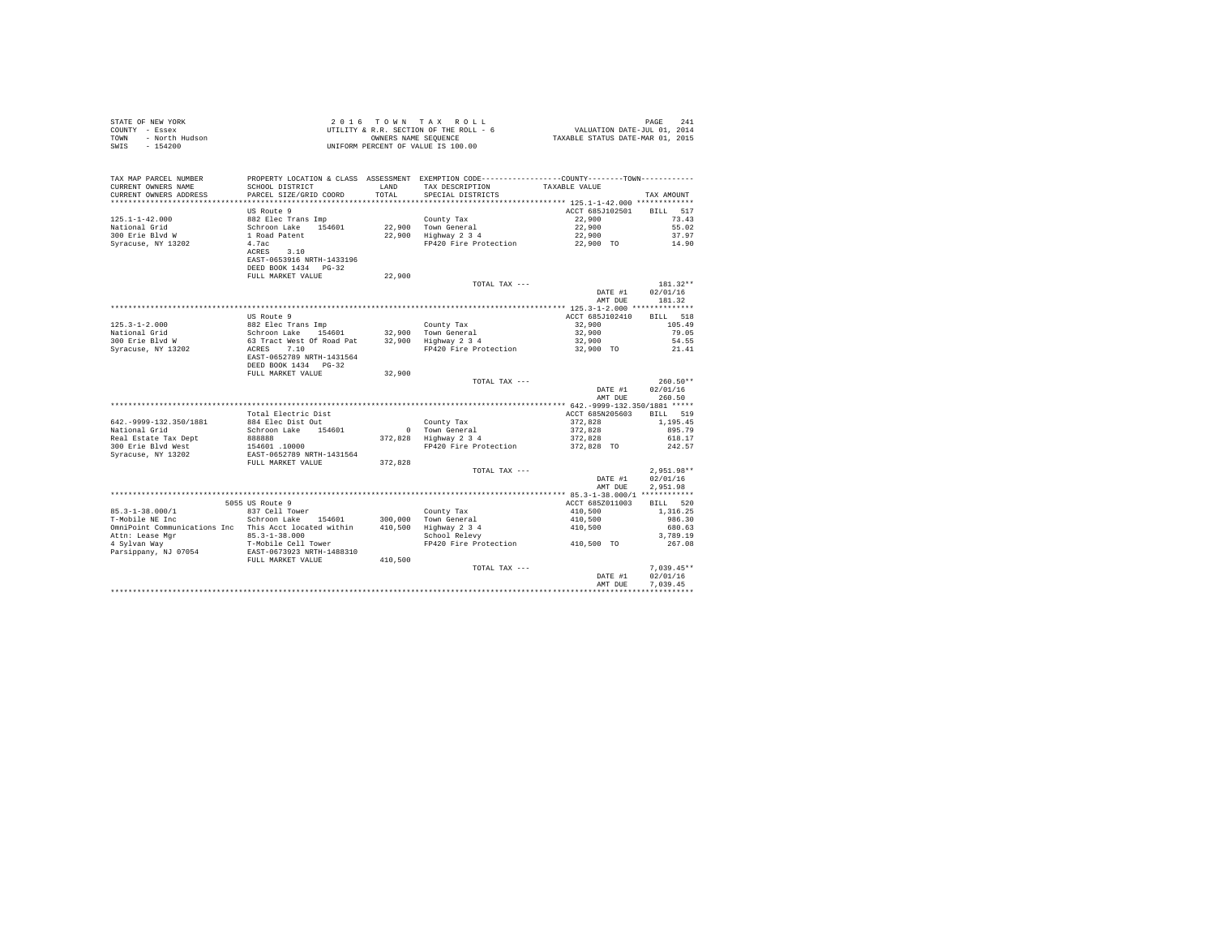| STATE OF NEW YORK<br>COUNTY - Essex<br>TOWN - North Hudson<br>SWIS - 154200                                                                                                                                            | UTILITY & R.R. SECTION ON THE SECTION ON THE SECTION OF VALUE IS 100.00                                                                              |               |                                                                                                                                                        |                                                                  |                            |
|------------------------------------------------------------------------------------------------------------------------------------------------------------------------------------------------------------------------|------------------------------------------------------------------------------------------------------------------------------------------------------|---------------|--------------------------------------------------------------------------------------------------------------------------------------------------------|------------------------------------------------------------------|----------------------------|
| TAX MAP PARCEL NUMBER<br>CURRENT OWNERS NAME<br>CURRENT OWNERS ADDRESS                                                                                                                                                 | SCHOOL DISTRICT<br>PARCEL SIZE/GRID COORD                                                                                                            | LAND<br>TOTAL | PROPERTY LOCATION & CLASS ASSESSMENT EXEMPTION CODE-----------------COUNTY--------TOWN----------<br>TAX DESCRIPTION TAXABLE VALUE<br>SPECIAL DISTRICTS |                                                                  | TAX AMOUNT                 |
|                                                                                                                                                                                                                        |                                                                                                                                                      |               |                                                                                                                                                        |                                                                  |                            |
|                                                                                                                                                                                                                        | US Route 9                                                                                                                                           |               |                                                                                                                                                        | ACCT 685J102501 BILL 517                                         |                            |
| $125.1 - 1 - 42.000$                                                                                                                                                                                                   |                                                                                                                                                      |               | County Tax<br>22,900 Town General<br>22,900 Highway 2 3 4                                                                                              | 22,900                                                           | 73.43                      |
| National Grid<br>300 Erie Blvd W                                                                                                                                                                                       |                                                                                                                                                      |               |                                                                                                                                                        | 22,900<br>22,900                                                 | 55.02<br>37.97             |
| Syracuse, NY 13202                                                                                                                                                                                                     |                                                                                                                                                      |               | FP420 Fire Protection 22,900 TO                                                                                                                        |                                                                  | 14.90                      |
|                                                                                                                                                                                                                        | US ROULE 9<br>882 Elec Trans Imp<br>Schroon Lake 154601<br>1 Road Patent<br>4.7ac<br>ACRES 3.10<br>EAST-0653916 NRTH-1433196<br>DEED BOOK 1434 PG-32 |               |                                                                                                                                                        |                                                                  |                            |
|                                                                                                                                                                                                                        | FULL MARKET VALUE                                                                                                                                    | 22,900        |                                                                                                                                                        |                                                                  | $181.32**$                 |
|                                                                                                                                                                                                                        |                                                                                                                                                      |               | TOTAL TAX ---                                                                                                                                          | DATE #1 02/01/16<br>AMT DUE                                      | 181.32                     |
|                                                                                                                                                                                                                        |                                                                                                                                                      |               |                                                                                                                                                        |                                                                  |                            |
|                                                                                                                                                                                                                        | US Route 9                                                                                                                                           |               |                                                                                                                                                        | ACCT 685J102410 BILL 518                                         |                            |
|                                                                                                                                                                                                                        |                                                                                                                                                      |               |                                                                                                                                                        | 32,900                                                           | 105.49                     |
|                                                                                                                                                                                                                        |                                                                                                                                                      |               |                                                                                                                                                        | 32,900                                                           | 79.05                      |
|                                                                                                                                                                                                                        |                                                                                                                                                      |               |                                                                                                                                                        | 32,900                                                           | 54.55                      |
|                                                                                                                                                                                                                        | DEED BOOK 1434    PG-32                                                                                                                              |               | FP420 Fire Protection                                                                                                                                  | 32,900 TO                                                        | 21.41                      |
|                                                                                                                                                                                                                        | FULL MARKET VALUE                                                                                                                                    | 32,900        |                                                                                                                                                        |                                                                  |                            |
|                                                                                                                                                                                                                        |                                                                                                                                                      |               | TOTAL TAX ---                                                                                                                                          |                                                                  | $260.50**$                 |
|                                                                                                                                                                                                                        |                                                                                                                                                      |               |                                                                                                                                                        | DATE #1                                                          | 02/01/16<br>AMT DUE 260.50 |
|                                                                                                                                                                                                                        |                                                                                                                                                      |               |                                                                                                                                                        |                                                                  |                            |
|                                                                                                                                                                                                                        | Total Electric Dist                                                                                                                                  |               |                                                                                                                                                        | ACCT 685N205603 BILL 519                                         |                            |
| 642. - 9999-132.350/1881                                                                                                                                                                                               | 884 Elec Dist Out                                                                                                                                    |               | County Tax<br>0 Town General<br>372,828 Highway 2 3 4                                                                                                  | $372,828$<br>$372,828$<br>$372,828$<br>$372,828$<br>$372,828$ TO | 1,195.45                   |
| National Grid                                                                                                                                                                                                          | Schroon Lake 154601                                                                                                                                  |               |                                                                                                                                                        |                                                                  | 895.79                     |
| Real Estate Tax Dept                                                                                                                                                                                                   |                                                                                                                                                      |               |                                                                                                                                                        |                                                                  | 618.17                     |
| 300 Erie Blyd West                                                                                                                                                                                                     |                                                                                                                                                      |               | FP420 Fire Protection                                                                                                                                  |                                                                  | 242.57                     |
| Syracuse, NY 13202                                                                                                                                                                                                     |                                                                                                                                                      | 372.828       |                                                                                                                                                        |                                                                  |                            |
|                                                                                                                                                                                                                        |                                                                                                                                                      |               | TOTAL TAX ---                                                                                                                                          |                                                                  | $2.951.98**$               |
|                                                                                                                                                                                                                        |                                                                                                                                                      |               |                                                                                                                                                        | DATE #1                                                          | 02/01/16                   |
|                                                                                                                                                                                                                        |                                                                                                                                                      |               |                                                                                                                                                        | AMT DUE                                                          | 2.951.98                   |
|                                                                                                                                                                                                                        |                                                                                                                                                      |               |                                                                                                                                                        |                                                                  |                            |
|                                                                                                                                                                                                                        | 5055 US Route 9                                                                                                                                      |               |                                                                                                                                                        | ACCT 685Z011003                                                  | BILL 520                   |
|                                                                                                                                                                                                                        |                                                                                                                                                      |               |                                                                                                                                                        |                                                                  | 1,316.25                   |
|                                                                                                                                                                                                                        |                                                                                                                                                      |               |                                                                                                                                                        |                                                                  | 986.30                     |
| 85.3-1-38.000/1<br>T-Mobile NE Inc Schroon Lake 154601 300,000 Town General<br>Munipoint Communications Inc Schroon Lake 154601 300,000 Town General<br>2 Attn: Lease Mgr 85.3-1-38.000 365.000 Highway 2 34           |                                                                                                                                                      |               |                                                                                                                                                        | 410,500<br>410,500<br>410,500                                    | 680.63                     |
|                                                                                                                                                                                                                        |                                                                                                                                                      |               | scnool Relevy<br>FP420 Fire Protection                         410,500  TO                                                                             |                                                                  | 3,789.19                   |
|                                                                                                                                                                                                                        |                                                                                                                                                      |               |                                                                                                                                                        |                                                                  | 267.08                     |
| Omni<br>Point Communications inc interactions and the set of the set of the space<br>Attn: Lease Mgr and T-Mobile Cell Tower<br>Parsippany, NJ 07054 EAST-0673923 NRTH-1488310<br>FULL MARKET VALUE 410,500<br>410,500 |                                                                                                                                                      |               |                                                                                                                                                        |                                                                  |                            |
|                                                                                                                                                                                                                        |                                                                                                                                                      |               | TOTAL TAX ---                                                                                                                                          |                                                                  | $7.039.45**$               |
|                                                                                                                                                                                                                        |                                                                                                                                                      |               |                                                                                                                                                        | DATE #1                                                          | 02/01/16                   |
|                                                                                                                                                                                                                        |                                                                                                                                                      |               |                                                                                                                                                        | AMT DUE                                                          | 7.039.45                   |
|                                                                                                                                                                                                                        |                                                                                                                                                      |               |                                                                                                                                                        |                                                                  |                            |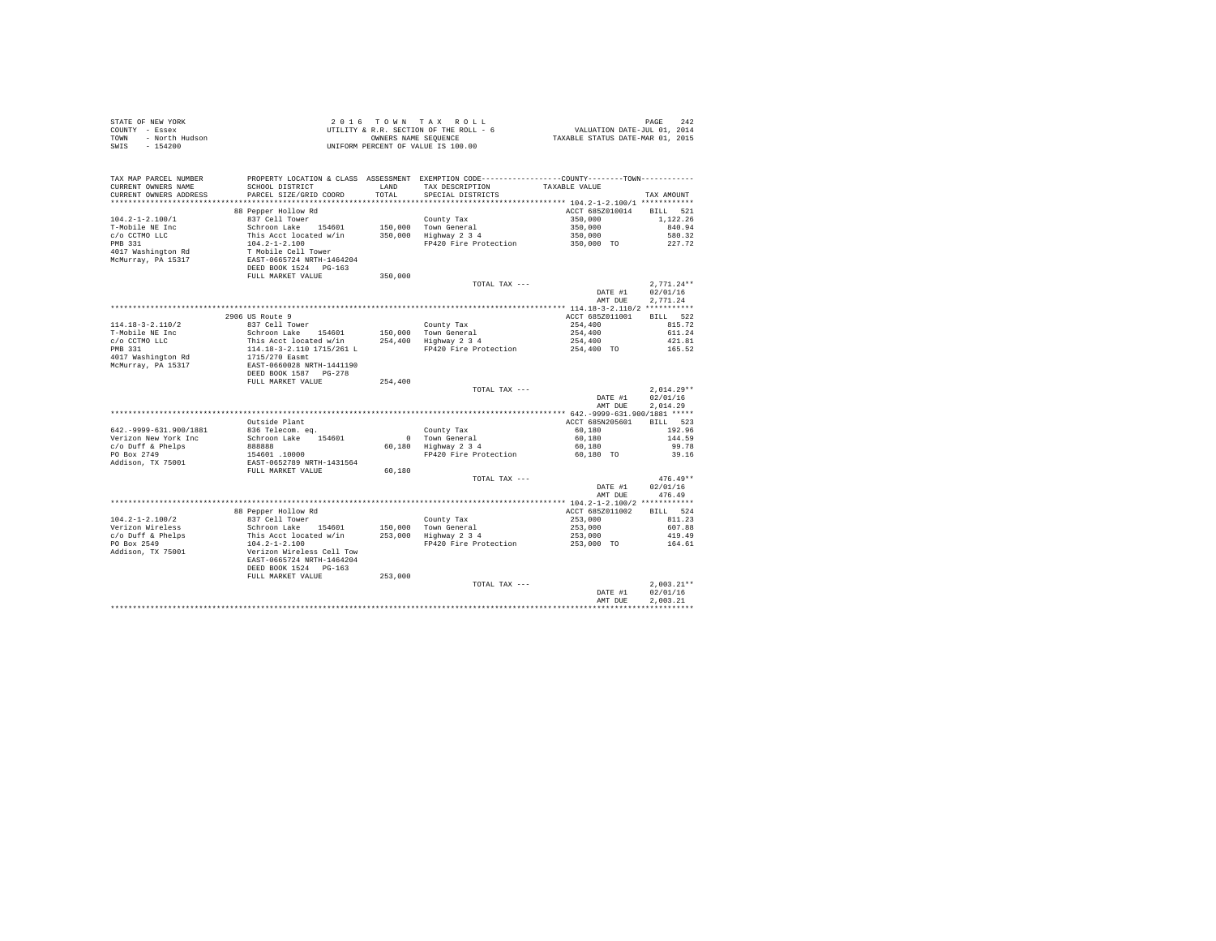| STATE OF NEW YORK<br>OF NEW YORK<br>- Essex<br>- North Hudson<br>-----<br>COUNTY - Essex<br><b>TOWN</b><br>SWIS |                                                                                                                                                                                                                                                                                                                                                                                                                                         |         |                                                                                                                                           |                                                     |                      |
|-----------------------------------------------------------------------------------------------------------------|-----------------------------------------------------------------------------------------------------------------------------------------------------------------------------------------------------------------------------------------------------------------------------------------------------------------------------------------------------------------------------------------------------------------------------------------|---------|-------------------------------------------------------------------------------------------------------------------------------------------|-----------------------------------------------------|----------------------|
| TAX MAP PARCEL NUMBER<br>CURRENT OWNERS NAME<br>CURRENT OWNERS ADDRESS                                          | SCHOOL DISTRICT<br>PARCEL SIZE/GRID COORD                                                                                                                                                                                                                                                                                                                                                                                               | TOTAL   | PROPERTY LOCATION & CLASS ASSESSMENT EXEMPTION CODE---------------COUNTY-------TOWN---------<br>LAND TAX DESCRIPTION<br>SPECIAL DISTRICTS | TAXABLE VALUE                                       | TAX AMOUNT           |
|                                                                                                                 | 88 Pepper Hollow Rd                                                                                                                                                                                                                                                                                                                                                                                                                     |         |                                                                                                                                           | ACCT 685Z010014 BILL 521                            |                      |
| $104.2 - 1 - 2.100/1$                                                                                           |                                                                                                                                                                                                                                                                                                                                                                                                                                         |         |                                                                                                                                           |                                                     | 1,122.26             |
| T-Mobile NE Inc                                                                                                 |                                                                                                                                                                                                                                                                                                                                                                                                                                         |         |                                                                                                                                           |                                                     | 840.94               |
| c/o CCTMO LLC<br>PMB 331                                                                                        |                                                                                                                                                                                                                                                                                                                                                                                                                                         |         |                                                                                                                                           |                                                     | 580.32               |
|                                                                                                                 |                                                                                                                                                                                                                                                                                                                                                                                                                                         |         | FP420 Fire Protection                                                                                                                     | $350,000$<br>$350,000$<br>$350,000$<br>$350,000$ TO | 227.72               |
| 4017 Washington Rd<br>McMurray, PA 15317                                                                        | % Pepper Hollow Rd<br>Schron Lake 154601 150,000 Town General<br>This Acct located w/in 150,000 Town General<br>104.2-1-2.100 Town General<br>104.2-1-2.100 FP420 Fire Protection<br>TAGNIE Cell Tower<br>RAST-0665724 RETH-1464204<br>DER B                                                                                                                                                                                            |         |                                                                                                                                           |                                                     |                      |
|                                                                                                                 |                                                                                                                                                                                                                                                                                                                                                                                                                                         |         |                                                                                                                                           |                                                     |                      |
|                                                                                                                 |                                                                                                                                                                                                                                                                                                                                                                                                                                         |         | TOTAL TAX ---                                                                                                                             |                                                     | $2,771.24**$         |
|                                                                                                                 |                                                                                                                                                                                                                                                                                                                                                                                                                                         |         |                                                                                                                                           | $\texttt{DATE}$ #1<br>AMT DUE                       | 02/01/16<br>2,771.24 |
|                                                                                                                 |                                                                                                                                                                                                                                                                                                                                                                                                                                         |         |                                                                                                                                           |                                                     |                      |
| $114.18 - 3 - 2.110/2$                                                                                          |                                                                                                                                                                                                                                                                                                                                                                                                                                         |         |                                                                                                                                           |                                                     |                      |
| T-Mobile NE Inc                                                                                                 |                                                                                                                                                                                                                                                                                                                                                                                                                                         |         |                                                                                                                                           |                                                     |                      |
|                                                                                                                 |                                                                                                                                                                                                                                                                                                                                                                                                                                         |         |                                                                                                                                           |                                                     |                      |
| c/o CCTMO LLC<br>PMB 331<br>PMB 331                                                                             |                                                                                                                                                                                                                                                                                                                                                                                                                                         |         |                                                                                                                                           |                                                     |                      |
| 4017 Washington Rd                                                                                              |                                                                                                                                                                                                                                                                                                                                                                                                                                         |         |                                                                                                                                           |                                                     |                      |
| McMurray, PA 15317                                                                                              |                                                                                                                                                                                                                                                                                                                                                                                                                                         |         |                                                                                                                                           |                                                     |                      |
|                                                                                                                 |                                                                                                                                                                                                                                                                                                                                                                                                                                         |         |                                                                                                                                           |                                                     |                      |
|                                                                                                                 | FULL MARKET VALUE                                                                                                                                                                                                                                                                                                                                                                                                                       | 254,400 | TOTAL TAX ---                                                                                                                             |                                                     | $2.014.29**$         |
|                                                                                                                 |                                                                                                                                                                                                                                                                                                                                                                                                                                         |         |                                                                                                                                           | DATE #1                                             | 02/01/16             |
|                                                                                                                 |                                                                                                                                                                                                                                                                                                                                                                                                                                         |         |                                                                                                                                           | AMT DUE                                             | 2.014.29             |
|                                                                                                                 |                                                                                                                                                                                                                                                                                                                                                                                                                                         |         |                                                                                                                                           |                                                     |                      |
|                                                                                                                 | Outside Plant                                                                                                                                                                                                                                                                                                                                                                                                                           |         |                                                                                                                                           | ACCT 685N205601                                     | BILL 523             |
| 642. - 9999-631.900/1881                                                                                        | 836 Telecom. eq.                                                                                                                                                                                                                                                                                                                                                                                                                        |         |                                                                                                                                           |                                                     | 192.96               |
| Verizon New York Inc                                                                                            | Schroon Lake 154601                                                                                                                                                                                                                                                                                                                                                                                                                     |         | County Tax<br>0 Town General<br>60,180 Highway 2 3 4                                                                                      | $60,180$<br>60,180                                  | 144.59               |
| c/o Duff & Phelps                                                                                               |                                                                                                                                                                                                                                                                                                                                                                                                                                         |         |                                                                                                                                           | 60,180                                              | 99.78                |
| PO Box 2749<br>Addison, TX 75001                                                                                | 0688888<br>154601.10000<br>EAST-0652789 NRTH-1431564<br>FULL MARKET VALUE 60,180                                                                                                                                                                                                                                                                                                                                                        |         | FP420 Fire Protection 60,180 TO 39.16                                                                                                     |                                                     |                      |
|                                                                                                                 |                                                                                                                                                                                                                                                                                                                                                                                                                                         |         |                                                                                                                                           |                                                     |                      |
|                                                                                                                 |                                                                                                                                                                                                                                                                                                                                                                                                                                         |         | TOTAL TAX ---                                                                                                                             |                                                     | $476.49**$           |
|                                                                                                                 |                                                                                                                                                                                                                                                                                                                                                                                                                                         |         |                                                                                                                                           | DATE #1                                             | 02/01/16             |
|                                                                                                                 |                                                                                                                                                                                                                                                                                                                                                                                                                                         |         |                                                                                                                                           | AMT DUE                                             | 476.49               |
|                                                                                                                 |                                                                                                                                                                                                                                                                                                                                                                                                                                         |         |                                                                                                                                           |                                                     |                      |
|                                                                                                                 | 88 Pepper Hollow Rd                                                                                                                                                                                                                                                                                                                                                                                                                     |         |                                                                                                                                           | ACCT 685Z011002                                     | BILL 524             |
| $104.2 - 1 - 2.100/2$                                                                                           |                                                                                                                                                                                                                                                                                                                                                                                                                                         |         |                                                                                                                                           | $253,000$<br>$253,000$                              | 811.23               |
| Verizon Wireless<br>c/o Duff & Phelps                                                                           |                                                                                                                                                                                                                                                                                                                                                                                                                                         |         |                                                                                                                                           |                                                     | 607.88<br>419.49     |
| PO Box 2549                                                                                                     | $\begin{tabular}{ll} \texttt{e.s.} \texttt{C} & \texttt{C} & \texttt{C} & \texttt{C} & \texttt{C} & \texttt{C} & \texttt{C} \\ \texttt{S} & \texttt{S} & \texttt{C} & \texttt{S} & \texttt{S} & \texttt{S} & \texttt{S} & \texttt{S} & \texttt{C} & \texttt{C} & \texttt{C} & \texttt{C} & \texttt{C} & \texttt{C} \\ \texttt{This is }\texttt{Acct} & \texttt{I} & \texttt{S} & \texttt{S} & \texttt{S} & \texttt{S} & \texttt{S} & \$ |         | FP420 Fire Protection                                                                                                                     | 253,000<br>253,000 TO                               | 164.61               |
| Addison, TX 75001                                                                                               |                                                                                                                                                                                                                                                                                                                                                                                                                                         |         |                                                                                                                                           |                                                     |                      |
|                                                                                                                 |                                                                                                                                                                                                                                                                                                                                                                                                                                         |         |                                                                                                                                           |                                                     |                      |
|                                                                                                                 | DEED BOOK 1524 PG-163                                                                                                                                                                                                                                                                                                                                                                                                                   |         |                                                                                                                                           |                                                     |                      |
|                                                                                                                 | FULL MARKET VALUE                                                                                                                                                                                                                                                                                                                                                                                                                       | 253,000 |                                                                                                                                           |                                                     |                      |
|                                                                                                                 |                                                                                                                                                                                                                                                                                                                                                                                                                                         |         | TOTAL TAX ---                                                                                                                             |                                                     | $2,003.21**$         |
|                                                                                                                 |                                                                                                                                                                                                                                                                                                                                                                                                                                         |         |                                                                                                                                           | DATE #1                                             | 02/01/16             |
|                                                                                                                 |                                                                                                                                                                                                                                                                                                                                                                                                                                         |         |                                                                                                                                           | AMT DUE                                             | 2.003.21             |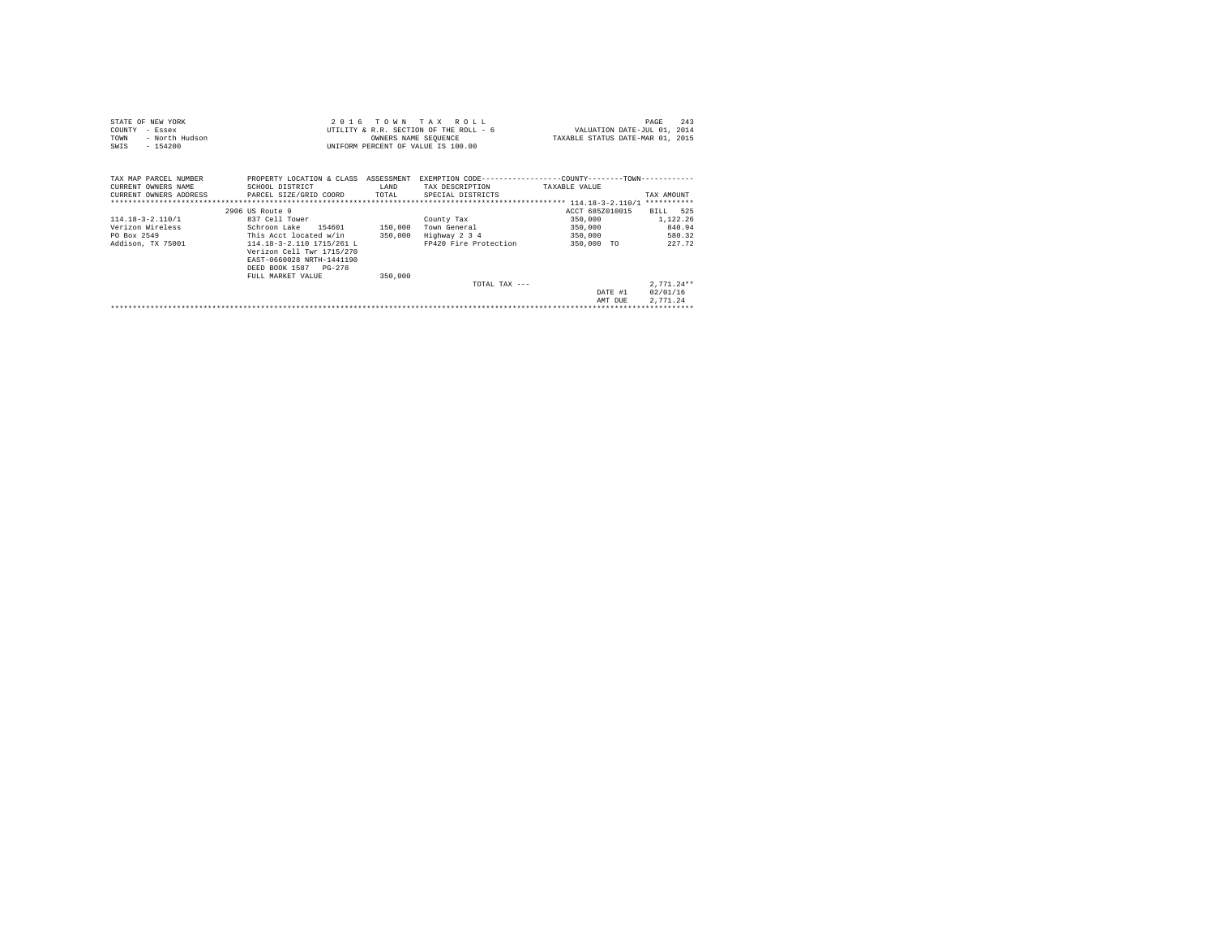| 2016 TOWN TAX ROLL<br>STATE OF NEW YORK<br>UTILITY & R.R. SECTION OF THE ROLL - 6<br>COUNTY<br>- Essex<br>TOWN<br>- North Hudson<br>OWNERS NAME SEQUENCE<br>$-154200$<br>UNIFORM PERCENT OF VALUE IS 100.00<br>SWIS                                                                                                                                                          | PAGE<br>VALUATION DATE-JUL 01, 2014<br>TAXABLE STATUS DATE-MAR 01, 2015                        | 243 |
|------------------------------------------------------------------------------------------------------------------------------------------------------------------------------------------------------------------------------------------------------------------------------------------------------------------------------------------------------------------------------|------------------------------------------------------------------------------------------------|-----|
| EXEMPTION CODE-----------------COUNTY-------TOWN-----------<br>TAX MAP PARCEL NUMBER<br>PROPERTY LOCATION & CLASS ASSESSMENT<br>CURRENT OWNERS NAME<br>SCHOOL DISTRICT<br>TAX DESCRIPTION<br><b>LAND</b><br>TAXABLE VALUE<br>CURRENT OWNERS ADDRESS PARCEL SIZE/GRID COORD TOTAL<br>SPECIAL DISTRICTS                                                                        | TAX AMOUNT                                                                                     |     |
|                                                                                                                                                                                                                                                                                                                                                                              | ACCT 685Z010015                                                                                |     |
| 2906 US Route 9<br>837 Cell Tower<br>$114.18 - 3 - 2.110/1$<br>County Tax<br>Verizon Wireless<br>Schroon Lake 154601 150,000<br>Town General<br>PO Box 2549<br>This Acct located w/in 350,000<br>Highway 2 3 4<br>FP420 Fire Protection<br>Addison, TX 75001<br>114.18-3-2.110 1715/261 L<br>Verizon Cell Twr 1715/270<br>EAST-0660028 NRTH-1441190<br>DEED BOOK 1587 PG-278 | BILL 525<br>350,000 1,122.26<br>840.94<br>350,000<br>350,000<br>580.32<br>350,000 TO<br>227.72 |     |
| 350,000<br>FULL MARKET VALUE<br>TOTAL TAX $---$                                                                                                                                                                                                                                                                                                                              | $2.771.24**$<br>02/01/16<br>DATE #1<br>2.771.24<br>AMT DUE                                     |     |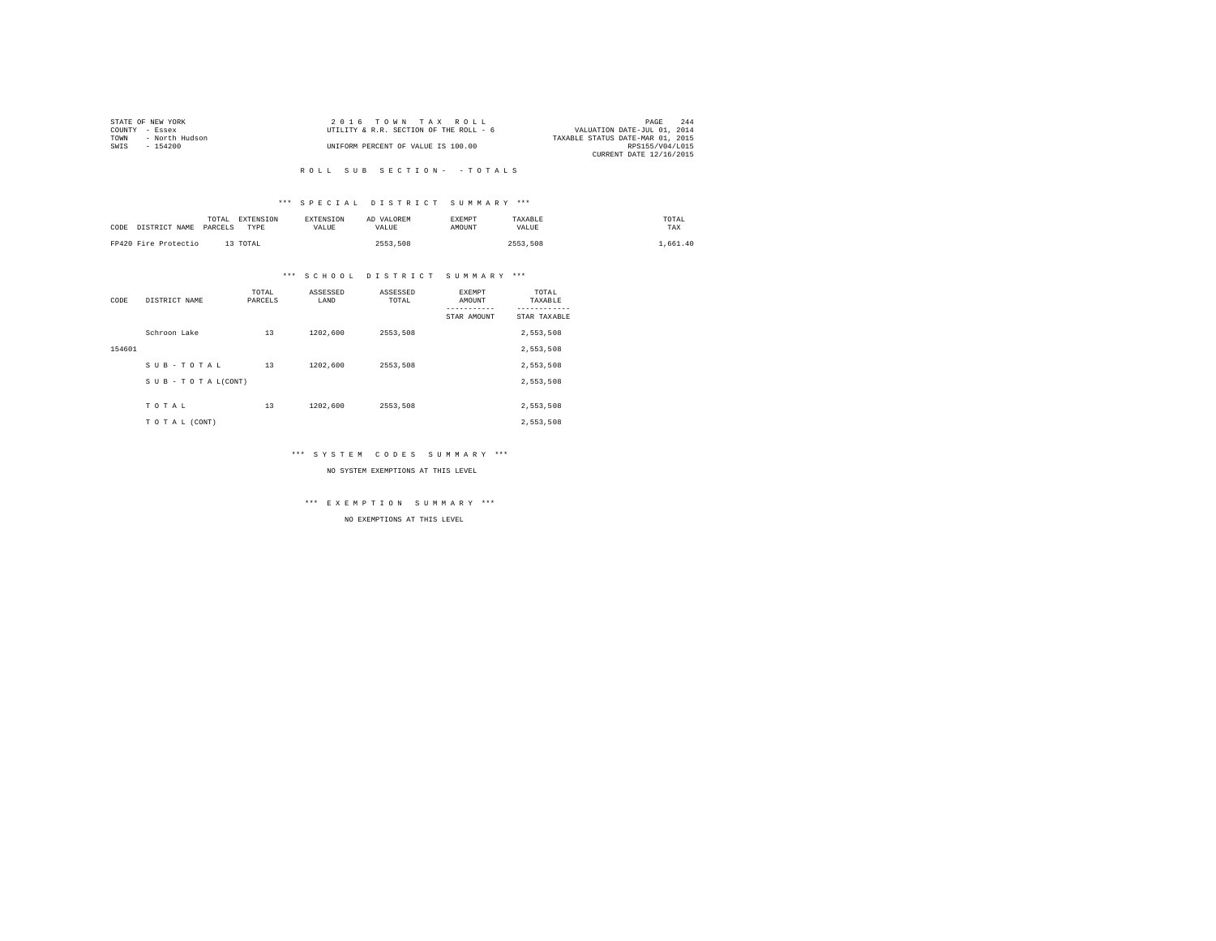|                | STATE OF NEW YORK | 2016 TOWN TAX ROLL                     | PAGE                             | 244 |
|----------------|-------------------|----------------------------------------|----------------------------------|-----|
| COUNTY - Essex |                   | UTILITY & R.R. SECTION OF THE ROLL - 6 | VALUATION DATE-JUL 01, 2014      |     |
| TOWN           | - North Hudson    |                                        | TAXABLE STATUS DATE-MAR 01, 2015 |     |
| SWTS           | $-154200$         | UNIFORM PERCENT OF VALUE IS 100.00     | RPS155/V04/L015                  |     |
|                |                   |                                        | CURRENT DATE 12/16/2015          |     |

### \*\*\* S P E C I A L D I S T R I C T S U M M A R Y \*\*\*

| CODE | DISTRICT NAME        | TOTAL<br>PARCELS | EXTENSION<br>TYPE | <b>EXTENSION</b><br>VALUE | AD VALOREM<br>VALUE | <b>EXEMPT</b><br>AMOUNT | TAXABLE<br>VALUE | TOTAL<br>TAX |
|------|----------------------|------------------|-------------------|---------------------------|---------------------|-------------------------|------------------|--------------|
|      | FP420 Fire Protectio |                  | 13 TOTAL          |                           | 2553.508            |                         | 2553.508         | .661.40      |

### \*\*\* S C H O O L D I S T R I C T S U M M A R Y \*\*\*

| CODE   | DISTRICT NAME      | TOTAL<br>PARCELS | ASSESSED<br>LAND | ASSESSED<br>TOTAL | EXEMPT<br>AMOUNT | TOTAL<br>TAXABLE |
|--------|--------------------|------------------|------------------|-------------------|------------------|------------------|
|        |                    |                  |                  |                   | STAR AMOUNT      | STAR TAXABLE     |
|        | Schroon Lake       | 13               | 1202,600         | 2553,508          |                  | 2,553,508        |
| 154601 |                    |                  |                  |                   |                  | 2,553,508        |
|        | SUB-TOTAL          | 13               | 1202.600         | 2553.508          |                  | 2,553,508        |
|        | SUB - TO TAL(CONT) |                  |                  |                   |                  | 2,553,508        |
|        |                    |                  |                  |                   |                  |                  |
|        | TOTAL              | 13               | 1202.600         | 2553,508          |                  | 2,553,508        |
|        | TO TAL (CONT)      |                  |                  |                   |                  | 2,553,508        |

### \*\*\* S Y S T E M C O D E S S U M M A R Y \*\*\*

#### NO SYSTEM EXEMPTIONS AT THIS LEVEL

\*\*\* E X E M P T I O N S U M M A R Y \*\*\*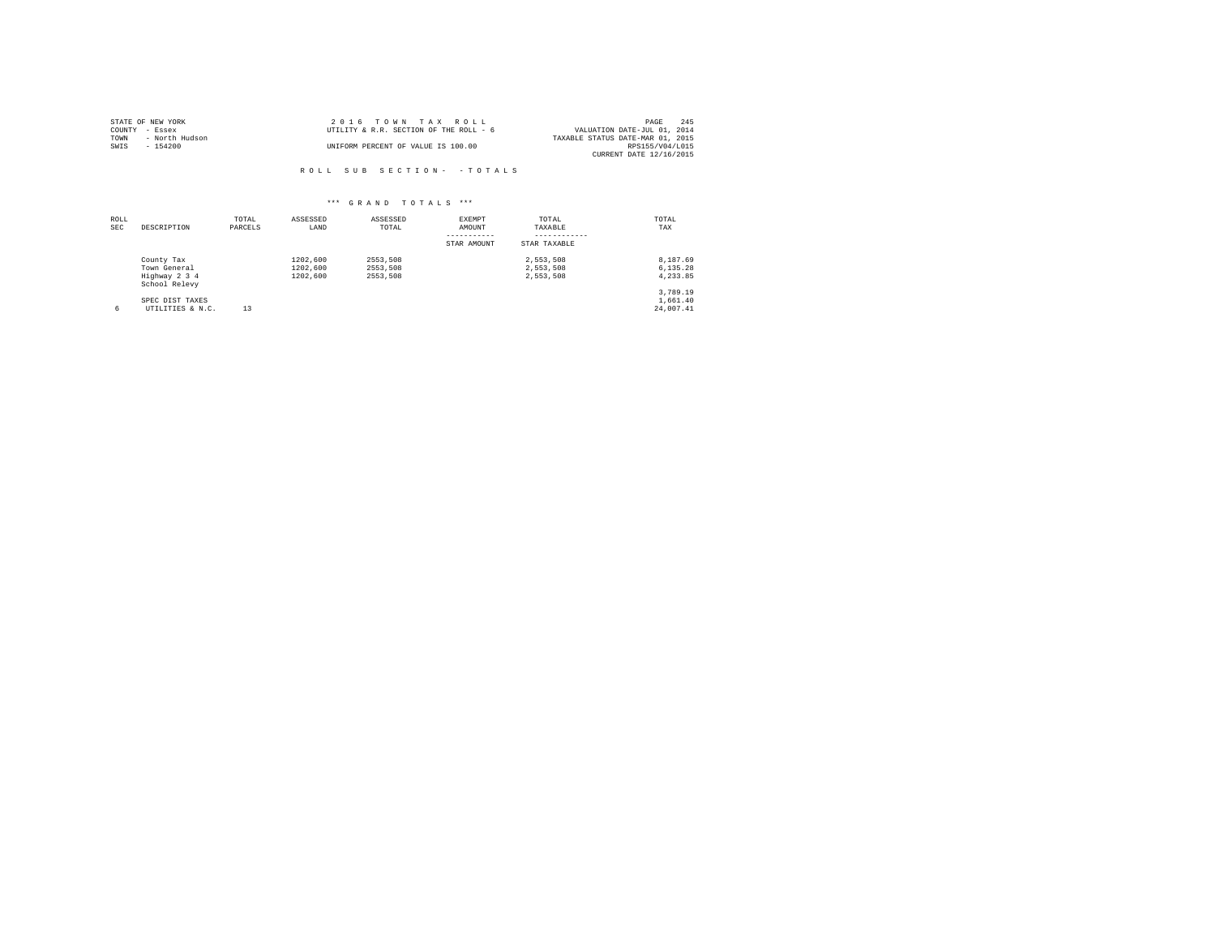| STATE OF NEW YORK |                | 2016 TOWN TAX ROLL                     | PAGE                             | 245 |
|-------------------|----------------|----------------------------------------|----------------------------------|-----|
| COUNTY - Essex    |                | UTILITY & R.R. SECTION OF THE ROLL - 6 | VALUATION DATE-JUL 01, 2014      |     |
| TOWN              | - North Hudson |                                        | TAXABLE STATUS DATE-MAR 01, 2015 |     |
| SWIS              | $-154200$      | UNIFORM PERCENT OF VALUE IS 100.00     | RPS155/V04/L015                  |     |
|                   |                |                                        | CURRENT DATE 12/16/2015          |     |

| ROLL<br>SEC | DESCRIPTION                                                  | TOTAL<br>PARCELS | ASSESSED<br>LAND                 | ASSESSED<br>TOTAL                | EXEMPT<br>AMOUNT<br>----------- | TOTAL<br>TAXABLE<br>------------    | TOTAL<br>TAX                      |
|-------------|--------------------------------------------------------------|------------------|----------------------------------|----------------------------------|---------------------------------|-------------------------------------|-----------------------------------|
|             |                                                              |                  |                                  |                                  | STAR AMOUNT                     | STAR TAXABLE                        |                                   |
|             | County Tax<br>Town General<br>Highway 2 3 4<br>School Relevy |                  | 1202,600<br>1202,600<br>1202,600 | 2553.508<br>2553.508<br>2553.508 |                                 | 2.553.508<br>2.553.508<br>2.553.508 | 8.187.69<br>6.135.28<br>4,233.85  |
| б.          | SPEC DIST TAXES<br>UTILITIES & N.C.                          | 13               |                                  |                                  |                                 |                                     | 3.789.19<br>1,661.40<br>24,007.41 |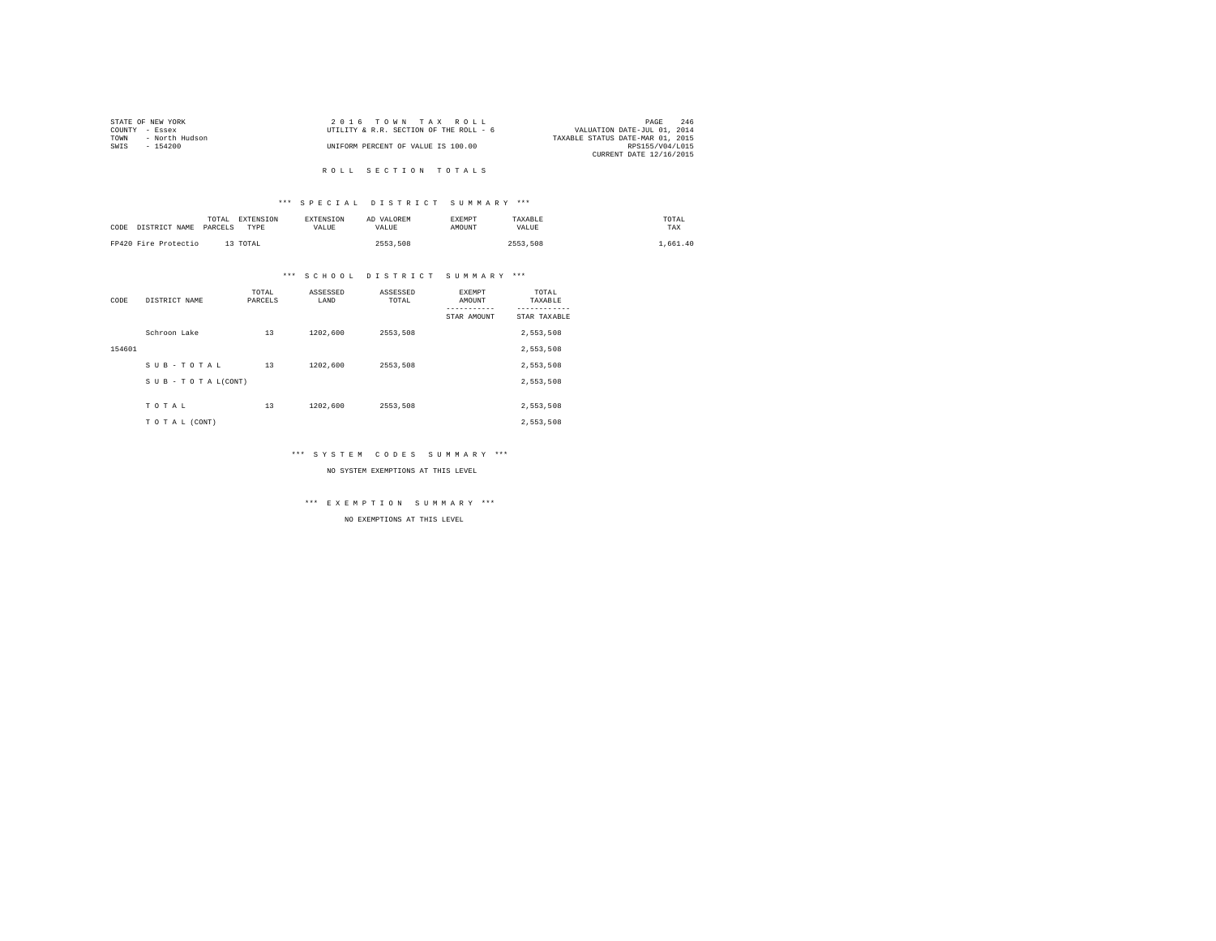|      | STATE OF NEW YORK | 2016 TOWN TAX ROLL                     | PAGE                             | 246 |
|------|-------------------|----------------------------------------|----------------------------------|-----|
|      | COUNTY - Essex    | UTILITY & R.R. SECTION OF THE ROLL - 6 | VALUATION DATE-JUL 01, 2014      |     |
| TOWN | - North Hudson    |                                        | TAXABLE STATUS DATE-MAR 01, 2015 |     |
| SWIS | - 154200          | UNIFORM PERCENT OF VALUE IS 100.00     | RPS155/V04/L015                  |     |
|      |                   |                                        | CURRENT DATE 12/16/2015          |     |
|      |                   |                                        |                                  |     |

## R O L L S E C T I O N T O T A L S

### \*\*\* S P E C I A L D I S T R I C T S U M M A R Y \*\*\*

| CODE | DISTRICT NAME        | EXTENSION<br>TOTAL<br>PARCELS<br>TYPE | <b>EXTENSION</b><br><b>VALUE</b> | AD VALOREM<br>VALIJE | EXEMPT<br>AMOUNT | TAXABLE<br>VALUE | TOTAL<br>TAX |
|------|----------------------|---------------------------------------|----------------------------------|----------------------|------------------|------------------|--------------|
|      | FP420 Fire Protectio | 13 TOTAL                              |                                  | 2553.508             |                  | 2553.508         | 1,661.40     |

### \*\*\* S C H O O L D I S T R I C T S U M M A R Y \*\*\*

| CODE   | DISTRICT NAME      | TOTAL<br>PARCELS | ASSESSED<br>LAND | ASSESSED<br>TOTAL | <b>EXEMPT</b><br>AMOUNT | TOTAL<br>TAXABLE |
|--------|--------------------|------------------|------------------|-------------------|-------------------------|------------------|
|        |                    |                  |                  |                   | STAR AMOUNT             | STAR TAXABLE     |
|        | Schroon Lake       | 13               | 1202.600         | 2553,508          |                         | 2,553,508        |
| 154601 |                    |                  |                  |                   |                         | 2,553,508        |
|        | SUB-TOTAL          | 13               | 1202.600         | 2553.508          |                         | 2,553,508        |
|        | SUB - TO TAL(CONT) |                  |                  |                   |                         | 2,553,508        |
|        |                    |                  |                  |                   |                         |                  |
|        | TOTAL              | 13               | 1202.600         | 2553,508          |                         | 2,553,508        |
|        | TO TAL (CONT)      |                  |                  |                   |                         | 2,553,508        |

### \*\*\* S Y S T E M C O D E S S U M M A R Y \*\*\*

NO SYSTEM EXEMPTIONS AT THIS LEVEL

\*\*\* E X E M P T I O N S U M M A R Y \*\*\*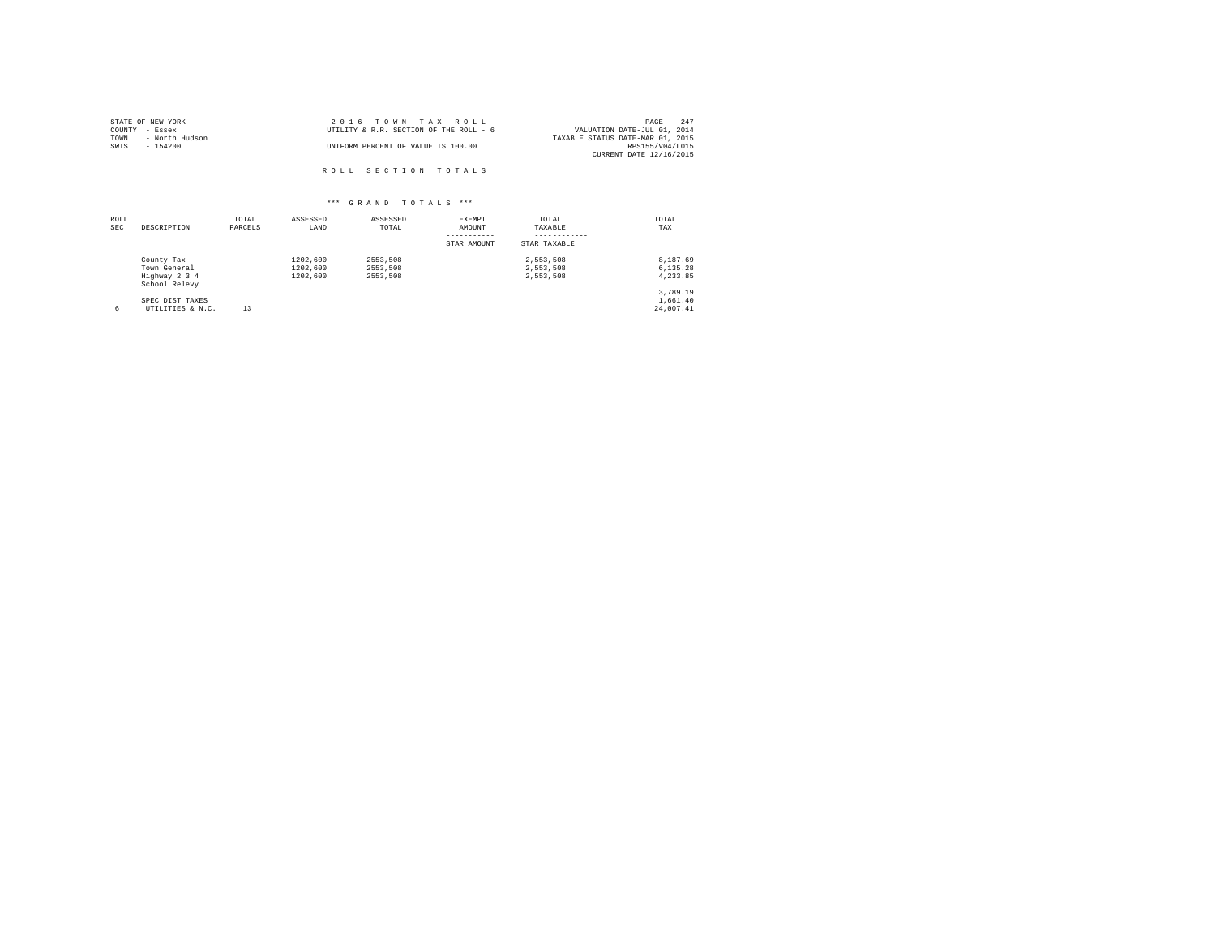| STATE OF NEW YORK      | 2016 TOWN TAX ROLL                     | 247<br>PAGE                      |
|------------------------|----------------------------------------|----------------------------------|
| COUNTY - Essex         | UTILITY & R.R. SECTION OF THE ROLL - 6 | VALUATION DATE-JUL 01, 2014      |
| - North Hudson<br>TOWN |                                        | TAXABLE STATUS DATE-MAR 01, 2015 |
| SWIS<br>- 154200       | UNIFORM PERCENT OF VALUE IS 100.00     | RPS155/V04/L015                  |
|                        |                                        | CURRENT DATE 12/16/2015          |
|                        |                                        |                                  |
|                        | ROLL SECTION TOTALS                    |                                  |

| ROLL<br><b>SEC</b> | DESCRIPTION                                                  | TOTAL<br>PARCELS | ASSESSED<br>LAND                 | ASSESSED<br>TOTAL                | EXEMPT<br>AMOUNT<br>STAR AMOUNT | TOTAL<br>TAXABLE<br>STAR TAXABLE    | TOTAL<br>TAX                      |
|--------------------|--------------------------------------------------------------|------------------|----------------------------------|----------------------------------|---------------------------------|-------------------------------------|-----------------------------------|
|                    | County Tax<br>Town General<br>Highway 2 3 4<br>School Relevy |                  | 1202.600<br>1202,600<br>1202,600 | 2553.508<br>2553.508<br>2553.508 |                                 | 2.553.508<br>2,553,508<br>2.553.508 | 8.187.69<br>6.135.28<br>4.233.85  |
| 6                  | SPEC DIST TAXES<br>UTILITIES & N.C.                          | 13               |                                  |                                  |                                 |                                     | 3.789.19<br>1,661.40<br>24,007.41 |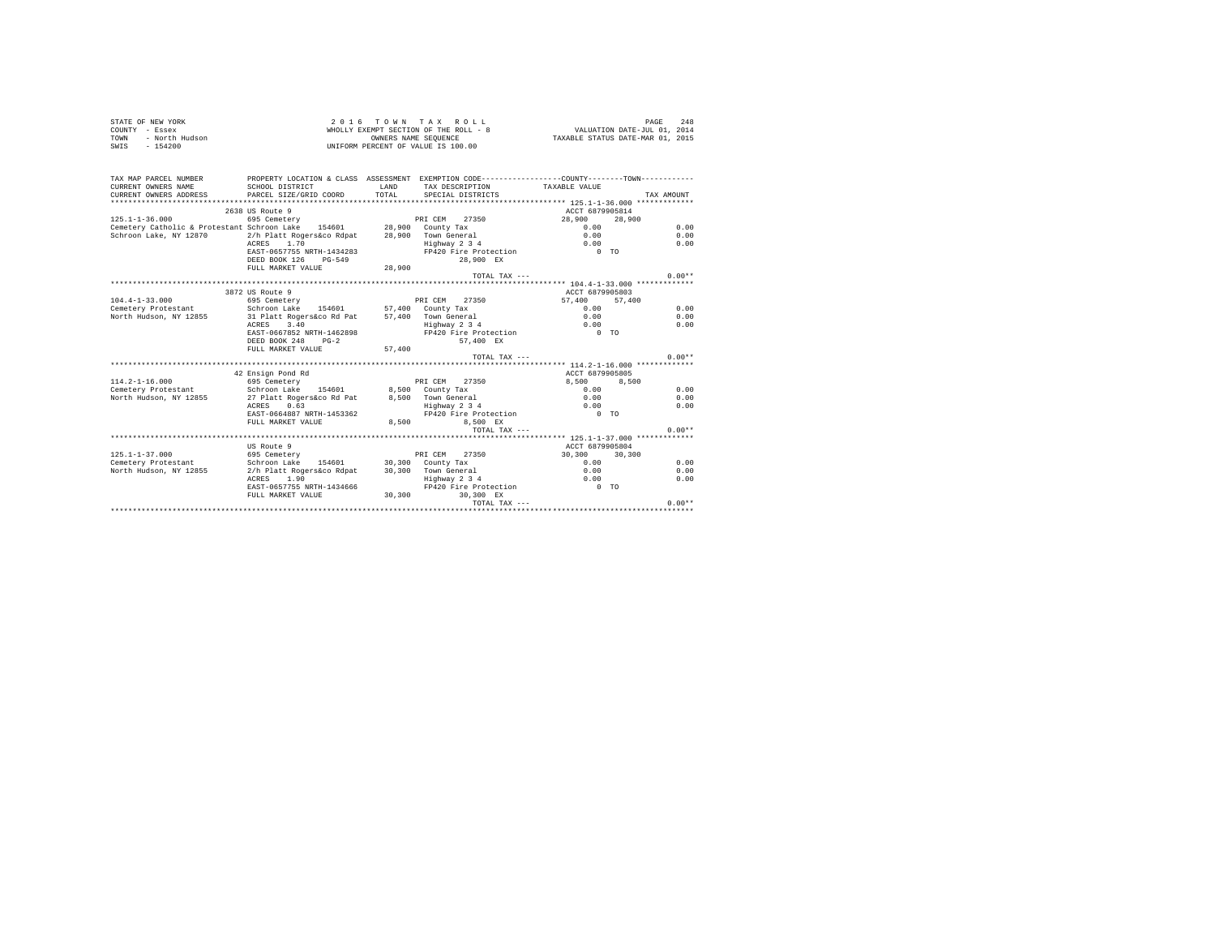| STATE OF NEW YORK      | 2016 TOWN TAX ROLL                    | 248<br>PAGE                      |
|------------------------|---------------------------------------|----------------------------------|
| COUNTY - Essex         | WHOLLY EXEMPT SECTION OF THE ROLL - 8 | VALUATION DATE-JUL 01, 2014      |
| TOWN<br>- North Hudson | OWNERS NAME SEOUENCE                  | TAXABLE STATUS DATE-MAR 01, 2015 |
| SWIS<br>$-154200$      | UNIFORM PERCENT OF VALUE IS 100.00    |                                  |

| TAX MAP PARCEL NUMBER                                                | PROPERTY LOCATION & CLASS ASSESSMENT EXEMPTION CODE---------------COUNTY-------TOWN--------- |              |                               |                 |            |          |
|----------------------------------------------------------------------|----------------------------------------------------------------------------------------------|--------------|-------------------------------|-----------------|------------|----------|
| CURRENT OWNERS NAME                                                  | SCHOOL DISTRICT                                                                              | <b>T.AND</b> | TAX DESCRIPTION TAXABLE VALUE |                 |            |          |
| CURRENT OWNERS ADDRESS                                               | PARCEL SIZE/GRID COORD                                                                       | TOTAL.       | SPECIAL DISTRICTS             |                 | TAX AMOUNT |          |
|                                                                      |                                                                                              |              |                               |                 |            |          |
|                                                                      | 2638 US Route 9                                                                              |              |                               | ACCT 6879905814 |            |          |
| $125.1 - 1 - 36.000$                                                 | 695 Cemetery                                                                                 |              | PRI CEM 27350                 | 28,900 28,900   |            |          |
| Cemetery Catholic & Protestant Schroon Lake 154601 28,900 County Tax |                                                                                              |              |                               | 0.00            |            | 0.00     |
| Schroon Lake, NY 12870                                               | 2/h Platt Rogers&co Rdpat                                                                    |              | 28,900 Town General           | 0.00            |            | 0.00     |
|                                                                      | ACRES 1.70                                                                                   |              | Highway 2 3 4                 | 0.00            |            | 0.00     |
|                                                                      | EAST-0657755 NRTH-1434283                                                                    |              | FP420 Fire Protection 0 TO    |                 |            |          |
|                                                                      | DEED BOOK 126<br>PG-549                                                                      |              | 28.900 EX                     |                 |            |          |
|                                                                      | FULL MARKET VALUE                                                                            | 28,900       |                               |                 |            |          |
|                                                                      |                                                                                              |              | TOTAL TAX ---                 |                 |            | $0.00**$ |
|                                                                      |                                                                                              |              |                               |                 |            |          |
|                                                                      | 3872 US Route 9                                                                              |              |                               | ACCT 6879905803 |            |          |
| $104.4 - 1 - 33.000$                                                 | 695 Cemetery                                                                                 |              | PRI CEM 27350                 | 57,400 57,400   |            |          |
| Cemetery Protestant                                                  | Schroon Lake 154601 57,400 County Tax                                                        |              |                               | 0.00            |            | 0.00     |
| North Hudson, NY 12855                                               | 31 Platt Rogers&co Rd Pat                                                                    |              | 57.400 Town General           | 0.00            |            | 0.00     |
|                                                                      | 3.40<br>ACRES                                                                                |              | Highway 2 3 4                 | 0.00            |            | 0.00     |
|                                                                      | EAST-0667852 NRTH-1462898                                                                    |              | FP420 Fire Protection         | $0$ TO          |            |          |
|                                                                      | DEED BOOK 248<br>$PG-2$                                                                      |              | 57.400 EX                     |                 |            |          |
|                                                                      | FULL MARKET VALUE                                                                            | 57,400       |                               |                 |            |          |
|                                                                      |                                                                                              |              | TOTAL TAX $---$               |                 |            | $0.00**$ |
|                                                                      |                                                                                              |              |                               |                 |            |          |
|                                                                      | 42 Ensign Pond Rd                                                                            |              |                               | ACCT 6879905805 |            |          |
| $114.2 - 1 - 16.000$                                                 | 695 Cemetery                                                                                 |              | PRI CEM<br>27350              | 8.500           | 8,500      |          |
| Cemetery Protestant . Schroon Lake 154601 8.500 County Tax           |                                                                                              |              |                               | 0.00            |            | 0.00     |
| North Hudson, NY 12855                                               | 27 Platt Rogers&co Rd Pat 8,500 Town General                                                 |              |                               | 0.00            |            | 0.00     |
|                                                                      | 0.63<br>ACRES                                                                                |              | Highway 2 3 4                 | 0.00            |            | 0.00     |
|                                                                      | EAST-0664887 NRTH-1453362                                                                    |              | FP420 Fire Protection         | $0$ TO          |            |          |
|                                                                      | FULL MARKET VALUE                                                                            | 8,500        | 8.500 EX                      |                 |            |          |
|                                                                      |                                                                                              |              | TOTAL TAX ---                 |                 |            | $0.00**$ |
|                                                                      |                                                                                              |              |                               |                 |            |          |
|                                                                      | US Route 9                                                                                   |              |                               | ACCT 6879905804 |            |          |
| $125.1 - 1 - 37.000$                                                 | 695 Cemetery                                                                                 |              | PRI CEM<br>27350              | 30,300 30,300   |            |          |
| Cemetery Protestant                                                  | Schroon Lake                                                                                 |              | 154601 30,300 County Tax      | 0.00            |            | 0.00     |
| North Hudson, NY 12855                                               | 2/h Platt Rogers&co Rdpat                                                                    |              | 30,300 Town General           | 0.00            |            | 0.00     |
|                                                                      | ACRES 1.90                                                                                   |              | Highway 2 3 4                 | 0.00            |            | 0.00     |
|                                                                      | EAST-0657755 NRTH-1434666                                                                    |              | FP420 Fire Protection         | $0$ TO          |            |          |
|                                                                      | FULL MARKET VALUE                                                                            | 30.300       | 30.300 EX                     |                 |            |          |
|                                                                      |                                                                                              |              | TOTAL TAX ---                 |                 |            | $0.00**$ |
|                                                                      |                                                                                              |              |                               |                 |            |          |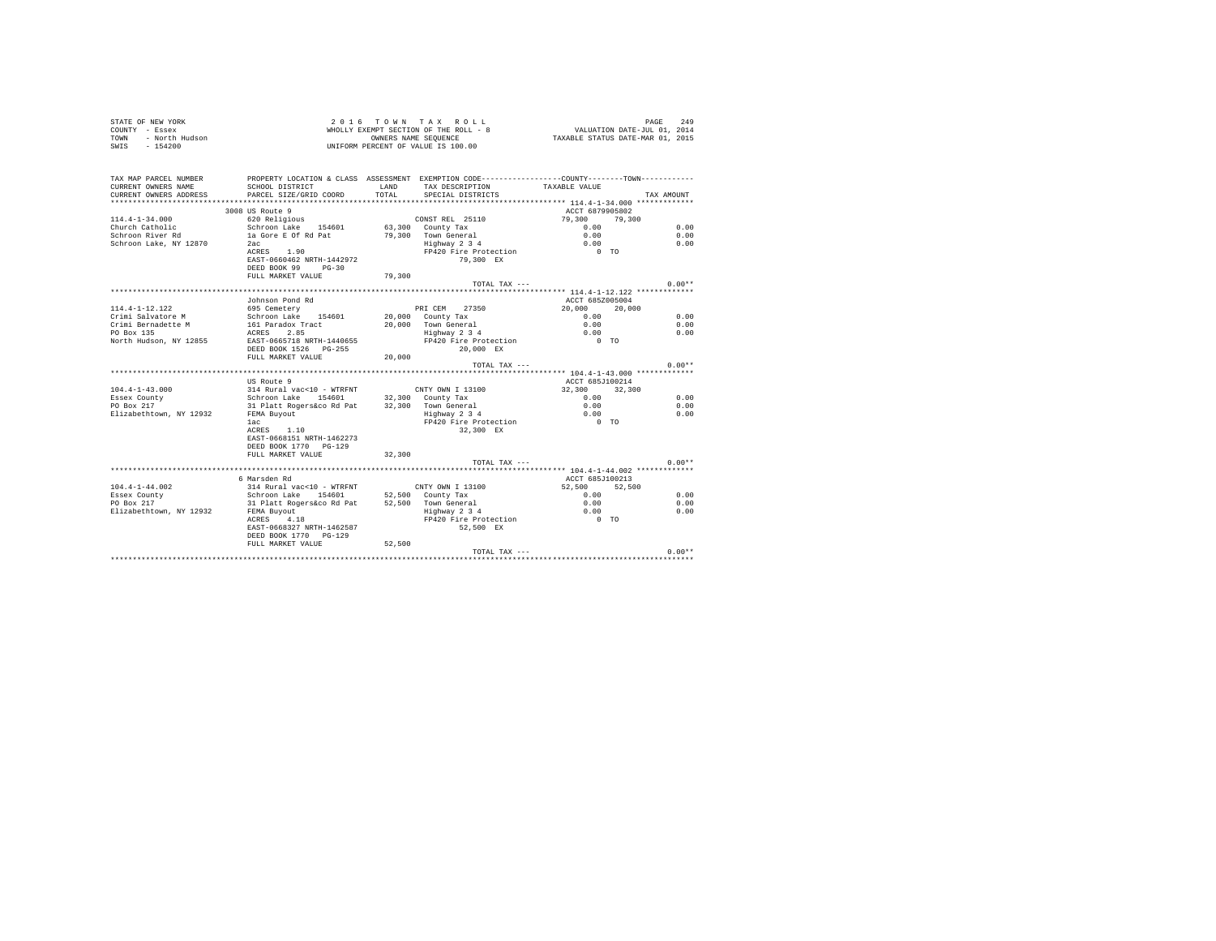| STATE OF NEW YORK      | 2016 TOWN TAX ROLL                    |                                  | PAGE                        | 249 |
|------------------------|---------------------------------------|----------------------------------|-----------------------------|-----|
| COUNTY - Essex         | WHOLLY EXEMPT SECTION OF THE ROLL - 8 |                                  | VALUATION DATE-JUL 01, 2014 |     |
| TOWN<br>- North Hudson | OWNERS NAME SEOUENCE                  | TAXABLE STATUS DATE-MAR 01, 2015 |                             |     |
| SWIS<br>- 154200       | UNIFORM PERCENT OF VALUE IS 100.00    |                                  |                             |     |

| TAX MAP PARCEL NUMBER       |                                                                                     |        | PROPERTY LOCATION & CLASS ASSESSMENT EXEMPTION CODE---------------COUNTY-------TOWN--------- |                                                     |            |
|-----------------------------|-------------------------------------------------------------------------------------|--------|----------------------------------------------------------------------------------------------|-----------------------------------------------------|------------|
| CURRENT OWNERS NAME         | SCHOOL DISTRICT                                                                     | LAND   | TAX DESCRIPTION                                                                              | TAXABLE VALUE                                       |            |
| CURRENT OWNERS ADDRESS      | PARCEL SIZE/GRID COORD                                                              | TOTAL  | SPECIAL DISTRICTS                                                                            |                                                     | TAX AMOUNT |
|                             |                                                                                     |        |                                                                                              |                                                     |            |
|                             | 3008 US Route 9                                                                     |        |                                                                                              | ACCT 6879905802                                     |            |
| 114.4-1-34.000              | 620 Religious CONST REL 25110                                                       |        |                                                                                              | 79,300 79,300                                       |            |
| Church Catholic             | Schroon Lake 154601 63,300 County Tax                                               |        |                                                                                              | 0.00                                                | 0.00       |
| Schroon River Rd            | la Gore E Of Rd Pat                                                                 |        | 79.300 Town General<br>Highway 2 3 4                                                         | 0.00                                                | 0.00       |
| Schroon Lake, NY 12870      | 2ac<br>ACRES 1.90                                                                   |        | FP420 Fire Protection                                                                        | 0.00<br>$0$ TO                                      | 0.00       |
|                             | EAST-0660462 NRTH-1442972                                                           |        | 79,300 EX                                                                                    |                                                     |            |
|                             | DEED BOOK 99 PG-30                                                                  |        |                                                                                              |                                                     |            |
|                             | FULL MARKET VALUE                                                                   | 79,300 |                                                                                              |                                                     |            |
|                             |                                                                                     |        | TOTAL TAX ---                                                                                |                                                     | $0.00**$   |
|                             |                                                                                     |        |                                                                                              |                                                     |            |
|                             | Johnson Pond Rd                                                                     |        |                                                                                              | ACCT 685Z005004                                     |            |
| 114.4-1-12.122              | 695 Cemetery                                                                        |        | PRI CEM 27350                                                                                | 20,000 20,000                                       |            |
|                             | Crimi Salvatore M Schroon Lake 154601 20,000 County Tax                             |        |                                                                                              | 0.00                                                | 0.00       |
| <br>Crimi Bernadette M      | 161 Paradox Tract<br>ACRES 2.85                                                     |        | 20,000 Town General                                                                          | 0.00                                                | 0.00       |
| PO Box 135                  |                                                                                     |        | Highway 2 3 4                                                                                | 0.00                                                | 0.00       |
|                             | North Hudson, NY 12855 EAST-0665718 NRTH-1440655                                    |        | FP420 Fire Protection                                                                        | $0$ TO                                              |            |
|                             | DEED BOOK 1526 PG-255                                                               |        | 20,000 EX                                                                                    |                                                     |            |
|                             | FULL MARKET VALUE 20,000                                                            |        |                                                                                              |                                                     |            |
|                             |                                                                                     |        | TOTAL TAX ---                                                                                |                                                     | $0.00**$   |
|                             |                                                                                     |        |                                                                                              |                                                     |            |
| $104.4 - 1 - 43.000$        | US Route 9<br>314 Rural vac<10 - WTRFNT                                             |        |                                                                                              | ACCT 685J100214                                     |            |
| Essex County                | Schroon Lake 154601                                                                 |        | CNTY OWN I 13100<br>$32,300$ County Tax                                                      | 32,300 32,300                                       | 0.00       |
| ------ councy<br>PO Box 217 | 31 Platt Rogers&co Rd Pat 32,300 Town General                                       |        |                                                                                              | $0.00$<br>$0.00$                                    | 0.00       |
| Elizabethtown, NY 12932     | FEMA Buyout                                                                         |        |                                                                                              |                                                     | 0.00       |
|                             | lac                                                                                 |        | Highway 2 3 4<br>FP420 Fire Protection                                                       | $\begin{matrix} 0.00 \\ 0 & \text{TO} \end{matrix}$ |            |
|                             | ACRES 1.10                                                                          |        | 32,300 EX                                                                                    |                                                     |            |
|                             | EAST-0668151 NRTH-1462273                                                           |        |                                                                                              |                                                     |            |
|                             | DEED BOOK 1770 PG-129                                                               |        |                                                                                              |                                                     |            |
|                             | FULL MARKET VALUE                                                                   | 32,300 |                                                                                              |                                                     |            |
|                             |                                                                                     |        | TOTAL TAX ---                                                                                |                                                     | $0.00**$   |
|                             |                                                                                     |        |                                                                                              |                                                     |            |
|                             | 6 Marsden Rd                                                                        |        |                                                                                              | ACCT 685J100213                                     |            |
| $104.4 - 1 - 44.002$        | 314 Rural vac<10 - WTRFNT CNTY OWN I 13100<br>Schroon Lake 154601 52,500 County Tax |        |                                                                                              | 52,500 52,500                                       |            |
| Essex County                |                                                                                     |        |                                                                                              | 0.00                                                | 0.00       |
| PO Box 217                  | 31 Platt Rogers&co Rd Pat 52,500 Town General<br>FEMA Buyout Highway 2 3 4          |        |                                                                                              | 0.00                                                | 0.00       |
| Elizabethtown, NY 12932     | FEMA Buyout                                                                         |        |                                                                                              | 0.00                                                | 0.00       |
|                             | ACRES 4.18                                                                          |        | FP420 Fire Protection 0 TO                                                                   |                                                     |            |
|                             | EAST-0668327 NRTH-1462587                                                           |        | 52,500 EX                                                                                    |                                                     |            |
|                             | DEED BOOK 1770 PG-129                                                               |        |                                                                                              |                                                     |            |
|                             | FULL MARKET VALUE 52,500                                                            |        |                                                                                              |                                                     |            |
|                             |                                                                                     |        |                                                                                              |                                                     |            |
|                             |                                                                                     |        |                                                                                              |                                                     |            |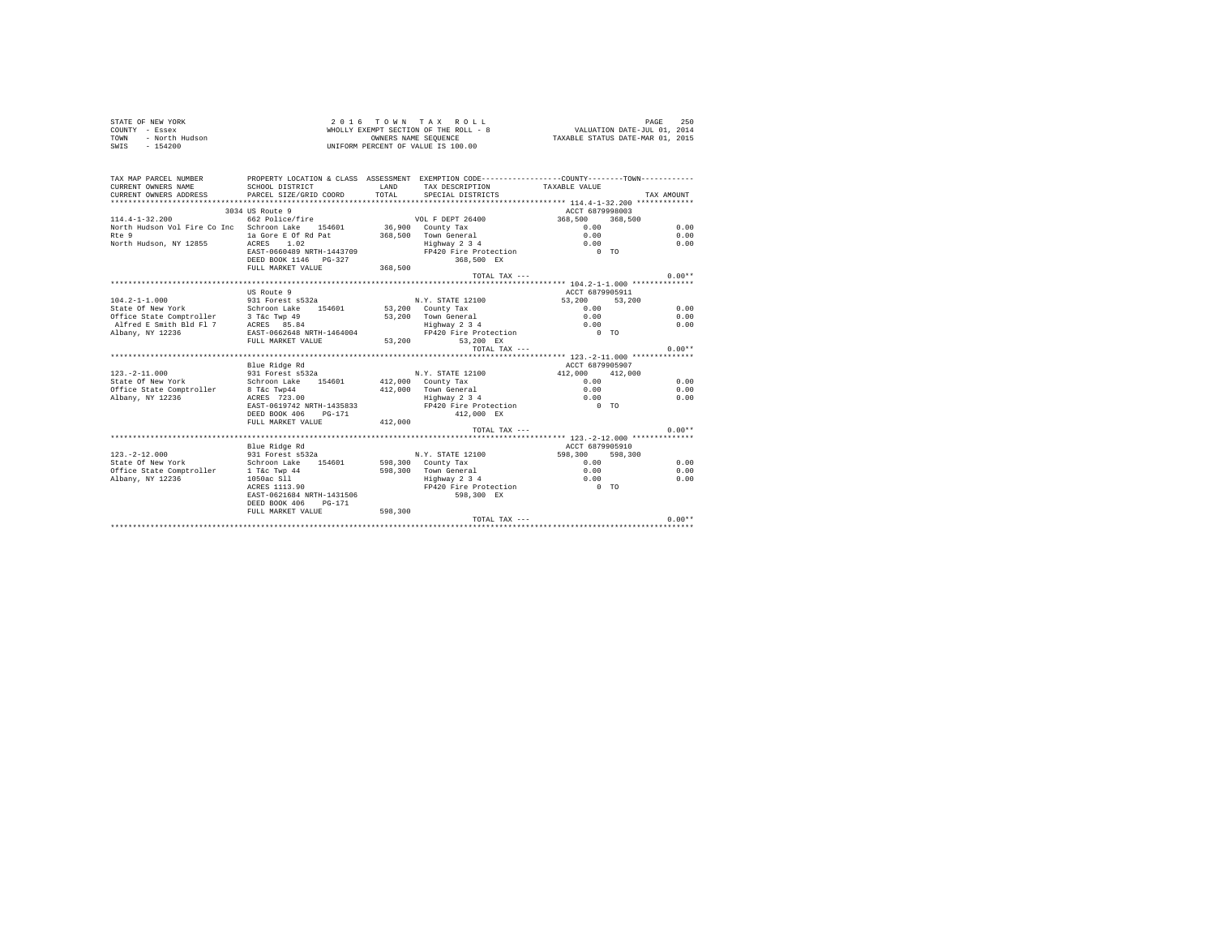| STATE OF NEW YORK      | 2016 TOWN TAX ROLL                    | 250<br>PAGE                      |
|------------------------|---------------------------------------|----------------------------------|
| COUNTY - Essex         | WHOLLY EXEMPT SECTION OF THE ROLL - 8 | VALUATION DATE-JUL 01, 2014      |
| TOWN<br>- North Hudson | OWNERS NAME SEOUENCE                  | TAXABLE STATUS DATE-MAR 01, 2015 |
| $-154200$<br>SWIS      | UNIFORM PERCENT OF VALUE IS 100.00    |                                  |

| TAX MAP PARCEL NUMBER                                              | PROPERTY LOCATION & CLASS ASSESSMENT EXEMPTION CODE-----------------COUNTY--------TOWN---------- |         |                                                                   |                 |          |
|--------------------------------------------------------------------|--------------------------------------------------------------------------------------------------|---------|-------------------------------------------------------------------|-----------------|----------|
| CURRENT OWNERS NAME                                                | SCHOOL DISTRICT                                                                                  | T.AND   | TAX DESCRIPTION TAXABLE VALUE                                     |                 |          |
|                                                                    |                                                                                                  |         |                                                                   |                 |          |
|                                                                    |                                                                                                  |         |                                                                   |                 |          |
|                                                                    | 3034 US Route 9                                                                                  |         |                                                                   | ACCT 6879998003 |          |
| $114.4 - 1 - 32.200$                                               | 662 Police/fire                                                                                  |         | VOL F DEPT 26400                                                  | 368,500 368,500 |          |
| North Hudson Vol Fire Co Inc Schroon Lake 154601 36,900 County Tax |                                                                                                  |         |                                                                   | 0.00            | 0.00     |
| Rte 9                                                              | la Gore E Of Rd Pat 368,500 Town General                                                         |         |                                                                   | 0.00            | 0.00     |
| North Hudson, NY 12855                                             | ACRES 1.02                                                                                       |         | Highway 2 3 4                                                     | 0.00            | 0.00     |
|                                                                    | EAST-0660489 NRTH-1443709                                                                        |         | FP420 Fire Protection                                             | $0$ TO          |          |
|                                                                    | DEED BOOK 1146 PG-327                                                                            |         | 368,500 EX                                                        |                 |          |
|                                                                    | FULL MARKET VALUE                                                                                | 368,500 |                                                                   |                 |          |
|                                                                    |                                                                                                  |         | TOTAL TAX ---                                                     |                 | $0.00**$ |
|                                                                    |                                                                                                  |         |                                                                   |                 |          |
|                                                                    | US Route 9                                                                                       |         |                                                                   | ACCT 6879905911 |          |
| $104.2 - 1 - 1.000$                                                | 931 Forest s532a                                                                                 |         | N.Y. STATE 12100                                                  | 53,200 53,200   |          |
| State Of New York                                                  | Schroon Lake 154601                                                                              |         | 53,200 County Tax                                                 | 0.00            | 0.00     |
| Office State Comptroller 3 T&c Twp 49                              |                                                                                                  |         | 53,200 Town General                                               | 0.00            | 0.00     |
| Alfred E Smith Bld Fl 7                                            | ACRES 85.84                                                                                      |         | Highway 2 3 4                                                     | 0.00            | 0.00     |
| Albany, NY 12236                                                   | EAST-0662648 NRTH-1464004                                                                        |         | Highway 2 3 4 0.00<br>FP420 Fire Protection 0 0 TO                |                 |          |
|                                                                    | FULL MARKET VALUE                                                                                |         | 53,200 53,200 EX                                                  |                 |          |
|                                                                    |                                                                                                  |         | TOTAL TAX $---$                                                   |                 | $0.00**$ |
|                                                                    |                                                                                                  |         |                                                                   |                 |          |
|                                                                    | Blue Ridge Rd                                                                                    |         |                                                                   | ACCT 6879905907 |          |
| $123. - 2 - 11.000$                                                | 931 Forest s532a                                                                                 |         | N.Y. STATE 12100                                                  | 412,000 412,000 |          |
| State Of New York                                                  | Schroon Lake 154601                                                                              |         | 412,000 County Tax                                                | 0.00            | 0.00     |
| Office State Comptroller                                           | 8 T&C Twp44                                                                                      |         | 412,000 Town General                                              | 0.00            | 0.00     |
| Albany, NY 12236                                                   | ACRES 723.00                                                                                     |         | Highway 2 3 4                                                     | 0.00            | 0.00     |
|                                                                    | EAST-0619742 NRTH-1435833                                                                        |         |                                                                   |                 |          |
|                                                                    | DEED BOOK 406<br>$PG-171$                                                                        |         | 412,000 EX                                                        |                 |          |
|                                                                    | FULL MARKET VALUE                                                                                | 412,000 |                                                                   |                 |          |
|                                                                    |                                                                                                  |         | TOTAL TAX $---$                                                   |                 | $0.00**$ |
|                                                                    |                                                                                                  |         |                                                                   |                 |          |
|                                                                    | Blue Ridge Rd                                                                                    |         |                                                                   | ACCT 6879905910 |          |
| $123. -2 - 12.000$                                                 | 931 Forest s532a                                                                                 |         | N.Y. STATE 12100                                                  | 598,300 598,300 |          |
| State Of New York                                                  | Schroon Lake<br>154601                                                                           |         | 598,300 County Tax                                                | 0.00            | 0.00     |
| Office State Comptroller                                           | 1 T&c Twp 44                                                                                     |         | 598,300 Town General                                              | 0.00            | 0.00     |
| Albany, NY 12236                                                   | 1050ac S11                                                                                       |         | Highway 2 3 4<br>Highway 2 3 4 0.00<br>FP420 Fire Protection 0 TO | 0.00            | 0.00     |
|                                                                    | ACRES 1113.90                                                                                    |         |                                                                   |                 |          |
|                                                                    | EAST-0621684 NRTH-1431506                                                                        |         | 598,300 EX                                                        |                 |          |
|                                                                    | DEED BOOK 406<br>$PG-171$                                                                        |         |                                                                   |                 |          |
|                                                                    | FULL MARKET VALUE                                                                                | 598,300 |                                                                   |                 |          |
|                                                                    |                                                                                                  |         |                                                                   | TOTAL TAX ---   | $0.00**$ |
|                                                                    |                                                                                                  |         |                                                                   |                 |          |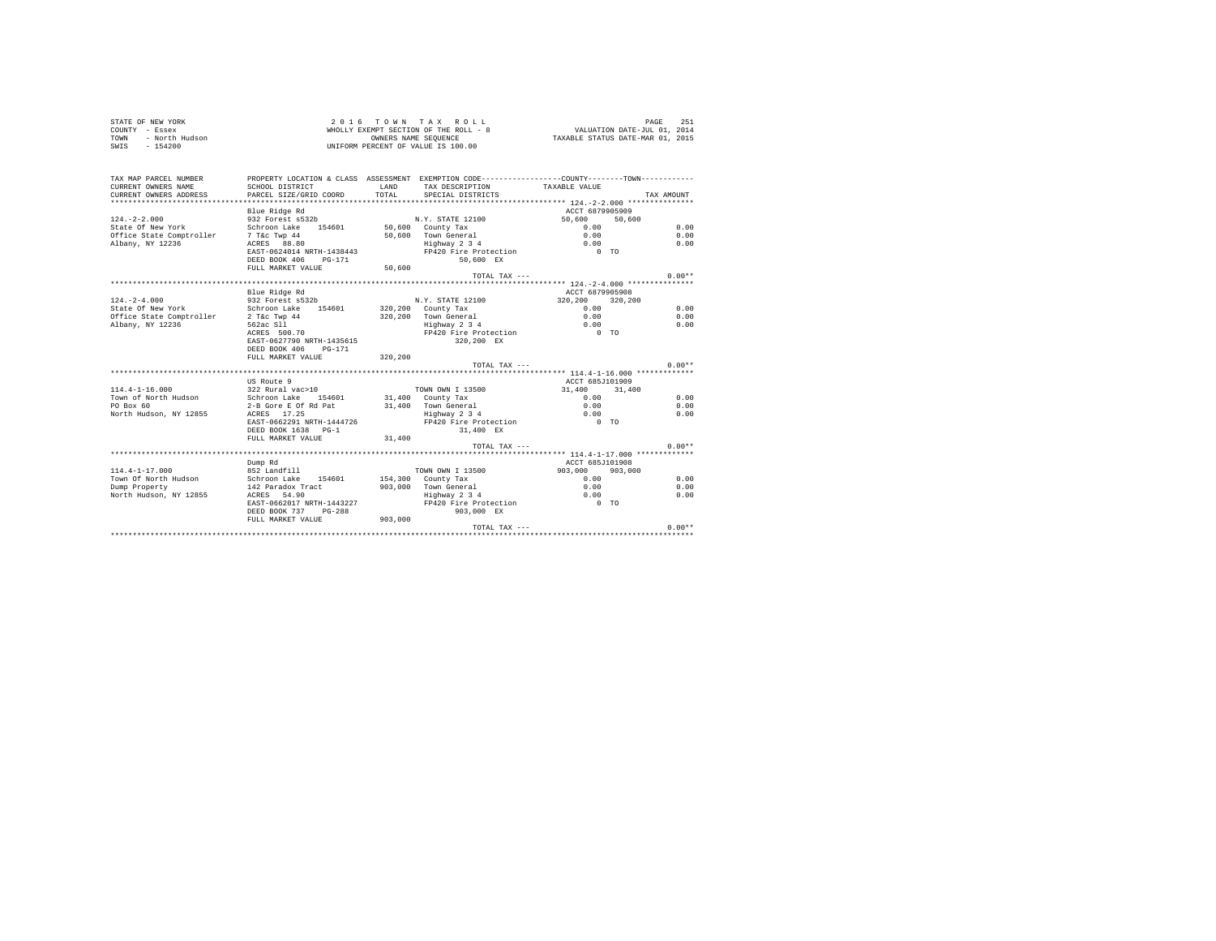| STATE OF NEW YORK      | 2016 TOWN TAX ROLL                    | PAGE                             | 251 |
|------------------------|---------------------------------------|----------------------------------|-----|
| COUNTY - Essex         | WHOLLY EXEMPT SECTION OF THE ROLL - 8 | VALUATION DATE-JUL 01, 2014      |     |
| TOWN<br>- North Hudson | OWNERS NAME SEOUENCE                  | TAXABLE STATUS DATE-MAR 01, 2015 |     |
| SWIS<br>- 154200       | UNIFORM PERCENT OF VALUE IS 100.00    |                                  |     |
|                        |                                       |                                  |     |

| TAX MAP PARCEL NUMBER                 |                                          |              |                            | PROPERTY LOCATION & CLASS ASSESSMENT EXEMPTION CODE---------------COUNTY-------TOWN--------- |            |
|---------------------------------------|------------------------------------------|--------------|----------------------------|----------------------------------------------------------------------------------------------|------------|
| CURRENT OWNERS NAME                   | SCHOOL DISTRICT                          | <b>T.AND</b> | TAX DESCRIPTION            | TAXABLE VALUE                                                                                |            |
| CURRENT OWNERS ADDRESS                | PARCEL SIZE/GRID COORD                   | TOTAL        | SPECIAL DISTRICTS          |                                                                                              | TAX AMOUNT |
|                                       |                                          |              |                            |                                                                                              |            |
|                                       | Blue Ridge Rd                            |              |                            | ACCT 6879905909                                                                              |            |
| $124. - 2 - 2.000$                    | 932 Forest s532b                         |              | N.Y. STATE 12100           | 50,600<br>50,600                                                                             |            |
| State Of New York                     | Schroon Lake 154601 50,600 County Tax    |              |                            | 0.00                                                                                         | 0.00       |
| Office State Comptroller 7 T&c Twp 44 |                                          |              | 50,600 Town General        | 0.00                                                                                         | 0.00       |
| Albany, NY 12236                      | ACRES 88.80                              |              | Highway 2 3 4              | 0.00                                                                                         | 0.00       |
|                                       | EAST-0624014 NRTH-1438443                |              | FP420 Fire Protection      | $0$ TO                                                                                       |            |
|                                       | DEED BOOK 406<br>PG-171                  |              | 50,600 EX                  |                                                                                              |            |
|                                       | FULL MARKET VALUE                        | 50,600       |                            |                                                                                              |            |
|                                       |                                          |              | TOTAL TAX ---              |                                                                                              | $0.00**$   |
|                                       |                                          |              |                            |                                                                                              |            |
|                                       | Blue Ridge Rd                            |              |                            | ACCT 6879905908                                                                              |            |
| $124. - 2 - 4.000$                    | 932 Forest s532b                         |              | N.Y. STATE 12100           | 320,200 320,200                                                                              |            |
| State Of New York                     | Schroon Lake                             |              | 154601 320,200 County Tax  | 0.00                                                                                         | 0.00       |
| Office State Comptroller              | 2 T&c Twp 44                             |              | 320.200 Town General       | 0.00                                                                                         | 0.00       |
| Albany, NY 12236                      | 562ac S11                                |              | Highway 2 3 4              | 0.00                                                                                         | 0.00       |
|                                       | ACRES 500.70                             |              | FP420 Fire Protection 0 TO |                                                                                              |            |
|                                       | EAST-0627790 NRTH-1435615                |              | 320,200 EX                 |                                                                                              |            |
|                                       | DEED BOOK 406 PG-171                     |              |                            |                                                                                              |            |
|                                       | FULL MARKET VALUE                        | 320, 200     |                            |                                                                                              |            |
|                                       |                                          |              | TOTAL TAX ---              |                                                                                              | $0.00**$   |
|                                       |                                          |              |                            |                                                                                              |            |
|                                       | US Route 9                               |              |                            | ACCT 685J101909                                                                              |            |
| $114.4 - 1 - 16.000$                  | 322 Rural vac>10                         |              | TOWN OWN I 13500           | 31,400 31,400                                                                                |            |
| Town of North Hudson                  | Schroon Lake 154601 31,400 County Tax    |              |                            | 0.00                                                                                         | 0.00       |
| PO Box 60                             | 2-B Gore E Of Rd Pat 31,400 Town General |              |                            | 0.00                                                                                         | 0.00       |
| North Hudson, NY 12855                | ACRES 17.25                              |              | Highway 2 3 4              | 0.00                                                                                         | 0.00       |
|                                       | EAST-0662291 NRTH-1444726                |              | FP420 Fire Protection      | $0$ TO                                                                                       |            |
|                                       | DEED BOOK 1638 PG-1                      |              | 31,400 EX                  |                                                                                              |            |
|                                       | FULL MARKET VALUE                        | 31,400       |                            |                                                                                              |            |
|                                       |                                          |              | TOTAL TAX $---$            |                                                                                              | $0.00**$   |
|                                       |                                          |              |                            |                                                                                              |            |
|                                       | Dump Rd                                  |              |                            | ACCT 685J101908                                                                              |            |
| $114.4 - 1 - 17.000$                  | 852 Landfill                             |              | TOWN OWN I 13500           | 903,000 903,000                                                                              |            |
| Town Of North Hudson                  | Schroon Lake 154601 154,300 County Tax   |              |                            | 0.00                                                                                         | 0.00       |
| Dump Property                         | 142 Paradox Tract                        |              | 903.000 Town General       | 0.00                                                                                         | 0.00       |
| North Hudson, NY 12855                | ACRES 54.90                              |              | $Highway$ 2 3 4            | 0.00                                                                                         | 0.00       |
|                                       | EAST-0662017 NRTH-1443227                |              | FP420 Fire Protection 0 TO |                                                                                              |            |
|                                       | DEED BOOK 737<br>$PG-288$                |              | 903,000 EX                 |                                                                                              |            |
|                                       | FULL MARKET VALUE                        | 903,000      |                            |                                                                                              |            |
|                                       |                                          |              | TOTAL TAX ---              |                                                                                              | $0.00**$   |
|                                       |                                          |              |                            |                                                                                              |            |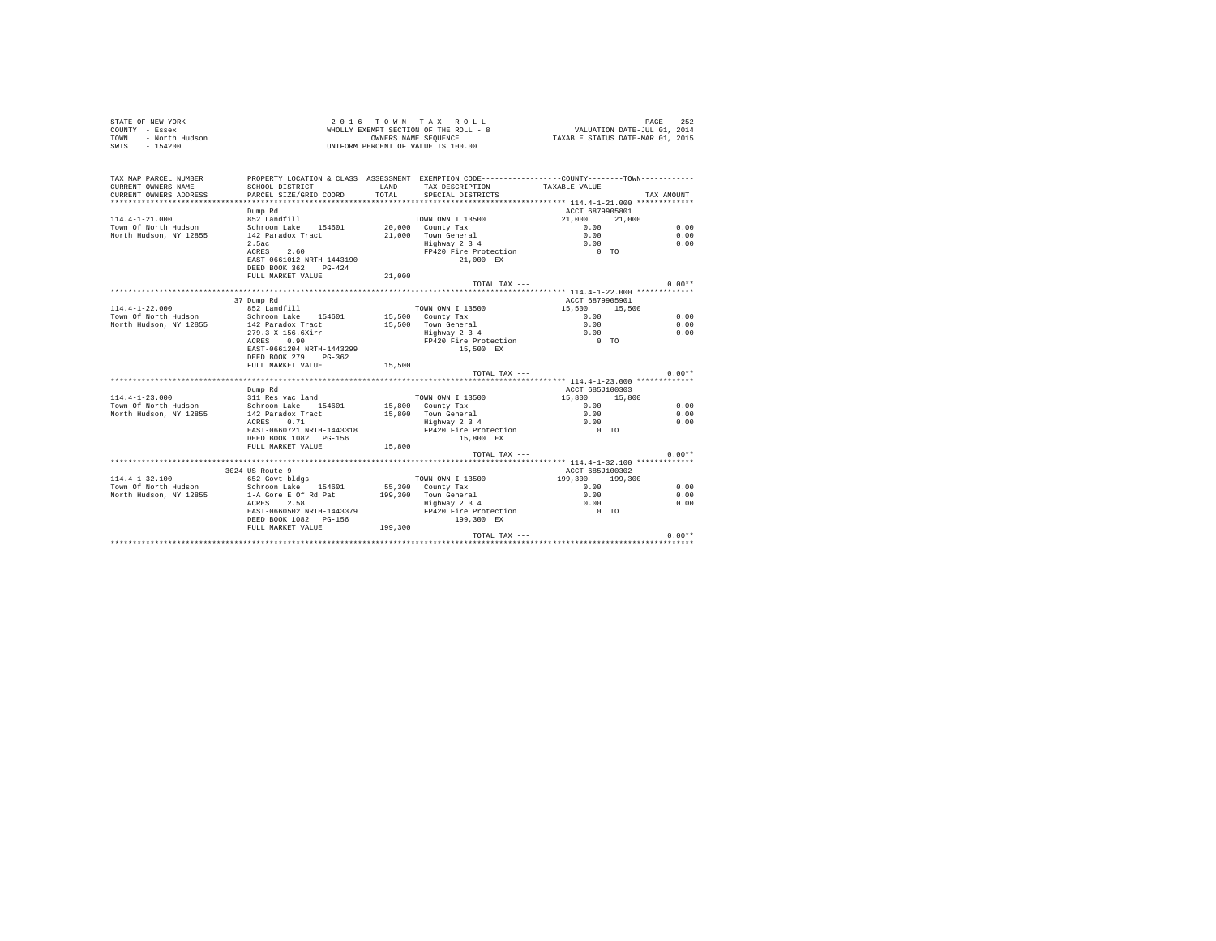| STATE OF NEW YORK $\begin{array}{cccc} \texttt{CODINT} & - \texttt{ESBW} & \texttt{ORK} & \texttt{NHOLLY} & \texttt{EXEMPT} & \texttt{SECT1UM } \cup \texttt{F} & \texttt{In} \dots \dots \end{array} \label{eq:2}$ TOWNT - Example of the formulation of the formulation of the formulation of the formulation of the formulat |                                                                                                                                            |                |                                                                                                |                                                    | PAGE<br>252 |
|---------------------------------------------------------------------------------------------------------------------------------------------------------------------------------------------------------------------------------------------------------------------------------------------------------------------------------|--------------------------------------------------------------------------------------------------------------------------------------------|----------------|------------------------------------------------------------------------------------------------|----------------------------------------------------|-------------|
| TAX MAP PARCEL NUMBER<br>CURRENT OWNERS NAME<br>CURRENT OWNERS ADDRESS                                                                                                                                                                                                                                                          | PROPERTY LOCATION & CLASS ASSESSMENT EXEMPTION CODE---------------COUNTY-------TOWN----------<br>SCHOOL DISTRICT<br>PARCEL SIZE/GRID COORD | LAND<br>TOTAL. | TAX DESCRIPTION<br>SPECIAL DISTRICTS                                                           | TAXABLE VALUE                                      | TAX AMOUNT  |
|                                                                                                                                                                                                                                                                                                                                 | Dump Rd                                                                                                                                    |                |                                                                                                | ACCT 6879905801                                    |             |
| $114.4 - 1 - 21.000$                                                                                                                                                                                                                                                                                                            |                                                                                                                                            |                | TOWN OWN I 13500                                                                               | 21,000<br>21,000                                   |             |
| Town Of North Hudson                                                                                                                                                                                                                                                                                                            | 852 Landfill<br>Schroon Lake 154601                                                                                                        |                | TOWN OWN I 13500<br>20,000 County Tax                                                          | 0.00                                               | 0.00        |
| North Hudson, NY 12855                                                                                                                                                                                                                                                                                                          | 142 Paradox Tract                                                                                                                          |                |                                                                                                | 0.00                                               | 0.00        |
|                                                                                                                                                                                                                                                                                                                                 | 2.5ac                                                                                                                                      |                | 21,000 Town General<br>Highway 2 3 4                                                           | 0.00                                               | 0.00        |
|                                                                                                                                                                                                                                                                                                                                 | ACRES 2.60                                                                                                                                 |                | FP420 Fire Protection                                                                          | $0$ TO                                             |             |
|                                                                                                                                                                                                                                                                                                                                 | EAST-0661012 NRTH-1443190                                                                                                                  |                | 21,000 EX                                                                                      |                                                    |             |
|                                                                                                                                                                                                                                                                                                                                 | DEED BOOK 362 PG-424                                                                                                                       |                |                                                                                                |                                                    |             |
|                                                                                                                                                                                                                                                                                                                                 | FULL MARKET VALUE                                                                                                                          | 21,000         |                                                                                                |                                                    |             |
|                                                                                                                                                                                                                                                                                                                                 |                                                                                                                                            |                | TOTAL TAX ---                                                                                  |                                                    | $0.00**$    |
|                                                                                                                                                                                                                                                                                                                                 |                                                                                                                                            |                |                                                                                                |                                                    |             |
|                                                                                                                                                                                                                                                                                                                                 | 37 Dump Rd                                                                                                                                 |                |                                                                                                | ACCT 6879905901                                    |             |
| $114.4 - 1 - 22.000$                                                                                                                                                                                                                                                                                                            | 852 Landfill                                                                                                                               |                | TOWN OWN I 13500                                                                               | 15,500 15,500                                      |             |
| Town Of North Hudson                                                                                                                                                                                                                                                                                                            | Schroon Lake 154601                                                                                                                        |                | 15,500 County Tax                                                                              | 0.00                                               | 0.00        |
| North Hudson, NY 12855                                                                                                                                                                                                                                                                                                          | 142 Paradox Tract                                                                                                                          |                |                                                                                                |                                                    | 0.00        |
|                                                                                                                                                                                                                                                                                                                                 | 279.3 X 156.6Xirr                                                                                                                          |                |                                                                                                |                                                    | 0.00        |
|                                                                                                                                                                                                                                                                                                                                 | $\frac{27}{27}$ and $\frac{1}{20}$ . $\frac{0.90}{27}$                                                                                     |                | 15,500 Town General<br>15,500 Town General<br>Highway 2 3 4 0.00<br>FP420 Fire Protection 0 TO |                                                    |             |
|                                                                                                                                                                                                                                                                                                                                 | EAST-0661204 NRTH-1443299                                                                                                                  |                | 15,500 EX                                                                                      |                                                    |             |
|                                                                                                                                                                                                                                                                                                                                 | DEED BOOK 279 PG-362                                                                                                                       |                |                                                                                                |                                                    |             |
|                                                                                                                                                                                                                                                                                                                                 | FULL MARKET VALUE 15,500                                                                                                                   |                |                                                                                                |                                                    |             |
|                                                                                                                                                                                                                                                                                                                                 |                                                                                                                                            |                | TOTAL TAX ---                                                                                  |                                                    | $0.00**$    |
|                                                                                                                                                                                                                                                                                                                                 |                                                                                                                                            |                |                                                                                                |                                                    |             |
|                                                                                                                                                                                                                                                                                                                                 | Dump Rd                                                                                                                                    |                |                                                                                                | ACCT 685J100303                                    |             |
|                                                                                                                                                                                                                                                                                                                                 |                                                                                                                                            |                | TOWN OWN I 13500                                                                               | 15,800 15,800                                      |             |
| $\begin{array}{lllllllllllll} 114.4\hbox{-}1\hbox{-}23.000 & 311\hbox{ Res}\text{ vac land} & \text{TOWN ONN I} & 13500 \\ \text{ Town Of North Hudson} & \text{Schroon Lake} & 154601 & 15,800 & \text{Country Tax} \end{array}$                                                                                               |                                                                                                                                            |                |                                                                                                | 0.00                                               | 0.00        |
| North Hudson, NY 12855                                                                                                                                                                                                                                                                                                          | 142 Paradox Tract                                                                                                                          |                |                                                                                                | 0.00                                               | 0.00        |
|                                                                                                                                                                                                                                                                                                                                 | ACRES 0.71                                                                                                                                 |                |                                                                                                | 0.00                                               | 0.00        |
|                                                                                                                                                                                                                                                                                                                                 | EAST-0660721 NRTH-1443318                                                                                                                  |                | 15,800 Town General<br>Highway 2 3 4<br>FP420 Fire Protection                                  | $0$ TO                                             |             |
|                                                                                                                                                                                                                                                                                                                                 | DEED BOOK 1082 PG-156                                                                                                                      |                | 15,800 EX                                                                                      |                                                    |             |
|                                                                                                                                                                                                                                                                                                                                 | FULL MARKET VALUE 15,800                                                                                                                   |                |                                                                                                |                                                    |             |
|                                                                                                                                                                                                                                                                                                                                 |                                                                                                                                            |                | TOTAL TAX ---                                                                                  |                                                    | $0.00**$    |
|                                                                                                                                                                                                                                                                                                                                 |                                                                                                                                            |                |                                                                                                | ********************* 114.4-1-32.100 ************* |             |
|                                                                                                                                                                                                                                                                                                                                 | 3024 US Route 9                                                                                                                            |                |                                                                                                | ACCT 685J100302                                    |             |
| $114.4 - 1 - 32.100$                                                                                                                                                                                                                                                                                                            | 652 Govt bldgs                                                                                                                             |                | TOWN OWN I 13500                                                                               | 199,300 199,300                                    |             |
| Town Of North Hudson Schroon Lake 154601                                                                                                                                                                                                                                                                                        |                                                                                                                                            |                | 55,300 County Tax                                                                              | 0.00                                               | 0.00        |
| North Hudson, NY 12855                                                                                                                                                                                                                                                                                                          | 1-A Gore E Of Rd Pat                                                                                                                       |                | 199.300 Town General                                                                           | 0.00                                               | 0.00        |
|                                                                                                                                                                                                                                                                                                                                 | ACRES 2.58                                                                                                                                 |                | 0 Town General<br>Highway 2 3 4<br>FP420 Fire Protection                                       | 0.00                                               | 0.00        |
|                                                                                                                                                                                                                                                                                                                                 | EAST-0660502 NRTH-1443379                                                                                                                  |                |                                                                                                | $0$ TO                                             |             |
|                                                                                                                                                                                                                                                                                                                                 | DEED BOOK 1082 PG-156                                                                                                                      |                | 199,300 EX                                                                                     |                                                    |             |
|                                                                                                                                                                                                                                                                                                                                 | FULL MARKET VALUE 199,300                                                                                                                  |                |                                                                                                |                                                    |             |
|                                                                                                                                                                                                                                                                                                                                 |                                                                                                                                            |                | TOTAL TAX ---                                                                                  |                                                    | $0.00**$    |
|                                                                                                                                                                                                                                                                                                                                 |                                                                                                                                            |                |                                                                                                |                                                    |             |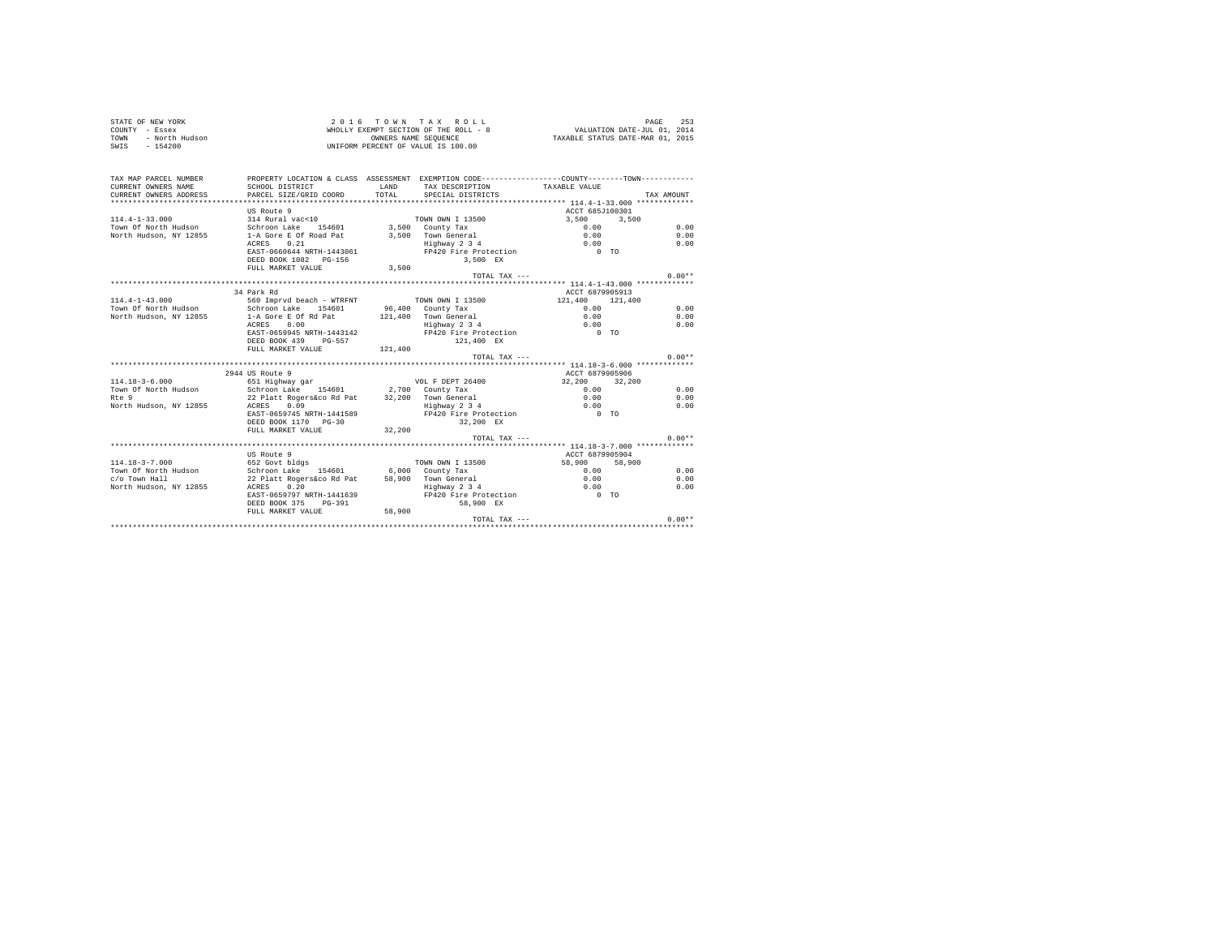| STATE OF NEW YORK<br>COUNTY - Essex<br>- North Hudson<br><b>TOWN</b><br>$SWTS = 154200$ |                                                                                               | 2016 TOWN TAX ROLL<br>WHOLLY EXEMPT SECTION OF THE ROLL - 8<br>OWNERS NAME SEQUENCE<br>UNIFORM PERCENT OF VALUE IS 100.00 | VALUATION DATE-JUL 01, 2014<br>TAXABLE STATUS DATE-MAR 01, 2015 | PAGE<br>253                                                      |            |
|-----------------------------------------------------------------------------------------|-----------------------------------------------------------------------------------------------|---------------------------------------------------------------------------------------------------------------------------|-----------------------------------------------------------------|------------------------------------------------------------------|------------|
| TAX MAP PARCEL NUMBER                                                                   | PROPERTY LOCATION & CLASS ASSESSMENT EXEMPTION CODE---------------COUNTY-------TOWN---------- |                                                                                                                           |                                                                 |                                                                  |            |
| CURRENT OWNERS NAME<br>CURRENT OWNERS ADDRESS                                           | SCHOOL DISTRICT<br>PARCEL SIZE/GRID COORD                                                     | LAND<br>TOTAL                                                                                                             | TAX DESCRIPTION<br>SPECIAL DISTRICTS                            | TAXABLE VALUE                                                    | TAX AMOUNT |
|                                                                                         |                                                                                               |                                                                                                                           |                                                                 |                                                                  |            |
|                                                                                         | US Route 9                                                                                    |                                                                                                                           |                                                                 | ACCT 685J100301                                                  |            |
| $114.4 - 1 - 33.000$                                                                    | 314 Rural vac<10                                                                              |                                                                                                                           | TOWN OWN I 13500                                                | 3,500 3,500                                                      |            |
| Town Of North Hudson                                                                    | Schroon Lake 154601                                                                           |                                                                                                                           | 3,500 County Tax                                                | 0.00                                                             | 0.00       |
| North Hudson, NY 12855                                                                  | 1-A Gore E Of Road Pat                                                                        |                                                                                                                           | 3.500 Town General                                              | 0.00                                                             | 0.00       |
|                                                                                         | 0.21<br>ACRES                                                                                 |                                                                                                                           | nown Generar<br>Highway 2 3 4<br>FP420 Fire Protection          | 0.00                                                             | 0.00       |
|                                                                                         | EAST-0660644 NRTH-1443061                                                                     |                                                                                                                           |                                                                 | $0$ TO                                                           |            |
|                                                                                         | DEED BOOK 1082 PG-156                                                                         |                                                                                                                           | 3,500 EX                                                        |                                                                  |            |
|                                                                                         | FULL MARKET VALUE                                                                             | 3,500                                                                                                                     |                                                                 |                                                                  |            |
|                                                                                         |                                                                                               |                                                                                                                           | TOTAL TAX ---                                                   |                                                                  | $0.00**$   |
|                                                                                         | 34 Park Rd                                                                                    |                                                                                                                           |                                                                 | **************** 114.4-1-43.000 *************<br>ACCT 6879905913 |            |
| $114.4 - 1 - 43.000$                                                                    | 560 Imprvd beach - WTRFNT                                                                     |                                                                                                                           | <b>TOWN OWN I 13500</b>                                         | 121,400 121,400                                                  |            |
| Town Of North Hudson                                                                    | Schroon Lake 154601                                                                           |                                                                                                                           | 96,400 County Tax                                               | 0.00                                                             | 0.00       |
| North Hudson, NY 12855                                                                  | 1-A Gore E Of Rd Pat                                                                          |                                                                                                                           | 121.400 Town General                                            | 0.00                                                             | 0.00       |
|                                                                                         | 8.00 - 1<br>ACRES                                                                             |                                                                                                                           | Highway 2 3 4                                                   | 0.00                                                             | 0.00       |
|                                                                                         | EAST-0659945 NRTH-1443142                                                                     |                                                                                                                           | FP420 Fire Protection                                           | $0$ TO                                                           |            |
|                                                                                         | DEED BOOK 439 PG-557                                                                          |                                                                                                                           | 121,400 EX                                                      |                                                                  |            |
|                                                                                         | FULL MARKET VALUE                                                                             | 121,400                                                                                                                   |                                                                 |                                                                  |            |
|                                                                                         |                                                                                               |                                                                                                                           | TOTAL TAX $---$                                                 |                                                                  | $0.00**$   |
|                                                                                         |                                                                                               |                                                                                                                           |                                                                 |                                                                  |            |
|                                                                                         | 2944 US Route 9                                                                               |                                                                                                                           |                                                                 | ACCT 6879905906                                                  |            |
| $114.18 - 3 - 6.000$                                                                    | 651 Highway gar                                                                               |                                                                                                                           | VOL F DEPT 26400                                                | 32,200<br>32,200                                                 |            |
| Town Of North Hudson                                                                    | Schroon Lake 154601 2,700 County Tax                                                          |                                                                                                                           |                                                                 | 0.00                                                             | 0.00       |
| $Rf \approx 9$                                                                          | 22 Platt Rogers&co Rd Pat                                                                     |                                                                                                                           | 32,200 Town General<br>Town General<br>Highway 2 3 4            | 0.00<br>0.00                                                     | 0.00       |
| North Hudson, NY 12855                                                                  | ACRES<br>0.09                                                                                 |                                                                                                                           |                                                                 |                                                                  | 0.00       |
|                                                                                         | EAST-0659745 NRTH-1441589<br>DEED BOOK 1170 PG-30                                             |                                                                                                                           | FP420 Fire Protection<br>32,200 EX                              | $0$ TO                                                           |            |
|                                                                                         | FULL MARKET VALUE                                                                             | 32,200                                                                                                                    |                                                                 |                                                                  |            |
|                                                                                         |                                                                                               |                                                                                                                           | $TOTAI. TAX - - -$                                              |                                                                  | $0.00**$   |
|                                                                                         |                                                                                               |                                                                                                                           |                                                                 |                                                                  |            |
|                                                                                         | US Route 9                                                                                    |                                                                                                                           |                                                                 | ACCT 6879905904                                                  |            |
| $114.18 - 3 - 7.000$                                                                    | 652 Govt bldgs                                                                                |                                                                                                                           | TOWN OWN I 13500                                                | 58,900<br>58,900                                                 |            |
| Town Of North Hudson                                                                    | Schroon Lake 154601                                                                           |                                                                                                                           | 6.000 County Tax                                                | 0.00                                                             | 0.00       |
| c/o Town Hall                                                                           | 22 Platt Rogers&co Rd Pat                                                                     |                                                                                                                           | 58,900 Town General                                             | 0.00                                                             | 0.00       |
| North Hudson, NY 12855                                                                  | ACRES 0.20                                                                                    |                                                                                                                           | Highway 2 3 4                                                   | 0.00                                                             | 0.00       |
|                                                                                         | EAST-0659797 NRTH-1441639                                                                     |                                                                                                                           | FP420 Fire Protection                                           | $0$ TO                                                           |            |
|                                                                                         | DEED BOOK 375 PG-391                                                                          |                                                                                                                           | 58,900 EX                                                       |                                                                  |            |
|                                                                                         | FULL MARKET VALUE 58,900                                                                      |                                                                                                                           |                                                                 |                                                                  |            |
|                                                                                         |                                                                                               |                                                                                                                           | TOTAL TAX ---                                                   |                                                                  | $0.00**$   |
|                                                                                         |                                                                                               |                                                                                                                           |                                                                 |                                                                  |            |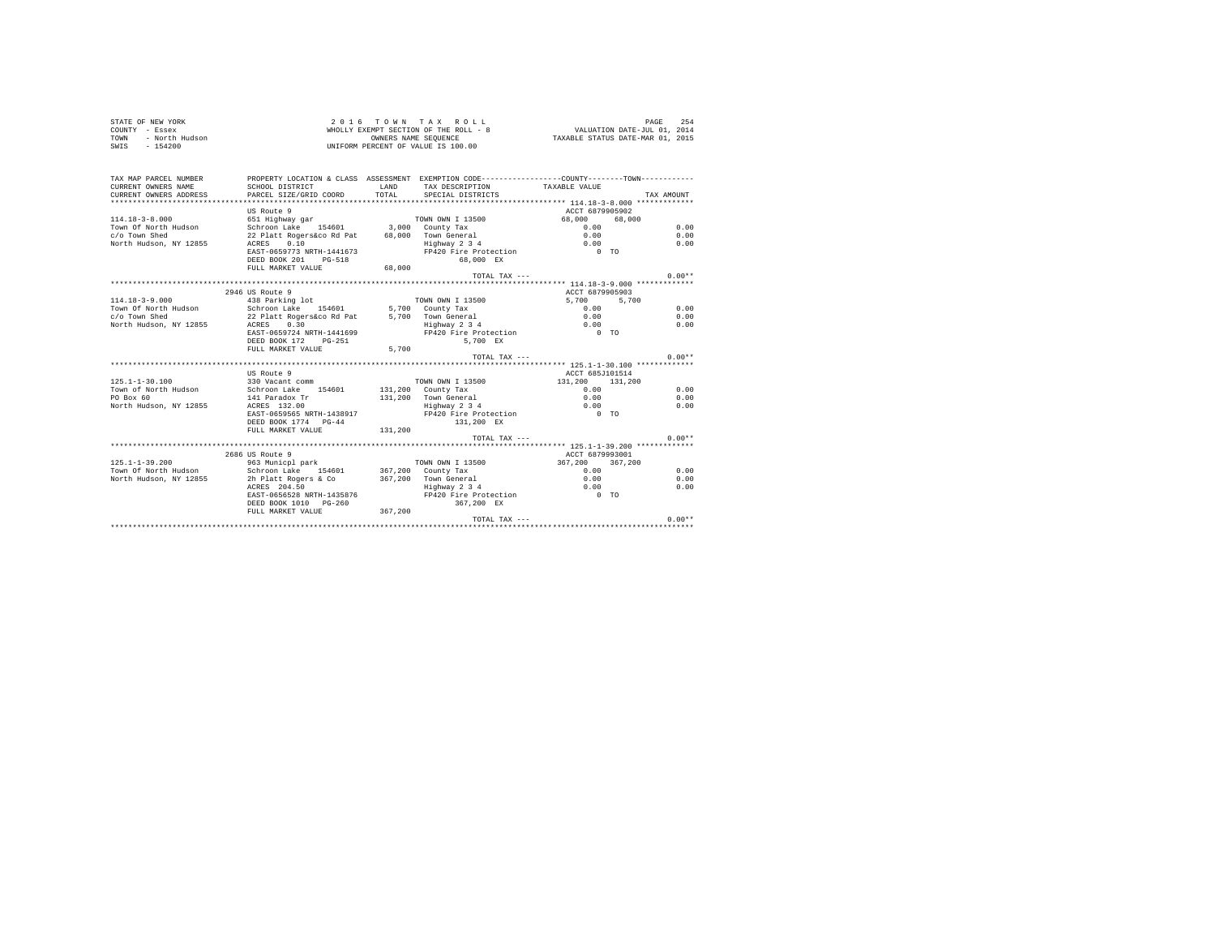| STATE OF NEW YORK<br>COUNTY - Essex<br>- North Hudson<br>TOWN<br>SWIS - 154200 |                                           |               | 2016 TOWN TAX ROLL<br>WHOLLY EXEMPT SECTION OF THE ROLL - 8<br>OWNERS NAME SEQUENCE<br>UNIFORM PERCENT OF VALUE IS 100.00 | VALUATION DATE-JUL 01, 2014<br>TAXABLE STATUS DATE-MAR 01, 2015                              | PAGE<br>254 |
|--------------------------------------------------------------------------------|-------------------------------------------|---------------|---------------------------------------------------------------------------------------------------------------------------|----------------------------------------------------------------------------------------------|-------------|
| TAX MAP PARCEL NUMBER                                                          |                                           |               |                                                                                                                           | PROPERTY LOCATION & CLASS ASSESSMENT EXEMPTION CODE---------------COUNTY-------TOWN--------- |             |
| CURRENT OWNERS NAME<br>CURRENT OWNERS ADDRESS                                  | SCHOOL DISTRICT<br>PARCEL SIZE/GRID COORD | LAND<br>TOTAL | TAX DESCRIPTION<br>SPECIAL DISTRICTS                                                                                      | TAXABLE VALUE                                                                                | TAX AMOUNT  |
|                                                                                |                                           |               |                                                                                                                           |                                                                                              |             |
|                                                                                | US Route 9                                |               |                                                                                                                           | ACCT 6879905902                                                                              |             |
| $114.18 - 3 - 8.000$                                                           | 651 Highway gar                           |               | TOWN OWN I 13500                                                                                                          | 68,000<br>68,000                                                                             |             |
| Town Of North Hudson                                                           | Schroon Lake 154601                       |               | 3,000 County Tax                                                                                                          | 0.00                                                                                         | 0.00        |
| c/o Town Shed                                                                  | 22 Platt Rogers&co Rd Pat                 |               | 68,000 Town General                                                                                                       | 0.00                                                                                         | 0.00        |
| North Hudson, NY 12855                                                         | ACRES<br>0.10                             |               | Highway 2 3 4                                                                                                             | 0.00                                                                                         | 0.00        |
|                                                                                | EAST-0659773 NRTH-1441673                 |               | FP420 Fire Protection                                                                                                     | $0$ TO                                                                                       |             |
|                                                                                | DEED BOOK 201 PG-518                      |               | 68,000 EX                                                                                                                 |                                                                                              |             |
|                                                                                | FULL MARKET VALUE                         | 68,000        |                                                                                                                           |                                                                                              |             |
|                                                                                |                                           |               | TOTAL TAX ---                                                                                                             | **************** 114.18-3-9.000 *************                                                | $0.00**$    |
|                                                                                | 2946 US Route 9                           |               |                                                                                                                           | ACCT 6879905903                                                                              |             |
| $114.18 - 3 - 9.000$                                                           | 438 Parking lot                           |               | TOWN OWN I 13500                                                                                                          | 5,700<br>5,700                                                                               |             |
| Town Of North Hudson                                                           | Schroon Lake 154601                       |               | 5.700 County Tax                                                                                                          | 0.00                                                                                         | 0.00        |
| c/o Town Shed                                                                  | 22 Platt Rogers&co Rd Pat                 |               | 5.700 Town General                                                                                                        | 0.00                                                                                         | 0.00        |
| North Hudson, NY 12855                                                         | ACRES 0.30                                |               | Highway 2 3 4                                                                                                             | 0.00                                                                                         | 0.00        |
|                                                                                | EAST-0659724 NRTH-1441699                 |               | FP420 Fire Protection                                                                                                     | $0$ TO                                                                                       |             |
|                                                                                | DEED BOOK 172 PG-251                      |               | 5,700 EX                                                                                                                  |                                                                                              |             |
|                                                                                | FULL MARKET VALUE                         | 5,700         |                                                                                                                           |                                                                                              |             |
|                                                                                |                                           |               | TOTAL TAX $---$                                                                                                           |                                                                                              | $0.00**$    |
|                                                                                |                                           |               |                                                                                                                           |                                                                                              |             |
|                                                                                | US Route 9                                |               |                                                                                                                           | ACCT 685J101514                                                                              |             |
| $125.1 - 1 - 30.100$                                                           | 330 Vacant comm                           |               | TOWN OWN I 13500                                                                                                          | 131,200 131,200                                                                              |             |
| Town of North Hudson                                                           | Schroon Lake 154601                       |               | 131,200 County Tax                                                                                                        | 0.00                                                                                         | 0.00        |
| PO Box 60                                                                      | 141 Paradox Tr                            |               | 131,200 Town General<br>nown General<br>Highway 2 3 4                                                                     | 0.00                                                                                         | 0.00        |
| North Hudson, NY 12855                                                         | ACRES 132.00                              |               |                                                                                                                           | 0.00                                                                                         | 0.00        |
|                                                                                | EAST-0659565 NRTH-1438917                 |               | FP420 Fire Protection                                                                                                     | $0$ TO                                                                                       |             |
|                                                                                | DEED BOOK 1774 PG-44<br>FULL MARKET VALUE | 131,200       | 131,200 EX                                                                                                                |                                                                                              |             |
|                                                                                |                                           |               | TOTAL TAX $---$                                                                                                           |                                                                                              | $0.00**$    |
|                                                                                |                                           |               |                                                                                                                           |                                                                                              |             |
|                                                                                | 2686 US Route 9                           |               |                                                                                                                           | ACCT 6879993001                                                                              |             |
| $125.1 - 1 - 39.200$                                                           | 963 Municpl park                          |               | TOWN OWN I 13500                                                                                                          | 367,200<br>367,200                                                                           |             |
| Town Of North Hudson                                                           | Schroon Lake 154601                       |               | 367,200 County Tax                                                                                                        | 0.00                                                                                         | 0.00        |
| North Hudson, NY 12855                                                         | 2h Platt Rogers & Co                      |               | 367,200 Town General                                                                                                      | 0.00                                                                                         | 0.00        |
|                                                                                | ACRES 204.50                              |               | Highway 2 3 4                                                                                                             | 0.00                                                                                         | 0.00        |
|                                                                                | EAST-0656528 NRTH-1435876                 |               | FP420 Fire Protection                                                                                                     | $0$ TO                                                                                       |             |
|                                                                                | DEED BOOK 1010 PG-260                     |               | 367.200 EX                                                                                                                |                                                                                              |             |
|                                                                                | FULL MARKET VALUE                         | 367,200       |                                                                                                                           |                                                                                              |             |
|                                                                                |                                           |               | TOTAL TAX ---                                                                                                             |                                                                                              | $0.00**$    |
|                                                                                |                                           |               |                                                                                                                           |                                                                                              |             |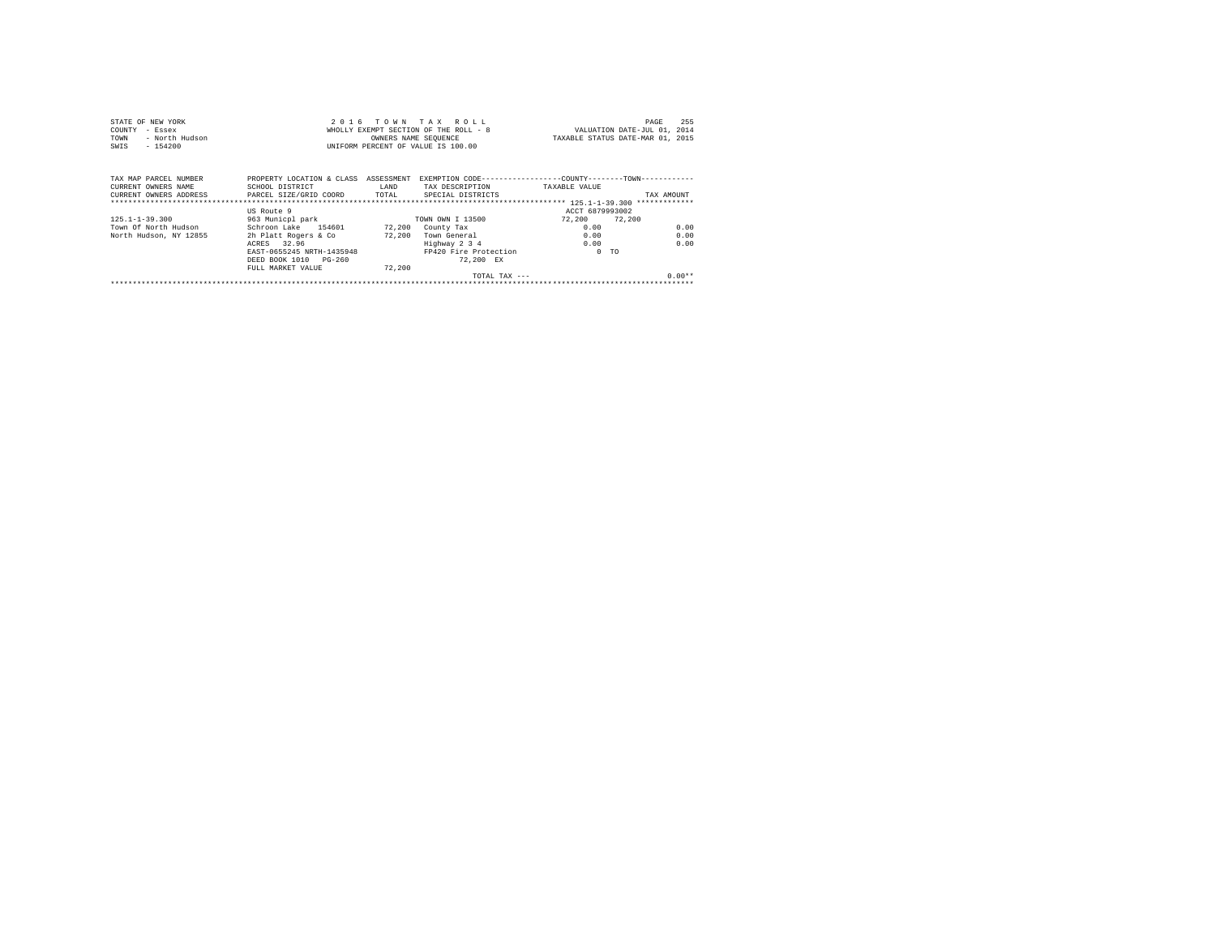| STATE OF NEW YORK      |                              |                                       | 2016 TOWN TAX ROLL                                        |                 | 255<br>PAGE                      |
|------------------------|------------------------------|---------------------------------------|-----------------------------------------------------------|-----------------|----------------------------------|
| COUNTY<br>- Essex      |                              | WHOLLY EXEMPT SECTION OF THE ROLL - 8 | VALUATION DATE-JUL 01, 2014                               |                 |                                  |
| - North Hudson<br>TOWN |                              | OWNERS NAME SEOUENCE                  |                                                           |                 | TAXABLE STATUS DATE-MAR 01, 2015 |
| $-154200$<br>SWIS      |                              |                                       | UNIFORM PERCENT OF VALUE IS 100.00                        |                 |                                  |
| TAX MAP PARCEL NUMBER  | PROPERTY LOCATION & CLASS    | ASSESSMENT                            | EXEMPTION CODE----------------COUNTY-------TOWN---------- |                 |                                  |
| CURRENT OWNERS NAME    | SCHOOL DISTRICT              | LAND                                  | TAX DESCRIPTION                                           | TAXABLE VALUE   |                                  |
| CURRENT OWNERS ADDRESS | PARCEL SIZE/GRID COORD TOTAL |                                       | SPECIAL DISTRICTS                                         |                 | TAX AMOUNT                       |
|                        |                              |                                       |                                                           |                 |                                  |
|                        | US Route 9                   |                                       |                                                           | ACCT 6879993002 |                                  |
| $125.1 - 1 - 39.300$   | 963 Municpl park             |                                       | TOWN OWN I 13500                                          | 72.200 72.200   |                                  |
| Town Of North Hudson   | Schroon Lake 154601          |                                       | 72,200 County Tax                                         | 0.00            | 0.00                             |
| North Hudson, NY 12855 | 2h Platt Rogers & Co         |                                       | 72,200 Town General                                       | 0.00            | 0.00                             |
|                        | ACRES 32.96                  |                                       | Highway 2 3 4                                             | 0.00            | 0.00                             |
|                        | EAST-0655245 NRTH-1435948    |                                       | FP420 Fire Protection                                     | $0$ TO          |                                  |
|                        | DEED BOOK 1010 PG-260        |                                       | 72.200 EX                                                 |                 |                                  |
|                        | FULL MARKET VALUE            | 72,200                                |                                                           |                 |                                  |
|                        |                              |                                       | TOTAL TAX $---$                                           |                 | $0.00**$                         |
|                        |                              |                                       |                                                           |                 |                                  |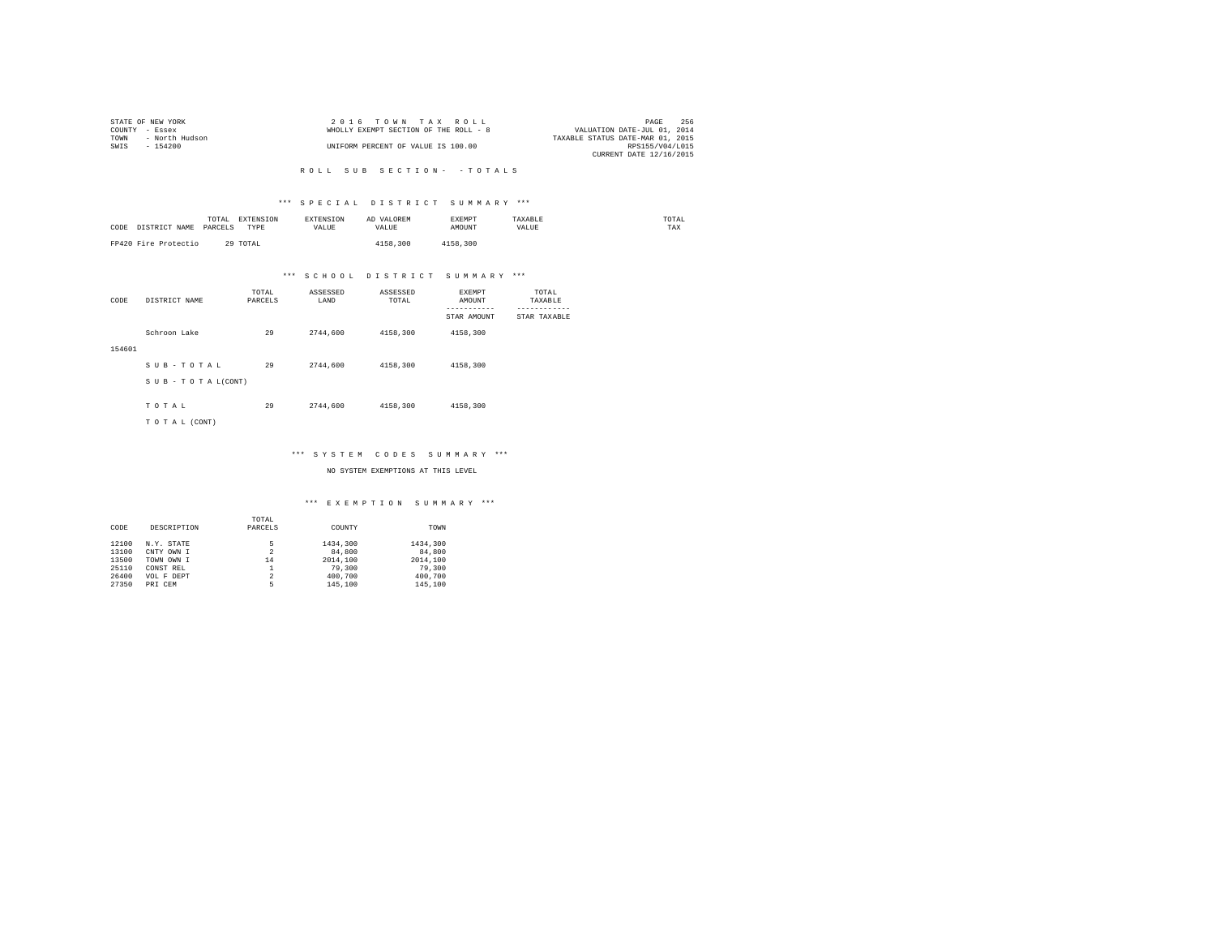|                | STATE OF NEW YORK | 2016 TOWN TAX ROLL                    | PAGE                             | 256 |
|----------------|-------------------|---------------------------------------|----------------------------------|-----|
| COUNTY - Essex |                   | WHOLLY EXEMPT SECTION OF THE ROLL - 8 | VALUATION DATE-JUL 01, 2014      |     |
| TOWN           | - North Hudson    |                                       | TAXABLE STATUS DATE-MAR 01, 2015 |     |
| SWIS           | - 154200          | UNIFORM PERCENT OF VALUE IS 100.00    | RPS155/V04/L015                  |     |
|                |                   |                                       | CURRENT DATE 12/16/2015          |     |

#### R O L L S U B S E C T I O N - - T O T A L S

#### \*\*\* S P E C I A L D I S T R I C T S U M M A R Y \*\*\*

| CODE<br>DISTRICT NAME | TOTAL<br>EXTENSION<br>PARCELS<br>TYPE | <b>EXTENSION</b><br>VALUE | AD VALOREM<br>VALUE | EXEMPT<br>AMOUNT | TAXABLE<br>VALUE | TOTAL<br>TAX |
|-----------------------|---------------------------------------|---------------------------|---------------------|------------------|------------------|--------------|
| FP420 Fire Protectio  | 29 TOTAL                              |                           | 4158,300            | 4158,300         |                  |              |

## \*\*\* S C H O O L D I S T R I C T S U M M A R Y \*\*\*

| CODE   | DISTRICT NAME      | TOTAL<br>PARCELS | ASSESSED<br>LAND | ASSESSED<br>TOTAL | <b>EXEMPT</b><br>AMOUNT | TOTAL<br>TAXABLE          |
|--------|--------------------|------------------|------------------|-------------------|-------------------------|---------------------------|
|        |                    |                  |                  |                   | STAR AMOUNT             | ---------<br>STAR TAXABLE |
|        | Schroon Lake       | 29               | 2744.600         | 4158,300          | 4158.300                |                           |
| 154601 |                    |                  |                  |                   |                         |                           |
|        | SUB-TOTAL          | 29               | 2744.600         | 4158,300          | 4158.300                |                           |
|        | SUB - TO TAL(CONT) |                  |                  |                   |                         |                           |
|        | TOTAL              | 29               | 2744.600         | 4158,300          | 4158,300                |                           |
|        | TO TAL (CONT)      |                  |                  |                   |                         |                           |

## \*\*\* S Y S T E M C O D E S S U M M A R Y \*\*\*

NO SYSTEM EXEMPTIONS AT THIS LEVEL

#### \*\*\* E X E M P T I O N S U M M A R Y \*\*\*

|       |             | TOTAL          |          |          |
|-------|-------------|----------------|----------|----------|
| CODE  | DESCRIPTION | PARCELS        | COUNTY   | TOWN     |
| 12100 | N.Y. STATE  | 5              | 1434,300 | 1434,300 |
| 13100 | CNTY OWN I  | $\overline{2}$ | 84,800   | 84,800   |
| 13500 | TOWN OWN I  | 14             | 2014,100 | 2014,100 |
| 25110 | CONST REL   |                | 79,300   | 79,300   |
| 26400 | VOL F DEPT  | $\overline{2}$ | 400,700  | 400.700  |
| 27350 | PRI CEM     | 5              | 145,100  | 145,100  |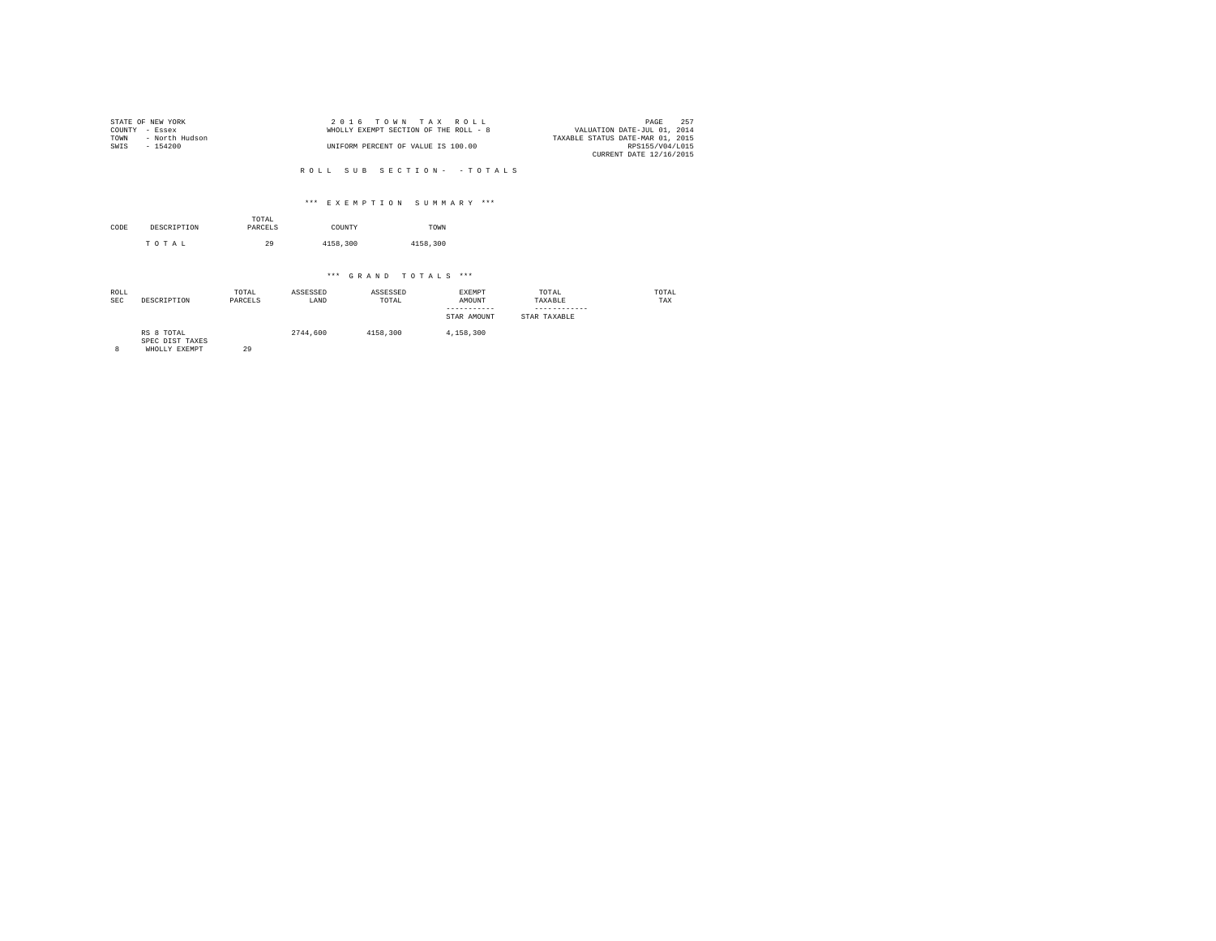|                | STATE OF NEW YORK | 2016 TOWN TAX ROLL                                                   | PAGE            | 252 |
|----------------|-------------------|----------------------------------------------------------------------|-----------------|-----|
| COUNTY - Essex |                   | VALUATION DATE-JUL 01, 2014<br>WHOLLY EXEMPT SECTION OF THE ROLL - 8 |                 |     |
| TOWN           | - North Hudson    | TAXABLE STATUS DATE-MAR 01, 2015                                     |                 |     |
| SWIS           | - 154200          | UNIFORM PERCENT OF VALUE IS 100.00                                   | RPS155/V04/L015 |     |
|                |                   | CURRENT DATE 12/16/2015                                              |                 |     |

R O L L S U B S E C T I O N - - T O T A L S

#### \*\*\* E X E M P T I O N S U M M A R Y \*\*\*

| CODE | DESCRIPTION | TOTAL<br>PARCELS | COUNTY   | TOWN     |
|------|-------------|------------------|----------|----------|
|      | TOTAL       | 29               | 4158,300 | 4158,300 |

## \*\*\* G R A N D T O T A L S \*\*\*

| ROLL<br><b>SEC</b> | DESCRIPTION                   | TOTAL<br>PARCELS | ASSESSED<br>LAND | ASSESSED<br>TOTAL | EXEMPT<br>AMOUNT<br>-----------<br>STAR AMOUNT | TOTAL<br>TAXABLE<br>------------<br>STAR TAXABLE | TOTAL<br>TAX |
|--------------------|-------------------------------|------------------|------------------|-------------------|------------------------------------------------|--------------------------------------------------|--------------|
|                    | RS 8 TOTAL<br>CDDA DICT TAVDC |                  | 2744.600         | 4158,300          | 4,158,300                                      |                                                  |              |

SPEC DIST TAXES 8 WHOLLY EXEMPT 29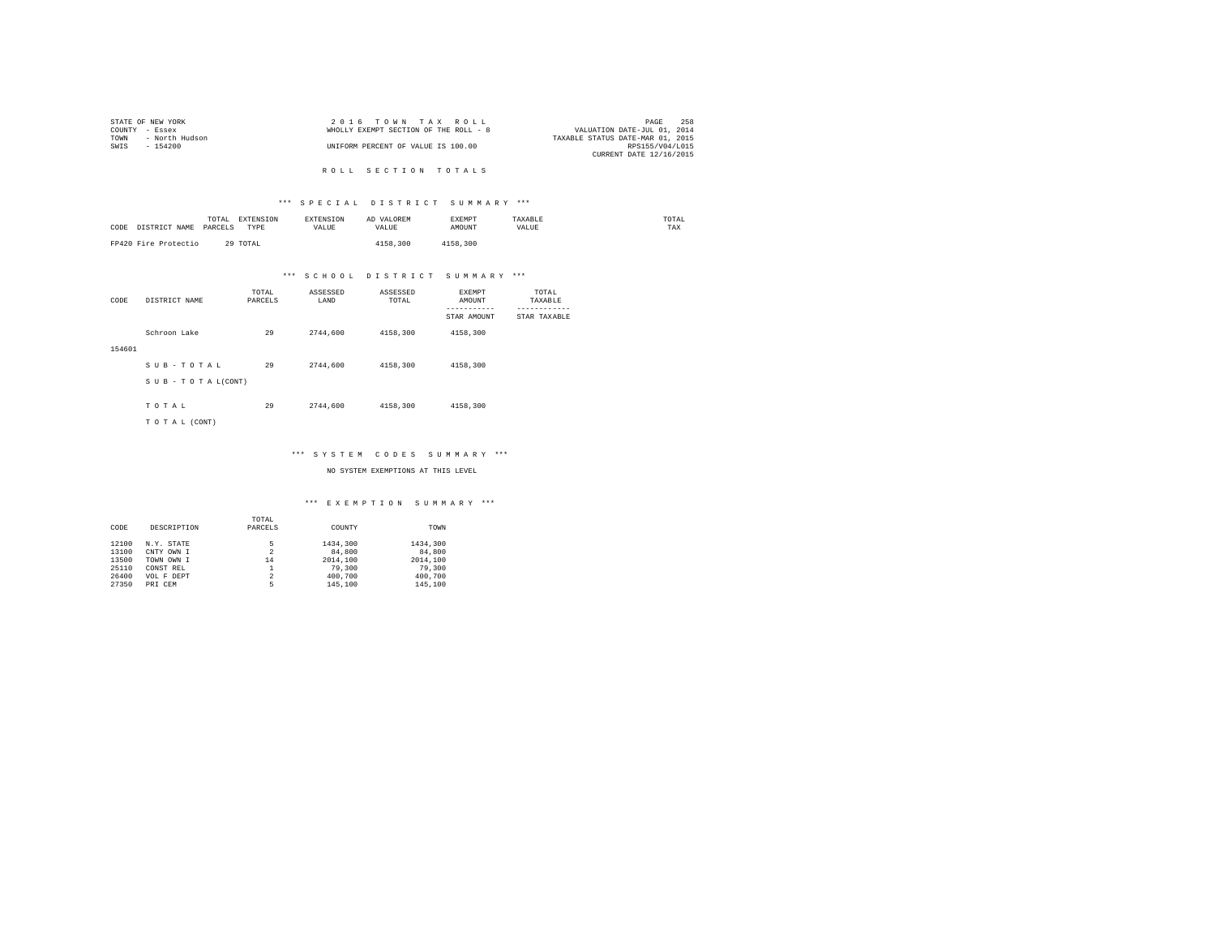|                | STATE OF NEW YORK | $2.0.16$ TOWN TAX ROLL                |                                  | PAGE            | 258 |
|----------------|-------------------|---------------------------------------|----------------------------------|-----------------|-----|
| COUNTY - Essex |                   | WHOLLY EXEMPT SECTION OF THE ROLL - 8 | VALUATION DATE-JUL 01, 2014      |                 |     |
| TOWN           | - North Hudson    |                                       | TAXABLE STATUS DATE-MAR 01, 2015 |                 |     |
| SWTS           | $-154200$         | UNIFORM PERCENT OF VALUE IS 100.00    |                                  | RPS155/V04/L015 |     |
|                |                   |                                       | CURRENT DATE 12/16/2015          |                 |     |

R O L L S E C T I O N T O T A L S

#### \*\*\* S P E C I A L D I S T R I C T S U M M A R Y \*\*\*

| CODE<br>DISTRICT NAME | TOTAL<br><b>EXTENSION</b><br>PARCELS<br>TYPE | <b>EXTENSION</b><br>VALUE | AD VALOREM<br>VALUE | EXEMPT<br>AMOUNT | TAXABLE<br>VALUE | TOTAL<br>TAX |
|-----------------------|----------------------------------------------|---------------------------|---------------------|------------------|------------------|--------------|
| FP420 Fire Protectio  | 29 TOTAL                                     |                           | 4158.300            | 4158.300         |                  |              |

## \*\*\* S C H O O L D I S T R I C T S U M M A R Y \*\*\*

| CODE   | DISTRICT NAME      | TOTAL<br>PARCELS | ASSESSED<br>LAND | ASSESSED<br>TOTAL | <b>EXEMPT</b><br>AMOUNT | TOTAL<br>TAXABLE          |
|--------|--------------------|------------------|------------------|-------------------|-------------------------|---------------------------|
|        |                    |                  |                  |                   | STAR AMOUNT             | ---------<br>STAR TAXABLE |
|        | Schroon Lake       | 29               | 2744.600         | 4158,300          | 4158.300                |                           |
| 154601 |                    |                  |                  |                   |                         |                           |
|        | SUB-TOTAL          | 29               | 2744.600         | 4158,300          | 4158.300                |                           |
|        | SUB - TO TAL(CONT) |                  |                  |                   |                         |                           |
|        |                    |                  |                  |                   |                         |                           |
|        | TOTAL              | 29               | 2744.600         | 4158,300          | 4158,300                |                           |
|        | TO TAL (CONT)      |                  |                  |                   |                         |                           |

#### \*\*\* S Y S T E M C O D E S S U M M A R Y \*\*\*

NO SYSTEM EXEMPTIONS AT THIS LEVEL

#### \*\*\* E X E M P T I O N S U M M A R Y \*\*\*

|       |             | TOTAL   |          |          |
|-------|-------------|---------|----------|----------|
| CODE  | DESCRIPTION | PARCELS | COUNTY   | TOWN     |
| 12100 | N.Y. STATE  | 5       | 1434,300 | 1434,300 |
| 13100 | CNTY OWN I  | 2       | 84,800   | 84,800   |
| 13500 | TOWN OWN I  | 14      | 2014,100 | 2014.100 |
| 25110 | CONST REL   |         | 79,300   | 79,300   |
| 26400 | VOL F DEPT  | 2       | 400.700  | 400.700  |
| 27350 | PRI CEM     | 5       | 145,100  | 145,100  |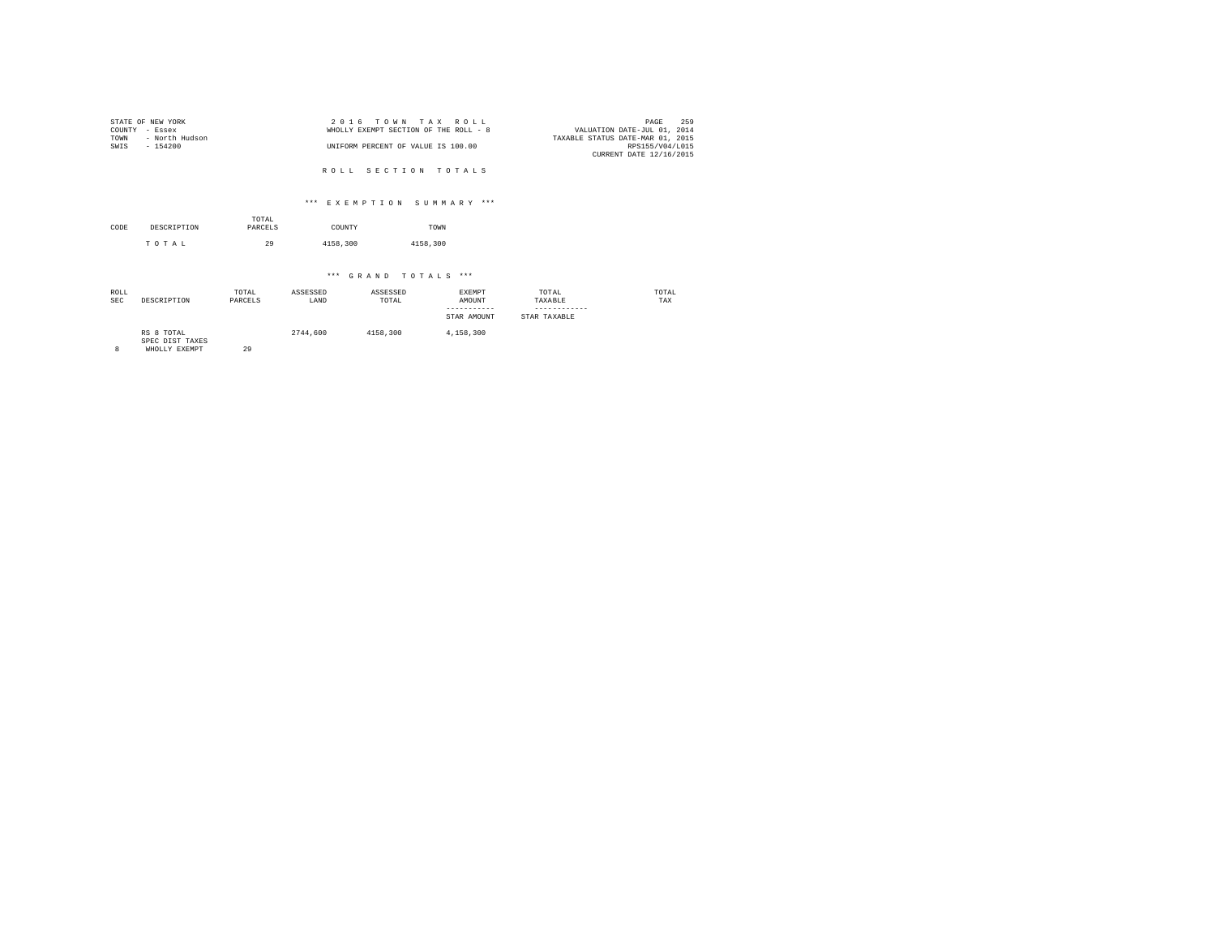|                | STATE OF NEW YORK | 2016 TOWN TAX ROLL                    |                                  | PAGE            | 259 |
|----------------|-------------------|---------------------------------------|----------------------------------|-----------------|-----|
| COUNTY - Essex |                   | WHOLLY EXEMPT SECTION OF THE ROLL - 8 | VALUATION DATE-JUL 01, 2014      |                 |     |
| TOWN           | - North Hudson    |                                       | TAXABLE STATUS DATE-MAR 01, 2015 |                 |     |
| SWTS           | - 154200          | UNIFORM PERCENT OF VALUE IS 100.00    |                                  | RPS155/V04/L015 |     |
|                |                   |                                       | CURRENT DATE 12/16/2015          |                 |     |

R O L L S E C T I O N T O T A L S

#### \*\*\* E X E M P T I O N S U M M A R Y \*\*\*

| CODE | DESCRIPTION | TOTAL<br>PARCELS | COUNTY   | TOWN     |  |
|------|-------------|------------------|----------|----------|--|
|      | TOTAL       | 29               | 4158,300 | 4158,300 |  |

| ROLL<br><b>SEC</b> | DESCRIPTION                                    | TOTAL<br>PARCELS | ASSESSED<br>LAND | ASSESSED<br>TOTAL | EXEMPT<br>AMOUNT<br>-----------<br>STAR AMOUNT | TOTAL<br>TAXABLE<br>STAR TAXABLE | TOTAL<br>TAX |
|--------------------|------------------------------------------------|------------------|------------------|-------------------|------------------------------------------------|----------------------------------|--------------|
|                    |                                                |                  |                  |                   |                                                |                                  |              |
|                    | RS 8 TOTAL<br>SPEC DIST TAXES<br>WHOLLY EXEMPT | 29               | 2744.600         | 4158,300          | 4.158.300                                      |                                  |              |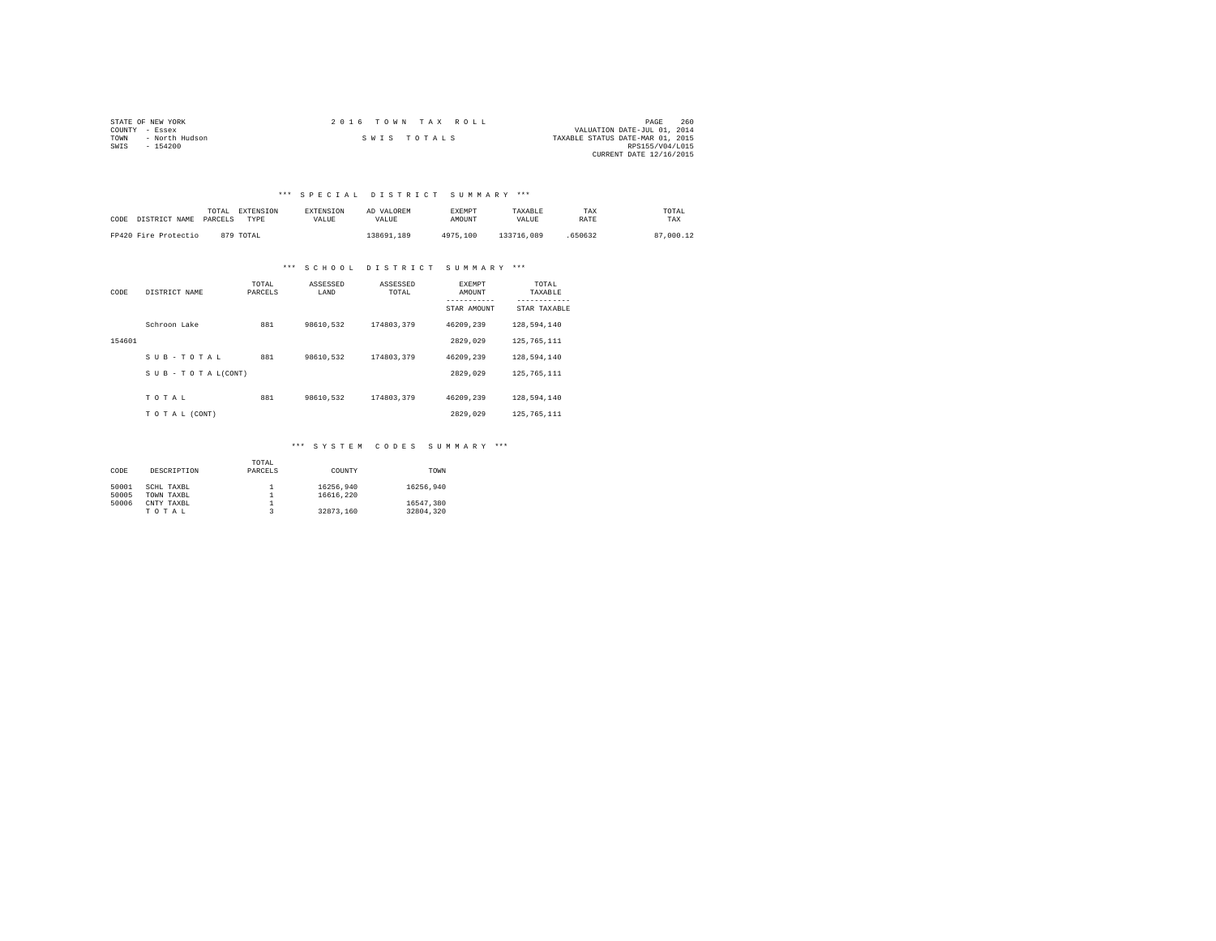|                | STATE OF NEW YORK | 2016 TOWN TAX ROLL |                                  | PAGE                    | 260 |
|----------------|-------------------|--------------------|----------------------------------|-------------------------|-----|
| COUNTY - Essex |                   |                    | VALUATION DATE-JUL 01, 2014      |                         |     |
| TOWN           | - North Hudson    | SWIS TOTALS        | TAXABLE STATUS DATE-MAR 01, 2015 |                         |     |
| SWIS           | $-154200$         |                    |                                  | RPS155/V04/L015         |     |
|                |                   |                    |                                  | CURRENT DATE 12/16/2015 |     |

### \*\*\* S P E C I A L D I S T R I C T S U M M A R Y \*\*\*

| CODE DISTRICT NAME   | TOTAL<br>PARCELS | EXTENSION<br>TYPE | <b>EXTENSION</b><br><b>VALUE</b> | AD VALOREM<br>VALUE. | <b>EXEMPT</b><br>AMOUNT | TAXARLE<br>VALUE | TAX<br>RATE | TOTAL<br>TAX |
|----------------------|------------------|-------------------|----------------------------------|----------------------|-------------------------|------------------|-------------|--------------|
| FP420 Fire Protectio |                  | 879 TOTAL         |                                  | 138691.189           | 4975,100                | 133716,089       | 650632      | 87,000.12    |

#### \*\*\* S C H O O L D I S T R I C T S U M M A R Y \*\*\*

| CODE   | DISTRICT NAME   | TOTAL<br>PARCELS | ASSESSED<br>LAND | ASSESSED<br>TOTAL | <b>EXEMPT</b><br>AMOUNT<br>STAR AMOUNT | TOTAL<br>TAXABLE<br>---------<br>STAR TAXABLE |
|--------|-----------------|------------------|------------------|-------------------|----------------------------------------|-----------------------------------------------|
|        | Schroon Lake    | 881              | 98610.532        | 174803.379        | 46209.239                              | 128,594,140                                   |
| 154601 |                 |                  |                  |                   | 2829.029                               | 125, 765, 111                                 |
|        | SUB-TOTAL       | 881              | 98610.532        | 174803.379        | 46209.239                              | 128,594,140                                   |
|        | SUB-TOTAL(CONT) |                  |                  |                   | 2829.029                               | 125, 765, 111                                 |
|        | TOTAL           | 881              | 98610.532        | 174803.379        | 46209.239                              | 128,594,140                                   |
|        | TO TAL (CONT)   |                  |                  |                   | 2829.029                               | 125, 765, 111                                 |

## \*\*\* S Y S T E M C O D E S S U M M A R Y \*\*\*

|       |             | TOTAL   |           |           |
|-------|-------------|---------|-----------|-----------|
| CODE  | DESCRIPTION | PARCELS | COUNTY    | TOWN      |
|       |             |         |           |           |
| 50001 | SCHL TAXBL  |         | 16256.940 | 16256.940 |
| 50005 | TOWN TAXBL  |         | 16616,220 |           |
| 50006 | CNTY TAXBL  |         |           | 16547.380 |
|       | TOTAL       |         | 32873.160 | 32804.320 |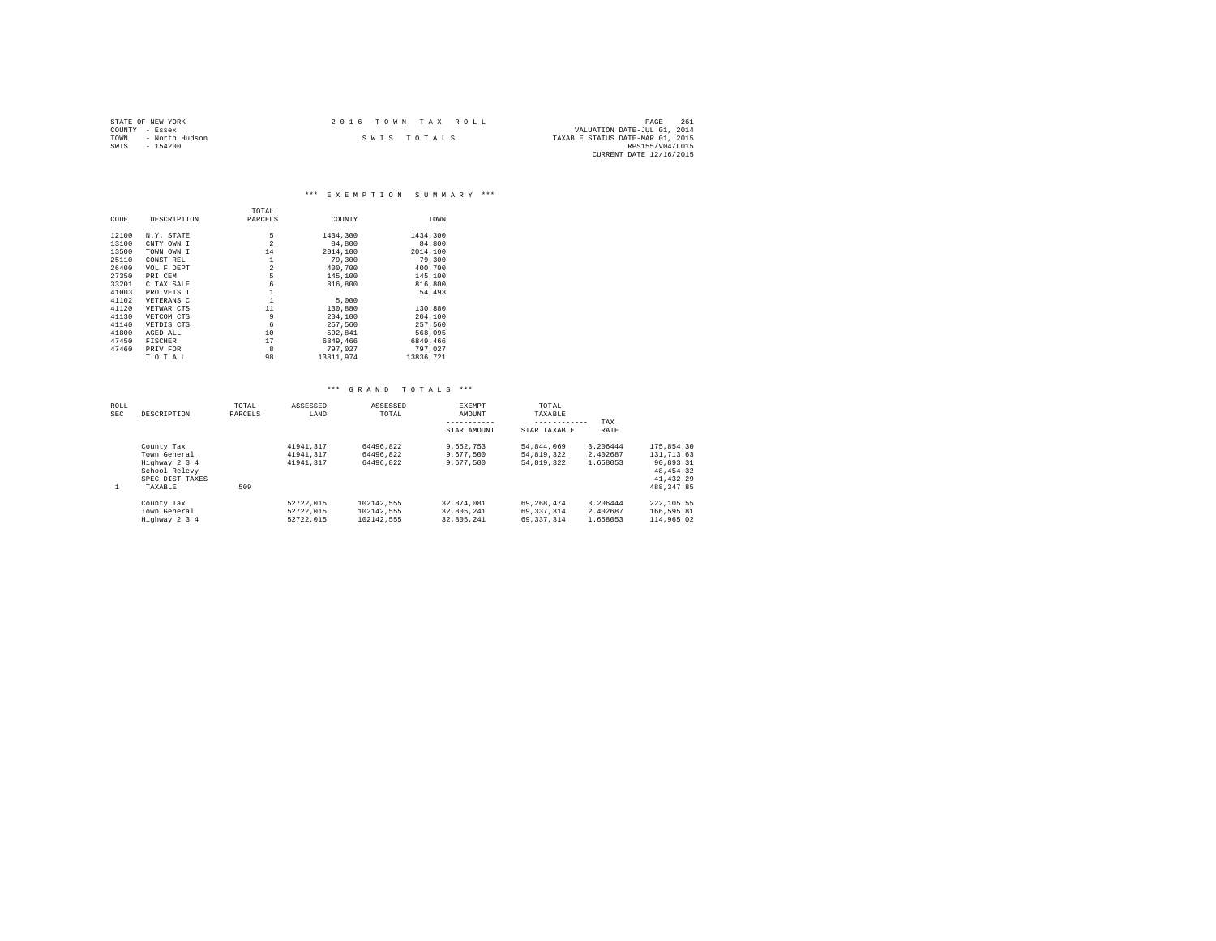| STATE OF NEW YORK |                | 2016 TOWN TAX ROLL |             |                                  | PAGE                        | 261 |
|-------------------|----------------|--------------------|-------------|----------------------------------|-----------------------------|-----|
| COUNTY - Essex    |                |                    |             |                                  | VALUATION DATE-JUL 01, 2014 |     |
| TOWN              | - North Hudson |                    | SWIS TOTALS | TAXABLE STATUS DATE-MAR 01, 2015 |                             |     |
| SWIS              | $-154200$      |                    |             |                                  | RPS155/V04/L015             |     |
|                   |                |                    |             |                                  | CURRENT DATE 12/16/2015     |     |

#### \*\*\* E X E M P T I O N S U M M A R Y \*\*\*

|       |                | TOTAL          |           |           |
|-------|----------------|----------------|-----------|-----------|
| CODE  | DESCRIPTION    | PARCELS        | COUNTY    | TOWN      |
| 12100 | N.Y. STATE     | 5              | 1434,300  | 1434,300  |
| 13100 | CNTY OWN I     | $\overline{2}$ | 84,800    | 84,800    |
| 13500 | TOWN OWN I     | 14             | 2014,100  | 2014,100  |
| 25110 | CONST REL      | 1              | 79,300    | 79,300    |
| 26400 | VOL F DEPT     | $\overline{2}$ | 400,700   | 400.700   |
| 27350 | PRI CEM        | 5              | 145,100   | 145,100   |
| 33201 | C TAX SALE     | 6              | 816,800   | 816,800   |
| 41003 | PRO VETS T     |                |           | 54.493    |
| 41102 | VETERANS C     |                | 5,000     |           |
| 41120 | VETWAR CTS     | 11             | 130,880   | 130,880   |
| 41130 | VETCOM CTS     | 9              | 204,100   | 204,100   |
| 41140 | VETDIS CTS     | 6              | 257.560   | 257.560   |
| 41800 | AGED ALL       | 10             | 592.841   | 568,095   |
| 47450 | <b>FISCHER</b> | 17             | 6849,466  | 6849.466  |
| 47460 | PRIV FOR       | 8              | 797.027   | 797,027   |
|       | TOTAL          | 98             | 13811.974 | 13836,721 |

| ROLL<br><b>SEC</b> | DESCRIPTION                                                                                | TOTAL<br>PARCELS | ASSESSED<br>LAND                    | ASSESSED<br>TOTAL                      | EXEMPT<br>AMOUNT<br>STAR AMOUNT        | TOTAL<br>TAXABLE<br>------------<br>STAR TAXABLE | TAX<br>RATE                      |                                                                                 |
|--------------------|--------------------------------------------------------------------------------------------|------------------|-------------------------------------|----------------------------------------|----------------------------------------|--------------------------------------------------|----------------------------------|---------------------------------------------------------------------------------|
| 1                  | County Tax<br>Town General<br>Highway 2 3 4<br>School Relevy<br>SPEC DIST TAXES<br>TAXABLE | 509              | 41941.317<br>41941.317<br>41941.317 | 64496.822<br>64496.822<br>64496.822    | 9.652.753<br>9.677.500<br>9,677,500    | 54.844.069<br>54.819.322<br>54.819.322           | 3.206444<br>2.402687<br>1.658053 | 175,854.30<br>131, 713, 63<br>90.893.31<br>48.454.32<br>41.432.29<br>488.347.85 |
|                    | County Tax<br>Town General<br>Highway 2 3 4                                                |                  | 52722.015<br>52722.015<br>52722.015 | 102142.555<br>102142.555<br>102142.555 | 32.874.081<br>32.805.241<br>32.805.241 | 69.268.474<br>69.337.314<br>69.337.314           | 3.206444<br>2.402687<br>1.658053 | 222.105.55<br>166,595.81<br>114,965.02                                          |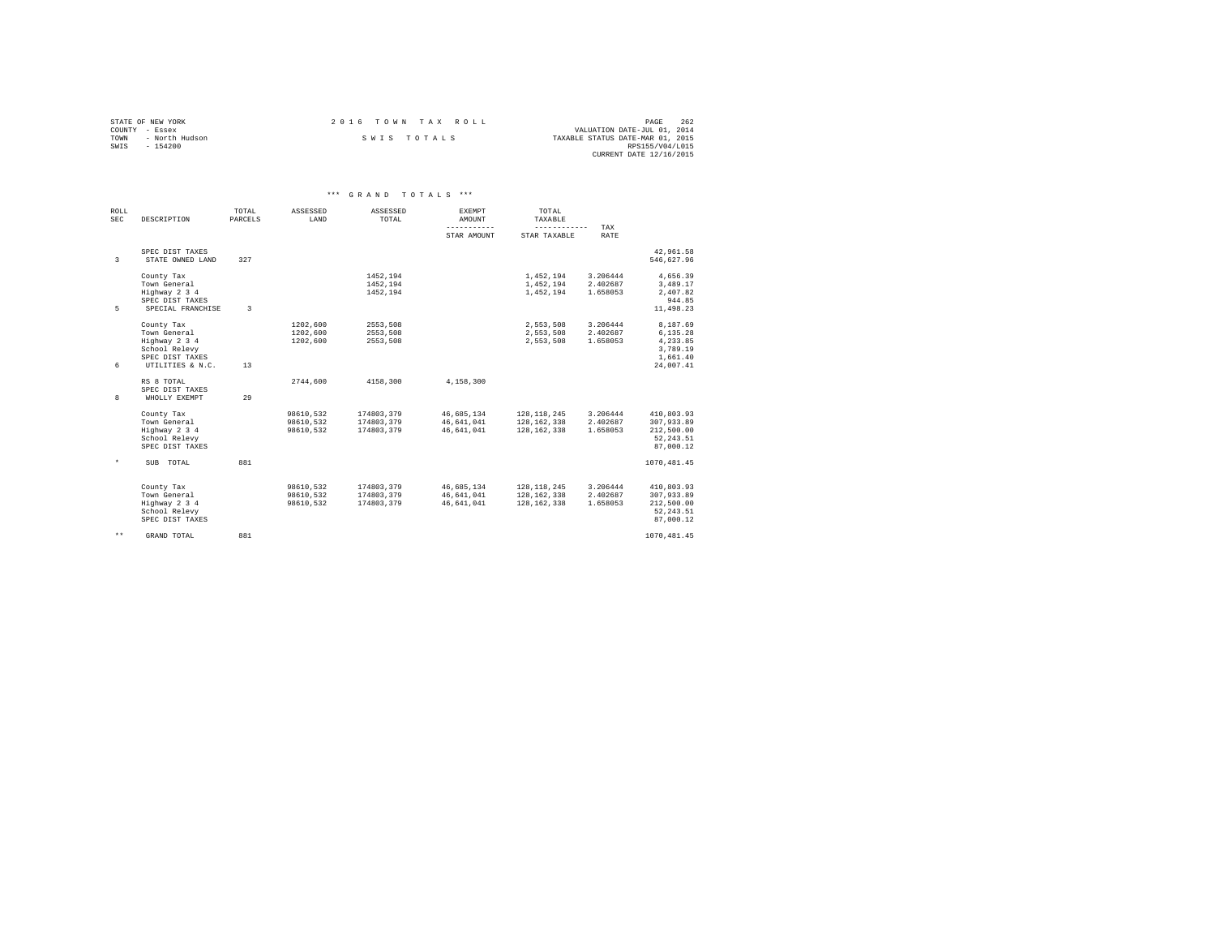|                | STATE OF NEW YORK | 2016 TOWN TAX ROLL |                                  | PAGE            | 262 |
|----------------|-------------------|--------------------|----------------------------------|-----------------|-----|
| COUNTY - Essex |                   |                    | VALUATION DATE-JUL 01, 2014      |                 |     |
| TOWN           | - North Hudson    | SWIS TOTALS        | TAXABLE STATUS DATE-MAR 01, 2015 |                 |     |
| SWTS           | $-154200$         |                    |                                  | RPS155/V04/L015 |     |
|                |                   |                    | CURRENT DATE 12/16/2015          |                 |     |

| ROLL<br><b>SEC</b> | DESCRIPTION                                                                                         | TOTAL<br>PARCELS | ASSESSED<br>LAND                    | ASSESSED<br>TOTAL                      | <b>EXEMPT</b><br>AMOUNT<br>----------- | TOTAL<br>TAXABLE<br>------------                |                                  |                                                                       |  |
|--------------------|-----------------------------------------------------------------------------------------------------|------------------|-------------------------------------|----------------------------------------|----------------------------------------|-------------------------------------------------|----------------------------------|-----------------------------------------------------------------------|--|
|                    |                                                                                                     |                  |                                     |                                        | STAR AMOUNT                            | STAR TAXABLE                                    | TAX<br><b>RATE</b>               |                                                                       |  |
| $\overline{3}$     | SPEC DIST TAXES<br>STATE OWNED LAND                                                                 | 327              |                                     |                                        |                                        |                                                 |                                  | 42.961.58<br>546.627.96                                               |  |
| 5                  | County Tax<br>Town General<br>Highway 2 3 4<br>SPEC DIST TAXES<br>SPECIAL FRANCHISE                 | $\mathcal{R}$    |                                     | 1452.194<br>1452.194<br>1452,194       |                                        | 1,452,194<br>1,452,194<br>1,452,194             | 3.206444<br>2.402687<br>1.658053 | 4.656.39<br>3,489.17<br>2,407.82<br>944.85<br>11,498.23               |  |
| 6                  | County Tax<br>Town General<br>Highway 2 3 4<br>School Relevy<br>SPEC DIST TAXES<br>UTILITIES & N.C. | 13               | 1202.600<br>1202.600<br>1202.600    | 2553.508<br>2553,508<br>2553.508       |                                        | 2,553,508<br>2,553,508<br>2.553.508             | 3.206444<br>2.402687<br>1.658053 | 8,187.69<br>6,135.28<br>4.233.85<br>3,789.19<br>1,661.40<br>24,007.41 |  |
| 8                  | RS 8 TOTAL<br>SPEC DIST TAXES<br>WHOLLY EXEMPT                                                      | 29               | 2744.600                            | 4158,300                               | 4.158.300                              |                                                 |                                  |                                                                       |  |
|                    | County Tax<br>Town General<br>Highway 2 3 4<br>School Relevy<br>SPEC DIST TAXES                     |                  | 98610,532<br>98610.532<br>98610.532 | 174803,379<br>174803.379<br>174803.379 | 46,685,134<br>46.641.041<br>46.641.041 | 128, 118, 245<br>128, 162, 338<br>128, 162, 338 | 3.206444<br>2.402687<br>1.658053 | 410,803.93<br>307.933.89<br>212,500.00<br>52, 243.51<br>87.000.12     |  |
| $^\star$           | SUB TOTAL                                                                                           | 881              |                                     |                                        |                                        |                                                 |                                  | 1070, 481.45                                                          |  |
|                    | County Tax<br>Town General<br>Highway 2 3 4<br>School Relevy<br>SPEC DIST TAXES                     |                  | 98610.532<br>98610,532<br>98610.532 | 174803.379<br>174803,379<br>174803.379 | 46,685,134<br>46,641,041<br>46.641.041 | 128, 118, 245<br>128, 162, 338<br>128, 162, 338 | 3.206444<br>2.402687<br>1.658053 | 410,803.93<br>307,933.89<br>212,500.00<br>52.243.51<br>87.000.12      |  |
| $\star\star$       | GRAND TOTAL                                                                                         | 881              |                                     |                                        |                                        |                                                 |                                  | 1070, 481.45                                                          |  |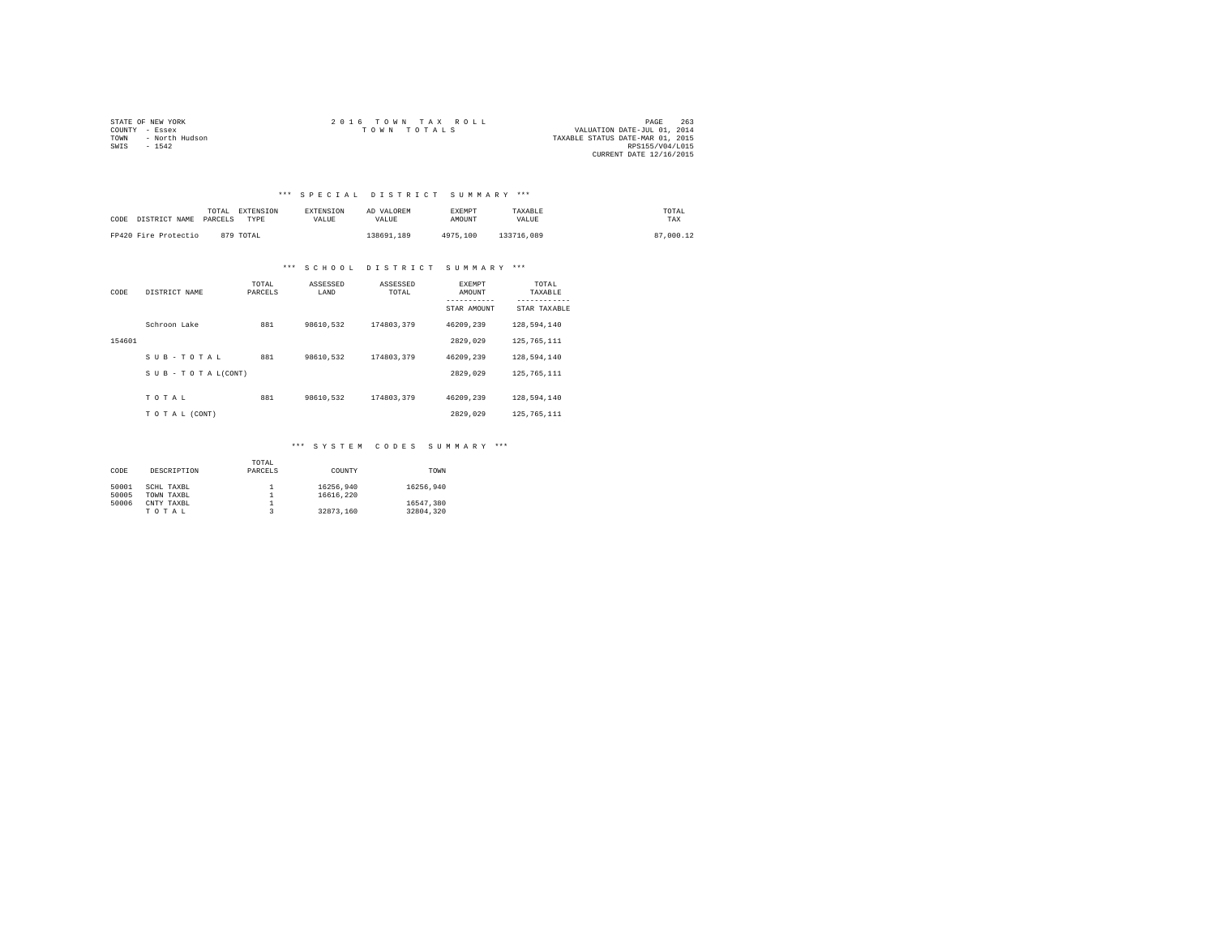|                | STATE OF NEW YORK | 2016 TOWN TAX ROLL                         | PAGE                    | 263 |
|----------------|-------------------|--------------------------------------------|-------------------------|-----|
| COUNTY - Essex |                   | VALUATION DATE-JUL 01, 2014<br>TOWN TOTALS |                         |     |
| TOWN           | - North Hudson    | TAXABLE STATUS DATE-MAR 01, 2015           |                         |     |
| SWTS           | $-1542$           |                                            | RPS155/V04/L015         |     |
|                |                   |                                            | CURRENT DATE 12/16/2015 |     |

### \*\*\* S P E C I A L D I S T R I C T S U M M A R Y \*\*\*

| CODE DISTRICT NAME PARCELS | TOTAL | EXTENSION<br>TYPE | <b>EXTENSION</b><br>VALUE | AD VALOREM<br>VALUE | <b>EXEMPT</b><br>AMOUNT | TAXABLE<br>VALUE | TOTAL<br>TAX |
|----------------------------|-------|-------------------|---------------------------|---------------------|-------------------------|------------------|--------------|
| FP420 Fire Protectio       |       | 879 TOTAL         |                           | 138691.189          | 4975,100                | 133716,089       | 87.000.12    |

#### \*\*\* S C H O O L D I S T R I C T S U M M A R Y \*\*\*

| CODE   | DISTRICT NAME             | TOTAL<br>PARCELS | ASSESSED<br>LAND | ASSESSED<br>TOTAL | <b>EXEMPT</b><br>AMOUNT | TOTAL<br>TAXABLE |
|--------|---------------------------|------------------|------------------|-------------------|-------------------------|------------------|
|        |                           |                  |                  |                   | STAR AMOUNT             | STAR TAXABLE     |
|        | Schroon Lake              | 881              | 98610.532        | 174803.379        | 46209.239               | 128,594,140      |
| 154601 |                           |                  |                  |                   | 2829,029                | 125, 765, 111    |
|        | SUB-TOTAL                 | 881              | 98610.532        | 174803.379        | 46209.239               | 128,594,140      |
|        | $S$ U B - T O T A L(CONT) |                  |                  |                   | 2829,029                | 125, 765, 111    |
|        |                           |                  |                  |                   |                         |                  |
|        | TOTAL                     | 881              | 98610.532        | 174803.379        | 46209,239               | 128,594,140      |
|        | TO TAL (CONT)             |                  |                  |                   | 2829,029                | 125, 765, 111    |

## \*\*\* S Y S T E M C O D E S S U M M A R Y \*\*\*

|       |             | TOTAL   |           |           |
|-------|-------------|---------|-----------|-----------|
| CODE  | DESCRIPTION | PARCELS | COUNTY    | TOWN      |
|       |             |         |           |           |
| 50001 | SCHL TAXBL  |         | 16256.940 | 16256.940 |
| 50005 | TOWN TAXBL  |         | 16616,220 |           |
| 50006 | CNTY TAXBL  |         |           | 16547.380 |
|       | TOTAL       |         | 32873.160 | 32804.320 |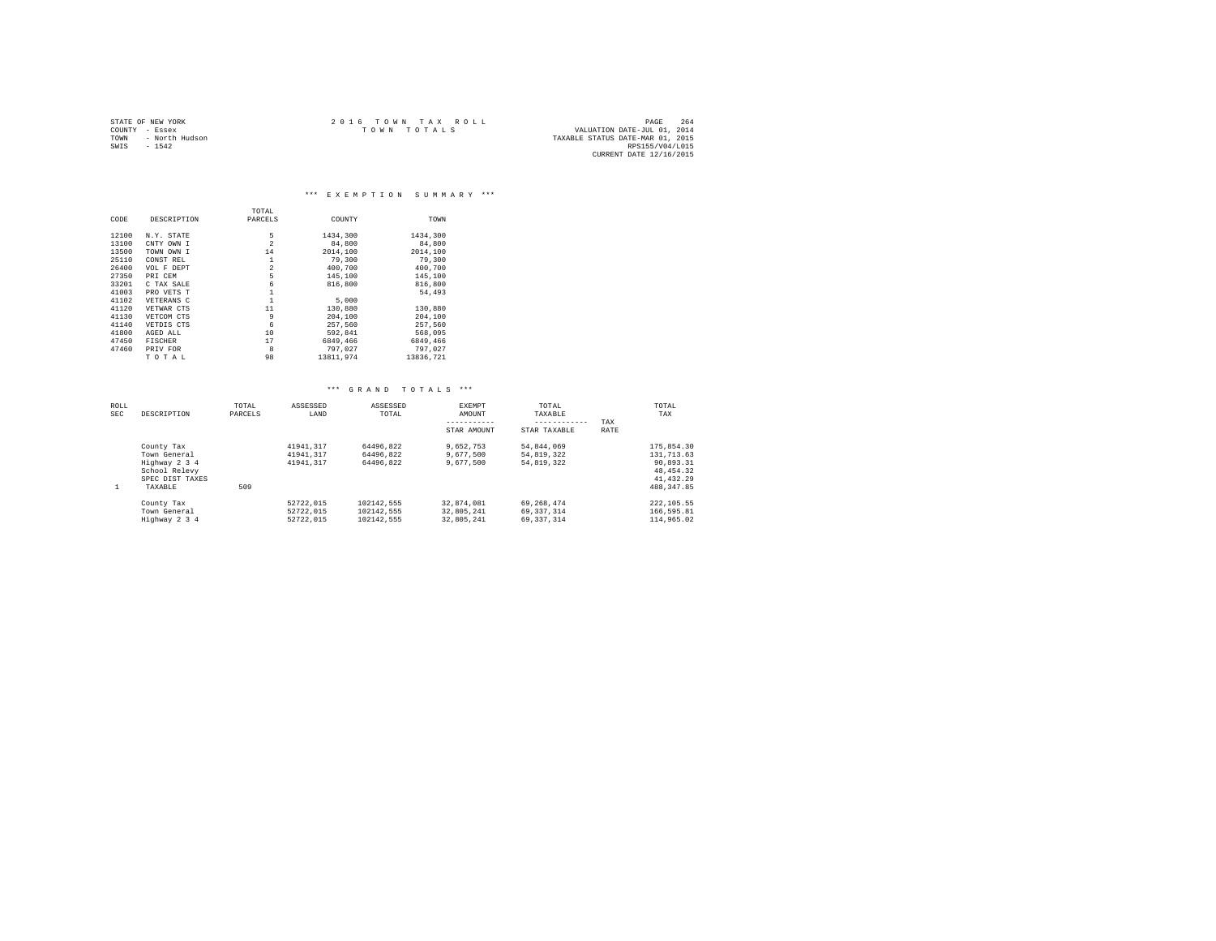| STATE OF NEW YORK |                | 2016 TOWN TAX ROLL                         | PAGE            | 264 |
|-------------------|----------------|--------------------------------------------|-----------------|-----|
| COUNTY - Essex    |                | VALUATION DATE-JUL 01, 2014<br>TOWN TOTALS |                 |     |
| TOWN              | - North Hudson | TAXABLE STATUS DATE-MAR 01, 2015           |                 |     |
| SWIS              | $-1542$        |                                            | RPS155/V04/L015 |     |
|                   |                | CURRENT DATE 12/16/2015                    |                 |     |

\*\*\* E X E M P T I O N S U M M A R Y \*\*\*

|       |                | TOTAL          |           |           |
|-------|----------------|----------------|-----------|-----------|
| CODE  | DESCRIPTION    | PARCELS        | COUNTY    | TOWN      |
|       |                |                |           |           |
| 12100 | N.Y. STATE     | 5              | 1434,300  | 1434,300  |
| 13100 | CNTY OWN I     | $\overline{a}$ | 84,800    | 84,800    |
| 13500 | TOWN OWN I     | 14             | 2014,100  | 2014,100  |
| 25110 | CONST REL      | 1              | 79,300    | 79,300    |
| 26400 | VOL F DEPT     | $\overline{a}$ | 400,700   | 400.700   |
| 27350 | PRI CEM        | 5              | 145,100   | 145,100   |
| 33201 | C TAX SALE     | 6              | 816,800   | 816,800   |
| 41003 | PRO VETS T     |                |           | 54.493    |
| 41102 | VETERANS C     | $\mathbf{1}$   | 5,000     |           |
| 41120 | VETWAR CTS     | 11             | 130,880   | 130,880   |
| 41130 | VETCOM CTS     | 9              | 204,100   | 204,100   |
| 41140 | VETDIS CTS     | 6              | 257,560   | 257,560   |
| 41800 | AGED ALL       | 10             | 592.841   | 568,095   |
| 47450 | <b>FISCHER</b> | 17             | 6849,466  | 6849.466  |
| 47460 | PRIV FOR       | 8              | 797.027   | 797.027   |
|       | TOTAL          | 98             | 13811.974 | 13836,721 |

| ROLL<br><b>SEC</b> | DESCRIPTION                                                                                | TOTAL<br>PARCELS | ASSESSED<br>LAND                    | ASSESSED<br>TOTAL                      | EXEMPT<br>AMOUNT<br>STAR AMOUNT        | TOTAL<br>TAXABLE<br>------------<br>STAR TAXABLE | TAX<br>RATE | TOTAL<br>TAX                                                                         |
|--------------------|--------------------------------------------------------------------------------------------|------------------|-------------------------------------|----------------------------------------|----------------------------------------|--------------------------------------------------|-------------|--------------------------------------------------------------------------------------|
| 1                  | County Tax<br>Town General<br>Highway 2 3 4<br>School Relevy<br>SPEC DIST TAXES<br>TAXABLE | 509              | 41941.317<br>41941.317<br>41941.317 | 64496.822<br>64496.822<br>64496.822    | 9.652.753<br>9,677,500<br>9,677,500    | 54.844.069<br>54.819.322<br>54.819.322           |             | 175,854.30<br>131, 713, 63<br>90.893.31<br>48, 454, 32<br>41, 432.29<br>488, 347, 85 |
|                    | County Tax<br>Town General<br>Highway 2 3 4                                                |                  | 52722.015<br>52722.015<br>52722.015 | 102142.555<br>102142.555<br>102142.555 | 32,874,081<br>32.805.241<br>32.805.241 | 69.268.474<br>69.337.314<br>69.337.314           |             | 222, 105.55<br>166,595.81<br>114,965.02                                              |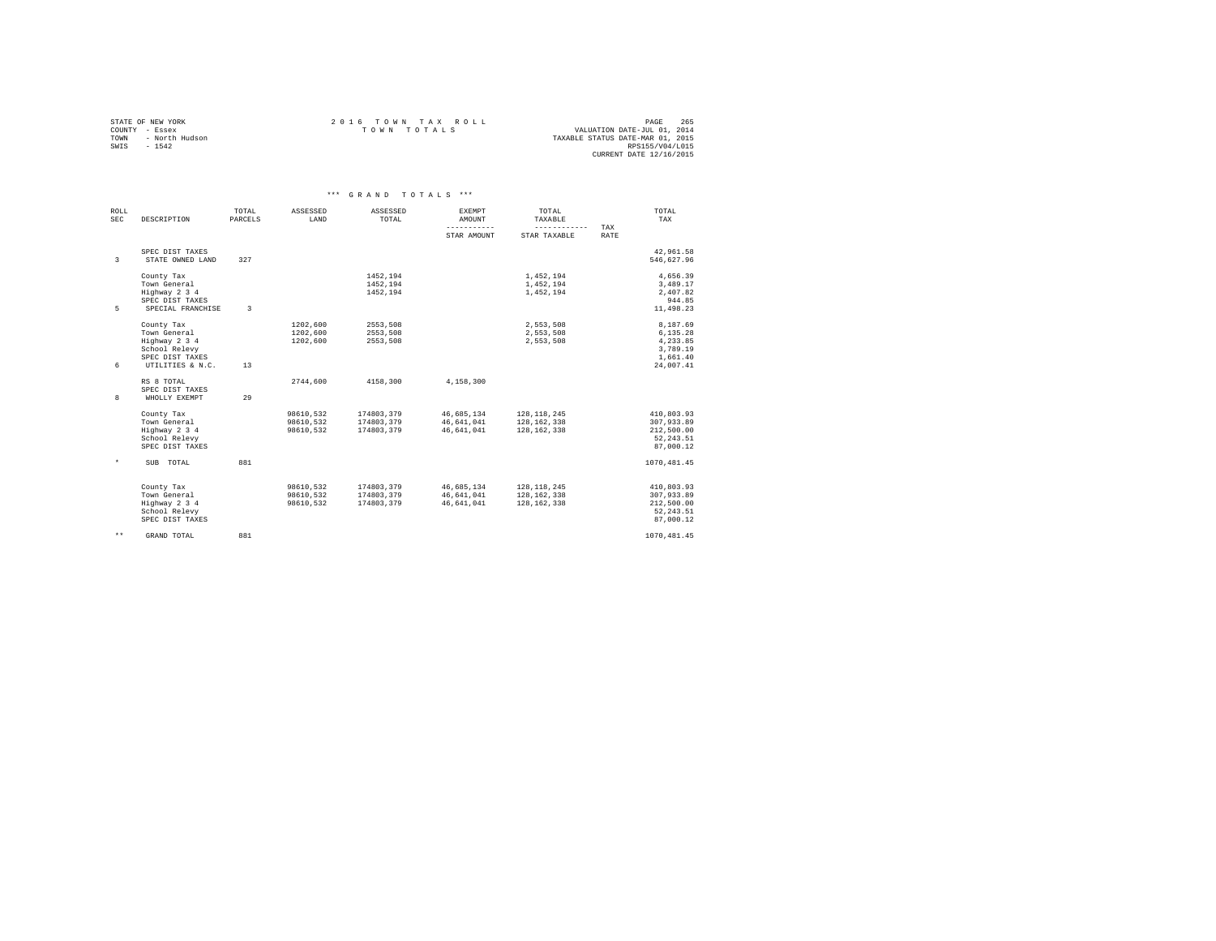| STATE OF NEW YORK      | 2016 TOWN TAX ROLL | 265<br>PAGE                      |
|------------------------|--------------------|----------------------------------|
| COUNTY - Essex         | TOWN TOTALS        | VALUATION DATE-JUL 01, 2014      |
| - North Hudson<br>TOWN |                    | TAXABLE STATUS DATE-MAR 01, 2015 |
| $-1542$<br>SWIS        |                    | RPS155/V04/L015                  |
|                        |                    | CURRENT DATE 12/16/2015          |

|                    |                                                                                                     |                  |                                     | *** GRAND TOTALS ***                   |                                        |                                                 |             |                                                                       |
|--------------------|-----------------------------------------------------------------------------------------------------|------------------|-------------------------------------|----------------------------------------|----------------------------------------|-------------------------------------------------|-------------|-----------------------------------------------------------------------|
| ROLL<br><b>SEC</b> | DESCRIPTION                                                                                         | TOTAL<br>PARCELS | ASSESSED<br>LAND                    | ASSESSED<br>TOTAL                      | EXEMPT<br>AMOUNT<br>-----------        | TOTAL<br>TAXABLE<br>------------                | TAX         | TOTAL<br>TAX                                                          |
|                    |                                                                                                     |                  |                                     |                                        | STAR AMOUNT                            | STAR TAXABLE                                    | <b>RATE</b> |                                                                       |
| 3                  | SPEC DIST TAXES<br>STATE OWNED LAND                                                                 | 327              |                                     |                                        |                                        |                                                 |             | 42,961.58<br>546,627.96                                               |
| 5                  | County Tax<br>Town General<br>Highway 2 3 4<br>SPEC DIST TAXES<br>SPECIAL FRANCHISE                 | $\mathbf{R}$     |                                     | 1452,194<br>1452.194<br>1452.194       |                                        | 1,452,194<br>1,452,194<br>1,452,194             |             | 4,656.39<br>3,489.17<br>2,407.82<br>944.85<br>11,498.23               |
| 6                  | County Tax<br>Town General<br>Highway 2 3 4<br>School Relevy<br>SPEC DIST TAXES<br>UTILITIES & N.C. | 13               | 1202,600<br>1202.600<br>1202.600    | 2553.508<br>2553.508<br>2553.508       |                                        | 2,553,508<br>2.553.508<br>2,553,508             |             | 8,187.69<br>6,135.28<br>4,233.85<br>3,789.19<br>1,661.40<br>24,007.41 |
| 8                  | RS 8 TOTAL<br>SPEC DIST TAXES<br>WHOLLY EXEMPT                                                      | 29               | 2744.600                            | 4158,300                               | 4.158.300                              |                                                 |             |                                                                       |
|                    | County Tax<br>Town General<br>Highway 2 3 4<br>School Relevy<br>SPEC DIST TAXES                     |                  | 98610.532<br>98610.532<br>98610.532 | 174803,379<br>174803.379<br>174803.379 | 46,685,134<br>46.641.041<br>46,641,041 | 128, 118, 245<br>128, 162, 338<br>128, 162, 338 |             | 410.803.93<br>307.933.89<br>212,500.00<br>52, 243.51<br>87.000.12     |
| $\star$            | SUB TOTAL                                                                                           | 881              |                                     |                                        |                                        |                                                 |             | 1070, 481.45                                                          |
|                    | County Tax<br>Town General<br>Highway 2 3 4<br>School Relevy<br>SPEC DIST TAXES                     |                  | 98610.532<br>98610.532<br>98610.532 | 174803.379<br>174803.379<br>174803,379 | 46,685,134<br>46,641,041<br>46.641.041 | 128.118.245<br>128, 162, 338<br>128, 162, 338   |             | 410.803.93<br>307,933.89<br>212,500.00<br>52.243.51<br>87.000.12      |
| $\star \star$      | GRAND TOTAL                                                                                         | 881              |                                     |                                        |                                        |                                                 |             | 1070.481.45                                                           |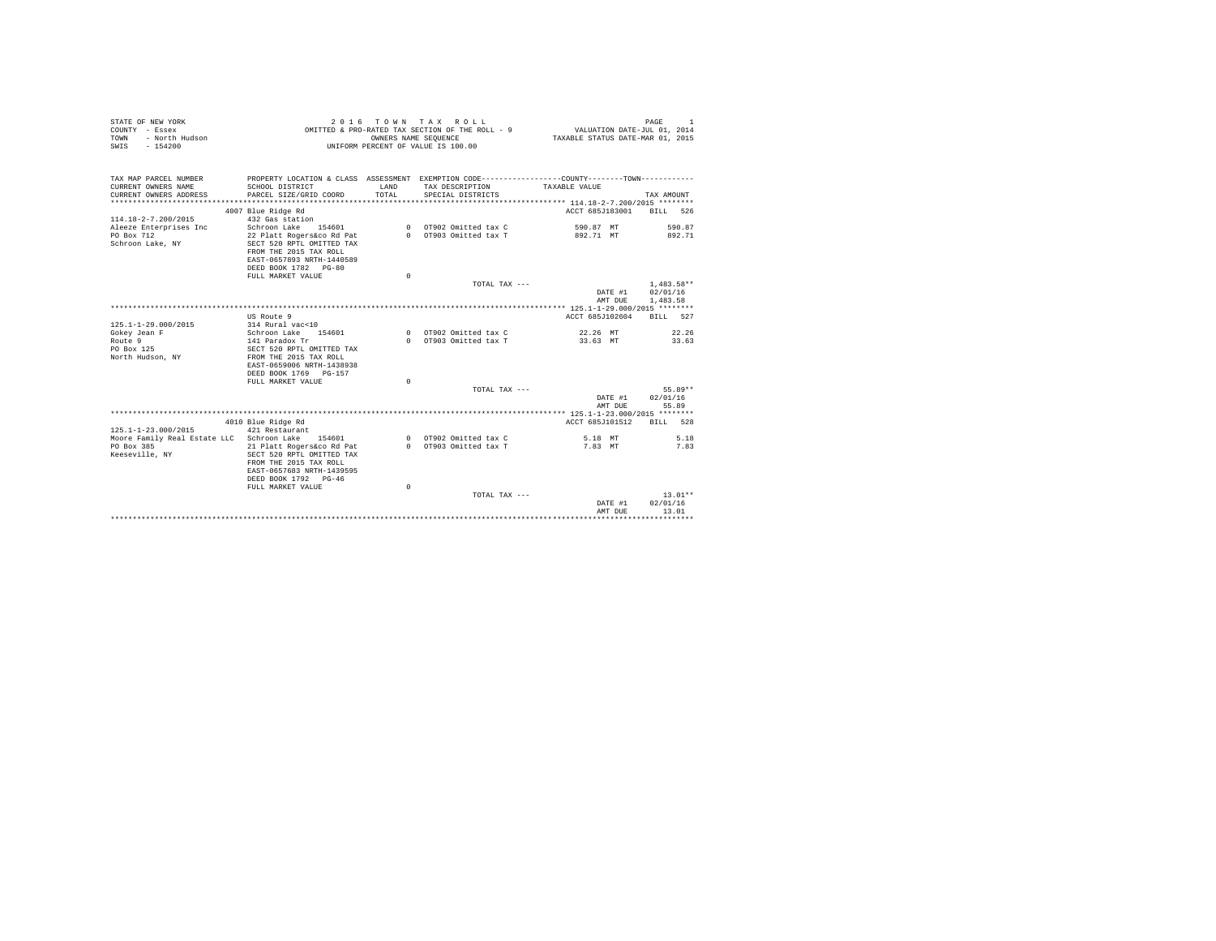| STATE OF NEW YORK<br>COUNTY - Essex<br>- North Hudson<br>TOWN<br>SWIS - 154200 |                                                                                                                                       |               | 2016 TOWN TAX ROLL<br>OMITTED & PRO-RATED TAX SECTION OF THE ROLL - 9<br>OWNERS NAME SEQUENCE<br>UNIFORM PERCENT OF VALUE IS 100.00 | VALUATION DATE-JUL 01, 2014<br>TAXABLE STATUS DATE-MAR 01, 2015 | PAGE<br>$\overline{1}$   |
|--------------------------------------------------------------------------------|---------------------------------------------------------------------------------------------------------------------------------------|---------------|-------------------------------------------------------------------------------------------------------------------------------------|-----------------------------------------------------------------|--------------------------|
| TAX MAP PARCEL NUMBER                                                          | PROPERTY LOCATION & CLASS ASSESSMENT EXEMPTION CODE---------------COUNTY-------TOWN---------                                          |               |                                                                                                                                     |                                                                 |                          |
| CURRENT OWNERS NAME<br>CURRENT OWNERS ADDRESS                                  | SCHOOL DISTRICT<br>PARCEL SIZE/GRID COORD                                                                                             | LAND<br>TOTAL | TAX DESCRIPTION<br>SPECIAL DISTRICTS                                                                                                | TAXABLE VALUE                                                   | TAX AMOUNT               |
|                                                                                |                                                                                                                                       |               |                                                                                                                                     |                                                                 |                          |
|                                                                                | 4007 Blue Ridge Rd                                                                                                                    |               |                                                                                                                                     | ACCT 685-T183001 BILL 526                                       |                          |
| 114.18-2-7.200/2015                                                            | 432 Gas station                                                                                                                       |               |                                                                                                                                     |                                                                 |                          |
| Aleeze Enterprises Inc                                                         | Schroon Lake 154601                                                                                                                   |               | 0 OT902 Omitted tax C                                                                                                               | 590.87 MT                                                       | 590.87                   |
| PO Box 712<br>Schroon Lake, NY                                                 | 22 Platt Rogers&co Rd Pat<br>SECT 520 RPTL OMITTED TAX<br>FROM THE 2015 TAX ROLL<br>EAST-0657893 NRTH-1440589<br>DEED BOOK 1782 PG-80 |               | 0 OT903 Omitted tax T                                                                                                               | 892.71 MT                                                       | 892.71                   |
|                                                                                | FULL MARKET VALUE                                                                                                                     | $\Omega$      |                                                                                                                                     |                                                                 |                          |
|                                                                                |                                                                                                                                       |               | TOTAL TAX ---                                                                                                                       | DATE #1                                                         | $1.483.58**$<br>02/01/16 |
|                                                                                |                                                                                                                                       |               |                                                                                                                                     | AMT DUE                                                         | 1,483.58                 |
|                                                                                |                                                                                                                                       |               |                                                                                                                                     |                                                                 |                          |
|                                                                                | US Route 9                                                                                                                            |               |                                                                                                                                     | ACCT 685-T102604 BILL 527                                       |                          |
| $125.1 - 1 - 29.000 / 2015$                                                    | 314 Rural vac<10<br>Schroon Lake 154601                                                                                               |               | 0 0T902 Omitted tax C                                                                                                               | 22.26 MT                                                        | 22.26                    |
| Gokey Jean F<br>Route 9                                                        | 141 Paradox Tr                                                                                                                        |               | 0 OT903 Omitted tax T                                                                                                               | 33.63 MT                                                        | 33.63                    |
| PO Box 125                                                                     | SECT 520 RPTL OMITTED TAX                                                                                                             |               |                                                                                                                                     |                                                                 |                          |
| North Hudson, NY                                                               | FROM THE 2015 TAX ROLL<br>EAST-0659006 NRTH-1438938                                                                                   |               |                                                                                                                                     |                                                                 |                          |
|                                                                                | DEED BOOK 1769 PG-157<br>FULL MARKET VALUE                                                                                            | $\Omega$      |                                                                                                                                     |                                                                 |                          |
|                                                                                |                                                                                                                                       |               | TOTAL TAX ---                                                                                                                       |                                                                 | $55.89**$                |
|                                                                                |                                                                                                                                       |               |                                                                                                                                     | DATE #1<br>AMT DUE                                              | 02/01/16<br>55.89        |
|                                                                                |                                                                                                                                       |               |                                                                                                                                     |                                                                 |                          |
|                                                                                | 4010 Blue Ridge Rd                                                                                                                    |               |                                                                                                                                     | ACCT 685J101512 BILL 528                                        |                          |
| 125.1-1-23.000/2015                                                            | 421 Restaurant                                                                                                                        |               |                                                                                                                                     |                                                                 |                          |
| Moore Family Real Estate LLC Schroon Lake 154601                               |                                                                                                                                       |               | 0 OT902 Omitted tax C                                                                                                               | 5.18 MT                                                         | 5.18                     |
| PO Box 385<br>Keeseville, NY                                                   | 21 Platt Rogers&co Rd Pat<br>SECT 520 RPTL OMITTED TAX<br>FROM THE 2015 TAX ROLL<br>EAST-0657683 NRTH-1439595<br>DEED BOOK 1792 PG-46 |               | 0 OT903 Omitted tax T                                                                                                               | 7.83 MT                                                         | 7.83                     |
|                                                                                | FULL MARKET VALUE                                                                                                                     | $\circ$       |                                                                                                                                     |                                                                 |                          |
|                                                                                |                                                                                                                                       |               | TOTAL TAX $---$                                                                                                                     |                                                                 | $13.01**$                |
|                                                                                |                                                                                                                                       |               |                                                                                                                                     | DATE #1                                                         | 02/01/16                 |
|                                                                                |                                                                                                                                       |               |                                                                                                                                     | AMT DUE                                                         | 13.01                    |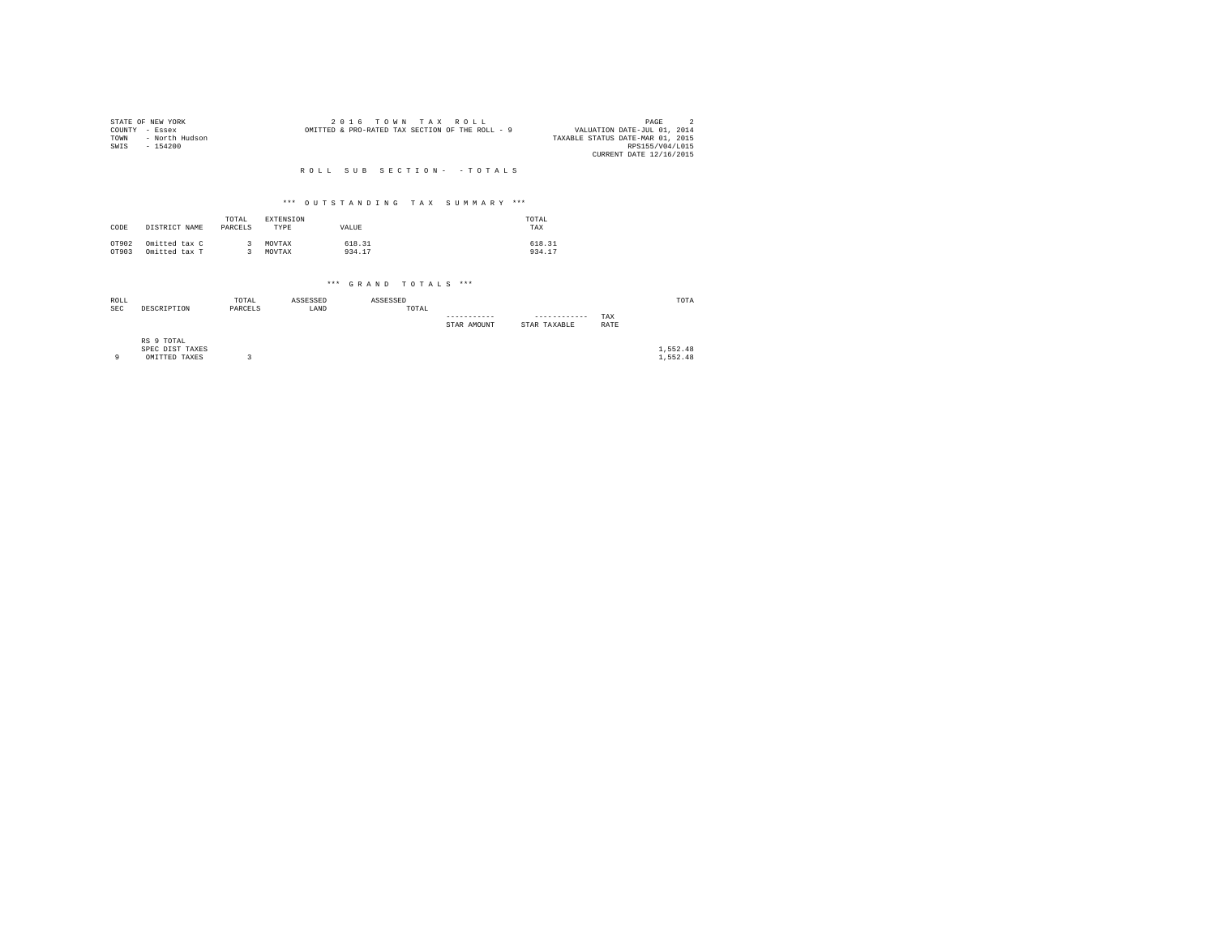| COUNTY<br>TOWN<br>SWIS | STATE OF NEW YORK<br>- Essex<br>- North Hudson<br>$-154200$ |                    |                   |                                 | OMITTED & PRO-RATED TAX SECTION OF THE ROLL - 9 | 2016             | TOWN     |  |       | TAX                  | ROLL. |             |  |                  |              | VALUATION DATE-JUL 01, 2014<br>TAXABLE STATUS DATE-MAR 01, 2015<br>CURRENT DATE 12/16/2015 |  | PAGE | $\overline{2}$<br>RPS155/V04/L015 |  |
|------------------------|-------------------------------------------------------------|--------------------|-------------------|---------------------------------|-------------------------------------------------|------------------|----------|--|-------|----------------------|-------|-------------|--|------------------|--------------|--------------------------------------------------------------------------------------------|--|------|-----------------------------------|--|
|                        |                                                             |                    |                   | ROLL SUB SECTION- - TOTALS      |                                                 |                  |          |  |       |                      |       |             |  |                  |              |                                                                                            |  |      |                                   |  |
|                        |                                                             |                    |                   | *** OUTSTANDING TAX SUMMARY *** |                                                 |                  |          |  |       |                      |       |             |  |                  |              |                                                                                            |  |      |                                   |  |
| CODE                   | DISTRICT NAME                                               | TOTAL<br>PARCELS   | EXTENSION<br>TYPE |                                 |                                                 | VALUE            |          |  |       |                      |       |             |  | TOTAL<br>TAX     |              |                                                                                            |  |      |                                   |  |
| OT902<br>OT903         | Omitted tax C<br>Omitted tax T                              | -3<br>$\mathbf{R}$ | MOVTAX<br>MOVTAX  |                                 |                                                 | 618.31<br>934.17 |          |  |       |                      |       |             |  | 618.31<br>934.17 |              |                                                                                            |  |      |                                   |  |
|                        |                                                             |                    |                   |                                 |                                                 |                  |          |  |       | *** GRAND TOTALS *** |       |             |  |                  |              |                                                                                            |  |      |                                   |  |
| ROLL<br><b>SEC</b>     | DESCRIPTION                                                 | TOTAL<br>PARCELS   |                   | ASSESSED<br>LAND                |                                                 |                  | ASSESSED |  | TOTAL |                      |       | STAR AMOUNT |  | STAR TAXABLE     | ------------ | TAX<br>RATE                                                                                |  |      | TOTA                              |  |
| 9                      | RS 9 TOTAL<br>SPEC DIST TAXES<br>OMITTED TAXES              | 3                  |                   |                                 |                                                 |                  |          |  |       |                      |       |             |  |                  |              |                                                                                            |  |      | 1,552.48<br>1.552.48              |  |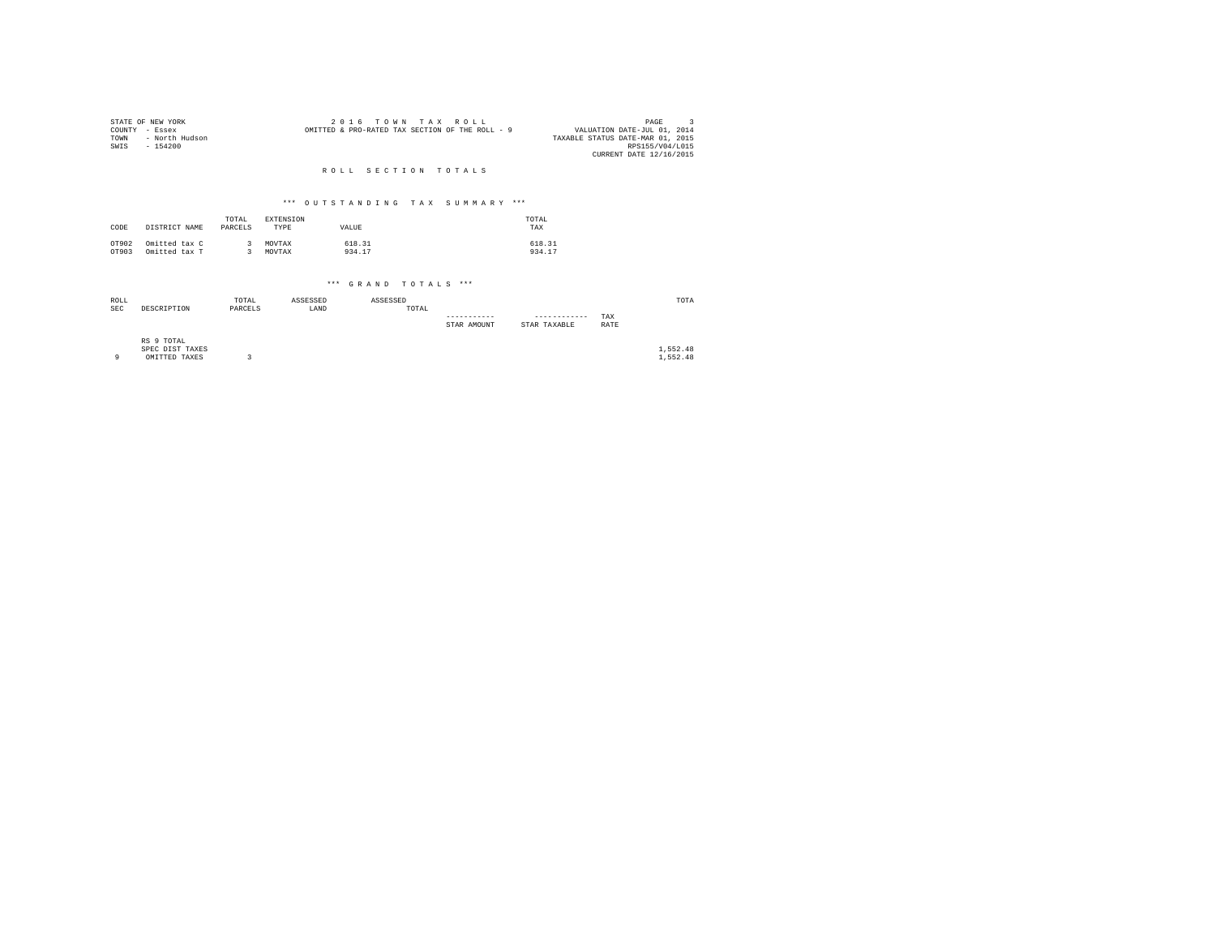| COUNTY<br>TOWN<br>SWIS | STATE OF NEW YORK<br>- Essex<br>- North Hudson<br>$-154200$ |                   |                          |                  | 2 0 1 6<br>OMITTED & PRO-RATED TAX SECTION OF THE ROLL - 9 | TOWN     |       | TAX ROLL    |             |                              | VALUATION DATE-JUL 01, 2014<br>TAXABLE STATUS DATE-MAR 01, 2015<br>CURRENT DATE 12/16/2015 | $\mathbf{R}$<br>PAGE<br>RPS155/V04/L015 |  |
|------------------------|-------------------------------------------------------------|-------------------|--------------------------|------------------|------------------------------------------------------------|----------|-------|-------------|-------------|------------------------------|--------------------------------------------------------------------------------------------|-----------------------------------------|--|
|                        |                                                             |                   |                          |                  | ROLL SECTION TOTALS                                        |          |       |             |             |                              |                                                                                            |                                         |  |
|                        |                                                             |                   |                          |                  | *** OUTSTANDING TAX                                        |          |       |             | SUMMARY *** |                              |                                                                                            |                                         |  |
| CODE                   | DISTRICT NAME                                               | TOTAL<br>PARCELS  | <b>EXTENSION</b><br>TYPE |                  | VALUE                                                      |          |       |             |             | TOTAL<br>TAX                 |                                                                                            |                                         |  |
| OT902<br>OT903         | Omitted tax C<br>Omitted tax T                              | 3<br>$\mathbf{R}$ | MOVTAX<br>MOVTAX         |                  | 618.31<br>934.17                                           |          |       |             |             | 618.31<br>934.17             |                                                                                            |                                         |  |
|                        |                                                             |                   |                          |                  | *** GRAND TOTALS ***                                       |          |       |             |             |                              |                                                                                            |                                         |  |
| ROLL<br><b>SEC</b>     | DESCRIPTION                                                 | TOTAL<br>PARCELS  |                          | ASSESSED<br>LAND |                                                            | ASSESSED | TOTAL | STAR AMOUNT |             | ------------<br>STAR TAXABLE | TAX<br>RATE                                                                                | TOTA                                    |  |
| 9                      | RS 9 TOTAL<br>SPEC DIST TAXES<br>OMITTED TAXES              | 3                 |                          |                  |                                                            |          |       |             |             |                              |                                                                                            | 1,552.48<br>1.552.48                    |  |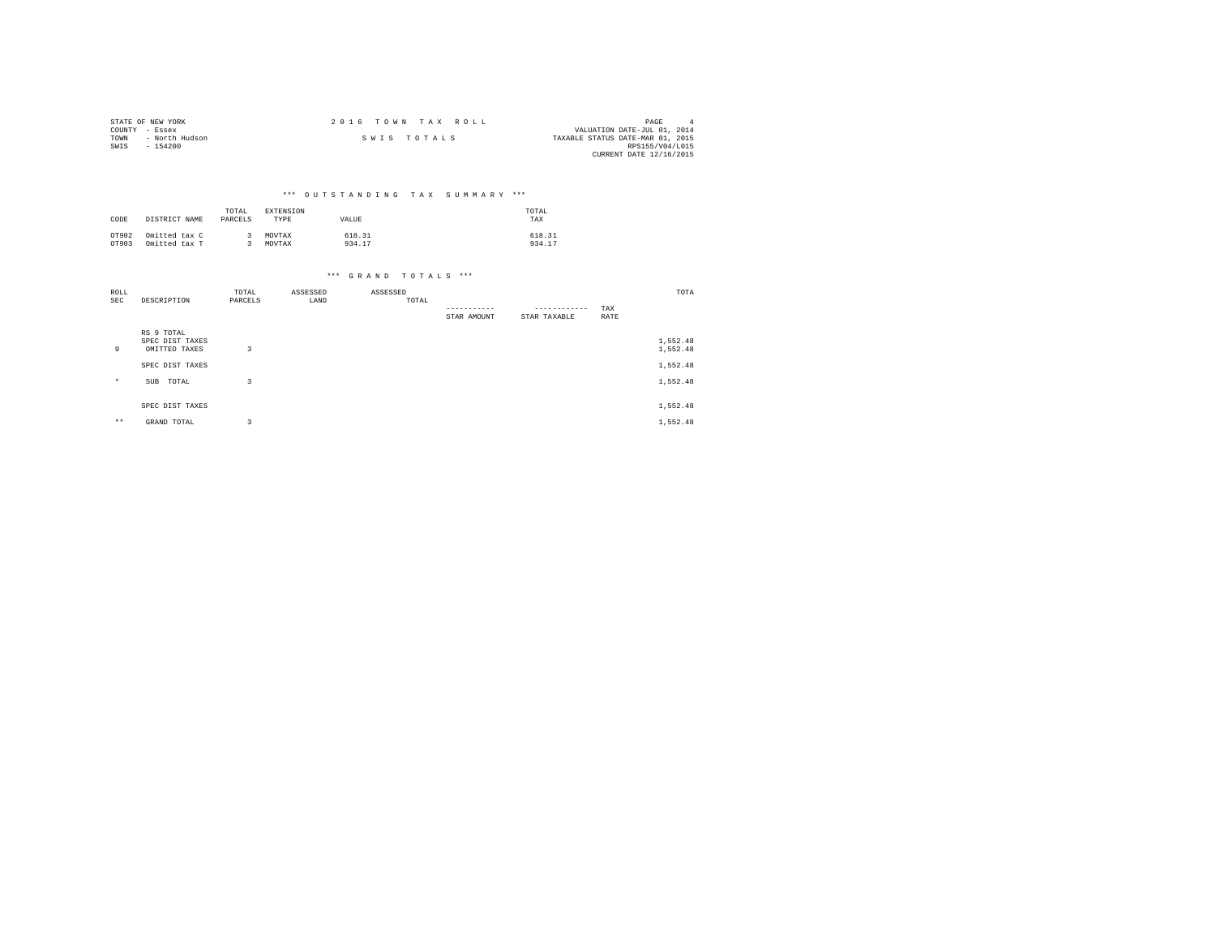|                | STATE OF NEW YORK | 2016 TOWN TAX ROLL |  |                                  | PAGE                        |  |
|----------------|-------------------|--------------------|--|----------------------------------|-----------------------------|--|
| COUNTY - Essex |                   |                    |  |                                  | VALUATION DATE-JUL 01, 2014 |  |
| TOWN           | - North Hudson    | SWIS TOTALS        |  | TAXABLE STATUS DATE-MAR 01, 2015 |                             |  |
| SWIS           | - 154200          |                    |  |                                  | RPS155/V04/L015             |  |
|                |                   |                    |  |                                  | CURRENT DATE 12/16/2015     |  |

## \*\*\* O U T S T A N D I N G T A X S U M M A R Y \*\*\*

| CODE  | DISTRICT NAME | TOTAL<br>PARCELS | EXTENSION<br>TYPE | VALUE  | TOTAL<br>TAX |
|-------|---------------|------------------|-------------------|--------|--------------|
| OT902 | Omitted tax C |                  | MOVTAX            | 618.31 | 618.31       |
| OT903 | Omitted tax T |                  | MOVTAX            | 934.17 | 934.17       |

| ROLL    |                                                | TOTAL          | ASSESSED | ASSESSED |             |              |      | TOTA                 |
|---------|------------------------------------------------|----------------|----------|----------|-------------|--------------|------|----------------------|
| SEC     | DESCRIPTION                                    | PARCELS        | LAND     | TOTAL    |             | ------------ |      |                      |
|         |                                                |                |          |          |             |              | TAX  |                      |
|         |                                                |                |          |          | STAR AMOUNT | STAR TAXABLE | RATE |                      |
| 9       | RS 9 TOTAL<br>SPEC DIST TAXES<br>OMITTED TAXES | 3              |          |          |             |              |      | 1,552.48<br>1,552.48 |
|         | SPEC DIST TAXES                                |                |          |          |             |              |      | 1,552.48             |
| $\star$ | TOTAL<br>SUB                                   | 3              |          |          |             |              |      | 1,552.48             |
|         | SPEC DIST TAXES                                |                |          |          |             |              |      | 1,552.48             |
| $***$   | GRAND TOTAL                                    | $\overline{3}$ |          |          |             |              |      | 1,552.48             |